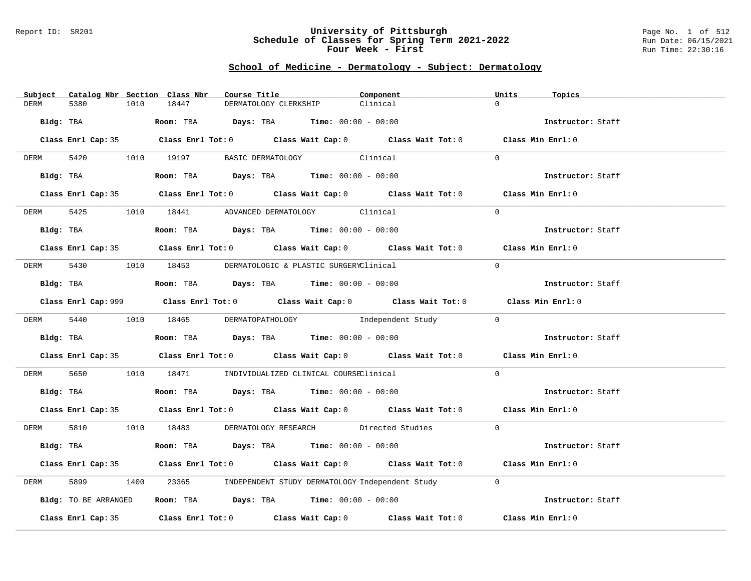### Report ID: SR201 **University of Pittsburgh** Page No. 1 of 512 **Schedule of Classes for Spring Term 2021-2022** Run Date: 06/15/2021 **Four Week - First** Run Time: 22:30:16

# **School of Medicine - Dermatology - Subject: Dermatology**

| Subject Catalog Nbr Section Class Nbr | Course Title                                                                                | Component | Units<br>Topics   |
|---------------------------------------|---------------------------------------------------------------------------------------------|-----------|-------------------|
| 5380<br>1010<br>DERM                  | 18447<br>DERMATOLOGY CLERKSHIP                                                              | Clinical  | $\Omega$          |
|                                       | Bldg: TBA                    Room: TBA         Days: TBA         Time: 00:00 - 00:00        |           | Instructor: Staff |
|                                       | Class Enrl Cap: 35 Class Enrl Tot: 0 Class Wait Cap: 0 Class Wait Tot: 0 Class Min Enrl: 0  |           |                   |
|                                       | DERM 5420 1010 19197 BASIC DERMATOLOGY Clinical                                             |           | $\Omega$          |
|                                       | Bldg: TBA                   Room: TBA         Days: TBA         Time: 00:00 - 00:00         |           | Instructor: Staff |
|                                       | Class Enrl Cap: 35 Class Enrl Tot: 0 Class Wait Cap: 0 Class Wait Tot: 0 Class Min Enrl: 0  |           |                   |
|                                       | DERM 5425 1010 18441 ADVANCED DERMATOLOGY Clinical                                          |           | $\Omega$          |
|                                       | $Bldg:$ TBA $Room:$ TBA $Days:$ TBA $Time:$ 00:00 - 00:00                                   |           | Instructor: Staff |
|                                       | Class Enrl Cap: 35 Class Enrl Tot: 0 Class Wait Cap: 0 Class Wait Tot: 0 Class Min Enrl: 0  |           |                   |
|                                       | DERM 5430 1010 18453 DERMATOLOGIC & PLASTIC SURGERYClinical                                 |           | $\Omega$          |
|                                       | Bldg: TBA                    Room: TBA         Days: TBA         Time: $00:00 - 00:00$      |           | Instructor: Staff |
|                                       | Class Enrl Cap: 999 Class Enrl Tot: 0 Class Wait Cap: 0 Class Wait Tot: 0 Class Min Enrl: 0 |           |                   |
|                                       | DERM 5440 1010 18465 DERMATOPATHOLOGY Independent Study 0                                   |           |                   |
|                                       | <b>Bldg:</b> TBA <b>ROOM:</b> TBA <b>Days:</b> TBA <b>Time:</b> 00:00 - 00:00               |           | Instructor: Staff |
|                                       | Class Enrl Cap: 35 Class Enrl Tot: 0 Class Wait Cap: 0 Class Wait Tot: 0 Class Min Enrl: 0  |           |                   |
| DERM 5650                             | 1010 18471 INDIVIDUALIZED CLINICAL COURSEClinical                                           |           | $\Omega$          |
|                                       | Bldg: TBA                   Room: TBA         Days: TBA        Time: $00:00 - 00:00$        |           | Instructor: Staff |
|                                       | Class Enrl Cap: 35 Class Enrl Tot: 0 Class Wait Cap: 0 Class Wait Tot: 0 Class Min Enrl: 0  |           |                   |
|                                       | DERM 5810 1010 18483 DERMATOLOGY RESEARCH Directed Studies                                  |           | $\Omega$          |
|                                       | Bldg: TBA                   Room: TBA        Days: TBA        Time: 00:00 - 00:00           |           | Instructor: Staff |
|                                       | Class Enrl Cap: 35 Class Enrl Tot: 0 Class Wait Cap: 0 Class Wait Tot: 0 Class Min Enrl: 0  |           |                   |
| 5899<br>DERM                          | 1400 23365 INDEPENDENT STUDY DERMATOLOGY Independent Study                                  |           | $\Omega$          |
| Bldg: TO BE ARRANGED                  | Room: TBA $Days:$ TBA Time: $00:00 - 00:00$                                                 |           | Instructor: Staff |
|                                       | Class Enrl Cap: 35 Class Enrl Tot: 0 Class Wait Cap: 0 Class Wait Tot: 0 Class Min Enrl: 0  |           |                   |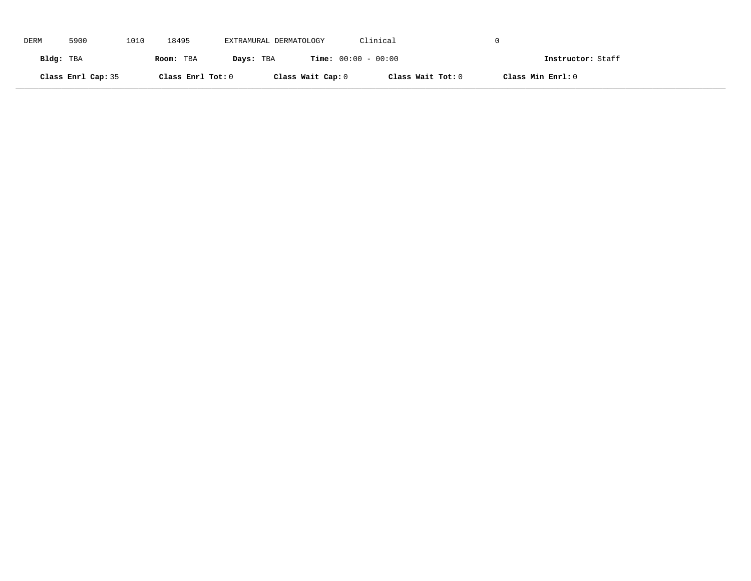| DERM      | 5900               | 1010 | 18495             | EXTRAMURAL DERMATOLOGY |                              | Clinical          |                   |
|-----------|--------------------|------|-------------------|------------------------|------------------------------|-------------------|-------------------|
| Bldg: TBA |                    |      | Room: TBA         | Days: TBA              | <b>Time:</b> $00:00 - 00:00$ |                   | Instructor: Staff |
|           | Class Enrl Cap: 35 |      | Class Enrl Tot: 0 |                        | Class Wait Cap: 0            | Class Wait Tot: 0 | Class Min Enrl: 0 |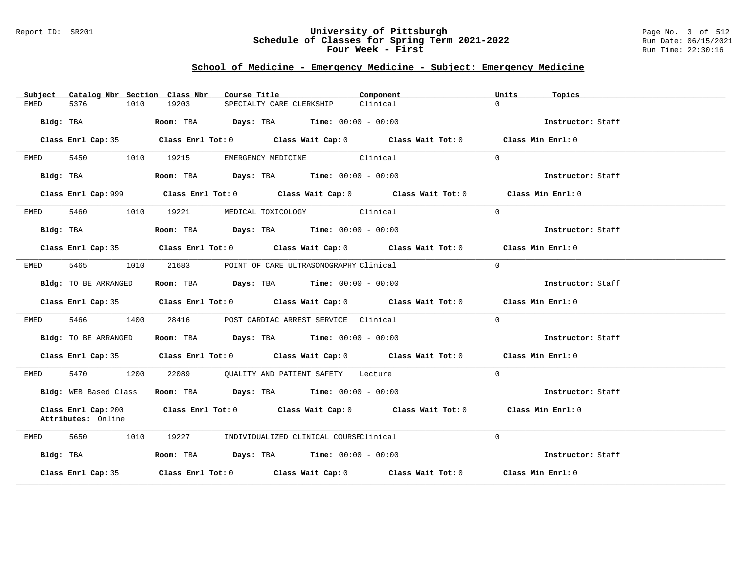### Report ID: SR201 **University of Pittsburgh** Page No. 3 of 512 **Schedule of Classes for Spring Term 2021-2022** Run Date: 06/15/2021 **Four Week - First** Run Time: 22:30:16

# **School of Medicine - Emergency Medicine - Subject: Emergency Medicine**

| Subject   |                                           |      | Catalog Nbr Section Class Nbr | Course Title             |                                                                                          | Component                                                                                   | Units    | Topics            |
|-----------|-------------------------------------------|------|-------------------------------|--------------------------|------------------------------------------------------------------------------------------|---------------------------------------------------------------------------------------------|----------|-------------------|
| EMED      | 5376                                      | 1010 | 19203                         | SPECIALTY CARE CLERKSHIP |                                                                                          | Clinical                                                                                    | $\Omega$ |                   |
|           | Bldg: TBA                                 |      |                               |                          | <b>Room:</b> TBA $\qquad \qquad$ Days: TBA $\qquad \qquad$ Time: $00:00 - 00:00$         |                                                                                             |          | Instructor: Staff |
|           |                                           |      |                               |                          |                                                                                          | Class Enrl Cap: 35 Class Enrl Tot: 0 Class Wait Cap: 0 Class Wait Tot: 0 Class Min Enrl: 0  |          |                   |
| EMED      | 5450                                      |      | 1010 19215                    |                          | EMERGENCY MEDICINE Clinical                                                              |                                                                                             | $\Omega$ |                   |
|           | Bldg: TBA                                 |      |                               |                          | Room: TBA $\rule{1em}{0.15mm}$ Days: TBA $\rule{1.5mm}{0.15mm}$ Time: $00:00 - 00:00$    |                                                                                             |          | Instructor: Staff |
|           |                                           |      |                               |                          |                                                                                          | Class Enrl Cap: 999 Class Enrl Tot: 0 Class Wait Cap: 0 Class Wait Tot: 0 Class Min Enrl: 0 |          |                   |
| EMED      |                                           |      | 5460 1010 19221               |                          | MEDICAL TOXICOLOGY Clinical                                                              |                                                                                             | $\Omega$ |                   |
|           | Bldg: TBA                                 |      |                               |                          | Room: TBA $Days:$ TBA $Time: 00:00 - 00:00$                                              |                                                                                             |          | Instructor: Staff |
|           |                                           |      |                               |                          |                                                                                          | Class Enrl Cap: 35 Class Enrl Tot: 0 Class Wait Cap: 0 Class Wait Tot: 0 Class Min Enrl: 0  |          |                   |
| EMED      | 5465                                      | 1010 | 21683                         |                          | POINT OF CARE ULTRASONOGRAPHY Clinical                                                   |                                                                                             | $\Omega$ |                   |
|           | Bldg: TO BE ARRANGED                      |      |                               |                          | Room: TBA $Days:$ TBA $Time: 00:00 - 00:00$                                              |                                                                                             |          | Instructor: Staff |
|           |                                           |      |                               |                          |                                                                                          | Class Enrl Cap: 35 Class Enrl Tot: 0 Class Wait Cap: 0 Class Wait Tot: 0 Class Min Enrl: 0  |          |                   |
| EMED      | 5466 1400                                 |      | 28416                         |                          | POST CARDIAC ARREST SERVICE Clinical                                                     |                                                                                             | $\Omega$ |                   |
|           | Bldg: TO BE ARRANGED                      |      |                               |                          | Room: TBA $Days:$ TBA $Time: 00:00 - 00:00$                                              |                                                                                             |          | Instructor: Staff |
|           |                                           |      |                               |                          |                                                                                          | Class Enrl Cap: 35 Class Enrl Tot: 0 Class Wait Cap: 0 Class Wait Tot: 0 Class Min Enrl: 0  |          |                   |
| EMED      | 5470 1200                                 |      |                               |                          | 22089 QUALITY AND PATIENT SAFETY Lecture                                                 |                                                                                             | $\Omega$ |                   |
|           | Bldg: WEB Based Class                     |      |                               |                          | Room: TBA $\rule{1em}{0.15mm}$ Days: TBA $\rule{1.15mm}]{0.15mm}$ Time: $0.000 - 0.0000$ |                                                                                             |          | Instructor: Staff |
|           | Class Enrl Cap: 200<br>Attributes: Online |      |                               |                          |                                                                                          | Class Enrl Tot: $0$ Class Wait Cap: $0$ Class Wait Tot: $0$                                 |          | Class Min Enrl: 0 |
| EMED      | 5650<br>1010                              |      | 19227                         |                          | INDIVIDUALIZED CLINICAL COURSEClinical                                                   |                                                                                             | $\Omega$ |                   |
| Bldg: TBA |                                           |      |                               |                          | Room: TBA $Days: TBA$ Time: $00:00 - 00:00$                                              |                                                                                             |          | Instructor: Staff |
|           | Class Enrl Cap: 35                        |      |                               |                          |                                                                                          | Class Enrl Tot: $0$ Class Wait Cap: $0$ Class Wait Tot: $0$ Class Min Enrl: $0$             |          |                   |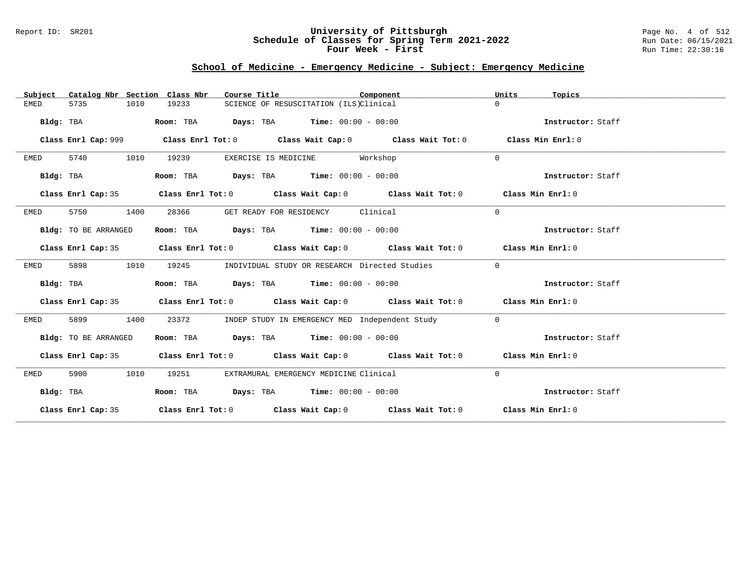### Report ID: SR201 **University of Pittsburgh** Page No. 4 of 512 **Schedule of Classes for Spring Term 2021-2022** Run Date: 06/15/2021 **Four Week - First** Run Time: 22:30:16

# **School of Medicine - Emergency Medicine - Subject: Emergency Medicine**

| Catalog Nbr Section Class Nbr<br>Subject | Component<br>Course Title                                                                  | Units<br>Topics   |
|------------------------------------------|--------------------------------------------------------------------------------------------|-------------------|
| <b>EMED</b><br>5735<br>1010              | 19233<br>SCIENCE OF RESUSCITATION (ILS)Clinical                                            | $\Omega$          |
| Bldg: TBA                                | Room: TBA<br><b>Days:</b> TBA <b>Time:</b> $00:00 - 00:00$                                 | Instructor: Staff |
|                                          |                                                                                            |                   |
|                                          |                                                                                            | Class Min Enrl: 0 |
| 5740<br>1010<br>EMED                     | 19239<br>Workshop<br>EXERCISE IS MEDICINE                                                  | $\Omega$          |
| Bldg: TBA                                | Room: TBA $Days:$ TBA $Time: 00:00 - 00:00$                                                | Instructor: Staff |
| Class Enrl Cap: 35                       | Class Enrl Tot: $0$ Class Wait Cap: $0$ Class Wait Tot: $0$ Class Min Enrl: $0$            |                   |
| 5750<br>1400<br>EMED                     | 28366<br>GET READY FOR RESIDENCY Clinical                                                  | $\mathbf{0}$      |
| Bldg: TO BE ARRANGED                     | Room: TBA $Days:$ TBA $Time: 00:00 - 00:00$                                                | Instructor: Staff |
|                                          | Class Enrl Cap: 35 Class Enrl Tot: 0 Class Wait Cap: 0 Class Wait Tot: 0 Class Min Enrl: 0 |                   |
| 5898<br>1010<br>EMED                     | INDIVIDUAL STUDY OR RESEARCH Directed Studies<br>19245                                     | $\mathbf{0}$      |
| Bldg: TBA                                | Room: TBA $Days:$ TBA $Time: 00:00 - 00:00$                                                | Instructor: Staff |
|                                          | Class Enrl Cap: 35 Class Enrl Tot: 0 Class Wait Cap: 0 Class Wait Tot: 0 Class Min Enrl: 0 |                   |
| 5899<br>1400<br>EMED                     | 23372<br>INDEP STUDY IN EMERGENCY MED Independent Study                                    | $\overline{0}$    |
| Bldg: TO BE ARRANGED                     | Room: TBA $Days:$ TBA $Time: 00:00 - 00:00$                                                | Instructor: Staff |
|                                          | Class Enrl Cap: 35 Class Enrl Tot: 0 Class Wait Cap: 0 Class Wait Tot: 0 Class Min Enrl: 0 |                   |
| 5900<br>1010<br>EMED                     | 19251<br>EXTRAMURAL EMERGENCY MEDICINE Clinical                                            | $\mathbf{0}$      |
| Bldg: TBA                                | Room: TBA $Days:$ TBA $Time: 00:00 - 00:00$                                                | Instructor: Staff |
|                                          | Class Enrl Cap: 35 Class Enrl Tot: 0 Class Wait Cap: 0 Class Wait Tot: 0 Class Min Enrl: 0 |                   |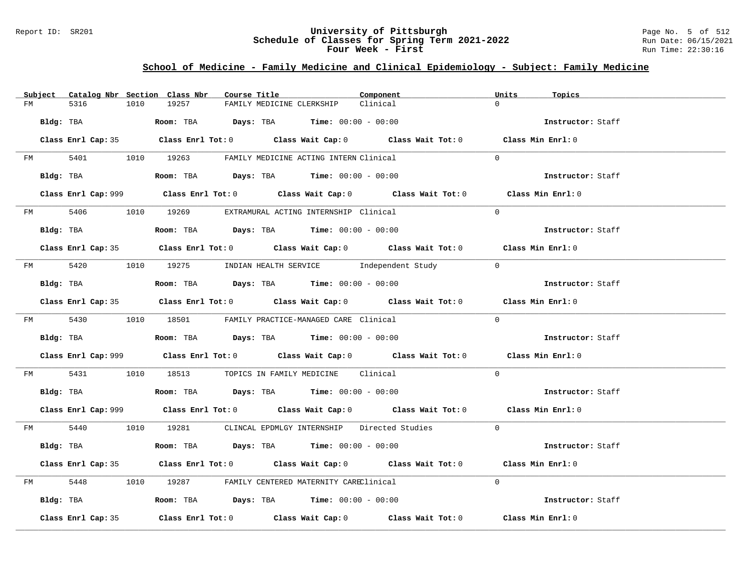### Report ID: SR201 **University of Pittsburgh** Page No. 5 of 512 **Schedule of Classes for Spring Term 2021-2022** Run Date: 06/15/2021 **Four Week - First** Run Time: 22:30:16

# **School of Medicine - Family Medicine and Clinical Epidemiology - Subject: Family Medicine**

| Subject Catalog Nbr Section Class Nbr | Course Title                                                                                     | Component | Units<br>Topics   |
|---------------------------------------|--------------------------------------------------------------------------------------------------|-----------|-------------------|
| 5316<br>1010<br>FM                    | 19257<br>FAMILY MEDICINE CLERKSHIP                                                               | Clinical  | $\Omega$          |
| Bldg: TBA                             | Room: TBA $Days:$ TBA $Time: 00:00 - 00:00$                                                      |           | Instructor: Staff |
|                                       | Class Enrl Cap: 35 Class Enrl Tot: 0 Class Wait Cap: 0 Class Wait Tot: 0 Class Min Enrl: 0       |           |                   |
|                                       | FM 5401 1010 19263 FAMILY MEDICINE ACTING INTERN Clinical                                        |           | $\Omega$          |
|                                       | Bldg: TBA $\blacksquare$ Room: TBA $\blacksquare$ Days: TBA $\blacksquare$ Time: $00:00 - 00:00$ |           | Instructor: Staff |
|                                       | Class Enrl Cap: 999 Class Enrl Tot: 0 Class Wait Cap: 0 Class Wait Tot: 0 Class Min Enrl: 0      |           |                   |
|                                       | FM 5406 1010 19269 EXTRAMURAL ACTING INTERNSHIP Clinical                                         |           | $\Omega$          |
|                                       | <b>Bldg:</b> TBA <b>ROOM:</b> TBA <b>Days:</b> TBA <b>Time:</b> $00:00 - 00:00$                  |           | Instructor: Staff |
|                                       | Class Enrl Cap: 35 Class Enrl Tot: 0 Class Wait Cap: 0 Class Wait Tot: 0 Class Min Enrl: 0       |           |                   |
|                                       | FM 5420 1010 19275 INDIAN HEALTH SERVICE Independent Study 0                                     |           |                   |
|                                       | Bldg: TBA                    Room: TBA         Days: TBA         Time: 00:00 - 00:00             |           | Instructor: Staff |
|                                       | Class Enrl Cap: 35 Class Enrl Tot: 0 Class Wait Cap: 0 Class Wait Tot: 0 Class Min Enrl: 0       |           |                   |
|                                       | FM 5430 1010 18501 FAMILY PRACTICE-MANAGED CARE Clinical                                         |           | $\Omega$          |
|                                       | Bldg: TBA                    Room: TBA         Days: TBA         Time: $00:00 - 00:00$           |           | Instructor: Staff |
|                                       | Class Enrl Cap: 999 Class Enrl Tot: 0 Class Wait Cap: 0 Class Wait Tot: 0 Class Min Enrl: 0      |           |                   |
|                                       | FM 5431 1010 18513 TOPICS IN FAMILY MEDICINE Clinical                                            |           | $\Omega$          |
|                                       | Bldg: TBA                    Room: TBA         Days: TBA         Time: $00:00 - 00:00$           |           | Instructor: Staff |
|                                       | Class Enrl Cap: 999 Class Enrl Tot: 0 Class Wait Cap: 0 Class Wait Tot: 0 Class Min Enrl: 0      |           |                   |
|                                       | FM 5440 1010 19281 CLINCAL EPDMLGY INTERNSHIP Directed Studies 0                                 |           |                   |
|                                       | Bldg: TBA                   Room: TBA         Days: TBA        Time: 00:00 - 00:00               |           | Instructor: Staff |
|                                       | Class Enrl Cap: 35 Class Enrl Tot: 0 Class Wait Cap: 0 Class Wait Tot: 0 Class Min Enrl: 0       |           |                   |
|                                       | FM 5448 1010 19287 FAMILY CENTERED MATERNITY CAREClinical                                        |           | $\Omega$          |
|                                       | Bldg: TBA                   Room: TBA        Days: TBA        Time: 00:00 - 00:00                |           | Instructor: Staff |
| Class Enrl Cap: 35                    | Class Enrl Tot: $0$ Class Wait Cap: $0$ Class Wait Tot: $0$ Class Min Enrl: $0$                  |           |                   |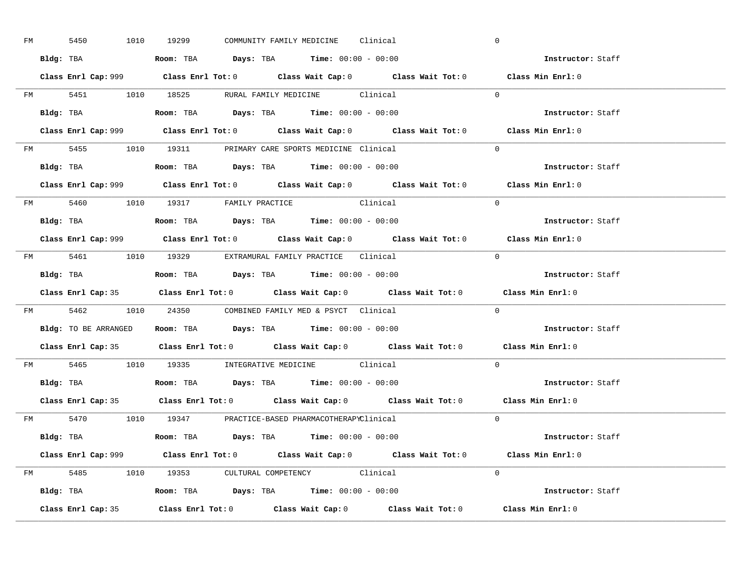| FM | 5450 |  | 1010 19299                                                                                      |  | COMMUNITY FAMILY MEDICINE Clinical |                                                                                             | $\overline{0}$ |                          |  |
|----|------|--|-------------------------------------------------------------------------------------------------|--|------------------------------------|---------------------------------------------------------------------------------------------|----------------|--------------------------|--|
|    |      |  | Bldg: TBA                   Room: TBA         Days: TBA         Time: $00:00 - 00:00$           |  |                                    |                                                                                             |                | <b>Instructor:</b> Staff |  |
|    |      |  |                                                                                                 |  |                                    | Class Enrl Cap: 999 Class Enrl Tot: 0 Class Wait Cap: 0 Class Wait Tot: 0 Class Min Enrl: 0 |                |                          |  |
|    |      |  |                                                                                                 |  |                                    | FM 5451 1010 18525 RURAL FAMILY MEDICINE Clinical 0                                         |                |                          |  |
|    |      |  | Bldg: TBA                   Room: TBA         Days: TBA         Time: $00:00 - 00:00$           |  |                                    |                                                                                             |                | Instructor: Staff        |  |
|    |      |  |                                                                                                 |  |                                    | Class Enrl Cap: 999 Class Enrl Tot: 0 Class Wait Cap: 0 Class Wait Tot: 0 Class Min Enrl: 0 |                |                          |  |
|    |      |  | FM 5455 1010 19311 PRIMARY CARE SPORTS MEDICINE Clinical                                        |  |                                    |                                                                                             | $\Omega$       |                          |  |
|    |      |  | Bldg: TBA                    Room: TBA         Days: TBA        Time: $00:00 - 00:00$           |  |                                    |                                                                                             |                | Instructor: Staff        |  |
|    |      |  |                                                                                                 |  |                                    | Class Enrl Cap: 999 Class Enrl Tot: 0 Class Wait Cap: 0 Class Wait Tot: 0 Class Min Enrl: 0 |                |                          |  |
|    |      |  | FM 5460 1010 19317 FAMILY PRACTICE Clinical                                                     |  |                                    |                                                                                             | $\Omega$       |                          |  |
|    |      |  | Bldg: TBA<br>Room: TBA<br>Days: TBA<br>Time: $00:00 - 00:00$                                    |  |                                    |                                                                                             |                | Instructor: Staff        |  |
|    |      |  |                                                                                                 |  |                                    | Class Enrl Cap: 999 Class Enrl Tot: 0 Class Wait Cap: 0 Class Wait Tot: 0 Class Min Enrl: 0 |                |                          |  |
|    |      |  | FM 5461 1010 19329 EXTRAMURAL FAMILY PRACTICE Clinical                                          |  |                                    |                                                                                             | $\bigcirc$     |                          |  |
|    |      |  | Bldg: TBA                           Room: TBA          Days: TBA          Time: $00:00 - 00:00$ |  |                                    |                                                                                             |                | Instructor: Staff        |  |
|    |      |  |                                                                                                 |  |                                    |                                                                                             |                |                          |  |
|    |      |  |                                                                                                 |  |                                    | Class Enrl Cap: 35 Class Enrl Tot: 0 Class Wait Cap: 0 Class Wait Tot: 0 Class Min Enrl: 0  |                |                          |  |
|    |      |  | FM 5462 1010 24350 COMBINED FAMILY MED & PSYCT Clinical                                         |  |                                    |                                                                                             | $\overline{0}$ |                          |  |
|    |      |  | Bldg: TO BE ARRANGED ROOM: TBA Days: TBA Time: 00:00 - 00:00                                    |  |                                    |                                                                                             |                | <b>Instructor:</b> Staff |  |
|    |      |  |                                                                                                 |  |                                    | Class Enrl Cap: 35 Class Enrl Tot: 0 Class Wait Cap: 0 Class Wait Tot: 0 Class Min Enrl: 0  |                |                          |  |
|    |      |  | FM 5465 1010 19335 INTEGRATIVE MEDICINE Clinical                                                |  |                                    |                                                                                             |                | $\Omega$                 |  |
|    |      |  | Bldg: TBA                    Room: TBA         Days: TBA         Time: $00:00 - 00:00$          |  |                                    |                                                                                             |                | Instructor: Staff        |  |
|    |      |  |                                                                                                 |  |                                    | Class Enrl Cap: 35 Class Enrl Tot: 0 Class Wait Cap: 0 Class Wait Tot: 0 Class Min Enrl: 0  |                |                          |  |
|    |      |  | FM 5470 1010 19347 PRACTICE-BASED PHARMACOTHERAPYClinical                                       |  |                                    |                                                                                             |                | $\Omega$                 |  |
|    |      |  | Bldg: TBA                   Room: TBA         Days: TBA         Time: 00:00 - 00:00             |  |                                    |                                                                                             |                | Instructor: Staff        |  |
|    |      |  |                                                                                                 |  |                                    | Class Enrl Cap: 999 Class Enrl Tot: 0 Class Wait Cap: 0 Class Wait Tot: 0 Class Min Enrl: 0 |                |                          |  |
|    |      |  | FM 5485 1010 19353 CULTURAL COMPETENCY Clinical                                                 |  |                                    |                                                                                             | $\Omega$       |                          |  |
|    |      |  | Bldg: TBA                    Room: TBA         Days: TBA         Time: $00:00 - 00:00$          |  |                                    |                                                                                             |                | Instructor: Staff        |  |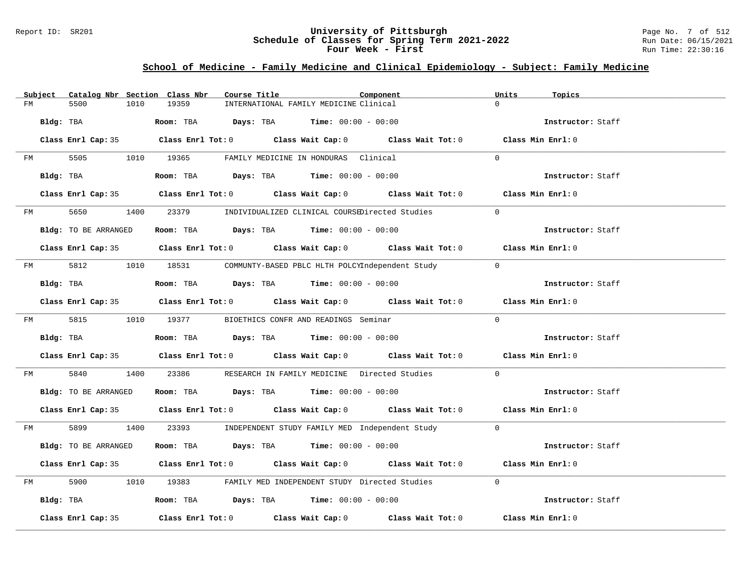### Report ID: SR201 **University of Pittsburgh** Page No. 7 of 512 **Schedule of Classes for Spring Term 2021-2022** Run Date: 06/15/2021 **Four Week - First** Run Time: 22:30:16

# **School of Medicine - Family Medicine and Clinical Epidemiology - Subject: Family Medicine**

|    | Subject | Catalog Nbr Section Class Nbr |      |       | Course Title |                                                         | Component                                                                                  |                | Units | Topics            |  |
|----|---------|-------------------------------|------|-------|--------------|---------------------------------------------------------|--------------------------------------------------------------------------------------------|----------------|-------|-------------------|--|
| FM |         | 5500                          | 1010 | 19359 |              | INTERNATIONAL FAMILY MEDICINE Clinical                  |                                                                                            | $\Omega$       |       |                   |  |
|    |         | Bldg: TBA                     |      |       |              | Room: TBA $Days:$ TBA $Time: 00:00 - 00:00$             |                                                                                            |                |       | Instructor: Staff |  |
|    |         |                               |      |       |              |                                                         | Class Enrl Cap: 35 Class Enrl Tot: 0 Class Wait Cap: 0 Class Wait Tot: 0 Class Min Enrl: 0 |                |       |                   |  |
|    |         |                               |      |       |              | FM 5505 1010 19365 FAMILY MEDICINE IN HONDURAS Clinical |                                                                                            | $\Omega$       |       |                   |  |
|    |         | Bldg: TBA                     |      |       |              | Room: TBA $Days:$ TBA $Time: 00:00 - 00:00$             |                                                                                            |                |       | Instructor: Staff |  |
|    |         |                               |      |       |              |                                                         | Class Enrl Cap: 35 Class Enrl Tot: 0 Class Wait Cap: 0 Class Wait Tot: 0 Class Min Enrl: 0 |                |       |                   |  |
|    |         |                               |      |       |              |                                                         | FM 5650 1400 23379 INDIVIDUALIZED CLINICAL COURSEDirected Studies                          | $\overline{0}$ |       |                   |  |
|    |         | Bldg: TO BE ARRANGED          |      |       |              | Room: TBA $Days:$ TBA $Time: 00:00 - 00:00$             |                                                                                            |                |       | Instructor: Staff |  |
|    |         |                               |      |       |              |                                                         | Class Enrl Cap: 35 Class Enrl Tot: 0 Class Wait Cap: 0 Class Wait Tot: 0 Class Min Enrl: 0 |                |       |                   |  |
|    |         |                               |      |       |              |                                                         | FM 5812 1010 18531 COMMUNTY-BASED PBLC HLTH POLCYIndependent Study 0                       |                |       |                   |  |
|    |         | Bldg: TBA                     |      |       |              | Room: TBA $Days:$ TBA $Time: 00:00 - 00:00$             |                                                                                            |                |       | Instructor: Staff |  |
|    |         |                               |      |       |              |                                                         | Class Enrl Cap: 35 Class Enrl Tot: 0 Class Wait Cap: 0 Class Wait Tot: 0 Class Min Enrl: 0 |                |       |                   |  |
|    |         |                               |      |       |              | FM 5815 1010 19377 BIOETHICS CONFR AND READINGS Seminar |                                                                                            | $\Omega$       |       |                   |  |
|    |         | Bldg: TBA                     |      |       |              | Room: TBA $Days:$ TBA $Time: 00:00 - 00:00$             |                                                                                            |                |       | Instructor: Staff |  |
|    |         |                               |      |       |              |                                                         | Class Enrl Cap: 35 Class Enrl Tot: 0 Class Wait Cap: 0 Class Wait Tot: 0 Class Min Enrl: 0 |                |       |                   |  |
| FM |         | 5840                          |      |       |              |                                                         | 1400 23386 RESEARCH IN FAMILY MEDICINE Directed Studies                                    | $\Omega$       |       |                   |  |
|    |         | Bldg: TO BE ARRANGED          |      |       |              | Room: TBA $Days:$ TBA $Time: 00:00 - 00:00$             |                                                                                            |                |       | Instructor: Staff |  |
|    |         |                               |      |       |              |                                                         | Class Enrl Cap: 35 Class Enrl Tot: 0 Class Wait Cap: 0 Class Wait Tot: 0 Class Min Enrl: 0 |                |       |                   |  |
|    |         |                               |      |       |              |                                                         | FM 5899 1400 23393 INDEPENDENT STUDY FAMILY MED Independent Study 0                        |                |       |                   |  |
|    |         | Bldg: TO BE ARRANGED          |      |       |              | Room: TBA $Days:$ TBA $Time:$ $00:00 - 00:00$           |                                                                                            |                |       | Instructor: Staff |  |
|    |         |                               |      |       |              |                                                         | Class Enrl Cap: 35 Class Enrl Tot: 0 Class Wait Cap: 0 Class Wait Tot: 0 Class Min Enrl: 0 |                |       |                   |  |
| FM |         | 5900 000                      |      |       |              |                                                         | 1010 19383 FAMILY MED INDEPENDENT STUDY Directed Studies                                   | $\Omega$       |       |                   |  |
|    |         | Bldg: TBA                     |      |       |              | Room: TBA $Days:$ TBA $Time:$ $00:00 - 00:00$           |                                                                                            |                |       | Instructor: Staff |  |
|    |         | Class Enrl Cap: 35            |      |       |              |                                                         | Class Enrl Tot: $0$ Class Wait Cap: $0$ Class Wait Tot: $0$ Class Min Enrl: $0$            |                |       |                   |  |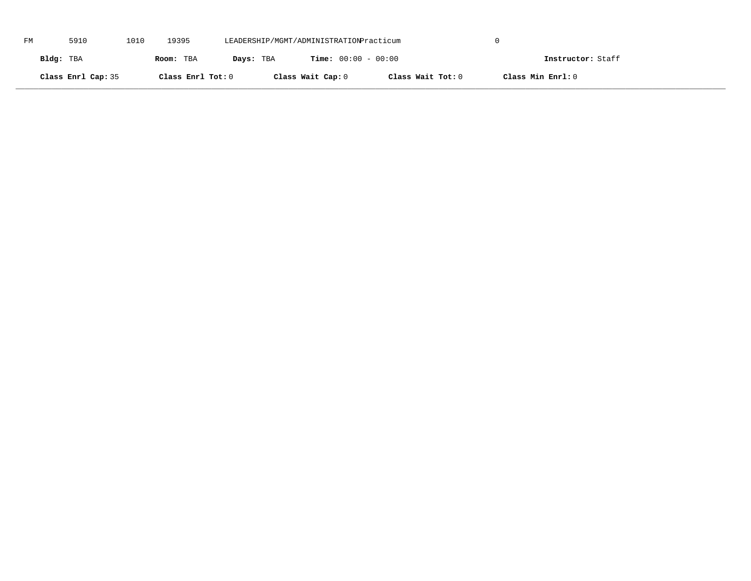| FM | 5910               | 1010 | 19395             | LEADERSHIP/MGMT/ADMINISTRATIONPracticum |                              |                   |                   |  |
|----|--------------------|------|-------------------|-----------------------------------------|------------------------------|-------------------|-------------------|--|
|    | Bldg: TBA          |      | Room: TBA         | Days: TBA                               | <b>Time:</b> $00:00 - 00:00$ |                   | Instructor: Staff |  |
|    | Class Enrl Cap: 35 |      | Class Enrl Tot: 0 |                                         | Class Wait Cap: 0            | Class Wait Tot: 0 | Class Min Enrl: 0 |  |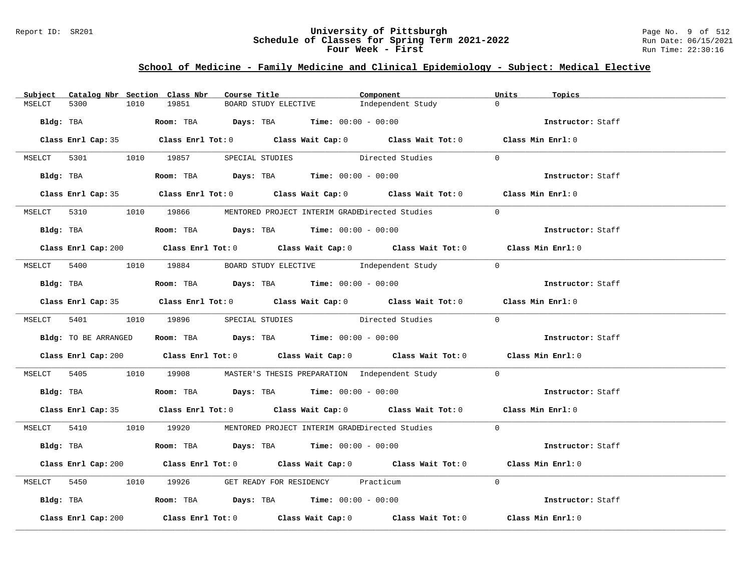### Report ID: SR201 **University of Pittsburgh** Page No. 9 of 512 **Schedule of Classes for Spring Term 2021-2022** Run Date: 06/15/2021 **Four Week - First** Run Time: 22:30:16

# **School of Medicine - Family Medicine and Clinical Epidemiology - Subject: Medical Elective**

| Subject | Catalog Nbr Section Class Nbr |      |       |  | Course Title <b>Show The Search Course Title</b>                                     | Component                                                                                   | Units          | Topics            |
|---------|-------------------------------|------|-------|--|--------------------------------------------------------------------------------------|---------------------------------------------------------------------------------------------|----------------|-------------------|
| MSELCT  | 5300                          | 1010 | 19851 |  | BOARD STUDY ELECTIVE                                                                 | Independent Study                                                                           | $\Omega$       |                   |
|         |                               |      |       |  | Bldg: TBA                  Room: TBA        Days: TBA        Time: 00:00 - 00:00     |                                                                                             |                | Instructor: Staff |
|         |                               |      |       |  |                                                                                      | Class Enrl Cap: 35 Class Enrl Tot: 0 Class Wait Cap: 0 Class Wait Tot: 0 Class Min Enrl: 0  |                |                   |
|         |                               |      |       |  |                                                                                      | MSELCT 5301 1010 19857 SPECIAL STUDIES Directed Studies 0                                   |                |                   |
|         |                               |      |       |  | Bldg: TBA                   Room: TBA         Days: TBA         Time: 00:00 - 00:00  |                                                                                             |                | Instructor: Staff |
|         |                               |      |       |  |                                                                                      | Class Enrl Cap: 35 Class Enrl Tot: 0 Class Wait Cap: 0 Class Wait Tot: 0 Class Min Enrl: 0  |                |                   |
|         |                               |      |       |  |                                                                                      | MSELCT 5310 1010 19866 MENTORED PROJECT INTERIM GRADEDirected Studies                       | $\overline{0}$ |                   |
|         |                               |      |       |  | Bldg: TBA                   Room: TBA         Days: TBA        Time: $00:00 - 00:00$ |                                                                                             |                | Instructor: Staff |
|         |                               |      |       |  |                                                                                      | Class Enrl Cap: 200 Class Enrl Tot: 0 Class Wait Cap: 0 Class Wait Tot: 0 Class Min Enrl: 0 |                |                   |
|         |                               |      |       |  |                                                                                      | MSELCT 5400 1010 19884 BOARD STUDY ELECTIVE Independent Study 0                             |                |                   |
|         | Bldg: TBA                     |      |       |  | Room: TBA $Days:$ TBA $Time: 00:00 - 00:00$                                          |                                                                                             |                | Instructor: Staff |
|         |                               |      |       |  |                                                                                      | Class Enrl Cap: 35 Class Enrl Tot: 0 Class Wait Cap: 0 Class Wait Tot: 0 Class Min Enrl: 0  |                |                   |
|         |                               |      |       |  |                                                                                      | MSELCT 5401 1010 19896 SPECIAL STUDIES Directed Studies 0                                   |                |                   |
|         |                               |      |       |  |                                                                                      | Bldg: TO BE ARRANGED Room: TBA Days: TBA Time: 00:00 - 00:00 000 000 Instructor: Staff      |                |                   |
|         |                               |      |       |  |                                                                                      | Class Enrl Cap: 200 Class Enrl Tot: 0 Class Wait Cap: 0 Class Wait Tot: 0 Class Min Enrl: 0 |                |                   |
|         |                               |      |       |  |                                                                                      | MSELCT 5405 1010 19908 MASTER'S THESIS PREPARATION Independent Study 0                      |                |                   |
|         |                               |      |       |  | Bldg: TBA                    Room: TBA         Days: TBA         Time: 00:00 - 00:00 |                                                                                             |                | Instructor: Staff |
|         |                               |      |       |  |                                                                                      | Class Enrl Cap: 35 Class Enrl Tot: 0 Class Wait Cap: 0 Class Wait Tot: 0 Class Min Enrl: 0  |                |                   |
|         |                               |      |       |  |                                                                                      | MSELCT 5410 1010 19920 MENTORED PROJECT INTERIM GRADEDirected Studies 0                     |                |                   |
|         |                               |      |       |  | Bldg: TBA                   Room: TBA        Days: TBA        Time: 00:00 - 00:00    |                                                                                             |                | Instructor: Staff |
|         |                               |      |       |  |                                                                                      | Class Enrl Cap: 200 Class Enrl Tot: 0 Class Wait Cap: 0 Class Wait Tot: 0 Class Min Enrl: 0 |                |                   |
|         |                               |      |       |  | MSELCT 5450 1010 19926 GET READY FOR RESIDENCY Practicum                             |                                                                                             | $\Omega$       |                   |
|         |                               |      |       |  | Bldg: TBA                   Room: TBA         Days: TBA        Time: 00:00 - 00:00   |                                                                                             |                | Instructor: Staff |
|         | Class Enrl Cap: 200           |      |       |  |                                                                                      | Class Enrl Tot: $0$ Class Wait Cap: $0$ Class Wait Tot: $0$                                 |                | Class Min Enrl: 0 |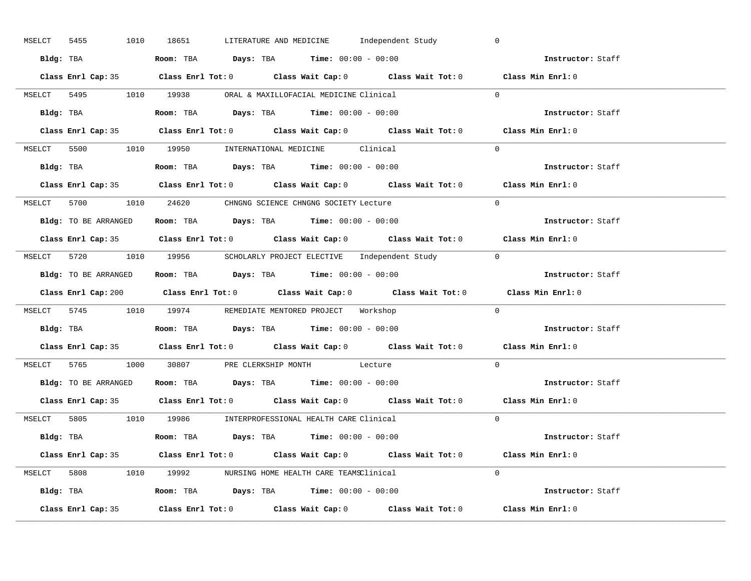| 5455<br>MSELCT |                      | 1010 18651 |  |                                                                                            | LITERATURE AND MEDICINE      Independent Study                        | $\mathbf 0$                                                                                 |  |
|----------------|----------------------|------------|--|--------------------------------------------------------------------------------------------|-----------------------------------------------------------------------|---------------------------------------------------------------------------------------------|--|
|                | Bldg: TBA            |            |  | Room: TBA $Days:$ TBA $Time: 00:00 - 00:00$                                                |                                                                       | Instructor: Staff                                                                           |  |
|                |                      |            |  |                                                                                            |                                                                       | Class Enrl Cap: 35 Class Enrl Tot: 0 Class Wait Cap: 0 Class Wait Tot: 0 Class Min Enrl: 0  |  |
|                |                      |            |  | MSELCT 5495 1010 19938 ORAL & MAXILLOFACIAL MEDICINE Clinical                              |                                                                       | $\Omega$                                                                                    |  |
|                |                      |            |  |                                                                                            |                                                                       | Instructor: Staff                                                                           |  |
|                |                      |            |  |                                                                                            |                                                                       | Class Enrl Cap: 35 Class Enrl Tot: 0 Class Wait Cap: 0 Class Wait Tot: 0 Class Min Enrl: 0  |  |
|                |                      |            |  | MSELCT 5500 1010 19950 INTERNATIONAL MEDICINE Clinical                                     |                                                                       | $\Omega$                                                                                    |  |
|                |                      |            |  | Bldg: TBA                    Room: TBA         Days: TBA         Time: $00:00 - 00:00$     |                                                                       | Instructor: Staff                                                                           |  |
|                |                      |            |  |                                                                                            |                                                                       | Class Enrl Cap: 35 Class Enrl Tot: 0 Class Wait Cap: 0 Class Wait Tot: 0 Class Min Enrl: 0  |  |
|                |                      |            |  | MSELCT 5700 1010 24620 CHNGNG SCIENCE CHNGNG SOCIETY Lecture                               |                                                                       | $\Omega$                                                                                    |  |
|                | Bldg: TO BE ARRANGED |            |  | Room: TBA $\rule{1em}{0.15mm}$ Days: TBA Time: $00:00 - 00:00$                             |                                                                       | Instructor: Staff                                                                           |  |
|                |                      |            |  |                                                                                            |                                                                       | Class Enrl Cap: 35 Class Enrl Tot: 0 Class Wait Cap: 0 Class Wait Tot: 0 Class Min Enrl: 0  |  |
|                |                      |            |  |                                                                                            | MSELCT 5720 1010 19956 SCHOLARLY PROJECT ELECTIVE Independent Study 0 |                                                                                             |  |
|                |                      |            |  | <b>Bldg:</b> TO BE ARRANGED <b>Room:</b> TBA <b>Days:</b> TBA <b>Time:</b> $00:00 - 00:00$ |                                                                       | Instructor: Staff                                                                           |  |
|                |                      |            |  |                                                                                            |                                                                       | Class Enrl Cap: 200 Class Enrl Tot: 0 Class Wait Cap: 0 Class Wait Tot: 0 Class Min Enrl: 0 |  |
|                |                      |            |  | MSELCT 5745 1010 19974 REMEDIATE MENTORED PROJECT Workshop                                 |                                                                       | $\Omega$                                                                                    |  |
|                |                      |            |  |                                                                                            |                                                                       | Instructor: Staff                                                                           |  |
|                |                      |            |  |                                                                                            |                                                                       |                                                                                             |  |
|                |                      |            |  |                                                                                            |                                                                       | Class Enrl Cap: 35 Class Enrl Tot: 0 Class Wait Cap: 0 Class Wait Tot: 0 Class Min Enrl: 0  |  |
|                |                      |            |  | MSELCT 5765 1000 30807 PRE CLERKSHIP MONTH Lecture                                         |                                                                       | $\Omega$                                                                                    |  |
|                |                      |            |  | <b>Bldg:</b> TO BE ARRANGED <b>Room:</b> TBA <b>Days:</b> TBA <b>Time:</b> $00:00 - 00:00$ |                                                                       | Instructor: Staff                                                                           |  |
|                |                      |            |  |                                                                                            |                                                                       | Class Enrl Cap: 35 Class Enrl Tot: 0 Class Wait Cap: 0 Class Wait Tot: 0 Class Min Enrl: 0  |  |
|                |                      |            |  | MSELCT 5805 1010 19986 INTERPROFESSIONAL HEALTH CARE Clinical                              |                                                                       | $\Omega$                                                                                    |  |
|                |                      |            |  | Bldg: TBA                   Room: TBA         Days: TBA         Time: $00:00 - 00:00$      |                                                                       | Instructor: Staff                                                                           |  |
|                |                      |            |  |                                                                                            |                                                                       | Class Enrl Cap: 35 Class Enrl Tot: 0 Class Wait Cap: 0 Class Wait Tot: 0 Class Min Enrl: 0  |  |
|                |                      |            |  | MSELCT 5808 1010 19992 NURSING HOME HEALTH CARE TEAMSClinical                              |                                                                       | $\Omega$                                                                                    |  |
|                |                      |            |  | Bldg: TBA                   Room: TBA        Days: TBA        Time: 00:00 - 00:00          |                                                                       | Instructor: Staff                                                                           |  |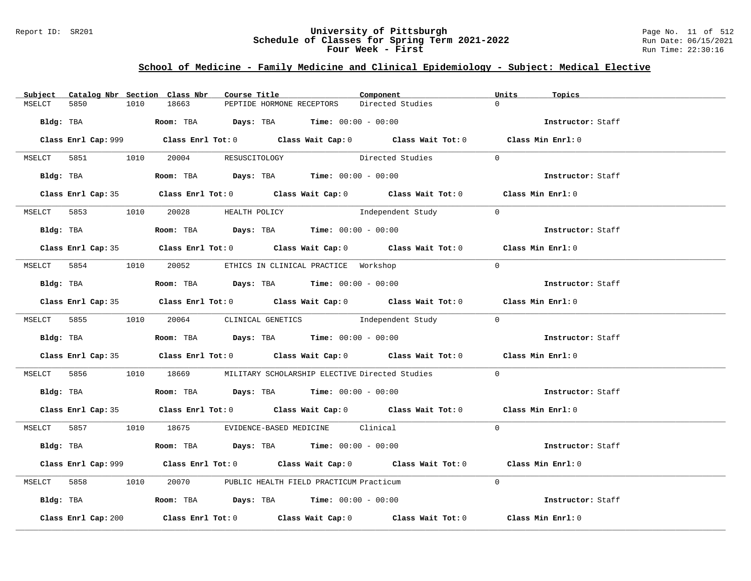### Report ID: SR201 **University of Pittsburgh** Page No. 11 of 512 **Schedule of Classes for Spring Term 2021-2022** Run Date: 06/15/2021 **Four Week - First** Run Time: 22:30:16

# **School of Medicine - Family Medicine and Clinical Epidemiology - Subject: Medical Elective**

| Subject   |                     |      | Catalog Nbr Section Class Nbr        | Course Title |                                                                                             | Component                                                                                   | Units          | Topics            |
|-----------|---------------------|------|--------------------------------------|--------------|---------------------------------------------------------------------------------------------|---------------------------------------------------------------------------------------------|----------------|-------------------|
| MSELCT    | 5850                | 1010 | 18663                                |              | PEPTIDE HORMONE RECEPTORS                                                                   | Directed Studies                                                                            | $\Omega$       |                   |
| Bldg: TBA |                     |      |                                      |              | <b>Room:</b> TBA <b>Days:</b> TBA <b>Time:</b> 00:00 - 00:00                                |                                                                                             |                | Instructor: Staff |
|           |                     |      |                                      |              |                                                                                             | Class Enrl Cap: 999 Class Enrl Tot: 0 Class Wait Cap: 0 Class Wait Tot: 0 Class Min Enrl: 0 |                |                   |
| MSELCT    |                     |      | 5851 1010 20004 RESUSCITOLOGY        |              |                                                                                             | Directed Studies                                                                            | $\Omega$       |                   |
|           |                     |      |                                      |              |                                                                                             |                                                                                             |                | Instructor: Staff |
|           |                     |      |                                      |              |                                                                                             | Class Enrl Cap: 35 Class Enrl Tot: 0 Class Wait Cap: 0 Class Wait Tot: 0 Class Min Enrl: 0  |                |                   |
|           |                     |      | MSELCT 5853 1010 20028 HEALTH POLICY |              |                                                                                             | Independent Study                                                                           | $\overline{0}$ |                   |
|           |                     |      |                                      |              | Bldg: TBA                   Room: TBA        Days: TBA        Time: 00:00 - 00:00           |                                                                                             |                | Instructor: Staff |
|           |                     |      |                                      |              |                                                                                             | Class Enrl Cap: 35 Class Enrl Tot: 0 Class Wait Cap: 0 Class Wait Tot: 0 Class Min Enrl: 0  |                |                   |
|           |                     |      |                                      |              | MSELCT 5854 1010 20052 ETHICS IN CLINICAL PRACTICE Workshop                                 |                                                                                             | $\Omega$       |                   |
|           | Bldg: TBA           |      |                                      |              | Room: TBA $Days:$ TBA $Time:$ 00:00 - 00:00                                                 |                                                                                             |                | Instructor: Staff |
|           |                     |      |                                      |              |                                                                                             | Class Enrl Cap: 35 Class Enrl Tot: 0 Class Wait Cap: 0 Class Wait Tot: 0 Class Min Enrl: 0  |                |                   |
|           |                     |      |                                      |              |                                                                                             | MSELCT 5855 1010 20064 CLINICAL GENETICS Independent Study 0                                |                |                   |
|           |                     |      |                                      |              | Bldg: TBA Room: TBA Days: TBA Time: 00:00 - 00:00                                           |                                                                                             |                | Instructor: Staff |
|           |                     |      |                                      |              |                                                                                             | Class Enrl Cap: 35 Class Enrl Tot: 0 Class Wait Cap: 0 Class Wait Tot: 0 Class Min Enrl: 0  |                |                   |
|           |                     |      |                                      |              |                                                                                             | MSELCT 5856 1010 18669 MILITARY SCHOLARSHIP ELECTIVE Directed Studies                       | $\overline{0}$ |                   |
|           |                     |      |                                      |              | Bldg: TBA                    Room: TBA         Days: TBA        Time: 00:00 - 00:00         |                                                                                             |                | Instructor: Staff |
|           |                     |      |                                      |              |                                                                                             | Class Enrl Cap: 35 Class Enrl Tot: 0 Class Wait Cap: 0 Class Wait Tot: 0 Class Min Enrl: 0  |                |                   |
|           |                     |      |                                      |              | MSELCT 5857 1010 18675 EVIDENCE-BASED MEDICINE Clinical                                     |                                                                                             | $\Omega$       |                   |
|           |                     |      |                                      |              | Bldg: TBA                    Room: TBA         Days: TBA         Time: 00:00 - 00:00        |                                                                                             |                | Instructor: Staff |
|           |                     |      |                                      |              |                                                                                             | Class Enrl Cap: 999 Class Enrl Tot: 0 Class Wait Cap: 0 Class Wait Tot: 0 Class Min Enrl: 0 |                |                   |
|           |                     |      |                                      |              | MSELCT 5858 1010 20070 PUBLIC HEALTH FIELD PRACTICUM Practicum                              |                                                                                             | $\Omega$       |                   |
|           |                     |      |                                      |              | Bldg: TBA                        Room: TBA           Days: TBA          Time: 00:00 - 00:00 |                                                                                             |                | Instructor: Staff |
|           | Class Enrl Cap: 200 |      |                                      |              |                                                                                             | Class Enrl Tot: $0$ Class Wait Cap: $0$ Class Wait Tot: $0$                                 |                | Class Min Enrl: 0 |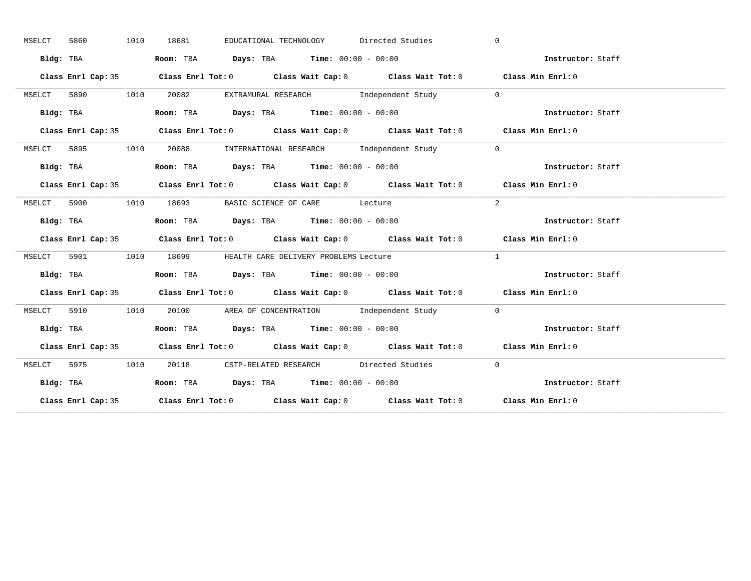| MSELCT | 5860 |           | 1010 | 18681 |                                                                                            | EDUCATIONAL TECHNOLOGY Directed Studies |            | $\Omega$                                                                                   |  |
|--------|------|-----------|------|-------|--------------------------------------------------------------------------------------------|-----------------------------------------|------------|--------------------------------------------------------------------------------------------|--|
|        |      | Bldg: TBA |      |       | Room: TBA $Days:$ TBA $Time: 00:00 - 00:00$                                                |                                         |            | Instructor: Staff                                                                          |  |
|        |      |           |      |       | Class Enrl Cap: 35 Class Enrl Tot: 0 Class Wait Cap: 0 Class Wait Tot: 0 Class Min Enrl: 0 |                                         |            |                                                                                            |  |
| MSELCT |      |           |      |       | 5890 1010 20082 EXTRAMURAL RESEARCH Independent Study 0                                    |                                         |            |                                                                                            |  |
|        |      | Bldg: TBA |      |       | Room: TBA $Days:$ TBA $Time: 00:00 - 00:00$                                                |                                         |            | Instructor: Staff                                                                          |  |
|        |      |           |      |       |                                                                                            |                                         |            | Class Enrl Cap: 35 Class Enrl Tot: 0 Class Wait Cap: 0 Class Wait Tot: 0 Class Min Enrl: 0 |  |
| MSELCT |      |           |      |       | 5895 1010 20088 INTERNATIONAL RESEARCH Independent Study                                   |                                         |            | $\overline{0}$                                                                             |  |
|        |      | Bldg: TBA |      |       | Room: TBA $Days:$ TBA Time: $00:00 - 00:00$                                                |                                         |            | Instructor: Staff                                                                          |  |
|        |      |           |      |       | Class Enrl Cap: 35 Class Enrl Tot: 0 Class Wait Cap: 0 Class Wait Tot: 0 Class Min Enrl: 0 |                                         |            |                                                                                            |  |
|        |      |           |      |       | MSELCT 5900 1010 18693 BASIC SCIENCE OF CARE Lecture                                       |                                         |            | 2                                                                                          |  |
|        |      | Bldg: TBA |      |       | Room: TBA $Days:$ TBA $Time: 00:00 - 00:00$                                                |                                         |            | Instructor: Staff                                                                          |  |
|        |      |           |      |       |                                                                                            |                                         |            | Class Enrl Cap: 35 Class Enrl Tot: 0 Class Wait Cap: 0 Class Wait Tot: 0 Class Min Enrl: 0 |  |
|        |      |           |      |       | MSELCT 5901 1010 18699 HEALTH CARE DELIVERY PROBLEMS Lecture                               |                                         |            | $\mathbf{1}$                                                                               |  |
|        |      |           |      |       |                                                                                            |                                         |            |                                                                                            |  |
|        |      | Bldg: TBA |      |       | Room: TBA $\rule{1em}{0.15mm}$ Days: TBA Time: $00:00 - 00:00$                             |                                         |            | Instructor: Staff                                                                          |  |
|        |      |           |      |       |                                                                                            |                                         |            | Class Enrl Cap: 35 Class Enrl Tot: 0 Class Wait Cap: 0 Class Wait Tot: 0 Class Min Enrl: 0 |  |
| MSELCT |      |           |      |       | 5910 1010 20100 AREA OF CONCENTRATION Independent Study 0                                  |                                         |            |                                                                                            |  |
|        |      |           |      |       |                                                                                            |                                         |            | Bldg: TBA Room: TBA Days: TBA Time: 00:00 - 00:00<br>Thetructor: Staff                     |  |
|        |      |           |      |       |                                                                                            |                                         |            | Class Enrl Cap: 35 Class Enrl Tot: 0 Class Wait Cap: 0 Class Wait Tot: 0 Class Min Enrl: 0 |  |
|        |      |           |      |       | MSELCT 5975 1010 20118 CSTP-RELATED RESEARCH Directed Studies                              |                                         | $\bigcirc$ |                                                                                            |  |
|        |      | Bldg: TBA |      |       | Room: TBA $\rule{1em}{0.15mm}$ Days: TBA Time: $00:00 - 00:00$                             |                                         |            | Instructor: Staff                                                                          |  |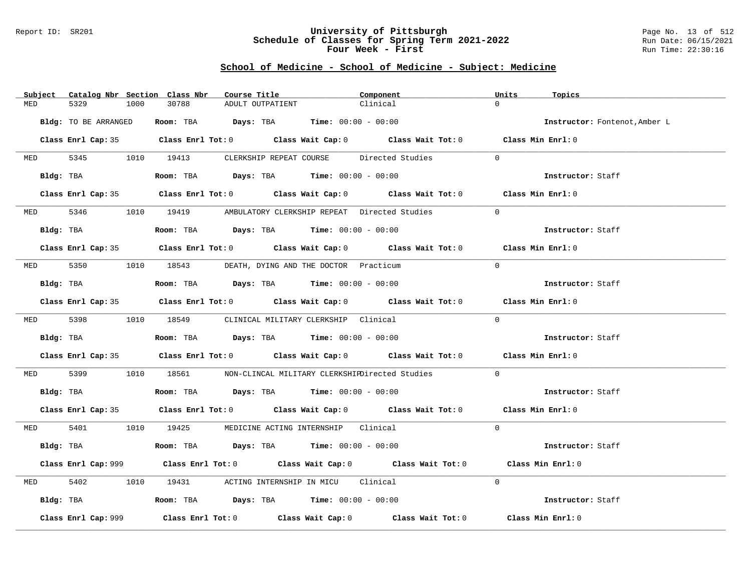### Report ID: SR201 **University of Pittsburgh** Page No. 13 of 512 **Schedule of Classes for Spring Term 2021-2022** Run Date: 06/15/2021 **Four Week - First** Run Time: 22:30:16

| Subject  | Catalog Nbr Section Class Nbr | Course Title                                                                         | Component                                                                                   | Units<br>Topics               |
|----------|-------------------------------|--------------------------------------------------------------------------------------|---------------------------------------------------------------------------------------------|-------------------------------|
| MED      | 5329<br>1000                  | 30788<br>ADULT OUTPATIENT                                                            | Clinical                                                                                    | $\Omega$                      |
|          | Bldg: TO BE ARRANGED          | Room: TBA $Days: TBA$ Time: $00:00 - 00:00$                                          |                                                                                             | Instructor: Fontenot, Amber L |
|          |                               |                                                                                      | Class Enrl Cap: 35 Class Enrl Tot: 0 Class Wait Cap: 0 Class Wait Tot: 0 Class Min Enrl: 0  |                               |
|          | MED 5345 1010 19413           |                                                                                      | CLERKSHIP REPEAT COURSE Directed Studies                                                    | $\Omega$                      |
|          | Bldg: TBA                     | Room: TBA $Days:$ TBA $Time: 00:00 - 00:00$                                          |                                                                                             | Instructor: Staff             |
|          |                               |                                                                                      | Class Enrl Cap: 35 Class Enrl Tot: 0 Class Wait Cap: 0 Class Wait Tot: 0 Class Min Enrl: 0  |                               |
|          |                               | MED 5346 1010 19419 AMBULATORY CLERKSHIP REPEAT Directed Studies                     |                                                                                             | $\Omega$                      |
|          |                               | Bldg: TBA                   Room: TBA         Days: TBA         Time: 00:00 - 00:00  |                                                                                             | Instructor: Staff             |
|          |                               |                                                                                      | Class Enrl Cap: 35 Class Enrl Tot: 0 Class Wait Cap: 0 Class Wait Tot: 0 Class Min Enrl: 0  |                               |
|          |                               | MED 5350 1010 18543 DEATH, DYING AND THE DOCTOR Practicum                            |                                                                                             | $\Omega$                      |
|          | Bldg: TBA                     | Room: TBA $\rule{1em}{0.15mm}$ Days: TBA Time: $00:00 - 00:00$                       |                                                                                             | Instructor: Staff             |
|          |                               |                                                                                      | Class Enrl Cap: 35 Class Enrl Tot: 0 Class Wait Cap: 0 Class Wait Tot: 0 Class Min Enrl: 0  |                               |
|          |                               | MED 5398 1010 18549 CLINICAL MILITARY CLERKSHIP Clinical                             |                                                                                             | $\Omega$                      |
|          |                               | <b>Bldg:</b> TBA <b>Room:</b> TBA <b>Days:</b> TBA <b>Time:</b> $00:00 - 00:00$      |                                                                                             | Instructor: Staff             |
|          |                               |                                                                                      | Class Enrl Cap: 35 Class Enrl Tot: 0 Class Wait Cap: 0 Class Wait Tot: 0 Class Min Enrl: 0  |                               |
| MED 5399 |                               |                                                                                      | 1010 18561 NON-CLINCAL MILITARY CLERKSHIFDirected Studies                                   | $\Omega$                      |
|          |                               | Bldg: TBA                   Room: TBA         Days: TBA        Time: $00:00 - 00:00$ |                                                                                             | Instructor: Staff             |
|          |                               |                                                                                      | Class Enrl Cap: 35 Class Enrl Tot: 0 Class Wait Cap: 0 Class Wait Tot: 0 Class Min Enrl: 0  |                               |
|          |                               | MED 5401 1010 19425 MEDICINE ACTING INTERNSHIP Clinical                              |                                                                                             | $\Omega$                      |
|          |                               | Bldg: TBA                    Room: TBA         Days: TBA         Time: 00:00 - 00:00 |                                                                                             | Instructor: Staff             |
|          |                               |                                                                                      | Class Enrl Cap: 999 Class Enrl Tot: 0 Class Wait Cap: 0 Class Wait Tot: 0 Class Min Enrl: 0 |                               |
| MED      | 5402                          | 1010 19431 ACTING INTERNSHIP IN MICU Clinical                                        |                                                                                             | $\Omega$                      |
|          |                               | Bldg: TBA                   Room: TBA         Days: TBA         Time: 00:00 - 00:00  |                                                                                             | Instructor: Staff             |
|          | Class Enrl Cap: 999           |                                                                                      | Class Enrl Tot: $0$ Class Wait Cap: $0$ Class Wait Tot: $0$ Class Min Enrl: $0$             |                               |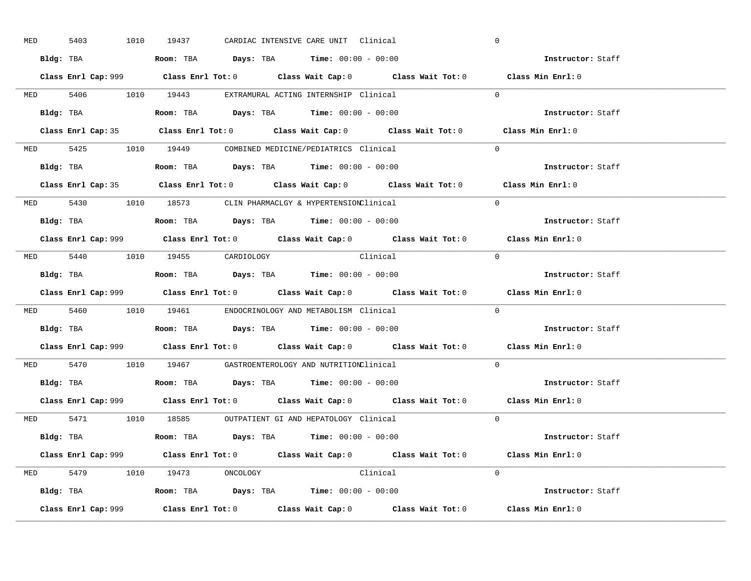| <b>MED</b> | 5403 |  | 1010 19437                                                                      |  | CARDIAC INTENSIVE CARE UNIT Clinical                                                   |                                                                                             | $\overline{0}$ |                          |  |
|------------|------|--|---------------------------------------------------------------------------------|--|----------------------------------------------------------------------------------------|---------------------------------------------------------------------------------------------|----------------|--------------------------|--|
|            |      |  |                                                                                 |  | Bldg: TBA                   Room: TBA        Days: TBA        Time: $00:00 - 00:00$    |                                                                                             |                | Instructor: Staff        |  |
|            |      |  |                                                                                 |  |                                                                                        | Class Enrl Cap: 999 Class Enrl Tot: 0 Class Wait Cap: 0 Class Wait Tot: 0 Class Min Enrl: 0 |                |                          |  |
|            |      |  |                                                                                 |  | MED 5406 1010 19443 EXTRAMURAL ACTING INTERNSHIP Clinical                              |                                                                                             | $\Omega$       |                          |  |
|            |      |  |                                                                                 |  |                                                                                        |                                                                                             |                | Instructor: Staff        |  |
|            |      |  |                                                                                 |  |                                                                                        | Class Enrl Cap: 35 Class Enrl Tot: 0 Class Wait Cap: 0 Class Wait Tot: 0 Class Min Enrl: 0  |                |                          |  |
|            |      |  |                                                                                 |  | MED 5425 1010 19449 COMBINED MEDICINE/PEDIATRICS Clinical                              |                                                                                             | $\Omega$       |                          |  |
|            |      |  |                                                                                 |  | Bldg: TBA                    Room: TBA         Days: TBA         Time: $00:00 - 00:00$ |                                                                                             |                | Instructor: Staff        |  |
|            |      |  |                                                                                 |  |                                                                                        | Class Enrl Cap: 35 Class Enrl Tot: 0 Class Wait Cap: 0 Class Wait Tot: 0 Class Min Enrl: 0  |                |                          |  |
|            |      |  |                                                                                 |  | MED 5430 1010 18573 CLIN PHARMACLGY & HYPERTENSIONClinical                             |                                                                                             | $\Omega$       |                          |  |
|            |      |  |                                                                                 |  | Bldg: TBA                    Room: TBA         Days: TBA         Time: $00:00 - 00:00$ |                                                                                             |                | Instructor: Staff        |  |
|            |      |  |                                                                                 |  |                                                                                        | Class Enrl Cap: 999 Class Enrl Tot: 0 Class Wait Cap: 0 Class Wait Tot: 0 Class Min Enrl: 0 |                |                          |  |
|            |      |  | MED 5440 1010 19455 CARDIOLOGY                                                  |  | Clinical                                                                               |                                                                                             | $\bigcirc$     |                          |  |
|            |      |  |                                                                                 |  | <b>Bldg:</b> TBA <b>ROOM:</b> TBA <b>Days:</b> TBA <b>Time:</b> $00:00 - 00:00$        |                                                                                             |                | Instructor: Staff        |  |
|            |      |  |                                                                                 |  |                                                                                        | Class Enrl Cap: 999 Class Enrl Tot: 0 Class Wait Cap: 0 Class Wait Tot: 0                   |                | Class Min Enrl: 0        |  |
|            |      |  |                                                                                 |  | MED 5460 1010 19461 ENDOCRINOLOGY AND METABOLISM Clinical                              |                                                                                             | $\Omega$       |                          |  |
| Bldg: TBA  |      |  |                                                                                 |  | Room: TBA $Days:$ TBA Time: $00:00 - 00:00$                                            |                                                                                             |                | <b>Instructor:</b> Staff |  |
|            |      |  |                                                                                 |  |                                                                                        | Class Enrl Cap: 999 Class Enrl Tot: 0 Class Wait Cap: 0 Class Wait Tot: 0 Class Min Enrl: 0 |                |                          |  |
|            |      |  |                                                                                 |  | MED 5470 1010 19467 GASTROENTEROLOGY AND NUTRITIONClinical                             |                                                                                             | $\Omega$       |                          |  |
|            |      |  |                                                                                 |  | Bldg: TBA                    Room: TBA         Days: TBA         Time: $00:00 - 00:00$ |                                                                                             |                | <b>Instructor:</b> Staff |  |
|            |      |  |                                                                                 |  |                                                                                        | Class Enrl Cap: 999 Class Enrl Tot: 0 Class Wait Cap: 0 Class Wait Tot: 0 Class Min Enrl: 0 |                |                          |  |
|            |      |  |                                                                                 |  | MED 5471 1010 18585 OUTPATIENT GI AND HEPATOLOGY Clinical                              |                                                                                             | $\Omega$       |                          |  |
|            |      |  |                                                                                 |  | Bldg: TBA                   Room: TBA        Days: TBA        Time: 00:00 - 00:00      |                                                                                             |                | Instructor: Staff        |  |
|            |      |  |                                                                                 |  |                                                                                        | Class Enrl Cap: 999 Class Enrl Tot: 0 Class Wait Cap: 0 Class Wait Tot: 0                   |                | Class Min Enrl: 0        |  |
|            |      |  | MED 5479 1010 19473 ONCOLOGY                                                    |  | Clinical                                                                               |                                                                                             | $\Omega$       |                          |  |
|            |      |  | <b>Bldg:</b> TBA <b>ROOM:</b> TBA <b>Days:</b> TBA <b>Time:</b> $00:00 - 00:00$ |  |                                                                                        |                                                                                             |                | Instructor: Staff        |  |
|            |      |  |                                                                                 |  |                                                                                        |                                                                                             |                |                          |  |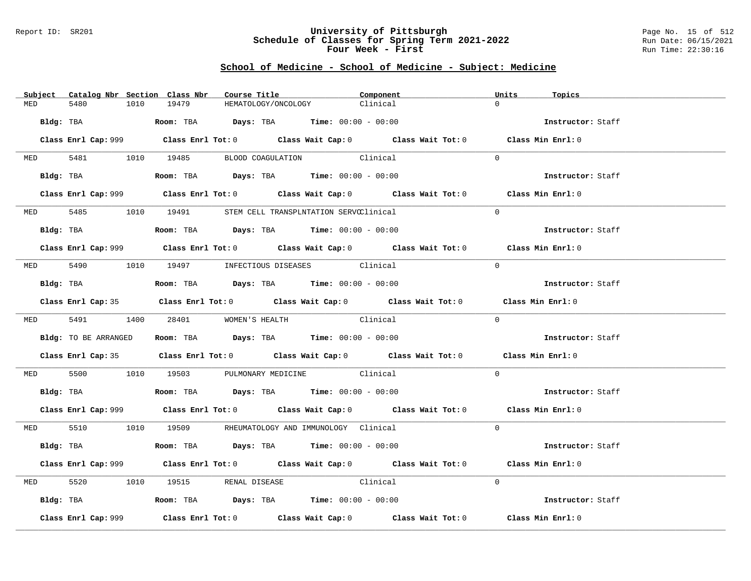### Report ID: SR201 **University of Pittsburgh** Page No. 15 of 512 **Schedule of Classes for Spring Term 2021-2022** Run Date: 06/15/2021 **Four Week - First** Run Time: 22:30:16

|          | Subject Catalog Nbr Section Class Nbr |                                                                                             | Course Title <b>Course In the Course I</b><br>Component | Units<br>Topics   |  |
|----------|---------------------------------------|---------------------------------------------------------------------------------------------|---------------------------------------------------------|-------------------|--|
| MED      | 5480<br>1010                          | 19479                                                                                       | Clinical<br>HEMATOLOGY/ONCOLOGY                         | $\Omega$          |  |
|          |                                       | $Bldg:$ TBA $Room:$ TBA $Days:$ TBA $Time:$ $00:00 - 00:00$                                 |                                                         | Instructor: Staff |  |
|          |                                       | Class Enrl Cap: 999 Class Enrl Tot: 0 Class Wait Cap: 0 Class Wait Tot: 0 Class Min Enrl: 0 |                                                         |                   |  |
|          |                                       | MED 5481 1010 19485 BLOOD COAGULATION Clinical                                              |                                                         | $\Omega$          |  |
|          |                                       | Bldg: TBA                  Room: TBA        Days: TBA        Time: 00:00 - 00:00            |                                                         | Instructor: Staff |  |
|          |                                       | Class Enrl Cap: 999 Class Enrl Tot: 0 Class Wait Cap: 0 Class Wait Tot: 0 Class Min Enrl: 0 |                                                         |                   |  |
|          |                                       | MED 5485 1010 19491 STEM CELL TRANSPLNTATION SERVCClinical                                  |                                                         | $\Omega$          |  |
|          |                                       | Bldg: TBA                   Room: TBA         Days: TBA         Time: $00:00 - 00:00$       |                                                         | Instructor: Staff |  |
|          |                                       | Class Enrl Cap: 999 Class Enrl Tot: 0 Class Wait Cap: 0 Class Wait Tot: 0 Class Min Enrl: 0 |                                                         |                   |  |
|          |                                       | MED 5490 1010 19497 INFECTIOUS DISEASES Clinical                                            |                                                         | $\Omega$          |  |
|          | Bldg: TBA                             | Room: TBA $Days: TBA$ Time: $00:00 - 00:00$                                                 |                                                         | Instructor: Staff |  |
|          |                                       | Class Enrl Cap: 35 Class Enrl Tot: 0 Class Wait Cap: 0 Class Wait Tot: 0 Class Min Enrl: 0  |                                                         |                   |  |
|          |                                       | MED 5491 1400 28401 WOMEN'S HEALTH                                                          | Clinical                                                | $\Omega$          |  |
|          |                                       | Bldg: TO BE ARRANGED Room: TBA Days: TBA Time: $00:00 - 00:00$                              |                                                         | Instructor: Staff |  |
|          |                                       | Class Enrl Cap: 35 Class Enrl Tot: 0 Class Wait Cap: 0 Class Wait Tot: 0 Class Min Enrl: 0  |                                                         |                   |  |
|          |                                       | MED 5500 1010 19503 PULMONARY MEDICINE Clinical                                             |                                                         | $\Omega$          |  |
|          |                                       | Bldg: TBA                    Room: TBA         Days: TBA         Time: $00:00 - 00:00$      |                                                         | Instructor: Staff |  |
|          |                                       | Class Enrl Cap: 999 Class Enrl Tot: 0 Class Wait Cap: 0 Class Wait Tot: 0 Class Min Enrl: 0 |                                                         |                   |  |
|          |                                       | MED 5510 1010 19509 RHEUMATOLOGY AND IMMUNOLOGY Clinical                                    |                                                         | $\Omega$          |  |
|          |                                       | Bldg: TBA                    Room: TBA         Days: TBA         Time: $00:00 - 00:00$      |                                                         | Instructor: Staff |  |
|          |                                       | Class Enrl Cap: 999 Class Enrl Tot: 0 Class Wait Cap: 0 Class Wait Tot: 0 Class Min Enrl: 0 |                                                         |                   |  |
| MED 5520 |                                       | 1010 19515 RENAL DISEASE Clinical                                                           |                                                         | $\Omega$          |  |
|          |                                       | Bldg: TBA                       Room: TBA           Days: TBA          Time: 00:00 - 00:00  |                                                         | Instructor: Staff |  |
|          | Class Enrl Cap: 999                   | Class Enrl Tot: $0$ Class Wait Cap: $0$ Class Wait Tot: $0$ Class Min Enrl: $0$             |                                                         |                   |  |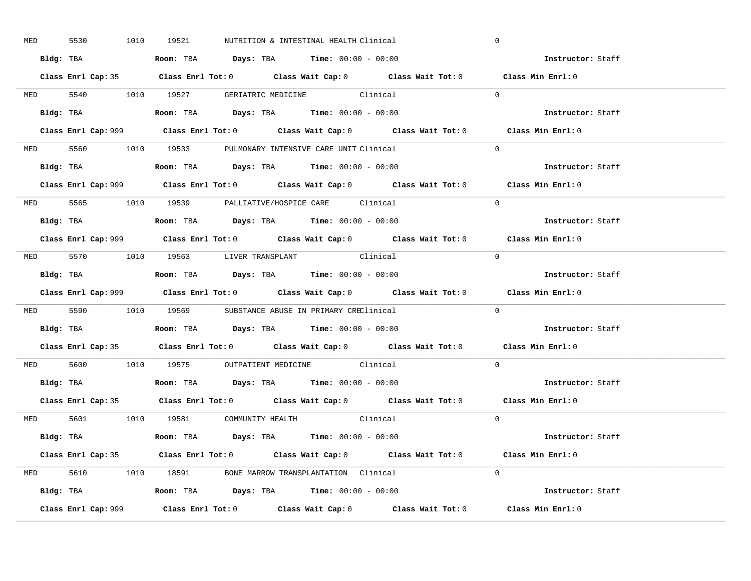| MED 5530 |  | 1010 19521 | NUTRITION & INTESTINAL HEALTH Clinical                                                        | $\mathbf 0$       |  |
|----------|--|------------|-----------------------------------------------------------------------------------------------|-------------------|--|
|          |  |            | Bldg: TBA                      Room: TBA         Days: TBA         Time: 00:00 - 00:00        | Instructor: Staff |  |
|          |  |            | Class Enrl Cap: 35 Class Enrl Tot: 0 Class Wait Cap: 0 Class Wait Tot: 0 Class Min Enrl: 0    |                   |  |
|          |  |            | MED 5540 1010 19527 GERIATRIC MEDICINE Clinical                                               | $\Omega$          |  |
|          |  |            |                                                                                               | Instructor: Staff |  |
|          |  |            |                                                                                               | Class Min Enrl: 0 |  |
|          |  |            | MED 5560 1010 19533 PULMONARY INTENSIVE CARE UNIT Clinical                                    | $\Omega$          |  |
|          |  |            | Bldg: TBA                   Room: TBA         Days: TBA         Time: 00:00 - 00:00           | Instructor: Staff |  |
|          |  |            | Class Enrl Cap: 999 Class Enrl Tot: 0 Class Wait Cap: 0 Class Wait Tot: 0 Class Min Enrl: 0   |                   |  |
|          |  |            | MED 5565 1010 19539 PALLIATIVE/HOSPICE CARE Clinical                                          | $\Omega$          |  |
|          |  |            | Bldg: TBA                   Room: TBA         Days: TBA         Time: $00:00 - 00:00$         | Instructor: Staff |  |
|          |  |            | Class Enrl Cap: 999 Class Enrl Tot: 0 Class Wait Cap: 0 Class Wait Tot: 0 Class Min Enrl: 0   |                   |  |
|          |  |            | MED 5570 1010 19563 LIVER TRANSPLANT Clinical                                                 | $\bigcap$         |  |
|          |  |            | Bldg: TBA                   Room: TBA         Days: TBA         Time: $00:00 - 00:00$         | Instructor: Staff |  |
|          |  |            | Class Enrl Cap: 999 Class Enrl Tot: 0 Class Wait Cap: 0 Class Wait Tot: 0 Class Min Enrl: 0   |                   |  |
|          |  |            | MED 5590 1010 19569 SUBSTANCE ABUSE IN PRIMARY CREClinical                                    | $\Omega$          |  |
|          |  |            | Bldg: TBA                   Room: TBA         Days: TBA         Time: 00:00 - 00:00           | Instructor: Staff |  |
|          |  |            | Class Enrl Cap: 35 Class Enrl Tot: 0 Class Wait Cap: 0 Class Wait Tot: 0 Class Min Enrl: 0    |                   |  |
|          |  |            | MED 5600 1010 19575 OUTPATIENT MEDICINE Clinical                                              | $\Omega$          |  |
|          |  |            | Bldg: TBA                   Room: TBA         Days: TBA         Time: $00:00 - 00:00$         | Instructor: Staff |  |
|          |  |            | Class Enrl Cap: 35 Class Enrl Tot: 0 Class Wait Cap: 0 Class Wait Tot: 0 Class Min Enrl: 0    |                   |  |
|          |  |            | MED 5601 1010 19581 COMMUNITY HEALTH Clinical                                                 | $\overline{0}$    |  |
|          |  |            | Bldg: TBA                        Room: TBA            Days: TBA           Time: 00:00 - 00:00 | Instructor: Staff |  |
|          |  |            | Class Enrl Cap: 35 Class Enrl Tot: 0 Class Wait Cap: 0 Class Wait Tot: 0 Class Min Enrl: 0    |                   |  |
|          |  |            |                                                                                               |                   |  |
|          |  |            | MED 5610 1010 18591 BONE MARROW TRANSPLANTATION Clinical                                      | $\Omega$          |  |
|          |  |            | Bldg: TBA                   Room: TBA         Days: TBA        Time: 00:00 - 00:00            | Instructor: Staff |  |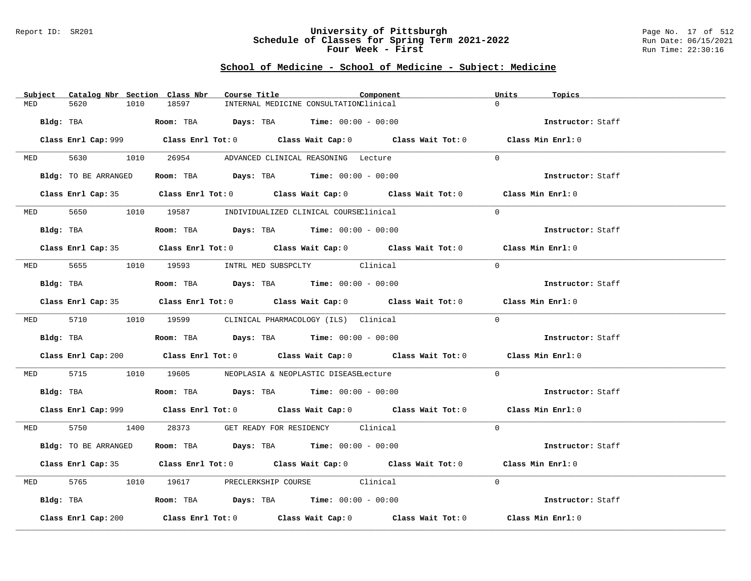### Report ID: SR201 **University of Pittsburgh** Page No. 17 of 512 **Schedule of Classes for Spring Term 2021-2022** Run Date: 06/15/2021 **Four Week - First** Run Time: 22:30:16

|          | Subject Catalog Nbr Section Class Nbr | Course Title                                                                                | Component | Units<br>Topics   |
|----------|---------------------------------------|---------------------------------------------------------------------------------------------|-----------|-------------------|
| MED      | 5620<br>1010                          | 18597<br>INTERNAL MEDICINE CONSULTATIONClinical                                             |           | $\Omega$          |
|          |                                       | Bldg: TBA                    Room: TBA         Days: TBA         Time: 00:00 - 00:00        |           | Instructor: Staff |
|          |                                       | Class Enrl Cap: 999 Class Enrl Tot: 0 Class Wait Cap: 0 Class Wait Tot: 0 Class Min Enrl: 0 |           |                   |
|          |                                       | MED 5630 1010 26954 ADVANCED CLINICAL REASONING Lecture                                     |           | $\Omega$          |
|          | Bldg: TO BE ARRANGED                  | Room: TBA $Days:$ TBA $Time: 00:00 - 00:00$                                                 |           | Instructor: Staff |
|          |                                       | Class Enrl Cap: 35 Class Enrl Tot: 0 Class Wait Cap: 0 Class Wait Tot: 0 Class Min Enrl: 0  |           |                   |
|          |                                       | MED 5650 1010 19587 INDIVIDUALIZED CLINICAL COURSEClinical                                  |           | $\Omega$          |
|          | Bldg: TBA                             | Room: TBA $Days:$ TBA $Time: 00:00 - 00:00$                                                 |           | Instructor: Staff |
|          |                                       | Class Enrl Cap: 35 Class Enrl Tot: 0 Class Wait Cap: 0 Class Wait Tot: 0 Class Min Enrl: 0  |           |                   |
|          |                                       | MED 5655 1010 19593 INTRL MED SUBSPCLTY Clinical                                            |           | $\Omega$          |
|          | Bldg: TBA                             | Room: TBA $Days:$ TBA Time: $00:00 - 00:00$                                                 |           | Instructor: Staff |
|          |                                       | Class Enrl Cap: 35 Class Enrl Tot: 0 Class Wait Cap: 0 Class Wait Tot: 0 Class Min Enrl: 0  |           |                   |
|          |                                       | MED 5710 1010 19599 CLINICAL PHARMACOLOGY (ILS) Clinical                                    |           | $\Omega$          |
|          |                                       | Bldg: TBA                   Room: TBA         Days: TBA         Time: $00:00 - 00:00$       |           | Instructor: Staff |
|          |                                       | Class Enrl Cap: 200 Class Enrl Tot: 0 Class Wait Cap: 0 Class Wait Tot: 0 Class Min Enrl: 0 |           |                   |
| MED 5715 |                                       | 1010 19605 NEOPLASIA & NEOPLASTIC DISEASELecture                                            |           | $\Omega$          |
|          |                                       | <b>Bldg:</b> TBA <b>ROOM:</b> TBA <b>Days:</b> TBA <b>Time:</b> $00:00 - 00:00$             |           | Instructor: Staff |
|          |                                       | Class Enrl Cap: 999 Class Enrl Tot: 0 Class Wait Cap: 0 Class Wait Tot: 0 Class Min Enrl: 0 |           |                   |
|          |                                       | MED 5750 1400 28373 GET READY FOR RESIDENCY Clinical                                        |           | $\Omega$          |
|          | Bldg: TO BE ARRANGED                  | Room: TBA $Days:$ TBA $Time: 00:00 - 00:00$                                                 |           | Instructor: Staff |
|          |                                       | Class Enrl Cap: 35 Class Enrl Tot: 0 Class Wait Cap: 0 Class Wait Tot: 0 Class Min Enrl: 0  |           |                   |
|          |                                       | MED 5765 1010 19617 PRECLERKSHIP COURSE Clinical                                            |           | $\Omega$          |
|          |                                       | Bldg: TBA                   Room: TBA         Days: TBA         Time: 00:00 - 00:00         |           | Instructor: Staff |
|          | Class Enrl Cap: 200                   | Class Enrl Tot: $0$ Class Wait Cap: $0$ Class Wait Tot: $0$ Class Min Enrl: $0$             |           |                   |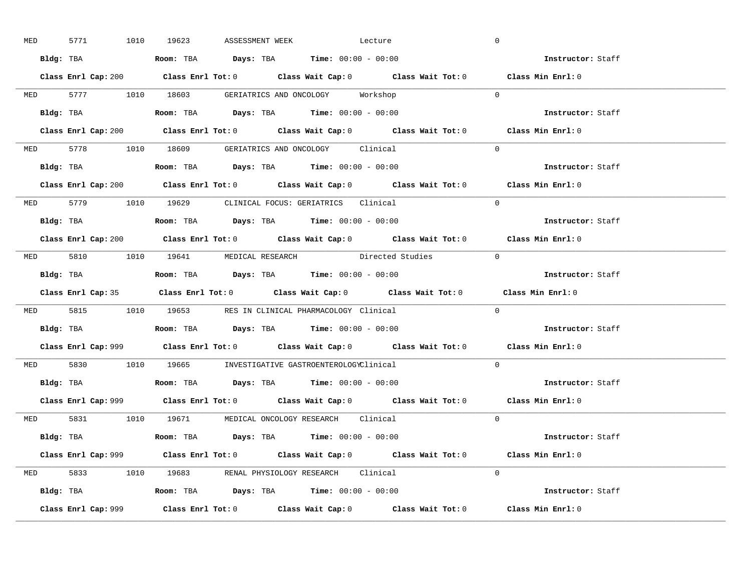| <b>MED</b> |           | 5771 1010 19623 | ASSESSMENT WEEK | Lecture                                                                                                                                                                                                                                                                                                        |                                                                           | $\overline{0}$                                                                              |  |
|------------|-----------|-----------------|-----------------|----------------------------------------------------------------------------------------------------------------------------------------------------------------------------------------------------------------------------------------------------------------------------------------------------------------|---------------------------------------------------------------------------|---------------------------------------------------------------------------------------------|--|
|            |           |                 |                 | Bldg: TBA                   Room: TBA         Days: TBA         Time: $00:00 - 00:00$                                                                                                                                                                                                                          |                                                                           | Instructor: Staff                                                                           |  |
|            |           |                 |                 |                                                                                                                                                                                                                                                                                                                |                                                                           | Class Enrl Cap: 200 Class Enrl Tot: 0 Class Wait Cap: 0 Class Wait Tot: 0 Class Min Enrl: 0 |  |
|            |           |                 |                 | MED 5777 1010 18603 GERIATRICS AND ONCOLOGY Workshop                                                                                                                                                                                                                                                           |                                                                           | $\overline{0}$                                                                              |  |
|            | Bldg: TBA |                 |                 | Room: TBA $\rule{1em}{0.15mm}$ Days: TBA $\rule{1.5mm}{0.15mm}$ Time: $00:00 - 00:00$                                                                                                                                                                                                                          |                                                                           | Instructor: Staff                                                                           |  |
|            |           |                 |                 |                                                                                                                                                                                                                                                                                                                | Class Enrl Cap: 200 Class Enrl Tot: 0 Class Wait Cap: 0 Class Wait Tot: 0 | Class Min Enrl: 0                                                                           |  |
|            |           |                 |                 | MED 5778 1010 18609 GERIATRICS AND ONCOLOGY Clinical                                                                                                                                                                                                                                                           |                                                                           | $\Omega$                                                                                    |  |
|            |           |                 |                 |                                                                                                                                                                                                                                                                                                                |                                                                           | Instructor: Staff                                                                           |  |
|            |           |                 |                 |                                                                                                                                                                                                                                                                                                                | Class Enrl Cap: 200 Class Enrl Tot: 0 Class Wait Cap: 0 Class Wait Tot: 0 | Class Min Enrl: 0                                                                           |  |
|            |           |                 |                 | MED 5779 1010 19629 CLINICAL FOCUS: GERIATRICS Clinical                                                                                                                                                                                                                                                        |                                                                           | $\Omega$                                                                                    |  |
|            |           |                 |                 | Bldg: TBA                   Room: TBA         Days: TBA         Time: 00:00 - 00:00                                                                                                                                                                                                                            |                                                                           | Instructor: Staff                                                                           |  |
|            |           |                 |                 |                                                                                                                                                                                                                                                                                                                |                                                                           | Class Enrl Cap: 200 Class Enrl Tot: 0 Class Wait Cap: 0 Class Wait Tot: 0 Class Min Enrl: 0 |  |
|            |           |                 |                 |                                                                                                                                                                                                                                                                                                                | MED 5810 1010 19641 MEDICAL RESEARCH Directed Studies 0                   |                                                                                             |  |
|            |           |                 |                 | Bldg: TBA                        Room: TBA            Days: TBA           Time: $00:00 - 00:00$                                                                                                                                                                                                                |                                                                           | Instructor: Staff                                                                           |  |
|            |           |                 |                 |                                                                                                                                                                                                                                                                                                                |                                                                           |                                                                                             |  |
|            |           |                 |                 |                                                                                                                                                                                                                                                                                                                |                                                                           | Class Enrl Cap: 35 Class Enrl Tot: 0 Class Wait Cap: 0 Class Wait Tot: 0 Class Min Enrl: 0  |  |
|            |           |                 |                 | MED 5815 1010 19653 RES IN CLINICAL PHARMACOLOGY Clinical                                                                                                                                                                                                                                                      |                                                                           | $\Omega$                                                                                    |  |
| Bldg: TBA  |           |                 |                 | <b>Room:</b> TBA $\rule{1em}{0.15mm}$ $\rule{1.5em}{0.15mm}$ $\rule{1.5em}{0.15mm}$ $\rule{1.5em}{0.15mm}$ $\rule{1.5em}{0.15mm}$ $\rule{1.5em}{0.15mm}$ $\rule{1.5em}{0.15mm}$ $\rule{1.5em}{0.15mm}$ $\rule{1.5em}{0.15mm}$ $\rule{1.5em}{0.15mm}$ $\rule{1.5em}{0.15mm}$ $\rule{1.5em}{0.15mm}$ $\rule{1.5$ |                                                                           | Instructor: Staff                                                                           |  |
|            |           |                 |                 |                                                                                                                                                                                                                                                                                                                |                                                                           | Class Enrl Cap: 999 Class Enrl Tot: 0 Class Wait Cap: 0 Class Wait Tot: 0 Class Min Enrl: 0 |  |
|            |           |                 |                 | MED 5830 1010 19665 INVESTIGATIVE GASTROENTEROLOGYClinical                                                                                                                                                                                                                                                     |                                                                           | $\Omega$                                                                                    |  |
|            |           |                 |                 | Bldg: TBA                    Room: TBA         Days: TBA         Time: $00:00 - 00:00$                                                                                                                                                                                                                         |                                                                           | Instructor: Staff                                                                           |  |
|            |           |                 |                 |                                                                                                                                                                                                                                                                                                                |                                                                           | Class Enrl Cap: 999 Class Enrl Tot: 0 Class Wait Cap: 0 Class Wait Tot: 0 Class Min Enrl: 0 |  |
|            |           |                 |                 | MED 5831 1010 19671 MEDICAL ONCOLOGY RESEARCH Clinical                                                                                                                                                                                                                                                         |                                                                           | $\Omega$                                                                                    |  |
|            |           |                 |                 | Bldg: TBA                    Room: TBA         Days: TBA         Time: 00:00 - 00:00                                                                                                                                                                                                                           |                                                                           | <b>Instructor:</b> Staff                                                                    |  |
|            |           |                 |                 |                                                                                                                                                                                                                                                                                                                |                                                                           | Class Enrl Cap: 999 Class Enrl Tot: 0 Class Wait Cap: 0 Class Wait Tot: 0 Class Min Enrl: 0 |  |
|            |           |                 |                 | MED 5833 1010 19683 RENAL PHYSIOLOGY RESEARCH Clinical                                                                                                                                                                                                                                                         |                                                                           | $\Omega$                                                                                    |  |
|            |           |                 |                 | Bldg: TBA                    Room: TBA         Days: TBA        Time: $00:00 - 00:00$                                                                                                                                                                                                                          |                                                                           | Instructor: Staff                                                                           |  |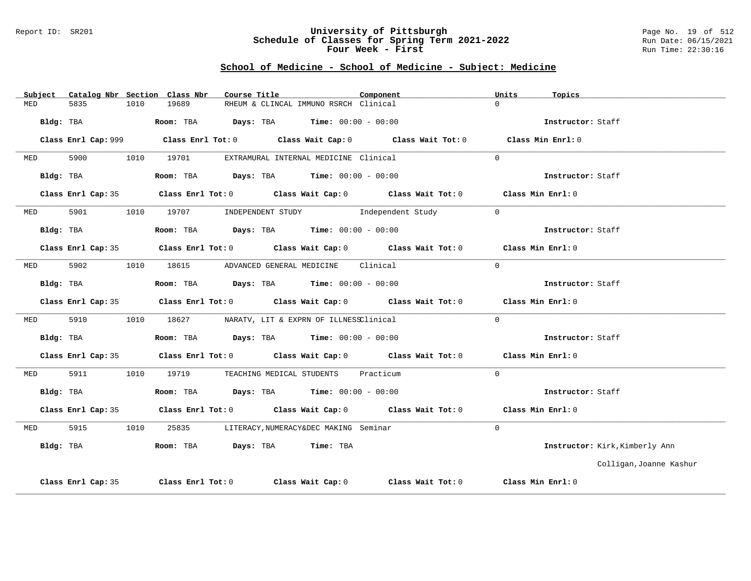#### Report ID: SR201 **University of Pittsburgh** Page No. 19 of 512 **Schedule of Classes for Spring Term 2021-2022** Run Date: 06/15/2021 **Four Week - First** Run Time: 22:30:16

|            |                    |      | Subject Catalog Nbr Section Class Nbr             | Course Title |                                                                | Component                                                                                           |          | Units | Topics                         |
|------------|--------------------|------|---------------------------------------------------|--------------|----------------------------------------------------------------|-----------------------------------------------------------------------------------------------------|----------|-------|--------------------------------|
| MED        | 5835               | 1010 | 19689                                             |              | RHEUM & CLINCAL IMMUNO RSRCH Clinical                          |                                                                                                     | $\cap$   |       |                                |
|            | Bldg: TBA          |      | Room: TBA $Days:$ TBA Time: $00:00 - 00:00$       |              |                                                                |                                                                                                     |          |       | Instructor: Staff              |
|            |                    |      |                                                   |              |                                                                | Class Enrl Cap: 999 Class Enrl Tot: 0 Class Wait Cap: 0 Class Wait Tot: 0 Class Min Enrl: 0         |          |       |                                |
| MED        | 5900               |      | 1010 19701                                        |              | EXTRAMURAL INTERNAL MEDICINE Clinical                          |                                                                                                     | $\Omega$ |       |                                |
|            | Bldg: TBA          |      |                                                   |              | Room: TBA $Days: TBA$ Time: $00:00 - 00:00$                    |                                                                                                     |          |       | Instructor: Staff              |
|            |                    |      |                                                   |              |                                                                | Class Enrl Cap: 35 $\qquad$ Class Enrl Tot: 0 $\qquad$ Class Wait Cap: 0 $\qquad$ Class Wait Tot: 0 |          |       | Class Min Enrl: 0              |
| MED        | 5901               |      |                                                   |              |                                                                | 1010 19707 INDEPENDENT STUDY Independent Study                                                      | $\Omega$ |       |                                |
|            | Bldg: TBA          |      |                                                   |              | Room: TBA $\rule{1em}{0.15mm}$ Days: TBA Time: $00:00 - 00:00$ |                                                                                                     |          |       | Instructor: Staff              |
|            |                    |      |                                                   |              |                                                                | Class Enrl Cap: 35 Class Enrl Tot: 0 Class Wait Cap: 0 Class Wait Tot: 0 Class Min Enrl: 0          |          |       |                                |
| <b>MED</b> | 5902               |      | 1010 18615 ADVANCED GENERAL MEDICINE Clinical     |              |                                                                |                                                                                                     | $\Omega$ |       |                                |
|            | Bldg: TBA          |      |                                                   |              | Room: TBA $\rule{1em}{0.15mm}$ Days: TBA Time: $00:00 - 00:00$ |                                                                                                     |          |       | Instructor: Staff              |
|            |                    |      |                                                   |              |                                                                | Class Enrl Cap: 35 Class Enrl Tot: 0 Class Wait Cap: 0 Class Wait Tot: 0 Class Min Enrl: 0          |          |       |                                |
| MED        | 5910               |      | 1010 18627 NARATV, LIT & EXPRN OF ILLNESSClinical |              |                                                                |                                                                                                     | $\Omega$ |       |                                |
|            | Bldg: TBA          |      | Room: TBA $Days:$ TBA $Time: 00:00 - 00:00$       |              |                                                                |                                                                                                     |          |       | Instructor: Staff              |
|            |                    |      |                                                   |              |                                                                | Class Enrl Cap: 35 Class Enrl Tot: 0 Class Wait Cap: 0 Class Wait Tot: 0 Class Min Enrl: 0          |          |       |                                |
| MED        | 5911               |      | 1010 19719 TEACHING MEDICAL STUDENTS Practicum    |              |                                                                |                                                                                                     | $\Omega$ |       |                                |
|            | Bldg: TBA          |      | Room: TBA $Days:$ TBA $Time:$ $00:00 - 00:00$     |              |                                                                |                                                                                                     |          |       | Instructor: Staff              |
|            |                    |      |                                                   |              |                                                                | Class Enrl Cap: 35 $\qquad$ Class Enrl Tot: 0 $\qquad$ Class Wait Cap: 0 $\qquad$ Class Wait Tot: 0 |          |       | Class Min Enrl: 0              |
| MED        | 5915               | 1010 |                                                   |              | 25835 LITERACY, NUMERACY&DEC MAKING Seminar                    |                                                                                                     | $\Omega$ |       |                                |
| Bldg: TBA  |                    |      | Room: TBA Days: TBA Time: TBA                     |              |                                                                |                                                                                                     |          |       | Instructor: Kirk, Kimberly Ann |
|            |                    |      |                                                   |              |                                                                |                                                                                                     |          |       | Colligan, Joanne Kashur        |
|            | Class Enrl Cap: 35 |      |                                                   |              |                                                                | Class Enrl Tot: $0$ Class Wait Cap: $0$ Class Wait Tot: $0$                                         |          |       | Class Min Enrl: 0              |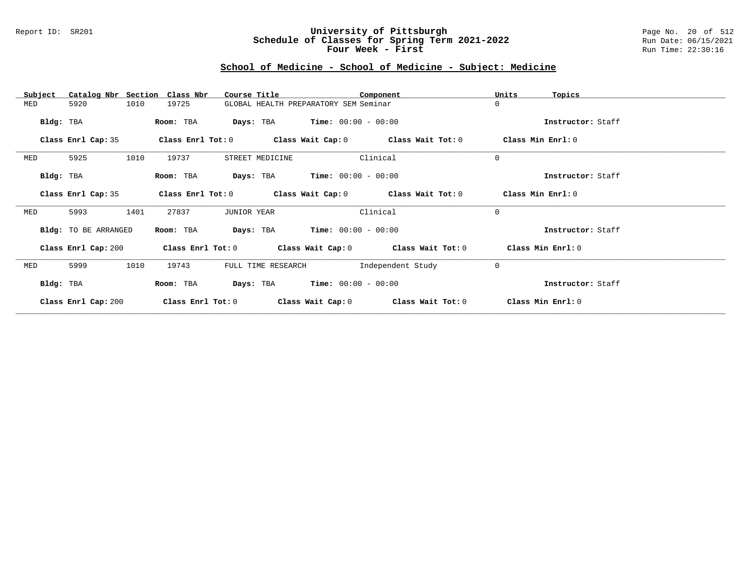### Report ID: SR201 **University of Pittsburgh** Page No. 20 of 512 **Schedule of Classes for Spring Term 2021-2022** Run Date: 06/15/2021 **Four Week - First** Run Time: 22:30:16

| Subject   | Catalog Nbr Section  |      | Class Nbr           | Course Title                                  | Component             |                                                             | Units             | Topics            |
|-----------|----------------------|------|---------------------|-----------------------------------------------|-----------------------|-------------------------------------------------------------|-------------------|-------------------|
| MED       | 5920                 | 1010 | 19725               | GLOBAL HEALTH PREPARATORY SEM Seminar         |                       |                                                             | $\Omega$          |                   |
| Bldg: TBA |                      |      | Room: TBA           | <b>Days:</b> TBA <b>Time:</b> $00:00 - 00:00$ |                       |                                                             |                   | Instructor: Staff |
|           | Class Enrl Cap: 35   |      |                     |                                               |                       | Class Enrl Tot: $0$ Class Wait Cap: $0$ Class Wait Tot: $0$ |                   | Class Min Enrl: 0 |
| MED       | 5925                 | 1010 | 19737               | STREET MEDICINE                               |                       | Clinical                                                    | $\mathbf 0$       |                   |
| Bldg: TBA |                      |      | Room: TBA           | <b>Days:</b> TBA <b>Time:</b> $00:00 - 00:00$ |                       |                                                             |                   | Instructor: Staff |
|           | Class Enrl Cap: 35   |      |                     |                                               |                       | Class Enrl Tot: $0$ Class Wait Cap: $0$ Class Wait Tot: $0$ | Class Min Enrl: 0 |                   |
| MED       | 5993                 | 1401 | 27837               | <b>JUNIOR YEAR</b>                            |                       | Clinical                                                    | $\Omega$          |                   |
|           | Bldg: TO BE ARRANGED |      | Room: TBA           | Days: TBA                                     | $Time: 00:00 - 00:00$ |                                                             |                   | Instructor: Staff |
|           | Class Enrl Cap: 200  |      |                     |                                               |                       | Class Enrl Tot: $0$ Class Wait Cap: $0$ Class Wait Tot: $0$ | Class Min Enrl: 0 |                   |
| MED       | 5999                 | 1010 | 19743               | FULL TIME RESEARCH                            |                       | Independent Study                                           | $\mathbf 0$       |                   |
| Bldg: TBA |                      |      | Room: TBA           | <b>Days:</b> TBA <b>Time:</b> $00:00 - 00:00$ |                       |                                                             |                   | Instructor: Staff |
|           | Class Enrl Cap: 200  |      | Class Enrl Tot: $0$ |                                               |                       | Class Wait Cap: 0 Class Wait Tot: 0                         |                   | Class Min Enrl: 0 |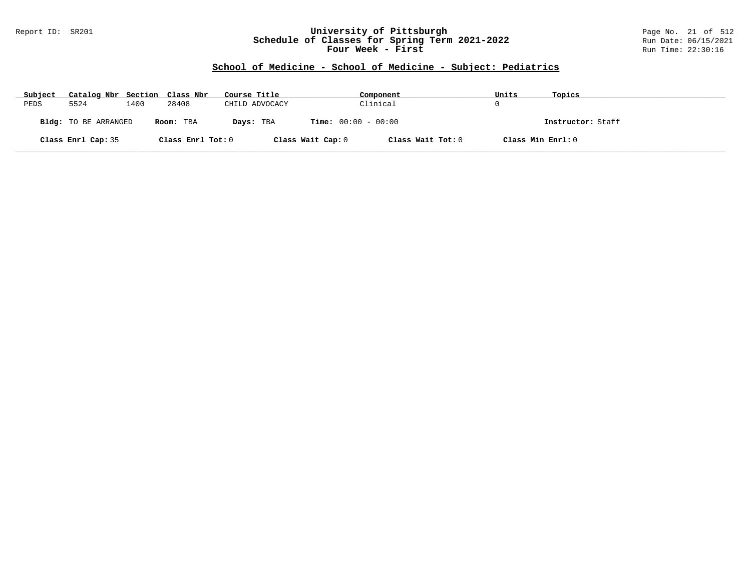### Report ID: SR201 **University of Pittsburgh** Page No. 21 of 512 **Schedule of Classes for Spring Term 2021-2022** Run Date: 06/15/2021 **Four Week - First** Run Time: 22:30:16

| Subject | Catalog Nbr Section Class Nbr |      |                   | Course Title   |                              | Component         | Units | Topics            |
|---------|-------------------------------|------|-------------------|----------------|------------------------------|-------------------|-------|-------------------|
| PEDS    | 5524                          | 1400 | 28408             | CHILD ADVOCACY |                              | Clinical          |       |                   |
|         | Bldg: TO BE ARRANGED          |      | Room: TBA         | Days: TBA      | <b>Time:</b> $00:00 - 00:00$ |                   |       | Instructor: Staff |
|         | Class Enrl Cap: 35            |      | Class Enrl Tot: 0 |                | Class Wait Cap: 0            | Class Wait Tot: 0 |       | Class Min Enrl: 0 |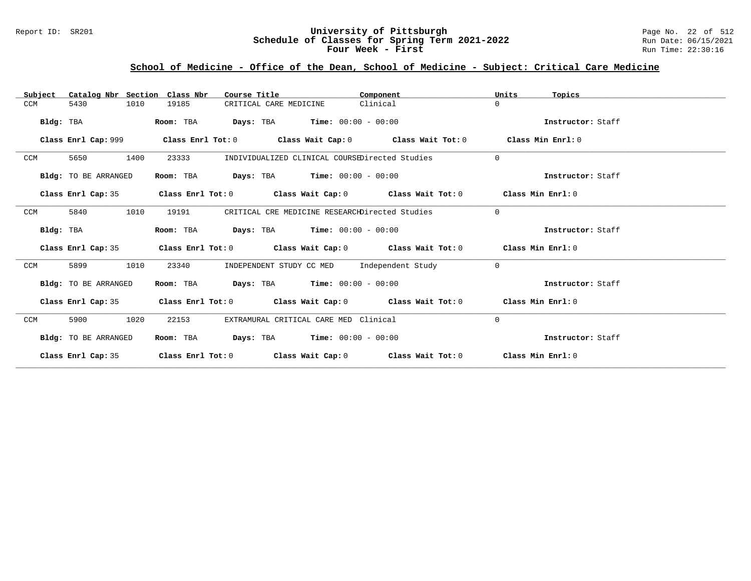### Report ID: SR201 **University of Pittsburgh** Page No. 22 of 512 **Schedule of Classes for Spring Term 2021-2022** Run Date: 06/15/2021 **Four Week - First** Run Time: 22:30:16

# **School of Medicine - Office of the Dean, School of Medicine - Subject: Critical Care Medicine**

| Catalog Nbr Section Class Nbr<br>Subject | Course Title                                                                                       | Component | Units<br>Topics   |
|------------------------------------------|----------------------------------------------------------------------------------------------------|-----------|-------------------|
| 1010<br>CCM<br>5430                      | 19185<br>CRITICAL CARE MEDICINE                                                                    | Clinical  | $\Omega$          |
| Bldg: TBA                                | <b>Days:</b> TBA <b>Time:</b> $00:00 - 00:00$<br>Room: TBA                                         |           | Instructor: Staff |
|                                          | Class Enrl Cap: 999 Class Enrl Tot: 0 Class Wait Cap: 0 Class Wait Tot: 0 Class Min Enrl: 0        |           |                   |
| 1400<br>CCM<br>5650                      | 23333<br>INDIVIDUALIZED CLINICAL COURSEDirected Studies                                            |           | $\Omega$          |
| Bldg: TO BE ARRANGED                     | $\texttt{Days:}$ TBA $\texttt{Time:}$ 00:00 - 00:00<br>Room: TBA                                   |           | Instructor: Staff |
| Class Enrl Cap: 35                       | Class Enrl Tot: 0 $\qquad$ Class Wait Cap: 0 $\qquad$ Class Wait Tot: 0 $\qquad$ Class Min Enrl: 0 |           |                   |
| 5840<br>1010<br>CCM                      | 19191<br>CRITICAL CRE MEDICINE RESEARCHDirected Studies                                            |           | $\Omega$          |
| Bldg: TBA                                | <b>Days:</b> TBA <b>Time:</b> $00:00 - 00:00$<br>Room: TBA                                         |           | Instructor: Staff |
| Class Enrl Cap: 35                       | Class Enrl Tot: $0$ Class Wait Cap: $0$ Class Wait Tot: $0$ Class Min Enrl: $0$                    |           |                   |
| 1010<br>CCM<br>5899                      | INDEPENDENT STUDY CC MED Independent Study<br>23340                                                |           | $\Omega$          |
| Bldg: TO BE ARRANGED                     | Room: TBA $\rule{1em}{0.15mm}$ Days: TBA $\rule{1.5mm}{0.15mm}$ Time: $00:00 - 00:00$              |           | Instructor: Staff |
| Class Enrl Cap: 35                       | Class Enrl Tot: $0$ Class Wait Cap: $0$ Class Wait Tot: $0$ Class Min Enrl: $0$                    |           |                   |
| 1020<br>CCM<br>5900                      | EXTRAMURAL CRITICAL CARE MED Clinical<br>22153                                                     |           | $\Omega$          |
| Bldg: TO BE ARRANGED                     | <b>Days:</b> TBA <b>Time:</b> $00:00 - 00:00$<br>Room: TBA                                         |           | Instructor: Staff |
| Class Enrl Cap: 35                       | Class Enrl Tot: $0$ Class Wait Cap: $0$ Class Wait Tot: $0$ Class Min Enrl: $0$                    |           |                   |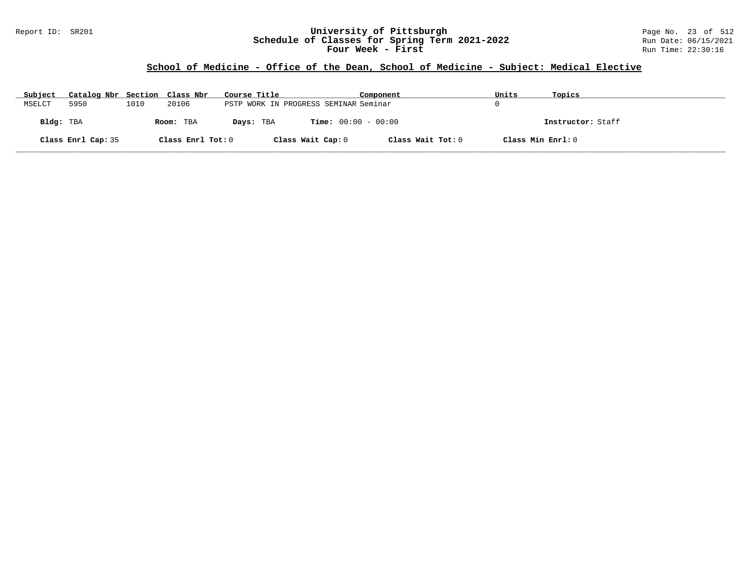### Report ID: SR201 **University of Pittsburgh** Page No. 23 of 512 **Schedule of Classes for Spring Term 2021-2022** Run Date: 06/15/2021 **Four Week - First** Run Time: 22:30:16

# **School of Medicine - Office of the Dean, School of Medicine - Subject: Medical Elective**

| Subject   | Catalog Nbr Section Class Nbr |      |                   | Course Title                          |                              | Component         | Units             | Topics            |
|-----------|-------------------------------|------|-------------------|---------------------------------------|------------------------------|-------------------|-------------------|-------------------|
| MSELCT    | 5950                          | 1010 | 20106             | PSTP WORK IN PROGRESS SEMINAR Seminar |                              |                   |                   |                   |
| Bldg: TBA |                               |      | Room: TBA         | Days: TBA                             | <b>Time:</b> $00:00 - 00:00$ |                   |                   | Instructor: Staff |
|           | Class Enrl Cap: 35            |      | Class Enrl Tot: 0 |                                       | Class Wait Cap: 0            | Class Wait Tot: 0 | Class Min Enrl: 0 |                   |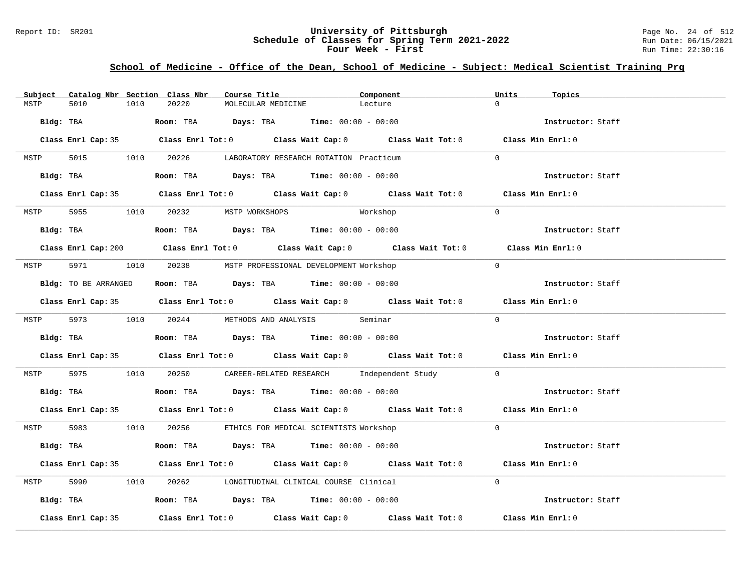### Report ID: SR201 **University of Pittsburgh University of Pittsburgh** Page No. 24 of 512<br>**Schedule of Classes for Spring Term 2021-2022** Run Date: 06/15/2021 **Schedule of Classes for Spring Term 2021-2022** Run Date: 06/15/2021 **Four Week - First** Run Time: 22:30:16

# **School of Medicine - Office of the Dean, School of Medicine - Subject: Medical Scientist Training Prg**

| Subject   |                    |      | Catalog Nbr Section Class Nbr  | Course Title |                    |                                                                                            | Component                                                                                   | Units    | Topics            |
|-----------|--------------------|------|--------------------------------|--------------|--------------------|--------------------------------------------------------------------------------------------|---------------------------------------------------------------------------------------------|----------|-------------------|
| MSTP      | 5010               | 1010 | 20220                          |              | MOLECULAR MEDICINE | Lecture                                                                                    |                                                                                             | $\cap$   |                   |
| Bldg: TBA |                    |      |                                |              |                    | <b>ROOM:</b> TBA <b>Days:</b> TBA <b>Time:</b> $00:00 - 00:00$                             |                                                                                             |          | Instructor: Staff |
|           |                    |      |                                |              |                    |                                                                                            | Class Enrl Cap: 35 Class Enrl Tot: 0 Class Wait Cap: 0 Class Wait Tot: 0 Class Min Enrl: 0  |          |                   |
| MSTP      |                    |      |                                |              |                    | 5015 1010 20226 LABORATORY RESEARCH ROTATION Practicum                                     |                                                                                             | $\Omega$ |                   |
|           |                    |      |                                |              |                    | Bldg: TBA                   Room: TBA        Days: TBA        Time: 00:00 - 00:00          |                                                                                             |          | Instructor: Staff |
|           |                    |      |                                |              |                    |                                                                                            | Class Enrl Cap: 35 Class Enrl Tot: 0 Class Wait Cap: 0 Class Wait Tot: 0 Class Min Enrl: 0  |          |                   |
| MSTP      |                    |      | 5955 1010 20232 MSTP WORKSHOPS |              |                    |                                                                                            | Workshop                                                                                    | $\Omega$ |                   |
|           |                    |      |                                |              |                    | Bldg: TBA                    Room: TBA         Days: TBA         Time: $00:00 - 00:00$     |                                                                                             |          | Instructor: Staff |
|           |                    |      |                                |              |                    |                                                                                            | Class Enrl Cap: 200 Class Enrl Tot: 0 Class Wait Cap: 0 Class Wait Tot: 0 Class Min Enrl: 0 |          |                   |
|           |                    |      |                                |              |                    | MSTP 5971 1010 20238 MSTP PROFESSIONAL DEVELOPMENT Workshop                                |                                                                                             | $\Omega$ |                   |
|           |                    |      |                                |              |                    | Bldg: TO BE ARRANGED Room: TBA Days: TBA Time: 00:00 - 00:00                               |                                                                                             |          | Instructor: Staff |
|           |                    |      |                                |              |                    |                                                                                            | Class Enrl Cap: 35 Class Enrl Tot: 0 Class Wait Cap: 0 Class Wait Tot: 0 Class Min Enrl: 0  |          |                   |
|           |                    |      |                                |              |                    | MSTP 5973 1010 20244 METHODS AND ANALYSIS Seminar                                          |                                                                                             | $\cap$   |                   |
|           |                    |      |                                |              |                    | Bldg: TBA                        Room: TBA         Days: TBA         Time: $00:00 - 00:00$ |                                                                                             |          | Instructor: Staff |
|           |                    |      |                                |              |                    |                                                                                            | Class Enrl Cap: 35 Class Enrl Tot: 0 Class Wait Cap: 0 Class Wait Tot: 0 Class Min Enrl: 0  |          |                   |
| MSTP      |                    |      |                                |              |                    |                                                                                            | 5975 1010 20250 CAREER-RELATED RESEARCH Independent Study 0                                 |          |                   |
|           |                    |      |                                |              |                    | Bldg: TBA                    Room: TBA         Days: TBA         Time: 00:00 - 00:00       |                                                                                             |          | Instructor: Staff |
|           |                    |      |                                |              |                    |                                                                                            | Class Enrl Cap: 35 Class Enrl Tot: 0 Class Wait Cap: 0 Class Wait Tot: 0 Class Min Enrl: 0  |          |                   |
|           |                    |      |                                |              |                    | MSTP 5983 1010 20256 ETHICS FOR MEDICAL SCIENTISTS Workshop                                |                                                                                             | $\Omega$ |                   |
|           |                    |      |                                |              |                    | Bldg: TBA                   Room: TBA         Days: TBA         Time: 00:00 - 00:00        |                                                                                             |          | Instructor: Staff |
|           |                    |      |                                |              |                    |                                                                                            | Class Enrl Cap: 35 Class Enrl Tot: 0 Class Wait Cap: 0 Class Wait Tot: 0 Class Min Enrl: 0  |          |                   |
| MSTP      | 5990 700           |      |                                |              |                    | 1010 20262 LONGITUDINAL CLINICAL COURSE Clinical                                           |                                                                                             | $\Omega$ |                   |
|           |                    |      |                                |              |                    | Bldg: TBA                   Room: TBA         Days: TBA         Time: 00:00 - 00:00        |                                                                                             |          | Instructor: Staff |
|           | Class Enrl Cap: 35 |      |                                |              |                    |                                                                                            | Class Enrl Tot: $0$ Class Wait Cap: $0$ Class Wait Tot: $0$ Class Min Enrl: $0$             |          |                   |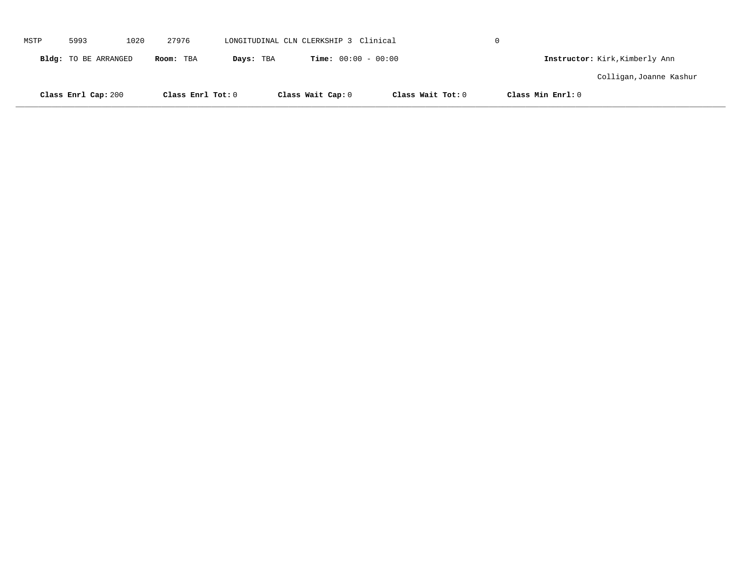|      | Class Enrl Cap: 200  |      | Class Enrl Tot: 0 |           | Class Wait Cap: 0                     |                              | Class Wait Tot: 0 | Class Min Enrl: 0 |                                |  |
|------|----------------------|------|-------------------|-----------|---------------------------------------|------------------------------|-------------------|-------------------|--------------------------------|--|
|      |                      |      |                   |           |                                       |                              |                   |                   | Colligan, Joanne Kashur        |  |
|      | Bldg: TO BE ARRANGED |      | Room: TBA         | Days: TBA |                                       | <b>Time:</b> $00:00 - 00:00$ |                   |                   | Instructor: Kirk, Kimberly Ann |  |
| MSTP | 5993                 | 1020 | 27976             |           | LONGITUDINAL CLN CLERKSHIP 3 Clinical |                              |                   | $\Omega$          |                                |  |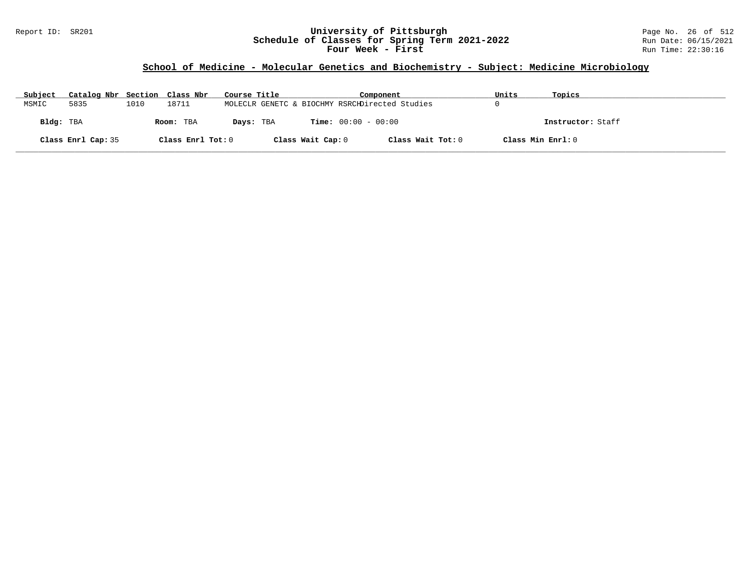### Report ID: SR201 **University of Pittsburgh** Page No. 26 of 512 **Schedule of Classes for Spring Term 2021-2022** Run Date: 06/15/2021 **Four Week - First** Run Time: 22:30:16

# **School of Medicine - Molecular Genetics and Biochemistry - Subject: Medicine Microbiology**

| Subject   | Catalog Nbr Section Class Nbr |      |                   | Course Title                                   |                   | Component                    |                   | Units             | Topics            |
|-----------|-------------------------------|------|-------------------|------------------------------------------------|-------------------|------------------------------|-------------------|-------------------|-------------------|
| MSMIC     | 5835                          | 1010 | 18711             | MOLECLR GENETC & BIOCHMY RSRCHDirected Studies |                   |                              |                   |                   |                   |
| Bldg: TBA |                               |      | Room: TBA         | Days: TBA                                      |                   | <b>Time:</b> $00:00 - 00:00$ |                   |                   | Instructor: Staff |
|           | Class Enrl Cap: 35            |      | Class Enrl Tot: 0 |                                                | Class Wait Cap: 0 |                              | Class Wait Tot: 0 | Class Min Enrl: 0 |                   |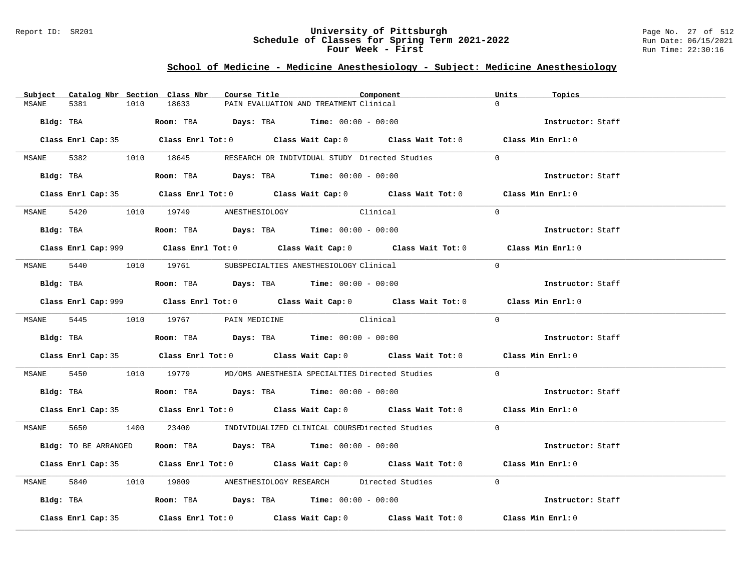### Report ID: SR201 **University of Pittsburgh** Page No. 27 of 512 **Schedule of Classes for Spring Term 2021-2022** Run Date: 06/15/2021 **Four Week - First** Run Time: 22:30:16

# **School of Medicine - Medicine Anesthesiology - Subject: Medicine Anesthesiology**

| Subject      |                      |      | Catalog Nbr Section Class Nbr        | Course Title |                                                                                               | Component                                                                                           | Units          | Topics            |
|--------------|----------------------|------|--------------------------------------|--------------|-----------------------------------------------------------------------------------------------|-----------------------------------------------------------------------------------------------------|----------------|-------------------|
| MSANE        | 5381                 | 1010 | 18633                                |              | PAIN EVALUATION AND TREATMENT Clinical                                                        |                                                                                                     | $\Omega$       |                   |
|              | Bldg: TBA            |      |                                      |              | Room: TBA $Days:$ TBA $Time: 00:00 - 00:00$                                                   |                                                                                                     |                | Instructor: Staff |
|              |                      |      |                                      |              |                                                                                               | Class Enrl Cap: 35 $\qquad$ Class Enrl Tot: 0 $\qquad$ Class Wait Cap: 0 $\qquad$ Class Wait Tot: 0 |                | Class Min Enrl: 0 |
|              |                      |      |                                      |              |                                                                                               | MSANE 5382 1010 18645 RESEARCH OR INDIVIDUAL STUDY Directed Studies                                 | $\Omega$       |                   |
|              |                      |      |                                      |              | Bldg: TBA                   Room: TBA         Days: TBA        Time: 00:00 - 00:00            |                                                                                                     |                | Instructor: Staff |
|              |                      |      |                                      |              |                                                                                               | Class Enrl Cap: 35 Class Enrl Tot: 0 Class Wait Cap: 0 Class Wait Tot: 0 Class Min Enrl: 0          |                |                   |
|              |                      |      | MSANE 5420 1010 19749 ANESTHESIOLOGY |              | Clinical                                                                                      |                                                                                                     | $\Omega$       |                   |
|              |                      |      |                                      |              | Bldg: TBA                          Room: TBA          Days: TBA         Time: $00:00 - 00:00$ |                                                                                                     |                | Instructor: Staff |
|              |                      |      |                                      |              |                                                                                               | Class Enrl Cap: 999 Class Enrl Tot: 0 Class Wait Cap: 0 Class Wait Tot: 0 Class Min Enrl: 0         |                |                   |
|              |                      |      |                                      |              | MSANE 5440 1010 19761 SUBSPECIALTIES ANESTHESIOLOGY Clinical                                  |                                                                                                     | $\Omega$       |                   |
|              |                      |      |                                      |              | Bldg: TBA                    Room: TBA         Days: TBA         Time: $00:00 - 00:00$        |                                                                                                     |                | Instructor: Staff |
|              |                      |      |                                      |              |                                                                                               | Class Enrl Cap: 999 Class Enrl Tot: 0 Class Wait Cap: 0 Class Wait Tot: 0 Class Min Enrl: 0         |                |                   |
|              |                      |      |                                      |              | MSANE 5445 1010 19767 PAIN MEDICINE Clinical                                                  |                                                                                                     | $\Omega$       |                   |
|              |                      |      |                                      |              | Bldg: TBA                          Room: TBA          Days: TBA         Time: $00:00 - 00:00$ |                                                                                                     |                | Instructor: Staff |
|              |                      |      |                                      |              |                                                                                               | Class Enrl Cap: 35 Class Enrl Tot: 0 Class Wait Cap: 0 Class Wait Tot: 0 Class Min Enrl: 0          |                |                   |
| <b>MSANE</b> |                      |      |                                      |              |                                                                                               | 5450 1010 19779 MD/OMS ANESTHESIA SPECIALTIES Directed Studies                                      | $\overline{0}$ |                   |
|              |                      |      |                                      |              | Bldg: TBA                    Room: TBA          Days: TBA         Time: 00:00 - 00:00         |                                                                                                     |                | Instructor: Staff |
|              |                      |      |                                      |              |                                                                                               | Class Enrl Cap: 35 Class Enrl Tot: 0 Class Wait Cap: 0 Class Wait Tot: 0 Class Min Enrl: 0          |                |                   |
|              |                      |      |                                      |              |                                                                                               | MSANE 5650 1400 23400 INDIVIDUALIZED CLINICAL COURSEDirected Studies 0                              |                |                   |
|              | Bldg: TO BE ARRANGED |      |                                      |              | Room: TBA $Days: TBA$ Time: $00:00 - 00:00$                                                   |                                                                                                     |                | Instructor: Staff |
|              |                      |      |                                      |              |                                                                                               | Class Enrl Cap: 35 Class Enrl Tot: 0 Class Wait Cap: 0 Class Wait Tot: 0 Class Min Enrl: 0          |                |                   |
|              |                      |      |                                      |              |                                                                                               | MSANE 5840 1010 19809 ANESTHESIOLOGY RESEARCH Directed Studies                                      | $\Omega$       |                   |
|              |                      |      |                                      |              | Bldg: TBA                     Room: TBA          Days: TBA         Time: $00:00 - 00:00$      |                                                                                                     |                | Instructor: Staff |
|              | Class Enrl Cap: 35   |      |                                      |              |                                                                                               | Class Enrl Tot: 0 $\qquad$ Class Wait Cap: 0 $\qquad$ Class Wait Tot: 0 $\qquad$ Class Min Enrl: 0  |                |                   |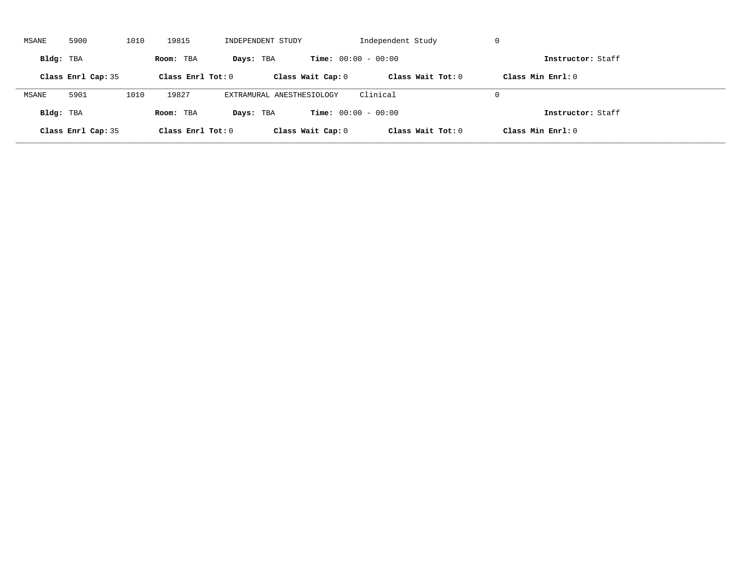| MSANE     | 5900               | 1010 | 19815               | INDEPENDENT STUDY         |                              | Independent Study   | -U                  |  |
|-----------|--------------------|------|---------------------|---------------------------|------------------------------|---------------------|---------------------|--|
| Bldg: TBA |                    |      | Room: TBA           | Days: TBA                 | <b>Time:</b> $00:00 - 00:00$ |                     | Instructor: Staff   |  |
|           | Class Enrl Cap: 35 |      | Class Enrl Tot: $0$ |                           | Class Wait Cap: 0            | Class Wait $Tot: 0$ | Class Min $Enrl: 0$ |  |
| MSANE     | 5901               | 1010 | 19827               | EXTRAMURAL ANESTHESIOLOGY |                              | Clinical            | $\Omega$            |  |
| Bldg: TBA |                    |      | Room: TBA           | Days: TBA                 | <b>Time:</b> $00:00 - 00:00$ |                     | Instructor: Staff   |  |
|           | Class Enrl Cap: 35 |      | Class Enrl Tot: $0$ |                           | Class Wait Cap: 0            | Class Wait Tot: 0   | Class Min Enrl: 0   |  |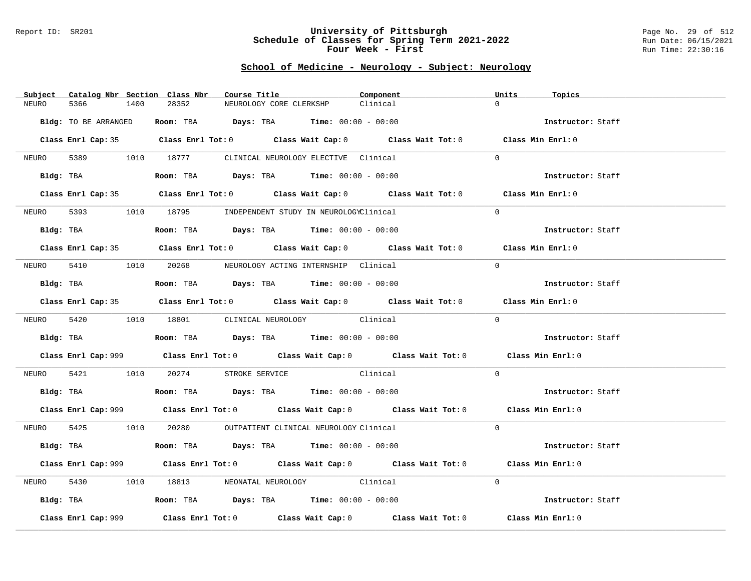#### Report ID: SR201 **University of Pittsburgh** Page No. 29 of 512 **Schedule of Classes for Spring Term 2021-2022** Run Date: 06/15/2021 **Four Week - First** Run Time: 22:30:16

# **School of Medicine - Neurology - Subject: Neurology**

| Subject    | Catalog Nbr Section Class Nbr | Course Title                                                                                  |                                             | Component                                                                                   | Units<br>Topics   |  |
|------------|-------------------------------|-----------------------------------------------------------------------------------------------|---------------------------------------------|---------------------------------------------------------------------------------------------|-------------------|--|
| NEURO      | 5366<br>1400                  | 28352                                                                                         | NEUROLOGY CORE CLERKSHP                     | Clinical                                                                                    | $\Omega$          |  |
|            | Bldg: TO BE ARRANGED          |                                                                                               | Room: TBA $Days: TBA$ Time: $00:00 - 00:00$ |                                                                                             | Instructor: Staff |  |
|            |                               |                                                                                               |                                             | Class Enrl Cap: 35 Class Enrl Tot: 0 Class Wait Cap: 0 Class Wait Tot: 0 Class Min Enrl: 0  |                   |  |
|            |                               | NEURO 5389 1010 18777 CLINICAL NEUROLOGY ELECTIVE Clinical                                    |                                             |                                                                                             | $\Omega$          |  |
|            | Bldg: TBA                     |                                                                                               | Room: TBA $Days:$ TBA $Time: 00:00 - 00:00$ |                                                                                             | Instructor: Staff |  |
|            |                               |                                                                                               |                                             | Class Enrl Cap: 35 Class Enrl Tot: 0 Class Wait Cap: 0 Class Wait Tot: 0 Class Min Enrl: 0  |                   |  |
|            |                               | NEURO 5393 1010 18795 INDEPENDENT STUDY IN NEUROLOGYClinical                                  |                                             |                                                                                             | $\Omega$          |  |
|            |                               | Bldg: TBA                       Room: TBA          Days: TBA         Time: 00:00 - 00:00      |                                             |                                                                                             | Instructor: Staff |  |
|            |                               |                                                                                               |                                             | Class Enrl Cap: 35 Class Enrl Tot: 0 Class Wait Cap: 0 Class Wait Tot: 0 Class Min Enrl: 0  |                   |  |
|            |                               | NEURO 5410 1010 20268 NEUROLOGY ACTING INTERNSHIP Clinical                                    |                                             |                                                                                             | $\Omega$          |  |
|            |                               | Bldg: TBA                         Room: TBA           Days: TBA           Time: 00:00 - 00:00 |                                             |                                                                                             | Instructor: Staff |  |
|            |                               |                                                                                               |                                             | Class Enrl Cap: 35 Class Enrl Tot: 0 Class Wait Cap: 0 Class Wait Tot: 0 Class Min Enrl: 0  |                   |  |
|            |                               | NEURO 5420 1010 18801 CLINICAL NEUROLOGY Clinical                                             |                                             |                                                                                             | $\Omega$          |  |
|            |                               | Bldg: TBA                   Room: TBA         Days: TBA         Time: 00:00 - 00:00           |                                             |                                                                                             | Instructor: Staff |  |
|            |                               |                                                                                               |                                             | Class Enrl Cap: 999 Class Enrl Tot: 0 Class Wait Cap: 0 Class Wait Tot: 0 Class Min Enrl: 0 |                   |  |
| NEURO 5421 |                               | 1010 20274 STROKE SERVICE Clinical                                                            |                                             |                                                                                             | $\Omega$          |  |
|            |                               | Bldg: TBA                         Room: TBA          Days: TBA         Time: $00:00 - 00:00$  |                                             |                                                                                             | Instructor: Staff |  |
|            |                               |                                                                                               |                                             | Class Enrl Cap: 999 Class Enrl Tot: 0 Class Wait Cap: 0 Class Wait Tot: 0 Class Min Enrl: 0 |                   |  |
|            |                               | NEURO 5425 1010 20280 OUTPATIENT CLINICAL NEUROLOGY Clinical                                  |                                             |                                                                                             | $\Omega$          |  |
|            |                               | Bldg: TBA                    Room: TBA         Days: TBA         Time: $00:00 - 00:00$        |                                             |                                                                                             | Instructor: Staff |  |
|            |                               |                                                                                               |                                             | Class Enrl Cap: 999 Class Enrl Tot: 0 Class Wait Cap: 0 Class Wait Tot: 0 Class Min Enrl: 0 |                   |  |
| NEURO      | 5430                          | 1010 18813 NEONATAL NEUROLOGY Clinical                                                        |                                             |                                                                                             | $\Omega$          |  |
|            |                               | Bldg: TBA                   Room: TBA         Days: TBA         Time: 00:00 - 00:00           |                                             |                                                                                             | Instructor: Staff |  |
|            | Class Enrl Cap: 999           |                                                                                               |                                             | Class Enrl Tot: $0$ Class Wait Cap: $0$ Class Wait Tot: $0$                                 | Class Min Enrl: 0 |  |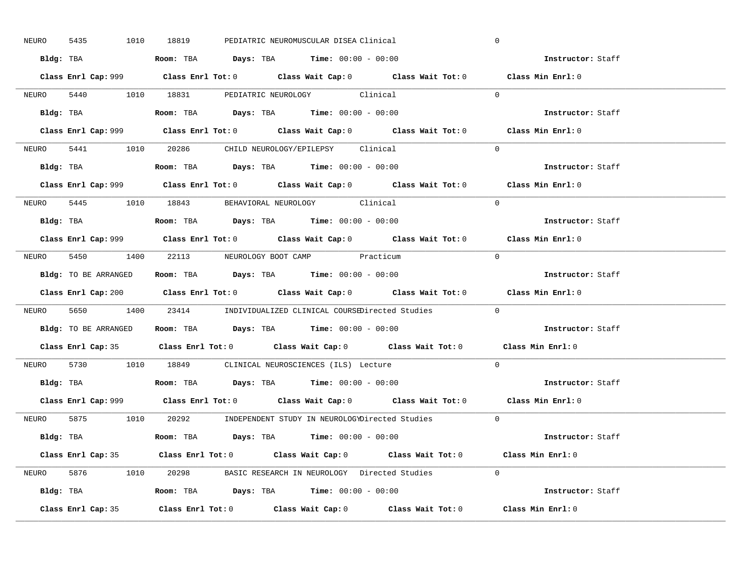| 5435<br>NEURO | 1010 18819<br>PEDIATRIC NEUROMUSCULAR DISEA Clinical                                        | $\mathbf 0$              |
|---------------|---------------------------------------------------------------------------------------------|--------------------------|
|               | Bldg: TBA                      Room: TBA         Days: TBA         Time: 00:00 - 00:00      | Instructor: Staff        |
|               | Class Enrl Cap: 999 Class Enrl Tot: 0 Class Wait Cap: 0 Class Wait Tot: 0 Class Min Enrl: 0 |                          |
|               | NEURO 5440 1010 18831 PEDIATRIC NEUROLOGY Clinical                                          | $\Omega$                 |
|               |                                                                                             | Instructor: Staff        |
|               | Class Enrl Cap: 999 Class Enrl Tot: 0 Class Wait Cap: 0 Class Wait Tot: 0                   | Class Min Enrl: 0        |
|               | NEURO 5441 1010 20286 CHILD NEUROLOGY/EPILEPSY Clinical                                     | $\Omega$                 |
|               | Bldg: TBA                   Room: TBA         Days: TBA         Time: 00:00 - 00:00         | Instructor: Staff        |
|               | Class Enrl Cap: 999 Class Enrl Tot: 0 Class Wait Cap: 0 Class Wait Tot: 0 Class Min Enrl: 0 |                          |
|               | NEURO 5445 1010 18843 BEHAVIORAL NEUROLOGY Clinical                                         | $\Omega$                 |
|               | Bldg: TBA                   Room: TBA         Days: TBA         Time: $00:00 - 00:00$       | Instructor: Staff        |
|               | Class Enrl Cap: 999 Class Enrl Tot: 0 Class Wait Cap: 0 Class Wait Tot: 0 Class Min Enrl: 0 |                          |
|               | NEURO 5450 1400 22113 NEUROLOGY BOOT CAMP Practicum                                         | $\bigcap$                |
|               | <b>Bldg:</b> TO BE ARRANGED <b>ROOM:</b> TBA <b>Days:</b> TBA <b>Time:</b> $00:00 - 00:00$  | Instructor: Staff        |
|               | Class Enrl Cap: 200 Class Enrl Tot: 0 Class Wait Cap: 0 Class Wait Tot: 0 Class Min Enrl: 0 |                          |
|               |                                                                                             |                          |
|               | NEURO 5650 1400 23414 INDIVIDUALIZED CLINICAL COURSEDirected Studies 0                      |                          |
|               | Bldg: TO BE ARRANGED Room: TBA Days: TBA Time: 00:00 - 00:00                                | Instructor: Staff        |
|               | Class Enrl Cap: 35 Class Enrl Tot: 0 Class Wait Cap: 0 Class Wait Tot: 0 Class Min Enrl: 0  |                          |
| NEURO         | 5730 1010 18849 CLINICAL NEUROSCIENCES (ILS) Lecture                                        | $\Omega$                 |
|               | Bldg: TBA                   Room: TBA         Days: TBA         Time: $00:00 - 00:00$       | Instructor: Staff        |
|               | Class Enrl Cap: 999 Class Enrl Tot: 0 Class Wait Cap: 0 Class Wait Tot: 0 Class Min Enrl: 0 |                          |
|               | NEURO 5875 1010 20292 INDEPENDENT STUDY IN NEUROLOGYDirected Studies 0                      |                          |
|               | Bldg: TBA                   Room: TBA          Days: TBA         Time: $00:00 - 00:00$      | <b>Instructor:</b> Staff |
|               | Class Enrl Cap: 35 Class Enrl Tot: 0 Class Wait Cap: 0 Class Wait Tot: 0 Class Min Enrl: 0  |                          |
|               | NEURO 5876 1010 20298 BASIC RESEARCH IN NEUROLOGY Directed Studies 0                        |                          |
|               |                                                                                             | Instructor: Staff        |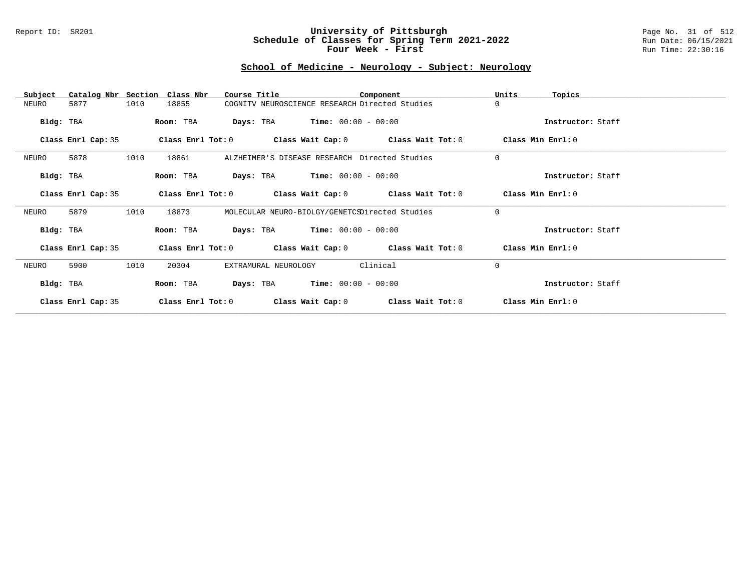### Report ID: SR201 **University of Pittsburgh** Page No. 31 of 512 **Schedule of Classes for Spring Term 2021-2022** Run Date: 06/15/2021 **Four Week - First** Run Time: 22:30:16

# **School of Medicine - Neurology - Subject: Neurology**

| Subject            | Catalog Nbr Section Class Nbr | Course Title         | Component                                                   |                   | Units<br>Topics   |
|--------------------|-------------------------------|----------------------|-------------------------------------------------------------|-------------------|-------------------|
| 5877<br>NEURO      | 1010<br>18855                 |                      | COGNITV NEUROSCIENCE RESEARCH Directed Studies              |                   | $\Omega$          |
| Bldg: TBA          | Room: TBA                     |                      | <b>Days:</b> TBA <b>Time:</b> $00:00 - 00:00$               |                   | Instructor: Staff |
| Class Enrl Cap: 35 |                               |                      | Class Enrl Tot: 0 Class Wait Cap: 0 Class Wait Tot: 0       |                   | Class Min Enrl: 0 |
| 5878<br>NEURO      | 1010<br>18861                 |                      | ALZHEIMER'S DISEASE RESEARCH Directed Studies               |                   | $\mathbf 0$       |
| Bldg: TBA          | Room: TBA                     |                      | <b>Days:</b> TBA <b>Time:</b> $00:00 - 00:00$               |                   | Instructor: Staff |
| Class Enrl Cap: 35 |                               |                      | Class Enrl Tot: $0$ Class Wait Cap: $0$ Class Wait Tot: $0$ |                   | Class Min Enrl: 0 |
| 5879<br>NEURO      | 1010<br>18873                 |                      | MOLECULAR NEURO-BIOLGY/GENETCSDirected Studies              |                   | $\Omega$          |
| Bldg: TBA          | Room: TBA                     |                      | <b>Days:</b> TBA <b>Time:</b> $00:00 - 00:00$               |                   | Instructor: Staff |
| Class Enrl Cap: 35 |                               |                      | Class Enrl Tot: $0$ Class Wait Cap: $0$ Class Wait Tot: $0$ |                   | Class Min Enrl: 0 |
| 5900<br>NEURO      | 1010<br>20304                 | EXTRAMURAL NEUROLOGY | Clinical                                                    |                   | $\Omega$          |
| Bldg: TBA          | Room: TBA                     | Days: TBA            | $Time: 00:00 - 00:00$                                       |                   | Instructor: Staff |
| Class Enrl Cap: 35 | Class Enrl Tot: 0             | Class Wait Cap: 0    |                                                             | Class Wait Tot: 0 | Class Min Enrl: 0 |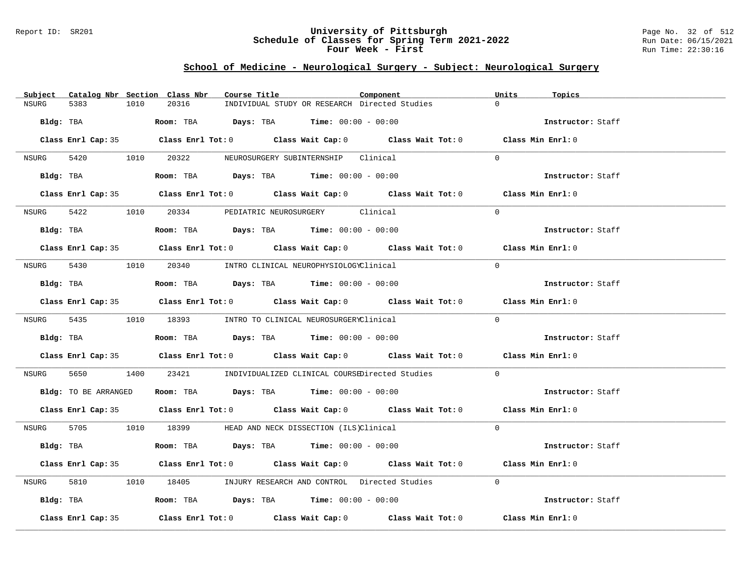### Report ID: SR201 **University of Pittsburgh** Page No. 32 of 512 **Schedule of Classes for Spring Term 2021-2022** Run Date: 06/15/2021 **Four Week - First** Run Time: 22:30:16

# **School of Medicine - Neurological Surgery - Subject: Neurological Surgery**

| Subject Catalog Nbr Section Class Nbr | Course Title                                                                               | Units<br>Component | Topics            |
|---------------------------------------|--------------------------------------------------------------------------------------------|--------------------|-------------------|
| <b>NSURG</b><br>5383<br>1010          | 20316<br>INDIVIDUAL STUDY OR RESEARCH Directed Studies                                     | $\cap$             |                   |
| Bldg: TBA                             | <b>Room:</b> TBA $Days: TBA$ <b>Time:</b> $00:00 - 00:00$                                  |                    | Instructor: Staff |
|                                       | Class Enrl Cap: 35 Class Enrl Tot: 0 Class Wait Cap: 0 Class Wait Tot: 0 Class Min Enrl: 0 |                    |                   |
|                                       | NSURG 5420 1010 20322 NEUROSURGERY SUBINTERNSHIP Clinical                                  | $\cap$             |                   |
| Bldg: TBA                             | Room: TBA $Days:$ TBA $Time: 00:00 - 00:00$                                                |                    | Instructor: Staff |
|                                       | Class Enrl Cap: 35 Class Enrl Tot: 0 Class Wait Cap: 0 Class Wait Tot: 0 Class Min Enrl: 0 |                    |                   |
| NSURG 5422                            | 1010 20334 PEDIATRIC NEUROSURGERY Clinical                                                 | $\Omega$           |                   |
| Bldg: TBA                             | Room: TBA $Days:$ TBA Time: $00:00 - 00:00$                                                |                    | Instructor: Staff |
|                                       | Class Enrl Cap: 35 Class Enrl Tot: 0 Class Wait Cap: 0 Class Wait Tot: 0 Class Min Enrl: 0 |                    |                   |
|                                       | NSURG 5430 1010 20340 INTRO CLINICAL NEUROPHYSIOLOGYClinical                               | $\Omega$           |                   |
| Bldg: TBA                             | <b>Room:</b> TBA $Days: TBA$ <b>Time:</b> $00:00 - 00:00$                                  |                    | Instructor: Staff |
|                                       | Class Enrl Cap: 35 Class Enrl Tot: 0 Class Wait Cap: 0 Class Wait Tot: 0 Class Min Enrl: 0 |                    |                   |
|                                       | NSURG 5435 1010 18393 INTRO TO CLINICAL NEUROSURGERYClinical                               | $\Omega$           |                   |
|                                       | Bldg: TBA                    Room: TBA         Days: TBA         Time: 00:00 - 00:00       |                    | Instructor: Staff |
|                                       | Class Enrl Cap: 35 Class Enrl Tot: 0 Class Wait Cap: 0 Class Wait Tot: 0 Class Min Enrl: 0 |                    |                   |
| NSURG                                 | 1400 23421 INDIVIDUALIZED CLINICAL COURSEDirected Studies                                  | $\Omega$           |                   |
|                                       | Bldg: TO BE ARRANGED Room: TBA Days: TBA Time: 00:00 - 00:00                               |                    | Instructor: Staff |
|                                       | Class Enrl Cap: 35 Class Enrl Tot: 0 Class Wait Cap: 0 Class Wait Tot: 0 Class Min Enrl: 0 |                    |                   |
|                                       | NSURG 5705 1010 18399 HEAD AND NECK DISSECTION (ILS)Clinical                               | $\Omega$           |                   |
| Bldg: TBA                             | <b>Room:</b> TBA $Days:$ TBA $Time: 00:00 - 00:00$                                         |                    | Instructor: Staff |
|                                       | Class Enrl Cap: 35 Class Enrl Tot: 0 Class Wait Cap: 0 Class Wait Tot: 0 Class Min Enrl: 0 |                    |                   |
| 5810 78<br>NSURG                      | 1010 18405 INJURY RESEARCH AND CONTROL Directed Studies 0                                  |                    |                   |
|                                       | Bldg: TBA                  Room: TBA         Days: TBA         Time: 00:00 - 00:00         |                    | Instructor: Staff |
| Class Enrl Cap: 35                    | Class Enrl Tot: $0$ Class Wait Cap: $0$ Class Wait Tot: $0$ Class Min Enrl: $0$            |                    |                   |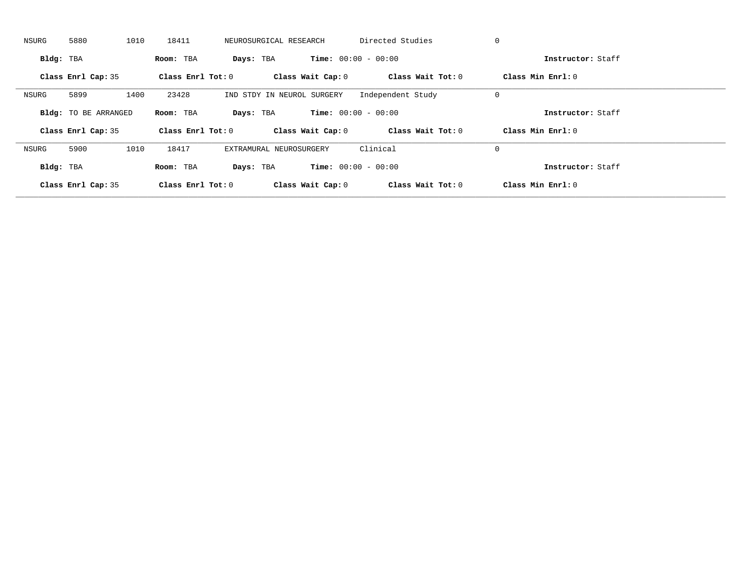| NSURG     | 5880                        | 1010 | 18411               | NEUROSURGICAL RESEARCH     |                   | Directed Studies             | 0                   |                   |
|-----------|-----------------------------|------|---------------------|----------------------------|-------------------|------------------------------|---------------------|-------------------|
| Bldg: TBA |                             |      | Room: TBA           | Days: TBA                  |                   | <b>Time:</b> $00:00 - 00:00$ |                     | Instructor: Staff |
|           | Class Enrl Cap: 35          |      | Class Enrl Tot: $0$ |                            | Class Wait Cap: 0 | Class Wait Tot: 0            | Class Min Enrl: 0   |                   |
| NSURG     | 5899                        | 1400 | 23428               | IND STDY IN NEUROL SURGERY |                   | Independent Study            | 0                   |                   |
|           | <b>Bldg:</b> TO BE ARRANGED |      | Room: TBA           | Days: TBA                  |                   | <b>Time:</b> $00:00 - 00:00$ |                     | Instructor: Staff |
|           | Class Enrl Cap: 35          |      | Class Enrl Tot: 0   |                            | Class Wait Cap: 0 | Class Wait Tot: 0            | Class Min $Enrl: 0$ |                   |
| NSURG     | 5900                        | 1010 | 18417               | EXTRAMURAL NEUROSURGERY    |                   | Clinical                     | 0                   |                   |
| Bldg: TBA |                             |      | Room: TBA           | Days: TBA                  |                   | <b>Time:</b> $00:00 - 00:00$ |                     | Instructor: Staff |
|           |                             |      |                     |                            |                   |                              |                     |                   |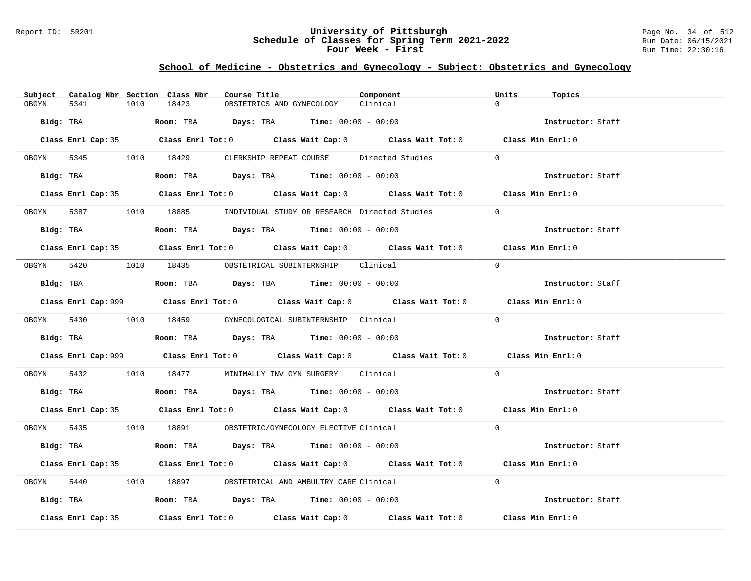### Report ID: SR201 **University of Pittsburgh** Page No. 34 of 512 **Schedule of Classes for Spring Term 2021-2022** Run Date: 06/15/2021 **Four Week - First** Run Time: 22:30:16

# **School of Medicine - Obstetrics and Gynecology - Subject: Obstetrics and Gynecology**

|       |                    |      | Subject Catalog Nbr Section Class Nbr | Course Title                                                                                 | Component                                                                                   | Units             | Topics            |
|-------|--------------------|------|---------------------------------------|----------------------------------------------------------------------------------------------|---------------------------------------------------------------------------------------------|-------------------|-------------------|
| OBGYN | 5341               | 1010 | 18423                                 | OBSTETRICS AND GYNECOLOGY                                                                    | Clinical                                                                                    | $\Omega$          |                   |
|       | Bldg: TBA          |      |                                       | <b>Room:</b> TBA <b>Days:</b> TBA <b>Time:</b> $00:00 - 00:00$                               |                                                                                             |                   | Instructor: Staff |
|       |                    |      |                                       |                                                                                              | Class Enrl Cap: 35 Class Enrl Tot: 0 Class Wait Cap: 0 Class Wait Tot: 0 Class Min Enrl: 0  |                   |                   |
|       |                    |      |                                       | OBGYN 5345 1010 18429 CLERKSHIP REPEAT COURSE Directed Studies                               |                                                                                             | $\Omega$          |                   |
|       |                    |      |                                       |                                                                                              |                                                                                             |                   | Instructor: Staff |
|       |                    |      |                                       |                                                                                              | Class Enrl Cap: 35 Class Enrl Tot: 0 Class Wait Cap: 0 Class Wait Tot: 0 Class Min Enrl: 0  |                   |                   |
|       |                    |      |                                       | OBGYN 5387 1010 18885 INDIVIDUAL STUDY OR RESEARCH Directed Studies                          |                                                                                             | $\Omega$          |                   |
|       |                    |      |                                       | Bldg: TBA                   Room: TBA        Days: TBA        Time: 00:00 - 00:00            |                                                                                             |                   | Instructor: Staff |
|       |                    |      |                                       |                                                                                              | Class Enrl Cap: 35 Class Enrl Tot: 0 Class Wait Cap: 0 Class Wait Tot: 0 Class Min Enrl: 0  |                   |                   |
|       |                    |      |                                       | OBGYN 5420 1010 18435 OBSTETRICAL SUBINTERNSHIP Clinical                                     |                                                                                             | $\Omega$          |                   |
|       |                    |      |                                       | Bldg: TBA                    Room: TBA         Days: TBA         Time: $00:00 - 00:00$       |                                                                                             |                   | Instructor: Staff |
|       |                    |      |                                       |                                                                                              | Class Enrl Cap: 999 Class Enrl Tot: 0 Class Wait Cap: 0 Class Wait Tot: 0 Class Min Enrl: 0 |                   |                   |
|       |                    |      |                                       | OBGYN 5430 1010 18459 GYNECOLOGICAL SUBINTERNSHIP Clinical                                   |                                                                                             | $\Omega$          |                   |
|       |                    |      |                                       | Bldg: TBA                    Room: TBA         Days: TBA         Time: $00:00 - 00:00$       |                                                                                             |                   | Instructor: Staff |
|       |                    |      |                                       |                                                                                              | Class Enrl Cap: 999 Class Enrl Tot: 0 Class Wait Cap: 0 Class Wait Tot: 0 Class Min Enrl: 0 |                   |                   |
|       |                    |      |                                       | OBGYN 5432 1010 18477 MINIMALLY INV GYN SURGERY Clinical                                     |                                                                                             | $\Omega$          |                   |
|       |                    |      |                                       | Bldg: TBA                        Room: TBA          Days: TBA          Time: $00:00 - 00:00$ |                                                                                             |                   | Instructor: Staff |
|       |                    |      |                                       |                                                                                              | Class Enrl Cap: 35 Class Enrl Tot: 0 Class Wait Cap: 0 Class Wait Tot: 0 Class Min Enrl: 0  |                   |                   |
|       |                    |      |                                       | OBGYN 5435 1010 18891 OBSTETRIC/GYNECOLOGY ELECTIVE Clinical                                 |                                                                                             | $\Omega$          |                   |
|       |                    |      |                                       | Bldg: TBA                   Room: TBA         Days: TBA         Time: 00:00 - 00:00          |                                                                                             |                   | Instructor: Staff |
|       |                    |      |                                       |                                                                                              | Class Enrl Cap: 35 Class Enrl Tot: 0 Class Wait Cap: 0 Class Wait Tot: 0 Class Min Enrl: 0  |                   |                   |
|       |                    |      |                                       | OBGYN 5440 1010 18897 OBSTETRICAL AND AMBULTRY CARE Clinical                                 |                                                                                             | $\Omega$          |                   |
|       |                    |      |                                       | Bldg: TBA                   Room: TBA         Days: TBA         Time: 00:00 - 00:00          |                                                                                             |                   | Instructor: Staff |
|       | Class Enrl Cap: 35 |      |                                       |                                                                                              | Class Enrl Tot: 0 $\qquad$ Class Wait Cap: 0 $\qquad$ Class Wait Tot: 0                     | Class Min Enrl: 0 |                   |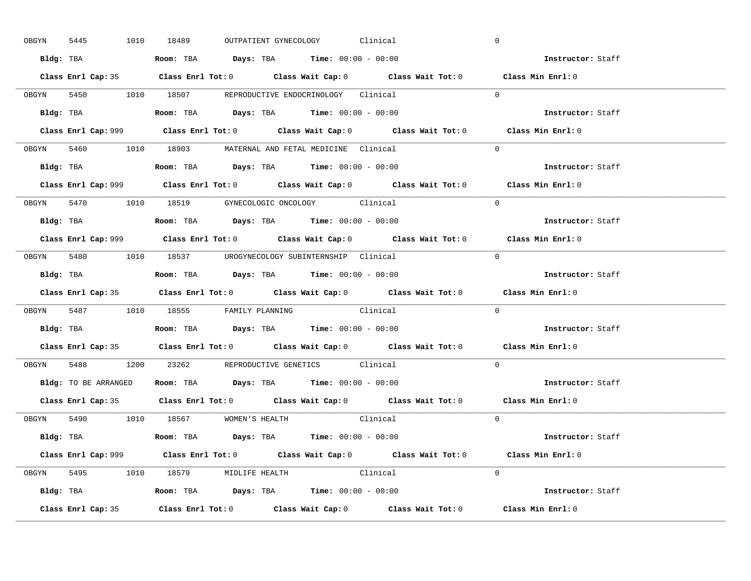| OBGYN | 5445 | 1010 18489 |                                      |  | OUTPATIENT GYNECOLOGY Clinical                                                        |                                                                           | $\mathbf 0$                                                                                 |  |
|-------|------|------------|--------------------------------------|--|---------------------------------------------------------------------------------------|---------------------------------------------------------------------------|---------------------------------------------------------------------------------------------|--|
|       |      |            |                                      |  | Bldg: TBA                   Room: TBA        Days: TBA        Time: 00:00 - 00:00     |                                                                           | Instructor: Staff                                                                           |  |
|       |      |            |                                      |  |                                                                                       |                                                                           | Class Enrl Cap: 35 Class Enrl Tot: 0 Class Wait Cap: 0 Class Wait Tot: 0 Class Min Enrl: 0  |  |
|       |      |            |                                      |  | OBGYN 5450 1010 18507 REPRODUCTIVE ENDOCRINOLOGY Clinical                             |                                                                           | $\Omega$                                                                                    |  |
|       |      |            |                                      |  |                                                                                       |                                                                           | Instructor: Staff                                                                           |  |
|       |      |            |                                      |  |                                                                                       | Class Enrl Cap: 999 Class Enrl Tot: 0 Class Wait Cap: 0 Class Wait Tot: 0 | Class Min Enrl: 0                                                                           |  |
|       |      |            |                                      |  | OBGYN 5460 1010 18903 MATERNAL AND FETAL MEDICINE Clinical                            |                                                                           | $\Omega$                                                                                    |  |
|       |      |            |                                      |  | Bldg: TBA                   Room: TBA         Days: TBA         Time: 00:00 - 00:00   |                                                                           | Instructor: Staff                                                                           |  |
|       |      |            |                                      |  |                                                                                       |                                                                           | Class Enrl Cap: 999 Class Enrl Tot: 0 Class Wait Cap: 0 Class Wait Tot: 0 Class Min Enrl: 0 |  |
|       |      |            |                                      |  | OBGYN 5470 1010 18519 GYNECOLOGIC ONCOLOGY Clinical                                   |                                                                           | $\Omega$                                                                                    |  |
|       |      |            |                                      |  | Bldg: TBA                   Room: TBA         Days: TBA         Time: $00:00 - 00:00$ |                                                                           | Instructor: Staff                                                                           |  |
|       |      |            |                                      |  |                                                                                       |                                                                           | Class Enrl Cap: 999 Class Enrl Tot: 0 Class Wait Cap: 0 Class Wait Tot: 0 Class Min Enrl: 0 |  |
|       |      |            |                                      |  |                                                                                       | OBGYN 5480 1010 18537 UROGYNECOLOGY_SUBINTERNSHIP Clinical                | $\Omega$                                                                                    |  |
|       |      |            |                                      |  | Bldg: TBA                   Room: TBA        Days: TBA        Time: 00:00 - 00:00     |                                                                           | <b>Instructor:</b> Staff                                                                    |  |
|       |      |            |                                      |  |                                                                                       |                                                                           | Class Enrl Cap: 35 Class Enrl Tot: 0 Class Wait Cap: 0 Class Wait Tot: 0 Class Min Enrl: 0  |  |
|       |      |            |                                      |  |                                                                                       |                                                                           |                                                                                             |  |
|       |      |            |                                      |  | OBGYN 5487 1010 18555 FAMILY PLANNING Clinical                                        |                                                                           | $\Omega$                                                                                    |  |
|       |      |            |                                      |  | Bldg: TBA                   Room: TBA         Days: TBA         Time: 00:00 - 00:00   |                                                                           | Instructor: Staff                                                                           |  |
|       |      |            |                                      |  |                                                                                       |                                                                           | Class Enrl Cap: 35 Class Enrl Tot: 0 Class Wait Cap: 0 Class Wait Tot: 0 Class Min Enrl: 0  |  |
| OBGYN |      |            |                                      |  | 5488 1200 23262 REPRODUCTIVE GENETICS Clinical                                        |                                                                           | $\Omega$                                                                                    |  |
|       |      |            |                                      |  | Bldg: TO BE ARRANGED ROOM: TBA Days: TBA Time: 00:00 - 00:00                          |                                                                           | Instructor: Staff                                                                           |  |
|       |      |            |                                      |  |                                                                                       |                                                                           | Class Enrl Cap: 35 Class Enrl Tot: 0 Class Wait Cap: 0 Class Wait Tot: 0 Class Min Enrl: 0  |  |
|       |      |            | OBGYN 5490 1010 18567 WOMEN'S HEALTH |  |                                                                                       | Clinical                                                                  | $\overline{0}$                                                                              |  |
|       |      |            |                                      |  | <b>Bldg:</b> TBA <b>ROOM:</b> TBA <b>Days:</b> TBA <b>Time:</b> $00:00 - 00:00$       |                                                                           | Instructor: Staff                                                                           |  |
|       |      |            |                                      |  |                                                                                       |                                                                           | Class Enrl Cap: 999 Class Enrl Tot: 0 Class Wait Cap: 0 Class Wait Tot: 0 Class Min Enrl: 0 |  |
|       |      |            |                                      |  | OBGYN 5495 1010 18579 MIDLIFE HEALTH Clinical                                         |                                                                           | $\Omega$                                                                                    |  |
|       |      |            |                                      |  | <b>Bldg:</b> TBA <b>ROOM:</b> TBA <b>Days:</b> TBA <b>Time:</b> $00:00 - 00:00$       |                                                                           | Instructor: Staff                                                                           |  |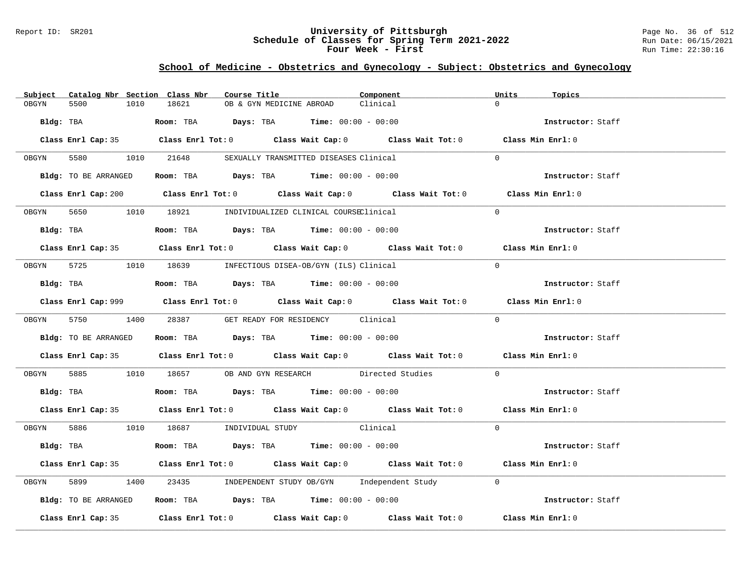### Report ID: SR201 **University of Pittsburgh** Page No. 36 of 512 **Schedule of Classes for Spring Term 2021-2022** Run Date: 06/15/2021 **Four Week - First** Run Time: 22:30:16

# **School of Medicine - Obstetrics and Gynecology - Subject: Obstetrics and Gynecology**

| Subject | Catalog Nbr Section Class Nbr | Course Title                                                                         |                          | Component                                                                                   | Units<br>Topics   |  |
|---------|-------------------------------|--------------------------------------------------------------------------------------|--------------------------|---------------------------------------------------------------------------------------------|-------------------|--|
| OBGYN   | 5500<br>1010                  | 18621                                                                                | OB & GYN MEDICINE ABROAD | Clinical                                                                                    | $\Omega$          |  |
|         | Bldg: TBA                     | Room: TBA $Days:$ TBA $Time: 00:00 - 00:00$                                          |                          |                                                                                             | Instructor: Staff |  |
|         |                               |                                                                                      |                          | Class Enrl Cap: 35 Class Enrl Tot: 0 Class Wait Cap: 0 Class Wait Tot: 0 Class Min Enrl: 0  |                   |  |
| OBGYN   |                               | 5580 1010 21648 SEXUALLY TRANSMITTED DISEASES Clinical                               |                          |                                                                                             | $\Omega$          |  |
|         | Bldg: TO BE ARRANGED          | Room: TBA $Days:$ TBA $Time: 00:00 - 00:00$                                          |                          |                                                                                             | Instructor: Staff |  |
|         |                               |                                                                                      |                          | Class Enrl Cap: 200 Class Enrl Tot: 0 Class Wait Cap: 0 Class Wait Tot: 0 Class Min Enrl: 0 |                   |  |
|         |                               | OBGYN 5650 1010 18921 INDIVIDUALIZED CLINICAL COURSEClinical                         |                          |                                                                                             | $\Omega$          |  |
|         | Bldg: TBA                     | Room: TBA $Days:$ TBA $Time: 00:00 - 00:00$                                          |                          |                                                                                             | Instructor: Staff |  |
|         |                               |                                                                                      |                          | Class Enrl Cap: 35 Class Enrl Tot: 0 Class Wait Cap: 0 Class Wait Tot: 0 Class Min Enrl: 0  |                   |  |
|         |                               | OBGYN 5725 1010 18639 INFECTIOUS DISEA-OB/GYN (ILS) Clinical                         |                          |                                                                                             | $\Omega$          |  |
|         | Bldg: TBA                     | Room: TBA $Days: TBA$ Time: $00:00 - 00:00$                                          |                          |                                                                                             | Instructor: Staff |  |
|         |                               |                                                                                      |                          | Class Enrl Cap: 999 Class Enrl Tot: 0 Class Wait Cap: 0 Class Wait Tot: 0 Class Min Enrl: 0 |                   |  |
|         |                               | OBGYN 5750 1400 28387 GET READY FOR RESIDENCY Clinical                               |                          |                                                                                             | $\Omega$          |  |
|         | Bldg: TO BE ARRANGED          | Room: TBA $Days:$ TBA $Time:$ 00:00 - 00:00                                          |                          |                                                                                             | Instructor: Staff |  |
|         |                               |                                                                                      |                          | Class Enrl Cap: 35 Class Enrl Tot: 0 Class Wait Cap: 0 Class Wait Tot: 0 Class Min Enrl: 0  |                   |  |
| OBGYN   |                               |                                                                                      |                          | 5885 1010 18657 OB AND GYN RESEARCH Directed Studies                                        | $\Omega$          |  |
|         |                               | Bldg: TBA                    Room: TBA         Days: TBA         Time: 00:00 - 00:00 |                          |                                                                                             | Instructor: Staff |  |
|         |                               |                                                                                      |                          | Class Enrl Cap: 35 Class Enrl Tot: 0 Class Wait Cap: 0 Class Wait Tot: 0 Class Min Enrl: 0  |                   |  |
|         |                               | OBGYN 5886 1010 18687 INDIVIDUAL STUDY Clinical                                      |                          |                                                                                             | $\Omega$          |  |
|         |                               | Bldg: TBA                   Room: TBA         Days: TBA         Time: 00:00 - 00:00  |                          |                                                                                             | Instructor: Staff |  |
|         |                               |                                                                                      |                          | Class Enrl Cap: 35 Class Enrl Tot: 0 Class Wait Cap: 0 Class Wait Tot: 0 Class Min Enrl: 0  |                   |  |
| OBGYN   | 5899                          |                                                                                      |                          | 1400 23435 INDEPENDENT STUDY OB/GYN Independent Study                                       | $\Omega$          |  |
|         | Bldg: TO BE ARRANGED          | Room: TBA $Days:$ TBA $Time: 00:00 - 00:00$                                          |                          |                                                                                             | Instructor: Staff |  |
|         |                               |                                                                                      |                          | Class Enrl Cap: 35 Class Enrl Tot: 0 Class Wait Cap: 0 Class Wait Tot: 0 Class Min Enrl: 0  |                   |  |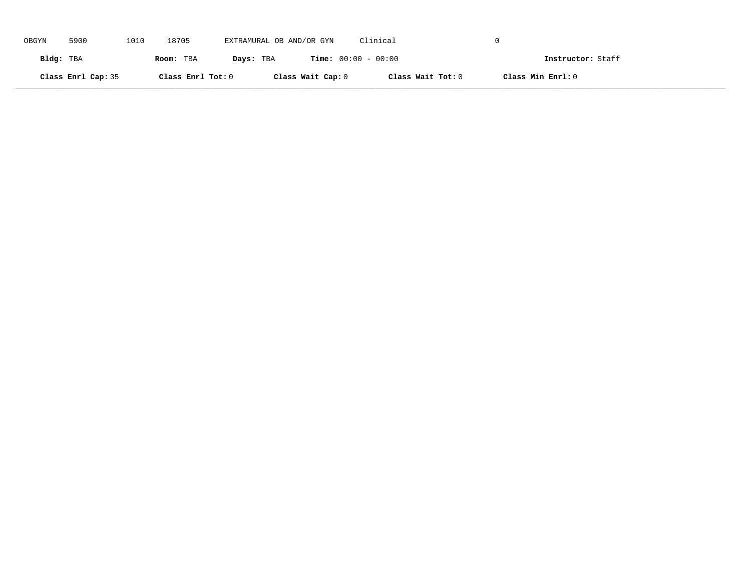| OBGYN     | 5900               | 1010 | 18705             | EXTRAMURAL OB AND/OR GYN |                   | Clinical                     |                   |  |
|-----------|--------------------|------|-------------------|--------------------------|-------------------|------------------------------|-------------------|--|
| Bldg: TBA |                    |      | Room: TBA         | Days: TBA                |                   | <b>Time:</b> $00:00 - 00:00$ | Instructor: Staff |  |
|           | Class Enrl Cap: 35 |      | Class Enrl Tot: 0 |                          | Class Wait Cap: 0 | Class Wait Tot: 0            | Class Min Enrl: 0 |  |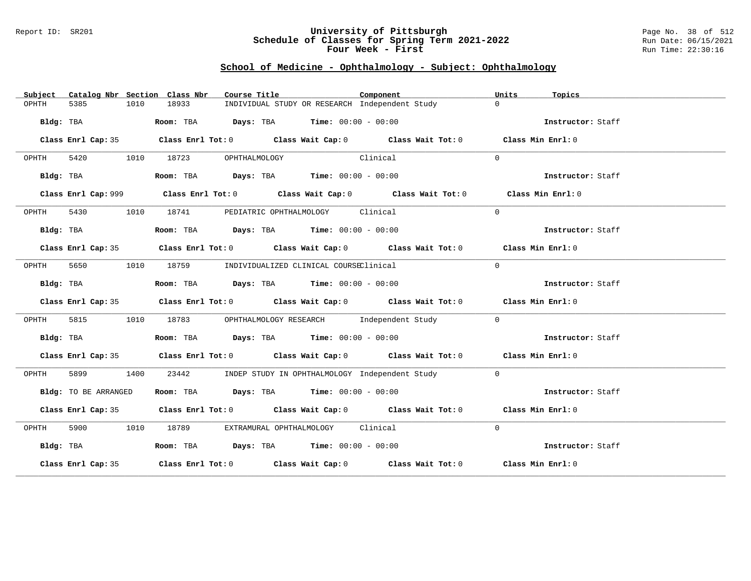#### Report ID: SR201 **University of Pittsburgh** Page No. 38 of 512 **Schedule of Classes for Spring Term 2021-2022** Run Date: 06/15/2021 **Four Week - First** Run Time: 22:30:16

### **School of Medicine - Ophthalmology - Subject: Ophthalmology**

| Catalog Nbr Section Class Nbr<br>Subject | Course Title                                                                                | Component | Units<br>Topics   |
|------------------------------------------|---------------------------------------------------------------------------------------------|-----------|-------------------|
| 5385<br>1010<br>OPHTH                    | INDIVIDUAL STUDY OR RESEARCH Independent Study<br>18933                                     |           | $\Omega$          |
| Bldg: TBA                                | Room: TBA $Days:$ TBA $Time: 00:00 - 00:00$                                                 |           | Instructor: Staff |
|                                          | Class Enrl Cap: 35 Class Enrl Tot: 0 Class Wait Cap: 0 Class Wait Tot: 0 Class Min Enrl: 0  |           |                   |
| OPHTH                                    | 5420 1010 18723 OPHTHALMOLOGY<br><b>Clinical</b>                                            |           | $\Omega$          |
| Bldg: TBA                                | Room: TBA $Days:$ TBA $Time: 00:00 - 00:00$                                                 |           | Instructor: Staff |
|                                          | Class Enrl Cap: 999 Class Enrl Tot: 0 Class Wait Cap: 0 Class Wait Tot: 0 Class Min Enrl: 0 |           |                   |
| OPHTH                                    | 5430 1010 18741 PEDIATRIC OPHTHALMOLOGY Clinical                                            |           | $\Omega$          |
| Bldg: TBA                                | Room: TBA $Days:$ TBA Time: $00:00 - 00:00$                                                 |           | Instructor: Staff |
|                                          | Class Enrl Cap: 35 Class Enrl Tot: 0 Class Wait Cap: 0 Class Wait Tot: 0 Class Min Enrl: 0  |           |                   |
| OPHTH                                    | 5650 1010 18759 INDIVIDUALIZED CLINICAL COURSEClinical                                      |           | $\Omega$          |
| Bldg: TBA                                | Room: TBA $Days:$ TBA $Time: 00:00 - 00:00$                                                 |           | Instructor: Staff |
|                                          | Class Enrl Cap: 35 Class Enrl Tot: 0 Class Wait Cap: 0 Class Wait Tot: 0 Class Min Enrl: 0  |           |                   |
| 5815<br>1010<br>OPHTH                    | 18783 OPHTHALMOLOGY RESEARCH Independent Study                                              |           | $\Omega$          |
| Bldg: TBA                                | Room: TBA $\rule{1em}{0.15mm}$ Days: TBA $\rule{1.5mm}{0.15mm}$ Time: $00:00 - 00:00$       |           | Instructor: Staff |
|                                          | Class Enrl Cap: 35 Class Enrl Tot: 0 Class Wait Cap: 0 Class Wait Tot: 0 Class Min Enrl: 0  |           |                   |
| OPHTH<br>5899 1400                       | 23442 INDEP STUDY IN OPHTHALMOLOGY Independent Study                                        |           | $\Omega$          |
| Bldg: TO BE ARRANGED                     | Room: TBA $\rule{1em}{0.15mm}$ Days: TBA Time: $00:00 - 00:00$                              |           | Instructor: Staff |
|                                          | Class Enrl Cap: 35 Class Enrl Tot: 0 Class Wait Cap: 0 Class Wait Tot: 0 Class Min Enrl: 0  |           |                   |
| OPHTH                                    | 5900 1010 18789 EXTRAMURAL OPHTHALMOLOGY Clinical                                           |           | $\Omega$          |
| Bldg: TBA                                | Room: TBA $Days: TBA$ Time: $00:00 - 00:00$                                                 |           | Instructor: Staff |
|                                          | Class Enrl Cap: 35 Class Enrl Tot: 0 Class Wait Cap: 0 Class Wait Tot: 0 Class Min Enrl: 0  |           |                   |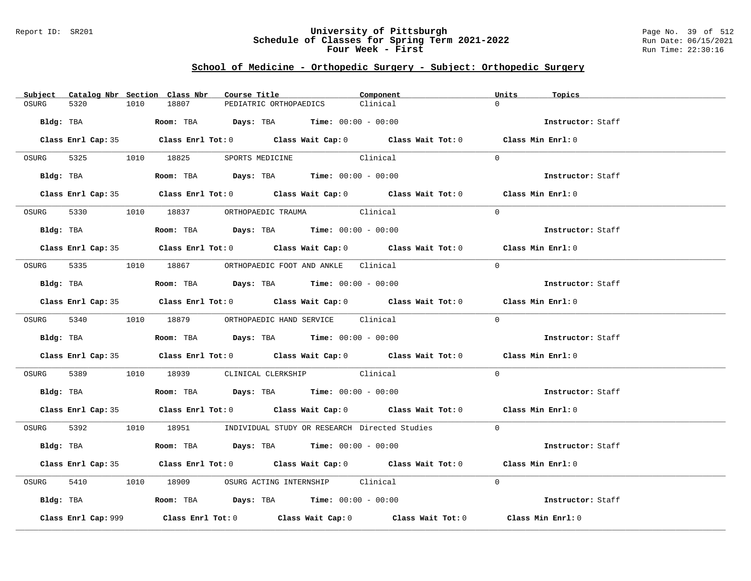### Report ID: SR201 **University of Pittsburgh** Page No. 39 of 512 **Schedule of Classes for Spring Term 2021-2022** Run Date: 06/15/2021 **Four Week - First** Run Time: 22:30:16

# **School of Medicine - Orthopedic Surgery - Subject: Orthopedic Surgery**

| Subject Catalog Nbr Section Class Nbr |           |                                                                                        | Course Title                                | Component                                                                                  | Units<br>Topics   |  |
|---------------------------------------|-----------|----------------------------------------------------------------------------------------|---------------------------------------------|--------------------------------------------------------------------------------------------|-------------------|--|
| OSURG<br>5320                         | 1010      | 18807                                                                                  | PEDIATRIC ORTHOPAEDICS                      | Clinical                                                                                   | $\Omega$          |  |
|                                       | Bldg: TBA |                                                                                        | Room: TBA $Days:$ TBA $Time: 00:00 - 00:00$ |                                                                                            | Instructor: Staff |  |
|                                       |           |                                                                                        |                                             | Class Enrl Cap: 35 Class Enrl Tot: 0 Class Wait Cap: 0 Class Wait Tot: 0 Class Min Enrl: 0 |                   |  |
|                                       |           | OSURG 5325 1010 18825 SPORTS MEDICINE                                                  |                                             | Clinical                                                                                   | $\Omega$          |  |
|                                       |           | Bldg: TBA                    Room: TBA         Days: TBA         Time: $00:00 - 00:00$ |                                             |                                                                                            | Instructor: Staff |  |
|                                       |           |                                                                                        |                                             | Class Enrl Cap: 35 Class Enrl Tot: 0 Class Wait Cap: 0 Class Wait Tot: 0 Class Min Enrl: 0 |                   |  |
|                                       |           | OSURG 5330 1010 18837 ORTHOPAEDIC TRAUMA Clinical                                      |                                             |                                                                                            | $\Omega$          |  |
|                                       |           | <b>Bldg:</b> TBA <b>ROOM:</b> TBA <b>Days:</b> TBA <b>Time:</b> $00:00 - 00:00$        |                                             |                                                                                            | Instructor: Staff |  |
|                                       |           |                                                                                        |                                             | Class Enrl Cap: 35 Class Enrl Tot: 0 Class Wait Cap: 0 Class Wait Tot: 0 Class Min Enrl: 0 |                   |  |
|                                       |           | OSURG 5335 1010 18867 ORTHOPAEDIC FOOT AND ANKLE Clinical                              |                                             |                                                                                            | $\Omega$          |  |
|                                       |           | Bldg: TBA                   Room: TBA         Days: TBA         Time: $00:00 - 00:00$  |                                             |                                                                                            | Instructor: Staff |  |
|                                       |           |                                                                                        |                                             | Class Enrl Cap: 35 Class Enrl Tot: 0 Class Wait Cap: 0 Class Wait Tot: 0 Class Min Enrl: 0 |                   |  |
|                                       |           | OSURG 5340 1010 18879 ORTHOPAEDIC HAND SERVICE Clinical                                |                                             |                                                                                            | $\Omega$          |  |
|                                       |           |                                                                                        |                                             |                                                                                            | Instructor: Staff |  |
|                                       |           |                                                                                        |                                             | Class Enrl Cap: 35 Class Enrl Tot: 0 Class Wait Cap: 0 Class Wait Tot: 0 Class Min Enrl: 0 |                   |  |
|                                       |           | OSURG 5389 1010 18939 CLINICAL CLERKSHIP Clinical                                      |                                             |                                                                                            | $\Omega$          |  |
|                                       |           | <b>Bldg:</b> TBA <b>Room:</b> TBA <b>Days:</b> TBA <b>Time:</b> $00:00 - 00:00$        |                                             |                                                                                            | Instructor: Staff |  |
|                                       |           |                                                                                        |                                             | Class Enrl Cap: 35 Class Enrl Tot: 0 Class Wait Cap: 0 Class Wait Tot: 0 Class Min Enrl: 0 |                   |  |
|                                       |           |                                                                                        |                                             | OSURG 5392 1010 18951 INDIVIDUAL STUDY OR RESEARCH Directed Studies 0                      |                   |  |
|                                       |           | Bldg: TBA                   Room: TBA         Days: TBA        Time: $00:00 - 00:00$   |                                             |                                                                                            | Instructor: Staff |  |
|                                       |           |                                                                                        |                                             | Class Enrl Cap: 35 Class Enrl Tot: 0 Class Wait Cap: 0 Class Wait Tot: 0 Class Min Enrl: 0 |                   |  |
|                                       |           | OSURG 5410 1010 18909 OSURG ACTING INTERNSHIP Clinical                                 |                                             |                                                                                            | $\Omega$          |  |
|                                       |           | Bldg: TBA                  Room: TBA        Days: TBA        Time: 00:00 - 00:00       |                                             |                                                                                            | Instructor: Staff |  |
| Class Enrl Cap: 999                   |           |                                                                                        |                                             | Class Enrl Tot: $0$ Class Wait Cap: $0$ Class Wait Tot: $0$                                | Class Min Enrl: 0 |  |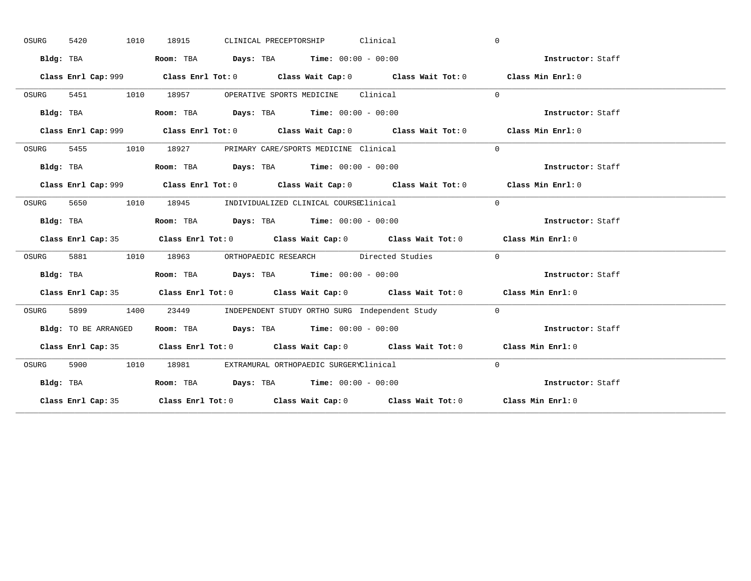| OSURG | 5420<br>1010         | CLINICAL PRECEPTORSHIP Clinical<br>18915                                                    | $\mathbf{0}$      |
|-------|----------------------|---------------------------------------------------------------------------------------------|-------------------|
|       | Bldg: TBA            | Room: TBA $Days:$ TBA $Time: 00:00 - 00:00$                                                 | Instructor: Staff |
|       |                      | Class Enrl Cap: 999 Class Enrl Tot: 0 Class Wait Cap: 0 Class Wait Tot: 0 Class Min Enrl: 0 |                   |
| OSURG |                      | 5451 1010 18957 OPERATIVE SPORTS MEDICINE Clinical                                          | $\Omega$          |
|       | Bldg: TBA            | Room: TBA $Days:$ TBA Time: $00:00 - 00:00$                                                 | Instructor: Staff |
|       |                      | Class Enrl Cap: 999 Class Enrl Tot: 0 Class Wait Cap: 0 Class Wait Tot: 0 Class Min Enrl: 0 |                   |
| OSURG |                      | 5455 1010 18927 PRIMARY CARE/SPORTS MEDICINE Clinical                                       | $\Omega$          |
|       | Bldg: TBA            | Room: TBA $Days:$ TBA $Time: 00:00 - 00:00$                                                 | Instructor: Staff |
|       |                      | Class Enrl Cap: 999 Class Enrl Tot: 0 Class Wait Cap: 0 Class Wait Tot: 0                   | Class Min Enrl: 0 |
| OSURG | 5650 1010            | 18945 INDIVIDUALIZED CLINICAL COURSEClinical                                                | $\Omega$          |
|       | Bldg: TBA            | Room: TBA $Days:$ TBA $Time: 00:00 - 00:00$                                                 | Instructor: Staff |
|       |                      | Class Enrl Cap: 35 Class Enrl Tot: 0 Class Wait Cap: 0 Class Wait Tot: 0 Class Min Enrl: 0  |                   |
| OSURG |                      | 5881 1010 18963 ORTHOPAEDIC RESEARCH Directed Studies                                       | $\sim$ 0          |
|       | Bldg: TBA            | Room: TBA $\rule{1em}{0.15mm}$ Days: TBA $\rule{1.5mm}{0.15mm}$ Time: $00:00 - 00:00$       | Instructor: Staff |
|       |                      |                                                                                             |                   |
|       |                      | Class Enrl Cap: 35 Class Enrl Tot: 0 Class Wait Cap: 0 Class Wait Tot: 0 Class Min Enrl: 0  |                   |
| OSURG | 1400                 | 23449 INDEPENDENT STUDY ORTHO SURG Independent Study 0                                      |                   |
|       | Bldg: TO BE ARRANGED | Room: TBA $\rule{1em}{0.15mm}$ Days: TBA Time: $00:00 - 00:00$                              | Instructor: Staff |
|       |                      | Class Enrl Cap: 35 Class Enrl Tot: 0 Class Wait Cap: 0 Class Wait Tot: 0 Class Min Enrl: 0  |                   |
| OSURG | 5900 1010            | 18981 EXTRAMURAL ORTHOPAEDIC SURGERYClinical                                                | $\Omega$          |
|       | Bldg: TBA            | Room: TBA $Days:$ TBA $Time: 00:00 - 00:00$                                                 | Instructor: Staff |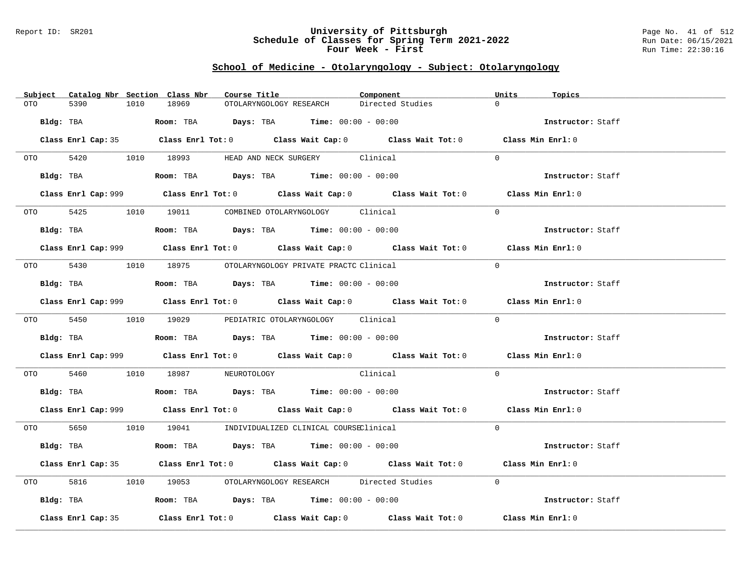### Report ID: SR201 **University of Pittsburgh** Page No. 41 of 512 **Schedule of Classes for Spring Term 2021-2022** Run Date: 06/15/2021 **Four Week - First** Run Time: 22:30:16

# **School of Medicine - Otolaryngology - Subject: Otolaryngology**

|     | Subject Catalog Nbr Section Class Nbr | Course Title |                                                                                              | Component                                                                                          | Units<br>Topics   |
|-----|---------------------------------------|--------------|----------------------------------------------------------------------------------------------|----------------------------------------------------------------------------------------------------|-------------------|
| OTO | 5390<br>1010                          | 18969        | OTOLARYNGOLOGY RESEARCH                                                                      | Directed Studies                                                                                   | $\Omega$          |
|     | Bldg: TBA                             |              | Room: TBA $Days:$ TBA Time: $00:00 - 00:00$                                                  |                                                                                                    | Instructor: Staff |
|     |                                       |              |                                                                                              | Class Enrl Cap: 35 Class Enrl Tot: 0 Class Wait Cap: 0 Class Wait Tot: 0 Class Min Enrl: 0         |                   |
|     | OTO 5420 1010 18993                   |              | HEAD AND NECK SURGERY Clinical                                                               |                                                                                                    | $\Omega$          |
|     |                                       |              | Bldg: TBA                  Room: TBA        Days: TBA        Time: 00:00 - 00:00             |                                                                                                    | Instructor: Staff |
|     |                                       |              |                                                                                              | Class Enrl Cap: 999 Class Enrl Tot: 0 Class Wait Cap: 0 Class Wait Tot: 0 Class Min Enrl: 0        |                   |
|     |                                       |              | OTO 5425 1010 19011 COMBINED OTOLARYNGOLOGY Clinical                                         |                                                                                                    | $\Omega$          |
|     |                                       |              | Bldg: TBA                    Room: TBA         Days: TBA         Time: 00:00 - 00:00         |                                                                                                    | Instructor: Staff |
|     |                                       |              |                                                                                              | Class Enrl Cap: 999 Class Enrl Tot: 0 Class Wait Cap: 0 Class Wait Tot: 0 Class Min Enrl: 0        |                   |
|     |                                       |              | 0TO 5430 1010 18975 OTOLARYNGOLOGY PRIVATE PRACTC Clinical                                   |                                                                                                    | $\Omega$          |
|     |                                       |              | Bldg: TBA                   Room: TBA         Days: TBA         Time: $00:00 - 00:00$        |                                                                                                    | Instructor: Staff |
|     |                                       |              |                                                                                              | Class Enrl Cap: 999 Class Enrl Tot: 0 Class Wait Cap: 0 Class Wait Tot: 0 Class Min Enrl: 0        |                   |
|     |                                       |              | 0TO 5450 1010 19029 PEDIATRIC OTOLARYNGOLOGY Clinical                                        |                                                                                                    | $\Omega$          |
|     |                                       |              | Bldg: TBA                         Room: TBA          Days: TBA         Time: $00:00 - 00:00$ |                                                                                                    | Instructor: Staff |
|     |                                       |              |                                                                                              | Class Enrl Cap: 999 Class Enrl Tot: 0 Class Wait Cap: 0 Class Wait Tot: 0 Class Min Enrl: 0        |                   |
|     |                                       |              | OTO 5460 1010 18987 NEUROTOLOGY Clinical                                                     |                                                                                                    | $\Omega$          |
|     |                                       |              | Bldg: TBA                   Room: TBA         Days: TBA         Time: 00:00 - 00:00          |                                                                                                    | Instructor: Staff |
|     |                                       |              |                                                                                              | Class Enrl Cap: 999 Class Enrl Tot: 0 Class Wait Cap: 0 Class Wait Tot: 0 Class Min Enrl: 0        |                   |
|     |                                       |              | 0TO 5650 1010 19041 INDIVIDUALIZED CLINICAL COURSEClinical                                   |                                                                                                    | $\Omega$          |
|     |                                       |              | Bldg: TBA                   Room: TBA         Days: TBA        Time: $00:00 - 00:00$         |                                                                                                    | Instructor: Staff |
|     |                                       |              |                                                                                              | Class Enrl Cap: 35 Class Enrl Tot: 0 Class Wait Cap: 0 Class Wait Tot: 0 Class Min Enrl: 0         |                   |
|     | 5816 700                              |              |                                                                                              | 1010 19053 OTOLARYNGOLOGY RESEARCH Directed Studies                                                | $\Omega$          |
|     |                                       |              | Bldg: TBA                    Room: TBA         Days: TBA         Time: 00:00 - 00:00         |                                                                                                    | Instructor: Staff |
|     | Class Enrl Cap: 35                    |              |                                                                                              | Class Enrl Tot: 0 $\qquad$ Class Wait Cap: 0 $\qquad$ Class Wait Tot: 0 $\qquad$ Class Min Enrl: 0 |                   |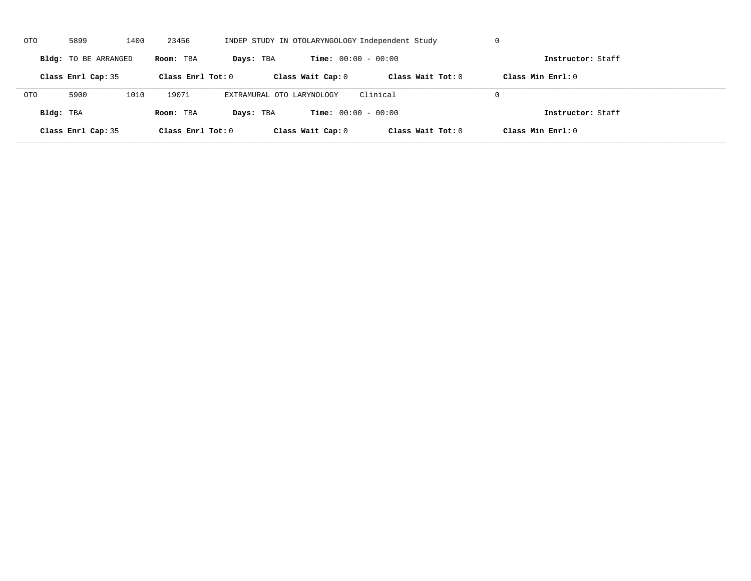| OTO        | 5899                 | 1400 | 23456               |                           |                              | INDEP STUDY IN OTOLARYNGOLOGY Independent Study | U                   |  |
|------------|----------------------|------|---------------------|---------------------------|------------------------------|-------------------------------------------------|---------------------|--|
|            | Bldg: TO BE ARRANGED |      | Room: TBA           | Days: TBA                 | <b>Time:</b> $00:00 - 00:00$ |                                                 | Instructor: Staff   |  |
|            | Class Enrl Cap: 35   |      | Class Enrl Tot: $0$ |                           | Class Wait Cap: 0            | Class Wait $Tot: 0$                             | Class Min $Enrl: 0$ |  |
| <b>OTO</b> | 5900                 | 1010 | 19071               | EXTRAMURAL OTO LARYNOLOGY |                              | Clinical                                        | $\Omega$            |  |
| Bldg: TBA  |                      |      | Room: TBA           | Days: TBA                 | <b>Time:</b> $00:00 - 00:00$ |                                                 | Instructor: Staff   |  |
|            | Class Enrl Cap: 35   |      | Class Enrl Tot: 0   |                           | Class Wait Cap: 0            | Class Wait Tot: 0                               | Class Min Enrl: 0   |  |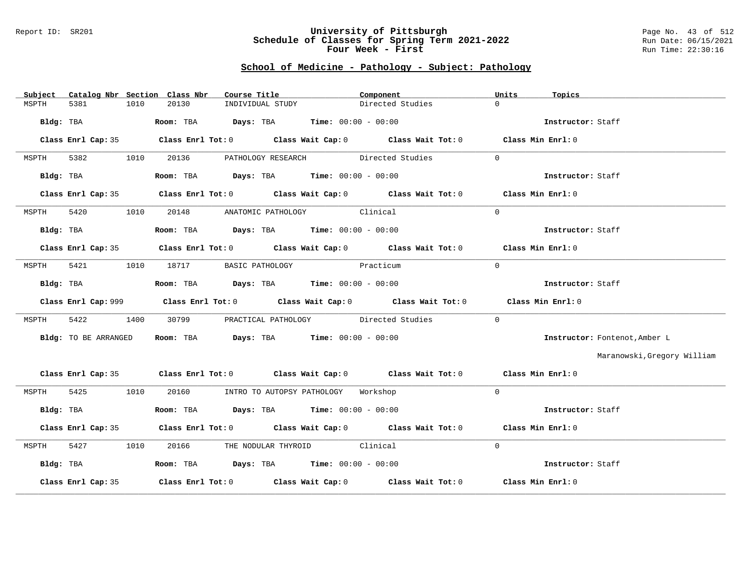#### Report ID: SR201 **University of Pittsburgh** Page No. 43 of 512 **Schedule of Classes for Spring Term 2021-2022** Run Date: 06/15/2021 **Four Week - First** Run Time: 22:30:16

### **School of Medicine - Pathology - Subject: Pathology**

| Subject              | Catalog Nbr Section Class Nbr | Course Title <b>Source Search</b>                                                           | Component |                  | Units<br>Topics   |                               |
|----------------------|-------------------------------|---------------------------------------------------------------------------------------------|-----------|------------------|-------------------|-------------------------------|
| 5381<br>MSPTH        | 20130<br>1010                 | INDIVIDUAL STUDY                                                                            |           | Directed Studies | $\Omega$          |                               |
| Bldg: TBA            |                               | Room: TBA $Days:$ TBA $Time: 00:00 - 00:00$                                                 |           |                  | Instructor: Staff |                               |
|                      |                               | Class Enrl Cap: 35 Class Enrl Tot: 0 Class Wait Cap: 0 Class Wait Tot: 0 Class Min Enrl: 0  |           |                  |                   |                               |
| 5382<br>MSPTH        | 1010                          | 20136 PATHOLOGY RESEARCH Directed Studies                                                   |           |                  | $\Omega$          |                               |
| Bldg: TBA            |                               | Room: TBA $\rule{1em}{0.15mm}$ Days: TBA Time: $00:00 - 00:00$                              |           |                  | Instructor: Staff |                               |
|                      |                               | Class Enrl Cap: 35 Class Enrl Tot: 0 Class Wait Cap: 0 Class Wait Tot: 0 Class Min Enrl: 0  |           |                  |                   |                               |
| 5420<br>MSPTH        |                               | 1010 20148 ANATOMIC PATHOLOGY Clinical                                                      |           |                  | $\Omega$          |                               |
| Bldg: TBA            |                               | Room: TBA $Days:$ TBA $Time: 00:00 - 00:00$                                                 |           |                  | Instructor: Staff |                               |
|                      |                               | Class Enrl Cap: 35 Class Enrl Tot: 0 Class Wait Cap: 0 Class Wait Tot: 0 Class Min Enrl: 0  |           |                  |                   |                               |
| 5421<br>MSPTH        | 1010                          | 18717 BASIC PATHOLOGY Practicum                                                             |           |                  | $\Omega$          |                               |
| Bldg: TBA            |                               | Room: TBA $\rule{1em}{0.15mm}$ Days: TBA $\rule{1.5mm}{0.15mm}$ Time: $00:00 - 00:00$       |           |                  | Instructor: Staff |                               |
|                      |                               | Class Enrl Cap: 999 Class Enrl Tot: 0 Class Wait Cap: 0 Class Wait Tot: 0 Class Min Enrl: 0 |           |                  |                   |                               |
| 5422<br>MSPTH        | 1400                          | 30799 PRACTICAL PATHOLOGY Directed Studies                                                  |           |                  | $\Omega$          |                               |
| Bldg: TO BE ARRANGED |                               | Room: TBA $Days:$ TBA Time: $00:00 - 00:00$                                                 |           |                  |                   | Instructor: Fontenot, Amber L |
|                      |                               |                                                                                             |           |                  |                   | Maranowski, Gregory William   |
|                      |                               | Class Enrl Cap: 35 Class Enrl Tot: 0 Class Wait Cap: 0 Class Wait Tot: 0 Class Min Enrl: 0  |           |                  |                   |                               |
| MSPTH 5425 1010      |                               | 20160 INTRO TO AUTOPSY PATHOLOGY Workshop                                                   |           |                  | $\Omega$          |                               |
| Bldg: TBA            |                               | Room: TBA $Days:$ TBA Time: $00:00 - 00:00$                                                 |           |                  | Instructor: Staff |                               |
|                      |                               | Class Enrl Cap: 35 Class Enrl Tot: 0 Class Wait Cap: 0 Class Wait Tot: 0 Class Min Enrl: 0  |           |                  |                   |                               |
|                      |                               | MSPTH 5427 1010 20166 THE NODULAR THYROID Clinical                                          |           |                  | $\Omega$          |                               |
| Bldg: TBA            |                               | Room: TBA $Days:$ TBA Time: $00:00 - 00:00$                                                 |           |                  | Instructor: Staff |                               |
|                      |                               | Class Enrl Cap: 35 Class Enrl Tot: 0 Class Wait Cap: 0 Class Wait Tot: 0 Class Min Enrl: 0  |           |                  |                   |                               |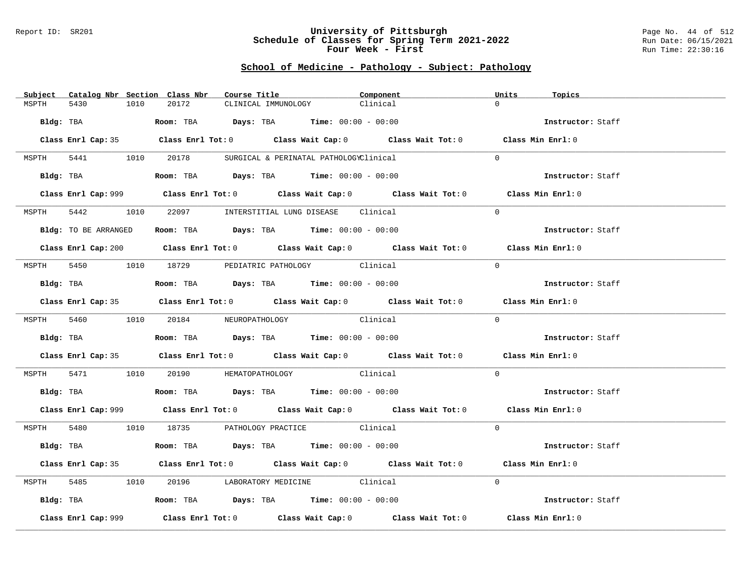### Report ID: SR201 **University of Pittsburgh** Page No. 44 of 512 **Schedule of Classes for Spring Term 2021-2022** Run Date: 06/15/2021 **Four Week - First** Run Time: 22:30:16

# **School of Medicine - Pathology - Subject: Pathology**

| Subject Catalog Nbr Section Class Nbr | Course Title                                                                                | Component | Units<br>Topics   |
|---------------------------------------|---------------------------------------------------------------------------------------------|-----------|-------------------|
| 1010<br>MSPTH<br>5430                 | 20172<br>CLINICAL IMMUNOLOGY                                                                | Clinical  | $\cap$            |
| Bldg: TBA                             | <b>Room:</b> TBA $Days: TBA$ <b>Time:</b> $00:00 - 00:00$                                   |           | Instructor: Staff |
|                                       | Class Enrl Cap: 35 Class Enrl Tot: 0 Class Wait Cap: 0 Class Wait Tot: 0 Class Min Enrl: 0  |           |                   |
|                                       | MSPTH 5441 1010 20178 SURGICAL & PERINATAL PATHOLOGYClinical                                |           | $\Omega$          |
|                                       | Bldg: TBA                  Room: TBA        Days: TBA        Time: 00:00 - 00:00            |           | Instructor: Staff |
|                                       | Class Enrl Cap: 999 Class Enrl Tot: 0 Class Wait Cap: 0 Class Wait Tot: 0 Class Min Enrl: 0 |           |                   |
| MSPTH                                 | 5442 1010 22097 INTERSTITIAL LUNG DISEASE Clinical                                          |           | $\Omega$          |
| Bldg: TO BE ARRANGED                  | Room: TBA $\rule{1em}{0.15mm}$ Days: TBA Time: $00:00 - 00:00$                              |           | Instructor: Staff |
|                                       | Class Enrl Cap: 200 Class Enrl Tot: 0 Class Wait Cap: 0 Class Wait Tot: 0 Class Min Enrl: 0 |           |                   |
|                                       | MSPTH 5450 1010 18729 PEDIATRIC PATHOLOGY Clinical                                          |           | $\Omega$          |
| Bldg: TBA                             | Room: TBA $Days:$ TBA $Time: 00:00 - 00:00$                                                 |           | Instructor: Staff |
|                                       | Class Enrl Cap: 35 Class Enrl Tot: 0 Class Wait Cap: 0 Class Wait Tot: 0 Class Min Enrl: 0  |           |                   |
|                                       | MSPTH 5460 1010 20184 NEUROPATHOLOGY                                                        | Clinical  | $\Omega$          |
|                                       | Bldg: TBA                   Room: TBA         Days: TBA         Time: $00:00 - 00:00$       |           | Instructor: Staff |
|                                       | Class Enrl Cap: 35 Class Enrl Tot: 0 Class Wait Cap: 0 Class Wait Tot: 0 Class Min Enrl: 0  |           |                   |
| MSPTH                                 | 5471 1010 20190 HEMATOPATHOLOGY Clinical                                                    |           | $\Omega$          |
|                                       | Bldg: TBA                   Room: TBA         Days: TBA        Time: $00:00 - 00:00$        |           | Instructor: Staff |
|                                       | Class Enrl Cap: 999 Class Enrl Tot: 0 Class Wait Cap: 0 Class Wait Tot: 0 Class Min Enrl: 0 |           |                   |
|                                       | MSPTH 5480 1010 18735 PATHOLOGY PRACTICE Clinical                                           |           | $\Omega$          |
| Bldg: TBA                             | Room: TBA $\rule{1em}{0.15mm}$ Days: TBA Time: $00:00 - 00:00$                              |           | Instructor: Staff |
|                                       | Class Enrl Cap: 35 Class Enrl Tot: 0 Class Wait Cap: 0 Class Wait Tot: 0 Class Min Enrl: 0  |           |                   |
| MSPTH                                 | 5485 1010 20196 LABORATORY MEDICINE Clinical                                                |           | $\Omega$          |
|                                       | Bldg: TBA                   Room: TBA         Days: TBA         Time: 00:00 - 00:00         |           | Instructor: Staff |
| Class Enrl Cap: 999                   | Class Enrl Tot: $0$ Class Wait Cap: $0$ Class Wait Tot: $0$ Class Min Enrl: $0$             |           |                   |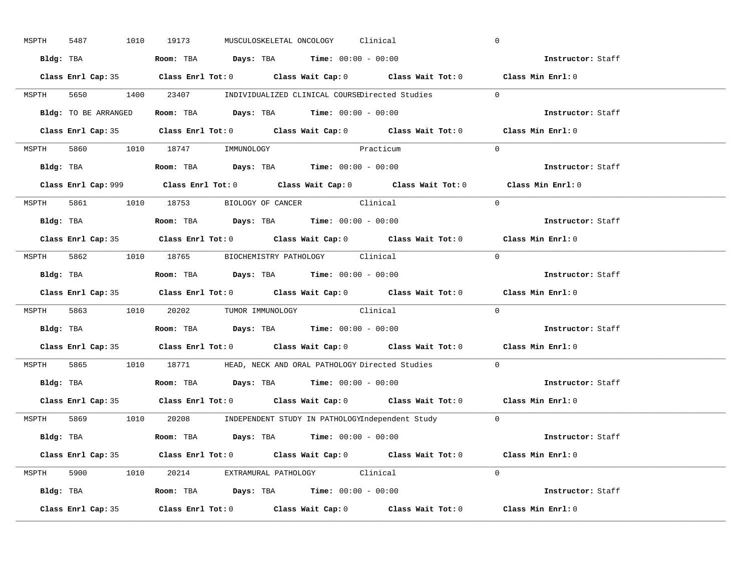| MSPTH | 5487                 | 1010 19173                       | MUSCULOSKELETAL ONCOLOGY Clinical                                                     |                                                                         | $\mathbf 0$                                                                                 |
|-------|----------------------|----------------------------------|---------------------------------------------------------------------------------------|-------------------------------------------------------------------------|---------------------------------------------------------------------------------------------|
|       |                      |                                  | Bldg: TBA                   Room: TBA         Days: TBA        Time: 00:00 - 00:00    |                                                                         | Instructor: Staff                                                                           |
|       |                      |                                  |                                                                                       |                                                                         | Class Enrl Cap: 35 Class Enrl Tot: 0 Class Wait Cap: 0 Class Wait Tot: 0 Class Min Enrl: 0  |
|       |                      |                                  |                                                                                       | MSPTH 5650 1400 23407 INDIVIDUALIZED CLINICAL COURSEDirected Studies 0  |                                                                                             |
|       | Bldg: TO BE ARRANGED |                                  | Room: TBA $Days:$ TBA $Time: 00:00 - 00:00$                                           |                                                                         | Instructor: Staff                                                                           |
|       |                      |                                  |                                                                                       |                                                                         | Class Enrl Cap: 35 Class Enrl Tot: 0 Class Wait Cap: 0 Class Wait Tot: 0 Class Min Enrl: 0  |
|       |                      | MSPTH 5860 1010 18747 IMMUNOLOGY | Practicum                                                                             |                                                                         | $\Omega$                                                                                    |
|       |                      |                                  |                                                                                       |                                                                         | Instructor: Staff                                                                           |
|       |                      |                                  |                                                                                       |                                                                         | Class Enrl Cap: 999 Class Enrl Tot: 0 Class Wait Cap: 0 Class Wait Tot: 0 Class Min Enrl: 0 |
|       |                      |                                  | MSPTH 5861 1010 18753 BIOLOGY OF CANCER Clinical                                      |                                                                         | $\Omega$                                                                                    |
|       |                      |                                  | Bldg: TBA                   Room: TBA         Days: TBA         Time: $00:00 - 00:00$ |                                                                         | Instructor: Staff                                                                           |
|       |                      |                                  |                                                                                       |                                                                         | Class Enrl Cap: 35 Class Enrl Tot: 0 Class Wait Cap: 0 Class Wait Tot: 0 Class Min Enrl: 0  |
|       |                      |                                  | MSPTH 5862 1010 18765 BIOCHEMISTRY PATHOLOGY Clinical                                 |                                                                         | $\Omega$                                                                                    |
|       |                      |                                  | Bldg: TBA                   Room: TBA         Days: TBA         Time: $00:00 - 00:00$ |                                                                         | Instructor: Staff                                                                           |
|       |                      |                                  |                                                                                       |                                                                         | Class Enrl Cap: 35 Class Enrl Tot: 0 Class Wait Cap: 0 Class Wait Tot: 0 Class Min Enrl: 0  |
|       |                      |                                  | MSPTH 5863 1010 20202 TUMOR IMMUNOLOGY Clinical                                       |                                                                         | $\Omega$                                                                                    |
|       |                      |                                  | Bldg: TBA                   Room: TBA         Days: TBA        Time: 00:00 - 00:00    |                                                                         | Instructor: Staff                                                                           |
|       |                      |                                  |                                                                                       |                                                                         | Class Enrl Cap: 35 Class Enrl Tot: 0 Class Wait Cap: 0 Class Wait Tot: 0 Class Min Enrl: 0  |
| MSPTH |                      |                                  |                                                                                       | 5865 1010 18771 HEAD, NECK AND ORAL PATHOLOGY Directed Studies          | $\Omega$                                                                                    |
|       |                      |                                  | Bldg: TBA                    Room: TBA         Days: TBA         Time: 00:00 - 00:00  |                                                                         | Instructor: Staff                                                                           |
|       |                      |                                  |                                                                                       |                                                                         | Class Enrl Cap: 35 Class Enrl Tot: 0 Class Wait Cap: 0 Class Wait Tot: 0 Class Min Enrl: 0  |
|       |                      |                                  |                                                                                       | MSPTH 5869 1010 20208 INDEPENDENT STUDY IN PATHOLOGYIndependent Study 0 |                                                                                             |
|       |                      |                                  | Bldg: TBA                    Room: TBA         Days: TBA         Time: 00:00 - 00:00  |                                                                         | Instructor: Staff                                                                           |
|       |                      |                                  |                                                                                       |                                                                         | Class Enrl Cap: 35 Class Enrl Tot: 0 Class Wait Cap: 0 Class Wait Tot: 0 Class Min Enrl: 0  |
|       |                      |                                  | MSPTH 5900 1010 20214 EXTRAMURAL PATHOLOGY Clinical                                   |                                                                         | $\Omega$                                                                                    |
|       |                      |                                  | Bldg: TBA                   Room: TBA         Days: TBA         Time: 00:00 - 00:00   |                                                                         | Instructor: Staff                                                                           |
|       | Class Enrl Cap: 35   |                                  |                                                                                       |                                                                         | Class Enrl Tot: $0$ Class Wait Cap: $0$ Class Wait Tot: $0$ Class Min Enrl: $0$             |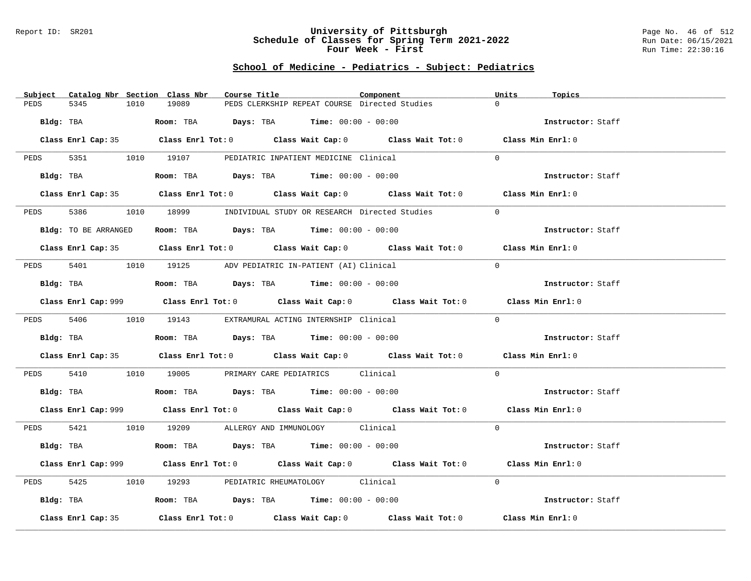### Report ID: SR201 **University of Pittsburgh** Page No. 46 of 512 **Schedule of Classes for Spring Term 2021-2022** Run Date: 06/15/2021 **Four Week - First** Run Time: 22:30:16

# **School of Medicine - Pediatrics - Subject: Pediatrics**

| $\Omega$<br>19089<br>PEDS CLERKSHIP REPEAT COURSE Directed Studies<br>PEDS<br>5345<br>1010<br>Bldg: TBA<br><b>ROOM:</b> TBA <b>Days:</b> TBA <b>Time:</b> $00:00 - 00:00$<br>Instructor: Staff<br>Class Enrl Cap: 35 Class Enrl Tot: 0 Class Wait Cap: 0 Class Wait Tot: 0 Class Min Enrl: 0<br>PEDS 5351 1010 19107 PEDIATRIC INPATIENT MEDICINE Clinical<br>$\Omega$<br>Bldg: TBA<br>Room: TBA $Days:$ TBA $Time: 00:00 - 00:00$<br>Instructor: Staff<br>Class Enrl Cap: 35 Class Enrl Tot: 0 Class Wait Cap: 0 Class Wait Tot: 0 Class Min Enrl: 0<br>5386<br>1010 18999 INDIVIDUAL STUDY OR RESEARCH Directed Studies<br>$\Omega$<br>PEDS<br>Room: TBA $Days:$ TBA $Time: 00:00 - 00:00$<br>Bldg: TO BE ARRANGED<br>Instructor: Staff<br>Class Enrl Cap: 35 Class Enrl Tot: 0 Class Wait Cap: 0 Class Wait Tot: 0 Class Min Enrl: 0<br>PEDS 5401 1010 19125 ADV PEDIATRIC IN-PATIENT (AI) Clinical<br>$\Omega$<br>Instructor: Staff<br>Bldg: TBA                    Room: TBA         Days: TBA         Time: $00:00 - 00:00$<br>Class Enrl Cap: 999 Class Enrl Tot: 0 Class Wait Cap: 0 Class Wait Tot: 0 Class Min Enrl: 0<br>$\Omega$<br>PEDS 5406 1010 19143 EXTRAMURAL ACTING INTERNSHIP Clinical<br>Instructor: Staff<br>Class Enrl Cap: 35 Class Enrl Tot: 0 Class Wait Cap: 0 Class Wait Tot: 0 Class Min Enrl: 0<br>PEDS 5410 1010 19005 PRIMARY CARE PEDIATRICS Clinical<br>$\Omega$<br>Bldg: TBA                   Room: TBA         Days: TBA         Time: 00:00 - 00:00<br>Instructor: Staff<br>Class Enrl Cap: 999 Class Enrl Tot: 0 Class Wait Cap: 0 Class Wait Tot: 0 Class Min Enrl: 0<br>$\Omega$<br>PEDS 5421 1010 19209 ALLERGY AND IMMUNOLOGY Clinical<br>Bldg: TBA                   Room: TBA         Days: TBA        Time: $00:00 - 00:00$<br>Instructor: Staff<br>Class Enrl Cap: 999 Class Enrl Tot: 0 Class Wait Cap: 0 Class Wait Tot: 0 Class Min Enrl: 0<br>1010 19293 PEDIATRIC RHEUMATOLOGY Clinical<br>PEDS 5425<br>$\Omega$<br>Bldg: TBA                    Room: TBA         Days: TBA         Time: $00:00 - 00:00$<br>Instructor: Staff<br>Class Enrl Tot: 0 $\qquad$ Class Wait Cap: 0 $\qquad$ Class Wait Tot: 0 $\qquad$ Class Min Enrl: 0<br>Class Enrl Cap: 35 | Subject Catalog Nbr Section Class Nbr | Course Title | Component | Units<br>Topics |
|-----------------------------------------------------------------------------------------------------------------------------------------------------------------------------------------------------------------------------------------------------------------------------------------------------------------------------------------------------------------------------------------------------------------------------------------------------------------------------------------------------------------------------------------------------------------------------------------------------------------------------------------------------------------------------------------------------------------------------------------------------------------------------------------------------------------------------------------------------------------------------------------------------------------------------------------------------------------------------------------------------------------------------------------------------------------------------------------------------------------------------------------------------------------------------------------------------------------------------------------------------------------------------------------------------------------------------------------------------------------------------------------------------------------------------------------------------------------------------------------------------------------------------------------------------------------------------------------------------------------------------------------------------------------------------------------------------------------------------------------------------------------------------------------------------------------------------------------------------------------------------------------------------------------------------------------------------------------------------------------------------------------------------------------------------------------------------------------------------------------------------------------------------------------------------------------------------------------|---------------------------------------|--------------|-----------|-----------------|
|                                                                                                                                                                                                                                                                                                                                                                                                                                                                                                                                                                                                                                                                                                                                                                                                                                                                                                                                                                                                                                                                                                                                                                                                                                                                                                                                                                                                                                                                                                                                                                                                                                                                                                                                                                                                                                                                                                                                                                                                                                                                                                                                                                                                                 |                                       |              |           |                 |
|                                                                                                                                                                                                                                                                                                                                                                                                                                                                                                                                                                                                                                                                                                                                                                                                                                                                                                                                                                                                                                                                                                                                                                                                                                                                                                                                                                                                                                                                                                                                                                                                                                                                                                                                                                                                                                                                                                                                                                                                                                                                                                                                                                                                                 |                                       |              |           |                 |
|                                                                                                                                                                                                                                                                                                                                                                                                                                                                                                                                                                                                                                                                                                                                                                                                                                                                                                                                                                                                                                                                                                                                                                                                                                                                                                                                                                                                                                                                                                                                                                                                                                                                                                                                                                                                                                                                                                                                                                                                                                                                                                                                                                                                                 |                                       |              |           |                 |
|                                                                                                                                                                                                                                                                                                                                                                                                                                                                                                                                                                                                                                                                                                                                                                                                                                                                                                                                                                                                                                                                                                                                                                                                                                                                                                                                                                                                                                                                                                                                                                                                                                                                                                                                                                                                                                                                                                                                                                                                                                                                                                                                                                                                                 |                                       |              |           |                 |
|                                                                                                                                                                                                                                                                                                                                                                                                                                                                                                                                                                                                                                                                                                                                                                                                                                                                                                                                                                                                                                                                                                                                                                                                                                                                                                                                                                                                                                                                                                                                                                                                                                                                                                                                                                                                                                                                                                                                                                                                                                                                                                                                                                                                                 |                                       |              |           |                 |
|                                                                                                                                                                                                                                                                                                                                                                                                                                                                                                                                                                                                                                                                                                                                                                                                                                                                                                                                                                                                                                                                                                                                                                                                                                                                                                                                                                                                                                                                                                                                                                                                                                                                                                                                                                                                                                                                                                                                                                                                                                                                                                                                                                                                                 |                                       |              |           |                 |
|                                                                                                                                                                                                                                                                                                                                                                                                                                                                                                                                                                                                                                                                                                                                                                                                                                                                                                                                                                                                                                                                                                                                                                                                                                                                                                                                                                                                                                                                                                                                                                                                                                                                                                                                                                                                                                                                                                                                                                                                                                                                                                                                                                                                                 |                                       |              |           |                 |
|                                                                                                                                                                                                                                                                                                                                                                                                                                                                                                                                                                                                                                                                                                                                                                                                                                                                                                                                                                                                                                                                                                                                                                                                                                                                                                                                                                                                                                                                                                                                                                                                                                                                                                                                                                                                                                                                                                                                                                                                                                                                                                                                                                                                                 |                                       |              |           |                 |
|                                                                                                                                                                                                                                                                                                                                                                                                                                                                                                                                                                                                                                                                                                                                                                                                                                                                                                                                                                                                                                                                                                                                                                                                                                                                                                                                                                                                                                                                                                                                                                                                                                                                                                                                                                                                                                                                                                                                                                                                                                                                                                                                                                                                                 |                                       |              |           |                 |
|                                                                                                                                                                                                                                                                                                                                                                                                                                                                                                                                                                                                                                                                                                                                                                                                                                                                                                                                                                                                                                                                                                                                                                                                                                                                                                                                                                                                                                                                                                                                                                                                                                                                                                                                                                                                                                                                                                                                                                                                                                                                                                                                                                                                                 |                                       |              |           |                 |
|                                                                                                                                                                                                                                                                                                                                                                                                                                                                                                                                                                                                                                                                                                                                                                                                                                                                                                                                                                                                                                                                                                                                                                                                                                                                                                                                                                                                                                                                                                                                                                                                                                                                                                                                                                                                                                                                                                                                                                                                                                                                                                                                                                                                                 |                                       |              |           |                 |
|                                                                                                                                                                                                                                                                                                                                                                                                                                                                                                                                                                                                                                                                                                                                                                                                                                                                                                                                                                                                                                                                                                                                                                                                                                                                                                                                                                                                                                                                                                                                                                                                                                                                                                                                                                                                                                                                                                                                                                                                                                                                                                                                                                                                                 |                                       |              |           |                 |
|                                                                                                                                                                                                                                                                                                                                                                                                                                                                                                                                                                                                                                                                                                                                                                                                                                                                                                                                                                                                                                                                                                                                                                                                                                                                                                                                                                                                                                                                                                                                                                                                                                                                                                                                                                                                                                                                                                                                                                                                                                                                                                                                                                                                                 |                                       |              |           |                 |
|                                                                                                                                                                                                                                                                                                                                                                                                                                                                                                                                                                                                                                                                                                                                                                                                                                                                                                                                                                                                                                                                                                                                                                                                                                                                                                                                                                                                                                                                                                                                                                                                                                                                                                                                                                                                                                                                                                                                                                                                                                                                                                                                                                                                                 |                                       |              |           |                 |
|                                                                                                                                                                                                                                                                                                                                                                                                                                                                                                                                                                                                                                                                                                                                                                                                                                                                                                                                                                                                                                                                                                                                                                                                                                                                                                                                                                                                                                                                                                                                                                                                                                                                                                                                                                                                                                                                                                                                                                                                                                                                                                                                                                                                                 |                                       |              |           |                 |
|                                                                                                                                                                                                                                                                                                                                                                                                                                                                                                                                                                                                                                                                                                                                                                                                                                                                                                                                                                                                                                                                                                                                                                                                                                                                                                                                                                                                                                                                                                                                                                                                                                                                                                                                                                                                                                                                                                                                                                                                                                                                                                                                                                                                                 |                                       |              |           |                 |
|                                                                                                                                                                                                                                                                                                                                                                                                                                                                                                                                                                                                                                                                                                                                                                                                                                                                                                                                                                                                                                                                                                                                                                                                                                                                                                                                                                                                                                                                                                                                                                                                                                                                                                                                                                                                                                                                                                                                                                                                                                                                                                                                                                                                                 |                                       |              |           |                 |
|                                                                                                                                                                                                                                                                                                                                                                                                                                                                                                                                                                                                                                                                                                                                                                                                                                                                                                                                                                                                                                                                                                                                                                                                                                                                                                                                                                                                                                                                                                                                                                                                                                                                                                                                                                                                                                                                                                                                                                                                                                                                                                                                                                                                                 |                                       |              |           |                 |
|                                                                                                                                                                                                                                                                                                                                                                                                                                                                                                                                                                                                                                                                                                                                                                                                                                                                                                                                                                                                                                                                                                                                                                                                                                                                                                                                                                                                                                                                                                                                                                                                                                                                                                                                                                                                                                                                                                                                                                                                                                                                                                                                                                                                                 |                                       |              |           |                 |
|                                                                                                                                                                                                                                                                                                                                                                                                                                                                                                                                                                                                                                                                                                                                                                                                                                                                                                                                                                                                                                                                                                                                                                                                                                                                                                                                                                                                                                                                                                                                                                                                                                                                                                                                                                                                                                                                                                                                                                                                                                                                                                                                                                                                                 |                                       |              |           |                 |
|                                                                                                                                                                                                                                                                                                                                                                                                                                                                                                                                                                                                                                                                                                                                                                                                                                                                                                                                                                                                                                                                                                                                                                                                                                                                                                                                                                                                                                                                                                                                                                                                                                                                                                                                                                                                                                                                                                                                                                                                                                                                                                                                                                                                                 |                                       |              |           |                 |
|                                                                                                                                                                                                                                                                                                                                                                                                                                                                                                                                                                                                                                                                                                                                                                                                                                                                                                                                                                                                                                                                                                                                                                                                                                                                                                                                                                                                                                                                                                                                                                                                                                                                                                                                                                                                                                                                                                                                                                                                                                                                                                                                                                                                                 |                                       |              |           |                 |
|                                                                                                                                                                                                                                                                                                                                                                                                                                                                                                                                                                                                                                                                                                                                                                                                                                                                                                                                                                                                                                                                                                                                                                                                                                                                                                                                                                                                                                                                                                                                                                                                                                                                                                                                                                                                                                                                                                                                                                                                                                                                                                                                                                                                                 |                                       |              |           |                 |
|                                                                                                                                                                                                                                                                                                                                                                                                                                                                                                                                                                                                                                                                                                                                                                                                                                                                                                                                                                                                                                                                                                                                                                                                                                                                                                                                                                                                                                                                                                                                                                                                                                                                                                                                                                                                                                                                                                                                                                                                                                                                                                                                                                                                                 |                                       |              |           |                 |
|                                                                                                                                                                                                                                                                                                                                                                                                                                                                                                                                                                                                                                                                                                                                                                                                                                                                                                                                                                                                                                                                                                                                                                                                                                                                                                                                                                                                                                                                                                                                                                                                                                                                                                                                                                                                                                                                                                                                                                                                                                                                                                                                                                                                                 |                                       |              |           |                 |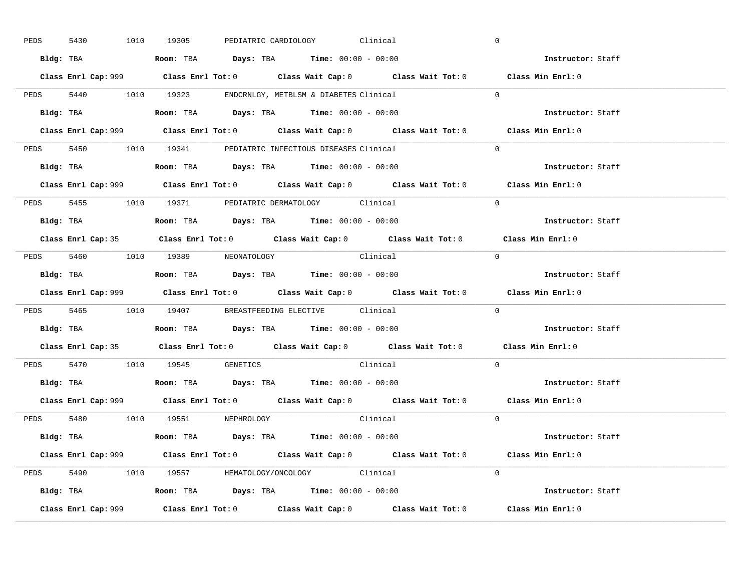| PEDS | 5430      |  | 1010 19305                                                                             |  | PEDIATRIC CARDIOLOGY Clinical |                                                                                             |            | $\overline{0}$    |  |
|------|-----------|--|----------------------------------------------------------------------------------------|--|-------------------------------|---------------------------------------------------------------------------------------------|------------|-------------------|--|
|      |           |  | Bldg: TBA                   Room: TBA         Days: TBA         Time: $00:00 - 00:00$  |  |                               |                                                                                             |            | Instructor: Staff |  |
|      |           |  |                                                                                        |  |                               | Class Enrl Cap: 999 Class Enrl Tot: 0 Class Wait Cap: 0 Class Wait Tot: 0 Class Min Enrl: 0 |            |                   |  |
|      |           |  | PEDS 5440 1010 19323 ENDCRNLGY, METBLSM & DIABETES Clinical                            |  |                               |                                                                                             |            | $\Omega$          |  |
|      |           |  | Bldg: TBA                   Room: TBA         Days: TBA         Time: $00:00 - 00:00$  |  |                               |                                                                                             |            | Instructor: Staff |  |
|      |           |  |                                                                                        |  |                               | Class Enrl Cap: 999 Class Enrl Tot: 0 Class Wait Cap: 0 Class Wait Tot: 0 Class Min Enrl: 0 |            |                   |  |
|      |           |  | PEDS 5450 1010 19341 PEDIATRIC INFECTIOUS DISEASES Clinical                            |  |                               |                                                                                             |            | $\Omega$          |  |
|      |           |  | Bldg: TBA                    Room: TBA         Days: TBA        Time: $00:00 - 00:00$  |  |                               |                                                                                             |            | Instructor: Staff |  |
|      |           |  |                                                                                        |  |                               | Class Enrl Cap: 999 Class Enrl Tot: 0 Class Wait Cap: 0 Class Wait Tot: 0 Class Min Enrl: 0 |            |                   |  |
|      |           |  | PEDS 5455 1010 19371 PEDIATRIC DERMATOLOGY Clinical                                    |  |                               |                                                                                             |            | $\Omega$          |  |
|      |           |  | Bldg: TBA                    Room: TBA         Days: TBA         Time: $00:00 - 00:00$ |  |                               |                                                                                             |            | Instructor: Staff |  |
|      |           |  |                                                                                        |  |                               | Class Enrl Cap: 35 Class Enrl Tot: 0 Class Wait Cap: 0 Class Wait Tot: 0 Class Min Enrl: 0  |            |                   |  |
|      |           |  | PEDS 5460 1010 19389 NEONATOLOGY                                                       |  |                               | Clinical                                                                                    | $\bigcirc$ |                   |  |
|      |           |  |                                                                                        |  |                               |                                                                                             |            | Instructor: Staff |  |
|      |           |  |                                                                                        |  |                               |                                                                                             |            |                   |  |
|      |           |  |                                                                                        |  |                               | Class Enrl Cap: 999 Class Enrl Tot: 0 Class Wait Cap: 0 Class Wait Tot: 0 Class Min Enrl: 0 |            |                   |  |
|      |           |  | PEDS 5465 1010 19407 BREASTFEEDING ELECTIVE Clinical                                   |  |                               |                                                                                             |            | $\mathbf{0}$      |  |
|      | Bldg: TBA |  | Room: TBA $\rule{1em}{0.15mm}$ Days: TBA Time: $00:00 - 00:00$                         |  |                               |                                                                                             |            | Instructor: Staff |  |
|      |           |  |                                                                                        |  |                               | Class Enrl Cap: 35 Class Enrl Tot: 0 Class Wait Cap: 0 Class Wait Tot: 0 Class Min Enrl: 0  |            |                   |  |
|      |           |  | PEDS 5470 1010 19545 GENETICS                                                          |  |                               | Clinical                                                                                    |            | $\Omega$          |  |
|      |           |  | Bldg: TBA                    Room: TBA         Days: TBA         Time: $00:00 - 00:00$ |  |                               |                                                                                             |            | Instructor: Staff |  |
|      |           |  |                                                                                        |  |                               | Class Enrl Cap: 999 Class Enrl Tot: 0 Class Wait Cap: 0 Class Wait Tot: 0 Class Min Enrl: 0 |            |                   |  |
|      |           |  | PEDS 5480 1010 19551 NEPHROLOGY                                                        |  |                               | Clinical                                                                                    |            | $\Omega$          |  |
|      |           |  | Bldg: TBA                   Room: TBA         Days: TBA         Time: 00:00 - 00:00    |  |                               |                                                                                             |            | Instructor: Staff |  |
|      |           |  |                                                                                        |  |                               | Class Enrl Cap: 999 Class Enrl Tot: 0 Class Wait Cap: 0 Class Wait Tot: 0 Class Min Enrl: 0 |            |                   |  |
|      |           |  | PEDS 5490 1010 19557 HEMATOLOGY/ONCOLOGY Clinical                                      |  |                               |                                                                                             |            | $\Omega$          |  |
|      |           |  | <b>Bldg:</b> TBA <b>ROOM:</b> TBA <b>Days:</b> TBA <b>Time:</b> $00:00 - 00:00$        |  |                               |                                                                                             |            | Instructor: Staff |  |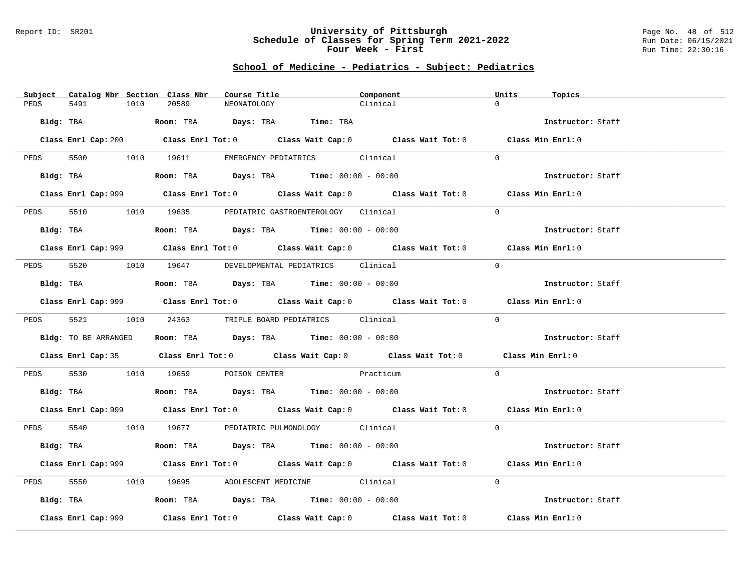### Report ID: SR201 **University of Pittsburgh** Page No. 48 of 512 **Schedule of Classes for Spring Term 2021-2022** Run Date: 06/15/2021 **Four Week - First** Run Time: 22:30:16

# **School of Medicine - Pediatrics - Subject: Pediatrics**

| Subject Catalog Nbr Section Class Nbr | Course Title                                                                                | Component                                                                                          | Units<br>Topics   |
|---------------------------------------|---------------------------------------------------------------------------------------------|----------------------------------------------------------------------------------------------------|-------------------|
| 5491<br>PEDS<br>1010                  | 20589<br>NEONATOLOGY                                                                        | Clinical                                                                                           | $\Omega$          |
| Bldg: TBA                             | Room: TBA Days: TBA Time: TBA                                                               |                                                                                                    | Instructor: Staff |
|                                       |                                                                                             | Class Enrl Cap: 200 Class Enrl Tot: 0 Class Wait Cap: 0 Class Wait Tot: 0 Class Min Enrl: 0        |                   |
|                                       | PEDS 5500 1010 19611 EMERGENCY PEDIATRICS Clinical                                          |                                                                                                    | $\Omega$          |
|                                       | Bldg: TBA                  Room: TBA        Days: TBA        Time: 00:00 - 00:00            |                                                                                                    | Instructor: Staff |
|                                       |                                                                                             | Class Enrl Cap: 999 Class Enrl Tot: 0 Class Wait Cap: 0 Class Wait Tot: 0 Class Min Enrl: 0        |                   |
|                                       | PEDS 5510 1010 19635 PEDIATRIC GASTROENTEROLOGY Clinical                                    |                                                                                                    | $\Omega$          |
|                                       | Bldg: TBA                    Room: TBA         Days: TBA         Time: 00:00 - 00:00        |                                                                                                    | Instructor: Staff |
|                                       |                                                                                             | Class Enrl Cap: 999 Class Enrl Tot: 0 Class Wait Cap: 0 Class Wait Tot: 0 Class Min Enrl: 0        |                   |
|                                       | PEDS 5520 1010 19647 DEVELOPMENTAL PEDIATRICS Clinical                                      |                                                                                                    | $\Omega$          |
|                                       | Bldg: TBA                   Room: TBA         Days: TBA         Time: $00:00 - 00:00$       |                                                                                                    | Instructor: Staff |
|                                       |                                                                                             | Class Enrl Cap: 999 Class Enrl Tot: 0 Class Wait Cap: 0 Class Wait Tot: 0 Class Min Enrl: 0        |                   |
|                                       | PEDS 5521 1010 24363 TRIPLE BOARD PEDIATRICS Clinical                                       |                                                                                                    | $\Omega$          |
| Bldg: TO BE ARRANGED                  | Room: TBA $Days:$ TBA $Time:$ 00:00 - 00:00                                                 |                                                                                                    | Instructor: Staff |
|                                       |                                                                                             | Class Enrl Cap: 35 Class Enrl Tot: 0 Class Wait Cap: 0 Class Wait Tot: 0 Class Min Enrl: 0         |                   |
| PEDS                                  | 5530 1010 19659 POISON CENTER Practicum                                                     |                                                                                                    | $\Omega$          |
|                                       | Bldg: TBA                   Room: TBA         Days: TBA         Time: $00:00 - 00:00$       |                                                                                                    | Instructor: Staff |
|                                       |                                                                                             | Class Enrl Cap: 999 Class Enrl Tot: 0 Class Wait Cap: 0 Class Wait Tot: 0 Class Min Enrl: 0        |                   |
|                                       | PEDS 5540 1010 19677 PEDIATRIC PULMONOLOGY Clinical                                         |                                                                                                    | $\Omega$          |
|                                       | Bldg: TBA                   Room: TBA         Days: TBA         Time: $00:00 - 00:00$       |                                                                                                    | Instructor: Staff |
|                                       |                                                                                             | Class Enrl Cap: 999 Class Enrl Tot: 0 Class Wait Cap: 0 Class Wait Tot: 0 Class Min Enrl: 0        |                   |
| 5550 000<br>PEDS                      | 1010 19695 ADOLESCENT MEDICINE Clinical                                                     |                                                                                                    | $\Omega$          |
|                                       | Bldg: TBA                        Room: TBA          Days: TBA         Time: $00:00 - 00:00$ |                                                                                                    | Instructor: Staff |
| Class Enrl Cap: 999                   |                                                                                             | Class Enrl Tot: 0 $\qquad$ Class Wait Cap: 0 $\qquad$ Class Wait Tot: 0 $\qquad$ Class Min Enrl: 0 |                   |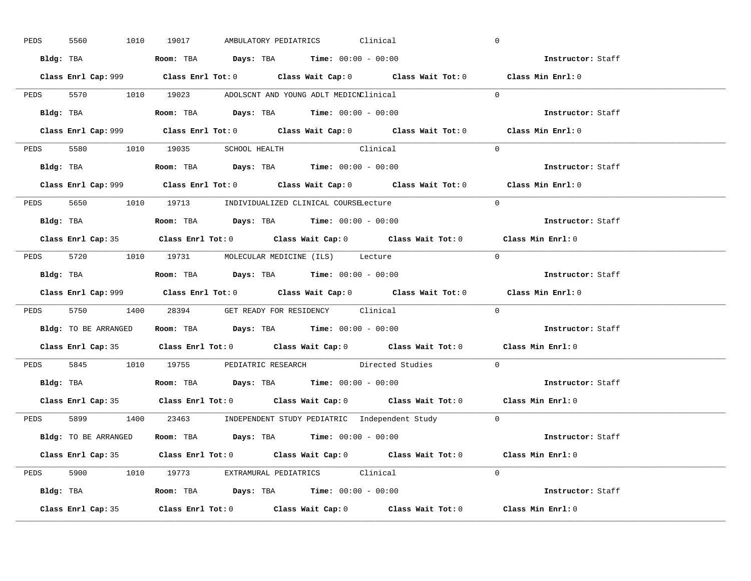| PEDS | 5560 | 1010 19017 | AMBULATORY PEDIATRICS                                                                      | Clinical                                                                                    | $\mathbf 0$                                                                                 |  |
|------|------|------------|--------------------------------------------------------------------------------------------|---------------------------------------------------------------------------------------------|---------------------------------------------------------------------------------------------|--|
|      |      |            | Bldg: TBA                     Room: TBA         Days: TBA         Time: 00:00 - 00:00      |                                                                                             | Instructor: Staff                                                                           |  |
|      |      |            |                                                                                            | Class Enrl Cap: 999 Class Enrl Tot: 0 Class Wait Cap: 0 Class Wait Tot: 0 Class Min Enrl: 0 |                                                                                             |  |
|      |      |            | PEDS 5570 1010 19023 ADOLSCNT AND YOUNG ADLT MEDICNClinical                                |                                                                                             | $\Omega$                                                                                    |  |
|      |      |            |                                                                                            |                                                                                             | Instructor: Staff                                                                           |  |
|      |      |            |                                                                                            | Class Enrl Cap: 999 Class Enrl Tot: 0 Class Wait Cap: 0 Class Wait Tot: 0                   | Class Min Enrl: 0                                                                           |  |
|      |      |            | PEDS 5580 1010 19035 SCHOOL HEALTH Clinical                                                |                                                                                             | $\Omega$                                                                                    |  |
|      |      |            | <b>Bldg:</b> TBA <b>ROOM:</b> TBA <b>Days:</b> TBA <b>Time:</b> $00:00 - 00:00$            |                                                                                             | Instructor: Staff                                                                           |  |
|      |      |            |                                                                                            | Class Enrl Cap: 999 Class Enrl Tot: 0 Class Wait Cap: 0 Class Wait Tot: 0 Class Min Enrl: 0 |                                                                                             |  |
|      |      |            | PEDS 5650 1010 19713 INDIVIDUALIZED CLINICAL COURSELecture                                 |                                                                                             | $\Omega$                                                                                    |  |
|      |      |            | Bldg: TBA                   Room: TBA         Days: TBA         Time: $00:00 - 00:00$      |                                                                                             | Instructor: Staff                                                                           |  |
|      |      |            |                                                                                            | Class Enrl Cap: 35 Class Enrl Tot: 0 Class Wait Cap: 0 Class Wait Tot: 0 Class Min Enrl: 0  |                                                                                             |  |
|      |      |            | PEDS 5720 1010 19731 MOLECULAR MEDICINE (ILS) Lecture                                      |                                                                                             | $\Omega$                                                                                    |  |
|      |      |            | Bldg: TBA                   Room: TBA         Days: TBA         Time: $00:00 - 00:00$      |                                                                                             | Instructor: Staff                                                                           |  |
|      |      |            |                                                                                            |                                                                                             | Class Enrl Cap: 999 Class Enrl Tot: 0 Class Wait Cap: 0 Class Wait Tot: 0 Class Min Enrl: 0 |  |
|      |      |            |                                                                                            |                                                                                             |                                                                                             |  |
|      |      |            | PEDS 5750 1400 28394 GET READY FOR RESIDENCY Clinical                                      |                                                                                             | $\Omega$                                                                                    |  |
|      |      |            | <b>Bldg:</b> TO BE ARRANGED <b>ROOM:</b> TBA <b>Days:</b> TBA <b>Time:</b> $00:00 - 00:00$ |                                                                                             | Instructor: Staff                                                                           |  |
|      |      |            |                                                                                            | Class Enrl Cap: 35 Class Enrl Tot: 0 Class Wait Cap: 0 Class Wait Tot: 0 Class Min Enrl: 0  |                                                                                             |  |
|      |      |            |                                                                                            | PEDS 5845 1010 19755 PEDIATRIC RESEARCH Directed Studies                                    | $\Omega$                                                                                    |  |
|      |      |            | Bldg: TBA                    Room: TBA         Days: TBA         Time: 00:00 - 00:00       |                                                                                             | Instructor: Staff                                                                           |  |
|      |      |            |                                                                                            | Class Enrl Cap: 35 Class Enrl Tot: 0 Class Wait Cap: 0 Class Wait Tot: 0 Class Min Enrl: 0  |                                                                                             |  |
|      |      |            |                                                                                            | PEDS 5899 1400 23463 INDEPENDENT STUDY PEDIATRIC Independent Study 0                        |                                                                                             |  |
|      |      |            | Bldg: TO BE ARRANGED Room: TBA Days: TBA Time: 00:00 - 00:00                               |                                                                                             | <b>Instructor:</b> Staff                                                                    |  |
|      |      |            |                                                                                            | Class Enrl Cap: 35 Class Enrl Tot: 0 Class Wait Cap: 0 Class Wait Tot: 0 Class Min Enrl: 0  |                                                                                             |  |
|      |      |            | PEDS 5900 1010 19773 EXTRAMURAL PEDIATRICS Clinical                                        |                                                                                             | $\Omega$                                                                                    |  |
|      |      |            | Bldg: TBA                   Room: TBA         Days: TBA         Time: $00:00 - 00:00$      |                                                                                             | Instructor: Staff                                                                           |  |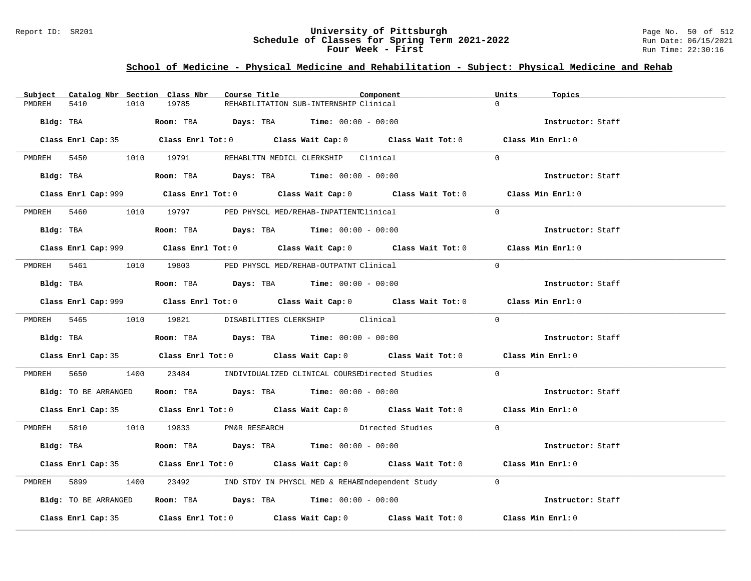### Report ID: SR201 **University of Pittsburgh** Page No. 50 of 512 **Schedule of Classes for Spring Term 2021-2022** Run Date: 06/15/2021 **Four Week - First** Run Time: 22:30:16

# **School of Medicine - Physical Medicine and Rehabilitation - Subject: Physical Medicine and Rehab**

| Subject     | Catalog Nbr Section Class Nbr        |      |       | Course Title |                                                                                         | Component                                                                                   | Units    | Topics            |
|-------------|--------------------------------------|------|-------|--------------|-----------------------------------------------------------------------------------------|---------------------------------------------------------------------------------------------|----------|-------------------|
| PMDREH      | 5410                                 | 1010 | 19785 |              | REHABILITATION SUB-INTERNSHIP Clinical                                                  |                                                                                             | $\Omega$ |                   |
|             |                                      |      |       |              | Bldg: TBA                     Room: TBA          Days: TBA         Time: 00:00 - 00:00  |                                                                                             |          | Instructor: Staff |
|             |                                      |      |       |              |                                                                                         | Class Enrl Cap: 35 Class Enrl Tot: 0 Class Wait Cap: 0 Class Wait Tot: 0 Class Min Enrl: 0  |          |                   |
|             |                                      |      |       |              | PMDREH 5450 1010 19791 REHABLTTN MEDICL CLERKSHIP Clinical                              |                                                                                             | $\Omega$ |                   |
|             | Bldg: TBA                            |      |       |              | Room: TBA $Days: TBA$ Time: $00:00 - 00:00$                                             |                                                                                             |          | Instructor: Staff |
|             |                                      |      |       |              |                                                                                         | Class Enrl Cap: 999 Class Enrl Tot: 0 Class Wait Cap: 0 Class Wait Tot: 0 Class Min Enrl: 0 |          |                   |
|             |                                      |      |       |              | PMDREH 5460 1010 19797 PED PHYSCL MED/REHAB-INPATIENTClinical                           |                                                                                             | $\Omega$ |                   |
|             |                                      |      |       |              | Bldg: TBA                    Room: TBA         Days: TBA         Time: $00:00 - 00:00$  |                                                                                             |          | Instructor: Staff |
|             |                                      |      |       |              |                                                                                         | Class Enrl Cap: 999 Class Enrl Tot: 0 Class Wait Cap: 0 Class Wait Tot: 0 Class Min Enrl: 0 |          |                   |
| PMDREH 5461 |                                      |      |       |              | 1010 19803 PED PHYSCL MED/REHAB-OUTPATNT Clinical                                       |                                                                                             | $\Omega$ |                   |
|             |                                      |      |       |              | Bldg: TBA                    Room: TBA         Days: TBA         Time: $00:00 - 00:00$  |                                                                                             |          | Instructor: Staff |
|             |                                      |      |       |              |                                                                                         | Class Enrl Cap: 999 Class Enrl Tot: 0 Class Wait Cap: 0 Class Wait Tot: 0 Class Min Enrl: 0 |          |                   |
|             |                                      |      |       |              | PMDREH 5465 1010 19821 DISABILITIES CLERKSHIP Clinical                                  |                                                                                             | $\Omega$ |                   |
|             |                                      |      |       |              | Bldg: TBA                   Room: TBA         Days: TBA         Time: $00:00 - 00:00$   |                                                                                             |          | Instructor: Staff |
|             |                                      |      |       |              |                                                                                         | Class Enrl Cap: 35 Class Enrl Tot: 0 Class Wait Cap: 0 Class Wait Tot: 0 Class Min Enrl: 0  |          |                   |
| PMDREH      | 5650 766                             |      |       |              |                                                                                         | 1400 23484 INDIVIDUALIZED CLINICAL COURSEDirected Studies 0                                 |          |                   |
|             |                                      |      |       |              | Bldg: TO BE ARRANGED ROOM: TBA Days: TBA Time: 00:00 - 00:00                            |                                                                                             |          | Instructor: Staff |
|             |                                      |      |       |              |                                                                                         | Class Enrl Cap: 35 Class Enrl Tot: 0 Class Wait Cap: 0 Class Wait Tot: 0 Class Min Enrl: 0  |          |                   |
|             | PMDREH 5810 1010 19833 PM&R RESEARCH |      |       |              |                                                                                         | Directed Studies 0                                                                          |          |                   |
|             |                                      |      |       |              | Bldg: TBA                    Room: TBA          Days: TBA         Time: $00:00 - 00:00$ |                                                                                             |          | Instructor: Staff |
|             |                                      |      |       |              |                                                                                         | Class Enrl Cap: 35 Class Enrl Tot: 0 Class Wait Cap: 0 Class Wait Tot: 0 Class Min Enrl: 0  |          |                   |
| PMDREH      | 5899                                 |      |       |              |                                                                                         | 1400 23492 IND STDY IN PHYSCL MED & REHABIndependent Study 0                                |          |                   |
|             | Bldg: TO BE ARRANGED                 |      |       |              | Room: TBA $Days:$ TBA $Time:$ $00:00 - 00:00$                                           |                                                                                             |          | Instructor: Staff |
|             |                                      |      |       |              |                                                                                         | Class Enrl Cap: 35 Class Enrl Tot: 0 Class Wait Cap: 0 Class Wait Tot: 0 Class Min Enrl: 0  |          |                   |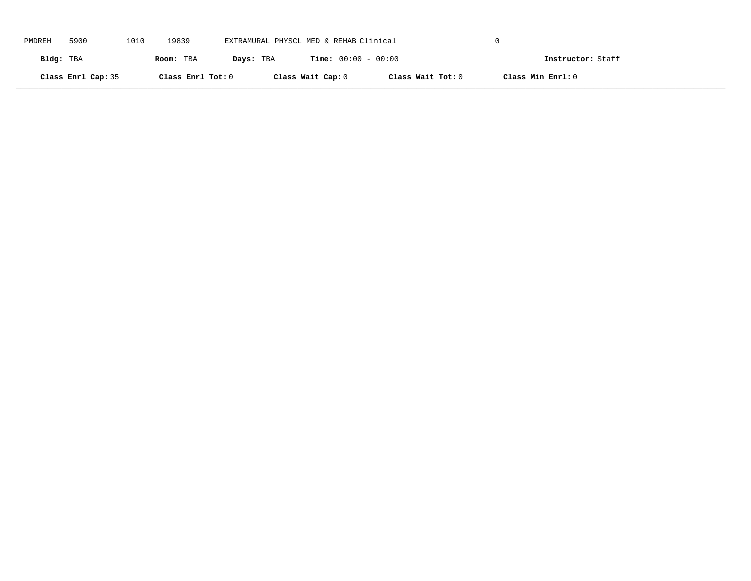| PMDREH    | 5900               | 1010 | 19839             | EXTRAMURAL PHYSCL MED & REHAB Clinical |                              |                   |                   |  |
|-----------|--------------------|------|-------------------|----------------------------------------|------------------------------|-------------------|-------------------|--|
| Bldg: TBA |                    |      | Room: TBA         | Days: TBA                              | <b>Time:</b> $00:00 - 00:00$ |                   | Instructor: Staff |  |
|           | Class Enrl Cap: 35 |      | Class Enrl Tot: 0 |                                        | Class Wait Cap: 0            | Class Wait Tot: 0 | Class Min Enrl: 0 |  |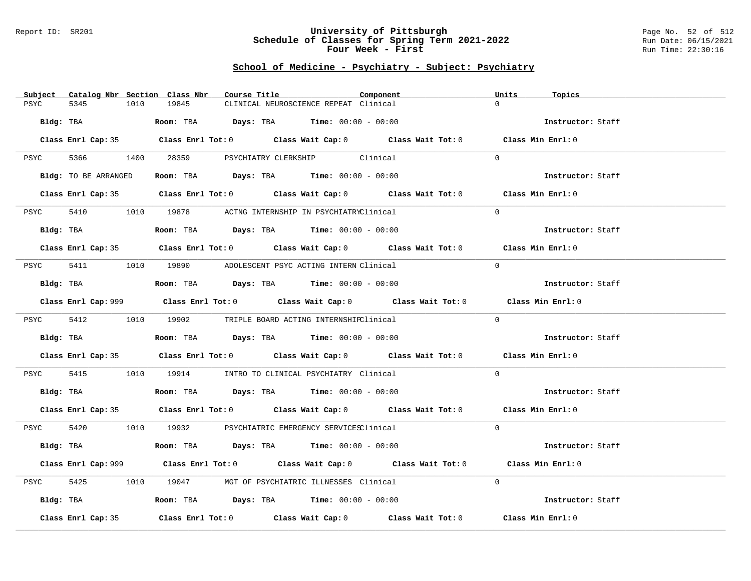### Report ID: SR201 **University of Pittsburgh** Page No. 52 of 512 **Schedule of Classes for Spring Term 2021-2022** Run Date: 06/15/2021 **Four Week - First** Run Time: 22:30:16

| Subject<br>Catalog Nbr Section Class Nbr | Course Title                                                                                | Component | Units<br>Topics   |
|------------------------------------------|---------------------------------------------------------------------------------------------|-----------|-------------------|
| PSYC<br>5345<br>1010                     | 19845<br>CLINICAL NEUROSCIENCE REPEAT Clinical                                              |           | $\Omega$          |
|                                          |                                                                                             |           |                   |
| Bldg: TBA                                | Room: TBA $Days:$ TBA $Time: 00:00 - 00:00$                                                 |           | Instructor: Staff |
|                                          |                                                                                             |           |                   |
|                                          | Class Enrl Cap: 35 Class Enrl Tot: 0 Class Wait Cap: 0 Class Wait Tot: 0 Class Min Enrl: 0  |           |                   |
|                                          |                                                                                             |           |                   |
|                                          | PSYC 5366 1400 28359 PSYCHIATRY CLERKSHIP Clinical                                          |           | $\Omega$          |
|                                          |                                                                                             |           |                   |
| Bldg: TO BE ARRANGED                     | Room: TBA $\rule{1em}{0.15mm}$ Days: TBA Time: $00:00 - 00:00$                              |           | Instructor: Staff |
|                                          |                                                                                             |           |                   |
|                                          | Class Enrl Cap: 35 Class Enrl Tot: 0 Class Wait Cap: 0 Class Wait Tot: 0 Class Min Enrl: 0  |           |                   |
|                                          | 5410 1010 19878 ACTNG INTERNSHIP IN PSYCHIATRYClinical                                      |           | $\Omega$          |
| PSYC                                     |                                                                                             |           |                   |
| Bldg: TBA                                | Room: TBA $Days:$ TBA $Time: 00:00 - 00:00$                                                 |           | Instructor: Staff |
|                                          |                                                                                             |           |                   |
|                                          | Class Enrl Cap: 35 Class Enrl Tot: 0 Class Wait Cap: 0 Class Wait Tot: 0 Class Min Enrl: 0  |           |                   |
|                                          |                                                                                             |           |                   |
|                                          | PSYC 5411 1010 19890 ADOLESCENT PSYC ACTING INTERN Clinical                                 |           | $\Omega$          |
|                                          |                                                                                             |           |                   |
| Bldg: TBA                                | Room: TBA $\rule{1em}{0.15mm}$ Days: TBA Time: $00:00 - 00:00$                              |           | Instructor: Staff |
|                                          |                                                                                             |           |                   |
|                                          | Class Enrl Cap: 999 Class Enrl Tot: 0 Class Wait Cap: 0 Class Wait Tot: 0 Class Min Enrl: 0 |           |                   |
|                                          |                                                                                             |           |                   |
|                                          | PSYC 5412 1010 19902 TRIPLE BOARD ACTING INTERNSHIPClinical                                 |           | $\Omega$          |
| Bldg: TBA                                | Room: TBA $\rule{1em}{0.15mm}$ Days: TBA Time: $00:00 - 00:00$                              |           | Instructor: Staff |
|                                          |                                                                                             |           |                   |
|                                          | Class Enrl Cap: 35 Class Enrl Tot: 0 Class Wait Cap: 0 Class Wait Tot: 0 Class Min Enrl: 0  |           |                   |
|                                          |                                                                                             |           |                   |
| PSYC                                     | 5415 1010 19914 INTRO TO CLINICAL PSYCHIATRY Clinical                                       |           | $\Omega$          |
|                                          |                                                                                             |           |                   |
|                                          | Bldg: TBA                    Room: TBA         Days: TBA         Time: $00:00 - 00:00$      |           | Instructor: Staff |
|                                          |                                                                                             |           |                   |
|                                          | Class Enrl Cap: 35 Class Enrl Tot: 0 Class Wait Cap: 0 Class Wait Tot: 0 Class Min Enrl: 0  |           |                   |
|                                          |                                                                                             |           |                   |
|                                          | PSYC 5420 1010 19932 PSYCHIATRIC EMERGENCY SERVICESClinical                                 |           | $\Omega$          |
|                                          |                                                                                             |           |                   |
| Bldg: TBA                                | Room: TBA $Days:$ TBA Time: $00:00 - 00:00$                                                 |           | Instructor: Staff |
|                                          | Class Enrl Cap: 999 Class Enrl Tot: 0 Class Wait Cap: 0 Class Wait Tot: 0 Class Min Enrl: 0 |           |                   |
|                                          |                                                                                             |           |                   |
| 5425<br>PSYC                             | 1010 19047 MGT OF PSYCHIATRIC ILLNESSES Clinical                                            |           | $\Omega$          |
|                                          |                                                                                             |           |                   |
| Bldg: TBA                                | Room: TBA $\rule{1em}{0.15mm}$ Days: TBA Time: $00:00 - 00:00$                              |           | Instructor: Staff |
|                                          |                                                                                             |           |                   |
| Class Enrl Cap: 35                       | Class Enrl Tot: $0$ Class Wait Cap: $0$ Class Wait Tot: $0$                                 |           | Class Min Enrl: 0 |
|                                          |                                                                                             |           |                   |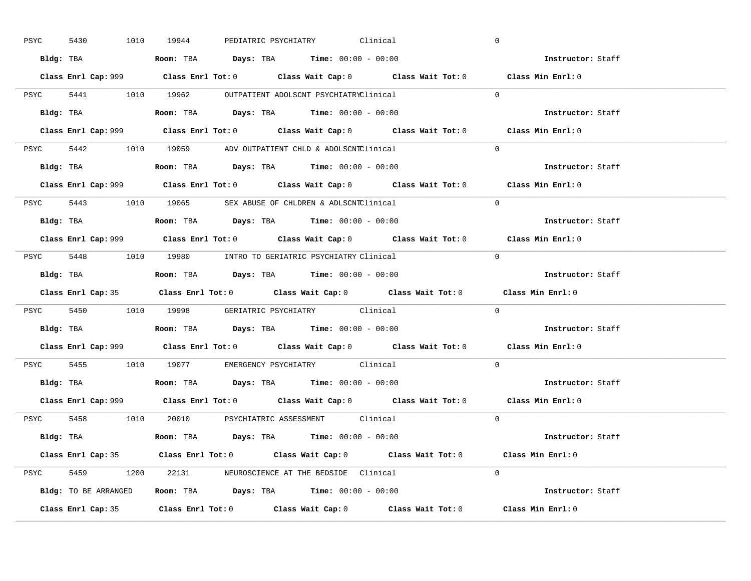| PSYC | 5430 |           | 1010 19944                                                                             |  | PEDIATRIC PSYCHIATRY Clinical |                                                                                             | $\overline{0}$ |                          |  |
|------|------|-----------|----------------------------------------------------------------------------------------|--|-------------------------------|---------------------------------------------------------------------------------------------|----------------|--------------------------|--|
|      |      |           | Bldg: TBA                   Room: TBA         Days: TBA         Time: $00:00 - 00:00$  |  |                               |                                                                                             |                | Instructor: Staff        |  |
|      |      |           |                                                                                        |  |                               | Class Enrl Cap: 999 Class Enrl Tot: 0 Class Wait Cap: 0 Class Wait Tot: 0 Class Min Enrl: 0 |                |                          |  |
|      |      |           | PSYC 5441 1010 19962 OUTPATIENT ADOLSCNT PSYCHIATRYClinical                            |  |                               |                                                                                             | $\Omega$       |                          |  |
|      |      | Bldg: TBA | Room: TBA $Days:$ TBA $Time:$ 00:00 - 00:00                                            |  |                               |                                                                                             |                | Instructor: Staff        |  |
|      |      |           |                                                                                        |  |                               | Class Enrl Cap: 999 Class Enrl Tot: 0 Class Wait Cap: 0 Class Wait Tot: 0 Class Min Enrl: 0 |                |                          |  |
|      |      |           | PSYC 5442 1010 19059 ADV OUTPATIENT CHLD & ADOLSCNTClinical                            |  |                               |                                                                                             | $\Omega$       |                          |  |
|      |      |           | Bldg: TBA                    Room: TBA         Days: TBA        Time: $00:00 - 00:00$  |  |                               |                                                                                             |                | Instructor: Staff        |  |
|      |      |           |                                                                                        |  |                               | Class Enrl Cap: 999 Class Enrl Tot: 0 Class Wait Cap: 0 Class Wait Tot: 0 Class Min Enrl: 0 |                |                          |  |
|      |      |           | PSYC 5443 1010 19065 SEX ABUSE OF CHLDREN & ADLSCNTClinical                            |  |                               |                                                                                             | $\Omega$       |                          |  |
|      |      |           |                                                                                        |  |                               |                                                                                             |                | Instructor: Staff        |  |
|      |      |           |                                                                                        |  |                               | Class Enrl Cap: 999 Class Enrl Tot: 0 Class Wait Cap: 0 Class Wait Tot: 0 Class Min Enrl: 0 |                |                          |  |
|      |      |           | PSYC 5448 1010 19980 INTRO TO GERIATRIC PSYCHIATRY Clinical                            |  |                               |                                                                                             | $\Omega$       |                          |  |
|      |      |           |                                                                                        |  |                               |                                                                                             |                | Instructor: Staff        |  |
|      |      |           |                                                                                        |  |                               |                                                                                             |                |                          |  |
|      |      |           |                                                                                        |  |                               | Class Enrl Cap: 35 Class Enrl Tot: 0 Class Wait Cap: 0 Class Wait Tot: 0 Class Min Enrl: 0  |                |                          |  |
|      |      |           | PSYC 5450 1010 19998 GERIATRIC PSYCHIATRY Clinical                                     |  |                               |                                                                                             | $\mathbf{0}$   |                          |  |
|      |      |           | <b>Bldg:</b> TBA <b>Room:</b> TBA <b>Days:</b> TBA <b>Time:</b> $00:00 - 00:00$        |  |                               |                                                                                             |                | <b>Instructor:</b> Staff |  |
|      |      |           |                                                                                        |  |                               | Class Enrl Cap: 999 Class Enrl Tot: 0 Class Wait Cap: 0 Class Wait Tot: 0 Class Min Enrl: 0 |                |                          |  |
|      |      |           | PSYC 5455 1010 19077 EMERGENCY PSYCHIATRY Clinical                                     |  |                               |                                                                                             | $\Omega$       |                          |  |
|      |      |           | Bldg: TBA                    Room: TBA         Days: TBA         Time: $00:00 - 00:00$ |  |                               |                                                                                             |                | Instructor: Staff        |  |
|      |      |           |                                                                                        |  |                               | Class Enrl Cap: 999 Class Enrl Tot: 0 Class Wait Cap: 0 Class Wait Tot: 0 Class Min Enrl: 0 |                |                          |  |
|      |      |           | PSYC 5458 1010 20010 PSYCHIATRIC ASSESSMENT Clinical                                   |  |                               |                                                                                             | $\Omega$       |                          |  |
|      |      |           | Bldg: TBA                   Room: TBA         Days: TBA        Time: $00:00 - 00:00$   |  |                               |                                                                                             |                | Instructor: Staff        |  |
|      |      |           |                                                                                        |  |                               | Class Enrl Cap: 35 Class Enrl Tot: 0 Class Wait Cap: 0 Class Wait Tot: 0 Class Min Enrl: 0  |                |                          |  |
|      |      |           | PSYC 5459 1200 22131 NEUROSCIENCE AT THE BEDSIDE Clinical                              |  |                               |                                                                                             | $\Omega$       |                          |  |
|      |      |           | Bldg: TO BE ARRANGED Room: TBA Days: TBA Time: 00:00 - 00:00                           |  |                               |                                                                                             |                | Instructor: Staff        |  |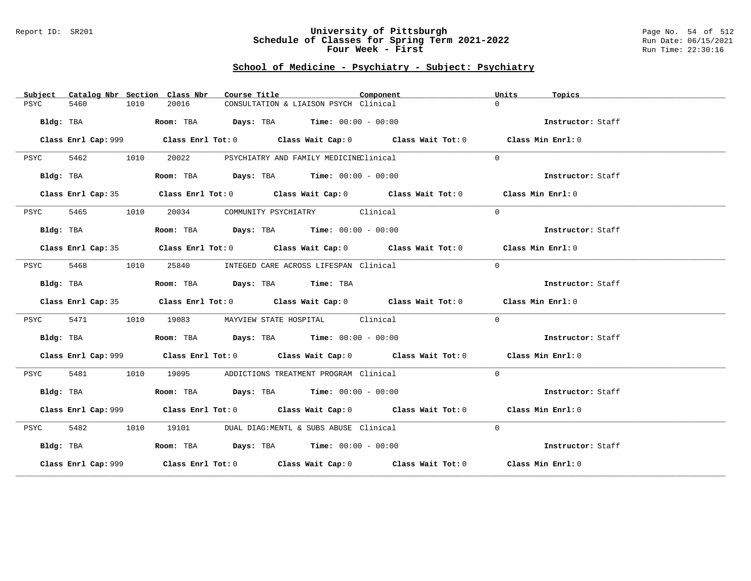### Report ID: SR201 **University of Pittsburgh** Page No. 54 of 512 **Schedule of Classes for Spring Term 2021-2022** Run Date: 06/15/2021 **Four Week - First** Run Time: 22:30:16

| Subject      |              | Catalog Nbr Section Class Nbr<br>Course Title |                                                                                          | Component                                                                                   | Units<br>Topics   |  |
|--------------|--------------|-----------------------------------------------|------------------------------------------------------------------------------------------|---------------------------------------------------------------------------------------------|-------------------|--|
| 5460<br>PSYC | 1010         | 20016                                         | CONSULTATION & LIAISON PSYCH Clinical                                                    |                                                                                             | $\Omega$          |  |
|              | Bldg: TBA    |                                               | Room: TBA $\rule{1em}{0.15mm}$ Days: TBA $\rule{1.15mm}]{0.15mm}$ Time: $0.000 - 0.0000$ |                                                                                             | Instructor: Staff |  |
|              |              |                                               |                                                                                          | Class Enrl Cap: 999 Class Enrl Tot: 0 Class Wait Cap: 0 Class Wait Tot: 0 Class Min Enrl: 0 |                   |  |
| PSYC         | 5462<br>1010 | 20022                                         | PSYCHIATRY AND FAMILY MEDICINEClinical                                                   |                                                                                             | $\Omega$          |  |
|              | Bldg: TBA    |                                               | Room: TBA $Days:$ TBA $Time: 00:00 - 00:00$                                              |                                                                                             | Instructor: Staff |  |
|              |              |                                               |                                                                                          | Class Enrl Cap: 35 Class Enrl Tot: 0 Class Wait Cap: 0 Class Wait Tot: 0 Class Min Enrl: 0  |                   |  |
| 5465<br>PSYC | 1010         |                                               | 20034 COMMUNITY PSYCHIATRY Clinical                                                      |                                                                                             | $\Omega$          |  |
| Bldg: TBA    |              |                                               | Room: TBA $Days:$ TBA $Time: 00:00 - 00:00$                                              |                                                                                             | Instructor: Staff |  |
|              |              |                                               |                                                                                          | Class Enrl Cap: 35 Class Enrl Tot: 0 Class Wait Cap: 0 Class Wait Tot: 0 Class Min Enrl: 0  |                   |  |
| 5468<br>PSYC |              | 1010                                          | 25840 INTEGED CARE ACROSS LIFESPAN Clinical                                              |                                                                                             | $\overline{0}$    |  |
| Bldg: TBA    |              |                                               | Room: TBA Days: TBA Time: TBA                                                            |                                                                                             | Instructor: Staff |  |
|              |              |                                               |                                                                                          | Class Enrl Cap: 35 Class Enrl Tot: 0 Class Wait Cap: 0 Class Wait Tot: 0 Class Min Enrl: 0  |                   |  |
| 5471<br>PSYC | 1010         |                                               | 19083 MAYVIEW STATE HOSPITAL Clinical                                                    |                                                                                             | $\Omega$          |  |
|              | Bldg: TBA    |                                               | Room: TBA $Days:$ TBA $Time: 00:00 - 00:00$                                              |                                                                                             | Instructor: Staff |  |
|              |              |                                               |                                                                                          | Class Enrl Cap: 999 Class Enrl Tot: 0 Class Wait Cap: 0 Class Wait Tot: 0 Class Min Enrl: 0 |                   |  |
| 5481<br>PSYC | 1010         | 19095 — 1909                                  | ADDICTIONS TREATMENT PROGRAM Clinical                                                    |                                                                                             | $\Omega$          |  |
|              | Bldg: TBA    |                                               | Room: TBA $Days: TBA$ Time: $00:00 - 00:00$                                              |                                                                                             | Instructor: Staff |  |
|              |              |                                               |                                                                                          | Class Enrl Cap: 999 Class Enrl Tot: 0 Class Wait Cap: 0 Class Wait Tot: 0 Class Min Enrl: 0 |                   |  |
| 5482<br>PSYC | 1010         |                                               | 19101 DUAL DIAG:MENTL & SUBS ABUSE Clinical                                              |                                                                                             | $\Omega$          |  |
| Bldg: TBA    |              |                                               | Room: TBA $Days:$ TBA $Time: 00:00 - 00:00$                                              |                                                                                             | Instructor: Staff |  |
|              |              |                                               |                                                                                          | Class Enrl Cap: 999 Class Enrl Tot: 0 Class Wait Cap: 0 Class Wait Tot: 0 Class Min Enrl: 0 |                   |  |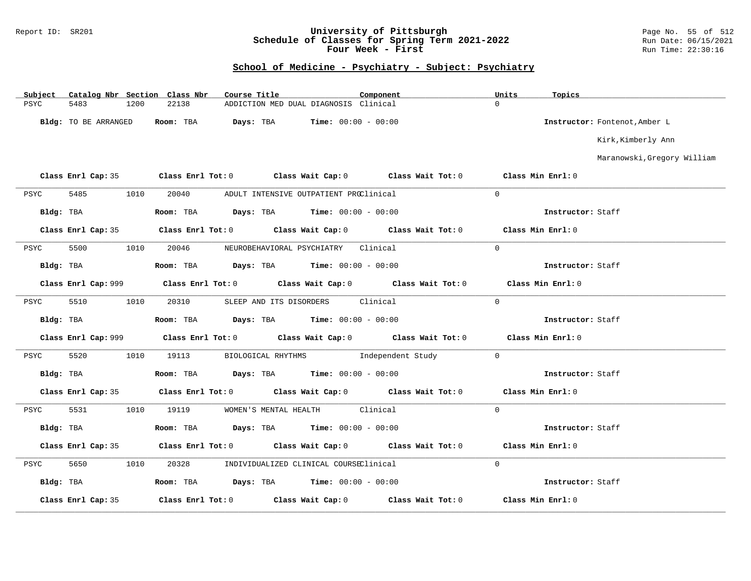### Report ID: SR201 **University of Pittsburgh** Page No. 55 of 512 **Schedule of Classes for Spring Term 2021-2022** Run Date: 06/15/2021 **Four Week - First** Run Time: 22:30:16

| Subject |                      |      | Catalog Nbr Section Class Nbr | Course Title |                                                                          | Component |                                                                                             | Units             | Topics            |                               |
|---------|----------------------|------|-------------------------------|--------------|--------------------------------------------------------------------------|-----------|---------------------------------------------------------------------------------------------|-------------------|-------------------|-------------------------------|
| PSYC    | 5483                 | 1200 | 22138                         |              | ADDICTION MED DUAL DIAGNOSIS Clinical                                    |           |                                                                                             | $\Omega$          |                   |                               |
|         | Bldg: TO BE ARRANGED |      |                               |              | <b>Room:</b> TBA $Days:$ TBA $Time: 00:00 - 00:00$                       |           |                                                                                             |                   |                   | Instructor: Fontenot, Amber L |
|         |                      |      |                               |              |                                                                          |           |                                                                                             |                   |                   | Kirk, Kimberly Ann            |
|         |                      |      |                               |              |                                                                          |           |                                                                                             |                   |                   | Maranowski, Gregory William   |
|         |                      |      |                               |              | Class Enrl Cap: 35 Class Enrl Tot: 0 Class Wait Cap: 0 Class Wait Tot: 0 |           |                                                                                             | Class Min Enrl: 0 |                   |                               |
| PSYC    | 5485                 | 1010 | 20040                         |              | ADULT INTENSIVE OUTPATIENT PROClinical                                   |           |                                                                                             | $\Omega$          |                   |                               |
|         | Bldg: TBA            |      |                               |              | Room: TBA $Days:$ TBA $Time: 00:00 - 00:00$                              |           |                                                                                             |                   | Instructor: Staff |                               |
|         |                      |      |                               |              |                                                                          |           | Class Enrl Cap: 35 Class Enrl Tot: 0 Class Wait Cap: 0 Class Wait Tot: 0 Class Min Enrl: 0  |                   |                   |                               |
| PSYC    | 5500                 | 1010 |                               |              | 20046 NEUROBEHAVIORAL PSYCHIATRY Clinical                                |           |                                                                                             | $\Omega$          |                   |                               |
|         | Bldg: TBA            |      |                               |              | <b>Room:</b> TBA $Days: TBA$ <b>Time:</b> $00:00 - 00:00$                |           |                                                                                             |                   | Instructor: Staff |                               |
|         |                      |      |                               |              |                                                                          |           | Class Enrl Cap: 999 Class Enrl Tot: 0 Class Wait Cap: 0 Class Wait Tot: 0 Class Min Enrl: 0 |                   |                   |                               |
| PSYC    | 5510                 | 1010 |                               |              | 20310 SLEEP AND ITS DISORDERS Clinical                                   |           |                                                                                             | $\Omega$          |                   |                               |
|         | Bldg: TBA            |      |                               |              | Room: TBA $Days:$ TBA $Time: 00:00 - 00:00$                              |           |                                                                                             |                   | Instructor: Staff |                               |
|         |                      |      |                               |              |                                                                          |           | Class Enrl Cap: 999 Class Enrl Tot: 0 Class Wait Cap: 0 Class Wait Tot: 0 Class Min Enrl: 0 |                   |                   |                               |
| PSYC    | 5520                 |      | 1010 19113                    |              |                                                                          |           | BIOLOGICAL RHYTHMS    Independent Study                                                     | $\Omega$          |                   |                               |
|         | Bldg: TBA            |      |                               |              | Room: TBA $Days:$ TBA $Time: 00:00 - 00:00$                              |           |                                                                                             |                   | Instructor: Staff |                               |
|         |                      |      |                               |              | Class Enrl Cap: 35 Class Enrl Tot: 0 Class Wait Cap: 0 Class Wait Tot: 0 |           |                                                                                             |                   | Class Min Enrl: 0 |                               |
| PSYC    | 5531                 | 1010 | 19119                         |              | WOMEN'S MENTAL HEALTH Clinical                                           |           |                                                                                             | $\Omega$          |                   |                               |
|         | Bldg: TBA            |      |                               |              | Room: TBA $Days:$ TBA $Time: 00:00 - 00:00$                              |           |                                                                                             |                   | Instructor: Staff |                               |
|         |                      |      |                               |              | Class Enrl Cap: 35 Class Enrl Tot: 0 Class Wait Cap: 0 Class Wait Tot: 0 |           |                                                                                             |                   | Class Min Enrl: 0 |                               |
| PSYC    | 5650                 |      |                               |              | 1010  20328  INDIVIDUALIZED CLINICAL COURSEClinical                      |           |                                                                                             | $\overline{0}$    |                   |                               |
|         | Bldg: TBA            |      |                               |              | Room: TBA $Days:$ TBA $Time: 00:00 - 00:00$                              |           |                                                                                             |                   | Instructor: Staff |                               |
|         | Class Enrl Cap: 35   |      |                               |              | Class Enrl Tot: $0$ Class Wait Cap: $0$ Class Wait Tot: $0$              |           |                                                                                             |                   | Class Min Enrl: 0 |                               |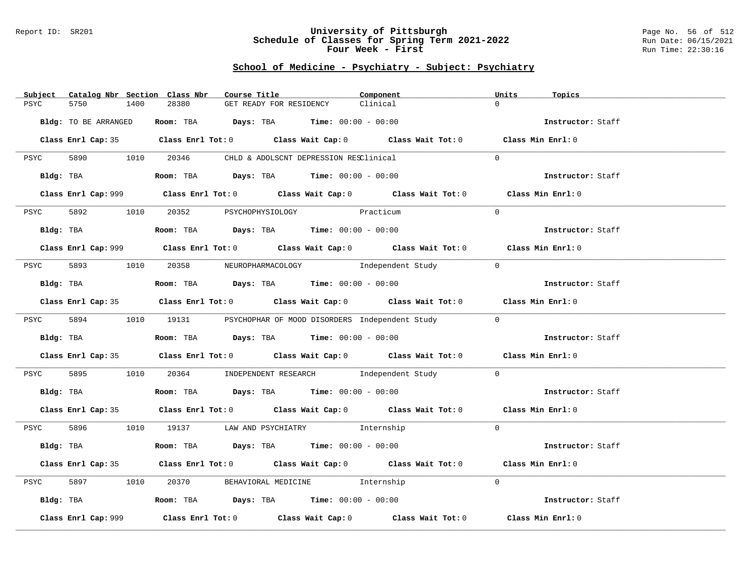### Report ID: SR201 **University of Pittsburgh** Page No. 56 of 512 **Schedule of Classes for Spring Term 2021-2022** Run Date: 06/15/2021 **Four Week - First** Run Time: 22:30:16

| Catalog Nbr Section Class Nbr<br>Subject | Course Title                                                                                       | Component | Units<br>Topics   |
|------------------------------------------|----------------------------------------------------------------------------------------------------|-----------|-------------------|
| 5750<br>PSYC<br>1400                     | 28380<br>GET READY FOR RESIDENCY                                                                   | Clinical  | $\Omega$          |
|                                          |                                                                                                    |           |                   |
| Bldg: TO BE ARRANGED                     | Room: TBA $Days:$ TBA $Time: 00:00 - 00:00$                                                        |           | Instructor: Staff |
|                                          |                                                                                                    |           |                   |
|                                          | Class Enrl Cap: 35 Class Enrl Tot: 0 Class Wait Cap: 0 Class Wait Tot: 0 Class Min Enrl: 0         |           |                   |
|                                          |                                                                                                    |           |                   |
|                                          | PSYC 5890 1010 20346 CHLD & ADOLSCNT DEPRESSION RESClinical                                        |           | $\Omega$          |
|                                          |                                                                                                    |           |                   |
|                                          | Bldg: TBA                  Room: TBA        Days: TBA        Time: 00:00 - 00:00                   |           | Instructor: Staff |
|                                          |                                                                                                    |           |                   |
|                                          | Class Enrl Cap: 999 Class Enrl Tot: 0 Class Wait Cap: 0 Class Wait Tot: 0 Class Min Enrl: 0        |           |                   |
|                                          | 5892 1010 20352 PSYCHOPHYSIOLOGY Practicum                                                         |           | $\Omega$          |
| PSYC                                     |                                                                                                    |           |                   |
| Bldg: TBA                                | Room: TBA $\rule{1em}{0.15mm}$ Days: TBA $\rule{1.15mm}]{0.15mm}$ Time: $00:00 - 00:00$            |           | Instructor: Staff |
|                                          |                                                                                                    |           |                   |
|                                          | Class Enrl Cap: 999 Class Enrl Tot: 0 Class Wait Cap: 0 Class Wait Tot: 0 Class Min Enrl: 0        |           |                   |
|                                          |                                                                                                    |           |                   |
|                                          | PSYC 5893 1010 20358 NEUROPHARMACOLOGY Independent Study                                           |           | $\bigcirc$        |
|                                          |                                                                                                    |           |                   |
| Bldg: TBA                                | Room: TBA $Days:$ TBA $Time: 00:00 - 00:00$                                                        |           | Instructor: Staff |
|                                          |                                                                                                    |           |                   |
|                                          | Class Enrl Cap: 35 Class Enrl Tot: 0 Class Wait Cap: 0 Class Wait Tot: 0 Class Min Enrl: 0         |           |                   |
|                                          |                                                                                                    |           |                   |
|                                          | PSYC 5894 1010 19131 PSYCHOPHAR OF MOOD DISORDERS Independent Study                                |           | $\bigcirc$        |
|                                          |                                                                                                    |           |                   |
| Bldg: TBA                                | Room: TBA Days: TBA Time: $00:00 - 00:00$                                                          |           | Instructor: Staff |
|                                          | Class Enrl Cap: 35 Class Enrl Tot: 0 Class Wait Cap: 0 Class Wait Tot: 0 Class Min Enrl: 0         |           |                   |
|                                          |                                                                                                    |           |                   |
| PSYC                                     | 5895 1010 20364 INDEPENDENT RESEARCH Independent Study                                             |           | $\overline{0}$    |
|                                          |                                                                                                    |           |                   |
|                                          | Bldg: TBA                     Room: TBA        Days: TBA        Time: 00:00 - 00:00                |           | Instructor: Staff |
|                                          |                                                                                                    |           |                   |
|                                          | Class Enrl Cap: 35 Class Enrl Tot: 0 Class Wait Cap: 0 Class Wait Tot: 0 Class Min Enrl: 0         |           |                   |
|                                          |                                                                                                    |           |                   |
|                                          | PSYC 5896 1010 19137 LAW AND PSYCHIATRY Internship                                                 |           | $\Omega$          |
|                                          |                                                                                                    |           |                   |
| Bldg: TBA                                | Room: TBA $Days:$ TBA Time: $00:00 - 00:00$                                                        |           | Instructor: Staff |
|                                          |                                                                                                    |           |                   |
|                                          | Class Enrl Cap: 35 Class Enrl Tot: 0 Class Wait Cap: 0 Class Wait Tot: 0 Class Min Enrl: 0         |           |                   |
| 5897 38<br>1010<br>PSYC                  | 20370 BEHAVIORAL MEDICINE 1nternship                                                               |           | $\Omega$          |
|                                          |                                                                                                    |           |                   |
|                                          | Bldg: TBA                   Room: TBA        Days: TBA        Time: 00:00 - 00:00                  |           | Instructor: Staff |
|                                          |                                                                                                    |           |                   |
| Class Enrl Cap: 999                      | Class Enrl Tot: 0 $\qquad$ Class Wait Cap: 0 $\qquad$ Class Wait Tot: 0 $\qquad$ Class Min Enrl: 0 |           |                   |
|                                          |                                                                                                    |           |                   |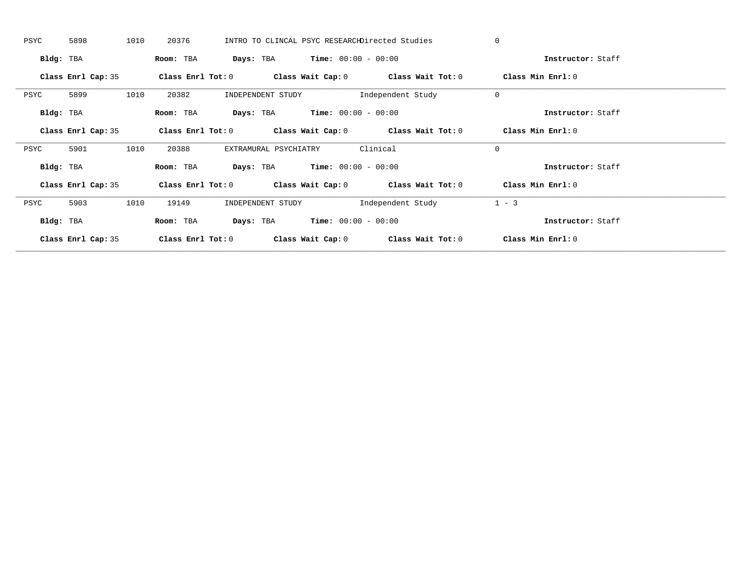| PSYC      | 5898               | 1010 | 20376             |                       |                                               | INTRO TO CLINCAL PSYC RESEARCHDirected Studies              | $\mathbf 0$       |  |
|-----------|--------------------|------|-------------------|-----------------------|-----------------------------------------------|-------------------------------------------------------------|-------------------|--|
| Bldg: TBA |                    |      | Room: TBA         |                       | <b>Days:</b> TBA <b>Time:</b> $00:00 - 00:00$ |                                                             | Instructor: Staff |  |
|           | Class Enrl Cap: 35 |      | Class Enrl Tot: 0 |                       |                                               | Class Wait Cap: $0$ Class Wait Tot: $0$                     | Class Min Enrl: 0 |  |
| PSYC      | 5899               | 1010 | 20382             | INDEPENDENT STUDY     |                                               | Independent Study                                           | $\mathbf 0$       |  |
| Bldg: TBA |                    |      | Room: TBA         | Days: TBA             | $Time: 00:00 - 00:00$                         |                                                             | Instructor: Staff |  |
|           | Class Enrl Cap: 35 |      |                   |                       |                                               | Class Enrl Tot: $0$ Class Wait Cap: $0$ Class Wait Tot: $0$ | Class Min Enrl: 0 |  |
| PSYC      | 5901               | 1010 | 20388             | EXTRAMURAL PSYCHIATRY |                                               | Clinical                                                    | $\mathbf 0$       |  |
| Bldg: TBA |                    |      | Room: TBA         |                       | <b>Days:</b> TBA <b>Time:</b> $00:00 - 00:00$ |                                                             | Instructor: Staff |  |
|           | Class Enrl Cap: 35 |      |                   |                       |                                               | Class Enrl Tot: $0$ Class Wait Cap: $0$ Class Wait Tot: $0$ | Class Min Enrl: 0 |  |
| PSYC      | 5903               | 1010 | 19149             | INDEPENDENT STUDY     |                                               | Independent Study                                           | $1 - 3$           |  |
| Bldg: TBA |                    |      | Room: TBA         |                       | <b>Days:</b> TBA <b>Time:</b> $00:00 - 00:00$ |                                                             | Instructor: Staff |  |
|           | Class Enrl Cap: 35 |      | Class Enrl Tot: 0 |                       |                                               | Class Wait Cap: $0$ Class Wait Tot: $0$                     | Class Min Enrl: 0 |  |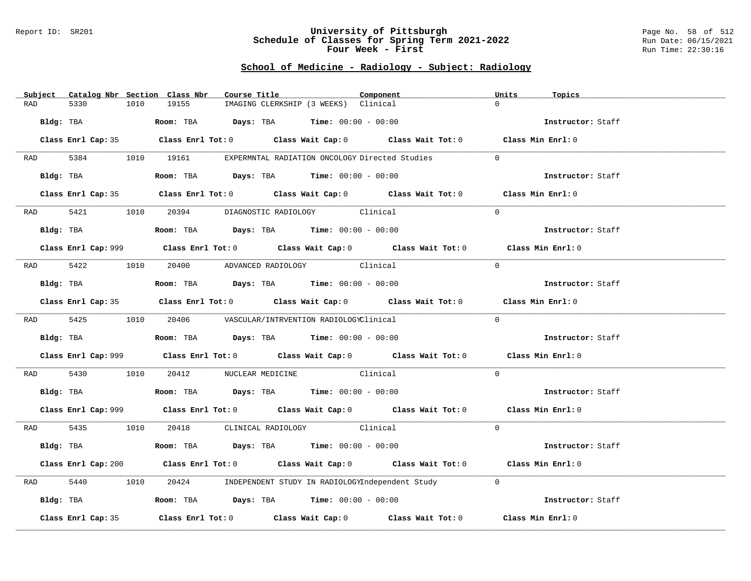#### Report ID: SR201 **University of Pittsburgh** Page No. 58 of 512 **Schedule of Classes for Spring Term 2021-2022** Run Date: 06/15/2021 **Four Week - First** Run Time: 22:30:16

# **School of Medicine - Radiology - Subject: Radiology**

|           | Subject Catalog Nbr Section Class Nbr | Course Title                                                                           |                                      | Component                                                                                   | Units<br>Topics   |  |
|-----------|---------------------------------------|----------------------------------------------------------------------------------------|--------------------------------------|---------------------------------------------------------------------------------------------|-------------------|--|
| RAD       | 5330<br>1010                          | 19155                                                                                  | IMAGING CLERKSHIP (3 WEEKS) Clinical |                                                                                             | $\cap$            |  |
| Bldg: TBA |                                       | Room: TBA $Days:$ TBA $Time: 00:00 - 00:00$                                            |                                      |                                                                                             | Instructor: Staff |  |
|           |                                       |                                                                                        |                                      | Class Enrl Cap: 35 Class Enrl Tot: 0 Class Wait Cap: 0 Class Wait Tot: 0 Class Min Enrl: 0  |                   |  |
|           |                                       | RAD 5384 1010 19161 EXPERMNTAL RADIATION ONCOLOGY Directed Studies                     |                                      |                                                                                             | $\Omega$          |  |
|           | Bldg: TBA                             | Room: TBA $Days:$ TBA $Time: 00:00 - 00:00$                                            |                                      |                                                                                             | Instructor: Staff |  |
|           |                                       |                                                                                        |                                      | Class Enrl Cap: 35 Class Enrl Tot: 0 Class Wait Cap: 0 Class Wait Tot: 0 Class Min Enrl: 0  |                   |  |
|           |                                       | RAD 5421 1010 20394 DIAGNOSTIC RADIOLOGY Clinical                                      |                                      |                                                                                             | $\Omega$          |  |
|           |                                       | Bldg: TBA                    Room: TBA         Days: TBA         Time: $00:00 - 00:00$ |                                      |                                                                                             | Instructor: Staff |  |
|           |                                       |                                                                                        |                                      | Class Enrl Cap: 999 Class Enrl Tot: 0 Class Wait Cap: 0 Class Wait Tot: 0 Class Min Enrl: 0 |                   |  |
|           |                                       | RAD 5422 1010 20400 ADVANCED RADIOLOGY Clinical                                        |                                      |                                                                                             | $\Omega$          |  |
|           | Bldg: TBA                             | Room: TBA $Days:$ TBA $Time: 00:00 - 00:00$                                            |                                      |                                                                                             | Instructor: Staff |  |
|           |                                       |                                                                                        |                                      | Class Enrl Cap: 35 Class Enrl Tot: 0 Class Wait Cap: 0 Class Wait Tot: 0 Class Min Enrl: 0  |                   |  |
|           |                                       | RAD 5425 1010 20406 VASCULAR/INTRVENTION RADIOLOGYClinical                             |                                      |                                                                                             | $\Omega$          |  |
|           |                                       | Bldg: TBA                   Room: TBA         Days: TBA        Time: $00:00 - 00:00$   |                                      |                                                                                             | Instructor: Staff |  |
|           |                                       |                                                                                        |                                      | Class Enrl Cap: 999 Class Enrl Tot: 0 Class Wait Cap: 0 Class Wait Tot: 0 Class Min Enrl: 0 |                   |  |
| RAD       | 5430                                  | 1010 20412 NUCLEAR MEDICINE Clinical                                                   |                                      |                                                                                             | $\Omega$          |  |
|           |                                       | Bldg: TBA                    Room: TBA        Days: TBA         Time: $00:00 - 00:00$  |                                      |                                                                                             | Instructor: Staff |  |
|           |                                       |                                                                                        |                                      | Class Enrl Cap: 999 Class Enrl Tot: 0 Class Wait Cap: 0 Class Wait Tot: 0 Class Min Enrl: 0 |                   |  |
|           |                                       | RAD 5435 1010 20418 CLINICAL RADIOLOGY Clinical                                        |                                      |                                                                                             | $\Omega$          |  |
|           | Bldg: TBA                             | Room: TBA $\rule{1em}{0.15mm}$ Days: TBA Time: $00:00 - 00:00$                         |                                      |                                                                                             | Instructor: Staff |  |
|           |                                       |                                                                                        |                                      | Class Enrl Cap: 200 Class Enrl Tot: 0 Class Wait Cap: 0 Class Wait Tot: 0 Class Min Enrl: 0 |                   |  |
| RAD       | 5440<br>1010                          |                                                                                        |                                      | 20424 INDEPENDENT STUDY IN RADIOLOGYIndependent Study                                       | $\Omega$          |  |
|           |                                       | Bldg: TBA                   Room: TBA        Days: TBA        Time: 00:00 - 00:00      |                                      |                                                                                             | Instructor: Staff |  |
|           | Class Enrl Cap: 35                    |                                                                                        |                                      | Class Enrl Tot: $0$ Class Wait Cap: $0$ Class Wait Tot: $0$                                 | Class Min Enrl: 0 |  |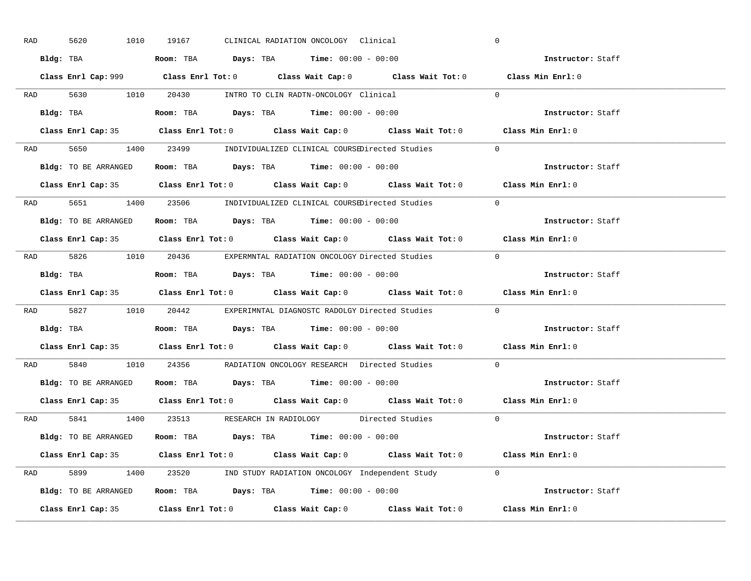| RAD | 1010<br>5620         | 19167<br>CLINICAL RADIATION ONCOLOGY Clinical                                               | $\overline{0}$    |
|-----|----------------------|---------------------------------------------------------------------------------------------|-------------------|
|     |                      | Bldg: TBA                   Room: TBA        Days: TBA        Time: $00:00 - 00:00$         | Instructor: Staff |
|     |                      | Class Enrl Cap: 999 Class Enrl Tot: 0 Class Wait Cap: 0 Class Wait Tot: 0 Class Min Enrl: 0 |                   |
|     |                      | RAD 5630 1010 20430 INTRO TO CLIN RADTN-ONCOLOGY Clinical 0                                 |                   |
|     |                      |                                                                                             | Instructor: Staff |
|     |                      | Class Enrl Cap: 35 Class Enrl Tot: 0 Class Wait Cap: 0 Class Wait Tot: 0 Class Min Enrl: 0  |                   |
|     |                      | RAD 5650 1400 23499 INDIVIDUALIZED CLINICAL COURSEDirected Studies 0                        |                   |
|     |                      | <b>Bldg:</b> TO BE ARRANGED <b>Room:</b> TBA <b>Days:</b> TBA <b>Time:</b> $00:00 - 00:00$  | Instructor: Staff |
|     |                      | Class Enrl Cap: 35 Class Enrl Tot: 0 Class Wait Cap: 0 Class Wait Tot: 0 Class Min Enrl: 0  |                   |
|     |                      | RAD 5651 1400 23506 INDIVIDUALIZED CLINICAL COURSEDirected Studies                          | $\Omega$          |
|     | Bldg: TO BE ARRANGED | Room: TBA $\rule{1em}{0.15mm}$ Days: TBA $\rule{1.5mm}{0.15mm}$ Time: $00:00 - 00:00$       | Instructor: Staff |
|     |                      | Class Enrl Cap: 35 Class Enrl Tot: 0 Class Wait Cap: 0 Class Wait Tot: 0 Class Min Enrl: 0  |                   |
|     |                      | RAD 5826 1010 20436 EXPERMNTAL RADIATION ONCOLOGY Directed Studies 0                        |                   |
|     |                      | Bldg: TBA                        Room: TBA           Days: TBA          Time: 00:00 - 00:00 | Instructor: Staff |
|     |                      | Class Enrl Cap: 35 Class Enrl Tot: 0 Class Wait Cap: 0 Class Wait Tot: 0 Class Min Enrl: 0  |                   |
|     |                      | RAD 5827 1010 20442 EXPERIMNTAL DIAGNOSTC RADOLGY Directed Studies                          | $\overline{0}$    |
|     |                      | Bldg: TBA                     Room: TBA         Days: TBA         Time: $00:00 - 00:00$     | Instructor: Staff |
|     |                      | Class Enrl Cap: 35 Class Enrl Tot: 0 Class Wait Cap: 0 Class Wait Tot: 0 Class Min Enrl: 0  |                   |
| RAD |                      | 5840 1010 24356 RADIATION ONCOLOGY RESEARCH Directed Studies                                | $\overline{0}$    |
|     |                      | Bldg: TO BE ARRANGED ROOM: TBA Days: TBA Time: 00:00 - 00:00                                | Instructor: Staff |
|     |                      | Class Enrl Cap: 35 Class Enrl Tot: 0 Class Wait Cap: 0 Class Wait Tot: 0 Class Min Enrl: 0  |                   |
|     |                      | RAD 5841 1400 23513 RESEARCH IN RADIOLOGY Directed Studies 0                                |                   |
|     |                      | Bldg: TO BE ARRANGED Room: TBA Days: TBA Time: 00:00 - 00:00                                | Instructor: Staff |
|     |                      | Class Enrl Cap: 35 Class Enrl Tot: 0 Class Wait Cap: 0 Class Wait Tot: 0 Class Min Enrl: 0  |                   |
|     |                      | RAD 5899 1400 23520 IND STUDY RADIATION ONCOLOGY Independent Study 0                        |                   |
|     |                      | Bldg: TO BE ARRANGED Room: TBA Days: TBA Time: 00:00 - 00:00                                | Instructor: Staff |
|     |                      | Class Enrl Cap: 35 Class Enrl Tot: 0 Class Wait Cap: 0 Class Wait Tot: 0 Class Min Enrl: 0  |                   |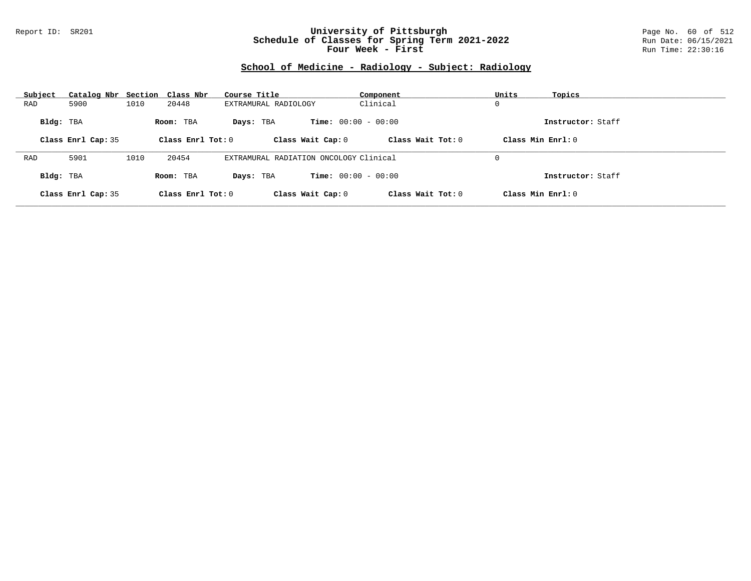### Report ID: SR201 **University of Pittsburgh** Page No. 60 of 512 **Schedule of Classes for Spring Term 2021-2022** Run Date: 06/15/2021 **Four Week - First** Run Time: 22:30:16

# **School of Medicine - Radiology - Subject: Radiology**

| Subject   | Catalog Nbr Section Class Nbr |      |                     | Course Title                           | Component                    | Units               | Topics            |
|-----------|-------------------------------|------|---------------------|----------------------------------------|------------------------------|---------------------|-------------------|
| RAD       | 5900                          | 1010 | 20448               | EXTRAMURAL RADIOLOGY                   | Clinical                     | 0                   |                   |
| Bldg: TBA |                               |      | Room: TBA           | Days: TBA                              | <b>Time:</b> $00:00 - 00:00$ |                     | Instructor: Staff |
|           | Class Enrl Cap: 35            |      | Class Enrl Tot: 0   | Class Wait Cap: 0                      | Class Wait $Tot: 0$          | Class Min $Enrl: 0$ |                   |
|           |                               |      |                     |                                        |                              |                     |                   |
| RAD       | 5901                          | 1010 | 20454               | EXTRAMURAL RADIATION ONCOLOGY Clinical |                              | 0                   |                   |
| Bldg: TBA |                               |      | Room: TBA           | Days: TBA                              | <b>Time:</b> $00:00 - 00:00$ |                     | Instructor: Staff |
|           | Class Enrl Cap: 35            |      | Class Enrl Tot: $0$ | Class Wait Cap: 0                      | Class Wait $Tot: 0$          | Class Min $Enrl: 0$ |                   |
|           |                               |      |                     |                                        |                              |                     |                   |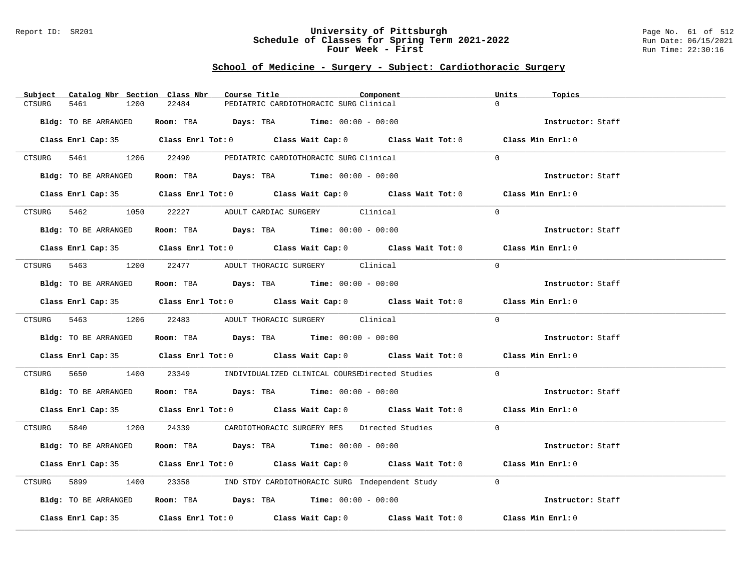#### Report ID: SR201 **University of Pittsburgh** Page No. 61 of 512 **Schedule of Classes for Spring Term 2021-2022** Run Date: 06/15/2021 **Four Week - First** Run Time: 22:30:16

### **School of Medicine - Surgery - Subject: Cardiothoracic Surgery**

| Subject               | Catalog Nbr Section Class Nbr | Course Title                                                                           | Component | Units                                                                                      | Topics            |
|-----------------------|-------------------------------|----------------------------------------------------------------------------------------|-----------|--------------------------------------------------------------------------------------------|-------------------|
| <b>CTSURG</b><br>5461 | 22484<br>1200                 | PEDIATRIC CARDIOTHORACIC SURG Clinical                                                 |           | $\Omega$                                                                                   |                   |
|                       |                               |                                                                                        |           |                                                                                            |                   |
| Bldg: TO BE ARRANGED  |                               | Room: TBA $Days:$ TBA $Time: 00:00 - 00:00$                                            |           |                                                                                            | Instructor: Staff |
|                       |                               |                                                                                        |           |                                                                                            |                   |
|                       |                               |                                                                                        |           | Class Enrl Cap: 35 Class Enrl Tot: 0 Class Wait Cap: 0 Class Wait Tot: 0 Class Min Enrl: 0 |                   |
|                       |                               |                                                                                        |           |                                                                                            |                   |
|                       |                               | CTSURG 5461 1206 22490 PEDIATRIC CARDIOTHORACIC SURG Clinical                          |           | $\Omega$                                                                                   |                   |
| Bldg: TO BE ARRANGED  |                               | Room: TBA $Days:$ TBA $Time: 00:00 - 00:00$                                            |           |                                                                                            | Instructor: Staff |
|                       |                               |                                                                                        |           |                                                                                            |                   |
|                       |                               |                                                                                        |           | Class Enrl Cap: 35 Class Enrl Tot: 0 Class Wait Cap: 0 Class Wait Tot: 0 Class Min Enrl: 0 |                   |
|                       |                               |                                                                                        |           |                                                                                            |                   |
|                       |                               | CTSURG 5462 1050 22227 ADULT CARDIAC SURGERY Clinical                                  |           | $\Omega$                                                                                   |                   |
|                       |                               |                                                                                        |           |                                                                                            |                   |
| Bldg: TO BE ARRANGED  |                               | Room: TBA Days: TBA Time: $00:00 - 00:00$                                              |           |                                                                                            | Instructor: Staff |
|                       |                               |                                                                                        |           |                                                                                            |                   |
|                       |                               |                                                                                        |           | Class Enrl Cap: 35 Class Enrl Tot: 0 Class Wait Cap: 0 Class Wait Tot: 0 Class Min Enrl: 0 |                   |
|                       |                               |                                                                                        |           |                                                                                            |                   |
|                       |                               | CTSURG 5463 1200 22477 ADULT THORACIC SURGERY Clinical                                 |           | $\Omega$                                                                                   |                   |
|                       |                               |                                                                                        |           |                                                                                            |                   |
| Bldg: TO BE ARRANGED  |                               | Room: TBA $Days: TBA$ Time: $00:00 - 00:00$                                            |           |                                                                                            | Instructor: Staff |
|                       |                               |                                                                                        |           | Class Enrl Cap: 35 Class Enrl Tot: 0 Class Wait Cap: 0 Class Wait Tot: 0 Class Min Enrl: 0 |                   |
|                       |                               |                                                                                        |           |                                                                                            |                   |
|                       |                               | CTSURG 5463 1206 22483 ADULT THORACIC SURGERY Clinical                                 |           | $\Omega$                                                                                   |                   |
|                       |                               |                                                                                        |           |                                                                                            |                   |
| Bldg: TO BE ARRANGED  |                               | Room: TBA $Days:$ TBA $Time: 00:00 - 00:00$                                            |           | Instructor: Staff                                                                          |                   |
|                       |                               |                                                                                        |           |                                                                                            |                   |
|                       |                               |                                                                                        |           | Class Enrl Cap: 35 Class Enrl Tot: 0 Class Wait Cap: 0 Class Wait Tot: 0 Class Min Enrl: 0 |                   |
|                       |                               |                                                                                        |           |                                                                                            |                   |
|                       |                               | CTSURG  5650     1400   23349    INDIVIDUALIZED CLINICAL COURSEDirected Studies        |           | $\Omega$                                                                                   |                   |
|                       |                               |                                                                                        |           |                                                                                            |                   |
| Bldg: TO BE ARRANGED  |                               | Room: TBA $Days:$ TBA $Time: 00:00 - 00:00$                                            |           |                                                                                            | Instructor: Staff |
|                       |                               |                                                                                        |           | Class Enrl Cap: 35 Class Enrl Tot: 0 Class Wait Cap: 0 Class Wait Tot: 0 Class Min Enrl: 0 |                   |
|                       |                               |                                                                                        |           |                                                                                            |                   |
|                       |                               | CTSURG 5840 1200 24339 CARDIOTHORACIC SURGERY RES Directed Studies 0                   |           |                                                                                            |                   |
|                       |                               |                                                                                        |           |                                                                                            |                   |
| Bldg: TO BE ARRANGED  |                               | Room: TBA $Days:$ TBA $Time: 00:00 - 00:00$                                            |           |                                                                                            | Instructor: Staff |
|                       |                               |                                                                                        |           |                                                                                            |                   |
|                       |                               |                                                                                        |           | Class Enrl Cap: 35 Class Enrl Tot: 0 Class Wait Cap: 0 Class Wait Tot: 0 Class Min Enrl: 0 |                   |
|                       |                               |                                                                                        |           |                                                                                            |                   |
|                       |                               | CTSURG 5899 1400 23358 IND STDY CARDIOTHORACIC SURG Independent Study 0                |           |                                                                                            |                   |
|                       |                               |                                                                                        |           |                                                                                            |                   |
| Bldg: TO BE ARRANGED  |                               | Room: TBA $\rule{1em}{0.15mm}$ Days: TBA $\rule{1.15mm}{0.15mm}$ Time: $00:00 - 00:00$ |           |                                                                                            | Instructor: Staff |
|                       |                               |                                                                                        |           | Class Enrl Cap: 35 Class Enrl Tot: 0 Class Wait Cap: 0 Class Wait Tot: 0 Class Min Enrl: 0 |                   |
|                       |                               |                                                                                        |           |                                                                                            |                   |
|                       |                               |                                                                                        |           |                                                                                            |                   |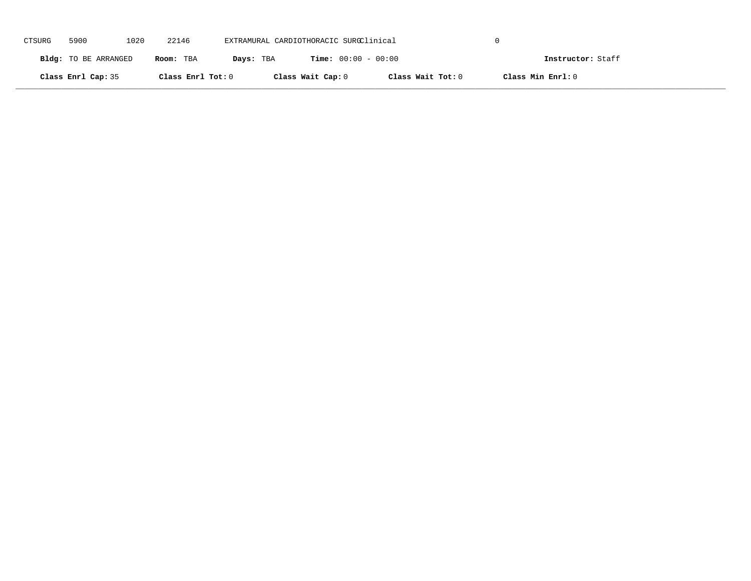| CTSURG | 5900                 | 1020 | 22146             | EXTRAMURAL CARDIOTHORACIC SURGClinical |                              |                   |                   |                   |
|--------|----------------------|------|-------------------|----------------------------------------|------------------------------|-------------------|-------------------|-------------------|
|        | Bldg: TO BE ARRANGED |      | Room: TBA         | Days: TBA                              | <b>Time:</b> $00:00 - 00:00$ |                   |                   | Instructor: Staff |
|        | Class Enrl Cap: 35   |      | Class Enrl Tot: 0 |                                        | Class Wait Cap: 0            | Class Wait Tot: 0 | Class Min Enrl: 0 |                   |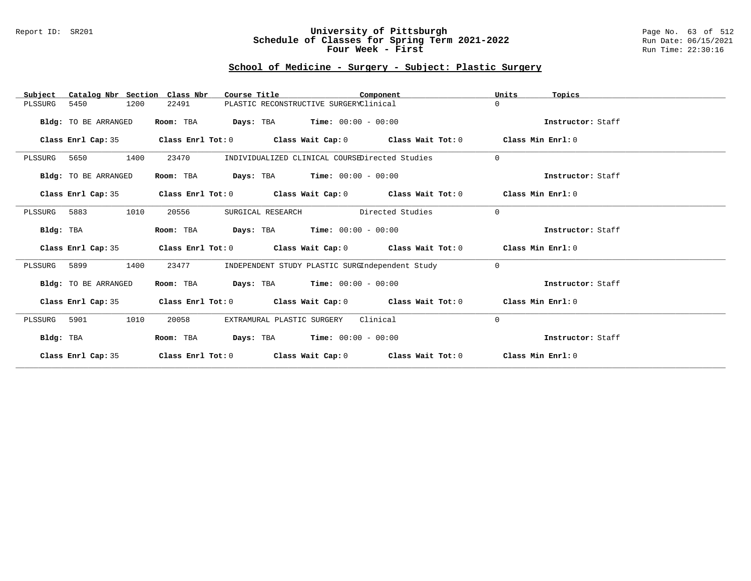### Report ID: SR201 **University of Pittsburgh** Page No. 63 of 512 **Schedule of Classes for Spring Term 2021-2022** Run Date: 06/15/2021 **Four Week - First** Run Time: 22:30:16

# **School of Medicine - Surgery - Subject: Plastic Surgery**

| Catalog Nbr Section Class Nbr<br>Subject | Course Title                                | Component                                                                                          | Units<br>Topics   |
|------------------------------------------|---------------------------------------------|----------------------------------------------------------------------------------------------------|-------------------|
| 5450<br>1200<br>PLSSURG                  | 22491                                       | PLASTIC RECONSTRUCTIVE SURGERYClinical                                                             | $\Omega$          |
| Bldg: TO BE ARRANGED                     | Room: TBA                                   | <b>Days:</b> TBA <b>Time:</b> $00:00 - 00:00$                                                      | Instructor: Staff |
|                                          |                                             | Class Enrl Cap: 35 Class Enrl Tot: 0 Class Wait Cap: 0 Class Wait Tot: 0 Class Min Enrl: 0         |                   |
| 1400<br>PLSSURG<br>5650                  | 23470                                       | INDIVIDUALIZED CLINICAL COURSEDirected Studies                                                     | $\Omega$          |
| Bldg: TO BE ARRANGED                     | Room: TBA                                   | <b>Days:</b> TBA <b>Time:</b> $00:00 - 00:00$                                                      | Instructor: Staff |
|                                          |                                             | Class Enrl Cap: 35 Class Enrl Tot: 0 Class Wait Cap: 0 Class Wait Tot: 0 Class Min Enrl: 0         |                   |
| PLSSURG 5883<br>1010                     | 20556                                       | SURGICAL RESEARCH Directed Studies                                                                 | $\Omega$          |
| Bldg: TBA                                | Room: TBA $Days:$ TBA $Time: 00:00 - 00:00$ |                                                                                                    | Instructor: Staff |
| Class Enrl Cap: 35                       |                                             | Class Enrl Tot: O $\qquad$ Class Wait Cap: O $\qquad$ Class Wait Tot: O $\qquad$ Class Min Enrl: O |                   |
| 1400<br>5899<br>PLSSURG                  | 23477                                       | INDEPENDENT STUDY PLASTIC SURGIndependent Study                                                    | $\Omega$          |
| Bldg: TO BE ARRANGED                     | Room: TBA $Days: TBA$ Time: $00:00 - 00:00$ |                                                                                                    | Instructor: Staff |
| Class Enrl Cap: 35                       |                                             | Class Enrl Tot: $0$ Class Wait Cap: $0$ Class Wait Tot: $0$ Class Min Enrl: $0$                    |                   |
| 5901<br>1010<br>PLSSURG                  | EXTRAMURAL PLASTIC SURGERY<br>20058         | Clinical                                                                                           | $\Omega$          |
| Bldg: TBA                                | Room: TBA                                   | <b>Days:</b> TBA <b>Time:</b> $00:00 - 00:00$                                                      | Instructor: Staff |
| Class Enrl Cap: 35                       |                                             | Class Enrl Tot: $0$ Class Wait Cap: $0$ Class Wait Tot: $0$ Class Min Enrl: $0$                    |                   |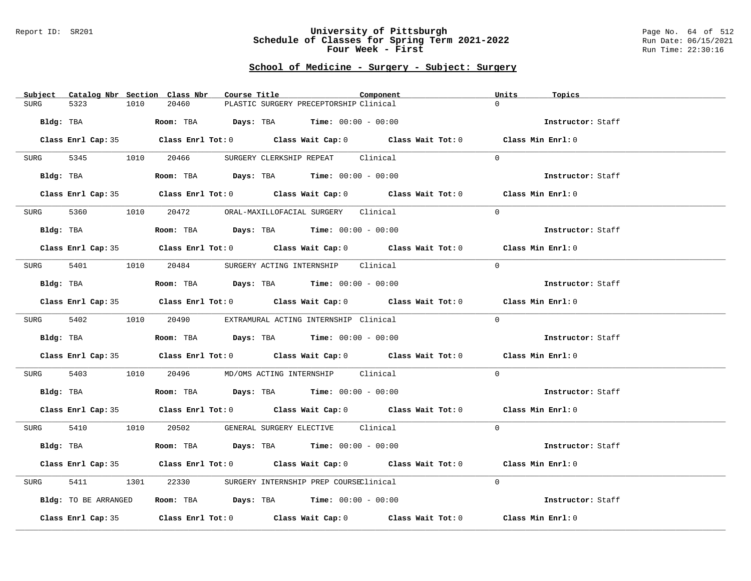#### Report ID: SR201 **University of Pittsburgh** Page No. 64 of 512 **Schedule of Classes for Spring Term 2021-2022** Run Date: 06/15/2021 **Four Week - First** Run Time: 22:30:16

### **School of Medicine - Surgery - Subject: Surgery**

|             | Subject Catalog Nbr Section Class Nbr |      |       | Course Title |                                                                                       | Component |                                                                                            | Units    | Topics            |  |
|-------------|---------------------------------------|------|-------|--------------|---------------------------------------------------------------------------------------|-----------|--------------------------------------------------------------------------------------------|----------|-------------------|--|
| <b>SURG</b> | 5323                                  | 1010 | 20460 |              | PLASTIC SURGERY PRECEPTORSHIP Clinical                                                |           |                                                                                            | $\Omega$ |                   |  |
| Bldg: TBA   |                                       |      |       |              | <b>Room:</b> TBA $\qquad \qquad$ Days: TBA $\qquad \qquad$ Time: $00:00 - 00:00$      |           |                                                                                            |          | Instructor: Staff |  |
|             |                                       |      |       |              |                                                                                       |           | Class Enrl Cap: 35 Class Enrl Tot: 0 Class Wait Cap: 0 Class Wait Tot: 0 Class Min Enrl: 0 |          |                   |  |
|             | SURG 5345 1010 20466                  |      |       |              | SURGERY CLERKSHIP REPEAT Clinical                                                     |           |                                                                                            | $\Omega$ |                   |  |
|             | Bldg: TBA                             |      |       |              | Room: TBA $Days:$ TBA $Time:$ $00:00 - 00:00$                                         |           |                                                                                            |          | Instructor: Staff |  |
|             |                                       |      |       |              |                                                                                       |           | Class Enrl Cap: 35 Class Enrl Tot: 0 Class Wait Cap: 0 Class Wait Tot: 0 Class Min Enrl: 0 |          |                   |  |
|             |                                       |      |       |              | SURG 5360 1010 20472 ORAL-MAXILLOFACIAL SURGERY Clinical                              |           |                                                                                            | $\Omega$ |                   |  |
|             | Bldg: TBA                             |      |       |              | Room: TBA $Days:$ TBA Time: $00:00 - 00:00$                                           |           |                                                                                            |          | Instructor: Staff |  |
|             |                                       |      |       |              |                                                                                       |           | Class Enrl Cap: 35 Class Enrl Tot: 0 Class Wait Cap: 0 Class Wait Tot: 0 Class Min Enrl: 0 |          |                   |  |
|             |                                       |      |       |              | SURG 5401 1010 20484 SURGERY ACTING INTERNSHIP Clinical                               |           |                                                                                            | $\Omega$ |                   |  |
|             |                                       |      |       |              | Bldg: TBA                   Room: TBA         Days: TBA         Time: $00:00 - 00:00$ |           |                                                                                            |          | Instructor: Staff |  |
|             |                                       |      |       |              |                                                                                       |           | Class Enrl Cap: 35 Class Enrl Tot: 0 Class Wait Cap: 0 Class Wait Tot: 0 Class Min Enrl: 0 |          |                   |  |
|             |                                       |      |       |              | SURG 5402 1010 20490 EXTRAMURAL ACTING INTERNSHIP Clinical                            |           |                                                                                            | $\Omega$ |                   |  |
|             |                                       |      |       |              | Bldg: TBA                   Room: TBA         Days: TBA         Time: $00:00 - 00:00$ |           |                                                                                            |          | Instructor: Staff |  |
|             |                                       |      |       |              |                                                                                       |           | Class Enrl Cap: 35 Class Enrl Tot: 0 Class Wait Cap: 0 Class Wait Tot: 0 Class Min Enrl: 0 |          |                   |  |
| SURG 5403   |                                       |      |       |              | 1010  20496  MD/OMS ACTING INTERNSHIP  Clinical                                       |           |                                                                                            | $\Omega$ |                   |  |
|             |                                       |      |       |              |                                                                                       |           |                                                                                            |          | Instructor: Staff |  |
|             |                                       |      |       |              |                                                                                       |           | Class Enrl Cap: 35 Class Enrl Tot: 0 Class Wait Cap: 0 Class Wait Tot: 0 Class Min Enrl: 0 |          |                   |  |
|             |                                       |      |       |              | SURG 5410 1010 20502 GENERAL SURGERY ELECTIVE Clinical                                |           |                                                                                            | $\Omega$ |                   |  |
|             | Bldg: TBA                             |      |       |              | <b>Room:</b> TBA $Days:$ TBA $Time: 00:00 - 00:00$                                    |           |                                                                                            |          | Instructor: Staff |  |
|             |                                       |      |       |              |                                                                                       |           | Class Enrl Cap: 35 Class Enrl Tot: 0 Class Wait Cap: 0 Class Wait Tot: 0 Class Min Enrl: 0 |          |                   |  |
| SURG        | 5411                                  |      |       |              | 1301 22330 SURGERY INTERNSHIP PREP COURSEClinical                                     |           |                                                                                            | $\Omega$ |                   |  |
|             | Bldg: TO BE ARRANGED                  |      |       |              | Room: TBA $\rule{1em}{0.15mm}$ Days: TBA Time: $00:00 - 00:00$                        |           |                                                                                            |          | Instructor: Staff |  |
|             |                                       |      |       |              |                                                                                       |           | Class Enrl Cap: 35 Class Enrl Tot: 0 Class Wait Cap: 0 Class Wait Tot: 0                   |          | Class Min Enrl: 0 |  |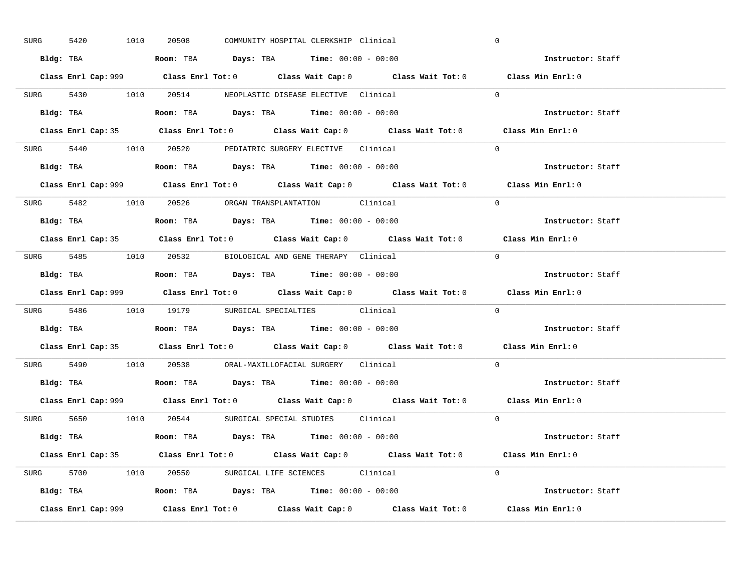| SURG | 1010<br>5420 | 20508 | COMMUNITY HOSPITAL CLERKSHIP Clinical                                                  |                                                                                             | $\mathbf 0$       |  |
|------|--------------|-------|----------------------------------------------------------------------------------------|---------------------------------------------------------------------------------------------|-------------------|--|
|      |              |       | Bldg: TBA                      Room: TBA         Days: TBA         Time: 00:00 - 00:00 |                                                                                             | Instructor: Staff |  |
|      |              |       |                                                                                        | Class Enrl Cap: 999 Class Enrl Tot: 0 Class Wait Cap: 0 Class Wait Tot: 0 Class Min Enrl: 0 |                   |  |
|      |              |       | SURG 5430 1010 20514 NEOPLASTIC DISEASE ELECTIVE Clinical                              |                                                                                             | $\Omega$          |  |
|      |              |       |                                                                                        |                                                                                             | Instructor: Staff |  |
|      |              |       |                                                                                        | Class Enrl Cap: 35 Class Enrl Tot: 0 Class Wait Cap: 0 Class Wait Tot: 0 Class Min Enrl: 0  |                   |  |
|      |              |       | SURG 5440 1010 20520 PEDIATRIC SURGERY ELECTIVE Clinical                               |                                                                                             | $\Omega$          |  |
|      |              |       | <b>Bldg:</b> TBA <b>ROOM:</b> TBA <b>Days:</b> TBA <b>Time:</b> $00:00 - 00:00$        |                                                                                             | Instructor: Staff |  |
|      |              |       |                                                                                        | Class Enrl Cap: 999 Class Enrl Tot: 0 Class Wait Cap: 0 Class Wait Tot: 0 Class Min Enrl: 0 |                   |  |
|      |              |       | SURG 5482 1010 20526 ORGAN TRANSPLANTATION Clinical                                    |                                                                                             | $\Omega$          |  |
|      |              |       | Bldg: TBA                   Room: TBA         Days: TBA         Time: $00:00 - 00:00$  |                                                                                             | Instructor: Staff |  |
|      |              |       |                                                                                        | Class Enrl Cap: 35 Class Enrl Tot: 0 Class Wait Cap: 0 Class Wait Tot: 0 Class Min Enrl: 0  |                   |  |
|      |              |       | SURG 5485 1010 20532 BIOLOGICAL AND GENE THERAPY Clinical                              |                                                                                             | $\Omega$          |  |
|      |              |       | Bldg: TBA                   Room: TBA         Days: TBA         Time: $00:00 - 00:00$  |                                                                                             | Instructor: Staff |  |
|      |              |       |                                                                                        | Class Enrl Cap: 999 Class Enrl Tot: 0 Class Wait Cap: 0 Class Wait Tot: 0                   | Class Min Enrl: 0 |  |
|      |              |       | SURG 5486 1010 19179 SURGICAL SPECIALTIES Clinical                                     |                                                                                             | $\Omega$          |  |
|      | Bldg: TBA    |       |                                                                                        |                                                                                             | Instructor: Staff |  |
|      |              |       | <b>Room:</b> TBA <b>Days:</b> TBA <b>Time:</b> 00:00 - 00:00                           |                                                                                             |                   |  |
|      |              |       |                                                                                        | Class Enrl Cap: 35 Class Enrl Tot: 0 Class Wait Cap: 0 Class Wait Tot: 0 Class Min Enrl: 0  |                   |  |
|      |              |       | SURG 5490 1010 20538 ORAL-MAXILLOFACIAL SURGERY Clinical                               |                                                                                             | $\Omega$          |  |
|      |              |       | Bldg: TBA                   Room: TBA         Days: TBA         Time: $00:00 - 00:00$  |                                                                                             | Instructor: Staff |  |
|      |              |       |                                                                                        | Class Enrl Cap: 999 Class Enrl Tot: 0 Class Wait Cap: 0 Class Wait Tot: 0 Class Min Enrl: 0 |                   |  |
|      |              |       | SURG 5650 1010 20544 SURGICAL SPECIAL STUDIES Clinical                                 |                                                                                             | $\Omega$          |  |
|      |              |       | Bldg: TBA                    Room: TBA         Days: TBA         Time: 00:00 - 00:00   |                                                                                             | Instructor: Staff |  |
|      |              |       |                                                                                        | Class Enrl Cap: 35 Class Enrl Tot: 0 Class Wait Cap: 0 Class Wait Tot: 0 Class Min Enrl: 0  |                   |  |
|      |              |       | SURG 5700 1010 20550 SURGICAL LIFE SCIENCES Clinical                                   |                                                                                             | $\Omega$          |  |
|      |              |       | Bldg: TBA                   Room: TBA         Days: TBA         Time: $00:00 - 00:00$  |                                                                                             | Instructor: Staff |  |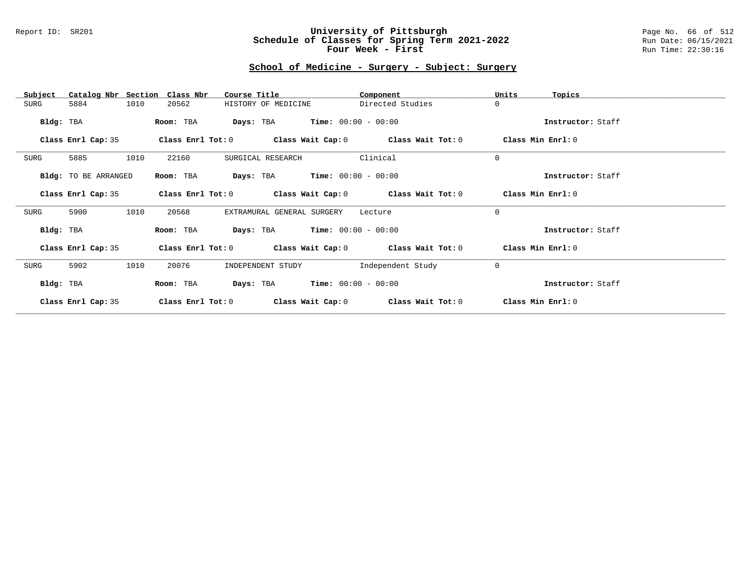### Report ID: SR201 **University of Pittsburgh** Page No. 66 of 512 **Schedule of Classes for Spring Term 2021-2022** Run Date: 06/15/2021 **Four Week - First** Run Time: 22:30:16

# **School of Medicine - Surgery - Subject: Surgery**

| Catalog Nbr Section<br>Subject | Class Nbr<br>Course Title                                   | Component         | Units<br>Topics   |
|--------------------------------|-------------------------------------------------------------|-------------------|-------------------|
| 1010<br>SURG<br>5884           | HISTORY OF MEDICINE<br>20562                                | Directed Studies  | $\mathbf 0$       |
| Bldg: TBA                      | $Time: 00:00 - 00:00$<br>Room: TBA<br>Days: TBA             |                   | Instructor: Staff |
| Class Enrl Cap: 35             | Class Enrl Tot: $0$ Class Wait Cap: $0$ Class Wait Tot: $0$ |                   | Class Min Enrl: 0 |
| 1010<br>SURG<br>5885           | 22160<br>SURGICAL RESEARCH                                  | Clinical          | $\mathbf 0$       |
| Bldg: TO BE ARRANGED           | <b>Days:</b> TBA <b>Time:</b> $00:00 - 00:00$<br>Room: TBA  |                   | Instructor: Staff |
| Class Enrl Cap: 35             | Class Enrl Tot: $0$ Class Wait Cap: $0$ Class Wait Tot: $0$ |                   | Class Min Enrl: 0 |
| 1010<br>SURG<br>5900           | 20568<br>EXTRAMURAL GENERAL SURGERY                         | Lecture           | $\Omega$          |
| Bldg: TBA                      | <b>Days:</b> TBA <b>Time:</b> $00:00 - 00:00$<br>Room: TBA  |                   | Instructor: Staff |
| Class Enrl Cap: 35             | Class Enrl Tot: $0$ Class Wait Cap: $0$ Class Wait Tot: $0$ |                   | Class Min Enrl: 0 |
| 1010<br>SURG<br>5902           | 20076<br>INDEPENDENT STUDY                                  | Independent Study | $\mathbf 0$       |
| Bldg: TBA                      | $Time: 00:00 - 00:00$<br>Days: TBA<br>Room: TBA             |                   | Instructor: Staff |
| Class Enrl Cap: 35             | Class Enrl Tot: 0<br>Class Wait Cap: 0                      | Class Wait Tot: 0 | Class Min Enrl: 0 |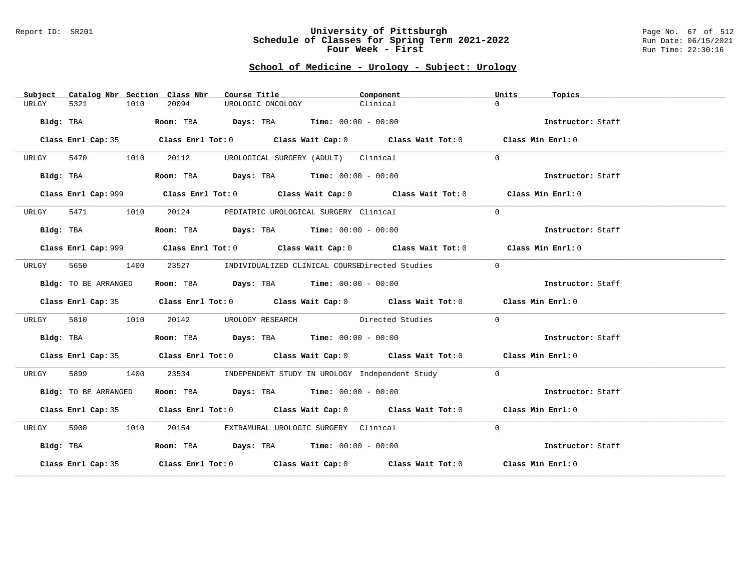#### Report ID: SR201 **University of Pittsburgh** Page No. 67 of 512 **Schedule of Classes for Spring Term 2021-2022** Run Date: 06/15/2021 **Four Week - First** Run Time: 22:30:16

# **School of Medicine - Urology - Subject: Urology**

| Subject   |                      |      | Catalog Nbr Section Class Nbr | Course Title                                                   |                                      | Component                                                                                   | Units     | Topics            |
|-----------|----------------------|------|-------------------------------|----------------------------------------------------------------|--------------------------------------|---------------------------------------------------------------------------------------------|-----------|-------------------|
| URLGY     | 5321                 | 1010 | 20094                         | UROLOGIC ONCOLOGY                                              |                                      | Clinical                                                                                    | $\Omega$  |                   |
|           | Bldg: TBA            |      |                               | Room: TBA $Days:$ TBA $Time: 00:00 - 00:00$                    |                                      |                                                                                             |           | Instructor: Staff |
|           |                      |      |                               |                                                                |                                      | Class Enrl Cap: 35 Class Enrl Tot: 0 Class Wait Cap: 0 Class Wait Tot: 0 Class Min Enrl: 0  |           |                   |
| URLGY     | 5470 1010            |      | 20112                         |                                                                | UROLOGICAL SURGERY (ADULT) Clinical  |                                                                                             | $\Omega$  |                   |
|           | Bldg: TBA            |      |                               | Room: TBA $Days:$ TBA $Time: 00:00 - 00:00$                    |                                      |                                                                                             |           | Instructor: Staff |
|           |                      |      |                               |                                                                |                                      | Class Enrl Cap: 999 Class Enrl Tot: 0 Class Wait Cap: 0 Class Wait Tot: 0 Class Min Enrl: 0 |           |                   |
| URLGY     | 5471 1010            |      |                               | 20124 PEDIATRIC UROLOGICAL SURGERY Clinical                    |                                      |                                                                                             | $\Omega$  |                   |
|           | Bldg: TBA            |      |                               | Room: TBA $\rule{1em}{0.15mm}$ Days: TBA Time: $00:00 - 00:00$ |                                      |                                                                                             |           | Instructor: Staff |
|           |                      |      |                               |                                                                |                                      | Class Enrl Cap: 999 Class Enrl Tot: 0 Class Wait Cap: 0 Class Wait Tot: 0 Class Min Enrl: 0 |           |                   |
| URLGY     | 5650                 | 1400 |                               |                                                                |                                      | 23527 INDIVIDUALIZED CLINICAL COURSEDirected Studies                                        | $\bigcap$ |                   |
|           | Bldg: TO BE ARRANGED |      |                               | Room: TBA $Days:$ TBA $Time: 00:00 - 00:00$                    |                                      |                                                                                             |           | Instructor: Staff |
|           |                      |      |                               |                                                                |                                      | Class Enrl Cap: 35 Class Enrl Tot: 0 Class Wait Cap: 0 Class Wait Tot: 0 Class Min Enrl: 0  |           |                   |
| URLGY     | 5810                 | 1010 |                               |                                                                |                                      | 20142 UROLOGY RESEARCH Directed Studies                                                     | $\Omega$  |                   |
|           | Bldg: TBA            |      |                               | Room: TBA $\rule{1em}{0.15mm}$ Days: TBA Time: $00:00 - 00:00$ |                                      |                                                                                             |           | Instructor: Staff |
|           |                      |      |                               |                                                                |                                      | Class Enrl Cap: 35 Class Enrl Tot: 0 Class Wait Cap: 0 Class Wait Tot: 0 Class Min Enrl: 0  |           |                   |
| URLGY     | 5899                 | 1400 |                               |                                                                |                                      | 23534 INDEPENDENT STUDY IN UROLOGY Independent Study                                        | $\Omega$  |                   |
|           | Bldg: TO BE ARRANGED |      |                               | Room: TBA $Days:$ TBA $Time: 00:00 - 00:00$                    |                                      |                                                                                             |           | Instructor: Staff |
|           |                      |      |                               |                                                                |                                      | Class Enrl Cap: 35 Class Enrl Tot: 0 Class Wait Cap: 0 Class Wait Tot: 0 Class Min Enrl: 0  |           |                   |
| URLGY     | 5900 1010            |      | 20154                         |                                                                | EXTRAMURAL UROLOGIC SURGERY Clinical |                                                                                             | $\Omega$  |                   |
| Bldg: TBA |                      |      |                               | Room: TBA $Days:$ TBA Time: $00:00 - 00:00$                    |                                      |                                                                                             |           | Instructor: Staff |
|           |                      |      |                               |                                                                |                                      | Class Enrl Cap: 35 Class Enrl Tot: 0 Class Wait Cap: 0 Class Wait Tot: 0 Class Min Enrl: 0  |           |                   |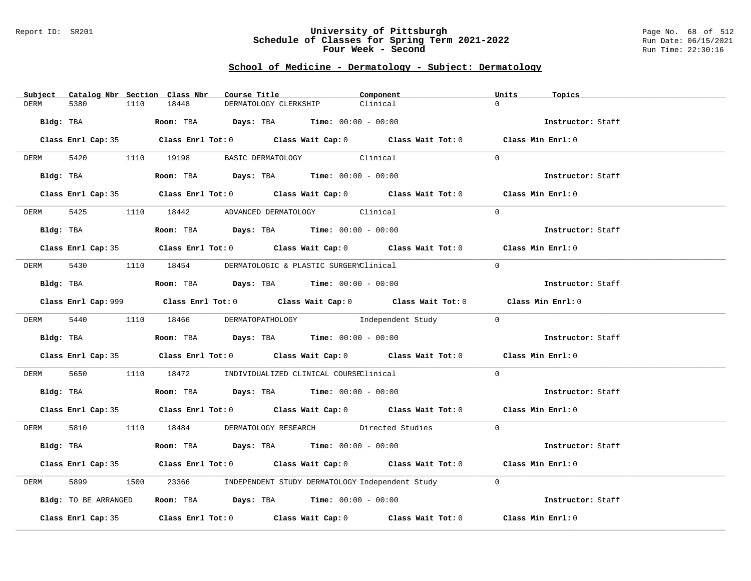### Report ID: SR201 **University of Pittsburgh** Page No. 68 of 512 **Schedule of Classes for Spring Term 2021-2022** Run Date: 06/15/2021 **Four Week - Second Run Time: 22:30:16**

### **School of Medicine - Dermatology - Subject: Dermatology**

|             | Subject Catalog Nbr Section Class Nbr |      |       | Course Title |                                                                                                | Component                                                                                   | Units    | Topics            |
|-------------|---------------------------------------|------|-------|--------------|------------------------------------------------------------------------------------------------|---------------------------------------------------------------------------------------------|----------|-------------------|
| DERM        | 5380                                  | 1110 | 18448 |              | DERMATOLOGY CLERKSHIP                                                                          | Clinical                                                                                    | $\cap$   |                   |
| Bldg: TBA   |                                       |      |       |              | <b>Room:</b> TBA $Days: TBA$ <b>Time:</b> $00:00 - 00:00$                                      |                                                                                             |          | Instructor: Staff |
|             |                                       |      |       |              |                                                                                                | Class Enrl Cap: 35 Class Enrl Tot: 0 Class Wait Cap: 0 Class Wait Tot: 0 Class Min Enrl: 0  |          |                   |
| <b>DERM</b> |                                       |      |       |              | 5420 1110 19198 BASIC DERMATOLOGY Clinical                                                     |                                                                                             | $\Omega$ |                   |
|             | Bldg: TBA                             |      |       |              | Room: TBA $Days:$ TBA $Time: 00:00 - 00:00$                                                    |                                                                                             |          | Instructor: Staff |
|             |                                       |      |       |              |                                                                                                | Class Enrl Cap: 35 Class Enrl Tot: 0 Class Wait Cap: 0 Class Wait Tot: 0 Class Min Enrl: 0  |          |                   |
|             |                                       |      |       |              | DERM 5425 1110 18442 ADVANCED DERMATOLOGY Clinical                                             |                                                                                             | $\Omega$ |                   |
|             |                                       |      |       |              | Bldg: TBA                    Room: TBA         Days: TBA         Time: 00:00 - 00:00           |                                                                                             |          | Instructor: Staff |
|             |                                       |      |       |              |                                                                                                | Class Enrl Cap: 35 Class Enrl Tot: 0 Class Wait Cap: 0 Class Wait Tot: 0 Class Min Enrl: 0  |          |                   |
|             |                                       |      |       |              | DERM 5430 1110 18454 DERMATOLOGIC & PLASTIC SURGERYClinical                                    |                                                                                             | $\Omega$ |                   |
|             |                                       |      |       |              | Bldg: TBA                   Room: TBA         Days: TBA         Time: $00:00 - 00:00$          |                                                                                             |          | Instructor: Staff |
|             |                                       |      |       |              |                                                                                                | Class Enrl Cap: 999 Class Enrl Tot: 0 Class Wait Cap: 0 Class Wait Tot: 0 Class Min Enrl: 0 |          |                   |
|             |                                       |      |       |              |                                                                                                | DERM 5440 1110 18466 DERMATOPATHOLOGY Independent Study 0                                   |          |                   |
|             |                                       |      |       |              | Bldg: TBA                          Room: TBA          Days: TBA          Time: $00:00 - 00:00$ |                                                                                             |          | Instructor: Staff |
|             |                                       |      |       |              |                                                                                                | Class Enrl Cap: 35 Class Enrl Tot: 0 Class Wait Cap: 0 Class Wait Tot: 0 Class Min Enrl: 0  |          |                   |
| DERM 5650   |                                       |      |       |              | 1110 18472 INDIVIDUALIZED CLINICAL COURSEClinical                                              |                                                                                             | $\Omega$ |                   |
|             |                                       |      |       |              | Bldg: TBA                    Room: TBA         Days: TBA         Time: $00:00 - 00:00$         |                                                                                             |          | Instructor: Staff |
|             |                                       |      |       |              |                                                                                                | Class Enrl Cap: 35 Class Enrl Tot: 0 Class Wait Cap: 0 Class Wait Tot: 0 Class Min Enrl: 0  |          |                   |
|             |                                       |      |       |              |                                                                                                | DERM 5810 1110 18484 DERMATOLOGY RESEARCH Directed Studies 0                                |          |                   |
|             |                                       |      |       |              | Bldg: TBA                   Room: TBA         Days: TBA        Time: 00:00 - 00:00             |                                                                                             |          | Instructor: Staff |
|             |                                       |      |       |              |                                                                                                | Class Enrl Cap: 35 Class Enrl Tot: 0 Class Wait Cap: 0 Class Wait Tot: 0 Class Min Enrl: 0  |          |                   |
| DERM        | 5899                                  |      |       |              |                                                                                                | 1500 23366 INDEPENDENT STUDY DERMATOLOGY Independent Study                                  | $\Omega$ |                   |
|             | Bldg: TO BE ARRANGED                  |      |       |              | Room: TBA $\rule{1em}{0.15mm}$ Days: TBA Time: $00:00 - 00:00$                                 |                                                                                             |          | Instructor: Staff |
|             |                                       |      |       |              |                                                                                                | Class Enrl Cap: 35 Class Enrl Tot: 0 Class Wait Cap: 0 Class Wait Tot: 0                    |          | Class Min Enrl: 0 |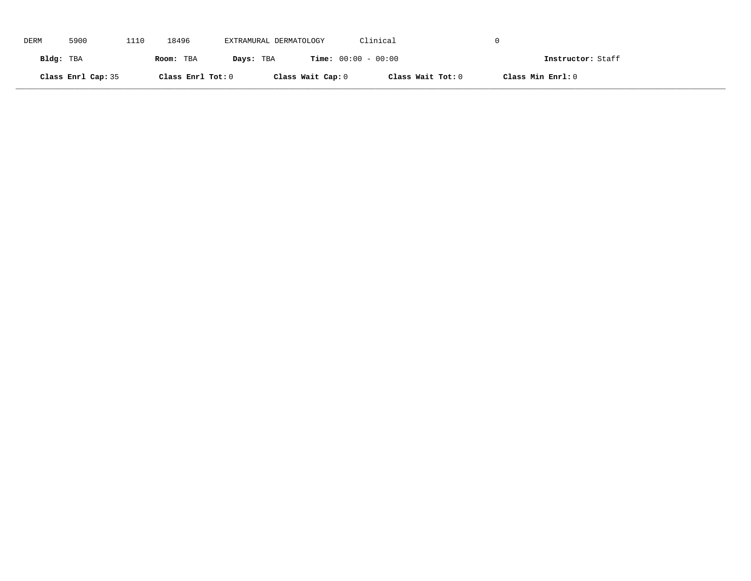| DERM      | 5900               | 1110 | 18496             | EXTRAMURAL DERMATOLOGY |                              | Clinical          |                   |
|-----------|--------------------|------|-------------------|------------------------|------------------------------|-------------------|-------------------|
| Bldg: TBA |                    |      | Room: TBA         | Days: TBA              | <b>Time:</b> $00:00 - 00:00$ |                   | Instructor: Staff |
|           | Class Enrl Cap: 35 |      | Class Enrl Tot: 0 |                        | Class Wait Cap: 0            | Class Wait Tot: 0 | Class Min Enrl: 0 |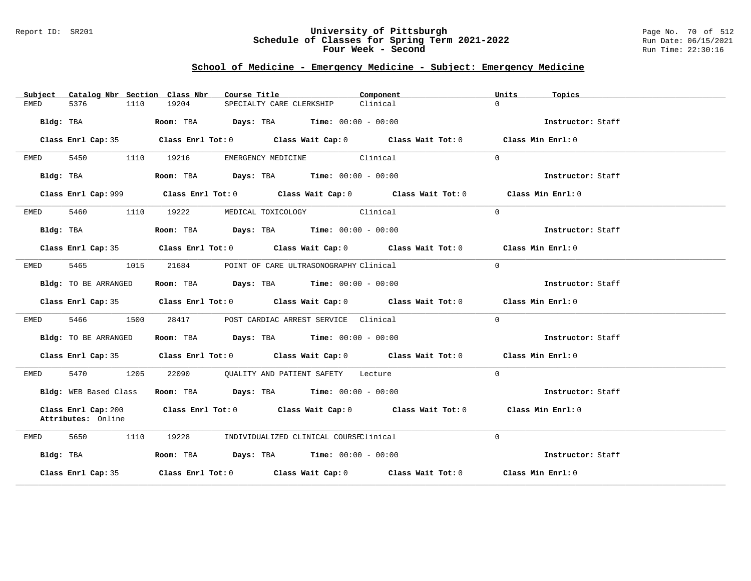### Report ID: SR201 **University of Pittsburgh** Page No. 70 of 512 **Schedule of Classes for Spring Term 2021-2022** Run Date: 06/15/2021 **Four Week - Second Run Time: 22:30:16**

# **School of Medicine - Emergency Medicine - Subject: Emergency Medicine**

| Catalog Nbr Section Class Nbr<br>Subject  | Course Title <b>Source Search</b><br>Component                                              | Units<br>Topics   |
|-------------------------------------------|---------------------------------------------------------------------------------------------|-------------------|
| 5376<br>EMED<br>1110                      | 19204<br>Clinical<br>SPECIALTY CARE CLERKSHIP                                               | $\Omega$          |
| Bldg: TBA                                 | Room: TBA $Days: TBA$ Time: $00:00 - 00:00$                                                 | Instructor: Staff |
| Class Enrl Cap: 35                        | Class Enrl Tot: $0$ Class Wait Cap: $0$ Class Wait Tot: $0$ Class Min Enrl: $0$             |                   |
| 5450<br>EMED                              | EMERGENCY MEDICINE Clinical<br>1110 19216                                                   | $\Omega$          |
| Bldg: TBA                                 | Room: TBA $Days:$ TBA $Time: 00:00 - 00:00$                                                 | Instructor: Staff |
|                                           | Class Enrl Cap: 999 Class Enrl Tot: 0 Class Wait Cap: 0 Class Wait Tot: 0 Class Min Enrl: 0 |                   |
| 5460 1110 19222<br>EMED                   | MEDICAL TOXICOLOGY Clinical                                                                 | $\Omega$          |
| Bldg: TBA                                 | Room: TBA $Days:$ TBA $Time: 00:00 - 00:00$                                                 | Instructor: Staff |
|                                           | Class Enrl Cap: 35 Class Enrl Tot: 0 Class Wait Cap: 0 Class Wait Tot: 0 Class Min Enrl: 0  |                   |
| EMED<br>5465 7<br>1015                    | 21684<br>POINT OF CARE ULTRASONOGRAPHY Clinical                                             | $\Omega$          |
| Bldg: TO BE ARRANGED                      | Room: TBA $Days: TBA$ Time: $00:00 - 00:00$                                                 | Instructor: Staff |
|                                           | Class Enrl Cap: 35 Class Enrl Tot: 0 Class Wait Cap: 0 Class Wait Tot: 0 Class Min Enrl: 0  |                   |
| 5466 746<br>1500<br>EMED                  | 28417 POST CARDIAC ARREST SERVICE Clinical                                                  | $\Omega$          |
| Bldg: TO BE ARRANGED                      | Room: TBA $Days:$ TBA Time: $00:00 - 00:00$                                                 | Instructor: Staff |
|                                           | Class Enrl Cap: 35 Class Enrl Tot: 0 Class Wait Cap: 0 Class Wait Tot: 0 Class Min Enrl: 0  |                   |
| 5470 1205<br>EMED                         | 22090 QUALITY AND PATIENT SAFETY Lecture                                                    | $\Omega$          |
| Bldg: WEB Based Class                     | Room: TBA $Days:$ TBA Time: $00:00 - 00:00$                                                 | Instructor: Staff |
| Class Enrl Cap: 200<br>Attributes: Online | Class Enrl Tot: $0$ Class Wait Cap: $0$ Class Wait Tot: $0$                                 | Class Min Enrl: 0 |
| 5650<br>1110<br>EMED                      | 19228<br>INDIVIDUALIZED CLINICAL COURSEClinical                                             | $\Omega$          |
| Bldg: TBA                                 | Room: TBA $Days:$ TBA $Time: 00:00 - 00:00$                                                 | Instructor: Staff |
| Class Enrl Cap: 35                        | Class Enrl Tot: $0$ Class Wait Cap: $0$ Class Wait Tot: $0$ Class Min Enrl: $0$             |                   |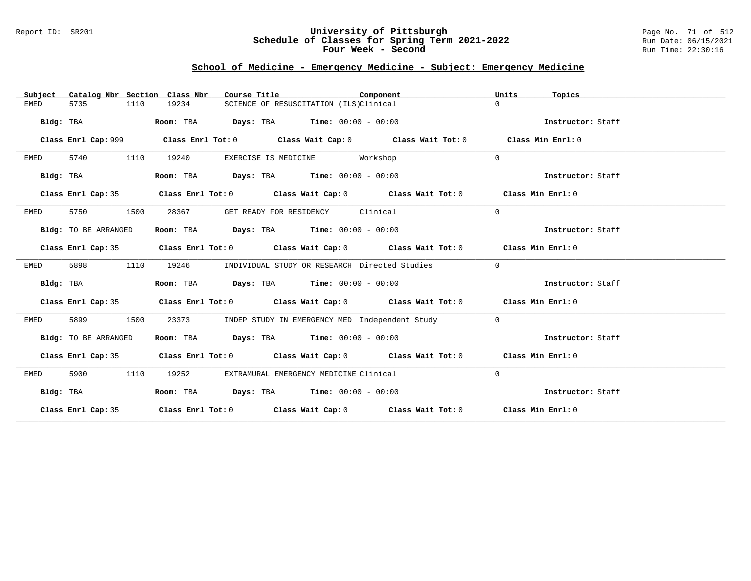### Report ID: SR201 **University of Pittsburgh** Page No. 71 of 512 **Schedule of Classes for Spring Term 2021-2022** Run Date: 06/15/2021 **Four Week - Second Run Time: 22:30:16**

# **School of Medicine - Emergency Medicine - Subject: Emergency Medicine**

| Catalog Nbr Section Class Nbr<br>Subject | Course Title                                                                                       | Component            | Units<br>Topics   |
|------------------------------------------|----------------------------------------------------------------------------------------------------|----------------------|-------------------|
| 5735<br>1110<br>EMED                     | 19234<br>SCIENCE OF RESUSCITATION (ILS)Clinical                                                    | $\Omega$             |                   |
| Bldg: TBA                                | <b>Days:</b> TBA <b>Time:</b> $00:00 - 00:00$<br>Room: TBA                                         |                      | Instructor: Staff |
|                                          | Class Enrl Cap: 999 Class Enrl Tot: 0 Class Wait Cap: 0 Class Wait Tot: 0                          |                      | Class Min Enrl: 0 |
| 5740<br>1110<br>EMED                     | 19240<br>EXERCISE IS MEDICINE                                                                      | $\Omega$<br>Workshop |                   |
| Bldg: TBA                                | <b>Days:</b> TBA <b>Time:</b> $00:00 - 00:00$<br>Room: TBA                                         |                      | Instructor: Staff |
| Class Enrl Cap: 35                       | Class Enrl Tot: 0 Class Wait Cap: 0 Class Wait Tot: 0 Class Min Enrl: 0                            |                      |                   |
| 5750<br>1500<br>EMED                     | 28367<br>GET READY FOR RESIDENCY Clinical                                                          | $\mathbf 0$          |                   |
| Bldg: TO BE ARRANGED                     | $\texttt{DayS:}$ TBA $\texttt{Time:}$ 00:00 - 00:00<br>Room: TBA                                   |                      | Instructor: Staff |
|                                          | Class Enrl Cap: 35 Class Enrl Tot: 0 Class Wait Cap: 0 Class Wait Tot: 0 Class Min Enrl: 0         |                      |                   |
| 5898<br>1110<br>EMED                     | 19246<br>INDIVIDUAL STUDY OR RESEARCH Directed Studies                                             | $\mathbf 0$          |                   |
| Bldg: TBA                                | Room: TBA $Days:$ TBA $Time: 00:00 - 00:00$                                                        |                      | Instructor: Staff |
| Class Enrl Cap: 35                       | Class Enrl Tot: 0 $\qquad$ Class Wait Cap: 0 $\qquad$ Class Wait Tot: 0 $\qquad$ Class Min Enrl: 0 |                      |                   |
| 5899<br>1500<br>EMED                     | 23373<br>INDEP STUDY IN EMERGENCY MED Independent Study                                            | $\mathbf 0$          |                   |
| Bldg: TO BE ARRANGED                     | Room: TBA $Days:$ TBA $Time: 00:00 - 00:00$                                                        |                      | Instructor: Staff |
|                                          | Class Enrl Cap: 35 Class Enrl Tot: 0 Class Wait Cap: 0 Class Wait Tot: 0 Class Min Enrl: 0         |                      |                   |
| 5900<br>1110<br>EMED                     | 19252<br>EXTRAMURAL EMERGENCY MEDICINE Clinical                                                    | $\Omega$             |                   |
| Bldg: TBA                                | Room: TBA $Days:$ TBA $Time: 00:00 - 00:00$                                                        |                      | Instructor: Staff |
|                                          | Class Enrl Cap: 35 Class Enrl Tot: 0 Class Wait Cap: 0 Class Wait Tot: 0 Class Min Enrl: 0         |                      |                   |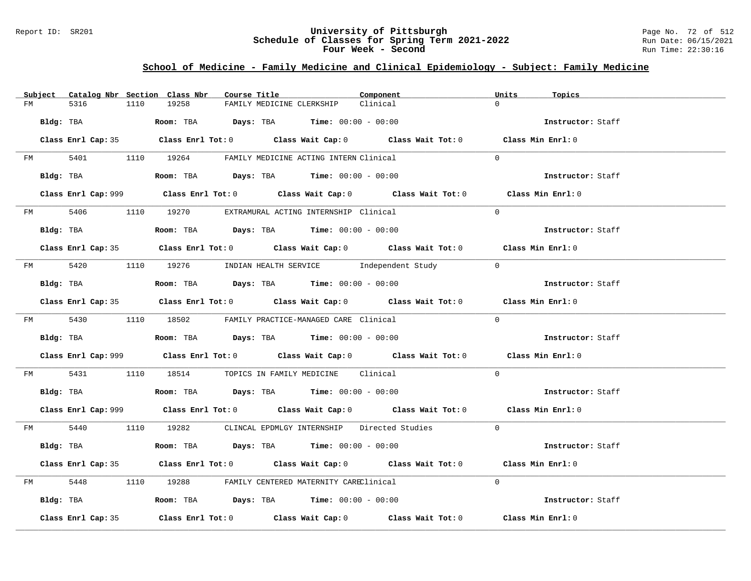### Report ID: SR201 **University of Pittsburgh** Page No. 72 of 512 **Schedule of Classes for Spring Term 2021-2022** Run Date: 06/15/2021 **Four Week - Second Run Time: 22:30:16**

# **School of Medicine - Family Medicine and Clinical Epidemiology - Subject: Family Medicine**

|         | Subject Catalog Nbr Section Class Nbr | Course Title                                                                                | Component | Units<br>Topics   |
|---------|---------------------------------------|---------------------------------------------------------------------------------------------|-----------|-------------------|
| FM      | 5316<br>1110                          | 19258<br>FAMILY MEDICINE CLERKSHIP                                                          | Clinical  | $\Omega$          |
|         | Bldg: TBA                             | Room: TBA $Days:$ TBA Time: $00:00 - 00:00$                                                 |           | Instructor: Staff |
|         |                                       | Class Enrl Cap: 35 Class Enrl Tot: 0 Class Wait Cap: 0 Class Wait Tot: 0 Class Min Enrl: 0  |           |                   |
|         |                                       | FM 5401 1110 19264 FAMILY MEDICINE ACTING INTERN Clinical                                   |           | $\Omega$          |
|         | Bldg: TBA                             | Room: TBA $Days:$ TBA Time: $00:00 - 00:00$                                                 |           | Instructor: Staff |
|         |                                       | Class Enrl Cap: 999 Class Enrl Tot: 0 Class Wait Cap: 0 Class Wait Tot: 0 Class Min Enrl: 0 |           |                   |
|         |                                       | FM 5406 1110 19270 EXTRAMURAL ACTING INTERNSHIP Clinical                                    |           | $\overline{0}$    |
|         | Bldg: TBA                             | Room: TBA $Days:$ TBA Time: $00:00 - 00:00$                                                 |           | Instructor: Staff |
|         |                                       | Class Enrl Cap: 35 Class Enrl Tot: 0 Class Wait Cap: 0 Class Wait Tot: 0 Class Min Enrl: 0  |           |                   |
|         |                                       | FM 5420 1110 19276 INDIAN HEALTH SERVICE Independent Study 0                                |           |                   |
|         | Bldg: TBA                             | Room: TBA $Days:$ TBA Time: $00:00 - 00:00$                                                 |           | Instructor: Staff |
|         |                                       | Class Enrl Cap: 35 Class Enrl Tot: 0 Class Wait Cap: 0 Class Wait Tot: 0 Class Min Enrl: 0  |           |                   |
|         |                                       | FM 5430 1110 18502 FAMILY PRACTICE-MANAGED CARE Clinical                                    |           | $\Omega$          |
|         |                                       | Bldg: TBA                    Room: TBA         Days: TBA         Time: $00:00 - 00:00$      |           | Instructor: Staff |
|         |                                       | Class Enrl Cap: 999 Class Enrl Tot: 0 Class Wait Cap: 0 Class Wait Tot: 0 Class Min Enrl: 0 |           |                   |
| FM 5431 |                                       | 1110 18514 TOPICS IN FAMILY MEDICINE Clinical                                               |           | $\Omega$          |
|         |                                       | Bldg: TBA                    Room: TBA         Days: TBA         Time: $00:00 - 00:00$      |           | Instructor: Staff |
|         |                                       | Class Enrl Cap: 999 Class Enrl Tot: 0 Class Wait Cap: 0 Class Wait Tot: 0 Class Min Enrl: 0 |           |                   |
|         |                                       | FM 5440 1110 19282 CLINCAL EPDMLGY INTERNSHIP Directed Studies 0                            |           |                   |
|         | Bldg: TBA                             | Room: TBA $Days:$ TBA $Time: 00:00 - 00:00$                                                 |           | Instructor: Staff |
|         |                                       | Class Enrl Cap: 35 Class Enrl Tot: 0 Class Wait Cap: 0 Class Wait Tot: 0 Class Min Enrl: 0  |           |                   |
|         |                                       | FM 5448 1110 19288 FAMILY CENTERED MATERNITY CAREClinical                                   |           | $\Omega$          |
|         |                                       | Bldg: TBA                  Room: TBA        Days: TBA        Time: 00:00 - 00:00            |           | Instructor: Staff |
|         | Class Enrl Cap: 35                    | Class Enrl Tot: $0$ Class Wait Cap: $0$ Class Wait Tot: $0$ Class Min Enrl: $0$             |           |                   |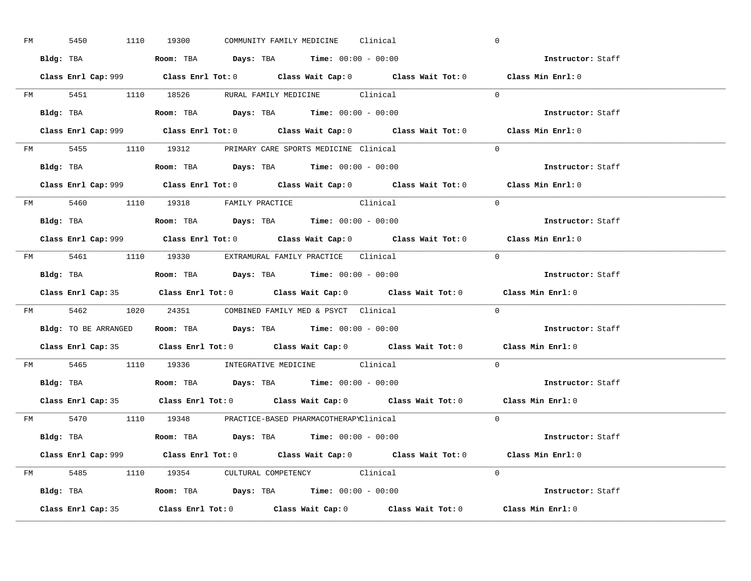| FM | 5450 |  | 1110 19300                                                                             |  | COMMUNITY FAMILY MEDICINE Clinical |                                                                                             | $\overline{0}$ |                          |  |
|----|------|--|----------------------------------------------------------------------------------------|--|------------------------------------|---------------------------------------------------------------------------------------------|----------------|--------------------------|--|
|    |      |  | Bldg: TBA                   Room: TBA         Days: TBA         Time: $00:00 - 00:00$  |  |                                    |                                                                                             |                | Instructor: Staff        |  |
|    |      |  |                                                                                        |  |                                    | Class Enrl Cap: 999 Class Enrl Tot: 0 Class Wait Cap: 0 Class Wait Tot: 0 Class Min Enrl: 0 |                |                          |  |
|    |      |  |                                                                                        |  |                                    | FM 5451 1110 18526 RURAL FAMILY MEDICINE Clinical 0                                         |                |                          |  |
|    |      |  | Bldg: TBA                   Room: TBA         Days: TBA         Time: $00:00 - 00:00$  |  |                                    |                                                                                             |                | Instructor: Staff        |  |
|    |      |  |                                                                                        |  |                                    | Class Enrl Cap: 999 Class Enrl Tot: 0 Class Wait Cap: 0 Class Wait Tot: 0 Class Min Enrl: 0 |                |                          |  |
|    |      |  | FM 5455 1110 19312 PRIMARY CARE SPORTS MEDICINE Clinical                               |  |                                    |                                                                                             | $\Omega$       |                          |  |
|    |      |  | Bldg: TBA                    Room: TBA         Days: TBA        Time: $00:00 - 00:00$  |  |                                    |                                                                                             |                | Instructor: Staff        |  |
|    |      |  |                                                                                        |  |                                    | Class Enrl Cap: 999 Class Enrl Tot: 0 Class Wait Cap: 0 Class Wait Tot: 0 Class Min Enrl: 0 |                |                          |  |
|    |      |  | FM 5460 1110 19318 FAMILY PRACTICE Clinical                                            |  |                                    |                                                                                             | $\Omega$       |                          |  |
|    |      |  | Bldg: TBA<br>Room: TBA<br>Days: TBA<br>Time: $00:00 - 00:00$                           |  |                                    |                                                                                             |                | Instructor: Staff        |  |
|    |      |  |                                                                                        |  |                                    | Class Enrl Cap: 999 Class Enrl Tot: 0 Class Wait Cap: 0 Class Wait Tot: 0 Class Min Enrl: 0 |                |                          |  |
|    |      |  | FM 5461 1110 19330 EXTRAMURAL FAMILY PRACTICE Clinical                                 |  |                                    |                                                                                             | $\bigcirc$     |                          |  |
|    |      |  |                                                                                        |  |                                    |                                                                                             |                | Instructor: Staff        |  |
|    |      |  |                                                                                        |  |                                    |                                                                                             |                |                          |  |
|    |      |  |                                                                                        |  |                                    | Class Enrl Cap: 35 Class Enrl Tot: 0 Class Wait Cap: 0 Class Wait Tot: 0 Class Min Enrl: 0  |                |                          |  |
|    |      |  | FM 5462 1020 24351 COMBINED FAMILY MED & PSYCT Clinical                                |  |                                    |                                                                                             | $\overline{0}$ |                          |  |
|    |      |  | Bldg: TO BE ARRANGED ROOM: TBA Days: TBA Time: 00:00 - 00:00                           |  |                                    |                                                                                             |                | <b>Instructor:</b> Staff |  |
|    |      |  |                                                                                        |  |                                    | Class Enrl Cap: 35 Class Enrl Tot: 0 Class Wait Cap: 0 Class Wait Tot: 0 Class Min Enrl: 0  |                |                          |  |
|    |      |  | FM 5465 1110 19336 INTEGRATIVE MEDICINE Clinical                                       |  |                                    |                                                                                             | $\Omega$       |                          |  |
|    |      |  | Bldg: TBA                    Room: TBA         Days: TBA         Time: $00:00 - 00:00$ |  |                                    |                                                                                             |                | Instructor: Staff        |  |
|    |      |  |                                                                                        |  |                                    | Class Enrl Cap: 35 Class Enrl Tot: 0 Class Wait Cap: 0 Class Wait Tot: 0 Class Min Enrl: 0  |                |                          |  |
|    |      |  | FM 5470 1110 19348 PRACTICE-BASED PHARMACOTHERAPYClinical                              |  |                                    |                                                                                             |                | $\Omega$                 |  |
|    |      |  | Bldg: TBA                   Room: TBA         Days: TBA         Time: 00:00 - 00:00    |  |                                    |                                                                                             |                | Instructor: Staff        |  |
|    |      |  |                                                                                        |  |                                    | Class Enrl Cap: 999 Class Enrl Tot: 0 Class Wait Cap: 0 Class Wait Tot: 0 Class Min Enrl: 0 |                |                          |  |
|    |      |  | FM 5485 1110 19354 CULTURAL COMPETENCY Clinical                                        |  |                                    |                                                                                             | $\Omega$       |                          |  |
|    |      |  | Bldg: TBA                    Room: TBA         Days: TBA         Time: $00:00 - 00:00$ |  |                                    |                                                                                             |                | Instructor: Staff        |  |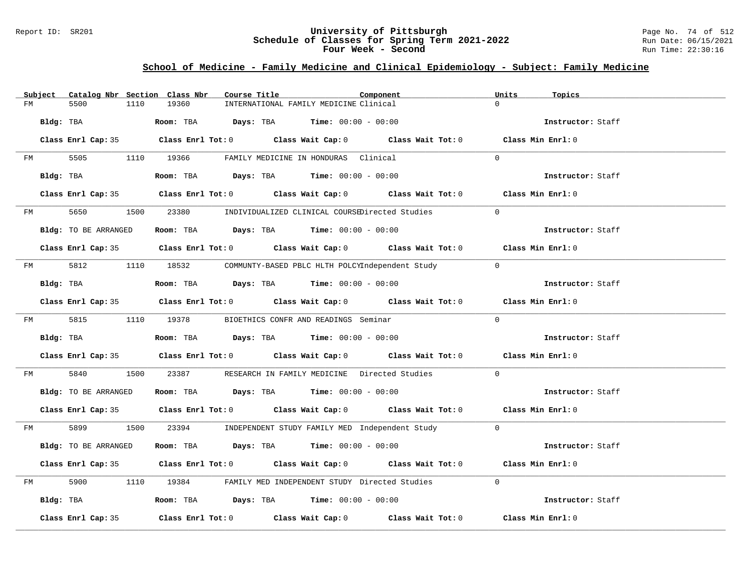### Report ID: SR201 **University of Pittsburgh** Page No. 74 of 512 **Schedule of Classes for Spring Term 2021-2022** Run Date: 06/15/2021 **Four Week - Second Run Time: 22:30:16**

## **School of Medicine - Family Medicine and Clinical Epidemiology - Subject: Family Medicine**

|    |                      |      | Subject Catalog Nbr Section Class Nbr | Course Title |                                                                                            | Component                                                                                  |          | Units | Topics            |  |
|----|----------------------|------|---------------------------------------|--------------|--------------------------------------------------------------------------------------------|--------------------------------------------------------------------------------------------|----------|-------|-------------------|--|
| FM | 5500                 | 1110 | 19360                                 |              | INTERNATIONAL FAMILY MEDICINE Clinical                                                     |                                                                                            | $\Omega$ |       |                   |  |
|    | Bldg: TBA            |      |                                       |              | Room: TBA $Days:$ TBA Time: $00:00 - 00:00$                                                |                                                                                            |          |       | Instructor: Staff |  |
|    |                      |      |                                       |              |                                                                                            | Class Enrl Cap: 35 Class Enrl Tot: 0 Class Wait Cap: 0 Class Wait Tot: 0 Class Min Enrl: 0 |          |       |                   |  |
|    |                      |      |                                       |              | FM 5505 1110 19366 FAMILY MEDICINE IN HONDURAS Clinical                                    |                                                                                            | $\Omega$ |       |                   |  |
|    | Bldg: TBA            |      |                                       |              | Room: TBA $Days:$ TBA Time: $00:00 - 00:00$                                                |                                                                                            |          |       | Instructor: Staff |  |
|    |                      |      |                                       |              |                                                                                            | Class Enrl Cap: 35 Class Enrl Tot: 0 Class Wait Cap: 0 Class Wait Tot: 0 Class Min Enrl: 0 |          |       |                   |  |
|    |                      |      |                                       |              |                                                                                            | FM 5650 1500 23380 INDIVIDUALIZED CLINICAL COURSEDirected Studies 0                        |          |       |                   |  |
|    | Bldg: TO BE ARRANGED |      |                                       |              | Room: TBA $\rule{1em}{0.15mm}$ Days: TBA Time: $00:00 - 00:00$                             |                                                                                            |          |       | Instructor: Staff |  |
|    |                      |      |                                       |              |                                                                                            | Class Enrl Cap: 35 Class Enrl Tot: 0 Class Wait Cap: 0 Class Wait Tot: 0 Class Min Enrl: 0 |          |       |                   |  |
|    |                      |      |                                       |              |                                                                                            | FM 5812 1110 18532 COMMUNTY-BASED PBLC HLTH POLCYIndependent Study 0                       |          |       |                   |  |
|    | Bldg: TBA            |      |                                       |              | Room: TBA $\rule{1em}{0.15mm}$ Days: TBA $\rule{1.5mm}{0.15mm}$ Time: $00:00 - 00:00$      |                                                                                            |          |       | Instructor: Staff |  |
|    |                      |      |                                       |              |                                                                                            | Class Enrl Cap: 35 Class Enrl Tot: 0 Class Wait Cap: 0 Class Wait Tot: 0 Class Min Enrl: 0 |          |       |                   |  |
|    |                      |      |                                       |              | FM 5815 1110 19378 BIOETHICS CONFR AND READINGS Seminar                                    |                                                                                            | $\Omega$ |       |                   |  |
|    | Bldg: TBA            |      |                                       |              | Room: TBA $Days:$ TBA $Time: 00:00 - 00:00$                                                |                                                                                            |          |       | Instructor: Staff |  |
|    |                      |      |                                       |              |                                                                                            | Class Enrl Cap: 35 Class Enrl Tot: 0 Class Wait Cap: 0 Class Wait Tot: 0 Class Min Enrl: 0 |          |       |                   |  |
|    | FM 5840              |      |                                       |              |                                                                                            | 1500 23387 RESEARCH IN FAMILY MEDICINE Directed Studies 0                                  |          |       |                   |  |
|    | Bldg: TO BE ARRANGED |      |                                       |              | Room: TBA $Days:$ TBA Time: $00:00 - 00:00$                                                |                                                                                            |          |       | Instructor: Staff |  |
|    |                      |      |                                       |              |                                                                                            | Class Enrl Cap: 35 Class Enrl Tot: 0 Class Wait Cap: 0 Class Wait Tot: 0 Class Min Enrl: 0 |          |       |                   |  |
|    |                      |      |                                       |              |                                                                                            | FM 5899 1500 23394 INDEPENDENT STUDY FAMILY MED Independent Study 0                        |          |       |                   |  |
|    | Bldg: TO BE ARRANGED |      |                                       |              | Room: TBA $Days:$ TBA $Time:$ 00:00 - 00:00                                                |                                                                                            |          |       | Instructor: Staff |  |
|    |                      |      |                                       |              |                                                                                            | Class Enrl Cap: 35 Class Enrl Tot: 0 Class Wait Cap: 0 Class Wait Tot: 0 Class Min Enrl: 0 |          |       |                   |  |
| FM |                      |      |                                       |              |                                                                                            | 5900 1110 19384 FAMILY MED INDEPENDENT STUDY Directed Studies                              | $\Omega$ |       |                   |  |
|    |                      |      |                                       |              | Bldg: TBA                     Room: TBA           Days: TBA          Time: $00:00 - 00:00$ |                                                                                            |          |       | Instructor: Staff |  |
|    | Class Enrl Cap: 35   |      |                                       |              |                                                                                            | Class Enrl Tot: $0$ Class Wait Cap: $0$ Class Wait Tot: $0$ Class Min Enrl: $0$            |          |       |                   |  |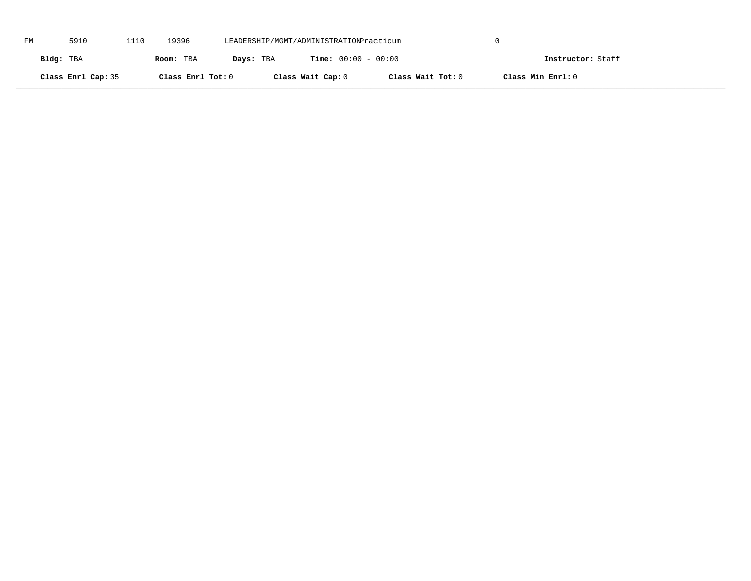| FM | 5910               | 1110 | 19396             | LEADERSHIP/MGMT/ADMINISTRATIONPracticum |                              |                   |                   |  |
|----|--------------------|------|-------------------|-----------------------------------------|------------------------------|-------------------|-------------------|--|
|    | Bldg: TBA          |      | Room: TBA         | Days: TBA                               | <b>Time:</b> $00:00 - 00:00$ |                   | Instructor: Staff |  |
|    | Class Enrl Cap: 35 |      | Class Enrl Tot: 0 |                                         | Class Wait Cap: 0            | Class Wait Tot: 0 | Class Min Enrl: 0 |  |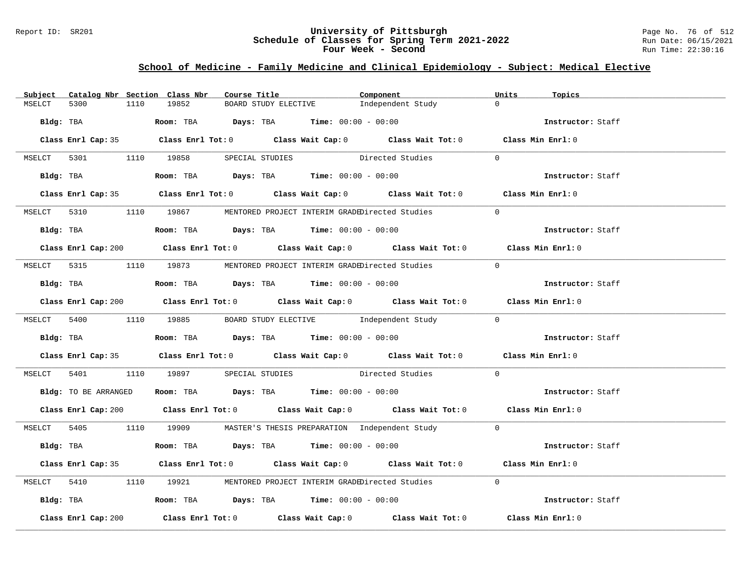### Report ID: SR201 **University of Pittsburgh** Page No. 76 of 512 **Schedule of Classes for Spring Term 2021-2022** Run Date: 06/15/2021 **Four Week - Second Run Time: 22:30:16**

# **School of Medicine - Family Medicine and Clinical Epidemiology - Subject: Medical Elective**

| Subject |                      |      | Catalog Nbr Section Class Nbr          |  | Course Title <b>Course In the Course I</b>                                            | Component                                                                                            | Units    | Topics            |  |
|---------|----------------------|------|----------------------------------------|--|---------------------------------------------------------------------------------------|------------------------------------------------------------------------------------------------------|----------|-------------------|--|
| MSELCT  | 5300                 | 1110 | 19852                                  |  | BOARD STUDY ELECTIVE                                                                  | Independent Study                                                                                    | $\Omega$ |                   |  |
|         | Bldg: TBA            |      |                                        |  | Room: TBA $Days:$ TBA $Time: 00:00 - 00:00$                                           |                                                                                                      |          | Instructor: Staff |  |
|         |                      |      |                                        |  |                                                                                       | Class Enrl Cap: 35 Class Enrl Tot: 0 Class Wait Cap: 0 Class Wait Tot: 0 Class Min Enrl: 0           |          |                   |  |
|         |                      |      | MSELCT 5301 1110 19858 SPECIAL STUDIES |  |                                                                                       | Directed Studies                                                                                     | $\Omega$ |                   |  |
|         | Bldg: TBA            |      |                                        |  | $\textbf{Room:}$ TBA $\textbf{Days:}$ TBA $\textbf{Time:}$ 00:00 - 00:00              |                                                                                                      |          | Instructor: Staff |  |
|         |                      |      |                                        |  |                                                                                       | Class Enrl Cap: 35 Class Enrl Tot: 0 Class Wait Cap: 0 Class Wait Tot: 0 Class Min Enrl: 0           |          |                   |  |
|         |                      |      |                                        |  |                                                                                       | MSELCT 5310 1110 19867 MENTORED PROJECT INTERIM GRADEDirected Studies                                | $\Omega$ |                   |  |
|         |                      |      |                                        |  | Bldg: TBA                    Room: TBA         Days: TBA        Time: 00:00 - 00:00   |                                                                                                      |          | Instructor: Staff |  |
|         |                      |      |                                        |  |                                                                                       | Class Enrl Cap: 200 $\qquad$ Class Enrl Tot: 0 $\qquad$ Class Wait Cap: 0 $\qquad$ Class Wait Tot: 0 |          | Class Min Enrl: 0 |  |
|         |                      |      |                                        |  |                                                                                       | MSELCT 5315 1110 19873 MENTORED PROJECT INTERIM GRADEDirected Studies                                | $\Omega$ |                   |  |
|         |                      |      |                                        |  | Bldg: TBA                   Room: TBA        Days: TBA        Time: $00:00 - 00:00$   |                                                                                                      |          | Instructor: Staff |  |
|         |                      |      |                                        |  |                                                                                       | Class Enrl Cap: 200 Class Enrl Tot: 0 Class Wait Cap: 0 Class Wait Tot: 0 Class Min Enrl: 0          |          |                   |  |
|         |                      |      |                                        |  |                                                                                       | MSELCT 5400 1110 19885 BOARD STUDY ELECTIVE Independent Study 0                                      |          |                   |  |
|         |                      |      |                                        |  | Bldg: TBA                    Room: TBA        Days: TBA        Time: 00:00 - 00:00    |                                                                                                      |          | Instructor: Staff |  |
|         |                      |      |                                        |  |                                                                                       | Class Enrl Cap: 35 Class Enrl Tot: 0 Class Wait Cap: 0 Class Wait Tot: 0 Class Min Enrl: 0           |          |                   |  |
|         |                      |      |                                        |  |                                                                                       | MSELCT 5401 1110 19897 SPECIAL STUDIES Directed Studies                                              | $\Omega$ |                   |  |
|         | Bldg: TO BE ARRANGED |      |                                        |  | Room: TBA $Days:$ TBA $Time: 00:00 - 00:00$                                           |                                                                                                      |          | Instructor: Staff |  |
|         |                      |      |                                        |  |                                                                                       | Class Enrl Cap: 200 Class Enrl Tot: 0 Class Wait Cap: 0 Class Wait Tot: 0 Class Min Enrl: 0          |          |                   |  |
|         |                      |      |                                        |  |                                                                                       | MSELCT 5405 1110 19909 MASTER'S THESIS PREPARATION Independent Study 0                               |          |                   |  |
|         |                      |      |                                        |  | Bldg: TBA                   Room: TBA        Days: TBA        Time: $00:00 - 00:00$   |                                                                                                      |          | Instructor: Staff |  |
|         |                      |      |                                        |  |                                                                                       | Class Enrl Cap: 35 Class Enrl Tot: 0 Class Wait Cap: 0 Class Wait Tot: 0 Class Min Enrl: 0           |          |                   |  |
|         | MSELCT 5410          |      |                                        |  |                                                                                       | 1110 19921 MENTORED PROJECT INTERIM GRADEDirected Studies                                            | $\Omega$ |                   |  |
|         |                      |      |                                        |  | Bldg: TBA                    Room: TBA         Days: TBA        Time: $00:00 - 00:00$ |                                                                                                      |          | Instructor: Staff |  |
|         | Class Enrl Cap: 200  |      |                                        |  |                                                                                       | Class Enrl Tot: $0$ Class Wait Cap: $0$ Class Wait Tot: $0$                                          |          | Class Min Enrl: 0 |  |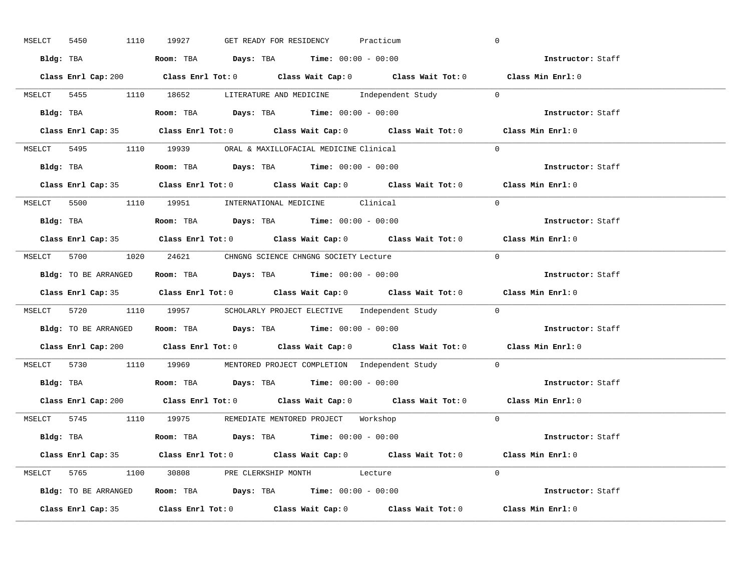| MSELCT 5450 | 1110 19927<br>GET READY FOR RESIDENCY<br>Practicum                                            | $\overline{0}$                      |
|-------------|-----------------------------------------------------------------------------------------------|-------------------------------------|
|             | Bldg: TBA                   Room: TBA         Days: TBA         Time: 00:00 - 00:00           | <b>Example 21 Instructor:</b> Staff |
|             | Class Enrl Cap: 200 Class Enrl Tot: 0 Class Wait Cap: 0 Class Wait Tot: 0 Class Min Enrl: 0   |                                     |
|             | MSELCT 5455 1110 18652 LITERATURE AND MEDICINE Independent Study 0                            |                                     |
|             | Bldg: TBA                         Room: TBA          Days: TBA          Time: $00:00 - 00:00$ | Instructor: Staff                   |
|             | Class Enrl Cap: 35 Class Enrl Tot: 0 Class Wait Cap: 0 Class Wait Tot: 0 Class Min Enrl: 0    |                                     |
|             | MSELCT 5495 1110 19939 ORAL & MAXILLOFACIAL MEDICINE Clinical                                 | $\Omega$                            |
|             | Bldg: TBA                    Room: TBA         Days: TBA        Time: $00:00 - 00:00$         | Instructor: Staff                   |
|             | Class Enrl Cap: 35 Class Enrl Tot: 0 Class Wait Cap: 0 Class Wait Tot: 0 Class Min Enrl: 0    |                                     |
|             | MSELCT 5500 1110 19951 INTERNATIONAL MEDICINE Clinical                                        | $\Omega$                            |
|             | Bldg: TBA                    Room: TBA         Days: TBA         Time: $00:00 - 00:00$        | Instructor: Staff                   |
|             | Class Enrl Cap: 35 Class Enrl Tot: 0 Class Wait Cap: 0 Class Wait Tot: 0 Class Min Enrl: 0    |                                     |
|             | MSELCT 5700 1020 24621 CHNGNG SCIENCE CHNGNG SOCIETY Lecture                                  | $\bigcirc$                          |
|             | Bldg: TO BE ARRANGED Room: TBA Days: TBA Time: 00:00 - 00:00                                  | Instructor: Staff                   |
|             |                                                                                               |                                     |
|             | Class Enrl Cap: 35 Class Enrl Tot: 0 Class Wait Cap: 0 Class Wait Tot: 0 Class Min Enrl: 0    |                                     |
|             | MSELCT 5720 1110 19957 SCHOLARLY PROJECT ELECTIVE Independent Study 0                         |                                     |
|             | Bldg: TO BE ARRANGED ROOM: TBA Days: TBA Time: 00:00 - 00:00                                  | Instructor: Staff                   |
|             | Class Enrl Cap: 200 Class Enrl Tot: 0 Class Wait Cap: 0 Class Wait Tot: 0 Class Min Enrl: 0   |                                     |
|             | MSELCT 5730 1110 19969 MENTORED PROJECT COMPLETION Independent Study                          | $\overline{0}$                      |
|             | <b>Bldg:</b> TBA <b>Room:</b> TBA <b>Days:</b> TBA <b>Time:</b> 00:00 - 00:00                 | Instructor: Staff                   |
|             | Class Enrl Cap: 200 Class Enrl Tot: 0 Class Wait Cap: 0 Class Wait Tot: 0 Class Min Enrl: 0   |                                     |
|             | MSELCT 5745 1110 19975 REMEDIATE MENTORED PROJECT Workshop                                    | $\sim$ 0                            |
|             | Bldg: TBA                   Room: TBA        Days: TBA        Time: 00:00 - 00:00             | Instructor: Staff                   |
|             | Class Enrl Cap: 35 Class Enrl Tot: 0 Class Wait Cap: 0 Class Wait Tot: 0 Class Min Enrl: 0    |                                     |
|             | MSELCT 5765 1100 30808 PRE CLERKSHIP MONTH Lecture                                            | $\Omega$                            |
|             | Bldg: TO BE ARRANGED Room: TBA Days: TBA Time: 00:00 - 00:00                                  | Instructor: Staff                   |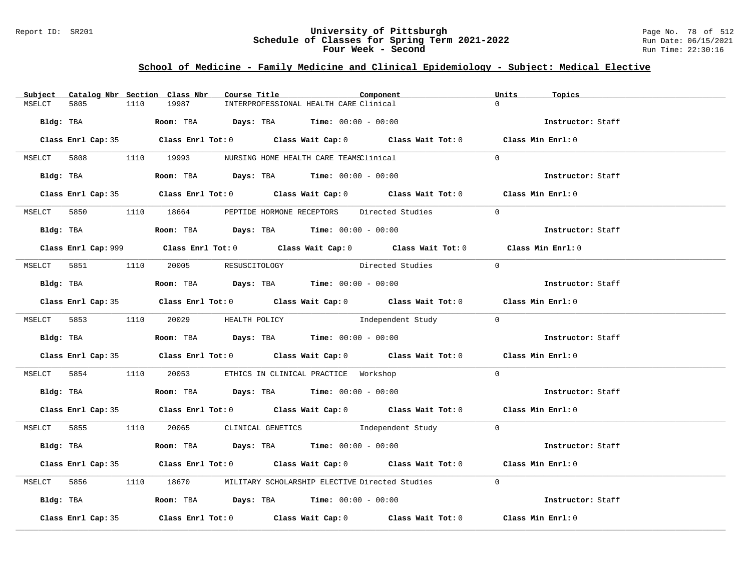### Report ID: SR201 **University of Pittsburgh** Page No. 78 of 512 **Schedule of Classes for Spring Term 2021-2022** Run Date: 06/15/2021 **Four Week - Second Run Time: 22:30:16**

# **School of Medicine - Family Medicine and Clinical Epidemiology - Subject: Medical Elective**

| Subject Catalog Nbr Section Class Nbr | Course Title                                                                            | Component                                                                                  | Units<br>Topics   |
|---------------------------------------|-----------------------------------------------------------------------------------------|--------------------------------------------------------------------------------------------|-------------------|
| 5805<br>1110<br>MSELCT                | 19987                                                                                   | INTERPROFESSIONAL HEALTH CARE Clinical                                                     | $\Omega$          |
|                                       | Bldg: TBA                       Room: TBA         Days: TBA         Time: 00:00 - 00:00 |                                                                                            | Instructor: Staff |
|                                       |                                                                                         | Class Enrl Cap: 35 Class Enrl Tot: 0 Class Wait Cap: 0 Class Wait Tot: 0 Class Min Enrl: 0 |                   |
|                                       | MSELCT 5808 1110 19993 NURSING HOME HEALTH CARE TEAMSClinical                           |                                                                                            | $\Omega$          |
|                                       | Bldg: TBA                    Room: TBA         Days: TBA         Time: 00:00 - 00:00    |                                                                                            | Instructor: Staff |
|                                       |                                                                                         | Class Enrl Cap: 35 Class Enrl Tot: 0 Class Wait Cap: 0 Class Wait Tot: 0 Class Min Enrl: 0 |                   |
|                                       | MSELCT 5850 1110 18664 PEPTIDE HORMONE RECEPTORS Directed Studies                       |                                                                                            | $\overline{0}$    |
|                                       | $Bldg:$ TBA $A$ Room: TBA $Days:$ TBA $Time:$ $00:00 - 00:00$                           |                                                                                            | Instructor: Staff |
|                                       |                                                                                         |                                                                                            | Class Min Enrl: 0 |
|                                       |                                                                                         | MSELCT 5851 1110 20005 RESUSCITOLOGY Directed Studies 0                                    |                   |
|                                       | Bldg: TBA                   Room: TBA        Days: TBA        Time: 00:00 - 00:00       |                                                                                            | Instructor: Staff |
|                                       |                                                                                         | Class Enrl Cap: 35 Class Enrl Tot: 0 Class Wait Cap: 0 Class Wait Tot: 0 Class Min Enrl: 0 |                   |
|                                       |                                                                                         | MSELCT 5853 1110 20029 HEALTH POLICY 1ndependent Study 0                                   |                   |
|                                       |                                                                                         |                                                                                            | Instructor: Staff |
|                                       |                                                                                         | Class Enrl Cap: 35 Class Enrl Tot: 0 Class Wait Cap: 0 Class Wait Tot: 0 Class Min Enrl: 0 |                   |
|                                       | MSELCT 5854 1110 20053 ETHICS IN CLINICAL PRACTICE Workshop                             |                                                                                            | $\overline{0}$    |
|                                       | Bldg: TBA                   Room: TBA         Days: TBA        Time: $00:00 - 00:00$    |                                                                                            | Instructor: Staff |
|                                       |                                                                                         | Class Enrl Cap: 35 Class Enrl Tot: 0 Class Wait Cap: 0 Class Wait Tot: 0 Class Min Enrl: 0 |                   |
|                                       |                                                                                         | MSELCT 5855 1110 20065 CLINICAL GENETICS Independent Study 0                               |                   |
|                                       |                                                                                         |                                                                                            | Instructor: Staff |
|                                       |                                                                                         | Class Enrl Cap: 35 Class Enrl Tot: 0 Class Wait Cap: 0 Class Wait Tot: 0 Class Min Enrl: 0 |                   |
|                                       |                                                                                         | MSELCT 5856 1110 18670 MILITARY SCHOLARSHIP ELECTIVE Directed Studies                      | $\Omega$          |
|                                       | Bldg: TBA                    Room: TBA          Days: TBA         Time: $00:00 - 00:00$ |                                                                                            | Instructor: Staff |
| Class Enrl Cap: 35                    |                                                                                         | Class Enrl Tot: $0$ Class Wait Cap: $0$ Class Wait Tot: $0$ Class Min Enrl: $0$            |                   |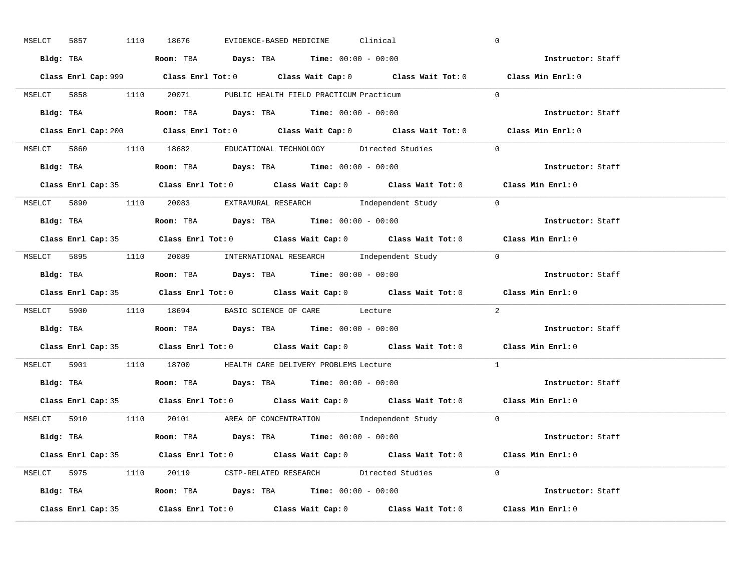| MSELCT 5857 |                    | 1110 18676                                                                                    | EVIDENCE-BASED MEDICINE | Clinical |                                                                                             | $\overline{0}$ |                                    |  |
|-------------|--------------------|-----------------------------------------------------------------------------------------------|-------------------------|----------|---------------------------------------------------------------------------------------------|----------------|------------------------------------|--|
|             |                    | Bldg: TBA                   Room: TBA         Days: TBA         Time: $00:00 - 00:00$         |                         |          |                                                                                             |                | <b>Example 2</b> Instructor: Staff |  |
|             |                    |                                                                                               |                         |          | Class Enrl Cap: 999 Class Enrl Tot: 0 Class Wait Cap: 0 Class Wait Tot: 0 Class Min Enrl: 0 |                |                                    |  |
|             |                    | MSELCT 5858 1110 20071 PUBLIC HEALTH FIELD PRACTICUM Practicum                                |                         |          |                                                                                             | $\Omega$       |                                    |  |
|             |                    | Bldg: TBA                        Room: TBA           Days: TBA          Time: 00:00 - 00:00   |                         |          |                                                                                             |                | Instructor: Staff                  |  |
|             |                    |                                                                                               |                         |          | Class Enrl Cap: 200 Class Enrl Tot: 0 Class Wait Cap: 0 Class Wait Tot: 0 Class Min Enrl: 0 |                |                                    |  |
|             |                    |                                                                                               |                         |          | MSELCT 5860 1110 18682 EDUCATIONAL TECHNOLOGY Directed Studies 0                            |                |                                    |  |
|             |                    | <b>Bldg:</b> TBA <b>Room:</b> TBA <b>Days:</b> TBA <b>Time:</b> 00:00 - 00:00                 |                         |          |                                                                                             |                | Instructor: Staff                  |  |
|             |                    |                                                                                               |                         |          | Class Enrl Cap: 35 Class Enrl Tot: 0 Class Wait Cap: 0 Class Wait Tot: 0 Class Min Enrl: 0  |                |                                    |  |
|             |                    |                                                                                               |                         |          | MSELCT 5890 1110 20083 EXTRAMURAL RESEARCH Independent Study 0                              |                |                                    |  |
|             |                    | Bldg: TBA                    Room: TBA        Days: TBA        Time: $00:00 - 00:00$          |                         |          |                                                                                             |                | Instructor: Staff                  |  |
|             |                    |                                                                                               |                         |          | Class Enrl Cap: 35 Class Enrl Tot: 0 Class Wait Cap: 0 Class Wait Tot: 0 Class Min Enrl: 0  |                |                                    |  |
|             |                    |                                                                                               |                         |          | MSELCT 5895 1110 20089 INTERNATIONAL RESEARCH Independent Study 0                           |                |                                    |  |
|             |                    | Bldg: TBA                    Room: TBA        Days: TBA        Time: $00:00 - 00:00$          |                         |          |                                                                                             |                | Instructor: Staff                  |  |
|             |                    |                                                                                               |                         |          | Class Enrl Cap: 35 Class Enrl Tot: 0 Class Wait Cap: 0 Class Wait Tot: 0 Class Min Enrl: 0  |                |                                    |  |
|             |                    | MSELCT 5900 1110 18694 BASIC SCIENCE OF CARE Lecture                                          |                         |          |                                                                                             | 2              |                                    |  |
| Bldg: TBA   |                    | Room: TBA $\rule{1em}{0.15mm}$ Days: TBA Time: $00:00 - 00:00$                                |                         |          |                                                                                             |                | Instructor: Staff                  |  |
|             |                    |                                                                                               |                         |          | Class Enrl Cap: 35 Class Enrl Tot: 0 Class Wait Cap: 0 Class Wait Tot: 0 Class Min Enrl: 0  |                |                                    |  |
|             |                    | MSELCT 5901 1110 18700 HEALTH CARE DELIVERY PROBLEMS Lecture                                  |                         |          |                                                                                             | $\mathbf{1}$   |                                    |  |
|             |                    | Bldg: TBA                   Room: TBA         Days: TBA         Time: $00:00 - 00:00$         |                         |          |                                                                                             |                | Instructor: Staff                  |  |
|             |                    |                                                                                               |                         |          | Class Enrl Cap: 35 Class Enrl Tot: 0 Class Wait Cap: 0 Class Wait Tot: 0 Class Min Enrl: 0  |                |                                    |  |
|             |                    |                                                                                               |                         |          | MSELCT 5910 1110 20101 AREA OF CONCENTRATION Independent Study 0                            |                |                                    |  |
|             |                    | Bldg: TBA                  Room: TBA         Days: TBA         Time: $00:00 - 00:00$          |                         |          |                                                                                             |                | Instructor: Staff                  |  |
|             |                    |                                                                                               |                         |          | Class Enrl Cap: 35 Class Enrl Tot: 0 Class Wait Cap: 0 Class Wait Tot: 0 Class Min Enrl: 0  |                |                                    |  |
|             |                    |                                                                                               |                         |          | MSELCT 5975 1110 20119 CSTP-RELATED RESEARCH Directed Studies 0                             |                |                                    |  |
|             |                    | Bldg: TBA                         Room: TBA          Days: TBA          Time: $00:00 - 00:00$ |                         |          |                                                                                             |                | Instructor: Staff                  |  |
|             | Class Enrl Cap: 35 |                                                                                               |                         |          | Class Enrl Tot: $0$ Class Wait Cap: $0$ Class Wait Tot: $0$ Class Min Enrl: $0$             |                |                                    |  |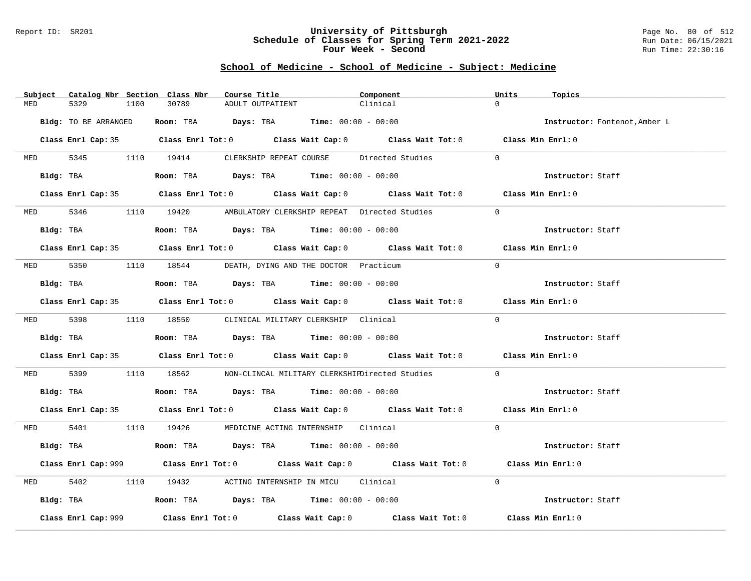### Report ID: SR201 **University of Pittsburgh** Page No. 80 of 512 **Schedule of Classes for Spring Term 2021-2022** Run Date: 06/15/2021 **Four Week - Second Run Time: 22:30:16**

|            | Subject Catalog Nbr Section Class Nbr | Course Title                                                                           | Component                                                                                   | Units<br>Topics               |
|------------|---------------------------------------|----------------------------------------------------------------------------------------|---------------------------------------------------------------------------------------------|-------------------------------|
| MED        | 5329<br>1100                          | 30789<br>ADULT OUTPATIENT                                                              | Clinical                                                                                    | $\Omega$                      |
|            | Bldg: TO BE ARRANGED                  | Room: TBA $Days:$ TBA $Time: 00:00 - 00:00$                                            |                                                                                             | Instructor: Fontenot, Amber L |
|            |                                       |                                                                                        | Class Enrl Cap: 35 Class Enrl Tot: 0 Class Wait Cap: 0 Class Wait Tot: 0 Class Min Enrl: 0  |                               |
|            |                                       |                                                                                        | MED 5345 1110 19414 CLERKSHIP REPEAT COURSE Directed Studies                                | $\Omega$                      |
|            |                                       | Bldg: TBA                    Room: TBA         Days: TBA         Time: 00:00 - 00:00   |                                                                                             | Instructor: Staff             |
|            |                                       |                                                                                        | Class Enrl Cap: 35 Class Enrl Tot: 0 Class Wait Cap: 0 Class Wait Tot: 0 Class Min Enrl: 0  |                               |
|            |                                       | MED 5346 1110 19420 AMBULATORY CLERKSHIP REPEAT Directed Studies                       |                                                                                             | $\Omega$                      |
|            |                                       | $Bldg:$ TBA $\qquad \qquad$ Room: TBA Days: TBA  Time: $00:00 - 00:00$                 |                                                                                             | Instructor: Staff             |
|            |                                       |                                                                                        | Class Enrl Cap: 35 Class Enrl Tot: 0 Class Wait Cap: 0 Class Wait Tot: 0 Class Min Enrl: 0  |                               |
|            |                                       | MED 5350 1110 18544 DEATH, DYING AND THE DOCTOR Practicum                              |                                                                                             | $\Omega$                      |
|            | Bldg: TBA                             | Room: TBA $Days:$ TBA $Time: 00:00 - 00:00$                                            |                                                                                             | Instructor: Staff             |
|            |                                       |                                                                                        | Class Enrl Cap: 35 Class Enrl Tot: 0 Class Wait Cap: 0 Class Wait Tot: 0 Class Min Enrl: 0  |                               |
|            |                                       | MED 5398 1110 18550 CLINICAL MILITARY CLERKSHIP Clinical                               |                                                                                             | $\Omega$                      |
|            |                                       | Bldg: TBA                    Room: TBA         Days: TBA         Time: $00:00 - 00:00$ |                                                                                             | Instructor: Staff             |
|            |                                       |                                                                                        | Class Enrl Cap: 35 Class Enrl Tot: 0 Class Wait Cap: 0 Class Wait Tot: 0 Class Min Enrl: 0  |                               |
| MED 5399   |                                       |                                                                                        | 1110 18562 NON-CLINCAL MILITARY CLERKSHIPDirected Studies                                   | $\Omega$                      |
|            |                                       | Bldg: TBA                   Room: TBA        Days: TBA        Time: $00:00 - 00:00$    |                                                                                             | Instructor: Staff             |
|            |                                       |                                                                                        | Class Enrl Cap: 35 Class Enrl Tot: 0 Class Wait Cap: 0 Class Wait Tot: 0 Class Min Enrl: 0  |                               |
|            |                                       | MED 5401 1110 19426 MEDICINE ACTING INTERNSHIP Clinical                                |                                                                                             | $\Omega$                      |
|            |                                       | Bldg: TBA                    Room: TBA         Days: TBA         Time: 00:00 - 00:00   |                                                                                             | Instructor: Staff             |
|            |                                       |                                                                                        | Class Enrl Cap: 999 Class Enrl Tot: 0 Class Wait Cap: 0 Class Wait Tot: 0 Class Min Enrl: 0 |                               |
| <b>MED</b> | 5402                                  | 1110 19432 ACTING INTERNSHIP IN MICU Clinical                                          |                                                                                             | $\Omega$                      |
|            |                                       | Bldg: TBA                   Room: TBA         Days: TBA         Time: $00:00 - 00:00$  |                                                                                             | Instructor: Staff             |
|            | Class Enrl Cap: 999                   |                                                                                        | Class Enrl Tot: $0$ Class Wait Cap: $0$ Class Wait Tot: $0$ Class Min Enrl: $0$             |                               |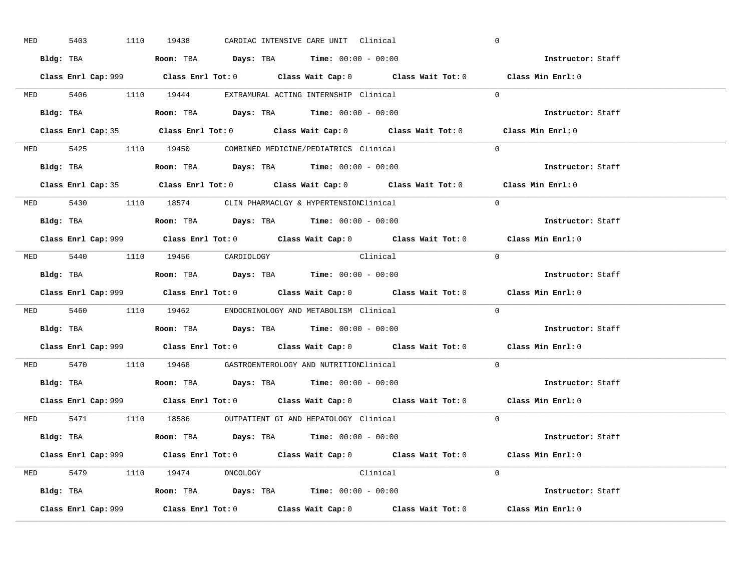| <b>MED</b> | 5403 | 1110 19438                     |  | CARDIAC INTENSIVE CARE UNIT Clinical                                                   |                                                                           | $\mathbf 0$ |                                                                                             |  |
|------------|------|--------------------------------|--|----------------------------------------------------------------------------------------|---------------------------------------------------------------------------|-------------|---------------------------------------------------------------------------------------------|--|
|            |      |                                |  | Bldg: TBA                      Room: TBA         Days: TBA         Time: 00:00 - 00:00 |                                                                           |             | Instructor: Staff                                                                           |  |
|            |      |                                |  |                                                                                        | Class Enrl Cap: 999 Class Enrl Tot: 0 Class Wait Cap: 0 Class Wait Tot: 0 |             | Class Min Enrl: 0                                                                           |  |
|            |      |                                |  | MED 5406 1110 19444 EXTRAMURAL ACTING INTERNSHIP Clinical                              |                                                                           | $\Omega$    |                                                                                             |  |
|            |      |                                |  | Bldg: TBA                   Room: TBA         Days: TBA         Time: 00:00 - 00:00    |                                                                           |             | Instructor: Staff                                                                           |  |
|            |      |                                |  |                                                                                        |                                                                           |             | Class Enrl Cap: 35 Class Enrl Tot: 0 Class Wait Cap: 0 Class Wait Tot: 0 Class Min Enrl: 0  |  |
|            |      |                                |  | MED 5425 1110 19450 COMBINED MEDICINE/PEDIATRICS Clinical                              |                                                                           | $\Omega$    |                                                                                             |  |
|            |      |                                |  | Bldg: TBA                    Room: TBA         Days: TBA         Time: 00:00 - 00:00   |                                                                           |             | Instructor: Staff                                                                           |  |
|            |      |                                |  |                                                                                        |                                                                           |             | Class Enrl Cap: 35 Class Enrl Tot: 0 Class Wait Cap: 0 Class Wait Tot: 0 Class Min Enrl: 0  |  |
|            |      |                                |  | MED 5430 1110 18574 CLIN PHARMACLGY & HYPERTENSIONClinical                             |                                                                           | $\Omega$    |                                                                                             |  |
|            |      |                                |  | Bldg: TBA                   Room: TBA         Days: TBA         Time: $00:00 - 00:00$  |                                                                           |             | Instructor: Staff                                                                           |  |
|            |      |                                |  |                                                                                        |                                                                           |             | Class Enrl Cap: 999 Class Enrl Tot: 0 Class Wait Cap: 0 Class Wait Tot: 0 Class Min Enrl: 0 |  |
|            |      | MED 5440 1110 19456 CARDIOLOGY |  | Clinical                                                                               |                                                                           | $\bigcap$   |                                                                                             |  |
|            |      |                                |  | Bldg: TBA                   Room: TBA         Days: TBA         Time: $00:00 - 00:00$  |                                                                           |             | Instructor: Staff                                                                           |  |
|            |      |                                |  |                                                                                        | Class Enrl Cap: 999 Class Enrl Tot: 0 Class Wait Cap: 0 Class Wait Tot: 0 |             | Class Min Enrl: 0                                                                           |  |
|            |      |                                |  | MED 5460 1110 19462 ENDOCRINOLOGY AND METABOLISM Clinical                              |                                                                           | $\Omega$    |                                                                                             |  |
|            |      |                                |  | Bldg: TBA                   Room: TBA         Days: TBA        Time: 00:00 - 00:00     |                                                                           |             | Instructor: Staff                                                                           |  |
|            |      |                                |  |                                                                                        |                                                                           |             | Class Enrl Cap: 999 Class Enrl Tot: 0 Class Wait Cap: 0 Class Wait Tot: 0 Class Min Enrl: 0 |  |
|            |      |                                |  | MED 5470 1110 19468 GASTROENTEROLOGY AND NUTRITIONClinical                             |                                                                           | $\Omega$    |                                                                                             |  |
|            |      |                                |  | Bldg: TBA                   Room: TBA         Days: TBA         Time: $00:00 - 00:00$  |                                                                           |             | Instructor: Staff                                                                           |  |
|            |      |                                |  |                                                                                        |                                                                           |             | Class Enrl Cap: 999 Class Enrl Tot: 0 Class Wait Cap: 0 Class Wait Tot: 0 Class Min Enrl: 0 |  |
|            |      |                                |  | MED 5471 1110 18586 OUTPATIENT GI AND HEPATOLOGY Clinical                              |                                                                           | $\Omega$    |                                                                                             |  |
|            |      |                                |  | Bldg: TBA                   Room: TBA        Days: TBA        Time: 00:00 - 00:00      |                                                                           |             | Instructor: Staff                                                                           |  |
|            |      |                                |  |                                                                                        | Class Enrl Cap: 999 Class Enrl Tot: 0 Class Wait Cap: 0 Class Wait Tot: 0 |             | Class Min Enrl: 0                                                                           |  |
|            |      | MED 5479 1110 19474 ONCOLOGY   |  | Clinical                                                                               |                                                                           | $\Omega$    |                                                                                             |  |
|            |      |                                |  | <b>Bldg:</b> TBA <b>ROOM:</b> TBA <b>Days:</b> TBA <b>Time:</b> $00:00 - 00:00$        |                                                                           |             | Instructor: Staff                                                                           |  |
|            |      |                                |  |                                                                                        | Class Enrl Cap: 999 Class Enrl Tot: 0 Class Wait Cap: 0 Class Wait Tot: 0 |             | Class Min Enrl: 0                                                                           |  |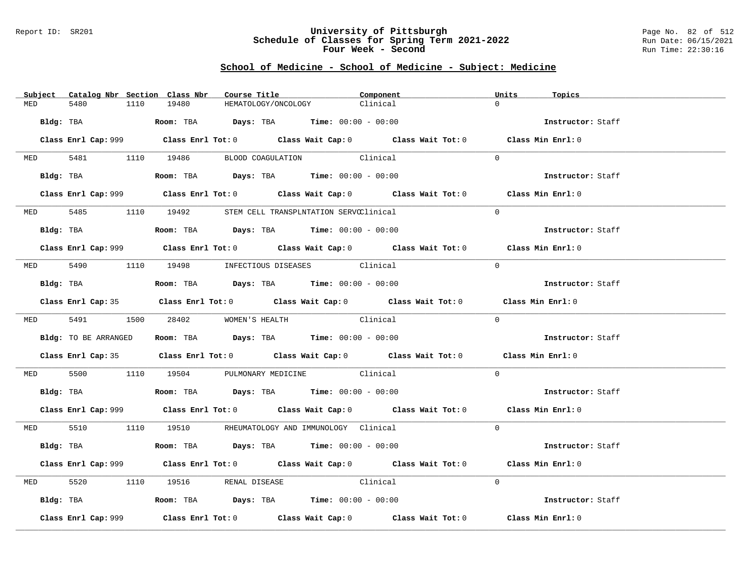### Report ID: SR201 **University of Pittsburgh** Page No. 82 of 512 **Schedule of Classes for Spring Term 2021-2022** Run Date: 06/15/2021 **Four Week - Second Run Time: 22:30:16**

|          | Subject Catalog Nbr Section Class Nbr | Course Title                                                                           | Component                                                                                   | Units<br>Topics   |
|----------|---------------------------------------|----------------------------------------------------------------------------------------|---------------------------------------------------------------------------------------------|-------------------|
| MED      | 5480<br>1110                          | 19480<br>HEMATOLOGY/ONCOLOGY                                                           | Clinical                                                                                    | $\cap$            |
|          |                                       | $Bldg:$ TBA $Room:$ TBA $Days:$ TBA $Time:$ 00:00 - 00:00                              |                                                                                             | Instructor: Staff |
|          |                                       |                                                                                        | Class Enrl Cap: 999 Class Enrl Tot: 0 Class Wait Cap: 0 Class Wait Tot: 0 Class Min Enrl: 0 |                   |
|          |                                       | MED 5481 1110 19486 BLOOD COAGULATION Clinical                                         |                                                                                             | $\Omega$          |
|          |                                       | Bldg: TBA                   Room: TBA         Days: TBA         Time: 00:00 - 00:00    |                                                                                             | Instructor: Staff |
|          |                                       |                                                                                        | Class Enrl Cap: 999 Class Enrl Tot: 0 Class Wait Cap: 0 Class Wait Tot: 0 Class Min Enrl: 0 |                   |
|          |                                       | MED 5485 1110 19492 STEM CELL TRANSPLNTATION SERVCClinical                             |                                                                                             | $\Omega$          |
|          |                                       | Bldg: TBA                    Room: TBA         Days: TBA         Time: $00:00 - 00:00$ |                                                                                             | Instructor: Staff |
|          |                                       |                                                                                        | Class Enrl Cap: 999 Class Enrl Tot: 0 Class Wait Cap: 0 Class Wait Tot: 0 Class Min Enrl: 0 |                   |
|          |                                       | MED 5490 1110 19498 INFECTIOUS DISEASES Clinical                                       |                                                                                             | $\Omega$          |
|          |                                       | Bldg: TBA<br>Room: TBA<br>Days: TBA<br>Time: $00:00 - 00:00$                           |                                                                                             | Instructor: Staff |
|          |                                       |                                                                                        | Class Enrl Cap: 35 Class Enrl Tot: 0 Class Wait Cap: 0 Class Wait Tot: 0 Class Min Enrl: 0  |                   |
|          |                                       | MED 5491 1500 28402 WOMEN'S HEALTH                                                     | Clinical                                                                                    | $\Omega$          |
|          | Bldg: TO BE ARRANGED                  | Room: TBA $Days:$ TBA Time: $00:00 - 00:00$                                            |                                                                                             | Instructor: Staff |
|          |                                       |                                                                                        | Class Enrl Cap: 35 Class Enrl Tot: 0 Class Wait Cap: 0 Class Wait Tot: 0 Class Min Enrl: 0  |                   |
|          |                                       | MED 5500 1110 19504 PULMONARY MEDICINE Clinical                                        |                                                                                             | $\Omega$          |
|          |                                       | Bldg: TBA                    Room: TBA         Days: TBA         Time: $00:00 - 00:00$ |                                                                                             | Instructor: Staff |
|          |                                       |                                                                                        | Class Enrl Cap: 999 Class Enrl Tot: 0 Class Wait Cap: 0 Class Wait Tot: 0 Class Min Enrl: 0 |                   |
|          |                                       | MED 5510 1110 19510 RHEUMATOLOGY AND IMMUNOLOGY Clinical                               |                                                                                             | $\Omega$          |
|          |                                       | Bldg: TBA                   Room: TBA         Days: TBA         Time: $00:00 - 00:00$  |                                                                                             | Instructor: Staff |
|          |                                       |                                                                                        | Class Enrl Cap: 999 Class Enrl Tot: 0 Class Wait Cap: 0 Class Wait Tot: 0 Class Min Enrl: 0 |                   |
| MED 5520 |                                       | 1110 19516 RENAL DISEASE Clinical                                                      |                                                                                             | $\Omega$          |
|          |                                       | Bldg: TBA                     Room: TBA          Days: TBA         Time: 00:00 - 00:00 |                                                                                             | Instructor: Staff |
|          | Class Enrl Cap: 999                   |                                                                                        | Class Enrl Tot: $0$ Class Wait Cap: $0$ Class Wait Tot: $0$                                 | Class Min Enrl: 0 |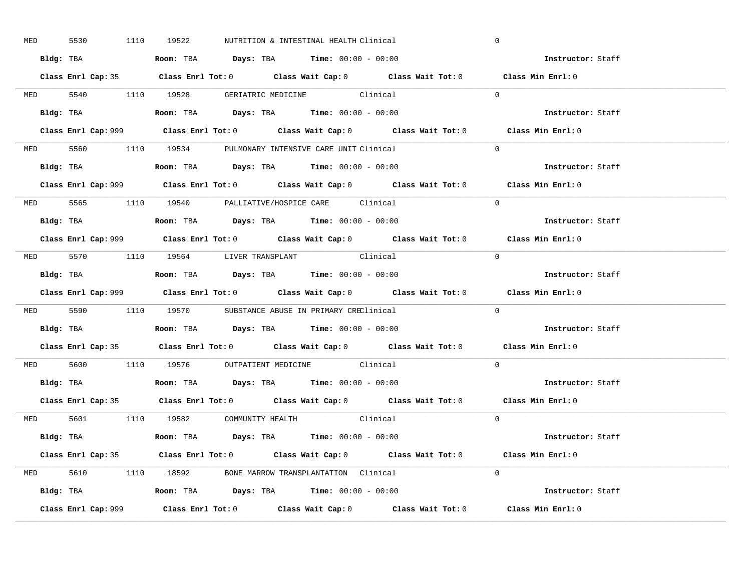| MED 5530 |  | 1110 19522 | NUTRITION & INTESTINAL HEALTH Clinical                                                      |                                                                                            | $\mathbf 0$                                                                                 |  |
|----------|--|------------|---------------------------------------------------------------------------------------------|--------------------------------------------------------------------------------------------|---------------------------------------------------------------------------------------------|--|
|          |  |            | Bldg: TBA                      Room: TBA         Days: TBA         Time: 00:00 - 00:00      |                                                                                            | Instructor: Staff                                                                           |  |
|          |  |            |                                                                                             | Class Enrl Cap: 35 Class Enrl Tot: 0 Class Wait Cap: 0 Class Wait Tot: 0 Class Min Enrl: 0 |                                                                                             |  |
|          |  |            | MED 5540 1110 19528 GERIATRIC MEDICINE Clinical                                             |                                                                                            | $\Omega$                                                                                    |  |
|          |  |            |                                                                                             |                                                                                            | Instructor: Staff                                                                           |  |
|          |  |            |                                                                                             |                                                                                            | Class Min Enrl: 0                                                                           |  |
|          |  |            | MED 5560 1110 19534 PULMONARY INTENSIVE CARE UNIT Clinical                                  |                                                                                            | $\Omega$                                                                                    |  |
|          |  |            | Bldg: TBA                   Room: TBA         Days: TBA         Time: 00:00 - 00:00         |                                                                                            | Instructor: Staff                                                                           |  |
|          |  |            |                                                                                             |                                                                                            | Class Enrl Cap: 999 Class Enrl Tot: 0 Class Wait Cap: 0 Class Wait Tot: 0 Class Min Enrl: 0 |  |
|          |  |            | MED 5565 1110 19540 PALLIATIVE/HOSPICE CARE Clinical                                        |                                                                                            | $\Omega$                                                                                    |  |
|          |  |            | Bldg: TBA                   Room: TBA         Days: TBA         Time: $00:00 - 00:00$       |                                                                                            | Instructor: Staff                                                                           |  |
|          |  |            |                                                                                             |                                                                                            | Class Enrl Cap: 999 Class Enrl Tot: 0 Class Wait Cap: 0 Class Wait Tot: 0 Class Min Enrl: 0 |  |
|          |  |            | MED 5570 1110 19564 LIVER TRANSPLANT Clinical                                               |                                                                                            | $\bigcap$                                                                                   |  |
|          |  |            | Bldg: TBA                   Room: TBA         Days: TBA         Time: $00:00 - 00:00$       |                                                                                            | Instructor: Staff                                                                           |  |
|          |  |            |                                                                                             |                                                                                            | Class Enrl Cap: 999 Class Enrl Tot: 0 Class Wait Cap: 0 Class Wait Tot: 0 Class Min Enrl: 0 |  |
|          |  |            | MED 5590 1110 19570 SUBSTANCE ABUSE IN PRIMARY CREClinical                                  |                                                                                            | $\Omega$                                                                                    |  |
|          |  |            | Bldg: TBA                    Room: TBA         Days: TBA         Time: 00:00 - 00:00        |                                                                                            | Instructor: Staff                                                                           |  |
|          |  |            |                                                                                             |                                                                                            | Class Enrl Cap: 35 Class Enrl Tot: 0 Class Wait Cap: 0 Class Wait Tot: 0 Class Min Enrl: 0  |  |
|          |  |            | MED 5600 1110 19576 OUTPATIENT MEDICINE Clinical                                            |                                                                                            | $\Omega$                                                                                    |  |
|          |  |            | Bldg: TBA                   Room: TBA         Days: TBA         Time: $00:00 - 00:00$       |                                                                                            | Instructor: Staff                                                                           |  |
|          |  |            |                                                                                             | Class Enrl Cap: 35 Class Enrl Tot: 0 Class Wait Cap: 0 Class Wait Tot: 0 Class Min Enrl: 0 |                                                                                             |  |
|          |  |            | MED 5601 1110 19582 COMMUNITY HEALTH Clinical                                               |                                                                                            | $\overline{0}$                                                                              |  |
|          |  |            | Bldg: TBA                        Room: TBA           Days: TBA          Time: 00:00 - 00:00 |                                                                                            | Instructor: Staff                                                                           |  |
|          |  |            |                                                                                             | Class Enrl Cap: 35 Class Enrl Tot: 0 Class Wait Cap: 0 Class Wait Tot: 0 Class Min Enrl: 0 |                                                                                             |  |
|          |  |            | MED 5610 1110 18592 BONE MARROW TRANSPLANTATION Clinical                                    |                                                                                            | $\Omega$                                                                                    |  |
|          |  |            | Bldg: TBA                   Room: TBA         Days: TBA        Time: 00:00 - 00:00          |                                                                                            | Instructor: Staff                                                                           |  |
|          |  |            |                                                                                             |                                                                                            | Class Min Enrl: 0                                                                           |  |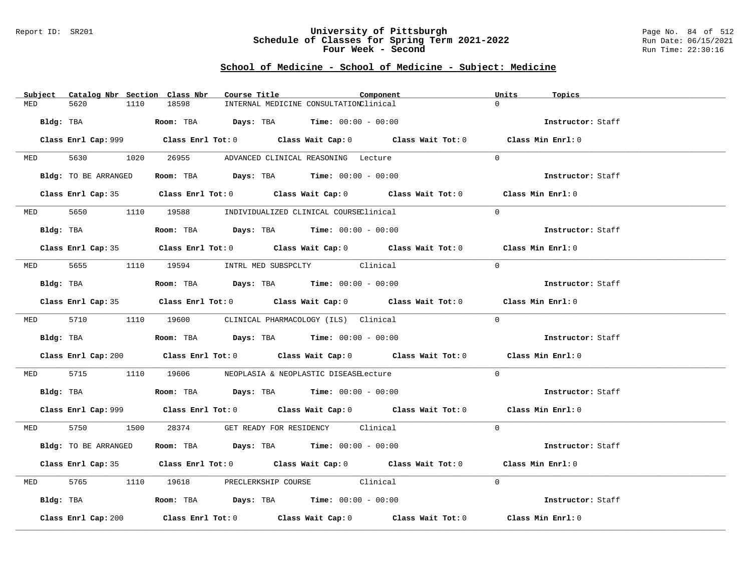### Report ID: SR201 **University of Pittsburgh** Page No. 84 of 512 **Schedule of Classes for Spring Term 2021-2022** Run Date: 06/15/2021 **Four Week - Second Run Time: 22:30:16**

|            | Subject Catalog Nbr Section Class Nbr | Course Title                                                                           | Component                                                                                   | Units<br>Topics   |  |
|------------|---------------------------------------|----------------------------------------------------------------------------------------|---------------------------------------------------------------------------------------------|-------------------|--|
| MED        | 1110<br>5620                          | 18598                                                                                  | INTERNAL MEDICINE CONSULTATIONClinical                                                      | $\cap$            |  |
| Bldg: TBA  |                                       | <b>Room:</b> TBA $Days: TBA$ <b>Time:</b> $00:00 - 00:00$                              |                                                                                             | Instructor: Staff |  |
|            |                                       |                                                                                        | Class Enrl Cap: 999 Class Enrl Tot: 0 Class Wait Cap: 0 Class Wait Tot: 0 Class Min Enrl: 0 |                   |  |
|            |                                       | MED 5630 1020 26955 ADVANCED CLINICAL REASONING Lecture                                |                                                                                             | $\Omega$          |  |
|            | Bldg: TO BE ARRANGED                  | Room: TBA $Days:$ TBA Time: $00:00 - 00:00$                                            |                                                                                             | Instructor: Staff |  |
|            |                                       |                                                                                        | Class Enrl Cap: 35 Class Enrl Tot: 0 Class Wait Cap: 0 Class Wait Tot: 0 Class Min Enrl: 0  |                   |  |
|            |                                       | MED 5650 1110 19588 INDIVIDUALIZED CLINICAL COURSEClinical                             |                                                                                             | $\Omega$          |  |
|            | Bldg: TBA                             | Room: TBA $\rule{1em}{0.15mm}$ Days: TBA Time: $00:00 - 00:00$                         |                                                                                             | Instructor: Staff |  |
|            |                                       |                                                                                        | Class Enrl Cap: 35 Class Enrl Tot: 0 Class Wait Cap: 0 Class Wait Tot: 0 Class Min Enrl: 0  |                   |  |
|            |                                       | MED 5655 1110 19594 INTRL MED SUBSPCLTY Clinical                                       |                                                                                             | $\Omega$          |  |
|            |                                       | Bldg: TBA                    Room: TBA         Days: TBA         Time: $00:00 - 00:00$ |                                                                                             | Instructor: Staff |  |
|            |                                       |                                                                                        | Class Enrl Cap: 35 Class Enrl Tot: 0 Class Wait Cap: 0 Class Wait Tot: 0 Class Min Enrl: 0  |                   |  |
|            |                                       | MED 5710 1110 19600 CLINICAL PHARMACOLOGY (ILS) Clinical                               |                                                                                             | $\Omega$          |  |
|            |                                       | Bldg: TBA                   Room: TBA         Days: TBA         Time: $00:00 - 00:00$  |                                                                                             | Instructor: Staff |  |
|            |                                       |                                                                                        | Class Enrl Cap: 200 Class Enrl Tot: 0 Class Wait Cap: 0 Class Wait Tot: 0 Class Min Enrl: 0 |                   |  |
|            |                                       | MED 5715 1110 19606 NEOPLASIA & NEOPLASTIC DISEASELecture                              |                                                                                             | $\Omega$          |  |
|            |                                       | Bldg: TBA                    Room: TBA        Days: TBA         Time: $00:00 - 00:00$  |                                                                                             | Instructor: Staff |  |
|            |                                       |                                                                                        | Class Enrl Cap: 999 Class Enrl Tot: 0 Class Wait Cap: 0 Class Wait Tot: 0 Class Min Enrl: 0 |                   |  |
|            |                                       | MED 5750 1500 28374 GET READY FOR RESIDENCY Clinical                                   |                                                                                             | $\Omega$          |  |
|            | Bldg: TO BE ARRANGED                  | Room: TBA $\rule{1em}{0.15mm}$ Days: TBA Time: $00:00 - 00:00$                         |                                                                                             | Instructor: Staff |  |
|            |                                       |                                                                                        | Class Enrl Cap: 35 Class Enrl Tot: 0 Class Wait Cap: 0 Class Wait Tot: 0 Class Min Enrl: 0  |                   |  |
| <b>MED</b> |                                       | 5765 1110 19618 PRECLERKSHIP COURSE Clinical                                           |                                                                                             | $\Omega$          |  |
|            |                                       | Bldg: TBA                   Room: TBA         Days: TBA         Time: 00:00 - 00:00    |                                                                                             | Instructor: Staff |  |
|            | Class Enrl Cap: 200                   |                                                                                        | Class Enrl Tot: $0$ Class Wait Cap: $0$ Class Wait Tot: $0$ Class Min Enrl: $0$             |                   |  |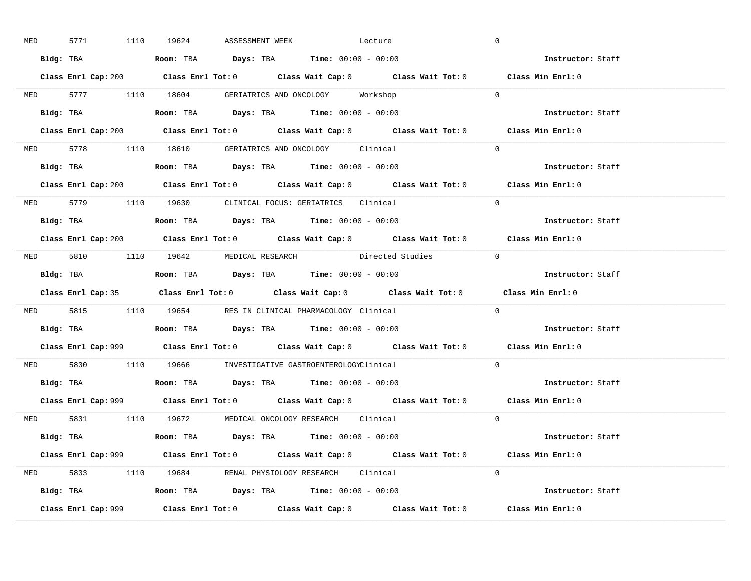| <b>MED</b> |           | 5771 1110 19624 | ASSESSMENT WEEK | Lecture                                                                                                                                                                                                                                                                                                        |                                                                           | $\overline{0}$                                                                              |  |
|------------|-----------|-----------------|-----------------|----------------------------------------------------------------------------------------------------------------------------------------------------------------------------------------------------------------------------------------------------------------------------------------------------------------|---------------------------------------------------------------------------|---------------------------------------------------------------------------------------------|--|
|            |           |                 |                 | <b>Bldg:</b> TBA <b>Room:</b> TBA <b>Days:</b> TBA <b>Time:</b> $00:00 - 00:00$                                                                                                                                                                                                                                |                                                                           | Instructor: Staff                                                                           |  |
|            |           |                 |                 |                                                                                                                                                                                                                                                                                                                |                                                                           | Class Enrl Cap: 200 Class Enrl Tot: 0 Class Wait Cap: 0 Class Wait Tot: 0 Class Min Enrl: 0 |  |
|            |           |                 |                 | MED 5777 1110 18604 GERIATRICS AND ONCOLOGY Workshop                                                                                                                                                                                                                                                           |                                                                           | $\overline{0}$                                                                              |  |
|            | Bldg: TBA |                 |                 | Room: TBA $\rule{1em}{0.15mm}$ Days: TBA $\rule{1.5mm}{0.15mm}$ Time: $00:00 - 00:00$                                                                                                                                                                                                                          |                                                                           | Instructor: Staff                                                                           |  |
|            |           |                 |                 |                                                                                                                                                                                                                                                                                                                | Class Enrl Cap: 200 Class Enrl Tot: 0 Class Wait Cap: 0 Class Wait Tot: 0 | Class Min Enrl: 0                                                                           |  |
|            |           |                 |                 | MED 5778 1110 18610 GERIATRICS AND ONCOLOGY Clinical                                                                                                                                                                                                                                                           |                                                                           | $\Omega$                                                                                    |  |
|            |           |                 |                 |                                                                                                                                                                                                                                                                                                                |                                                                           | Instructor: Staff                                                                           |  |
|            |           |                 |                 |                                                                                                                                                                                                                                                                                                                | Class Enrl Cap: 200 Class Enrl Tot: 0 Class Wait Cap: 0 Class Wait Tot: 0 | Class Min Enrl: 0                                                                           |  |
|            |           |                 |                 | MED 5779 1110 19630 CLINICAL FOCUS: GERIATRICS Clinical                                                                                                                                                                                                                                                        |                                                                           | $\Omega$                                                                                    |  |
|            |           |                 |                 | Bldg: TBA                   Room: TBA         Days: TBA         Time: 00:00 - 00:00                                                                                                                                                                                                                            |                                                                           | Instructor: Staff                                                                           |  |
|            |           |                 |                 |                                                                                                                                                                                                                                                                                                                |                                                                           | Class Enrl Cap: 200 Class Enrl Tot: 0 Class Wait Cap: 0 Class Wait Tot: 0 Class Min Enrl: 0 |  |
|            |           |                 |                 |                                                                                                                                                                                                                                                                                                                | MED 5810 1110 19642 MEDICAL RESEARCH Directed Studies 0                   |                                                                                             |  |
|            |           |                 |                 | Bldg: TBA                        Room: TBA           Days: TBA           Time: 00:00 - 00:00                                                                                                                                                                                                                   |                                                                           | Instructor: Staff                                                                           |  |
|            |           |                 |                 |                                                                                                                                                                                                                                                                                                                |                                                                           |                                                                                             |  |
|            |           |                 |                 |                                                                                                                                                                                                                                                                                                                |                                                                           | Class Enrl Cap: 35 Class Enrl Tot: 0 Class Wait Cap: 0 Class Wait Tot: 0 Class Min Enrl: 0  |  |
|            |           |                 |                 | MED 5815 1110 19654 RES IN CLINICAL PHARMACOLOGY Clinical                                                                                                                                                                                                                                                      |                                                                           | $\Omega$                                                                                    |  |
| Bldg: TBA  |           |                 |                 | <b>Room:</b> TBA $\rule{1em}{0.15mm}$ $\rule{1.5em}{0.15mm}$ $\rule{1.5em}{0.15mm}$ $\rule{1.5em}{0.15mm}$ $\rule{1.5em}{0.15mm}$ $\rule{1.5em}{0.15mm}$ $\rule{1.5em}{0.15mm}$ $\rule{1.5em}{0.15mm}$ $\rule{1.5em}{0.15mm}$ $\rule{1.5em}{0.15mm}$ $\rule{1.5em}{0.15mm}$ $\rule{1.5em}{0.15mm}$ $\rule{1.5$ |                                                                           | Instructor: Staff                                                                           |  |
|            |           |                 |                 |                                                                                                                                                                                                                                                                                                                |                                                                           | Class Enrl Cap: 999 Class Enrl Tot: 0 Class Wait Cap: 0 Class Wait Tot: 0 Class Min Enrl: 0 |  |
|            |           |                 |                 | MED 5830 1110 19666 INVESTIGATIVE GASTROENTEROLOGYClinical                                                                                                                                                                                                                                                     |                                                                           | $\Omega$                                                                                    |  |
|            |           |                 |                 | Bldg: TBA                   Room: TBA         Days: TBA         Time: $00:00 - 00:00$                                                                                                                                                                                                                          |                                                                           | Instructor: Staff                                                                           |  |
|            |           |                 |                 |                                                                                                                                                                                                                                                                                                                |                                                                           | Class Enrl Cap: 999 Class Enrl Tot: 0 Class Wait Cap: 0 Class Wait Tot: 0 Class Min Enrl: 0 |  |
|            |           |                 |                 | MED 5831 1110 19672 MEDICAL ONCOLOGY RESEARCH Clinical                                                                                                                                                                                                                                                         |                                                                           | $\Omega$                                                                                    |  |
|            |           |                 |                 | Bldg: TBA                    Room: TBA         Days: TBA         Time: 00:00 - 00:00                                                                                                                                                                                                                           |                                                                           | <b>Instructor:</b> Staff                                                                    |  |
|            |           |                 |                 |                                                                                                                                                                                                                                                                                                                |                                                                           | Class Enrl Cap: 999 Class Enrl Tot: 0 Class Wait Cap: 0 Class Wait Tot: 0 Class Min Enrl: 0 |  |
|            |           |                 |                 | MED 5833 1110 19684 RENAL PHYSIOLOGY RESEARCH Clinical                                                                                                                                                                                                                                                         |                                                                           | $\Omega$                                                                                    |  |
|            |           |                 |                 | Bldg: TBA                    Room: TBA         Days: TBA        Time: $00:00 - 00:00$                                                                                                                                                                                                                          |                                                                           | Instructor: Staff                                                                           |  |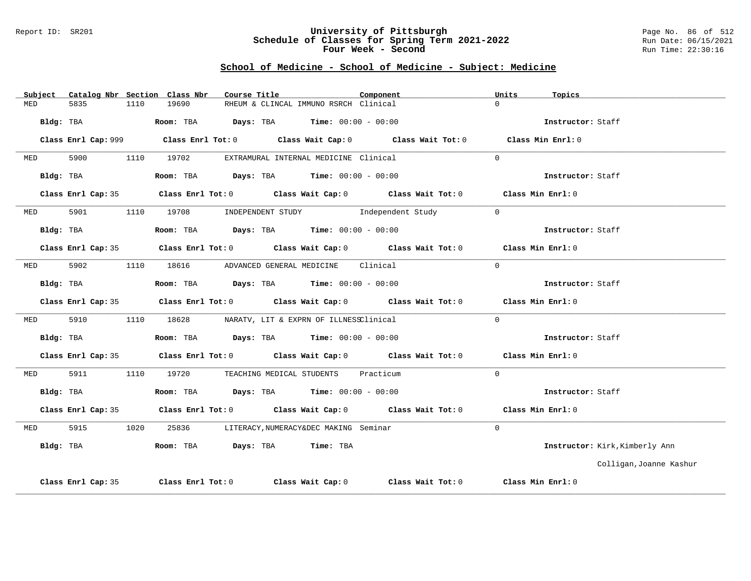#### Report ID: SR201 **University of Pittsburgh** Page No. 86 of 512 **Schedule of Classes for Spring Term 2021-2022** Run Date: 06/15/2021 **Four Week - Second Run Time: 22:30:16**

| Subject            |                    |      | Catalog Nbr Section Class Nbr                                  | Course Title |                                             | Component                                                                                   | Units    | Topics                         |
|--------------------|--------------------|------|----------------------------------------------------------------|--------------|---------------------------------------------|---------------------------------------------------------------------------------------------|----------|--------------------------------|
| 5835<br>MED        |                    | 1110 | 19690                                                          |              | RHEUM & CLINCAL IMMUNO RSRCH Clinical       |                                                                                             | $\cap$   |                                |
|                    | Bldg: TBA          |      | Room: TBA $\rule{1em}{0.15mm}$ Days: TBA Time: $00:00 - 00:00$ |              |                                             |                                                                                             |          | Instructor: Staff              |
|                    |                    |      |                                                                |              |                                             | Class Enrl Cap: 999 Class Enrl Tot: 0 Class Wait Cap: 0 Class Wait Tot: 0 Class Min Enrl: 0 |          |                                |
| 5900<br><b>MED</b> |                    |      | 1110 19702                                                     |              | EXTRAMURAL INTERNAL MEDICINE Clinical       |                                                                                             | $\Omega$ |                                |
|                    | Bldg: TBA          |      | Room: TBA $\rule{1em}{0.15mm}$ Days: TBA Time: $00:00 - 00:00$ |              |                                             |                                                                                             |          | Instructor: Staff              |
|                    |                    |      |                                                                |              |                                             | Class Enrl Cap: 35 Class Enrl Tot: 0 Class Wait Cap: 0 Class Wait Tot: 0 Class Min Enrl: 0  |          |                                |
| 5901<br><b>MED</b> |                    |      |                                                                |              |                                             | 1110 19708 INDEPENDENT STUDY Independent Study                                              | $\Omega$ |                                |
|                    | Bldg: TBA          |      | Room: TBA $Days:$ TBA $Time:$ 00:00 - 00:00                    |              |                                             |                                                                                             |          | Instructor: Staff              |
|                    |                    |      |                                                                |              |                                             | Class Enrl Cap: 35 Class Enrl Tot: 0 Class Wait Cap: 0 Class Wait Tot: 0 Class Min Enrl: 0  |          |                                |
| 5902<br><b>MED</b> |                    |      | 1110 18616 ADVANCED GENERAL MEDICINE Clinical                  |              |                                             |                                                                                             | $\Omega$ |                                |
|                    | Bldg: TBA          |      | Room: TBA $\rule{1em}{0.15mm}$ Days: TBA Time: $00:00 - 00:00$ |              |                                             |                                                                                             |          | Instructor: Staff              |
|                    |                    |      |                                                                |              |                                             | Class Enrl Cap: 35 Class Enrl Tot: 0 Class Wait Cap: 0 Class Wait Tot: 0 Class Min Enrl: 0  |          |                                |
| 5910<br>MED        |                    |      | 1110 18628 NARATV, LIT & EXPRN OF ILLNESSClinical              |              |                                             |                                                                                             | $\Omega$ |                                |
|                    | Bldg: TBA          |      | Room: TBA $Days:$ TBA $Time:$ $00:00 - 00:00$                  |              |                                             |                                                                                             |          | Instructor: Staff              |
|                    |                    |      |                                                                |              |                                             | Class Enrl Cap: 35 Class Enrl Tot: 0 Class Wait Cap: 0 Class Wait Tot: 0 Class Min Enrl: 0  |          |                                |
| 5911<br>MED        |                    |      | 1110 19720 TEACHING MEDICAL STUDENTS Practicum                 |              |                                             |                                                                                             | $\Omega$ |                                |
|                    | Bldg: TBA          |      | Room: TBA $Days:$ TBA $Time: 00:00 - 00:00$                    |              |                                             |                                                                                             |          | Instructor: Staff              |
|                    |                    |      |                                                                |              |                                             | Class Enrl Cap: 35 Class Enrl Tot: 0 Class Wait Cap: 0 Class Wait Tot: 0 Class Min Enrl: 0  |          |                                |
| 5915<br>MED        |                    | 1020 |                                                                |              | 25836 LITERACY, NUMERACY&DEC MAKING Seminar |                                                                                             | $\Omega$ |                                |
| Bldg: TBA          |                    |      | Room: TBA Days: TBA Time: TBA                                  |              |                                             |                                                                                             |          | Instructor: Kirk, Kimberly Ann |
|                    |                    |      |                                                                |              |                                             |                                                                                             |          | Colligan, Joanne Kashur        |
|                    | Class Enrl Cap: 35 |      |                                                                |              |                                             | Class Enrl Tot: $0$ Class Wait Cap: $0$ Class Wait Tot: $0$                                 |          | Class Min Enrl: 0              |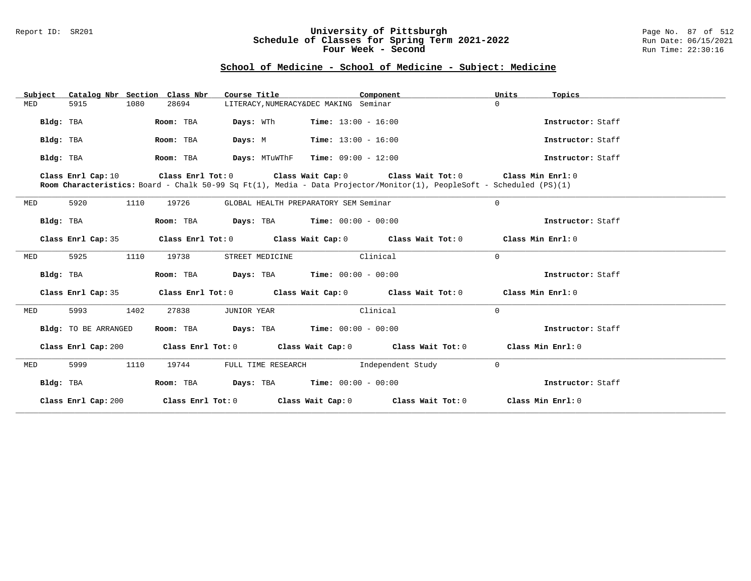### Report ID: SR201 **University of Pittsburgh** Page No. 87 of 512 **Schedule of Classes for Spring Term 2021-2022** Run Date: 06/15/2021 **Four Week - Second Run Time: 22:30:16**

| Subject   |                      | Catalog Nbr Section Class Nbr | Course Title       | Component                                                                                                                                                                                                | Units<br>Topics   |  |
|-----------|----------------------|-------------------------------|--------------------|----------------------------------------------------------------------------------------------------------------------------------------------------------------------------------------------------------|-------------------|--|
| MED       | 5915                 | 1080<br>28694                 |                    | LITERACY, NUMERACY&DEC MAKING Seminar                                                                                                                                                                    | $\Omega$          |  |
| Bldg: TBA |                      | Room: TBA                     | Days: WTh          | <b>Time:</b> $13:00 - 16:00$                                                                                                                                                                             | Instructor: Staff |  |
| Bldg: TBA |                      | Room: TBA                     | Days: M            | <b>Time:</b> $13:00 - 16:00$                                                                                                                                                                             | Instructor: Staff |  |
| Bldg: TBA |                      | Room: TBA                     |                    | $Days:$ MTuWThF Time: $09:00 - 12:00$                                                                                                                                                                    | Instructor: Staff |  |
|           | Class Enrl Cap: 10   |                               |                    | Class Enrl Tot: $0$ Class Wait Cap: $0$ Class Wait Tot: $0$ Class Min Enrl: $0$<br>Room Characteristics: Board - Chalk 50-99 Sq Ft(1), Media - Data Projector/Monitor(1), PeopleSoft - Scheduled (PS)(1) |                   |  |
| MED       | 5920                 | 1110<br>19726                 |                    | GLOBAL HEALTH PREPARATORY SEM Seminar                                                                                                                                                                    | $\overline{0}$    |  |
| Bldg: TBA |                      | Room: TBA                     |                    | <b>Days:</b> TBA <b>Time:</b> $00:00 - 00:00$                                                                                                                                                            | Instructor: Staff |  |
|           | Class Enrl Cap: 35   |                               |                    | Class Enrl Tot: $0$ Class Wait Cap: $0$ Class Wait Tot: $0$ Class Min Enrl: $0$                                                                                                                          |                   |  |
| MED       | 5925                 | 1110<br>19738                 | STREET MEDICINE    | Clinical                                                                                                                                                                                                 | $\Omega$          |  |
| Bldg: TBA |                      | Room: TBA                     |                    | <b>Days:</b> TBA <b>Time:</b> $00:00 - 00:00$                                                                                                                                                            | Instructor: Staff |  |
|           | Class Enrl Cap: 35   |                               |                    | Class Enrl Tot: $0$ Class Wait Cap: $0$ Class Wait Tot: $0$ Class Min Enrl: $0$                                                                                                                          |                   |  |
| MED       | 5993                 | 1402<br>27838                 | JUNIOR YEAR        | Clinical                                                                                                                                                                                                 | $\mathbf 0$       |  |
|           | Bldg: TO BE ARRANGED | Room: TBA                     |                    | <b>Days:</b> TBA <b>Time:</b> $00:00 - 00:00$                                                                                                                                                            | Instructor: Staff |  |
|           | Class Enrl Cap: 200  |                               |                    | Class Enrl Tot: 0 Class Wait Cap: 0 Class Wait Tot: 0                                                                                                                                                    | Class Min Enrl: 0 |  |
| MED       | 5999                 | 1110<br>19744                 | FULL TIME RESEARCH | Independent Study                                                                                                                                                                                        | $\mathbf 0$       |  |
| Bldg: TBA |                      | Room: TBA                     |                    | <b>Days:</b> TBA <b>Time:</b> $00:00 - 00:00$                                                                                                                                                            | Instructor: Staff |  |
|           | Class Enrl Cap: 200  |                               |                    | Class Enrl Tot: $0$ Class Wait Cap: $0$ Class Wait Tot: $0$                                                                                                                                              | Class Min Enrl: 0 |  |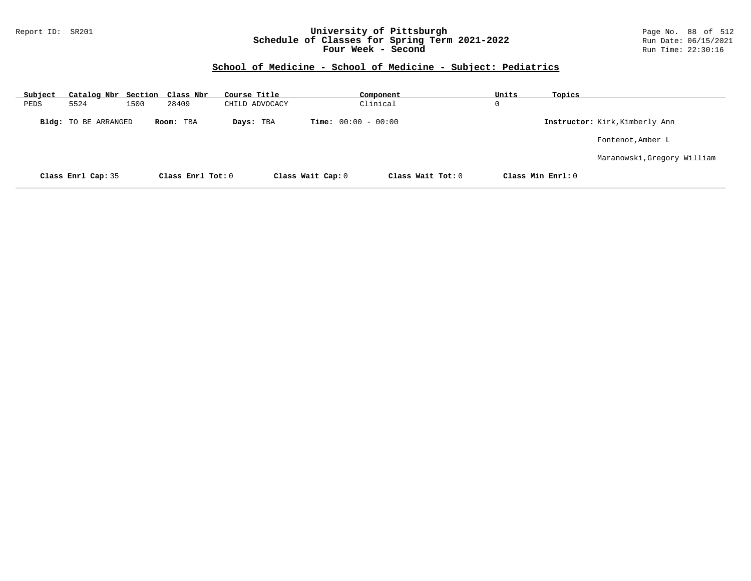### Report ID: SR201 **University of Pittsburgh** Page No. 88 of 512 **Schedule of Classes for Spring Term 2021-2022** Run Date: 06/15/2021 **Four Week - Second Run Time: 22:30:16**

| Subject |                             |      | Catalog Nbr Section Class Nbr | Course Title   |                              | Component         | Units | Topics            |                                |
|---------|-----------------------------|------|-------------------------------|----------------|------------------------------|-------------------|-------|-------------------|--------------------------------|
| PEDS    | 5524                        | 1500 | 28409                         | CHILD ADVOCACY |                              | Clinical          | 0     |                   |                                |
|         | <b>Bldg:</b> TO BE ARRANGED |      | Room: TBA                     | Days: TBA      | <b>Time:</b> $00:00 - 00:00$ |                   |       |                   | Instructor: Kirk, Kimberly Ann |
|         |                             |      |                               |                |                              |                   |       |                   | Fontenot, Amber L              |
|         |                             |      |                               |                |                              |                   |       |                   | Maranowski, Gregory William    |
|         | Class Enrl Cap: 35          |      | Class Enrl Tot: 0             |                | Class Wait Cap: 0            | Class Wait Tot: 0 |       | Class Min Enrl: 0 |                                |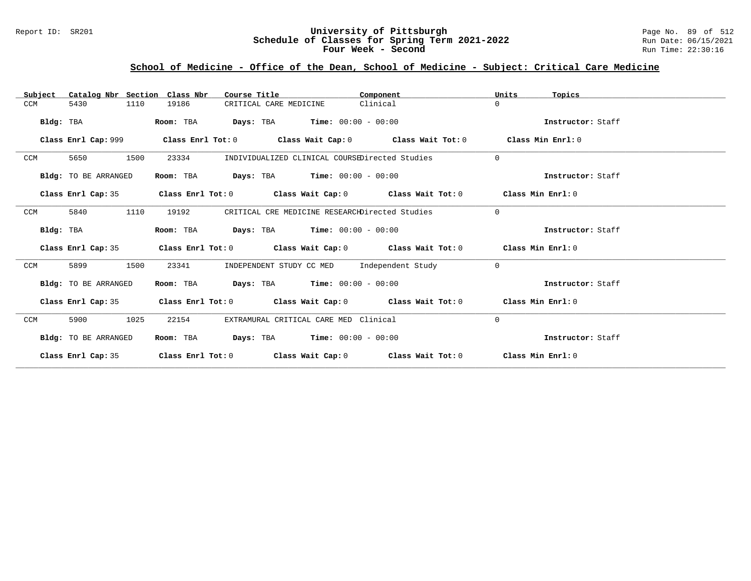### Report ID: SR201 **University of Pittsburgh** Page No. 89 of 512 **Schedule of Classes for Spring Term 2021-2022** Run Date: 06/15/2021 **Four Week - Second Run Time: 22:30:16**

# **School of Medicine - Office of the Dean, School of Medicine - Subject: Critical Care Medicine**

| Subject              | Catalog Nbr Section Class Nbr<br>Course Title<br>Component                      |          | Units<br>Topics   |
|----------------------|---------------------------------------------------------------------------------|----------|-------------------|
| 5430<br>1110<br>CCM  | 19186<br>CRITICAL CARE MEDICINE                                                 | Clinical | $\Omega$          |
| Bldg: TBA            | <b>Days:</b> TBA <b>Time:</b> $00:00 - 00:00$<br>Room: TBA                      |          | Instructor: Staff |
| Class Enrl Cap: 999  | Class Enrl Tot: $0$ Class Wait Cap: $0$ Class Wait Tot: $0$                     |          | Class Min Enrl: 0 |
| 1500<br>CCM<br>5650  | 23334<br>INDIVIDUALIZED CLINICAL COURSEDirected Studies                         |          | $\Omega$          |
| Bldg: TO BE ARRANGED | Room: TBA<br><b>Days:</b> TBA <b>Time:</b> $00:00 - 00:00$                      |          | Instructor: Staff |
| Class Enrl Cap: 35   | Class Enrl Tot: $0$ Class Wait Cap: $0$ Class Wait Tot: $0$ Class Min Enrl: $0$ |          |                   |
| 5840<br>1110<br>CCM  | 19192<br>CRITICAL CRE MEDICINE RESEARCHDirected Studies                         |          | $\Omega$          |
| Bldg: TBA            | <b>Days:</b> TBA <b>Time:</b> $00:00 - 00:00$<br>Room: TBA                      |          | Instructor: Staff |
| Class Enrl Cap: 35   | Class Enrl Tot: $0$ Class Wait Cap: $0$ Class Wait Tot: $0$ Class Min Enrl: $0$ |          |                   |
| 1500<br>CCM<br>5899  | INDEPENDENT STUDY CC MED Independent Study<br>23341                             |          | $\Omega$          |
| Bldg: TO BE ARRANGED | Room: TBA $Days:$ TBA $Time: 00:00 - 00:00$                                     |          | Instructor: Staff |
| Class Enrl Cap: 35   | Class Enrl Tot: $0$ Class Wait Cap: $0$ Class Wait Tot: $0$ Class Min Enrl: $0$ |          |                   |
| 1025<br>CCM<br>5900  | EXTRAMURAL CRITICAL CARE MED Clinical<br>22154                                  |          | $\Omega$          |
| Bldg: TO BE ARRANGED | <b>Days:</b> TBA <b>Time:</b> $00:00 - 00:00$<br>Room: TBA                      |          | Instructor: Staff |
| Class Enrl Cap: 35   | Class Enrl Tot: $0$ Class Wait Cap: $0$ Class Wait Tot: $0$                     |          | Class Min Enrl: 0 |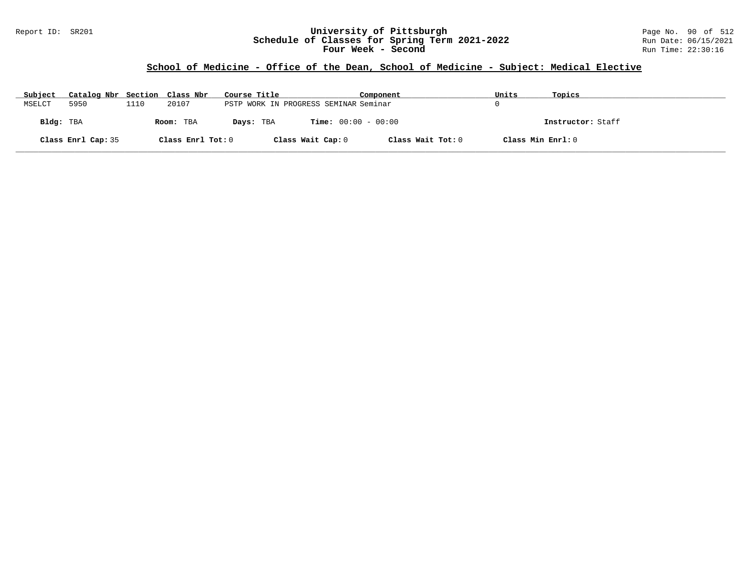### Report ID: SR201 **University of Pittsburgh** Page No. 90 of 512 **Schedule of Classes for Spring Term 2021-2022** Run Date: 06/15/2021 **Four Week - Second Run Time: 22:30:16**

## **School of Medicine - Office of the Dean, School of Medicine - Subject: Medical Elective**

| Subject   | Catalog Nbr Section Class Nbr |      |                   | Course Title                          |                              | Component         | Units             | Topics            |
|-----------|-------------------------------|------|-------------------|---------------------------------------|------------------------------|-------------------|-------------------|-------------------|
| MSELCT    | 5950                          | 1110 | 20107             | PSTP WORK IN PROGRESS SEMINAR Seminar |                              |                   |                   |                   |
| Bldg: TBA |                               |      | Room: TBA         | Days: TBA                             | <b>Time:</b> $00:00 - 00:00$ |                   |                   | Instructor: Staff |
|           | Class Enrl Cap: 35            |      | Class Enrl Tot: 0 |                                       | Class Wait Cap: 0            | Class Wait Tot: 0 | Class Min Enrl: 0 |                   |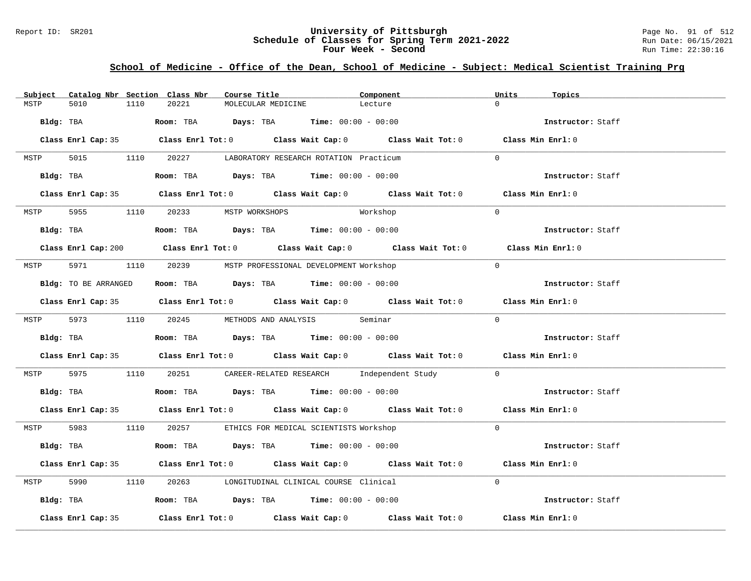### Report ID: SR201 **University of Pittsburgh** Page No. 91 of 512 **Schedule of Classes for Spring Term 2021-2022** Run Date: 06/15/2021 **Four Week - Second Run Time: 22:30:16**

# **School of Medicine - Office of the Dean, School of Medicine - Subject: Medical Scientist Training Prg**

| 5010<br>1110<br>20221<br>MSTP<br>MOLECULAR MEDICINE<br>Lecture<br>Bldg: TBA                   Room: TBA        Days: TBA        Time: 00:00 - 00:00<br>Instructor: Staff<br>Class Enrl Cap: 35 Class Enrl Tot: 0 Class Wait Cap: 0 Class Wait Tot: 0 Class Min Enrl: 0<br>5015 1110 20227 LABORATORY RESEARCH ROTATION Practicum<br>$\Omega$<br>MSTP<br>Room: TBA $Days:$ TBA Time: $00:00 - 00:00$<br>Bldg: TBA<br>Instructor: Staff<br>Class Enrl Cap: 35 Class Enrl Tot: 0 Class Wait Cap: 0 Class Wait Tot: 0 Class Min Enrl: 0<br>$\bigcap$<br>MSTP 5955 1110 20233 MSTP WORKSHOPS<br>Workshop<br>Instructor: Staff<br>Class Enrl Cap: 200 Class Enrl Tot: 0 Class Wait Cap: 0 Class Wait Tot: 0 Class Min Enrl: 0<br>$\Omega$<br>MSTP 5971 1110 20239 MSTP PROFESSIONAL DEVELOPMENT Workshop<br>Bldg: TO BE ARRANGED ROOM: TBA Days: TBA Time: 00:00 - 00:00<br>Instructor: Staff<br>Class Enrl Cap: 35 Class Enrl Tot: 0 Class Wait Cap: 0 Class Wait Tot: 0 Class Min Enrl: 0<br>$\Omega$<br>MSTP 5973 1110 20245 METHODS AND ANALYSIS Seminar<br>Bldg: TBA                    Room: TBA         Days: TBA         Time: $00:00 - 00:00$<br>Instructor: Staff<br>Class Enrl Cap: 35 Class Enrl Tot: 0 Class Wait Cap: 0 Class Wait Tot: 0 Class Min Enrl: 0<br>5975 1110 20251 CAREER-RELATED RESEARCH Independent Study 0<br>MSTP<br>Bldg: TBA                        Room: TBA         Days: TBA         Time: 00:00 - 00:00<br>Instructor: Staff<br>Class Enrl Cap: 35 Class Enrl Tot: 0 Class Wait Cap: 0 Class Wait Tot: 0 Class Min Enrl: 0<br>MSTP 5983 1110 20257 ETHICS FOR MEDICAL SCIENTISTS Workshop<br>$\Omega$<br>Bldg: TBA                   Room: TBA        Days: TBA        Time: 00:00 - 00:00<br>Instructor: Staff<br>Class Enrl Cap: 35 Class Enrl Tot: 0 Class Wait Cap: 0 Class Wait Tot: 0 Class Min Enrl: 0<br>5990 1110 20263 LONGITUDINAL CLINICAL COURSE Clinical<br>$\Omega$<br>MSTP<br>Bldg: TBA                    Room: TBA         Days: TBA         Time: $00:00 - 00:00$<br>Instructor: Staff<br>Class Enrl Tot: 0 $\qquad$ Class Wait Cap: 0 $\qquad$ Class Wait Tot: 0 $\qquad$ Class Min Enrl: 0<br>Class Enrl Cap: 35 | Subject | Catalog Nbr Section Class Nbr |  | Course Title | Component |  | Units | Topics |
|----------------------------------------------------------------------------------------------------------------------------------------------------------------------------------------------------------------------------------------------------------------------------------------------------------------------------------------------------------------------------------------------------------------------------------------------------------------------------------------------------------------------------------------------------------------------------------------------------------------------------------------------------------------------------------------------------------------------------------------------------------------------------------------------------------------------------------------------------------------------------------------------------------------------------------------------------------------------------------------------------------------------------------------------------------------------------------------------------------------------------------------------------------------------------------------------------------------------------------------------------------------------------------------------------------------------------------------------------------------------------------------------------------------------------------------------------------------------------------------------------------------------------------------------------------------------------------------------------------------------------------------------------------------------------------------------------------------------------------------------------------------------------------------------------------------------------------------------------------------------------------------------------------------------------------------------------------------------------------------------------------------------------------------------------------------------------------------------------------------------------------------------------------------------|---------|-------------------------------|--|--------------|-----------|--|-------|--------|
|                                                                                                                                                                                                                                                                                                                                                                                                                                                                                                                                                                                                                                                                                                                                                                                                                                                                                                                                                                                                                                                                                                                                                                                                                                                                                                                                                                                                                                                                                                                                                                                                                                                                                                                                                                                                                                                                                                                                                                                                                                                                                                                                                                      |         |                               |  |              |           |  |       |        |
|                                                                                                                                                                                                                                                                                                                                                                                                                                                                                                                                                                                                                                                                                                                                                                                                                                                                                                                                                                                                                                                                                                                                                                                                                                                                                                                                                                                                                                                                                                                                                                                                                                                                                                                                                                                                                                                                                                                                                                                                                                                                                                                                                                      |         |                               |  |              |           |  |       |        |
|                                                                                                                                                                                                                                                                                                                                                                                                                                                                                                                                                                                                                                                                                                                                                                                                                                                                                                                                                                                                                                                                                                                                                                                                                                                                                                                                                                                                                                                                                                                                                                                                                                                                                                                                                                                                                                                                                                                                                                                                                                                                                                                                                                      |         |                               |  |              |           |  |       |        |
|                                                                                                                                                                                                                                                                                                                                                                                                                                                                                                                                                                                                                                                                                                                                                                                                                                                                                                                                                                                                                                                                                                                                                                                                                                                                                                                                                                                                                                                                                                                                                                                                                                                                                                                                                                                                                                                                                                                                                                                                                                                                                                                                                                      |         |                               |  |              |           |  |       |        |
|                                                                                                                                                                                                                                                                                                                                                                                                                                                                                                                                                                                                                                                                                                                                                                                                                                                                                                                                                                                                                                                                                                                                                                                                                                                                                                                                                                                                                                                                                                                                                                                                                                                                                                                                                                                                                                                                                                                                                                                                                                                                                                                                                                      |         |                               |  |              |           |  |       |        |
|                                                                                                                                                                                                                                                                                                                                                                                                                                                                                                                                                                                                                                                                                                                                                                                                                                                                                                                                                                                                                                                                                                                                                                                                                                                                                                                                                                                                                                                                                                                                                                                                                                                                                                                                                                                                                                                                                                                                                                                                                                                                                                                                                                      |         |                               |  |              |           |  |       |        |
|                                                                                                                                                                                                                                                                                                                                                                                                                                                                                                                                                                                                                                                                                                                                                                                                                                                                                                                                                                                                                                                                                                                                                                                                                                                                                                                                                                                                                                                                                                                                                                                                                                                                                                                                                                                                                                                                                                                                                                                                                                                                                                                                                                      |         |                               |  |              |           |  |       |        |
|                                                                                                                                                                                                                                                                                                                                                                                                                                                                                                                                                                                                                                                                                                                                                                                                                                                                                                                                                                                                                                                                                                                                                                                                                                                                                                                                                                                                                                                                                                                                                                                                                                                                                                                                                                                                                                                                                                                                                                                                                                                                                                                                                                      |         |                               |  |              |           |  |       |        |
|                                                                                                                                                                                                                                                                                                                                                                                                                                                                                                                                                                                                                                                                                                                                                                                                                                                                                                                                                                                                                                                                                                                                                                                                                                                                                                                                                                                                                                                                                                                                                                                                                                                                                                                                                                                                                                                                                                                                                                                                                                                                                                                                                                      |         |                               |  |              |           |  |       |        |
|                                                                                                                                                                                                                                                                                                                                                                                                                                                                                                                                                                                                                                                                                                                                                                                                                                                                                                                                                                                                                                                                                                                                                                                                                                                                                                                                                                                                                                                                                                                                                                                                                                                                                                                                                                                                                                                                                                                                                                                                                                                                                                                                                                      |         |                               |  |              |           |  |       |        |
|                                                                                                                                                                                                                                                                                                                                                                                                                                                                                                                                                                                                                                                                                                                                                                                                                                                                                                                                                                                                                                                                                                                                                                                                                                                                                                                                                                                                                                                                                                                                                                                                                                                                                                                                                                                                                                                                                                                                                                                                                                                                                                                                                                      |         |                               |  |              |           |  |       |        |
|                                                                                                                                                                                                                                                                                                                                                                                                                                                                                                                                                                                                                                                                                                                                                                                                                                                                                                                                                                                                                                                                                                                                                                                                                                                                                                                                                                                                                                                                                                                                                                                                                                                                                                                                                                                                                                                                                                                                                                                                                                                                                                                                                                      |         |                               |  |              |           |  |       |        |
|                                                                                                                                                                                                                                                                                                                                                                                                                                                                                                                                                                                                                                                                                                                                                                                                                                                                                                                                                                                                                                                                                                                                                                                                                                                                                                                                                                                                                                                                                                                                                                                                                                                                                                                                                                                                                                                                                                                                                                                                                                                                                                                                                                      |         |                               |  |              |           |  |       |        |
|                                                                                                                                                                                                                                                                                                                                                                                                                                                                                                                                                                                                                                                                                                                                                                                                                                                                                                                                                                                                                                                                                                                                                                                                                                                                                                                                                                                                                                                                                                                                                                                                                                                                                                                                                                                                                                                                                                                                                                                                                                                                                                                                                                      |         |                               |  |              |           |  |       |        |
|                                                                                                                                                                                                                                                                                                                                                                                                                                                                                                                                                                                                                                                                                                                                                                                                                                                                                                                                                                                                                                                                                                                                                                                                                                                                                                                                                                                                                                                                                                                                                                                                                                                                                                                                                                                                                                                                                                                                                                                                                                                                                                                                                                      |         |                               |  |              |           |  |       |        |
|                                                                                                                                                                                                                                                                                                                                                                                                                                                                                                                                                                                                                                                                                                                                                                                                                                                                                                                                                                                                                                                                                                                                                                                                                                                                                                                                                                                                                                                                                                                                                                                                                                                                                                                                                                                                                                                                                                                                                                                                                                                                                                                                                                      |         |                               |  |              |           |  |       |        |
|                                                                                                                                                                                                                                                                                                                                                                                                                                                                                                                                                                                                                                                                                                                                                                                                                                                                                                                                                                                                                                                                                                                                                                                                                                                                                                                                                                                                                                                                                                                                                                                                                                                                                                                                                                                                                                                                                                                                                                                                                                                                                                                                                                      |         |                               |  |              |           |  |       |        |
|                                                                                                                                                                                                                                                                                                                                                                                                                                                                                                                                                                                                                                                                                                                                                                                                                                                                                                                                                                                                                                                                                                                                                                                                                                                                                                                                                                                                                                                                                                                                                                                                                                                                                                                                                                                                                                                                                                                                                                                                                                                                                                                                                                      |         |                               |  |              |           |  |       |        |
|                                                                                                                                                                                                                                                                                                                                                                                                                                                                                                                                                                                                                                                                                                                                                                                                                                                                                                                                                                                                                                                                                                                                                                                                                                                                                                                                                                                                                                                                                                                                                                                                                                                                                                                                                                                                                                                                                                                                                                                                                                                                                                                                                                      |         |                               |  |              |           |  |       |        |
|                                                                                                                                                                                                                                                                                                                                                                                                                                                                                                                                                                                                                                                                                                                                                                                                                                                                                                                                                                                                                                                                                                                                                                                                                                                                                                                                                                                                                                                                                                                                                                                                                                                                                                                                                                                                                                                                                                                                                                                                                                                                                                                                                                      |         |                               |  |              |           |  |       |        |
|                                                                                                                                                                                                                                                                                                                                                                                                                                                                                                                                                                                                                                                                                                                                                                                                                                                                                                                                                                                                                                                                                                                                                                                                                                                                                                                                                                                                                                                                                                                                                                                                                                                                                                                                                                                                                                                                                                                                                                                                                                                                                                                                                                      |         |                               |  |              |           |  |       |        |
|                                                                                                                                                                                                                                                                                                                                                                                                                                                                                                                                                                                                                                                                                                                                                                                                                                                                                                                                                                                                                                                                                                                                                                                                                                                                                                                                                                                                                                                                                                                                                                                                                                                                                                                                                                                                                                                                                                                                                                                                                                                                                                                                                                      |         |                               |  |              |           |  |       |        |
|                                                                                                                                                                                                                                                                                                                                                                                                                                                                                                                                                                                                                                                                                                                                                                                                                                                                                                                                                                                                                                                                                                                                                                                                                                                                                                                                                                                                                                                                                                                                                                                                                                                                                                                                                                                                                                                                                                                                                                                                                                                                                                                                                                      |         |                               |  |              |           |  |       |        |
|                                                                                                                                                                                                                                                                                                                                                                                                                                                                                                                                                                                                                                                                                                                                                                                                                                                                                                                                                                                                                                                                                                                                                                                                                                                                                                                                                                                                                                                                                                                                                                                                                                                                                                                                                                                                                                                                                                                                                                                                                                                                                                                                                                      |         |                               |  |              |           |  |       |        |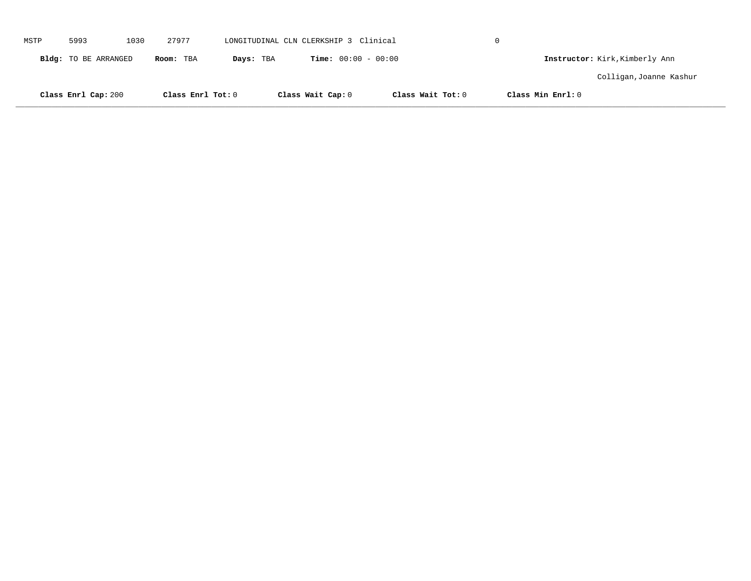|      | Class Enrl Cap: 200  |      | Class Enrl Tot: 0 |           | Class Wait Cap: 0                     | Class Wait Tot: 0 | Class Min Enrl: 0 |                                |  |
|------|----------------------|------|-------------------|-----------|---------------------------------------|-------------------|-------------------|--------------------------------|--|
|      |                      |      |                   |           |                                       |                   |                   | Colligan, Joanne Kashur        |  |
|      | Bldg: TO BE ARRANGED |      | Room: TBA         | Days: TBA | <b>Time:</b> $00:00 - 00:00$          |                   |                   | Instructor: Kirk, Kimberly Ann |  |
| MSTP | 5993                 | 1030 | 27977             |           | LONGITUDINAL CLN CLERKSHIP 3 Clinical |                   | $\Omega$          |                                |  |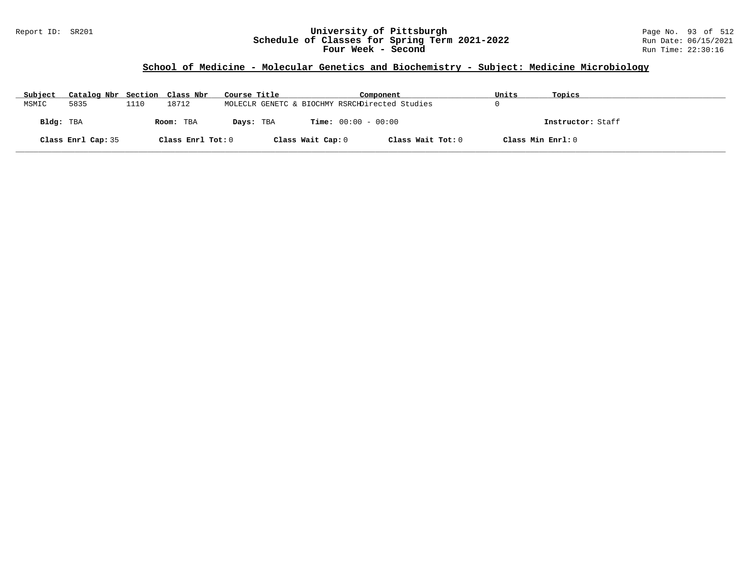### Report ID: SR201 **University of Pittsburgh** Page No. 93 of 512 **Schedule of Classes for Spring Term 2021-2022** Run Date: 06/15/2021 **Four Week - Second Run Time: 22:30:16**

## **School of Medicine - Molecular Genetics and Biochemistry - Subject: Medicine Microbiology**

| Subject   | Catalog Nbr Section Class Nbr |      |                   | Course Title                                   |                   | Component                    |                   | Units             | Topics            |
|-----------|-------------------------------|------|-------------------|------------------------------------------------|-------------------|------------------------------|-------------------|-------------------|-------------------|
| MSMIC     | 5835                          | 1110 | 18712             | MOLECLR GENETC & BIOCHMY RSRCHDirected Studies |                   |                              |                   |                   |                   |
| Bldg: TBA |                               |      | Room: TBA         | Days: TBA                                      |                   | <b>Time:</b> $00:00 - 00:00$ |                   |                   | Instructor: Staff |
|           | Class Enrl Cap: 35            |      | Class Enrl Tot: 0 |                                                | Class Wait Cap: 0 |                              | Class Wait Tot: 0 | Class Min Enrl: 0 |                   |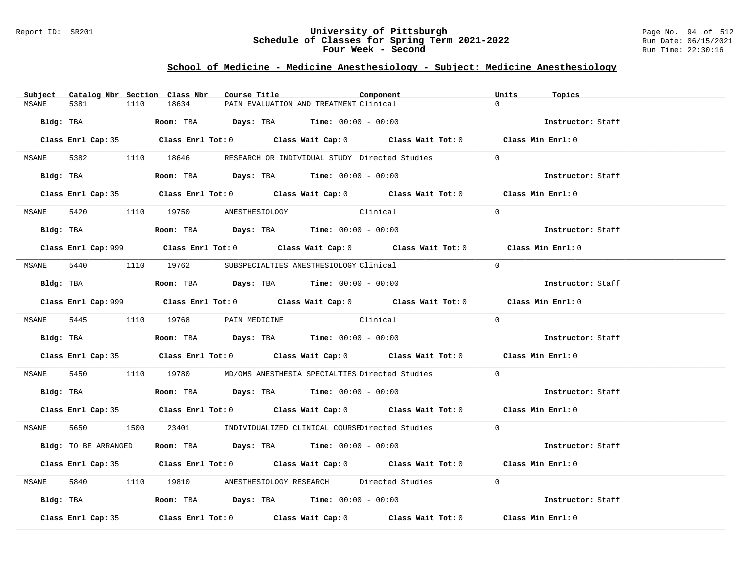### Report ID: SR201 **University of Pittsburgh** Page No. 94 of 512 **Schedule of Classes for Spring Term 2021-2022** Run Date: 06/15/2021 **Four Week - Second Run Time: 22:30:16**

# **School of Medicine - Medicine Anesthesiology - Subject: Medicine Anesthesiology**

| Subject                              | Catalog Nbr Section Class Nbr | Course Title                                                                                | Component                                                              | Units<br>Topics                                                                             |
|--------------------------------------|-------------------------------|---------------------------------------------------------------------------------------------|------------------------------------------------------------------------|---------------------------------------------------------------------------------------------|
| 5381<br>MSANE                        | 18634<br>1110                 | PAIN EVALUATION AND TREATMENT Clinical                                                      |                                                                        | $\Omega$                                                                                    |
|                                      |                               | $Bldg:$ TBA $Room:$ TBA $Days:$ TBA $Time:$ 00:00 - 00:00                                   |                                                                        | Instructor: Staff                                                                           |
|                                      |                               |                                                                                             |                                                                        | Class Enrl Cap: 35 Class Enrl Tot: 0 Class Wait Cap: 0 Class Wait Tot: 0 Class Min Enrl: 0  |
| MSANE                                |                               |                                                                                             | 5382 1110 18646 RESEARCH OR INDIVIDUAL STUDY Directed Studies          | $\Omega$                                                                                    |
|                                      |                               | Bldg: TBA                  Room: TBA        Days: TBA        Time: 00:00 - 00:00            |                                                                        | Instructor: Staff                                                                           |
|                                      |                               |                                                                                             |                                                                        | Class Enrl Cap: 35 Class Enrl Tot: 0 Class Wait Cap: 0 Class Wait Tot: 0 Class Min Enrl: 0  |
| MSANE 5420 1110 19750 ANESTHESIOLOGY |                               |                                                                                             | Clinical                                                               | $\Omega$                                                                                    |
|                                      |                               | Bldg: TBA                    Room: TBA         Days: TBA         Time: $00:00 - 00:00$      |                                                                        | Instructor: Staff                                                                           |
|                                      |                               |                                                                                             |                                                                        | Class Enrl Cap: 999 Class Enrl Tot: 0 Class Wait Cap: 0 Class Wait Tot: 0 Class Min Enrl: 0 |
|                                      |                               | MSANE 5440 1110 19762 SUBSPECIALTIES ANESTHESIOLOGY Clinical                                |                                                                        | $\Omega$                                                                                    |
|                                      |                               |                                                                                             |                                                                        | Instructor: Staff                                                                           |
|                                      |                               |                                                                                             |                                                                        | Class Enrl Cap: 999 Class Enrl Tot: 0 Class Wait Cap: 0 Class Wait Tot: 0 Class Min Enrl: 0 |
|                                      |                               | MSANE 5445 1110 19768 PAIN MEDICINE Clinical                                                |                                                                        | $\Omega$                                                                                    |
|                                      |                               | Bldg: TBA                   Room: TBA         Days: TBA         Time: $00:00 - 00:00$       |                                                                        | Instructor: Staff                                                                           |
|                                      |                               |                                                                                             |                                                                        | Class Enrl Cap: 35 Class Enrl Tot: 0 Class Wait Cap: 0 Class Wait Tot: 0 Class Min Enrl: 0  |
| MSANE                                |                               |                                                                                             | 5450 1110 19780 MD/OMS ANESTHESIA SPECIALTIES Directed Studies         | $\overline{0}$                                                                              |
|                                      |                               | Bldg: TBA                    Room: TBA          Days: TBA         Time: $00:00 - 00:00$     |                                                                        | Instructor: Staff                                                                           |
|                                      |                               |                                                                                             |                                                                        | Class Enrl Cap: 35 Class Enrl Tot: 0 Class Wait Cap: 0 Class Wait Tot: 0 Class Min Enrl: 0  |
|                                      |                               |                                                                                             | MSANE 5650 1500 23401 INDIVIDUALIZED CLINICAL COURSEDirected Studies 0 |                                                                                             |
| Bldg: TO BE ARRANGED                 |                               | Room: TBA $Days:$ TBA $Time: 00:00 - 00:00$                                                 |                                                                        | Instructor: Staff                                                                           |
|                                      |                               |                                                                                             |                                                                        | Class Enrl Cap: 35 Class Enrl Tot: 0 Class Wait Cap: 0 Class Wait Tot: 0 Class Min Enrl: 0  |
| MSANE                                |                               |                                                                                             | 5840 1110 19810 ANESTHESIOLOGY RESEARCH Directed Studies               | $\Omega$                                                                                    |
|                                      |                               | Bldg: TBA                      Room: TBA           Days: TBA          Time: $00:00 - 00:00$ |                                                                        | Instructor: Staff                                                                           |
| Class Enrl Cap: 35                   |                               |                                                                                             |                                                                        | Class Enrl Tot: $0$ Class Wait Cap: $0$ Class Wait Tot: $0$ Class Min Enrl: $0$             |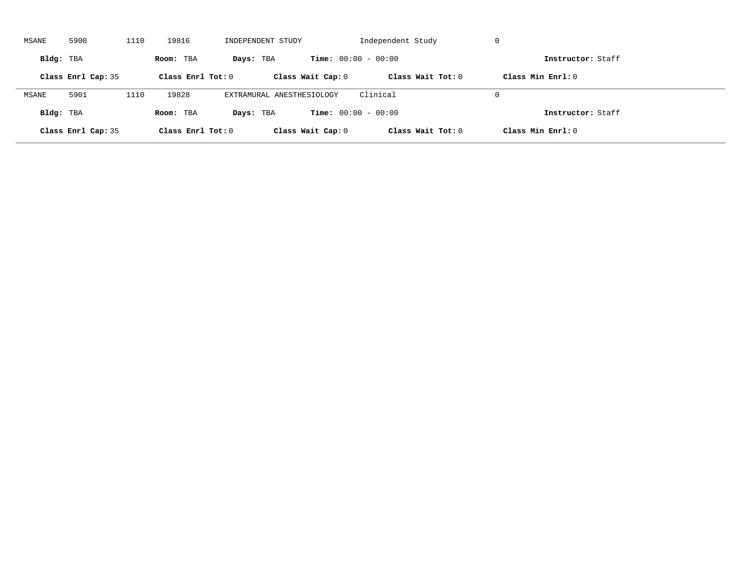| MSANE     | 5900               | 1110 | 19816               | INDEPENDENT STUDY         |                              | Independent Study   | -U                  |  |
|-----------|--------------------|------|---------------------|---------------------------|------------------------------|---------------------|---------------------|--|
| Bldg: TBA |                    |      | Room: TBA           | Days: TBA                 | <b>Time:</b> $00:00 - 00:00$ |                     | Instructor: Staff   |  |
|           | Class Enrl Cap: 35 |      | Class Enrl Tot: $0$ |                           | Class Wait Cap: 0            | Class Wait $Tot: 0$ | Class Min $Enrl: 0$ |  |
| MSANE     | 5901               | 1110 | 19828               | EXTRAMURAL ANESTHESIOLOGY |                              | Clinical            | $\Omega$            |  |
| Bldg: TBA |                    |      | Room: TBA           | Days: TBA                 | <b>Time:</b> $00:00 - 00:00$ |                     | Instructor: Staff   |  |
|           | Class Enrl Cap: 35 |      | Class Enrl Tot: $0$ |                           | Class Wait Cap: 0            | Class Wait Tot: 0   | Class Min Enrl: 0   |  |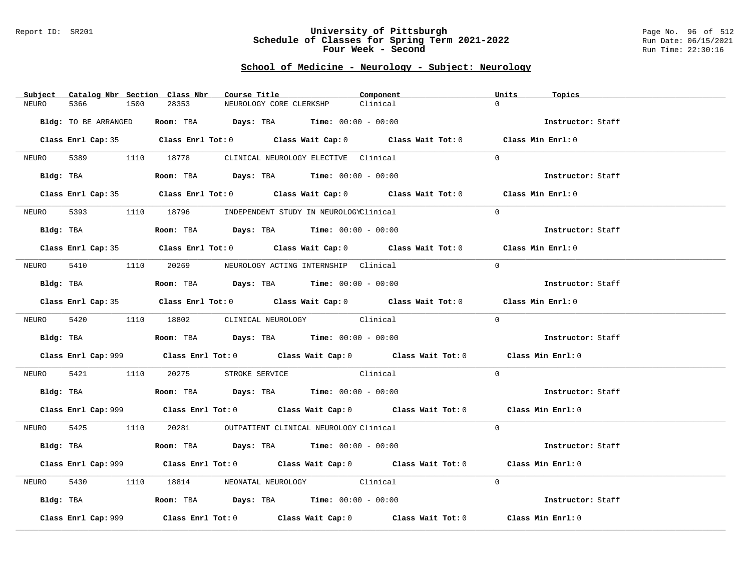#### Report ID: SR201 **University of Pittsburgh** Page No. 96 of 512 **Schedule of Classes for Spring Term 2021-2022** Run Date: 06/15/2021 **Four Week - Second Run Time: 22:30:16**

# **School of Medicine - Neurology - Subject: Neurology**

| Subject |                      |      | Catalog Nbr Section Class Nbr | Course Title |                                                                                        | Component                                                                                   |                   | Topics            |
|---------|----------------------|------|-------------------------------|--------------|----------------------------------------------------------------------------------------|---------------------------------------------------------------------------------------------|-------------------|-------------------|
| NEURO   | 5366                 | 1500 | 28353                         |              | NEUROLOGY CORE CLERKSHP                                                                | Clinical                                                                                    | $\Omega$          |                   |
|         | Bldg: TO BE ARRANGED |      |                               |              | Room: TBA $Days: TBA$ Time: $00:00 - 00:00$                                            |                                                                                             |                   | Instructor: Staff |
|         |                      |      |                               |              |                                                                                        | Class Enrl Cap: 35 Class Enrl Tot: 0 Class Wait Cap: 0 Class Wait Tot: 0 Class Min Enrl: 0  |                   |                   |
| NEURO   |                      |      |                               |              | 5389 1110 18778 CLINICAL NEUROLOGY ELECTIVE Clinical                                   |                                                                                             | $\Omega$          |                   |
|         |                      |      |                               |              | Bldg: TBA                   Room: TBA        Days: TBA        Time: 00:00 - 00:00      |                                                                                             |                   | Instructor: Staff |
|         |                      |      |                               |              |                                                                                        | Class Enrl Cap: 35 Class Enrl Tot: 0 Class Wait Cap: 0 Class Wait Tot: 0 Class Min Enrl: 0  |                   |                   |
| NEURO   |                      |      |                               |              | 5393 1110 18796 INDEPENDENT STUDY IN NEUROLOGYClinical                                 |                                                                                             | $\Omega$          |                   |
|         |                      |      |                               |              | Bldg: TBA                    Room: TBA         Days: TBA        Time: $00:00 - 00:00$  |                                                                                             |                   | Instructor: Staff |
|         |                      |      |                               |              |                                                                                        | Class Enrl Cap: 35 Class Enrl Tot: 0 Class Wait Cap: 0 Class Wait Tot: 0 Class Min Enrl: 0  |                   |                   |
| NEURO   |                      |      |                               |              | 5410 1110 20269 NEUROLOGY ACTING INTERNSHIP Clinical                                   |                                                                                             | $\Omega$          |                   |
|         |                      |      |                               |              | Bldg: TBA                    Room: TBA         Days: TBA         Time: $00:00 - 00:00$ |                                                                                             |                   | Instructor: Staff |
|         |                      |      |                               |              |                                                                                        | Class Enrl Cap: 35 Class Enrl Tot: 0 Class Wait Cap: 0 Class Wait Tot: 0 Class Min Enrl: 0  |                   |                   |
|         |                      |      |                               |              | NEURO 5420 1110 18802 CLINICAL NEUROLOGY Clinical                                      |                                                                                             | $\Omega$          |                   |
|         |                      |      |                               |              | <b>Bldg:</b> TBA <b>ROOM:</b> TBA <b>Days:</b> TBA <b>Time:</b> $00:00 - 00:00$        |                                                                                             | Instructor: Staff |                   |
|         |                      |      |                               |              |                                                                                        | Class Enrl Cap: 999 Class Enrl Tot: 0 Class Wait Cap: 0 Class Wait Tot: 0 Class Min Enrl: 0 |                   |                   |
| NEURO   | 5421                 |      |                               |              | 1110 20275 STROKE SERVICE Clinical                                                     |                                                                                             | $\Omega$          |                   |
|         |                      |      |                               |              | Bldg: TBA                    Room: TBA        Days: TBA         Time: $00:00 - 00:00$  |                                                                                             |                   | Instructor: Staff |
|         |                      |      |                               |              |                                                                                        | Class Enrl Cap: 999 Class Enrl Tot: 0 Class Wait Cap: 0 Class Wait Tot: 0 Class Min Enrl: 0 |                   |                   |
|         |                      |      |                               |              | NEURO 5425 1110 20281 OUTPATIENT CLINICAL NEUROLOGY Clinical                           |                                                                                             | $\Omega$          |                   |
|         |                      |      |                               |              | Bldg: TBA                   Room: TBA         Days: TBA        Time: 00:00 - 00:00     |                                                                                             |                   | Instructor: Staff |
|         |                      |      |                               |              |                                                                                        | Class Enrl Cap: 999 Class Enrl Tot: 0 Class Wait Cap: 0 Class Wait Tot: 0                   |                   | Class Min Enrl: 0 |
| NEURO   | 5430                 |      |                               |              | 1110 18814 NEONATAL NEUROLOGY Clinical                                                 |                                                                                             | $\Omega$          |                   |
|         |                      |      |                               |              | Bldg: TBA                   Room: TBA         Days: TBA         Time: 00:00 - 00:00    |                                                                                             |                   | Instructor: Staff |
|         | Class Enrl Cap: 999  |      |                               |              |                                                                                        | Class Enrl Tot: $0$ Class Wait Cap: $0$ Class Wait Tot: $0$                                 |                   | Class Min Enrl: 0 |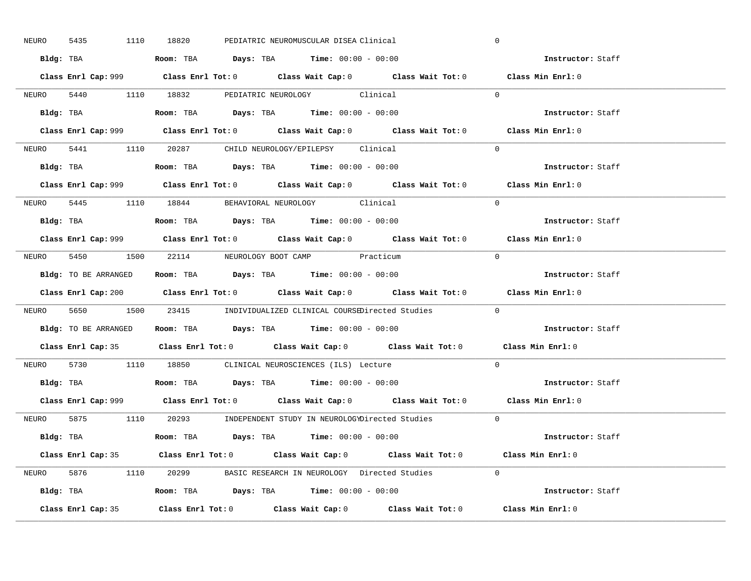| NEURO | 5435 | 1110 18820 |  | PEDIATRIC NEUROMUSCULAR DISEA Clinical                                                  |                                                                        | $\overline{0}$                                                                              |  |
|-------|------|------------|--|-----------------------------------------------------------------------------------------|------------------------------------------------------------------------|---------------------------------------------------------------------------------------------|--|
|       |      |            |  | Bldg: TBA                   Room: TBA         Days: TBA         Time: $00:00 - 00:00$   |                                                                        | Instructor: Staff                                                                           |  |
|       |      |            |  |                                                                                         |                                                                        | Class Enrl Cap: 999 Class Enrl Tot: 0 Class Wait Cap: 0 Class Wait Tot: 0 Class Min Enrl: 0 |  |
|       |      |            |  |                                                                                         | NEURO 5440 1110 18832 PEDIATRIC NEUROLOGY Clinical 0                   |                                                                                             |  |
|       |      |            |  | Bldg: TBA                   Room: TBA         Days: TBA         Time: $00:00 - 00:00$   |                                                                        | Instructor: Staff                                                                           |  |
|       |      |            |  |                                                                                         |                                                                        | Class Enrl Cap: 999 Class Enrl Tot: 0 Class Wait Cap: 0 Class Wait Tot: 0 Class Min Enrl: 0 |  |
|       |      |            |  | NEURO 5441 1110 20287 CHILD NEUROLOGY/EPILEPSY Clinical                                 |                                                                        | $\Omega$                                                                                    |  |
|       |      |            |  | Bldg: TBA                    Room: TBA         Days: TBA        Time: $00:00 - 00:00$   |                                                                        | Instructor: Staff                                                                           |  |
|       |      |            |  |                                                                                         |                                                                        | Class Enrl Cap: 999 Class Enrl Tot: 0 Class Wait Cap: 0 Class Wait Tot: 0 Class Min Enrl: 0 |  |
|       |      |            |  | NEURO 5445 1110 18844 BEHAVIORAL NEUROLOGY Clinical                                     |                                                                        | $\Omega$                                                                                    |  |
|       |      |            |  |                                                                                         |                                                                        | Instructor: Staff                                                                           |  |
|       |      |            |  |                                                                                         |                                                                        | Class Enrl Cap: 999 Class Enrl Tot: 0 Class Wait Cap: 0 Class Wait Tot: 0 Class Min Enrl: 0 |  |
|       |      |            |  | NEURO 5450 1500 22114 NEUROLOGY BOOT CAMP Practicum                                     |                                                                        | $\bigcirc$                                                                                  |  |
|       |      |            |  | Bldg: TO BE ARRANGED Room: TBA Days: TBA Time: 00:00 - 00:00                            |                                                                        | Instructor: Staff                                                                           |  |
|       |      |            |  |                                                                                         |                                                                        | Class Enrl Cap: 200 Class Enrl Tot: 0 Class Wait Cap: 0 Class Wait Tot: 0 Class Min Enrl: 0 |  |
|       |      |            |  |                                                                                         | NEURO 5650 1500 23415 INDIVIDUALIZED CLINICAL COURSEDirected Studies   | $\overline{0}$                                                                              |  |
|       |      |            |  | Bldg: TO BE ARRANGED ROOM: TBA Days: TBA Time: 00:00 - 00:00                            |                                                                        | <b>Instructor:</b> Staff                                                                    |  |
|       |      |            |  |                                                                                         |                                                                        | Class Enrl Cap: 35 Class Enrl Tot: 0 Class Wait Cap: 0 Class Wait Tot: 0 Class Min Enrl: 0  |  |
|       |      |            |  | NEURO 5730 1110 18850 CLINICAL NEUROSCIENCES (ILS) Lecture                              |                                                                        | $\Omega$                                                                                    |  |
|       |      |            |  | Bldg: TBA                    Room: TBA         Days: TBA         Time: $00:00 - 00:00$  |                                                                        | Instructor: Staff                                                                           |  |
|       |      |            |  |                                                                                         |                                                                        | Class Enrl Cap: 999 Class Enrl Tot: 0 Class Wait Cap: 0 Class Wait Tot: 0 Class Min Enrl: 0 |  |
|       |      |            |  |                                                                                         | NEURO 5875 1110 20293 INDEPENDENT STUDY IN NEUROLOGYDirected Studies 0 |                                                                                             |  |
|       |      |            |  | Bldg: TBA                   Room: TBA          Days: TBA         Time: $00:00 - 00:00$  |                                                                        | Instructor: Staff                                                                           |  |
|       |      |            |  |                                                                                         |                                                                        |                                                                                             |  |
|       |      |            |  |                                                                                         |                                                                        | Class Enrl Cap: 35 Class Enrl Tot: 0 Class Wait Cap: 0 Class Wait Tot: 0 Class Min Enrl: 0  |  |
|       |      |            |  |                                                                                         | NEURO 5876 1110 20299 BASIC RESEARCH IN NEUROLOGY Directed Studies 0   |                                                                                             |  |
|       |      |            |  | Bldg: TBA                     Room: TBA         Days: TBA         Time: $00:00 - 00:00$ |                                                                        | Instructor: Staff                                                                           |  |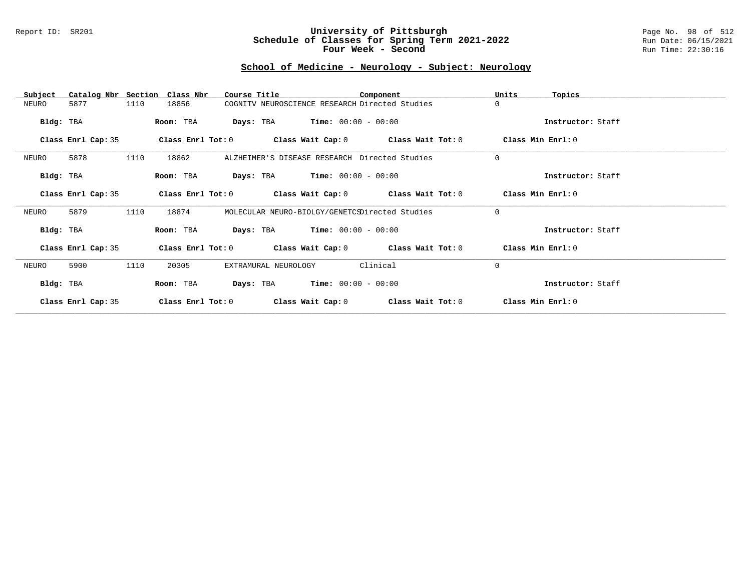#### Report ID: SR201 **University of Pittsburgh** Page No. 98 of 512 **Schedule of Classes for Spring Term 2021-2022** Run Date: 06/15/2021 **Four Week - Second Run Time: 22:30:16**

# **School of Medicine - Neurology - Subject: Neurology**

| Subject            | Catalog Nbr Section Class Nbr | Course Title                                   |                       | Component                                                   | Units                 | Topics            |
|--------------------|-------------------------------|------------------------------------------------|-----------------------|-------------------------------------------------------------|-----------------------|-------------------|
| 5877<br>NEURO      | 18856<br>1110                 | COGNITV NEUROSCIENCE RESEARCH Directed Studies |                       |                                                             | $\Omega$              |                   |
| Bldg: TBA          | Room: TBA                     | <b>Days:</b> TBA <b>Time:</b> $00:00 - 00:00$  |                       |                                                             |                       | Instructor: Staff |
| Class Enrl Cap: 35 |                               |                                                |                       | Class Enrl Tot: $0$ Class Wait Cap: $0$ Class Wait Tot: $0$ | Class Min Enrl: 0     |                   |
| 5878<br>NEURO      | 1110<br>18862                 | ALZHEIMER'S DISEASE RESEARCH Directed Studies  |                       |                                                             | $\mathbf 0$           |                   |
| Bldg: TBA          | Room: TBA                     | <b>Days:</b> TBA <b>Time:</b> $00:00 - 00:00$  |                       |                                                             |                       | Instructor: Staff |
| Class Enrl Cap: 35 | Class Enrl Tot: 0             |                                                |                       | Class Wait Cap: $0$ Class Wait Tot: $0$                     | Class Min Enrl: 0     |                   |
| 5879<br>NEURO      | 1110<br>18874                 | MOLECULAR NEURO-BIOLGY/GENETCSDirected Studies |                       |                                                             | $\Omega$              |                   |
| Bldg: TBA          | Room: TBA                     | <b>Days:</b> TBA <b>Time:</b> $00:00 - 00:00$  |                       |                                                             |                       | Instructor: Staff |
| Class Enrl Cap: 35 |                               |                                                |                       | Class Enrl Tot: $0$ Class Wait Cap: $0$ Class Wait Tot: $0$ | $Class$ Min $Enrl: 0$ |                   |
| NEURO<br>5900      | 1110<br>20305                 | EXTRAMURAL NEUROLOGY                           |                       | Clinical                                                    | $\Omega$              |                   |
| Bldg: TBA          | Room: TBA                     | Days: TBA                                      | $Time: 00:00 - 00:00$ |                                                             |                       | Instructor: Staff |
| Class Enrl Cap: 35 | Class Enrl Tot: 0             | Class Wait Cap: 0                              |                       | Class Wait Tot: 0                                           | Class Min Enrl: 0     |                   |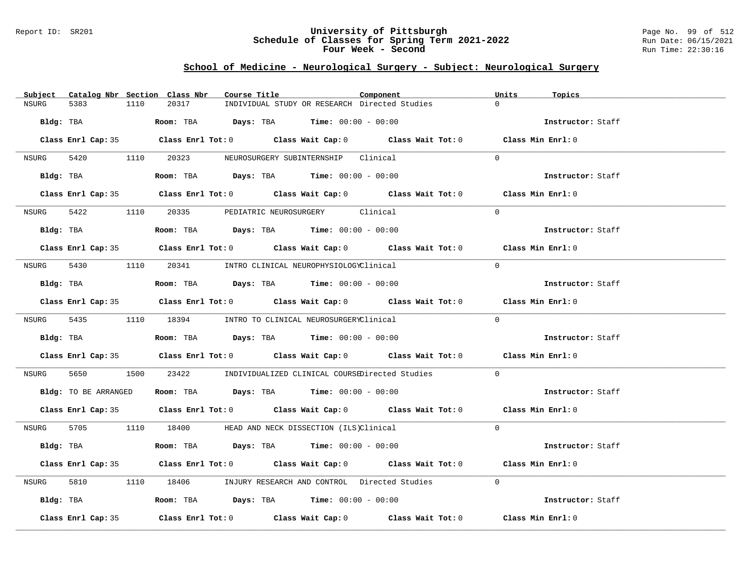#### Report ID: SR201 **University of Pittsburgh** Page No. 99 of 512 **Schedule of Classes for Spring Term 2021-2022** Run Date: 06/15/2021 **Four Week - Second Run Time: 22:30:16**

# **School of Medicine - Neurological Surgery - Subject: Neurological Surgery**

| Subject Catalog Nbr Section Class Nbr | Course Title                                                                               | Units<br>Component | Topics            |
|---------------------------------------|--------------------------------------------------------------------------------------------|--------------------|-------------------|
| <b>NSURG</b><br>5383<br>1110          | 20317<br>INDIVIDUAL STUDY OR RESEARCH Directed Studies                                     | $\cap$             |                   |
| Bldg: TBA                             | <b>Room:</b> TBA $Days: TBA$ <b>Time:</b> $00:00 - 00:00$                                  |                    | Instructor: Staff |
|                                       | Class Enrl Cap: 35 Class Enrl Tot: 0 Class Wait Cap: 0 Class Wait Tot: 0 Class Min Enrl: 0 |                    |                   |
|                                       | NSURG 5420 1110 20323 NEUROSURGERY SUBINTERNSHIP Clinical                                  | $\Omega$           |                   |
| Bldg: TBA                             | Room: TBA $Days:$ TBA $Time: 00:00 - 00:00$                                                |                    | Instructor: Staff |
|                                       | Class Enrl Cap: 35 Class Enrl Tot: 0 Class Wait Cap: 0 Class Wait Tot: 0 Class Min Enrl: 0 |                    |                   |
| NSURG 5422                            | 1110 20335 PEDIATRIC NEUROSURGERY Clinical                                                 | $\Omega$           |                   |
| Bldg: TBA                             | Room: TBA $Days:$ TBA $Time: 00:00 - 00:00$                                                |                    | Instructor: Staff |
|                                       | Class Enrl Cap: 35 Class Enrl Tot: 0 Class Wait Cap: 0 Class Wait Tot: 0 Class Min Enrl: 0 |                    |                   |
|                                       | NSURG 5430 1110 20341 INTRO CLINICAL NEUROPHYSIOLOGYClinical                               | $\Omega$           |                   |
|                                       | Bldg: TBA                   Room: TBA         Days: TBA        Time: 00:00 - 00:00         |                    | Instructor: Staff |
|                                       | Class Enrl Cap: 35 Class Enrl Tot: 0 Class Wait Cap: 0 Class Wait Tot: 0 Class Min Enrl: 0 |                    |                   |
|                                       | NSURG 5435 1110 18394 INTRO TO CLINICAL NEUROSURGERYClinical                               | $\Omega$           |                   |
|                                       | Bldg: TBA                    Room: TBA         Days: TBA         Time: 00:00 - 00:00       |                    | Instructor: Staff |
|                                       | Class Enrl Cap: 35 Class Enrl Tot: 0 Class Wait Cap: 0 Class Wait Tot: 0 Class Min Enrl: 0 |                    |                   |
| 5650 766<br>NSURG                     | 1500 23422 INDIVIDUALIZED CLINICAL COURSEDirected Studies 0                                |                    |                   |
|                                       | Bldg: TO BE ARRANGED Room: TBA Days: TBA Time: 00:00 - 00:00                               |                    | Instructor: Staff |
|                                       | Class Enrl Cap: 35 Class Enrl Tot: 0 Class Wait Cap: 0 Class Wait Tot: 0 Class Min Enrl: 0 |                    |                   |
|                                       | NSURG 5705 1110 18400 HEAD AND NECK DISSECTION (ILS)Clinical                               | $\Omega$           |                   |
| Bldg: TBA                             | <b>Room:</b> TBA $Days:$ TBA $Time: 00:00 - 00:00$                                         |                    | Instructor: Staff |
|                                       | Class Enrl Cap: 35 Class Enrl Tot: 0 Class Wait Cap: 0 Class Wait Tot: 0 Class Min Enrl: 0 |                    |                   |
| 5810 78<br>NSURG                      | 1110 18406 INJURY RESEARCH AND CONTROL Directed Studies 0                                  |                    |                   |
|                                       | Bldg: TBA                  Room: TBA         Days: TBA         Time: 00:00 - 00:00         |                    | Instructor: Staff |
| Class Enrl Cap: 35                    | Class Enrl Tot: $0$ Class Wait Cap: $0$ Class Wait Tot: $0$ Class Min Enrl: $0$            |                    |                   |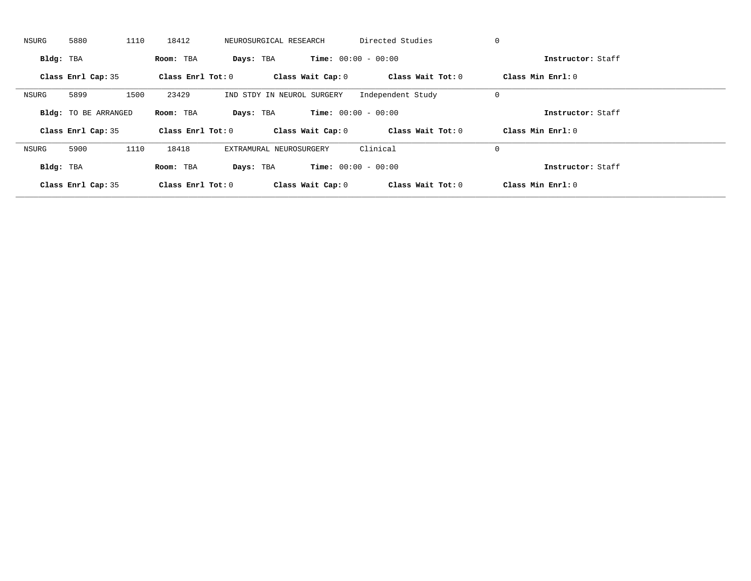| NSURG     | 5880                        | 1110 | 18412               | NEUROSURGICAL RESEARCH     |                   | Directed Studies             | 0                   |  |
|-----------|-----------------------------|------|---------------------|----------------------------|-------------------|------------------------------|---------------------|--|
| Bldg: TBA |                             |      | Room: TBA           | Days: TBA                  |                   | <b>Time:</b> $00:00 - 00:00$ | Instructor: Staff   |  |
|           | Class Enrl Cap: 35          |      | Class Enrl Tot: $0$ |                            | Class Wait Cap: 0 | Class Wait Tot: 0            | Class Min Enrl: 0   |  |
| NSURG     | 5899                        | 1500 | 23429               | IND STDY IN NEUROL SURGERY |                   | Independent Study            | 0                   |  |
|           | <b>Bldg:</b> TO BE ARRANGED |      | Room: TBA           | Days: TBA                  |                   | <b>Time:</b> $00:00 - 00:00$ | Instructor: Staff   |  |
|           | Class Enrl Cap: 35          |      | Class Enrl Tot: 0   |                            | Class Wait Cap: 0 | Class Wait Tot: 0            | Class Min $Enrl: 0$ |  |
| NSURG     | 5900                        | 1110 | 18418               | EXTRAMURAL NEUROSURGERY    |                   | Clinical                     | 0                   |  |
| Bldg: TBA |                             |      | Room: TBA           | Days: TBA                  |                   | <b>Time:</b> $00:00 - 00:00$ | Instructor: Staff   |  |
|           |                             |      |                     |                            |                   |                              |                     |  |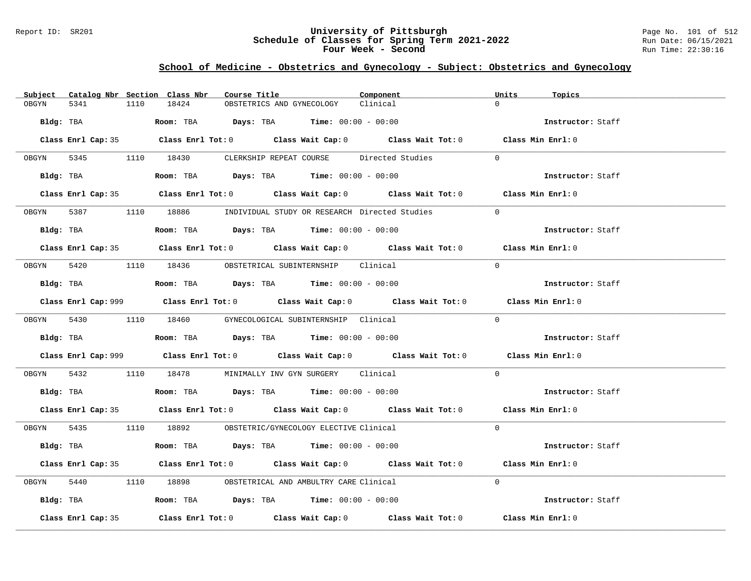### Report ID: SR201 **University of Pittsburgh** Page No. 101 of 512 **Schedule of Classes for Spring Term 2021-2022** Run Date: 06/15/2021 **Four Week - Second Run Time: 22:30:16**

# **School of Medicine - Obstetrics and Gynecology - Subject: Obstetrics and Gynecology**

|            |                    |      | Subject Catalog Nbr Section Class Nbr                                                  | Course Title |                           | Component                                                                                   | Units     | Topics            |  |
|------------|--------------------|------|----------------------------------------------------------------------------------------|--------------|---------------------------|---------------------------------------------------------------------------------------------|-----------|-------------------|--|
| OBGYN      | 5341               | 1110 | 18424                                                                                  |              | OBSTETRICS AND GYNECOLOGY | Clinical                                                                                    | $\Omega$  |                   |  |
| Bldg: TBA  |                    |      | Room: TBA $Days: TBA$ Time: $00:00 - 00:00$                                            |              |                           |                                                                                             |           | Instructor: Staff |  |
|            |                    |      |                                                                                        |              |                           | Class Enrl Cap: 35 Class Enrl Tot: 0 Class Wait Cap: 0 Class Wait Tot: 0 Class Min Enrl: 0  |           |                   |  |
|            |                    |      |                                                                                        |              |                           | OBGYN 5345 1110 18430 CLERKSHIP REPEAT COURSE Directed Studies                              | $\Omega$  |                   |  |
|            |                    |      |                                                                                        |              |                           |                                                                                             |           | Instructor: Staff |  |
|            |                    |      |                                                                                        |              |                           | Class Enrl Cap: 35 Class Enrl Tot: 0 Class Wait Cap: 0 Class Wait Tot: 0 Class Min Enrl: 0  |           |                   |  |
|            |                    |      |                                                                                        |              |                           | 0BGYN 5387 1110 18886 INDIVIDUAL STUDY OR RESEARCH Directed Studies                         | $\bigcap$ |                   |  |
|            | Bldg: TBA          |      | Room: TBA $Days:$ TBA $Time: 00:00 - 00:00$                                            |              |                           |                                                                                             |           | Instructor: Staff |  |
|            |                    |      |                                                                                        |              |                           | Class Enrl Cap: 35 Class Enrl Tot: 0 Class Wait Cap: 0 Class Wait Tot: 0 Class Min Enrl: 0  |           |                   |  |
| OBGYN 5420 |                    |      | 1110 18436 OBSTETRICAL SUBINTERNSHIP Clinical                                          |              |                           |                                                                                             | $\Omega$  |                   |  |
|            |                    |      | $Bldg:$ TBA $Room:$ TBA $Days:$ TBA $Time:$ $00:00 - 00:00$                            |              |                           |                                                                                             |           | Instructor: Staff |  |
|            |                    |      |                                                                                        |              |                           | Class Enrl Cap: 999 Class Enrl Tot: 0 Class Wait Cap: 0 Class Wait Tot: 0 Class Min Enrl: 0 |           |                   |  |
|            |                    |      | OBGYN 5430 1110 18460 GYNECOLOGICAL SUBINTERNSHIP Clinical                             |              |                           |                                                                                             | $\Omega$  |                   |  |
|            |                    |      | Bldg: TBA                   Room: TBA         Days: TBA         Time: $00:00 - 00:00$  |              |                           |                                                                                             |           | Instructor: Staff |  |
|            |                    |      |                                                                                        |              |                           | Class Enrl Cap: 999 Class Enrl Tot: 0 Class Wait Cap: 0 Class Wait Tot: 0 Class Min Enrl: 0 |           |                   |  |
| OBGYN 5432 |                    |      | 1110 18478 MINIMALLY INV GYN SURGERY Clinical                                          |              |                           |                                                                                             | $\Omega$  |                   |  |
|            |                    |      | Bldg: TBA                   Room: TBA         Days: TBA        Time: 00:00 - 00:00     |              |                           |                                                                                             |           | Instructor: Staff |  |
|            |                    |      |                                                                                        |              |                           | Class Enrl Cap: 35 Class Enrl Tot: 0 Class Wait Cap: 0 Class Wait Tot: 0 Class Min Enrl: 0  |           |                   |  |
|            |                    |      | OBGYN 5435 1110 18892 OBSTETRIC/GYNECOLOGY ELECTIVE Clinical                           |              |                           |                                                                                             | $\Omega$  |                   |  |
|            |                    |      | Bldg: TBA                     Room: TBA         Days: TBA        Time: $00:00 - 00:00$ |              |                           |                                                                                             |           | Instructor: Staff |  |
|            |                    |      |                                                                                        |              |                           | Class Enrl Cap: 35 Class Enrl Tot: 0 Class Wait Cap: 0 Class Wait Tot: 0 Class Min Enrl: 0  |           |                   |  |
| OBGYN      | 5440               |      | 1110 18898 OBSTETRICAL AND AMBULTRY CARE Clinical                                      |              |                           |                                                                                             | $\Omega$  |                   |  |
|            |                    |      | Bldg: TBA                   Room: TBA         Days: TBA         Time: 00:00 - 00:00    |              |                           |                                                                                             |           | Instructor: Staff |  |
|            | Class Enrl Cap: 35 |      |                                                                                        |              |                           | Class Enrl Tot: $0$ Class Wait Cap: $0$ Class Wait Tot: $0$                                 |           | Class Min Enrl: 0 |  |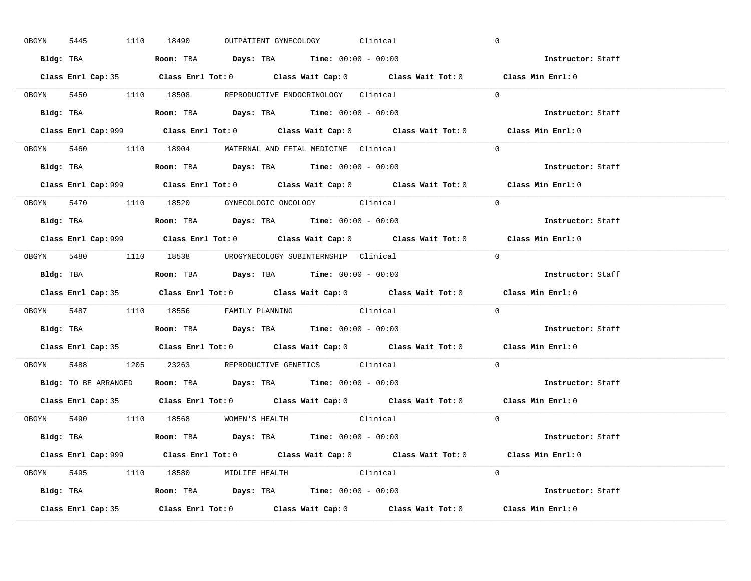| OBGYN | 5445 | 1110 18490                                                                            |  | OUTPATIENT GYNECOLOGY Clinical |                                                                                            | $\mathbf 0$                                                                                 |  |
|-------|------|---------------------------------------------------------------------------------------|--|--------------------------------|--------------------------------------------------------------------------------------------|---------------------------------------------------------------------------------------------|--|
|       |      | Bldg: TBA                   Room: TBA        Days: TBA        Time: 00:00 - 00:00     |  |                                |                                                                                            | Instructor: Staff                                                                           |  |
|       |      |                                                                                       |  |                                |                                                                                            | Class Enrl Cap: 35 Class Enrl Tot: 0 Class Wait Cap: 0 Class Wait Tot: 0 Class Min Enrl: 0  |  |
|       |      | OBGYN 5450 1110 18508 REPRODUCTIVE ENDOCRINOLOGY Clinical                             |  |                                |                                                                                            | $\Omega$                                                                                    |  |
|       |      |                                                                                       |  |                                |                                                                                            | Instructor: Staff                                                                           |  |
|       |      |                                                                                       |  |                                | Class Enrl Cap: 999 Class Enrl Tot: 0 Class Wait Cap: 0 Class Wait Tot: 0                  | Class Min Enrl: 0                                                                           |  |
|       |      | OBGYN 5460 1110 18904 MATERNAL AND FETAL MEDICINE Clinical                            |  |                                |                                                                                            | $\Omega$                                                                                    |  |
|       |      | Bldg: TBA                   Room: TBA         Days: TBA         Time: 00:00 - 00:00   |  |                                |                                                                                            | Instructor: Staff                                                                           |  |
|       |      |                                                                                       |  |                                |                                                                                            | Class Enrl Cap: 999 Class Enrl Tot: 0 Class Wait Cap: 0 Class Wait Tot: 0 Class Min Enrl: 0 |  |
|       |      | OBGYN 5470 1110 18520 GYNECOLOGIC ONCOLOGY Clinical                                   |  |                                |                                                                                            | $\Omega$                                                                                    |  |
|       |      | Bldg: TBA                   Room: TBA         Days: TBA         Time: $00:00 - 00:00$ |  |                                |                                                                                            | Instructor: Staff                                                                           |  |
|       |      |                                                                                       |  |                                |                                                                                            | Class Enrl Cap: 999 Class Enrl Tot: 0 Class Wait Cap: 0 Class Wait Tot: 0 Class Min Enrl: 0 |  |
|       |      | OBGYN 5480 1110 18538 UROGYNECOLOGY_SUBINTERNSHIP Clinical                            |  |                                |                                                                                            | $\Omega$                                                                                    |  |
|       |      | Bldg: TBA                   Room: TBA         Days: TBA         Time: $00:00 - 00:00$ |  |                                |                                                                                            | Instructor: Staff                                                                           |  |
|       |      |                                                                                       |  |                                |                                                                                            |                                                                                             |  |
|       |      |                                                                                       |  |                                | Class Enrl Cap: 35 Class Enrl Tot: 0 Class Wait Cap: 0 Class Wait Tot: 0 Class Min Enrl: 0 |                                                                                             |  |
|       |      | OBGYN 5487 1110 18556 FAMILY PLANNING Clinical                                        |  |                                |                                                                                            | $\Omega$                                                                                    |  |
|       |      | Bldg: TBA                   Room: TBA         Days: TBA         Time: 00:00 - 00:00   |  |                                |                                                                                            | Instructor: Staff                                                                           |  |
|       |      |                                                                                       |  |                                |                                                                                            | Class Enrl Cap: 35 Class Enrl Tot: 0 Class Wait Cap: 0 Class Wait Tot: 0 Class Min Enrl: 0  |  |
| OBGYN |      | 5488 1205 23263 REPRODUCTIVE GENETICS Clinical                                        |  |                                |                                                                                            | $\Omega$                                                                                    |  |
|       |      | Bldg: TO BE ARRANGED ROOM: TBA Days: TBA Time: 00:00 - 00:00                          |  |                                |                                                                                            | Instructor: Staff                                                                           |  |
|       |      |                                                                                       |  |                                |                                                                                            | Class Enrl Cap: 35 Class Enrl Tot: 0 Class Wait Cap: 0 Class Wait Tot: 0 Class Min Enrl: 0  |  |
|       |      | OBGYN 5490 1110 18568 WOMEN'S HEALTH                                                  |  |                                | Clinical                                                                                   | $\overline{0}$                                                                              |  |
|       |      | Bldg: TBA                   Room: TBA         Days: TBA         Time: 00:00 - 00:00   |  |                                |                                                                                            | Instructor: Staff                                                                           |  |
|       |      |                                                                                       |  |                                |                                                                                            | Class Enrl Cap: 999 Class Enrl Tot: 0 Class Wait Cap: 0 Class Wait Tot: 0 Class Min Enrl: 0 |  |
|       |      | OBGYN 5495 1110 18580 MIDLIFE HEALTH Clinical                                         |  |                                |                                                                                            | $\Omega$                                                                                    |  |
|       |      | <b>Bldg:</b> TBA <b>ROOM:</b> TBA <b>Days:</b> TBA <b>Time:</b> $00:00 - 00:00$       |  |                                |                                                                                            | Instructor: Staff                                                                           |  |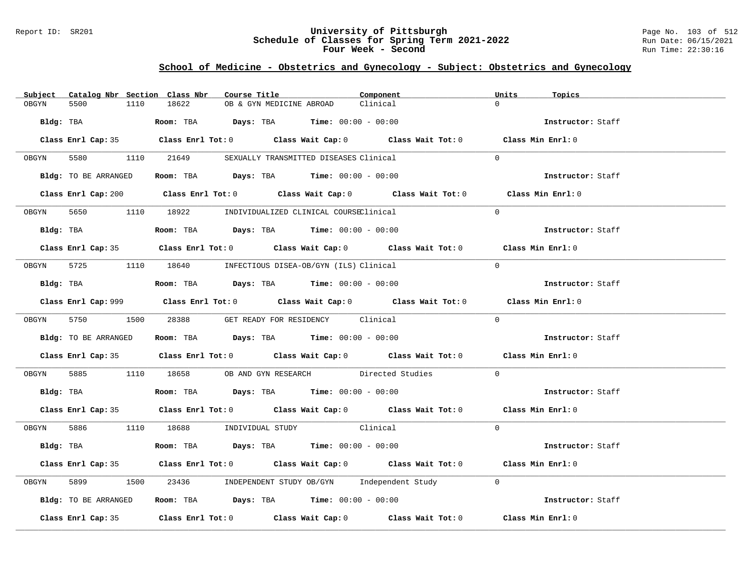### Report ID: SR201 **University of Pittsburgh** Page No. 103 of 512 **Schedule of Classes for Spring Term 2021-2022** Run Date: 06/15/2021 **Four Week - Second Run Time: 22:30:16**

# **School of Medicine - Obstetrics and Gynecology - Subject: Obstetrics and Gynecology**

|       | Subject Catalog Nbr Section Class Nbr | Course Title                                                                                                                                                                                                                  | Component | Units<br>Topics   |  |
|-------|---------------------------------------|-------------------------------------------------------------------------------------------------------------------------------------------------------------------------------------------------------------------------------|-----------|-------------------|--|
| OBGYN | 5500<br>1110                          | 18622<br>OB & GYN MEDICINE ABROAD                                                                                                                                                                                             | Clinical  | $\Omega$          |  |
|       | Bldg: TBA                             | Room: TBA $Days: TBA$ Time: $00:00 - 00:00$                                                                                                                                                                                   |           | Instructor: Staff |  |
|       |                                       | Class Enrl Cap: 35 Class Enrl Tot: 0 Class Wait Cap: 0 Class Wait Tot: 0 Class Min Enrl: 0                                                                                                                                    |           |                   |  |
|       |                                       | OBGYN 5580 1110 21649 SEXUALLY TRANSMITTED DISEASES Clinical                                                                                                                                                                  |           | $\Omega$          |  |
|       |                                       | Bldg: TO BE ARRANGED Room: TBA Days: TBA Time: 00:00 - 00:00                                                                                                                                                                  |           | Instructor: Staff |  |
|       |                                       | Class Enrl Cap: 200 Class Enrl Tot: 0 Class Wait Cap: 0 Class Wait Tot: 0 Class Min Enrl: 0                                                                                                                                   |           |                   |  |
|       |                                       | OBGYN 5650 1110 18922 INDIVIDUALIZED CLINICAL COURSEClinical                                                                                                                                                                  |           | $\Omega$          |  |
|       | Bldg: TBA                             | Room: TBA $Days:$ TBA $Time: 00:00 - 00:00$                                                                                                                                                                                   |           | Instructor: Staff |  |
|       |                                       | Class Enrl Cap: 35 Class Enrl Tot: 0 Class Wait Cap: 0 Class Wait Tot: 0 Class Min Enrl: 0                                                                                                                                    |           |                   |  |
|       |                                       | 0BGYN 5725 1110 18640 INFECTIOUS DISEA-OB/GYN (ILS) Clinical                                                                                                                                                                  |           | $\Omega$          |  |
|       |                                       | $Bldg:$ TBA $Room:$ TBA $Days:$ TBA $Time:$ $00:00 - 00:00$                                                                                                                                                                   |           | Instructor: Staff |  |
|       |                                       | Class Enrl Cap: 999 Class Enrl Tot: 0 Class Wait Cap: 0 Class Wait Tot: 0 Class Min Enrl: 0                                                                                                                                   |           |                   |  |
|       | OBGYN 5750 1500 28388                 | GET READY FOR RESIDENCY Clinical                                                                                                                                                                                              |           | $\Omega$          |  |
|       | Bldg: TO BE ARRANGED                  | Room: TBA $Days:$ TBA Time: $00:00 - 00:00$                                                                                                                                                                                   |           | Instructor: Staff |  |
|       |                                       | Class Enrl Cap: 35 Class Enrl Tot: 0 Class Wait Cap: 0 Class Wait Tot: 0 Class Min Enrl: 0                                                                                                                                    |           |                   |  |
| OBGYN |                                       | 5885 1110 18658 OB AND GYN RESEARCH Directed Studies                                                                                                                                                                          |           | $\Omega$          |  |
|       |                                       | Bldg: TBA                      Room: TBA          Days: TBA         Time: $00:00 - 00:00$                                                                                                                                     |           | Instructor: Staff |  |
|       |                                       | Class Enrl Cap: 35 Class Enrl Tot: 0 Class Wait Cap: 0 Class Wait Tot: 0 Class Min Enrl: 0                                                                                                                                    |           |                   |  |
|       |                                       | OBGYN 5886 1110 18688 INDIVIDUAL STUDY Clinical                                                                                                                                                                               |           | $\Omega$          |  |
|       |                                       | Bldg: TBA                   Room: TBA         Days: TBA         Time: 00:00 - 00:00                                                                                                                                           |           | Instructor: Staff |  |
|       |                                       | Class Enrl Cap: 35 Class Enrl Tot: 0 Class Wait Cap: 0 Class Wait Tot: 0 Class Min Enrl: 0                                                                                                                                    |           |                   |  |
| OBGYN | 5899                                  | 1500 23436 INDEPENDENT STUDY OB/GYN Independent Study 0                                                                                                                                                                       |           |                   |  |
|       | Bldg: TO BE ARRANGED                  | Room: TBA $Days:$ TBA $Time: 00:00 - 00:00$                                                                                                                                                                                   |           | Instructor: Staff |  |
|       |                                       | Class Enrl Cap: 35 $\,$ Class Enrl Tot: 0 $\,$ Class Wait Cap: 0 $\,$ Class Wait Tot: 0 $\,$ Class Enrl Tot: 0 $\,$ Class Enrl Tot: 0 $\,$ Class Enrl Tot: 0 $\,$ Class Enrl Tot: 0 $\,$ Class Enrl Tot: 0 $\,$ Class Enrl To |           | Class Min Enrl: 0 |  |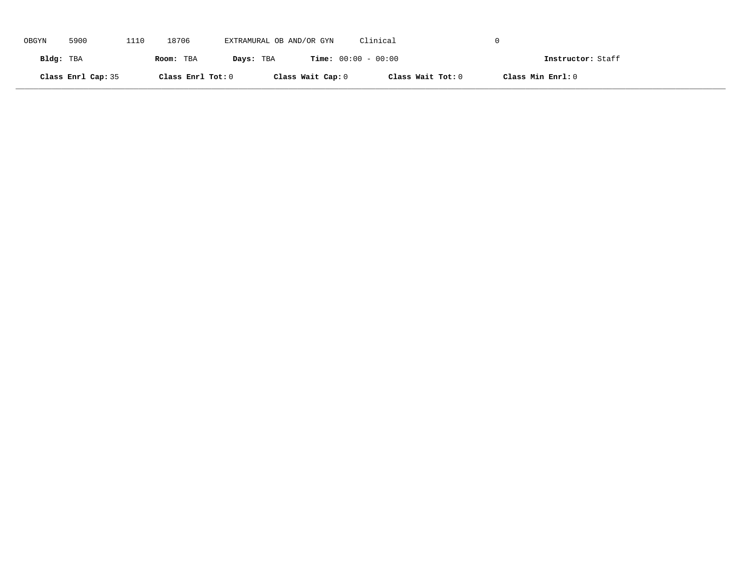| OBGYN     | 5900               | 1110 | 18706             | EXTRAMURAL OB AND/OR GYN |                   | Clinical                     |                   |  |
|-----------|--------------------|------|-------------------|--------------------------|-------------------|------------------------------|-------------------|--|
| Bldg: TBA |                    |      | Room: TBA         | Days: TBA                |                   | <b>Time:</b> $00:00 - 00:00$ | Instructor: Staff |  |
|           | Class Enrl Cap: 35 |      | Class Enrl Tot: 0 |                          | Class Wait Cap: 0 | Class Wait Tot: 0            | Class Min Enrl: 0 |  |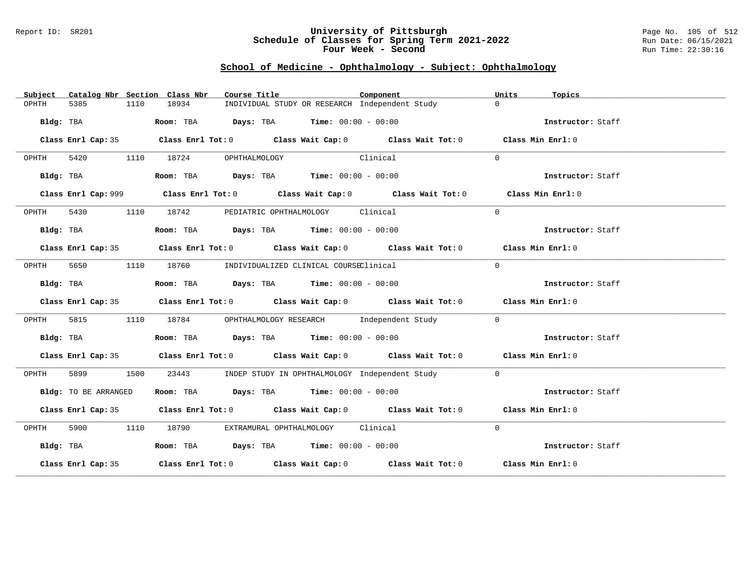#### Report ID: SR201 **University of Pittsburgh** Page No. 105 of 512 **Schedule of Classes for Spring Term 2021-2022** Run Date: 06/15/2021 **Four Week - Second Run Time: 22:30:16**

# **School of Medicine - Ophthalmology - Subject: Ophthalmology**

| Subject   |                      |      | Catalog Nbr Section Class Nbr | Course Title                                                                          |          | Component                                                                                   | Units    | Topics            |
|-----------|----------------------|------|-------------------------------|---------------------------------------------------------------------------------------|----------|---------------------------------------------------------------------------------------------|----------|-------------------|
| OPHTH     | 5385                 | 1110 | 18934                         | INDIVIDUAL STUDY OR RESEARCH Independent Study                                        |          |                                                                                             | $\Omega$ |                   |
|           | Bldg: TBA            |      |                               | Room: TBA $Days:$ TBA Time: $00:00 - 00:00$                                           |          |                                                                                             |          | Instructor: Staff |
|           |                      |      |                               |                                                                                       |          | Class Enrl Cap: 35 Class Enrl Tot: 0 Class Wait Cap: 0 Class Wait Tot: 0 Class Min Enrl: 0  |          |                   |
| OPHTH     |                      |      |                               | 5420 1110 18724 OPHTHALMOLOGY                                                         | Clinical |                                                                                             | $\Omega$ |                   |
|           | Bldg: TBA            |      |                               | Room: TBA $Days:$ TBA $Time: 00:00 - 00:00$                                           |          |                                                                                             |          | Instructor: Staff |
|           |                      |      |                               |                                                                                       |          | Class Enrl Cap: 999 Class Enrl Tot: 0 Class Wait Cap: 0 Class Wait Tot: 0 Class Min Enrl: 0 |          |                   |
| OPHTH     | 5430                 |      |                               | 1110 18742 PEDIATRIC OPHTHALMOLOGY Clinical                                           |          |                                                                                             | $\Omega$ |                   |
|           | Bldg: TBA            |      |                               | Room: TBA $Days:$ TBA $Time: 00:00 - 00:00$                                           |          |                                                                                             |          | Instructor: Staff |
|           |                      |      |                               |                                                                                       |          | Class Enrl Cap: 35 Class Enrl Tot: 0 Class Wait Cap: 0 Class Wait Tot: 0 Class Min Enrl: 0  |          |                   |
|           |                      |      |                               | OPHTH 5650 1110 18760 INDIVIDUALIZED CLINICAL COURSEClinical                          |          |                                                                                             | $\Omega$ |                   |
|           | Bldg: TBA            |      |                               | Room: TBA $Days:$ TBA $Time: 00:00 - 00:00$                                           |          |                                                                                             |          | Instructor: Staff |
|           |                      |      |                               |                                                                                       |          | Class Enrl Cap: 35 Class Enrl Tot: 0 Class Wait Cap: 0 Class Wait Tot: 0 Class Min Enrl: 0  |          |                   |
| OPHTH     | 5815                 |      |                               |                                                                                       |          | 1110 18784 OPHTHALMOLOGY RESEARCH Independent Study                                         | $\Omega$ |                   |
|           | Bldg: TBA            |      |                               | <b>Room:</b> TBA $\rule{1em}{0.15mm}$ <b>Days:</b> TBA <b>Time:</b> $00:00 - 00:00$   |          |                                                                                             |          | Instructor: Staff |
|           |                      |      |                               |                                                                                       |          | Class Enrl Cap: 35 Class Enrl Tot: 0 Class Wait Cap: 0 Class Wait Tot: 0 Class Min Enrl: 0  |          |                   |
| OPHTH     | 5899 1500            |      | 23443                         | INDEP STUDY IN OPHTHALMOLOGY Independent Study                                        |          |                                                                                             | $\Omega$ |                   |
|           | Bldg: TO BE ARRANGED |      |                               | Room: TBA $\rule{1em}{0.15mm}$ Days: TBA $\rule{1.5mm}{0.15mm}$ Time: $00:00 - 00:00$ |          |                                                                                             |          | Instructor: Staff |
|           |                      |      |                               |                                                                                       |          | Class Enrl Cap: 35 Class Enrl Tot: 0 Class Wait Cap: 0 Class Wait Tot: 0 Class Min Enrl: 0  |          |                   |
| OPHTH     |                      |      |                               | 5900 1110 18790 EXTRAMURAL OPHTHALMOLOGY Clinical                                     |          |                                                                                             | $\Omega$ |                   |
| Bldg: TBA |                      |      |                               | Room: TBA $Days:$ TBA $Time: 00:00 - 00:00$                                           |          |                                                                                             |          | Instructor: Staff |
|           |                      |      |                               |                                                                                       |          | Class Enrl Cap: 35 Class Enrl Tot: 0 Class Wait Cap: 0 Class Wait Tot: 0 Class Min Enrl: 0  |          |                   |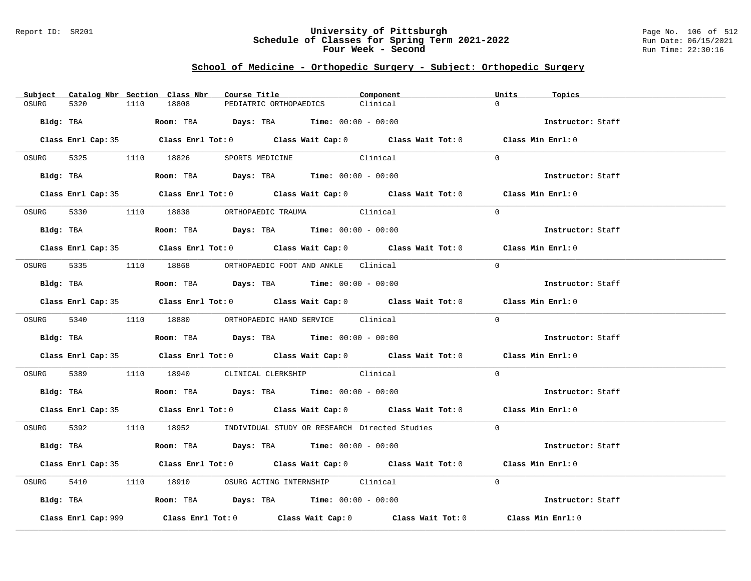### Report ID: SR201 **University of Pittsburgh** Page No. 106 of 512 **Schedule of Classes for Spring Term 2021-2022** Run Date: 06/15/2021 **Four Week - Second Run Time: 22:30:16**

# **School of Medicine - Orthopedic Surgery - Subject: Orthopedic Surgery**

|                     | Subject Catalog Nbr Section Class Nbr | Course Title                                                                                   | Component                                                             | Units<br>Topics                                                                            |  |
|---------------------|---------------------------------------|------------------------------------------------------------------------------------------------|-----------------------------------------------------------------------|--------------------------------------------------------------------------------------------|--|
| OSURG<br>5320       | 18808<br>1110                         | PEDIATRIC ORTHOPAEDICS                                                                         | Clinical                                                              | $\Omega$                                                                                   |  |
| Bldg: TBA           |                                       | Room: TBA $Days:$ TBA $Time: 00:00 - 00:00$                                                    |                                                                       | Instructor: Staff                                                                          |  |
|                     |                                       |                                                                                                |                                                                       | Class Enrl Cap: 35 Class Enrl Tot: 0 Class Wait Cap: 0 Class Wait Tot: 0 Class Min Enrl: 0 |  |
|                     |                                       | OSURG 5325 1110 18826 SPORTS MEDICINE                                                          | Clinical                                                              | $\Omega$                                                                                   |  |
|                     |                                       | Bldg: TBA                   Room: TBA         Days: TBA         Time: $00:00 - 00:00$          |                                                                       | Instructor: Staff                                                                          |  |
|                     |                                       |                                                                                                |                                                                       | Class Enrl Cap: 35 Class Enrl Tot: 0 Class Wait Cap: 0 Class Wait Tot: 0 Class Min Enrl: 0 |  |
|                     |                                       | OSURG 5330 1110 18838 ORTHOPAEDIC TRAUMA Clinical                                              |                                                                       | $\Omega$                                                                                   |  |
|                     |                                       | <b>Bldg:</b> TBA <b>ROOM:</b> TBA <b>Days:</b> TBA <b>Time:</b> $00:00 - 00:00$                |                                                                       | Instructor: Staff                                                                          |  |
|                     |                                       |                                                                                                |                                                                       | Class Enrl Cap: 35 Class Enrl Tot: 0 Class Wait Cap: 0 Class Wait Tot: 0 Class Min Enrl: 0 |  |
|                     |                                       | OSURG 5335 1110 18868 ORTHOPAEDIC FOOT AND ANKLE Clinical                                      |                                                                       | $\Omega$                                                                                   |  |
|                     |                                       | Bldg: TBA                   Room: TBA         Days: TBA         Time: $00:00 - 00:00$          |                                                                       | Instructor: Staff                                                                          |  |
|                     |                                       |                                                                                                |                                                                       | Class Enrl Cap: 35 Class Enrl Tot: 0 Class Wait Cap: 0 Class Wait Tot: 0 Class Min Enrl: 0 |  |
|                     |                                       | OSURG 5340 1110 18880 ORTHOPAEDIC HAND SERVICE Clinical                                        |                                                                       | $\Omega$                                                                                   |  |
|                     |                                       | Bldg: TBA                           Room: TBA          Days: TBA         Time: $00:00 - 00:00$ |                                                                       | Instructor: Staff                                                                          |  |
|                     |                                       |                                                                                                |                                                                       | Class Enrl Cap: 35 Class Enrl Tot: 0 Class Wait Cap: 0 Class Wait Tot: 0 Class Min Enrl: 0 |  |
|                     |                                       | OSURG 5389 1110 18940 CLINICAL CLERKSHIP Clinical                                              |                                                                       | $\Omega$                                                                                   |  |
|                     |                                       | <b>Bldg:</b> TBA <b>Room:</b> TBA <b>Days:</b> TBA <b>Time:</b> $00:00 - 00:00$                |                                                                       | Instructor: Staff                                                                          |  |
|                     |                                       |                                                                                                |                                                                       | Class Enrl Cap: 35 Class Enrl Tot: 0 Class Wait Cap: 0 Class Wait Tot: 0 Class Min Enrl: 0 |  |
|                     |                                       |                                                                                                | OSURG 5392 1110 18952 INDIVIDUAL STUDY OR RESEARCH Directed Studies 0 |                                                                                            |  |
|                     |                                       | Bldg: TBA                   Room: TBA         Days: TBA        Time: $00:00 - 00:00$           |                                                                       | Instructor: Staff                                                                          |  |
|                     |                                       |                                                                                                |                                                                       | Class Enrl Cap: 35 Class Enrl Tot: 0 Class Wait Cap: 0 Class Wait Tot: 0 Class Min Enrl: 0 |  |
|                     |                                       | OSURG 5410 1110 18910 OSURG ACTING INTERNSHIP Clinical                                         |                                                                       | $\Omega$                                                                                   |  |
|                     |                                       | Bldg: TBA                  Room: TBA        Days: TBA        Time: 00:00 - 00:00               |                                                                       | Instructor: Staff                                                                          |  |
| Class Enrl Cap: 999 |                                       |                                                                                                | Class Enrl Tot: $0$ Class Wait Cap: $0$ Class Wait Tot: $0$           | Class Min Enrl: 0                                                                          |  |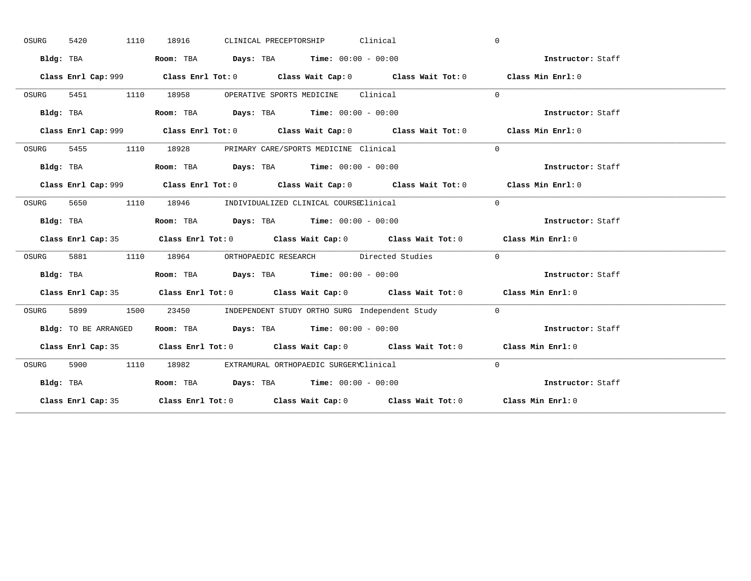| OSURG | 5420                 | 1110<br>18916 | CLINICAL PRECEPTORSHIP Clinical                                                       |                                                                                             | $\mathbf{0}$      |  |
|-------|----------------------|---------------|---------------------------------------------------------------------------------------|---------------------------------------------------------------------------------------------|-------------------|--|
|       | Bldg: TBA            |               | Room: TBA $Days:$ TBA $Time: 00:00 - 00:00$                                           |                                                                                             | Instructor: Staff |  |
|       |                      |               |                                                                                       | Class Enrl Cap: 999 Class Enrl Tot: 0 Class Wait Cap: 0 Class Wait Tot: 0 Class Min Enrl: 0 |                   |  |
| OSURG |                      |               | 5451 1110 18958 OPERATIVE SPORTS MEDICINE Clinical                                    |                                                                                             | $\Omega$          |  |
|       | Bldg: TBA            |               | Room: TBA $Days:$ TBA Time: $00:00 - 00:00$                                           |                                                                                             | Instructor: Staff |  |
|       |                      |               |                                                                                       | Class Enrl Cap: 999 Class Enrl Tot: 0 Class Wait Cap: 0 Class Wait Tot: 0 Class Min Enrl: 0 |                   |  |
| OSURG |                      |               | 5455 1110 18928 PRIMARY CARE/SPORTS MEDICINE Clinical                                 |                                                                                             | $\Omega$          |  |
|       | Bldg: TBA            |               | Room: TBA $Days:$ TBA $Time: 00:00 - 00:00$                                           |                                                                                             | Instructor: Staff |  |
|       |                      |               |                                                                                       | Class Enrl Cap: 999 Class Enrl Tot: 0 Class Wait Cap: 0 Class Wait Tot: 0                   | Class Min Enrl: 0 |  |
| OSURG | 5650 1110            |               | 18946 INDIVIDUALIZED CLINICAL COURSEClinical                                          |                                                                                             | $\Omega$          |  |
|       | Bldg: TBA            |               | Room: TBA $Days:$ TBA $Time: 00:00 - 00:00$                                           |                                                                                             | Instructor: Staff |  |
|       |                      |               |                                                                                       | Class Enrl Cap: 35 Class Enrl Tot: 0 Class Wait Cap: 0 Class Wait Tot: 0 Class Min Enrl: 0  |                   |  |
| OSURG |                      |               |                                                                                       |                                                                                             |                   |  |
|       |                      |               | 5881 1110 18964 ORTHOPAEDIC RESEARCH Directed Studies                                 | $\sim$ 0                                                                                    |                   |  |
|       | Bldg: TBA            |               | Room: TBA $\rule{1em}{0.15mm}$ Days: TBA $\rule{1.5mm}{0.15mm}$ Time: $00:00 - 00:00$ |                                                                                             | Instructor: Staff |  |
|       |                      |               |                                                                                       | Class Enrl Cap: 35 Class Enrl Tot: 0 Class Wait Cap: 0 Class Wait Tot: 0 Class Min Enrl: 0  |                   |  |
| OSURG |                      |               |                                                                                       | 1500 23450 INDEPENDENT STUDY ORTHO SURG Independent Study 0                                 |                   |  |
|       | Bldg: TO BE ARRANGED |               | Room: TBA $\rule{1em}{0.15mm}$ Days: TBA Time: $00:00 - 00:00$                        |                                                                                             | Instructor: Staff |  |
|       |                      |               |                                                                                       | Class Enrl Cap: 35 Class Enrl Tot: 0 Class Wait Cap: 0 Class Wait Tot: 0 Class Min Enrl: 0  |                   |  |
| OSURG |                      |               | 5900 1110 18982 EXTRAMURAL ORTHOPAEDIC SURGERYClinical                                |                                                                                             | $\Omega$          |  |
|       | Bldg: TBA            |               | Room: TBA $Days:$ TBA Time: $00:00 - 00:00$                                           |                                                                                             | Instructor: Staff |  |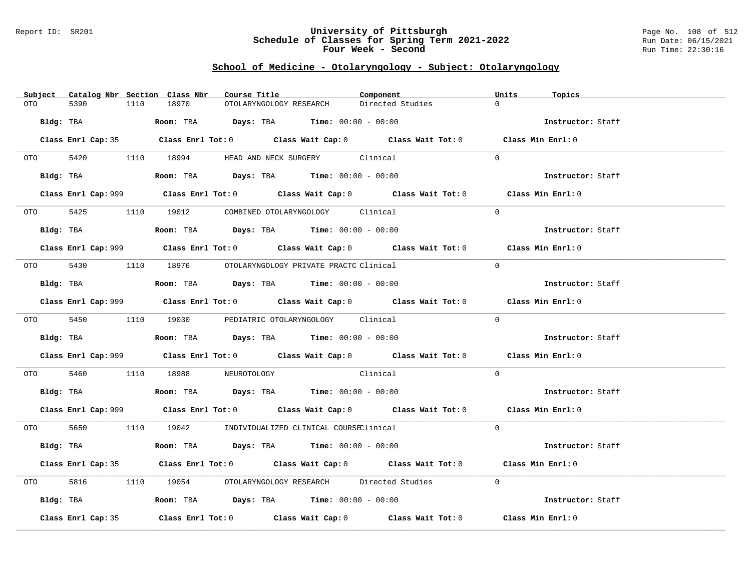### Report ID: SR201 **University of Pittsburgh** Page No. 108 of 512 **Schedule of Classes for Spring Term 2021-2022** Run Date: 06/15/2021 **Four Week - Second Run Time: 22:30:16**

## **School of Medicine - Otolaryngology - Subject: Otolaryngology**

| Subject Catalog Nbr Section Class Nbr | Course Title                                                                                       | Component        | Units<br>Topics   |
|---------------------------------------|----------------------------------------------------------------------------------------------------|------------------|-------------------|
| 5390<br>1110<br>OTO                   | 18970<br>OTOLARYNGOLOGY RESEARCH                                                                   | Directed Studies | $\Omega$          |
| Bldg: TBA                             | Room: TBA $Days: TBA$ Time: $00:00 - 00:00$                                                        |                  | Instructor: Staff |
|                                       | Class Enrl Cap: 35 Class Enrl Tot: 0 Class Wait Cap: 0 Class Wait Tot: 0 Class Min Enrl: 0         |                  |                   |
|                                       | OTO 5420 1110 18994 HEAD AND NECK SURGERY Clinical                                                 |                  | $\Omega$          |
|                                       | Bldg: TBA                   Room: TBA         Days: TBA         Time: 00:00 - 00:00                |                  | Instructor: Staff |
|                                       | Class Enrl Cap: 999 Class Enrl Tot: 0 Class Wait Cap: 0 Class Wait Tot: 0 Class Min Enrl: 0        |                  |                   |
|                                       | OTO 5425 1110 19012 COMBINED OTOLARYNGOLOGY Clinical                                               |                  | $\Omega$          |
|                                       | Bldg: TBA                    Room: TBA         Days: TBA         Time: $00:00 - 00:00$             |                  | Instructor: Staff |
|                                       | Class Enrl Cap: 999 Class Enrl Tot: 0 Class Wait Cap: 0 Class Wait Tot: 0 Class Min Enrl: 0        |                  |                   |
|                                       | 0TO 5430 1110 18976 OTOLARYNGOLOGY PRIVATE PRACTC Clinical                                         |                  | $\Omega$          |
|                                       | Bldg: TBA                    Room: TBA         Days: TBA         Time: $00:00 - 00:00$             |                  | Instructor: Staff |
|                                       | Class Enrl Cap: 999 Class Enrl Tot: 0 Class Wait Cap: 0 Class Wait Tot: 0 Class Min Enrl: 0        |                  |                   |
|                                       | 0TO 5450 1110 19030 PEDIATRIC OTOLARYNGOLOGY Clinical                                              |                  | $\Omega$          |
|                                       | Bldg: TBA                   Room: TBA         Days: TBA        Time: $00:00 - 00:00$               |                  | Instructor: Staff |
|                                       | Class Enrl Cap: 999 Class Enrl Tot: 0 Class Wait Cap: 0 Class Wait Tot: 0 Class Min Enrl: 0        |                  |                   |
| OTO 5460                              | 1110 18988 NEUROTOLOGY Clinical                                                                    |                  | $\Omega$          |
|                                       | Bldg: TBA                        Room: TBA          Days: TBA         Time: $00:00 - 00:00$        |                  | Instructor: Staff |
|                                       | Class Enrl Cap: 999 Class Enrl Tot: 0 Class Wait Cap: 0 Class Wait Tot: 0 Class Min Enrl: 0        |                  |                   |
|                                       | 0TO 5650 1110 19042 INDIVIDUALIZED CLINICAL COURSEClinical                                         |                  | $\Omega$          |
|                                       | Bldg: TBA                   Room: TBA         Days: TBA         Time: $00:00 - 00:00$              |                  | Instructor: Staff |
|                                       | Class Enrl Cap: 35 Class Enrl Tot: 0 Class Wait Cap: 0 Class Wait Tot: 0 Class Min Enrl: 0         |                  |                   |
| OTO DIE<br>5816                       | 1110 19054 OTOLARYNGOLOGY RESEARCH Directed Studies                                                |                  | $\overline{0}$    |
|                                       | Bldg: TBA                    Room: TBA        Days: TBA        Time: 00:00 - 00:00                 |                  | Instructor: Staff |
| Class Enrl Cap: 35                    | Class Enrl Tot: 0 $\qquad$ Class Wait Cap: 0 $\qquad$ Class Wait Tot: 0 $\qquad$ Class Min Enrl: 0 |                  |                   |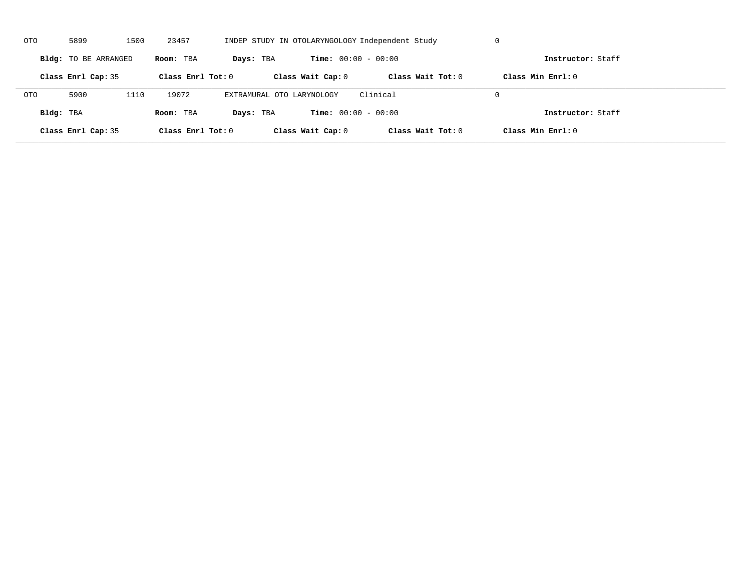| OTO        | 5899                 | 1500 | 23457               |                           |                              | INDEP STUDY IN OTOLARYNGOLOGY Independent Study | U                   |  |
|------------|----------------------|------|---------------------|---------------------------|------------------------------|-------------------------------------------------|---------------------|--|
|            | Bldg: TO BE ARRANGED |      | Room: TBA           | Days: TBA                 | <b>Time:</b> $00:00 - 00:00$ |                                                 | Instructor: Staff   |  |
|            | Class Enrl Cap: 35   |      | Class Enrl Tot: $0$ |                           | Class Wait Cap: 0            | Class Wait $Tot: 0$                             | Class Min $Enrl: 0$ |  |
| <b>OTO</b> | 5900                 | 1110 | 19072               | EXTRAMURAL OTO LARYNOLOGY |                              | Clinical                                        | $\Omega$            |  |
| Bldg: TBA  |                      |      | Room: TBA           | Days: TBA                 | <b>Time:</b> $00:00 - 00:00$ |                                                 | Instructor: Staff   |  |
|            | Class Enrl Cap: 35   |      | Class Enrl Tot: 0   |                           | Class Wait Cap: 0            | Class Wait Tot: 0                               | Class Min Enrl: 0   |  |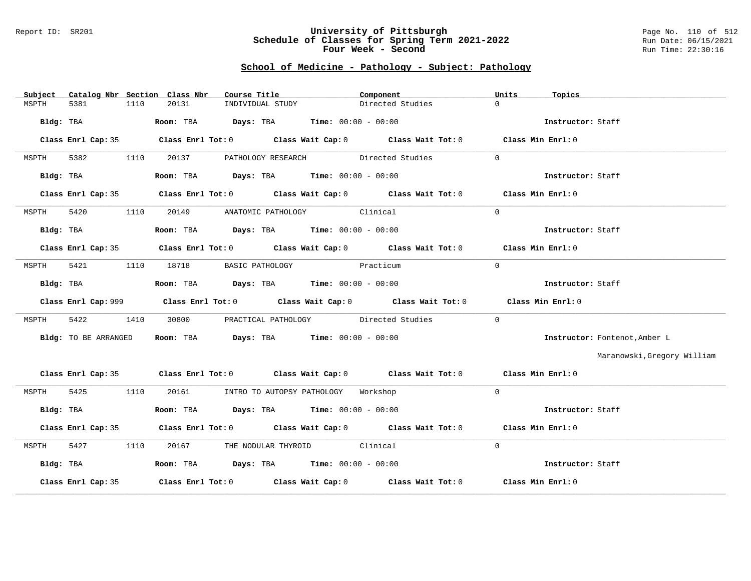#### Report ID: SR201 **University of Pittsburgh** Page No. 110 of 512 **Schedule of Classes for Spring Term 2021-2022** Run Date: 06/15/2021 **Four Week - Second Run Time: 22:30:16**

## **School of Medicine - Pathology - Subject: Pathology**

| Subject |                      |      | Catalog Nbr Section Class Nbr | Course Title                                                   | Component                                                                                   | Units          | Topics                        |
|---------|----------------------|------|-------------------------------|----------------------------------------------------------------|---------------------------------------------------------------------------------------------|----------------|-------------------------------|
| MSPTH   | 5381                 | 1110 | 20131                         | INDIVIDUAL STUDY                                               | Directed Studies                                                                            | $\Omega$       |                               |
|         | Bldg: TBA            |      |                               | Room: TBA $Days:$ TBA $Time: 00:00 - 00:00$                    |                                                                                             |                | Instructor: Staff             |
|         |                      |      |                               |                                                                | Class Enrl Cap: 35 Class Enrl Tot: 0 Class Wait Cap: 0 Class Wait Tot: 0 Class Min Enrl: 0  |                |                               |
| MSPTH   | 5382                 | 1110 | 20137                         |                                                                | PATHOLOGY RESEARCH Directed Studies                                                         | $\Omega$       |                               |
|         | Bldg: TBA            |      |                               | Room: TBA $Days: TBA$ Time: $00:00 - 00:00$                    |                                                                                             |                | Instructor: Staff             |
|         |                      |      |                               |                                                                | Class Enrl Cap: 35 Class Enrl Tot: 0 Class Wait Cap: 0 Class Wait Tot: 0 Class Min Enrl: 0  |                |                               |
| MSPTH   | 5420                 | 1110 |                               | 20149 ANATOMIC PATHOLOGY Clinical                              |                                                                                             | $\mathbf{0}$   |                               |
|         | Bldg: TBA            |      |                               | Room: TBA $Days:$ TBA $Time: 00:00 - 00:00$                    |                                                                                             |                | Instructor: Staff             |
|         |                      |      |                               |                                                                | Class Enrl Cap: 35 Class Enrl Tot: 0 Class Wait Cap: 0 Class Wait Tot: 0 Class Min Enrl: 0  |                |                               |
| MSPTH   | 5421                 |      |                               | 1110 18718 BASIC PATHOLOGY Practicum                           |                                                                                             | $\Omega$       |                               |
|         | Bldg: TBA            |      |                               | Room: TBA $Days:$ TBA $Time:$ 00:00 - 00:00                    |                                                                                             |                | Instructor: Staff             |
|         |                      |      |                               |                                                                | Class Enrl Cap: 999 Class Enrl Tot: 0 Class Wait Cap: 0 Class Wait Tot: 0 Class Min Enrl: 0 |                |                               |
| MSPTH   | 5422                 | 1410 |                               |                                                                | 30800 PRACTICAL PATHOLOGY Directed Studies                                                  | $\overline{0}$ |                               |
|         | Bldg: TO BE ARRANGED |      |                               | Room: TBA $Days:$ TBA Time: $00:00 - 00:00$                    |                                                                                             |                | Instructor: Fontenot, Amber L |
|         |                      |      |                               |                                                                |                                                                                             |                | Maranowski, Gregory William   |
|         |                      |      |                               |                                                                | Class Enrl Cap: 35 Class Enrl Tot: 0 Class Wait Cap: 0 Class Wait Tot: 0 Class Min Enrl: 0  |                |                               |
| MSPTH   | 5425 1110            |      |                               | 20161 MTRO TO AUTOPSY PATHOLOGY Workshop                       |                                                                                             | $\Omega$       |                               |
|         | Bldg: TBA            |      |                               | Room: TBA $\rule{1em}{0.15mm}$ Days: TBA Time: $00:00 - 00:00$ |                                                                                             |                | Instructor: Staff             |
|         |                      |      |                               |                                                                | Class Enrl Cap: 35 Class Enrl Tot: 0 Class Wait Cap: 0 Class Wait Tot: 0 Class Min Enrl: 0  |                |                               |
| MSPTH   | 5427                 | 1110 |                               | 20167 THE NODULAR THYROID Clinical                             |                                                                                             | $\Omega$       |                               |
|         | Bldg: TBA            |      |                               | Room: TBA $Days:$ TBA Time: $00:00 - 00:00$                    |                                                                                             |                | Instructor: Staff             |
|         | Class Enrl Cap: 35   |      |                               |                                                                | Class Enrl Tot: $0$ Class Wait Cap: $0$ Class Wait Tot: $0$ Class Min Enrl: $0$             |                |                               |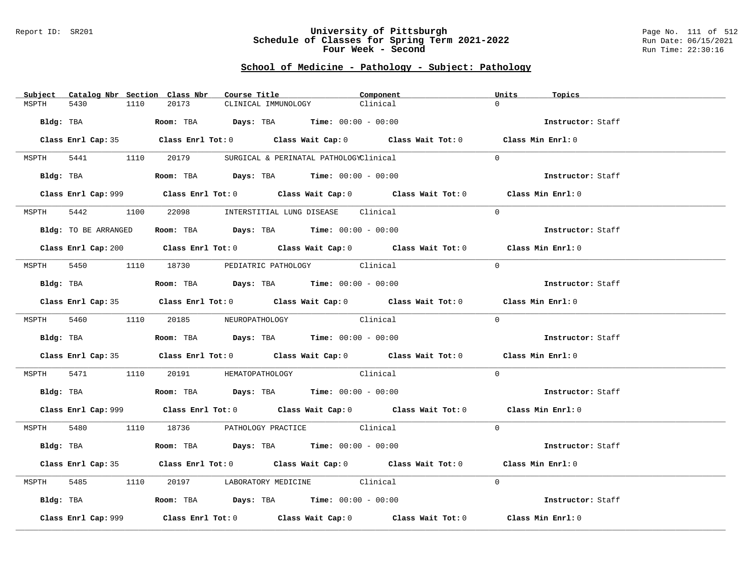#### Report ID: SR201 **University of Pittsburgh** Page No. 111 of 512 **Schedule of Classes for Spring Term 2021-2022** Run Date: 06/15/2021 **Four Week - Second Run Time: 22:30:16**

## **School of Medicine - Pathology - Subject: Pathology**

| Subject | Catalog Nbr Section Class Nbr |                                      | Course Title <b>Source Search</b>                                                           | Component | Units<br>Topics   |  |
|---------|-------------------------------|--------------------------------------|---------------------------------------------------------------------------------------------|-----------|-------------------|--|
| MSPTH   | 5430<br>1110                  | 20173                                | CLINICAL IMMUNOLOGY                                                                         | Clinical  | $\Omega$          |  |
|         |                               |                                      |                                                                                             |           |                   |  |
|         |                               |                                      | Bldg: TBA                    Room: TBA         Days: TBA         Time: $00:00 - 00:00$      |           | Instructor: Staff |  |
|         |                               |                                      | Class Enrl Cap: 35 Class Enrl Tot: 0 Class Wait Cap: 0 Class Wait Tot: 0 Class Min Enrl: 0  |           |                   |  |
|         |                               |                                      | MSPTH 5441 1110 20179 SURGICAL & PERINATAL PATHOLOGYClinical                                |           | $\Omega$          |  |
|         |                               |                                      | Bldg: TBA                    Room: TBA         Days: TBA         Time: 00:00 - 00:00        |           | Instructor: Staff |  |
|         |                               |                                      | Class Enrl Cap: 999 Class Enrl Tot: 0 Class Wait Cap: 0 Class Wait Tot: 0 Class Min Enrl: 0 |           |                   |  |
| MSPTH   | 5442                          |                                      | 1100 22098 INTERSTITIAL LUNG DISEASE Clinical                                               |           | $\Omega$          |  |
|         | Bldg: TO BE ARRANGED          |                                      | Room: TBA $\rule{1em}{0.15mm}$ Days: TBA Time: $00:00 - 00:00$                              |           | Instructor: Staff |  |
|         |                               |                                      | Class Enrl Cap: 200 Class Enrl Tot: 0 Class Wait Cap: 0 Class Wait Tot: 0 Class Min Enrl: 0 |           |                   |  |
|         |                               |                                      | MSPTH 5450 1110 18730 PEDIATRIC PATHOLOGY Clinical                                          |           | $\Omega$          |  |
|         | Bldg: TBA                     |                                      | Room: TBA $Days: TBA$ Time: $00:00 - 00:00$                                                 |           | Instructor: Staff |  |
|         |                               |                                      | Class Enrl Cap: 35 Class Enrl Tot: 0 Class Wait Cap: 0 Class Wait Tot: 0 Class Min Enrl: 0  |           |                   |  |
|         |                               | MSPTH 5460 1110 20185 NEUROPATHOLOGY | Clinical                                                                                    |           | $\Omega$          |  |
|         |                               |                                      | <b>Bldg:</b> TBA <b>ROOM:</b> TBA <b>Days:</b> TBA <b>Time:</b> $00:00 - 00:00$             |           | Instructor: Staff |  |
|         |                               |                                      | Class Enrl Cap: 35 Class Enrl Tot: 0 Class Wait Cap: 0 Class Wait Tot: 0 Class Min Enrl: 0  |           |                   |  |
| MSPTH   |                               |                                      | 5471 1110 20191 HEMATOPATHOLOGY Clinical                                                    |           | $\Omega$          |  |
|         |                               |                                      | <b>Bldg:</b> TBA <b>Room:</b> TBA <b>Days:</b> TBA <b>Time:</b> $00:00 - 00:00$             |           | Instructor: Staff |  |
|         |                               |                                      | Class Enrl Cap: 999 Class Enrl Tot: 0 Class Wait Cap: 0 Class Wait Tot: 0 Class Min Enrl: 0 |           |                   |  |
|         |                               |                                      | MSPTH 5480 1110 18736 PATHOLOGY PRACTICE Clinical                                           |           | $\Omega$          |  |
|         | Bldg: TBA                     |                                      | Room: TBA $Days:$ TBA Time: $00:00 - 00:00$                                                 |           | Instructor: Staff |  |
|         |                               |                                      | Class Enrl Cap: 35 Class Enrl Tot: 0 Class Wait Cap: 0 Class Wait Tot: 0 Class Min Enrl: 0  |           |                   |  |
| MSPTH   |                               |                                      | 5485 1110 20197 LABORATORY MEDICINE Clinical                                                |           | $\Omega$          |  |
|         |                               |                                      | Bldg: TBA                   Room: TBA         Days: TBA         Time: $00:00 - 00:00$       |           | Instructor: Staff |  |
|         | Class Enrl Cap: 999           |                                      | Class Enrl Tot: $0$ Class Wait Cap: $0$ Class Wait Tot: $0$ Class Min Enrl: $0$             |           |                   |  |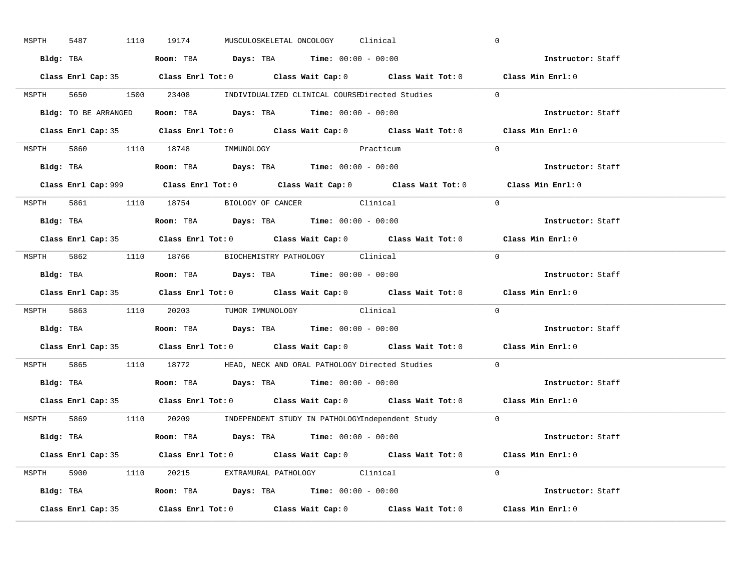| MSPTH | 5487               | 1110 19174                                                                            | MUSCULOSKELETAL ONCOLOGY Clinical |           |                                                                                            | $\mathbf 0$                                                                                 |
|-------|--------------------|---------------------------------------------------------------------------------------|-----------------------------------|-----------|--------------------------------------------------------------------------------------------|---------------------------------------------------------------------------------------------|
|       |                    | Bldg: TBA                   Room: TBA         Days: TBA        Time: 00:00 - 00:00    |                                   |           |                                                                                            | Instructor: Staff                                                                           |
|       |                    |                                                                                       |                                   |           | Class Enrl Cap: 35 Class Enrl Tot: 0 Class Wait Cap: 0 Class Wait Tot: 0 Class Min Enrl: 0 |                                                                                             |
|       |                    |                                                                                       |                                   |           | MSPTH 5650 1500 23408 INDIVIDUALIZED CLINICAL COURSEDirected Studies 0                     |                                                                                             |
|       |                    | Bldg: TO BE ARRANGED ROOM: TBA Days: TBA Time: 00:00 - 00:00                          |                                   |           |                                                                                            | Instructor: Staff                                                                           |
|       |                    |                                                                                       |                                   |           | Class Enrl Cap: 35 Class Enrl Tot: 0 Class Wait Cap: 0 Class Wait Tot: 0 Class Min Enrl: 0 |                                                                                             |
|       |                    | MSPTH 5860 1110 18748 IMMUNOLOGY                                                      |                                   | Practicum |                                                                                            | $\Omega$                                                                                    |
|       |                    |                                                                                       |                                   |           |                                                                                            | Instructor: Staff                                                                           |
|       |                    |                                                                                       |                                   |           |                                                                                            | Class Enrl Cap: 999 Class Enrl Tot: 0 Class Wait Cap: 0 Class Wait Tot: 0 Class Min Enrl: 0 |
|       |                    | MSPTH 5861 1110 18754 BIOLOGY OF CANCER Clinical                                      |                                   |           |                                                                                            | $\Omega$                                                                                    |
|       |                    | Bldg: TBA                   Room: TBA         Days: TBA         Time: $00:00 - 00:00$ |                                   |           |                                                                                            | Instructor: Staff                                                                           |
|       |                    |                                                                                       |                                   |           | Class Enrl Cap: 35 Class Enrl Tot: 0 Class Wait Cap: 0 Class Wait Tot: 0 Class Min Enrl: 0 |                                                                                             |
|       |                    | MSPTH 5862 1110 18766 BIOCHEMISTRY PATHOLOGY Clinical                                 |                                   |           |                                                                                            | $\Omega$                                                                                    |
|       |                    | Bldg: TBA                   Room: TBA         Days: TBA         Time: $00:00 - 00:00$ |                                   |           |                                                                                            | Instructor: Staff                                                                           |
|       |                    |                                                                                       |                                   |           |                                                                                            | Class Enrl Cap: 35 Class Enrl Tot: 0 Class Wait Cap: 0 Class Wait Tot: 0 Class Min Enrl: 0  |
|       |                    | MSPTH 5863 1110 20203 TUMOR IMMUNOLOGY Clinical                                       |                                   |           |                                                                                            | $\Omega$                                                                                    |
|       |                    | Bldg: TBA                   Room: TBA         Days: TBA        Time: $00:00 - 00:00$  |                                   |           |                                                                                            | Instructor: Staff                                                                           |
|       |                    |                                                                                       |                                   |           |                                                                                            | Class Enrl Cap: 35 Class Enrl Tot: 0 Class Wait Cap: 0 Class Wait Tot: 0 Class Min Enrl: 0  |
| MSPTH |                    |                                                                                       |                                   |           | 5865 1110 18772 HEAD, NECK AND ORAL PATHOLOGY Directed Studies                             | $\Omega$                                                                                    |
|       |                    | Bldg: TBA                    Room: TBA         Days: TBA         Time: 00:00 - 00:00  |                                   |           |                                                                                            | Instructor: Staff                                                                           |
|       |                    |                                                                                       |                                   |           | Class Enrl Cap: 35 Class Enrl Tot: 0 Class Wait Cap: 0 Class Wait Tot: 0 Class Min Enrl: 0 |                                                                                             |
|       |                    |                                                                                       |                                   |           | MSPTH 5869 1110 20209 INDEPENDENT STUDY IN PATHOLOGYIndependent Study 0                    |                                                                                             |
|       |                    | Bldg: TBA                    Room: TBA         Days: TBA         Time: 00:00 - 00:00  |                                   |           |                                                                                            | <b>Instructor:</b> Staff                                                                    |
|       |                    |                                                                                       |                                   |           | Class Enrl Cap: 35 Class Enrl Tot: 0 Class Wait Cap: 0 Class Wait Tot: 0 Class Min Enrl: 0 |                                                                                             |
|       |                    | MSPTH 5900 1110 20215 EXTRAMURAL PATHOLOGY Clinical                                   |                                   |           |                                                                                            | $\Omega$                                                                                    |
|       |                    | Bldg: TBA                   Room: TBA         Days: TBA         Time: 00:00 - 00:00   |                                   |           |                                                                                            | Instructor: Staff                                                                           |
|       | Class Enrl Cap: 35 |                                                                                       |                                   |           | Class Enrl Tot: $0$ Class Wait Cap: $0$ Class Wait Tot: $0$ Class Min Enrl: $0$            |                                                                                             |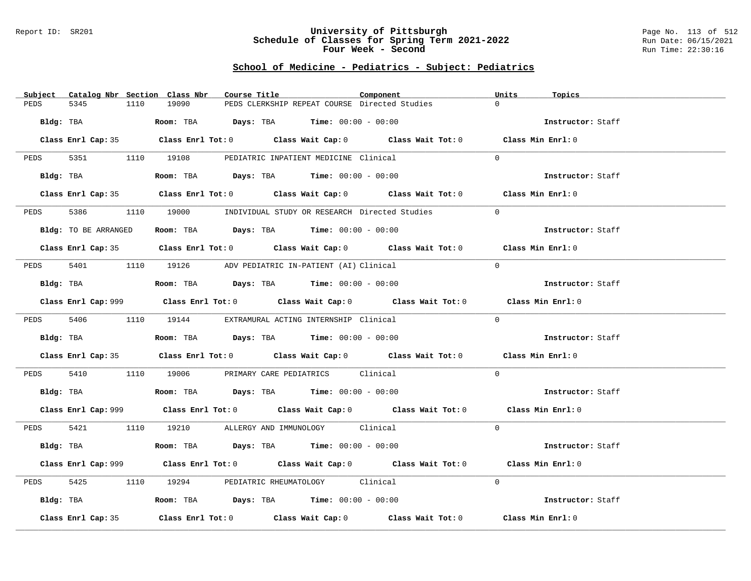#### Report ID: SR201 **University of Pittsburgh** Page No. 113 of 512 **Schedule of Classes for Spring Term 2021-2022** Run Date: 06/15/2021 **Four Week - Second Run Time: 22:30:16**

# **School of Medicine - Pediatrics - Subject: Pediatrics**

| Subject<br>Catalog Nbr Section Class Nbr | Course Title                                                                                | Component | Units<br>Topics   |
|------------------------------------------|---------------------------------------------------------------------------------------------|-----------|-------------------|
| PEDS<br>5345<br>1110                     | 19090<br>PEDS CLERKSHIP REPEAT COURSE Directed Studies                                      |           | $\Omega$          |
| Bldg: TBA                                | Room: TBA Days: TBA Time: $00:00 - 00:00$                                                   |           | Instructor: Staff |
|                                          |                                                                                             |           |                   |
|                                          | Class Enrl Cap: 35 Class Enrl Tot: 0 Class Wait Cap: 0 Class Wait Tot: 0 Class Min Enrl: 0  |           |                   |
|                                          | PEDS 5351 1110 19108 PEDIATRIC INPATIENT MEDICINE Clinical                                  |           | $\Omega$          |
| Bldg: TBA                                | Room: TBA $\rule{1em}{0.15mm}$ Days: TBA $\rule{1.5mm}{0.15mm}$ Time: $00:00 - 00:00$       |           | Instructor: Staff |
|                                          | Class Enrl Cap: 35 Class Enrl Tot: 0 Class Wait Cap: 0 Class Wait Tot: 0 Class Min Enrl: 0  |           |                   |
| 5386<br>PEDS                             | 1110 19000 INDIVIDUAL STUDY OR RESEARCH Directed Studies                                    |           | $\Omega$          |
| Bldg: TO BE ARRANGED                     | Room: TBA $Days:$ TBA $Time: 00:00 - 00:00$                                                 |           | Instructor: Staff |
|                                          | Class Enrl Cap: 35 Class Enrl Tot: 0 Class Wait Cap: 0 Class Wait Tot: 0 Class Min Enrl: 0  |           |                   |
|                                          |                                                                                             |           |                   |
| PEDS                                     | 5401 1110 19126 ADV PEDIATRIC IN-PATIENT (AI) Clinical                                      |           | $\Omega$          |
| Bldg: TBA                                | Room: TBA $Days:$ TBA Time: $00:00 - 00:00$                                                 |           | Instructor: Staff |
|                                          | Class Enrl Cap: 999 Class Enrl Tot: 0 Class Wait Cap: 0 Class Wait Tot: 0 Class Min Enrl: 0 |           |                   |
|                                          | PEDS 5406 1110 19144 EXTRAMURAL ACTING INTERNSHIP Clinical                                  |           | $\Omega$          |
| Bldg: TBA                                | Room: TBA $Days:$ TBA $Time: 00:00 - 00:00$                                                 |           | Instructor: Staff |
|                                          | Class Enrl Cap: 35 Class Enrl Tot: 0 Class Wait Cap: 0 Class Wait Tot: 0 Class Min Enrl: 0  |           |                   |
| PEDS 5410                                | 1110 19006 PRIMARY CARE PEDIATRICS Clinical                                                 |           | $\overline{0}$    |
|                                          |                                                                                             |           | Instructor: Staff |
|                                          | Class Enrl Cap: 999 Class Enrl Tot: 0 Class Wait Cap: 0 Class Wait Tot: 0 Class Min Enrl: 0 |           |                   |
|                                          | PEDS 5421 1110 19210 ALLERGY AND IMMUNOLOGY Clinical                                        |           | $\Omega$          |
| Bldg: TBA                                | Room: TBA $Days:$ TBA $Time:$ $00:00 - 00:00$                                               |           | Instructor: Staff |
|                                          | Class Enrl Cap: 999 Class Enrl Tot: 0 Class Wait Cap: 0 Class Wait Tot: 0 Class Min Enrl: 0 |           |                   |
| 5425<br>PEDS                             | 1110 19294 PEDIATRIC RHEUMATOLOGY Clinical                                                  |           | $\Omega$          |
| Bldg: TBA                                | Room: TBA $\rule{1em}{0.15mm}$ Days: TBA Time: $00:00 - 00:00$                              |           | Instructor: Staff |
| Class Enrl Cap: 35                       | Class Enrl Tot: $0$ Class Wait Cap: $0$ Class Wait Tot: $0$                                 |           | Class Min Enrl: 0 |
|                                          |                                                                                             |           |                   |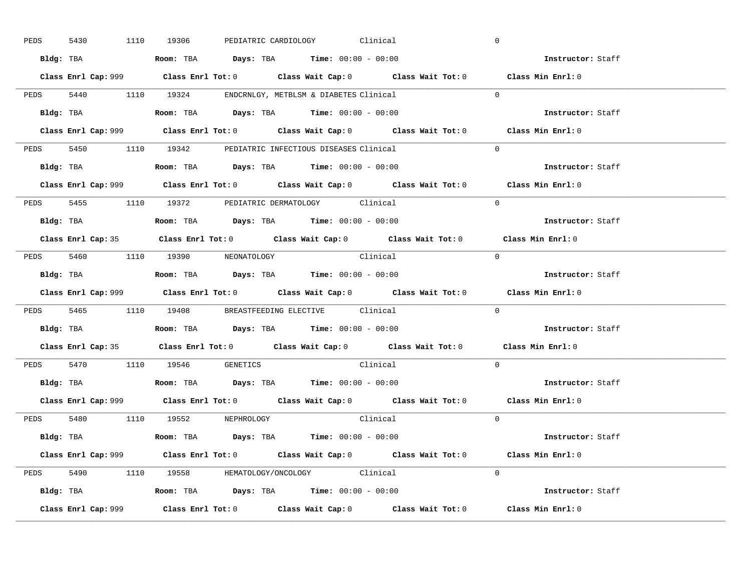| PEDS | 5430      |  | 1110 19306                                                                             |  | PEDIATRIC CARDIOLOGY Clinical |                                                                                             | $\overline{0}$ |                          |  |
|------|-----------|--|----------------------------------------------------------------------------------------|--|-------------------------------|---------------------------------------------------------------------------------------------|----------------|--------------------------|--|
|      |           |  | Bldg: TBA                   Room: TBA         Days: TBA         Time: $00:00 - 00:00$  |  |                               |                                                                                             |                | Instructor: Staff        |  |
|      |           |  |                                                                                        |  |                               | Class Enrl Cap: 999 Class Enrl Tot: 0 Class Wait Cap: 0 Class Wait Tot: 0 Class Min Enrl: 0 |                |                          |  |
|      |           |  | PEDS 5440 1110 19324 ENDCRNLGY, METBLSM & DIABETES Clinical                            |  |                               |                                                                                             | $\Omega$       |                          |  |
|      |           |  | Bldg: TBA                   Room: TBA         Days: TBA         Time: $00:00 - 00:00$  |  |                               |                                                                                             |                | Instructor: Staff        |  |
|      |           |  |                                                                                        |  |                               | Class Enrl Cap: 999 Class Enrl Tot: 0 Class Wait Cap: 0 Class Wait Tot: 0 Class Min Enrl: 0 |                |                          |  |
|      |           |  | PEDS 5450 1110 19342 PEDIATRIC INFECTIOUS DISEASES Clinical                            |  |                               |                                                                                             | $\Omega$       |                          |  |
|      |           |  | Bldg: TBA                    Room: TBA         Days: TBA        Time: $00:00 - 00:00$  |  |                               |                                                                                             |                | Instructor: Staff        |  |
|      |           |  |                                                                                        |  |                               | Class Enrl Cap: 999 Class Enrl Tot: 0 Class Wait Cap: 0 Class Wait Tot: 0 Class Min Enrl: 0 |                |                          |  |
|      |           |  | PEDS 5455 1110 19372 PEDIATRIC DERMATOLOGY Clinical                                    |  |                               |                                                                                             | $\Omega$       |                          |  |
|      |           |  | Bldg: TBA                    Room: TBA         Days: TBA         Time: $00:00 - 00:00$ |  |                               |                                                                                             |                | Instructor: Staff        |  |
|      |           |  |                                                                                        |  |                               | Class Enrl Cap: 35 Class Enrl Tot: 0 Class Wait Cap: 0 Class Wait Tot: 0 Class Min Enrl: 0  |                |                          |  |
|      |           |  | PEDS 5460 1110 19390 NEONATOLOGY                                                       |  |                               | Clinical                                                                                    | $\bigcirc$     |                          |  |
|      |           |  |                                                                                        |  |                               |                                                                                             |                | Instructor: Staff        |  |
|      |           |  |                                                                                        |  |                               |                                                                                             |                |                          |  |
|      |           |  |                                                                                        |  |                               | Class Enrl Cap: 999 Class Enrl Tot: 0 Class Wait Cap: 0 Class Wait Tot: 0 Class Min Enrl: 0 |                |                          |  |
|      |           |  | PEDS 5465 1110 19408 BREASTFEEDING ELECTIVE Clinical                                   |  |                               |                                                                                             | $\mathbf{0}$   |                          |  |
|      | Bldg: TBA |  | Room: TBA $\rule{1em}{0.15mm}$ Days: TBA Time: $00:00 - 00:00$                         |  |                               |                                                                                             |                | <b>Instructor:</b> Staff |  |
|      |           |  |                                                                                        |  |                               | Class Enrl Cap: 35 Class Enrl Tot: 0 Class Wait Cap: 0 Class Wait Tot: 0 Class Min Enrl: 0  |                |                          |  |
|      |           |  | PEDS 5470 1110 19546 GENETICS                                                          |  |                               | Clinical                                                                                    | $\Omega$       |                          |  |
|      |           |  | Bldg: TBA                    Room: TBA         Days: TBA         Time: $00:00 - 00:00$ |  |                               |                                                                                             |                | Instructor: Staff        |  |
|      |           |  |                                                                                        |  |                               | Class Enrl Cap: 999 Class Enrl Tot: 0 Class Wait Cap: 0 Class Wait Tot: 0 Class Min Enrl: 0 |                |                          |  |
|      |           |  | PEDS 5480 1110 19552 NEPHROLOGY                                                        |  |                               | Clinical                                                                                    | $\Omega$       |                          |  |
|      |           |  | Bldg: TBA                   Room: TBA         Days: TBA         Time: 00:00 - 00:00    |  |                               |                                                                                             |                | Instructor: Staff        |  |
|      |           |  |                                                                                        |  |                               | Class Enrl Cap: 999 Class Enrl Tot: 0 Class Wait Cap: 0 Class Wait Tot: 0 Class Min Enrl: 0 |                |                          |  |
|      |           |  | PEDS 5490 1110 19558 HEMATOLOGY/ONCOLOGY Clinical                                      |  |                               |                                                                                             | $\Omega$       |                          |  |
|      |           |  | <b>Bldg:</b> TBA <b>ROOM:</b> TBA <b>Days:</b> TBA <b>Time:</b> $00:00 - 00:00$        |  |                               |                                                                                             |                | Instructor: Staff        |  |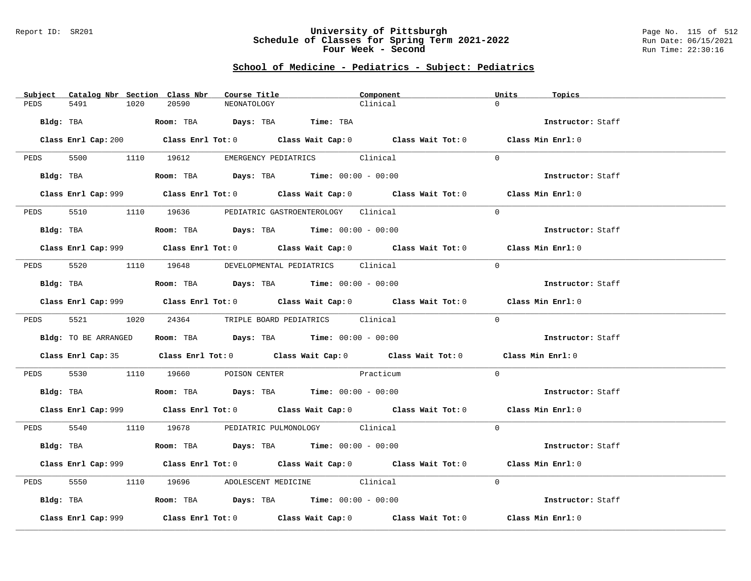### Report ID: SR201 **University of Pittsburgh** Page No. 115 of 512 **Schedule of Classes for Spring Term 2021-2022** Run Date: 06/15/2021 **Four Week - Second Run Time: 22:30:16**

# **School of Medicine - Pediatrics - Subject: Pediatrics**

|      | Subject Catalog Nbr Section Class Nbr | Course Title                                                                           | Component                                                                                          | Units<br>Topics   |
|------|---------------------------------------|----------------------------------------------------------------------------------------|----------------------------------------------------------------------------------------------------|-------------------|
| PEDS | 5491<br>1020                          | 20590<br>NEONATOLOGY                                                                   | Clinical                                                                                           | $\Omega$          |
|      |                                       | Bldg: TBA                     Room: TBA         Days: TBA         Time: TBA            |                                                                                                    | Instructor: Staff |
|      |                                       |                                                                                        |                                                                                                    |                   |
|      |                                       |                                                                                        | Class Enrl Cap: 200 Class Enrl Tot: 0 Class Wait Cap: 0 Class Wait Tot: 0 Class Min Enrl: 0        |                   |
|      | PEDS 5500 1110 19612                  |                                                                                        | EMERGENCY PEDIATRICS Clinical                                                                      | $\Omega$          |
|      |                                       | Bldg: TBA                   Room: TBA        Days: TBA        Time: 00:00 - 00:00      |                                                                                                    | Instructor: Staff |
|      |                                       |                                                                                        | Class Enrl Cap: 999 Class Enrl Tot: 0 Class Wait Cap: 0 Class Wait Tot: 0 Class Min Enrl: 0        |                   |
| PEDS |                                       | 5510 1110 19636 PEDIATRIC GASTROENTEROLOGY Clinical                                    |                                                                                                    | $\Omega$          |
|      |                                       | Bldg: TBA                   Room: TBA         Days: TBA         Time: 00:00 - 00:00    |                                                                                                    | Instructor: Staff |
|      |                                       |                                                                                        | Class Enrl Cap: 999 Class Enrl Tot: 0 Class Wait Cap: 0 Class Wait Tot: 0 Class Min Enrl: 0        |                   |
|      |                                       | PEDS 5520 1110 19648 DEVELOPMENTAL PEDIATRICS Clinical                                 |                                                                                                    | $\Omega$          |
|      |                                       | Bldg: TBA                    Room: TBA         Days: TBA         Time: $00:00 - 00:00$ |                                                                                                    | Instructor: Staff |
|      |                                       |                                                                                        | Class Enrl Cap: 999 Class Enrl Tot: 0 Class Wait Cap: 0 Class Wait Tot: 0 Class Min Enrl: 0        |                   |
| PEDS |                                       | 5521 1020 24364 TRIPLE BOARD PEDIATRICS Clinical                                       |                                                                                                    | $\Omega$          |
|      | Bldg: TO BE ARRANGED                  | Room: TBA $Days: TBA$ Time: $00:00 - 00:00$                                            |                                                                                                    | Instructor: Staff |
|      |                                       |                                                                                        | Class Enrl Cap: 35 Class Enrl Tot: 0 Class Wait Cap: 0 Class Wait Tot: 0 Class Min Enrl: 0         |                   |
|      |                                       | PEDS 5530 1110 19660 POISON CENTER Practicum                                           |                                                                                                    | $\Omega$          |
|      |                                       | Bldg: TBA                   Room: TBA         Days: TBA         Time: $00:00 - 00:00$  |                                                                                                    | Instructor: Staff |
|      |                                       |                                                                                        | Class Enrl Cap: 999 Class Enrl Tot: 0 Class Wait Cap: 0 Class Wait Tot: 0 Class Min Enrl: 0        |                   |
|      |                                       | PEDS 5540 1110 19678 PEDIATRIC PULMONOLOGY Clinical                                    |                                                                                                    | $\Omega$          |
|      |                                       | <b>Bldg:</b> TBA <b>ROOM:</b> TBA <b>Days:</b> TBA <b>Time:</b> $00:00 - 00:00$        |                                                                                                    | Instructor: Staff |
|      |                                       |                                                                                        | Class Enrl Cap: 999 Class Enrl Tot: 0 Class Wait Cap: 0 Class Wait Tot: 0 Class Min Enrl: 0        |                   |
| PEDS |                                       | 5550 1110 19696 ADOLESCENT MEDICINE Clinical                                           |                                                                                                    | $\Omega$          |
|      |                                       | Bldg: TBA                   Room: TBA         Days: TBA         Time: $00:00 - 00:00$  |                                                                                                    | Instructor: Staff |
|      | Class Enrl Cap: 999                   |                                                                                        | Class Enrl Tot: 0 $\qquad$ Class Wait Cap: 0 $\qquad$ Class Wait Tot: 0 $\qquad$ Class Min Enrl: 0 |                   |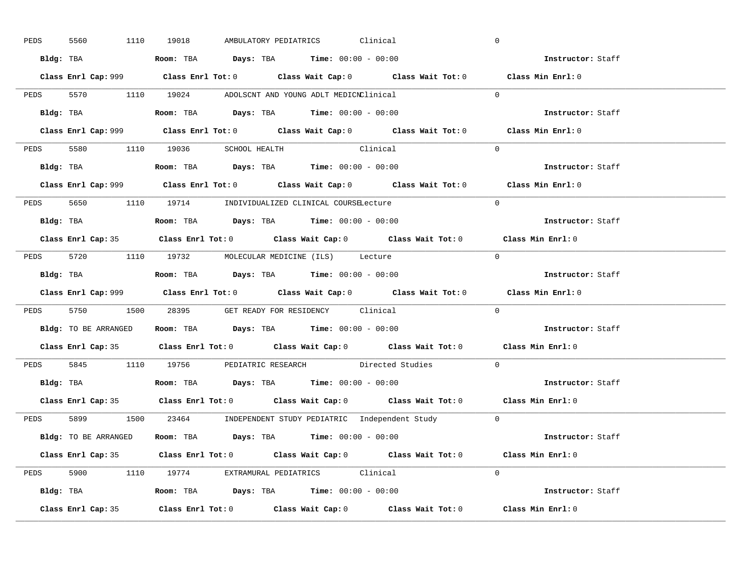| PEDS | 5560 | 1110 19018 | AMBULATORY PEDIATRICS                                                                        | Clinical                                                                                    | $\mathbf 0$       |  |
|------|------|------------|----------------------------------------------------------------------------------------------|---------------------------------------------------------------------------------------------|-------------------|--|
|      |      |            | Bldg: TBA                    Room: TBA         Days: TBA         Time: 00:00 - 00:00         |                                                                                             | Instructor: Staff |  |
|      |      |            |                                                                                              | Class Enrl Cap: 999 Class Enrl Tot: 0 Class Wait Cap: 0 Class Wait Tot: 0 Class Min Enrl: 0 |                   |  |
|      |      |            | PEDS 5570 1110 19024 ADOLSCNT AND YOUNG ADLT MEDICNClinical                                  |                                                                                             | $\Omega$          |  |
|      |      |            | Bldg: TBA                         Room: TBA          Days: TBA         Time: $00:00 - 00:00$ |                                                                                             | Instructor: Staff |  |
|      |      |            |                                                                                              | Class Enrl Cap: 999 Class Enrl Tot: 0 Class Wait Cap: 0 Class Wait Tot: 0                   | Class Min Enrl: 0 |  |
|      |      |            | PEDS 5580 1110 19036 SCHOOL HEALTH Clinical                                                  |                                                                                             | $\Omega$          |  |
|      |      |            | <b>Bldg:</b> TBA <b>ROOM:</b> TBA <b>Days:</b> TBA <b>Time:</b> $00:00 - 00:00$              |                                                                                             | Instructor: Staff |  |
|      |      |            |                                                                                              | Class Enrl Cap: 999 Class Enrl Tot: 0 Class Wait Cap: 0 Class Wait Tot: 0 Class Min Enrl: 0 |                   |  |
|      |      |            | PEDS 5650 1110 19714 INDIVIDUALIZED CLINICAL COURSELecture                                   |                                                                                             | $\Omega$          |  |
|      |      |            | Bldg: TBA                   Room: TBA         Days: TBA         Time: $00:00 - 00:00$        |                                                                                             | Instructor: Staff |  |
|      |      |            |                                                                                              | Class Enrl Cap: 35 Class Enrl Tot: 0 Class Wait Cap: 0 Class Wait Tot: 0 Class Min Enrl: 0  |                   |  |
|      |      |            | PEDS 5720 1110 19732 MOLECULAR MEDICINE (ILS) Lecture                                        |                                                                                             | $\bigcap$         |  |
|      |      |            | Bldg: TBA                   Room: TBA         Days: TBA         Time: $00:00 - 00:00$        |                                                                                             | Instructor: Staff |  |
|      |      |            |                                                                                              |                                                                                             |                   |  |
|      |      |            |                                                                                              | Class Enrl Cap: 999 Class Enrl Tot: 0 Class Wait Cap: 0 Class Wait Tot: 0 Class Min Enrl: 0 |                   |  |
|      |      |            | PEDS 5750 1500 28395 GET READY FOR RESIDENCY Clinical                                        |                                                                                             | $\Omega$          |  |
|      |      |            | <b>Bldg:</b> TO BE ARRANGED <b>ROOM:</b> TBA <b>Days:</b> TBA <b>Time:</b> $00:00 - 00:00$   |                                                                                             | Instructor: Staff |  |
|      |      |            |                                                                                              | Class Enrl Cap: 35 Class Enrl Tot: 0 Class Wait Cap: 0 Class Wait Tot: 0 Class Min Enrl: 0  |                   |  |
|      |      |            |                                                                                              | PEDS 5845 1110 19756 PEDIATRIC RESEARCH Directed Studies                                    | $\Omega$          |  |
|      |      |            | Bldg: TBA                    Room: TBA         Days: TBA         Time: 00:00 - 00:00         |                                                                                             | Instructor: Staff |  |
|      |      |            |                                                                                              | Class Enrl Cap: 35 Class Enrl Tot: 0 Class Wait Cap: 0 Class Wait Tot: 0 Class Min Enrl: 0  |                   |  |
|      |      |            |                                                                                              | PEDS 5899 1500 23464 INDEPENDENT STUDY PEDIATRIC Independent Study 0                        |                   |  |
|      |      |            | Bldg: TO BE ARRANGED Room: TBA Days: TBA Time: 00:00 - 00:00                                 |                                                                                             | Instructor: Staff |  |
|      |      |            |                                                                                              | Class Enrl Cap: 35 Class Enrl Tot: 0 Class Wait Cap: 0 Class Wait Tot: 0 Class Min Enrl: 0  |                   |  |
|      |      |            | PEDS 5900 1110 19774 EXTRAMURAL PEDIATRICS Clinical                                          |                                                                                             | $\Omega$          |  |
|      |      |            | Bldg: TBA                   Room: TBA         Days: TBA         Time: $00:00 - 00:00$        |                                                                                             | Instructor: Staff |  |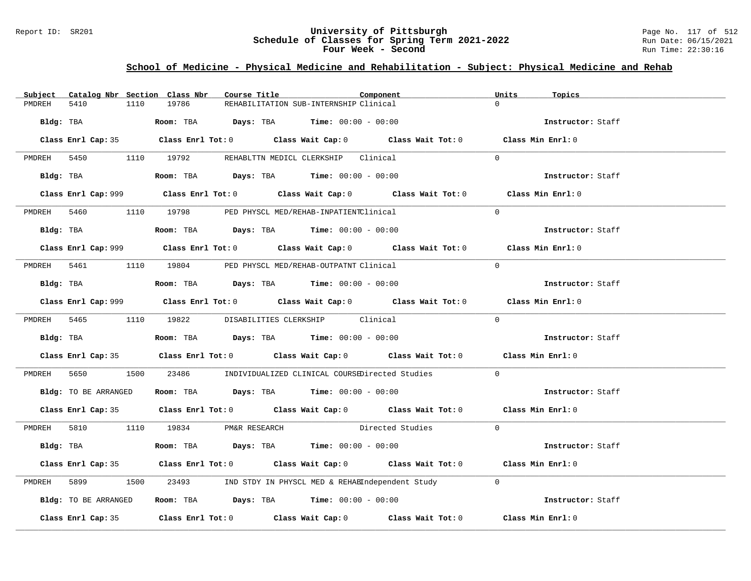### Report ID: SR201 **University of Pittsburgh** Page No. 117 of 512 **Schedule of Classes for Spring Term 2021-2022** Run Date: 06/15/2021 **Four Week - Second Run Time: 22:30:16**

## **School of Medicine - Physical Medicine and Rehabilitation - Subject: Physical Medicine and Rehab**

| Subject | Catalog Nbr Section Class Nbr |                                      | Course Title                                                                                                                                                                                                                                                                                                   | Component                                                                                                                                                                                                                     | Units<br>Topics   |  |
|---------|-------------------------------|--------------------------------------|----------------------------------------------------------------------------------------------------------------------------------------------------------------------------------------------------------------------------------------------------------------------------------------------------------------|-------------------------------------------------------------------------------------------------------------------------------------------------------------------------------------------------------------------------------|-------------------|--|
| PMDREH  | 5410<br>1110                  | 19786                                | REHABILITATION SUB-INTERNSHIP Clinical                                                                                                                                                                                                                                                                         |                                                                                                                                                                                                                               | $\Omega$          |  |
|         |                               |                                      | Bldg: TBA                        Room: TBA          Days: TBA          Time: $00:00 - 00:00$                                                                                                                                                                                                                   |                                                                                                                                                                                                                               | Instructor: Staff |  |
|         |                               |                                      |                                                                                                                                                                                                                                                                                                                | Class Enrl Cap: 35 Class Enrl Tot: 0 Class Wait Cap: 0 Class Wait Tot: 0 Class Min Enrl: 0                                                                                                                                    |                   |  |
|         |                               |                                      | PMDREH 5450 1110 19792 REHABLTTN MEDICL CLERKSHIP Clinical                                                                                                                                                                                                                                                     |                                                                                                                                                                                                                               | $\Omega$          |  |
|         |                               |                                      | Bldg: TBA                    Room: TBA         Days: TBA         Time: 00:00 - 00:00                                                                                                                                                                                                                           |                                                                                                                                                                                                                               | Instructor: Staff |  |
|         |                               |                                      |                                                                                                                                                                                                                                                                                                                | Class Enrl Cap: 999 Class Enrl Tot: 0 Class Wait Cap: 0 Class Wait Tot: 0                                                                                                                                                     | Class Min Enrl: 0 |  |
|         |                               |                                      | PMDREH 5460 1110 19798 PED PHYSCL MED/REHAB-INPATIENTClinical                                                                                                                                                                                                                                                  |                                                                                                                                                                                                                               | $\Omega$          |  |
|         |                               |                                      | Bldg: TBA                   Room: TBA         Days: TBA         Time: 00:00 - 00:00                                                                                                                                                                                                                            |                                                                                                                                                                                                                               | Instructor: Staff |  |
|         |                               |                                      |                                                                                                                                                                                                                                                                                                                | Class Enrl Cap: 999 Class Enrl Tot: 0 Class Wait Cap: 0 Class Wait Tot: 0                                                                                                                                                     | Class Min Enrl: 0 |  |
|         |                               |                                      | PMDREH 5461 1110 19804 PED PHYSCL MED/REHAB-OUTPATNT Clinical                                                                                                                                                                                                                                                  |                                                                                                                                                                                                                               | $\Omega$          |  |
|         |                               |                                      | Bldg: TBA                   Room: TBA         Days: TBA         Time: $00:00 - 00:00$                                                                                                                                                                                                                          |                                                                                                                                                                                                                               | Instructor: Staff |  |
|         |                               |                                      |                                                                                                                                                                                                                                                                                                                | Class Enrl Cap: 999 Class Enrl Tot: 0 Class Wait Cap: 0 Class Wait Tot: 0                                                                                                                                                     | Class Min Enrl: 0 |  |
|         |                               |                                      | PMDREH 5465 1110 19822 DISABILITIES CLERKSHIP Clinical                                                                                                                                                                                                                                                         |                                                                                                                                                                                                                               | $\Omega$          |  |
|         |                               |                                      | Bldg: TBA                        Room: TBA         Days: TBA         Time: $00:00 - 00:00$                                                                                                                                                                                                                     |                                                                                                                                                                                                                               | Instructor: Staff |  |
|         |                               |                                      |                                                                                                                                                                                                                                                                                                                | Class Enrl Cap: 35 Class Enrl Tot: 0 Class Wait Cap: 0 Class Wait Tot: 0 Class Min Enrl: 0                                                                                                                                    |                   |  |
|         | PMDREH 5650                   |                                      |                                                                                                                                                                                                                                                                                                                | 1500 23486 INDIVIDUALIZED CLINICAL COURSEDirected Studies                                                                                                                                                                     | $\overline{0}$    |  |
|         |                               |                                      | Bldg: TO BE ARRANGED Room: TBA Days: TBA Time: 00:00 - 00:00                                                                                                                                                                                                                                                   |                                                                                                                                                                                                                               | Instructor: Staff |  |
|         |                               |                                      |                                                                                                                                                                                                                                                                                                                | Class Enrl Cap: 35 Class Enrl Tot: 0 Class Wait Cap: 0 Class Wait Tot: 0 Class Min Enrl: 0                                                                                                                                    |                   |  |
|         |                               | PMDREH 5810 1110 19834 PM&R RESEARCH |                                                                                                                                                                                                                                                                                                                | Directed Studies 0                                                                                                                                                                                                            |                   |  |
|         |                               |                                      | Bldg: TBA                         Room: TBA            Days: TBA           Time: $00:00 - 00:00$                                                                                                                                                                                                               |                                                                                                                                                                                                                               | Instructor: Staff |  |
|         |                               |                                      |                                                                                                                                                                                                                                                                                                                | Class Enrl Cap: 35 Class Enrl Tot: 0 Class Wait Cap: 0 Class Wait Tot: 0 Class Min Enrl: 0                                                                                                                                    |                   |  |
| PMDREH  |                               |                                      |                                                                                                                                                                                                                                                                                                                | 1500 23493 IND STDY IN PHYSCL MED & REHABIndependent Study 0                                                                                                                                                                  |                   |  |
|         | Bldg: TO BE ARRANGED          |                                      | <b>Room:</b> TBA $\rule{1em}{0.15mm}$ $\rule{1.5em}{0.15mm}$ $\rule{1.5em}{0.15mm}$ $\rule{1.5em}{0.15mm}$ $\rule{1.5em}{0.15mm}$ $\rule{1.5em}{0.15mm}$ $\rule{1.5em}{0.15mm}$ $\rule{1.5em}{0.15mm}$ $\rule{1.5em}{0.15mm}$ $\rule{1.5em}{0.15mm}$ $\rule{1.5em}{0.15mm}$ $\rule{1.5em}{0.15mm}$ $\rule{1.5$ |                                                                                                                                                                                                                               | Instructor: Staff |  |
|         |                               |                                      |                                                                                                                                                                                                                                                                                                                | Class Enrl Cap: 35 $\,$ Class Enrl Tot: 0 $\,$ Class Wait Cap: 0 $\,$ Class Wait Tot: 0 $\,$ Class Enrl Tot: 0 $\,$ Class Enrl Tot: 0 $\,$ Class Enrl Tot: 0 $\,$ Class Enrl Tot: 0 $\,$ Class Enrl Tot: 0 $\,$ Class Enrl To | Class Min Enrl: 0 |  |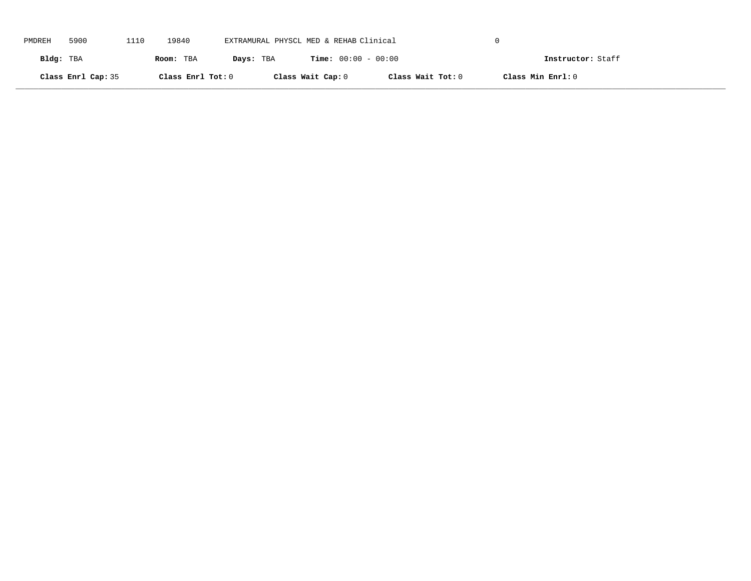| PMDREH    | 5900               | 1110 | 19840             | EXTRAMURAL PHYSCL MED & REHAB Clinical |                              |                   |                   |  |
|-----------|--------------------|------|-------------------|----------------------------------------|------------------------------|-------------------|-------------------|--|
| Bldg: TBA |                    |      | Room: TBA         | Days: TBA                              | <b>Time:</b> $00:00 - 00:00$ |                   | Instructor: Staff |  |
|           | Class Enrl Cap: 35 |      | Class Enrl Tot: 0 |                                        | Class Wait Cap: 0            | Class Wait Tot: 0 | Class Min Enrl: 0 |  |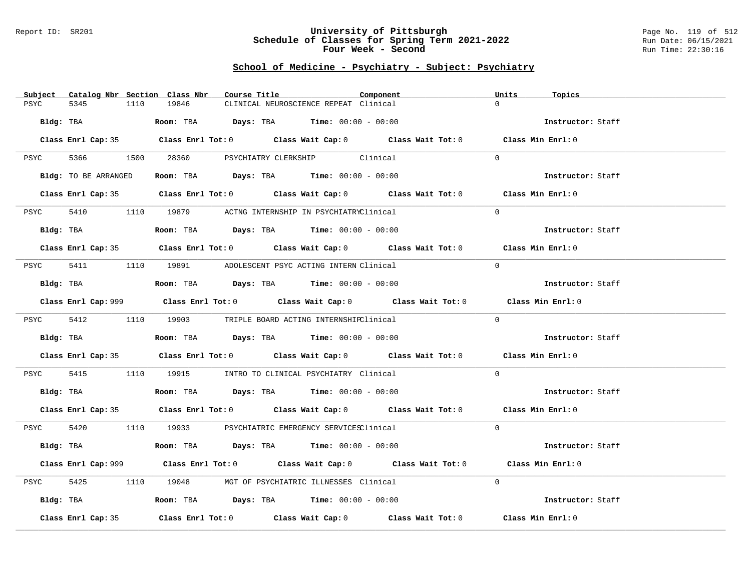### Report ID: SR201 **University of Pittsburgh** Page No. 119 of 512 **Schedule of Classes for Spring Term 2021-2022** Run Date: 06/15/2021 **Four Week - Second Run Time: 22:30:16**

| Subject<br>Catalog Nbr Section Class Nbr | Course Title                                                                                | Component | Units<br>Topics   |
|------------------------------------------|---------------------------------------------------------------------------------------------|-----------|-------------------|
| PSYC<br>5345<br>1110                     | 19846<br>CLINICAL NEUROSCIENCE REPEAT Clinical                                              |           | $\Omega$          |
|                                          |                                                                                             |           |                   |
| Bldg: TBA                                | Room: TBA $Days:$ TBA $Time: 00:00 - 00:00$                                                 |           | Instructor: Staff |
|                                          |                                                                                             |           |                   |
|                                          | Class Enrl Cap: 35 Class Enrl Tot: 0 Class Wait Cap: 0 Class Wait Tot: 0 Class Min Enrl: 0  |           |                   |
|                                          | PSYC 5366 1500 28360 PSYCHIATRY CLERKSHIP Clinical                                          |           | $\Omega$          |
|                                          |                                                                                             |           |                   |
| Bldg: TO BE ARRANGED                     | Room: TBA $\rule{1em}{0.15mm}$ Days: TBA Time: $00:00 - 00:00$                              |           | Instructor: Staff |
|                                          |                                                                                             |           |                   |
|                                          | Class Enrl Cap: 35 Class Enrl Tot: 0 Class Wait Cap: 0 Class Wait Tot: 0 Class Min Enrl: 0  |           |                   |
|                                          |                                                                                             |           |                   |
| PSYC                                     | 5410 1110 19879 ACTNG INTERNSHIP IN PSYCHIATRYClinical                                      |           | $\Omega$          |
| Bldg: TBA                                | Room: TBA $Days:$ TBA $Time: 00:00 - 00:00$                                                 |           | Instructor: Staff |
|                                          |                                                                                             |           |                   |
|                                          | Class Enrl Cap: 35 Class Enrl Tot: 0 Class Wait Cap: 0 Class Wait Tot: 0 Class Min Enrl: 0  |           |                   |
|                                          |                                                                                             |           |                   |
| PSYC                                     | 5411 1110 19891 ADOLESCENT PSYC ACTING INTERN Clinical                                      |           | $\Omega$          |
|                                          |                                                                                             |           |                   |
| Bldg: TBA                                | Room: TBA $Days:$ TBA Time: $00:00 - 00:00$                                                 |           | Instructor: Staff |
|                                          | Class Enrl Cap: 999 Class Enrl Tot: 0 Class Wait Cap: 0 Class Wait Tot: 0 Class Min Enrl: 0 |           |                   |
|                                          |                                                                                             |           |                   |
|                                          | PSYC 5412 1110 19903 TRIPLE BOARD ACTING INTERNSHIPClinical                                 |           | $\Omega$          |
|                                          |                                                                                             |           |                   |
| Bldg: TBA                                | Room: TBA $Days:$ TBA $Time: 00:00 - 00:00$                                                 |           | Instructor: Staff |
|                                          |                                                                                             |           |                   |
|                                          | Class Enrl Cap: 35 Class Enrl Tot: 0 Class Wait Cap: 0 Class Wait Tot: 0 Class Min Enrl: 0  |           |                   |
|                                          |                                                                                             |           |                   |
|                                          | PSYC 5415 1110 19915 INTRO TO CLINICAL PSYCHIATRY Clinical                                  |           | $\overline{0}$    |
| Bldg: TBA                                | Room: TBA $Days:$ TBA Time: $00:00 - 00:00$                                                 |           | Instructor: Staff |
|                                          |                                                                                             |           |                   |
|                                          | Class Enrl Cap: 35 Class Enrl Tot: 0 Class Wait Cap: 0 Class Wait Tot: 0 Class Min Enrl: 0  |           |                   |
|                                          |                                                                                             |           |                   |
|                                          | PSYC 5420 1110 19933 PSYCHIATRIC EMERGENCY SERVICESClinical                                 |           | $\Omega$          |
|                                          |                                                                                             |           |                   |
|                                          | Bldg: TBA                   Room: TBA         Days: TBA        Time: 00:00 - 00:00          |           | Instructor: Staff |
|                                          | Class Enrl Cap: 999 Class Enrl Tot: 0 Class Wait Cap: 0 Class Wait Tot: 0 Class Min Enrl: 0 |           |                   |
|                                          |                                                                                             |           |                   |
| 5425<br>PSYC                             | 1110 19048 MGT OF PSYCHIATRIC ILLNESSES Clinical                                            |           | $\Omega$          |
|                                          |                                                                                             |           |                   |
| Bldg: TBA                                | Room: TBA $\rule{1em}{0.15mm}$ Days: TBA Time: $00:00 - 00:00$                              |           | Instructor: Staff |
|                                          |                                                                                             |           |                   |
| Class Enrl Cap: 35                       | Class Enrl Tot: $0$ Class Wait Cap: $0$ Class Wait Tot: $0$                                 |           | Class Min Enrl: 0 |
|                                          |                                                                                             |           |                   |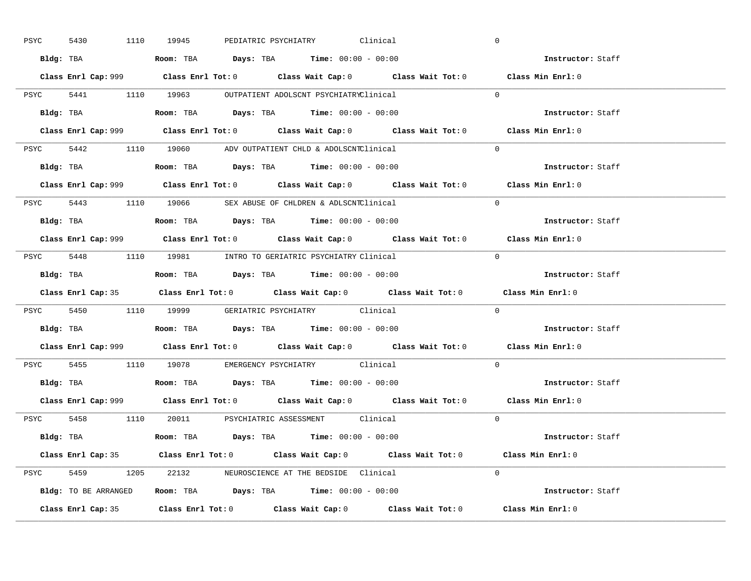| PSYC | 5430 | 1110 19945 | PEDIATRIC PSYCHIATRY Clinical                                                         |                                                                           | $\mathbf 0$                                                                                 |  |
|------|------|------------|---------------------------------------------------------------------------------------|---------------------------------------------------------------------------|---------------------------------------------------------------------------------------------|--|
|      |      |            | Bldg: TBA                   Room: TBA        Days: TBA        Time: 00:00 - 00:00     |                                                                           | Instructor: Staff                                                                           |  |
|      |      |            |                                                                                       |                                                                           | Class Enrl Cap: 999 Class Enrl Tot: 0 Class Wait Cap: 0 Class Wait Tot: 0 Class Min Enrl: 0 |  |
|      |      |            | PSYC 5441 1110 19963 OUTPATIENT ADOLSCNT PSYCHIATRYClinical                           |                                                                           | $\Omega$                                                                                    |  |
|      |      |            |                                                                                       |                                                                           | Instructor: Staff                                                                           |  |
|      |      |            |                                                                                       | Class Enrl Cap: 999 Class Enrl Tot: 0 Class Wait Cap: 0 Class Wait Tot: 0 | Class Min Enrl: 0                                                                           |  |
|      |      |            | PSYC 5442 1110 19060 ADV OUTPATIENT CHLD & ADOLSCNTClinical                           |                                                                           | $\Omega$                                                                                    |  |
|      |      |            | <b>Bldg:</b> TBA <b>ROOM:</b> TBA <b>Days:</b> TBA <b>Time:</b> $00:00 - 00:00$       |                                                                           | Instructor: Staff                                                                           |  |
|      |      |            |                                                                                       |                                                                           | Class Enrl Cap: 999 Class Enrl Tot: 0 Class Wait Cap: 0 Class Wait Tot: 0 Class Min Enrl: 0 |  |
|      |      |            | PSYC 5443 1110 19066 SEX ABUSE OF CHLDREN & ADLSCNTClinical                           |                                                                           | $\Omega$                                                                                    |  |
|      |      |            | Bldg: TBA                   Room: TBA         Days: TBA         Time: 00:00 - 00:00   |                                                                           | Instructor: Staff                                                                           |  |
|      |      |            |                                                                                       |                                                                           | Class Enrl Cap: 999 Class Enrl Tot: 0 Class Wait Cap: 0 Class Wait Tot: 0 Class Min Enrl: 0 |  |
|      |      |            | PSYC 5448 1110 19981 INTRO TO GERIATRIC PSYCHIATRY Clinical                           |                                                                           | $\Omega$                                                                                    |  |
|      |      |            | Bldg: TBA                   Room: TBA         Days: TBA         Time: $00:00 - 00:00$ |                                                                           | Instructor: Staff                                                                           |  |
|      |      |            |                                                                                       |                                                                           |                                                                                             |  |
|      |      |            |                                                                                       |                                                                           | Class Enrl Cap: 35 Class Enrl Tot: 0 Class Wait Cap: 0 Class Wait Tot: 0 Class Min Enrl: 0  |  |
|      |      |            | PSYC 5450 1110 19999 GERIATRIC PSYCHIATRY Clinical                                    |                                                                           | $\Omega$                                                                                    |  |
|      |      |            | Bldg: TBA                    Room: TBA         Days: TBA        Time: $00:00 - 00:00$ |                                                                           | Instructor: Staff                                                                           |  |
|      |      |            |                                                                                       |                                                                           | Class Enrl Cap: 999 Class Enrl Tot: 0 Class Wait Cap: 0 Class Wait Tot: 0 Class Min Enrl: 0 |  |
|      |      |            | PSYC 5455 1110 19078 EMERGENCY PSYCHIATRY Clinical                                    |                                                                           | $\Omega$                                                                                    |  |
|      |      |            | Bldg: TBA                   Room: TBA         Days: TBA         Time: $00:00 - 00:00$ |                                                                           | Instructor: Staff                                                                           |  |
|      |      |            |                                                                                       |                                                                           | Class Enrl Cap: 999 Class Enrl Tot: 0 Class Wait Cap: 0 Class Wait Tot: 0 Class Min Enrl: 0 |  |
|      |      |            | PSYC 5458 1110 20011 PSYCHIATRIC ASSESSMENT Clinical                                  |                                                                           | $\overline{0}$                                                                              |  |
|      |      |            | Bldg: TBA                   Room: TBA         Days: TBA         Time: 00:00 - 00:00   |                                                                           | Instructor: Staff                                                                           |  |
|      |      |            |                                                                                       |                                                                           | Class Enrl Cap: 35 Class Enrl Tot: 0 Class Wait Cap: 0 Class Wait Tot: 0 Class Min Enrl: 0  |  |
|      |      |            | PSYC 5459 1205 22132 NEUROSCIENCE AT THE BEDSIDE Clinical                             |                                                                           | $\Omega$                                                                                    |  |
|      |      |            | Bldg: TO BE ARRANGED Room: TBA Days: TBA Time: 00:00 - 00:00                          |                                                                           | Instructor: Staff                                                                           |  |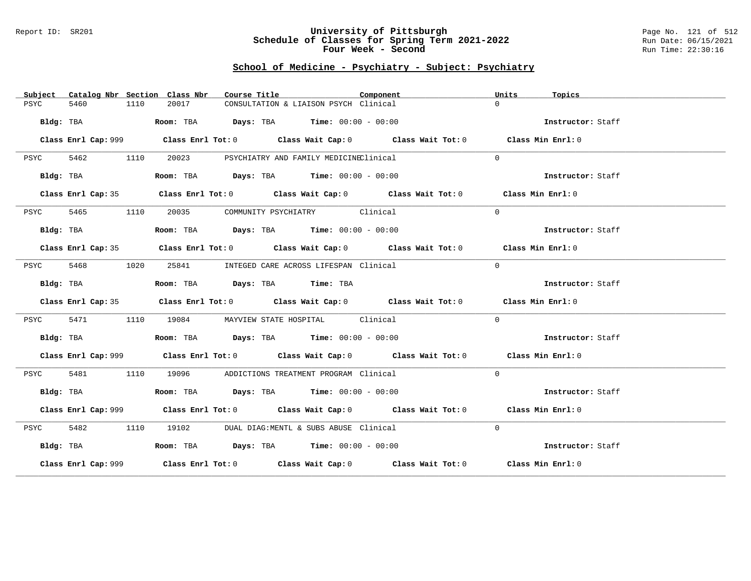#### Report ID: SR201 **University of Pittsburgh** Page No. 121 of 512 **Schedule of Classes for Spring Term 2021-2022** Run Date: 06/15/2021 **Four Week - Second Run Time: 22:30:16**

| Subject      |      | Catalog Nbr Section Class Nbr<br>Course Title                                            |                                             | Component                                                                                   | Units<br>Topics   |  |
|--------------|------|------------------------------------------------------------------------------------------|---------------------------------------------|---------------------------------------------------------------------------------------------|-------------------|--|
| 5460<br>PSYC | 1110 | 20017                                                                                    | CONSULTATION & LIAISON PSYCH Clinical       |                                                                                             | $\Omega$          |  |
| Bldg: TBA    |      | Room: TBA $\rule{1em}{0.15mm}$ Days: TBA $\rule{1.15mm}]{0.15mm}$ Time: $0.000 - 0.0000$ |                                             |                                                                                             | Instructor: Staff |  |
|              |      |                                                                                          |                                             | Class Enrl Cap: 999 Class Enrl Tot: 0 Class Wait Cap: 0 Class Wait Tot: 0 Class Min Enrl: 0 |                   |  |
| 5462<br>PSYC | 1110 | 20023                                                                                    | PSYCHIATRY AND FAMILY MEDICINEClinical      |                                                                                             | $\Omega$          |  |
| Bldg: TBA    |      | Room: TBA $Days:$ TBA $Time: 00:00 - 00:00$                                              |                                             |                                                                                             | Instructor: Staff |  |
|              |      |                                                                                          |                                             | Class Enrl Cap: 35 Class Enrl Tot: 0 Class Wait Cap: 0 Class Wait Tot: 0 Class Min Enrl: 0  |                   |  |
| 5465<br>PSYC | 1110 | 20035                                                                                    | COMMUNITY PSYCHIATRY Clinical               |                                                                                             | $\Omega$          |  |
| Bldg: TBA    |      | Room: TBA $Days:$ TBA $Time: 00:00 - 00:00$                                              |                                             |                                                                                             | Instructor: Staff |  |
|              |      |                                                                                          |                                             | Class Enrl Cap: 35 Class Enrl Tot: 0 Class Wait Cap: 0 Class Wait Tot: 0 Class Min Enrl: 0  |                   |  |
| 5468<br>PSYC | 1020 |                                                                                          | 25841 INTEGED CARE ACROSS LIFESPAN Clinical |                                                                                             | $\overline{0}$    |  |
| Bldg: TBA    |      | Room: TBA Days: TBA Time: TBA                                                            |                                             |                                                                                             | Instructor: Staff |  |
|              |      |                                                                                          |                                             | Class Enrl Cap: 35 Class Enrl Tot: 0 Class Wait Cap: 0 Class Wait Tot: 0 Class Min Enrl: 0  |                   |  |
| 5471<br>PSYC | 1110 |                                                                                          | 19084 MAYVIEW STATE HOSPITAL Clinical       |                                                                                             | $\Omega$          |  |
| Bldg: TBA    |      | Room: TBA $Days:$ TBA $Time: 00:00 - 00:00$                                              |                                             |                                                                                             | Instructor: Staff |  |
|              |      |                                                                                          |                                             | Class Enrl Cap: 999 Class Enrl Tot: 0 Class Wait Cap: 0 Class Wait Tot: 0 Class Min Enrl: 0 |                   |  |
| 5481<br>PSYC | 1110 | 19096 - 1909                                                                             | ADDICTIONS TREATMENT PROGRAM Clinical       |                                                                                             | $\Omega$          |  |
| Bldg: TBA    |      | Room: TBA $Days: TBA$ Time: $00:00 - 00:00$                                              |                                             |                                                                                             | Instructor: Staff |  |
|              |      |                                                                                          |                                             | Class Enrl Cap: 999 Class Enrl Tot: 0 Class Wait Cap: 0 Class Wait Tot: 0 Class Min Enrl: 0 |                   |  |
| 5482<br>PSYC | 1110 |                                                                                          | 19102 DUAL DIAG:MENTL & SUBS ABUSE Clinical |                                                                                             | $\Omega$          |  |
| Bldg: TBA    |      | Room: TBA $Days:$ TBA $Time: 00:00 - 00:00$                                              |                                             |                                                                                             | Instructor: Staff |  |
|              |      |                                                                                          |                                             | Class Enrl Cap: 999 Class Enrl Tot: 0 Class Wait Cap: 0 Class Wait Tot: 0 Class Min Enrl: 0 |                   |  |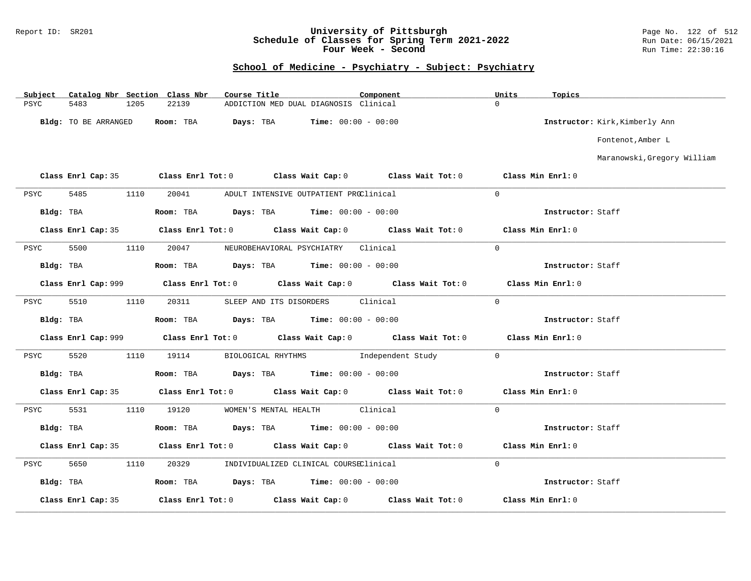#### Report ID: SR201 **University of Pittsburgh** Page No. 122 of 512 **Schedule of Classes for Spring Term 2021-2022** Run Date: 06/15/2021 **Four Week - Second Run Time: 22:30:16**

| Subject   |                      |      | Catalog Nbr Section Class Nbr                                            | Course Title |                       |                                           | Component |                                                                                             | Units             | Topics            |                                |
|-----------|----------------------|------|--------------------------------------------------------------------------|--------------|-----------------------|-------------------------------------------|-----------|---------------------------------------------------------------------------------------------|-------------------|-------------------|--------------------------------|
| PSYC      | 5483                 | 1205 | 22139                                                                    |              |                       | ADDICTION MED DUAL DIAGNOSIS Clinical     |           |                                                                                             | $\Omega$          |                   |                                |
|           | Bldg: TO BE ARRANGED |      | Room: TBA                                                                | Days: TBA    |                       | $Time: 00:00 - 00:00$                     |           |                                                                                             |                   |                   | Instructor: Kirk, Kimberly Ann |
|           |                      |      |                                                                          |              |                       |                                           |           |                                                                                             |                   |                   | Fontenot, Amber L              |
|           |                      |      |                                                                          |              |                       |                                           |           |                                                                                             |                   |                   | Maranowski, Gregory William    |
|           |                      |      | Class Enrl Cap: 35 Class Enrl Tot: 0 Class Wait Cap: 0 Class Wait Tot: 0 |              |                       |                                           |           |                                                                                             | Class Min Enrl: 0 |                   |                                |
| PSYC      | 5485                 | 1110 | 20041                                                                    |              |                       | ADULT INTENSIVE OUTPATIENT PROClinical    |           |                                                                                             | $\mathbf 0$       |                   |                                |
| Bldg: TBA |                      |      | Room: TBA $Days:$ TBA $Time: 00:00 - 00:00$                              |              |                       |                                           |           |                                                                                             |                   | Instructor: Staff |                                |
|           |                      |      |                                                                          |              |                       |                                           |           | Class Enrl Cap: 35 Class Enrl Tot: 0 Class Wait Cap: 0 Class Wait Tot: 0 Class Min Enrl: 0  |                   |                   |                                |
| PSYC      | 5500                 | 1110 |                                                                          |              |                       | 20047 NEUROBEHAVIORAL PSYCHIATRY Clinical |           |                                                                                             | $\Omega$          |                   |                                |
| Bldg: TBA |                      |      | Room: TBA Days: TBA Time: $00:00 - 00:00$                                |              |                       |                                           |           |                                                                                             |                   | Instructor: Staff |                                |
|           |                      |      |                                                                          |              |                       |                                           |           |                                                                                             |                   | Class Min Enrl: 0 |                                |
| PSYC      | 5510                 | 1110 | 20311                                                                    |              |                       | SLEEP AND ITS DISORDERS Clinical          |           |                                                                                             | $\Omega$          |                   |                                |
| Bldg: TBA |                      |      | <b>Room:</b> TBA <b>Days:</b> TBA <b>Time:</b> $00:00 - 00:00$           |              |                       |                                           |           |                                                                                             |                   | Instructor: Staff |                                |
|           |                      |      |                                                                          |              |                       |                                           |           | Class Enrl Cap: 999 Class Enrl Tot: 0 Class Wait Cap: 0 Class Wait Tot: 0 Class Min Enrl: 0 |                   |                   |                                |
| PSYC      | 5520                 | 1110 | 19114                                                                    |              |                       |                                           |           | BIOLOGICAL RHYTHMS                Independent Study                                         | $\overline{0}$    |                   |                                |
|           | Bldg: TBA            |      | Room: TBA $Days: TBA$ Time: $00:00 - 00:00$                              |              |                       |                                           |           |                                                                                             |                   | Instructor: Staff |                                |
|           | Class Enrl Cap: 35   |      | Class Enrl Tot: $0$ Class Wait Cap: $0$ Class Wait Tot: $0$              |              |                       |                                           |           |                                                                                             |                   | Class Min Enrl: 0 |                                |
| PSYC      | 5531                 | 1110 | 19120                                                                    |              | WOMEN'S MENTAL HEALTH |                                           | Clinical  |                                                                                             | $\Omega$          |                   |                                |
|           | Bldg: TBA            |      | Room: TBA $Days:$ TBA $Time: 00:00 - 00:00$                              |              |                       |                                           |           |                                                                                             |                   | Instructor: Staff |                                |
|           |                      |      | Class Enrl Cap: 35 Class Enrl Tot: 0 Class Wait Cap: 0 Class Wait Tot: 0 |              |                       |                                           |           |                                                                                             |                   | Class Min Enrl: 0 |                                |
| PSYC      | 5650                 | 1110 | 20329                                                                    |              |                       | INDIVIDUALIZED CLINICAL COURSEClinical    |           |                                                                                             | $\overline{0}$    |                   |                                |
| Bldg: TBA |                      |      | Room: TBA $Days: TBA$ Time: $00:00 - 00:00$                              |              |                       |                                           |           |                                                                                             |                   | Instructor: Staff |                                |
|           | Class Enrl Cap: 35   |      | Class Enrl Tot: 0 Class Wait Cap: 0                                      |              |                       |                                           |           | Class Wait Tot: 0                                                                           |                   | Class Min Enrl: 0 |                                |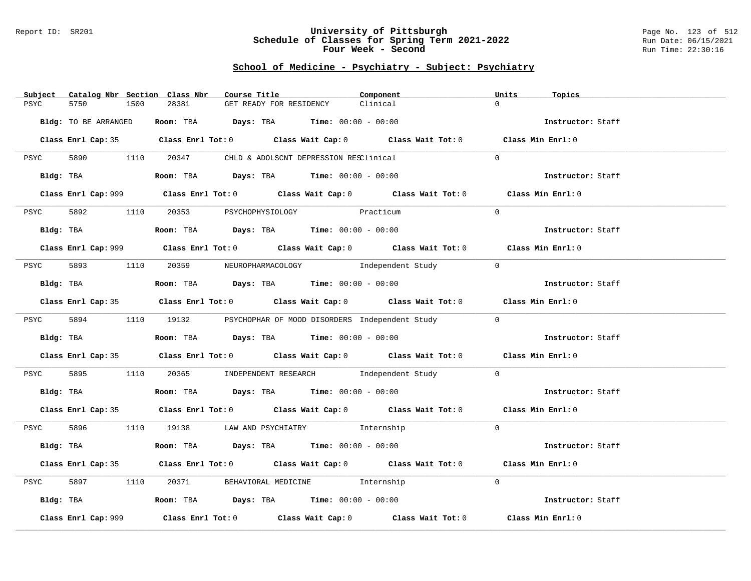### Report ID: SR201 **University of Pittsburgh** Page No. 123 of 512 **Schedule of Classes for Spring Term 2021-2022** Run Date: 06/15/2021 **Four Week - Second Run Time: 22:30:16**

| Catalog Nbr Section Class Nbr<br>Subject | Course Title                                                                                | Component | Units<br>Topics   |
|------------------------------------------|---------------------------------------------------------------------------------------------|-----------|-------------------|
| 5750<br>1500<br>PSYC                     | 28381<br>GET READY FOR RESIDENCY                                                            | Clinical  | $\Omega$          |
|                                          |                                                                                             |           |                   |
| Bldg: TO BE ARRANGED                     | Room: TBA $Days:$ TBA $Time: 00:00 - 00:00$                                                 |           | Instructor: Staff |
|                                          |                                                                                             |           |                   |
|                                          | Class Enrl Cap: 35 Class Enrl Tot: 0 Class Wait Cap: 0 Class Wait Tot: 0 Class Min Enrl: 0  |           |                   |
|                                          |                                                                                             |           |                   |
|                                          | PSYC 5890 1110 20347 CHLD & ADOLSCNT DEPRESSION RESClinical                                 |           | $\Omega$          |
| Bldg: TBA                                | Room: TBA $Days: TBA$ Time: $00:00 - 00:00$                                                 |           | Instructor: Staff |
|                                          |                                                                                             |           |                   |
|                                          | Class Enrl Cap: 999 Class Enrl Tot: 0 Class Wait Cap: 0 Class Wait Tot: 0 Class Min Enrl: 0 |           |                   |
|                                          |                                                                                             |           |                   |
| 1110<br><b>PSYC</b><br>5892              | 20353 PSYCHOPHYSIOLOGY Practicum                                                            |           | $\Omega$          |
|                                          |                                                                                             |           |                   |
| Bldg: TBA                                | Room: TBA $Days:$ TBA $Time: 00:00 - 00:00$                                                 |           | Instructor: Staff |
|                                          |                                                                                             |           |                   |
|                                          | Class Enrl Cap: 999 Class Enrl Tot: 0 Class Wait Cap: 0 Class Wait Tot: 0 Class Min Enrl: 0 |           |                   |
|                                          |                                                                                             |           |                   |
|                                          | PSYC 5893 1110 20359 NEUROPHARMACOLOGY Independent Study                                    |           | $\Omega$          |
| Bldg: TBA                                | Room: TBA $Days:$ TBA Time: $00:00 - 00:00$                                                 |           | Instructor: Staff |
|                                          |                                                                                             |           |                   |
|                                          | Class Enrl Cap: 35 Class Enrl Tot: 0 Class Wait Cap: 0 Class Wait Tot: 0 Class Min Enrl: 0  |           |                   |
|                                          |                                                                                             |           |                   |
|                                          | PSYC 5894 1110 19132 PSYCHOPHAR OF MOOD DISORDERS Independent Study                         |           | $\overline{0}$    |
|                                          |                                                                                             |           |                   |
| Bldg: TBA                                | Room: TBA $Days: TBA$ Time: $00:00 - 00:00$                                                 |           | Instructor: Staff |
|                                          |                                                                                             |           |                   |
|                                          | Class Enrl Cap: 35 Class Enrl Tot: 0 Class Wait Cap: 0 Class Wait Tot: 0 Class Min Enrl: 0  |           |                   |
| PSYC                                     | 5895 1110 20365 INDEPENDENT RESEARCH Independent Study                                      |           | $\overline{0}$    |
|                                          |                                                                                             |           |                   |
| Bldg: TBA                                | Room: TBA $Days: TBA$ Time: $00:00 - 00:00$                                                 |           | Instructor: Staff |
|                                          |                                                                                             |           |                   |
|                                          | Class Enrl Cap: 35 Class Enrl Tot: 0 Class Wait Cap: 0 Class Wait Tot: 0 Class Min Enrl: 0  |           |                   |
|                                          |                                                                                             |           |                   |
|                                          | PSYC 5896 1110 19138 LAW AND PSYCHIATRY Internship                                          |           | $\Omega$          |
|                                          |                                                                                             |           |                   |
| Bldg: TBA                                | <b>Room:</b> TBA $Days: TBA$ <b>Time:</b> $00:00 - 00:00$                                   |           | Instructor: Staff |
|                                          |                                                                                             |           |                   |
|                                          | Class Enrl Cap: 35 Class Enrl Tot: 0 Class Wait Cap: 0 Class Wait Tot: 0 Class Min Enrl: 0  |           |                   |
| 5897<br>1110<br>PSYC                     | 20371 BEHAVIORAL MEDICINE 1nternship                                                        |           | $\Omega$          |
|                                          |                                                                                             |           |                   |
|                                          | Bldg: TBA                    Room: TBA         Days: TBA         Time: 00:00 - 00:00        |           | Instructor: Staff |
|                                          |                                                                                             |           |                   |
| Class Enrl Cap: 999                      | Class Enrl Tot: $0$ Class Wait Cap: $0$ Class Wait Tot: $0$ Class Min Enrl: $0$             |           |                   |
|                                          |                                                                                             |           |                   |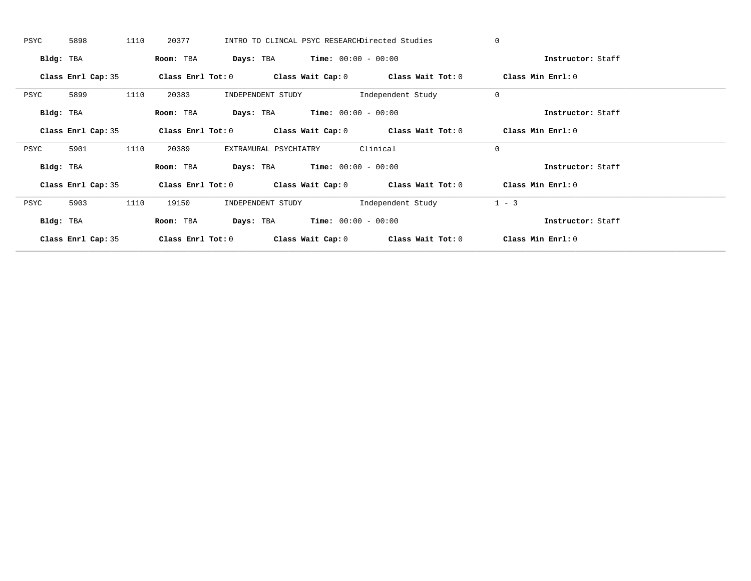| PSYC      | 5898               | 1110 | 20377             |                                               |                       | INTRO TO CLINCAL PSYC RESEARCHDirected Studies              | $\mathbf 0$       |                   |
|-----------|--------------------|------|-------------------|-----------------------------------------------|-----------------------|-------------------------------------------------------------|-------------------|-------------------|
| Bldg: TBA |                    |      | Room: TBA         | <b>Days:</b> TBA <b>Time:</b> $00:00 - 00:00$ |                       |                                                             |                   | Instructor: Staff |
|           | Class Enrl Cap: 35 |      | Class Enrl Tot: 0 |                                               |                       | Class Wait Cap: $0$ Class Wait Tot: $0$                     | Class Min Enrl: 0 |                   |
| PSYC      | 5899               | 1110 | 20383             | INDEPENDENT STUDY                             |                       | Independent Study                                           | $\mathbf 0$       |                   |
| Bldg: TBA |                    |      | Room: TBA         | Days: TBA                                     | $Time: 00:00 - 00:00$ |                                                             |                   | Instructor: Staff |
|           | Class Enrl Cap: 35 |      |                   |                                               |                       | Class Enrl Tot: $0$ Class Wait Cap: $0$ Class Wait Tot: $0$ | Class Min Enrl: 0 |                   |
| PSYC      | 5901               | 1110 | 20389             | EXTRAMURAL PSYCHIATRY                         |                       | Clinical                                                    | $\mathbf 0$       |                   |
| Bldg: TBA |                    |      | Room: TBA         | <b>Days:</b> TBA <b>Time:</b> $00:00 - 00:00$ |                       |                                                             |                   | Instructor: Staff |
|           | Class Enrl Cap: 35 |      |                   |                                               |                       | Class Enrl Tot: $0$ Class Wait Cap: $0$ Class Wait Tot: $0$ | Class Min Enrl: 0 |                   |
| PSYC      | 5903               | 1110 | 19150             | INDEPENDENT STUDY                             |                       | Independent Study                                           | $1 - 3$           |                   |
| Bldg: TBA |                    |      | Room: TBA         | <b>Days:</b> TBA <b>Time:</b> $00:00 - 00:00$ |                       |                                                             |                   | Instructor: Staff |
|           | Class Enrl Cap: 35 |      | Class Enrl Tot: 0 |                                               | Class Wait Cap: 0     | Class Wait Tot: 0                                           | Class Min Enrl: 0 |                   |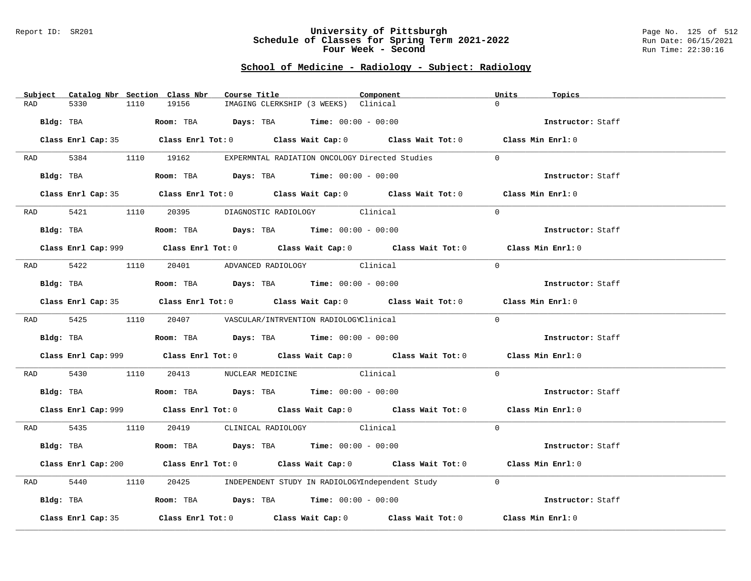#### Report ID: SR201 **University of Pittsburgh** Page No. 125 of 512 **Schedule of Classes for Spring Term 2021-2022** Run Date: 06/15/2021 **Four Week - Second Run Time: 22:30:16**

## **School of Medicine - Radiology - Subject: Radiology**

|                    | Subject Catalog Nbr Section Class Nbr | Course Title                                                                          | Component                            | Units                                                                                              | Topics            |  |
|--------------------|---------------------------------------|---------------------------------------------------------------------------------------|--------------------------------------|----------------------------------------------------------------------------------------------------|-------------------|--|
| 5330<br>RAD        | 19156<br>1110                         |                                                                                       | IMAGING CLERKSHIP (3 WEEKS) Clinical | $\Omega$                                                                                           |                   |  |
| Bldg: TBA          |                                       | Room: TBA $Days:$ TBA $Time: 00:00 - 00:00$                                           |                                      |                                                                                                    | Instructor: Staff |  |
|                    |                                       |                                                                                       |                                      | Class Enrl Cap: 35 Class Enrl Tot: 0 Class Wait Cap: 0 Class Wait Tot: 0 Class Min Enrl: 0         |                   |  |
|                    |                                       | RAD 5384 1110 19162 EXPERMNTAL RADIATION ONCOLOGY Directed Studies                    |                                      | $\Omega$                                                                                           |                   |  |
| Bldg: TBA          |                                       | Room: TBA $Days:$ TBA Time: $00:00 - 00:00$                                           |                                      |                                                                                                    | Instructor: Staff |  |
|                    |                                       |                                                                                       |                                      | Class Enrl Cap: 35 Class Enrl Tot: 0 Class Wait Cap: 0 Class Wait Tot: 0 Class Min Enrl: 0         |                   |  |
|                    |                                       | RAD 5421 1110 20395 DIAGNOSTIC RADIOLOGY Clinical                                     |                                      | $\Omega$                                                                                           |                   |  |
| Bldg: TBA          |                                       | <b>Room:</b> TBA $Days:$ TBA $Time: 00:00 - 00:00$                                    |                                      |                                                                                                    | Instructor: Staff |  |
|                    |                                       |                                                                                       |                                      | Class Enrl Cap: 999 Class Enrl Tot: 0 Class Wait Cap: 0 Class Wait Tot: 0 Class Min Enrl: 0        |                   |  |
|                    |                                       | RAD 5422 1110 20401 ADVANCED RADIOLOGY Clinical                                       |                                      | $\Omega$                                                                                           |                   |  |
| Bldg: TBA          |                                       | Room: TBA Days: TBA Time: $00:00 - 00:00$                                             |                                      |                                                                                                    | Instructor: Staff |  |
|                    |                                       |                                                                                       |                                      | Class Enrl Cap: 35 Class Enrl Tot: 0 Class Wait Cap: 0 Class Wait Tot: 0 Class Min Enrl: 0         |                   |  |
|                    |                                       | RAD 5425 1110 20407 VASCULAR/INTRVENTION RADIOLOGYClinical                            |                                      | $\Omega$                                                                                           |                   |  |
|                    |                                       | Bldg: TBA                   Room: TBA         Days: TBA        Time: $00:00 - 00:00$  |                                      |                                                                                                    | Instructor: Staff |  |
|                    |                                       |                                                                                       |                                      | Class Enrl Cap: 999 Class Enrl Tot: 0 Class Wait Cap: 0 Class Wait Tot: 0 Class Min Enrl: 0        |                   |  |
| RAD 5430           |                                       | 1110 20413 NUCLEAR MEDICINE Clinical                                                  |                                      | $\Omega$                                                                                           |                   |  |
|                    |                                       | Bldg: TBA                    Room: TBA         Days: TBA         Time: 00:00 - 00:00  |                                      |                                                                                                    | Instructor: Staff |  |
|                    |                                       |                                                                                       |                                      | Class Enrl Cap: 999 Class Enrl Tot: 0 Class Wait Cap: 0 Class Wait Tot: 0 Class Min Enrl: 0        |                   |  |
|                    |                                       | RAD 5435 1110 20419 CLINICAL RADIOLOGY Clinical                                       |                                      | $\Omega$                                                                                           |                   |  |
|                    |                                       | Bldg: TBA                   Room: TBA         Days: TBA         Time: $00:00 - 00:00$ |                                      |                                                                                                    | Instructor: Staff |  |
|                    |                                       |                                                                                       |                                      | Class Enrl Cap: 200 Class Enrl Tot: 0 Class Wait Cap: 0 Class Wait Tot: 0 Class Min Enrl: 0        |                   |  |
| 5440<br>RAD        | 1110                                  | 20425 INDEPENDENT STUDY IN RADIOLOGYIndependent Study                                 |                                      | $\overline{0}$                                                                                     |                   |  |
| Bldg: TBA          |                                       | Room: TBA $\rule{1em}{0.15mm}$ Days: TBA Time: $00:00 - 00:00$                        |                                      |                                                                                                    | Instructor: Staff |  |
| Class Enrl Cap: 35 |                                       |                                                                                       |                                      | Class Enrl Tot: 0 $\qquad$ Class Wait Cap: 0 $\qquad$ Class Wait Tot: 0 $\qquad$ Class Min Enrl: 0 |                   |  |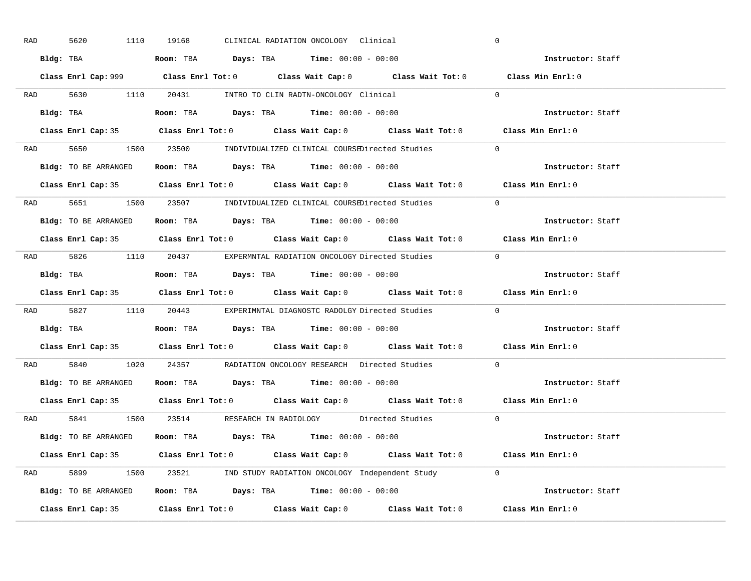| RAD | 5620                                                                                       | 1110 19168 |  | CLINICAL RADIATION ONCOLOGY Clinical                                                |                                                                      | $\overline{0}$                                                                              |  |
|-----|--------------------------------------------------------------------------------------------|------------|--|-------------------------------------------------------------------------------------|----------------------------------------------------------------------|---------------------------------------------------------------------------------------------|--|
|     | Bldg: TBA                   Room: TBA         Days: TBA        Time: 00:00 - 00:00         |            |  |                                                                                     |                                                                      | Instructor: Staff                                                                           |  |
|     |                                                                                            |            |  |                                                                                     |                                                                      | Class Enrl Cap: 999 Class Enrl Tot: 0 Class Wait Cap: 0 Class Wait Tot: 0 Class Min Enrl: 0 |  |
|     | RAD 5630 1110 20431 INTRO TO CLIN RADTN-ONCOLOGY Clinical                                  |            |  |                                                                                     |                                                                      | $\overline{0}$                                                                              |  |
|     | Bldg: TBA                                                                                  |            |  | Room: TBA $Days:$ TBA $Time: 00:00 - 00:00$                                         |                                                                      | Instructor: Staff                                                                           |  |
|     |                                                                                            |            |  |                                                                                     |                                                                      | Class Enrl Cap: 35 Class Enrl Tot: 0 Class Wait Cap: 0 Class Wait Tot: 0 Class Min Enrl: 0  |  |
|     |                                                                                            |            |  |                                                                                     | RAD 5650 1500 23500 INDIVIDUALIZED CLINICAL COURSEDirected Studies 0 |                                                                                             |  |
|     | <b>Bldg:</b> TO BE ARRANGED <b>Room:</b> TBA <b>Days:</b> TBA <b>Time:</b> $00:00 - 00:00$ |            |  |                                                                                     |                                                                      | Instructor: Staff                                                                           |  |
|     |                                                                                            |            |  |                                                                                     |                                                                      | Class Enrl Cap: 35 Class Enrl Tot: 0 Class Wait Cap: 0 Class Wait Tot: 0 Class Min Enrl: 0  |  |
|     |                                                                                            |            |  |                                                                                     | RAD 5651 1500 23507 INDIVIDUALIZED CLINICAL COURSEDirected Studies   | $\Omega$                                                                                    |  |
|     | Bldg: TO BE ARRANGED Room: TBA Days: TBA Time: 00:00 - 00:00                               |            |  |                                                                                     |                                                                      | Instructor: Staff                                                                           |  |
|     |                                                                                            |            |  |                                                                                     |                                                                      | Class Enrl Cap: 35 Class Enrl Tot: 0 Class Wait Cap: 0 Class Wait Tot: 0 Class Min Enrl: 0  |  |
|     |                                                                                            |            |  |                                                                                     | RAD 5826 1110 20437 EXPERMNTAL RADIATION ONCOLOGY Directed Studies 0 |                                                                                             |  |
|     | Bldg: TBA                   Room: TBA         Days: TBA        Time: 00:00 - 00:00         |            |  |                                                                                     |                                                                      | Instructor: Staff                                                                           |  |
|     |                                                                                            |            |  |                                                                                     |                                                                      |                                                                                             |  |
|     |                                                                                            |            |  |                                                                                     |                                                                      | Class Enrl Cap: 35 Class Enrl Tot: 0 Class Wait Cap: 0 Class Wait Tot: 0 Class Min Enrl: 0  |  |
|     |                                                                                            |            |  |                                                                                     | RAD 5827 1110 20443 EXPERIMNTAL DIAGNOSTC RADOLGY Directed Studies 0 |                                                                                             |  |
|     | Bldg: TBA                                                                                  |            |  | <b>Room:</b> TBA $\rule{1em}{0.15mm}$ <b>Days:</b> TBA <b>Time:</b> $00:00 - 00:00$ |                                                                      | Instructor: Staff                                                                           |  |
|     |                                                                                            |            |  |                                                                                     |                                                                      | Class Enrl Cap: 35 Class Enrl Tot: 0 Class Wait Cap: 0 Class Wait Tot: 0 Class Min Enrl: 0  |  |
| RAD |                                                                                            |            |  |                                                                                     | 5840 1020 24357 RADIATION ONCOLOGY RESEARCH Directed Studies         | $\Omega$                                                                                    |  |
|     | Bldg: TO BE ARRANGED ROOM: TBA Days: TBA Time: 00:00 - 00:00                               |            |  |                                                                                     |                                                                      | Instructor: Staff                                                                           |  |
|     | Class Enrl Cap: 35                                                                         |            |  |                                                                                     |                                                                      | Class Enrl Tot: $0$ Class Wait Cap: $0$ Class Wait Tot: $0$ Class Min Enrl: $0$             |  |
|     |                                                                                            |            |  |                                                                                     | RAD 5841 1500 23514 RESEARCH IN RADIOLOGY Directed Studies 0         |                                                                                             |  |
|     | Bldg: TO BE ARRANGED                                                                       |            |  | Room: TBA $Days:$ TBA $Time: 00:00 - 00:00$                                         |                                                                      | Instructor: Staff                                                                           |  |
|     |                                                                                            |            |  |                                                                                     |                                                                      | Class Enrl Cap: 35 Class Enrl Tot: 0 Class Wait Cap: 0 Class Wait Tot: 0 Class Min Enrl: 0  |  |
|     |                                                                                            |            |  |                                                                                     | RAD 5899 1500 23521 IND STUDY RADIATION ONCOLOGY Independent Study 0 |                                                                                             |  |
|     |                                                                                            |            |  |                                                                                     | Bldg: TO BE ARRANGED Room: TBA Days: TBA Time: 00:00 - 00:00         | Instructor: Staff                                                                           |  |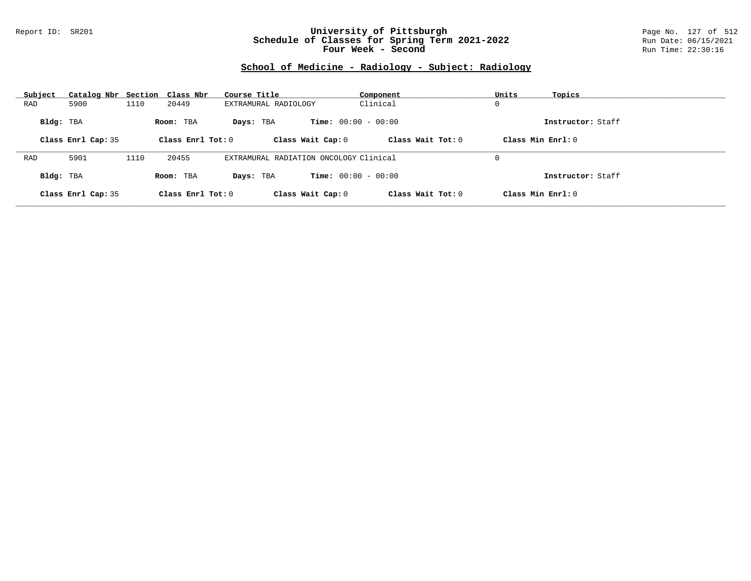### Report ID: SR201 **University of Pittsburgh** Page No. 127 of 512 **Schedule of Classes for Spring Term 2021-2022** Run Date: 06/15/2021 **Four Week - Second Run Time: 22:30:16**

# **School of Medicine - Radiology - Subject: Radiology**

| Subject   | Catalog Nbr Section Class Nbr |      |                     | Course Title                           | Component                    | Units<br>Topics     |  |
|-----------|-------------------------------|------|---------------------|----------------------------------------|------------------------------|---------------------|--|
| RAD       | 5900                          | 1110 | 20449               | EXTRAMURAL RADIOLOGY                   | Clinical                     | 0                   |  |
| Bldg: TBA |                               |      | Room: TBA           | Davs: TBA                              | <b>Time:</b> $00:00 - 00:00$ | Instructor: Staff   |  |
|           | Class Enrl Cap: 35            |      | Class Enrl Tot: $0$ | Class Wait Cap: 0                      | Class Wait $Tot: 0$          | Class Min $Enrl: 0$ |  |
|           |                               |      |                     |                                        |                              |                     |  |
| RAD       | 5901                          | 1110 | 20455               | EXTRAMURAL RADIATION ONCOLOGY Clinical |                              | 0                   |  |
| Bldg: TBA |                               |      | Room: TBA           | Davs: TBA                              | <b>Time:</b> $00:00 - 00:00$ | Instructor: Staff   |  |
|           | Class Enrl Cap: 35            |      | Class Enrl Tot: 0   | Class Wait Cap: 0                      | Class Wait Tot: 0            | Class Min Enrl: 0   |  |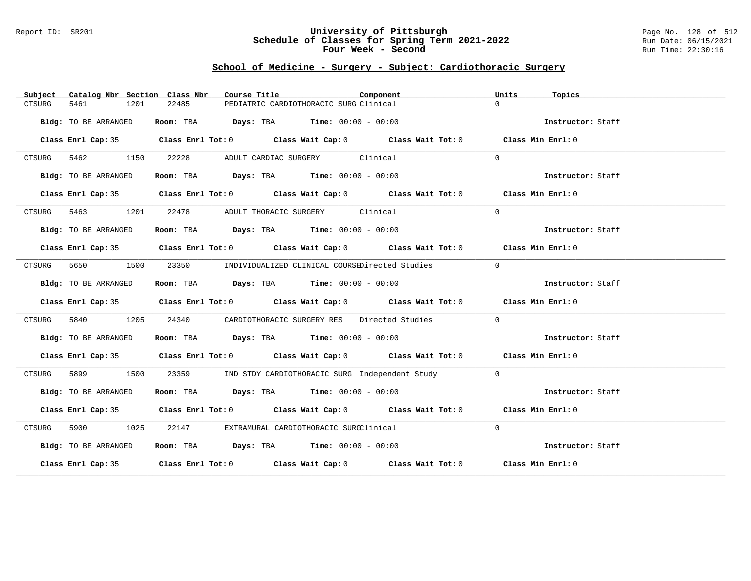#### Report ID: SR201 **University of Pittsburgh** Page No. 128 of 512 **Schedule of Classes for Spring Term 2021-2022** Run Date: 06/15/2021 **Four Week - Second Run Time: 22:30:16**

# **School of Medicine - Surgery - Subject: Cardiothoracic Surgery**

| Subject              | Catalog Nbr Section Class Nbr<br>Course Title                                              | Component                                            | Units<br>Topics   |  |
|----------------------|--------------------------------------------------------------------------------------------|------------------------------------------------------|-------------------|--|
| 5461<br>CTSURG       | 1201<br>22485                                                                              | PEDIATRIC CARDIOTHORACIC SURG Clinical               | $\Omega$          |  |
| Bldg: TO BE ARRANGED | Room: TBA $\rule{1em}{0.15mm}$ Days: TBA Time: $00:00 - 00:00$                             |                                                      | Instructor: Staff |  |
|                      | Class Enrl Cap: 35 Class Enrl Tot: 0 Class Wait Cap: 0 Class Wait Tot: 0 Class Min Enrl: 0 |                                                      |                   |  |
| CTSURG 5462 1150     | 22228                                                                                      | ADULT CARDIAC SURGERY Clinical                       | $\Omega$          |  |
| Bldg: TO BE ARRANGED | Room: TBA $Days:$ TBA $Time: 00:00 - 00:00$                                                |                                                      | Instructor: Staff |  |
|                      | Class Enrl Cap: 35 Class Enrl Tot: 0 Class Wait Cap: 0 Class Wait Tot: 0 Class Min Enrl: 0 |                                                      |                   |  |
| CTSURG 5463 1201     | 22478 ADULT THORACIC SURGERY Clinical                                                      |                                                      | $\Omega$          |  |
| Bldg: TO BE ARRANGED | Room: TBA $Days:$ TBA $Time: 00:00 - 00:00$                                                |                                                      | Instructor: Staff |  |
|                      | Class Enrl Cap: 35 Class Enrl Tot: 0 Class Wait Cap: 0 Class Wait Tot: 0 Class Min Enrl: 0 |                                                      |                   |  |
| 5650 1500<br>CTSURG  |                                                                                            | 23350 INDIVIDUALIZED CLINICAL COURSEDirected Studies | $\Omega$          |  |
| Bldg: TO BE ARRANGED | Room: TBA $Days:$ TBA $Time: 00:00 - 00:00$                                                |                                                      | Instructor: Staff |  |
|                      | Class Enrl Cap: 35 Class Enrl Tot: 0 Class Wait Cap: 0 Class Wait Tot: 0 Class Min Enrl: 0 |                                                      |                   |  |
| 5840<br>CTSURG       | 1205<br>24340                                                                              | CARDIOTHORACIC SURGERY RES Directed Studies          | $\Omega$          |  |
| Bldg: TO BE ARRANGED | Room: TBA $\rule{1em}{0.15mm}$ Days: TBA Time: $00:00 - 00:00$                             |                                                      | Instructor: Staff |  |
|                      | Class Enrl Cap: 35 Class Enrl Tot: 0 Class Wait Cap: 0 Class Wait Tot: 0 Class Min Enrl: 0 |                                                      |                   |  |
| 5899 1500<br>CTSURG  |                                                                                            | 23359 IND STDY CARDIOTHORACIC SURG Independent Study | $\Omega$          |  |
| Bldg: TO BE ARRANGED | Room: TBA $Days:$ TBA $Time: 00:00 - 00:00$                                                |                                                      | Instructor: Staff |  |
|                      | Class Enrl Cap: 35 Class Enrl Tot: 0 Class Wait Cap: 0 Class Wait Tot: 0 Class Min Enrl: 0 |                                                      |                   |  |
| 5900 1025<br>CTSURG  | 22147 EXTRAMURAL CARDIOTHORACIC SURGClinical                                               |                                                      | $\Omega$          |  |
| Bldg: TO BE ARRANGED | Room: TBA $Days:$ TBA $Time: 00:00 - 00:00$                                                |                                                      | Instructor: Staff |  |
|                      | Class Enrl Cap: 35 Class Enrl Tot: 0 Class Wait Cap: 0 Class Wait Tot: 0 Class Min Enrl: 0 |                                                      |                   |  |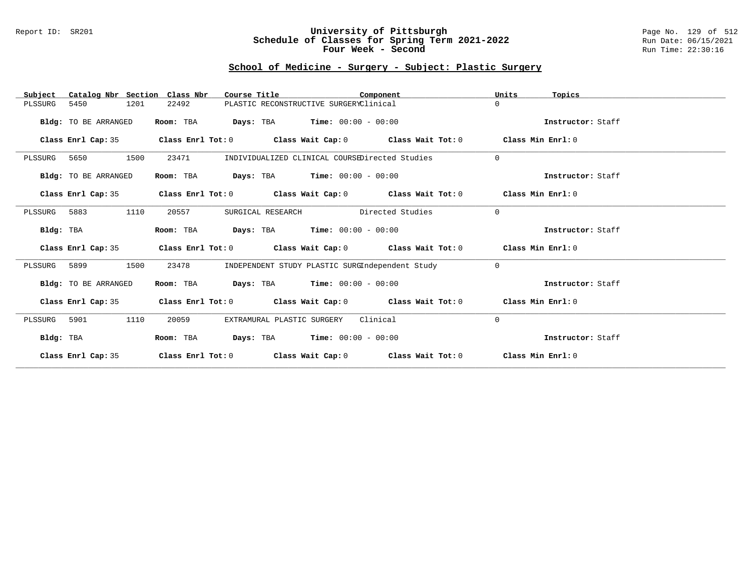### Report ID: SR201 **University of Pittsburgh** Page No. 129 of 512 **Schedule of Classes for Spring Term 2021-2022** Run Date: 06/15/2021 **Four Week - Second Run Time: 22:30:16**

# **School of Medicine - Surgery - Subject: Plastic Surgery**

| Catalog Nbr Section Class Nbr<br>Subject | Course Title                                                                               | Component                                       | Units<br>Topics   |
|------------------------------------------|--------------------------------------------------------------------------------------------|-------------------------------------------------|-------------------|
| 5450<br>1201<br>PLSSURG                  | 22492                                                                                      | PLASTIC RECONSTRUCTIVE SURGERYClinical          | $\Omega$          |
| Bldg: TO BE ARRANGED                     | Room: TBA                                                                                  | <b>Days:</b> TBA <b>Time:</b> $00:00 - 00:00$   | Instructor: Staff |
| Class Enrl Cap: 35                       | Class Enrl Tot: $0$ Class Wait Cap: $0$ Class Wait Tot: $0$ Class Min Enrl: $0$            |                                                 |                   |
| 1500<br>PLSSURG<br>5650                  | 23471                                                                                      | INDIVIDUALIZED CLINICAL COURSEDirected Studies  | $\Omega$          |
| Bldg: TO BE ARRANGED                     | Room: TBA                                                                                  | <b>Days:</b> TBA <b>Time:</b> $00:00 - 00:00$   | Instructor: Staff |
|                                          | Class Enrl Cap: 35 Class Enrl Tot: 0 Class Wait Cap: 0 Class Wait Tot: 0 Class Min Enrl: 0 |                                                 |                   |
| 1110<br>PLSSURG 5883                     | 20557<br>SURGICAL RESEARCH                                                                 | Directed Studies                                | $\Omega$          |
| Bldg: TBA                                | Room: TBA                                                                                  | <b>Days:</b> TBA <b>Time:</b> $00:00 - 00:00$   | Instructor: Staff |
| Class Enrl Cap: 35                       | Class Enrl Tot: $0$ Class Wait Cap: $0$ Class Wait Tot: $0$ Class Min Enrl: $0$            |                                                 |                   |
| PLSSURG 5899<br>1500                     | 23478                                                                                      | INDEPENDENT STUDY PLASTIC SURGIndependent Study | $\Omega$          |
| Bldg: TO BE ARRANGED                     | <b>Room:</b> TBA <b>Days:</b> TBA <b>Time:</b> 00:00 - 00:00                               |                                                 | Instructor: Staff |
| Class Enrl Cap: 35                       | Class Enrl Tot: $0$ Class Wait Cap: $0$ Class Wait Tot: $0$ Class Min Enrl: $0$            |                                                 |                   |
| 5901<br>1110<br>PLSSURG                  | 20059<br>EXTRAMURAL PLASTIC SURGERY                                                        | Clinical                                        | 0                 |
| Bldg: TBA                                | Room: TBA $Days:$ TBA $Time: 00:00 - 00:00$                                                |                                                 | Instructor: Staff |
| Class Enrl Cap: 35                       | Class Enrl Tot: $0$ Class Wait Cap: $0$ Class Wait Tot: $0$ Class Min Enrl: $0$            |                                                 |                   |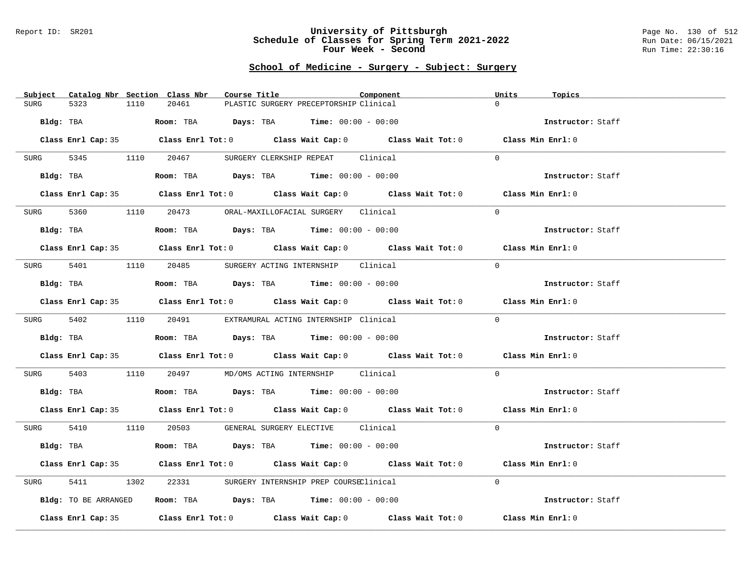#### Report ID: SR201 **University of Pittsburgh** Page No. 130 of 512 **Schedule of Classes for Spring Term 2021-2022** Run Date: 06/15/2021 **Four Week - Second Run Time: 22:30:16**

# **School of Medicine - Surgery - Subject: Surgery**

| Subject Catalog Nbr Section Class Nbr | Course Title                                                                               | Component<br>Units | Topics            |
|---------------------------------------|--------------------------------------------------------------------------------------------|--------------------|-------------------|
| 5323<br>1110<br><b>SURG</b>           | 20461<br>PLASTIC SURGERY PRECEPTORSHIP Clinical                                            | $\Omega$           |                   |
| Bldg: TBA                             | Room: TBA $Days:$ TBA $Time: 00:00 - 00:00$                                                |                    | Instructor: Staff |
|                                       | Class Enrl Cap: 35 Class Enrl Tot: 0 Class Wait Cap: 0 Class Wait Tot: 0 Class Min Enrl: 0 |                    |                   |
| SURG 5345 1110 20467                  | SURGERY CLERKSHIP REPEAT Clinical                                                          | $\Omega$           |                   |
| Bldg: TBA                             | Room: TBA $Days:$ TBA $Time: 00:00 - 00:00$                                                |                    | Instructor: Staff |
|                                       | Class Enrl Cap: 35 Class Enrl Tot: 0 Class Wait Cap: 0 Class Wait Tot: 0 Class Min Enrl: 0 |                    |                   |
|                                       | SURG 5360 1110 20473 ORAL-MAXILLOFACIAL SURGERY Clinical                                   | $\Omega$           |                   |
| Bldg: TBA                             | Room: TBA $Days:$ TBA $Time: 00:00 - 00:00$                                                |                    | Instructor: Staff |
|                                       | Class Enrl Cap: 35 Class Enrl Tot: 0 Class Wait Cap: 0 Class Wait Tot: 0 Class Min Enrl: 0 |                    |                   |
|                                       | SURG 5401 1110 20485 SURGERY ACTING INTERNSHIP Clinical                                    | $\Omega$           |                   |
| Bldg: TBA                             | Room: TBA $\rule{1em}{0.15mm}$ Days: TBA Time: $00:00 - 00:00$                             |                    | Instructor: Staff |
|                                       | Class Enrl Cap: 35 Class Enrl Tot: 0 Class Wait Cap: 0 Class Wait Tot: 0 Class Min Enrl: 0 |                    |                   |
|                                       | SURG 5402 1110 20491 EXTRAMURAL ACTING INTERNSHIP Clinical                                 | $\Omega$           |                   |
|                                       | Bldg: TBA                    Room: TBA         Days: TBA         Time: 00:00 - 00:00       |                    | Instructor: Staff |
|                                       | Class Enrl Cap: 35 Class Enrl Tot: 0 Class Wait Cap: 0 Class Wait Tot: 0 Class Min Enrl: 0 |                    |                   |
| SURG                                  | 5403 1110 20497 MD/OMS ACTING INTERNSHIP Clinical                                          | $\Omega$           |                   |
|                                       | Bldg: TBA                    Room: TBA         Days: TBA         Time: $00:00 - 00:00$     |                    | Instructor: Staff |
|                                       | Class Enrl Cap: 35 Class Enrl Tot: 0 Class Wait Cap: 0 Class Wait Tot: 0 Class Min Enrl: 0 |                    |                   |
|                                       | SURG 5410 1110 20503 GENERAL SURGERY ELECTIVE Clinical                                     | $\Omega$           |                   |
| Bldg: TBA                             | Room: TBA $Days:$ TBA $Time: 00:00 - 00:00$                                                |                    | Instructor: Staff |
|                                       | Class Enrl Cap: 35 Class Enrl Tot: 0 Class Wait Cap: 0 Class Wait Tot: 0 Class Min Enrl: 0 |                    |                   |
| 5411<br>SURG<br>1302                  | 22331 SURGERY INTERNSHIP PREP COURSEClinical                                               | $\Omega$           |                   |
| Bldg: TO BE ARRANGED                  | Room: TBA $\rule{1em}{0.15mm}$ Days: TBA Time: $00:00 - 00:00$                             |                    | Instructor: Staff |
|                                       | Class Enrl Cap: 35 Class Enrl Tot: 0 Class Wait Cap: 0 Class Wait Tot: 0                   | Class Min Enrl: 0  |                   |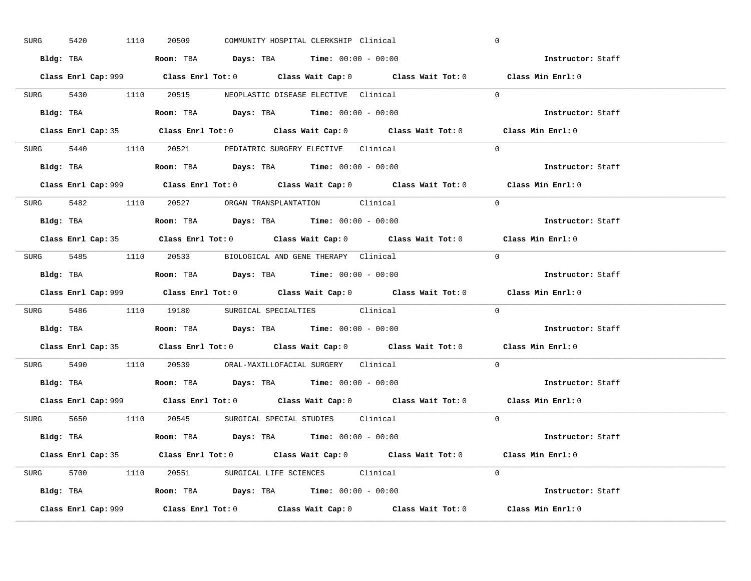| SURG | 5420 | 1110 | 20509                                                                                  | COMMUNITY HOSPITAL CLERKSHIP Clinical |                                                                           | $\mathbf 0$                                                                                 |  |
|------|------|------|----------------------------------------------------------------------------------------|---------------------------------------|---------------------------------------------------------------------------|---------------------------------------------------------------------------------------------|--|
|      |      |      | Bldg: TBA                      Room: TBA         Days: TBA         Time: 00:00 - 00:00 |                                       |                                                                           | Instructor: Staff                                                                           |  |
|      |      |      |                                                                                        |                                       |                                                                           | Class Enrl Cap: 999 Class Enrl Tot: 0 Class Wait Cap: 0 Class Wait Tot: 0 Class Min Enrl: 0 |  |
|      |      |      | SURG 5430 1110 20515 NEOPLASTIC DISEASE ELECTIVE Clinical                              |                                       |                                                                           | $\Omega$                                                                                    |  |
|      |      |      |                                                                                        |                                       |                                                                           | Instructor: Staff                                                                           |  |
|      |      |      |                                                                                        |                                       |                                                                           | Class Enrl Cap: 35 Class Enrl Tot: 0 Class Wait Cap: 0 Class Wait Tot: 0 Class Min Enrl: 0  |  |
|      |      |      | SURG 5440 1110 20521 PEDIATRIC SURGERY ELECTIVE Clinical                               |                                       |                                                                           | $\Omega$                                                                                    |  |
|      |      |      | <b>Bldg:</b> TBA <b>ROOM:</b> TBA <b>Days:</b> TBA <b>Time:</b> $00:00 - 00:00$        |                                       |                                                                           | Instructor: Staff                                                                           |  |
|      |      |      |                                                                                        |                                       |                                                                           | Class Enrl Cap: 999 Class Enrl Tot: 0 Class Wait Cap: 0 Class Wait Tot: 0 Class Min Enrl: 0 |  |
|      |      |      | SURG 5482 1110 20527 ORGAN TRANSPLANTATION Clinical                                    |                                       |                                                                           | $\Omega$                                                                                    |  |
|      |      |      | Bldg: TBA                   Room: TBA         Days: TBA         Time: $00:00 - 00:00$  |                                       |                                                                           | Instructor: Staff                                                                           |  |
|      |      |      |                                                                                        |                                       |                                                                           | Class Enrl Cap: 35 Class Enrl Tot: 0 Class Wait Cap: 0 Class Wait Tot: 0 Class Min Enrl: 0  |  |
|      |      |      | SURG 5485 1110 20533 BIOLOGICAL AND GENE THERAPY Clinical                              |                                       |                                                                           | $\Omega$                                                                                    |  |
|      |      |      | Bldg: TBA                   Room: TBA         Days: TBA         Time: $00:00 - 00:00$  |                                       |                                                                           | Instructor: Staff                                                                           |  |
|      |      |      |                                                                                        |                                       | Class Enrl Cap: 999 Class Enrl Tot: 0 Class Wait Cap: 0 Class Wait Tot: 0 | Class Min Enrl: 0                                                                           |  |
|      |      |      |                                                                                        |                                       |                                                                           | $\Omega$                                                                                    |  |
|      |      |      | SURG 5486 1110 19180 SURGICAL SPECIALTIES Clinical                                     |                                       |                                                                           |                                                                                             |  |
|      |      |      | Bldg: TBA                   Room: TBA        Days: TBA        Time: 00:00 - 00:00      |                                       |                                                                           | Instructor: Staff                                                                           |  |
|      |      |      |                                                                                        |                                       |                                                                           | Class Enrl Cap: 35 Class Enrl Tot: 0 Class Wait Cap: 0 Class Wait Tot: 0 Class Min Enrl: 0  |  |
|      |      |      | SURG 5490 1110 20539 ORAL-MAXILLOFACIAL SURGERY Clinical                               |                                       |                                                                           | $\Omega$                                                                                    |  |
|      |      |      | Bldg: TBA                   Room: TBA         Days: TBA         Time: $00:00 - 00:00$  |                                       |                                                                           | Instructor: Staff                                                                           |  |
|      |      |      |                                                                                        |                                       |                                                                           | Class Enrl Cap: 999 Class Enrl Tot: 0 Class Wait Cap: 0 Class Wait Tot: 0 Class Min Enrl: 0 |  |
|      |      |      | SURG 5650 1110 20545 SURGICAL SPECIAL STUDIES Clinical                                 |                                       |                                                                           | $\Omega$                                                                                    |  |
|      |      |      | Bldg: TBA                    Room: TBA         Days: TBA         Time: 00:00 - 00:00   |                                       |                                                                           | Instructor: Staff                                                                           |  |
|      |      |      |                                                                                        |                                       |                                                                           | Class Enrl Cap: 35 Class Enrl Tot: 0 Class Wait Cap: 0 Class Wait Tot: 0 Class Min Enrl: 0  |  |
|      |      |      | SURG 5700 1110 20551 SURGICAL LIFE SCIENCES Clinical                                   |                                       |                                                                           | $\Omega$                                                                                    |  |
|      |      |      | <b>Bldg:</b> TBA <b>ROOM:</b> TBA <b>Days:</b> TBA <b>Time:</b> $00:00 - 00:00$        |                                       |                                                                           | Instructor: Staff                                                                           |  |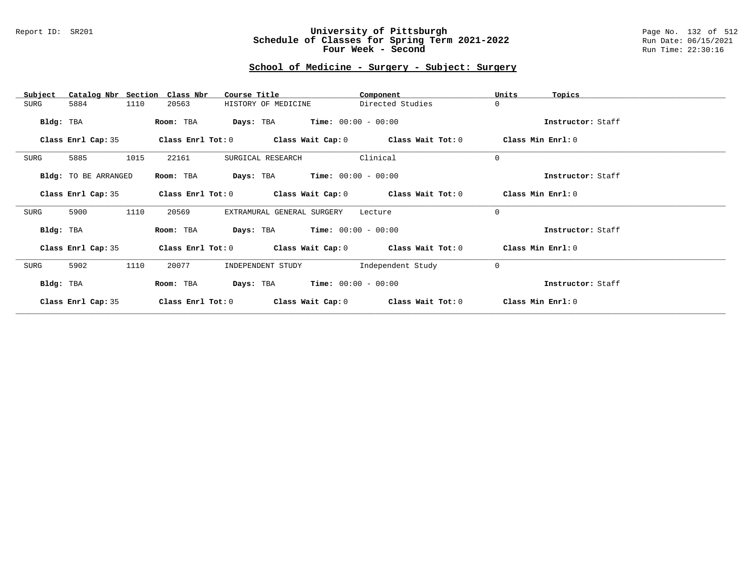### Report ID: SR201 **University of Pittsburgh** Page No. 132 of 512 **Schedule of Classes for Spring Term 2021-2022** Run Date: 06/15/2021 **Four Week - Second Run Time: 22:30:16**

# **School of Medicine - Surgery - Subject: Surgery**

| Catalog Nbr Section<br>Subject | Class Nbr<br>Course Title                                        | Component         | Units<br>Topics   |
|--------------------------------|------------------------------------------------------------------|-------------------|-------------------|
| 1110<br>5884<br>SURG           | 20563<br>HISTORY OF MEDICINE                                     | Directed Studies  | $\Omega$          |
| Bldg: TBA                      | $\texttt{DayS:}$ TBA $\texttt{Time:}$ 00:00 - 00:00<br>Room: TBA |                   | Instructor: Staff |
| Class Enrl Cap: 35             | Class Enrl Tot: $0$ Class Wait Cap: $0$ Class Wait Tot: $0$      |                   | Class Min Enrl: 0 |
| 5885<br>1015<br>SURG           | 22161<br>SURGICAL RESEARCH                                       | Clinical          | $\Omega$          |
| Bldg: TO BE ARRANGED           | <b>Days:</b> TBA <b>Time:</b> $00:00 - 00:00$<br>Room: TBA       |                   | Instructor: Staff |
| Class Enrl Cap: 35             | Class Enrl Tot: $0$ Class Wait Cap: $0$ Class Wait Tot: $0$      |                   | Class Min Enrl: 0 |
| 5900<br>1110<br>SURG           | 20569<br>EXTRAMURAL GENERAL SURGERY                              | Lecture           | $\Omega$          |
| Bldg: TBA                      | <b>Days:</b> TBA <b>Time:</b> $00:00 - 00:00$<br>Room: TBA       |                   | Instructor: Staff |
| Class Enrl Cap: 35             | Class Enrl Tot: $0$ Class Wait Cap: $0$ Class Wait Tot: $0$      |                   | Class Min Enrl: 0 |
| 5902<br>1110<br>SURG           | 20077<br>INDEPENDENT STUDY                                       | Independent Study | $\mathbf 0$       |
| Bldg: TBA                      | $Time: 00:00 - 00:00$<br>Room: TBA<br>Days: TBA                  |                   | Instructor: Staff |
| Class Enrl Cap: 35             | Class Enrl Tot: 0<br>Class Wait Cap: 0                           | Class Wait Tot: 0 | Class Min Enrl: 0 |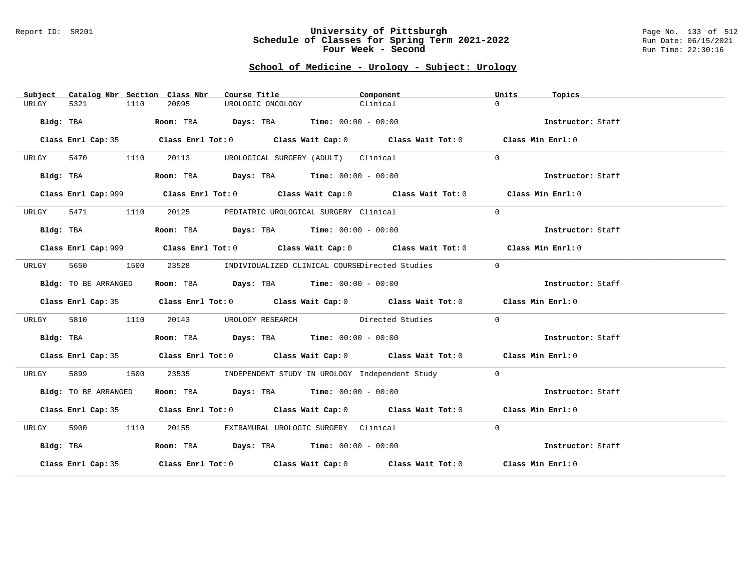#### Report ID: SR201 **University of Pittsburgh** Page No. 133 of 512 **Schedule of Classes for Spring Term 2021-2022** Run Date: 06/15/2021 **Four Week - Second Run Time: 22:30:16**

# **School of Medicine - Urology - Subject: Urology**

| Subject   |                      |      | Catalog Nbr Section Class Nbr | Course Title                                                                          | Component                                                                                   | Units          | Topics            |
|-----------|----------------------|------|-------------------------------|---------------------------------------------------------------------------------------|---------------------------------------------------------------------------------------------|----------------|-------------------|
| URLGY     | 5321                 | 1110 | 20095                         | UROLOGIC ONCOLOGY                                                                     | Clinical                                                                                    | $\Omega$       |                   |
|           | Bldg: TBA            |      |                               | Room: TBA $\rule{1em}{0.15mm}$ Days: TBA $\rule{1.5mm}{0.15mm}$ Time: $00:00 - 00:00$ |                                                                                             |                | Instructor: Staff |
|           | Class Enrl Cap: 35   |      |                               |                                                                                       | Class Enrl Tot: $0$ Class Wait Cap: $0$ Class Wait Tot: $0$ Class Min Enrl: $0$             |                |                   |
| URLGY     | 5470                 | 1110 | 20113                         | UROLOGICAL SURGERY (ADULT) Clinical                                                   |                                                                                             | $\Omega$       |                   |
|           | Bldg: TBA            |      |                               | Room: TBA $Days:$ TBA $Time: 00:00 - 00:00$                                           |                                                                                             |                | Instructor: Staff |
|           |                      |      |                               |                                                                                       | Class Enrl Cap: 999 Class Enrl Tot: 0 Class Wait Cap: 0 Class Wait Tot: 0 Class Min Enrl: 0 |                |                   |
| URLGY     | 5471 1110            |      |                               | 20125 PEDIATRIC UROLOGICAL SURGERY Clinical                                           |                                                                                             | $\Omega$       |                   |
|           | Bldg: TBA            |      |                               | Room: TBA $Days:$ TBA $Time: 00:00 - 00:00$                                           |                                                                                             |                | Instructor: Staff |
|           |                      |      |                               |                                                                                       | Class Enrl Cap: 999 Class Enrl Tot: 0 Class Wait Cap: 0 Class Wait Tot: 0 Class Min Enrl: 0 |                |                   |
| URLGY     | 5650<br>1500         |      |                               |                                                                                       | 23528 INDIVIDUALIZED CLINICAL COURSEDirected Studies                                        | $\overline{0}$ |                   |
|           | Bldg: TO BE ARRANGED |      |                               | Room: TBA $Days:$ TBA $Time: 00:00 - 00:00$                                           |                                                                                             |                | Instructor: Staff |
|           |                      |      |                               |                                                                                       | Class Enrl Cap: 35 Class Enrl Tot: 0 Class Wait Cap: 0 Class Wait Tot: 0 Class Min Enrl: 0  |                |                   |
| URLGY     | 5810                 | 1110 |                               |                                                                                       | 20143 UROLOGY RESEARCH Directed Studies                                                     | $\Omega$       |                   |
|           | Bldg: TBA            |      |                               | Room: TBA $\rule{1em}{0.15mm}$ Days: TBA $\rule{1.5mm}{0.15mm}$ Time: $00:00 - 00:00$ |                                                                                             |                | Instructor: Staff |
|           |                      |      |                               |                                                                                       | Class Enrl Cap: 35 Class Enrl Tot: 0 Class Wait Cap: 0 Class Wait Tot: 0 Class Min Enrl: 0  |                |                   |
| URLGY     | 5899                 | 1500 | 23535                         |                                                                                       | INDEPENDENT STUDY IN UROLOGY Independent Study                                              | $\Omega$       |                   |
|           | Bldg: TO BE ARRANGED |      |                               | Room: TBA $Days:$ TBA $Time: 00:00 - 00:00$                                           |                                                                                             |                | Instructor: Staff |
|           |                      |      |                               |                                                                                       | Class Enrl Cap: 35 Class Enrl Tot: 0 Class Wait Cap: 0 Class Wait Tot: 0 Class Min Enrl: 0  |                |                   |
| URLGY     | 5900 1110            |      |                               | 20155 EXTRAMURAL UROLOGIC SURGERY Clinical                                            |                                                                                             | $\Omega$       |                   |
| Bldg: TBA |                      |      |                               | Room: TBA $Days:$ TBA $Time: 00:00 - 00:00$                                           |                                                                                             |                | Instructor: Staff |
|           |                      |      |                               |                                                                                       | Class Enrl Cap: 35 Class Enrl Tot: 0 Class Wait Cap: 0 Class Wait Tot: 0 Class Min Enrl: 0  |                |                   |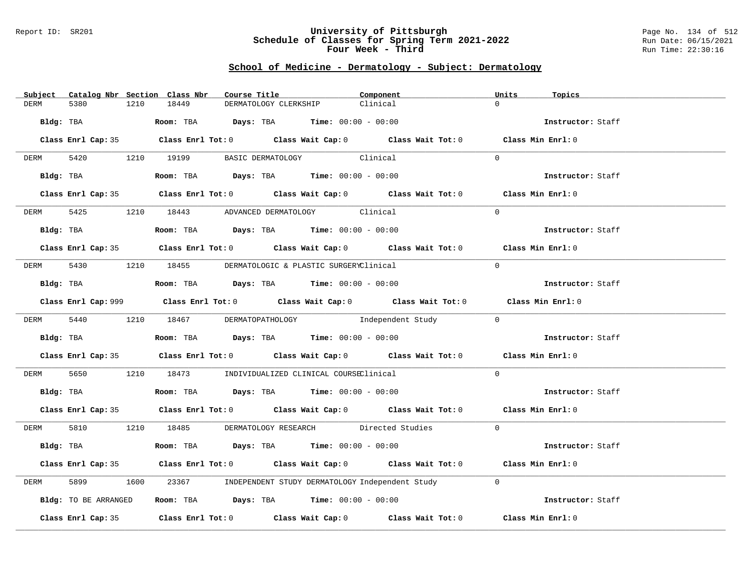#### Report ID: SR201 **University of Pittsburgh** Page No. 134 of 512 **Schedule of Classes for Spring Term 2021-2022** Run Date: 06/15/2021 **Four Week - Third Run Time: 22:30:16**

## **School of Medicine - Dermatology - Subject: Dermatology**

| Subject Catalog Nbr Section Class Nbr | Course Title                                                                                | Component | Units<br>Topics   |
|---------------------------------------|---------------------------------------------------------------------------------------------|-----------|-------------------|
| <b>DERM</b><br>5380<br>1210           | 18449<br>DERMATOLOGY CLERKSHIP                                                              | Clinical  | $\Omega$          |
| Bldg: TBA                             | Room: TBA $\rule{1em}{0.15mm}$ Days: TBA Time: $00:00 - 00:00$                              |           | Instructor: Staff |
|                                       | Class Enrl Cap: 35 Class Enrl Tot: 0 Class Wait Cap: 0 Class Wait Tot: 0 Class Min Enrl: 0  |           |                   |
|                                       |                                                                                             |           |                   |
|                                       | DERM 5420 1210 19199 BASIC DERMATOLOGY Clinical                                             |           | $\Omega$          |
|                                       | Bldg: TBA                  Room: TBA        Days: TBA        Time: 00:00 - 00:00            |           | Instructor: Staff |
|                                       | Class Enrl Cap: 35 Class Enrl Tot: 0 Class Wait Cap: 0 Class Wait Tot: 0 Class Min Enrl: 0  |           |                   |
|                                       | DERM 5425 1210 18443 ADVANCED DERMATOLOGY Clinical                                          |           | $\Omega$          |
| Bldg: TBA                             | Room: TBA $Days:$ TBA $Time: 00:00 - 00:00$                                                 |           | Instructor: Staff |
|                                       | Class Enrl Cap: 35 Class Enrl Tot: 0 Class Wait Cap: 0 Class Wait Tot: 0 Class Min Enrl: 0  |           |                   |
|                                       | DERM 5430 1210 18455 DERMATOLOGIC & PLASTIC SURGERYClinical                                 |           | $\Omega$          |
|                                       | Bldg: TBA                   Room: TBA         Days: TBA         Time: $00:00 - 00:00$       |           | Instructor: Staff |
|                                       | Class Enrl Cap: 999 Class Enrl Tot: 0 Class Wait Cap: 0 Class Wait Tot: 0 Class Min Enrl: 0 |           |                   |
|                                       |                                                                                             |           |                   |
|                                       | DERM 5440 1210 18467 DERMATOPATHOLOGY Independent Study                                     |           | $\bigcap$         |
| Bldg: TBA                             | Room: TBA $Days:$ TBA $Time:$ 00:00 - 00:00                                                 |           | Instructor: Staff |
|                                       | Class Enrl Cap: 35 Class Enrl Tot: 0 Class Wait Cap: 0 Class Wait Tot: 0 Class Min Enrl: 0  |           |                   |
| <b>DERM</b>                           | 5650 1210 18473 INDIVIDUALIZED CLINICAL COURSEClinical                                      |           | $\Omega$          |
|                                       | Bldg: TBA                    Room: TBA         Days: TBA         Time: $00:00 - 00:00$      |           | Instructor: Staff |
|                                       | Class Enrl Cap: 35 Class Enrl Tot: 0 Class Wait Cap: 0 Class Wait Tot: 0 Class Min Enrl: 0  |           |                   |
|                                       | DERM 5810 1210 18485 DERMATOLOGY RESEARCH Directed Studies                                  |           | $\Omega$          |
| Bldg: TBA                             | Room: TBA $\rule{1em}{0.15mm}$ Days: TBA Time: $00:00 - 00:00$                              |           | Instructor: Staff |
|                                       | Class Enrl Cap: 35 Class Enrl Tot: 0 Class Wait Cap: 0 Class Wait Tot: 0 Class Min Enrl: 0  |           |                   |
| 5899<br>1600<br>DERM                  | 23367 INDEPENDENT STUDY DERMATOLOGY Independent Study                                       |           | $\Omega$          |
| Bldg: TO BE ARRANGED                  | Room: TBA $\rule{1em}{0.15mm}$ Days: TBA $\rule{1.5mm}{0.15mm}$ Time: $00:00 - 00:00$       |           | Instructor: Staff |
|                                       | Class Enrl Cap: 35 Class Enrl Tot: 0 Class Wait Cap: 0 Class Wait Tot: 0                    |           | Class Min Enrl: 0 |
|                                       |                                                                                             |           |                   |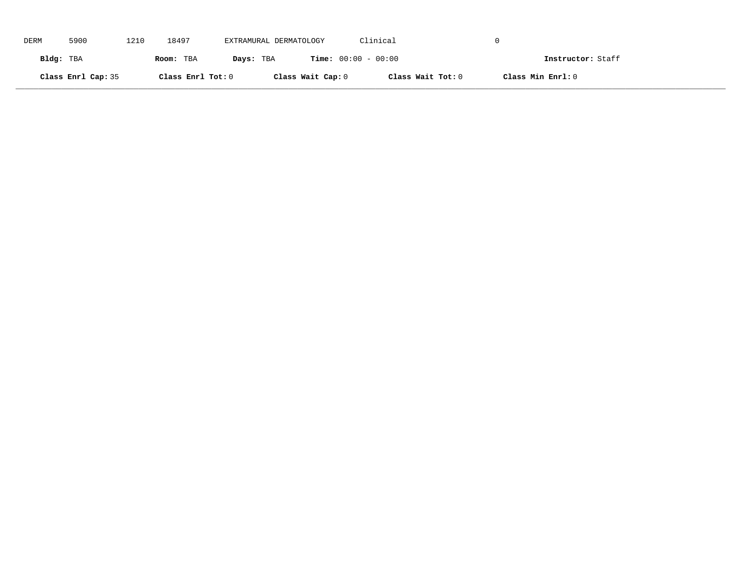| DERM      | 5900               | 1210 | 18497             | EXTRAMURAL DERMATOLOGY |                              | Clinical          |                   |
|-----------|--------------------|------|-------------------|------------------------|------------------------------|-------------------|-------------------|
| Bldg: TBA |                    |      | Room: TBA         | Days: TBA              | <b>Time:</b> $00:00 - 00:00$ |                   | Instructor: Staff |
|           | Class Enrl Cap: 35 |      | Class Enrl Tot: 0 |                        | Class Wait Cap: 0            | Class Wait Tot: 0 | Class Min Enrl: 0 |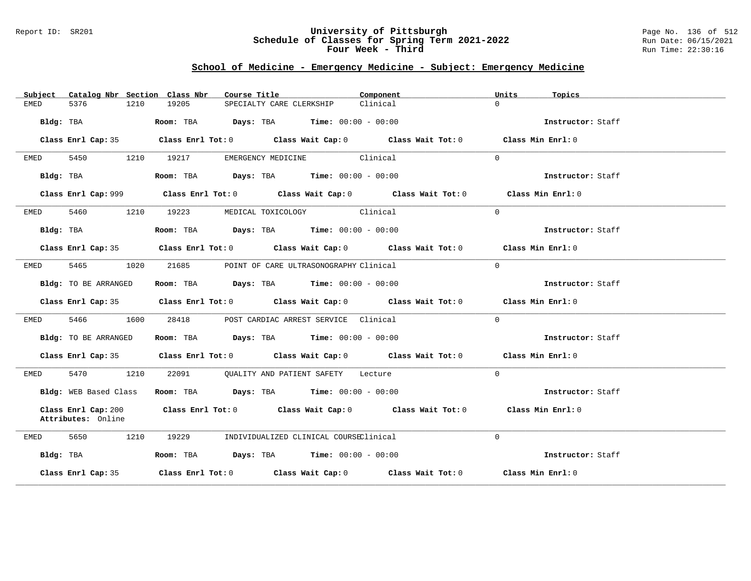### Report ID: SR201 **University of Pittsburgh** Page No. 136 of 512 **Schedule of Classes for Spring Term 2021-2022** Run Date: 06/15/2021 **Four Week - Third Run Time: 22:30:16**

# **School of Medicine - Emergency Medicine - Subject: Emergency Medicine**

| Catalog Nbr Section Class Nbr<br>Subject  | Course Title                                                                                | Component<br>Units   | Topics            |
|-------------------------------------------|---------------------------------------------------------------------------------------------|----------------------|-------------------|
| 5376<br>1210<br>EMED                      | 19205<br>SPECIALTY CARE CLERKSHIP                                                           | $\Omega$<br>Clinical |                   |
| Bldg: TBA                                 | Room: TBA $\rule{1em}{0.15mm}$ Days: TBA Time: $00:00 - 00:00$                              |                      | Instructor: Staff |
| Class Enrl Cap: 35                        | Class Enrl Tot: 0 Class Wait Cap: 0 Class Wait Tot: 0 Class Min Enrl: 0                     |                      |                   |
| 5450<br>EMED                              | EMERGENCY MEDICINE Clinical<br>1210 19217                                                   | $\Omega$             |                   |
| Bldg: TBA                                 | Room: TBA $Days:$ TBA $Time: 00:00 - 00:00$                                                 |                      | Instructor: Staff |
|                                           | Class Enrl Cap: 999 Class Enrl Tot: 0 Class Wait Cap: 0 Class Wait Tot: 0 Class Min Enrl: 0 |                      |                   |
| 5460<br>EMED                              | 1210 19223<br>MEDICAL TOXICOLOGY Clinical                                                   | $\Omega$             |                   |
| Bldg: TBA                                 | Room: TBA $Days:$ TBA $Time: 00:00 - 00:00$                                                 |                      | Instructor: Staff |
|                                           | Class Enrl Cap: 35 Class Enrl Tot: 0 Class Wait Cap: 0 Class Wait Tot: 0 Class Min Enrl: 0  |                      |                   |
| 5465<br>1020<br>EMED                      | 21685<br>POINT OF CARE ULTRASONOGRAPHY Clinical                                             | $\Omega$             |                   |
| Bldg: TO BE ARRANGED                      | Room: TBA $Days:$ TBA $Time: 00:00 - 00:00$                                                 |                      | Instructor: Staff |
|                                           | Class Enrl Cap: 35 Class Enrl Tot: 0 Class Wait Cap: 0 Class Wait Tot: 0 Class Min Enrl: 0  |                      |                   |
| 5466 746<br>1600<br>EMED                  | 28418 POST CARDIAC ARREST SERVICE Clinical                                                  | $\Omega$             |                   |
| Bldg: TO BE ARRANGED                      | Room: TBA $Days:$ TBA Time: $00:00 - 00:00$                                                 |                      | Instructor: Staff |
|                                           | Class Enrl Cap: 35 Class Enrl Tot: 0 Class Wait Cap: 0 Class Wait Tot: 0 Class Min Enrl: 0  |                      |                   |
| 5470 1210<br>EMED                         | 22091 QUALITY AND PATIENT SAFETY Lecture                                                    | $\Omega$             |                   |
| Bldg: WEB Based Class                     | Room: TBA $Days:$ TBA $Time: 00:00 - 00:00$                                                 |                      | Instructor: Staff |
| Class Enrl Cap: 200<br>Attributes: Online | Class Enrl Tot: $0$ Class Wait Cap: $0$ Class Wait Tot: $0$                                 |                      | Class Min Enrl: 0 |
| 5650<br>1210<br>EMED                      | 19229<br>INDIVIDUALIZED CLINICAL COURSEClinical                                             | $\Omega$             |                   |
| Bldg: TBA                                 | Room: TBA $Days: TBA$ Time: $00:00 - 00:00$                                                 |                      | Instructor: Staff |
| Class Enrl Cap: 35                        | Class Enrl Tot: $0$ Class Wait Cap: $0$ Class Wait Tot: $0$ Class Min Enrl: $0$             |                      |                   |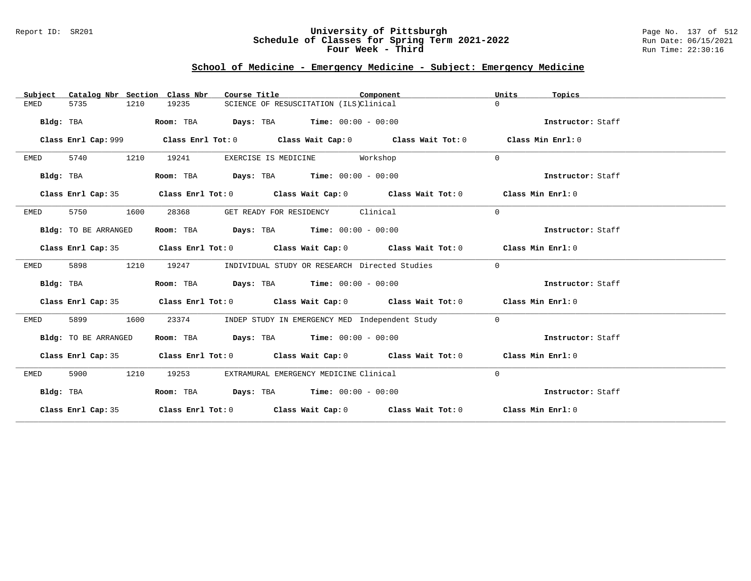### Report ID: SR201 **University of Pittsburgh** Page No. 137 of 512 **Schedule of Classes for Spring Term 2021-2022** Run Date: 06/15/2021 **Four Week - Third Run Time: 22:30:16**

# **School of Medicine - Emergency Medicine - Subject: Emergency Medicine**

| Catalog Nbr Section Class Nbr<br>Subject | Course Title                                                                               | Component | Units<br>Topics   |
|------------------------------------------|--------------------------------------------------------------------------------------------|-----------|-------------------|
| 5735<br>1210<br>EMED                     | 19235<br>SCIENCE OF RESUSCITATION (ILS)Clinical                                            |           | $\Omega$          |
| Bldg: TBA                                | Room: TBA $Days:$ TBA $Time: 00:00 - 00:00$                                                |           | Instructor: Staff |
|                                          |                                                                                            |           | Class Min Enrl: 0 |
| 5740<br>1210<br>EMED                     | 19241<br>EXERCISE IS MEDICINE Workshop                                                     |           | $\Omega$          |
| Bldg: TBA                                | Room: TBA $Days:$ TBA $Time: 00:00 - 00:00$                                                |           | Instructor: Staff |
| Class Enrl Cap: 35                       | Class Enrl Tot: 0 Class Wait Cap: 0 Class Wait Tot: 0 Class Min Enrl: 0                    |           |                   |
| 5750<br>1600<br>EMED                     | 28368<br>GET READY FOR RESIDENCY                                                           | Clinical  | $\Omega$          |
| Bldg: TO BE ARRANGED                     | Room: TBA $Days: TBA$ Time: $00:00 - 00:00$                                                |           | Instructor: Staff |
|                                          | Class Enrl Cap: 35 Class Enrl Tot: 0 Class Wait Cap: 0 Class Wait Tot: 0 Class Min Enrl: 0 |           |                   |
| 1210<br>EMED<br>5898                     | 19247<br>INDIVIDUAL STUDY OR RESEARCH Directed Studies                                     |           | $\mathbf{0}$      |
| Bldg: TBA                                | Room: TBA $Days:$ TBA $Time: 00:00 - 00:00$                                                |           | Instructor: Staff |
|                                          | Class Enrl Cap: 35 Class Enrl Tot: 0 Class Wait Cap: 0 Class Wait Tot: 0 Class Min Enrl: 0 |           |                   |
| 5899<br>1600<br>EMED                     | 23374<br>INDEP STUDY IN EMERGENCY MED Independent Study                                    |           | $\overline{0}$    |
| Bldg: TO BE ARRANGED                     | Room: TBA Days: TBA Time: $00:00 - 00:00$                                                  |           | Instructor: Staff |
|                                          | Class Enrl Cap: 35 Class Enrl Tot: 0 Class Wait Cap: 0 Class Wait Tot: 0 Class Min Enrl: 0 |           |                   |
| 5900<br>1210<br>EMED                     | 19253<br>EXTRAMURAL EMERGENCY MEDICINE Clinical                                            |           | $\Omega$          |
| Bldg: TBA                                | Room: TBA $Days:$ TBA $Time: 00:00 - 00:00$                                                |           | Instructor: Staff |
|                                          | Class Enrl Cap: 35 Class Enrl Tot: 0 Class Wait Cap: 0 Class Wait Tot: 0 Class Min Enrl: 0 |           |                   |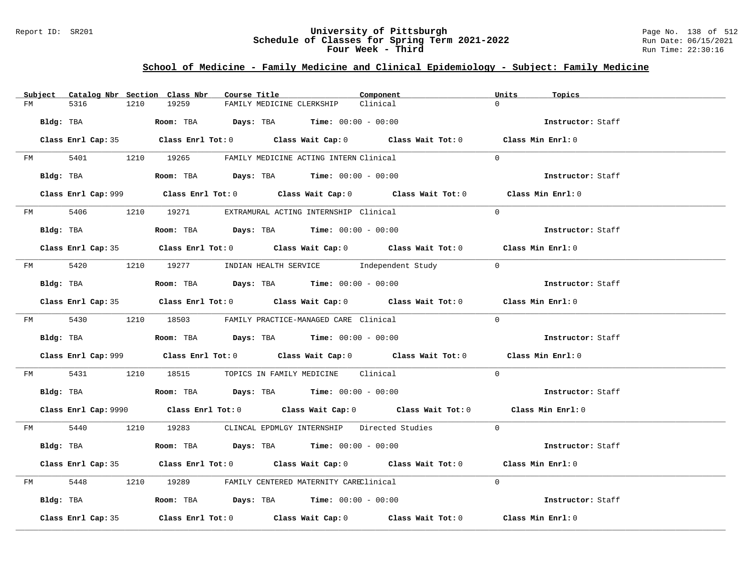### Report ID: SR201 **University of Pittsburgh** Page No. 138 of 512 **Schedule of Classes for Spring Term 2021-2022** Run Date: 06/15/2021 **Four Week - Third Run Time: 22:30:16**

# **School of Medicine - Family Medicine and Clinical Epidemiology - Subject: Family Medicine**

|    | Subject Catalog Nbr Section Class Nbr | Course Title                                                                                 | Component | Units<br>Topics   |
|----|---------------------------------------|----------------------------------------------------------------------------------------------|-----------|-------------------|
| FM | 5316<br>1210                          | 19259<br>FAMILY MEDICINE CLERKSHIP                                                           | Clinical  | $\Omega$          |
|    | Bldg: TBA                             | Room: TBA $Days:$ TBA $Time: 00:00 - 00:00$                                                  |           | Instructor: Staff |
|    |                                       | Class Enrl Cap: 35 Class Enrl Tot: 0 Class Wait Cap: 0 Class Wait Tot: 0 Class Min Enrl: 0   |           |                   |
|    |                                       | FM 5401 1210 19265 FAMILY MEDICINE ACTING INTERN Clinical                                    |           | $\Omega$          |
|    |                                       | $Bldg:$ TBA $Room:$ TBA $Days:$ TBA $Time:$ 00:00 - 00:00                                    |           | Instructor: Staff |
|    |                                       | Class Enrl Cap: 999 Class Enrl Tot: 0 Class Wait Cap: 0 Class Wait Tot: 0 Class Min Enrl: 0  |           |                   |
|    |                                       | FM 5406 1210 19271 EXTRAMURAL ACTING INTERNSHIP Clinical                                     |           | $\Omega$          |
|    |                                       |                                                                                              |           | Instructor: Staff |
|    |                                       | Class Enrl Cap: 35 Class Enrl Tot: 0 Class Wait Cap: 0 Class Wait Tot: 0 Class Min Enrl: 0   |           |                   |
|    |                                       | FM 5420 1210 19277 INDIAN HEALTH SERVICE Independent Study 0                                 |           |                   |
|    | Bldg: TBA                             | Room: TBA $Days:$ TBA Time: $00:00 - 00:00$                                                  |           | Instructor: Staff |
|    |                                       | Class Enrl Cap: 35 Class Enrl Tot: 0 Class Wait Cap: 0 Class Wait Tot: 0 Class Min Enrl: 0   |           |                   |
|    |                                       | FM 5430 1210 18503 FAMILY PRACTICE-MANAGED CARE Clinical                                     |           | $\Omega$          |
|    |                                       | <b>Bldg:</b> TBA <b>ROOM:</b> TBA <b>Days:</b> TBA <b>Time:</b> $00:00 - 00:00$              |           | Instructor: Staff |
|    |                                       | Class Enrl Cap: 999 Class Enrl Tot: 0 Class Wait Cap: 0 Class Wait Tot: 0 Class Min Enrl: 0  |           |                   |
|    |                                       | FM 5431 1210 18515 TOPICS IN FAMILY MEDICINE Clinical                                        |           | $\Omega$          |
|    |                                       | Bldg: TBA                    Room: TBA         Days: TBA         Time: $00:00 - 00:00$       |           | Instructor: Staff |
|    |                                       | Class Enrl Cap: 9990 Class Enrl Tot: 0 Class Wait Cap: 0 Class Wait Tot: 0 Class Min Enrl: 0 |           |                   |
|    |                                       | FM 5440 1210 19283 CLINCAL EPDMLGY INTERNSHIP Directed Studies 0                             |           |                   |
|    | Bldg: TBA                             | Room: TBA $Days:$ TBA $Time: 00:00 - 00:00$                                                  |           | Instructor: Staff |
|    |                                       | Class Enrl Cap: 35 Class Enrl Tot: 0 Class Wait Cap: 0 Class Wait Tot: 0 Class Min Enrl: 0   |           |                   |
|    |                                       | FM 5448 1210 19289 FAMILY CENTERED MATERNITY CAREClinical                                    |           | $\Omega$          |
|    |                                       | Bldg: TBA                  Room: TBA        Days: TBA        Time: 00:00 - 00:00             |           | Instructor: Staff |
|    | Class Enrl Cap: 35                    | Class Enrl Tot: $0$ Class Wait Cap: $0$ Class Wait Tot: $0$ Class Min Enrl: $0$              |           |                   |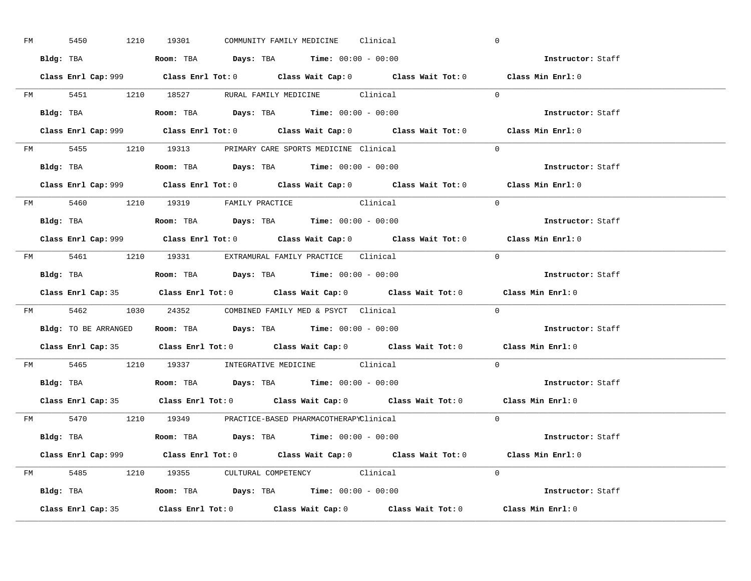| FM | 5450 |  | 1210 19301                                                                             |  | COMMUNITY FAMILY MEDICINE Clinical |                                                                                             | $\overline{0}$ |                          |  |
|----|------|--|----------------------------------------------------------------------------------------|--|------------------------------------|---------------------------------------------------------------------------------------------|----------------|--------------------------|--|
|    |      |  | Bldg: TBA                   Room: TBA         Days: TBA         Time: $00:00 - 00:00$  |  |                                    |                                                                                             |                | Instructor: Staff        |  |
|    |      |  |                                                                                        |  |                                    | Class Enrl Cap: 999 Class Enrl Tot: 0 Class Wait Cap: 0 Class Wait Tot: 0 Class Min Enrl: 0 |                |                          |  |
|    |      |  |                                                                                        |  |                                    | FM 5451 1210 18527 RURAL FAMILY MEDICINE Clinical 0                                         |                |                          |  |
|    |      |  | Bldg: TBA                   Room: TBA         Days: TBA         Time: $00:00 - 00:00$  |  |                                    |                                                                                             |                | Instructor: Staff        |  |
|    |      |  |                                                                                        |  |                                    | Class Enrl Cap: 999 Class Enrl Tot: 0 Class Wait Cap: 0 Class Wait Tot: 0 Class Min Enrl: 0 |                |                          |  |
|    |      |  | FM 5455 1210 19313 PRIMARY CARE SPORTS MEDICINE Clinical                               |  |                                    |                                                                                             | $\Omega$       |                          |  |
|    |      |  | Bldg: TBA                    Room: TBA         Days: TBA        Time: $00:00 - 00:00$  |  |                                    |                                                                                             |                | Instructor: Staff        |  |
|    |      |  |                                                                                        |  |                                    | Class Enrl Cap: 999 Class Enrl Tot: 0 Class Wait Cap: 0 Class Wait Tot: 0 Class Min Enrl: 0 |                |                          |  |
|    |      |  | FM 5460 1210 19319 FAMILY PRACTICE Clinical                                            |  |                                    |                                                                                             | $\Omega$       |                          |  |
|    |      |  | Bldg: TBA<br>Room: TBA<br>Days: TBA<br>Time: $00:00 - 00:00$                           |  |                                    |                                                                                             |                | Instructor: Staff        |  |
|    |      |  |                                                                                        |  |                                    | Class Enrl Cap: 999 Class Enrl Tot: 0 Class Wait Cap: 0 Class Wait Tot: 0 Class Min Enrl: 0 |                |                          |  |
|    |      |  | FM 5461 1210 19331 EXTRAMURAL FAMILY PRACTICE Clinical                                 |  |                                    |                                                                                             | $\bigcirc$     |                          |  |
|    |      |  |                                                                                        |  |                                    |                                                                                             |                | Instructor: Staff        |  |
|    |      |  |                                                                                        |  |                                    |                                                                                             |                |                          |  |
|    |      |  |                                                                                        |  |                                    | Class Enrl Cap: 35 Class Enrl Tot: 0 Class Wait Cap: 0 Class Wait Tot: 0 Class Min Enrl: 0  |                |                          |  |
|    |      |  | FM 5462 1030 24352 COMBINED FAMILY MED & PSYCT Clinical                                |  |                                    |                                                                                             | $\overline{0}$ |                          |  |
|    |      |  | Bldg: TO BE ARRANGED ROOM: TBA Days: TBA Time: 00:00 - 00:00                           |  |                                    |                                                                                             |                | <b>Instructor:</b> Staff |  |
|    |      |  |                                                                                        |  |                                    | Class Enrl Cap: 35 Class Enrl Tot: 0 Class Wait Cap: 0 Class Wait Tot: 0 Class Min Enrl: 0  |                |                          |  |
|    |      |  | FM 5465 1210 19337 INTEGRATIVE MEDICINE Clinical                                       |  |                                    |                                                                                             | $\Omega$       |                          |  |
|    |      |  | Bldg: TBA                    Room: TBA         Days: TBA         Time: $00:00 - 00:00$ |  |                                    |                                                                                             |                | Instructor: Staff        |  |
|    |      |  |                                                                                        |  |                                    | Class Enrl Cap: 35 Class Enrl Tot: 0 Class Wait Cap: 0 Class Wait Tot: 0 Class Min Enrl: 0  |                |                          |  |
|    |      |  | FM 5470 1210 19349 PRACTICE-BASED PHARMACOTHERAPYClinical                              |  |                                    |                                                                                             | $\Omega$       |                          |  |
|    |      |  | Bldg: TBA                   Room: TBA         Days: TBA        Time: 00:00 - 00:00     |  |                                    |                                                                                             |                | Instructor: Staff        |  |
|    |      |  |                                                                                        |  |                                    | Class Enrl Cap: 999 Class Enrl Tot: 0 Class Wait Cap: 0 Class Wait Tot: 0 Class Min Enrl: 0 |                |                          |  |
|    |      |  | FM 5485 1210 19355 CULTURAL COMPETENCY Clinical                                        |  |                                    |                                                                                             | $\Omega$       |                          |  |
|    |      |  | Bldg: TBA                    Room: TBA         Days: TBA         Time: $00:00 - 00:00$ |  |                                    |                                                                                             |                | Instructor: Staff        |  |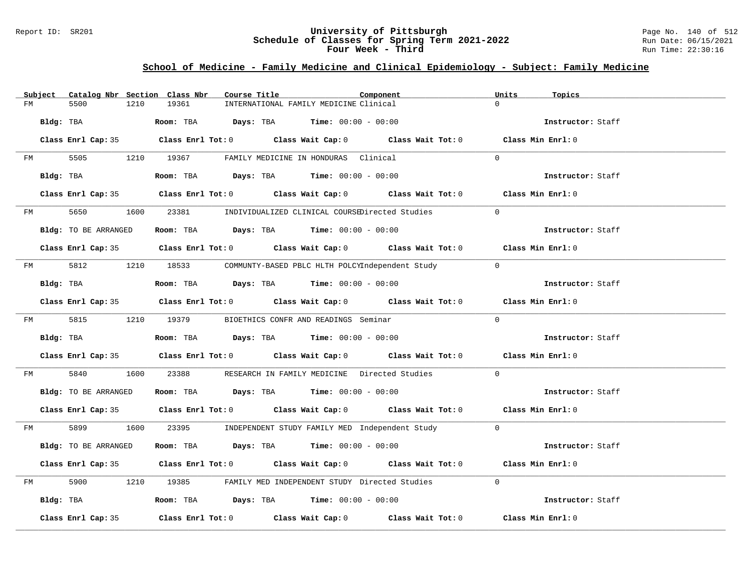### Report ID: SR201 **University of Pittsburgh** Page No. 140 of 512 **Schedule of Classes for Spring Term 2021-2022** Run Date: 06/15/2021 **Four Week - Third Run Time: 22:30:16**

# **School of Medicine - Family Medicine and Clinical Epidemiology - Subject: Family Medicine**

| Subject | Catalog Nbr Section Class Nbr | Course Title                                                                                 | Component | Units<br>Topics   |
|---------|-------------------------------|----------------------------------------------------------------------------------------------|-----------|-------------------|
| FM      | 5500<br>1210                  | 19361<br>INTERNATIONAL FAMILY MEDICINE Clinical                                              |           | $\Omega$          |
|         | Bldg: TBA                     | Room: TBA $Days:$ TBA $Time: 00:00 - 00:00$                                                  |           | Instructor: Staff |
|         |                               | Class Enrl Cap: 35 Class Enrl Tot: 0 Class Wait Cap: 0 Class Wait Tot: 0 Class Min Enrl: 0   |           |                   |
| FM      |                               | 5505 1210 19367 FAMILY MEDICINE IN HONDURAS Clinical                                         |           | $\Omega$          |
|         | Bldg: TBA                     | Room: TBA $Days:$ TBA $Time: 00:00 - 00:00$                                                  |           | Instructor: Staff |
|         |                               | Class Enrl Cap: 35 Class Enrl Tot: 0 Class Wait Cap: 0 Class Wait Tot: 0 Class Min Enrl: 0   |           |                   |
|         |                               | FM 5650 1600 23381 INDIVIDUALIZED CLINICAL COURSEDirected Studies                            |           | $\Omega$          |
|         | Bldg: TO BE ARRANGED          | Room: TBA $Days:$ TBA $Time: 00:00 - 00:00$                                                  |           | Instructor: Staff |
|         |                               | Class Enrl Cap: 35 Class Enrl Tot: 0 Class Wait Cap: 0 Class Wait Tot: 0 Class Min Enrl: 0   |           |                   |
|         |                               | FM 5812 1210 18533 COMMUNTY-BASED PBLC HLTH POLCYIndependent Study                           |           | $\Omega$          |
|         | Bldg: TBA                     | Room: TBA $\rule{1em}{0.15mm}$ Days: TBA $\rule{1.15mm}]{0.15mm}$ Time: $00:00 - 00:00$      |           | Instructor: Staff |
|         |                               | Class Enrl Cap: 35 Class Enrl Tot: 0 Class Wait Cap: 0 Class Wait Tot: 0 Class Min Enrl: 0   |           |                   |
|         |                               | FM 5815 1210 19379 BIOETHICS CONFR AND READINGS Seminar                                      |           | $\Omega$          |
|         | Bldg: TBA                     | Room: TBA $\rule{1em}{0.15mm}$ Days: TBA Time: $00:00 - 00:00$                               |           | Instructor: Staff |
|         |                               | Class Enrl Cap: 35 Class Enrl Tot: 0 Class Wait Cap: 0 Class Wait Tot: 0 Class Min Enrl: 0   |           |                   |
| FM      | 5840                          | 1600 23388 RESEARCH IN FAMILY MEDICINE Directed Studies                                      |           | $\Omega$          |
|         | Bldg: TO BE ARRANGED          | Room: TBA $\rule{1em}{0.15mm}$ Days: TBA Time: $00:00 - 00:00$                               |           | Instructor: Staff |
|         |                               | Class Enrl Cap: 35 Class Enrl Tot: 0 Class Wait Cap: 0 Class Wait Tot: 0 Class Min Enrl: 0   |           |                   |
|         |                               | FM 5899 1600 23395 INDEPENDENT STUDY FAMILY MED Independent Study 0                          |           |                   |
|         | Bldg: TO BE ARRANGED          | Room: TBA $Days:$ TBA Time: $00:00 - 00:00$                                                  |           | Instructor: Staff |
|         |                               | Class Enrl Cap: 35 Class Enrl Tot: 0 Class Wait Cap: 0 Class Wait Tot: 0 Class Min Enrl: 0   |           |                   |
| FM      |                               | 5900 1210 19385 FAMILY MED INDEPENDENT STUDY Directed Studies                                |           | $\Omega$          |
|         |                               | Bldg: TBA                       Room: TBA           Days: TBA          Time: $00:00 - 00:00$ |           | Instructor: Staff |
|         | Class Enrl Cap: 35            | Class Enrl Tot: $0$ Class Wait Cap: $0$ Class Wait Tot: $0$ Class Min Enrl: $0$              |           |                   |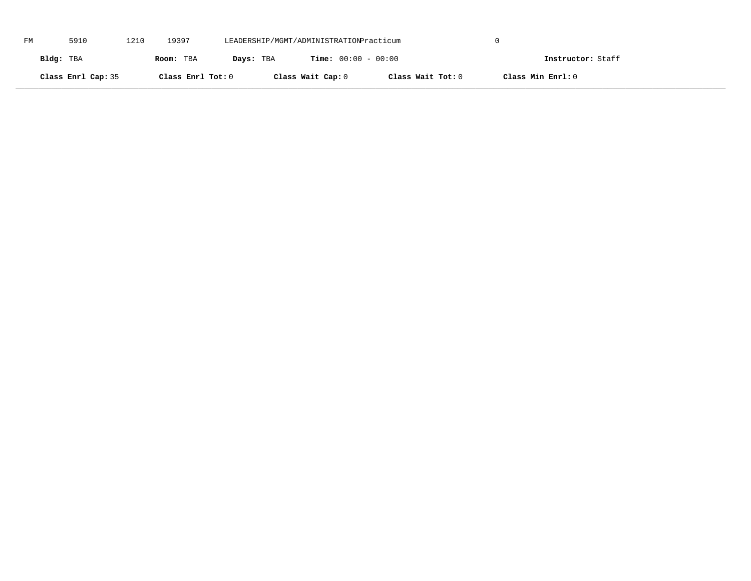| FM | 5910               | 1210 | 19397             | LEADERSHIP/MGMT/ADMINISTRATIONPracticum |                              |                   |                   |  |
|----|--------------------|------|-------------------|-----------------------------------------|------------------------------|-------------------|-------------------|--|
|    | Bldg: TBA          |      | Room: TBA         | Days: TBA                               | <b>Time:</b> $00:00 - 00:00$ |                   | Instructor: Staff |  |
|    | Class Enrl Cap: 35 |      | Class Enrl Tot: 0 |                                         | Class Wait Cap: 0            | Class Wait Tot: 0 | Class Min Enrl: 0 |  |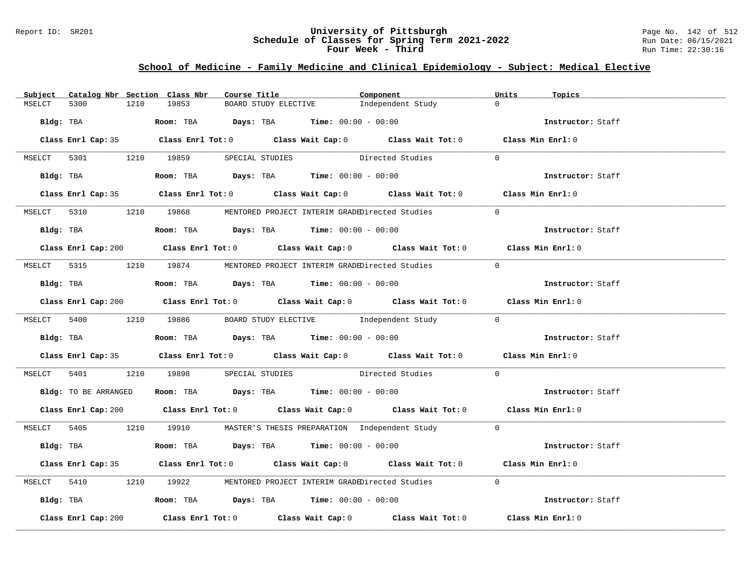### Report ID: SR201 **University of Pittsburgh** Page No. 142 of 512 **Schedule of Classes for Spring Term 2021-2022** Run Date: 06/15/2021 **Four Week - Third Run Time: 22:30:16**

## **School of Medicine - Family Medicine and Clinical Epidemiology - Subject: Medical Elective**

| Subject |                     |      | Catalog Nbr Section Class Nbr | Course Title |                                                                                               | Component                                                                                   | Units          | Topics            |
|---------|---------------------|------|-------------------------------|--------------|-----------------------------------------------------------------------------------------------|---------------------------------------------------------------------------------------------|----------------|-------------------|
| MSELCT  | 5300                | 1210 | 19853                         |              | BOARD STUDY ELECTIVE                                                                          | Independent Study                                                                           | $\Omega$       |                   |
|         |                     |      |                               |              | Bldg: TBA                    Room: TBA         Days: TBA        Time: $00:00 - 00:00$         |                                                                                             |                | Instructor: Staff |
|         |                     |      |                               |              |                                                                                               | Class Enrl Cap: 35 Class Enrl Tot: 0 Class Wait Cap: 0 Class Wait Tot: 0 Class Min Enrl: 0  |                |                   |
|         |                     |      |                               |              |                                                                                               | MSELCT 5301 1210 19859 SPECIAL STUDIES Directed Studies                                     | $\Omega$       |                   |
|         |                     |      |                               |              | Bldg: TBA                    Room: TBA        Days: TBA         Time: 00:00 - 00:00           |                                                                                             |                | Instructor: Staff |
|         |                     |      |                               |              |                                                                                               | Class Enrl Cap: 35 Class Enrl Tot: 0 Class Wait Cap: 0 Class Wait Tot: 0 Class Min Enrl: 0  |                |                   |
|         |                     |      |                               |              |                                                                                               | MSELCT 5310 1210 19868 MENTORED PROJECT INTERIM GRADEDirected Studies                       | $\Omega$       |                   |
|         |                     |      |                               |              | Bldg: TBA                   Room: TBA         Days: TBA        Time: $00:00 - 00:00$          |                                                                                             |                | Instructor: Staff |
|         |                     |      |                               |              |                                                                                               | Class Enrl Cap: 200 Class Enrl Tot: 0 Class Wait Cap: 0 Class Wait Tot: 0 Class Min Enrl: 0 |                |                   |
|         |                     |      |                               |              |                                                                                               | MSELCT 5315 1210 19874 MENTORED PROJECT INTERIM GRADEDirected Studies                       | $\overline{0}$ |                   |
|         |                     |      |                               |              | Bldg: TBA                     Room: TBA           Days: TBA          Time: $00:00 - 00:00$    |                                                                                             |                | Instructor: Staff |
|         |                     |      |                               |              |                                                                                               | Class Enrl Cap: 200 Class Enrl Tot: 0 Class Wait Cap: 0 Class Wait Tot: 0 Class Min Enrl: 0 |                |                   |
|         |                     |      |                               |              |                                                                                               | MSELCT 5400 1210 19886 BOARD STUDY ELECTIVE Independent Study 0                             |                |                   |
|         |                     |      |                               |              | Bldg: TBA                     Room: TBA         Days: TBA         Time: 00:00 - 00:00         |                                                                                             |                | Instructor: Staff |
|         |                     |      |                               |              |                                                                                               | Class Enrl Cap: 35 Class Enrl Tot: 0 Class Wait Cap: 0 Class Wait Tot: 0 Class Min Enrl: 0  |                |                   |
|         |                     |      |                               |              |                                                                                               | MSELCT 5401 1210 19898 SPECIAL STUDIES Directed Studies                                     | $\Omega$       |                   |
|         |                     |      |                               |              | Bldg: TO BE ARRANGED ROOM: TBA Days: TBA Time: 00:00 - 00:00                                  |                                                                                             |                | Instructor: Staff |
|         |                     |      |                               |              |                                                                                               | Class Enrl Cap: 200 Class Enrl Tot: 0 Class Wait Cap: 0 Class Wait Tot: 0 Class Min Enrl: 0 |                |                   |
|         |                     |      |                               |              |                                                                                               | MSELCT 5405 1210 19910 MASTER'S THESIS PREPARATION Independent Study 0                      |                |                   |
|         |                     |      |                               |              | Bldg: TBA                        Room: TBA           Days: TBA          Time: $00:00 - 00:00$ |                                                                                             |                | Instructor: Staff |
|         |                     |      |                               |              |                                                                                               | Class Enrl Cap: 35 Class Enrl Tot: 0 Class Wait Cap: 0 Class Wait Tot: 0 Class Min Enrl: 0  |                |                   |
|         | MSELCT 5410         |      |                               |              |                                                                                               | 1210 19922 MENTORED PROJECT INTERIM GRADEDirected Studies                                   | $\Omega$       |                   |
|         |                     |      |                               |              | Bldg: TBA                    Room: TBA        Days: TBA        Time: 00:00 - 00:00            |                                                                                             |                | Instructor: Staff |
|         | Class Enrl Cap: 200 |      |                               |              |                                                                                               | Class Enrl Tot: $0$ Class Wait Cap: $0$ Class Wait Tot: $0$                                 |                | Class Min Enrl: 0 |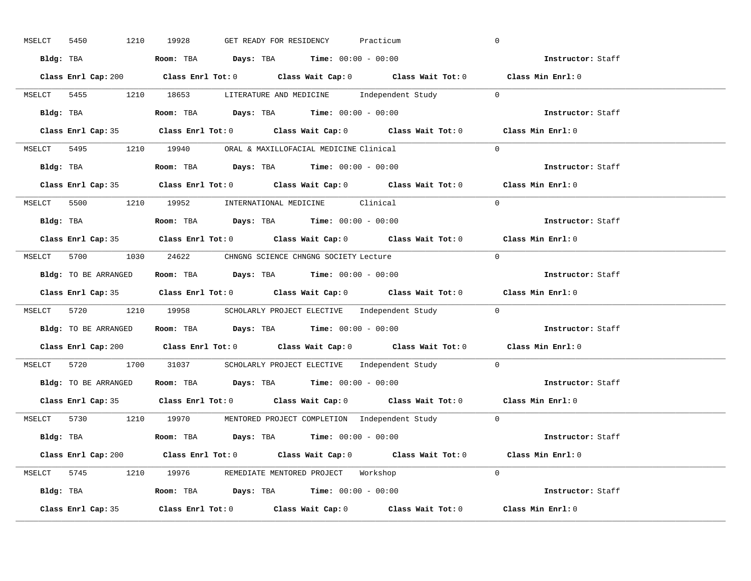| 1210<br>MSELCT<br>5450 | 19928<br>GET READY FOR RESIDENCY<br>Practicum                                                      | $\overline{0}$    |
|------------------------|----------------------------------------------------------------------------------------------------|-------------------|
|                        | Bldg: TBA                   Room: TBA         Days: TBA         Time: 00:00 - 00:00                | Instructor: Staff |
|                        | Class Enrl Cap: 200 Class Enrl Tot: 0 Class Wait Cap: 0 Class Wait Tot: 0 Class Min Enrl: 0        |                   |
|                        | MSELCT 5455 1210 18653 LITERATURE AND MEDICINE Independent Study 0                                 |                   |
|                        | Bldg: TBA                   Room: TBA         Days: TBA         Time: 00:00 - 00:00                | Instructor: Staff |
|                        | Class Enrl Cap: 35 Class Enrl Tot: 0 Class Wait Cap: 0 Class Wait Tot: 0 Class Min Enrl: 0         |                   |
|                        | MSELCT 5495 1210 19940 ORAL & MAXILLOFACIAL MEDICINE Clinical                                      | $\Omega$          |
|                        | Bldg: TBA                    Room: TBA         Days: TBA        Time: $00:00 - 00:00$              | Instructor: Staff |
|                        | Class Enrl Cap: 35 Class Enrl Tot: 0 Class Wait Cap: 0 Class Wait Tot: 0 Class Min Enrl: 0         |                   |
|                        | MSELCT 5500 1210 19952 INTERNATIONAL MEDICINE Clinical                                             | $\Omega$          |
|                        | Bldg: TBA                    Room: TBA         Days: TBA         Time: $00:00 - 00:00$             | Instructor: Staff |
|                        | Class Enrl Cap: 35 Class Enrl Tot: 0 Class Wait Cap: 0 Class Wait Tot: 0 Class Min Enrl: 0         |                   |
|                        | MSELCT 5700 1030 24622 CHNGNG SCIENCE CHNGNG SOCIETY Lecture                                       | $\bigcirc$        |
|                        | Bldg: TO BE ARRANGED Room: TBA Days: TBA Time: 00:00 - 00:00                                       | Instructor: Staff |
|                        | Class Enrl Cap: 35 Class Enrl Tot: 0 Class Wait Cap: 0 Class Wait Tot: 0 Class Min Enrl: 0         |                   |
|                        | MSELCT 5720 1210 19958 SCHOLARLY PROJECT ELECTIVE Independent Study 0                              |                   |
|                        | Bldg: TO BE ARRANGED ROOM: TBA Days: TBA Time: 00:00 - 00:00                                       | Instructor: Staff |
|                        | Class Enrl Cap: 200 Class Enrl Tot: 0 Class Wait Cap: 0 Class Wait Tot: 0 Class Min Enrl: 0        |                   |
|                        | MSELCT 5720 1700 31037 SCHOLARLY PROJECT ELECTIVE Independent Study                                | $\overline{0}$    |
|                        | Bldg: TO BE ARRANGED Room: TBA Days: TBA Time: 00:00 - 00:00                                       | Instructor: Staff |
| Class Enrl Cap: 35     | Class Enrl Tot: 0 $\qquad$ Class Wait Cap: 0 $\qquad$ Class Wait Tot: 0 $\qquad$ Class Min Enrl: 0 |                   |
|                        | MSELCT 5730 1210 19970 MENTORED PROJECT COMPLETION Independent Study 0                             |                   |
|                        | Bldg: TBA                     Room: TBA         Days: TBA         Time: 00:00 - 00:00              | Instructor: Staff |
|                        | Class Enrl Cap: 200 Class Enrl Tot: 0 Class Wait Cap: 0 Class Wait Tot: 0                          | Class Min Enrl: 0 |
|                        | MSELCT 5745 1210 19976 REMEDIATE MENTORED PROJECT Workshop                                         | $\Omega$          |
|                        | Bldg: TBA                   Room: TBA        Days: TBA        Time: 00:00 - 00:00                  | Instructor: Staff |
|                        | Class Enrl Cap: 35 Class Enrl Tot: 0 Class Wait Cap: 0 Class Wait Tot: 0 Class Min Enrl: 0         |                   |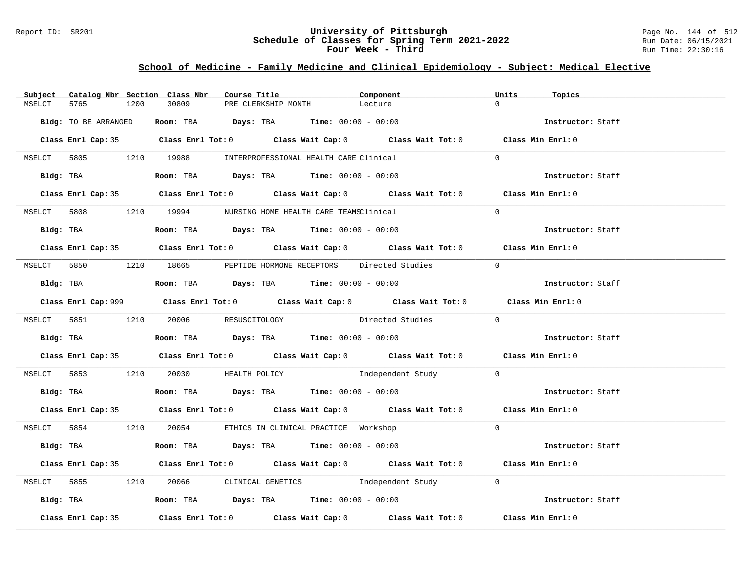### Report ID: SR201 **University of Pittsburgh** Page No. 144 of 512 **Schedule of Classes for Spring Term 2021-2022** Run Date: 06/15/2021 **Four Week - Third Run Time: 22:30:16**

## **School of Medicine - Family Medicine and Clinical Epidemiology - Subject: Medical Elective**

|        |                      |      | Subject Catalog Nbr Section Class Nbr                                                       | Course Title |                     | Component                                                                                          | Units          | Topics            |
|--------|----------------------|------|---------------------------------------------------------------------------------------------|--------------|---------------------|----------------------------------------------------------------------------------------------------|----------------|-------------------|
| MSELCT | 5765                 | 1200 | 30809                                                                                       |              | PRE CLERKSHIP MONTH | Lecture                                                                                            | $\cap$         |                   |
|        | Bldg: TO BE ARRANGED |      | Room: TBA $Days:$ TBA $Time: 00:00 - 00:00$                                                 |              |                     |                                                                                                    |                | Instructor: Staff |
|        |                      |      |                                                                                             |              |                     | Class Enrl Cap: 35 Class Enrl Tot: 0 Class Wait Cap: 0 Class Wait Tot: 0 Class Min Enrl: 0         |                |                   |
|        |                      |      | MSELCT 5805 1210 19988 INTERPROFESSIONAL HEALTH CARE Clinical                               |              |                     |                                                                                                    | $\Omega$       |                   |
|        | Bldg: TBA            |      | Room: TBA $Days: TBA$ Time: $00:00 - 00:00$                                                 |              |                     |                                                                                                    |                | Instructor: Staff |
|        |                      |      |                                                                                             |              |                     | Class Enrl Cap: 35 Class Enrl Tot: 0 Class Wait Cap: 0 Class Wait Tot: 0 Class Min Enrl: 0         |                |                   |
|        |                      |      | MSELCT 5808 1210 19994 NURSING HOME HEALTH CARE TEAMSClinical                               |              |                     |                                                                                                    | $\Omega$       |                   |
|        |                      |      | Bldg: TBA                    Room: TBA         Days: TBA         Time: 00:00 - 00:00        |              |                     |                                                                                                    |                | Instructor: Staff |
|        |                      |      |                                                                                             |              |                     | Class Enrl Cap: 35 Class Enrl Tot: 0 Class Wait Cap: 0 Class Wait Tot: 0 Class Min Enrl: 0         |                |                   |
|        |                      |      |                                                                                             |              |                     | MSELCT 5850 1210 18665 PEPTIDE HORMONE RECEPTORS Directed Studies                                  | $\overline{0}$ |                   |
|        |                      |      | Bldg: TBA                         Room: TBA          Days: TBA          Time: 00:00 - 00:00 |              |                     |                                                                                                    |                | Instructor: Staff |
|        |                      |      |                                                                                             |              |                     | Class Enrl Cap: 999 Class Enrl Tot: 0 Class Wait Cap: 0 Class Wait Tot: 0 Class Min Enrl: 0        |                |                   |
|        |                      |      | MSELCT 5851 1210 20006 RESUSCITOLOGY                                                        |              |                     | Directed Studies 0                                                                                 |                |                   |
|        |                      |      | Bldg: TBA                         Room: TBA          Days: TBA          Time: 00:00 - 00:00 |              |                     |                                                                                                    |                | Instructor: Staff |
|        |                      |      |                                                                                             |              |                     | Class Enrl Cap: 35 Class Enrl Tot: 0 Class Wait Cap: 0 Class Wait Tot: 0 Class Min Enrl: 0         |                |                   |
|        |                      |      |                                                                                             |              |                     | MSELCT 5853 1210 20030 HEALTH POLICY 1ndependent Study 0                                           |                |                   |
|        |                      |      | Bldg: TBA                         Room: TBA          Days: TBA          Time: 00:00 - 00:00 |              |                     |                                                                                                    |                | Instructor: Staff |
|        |                      |      |                                                                                             |              |                     | Class Enrl Cap: 35 Class Enrl Tot: 0 Class Wait Cap: 0 Class Wait Tot: 0 Class Min Enrl: 0         |                |                   |
|        |                      |      | MSELCT 5854 1210 20054 ETHICS IN CLINICAL PRACTICE Workshop                                 |              |                     |                                                                                                    | $\Omega$       |                   |
|        |                      |      | Bldg: TBA                    Room: TBA         Days: TBA         Time: 00:00 - 00:00        |              |                     |                                                                                                    |                | Instructor: Staff |
|        |                      |      |                                                                                             |              |                     | Class Enrl Cap: 35 Class Enrl Tot: 0 Class Wait Cap: 0 Class Wait Tot: 0 Class Min Enrl: 0         |                |                   |
|        |                      |      |                                                                                             |              |                     | MSELCT 5855 1210 20066 CLINICAL GENETICS Independent Study 0                                       |                |                   |
|        |                      |      | Bldg: TBA                    Room: TBA         Days: TBA         Time: 00:00 - 00:00        |              |                     |                                                                                                    |                | Instructor: Staff |
|        | Class Enrl Cap: 35   |      |                                                                                             |              |                     | Class Enrl Tot: 0 $\qquad$ Class Wait Cap: 0 $\qquad$ Class Wait Tot: 0 $\qquad$ Class Min Enrl: 0 |                |                   |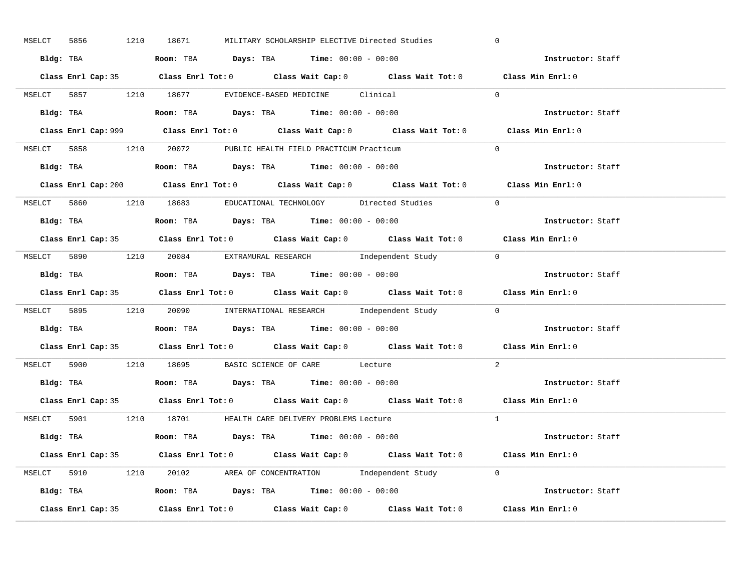| MSELCT 5856        | 1210 18671 | MILITARY SCHOLARSHIP ELECTIVE Directed Studies                                              |  | $\overline{0}$           |
|--------------------|------------|---------------------------------------------------------------------------------------------|--|--------------------------|
|                    |            | Bldg: TBA                   Room: TBA         Days: TBA        Time: $00:00 - 00:00$        |  | Instructor: Staff        |
|                    |            | Class Enrl Cap: 35 Class Enrl Tot: 0 Class Wait Cap: 0 Class Wait Tot: 0 Class Min Enrl: 0  |  |                          |
|                    |            | MSELCT 5857 1210 18677 EVIDENCE-BASED MEDICINE Clinical                                     |  | $\Omega$                 |
|                    |            |                                                                                             |  | Instructor: Staff        |
|                    |            | Class Enrl Cap: 999 Class Enrl Tot: 0 Class Wait Cap: 0 Class Wait Tot: 0                   |  | Class Min Enrl: 0        |
|                    |            | MSELCT 5858 1210 20072 PUBLIC HEALTH FIELD PRACTICUM Practicum                              |  | $\Omega$                 |
|                    |            | Bldg: TBA                    Room: TBA        Days: TBA        Time: 00:00 - 00:00          |  | Instructor: Staff        |
|                    |            | Class Enrl Cap: 200 Class Enrl Tot: 0 Class Wait Cap: 0 Class Wait Tot: 0 Class Min Enrl: 0 |  |                          |
|                    |            | MSELCT 5860 1210 18683 EDUCATIONAL TECHNOLOGY Directed Studies                              |  | $\Omega$                 |
|                    |            | Bldg: TBA                    Room: TBA         Days: TBA         Time: 00:00 - 00:00        |  | Instructor: Staff        |
|                    |            | Class Enrl Cap: 35 Class Enrl Tot: 0 Class Wait Cap: 0 Class Wait Tot: 0 Class Min Enrl: 0  |  |                          |
|                    |            | MSELCT 5890 1210 20084 EXTRAMURAL RESEARCH Independent Study 0                              |  |                          |
|                    |            | Bldg: TBA                    Room: TBA         Days: TBA         Time: 00:00 - 00:00        |  | Instructor: Staff        |
|                    |            | Class Enrl Cap: 35 Class Enrl Tot: 0 Class Wait Cap: 0 Class Wait Tot: 0 Class Min Enrl: 0  |  |                          |
|                    |            | MSELCT 5895 1210 20090 INTERNATIONAL RESEARCH Independent Study 0                           |  |                          |
| Bldg: TBA          |            | <b>Room:</b> TBA $Days:$ TBA $Time: 00:00 - 00:00$                                          |  | Instructor: Staff        |
|                    |            | Class Enrl Cap: 35 Class Enrl Tot: 0 Class Wait Cap: 0 Class Wait Tot: 0 Class Min Enrl: 0  |  |                          |
|                    |            | MSELCT 5900 1210 18695 BASIC SCIENCE OF CARE Lecture                                        |  | 2                        |
|                    |            | Bldg: TBA                   Room: TBA         Days: TBA         Time: $00:00 - 00:00$       |  | Instructor: Staff        |
|                    |            | Class Enrl Cap: 35 Class Enrl Tot: 0 Class Wait Cap: 0 Class Wait Tot: 0 Class Min Enrl: 0  |  |                          |
|                    |            | MSELCT 5901 1210 18701 HEALTH CARE DELIVERY PROBLEMS Lecture                                |  | $\overline{1}$           |
|                    |            | Bldg: TBA                   Room: TBA         Days: TBA        Time: $00:00 - 00:00$        |  | <b>Instructor:</b> Staff |
|                    |            | Class Enrl Cap: 35 Class Enrl Tot: 0 Class Wait Cap: 0 Class Wait Tot: 0 Class Min Enrl: 0  |  |                          |
|                    |            | MSELCT 5910 1210 20102 AREA OF CONCENTRATION Independent Study 0                            |  |                          |
|                    |            | Bldg: TBA <b>Room:</b> TBA <b>Days:</b> TBA <b>Time:</b> 00:00 - 00:00                      |  | Instructor: Staff        |
| Class Enrl Cap: 35 |            | Class Enrl Tot: $0$ Class Wait Cap: $0$ Class Wait Tot: $0$ Class Min Enrl: $0$             |  |                          |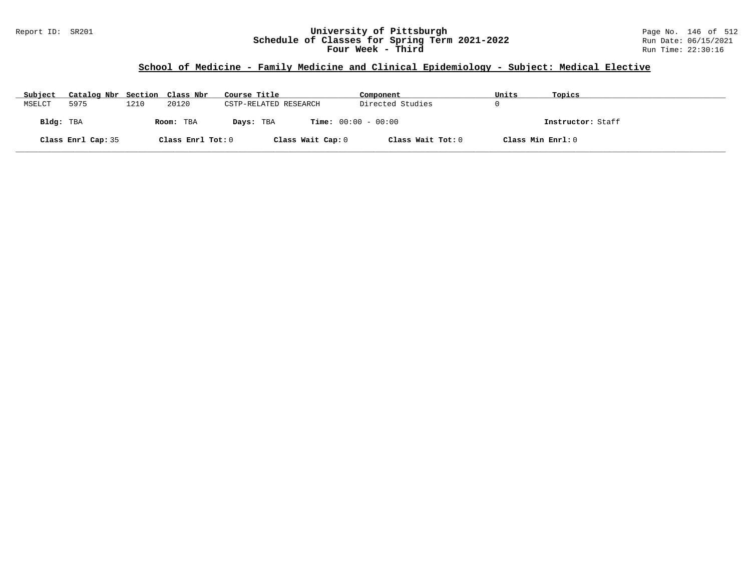### Report ID: SR201 **University of Pittsburgh** Page No. 146 of 512 **Schedule of Classes for Spring Term 2021-2022** Run Date: 06/15/2021 **Four Week - Third Run Time: 22:30:16**

# **School of Medicine - Family Medicine and Clinical Epidemiology - Subject: Medical Elective**

| Subject   | Catalog Nbr Section Class Nbr |      |                   | Course Title          | Component                    | Units             | Topics            |
|-----------|-------------------------------|------|-------------------|-----------------------|------------------------------|-------------------|-------------------|
| MSELCT    | 5975                          | 1210 | 20120             | CSTP-RELATED RESEARCH | Directed Studies             |                   |                   |
| Bldg: TBA |                               |      | Room: TBA         | Days: TBA             | <b>Time:</b> $00:00 - 00:00$ |                   | Instructor: Staff |
|           | Class Enrl Cap: 35            |      | Class Enrl Tot: 0 | Class Wait Cap: 0     | Class Wait Tot: 0            | Class Min Enrl: 0 |                   |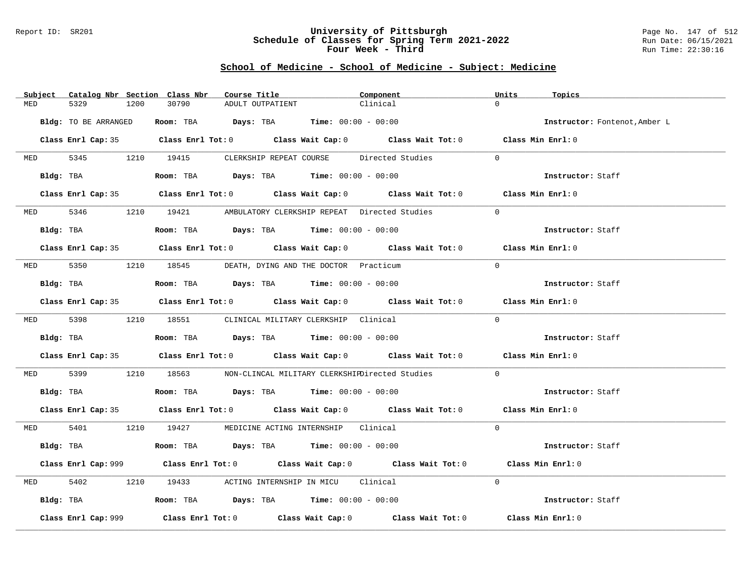#### Report ID: SR201 **University of Pittsburgh** Page No. 147 of 512 **Schedule of Classes for Spring Term 2021-2022** Run Date: 06/15/2021 **Four Week - Third Run Time: 22:30:16**

| Subject    | Catalog Nbr Section Class Nbr | Course Title                                                                           | Component                                                                                  | Units<br>Topics               |
|------------|-------------------------------|----------------------------------------------------------------------------------------|--------------------------------------------------------------------------------------------|-------------------------------|
| MED        | 5329<br>1200                  | 30790<br>ADULT OUTPATIENT                                                              | Clinical                                                                                   | $\Omega$                      |
|            | Bldg: TO BE ARRANGED          | Room: TBA $Days:$ TBA $Time: 00:00 - 00:00$                                            |                                                                                            | Instructor: Fontenot, Amber L |
|            |                               |                                                                                        | Class Enrl Cap: 35 Class Enrl Tot: 0 Class Wait Cap: 0 Class Wait Tot: 0 Class Min Enrl: 0 |                               |
|            |                               |                                                                                        | MED 5345 1210 19415 CLERKSHIP REPEAT COURSE Directed Studies                               | $\Omega$                      |
|            | Bldg: TBA                     |                                                                                        | Room: TBA $Days:$ TBA $Time: 00:00 - 00:00$                                                | Instructor: Staff             |
|            |                               |                                                                                        | Class Enrl Cap: 35 Class Enrl Tot: 0 Class Wait Cap: 0 Class Wait Tot: 0 Class Min Enrl: 0 |                               |
|            | MED 5346                      |                                                                                        | 1210 19421 AMBULATORY CLERKSHIP REPEAT Directed Studies                                    | $\Omega$                      |
|            | Bldg: TBA                     | Room: TBA $\rule{1em}{0.15mm}$ Days: TBA $\rule{1.5mm}{0.15mm}$ Time: $00:00 - 00:00$  |                                                                                            | Instructor: Staff             |
|            |                               |                                                                                        | Class Enrl Cap: 35 Class Enrl Tot: 0 Class Wait Cap: 0 Class Wait Tot: 0 Class Min Enrl: 0 |                               |
|            |                               | MED 5350 1210 18545 DEATH, DYING AND THE DOCTOR Practicum                              |                                                                                            | $\Omega$                      |
|            | Bldg: TBA                     | Room: TBA $\rule{1em}{0.15mm}$ Days: TBA Time: $00:00 - 00:00$                         |                                                                                            | Instructor: Staff             |
|            |                               |                                                                                        | Class Enrl Cap: 35 Class Enrl Tot: 0 Class Wait Cap: 0 Class Wait Tot: 0 Class Min Enrl: 0 |                               |
|            |                               | MED 5398 1210 18551 CLINICAL MILITARY CLERKSHIP Clinical                               |                                                                                            | $\Omega$                      |
|            |                               | Bldg: TBA                  Room: TBA         Days: TBA         Time: $00:00 - 00:00$   |                                                                                            | Instructor: Staff             |
|            |                               |                                                                                        | Class Enrl Cap: 35 Class Enrl Tot: 0 Class Wait Cap: 0 Class Wait Tot: 0 Class Min Enrl: 0 |                               |
| MED 5399   |                               |                                                                                        | 1210 18563 NON-CLINCAL MILITARY CLERKSHIPDirected Studies                                  | $\overline{0}$                |
|            |                               | Bldg: TBA                    Room: TBA         Days: TBA        Time: 00:00 - 00:00    |                                                                                            | Instructor: Staff             |
|            |                               |                                                                                        | Class Enrl Cap: 35 Class Enrl Tot: 0 Class Wait Cap: 0 Class Wait Tot: 0 Class Min Enrl: 0 |                               |
|            |                               | MED 5401 1210 19427 MEDICINE ACTING INTERNSHIP Clinical                                |                                                                                            | $\Omega$                      |
|            |                               | Bldg: TBA                    Room: TBA         Days: TBA         Time: $00:00 - 00:00$ |                                                                                            | Instructor: Staff             |
|            |                               |                                                                                        | Class Enrl Cap: 999 Class Enrl Tot: 0 Class Wait Cap: 0 Class Wait Tot: 0                  | Class Min Enrl: 0             |
| <b>MED</b> | 5402                          | 1210 19433 ACTING INTERNSHIP IN MICU Clinical                                          |                                                                                            | $\Omega$                      |
|            |                               | Bldg: TBA                   Room: TBA         Days: TBA         Time: 00:00 - 00:00    |                                                                                            | Instructor: Staff             |
|            | Class Enrl Cap: 999           |                                                                                        | Class Enrl Tot: $0$ Class Wait Cap: $0$ Class Wait Tot: $0$                                | Class Min Enrl: 0             |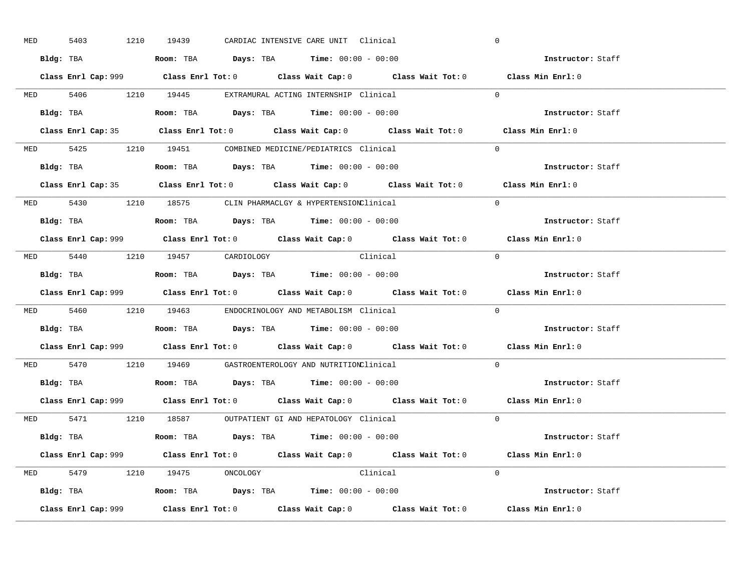| <b>MED</b> | 5403 |  | 1210 19439                                                                             |  | CARDIAC INTENSIVE CARE UNIT Clinical |                                                                           | $\mathbf 0$ |                                                                                             |  |
|------------|------|--|----------------------------------------------------------------------------------------|--|--------------------------------------|---------------------------------------------------------------------------|-------------|---------------------------------------------------------------------------------------------|--|
|            |      |  | Bldg: TBA                      Room: TBA         Days: TBA         Time: 00:00 - 00:00 |  |                                      |                                                                           |             | Instructor: Staff                                                                           |  |
|            |      |  |                                                                                        |  |                                      |                                                                           |             | Class Enrl Cap: 999 Class Enrl Tot: 0 Class Wait Cap: 0 Class Wait Tot: 0 Class Min Enrl: 0 |  |
|            |      |  | MED 5406 1210 19445 EXTRAMURAL ACTING INTERNSHIP Clinical                              |  |                                      |                                                                           | $\Omega$    |                                                                                             |  |
|            |      |  | Bldg: TBA                   Room: TBA         Days: TBA         Time: 00:00 - 00:00    |  |                                      |                                                                           |             | Instructor: Staff                                                                           |  |
|            |      |  |                                                                                        |  |                                      |                                                                           |             | Class Enrl Cap: 35 Class Enrl Tot: 0 Class Wait Cap: 0 Class Wait Tot: 0 Class Min Enrl: 0  |  |
|            |      |  | MED 5425 1210 19451 COMBINED MEDICINE/PEDIATRICS Clinical                              |  |                                      |                                                                           | $\Omega$    |                                                                                             |  |
|            |      |  | Bldg: TBA                   Room: TBA         Days: TBA         Time: 00:00 - 00:00    |  |                                      |                                                                           |             | Instructor: Staff                                                                           |  |
|            |      |  |                                                                                        |  |                                      |                                                                           |             | Class Enrl Cap: 35 Class Enrl Tot: 0 Class Wait Cap: 0 Class Wait Tot: 0 Class Min Enrl: 0  |  |
|            |      |  | MED 5430 1210 18575 CLIN PHARMACLGY & HYPERTENSIONClinical                             |  |                                      |                                                                           | $\Omega$    |                                                                                             |  |
|            |      |  | Bldg: TBA                   Room: TBA         Days: TBA         Time: $00:00 - 00:00$  |  |                                      |                                                                           |             | Instructor: Staff                                                                           |  |
|            |      |  |                                                                                        |  |                                      |                                                                           |             | Class Enrl Cap: 999 Class Enrl Tot: 0 Class Wait Cap: 0 Class Wait Tot: 0 Class Min Enrl: 0 |  |
|            |      |  | MED 5440 1210 19457 CARDIOLOGY                                                         |  | <b>Clinical</b>                      |                                                                           | $\bigcap$   |                                                                                             |  |
|            |      |  | Bldg: TBA                   Room: TBA         Days: TBA         Time: $00:00 - 00:00$  |  |                                      |                                                                           |             | Instructor: Staff                                                                           |  |
|            |      |  |                                                                                        |  |                                      | Class Enrl Cap: 999 Class Enrl Tot: 0 Class Wait Cap: 0 Class Wait Tot: 0 |             | Class Min Enrl: 0                                                                           |  |
|            |      |  | MED 5460 1210 19463 ENDOCRINOLOGY AND METABOLISM Clinical                              |  |                                      |                                                                           | $\Omega$    |                                                                                             |  |
|            |      |  | Bldg: TBA                   Room: TBA         Days: TBA        Time: 00:00 - 00:00     |  |                                      |                                                                           |             | Instructor: Staff                                                                           |  |
|            |      |  |                                                                                        |  |                                      |                                                                           |             | Class Enrl Cap: 999 Class Enrl Tot: 0 Class Wait Cap: 0 Class Wait Tot: 0 Class Min Enrl: 0 |  |
|            |      |  | MED 5470 1210 19469 GASTROENTEROLOGY AND NUTRITIONClinical                             |  |                                      |                                                                           | $\Omega$    |                                                                                             |  |
|            |      |  | Bldg: TBA                   Room: TBA         Days: TBA         Time: $00:00 - 00:00$  |  |                                      |                                                                           |             | Instructor: Staff                                                                           |  |
|            |      |  |                                                                                        |  |                                      |                                                                           |             | Class Enrl Cap: 999 Class Enrl Tot: 0 Class Wait Cap: 0 Class Wait Tot: 0 Class Min Enrl: 0 |  |
|            |      |  | MED 5471 1210 18587 OUTPATIENT GI AND HEPATOLOGY Clinical                              |  |                                      |                                                                           | $\Omega$    |                                                                                             |  |
|            |      |  | Bldg: TBA                   Room: TBA        Days: TBA        Time: 00:00 - 00:00      |  |                                      |                                                                           |             | Instructor: Staff                                                                           |  |
|            |      |  |                                                                                        |  |                                      | Class Enrl Cap: 999 Class Enrl Tot: 0 Class Wait Cap: 0 Class Wait Tot: 0 |             | Class Min Enrl: 0                                                                           |  |
|            |      |  | MED 5479 1210 19475 ONCOLOGY                                                           |  | Clinical                             |                                                                           | $\Omega$    |                                                                                             |  |
|            |      |  | <b>Bldg:</b> TBA <b>ROOM:</b> TBA <b>Days:</b> TBA <b>Time:</b> $00:00 - 00:00$        |  |                                      |                                                                           |             | Instructor: Staff                                                                           |  |
|            |      |  |                                                                                        |  |                                      |                                                                           |             | Class Min Enrl: 0                                                                           |  |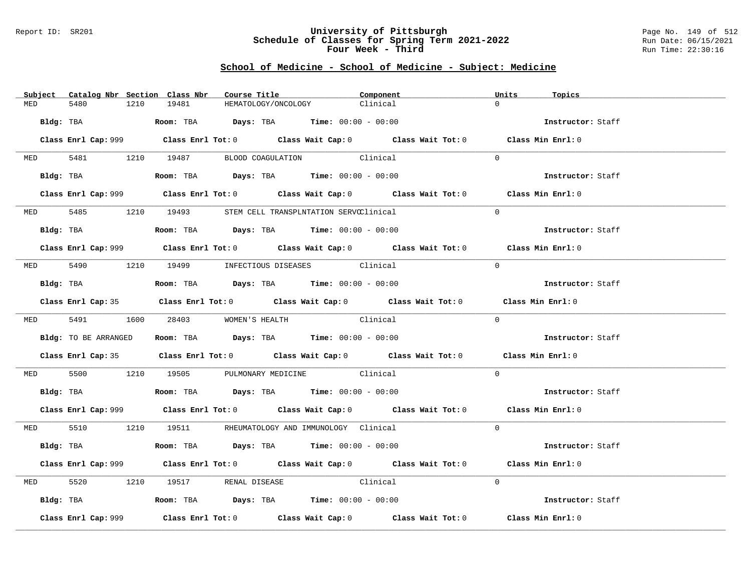### Report ID: SR201 **University of Pittsburgh** Page No. 149 of 512 **Schedule of Classes for Spring Term 2021-2022** Run Date: 06/15/2021 **Four Week - Third Run Time: 22:30:16**

|          | Subject Catalog Nbr Section Class Nbr | Course Title                                                                               | Component                                                                                   | Units<br>Topics   |  |
|----------|---------------------------------------|--------------------------------------------------------------------------------------------|---------------------------------------------------------------------------------------------|-------------------|--|
| MED      | 5480<br>1210                          | 19481<br>HEMATOLOGY/ONCOLOGY                                                               | Clinical                                                                                    | $\Omega$          |  |
|          |                                       | Bldg: TBA                        Room: TBA         Days: TBA         Time: $00:00 - 00:00$ |                                                                                             | Instructor: Staff |  |
|          |                                       |                                                                                            | Class Enrl Cap: 999 Class Enrl Tot: 0 Class Wait Cap: 0 Class Wait Tot: 0 Class Min Enrl: 0 |                   |  |
|          |                                       | MED 5481 1210 19487 BLOOD COAGULATION Clinical                                             |                                                                                             | $\Omega$          |  |
|          |                                       | Bldg: TBA                   Room: TBA         Days: TBA         Time: 00:00 - 00:00        |                                                                                             | Instructor: Staff |  |
|          |                                       |                                                                                            | Class Enrl Cap: 999 Class Enrl Tot: 0 Class Wait Cap: 0 Class Wait Tot: 0 Class Min Enrl: 0 |                   |  |
|          |                                       | MED 5485 1210 19493 STEM CELL TRANSPLNTATION SERVCClinical                                 |                                                                                             | $\Omega$          |  |
|          |                                       | Bldg: TBA                    Room: TBA         Days: TBA         Time: $00:00 - 00:00$     |                                                                                             | Instructor: Staff |  |
|          |                                       |                                                                                            | Class Enrl Cap: 999 Class Enrl Tot: 0 Class Wait Cap: 0 Class Wait Tot: 0 Class Min Enrl: 0 |                   |  |
|          |                                       | MED 5490 1210 19499 INFECTIOUS DISEASES Clinical                                           |                                                                                             | $\Omega$          |  |
|          | Bldg: TBA                             | Room: TBA $Days:$ TBA $Time: 00:00 - 00:00$                                                |                                                                                             | Instructor: Staff |  |
|          |                                       |                                                                                            | Class Enrl Cap: 35 Class Enrl Tot: 0 Class Wait Cap: 0 Class Wait Tot: 0 Class Min Enrl: 0  |                   |  |
|          |                                       | MED 5491 1600 28403 WOMEN'S HEALTH                                                         | Clinical                                                                                    | $\Omega$          |  |
|          | Bldg: TO BE ARRANGED                  | Room: TBA $\rule{1em}{0.15mm}$ Days: TBA $\rule{1.5mm}{0.15mm}$ Time: $00:00 - 00:00$      |                                                                                             | Instructor: Staff |  |
|          |                                       |                                                                                            | Class Enrl Cap: 35 Class Enrl Tot: 0 Class Wait Cap: 0 Class Wait Tot: 0 Class Min Enrl: 0  |                   |  |
|          |                                       | MED 5500 1210 19505 PULMONARY MEDICINE Clinical                                            |                                                                                             | $\Omega$          |  |
|          |                                       | Bldg: TBA                   Room: TBA         Days: TBA         Time: $00:00 - 00:00$      |                                                                                             | Instructor: Staff |  |
|          |                                       |                                                                                            | Class Enrl Cap: 999 Class Enrl Tot: 0 Class Wait Cap: 0 Class Wait Tot: 0 Class Min Enrl: 0 |                   |  |
|          |                                       | MED 5510 1210 19511 RHEUMATOLOGY AND IMMUNOLOGY Clinical                                   |                                                                                             | $\Omega$          |  |
|          |                                       | Bldg: TBA                   Room: TBA         Days: TBA         Time: 00:00 - 00:00        |                                                                                             | Instructor: Staff |  |
|          |                                       |                                                                                            | Class Enrl Cap: 999 Class Enrl Tot: 0 Class Wait Cap: 0 Class Wait Tot: 0 Class Min Enrl: 0 |                   |  |
| MED 5520 |                                       | 1210 19517 RENAL DISEASE Clinical                                                          |                                                                                             | $\Omega$          |  |
|          |                                       | Bldg: TBA                     Room: TBA          Days: TBA         Time: 00:00 - 00:00     |                                                                                             | Instructor: Staff |  |
|          | Class Enrl Cap: 999                   |                                                                                            | Class Enrl Tot: $0$ Class Wait Cap: $0$ Class Wait Tot: $0$ Class Min Enrl: $0$             |                   |  |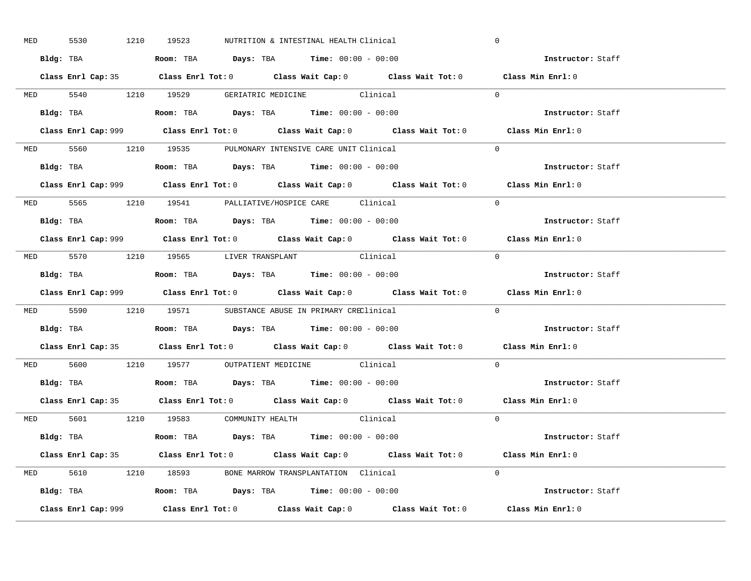| MED 5530 |  | 1210 19523 | NUTRITION & INTESTINAL HEALTH Clinical                                                      | $\mathbf 0$                                                                                 |  |
|----------|--|------------|---------------------------------------------------------------------------------------------|---------------------------------------------------------------------------------------------|--|
|          |  |            | Bldg: TBA                      Room: TBA         Days: TBA         Time: 00:00 - 00:00      | Instructor: Staff                                                                           |  |
|          |  |            |                                                                                             | Class Enrl Cap: 35 Class Enrl Tot: 0 Class Wait Cap: 0 Class Wait Tot: 0 Class Min Enrl: 0  |  |
|          |  |            | MED 5540 1210 19529 GERIATRIC MEDICINE Clinical                                             | $\Omega$                                                                                    |  |
|          |  |            |                                                                                             | Instructor: Staff                                                                           |  |
|          |  |            |                                                                                             | Class Min Enrl: 0                                                                           |  |
|          |  |            | MED 5560 1210 19535 PULMONARY INTENSIVE CARE UNIT Clinical                                  | $\Omega$                                                                                    |  |
|          |  |            | Bldg: TBA                   Room: TBA         Days: TBA         Time: 00:00 - 00:00         | Instructor: Staff                                                                           |  |
|          |  |            |                                                                                             | Class Enrl Cap: 999 Class Enrl Tot: 0 Class Wait Cap: 0 Class Wait Tot: 0 Class Min Enrl: 0 |  |
|          |  |            | MED 5565 1210 19541 PALLIATIVE/HOSPICE CARE Clinical                                        | $\Omega$                                                                                    |  |
|          |  |            | Bldg: TBA                   Room: TBA         Days: TBA         Time: $00:00 - 00:00$       | Instructor: Staff                                                                           |  |
|          |  |            |                                                                                             | Class Enrl Cap: 999 Class Enrl Tot: 0 Class Wait Cap: 0 Class Wait Tot: 0 Class Min Enrl: 0 |  |
|          |  |            | MED 5570 1210 19565 LIVER TRANSPLANT Clinical                                               | $\bigcap$                                                                                   |  |
|          |  |            | Bldg: TBA                   Room: TBA         Days: TBA         Time: $00:00 - 00:00$       | Instructor: Staff                                                                           |  |
|          |  |            |                                                                                             | Class Enrl Cap: 999 Class Enrl Tot: 0 Class Wait Cap: 0 Class Wait Tot: 0 Class Min Enrl: 0 |  |
|          |  |            | MED 5590 1210 19571 SUBSTANCE ABUSE IN PRIMARY CREClinical                                  | $\Omega$                                                                                    |  |
|          |  |            | Bldg: TBA                    Room: TBA         Days: TBA         Time: 00:00 - 00:00        | Instructor: Staff                                                                           |  |
|          |  |            |                                                                                             | Class Enrl Cap: 35 Class Enrl Tot: 0 Class Wait Cap: 0 Class Wait Tot: 0 Class Min Enrl: 0  |  |
|          |  |            | MED 5600 1210 19577 OUTPATIENT MEDICINE Clinical                                            | $\Omega$                                                                                    |  |
|          |  |            | Bldg: TBA                   Room: TBA         Days: TBA         Time: $00:00 - 00:00$       | Instructor: Staff                                                                           |  |
|          |  |            |                                                                                             | Class Enrl Cap: 35 Class Enrl Tot: 0 Class Wait Cap: 0 Class Wait Tot: 0 Class Min Enrl: 0  |  |
|          |  |            | MED 5601 1210 19583 COMMUNITY HEALTH Clinical                                               | $\overline{0}$                                                                              |  |
|          |  |            | Bldg: TBA                        Room: TBA           Days: TBA          Time: 00:00 - 00:00 | Instructor: Staff                                                                           |  |
|          |  |            |                                                                                             | Class Enrl Cap: 35 Class Enrl Tot: 0 Class Wait Cap: 0 Class Wait Tot: 0 Class Min Enrl: 0  |  |
|          |  |            | MED 5610 1210 18593 BONE MARROW TRANSPLANTATION Clinical                                    | $\Omega$                                                                                    |  |
|          |  |            |                                                                                             |                                                                                             |  |
|          |  |            | Bldg: TBA                   Room: TBA         Days: TBA        Time: 00:00 - 00:00          | Instructor: Staff                                                                           |  |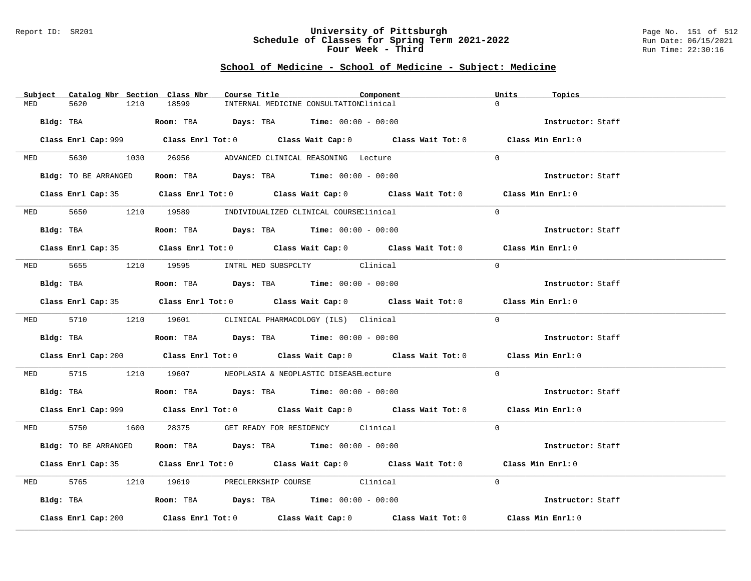### Report ID: SR201 **University of Pittsburgh** Page No. 151 of 512 **Schedule of Classes for Spring Term 2021-2022** Run Date: 06/15/2021 **Four Week - Third Run Time: 22:30:16**

|           | Subject Catalog Nbr Section Class Nbr | Course Title                                                                          | Component                                                                                            | Units<br>Topics   |
|-----------|---------------------------------------|---------------------------------------------------------------------------------------|------------------------------------------------------------------------------------------------------|-------------------|
| MED       | 5620<br>1210                          | 18599<br>INTERNAL MEDICINE CONSULTATIONClinical                                       |                                                                                                      | $\Omega$          |
| Bldg: TBA |                                       | Room: TBA $Days:$ TBA $Time: 00:00 - 00:00$                                           |                                                                                                      | Instructor: Staff |
|           |                                       |                                                                                       | Class Enrl Cap: 999 Class Enrl Tot: 0 Class Wait Cap: 0 Class Wait Tot: 0 Class Min Enrl: 0          |                   |
|           |                                       | MED 5630 1030 26956 ADVANCED CLINICAL REASONING Lecture                               |                                                                                                      | $\Omega$          |
|           | Bldg: TO BE ARRANGED                  | Room: TBA $\rule{1em}{0.15mm}$ Days: TBA Time: $00:00 - 00:00$                        |                                                                                                      | Instructor: Staff |
|           |                                       |                                                                                       | Class Enrl Cap: 35 Class Enrl Tot: 0 Class Wait Cap: 0 Class Wait Tot: 0 Class Min Enrl: 0           |                   |
|           |                                       | MED 5650 1210 19589 INDIVIDUALIZED CLINICAL COURSEClinical                            |                                                                                                      | $\Omega$          |
|           | Bldg: TBA                             | Room: TBA $Days:$ TBA $Time: 00:00 - 00:00$                                           |                                                                                                      | Instructor: Staff |
|           |                                       |                                                                                       | Class Enrl Cap: 35 Class Enrl Tot: 0 Class Wait Cap: 0 Class Wait Tot: 0 Class Min Enrl: 0           |                   |
|           |                                       | MED 5655 1210 19595 INTRL MED SUBSPCLTY Clinical                                      |                                                                                                      | $\Omega$          |
|           | Bldg: TBA                             | Room: TBA $\rule{1em}{0.15mm}$ Days: TBA Time: $00:00 - 00:00$                        |                                                                                                      | Instructor: Staff |
|           |                                       |                                                                                       | Class Enrl Cap: 35 Class Enrl Tot: 0 Class Wait Cap: 0 Class Wait Tot: 0 Class Min Enrl: 0           |                   |
|           |                                       | MED 5710 1210 19601 CLINICAL PHARMACOLOGY (ILS) Clinical                              |                                                                                                      | $\Omega$          |
|           |                                       | Bldg: TBA                   Room: TBA         Days: TBA         Time: $00:00 - 00:00$ |                                                                                                      | Instructor: Staff |
|           |                                       |                                                                                       | Class Enrl Cap: 200 $\qquad$ Class Enrl Tot: 0 $\qquad$ Class Wait Cap: 0 $\qquad$ Class Wait Tot: 0 | Class Min Enrl: 0 |
|           |                                       | MED 5715 1210 19607 NEOPLASIA & NEOPLASTIC DISEASELecture                             |                                                                                                      | $\Omega$          |
|           |                                       | <b>Bldg:</b> TBA <b>ROOM:</b> TBA <b>Days:</b> TBA <b>Time:</b> $00:00 - 00:00$       |                                                                                                      | Instructor: Staff |
|           |                                       |                                                                                       | Class Enrl Cap: 999 Class Enrl Tot: 0 Class Wait Cap: 0 Class Wait Tot: 0 Class Min Enrl: 0          |                   |
|           |                                       | MED 5750 1600 28375 GET READY FOR RESIDENCY Clinical                                  |                                                                                                      | $\Omega$          |
|           | Bldg: TO BE ARRANGED                  | Room: TBA $Days:$ TBA $Time: 00:00 - 00:00$                                           |                                                                                                      | Instructor: Staff |
|           |                                       |                                                                                       | Class Enrl Cap: 35 Class Enrl Tot: 0 Class Wait Cap: 0 Class Wait Tot: 0 Class Min Enrl: 0           |                   |
| MED       |                                       | 5765 1210 19619 PRECLERKSHIP COURSE Clinical                                          |                                                                                                      | $\Omega$          |
|           |                                       | Bldg: TBA                   Room: TBA         Days: TBA         Time: 00:00 - 00:00   |                                                                                                      | Instructor: Staff |
|           | Class Enrl Cap: 200                   |                                                                                       | Class Enrl Tot: $0$ Class Wait Cap: $0$ Class Wait Tot: $0$ Class Min Enrl: $0$                      |                   |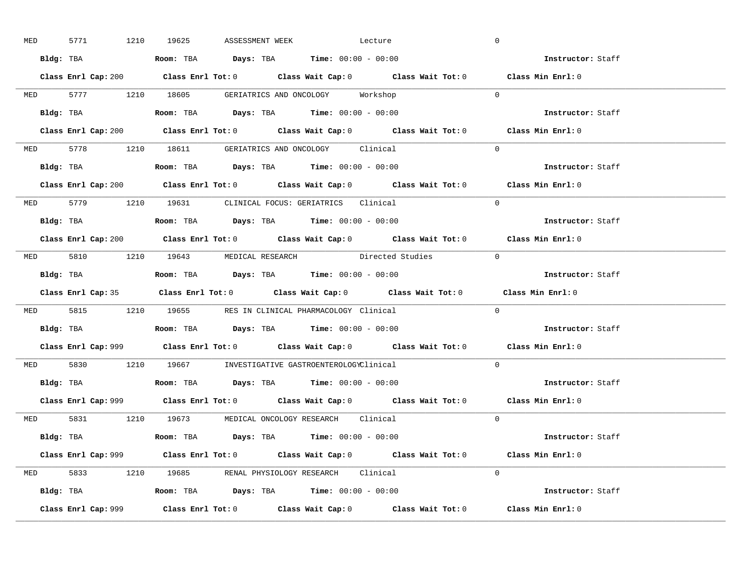| <b>MED</b> |           | 5771 1210 19625 | ASSESSMENT WEEK | Lecture                                                                                                                                                                                                                                                                                                        |                                                                           | $\overline{0}$                                                                              |  |
|------------|-----------|-----------------|-----------------|----------------------------------------------------------------------------------------------------------------------------------------------------------------------------------------------------------------------------------------------------------------------------------------------------------------|---------------------------------------------------------------------------|---------------------------------------------------------------------------------------------|--|
|            |           |                 |                 | Bldg: TBA                   Room: TBA         Days: TBA         Time: $00:00 - 00:00$                                                                                                                                                                                                                          |                                                                           | Instructor: Staff                                                                           |  |
|            |           |                 |                 |                                                                                                                                                                                                                                                                                                                |                                                                           | Class Enrl Cap: 200 Class Enrl Tot: 0 Class Wait Cap: 0 Class Wait Tot: 0 Class Min Enrl: 0 |  |
|            |           |                 |                 | MED 5777 1210 18605 GERIATRICS AND ONCOLOGY Workshop                                                                                                                                                                                                                                                           |                                                                           | $\overline{0}$                                                                              |  |
|            | Bldg: TBA |                 |                 | Room: TBA $\rule{1em}{0.15mm}$ Days: TBA $\rule{1.5mm}{0.15mm}$ Time: $00:00 - 00:00$                                                                                                                                                                                                                          |                                                                           | Instructor: Staff                                                                           |  |
|            |           |                 |                 |                                                                                                                                                                                                                                                                                                                | Class Enrl Cap: 200 Class Enrl Tot: 0 Class Wait Cap: 0 Class Wait Tot: 0 | Class Min Enrl: 0                                                                           |  |
|            |           |                 |                 | MED 5778 1210 18611 GERIATRICS AND ONCOLOGY Clinical                                                                                                                                                                                                                                                           |                                                                           | $\Omega$                                                                                    |  |
|            |           |                 |                 |                                                                                                                                                                                                                                                                                                                |                                                                           | Instructor: Staff                                                                           |  |
|            |           |                 |                 |                                                                                                                                                                                                                                                                                                                | Class Enrl Cap: 200 Class Enrl Tot: 0 Class Wait Cap: 0 Class Wait Tot: 0 | Class Min Enrl: 0                                                                           |  |
|            |           |                 |                 | MED 5779 1210 19631 CLINICAL FOCUS: GERIATRICS Clinical                                                                                                                                                                                                                                                        |                                                                           | $\Omega$                                                                                    |  |
|            |           |                 |                 | Bldg: TBA                  Room: TBA         Days: TBA         Time: 00:00 - 00:00                                                                                                                                                                                                                             |                                                                           | Instructor: Staff                                                                           |  |
|            |           |                 |                 |                                                                                                                                                                                                                                                                                                                |                                                                           | Class Enrl Cap: 200 Class Enrl Tot: 0 Class Wait Cap: 0 Class Wait Tot: 0 Class Min Enrl: 0 |  |
|            |           |                 |                 |                                                                                                                                                                                                                                                                                                                | MED 5810 1210 19643 MEDICAL RESEARCH Directed Studies 0                   |                                                                                             |  |
|            |           |                 |                 | Bldg: TBA                        Room: TBA           Days: TBA           Time: 00:00 - 00:00                                                                                                                                                                                                                   |                                                                           | Instructor: Staff                                                                           |  |
|            |           |                 |                 |                                                                                                                                                                                                                                                                                                                |                                                                           |                                                                                             |  |
|            |           |                 |                 |                                                                                                                                                                                                                                                                                                                |                                                                           | Class Enrl Cap: 35 Class Enrl Tot: 0 Class Wait Cap: 0 Class Wait Tot: 0 Class Min Enrl: 0  |  |
|            |           |                 |                 | MED 5815 1210 19655 RES IN CLINICAL PHARMACOLOGY Clinical                                                                                                                                                                                                                                                      |                                                                           | $\Omega$                                                                                    |  |
| Bldg: TBA  |           |                 |                 | <b>Room:</b> TBA $\rule{1em}{0.15mm}$ $\rule{1.5em}{0.15mm}$ $\rule{1.5em}{0.15mm}$ $\rule{1.5em}{0.15mm}$ $\rule{1.5em}{0.15mm}$ $\rule{1.5em}{0.15mm}$ $\rule{1.5em}{0.15mm}$ $\rule{1.5em}{0.15mm}$ $\rule{1.5em}{0.15mm}$ $\rule{1.5em}{0.15mm}$ $\rule{1.5em}{0.15mm}$ $\rule{1.5em}{0.15mm}$ $\rule{1.5$ |                                                                           | Instructor: Staff                                                                           |  |
|            |           |                 |                 |                                                                                                                                                                                                                                                                                                                |                                                                           | Class Enrl Cap: 999 Class Enrl Tot: 0 Class Wait Cap: 0 Class Wait Tot: 0 Class Min Enrl: 0 |  |
|            |           |                 |                 | MED 5830 1210 19667 INVESTIGATIVE GASTROENTEROLOGYClinical                                                                                                                                                                                                                                                     |                                                                           | $\Omega$                                                                                    |  |
|            |           |                 |                 | Bldg: TBA                   Room: TBA         Days: TBA         Time: $00:00 - 00:00$                                                                                                                                                                                                                          |                                                                           | Instructor: Staff                                                                           |  |
|            |           |                 |                 |                                                                                                                                                                                                                                                                                                                |                                                                           | Class Enrl Cap: 999 Class Enrl Tot: 0 Class Wait Cap: 0 Class Wait Tot: 0 Class Min Enrl: 0 |  |
|            |           |                 |                 | MED 5831 1210 19673 MEDICAL ONCOLOGY RESEARCH Clinical                                                                                                                                                                                                                                                         |                                                                           | $\Omega$                                                                                    |  |
|            |           |                 |                 | Bldg: TBA                   Room: TBA         Days: TBA        Time: 00:00 - 00:00                                                                                                                                                                                                                             |                                                                           | <b>Instructor:</b> Staff                                                                    |  |
|            |           |                 |                 |                                                                                                                                                                                                                                                                                                                |                                                                           | Class Enrl Cap: 999 Class Enrl Tot: 0 Class Wait Cap: 0 Class Wait Tot: 0 Class Min Enrl: 0 |  |
|            |           |                 |                 | MED 5833 1210 19685 RENAL PHYSIOLOGY RESEARCH Clinical                                                                                                                                                                                                                                                         |                                                                           | $\Omega$                                                                                    |  |
|            |           |                 |                 | Bldg: TBA                    Room: TBA         Days: TBA        Time: $00:00 - 00:00$                                                                                                                                                                                                                          |                                                                           | Instructor: Staff                                                                           |  |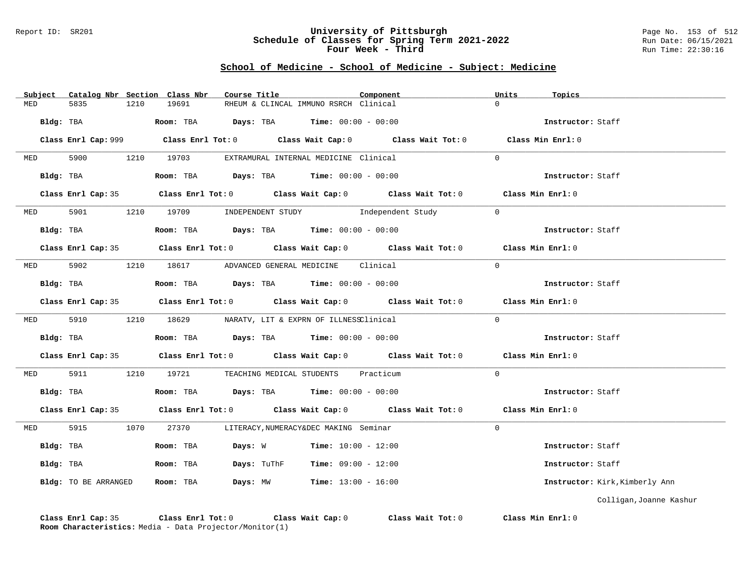#### Report ID: SR201 **University of Pittsburgh** Page No. 153 of 512 **Schedule of Classes for Spring Term 2021-2022** Run Date: 06/15/2021 **Four Week - Third Run Time: 22:30:16**

|            | Subject Catalog Nbr Section Class Nbr                   |      |                              | Course Title |                                                            | Component                                                                                   | Units    | Topics                         |
|------------|---------------------------------------------------------|------|------------------------------|--------------|------------------------------------------------------------|---------------------------------------------------------------------------------------------|----------|--------------------------------|
| MED        | 5835                                                    | 1210 | 19691                        |              | RHEUM & CLINCAL IMMUNO RSRCH Clinical                      |                                                                                             | $\Omega$ |                                |
| Bldg: TBA  |                                                         |      |                              |              | <b>Room:</b> TBA $Days:$ TBA $Time: 00:00 - 00:00$         |                                                                                             |          | Instructor: Staff              |
|            |                                                         |      |                              |              |                                                            | Class Enrl Cap: 999 Class Enrl Tot: 0 Class Wait Cap: 0 Class Wait Tot: 0 Class Min Enrl: 0 |          |                                |
| <b>MED</b> |                                                         |      | 5900 1210 19703              |              | EXTRAMURAL INTERNAL MEDICINE Clinical                      |                                                                                             | $\Omega$ |                                |
|            | Bldg: TBA                                               |      |                              |              | Room: TBA $Days:$ TBA $Time: 00:00 - 00:00$                |                                                                                             |          | Instructor: Staff              |
|            |                                                         |      |                              |              |                                                            | Class Enrl Cap: 35 Class Enrl Tot: 0 Class Wait Cap: 0 Class Wait Tot: 0 Class Min Enrl: 0  |          |                                |
| <b>MED</b> | 5901                                                    |      | 1210 19709 INDEPENDENT STUDY |              |                                                            | Independent Study                                                                           | $\Omega$ |                                |
|            | Bldg: TBA                                               |      |                              |              | Room: TBA $Days: TBA$ Time: $00:00 - 00:00$                |                                                                                             |          | Instructor: Staff              |
|            |                                                         |      |                              |              |                                                            | Class Enrl Cap: 35 Class Enrl Tot: 0 Class Wait Cap: 0 Class Wait Tot: 0 Class Min Enrl: 0  |          |                                |
| <b>MED</b> | 5902                                                    |      |                              |              | 1210 18617 ADVANCED GENERAL MEDICINE Clinical              |                                                                                             | $\Omega$ |                                |
|            | Bldg: TBA                                               |      |                              |              | Room: TBA $Days: TBA$ Time: $00:00 - 00:00$                |                                                                                             |          | Instructor: Staff              |
|            |                                                         |      |                              |              |                                                            | Class Enrl Cap: 35 Class Enrl Tot: 0 Class Wait Cap: 0 Class Wait Tot: 0 Class Min Enrl: 0  |          |                                |
|            |                                                         |      |                              |              | MED 5910 1210 18629 NARATV, LIT & EXPRN OF ILLNESSClinical |                                                                                             | $\Omega$ |                                |
|            | Bldg: TBA                                               |      |                              |              | Room: TBA $Days:$ TBA $Time:$ $00:00 - 00:00$              |                                                                                             |          | Instructor: Staff              |
|            |                                                         |      |                              |              |                                                            | Class Enrl Cap: 35 Class Enrl Tot: 0 Class Wait Cap: 0 Class Wait Tot: 0 Class Min Enrl: 0  |          |                                |
| MED        | 5911                                                    |      |                              |              | 1210 19721 TEACHING MEDICAL STUDENTS Practicum             |                                                                                             | $\Omega$ |                                |
|            | Bldg: TBA                                               |      |                              |              | Room: TBA $Days:$ TBA $Time: 00:00 - 00:00$                |                                                                                             |          | Instructor: Staff              |
|            |                                                         |      |                              |              |                                                            | Class Enrl Cap: 35 Class Enrl Tot: 0 Class Wait Cap: 0 Class Wait Tot: 0 Class Min Enrl: 0  |          |                                |
|            | MED 5915 1070 27370                                     |      |                              |              | LITERACY, NUMERACY&DEC MAKING Seminar                      |                                                                                             | $\Omega$ |                                |
|            | Bldg: TBA                                               |      | Room: TBA                    |              | <b>Days:</b> W <b>Time:</b> $10:00 - 12:00$                |                                                                                             |          | Instructor: Staff              |
|            | Bldg: TBA                                               |      | Room: TBA                    |              | <b>Days:</b> TuThF <b>Time:</b> $09:00 - 12:00$            |                                                                                             |          | Instructor: Staff              |
|            | Bldg: TO BE ARRANGED                                    |      | Room: TBA                    |              | <b>Days:</b> $MW$ <b>Time:</b> $13:00 - 16:00$             |                                                                                             |          | Instructor: Kirk, Kimberly Ann |
|            |                                                         |      |                              |              |                                                            |                                                                                             |          | Colligan, Joanne Kashur        |
|            | Room Characteristics: Media - Data Projector/Monitor(1) |      |                              |              |                                                            | Class Enrl Cap: 35 Class Enrl Tot: 0 Class Wait Cap: 0 Class Wait Tot: 0 Class Min Enrl: 0  |          |                                |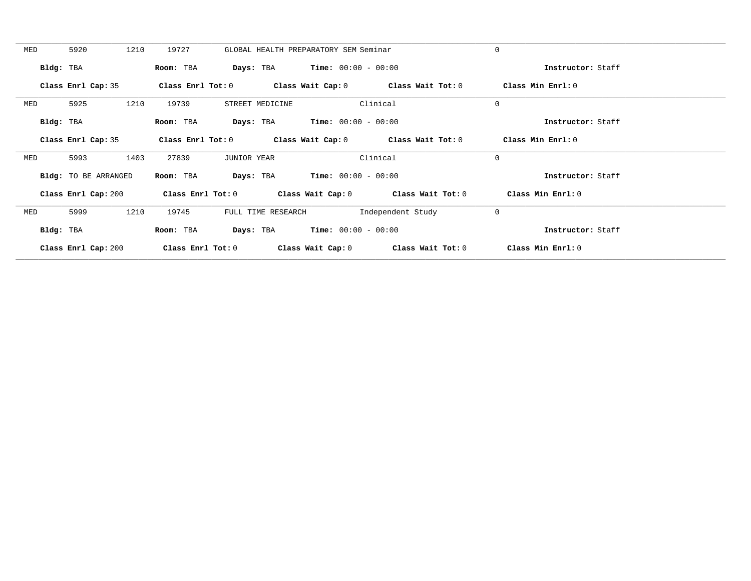| MED       | 5920                 | 1210 | 19727               | GLOBAL HEALTH PREPARATORY SEM Seminar |                                               |                                         | $\mathbf 0$        |  |
|-----------|----------------------|------|---------------------|---------------------------------------|-----------------------------------------------|-----------------------------------------|--------------------|--|
|           |                      |      |                     |                                       |                                               |                                         |                    |  |
|           | Bldg: TBA            |      | Room: TBA           |                                       | <b>Days:</b> TBA <b>Time:</b> $00:00 - 00:00$ |                                         | Instructor: Staff  |  |
|           |                      |      |                     |                                       |                                               |                                         |                    |  |
|           | Class Enrl Cap: 35   |      | Class Enrl Tot: $0$ |                                       |                                               | Class Wait Cap: $0$ Class Wait Tot: $0$ | Class Min $Err1:0$ |  |
|           |                      |      |                     |                                       |                                               |                                         |                    |  |
| MED       | 5925                 | 1210 | 19739               | STREET MEDICINE                       |                                               | Clinical                                | $\mathbf 0$        |  |
|           |                      |      |                     |                                       |                                               |                                         |                    |  |
| Bldg: TBA |                      |      | Room: TBA           | Days: TBA                             | <b>Time:</b> $00:00 - 00:00$                  |                                         | Instructor: Staff  |  |
|           |                      |      |                     |                                       |                                               |                                         |                    |  |
|           | Class Enrl Cap: 35   |      | Class Enrl Tot: 0   |                                       |                                               | Class Wait Cap: $0$ Class Wait Tot: $0$ | Class Min Enrl: 0  |  |
| MED       | 5993                 | 1403 | 27839               | <b>JUNIOR YEAR</b>                    |                                               | Clinical                                | $\mathbf 0$        |  |
|           |                      |      |                     |                                       |                                               |                                         |                    |  |
|           | Bldg: TO BE ARRANGED |      | Room: TBA           | Days: TBA                             | $Time: 00:00 - 00:00$                         |                                         | Instructor: Staff  |  |
|           |                      |      |                     |                                       |                                               |                                         |                    |  |
|           | Class Enrl Cap: 200  |      | Class Enrl Tot: 0   |                                       |                                               | Class Wait Cap: 0 Class Wait Tot: 0     | Class Min Enrl: 0  |  |
|           |                      |      |                     |                                       |                                               |                                         |                    |  |
| MED       | 5999                 | 1210 | 19745               | FULL TIME RESEARCH                    |                                               | Independent Study                       | $\mathbf 0$        |  |
|           |                      |      |                     |                                       |                                               |                                         |                    |  |
|           | Bldg: TBA            |      | Room: TBA           | Days: TBA                             | $Time: 00:00 - 00:00$                         |                                         | Instructor: Staff  |  |
|           |                      |      |                     |                                       |                                               |                                         |                    |  |
|           | Class Enrl Cap: 200  |      | Class Enrl Tot: $0$ |                                       |                                               | Class Wait Cap: 0 Class Wait Tot: 0     | Class Min Enrl: 0  |  |
|           |                      |      |                     |                                       |                                               |                                         |                    |  |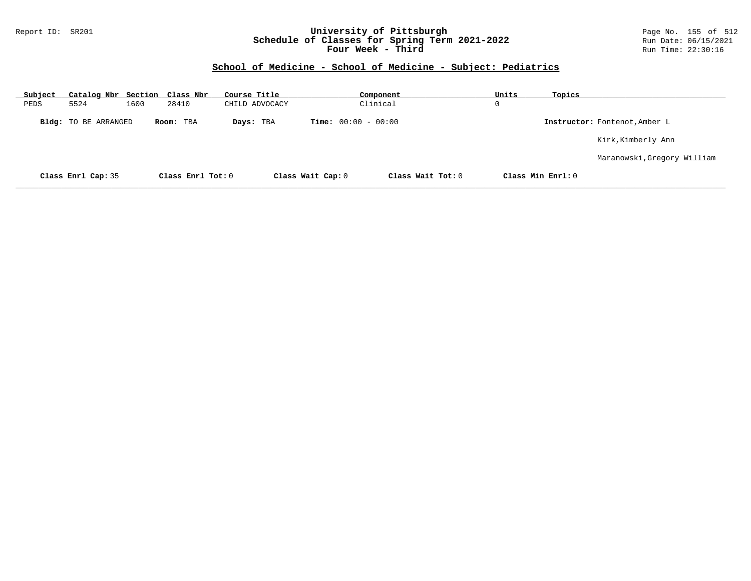### Report ID: SR201 **University of Pittsburgh** Page No. 155 of 512 **Schedule of Classes for Spring Term 2021-2022** Run Date: 06/15/2021 **Four Week - Third Run Time: 22:30:16**

| Subject |                             |      | Catalog Nbr Section Class Nbr | Course Title   |                              | Component         | Units | Topics            |                               |
|---------|-----------------------------|------|-------------------------------|----------------|------------------------------|-------------------|-------|-------------------|-------------------------------|
| PEDS    | 5524                        | 1600 | 28410                         | CHILD ADVOCACY |                              | Clinical          | 0     |                   |                               |
|         | <b>Bldg:</b> TO BE ARRANGED |      | Room: TBA                     | Days: TBA      | <b>Time:</b> $00:00 - 00:00$ |                   |       |                   | Instructor: Fontenot, Amber L |
|         |                             |      |                               |                |                              |                   |       |                   | Kirk, Kimberly Ann            |
|         |                             |      |                               |                |                              |                   |       |                   | Maranowski, Gregory William   |
|         | Class Enrl Cap: 35          |      | Class Enrl Tot: 0             |                | Class Wait Cap: 0            | Class Wait Tot: 0 |       | Class Min Enrl: 0 |                               |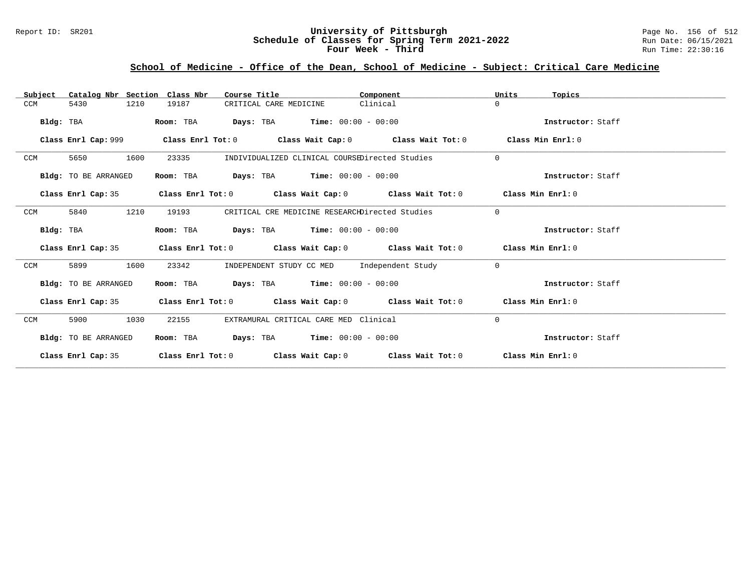### Report ID: SR201 **University of Pittsburgh** Page No. 156 of 512 **Schedule of Classes for Spring Term 2021-2022** Run Date: 06/15/2021 **Four Week - Third Run Time: 22:30:16**

# **School of Medicine - Office of the Dean, School of Medicine - Subject: Critical Care Medicine**

| Catalog Nbr Section Class Nbr<br>Subject | Course Title                                                                                       | Component | Units<br>Topics   |
|------------------------------------------|----------------------------------------------------------------------------------------------------|-----------|-------------------|
| 5430<br>1210<br>CCM                      | 19187<br>CRITICAL CARE MEDICINE                                                                    | Clinical  | $\Omega$          |
| Bldg: TBA                                | <b>Days:</b> TBA <b>Time:</b> $00:00 - 00:00$<br>Room: TBA                                         |           | Instructor: Staff |
| Class Enrl Cap: 999                      | Class Enrl Tot: $0$ Class Wait Cap: $0$ Class Wait Tot: $0$                                        |           | Class Min Enrl: 0 |
| CCM<br>5650<br>1600                      | 23335<br>INDIVIDUALIZED CLINICAL COURSEDirected Studies                                            |           | $\Omega$          |
| Bldg: TO BE ARRANGED                     | $\texttt{Days:}$ TBA <b>Time:</b> $00:00 - 00:00$<br>Room: TBA                                     |           | Instructor: Staff |
| Class Enrl Cap: 35                       | Class Enrl Tot: 0 $\qquad$ Class Wait Cap: 0 $\qquad$ Class Wait Tot: 0 $\qquad$ Class Min Enrl: 0 |           |                   |
| 5840<br>1210<br>CCM                      | 19193<br>CRITICAL CRE MEDICINE RESEARCHDirected Studies                                            |           | $\Omega$          |
| Bldg: TBA                                | <b>Days:</b> TBA <b>Time:</b> $00:00 - 00:00$<br>Room: TBA                                         |           | Instructor: Staff |
| Class Enrl Cap: 35                       | Class Enrl Tot: $0$ Class Wait Cap: $0$ Class Wait Tot: $0$ Class Min Enrl: $0$                    |           |                   |
| 1600<br><b>CCM</b><br>5899               | INDEPENDENT STUDY CC MED Independent Study<br>23342                                                |           | $\Omega$          |
| Bldg: TO BE ARRANGED                     | Room: TBA $Days:$ TBA $Time: 00:00 - 00:00$                                                        |           | Instructor: Staff |
| Class Enrl Cap: 35                       | Class Enrl Tot: $0$ Class Wait Cap: $0$ Class Wait Tot: $0$ Class Min Enrl: $0$                    |           |                   |
| CCM<br>5900<br>1030                      | EXTRAMURAL CRITICAL CARE MED Clinical<br>22155                                                     |           | $\Omega$          |
| Bldg: TO BE ARRANGED                     | <b>Days:</b> TBA <b>Time:</b> $00:00 - 00:00$<br>Room: TBA                                         |           | Instructor: Staff |
| Class Enrl Cap: 35                       | Class Enrl Tot: $0$ Class Wait Cap: $0$ Class Wait Tot: $0$ Class Min Enrl: $0$                    |           |                   |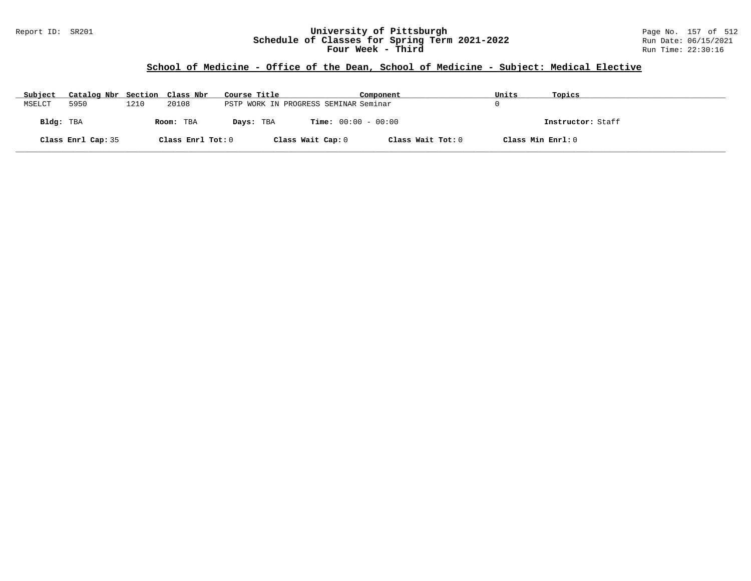### Report ID: SR201 **University of Pittsburgh** Page No. 157 of 512 **Schedule of Classes for Spring Term 2021-2022** Run Date: 06/15/2021 **Four Week - Third Run Time: 22:30:16**

## **School of Medicine - Office of the Dean, School of Medicine - Subject: Medical Elective**

| Subject   | Catalog Nbr Section Class Nbr |      |                   | Course Title |                                       | Component         | Units             | Topics            |
|-----------|-------------------------------|------|-------------------|--------------|---------------------------------------|-------------------|-------------------|-------------------|
| MSELCT    | 5950                          | 1210 | 20108             |              | PSTP WORK IN PROGRESS SEMINAR Seminar |                   |                   |                   |
| Bldg: TBA |                               |      | Room: TBA         | Days: TBA    | <b>Time:</b> $00:00 - 00:00$          |                   |                   | Instructor: Staff |
|           | Class Enrl Cap: 35            |      | Class Enrl Tot: 0 |              | Class Wait Cap: 0                     | Class Wait Tot: 0 | Class Min Enrl: 0 |                   |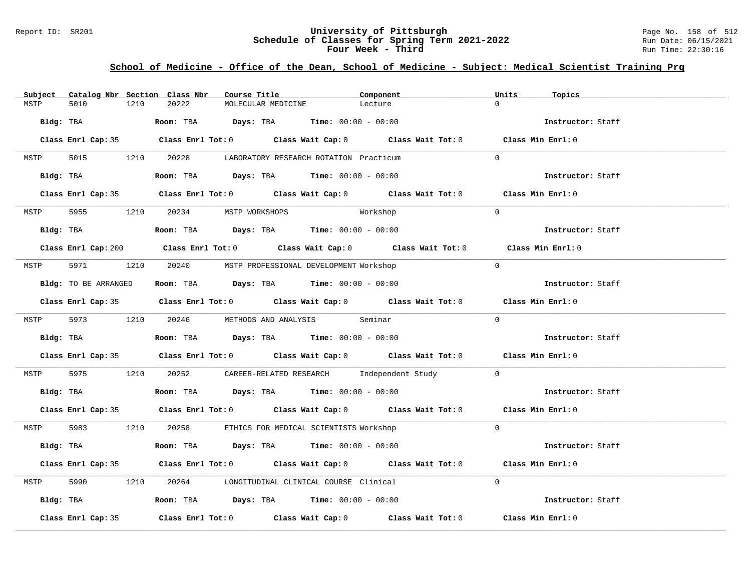### Report ID: SR201 **University of Pittsburgh University of Pittsburgh** Page No. 158 of 512<br>**Schedule of Classes for Spring Term 2021-2022** Run Date: 06/15/2021 **Schedule of Classes for Spring Term 2021-2022** Run Date: 06/15/2021 **Four Week - Third Run Time: 22:30:16**

## **School of Medicine - Office of the Dean, School of Medicine - Subject: Medical Scientist Training Prg**

| Subject |                    |      | Catalog Nbr Section Class Nbr       | Course Title       |                                                                                               | Component                                                                                   | Units          | Topics            |
|---------|--------------------|------|-------------------------------------|--------------------|-----------------------------------------------------------------------------------------------|---------------------------------------------------------------------------------------------|----------------|-------------------|
| MSTP    | 5010               | 1210 | 20222                               | MOLECULAR MEDICINE |                                                                                               | Lecture                                                                                     | $\Omega$       |                   |
|         |                    |      |                                     |                    | Bldg: TBA                       Room: TBA         Days: TBA         Time: 00:00 - 00:00       |                                                                                             |                | Instructor: Staff |
|         |                    |      |                                     |                    |                                                                                               | Class Enrl Cap: 35 Class Enrl Tot: 0 Class Wait Cap: 0 Class Wait Tot: 0 Class Min Enrl: 0  |                |                   |
|         |                    |      |                                     |                    | MSTP 5015 1210 20228 LABORATORY RESEARCH ROTATION Practicum                                   |                                                                                             | $\Omega$       |                   |
|         |                    |      |                                     |                    | Bldg: TBA                    Room: TBA         Days: TBA         Time: 00:00 - 00:00          |                                                                                             |                | Instructor: Staff |
|         |                    |      |                                     |                    |                                                                                               | Class Enrl Cap: 35 Class Enrl Tot: 0 Class Wait Cap: 0 Class Wait Tot: 0 Class Min Enrl: 0  |                |                   |
|         |                    |      | MSTP 5955 1210 20234 MSTP WORKSHOPS |                    |                                                                                               | Workshop                                                                                    | $\overline{0}$ |                   |
|         |                    |      |                                     |                    | Bldg: TBA                    Room: TBA         Days: TBA         Time: $00:00 - 00:00$        |                                                                                             |                | Instructor: Staff |
|         |                    |      |                                     |                    |                                                                                               | Class Enrl Cap: 200 Class Enrl Tot: 0 Class Wait Cap: 0 Class Wait Tot: 0 Class Min Enrl: 0 |                |                   |
|         |                    |      |                                     |                    | MSTP 5971 1210 20240 MSTP PROFESSIONAL DEVELOPMENT Workshop                                   |                                                                                             | $\Omega$       |                   |
|         |                    |      |                                     |                    | Bldg: TO BE ARRANGED ROOM: TBA Days: TBA Time: 00:00 - 00:00                                  |                                                                                             |                | Instructor: Staff |
|         |                    |      |                                     |                    |                                                                                               | Class Enrl Cap: 35 Class Enrl Tot: 0 Class Wait Cap: 0 Class Wait Tot: 0 Class Min Enrl: 0  |                |                   |
|         |                    |      |                                     |                    | MSTP 5973 1210 20246 METHODS AND ANALYSIS Seminar                                             |                                                                                             | $\Omega$       |                   |
|         |                    |      |                                     |                    | <b>Bldg:</b> TBA <b>Room:</b> TBA <b>Days:</b> TBA <b>Time:</b> $00:00 - 00:00$               |                                                                                             |                | Instructor: Staff |
|         |                    |      |                                     |                    |                                                                                               | Class Enrl Cap: 35 Class Enrl Tot: 0 Class Wait Cap: 0 Class Wait Tot: 0 Class Min Enrl: 0  |                |                   |
|         |                    |      |                                     |                    |                                                                                               | MSTP 5975 1210 20252 CAREER-RELATED RESEARCH Independent Study 0                            |                |                   |
|         |                    |      |                                     |                    | Bldg: TBA                        Room: TBA           Days: TBA          Time: $00:00 - 00:00$ |                                                                                             |                | Instructor: Staff |
|         |                    |      |                                     |                    |                                                                                               | Class Enrl Cap: 35 Class Enrl Tot: 0 Class Wait Cap: 0 Class Wait Tot: 0 Class Min Enrl: 0  |                |                   |
|         |                    |      |                                     |                    | MSTP 5983 1210 20258 ETHICS FOR MEDICAL SCIENTISTS Workshop                                   |                                                                                             | $\Omega$       |                   |
|         |                    |      |                                     |                    | Bldg: TBA                    Room: TBA         Days: TBA         Time: 00:00 - 00:00          |                                                                                             |                | Instructor: Staff |
|         |                    |      |                                     |                    |                                                                                               | Class Enrl Cap: 35 Class Enrl Tot: 0 Class Wait Cap: 0 Class Wait Tot: 0 Class Min Enrl: 0  |                |                   |
|         |                    |      |                                     |                    | MSTP 5990 1210 20264 LONGITUDINAL CLINICAL COURSE Clinical                                    |                                                                                             | $\Omega$       |                   |
|         |                    |      |                                     |                    | Bldg: TBA                    Room: TBA         Days: TBA         Time: $00:00 - 00:00$        |                                                                                             |                | Instructor: Staff |
|         | Class Enrl Cap: 35 |      |                                     |                    |                                                                                               | Class Enrl Tot: $0$ Class Wait Cap: $0$ Class Wait Tot: $0$ Class Min Enrl: $0$             |                |                   |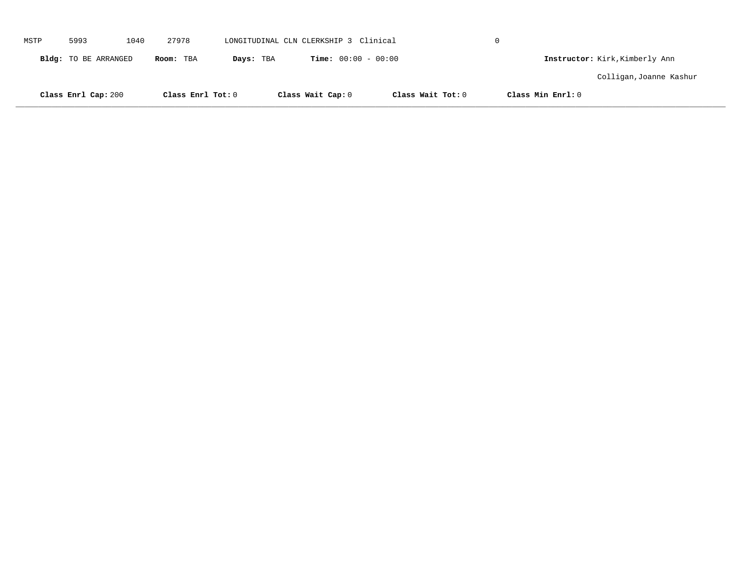|      | Class Enrl Cap: 200  |      | Class Enrl Tot: 0 |           | Class Wait Cap: 0                     |                              | Class Wait Tot: 0 | Class Min Enrl: 0 |                                |  |
|------|----------------------|------|-------------------|-----------|---------------------------------------|------------------------------|-------------------|-------------------|--------------------------------|--|
|      |                      |      |                   |           |                                       |                              |                   |                   | Colligan, Joanne Kashur        |  |
|      | Bldg: TO BE ARRANGED |      | Room: TBA         | Days: TBA |                                       | <b>Time:</b> $00:00 - 00:00$ |                   |                   | Instructor: Kirk, Kimberly Ann |  |
| MSTP | 5993                 | 1040 | 27978             |           | LONGITUDINAL CLN CLERKSHIP 3 Clinical |                              |                   | $\Omega$          |                                |  |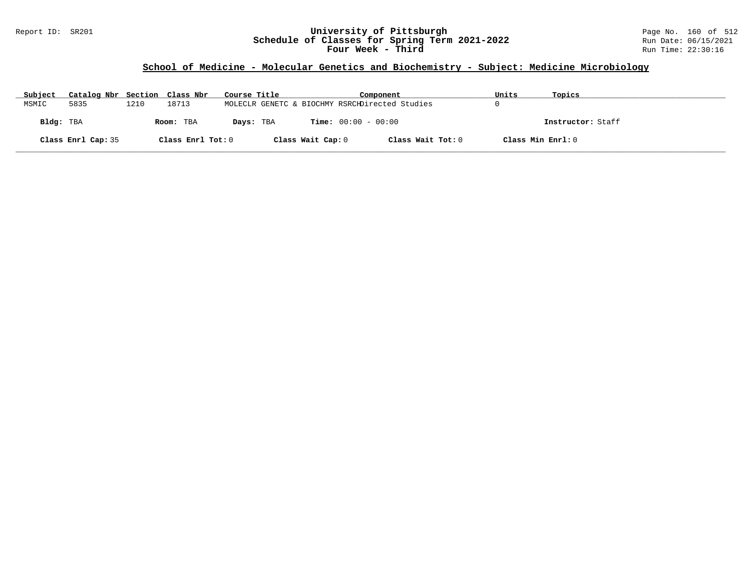### Report ID: SR201 **University of Pittsburgh** Page No. 160 of 512 **Schedule of Classes for Spring Term 2021-2022** Run Date: 06/15/2021 **Four Week - Third Run Time: 22:30:16**

# **School of Medicine - Molecular Genetics and Biochemistry - Subject: Medicine Microbiology**

| Subject   | Catalog Nbr Section Class Nbr |      |                   | Course Title |                   | Component                                      | Units             | Topics            |
|-----------|-------------------------------|------|-------------------|--------------|-------------------|------------------------------------------------|-------------------|-------------------|
| MSMIC     | 5835                          | 1210 | 18713             |              |                   | MOLECLR GENETC & BIOCHMY RSRCHDirected Studies |                   |                   |
| Bldg: TBA |                               |      | Room: TBA         | Days: TBA    |                   | <b>Time:</b> $00:00 - 00:00$                   |                   | Instructor: Staff |
|           | Class Enrl Cap: 35            |      | Class Enrl Tot: 0 |              | Class Wait Cap: 0 | Class Wait Tot: 0                              | Class Min Enrl: 0 |                   |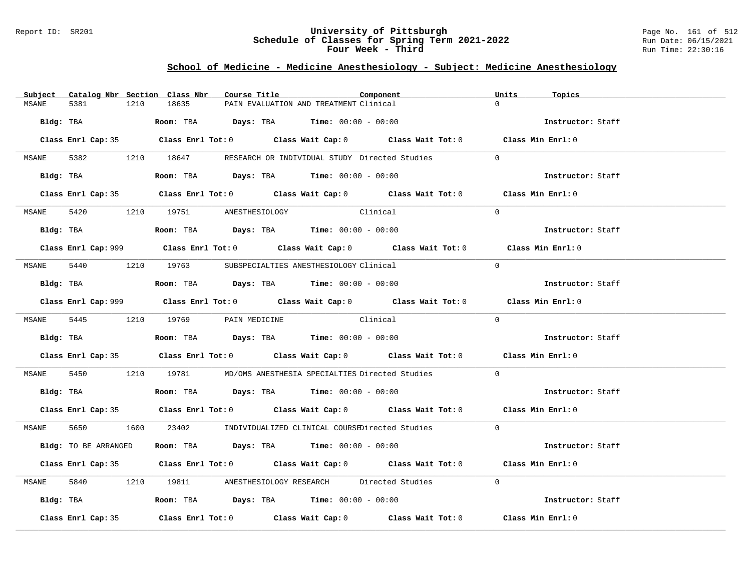### Report ID: SR201 **University of Pittsburgh** Page No. 161 of 512 **Schedule of Classes for Spring Term 2021-2022** Run Date: 06/15/2021 **Four Week - Third Run Time: 22:30:16**

# **School of Medicine - Medicine Anesthesiology - Subject: Medicine Anesthesiology**

|       |                      |      | Subject Catalog Nbr Section Class Nbr                                                         | Course Title |                                                                | Component                                                                                   | Units    | Topics            |
|-------|----------------------|------|-----------------------------------------------------------------------------------------------|--------------|----------------------------------------------------------------|---------------------------------------------------------------------------------------------|----------|-------------------|
| MSANE | 5381                 | 1210 | 18635                                                                                         |              | PAIN EVALUATION AND TREATMENT Clinical                         |                                                                                             | $\Omega$ |                   |
|       | Bldg: TBA            |      | Room: TBA $Days:$ TBA $Time: 00:00 - 00:00$                                                   |              |                                                                |                                                                                             |          | Instructor: Staff |
|       |                      |      |                                                                                               |              |                                                                | Class Enrl Cap: 35 Class Enrl Tot: 0 Class Wait Cap: 0 Class Wait Tot: 0 Class Min Enrl: 0  |          |                   |
|       |                      |      |                                                                                               |              |                                                                | MSANE 5382 1210 18647 RESEARCH OR INDIVIDUAL STUDY Directed Studies                         | $\Omega$ |                   |
|       |                      |      | Bldg: TBA                    Room: TBA         Days: TBA         Time: 00:00 - 00:00          |              |                                                                |                                                                                             |          | Instructor: Staff |
|       |                      |      |                                                                                               |              |                                                                | Class Enrl Cap: 35 Class Enrl Tot: 0 Class Wait Cap: 0 Class Wait Tot: 0 Class Min Enrl: 0  |          |                   |
|       |                      |      | MSANE 5420 1210 19751 ANESTHESIOLOGY                                                          |              | Clinical                                                       |                                                                                             | $\Omega$ |                   |
|       |                      |      | Bldg: TBA                   Room: TBA         Days: TBA         Time: $00:00 - 00:00$         |              |                                                                |                                                                                             |          | Instructor: Staff |
|       |                      |      |                                                                                               |              |                                                                | Class Enrl Cap: 999 Class Enrl Tot: 0 Class Wait Cap: 0 Class Wait Tot: 0 Class Min Enrl: 0 |          |                   |
|       |                      |      | MSANE 5440 1210 19763 SUBSPECIALTIES ANESTHESIOLOGY Clinical                                  |              |                                                                |                                                                                             | $\Omega$ |                   |
|       |                      |      | Bldg: TBA                   Room: TBA         Days: TBA        Time: $00:00 - 00:00$          |              |                                                                |                                                                                             |          | Instructor: Staff |
|       |                      |      |                                                                                               |              |                                                                | Class Enrl Cap: 999 Class Enrl Tot: 0 Class Wait Cap: 0 Class Wait Tot: 0 Class Min Enrl: 0 |          |                   |
|       |                      |      | MSANE 5445 1210 19769 PAIN MEDICINE Clinical                                                  |              |                                                                |                                                                                             | $\Omega$ |                   |
|       |                      |      | Bldg: TBA                          Room: TBA          Days: TBA         Time: $00:00 - 00:00$ |              |                                                                |                                                                                             |          | Instructor: Staff |
|       |                      |      |                                                                                               |              |                                                                | Class Enrl Cap: 35 Class Enrl Tot: 0 Class Wait Cap: 0 Class Wait Tot: 0 Class Min Enrl: 0  |          |                   |
|       |                      |      |                                                                                               |              |                                                                | MSANE 5450 1210 19781 MD/OMS ANESTHESIA SPECIALTIES Directed Studies                        | $\Omega$ |                   |
|       |                      |      | Bldg: TBA                   Room: TBA        Days: TBA        Time: 00:00 - 00:00             |              |                                                                |                                                                                             |          | Instructor: Staff |
|       |                      |      |                                                                                               |              |                                                                | Class Enrl Cap: 35 Class Enrl Tot: 0 Class Wait Cap: 0 Class Wait Tot: 0 Class Min Enrl: 0  |          |                   |
|       |                      |      |                                                                                               |              |                                                                | MSANE 5650 1600 23402 INDIVIDUALIZED CLINICAL COURSEDirected Studies                        | $\Omega$ |                   |
|       | Bldg: TO BE ARRANGED |      |                                                                                               |              | Room: TBA $\rule{1em}{0.15mm}$ Days: TBA Time: $00:00 - 00:00$ |                                                                                             |          | Instructor: Staff |
|       |                      |      |                                                                                               |              |                                                                | Class Enrl Cap: 35 Class Enrl Tot: 0 Class Wait Cap: 0 Class Wait Tot: 0 Class Min Enrl: 0  |          |                   |
|       |                      |      |                                                                                               |              |                                                                | MSANE 5840 1210 19811 ANESTHESIOLOGY RESEARCH Directed Studies                              | $\Omega$ |                   |
|       |                      |      | Bldg: TBA                   Room: TBA        Days: TBA        Time: 00:00 - 00:00             |              |                                                                |                                                                                             |          | Instructor: Staff |
|       | Class Enrl Cap: 35   |      |                                                                                               |              |                                                                | Class Enrl Tot: $0$ Class Wait Cap: $0$ Class Wait Tot: $0$ Class Min Enrl: $0$             |          |                   |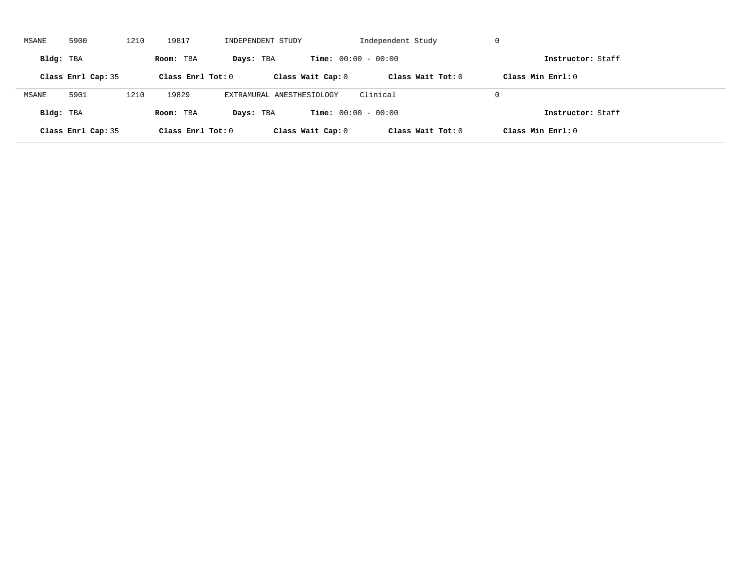| MSANE     | 5900               | 1210 | 19817               | INDEPENDENT STUDY         |                              | Independent Study   | -U                  |  |
|-----------|--------------------|------|---------------------|---------------------------|------------------------------|---------------------|---------------------|--|
| Bldg: TBA |                    |      | Room: TBA           | Days: TBA                 | <b>Time:</b> $00:00 - 00:00$ |                     | Instructor: Staff   |  |
|           | Class Enrl Cap: 35 |      | Class Enrl Tot: $0$ |                           | Class Wait Cap: 0            | Class Wait $Tot: 0$ | Class Min $Enrl: 0$ |  |
| MSANE     | 5901               | 1210 | 19829               | EXTRAMURAL ANESTHESIOLOGY |                              | Clinical            | $\Omega$            |  |
| Bldg: TBA |                    |      | Room: TBA           | Days: TBA                 | <b>Time:</b> $00:00 - 00:00$ |                     | Instructor: Staff   |  |
|           | Class Enrl Cap: 35 |      | Class Enrl Tot: $0$ |                           | Class Wait Cap: 0            | Class Wait Tot: 0   | Class Min Enrl: 0   |  |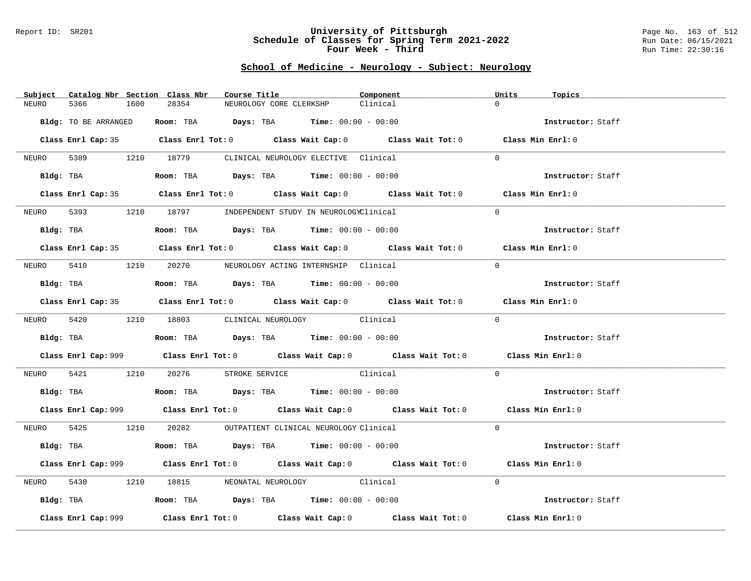#### Report ID: SR201 **University of Pittsburgh** Page No. 163 of 512 **Schedule of Classes for Spring Term 2021-2022** Run Date: 06/15/2021 **Four Week - Third Run Time: 22:30:16**

## **School of Medicine - Neurology - Subject: Neurology**

| Catalog Nbr Section Class Nbr<br>Subject | Course Title                                                                                            | Component | Units<br>Topics   |
|------------------------------------------|---------------------------------------------------------------------------------------------------------|-----------|-------------------|
| NEURO<br>5366<br>1600                    | 28354<br>NEUROLOGY CORE CLERKSHP                                                                        | Clinical  | $\Omega$          |
| Bldg: TO BE ARRANGED                     | Room: TBA $Days:$ TBA $Time: 00:00 - 00:00$                                                             |           | Instructor: Staff |
|                                          |                                                                                                         |           |                   |
|                                          | Class Enrl Cap: 35 Class Enrl Tot: 0 Class Wait Cap: 0 Class Wait Tot: 0 Class Min Enrl: 0              |           |                   |
|                                          | NEURO 5389 1210 18779 CLINICAL NEUROLOGY ELECTIVE Clinical                                              |           | $\Omega$          |
|                                          | Bldg: TBA                  Room: TBA        Days: TBA        Time: 00:00 - 00:00                        |           | Instructor: Staff |
|                                          | Class Enrl Cap: 35 Class Enrl Tot: 0 Class Wait Cap: 0 Class Wait Tot: 0 Class Min Enrl: 0              |           |                   |
| NEURO                                    | 5393 1210 18797 INDEPENDENT STUDY IN NEUROLOGYClinical                                                  |           | $\Omega$          |
| Bldg: TBA                                | Room: TBA $Days:$ TBA $Time: 00:00 - 00:00$                                                             |           | Instructor: Staff |
|                                          | Class Enrl Cap: 35 Class Enrl Tot: 0 Class Wait Cap: 0 Class Wait Tot: 0 Class Min Enrl: 0              |           |                   |
|                                          | NEURO 5410 1210 20270 NEUROLOGY ACTING INTERNSHIP Clinical                                              |           | $\Omega$          |
|                                          | Bldg: TBA                   Room: TBA         Days: TBA         Time: $00:00 - 00:00$                   |           | Instructor: Staff |
|                                          | Class Enrl Cap: 35 Class Enrl Tot: 0 Class Wait Cap: 0 Class Wait Tot: 0 Class Min Enrl: 0              |           |                   |
|                                          | NEURO 5420 1210 18803 CLINICAL NEUROLOGY Clinical                                                       |           | $\Omega$          |
|                                          |                                                                                                         |           |                   |
|                                          | Bldg: TBA                                Room: TBA            Days: TBA           Time: $00:00 - 00:00$ |           | Instructor: Staff |
|                                          | Class Enrl Cap: 999 Class Enrl Tot: 0 Class Wait Cap: 0 Class Wait Tot: 0 Class Min Enrl: 0             |           |                   |
|                                          | NEURO 5421 1210 20276 STROKE SERVICE Clinical                                                           |           | $\overline{0}$    |
|                                          | Bldg: TBA                   Room: TBA         Days: TBA         Time: $00:00 - 00:00$                   |           | Instructor: Staff |
|                                          | Class Enrl Cap: 999 Class Enrl Tot: 0 Class Wait Cap: 0 Class Wait Tot: 0 Class Min Enrl: 0             |           |                   |
|                                          | NEURO 5425 1210 20282 OUTPATIENT CLINICAL NEUROLOGY Clinical                                            |           | $\Omega$          |
|                                          | Bldg: TBA                   Room: TBA         Days: TBA        Time: 00:00 - 00:00                      |           | Instructor: Staff |
|                                          | Class Enrl Cap: 999 Class Enrl Tot: 0 Class Wait Cap: 0 Class Wait Tot: 0 Class Min Enrl: 0             |           |                   |
| 5430<br>NEURO                            | 1210 18815 NEONATAL NEUROLOGY Clinical                                                                  |           | $\Omega$          |
|                                          | Bldg: TBA                    Room: TBA         Days: TBA         Time: 00:00 - 00:00                    |           | Instructor: Staff |
| Class Enrl Cap: 999                      | Class Enrl Tot: $0$ Class Wait Cap: $0$ Class Wait Tot: $0$ Class Min Enrl: $0$                         |           |                   |
|                                          |                                                                                                         |           |                   |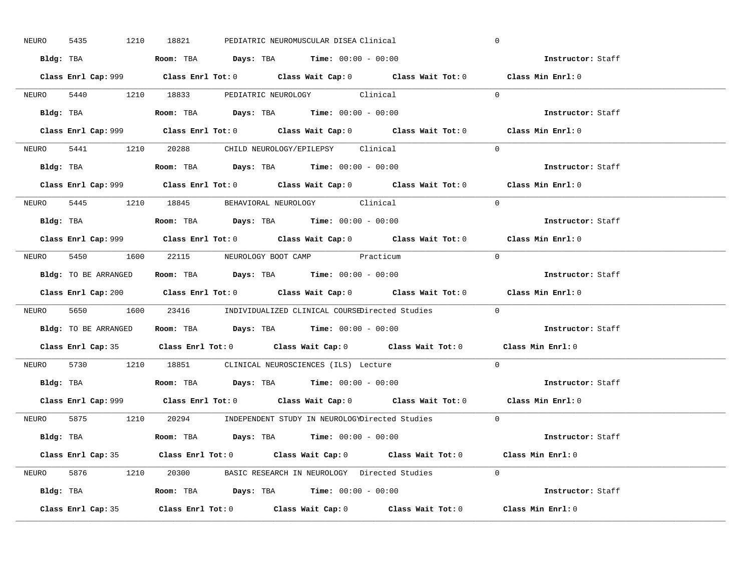| 5435<br>NEURO | 1210 18821<br>PEDIATRIC NEUROMUSCULAR DISEA Clinical                                        | $\mathbf 0$       |
|---------------|---------------------------------------------------------------------------------------------|-------------------|
|               | Bldg: TBA                      Room: TBA         Days: TBA         Time: 00:00 - 00:00      | Instructor: Staff |
|               | Class Enrl Cap: 999 Class Enrl Tot: 0 Class Wait Cap: 0 Class Wait Tot: 0 Class Min Enrl: 0 |                   |
|               | NEURO 5440 1210 18833 PEDIATRIC NEUROLOGY Clinical                                          | $\Omega$          |
|               |                                                                                             | Instructor: Staff |
|               | Class Enrl Cap: 999 Class Enrl Tot: 0 Class Wait Cap: 0 Class Wait Tot: 0                   | Class Min Enrl: 0 |
|               | NEURO 5441 1210 20288 CHILD NEUROLOGY/EPILEPSY Clinical                                     | $\Omega$          |
|               | Bldg: TBA                   Room: TBA         Days: TBA         Time: 00:00 - 00:00         | Instructor: Staff |
|               | Class Enrl Cap: 999 Class Enrl Tot: 0 Class Wait Cap: 0 Class Wait Tot: 0 Class Min Enrl: 0 |                   |
|               | NEURO 5445 1210 18845 BEHAVIORAL NEUROLOGY Clinical                                         | $\Omega$          |
|               | Bldg: TBA                  Room: TBA         Days: TBA         Time: 00:00 - 00:00          | Instructor: Staff |
|               | Class Enrl Cap: 999 Class Enrl Tot: 0 Class Wait Cap: 0 Class Wait Tot: 0 Class Min Enrl: 0 |                   |
|               | NEURO 5450 1600 22115 NEUROLOGY BOOT CAMP Practicum                                         | $\bigcap$         |
|               | <b>Bldg:</b> TO BE ARRANGED <b>ROOM:</b> TBA <b>Days:</b> TBA <b>Time:</b> $00:00 - 00:00$  | Instructor: Staff |
|               | Class Enrl Cap: 200 Class Enrl Tot: 0 Class Wait Cap: 0 Class Wait Tot: 0 Class Min Enrl: 0 |                   |
|               | NEURO 5650 1600 23416 INDIVIDUALIZED CLINICAL COURSEDirected Studies 0                      |                   |
|               |                                                                                             |                   |
|               | Bldg: TO BE ARRANGED Room: TBA Days: TBA Time: 00:00 - 00:00                                | Instructor: Staff |
|               | Class Enrl Cap: 35 Class Enrl Tot: 0 Class Wait Cap: 0 Class Wait Tot: 0 Class Min Enrl: 0  |                   |
| NEURO         | 5730 1210 18851 CLINICAL NEUROSCIENCES (ILS) Lecture                                        | $\Omega$          |
|               | Bldg: TBA                   Room: TBA         Days: TBA         Time: $00:00 - 00:00$       | Instructor: Staff |
|               | Class Enrl Cap: 999 Class Enrl Tot: 0 Class Wait Cap: 0 Class Wait Tot: 0 Class Min Enrl: 0 |                   |
|               | NEURO 5875 1210 20294 INDEPENDENT STUDY IN NEUROLOGYDirected Studies 0                      |                   |
|               | Bldg: TBA                     Room: TBA         Days: TBA         Time: 00:00 - 00:00       | Instructor: Staff |
|               | Class Enrl Cap: 35 Class Enrl Tot: 0 Class Wait Cap: 0 Class Wait Tot: 0 Class Min Enrl: 0  |                   |
|               | NEURO 5876 1210 20300 BASIC RESEARCH IN NEUROLOGY Directed Studies 0                        |                   |
|               | Bldg: TBA                  Room: TBA         Days: TBA         Time: $00:00 - 00:00$        | Instructor: Staff |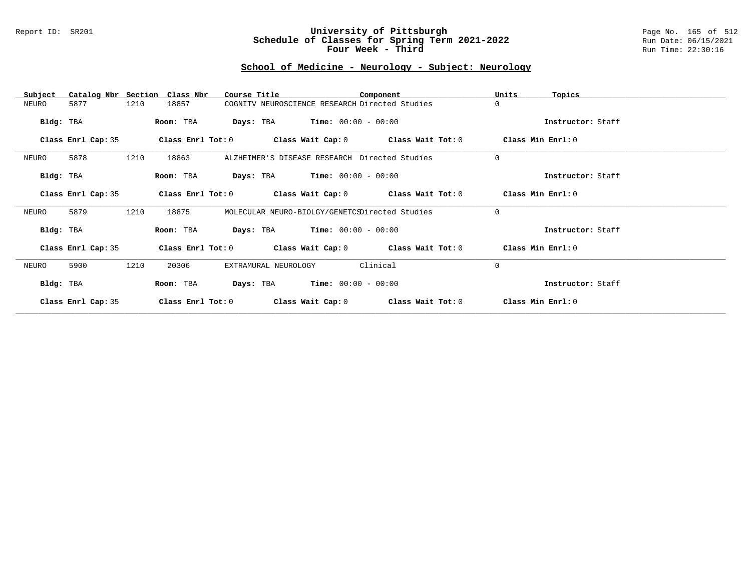#### Report ID: SR201 **University of Pittsburgh** Page No. 165 of 512 **Schedule of Classes for Spring Term 2021-2022** Run Date: 06/15/2021 **Four Week - Third Run Time: 22:30:16**

# **School of Medicine - Neurology - Subject: Neurology**

| Subject            | Catalog Nbr Section Class Nbr | Course Title                                   | Component                                                   | Units<br>Topics   |  |
|--------------------|-------------------------------|------------------------------------------------|-------------------------------------------------------------|-------------------|--|
| 5877<br>NEURO      | 1210<br>18857                 | COGNITV NEUROSCIENCE RESEARCH Directed Studies |                                                             | 0                 |  |
| Bldg: TBA          | Room: TBA                     | <b>Days:</b> TBA <b>Time:</b> $00:00 - 00:00$  |                                                             | Instructor: Staff |  |
| Class Enrl Cap: 35 |                               |                                                | Class Enrl Tot: $0$ Class Wait Cap: $0$ Class Wait Tot: $0$ | Class Min Enrl: 0 |  |
| 5878<br>NEURO      | 1210<br>18863                 | ALZHEIMER'S DISEASE RESEARCH Directed Studies  |                                                             | $\mathbf 0$       |  |
| Bldg: TBA          | Room: TBA                     | <b>Days:</b> TBA <b>Time:</b> $00:00 - 00:00$  |                                                             | Instructor: Staff |  |
| Class Enrl Cap: 35 |                               |                                                | Class Enrl Tot: $0$ Class Wait Cap: $0$ Class Wait Tot: $0$ | Class Min Enrl: 0 |  |
| 5879<br>NEURO      | 1210<br>18875                 | MOLECULAR NEURO-BIOLGY/GENETCSDirected Studies |                                                             | $\Omega$          |  |
| Bldg: TBA          | Room: TBA                     | <b>Days:</b> TBA <b>Time:</b> $00:00 - 00:00$  |                                                             | Instructor: Staff |  |
| Class Enrl Cap: 35 |                               |                                                | Class Enrl Tot: $0$ Class Wait Cap: $0$ Class Wait Tot: $0$ | Class Min Enrl: 0 |  |
| NEURO<br>5900      | 1210<br>20306                 | EXTRAMURAL NEUROLOGY                           | Clinical                                                    | $\Omega$          |  |
| Bldg: TBA          | Room: TBA                     | <b>Days:</b> TBA <b>Time:</b> $00:00 - 00:00$  |                                                             | Instructor: Staff |  |
| Class Enrl Cap: 35 | Class Enrl Tot: $0$           | Class Wait Cap: 0                              | Class Wait Tot: 0                                           | Class Min Enrl: 0 |  |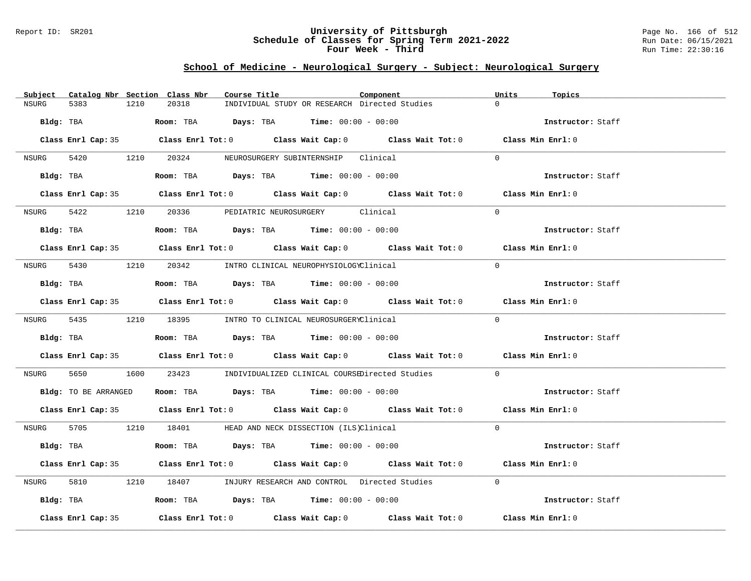### Report ID: SR201 **University of Pittsburgh** Page No. 166 of 512 **Schedule of Classes for Spring Term 2021-2022** Run Date: 06/15/2021 **Four Week - Third Run Time: 22:30:16**

## **School of Medicine - Neurological Surgery - Subject: Neurological Surgery**

|       |                    |      | Subject Catalog Nbr Section Class Nbr | Course Title |                                                                                            | Component                                                                                          | Units    | Topics            |
|-------|--------------------|------|---------------------------------------|--------------|--------------------------------------------------------------------------------------------|----------------------------------------------------------------------------------------------------|----------|-------------------|
| NSURG | 5383               | 1210 | 20318                                 |              | INDIVIDUAL STUDY OR RESEARCH Directed Studies                                              |                                                                                                    | $\Omega$ |                   |
|       |                    |      |                                       |              | $Bldq$ : TBA $Room$ : TBA $Days$ : TBA $Tim$ : $00:00 - 00:00$                             |                                                                                                    |          | Instructor: Staff |
|       |                    |      |                                       |              |                                                                                            | Class Enrl Cap: 35 Class Enrl Tot: 0 Class Wait Cap: 0 Class Wait Tot: 0 Class Min Enrl: 0         |          |                   |
| NSURG |                    |      |                                       |              | 5420 1210 20324 NEUROSURGERY SUBINTERNSHIP Clinical                                        |                                                                                                    | $\Omega$ |                   |
|       |                    |      |                                       |              | Bldg: TBA                   Room: TBA         Days: TBA         Time: $00:00 - 00:00$      |                                                                                                    |          | Instructor: Staff |
|       |                    |      |                                       |              |                                                                                            | Class Enrl Cap: 35 Class Enrl Tot: 0 Class Wait Cap: 0 Class Wait Tot: 0 Class Min Enrl: 0         |          |                   |
|       |                    |      |                                       |              | NSURG 5422 1210 20336 PEDIATRIC NEUROSURGERY Clinical                                      |                                                                                                    | $\Omega$ |                   |
|       |                    |      |                                       |              | Bldg: TBA                    Room: TBA         Days: TBA         Time: 00:00 - 00:00       |                                                                                                    |          | Instructor: Staff |
|       |                    |      |                                       |              |                                                                                            | Class Enrl Cap: 35 Class Enrl Tot: 0 Class Wait Cap: 0 Class Wait Tot: 0 Class Min Enrl: 0         |          |                   |
|       |                    |      |                                       |              | NSURG 5430 1210 20342 INTRO CLINICAL NEUROPHYSIOLOGYClinical                               |                                                                                                    | $\Omega$ |                   |
|       |                    |      |                                       |              | Bldg: TBA                        Room: TBA         Days: TBA         Time: $00:00 - 00:00$ |                                                                                                    |          | Instructor: Staff |
|       |                    |      |                                       |              |                                                                                            | Class Enrl Cap: 35 Class Enrl Tot: 0 Class Wait Cap: 0 Class Wait Tot: 0 Class Min Enrl: 0         |          |                   |
|       |                    |      |                                       |              | NSURG 5435 1210 18395 INTRO TO CLINICAL NEUROSURGERYClinical                               |                                                                                                    | $\Omega$ |                   |
|       |                    |      |                                       |              | Bldg: TBA                   Room: TBA         Days: TBA         Time: $00:00 - 00:00$      |                                                                                                    |          | Instructor: Staff |
|       |                    |      |                                       |              |                                                                                            | Class Enrl Cap: 35 Class Enrl Tot: 0 Class Wait Cap: 0 Class Wait Tot: 0 Class Min Enrl: 0         |          |                   |
| NSURG |                    |      |                                       |              |                                                                                            | 5650 1600 23423 INDIVIDUALIZED CLINICAL COURSEDirected Studies                                     | $\Omega$ |                   |
|       |                    |      |                                       |              | Bldg: TO BE ARRANGED Room: TBA Days: TBA Time: 00:00 - 00:00                               |                                                                                                    |          | Instructor: Staff |
|       |                    |      |                                       |              |                                                                                            | Class Enrl Cap: 35 Class Enrl Tot: 0 Class Wait Cap: 0 Class Wait Tot: 0 Class Min Enrl: 0         |          |                   |
|       |                    |      |                                       |              | NSURG 5705 1210 18401 HEAD AND NECK DISSECTION (ILS)Clinical                               |                                                                                                    | $\Omega$ |                   |
|       |                    |      |                                       |              | $Bldg:$ TBA $\qquad \qquad$ Room: TBA Days: TBA  Time: $00:00 - 00:00$                     |                                                                                                    |          | Instructor: Staff |
|       |                    |      |                                       |              |                                                                                            | Class Enrl Cap: 35 Class Enrl Tot: 0 Class Wait Cap: 0 Class Wait Tot: 0 Class Min Enrl: 0         |          |                   |
| NSURG |                    |      |                                       |              |                                                                                            | 5810 1210 18407 INJURY RESEARCH AND CONTROL Directed Studies                                       | $\Omega$ |                   |
|       |                    |      |                                       |              | Bldg: TBA                    Room: TBA         Days: TBA         Time: 00:00 - 00:00       |                                                                                                    |          | Instructor: Staff |
|       | Class Enrl Cap: 35 |      |                                       |              |                                                                                            | Class Enrl Tot: 0 $\qquad$ Class Wait Cap: 0 $\qquad$ Class Wait Tot: 0 $\qquad$ Class Min Enrl: 0 |          |                   |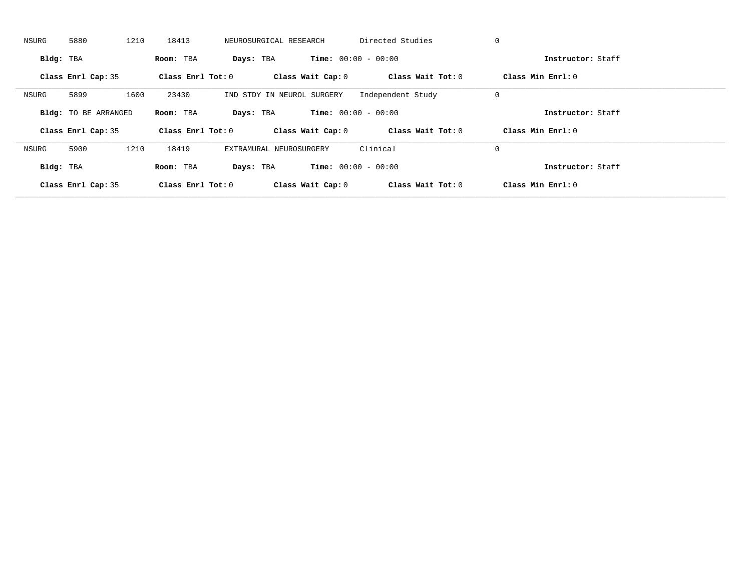| NSURG     | 5880                        | 1210<br>18413 |                     | NEUROSURGICAL RESEARCH     | Directed Studies             |                   | 0                   |  |
|-----------|-----------------------------|---------------|---------------------|----------------------------|------------------------------|-------------------|---------------------|--|
| Bldg: TBA |                             | Room: TBA     | Days: TBA           |                            | <b>Time:</b> $00:00 - 00:00$ |                   | Instructor: Staff   |  |
|           | Class Enrl Cap: 35          |               | Class Enrl Tot: $0$ | Class Wait Cap: 0          |                              | Class Wait Tot: 0 | Class Min Enrl: 0   |  |
| NSURG     | 5899                        | 1600<br>23430 |                     | IND STDY IN NEUROL SURGERY | Independent Study            |                   | 0                   |  |
|           | <b>Bldg:</b> TO BE ARRANGED | Room: TBA     | Days: TBA           |                            | <b>Time:</b> $00:00 - 00:00$ |                   | Instructor: Staff   |  |
|           |                             |               |                     |                            |                              |                   |                     |  |
|           | Class Enrl Cap: 35          |               | Class Enrl Tot: 0   | Class Wait Cap: 0          |                              | Class Wait Tot: 0 | Class Min $Enrl: 0$ |  |
| NSURG     | 5900                        | 1210<br>18419 |                     | EXTRAMURAL NEUROSURGERY    | Clinical                     |                   | 0                   |  |
| Bldg: TBA |                             | Room: TBA     | Days: TBA           |                            | <b>Time:</b> $00:00 - 00:00$ |                   | Instructor: Staff   |  |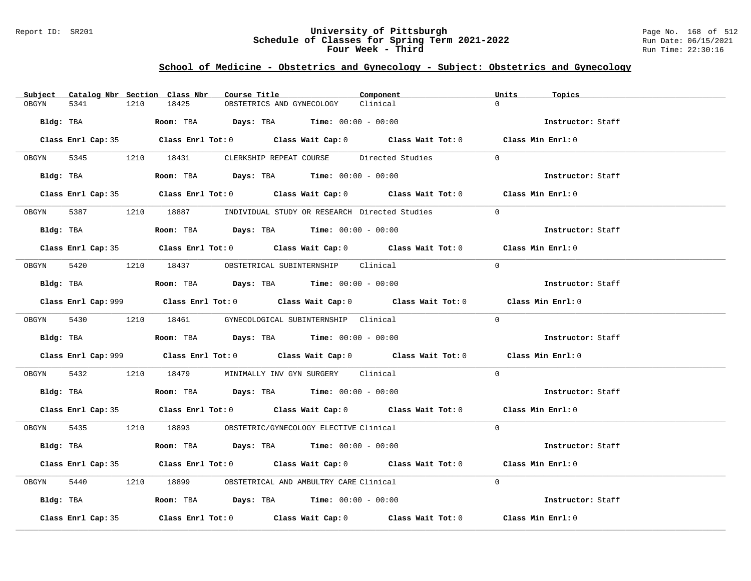### Report ID: SR201 **University of Pittsburgh** Page No. 168 of 512 **Schedule of Classes for Spring Term 2021-2022** Run Date: 06/15/2021 **Four Week - Third Run Time: 22:30:16**

# **School of Medicine - Obstetrics and Gynecology - Subject: Obstetrics and Gynecology**

|            |                    |      | Subject Catalog Nbr Section Class Nbr | Course Title |                                                                                              | Component                                                                                  | Units<br>Topics                                                                             |  |
|------------|--------------------|------|---------------------------------------|--------------|----------------------------------------------------------------------------------------------|--------------------------------------------------------------------------------------------|---------------------------------------------------------------------------------------------|--|
| OBGYN      | 5341               | 1210 | 18425                                 |              | OBSTETRICS AND GYNECOLOGY                                                                    | Clinical                                                                                   | $\Omega$                                                                                    |  |
| Bldg: TBA  |                    |      |                                       |              | Room: TBA $Days: TBA$ Time: $00:00 - 00:00$                                                  |                                                                                            | Instructor: Staff                                                                           |  |
|            |                    |      |                                       |              |                                                                                              | Class Enrl Cap: 35 Class Enrl Tot: 0 Class Wait Cap: 0 Class Wait Tot: 0 Class Min Enrl: 0 |                                                                                             |  |
|            |                    |      | OBGYN 5345 1210 18431                 |              | CLERKSHIP REPEAT COURSE Directed Studies                                                     |                                                                                            | $\Omega$                                                                                    |  |
|            |                    |      |                                       |              | Bldg: TBA                       Room: TBA           Days: TBA          Time: $00:00 - 00:00$ |                                                                                            | Instructor: Staff                                                                           |  |
|            |                    |      |                                       |              |                                                                                              | Class Enrl Cap: 35 Class Enrl Tot: 0 Class Wait Cap: 0 Class Wait Tot: 0 Class Min Enrl: 0 |                                                                                             |  |
|            |                    |      |                                       |              | 0BGYN 5387 1210 18887 INDIVIDUAL STUDY OR RESEARCH Directed Studies                          |                                                                                            | $\Omega$                                                                                    |  |
|            | Bldg: TBA          |      |                                       |              | Room: TBA $Days:$ TBA $Time: 00:00 - 00:00$                                                  |                                                                                            | Instructor: Staff                                                                           |  |
|            |                    |      |                                       |              |                                                                                              | Class Enrl Cap: 35 Class Enrl Tot: 0 Class Wait Cap: 0 Class Wait Tot: 0 Class Min Enrl: 0 |                                                                                             |  |
|            |                    |      |                                       |              | OBGYN 5420 1210 18437 OBSTETRICAL SUBINTERNSHIP Clinical                                     |                                                                                            | $\Omega$                                                                                    |  |
|            |                    |      |                                       |              | Bldg: TBA                   Room: TBA         Days: TBA         Time: $00:00 - 00:00$        |                                                                                            | Instructor: Staff                                                                           |  |
|            |                    |      |                                       |              |                                                                                              |                                                                                            | Class Enrl Cap: 999 Class Enrl Tot: 0 Class Wait Cap: 0 Class Wait Tot: 0 Class Min Enrl: 0 |  |
|            |                    |      | OBGYN 5430 1210 18461                 |              | GYNECOLOGICAL SUBINTERNSHIP Clinical                                                         |                                                                                            | $\Omega$                                                                                    |  |
|            |                    |      |                                       |              | Bldg: TBA                   Room: TBA         Days: TBA         Time: $00:00 - 00:00$        |                                                                                            | Instructor: Staff                                                                           |  |
|            |                    |      |                                       |              |                                                                                              |                                                                                            | Class Enrl Cap: 999 Class Enrl Tot: 0 Class Wait Cap: 0 Class Wait Tot: 0 Class Min Enrl: 0 |  |
| OBGYN 5432 |                    |      |                                       |              | 1210 18479 MINIMALLY INV GYN SURGERY Clinical                                                |                                                                                            | $\Omega$                                                                                    |  |
|            |                    |      |                                       |              | $Bldg:$ TBA $\qquad \qquad$ Room: TBA Days: TBA  Time: $00:00 - 00:00$                       |                                                                                            | Instructor: Staff                                                                           |  |
|            |                    |      |                                       |              |                                                                                              | Class Enrl Cap: 35 Class Enrl Tot: 0 Class Wait Cap: 0 Class Wait Tot: 0 Class Min Enrl: 0 |                                                                                             |  |
|            |                    |      |                                       |              | OBGYN 5435 1210 18893 OBSTETRIC/GYNECOLOGY ELECTIVE Clinical                                 |                                                                                            | $\Omega$                                                                                    |  |
|            |                    |      |                                       |              | Bldg: TBA                     Room: TBA         Days: TBA        Time: $00:00 - 00:00$       |                                                                                            | Instructor: Staff                                                                           |  |
|            |                    |      |                                       |              |                                                                                              | Class Enrl Cap: 35 Class Enrl Tot: 0 Class Wait Cap: 0 Class Wait Tot: 0 Class Min Enrl: 0 |                                                                                             |  |
| OBGYN      | 5440               |      |                                       |              | 1210 18899 OBSTETRICAL AND AMBULTRY CARE Clinical                                            |                                                                                            | $\Omega$                                                                                    |  |
|            |                    |      |                                       |              | Bldg: TBA                   Room: TBA         Days: TBA         Time: $00:00 - 00:00$        |                                                                                            | Instructor: Staff                                                                           |  |
|            | Class Enrl Cap: 35 |      |                                       |              |                                                                                              | Class Enrl Tot: $0$ Class Wait Cap: $0$ Class Wait Tot: $0$                                | Class Min Enrl: 0                                                                           |  |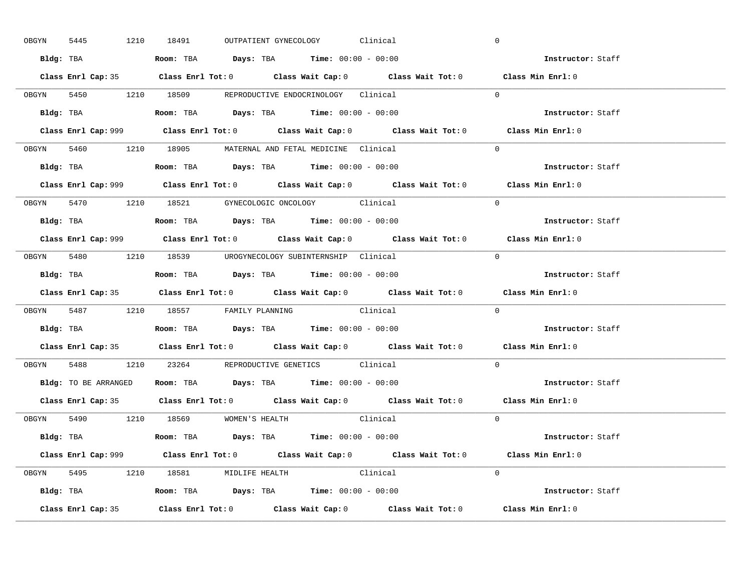|       | 5445<br>OBGYN |  | 1210 18491 |                                      | OUTPATIENT GYNECOLOGY                                                                 | Clinical |                                                                           | $\mathbf 0$                                                                                 |  |
|-------|---------------|--|------------|--------------------------------------|---------------------------------------------------------------------------------------|----------|---------------------------------------------------------------------------|---------------------------------------------------------------------------------------------|--|
|       |               |  |            |                                      | Bldg: TBA                   Room: TBA         Days: TBA         Time: 00:00 - 00:00   |          |                                                                           | Instructor: Staff                                                                           |  |
|       |               |  |            |                                      |                                                                                       |          |                                                                           | Class Enrl Cap: 35 Class Enrl Tot: 0 Class Wait Cap: 0 Class Wait Tot: 0 Class Min Enrl: 0  |  |
|       |               |  |            |                                      | OBGYN 5450 1210 18509 REPRODUCTIVE ENDOCRINOLOGY Clinical                             |          |                                                                           | $\Omega$                                                                                    |  |
|       |               |  |            |                                      |                                                                                       |          |                                                                           | Instructor: Staff                                                                           |  |
|       |               |  |            |                                      |                                                                                       |          | Class Enrl Cap: 999 Class Enrl Tot: 0 Class Wait Cap: 0 Class Wait Tot: 0 | Class Min Enrl: 0                                                                           |  |
|       |               |  |            |                                      | OBGYN 5460 1210 18905 MATERNAL AND FETAL MEDICINE Clinical                            |          |                                                                           | $\Omega$                                                                                    |  |
|       |               |  |            |                                      | Bldg: TBA                   Room: TBA         Days: TBA         Time: 00:00 - 00:00   |          |                                                                           | Instructor: Staff                                                                           |  |
|       |               |  |            |                                      |                                                                                       |          |                                                                           | Class Enrl Cap: 999 Class Enrl Tot: 0 Class Wait Cap: 0 Class Wait Tot: 0 Class Min Enrl: 0 |  |
|       |               |  |            |                                      | OBGYN 5470 1210 18521 GYNECOLOGIC ONCOLOGY Clinical                                   |          |                                                                           | $\Omega$                                                                                    |  |
|       |               |  |            |                                      | Bldg: TBA                   Room: TBA         Days: TBA         Time: $00:00 - 00:00$ |          |                                                                           | Instructor: Staff                                                                           |  |
|       |               |  |            |                                      |                                                                                       |          |                                                                           | Class Enrl Cap: 999 Class Enrl Tot: 0 Class Wait Cap: 0 Class Wait Tot: 0 Class Min Enrl: 0 |  |
|       |               |  |            |                                      | OBGYN 5480 1210 18539 UROGYNECOLOGY_SUBINTERNSHIP Clinical                            |          |                                                                           | $\Omega$                                                                                    |  |
|       |               |  |            |                                      | Bldg: TBA                   Room: TBA        Days: TBA        Time: 00:00 - 00:00     |          |                                                                           | Instructor: Staff                                                                           |  |
|       |               |  |            |                                      |                                                                                       |          |                                                                           | Class Enrl Cap: 35 Class Enrl Tot: 0 Class Wait Cap: 0 Class Wait Tot: 0 Class Min Enrl: 0  |  |
|       |               |  |            |                                      |                                                                                       |          |                                                                           |                                                                                             |  |
|       |               |  |            |                                      | OBGYN 5487 1210 18557 FAMILY PLANNING Clinical                                        |          |                                                                           | $\Omega$                                                                                    |  |
|       |               |  |            |                                      | Bldg: TBA                   Room: TBA         Days: TBA         Time: 00:00 - 00:00   |          |                                                                           | Instructor: Staff                                                                           |  |
|       |               |  |            |                                      |                                                                                       |          |                                                                           | Class Enrl Cap: 35 Class Enrl Tot: 0 Class Wait Cap: 0 Class Wait Tot: 0 Class Min Enrl: 0  |  |
| OBGYN |               |  |            |                                      | 5488 1210 23264 REPRODUCTIVE GENETICS Clinical                                        |          |                                                                           | $\Omega$                                                                                    |  |
|       |               |  |            |                                      | Bldg: TO BE ARRANGED ROOM: TBA Days: TBA Time: 00:00 - 00:00                          |          |                                                                           | Instructor: Staff                                                                           |  |
|       |               |  |            |                                      |                                                                                       |          |                                                                           | Class Enrl Cap: 35 Class Enrl Tot: 0 Class Wait Cap: 0 Class Wait Tot: 0 Class Min Enrl: 0  |  |
|       |               |  |            | OBGYN 5490 1210 18569 WOMEN'S HEALTH |                                                                                       | Clinical |                                                                           | $\overline{0}$                                                                              |  |
|       |               |  |            |                                      | Bldg: TBA                  Room: TBA         Days: TBA         Time: 00:00 - 00:00    |          |                                                                           | Instructor: Staff                                                                           |  |
|       |               |  |            |                                      |                                                                                       |          |                                                                           | Class Enrl Cap: 999 Class Enrl Tot: 0 Class Wait Cap: 0 Class Wait Tot: 0 Class Min Enrl: 0 |  |
|       |               |  |            |                                      | OBGYN 5495 1210 18581 MIDLIFE HEALTH Clinical                                         |          |                                                                           | $\Omega$                                                                                    |  |
|       |               |  |            |                                      | <b>Bldg:</b> TBA <b>ROOM:</b> TBA <b>Days:</b> TBA <b>Time:</b> $00:00 - 00:00$       |          |                                                                           | Instructor: Staff                                                                           |  |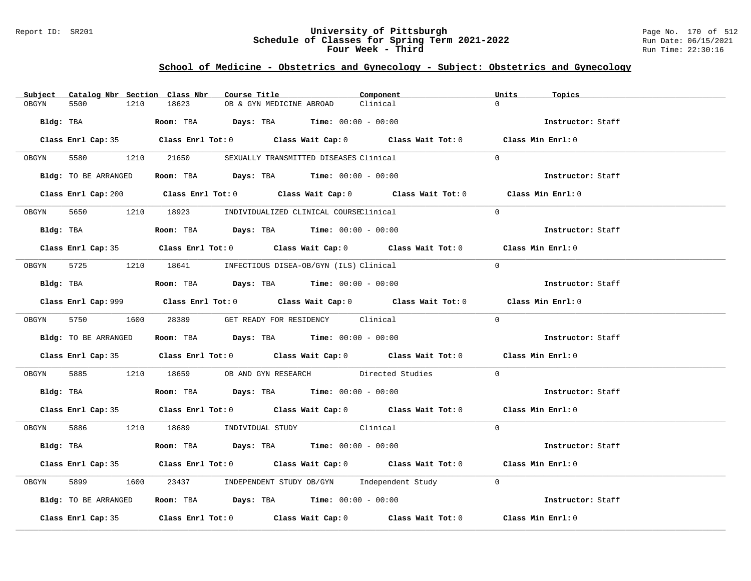### Report ID: SR201 **University of Pittsburgh** Page No. 170 of 512 **Schedule of Classes for Spring Term 2021-2022** Run Date: 06/15/2021 **Four Week - Third Run Time: 22:30:16**

# **School of Medicine - Obstetrics and Gynecology - Subject: Obstetrics and Gynecology**

| Subject | Catalog Nbr Section Class Nbr | Course Title                                                                           | Component                                                                                                                                                                                                                     | Units<br>Topics   |  |
|---------|-------------------------------|----------------------------------------------------------------------------------------|-------------------------------------------------------------------------------------------------------------------------------------------------------------------------------------------------------------------------------|-------------------|--|
| OBGYN   | 5500<br>1210                  | 18623<br>OB & GYN MEDICINE ABROAD                                                      | Clinical                                                                                                                                                                                                                      | $\Omega$          |  |
|         | Bldg: TBA                     | Room: TBA $Days:$ TBA $Time: 00:00 - 00:00$                                            |                                                                                                                                                                                                                               | Instructor: Staff |  |
|         |                               |                                                                                        | Class Enrl Cap: 35 Class Enrl Tot: 0 Class Wait Cap: 0 Class Wait Tot: 0 Class Min Enrl: 0                                                                                                                                    |                   |  |
| OBGYN   |                               | 5580 1210 21650 SEXUALLY TRANSMITTED DISEASES Clinical                                 |                                                                                                                                                                                                                               | $\Omega$          |  |
|         |                               | Bldg: TO BE ARRANGED Room: TBA Days: TBA Time: 00:00 - 00:00                           |                                                                                                                                                                                                                               | Instructor: Staff |  |
|         |                               |                                                                                        | Class Enrl Cap: 200 Class Enrl Tot: 0 Class Wait Cap: 0 Class Wait Tot: 0 Class Min Enrl: 0                                                                                                                                   |                   |  |
|         |                               | 0BGYN 5650 1210 18923 INDIVIDUALIZED CLINICAL COURSEClinical                           |                                                                                                                                                                                                                               | $\Omega$          |  |
|         |                               |                                                                                        |                                                                                                                                                                                                                               | Instructor: Staff |  |
|         |                               |                                                                                        | Class Enrl Cap: 35 Class Enrl Tot: 0 Class Wait Cap: 0 Class Wait Tot: 0 Class Min Enrl: 0                                                                                                                                    |                   |  |
|         |                               | OBGYN 5725 1210 18641 INFECTIOUS DISEA-OB/GYN (ILS) Clinical                           |                                                                                                                                                                                                                               | $\Omega$          |  |
|         |                               | Bldg: TBA                     Room: TBA          Days: TBA         Time: 00:00 - 00:00 |                                                                                                                                                                                                                               | Instructor: Staff |  |
|         |                               |                                                                                        | Class Enrl Cap: 999 Class Enrl Tot: 0 Class Wait Cap: 0 Class Wait Tot: 0 Class Min Enrl: 0                                                                                                                                   |                   |  |
|         |                               | OBGYN 5750 1600 28389 GET READY FOR RESIDENCY Clinical                                 |                                                                                                                                                                                                                               | $\Omega$          |  |
|         | Bldg: TO BE ARRANGED          | Room: TBA $\rule{1em}{0.15mm}$ Days: TBA Time: $00:00 - 00:00$                         |                                                                                                                                                                                                                               | Instructor: Staff |  |
|         |                               |                                                                                        | Class Enrl Cap: 35 Class Enrl Tot: 0 Class Wait Cap: 0 Class Wait Tot: 0 Class Min Enrl: 0                                                                                                                                    |                   |  |
| OBGYN   |                               |                                                                                        | 5885 1210 18659 OB AND GYN RESEARCH Directed Studies                                                                                                                                                                          | $\Omega$          |  |
|         |                               | Bldg: TBA                    Room: TBA         Days: TBA        Time: 00:00 - 00:00    |                                                                                                                                                                                                                               | Instructor: Staff |  |
|         |                               |                                                                                        | Class Enrl Cap: 35 Class Enrl Tot: 0 Class Wait Cap: 0 Class Wait Tot: 0 Class Min Enrl: 0                                                                                                                                    |                   |  |
|         |                               | OBGYN 5886 1210 18689 INDIVIDUAL STUDY Clinical                                        |                                                                                                                                                                                                                               | $\Omega$          |  |
|         |                               | Bldg: TBA                    Room: TBA         Days: TBA         Time: 00:00 - 00:00   |                                                                                                                                                                                                                               | Instructor: Staff |  |
|         |                               |                                                                                        | Class Enrl Cap: 35 Class Enrl Tot: 0 Class Wait Cap: 0 Class Wait Tot: 0 Class Min Enrl: 0                                                                                                                                    |                   |  |
| OBGYN   |                               |                                                                                        | 1600 23437 INDEPENDENT STUDY OB/GYN Independent Study 0                                                                                                                                                                       |                   |  |
|         | Bldg: TO BE ARRANGED          | Room: TBA $Days:$ TBA $Time: 00:00 - 00:00$                                            |                                                                                                                                                                                                                               | Instructor: Staff |  |
|         |                               |                                                                                        | Class Enrl Cap: 35 $\,$ Class Enrl Tot: 0 $\,$ Class Wait Cap: 0 $\,$ Class Wait Tot: 0 $\,$ Class Enrl Tot: 0 $\,$ Class Enrl Tot: 0 $\,$ Class Enrl Tot: 0 $\,$ Class Enrl Tot: 0 $\,$ Class Enrl Tot: 0 $\,$ Class Enrl To | Class Min Enrl: 0 |  |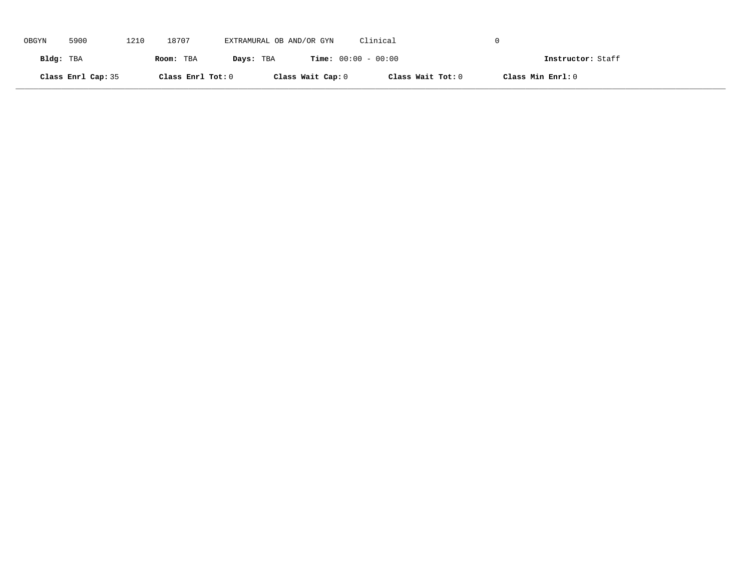| OBGYN     | 5900               | 1210 | 18707             | EXTRAMURAL OB AND/OR GYN |                   | Clinical                     |                   |                   |
|-----------|--------------------|------|-------------------|--------------------------|-------------------|------------------------------|-------------------|-------------------|
| Bldg: TBA |                    |      | Room: TBA         | Days: TBA                |                   | <b>Time:</b> $00:00 - 00:00$ |                   | Instructor: Staff |
|           | Class Enrl Cap: 35 |      | Class Enrl Tot: 0 |                          | Class Wait Cap: 0 | Class Wait Tot: 0            | Class Min Enrl: 0 |                   |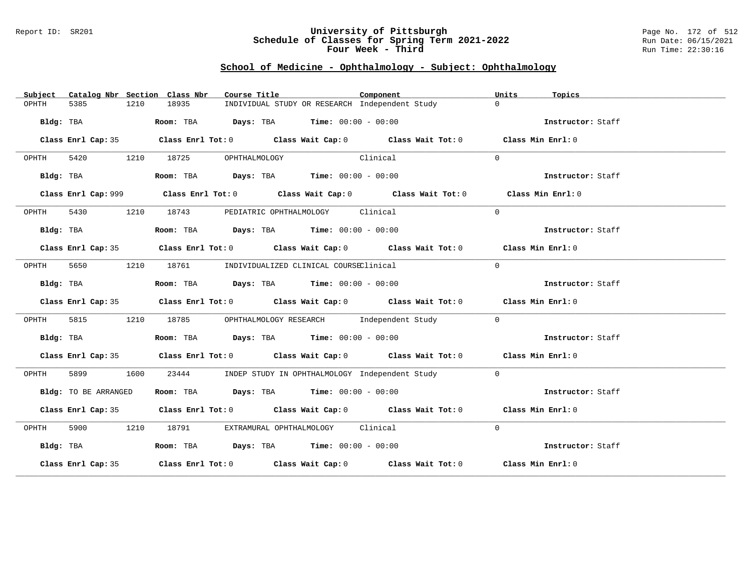### Report ID: SR201 **University of Pittsburgh** Page No. 172 of 512 **Schedule of Classes for Spring Term 2021-2022** Run Date: 06/15/2021 **Four Week - Third Run Time: 22:30:16**

# **School of Medicine - Ophthalmology - Subject: Ophthalmology**

| Subject   |                      |      | Catalog Nbr Section Class Nbr | Course Title                                                                                | Component | Units<br>Topics   |  |
|-----------|----------------------|------|-------------------------------|---------------------------------------------------------------------------------------------|-----------|-------------------|--|
| OPHTH     | 5385                 | 1210 | 18935                         | INDIVIDUAL STUDY OR RESEARCH Independent Study                                              |           | $\Omega$          |  |
|           | Bldg: TBA            |      |                               | Room: TBA $Days:$ TBA $Time: 00:00 - 00:00$                                                 |           | Instructor: Staff |  |
|           |                      |      |                               | Class Enrl Cap: 35 Class Enrl Tot: 0 Class Wait Cap: 0 Class Wait Tot: 0 Class Min Enrl: 0  |           |                   |  |
| OPHTH     |                      |      | 5420 1210 18725               | Clinical<br>OPHTHALMOLOGY                                                                   |           | $\Omega$          |  |
|           | Bldg: TBA            |      |                               | Room: TBA $Days:$ TBA $Time: 00:00 - 00:00$                                                 |           | Instructor: Staff |  |
|           |                      |      |                               | Class Enrl Cap: 999 Class Enrl Tot: 0 Class Wait Cap: 0 Class Wait Tot: 0 Class Min Enrl: 0 |           |                   |  |
| OPHTH     |                      |      | 5430 1210 18743               | PEDIATRIC OPHTHALMOLOGY Clinical                                                            |           | $\Omega$          |  |
|           | Bldg: TBA            |      |                               | Room: TBA $Days:$ TBA $Time: 00:00 - 00:00$                                                 |           | Instructor: Staff |  |
|           |                      |      |                               | Class Enrl Cap: 35 Class Enrl Tot: 0 Class Wait Cap: 0 Class Wait Tot: 0 Class Min Enrl: 0  |           |                   |  |
| OPHTH     |                      |      |                               | 5650 1210 18761 INDIVIDUALIZED CLINICAL COURSEClinical                                      |           | $\Omega$          |  |
|           | Bldg: TBA            |      |                               | Room: TBA $Days:$ TBA $Time: 00:00 - 00:00$                                                 |           | Instructor: Staff |  |
|           |                      |      |                               | Class Enrl Cap: 35 Class Enrl Tot: 0 Class Wait Cap: 0 Class Wait Tot: 0 Class Min Enrl: 0  |           |                   |  |
| OPHTH     |                      |      |                               | 5815 1210 18785 OPHTHALMOLOGY RESEARCH Independent Study                                    |           | $\overline{0}$    |  |
|           | Bldg: TBA            |      |                               | Room: TBA $Days:$ TBA $Time: 00:00 - 00:00$                                                 |           | Instructor: Staff |  |
|           |                      |      |                               | Class Enrl Cap: 35 Class Enrl Tot: 0 Class Wait Cap: 0 Class Wait Tot: 0 Class Min Enrl: 0  |           |                   |  |
| OPHTH     | 5899 1600            |      | 23444                         | INDEP STUDY IN OPHTHALMOLOGY Independent Study                                              |           | $\Omega$          |  |
|           | Bldg: TO BE ARRANGED |      |                               | Room: TBA $\rule{1em}{0.15mm}$ Days: TBA $\rule{1.15mm}{0.15mm}$ Time: $00:00 - 00:00$      |           | Instructor: Staff |  |
|           |                      |      |                               | Class Enrl Cap: 35 Class Enrl Tot: 0 Class Wait Cap: 0 Class Wait Tot: 0 Class Min Enrl: 0  |           |                   |  |
| OPHTH     |                      |      |                               | 5900 1210 18791 EXTRAMURAL OPHTHALMOLOGY Clinical                                           |           | $\Omega$          |  |
| Bldg: TBA |                      |      |                               | Room: TBA $Days:$ TBA $Time: 00:00 - 00:00$                                                 |           | Instructor: Staff |  |
|           |                      |      |                               | Class Enrl Cap: 35 Class Enrl Tot: 0 Class Wait Cap: 0 Class Wait Tot: 0 Class Min Enrl: 0  |           |                   |  |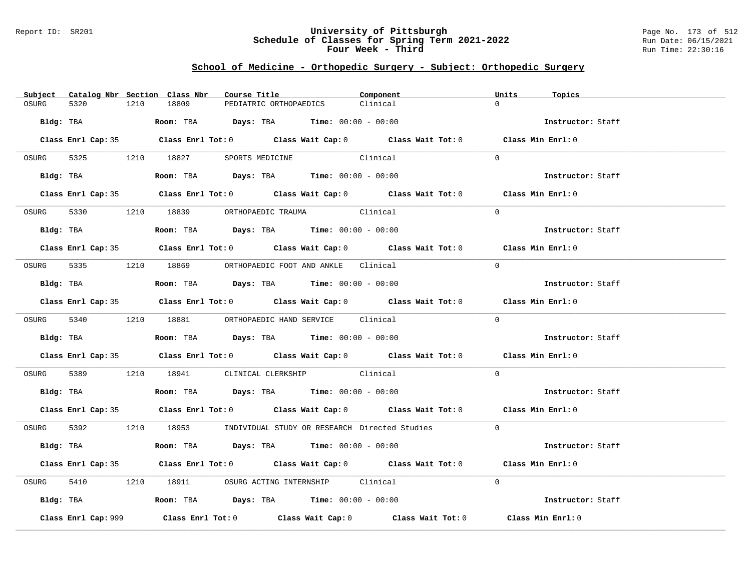### Report ID: SR201 **University of Pittsburgh** Page No. 173 of 512 **Schedule of Classes for Spring Term 2021-2022** Run Date: 06/15/2021 **Four Week - Third Run Time: 22:30:16**

# **School of Medicine - Orthopedic Surgery - Subject: Orthopedic Surgery**

|       |                     |      | Subject Catalog Nbr Section Class Nbr | Course Title                                                                           | Component                                                                                  | Units    | Topics            |
|-------|---------------------|------|---------------------------------------|----------------------------------------------------------------------------------------|--------------------------------------------------------------------------------------------|----------|-------------------|
| OSURG | 5320                | 1210 | 18809                                 | PEDIATRIC ORTHOPAEDICS                                                                 | Clinical                                                                                   | $\cap$   |                   |
|       |                     |      |                                       | Bldg: TBA                    Room: TBA         Days: TBA         Time: 00:00 - 00:00   |                                                                                            |          | Instructor: Staff |
|       |                     |      |                                       |                                                                                        | Class Enrl Cap: 35 Class Enrl Tot: 0 Class Wait Cap: 0 Class Wait Tot: 0 Class Min Enrl: 0 |          |                   |
|       |                     |      |                                       | OSURG 5325 1210 18827 SPORTS MEDICINE Clinical                                         |                                                                                            | $\Omega$ |                   |
|       |                     |      |                                       | Bldg: TBA                    Room: TBA         Days: TBA         Time: $00:00 - 00:00$ |                                                                                            |          | Instructor: Staff |
|       |                     |      |                                       |                                                                                        | Class Enrl Cap: 35 Class Enrl Tot: 0 Class Wait Cap: 0 Class Wait Tot: 0 Class Min Enrl: 0 |          |                   |
|       |                     |      |                                       | OSURG 5330 1210 18839 ORTHOPAEDIC TRAUMA Clinical                                      |                                                                                            | $\Omega$ |                   |
|       |                     |      |                                       | Bldg: TBA                   Room: TBA         Days: TBA         Time: 00:00 - 00:00    |                                                                                            |          | Instructor: Staff |
|       |                     |      |                                       |                                                                                        | Class Enrl Cap: 35 Class Enrl Tot: 0 Class Wait Cap: 0 Class Wait Tot: 0 Class Min Enrl: 0 |          |                   |
|       |                     |      |                                       | OSURG 5335 1210 18869 ORTHOPAEDIC FOOT AND ANKLE Clinical                              |                                                                                            | $\Omega$ |                   |
|       |                     |      |                                       | Bldg: TBA                    Room: TBA         Days: TBA         Time: $00:00 - 00:00$ |                                                                                            |          | Instructor: Staff |
|       |                     |      |                                       |                                                                                        | Class Enrl Cap: 35 Class Enrl Tot: 0 Class Wait Cap: 0 Class Wait Tot: 0 Class Min Enrl: 0 |          |                   |
|       |                     |      |                                       | OSURG 5340 1210 18881 ORTHOPAEDIC HAND SERVICE Clinical                                |                                                                                            | $\Omega$ |                   |
|       |                     |      |                                       |                                                                                        |                                                                                            |          | Instructor: Staff |
|       |                     |      |                                       |                                                                                        | Class Enrl Cap: 35 Class Enrl Tot: 0 Class Wait Cap: 0 Class Wait Tot: 0 Class Min Enrl: 0 |          |                   |
|       |                     |      |                                       | OSURG 5389 1210 18941 CLINICAL CLERKSHIP Clinical                                      |                                                                                            | $\Omega$ |                   |
|       |                     |      |                                       | Bldg: TBA                    Room: TBA         Days: TBA         Time: $00:00 - 00:00$ |                                                                                            |          | Instructor: Staff |
|       |                     |      |                                       |                                                                                        | Class Enrl Cap: 35 Class Enrl Tot: 0 Class Wait Cap: 0 Class Wait Tot: 0 Class Min Enrl: 0 |          |                   |
|       |                     |      |                                       |                                                                                        | OSURG 5392 1210 18953 INDIVIDUAL STUDY OR RESEARCH Directed Studies 0                      |          |                   |
|       |                     |      |                                       | Bldg: TBA                     Room: TBA         Days: TBA         Time: 00:00 - 00:00  |                                                                                            |          | Instructor: Staff |
|       |                     |      |                                       |                                                                                        | Class Enrl Cap: 35 Class Enrl Tot: 0 Class Wait Cap: 0 Class Wait Tot: 0 Class Min Enrl: 0 |          |                   |
| OSURG |                     |      |                                       | 5410 1210 18911 OSURG ACTING INTERNSHIP Clinical                                       |                                                                                            | $\Omega$ |                   |
|       |                     |      |                                       | Bldg: TBA                   Room: TBA         Days: TBA         Time: 00:00 - 00:00    |                                                                                            |          | Instructor: Staff |
|       | Class Enrl Cap: 999 |      |                                       |                                                                                        | Class Enrl Tot: $0$ Class Wait Cap: $0$ Class Wait Tot: $0$                                |          | Class Min Enrl: 0 |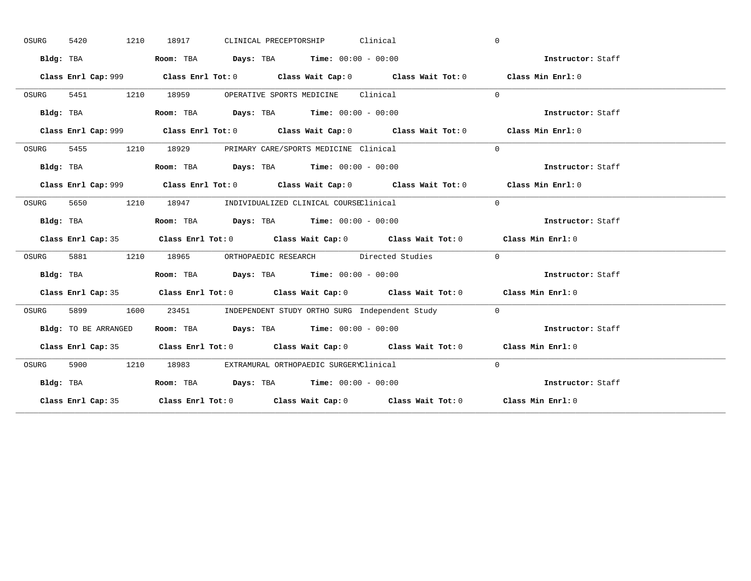| OSURG | 5420<br>1210         | CLINICAL PRECEPTORSHIP Clinical<br>18917                                                     | $\mathbf{0}$      |
|-------|----------------------|----------------------------------------------------------------------------------------------|-------------------|
|       | Bldg: TBA            | Room: TBA $Days:$ TBA $Time: 00:00 - 00:00$                                                  | Instructor: Staff |
|       |                      | Class Enrl Cap: 999 Class Enrl Tot: 0 Class Wait Cap: 0 Class Wait Tot: 0 Class Min Enrl: 0  |                   |
| OSURG | 5451 1210            | 18959 OPERATIVE SPORTS MEDICINE Clinical                                                     | $\Omega$          |
|       | Bldg: TBA            | Room: TBA $Days:$ TBA Time: $00:00 - 00:00$                                                  | Instructor: Staff |
|       |                      | Class Enrl Cap: 999 Class Enrl Tot: 0 Class Wait Cap: 0 Class Wait Tot: 0 Class Min Enrl: 0  |                   |
| OSURG |                      | 5455 1210 18929 PRIMARY CARE/SPORTS MEDICINE Clinical                                        | $\Omega$          |
|       |                      | Bldg: TBA                        Room: TBA          Days: TBA          Time: $00:00 - 00:00$ | Instructor: Staff |
|       |                      |                                                                                              | Class Min Enrl: 0 |
| OSURG | 5650                 | 1210 18947 INDIVIDUALIZED CLINICAL COURSEClinical                                            | $\Omega$          |
|       | Bldg: TBA            | Room: TBA $\rule{1em}{0.15mm}$ Days: TBA $\rule{1.5mm}{0.15mm}$ Time: $00:00 - 00:00$        | Instructor: Staff |
|       |                      | Class Enrl Cap: 35 Class Enrl Tot: 0 Class Wait Cap: 0 Class Wait Tot: 0 Class Min Enrl: 0   |                   |
| OSURG |                      | 5881 1210 18965 ORTHOPAEDIC RESEARCH Directed Studies                                        | $\Omega$          |
|       | Bldg: TBA            | Room: TBA $Days:$ TBA $Time: 00:00 - 00:00$                                                  | Instructor: Staff |
|       |                      | Class Enrl Cap: 35 Class Enrl Tot: 0 Class Wait Cap: 0 Class Wait Tot: 0 Class Min Enrl: 0   |                   |
| OSURG | 5899<br>1600         | 23451 INDEPENDENT STUDY ORTHO SURG Independent Study                                         | $\overline{0}$    |
|       | Bldg: TO BE ARRANGED | Room: TBA $\rule{1em}{0.15mm}$ Days: TBA Time: $00:00 - 00:00$                               | Instructor: Staff |
|       |                      | Class Enrl Cap: 35 Class Enrl Tot: 0 Class Wait Cap: 0 Class Wait Tot: 0 Class Min Enrl: 0   |                   |
|       |                      |                                                                                              |                   |
| OSURG |                      | 5900 1210 18983 EXTRAMURAL ORTHOPAEDIC SURGERYClinical                                       | $\Omega$          |
|       | Bldg: TBA            | Room: TBA $Days:$ TBA Time: $00:00 - 00:00$                                                  | Instructor: Staff |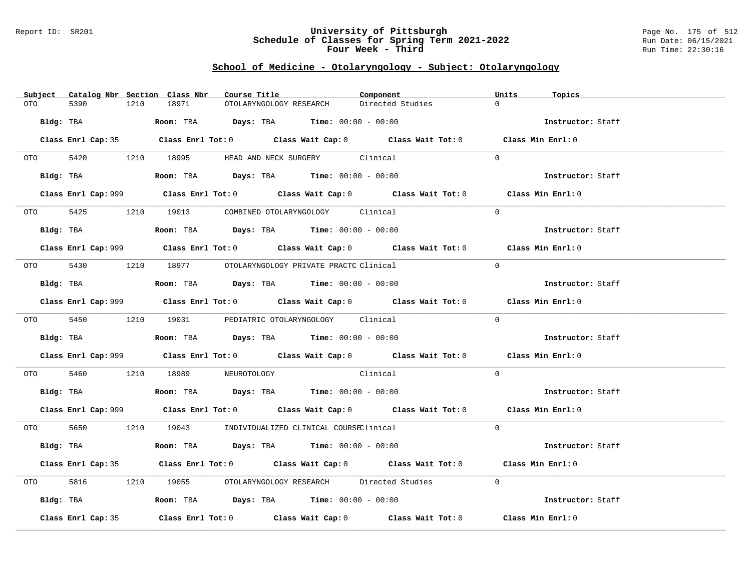### Report ID: SR201 **University of Pittsburgh** Page No. 175 of 512 **Schedule of Classes for Spring Term 2021-2022** Run Date: 06/15/2021 **Four Week - Third Run Time: 22:30:16**

# **School of Medicine - Otolaryngology - Subject: Otolaryngology**

|           | Subject Catalog Nbr Section Class Nbr | Course Title                                                                                 | Component                                                                                          | Units<br>Topics   |
|-----------|---------------------------------------|----------------------------------------------------------------------------------------------|----------------------------------------------------------------------------------------------------|-------------------|
| OTO       | 5390<br>1210                          | 18971<br>OTOLARYNGOLOGY RESEARCH                                                             | Directed Studies                                                                                   | $\Omega$          |
| Bldg: TBA |                                       | <b>Room:</b> TBA <b>Days:</b> TBA <b>Time:</b> 00:00 - 00:00                                 |                                                                                                    | Instructor: Staff |
|           |                                       |                                                                                              |                                                                                                    |                   |
|           |                                       |                                                                                              | Class Enrl Cap: 35 Class Enrl Tot: 0 Class Wait Cap: 0 Class Wait Tot: 0 Class Min Enrl: 0         |                   |
|           |                                       | OTO 5420 1210 18995 HEAD AND NECK SURGERY Clinical                                           |                                                                                                    | $\Omega$          |
|           |                                       | Bldg: TBA                     Room: TBA          Days: TBA         Time: 00:00 - 00:00       |                                                                                                    | Instructor: Staff |
|           |                                       |                                                                                              | Class Enrl Cap: 999 Class Enrl Tot: 0 Class Wait Cap: 0 Class Wait Tot: 0 Class Min Enrl: 0        |                   |
|           |                                       | 0TO 5425 1210 19013 COMBINED OTOLARYNGOLOGY Clinical                                         |                                                                                                    | $\Omega$          |
|           |                                       | Bldg: TBA                   Room: TBA         Days: TBA         Time: $00:00 - 00:00$        |                                                                                                    | Instructor: Staff |
|           |                                       |                                                                                              | Class Enrl Cap: 999 Class Enrl Tot: 0 Class Wait Cap: 0 Class Wait Tot: 0 Class Min Enrl: 0        |                   |
|           |                                       |                                                                                              |                                                                                                    |                   |
|           |                                       | OTO 5430 1210 18977 OTOLARYNGOLOGY PRIVATE PRACTC Clinical                                   |                                                                                                    | $\Omega$          |
|           |                                       | Bldg: TBA                    Room: TBA         Days: TBA         Time: $00:00 - 00:00$       |                                                                                                    | Instructor: Staff |
|           |                                       |                                                                                              | Class Enrl Cap: 999 Class Enrl Tot: 0 Class Wait Cap: 0 Class Wait Tot: 0 Class Min Enrl: 0        |                   |
|           |                                       | 0TO 5450 1210 19031 PEDIATRIC OTOLARYNGOLOGY Clinical                                        |                                                                                                    | $\Omega$          |
|           |                                       | Bldg: TBA                         Room: TBA          Days: TBA         Time: $00:00 - 00:00$ |                                                                                                    | Instructor: Staff |
|           |                                       |                                                                                              | Class Enrl Cap: 999 Class Enrl Tot: 0 Class Wait Cap: 0 Class Wait Tot: 0 Class Min Enrl: 0        |                   |
|           |                                       | OTO 5460 1210 18989 NEUROTOLOGY Clinical                                                     |                                                                                                    | $\Omega$          |
|           |                                       | Bldg: TBA                   Room: TBA         Days: TBA         Time: 00:00 - 00:00          |                                                                                                    | Instructor: Staff |
|           |                                       |                                                                                              | Class Enrl Cap: 999 Class Enrl Tot: 0 Class Wait Cap: 0 Class Wait Tot: 0 Class Min Enrl: 0        |                   |
|           |                                       | 0TO 5650 1210 19043 INDIVIDUALIZED CLINICAL COURSEClinical                                   |                                                                                                    | $\Omega$          |
|           | Bldg: TBA                             | <b>Room:</b> TBA $Days:$ TBA $Time: 00:00 - 00:00$                                           |                                                                                                    | Instructor: Staff |
|           |                                       |                                                                                              | Class Enrl Cap: 35 Class Enrl Tot: 0 Class Wait Cap: 0 Class Wait Tot: 0 Class Min Enrl: 0         |                   |
|           | OTO 5816                              |                                                                                              | 1210 19055 OTOLARYNGOLOGY RESEARCH Directed Studies                                                | $\Omega$          |
|           |                                       | Bldg: TBA                    Room: TBA        Days: TBA         Time: 00:00 - 00:00          |                                                                                                    | Instructor: Staff |
|           | Class Enrl Cap: 35                    |                                                                                              | Class Enrl Tot: 0 $\qquad$ Class Wait Cap: 0 $\qquad$ Class Wait Tot: 0 $\qquad$ Class Min Enrl: 0 |                   |
|           |                                       |                                                                                              |                                                                                                    |                   |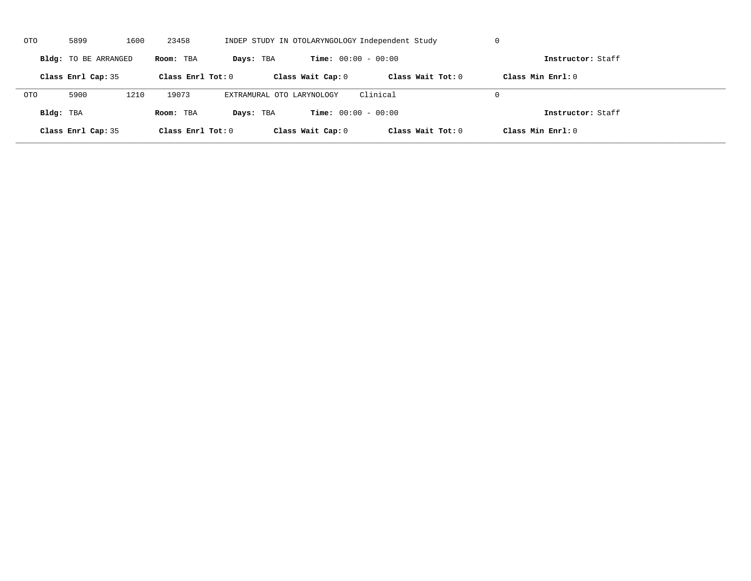| OTO        | 5899                              | 1600 | 23458                                     |                           |                              | INDEP STUDY IN OTOLARYNGOLOGY Independent Study | U                   |  |
|------------|-----------------------------------|------|-------------------------------------------|---------------------------|------------------------------|-------------------------------------------------|---------------------|--|
|            | Bldg: TO BE ARRANGED<br>Room: TBA |      | <b>Time:</b> $00:00 - 00:00$<br>Days: TBA |                           | Instructor: Staff            |                                                 |                     |  |
|            | Class Enrl Cap: 35                |      | Class Enrl Tot: $0$                       |                           | Class Wait Cap: 0            | Class Wait $Tot: 0$                             | Class Min $Enrl: 0$ |  |
| <b>OTO</b> | 5900                              | 1210 | 19073                                     | EXTRAMURAL OTO LARYNOLOGY |                              | Clinical                                        | $\Omega$            |  |
| Bldg: TBA  |                                   |      | Room: TBA                                 | Days: TBA                 | <b>Time:</b> $00:00 - 00:00$ |                                                 | Instructor: Staff   |  |
|            | Class Enrl Cap: 35                |      | Class Enrl Tot: 0                         |                           | Class Wait Cap: 0            | Class Wait Tot: 0                               | Class Min Enrl: 0   |  |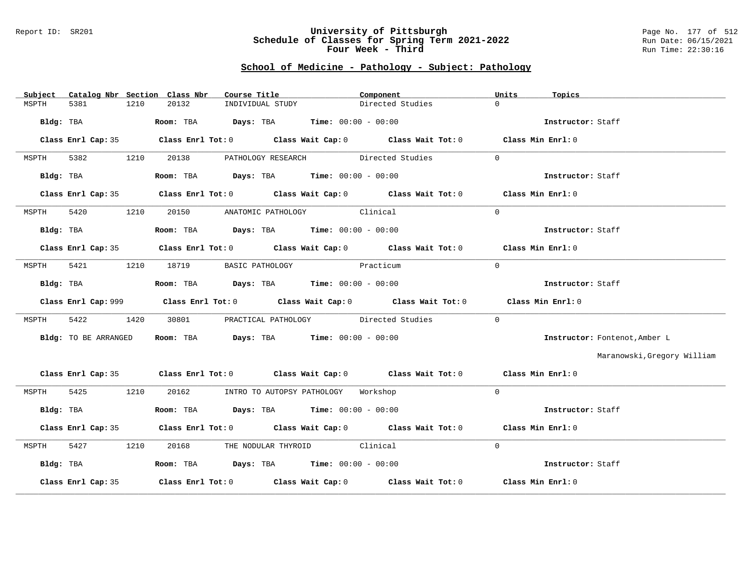#### Report ID: SR201 **University of Pittsburgh** Page No. 177 of 512 **Schedule of Classes for Spring Term 2021-2022** Run Date: 06/15/2021 **Four Week - Third Run Time: 22:30:16**

## **School of Medicine - Pathology - Subject: Pathology**

| Catalog Nbr Section Class Nbr<br>Subject | Course Title                                                                          | Component                                                                                  | Units<br>Topics               |
|------------------------------------------|---------------------------------------------------------------------------------------|--------------------------------------------------------------------------------------------|-------------------------------|
| 1210<br>5381<br>MSPTH                    | 20132<br>INDIVIDUAL STUDY                                                             | Directed Studies                                                                           | $\Omega$                      |
| Bldg: TBA                                | Room: TBA $Days: TBA$ Time: $00:00 - 00:00$                                           |                                                                                            | Instructor: Staff             |
|                                          |                                                                                       | Class Enrl Cap: 35 Class Enrl Tot: 0 Class Wait Cap: 0 Class Wait Tot: 0 Class Min Enrl: 0 |                               |
| 5382<br>1210<br>MSPTH                    | 20138                                                                                 | PATHOLOGY RESEARCH Directed Studies                                                        | $\Omega$                      |
| Bldg: TBA                                | Room: TBA $Days:$ TBA $Time: 00:00 - 00:00$                                           |                                                                                            | Instructor: Staff             |
|                                          |                                                                                       | Class Enrl Cap: 35 Class Enrl Tot: 0 Class Wait Cap: 0 Class Wait Tot: 0 Class Min Enrl: 0 |                               |
| 5420<br>1210<br>MSPTH                    | 20150 ANATOMIC PATHOLOGY Clinical                                                     |                                                                                            | $\Omega$                      |
| Bldg: TBA                                | Room: TBA $Days: TBA$ Time: $00:00 - 00:00$                                           |                                                                                            | Instructor: Staff             |
|                                          |                                                                                       | Class Enrl Cap: 35 Class Enrl Tot: 0 Class Wait Cap: 0 Class Wait Tot: 0 Class Min Enrl: 0 |                               |
| 5421<br>MSPTH                            | 1210 18719                                                                            | BASIC PATHOLOGY Practicum                                                                  | $\Omega$                      |
| Bldg: TBA                                | Room: TBA $\rule{1em}{0.15mm}$ Days: TBA Time: $00:00 - 00:00$                        |                                                                                            | Instructor: Staff             |
|                                          |                                                                                       | Class Enrl Cap: 999 Class Enrl Tot: 0 Class Wait Cap: 0 Class Wait Tot: 0                  | Class Min Enrl: 0             |
| 5422<br>1420<br>MSPTH                    | 30801                                                                                 | PRACTICAL PATHOLOGY Directed Studies                                                       | $\Omega$                      |
| Bldg: TO BE ARRANGED                     | Room: TBA $Days: TBA$ Time: $00:00 - 00:00$                                           |                                                                                            | Instructor: Fontenot, Amber L |
|                                          |                                                                                       |                                                                                            | Maranowski, Gregory William   |
|                                          |                                                                                       | Class Enrl Cap: 35 Class Enrl Tot: 0 Class Wait Cap: 0 Class Wait Tot: 0 Class Min Enrl: 0 |                               |
| 5425 1210<br>MSPTH                       | 20162 INTRO TO AUTOPSY PATHOLOGY Workshop                                             |                                                                                            | $\Omega$                      |
| Bldg: TBA                                | Room: TBA $\rule{1em}{0.15mm}$ Days: TBA Time: $00:00 - 00:00$                        |                                                                                            | Instructor: Staff             |
|                                          |                                                                                       | Class Enrl Cap: 35 Class Enrl Tot: 0 Class Wait Cap: 0 Class Wait Tot: 0 Class Min Enrl: 0 |                               |
| 5427<br>1210<br>MSPTH                    | 20168 THE NODULAR THYROID Clinical                                                    |                                                                                            | $\Omega$                      |
| Bldg: TBA                                | Room: TBA $\rule{1em}{0.15mm}$ Days: TBA $\rule{1.5mm}{0.15mm}$ Time: $00:00 - 00:00$ |                                                                                            | Instructor: Staff             |
| Class Enrl Cap: 35                       |                                                                                       | Class Enrl Tot: $0$ Class Wait Cap: $0$ Class Wait Tot: $0$ Class Min Enrl: $0$            |                               |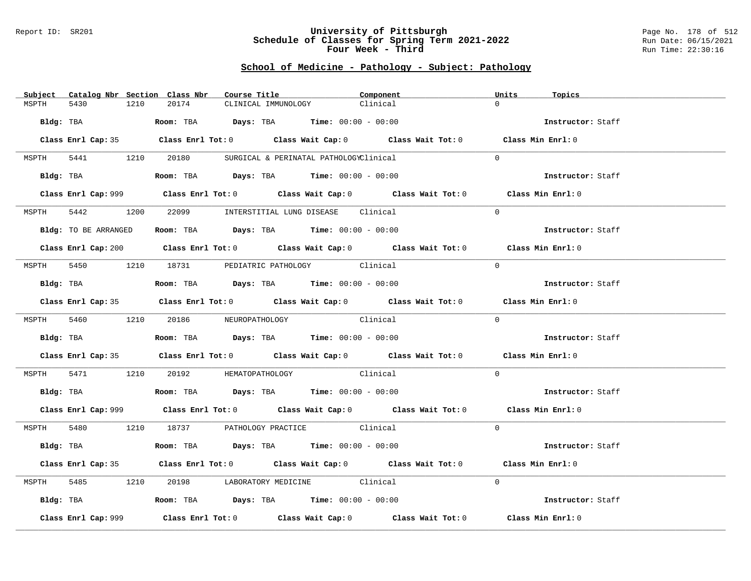#### Report ID: SR201 **University of Pittsburgh** Page No. 178 of 512 **Schedule of Classes for Spring Term 2021-2022** Run Date: 06/15/2021 **Four Week - Third Run Time: 22:30:16**

## **School of Medicine - Pathology - Subject: Pathology**

| Subject Catalog Nbr Section Class Nbr | Course Title                                                                                       | Component | Units<br>Topics   |
|---------------------------------------|----------------------------------------------------------------------------------------------------|-----------|-------------------|
| MSPTH<br>5430<br>1210                 | 20174<br>CLINICAL IMMUNOLOGY                                                                       | Clinical  | $\Omega$          |
| Bldg: TBA                             | Room: TBA $\rule{1em}{0.15mm}$ Days: TBA Time: $00:00 - 00:00$                                     |           | Instructor: Staff |
|                                       |                                                                                                    |           |                   |
|                                       | Class Enrl Cap: 35 Class Enrl Tot: 0 Class Wait Cap: 0 Class Wait Tot: 0 Class Min Enrl: 0         |           |                   |
|                                       | MSPTH 5441 1210 20180 SURGICAL & PERINATAL PATHOLOGYClinical                                       |           | $\Omega$          |
|                                       | Bldg: TBA                  Room: TBA        Days: TBA        Time: 00:00 - 00:00                   |           | Instructor: Staff |
|                                       | Class Enrl Cap: 999 Class Enrl Tot: 0 Class Wait Cap: 0 Class Wait Tot: 0 Class Min Enrl: 0        |           |                   |
| 5442<br>1200<br>MSPTH                 | 22099 INTERSTITIAL LUNG DISEASE Clinical                                                           |           | $\Omega$          |
| Bldg: TO BE ARRANGED                  | Room: TBA $Days:$ TBA Time: $00:00 - 00:00$                                                        |           | Instructor: Staff |
|                                       | Class Enrl Cap: 200 Class Enrl Tot: 0 Class Wait Cap: 0 Class Wait Tot: 0 Class Min Enrl: 0        |           |                   |
|                                       | MSPTH 5450 1210 18731 PEDIATRIC PATHOLOGY Clinical                                                 |           | $\Omega$          |
| Bldg: TBA                             | Room: TBA $Days: TBA$ Time: $00:00 - 00:00$                                                        |           | Instructor: Staff |
|                                       | Class Enrl Cap: 35 Class Enrl Tot: 0 Class Wait Cap: 0 Class Wait Tot: 0 Class Min Enrl: 0         |           |                   |
|                                       |                                                                                                    |           |                   |
|                                       | MSPTH 5460 1210 20186 NEUROPATHOLOGY                                                               | Clinical  | $\Omega$          |
|                                       | Bldg: TBA                         Room: TBA         Days: TBA         Time: $00:00 - 00:00$        |           | Instructor: Staff |
|                                       | Class Enrl Cap: 35 Class Enrl Tot: 0 Class Wait Cap: 0 Class Wait Tot: 0 Class Min Enrl: 0         |           |                   |
|                                       | MSPTH 5471 1210 20192 HEMATOPATHOLOGY Clinical                                                     |           | $\Omega$          |
|                                       | Bldg: TBA                    Room: TBA         Days: TBA         Time: $00:00 - 00:00$             |           | Instructor: Staff |
|                                       | Class Enrl Cap: 999 Class Enrl Tot: 0 Class Wait Cap: 0 Class Wait Tot: 0 Class Min Enrl: 0        |           |                   |
|                                       | MSPTH 5480 1210 18737 PATHOLOGY PRACTICE Clinical                                                  |           | $\Omega$          |
| Bldg: TBA                             | Room: TBA $\rule{1em}{0.15mm}$ Days: TBA Time: $00:00 - 00:00$                                     |           | Instructor: Staff |
|                                       | Class Enrl Cap: 35 Class Enrl Tot: 0 Class Wait Cap: 0 Class Wait Tot: 0 Class Min Enrl: 0         |           |                   |
| MSPTH                                 | 5485 1210 20198 LABORATORY MEDICINE Clinical                                                       |           | $\Omega$          |
|                                       | Bldg: TBA                        Room: TBA          Days: TBA         Time: $00:00 - 00:00$        |           | Instructor: Staff |
| Class Enrl Cap: 999                   | Class Enrl Tot: 0 $\qquad$ Class Wait Cap: 0 $\qquad$ Class Wait Tot: 0 $\qquad$ Class Min Enrl: 0 |           |                   |
|                                       |                                                                                                    |           |                   |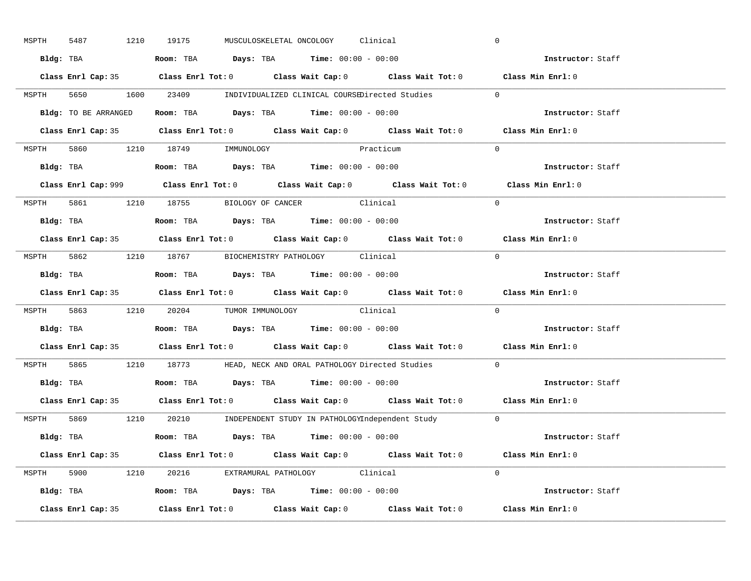| MSPTH | 5487      |                    | 1210 19175                       |  | MUSCULOSKELETAL ONCOLOGY Clinical                                                       |                                                                          | $\overline{0}$                                                                              |
|-------|-----------|--------------------|----------------------------------|--|-----------------------------------------------------------------------------------------|--------------------------------------------------------------------------|---------------------------------------------------------------------------------------------|
|       |           |                    |                                  |  | Bldg: TBA                   Room: TBA         Days: TBA         Time: $00:00 - 00:00$   |                                                                          | Instructor: Staff                                                                           |
|       |           |                    |                                  |  |                                                                                         |                                                                          | Class Enrl Cap: 35 Class Enrl Tot: 0 Class Wait Cap: 0 Class Wait Tot: 0 Class Min Enrl: 0  |
|       |           |                    |                                  |  |                                                                                         | MSPTH 5650 1600 23409 INDIVIDUALIZED CLINICAL COURSEDirected Studies 0   |                                                                                             |
|       |           |                    |                                  |  | Bldg: TO BE ARRANGED Room: TBA Days: TBA Time: 00:00 - 00:00                            |                                                                          | Instructor: Staff                                                                           |
|       |           |                    |                                  |  |                                                                                         |                                                                          | Class Enrl Cap: 35 Class Enrl Tot: 0 Class Wait Cap: 0 Class Wait Tot: 0 Class Min Enrl: 0  |
|       |           |                    | MSPTH 5860 1210 18749 IMMUNOLOGY |  | Practicum                                                                               |                                                                          | $\Omega$                                                                                    |
|       |           |                    |                                  |  | Bldg: TBA                    Room: TBA         Days: TBA        Time: $00:00 - 00:00$   |                                                                          | Instructor: Staff                                                                           |
|       |           |                    |                                  |  |                                                                                         |                                                                          | Class Enrl Cap: 999 Class Enrl Tot: 0 Class Wait Cap: 0 Class Wait Tot: 0 Class Min Enrl: 0 |
|       |           |                    |                                  |  | MSPTH 5861 1210 18755 BIOLOGY OF CANCER Clinical                                        |                                                                          | $\Omega$                                                                                    |
|       |           |                    |                                  |  | Bldg: TBA                    Room: TBA         Days: TBA         Time: $00:00 - 00:00$  |                                                                          | Instructor: Staff                                                                           |
|       |           |                    |                                  |  |                                                                                         |                                                                          | Class Enrl Cap: 35 Class Enrl Tot: 0 Class Wait Cap: 0 Class Wait Tot: 0 Class Min Enrl: 0  |
|       |           |                    |                                  |  | MSPTH 5862 1210 18767 BIOCHEMISTRY PATHOLOGY Clinical                                   |                                                                          | $\Omega$                                                                                    |
|       |           |                    |                                  |  |                                                                                         |                                                                          | Instructor: Staff                                                                           |
|       |           |                    |                                  |  |                                                                                         |                                                                          | Class Enrl Cap: 35 Class Enrl Tot: 0 Class Wait Cap: 0 Class Wait Tot: 0 Class Min Enrl: 0  |
|       |           |                    |                                  |  | MSPTH 5863 1210 20204 TUMOR IMMUNOLOGY Clinical                                         |                                                                          | $\overline{0}$                                                                              |
|       | Bldg: TBA |                    |                                  |  | Room: TBA $\qquad$ Days: TBA $\qquad$ Time: $00:00 - 00:00$                             |                                                                          | <b>Instructor:</b> Staff                                                                    |
|       |           |                    |                                  |  |                                                                                         |                                                                          | Class Enrl Cap: 35 Class Enrl Tot: 0 Class Wait Cap: 0 Class Wait Tot: 0 Class Min Enrl: 0  |
| MSPTH |           |                    |                                  |  |                                                                                         | 5865 1210 18773 HEAD, NECK AND ORAL PATHOLOGY Directed Studies           | $\mathbf{0}$                                                                                |
|       |           |                    |                                  |  | <b>Bldg:</b> TBA <b>Room:</b> TBA <b>Days:</b> TBA <b>Time:</b> 00:00 - 00:00           |                                                                          | Instructor: Staff                                                                           |
|       |           |                    |                                  |  |                                                                                         | Class Enrl Cap: 35 Class Enrl Tot: 0 Class Wait Cap: 0 Class Wait Tot: 0 | Class Min Enrl: 0                                                                           |
|       |           |                    |                                  |  |                                                                                         | MSPTH 5869 1210 20210 INDEPENDENT STUDY IN PATHOLOGYIndependent Study 0  |                                                                                             |
|       |           |                    |                                  |  | Bldg: TBA                    Room: TBA          Days: TBA         Time: $00:00 - 00:00$ |                                                                          | Instructor: Staff                                                                           |
|       |           |                    |                                  |  |                                                                                         |                                                                          | Class Enrl Cap: 35 Class Enrl Tot: 0 Class Wait Cap: 0 Class Wait Tot: 0 Class Min Enrl: 0  |
|       |           |                    |                                  |  | MSPTH 5900 1210 20216 EXTRAMURAL PATHOLOGY Clinical                                     |                                                                          | $\Omega$                                                                                    |
|       |           |                    |                                  |  | Bldg: TBA                    Room: TBA         Days: TBA        Time: $00:00 - 00:00$   |                                                                          | Instructor: Staff                                                                           |
|       |           | Class Enrl Cap: 35 |                                  |  |                                                                                         |                                                                          | Class Enrl Tot: $0$ Class Wait Cap: $0$ Class Wait Tot: $0$ Class Min Enrl: $0$             |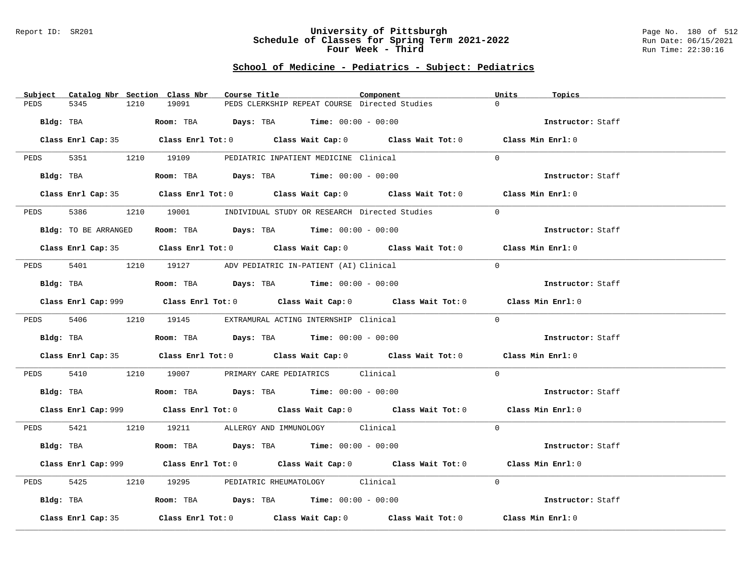#### Report ID: SR201 **University of Pittsburgh** Page No. 180 of 512 **Schedule of Classes for Spring Term 2021-2022** Run Date: 06/15/2021 **Four Week - Third Run Time: 22:30:16**

# **School of Medicine - Pediatrics - Subject: Pediatrics**

| Subject              | Catalog Nbr Section Class Nbr | Course Title                                                                                       | Component | Units<br>Topics   |  |
|----------------------|-------------------------------|----------------------------------------------------------------------------------------------------|-----------|-------------------|--|
| PEDS<br>5345         | 19091<br>1210                 | PEDS CLERKSHIP REPEAT COURSE Directed Studies                                                      |           | $\Omega$          |  |
| Bldg: TBA            |                               | Room: TBA $Days:$ TBA $Time: 00:00 - 00:00$                                                        |           | Instructor: Staff |  |
|                      |                               |                                                                                                    |           |                   |  |
|                      |                               | Class Enrl Cap: 35 Class Enrl Tot: 0 Class Wait Cap: 0 Class Wait Tot: 0 Class Min Enrl: 0         |           |                   |  |
|                      |                               | PEDS 5351 1210 19109 PEDIATRIC INPATIENT MEDICINE Clinical                                         |           | $\Omega$          |  |
| Bldg: TBA            |                               | Room: TBA $Days:$ TBA $Time: 00:00 - 00:00$                                                        |           | Instructor: Staff |  |
|                      |                               | Class Enrl Cap: 35 Class Enrl Tot: 0 Class Wait Cap: 0 Class Wait Tot: 0 Class Min Enrl: 0         |           |                   |  |
| 5386 7<br>PEDS       |                               | 1210 19001 INDIVIDUAL STUDY OR RESEARCH Directed Studies                                           |           | $\Omega$          |  |
| Bldg: TO BE ARRANGED |                               | Room: TBA $\rule{1em}{0.15mm}$ Days: TBA Time: $00:00 - 00:00$                                     |           | Instructor: Staff |  |
|                      |                               | Class Enrl Cap: 35 Class Enrl Tot: 0 Class Wait Cap: 0 Class Wait Tot: 0 Class Min Enrl: 0         |           |                   |  |
| PEDS                 |                               | 5401 1210 19127 ADV PEDIATRIC IN-PATIENT (AI) Clinical                                             |           | $\Omega$          |  |
| Bldg: TBA            |                               | Room: TBA $Days: TBA$ Time: $00:00 - 00:00$                                                        |           | Instructor: Staff |  |
|                      |                               |                                                                                                    |           |                   |  |
|                      |                               | Class Enrl Cap: 999 Class Enrl Tot: 0 Class Wait Cap: 0 Class Wait Tot: 0 Class Min Enrl: 0        |           |                   |  |
|                      |                               | PEDS 5406 1210 19145 EXTRAMURAL ACTING INTERNSHIP Clinical                                         |           | $\Omega$          |  |
|                      |                               | Bldg: TBA                   Room: TBA         Days: TBA        Time: 00:00 - 00:00                 |           | Instructor: Staff |  |
|                      |                               | Class Enrl Cap: 35 Class Enrl Tot: 0 Class Wait Cap: 0 Class Wait Tot: 0 Class Min Enrl: 0         |           |                   |  |
| PEDS                 |                               | 5410 1210 19007 PRIMARY CARE PEDIATRICS Clinical                                                   |           | $\overline{0}$    |  |
|                      |                               | Bldg: TBA                    Room: TBA         Days: TBA         Time: $00:00 - 00:00$             |           | Instructor: Staff |  |
|                      |                               | Class Enrl Cap: 999 Class Enrl Tot: 0 Class Wait Cap: 0 Class Wait Tot: 0 Class Min Enrl: 0        |           |                   |  |
|                      |                               | PEDS 5421 1210 19211 ALLERGY AND IMMUNOLOGY Clinical                                               |           | $\Omega$          |  |
|                      |                               | Bldg: TBA                    Room: TBA         Days: TBA         Time: $00:00 - 00:00$             |           | Instructor: Staff |  |
|                      |                               | Class Enrl Cap: 999 Class Enrl Tot: 0 Class Wait Cap: 0 Class Wait Tot: 0 Class Min Enrl: 0        |           |                   |  |
| 5425<br>PEDS         |                               | 1210 19295 PEDIATRIC RHEUMATOLOGY Clinical                                                         |           | $\Omega$          |  |
|                      |                               | Bldg: TBA                   Room: TBA         Days: TBA         Time: $00:00 - 00:00$              |           | Instructor: Staff |  |
| Class Enrl Cap: 35   |                               | Class Enrl Tot: 0 $\qquad$ Class Wait Cap: 0 $\qquad$ Class Wait Tot: 0 $\qquad$ Class Min Enrl: 0 |           |                   |  |
|                      |                               |                                                                                                    |           |                   |  |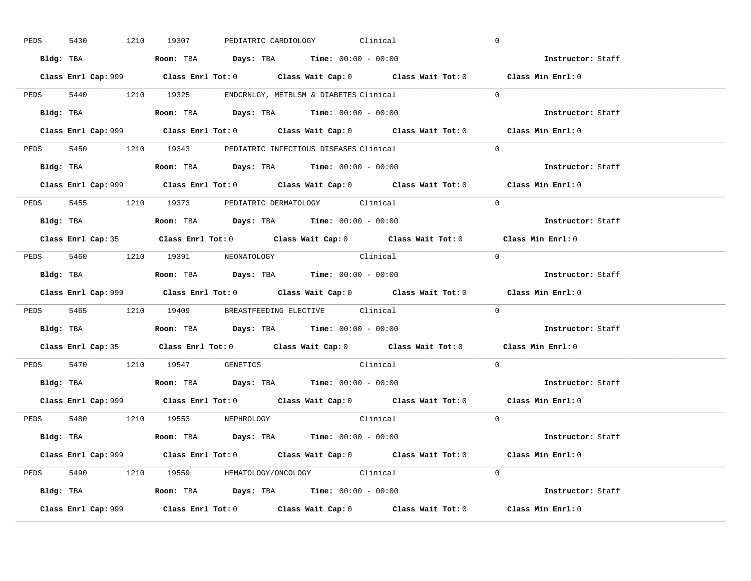| PEDS | 5430      |           | 1210 19307                                                                             |  | PEDIATRIC CARDIOLOGY Clinical |                                                                                             | $\overline{0}$    |                   |
|------|-----------|-----------|----------------------------------------------------------------------------------------|--|-------------------------------|---------------------------------------------------------------------------------------------|-------------------|-------------------|
|      |           |           | Bldg: TBA                   Room: TBA         Days: TBA         Time: $00:00 - 00:00$  |  |                               |                                                                                             | Instructor: Staff |                   |
|      |           |           |                                                                                        |  |                               | Class Enrl Cap: 999 Class Enrl Tot: 0 Class Wait Cap: 0 Class Wait Tot: 0 Class Min Enrl: 0 |                   |                   |
|      |           |           | PEDS 5440 1210 19325 ENDCRNLGY, METBLSM & DIABETES Clinical                            |  |                               |                                                                                             | $\Omega$          |                   |
|      |           | Bldg: TBA | Room: TBA $Days:$ TBA $Time: 00:00 - 00:00$                                            |  |                               |                                                                                             |                   | Instructor: Staff |
|      |           |           |                                                                                        |  |                               | Class Enrl Cap: 999 Class Enrl Tot: 0 Class Wait Cap: 0 Class Wait Tot: 0 Class Min Enrl: 0 |                   |                   |
|      |           |           | PEDS 5450 1210 19343 PEDIATRIC INFECTIOUS DISEASES Clinical                            |  |                               |                                                                                             | $\Omega$          |                   |
|      |           |           | Bldg: TBA                    Room: TBA         Days: TBA        Time: $00:00 - 00:00$  |  |                               |                                                                                             |                   | Instructor: Staff |
|      |           |           |                                                                                        |  |                               | Class Enrl Cap: 999 Class Enrl Tot: 0 Class Wait Cap: 0 Class Wait Tot: 0 Class Min Enrl: 0 |                   |                   |
|      |           |           | PEDS 5455 1210 19373 PEDIATRIC DERMATOLOGY Clinical                                    |  |                               |                                                                                             | $\Omega$          |                   |
|      |           |           | Bldg: TBA                    Room: TBA         Days: TBA         Time: $00:00 - 00:00$ |  |                               |                                                                                             |                   | Instructor: Staff |
|      |           |           |                                                                                        |  |                               | Class Enrl Cap: 35 Class Enrl Tot: 0 Class Wait Cap: 0 Class Wait Tot: 0 Class Min Enrl: 0  |                   |                   |
|      |           |           | PEDS 5460 1210 19391 NEONATOLOGY                                                       |  |                               | Clinical                                                                                    | $\bigcirc$        |                   |
|      |           |           |                                                                                        |  |                               |                                                                                             |                   | Instructor: Staff |
|      |           |           |                                                                                        |  |                               |                                                                                             |                   |                   |
|      |           |           |                                                                                        |  |                               | Class Enrl Cap: 999 Class Enrl Tot: 0 Class Wait Cap: 0 Class Wait Tot: 0 Class Min Enrl: 0 |                   |                   |
|      |           |           | PEDS 5465 1210 19409 BREASTFEEDING ELECTIVE Clinical                                   |  |                               |                                                                                             | $\mathbf{0}$      |                   |
|      | Bldg: TBA |           | Room: TBA $\rule{1em}{0.15mm}$ Days: TBA Time: $00:00 - 00:00$                         |  |                               |                                                                                             |                   | Instructor: Staff |
|      |           |           |                                                                                        |  |                               | Class Enrl Cap: 35 Class Enrl Tot: 0 Class Wait Cap: 0 Class Wait Tot: 0 Class Min Enrl: 0  |                   |                   |
|      |           |           | PEDS 5470 1210 19547 GENETICS                                                          |  |                               | Clinical                                                                                    | $\Omega$          |                   |
|      |           |           | Bldg: TBA                    Room: TBA         Days: TBA         Time: $00:00 - 00:00$ |  |                               |                                                                                             |                   | Instructor: Staff |
|      |           |           |                                                                                        |  |                               | Class Enrl Cap: 999 Class Enrl Tot: 0 Class Wait Cap: 0 Class Wait Tot: 0 Class Min Enrl: 0 |                   |                   |
|      |           |           | PEDS 5480 1210 19553 NEPHROLOGY                                                        |  |                               | Clinical                                                                                    | $\Omega$          |                   |
|      |           |           | Bldg: TBA                   Room: TBA         Days: TBA         Time: 00:00 - 00:00    |  |                               |                                                                                             |                   | Instructor: Staff |
|      |           |           |                                                                                        |  |                               | Class Enrl Cap: 999 Class Enrl Tot: 0 Class Wait Cap: 0 Class Wait Tot: 0 Class Min Enrl: 0 |                   |                   |
|      |           |           | PEDS 5490 1210 19559 HEMATOLOGY/ONCOLOGY Clinical                                      |  |                               |                                                                                             | $\Omega$          |                   |
|      |           |           | <b>Bldg:</b> TBA <b>ROOM:</b> TBA <b>Days:</b> TBA <b>Time:</b> $00:00 - 00:00$        |  |                               |                                                                                             |                   | Instructor: Staff |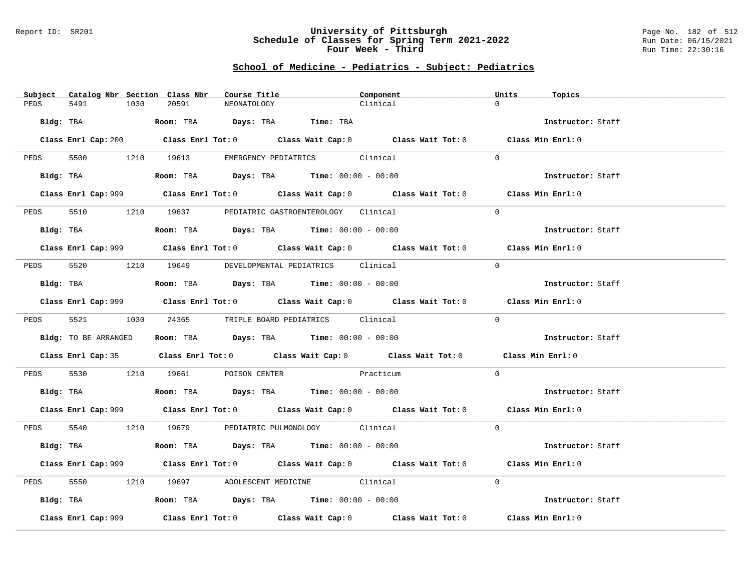### Report ID: SR201 **University of Pittsburgh** Page No. 182 of 512 **Schedule of Classes for Spring Term 2021-2022** Run Date: 06/15/2021 **Four Week - Third Run Time: 22:30:16**

# **School of Medicine - Pediatrics - Subject: Pediatrics**

| Subject              | Catalog Nbr Section Class Nbr | Course Title                                                                               | Component | Units<br>Topics                                                                             |  |
|----------------------|-------------------------------|--------------------------------------------------------------------------------------------|-----------|---------------------------------------------------------------------------------------------|--|
| 5491<br>PEDS         | 1030<br>20591                 | NEONATOLOGY                                                                                | Clinical  | $\Omega$                                                                                    |  |
| Bldg: TBA            |                               | Room: TBA Days: TBA Time: TBA                                                              |           | Instructor: Staff                                                                           |  |
|                      |                               |                                                                                            |           | Class Enrl Cap: 200 Class Enrl Tot: 0 Class Wait Cap: 0 Class Wait Tot: 0 Class Min Enrl: 0 |  |
|                      |                               |                                                                                            |           |                                                                                             |  |
|                      |                               | PEDS 5500 1210 19613 EMERGENCY PEDIATRICS Clinical                                         |           | $\Omega$                                                                                    |  |
| Bldg: TBA            |                               | Room: TBA $Days:$ TBA $Time: 00:00 - 00:00$                                                |           | Instructor: Staff                                                                           |  |
|                      |                               |                                                                                            |           | Class Enrl Cap: 999 Class Enrl Tot: 0 Class Wait Cap: 0 Class Wait Tot: 0 Class Min Enrl: 0 |  |
| PEDS<br>5510         |                               | 1210 19637 PEDIATRIC GASTROENTEROLOGY Clinical                                             |           | $\Omega$                                                                                    |  |
| Bldg: TBA            |                               | Room: TBA $Days:$ TBA $Time: 00:00 - 00:00$                                                |           | Instructor: Staff                                                                           |  |
|                      |                               |                                                                                            |           | Class Enrl Cap: 999 Class Enrl Tot: 0 Class Wait Cap: 0 Class Wait Tot: 0 Class Min Enrl: 0 |  |
|                      |                               | PEDS 5520 1210 19649 DEVELOPMENTAL PEDIATRICS Clinical                                     |           | $\Omega$                                                                                    |  |
| Bldg: TBA            |                               | Room: TBA $Days:$ TBA $Time: 00:00 - 00:00$                                                |           | Instructor: Staff                                                                           |  |
|                      |                               |                                                                                            |           | Class Enrl Cap: 999 Class Enrl Tot: 0 Class Wait Cap: 0 Class Wait Tot: 0 Class Min Enrl: 0 |  |
|                      |                               | PEDS 5521 1030 24365 TRIPLE BOARD PEDIATRICS Clinical                                      |           | $\Omega$                                                                                    |  |
| Bldg: TO BE ARRANGED |                               | Room: TBA Days: TBA Time: $00:00 - 00:00$                                                  |           | Instructor: Staff                                                                           |  |
|                      |                               | Class Enrl Cap: 35 Class Enrl Tot: 0 Class Wait Cap: 0 Class Wait Tot: 0 Class Min Enrl: 0 |           |                                                                                             |  |
| PEDS                 |                               | 5530 1210 19661 POISON CENTER Practicum                                                    |           | $\Omega$                                                                                    |  |
| Bldg: TBA            |                               | Room: TBA $Days: TBA$ Time: $00:00 - 00:00$                                                |           | Instructor: Staff                                                                           |  |
|                      |                               |                                                                                            |           | Class Enrl Cap: 999 Class Enrl Tot: 0 Class Wait Cap: 0 Class Wait Tot: 0 Class Min Enrl: 0 |  |
|                      |                               | PEDS 5540 1210 19679 PEDIATRIC PULMONOLOGY Clinical                                        |           | $\Omega$                                                                                    |  |
|                      |                               | Bldg: TBA                   Room: TBA         Days: TBA         Time: 00:00 - 00:00        |           | Instructor: Staff                                                                           |  |
|                      |                               |                                                                                            |           | Class Enrl Cap: 999 Class Enrl Tot: 0 Class Wait Cap: 0 Class Wait Tot: 0 Class Min Enrl: 0 |  |
| 5550<br>PEDS         |                               | 1210 19697 ADOLESCENT MEDICINE Clinical                                                    |           | $\Omega$                                                                                    |  |
|                      |                               | Bldg: TBA                   Room: TBA        Days: TBA        Time: 00:00 - 00:00          |           | Instructor: Staff                                                                           |  |
| Class Enrl Cap: 999  |                               |                                                                                            |           | Class Enrl Tot: $0$ Class Wait Cap: $0$ Class Wait Tot: $0$ Class Min Enrl: $0$             |  |
|                      |                               |                                                                                            |           |                                                                                             |  |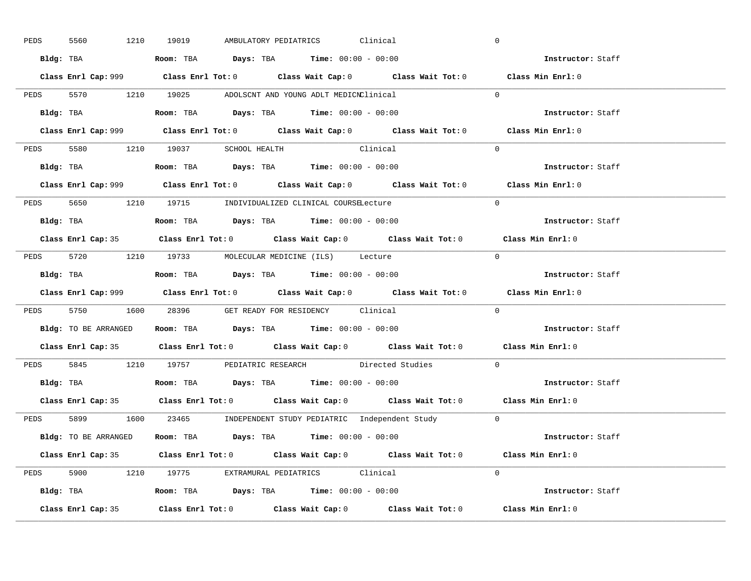| PEDS | 5560      | 1210 19019                                                                                     |  | AMBULATORY PEDIATRICS Clinical |                                                                      | $\overline{0}$                                                                              |  |
|------|-----------|------------------------------------------------------------------------------------------------|--|--------------------------------|----------------------------------------------------------------------|---------------------------------------------------------------------------------------------|--|
|      |           | Bldg: TBA                   Room: TBA         Days: TBA         Time: $00:00 - 00:00$          |  |                                |                                                                      | Instructor: Staff                                                                           |  |
|      |           |                                                                                                |  |                                |                                                                      | Class Enrl Cap: 999 Class Enrl Tot: 0 Class Wait Cap: 0 Class Wait Tot: 0 Class Min Enrl: 0 |  |
|      |           | PEDS 5570 1210 19025 ADOLSCNT AND YOUNG ADLT MEDICNClinical                                    |  |                                |                                                                      | $\overline{0}$                                                                              |  |
|      | Bldg: TBA | Room: TBA $\rule{1em}{0.15mm}$ Days: TBA $\rule{1.5mm}{0.15mm}$ Time: $00:00 - 00:00$          |  |                                |                                                                      | Instructor: Staff                                                                           |  |
|      |           |                                                                                                |  |                                |                                                                      | Class Enrl Cap: 999 Class Enrl Tot: 0 Class Wait Cap: 0 Class Wait Tot: 0 Class Min Enrl: 0 |  |
|      |           | PEDS 5580 1210 19037 SCHOOL HEALTH Clinical                                                    |  |                                |                                                                      | $\Omega$                                                                                    |  |
|      |           | Bldg: TBA                   Room: TBA         Days: TBA         Time: $00:00 - 00:00$          |  |                                |                                                                      | Instructor: Staff                                                                           |  |
|      |           |                                                                                                |  |                                |                                                                      | Class Enrl Cap: 999 Class Enrl Tot: 0 Class Wait Cap: 0 Class Wait Tot: 0 Class Min Enrl: 0 |  |
|      |           | PEDS 5650 1210 19715 INDIVIDUALIZED CLINICAL COURSELecture                                     |  |                                |                                                                      | $\Omega$                                                                                    |  |
|      |           | Bldg: TBA                   Room: TBA         Days: TBA         Time: $00:00 - 00:00$          |  |                                |                                                                      | Instructor: Staff                                                                           |  |
|      |           |                                                                                                |  |                                |                                                                      | Class Enrl Cap: 35 Class Enrl Tot: 0 Class Wait Cap: 0 Class Wait Tot: 0 Class Min Enrl: 0  |  |
|      |           | PEDS 5720 1210 19733 MOLECULAR MEDICINE (ILS) Lecture                                          |  |                                |                                                                      | $\bigcirc$                                                                                  |  |
|      |           |                                                                                                |  |                                |                                                                      | Instructor: Staff                                                                           |  |
|      |           |                                                                                                |  |                                |                                                                      | Class Enrl Cap: 999 Class Enrl Tot: 0 Class Wait Cap: 0 Class Wait Tot: 0 Class Min Enrl: 0 |  |
|      |           |                                                                                                |  |                                |                                                                      |                                                                                             |  |
|      |           | PEDS 5750 1600 28396 GET READY FOR RESIDENCY Clinical                                          |  |                                |                                                                      | $\Omega$                                                                                    |  |
|      |           | <b>Bldg:</b> TO BE ARRANGED <b>ROOM:</b> TBA <b>Days:</b> TBA <b>Time:</b> $00:00 - 00:00$     |  |                                |                                                                      | <b>Instructor:</b> Staff                                                                    |  |
|      |           |                                                                                                |  |                                |                                                                      | Class Enrl Cap: 35 Class Enrl Tot: 0 Class Wait Cap: 0 Class Wait Tot: 0 Class Min Enrl: 0  |  |
|      |           |                                                                                                |  |                                | PEDS 5845 1210 19757 PEDIATRIC RESEARCH Directed Studies             | $\mathbf{0}$                                                                                |  |
|      |           | Bldg: TBA                          Room: TBA          Days: TBA          Time: $00:00 - 00:00$ |  |                                |                                                                      | Instructor: Staff                                                                           |  |
|      |           |                                                                                                |  |                                |                                                                      | Class Enrl Cap: 35 Class Enrl Tot: 0 Class Wait Cap: 0 Class Wait Tot: 0 Class Min Enrl: 0  |  |
|      |           |                                                                                                |  |                                | PEDS 5899 1600 23465 INDEPENDENT STUDY PEDIATRIC Independent Study 0 |                                                                                             |  |
|      |           | Bldg: TO BE ARRANGED Room: TBA Days: TBA Time: 00:00 - 00:00                                   |  |                                |                                                                      | <b>Instructor:</b> Staff                                                                    |  |
|      |           |                                                                                                |  |                                |                                                                      | Class Enrl Cap: 35 Class Enrl Tot: 0 Class Wait Cap: 0 Class Wait Tot: 0 Class Min Enrl: 0  |  |
|      |           | PEDS 5900 1210 19775 EXTRAMURAL PEDIATRICS Clinical                                            |  |                                |                                                                      | $\Omega$                                                                                    |  |
|      |           | Bldg: TBA                    Room: TBA         Days: TBA        Time: $00:00 - 00:00$          |  |                                |                                                                      | Instructor: Staff                                                                           |  |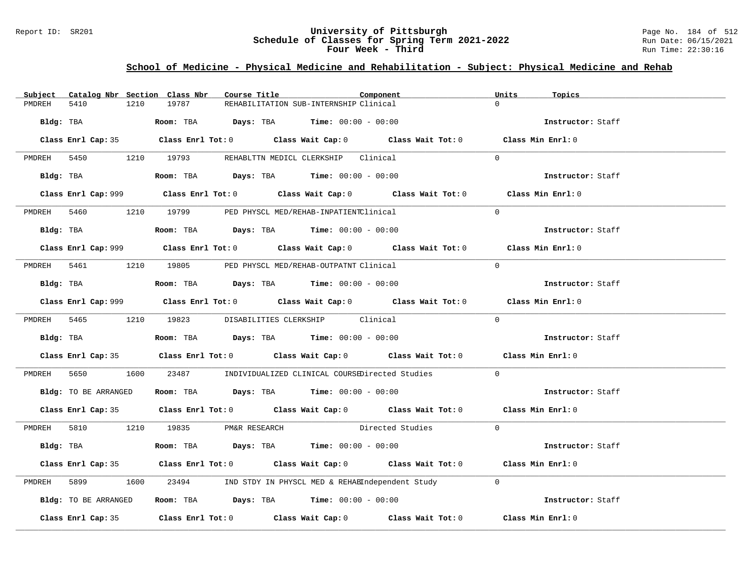### Report ID: SR201 **University of Pittsburgh** Page No. 184 of 512 **Schedule of Classes for Spring Term 2021-2022** Run Date: 06/15/2021 **Four Week - Third Run Time: 22:30:16**

# **School of Medicine - Physical Medicine and Rehabilitation - Subject: Physical Medicine and Rehab**

| Subject     |                                      |      | Catalog Nbr Section Class Nbr | Course Title |                                                                                                  | Component                                                                                  | Units    | Topics            |
|-------------|--------------------------------------|------|-------------------------------|--------------|--------------------------------------------------------------------------------------------------|--------------------------------------------------------------------------------------------|----------|-------------------|
| PMDREH      | 5410                                 | 1210 | 19787                         |              | REHABILITATION SUB-INTERNSHIP Clinical                                                           |                                                                                            |          |                   |
|             |                                      |      |                               |              | Bldg: TBA                       Room: TBA         Days: TBA         Time: 00:00 - 00:00          |                                                                                            |          | Instructor: Staff |
|             |                                      |      |                               |              |                                                                                                  | Class Enrl Cap: 35 Class Enrl Tot: 0 Class Wait Cap: 0 Class Wait Tot: 0 Class Min Enrl: 0 |          |                   |
|             |                                      |      |                               |              | PMDREH 5450 1210 19793 REHABLTTN MEDICL CLERKSHIP Clinical                                       |                                                                                            | $\Omega$ |                   |
|             | Bldg: TBA                            |      |                               |              | Room: TBA $Days:$ TBA $Time: 00:00 - 00:00$                                                      |                                                                                            |          | Instructor: Staff |
|             |                                      |      |                               |              |                                                                                                  |                                                                                            |          | Class Min Enrl: 0 |
|             |                                      |      |                               |              | PMDREH 5460 1210 19799 PED PHYSCL MED/REHAB-INPATIENTClinical                                    |                                                                                            | $\Omega$ |                   |
|             |                                      |      |                               |              | <b>Bldg:</b> TBA <b>Room:</b> TBA <b>Days:</b> TBA <b>Time:</b> $00:00 - 00:00$                  |                                                                                            |          | Instructor: Staff |
|             |                                      |      |                               |              |                                                                                                  |                                                                                            |          | Class Min Enrl: 0 |
| PMDREH 5461 |                                      |      |                               |              | 1210 19805 PED PHYSCL MED/REHAB-OUTPATNT Clinical                                                |                                                                                            | $\Omega$ |                   |
|             |                                      |      |                               |              | Bldg: TBA                   Room: TBA         Days: TBA         Time: $00:00 - 00:00$            |                                                                                            |          | Instructor: Staff |
|             |                                      |      |                               |              |                                                                                                  | Class Enrl Cap: 999 Class Enrl Tot: 0 Class Wait Cap: 0 Class Wait Tot: 0                  |          | Class Min Enrl: 0 |
|             |                                      |      |                               |              | PMDREH 5465 1210 19823 DISABILITIES CLERKSHIP Clinical                                           |                                                                                            | $\Omega$ |                   |
|             |                                      |      |                               |              | Bldg: TBA                      Room: TBA         Days: TBA         Time: 00:00 - 00:00           |                                                                                            |          | Instructor: Staff |
|             |                                      |      |                               |              |                                                                                                  | Class Enrl Cap: 35 Class Enrl Tot: 0 Class Wait Cap: 0 Class Wait Tot: 0 Class Min Enrl: 0 |          |                   |
|             | PMDREH 5650                          |      |                               |              |                                                                                                  | 1600 23487 INDIVIDUALIZED CLINICAL COURSEDirected Studies                                  | $\Omega$ |                   |
|             |                                      |      |                               |              | Bldg: TO BE ARRANGED Room: TBA Days: TBA Time: 00:00 - 00:00                                     |                                                                                            |          | Instructor: Staff |
|             |                                      |      |                               |              |                                                                                                  | Class Enrl Cap: 35 Class Enrl Tot: 0 Class Wait Cap: 0 Class Wait Tot: 0 Class Min Enrl: 0 |          |                   |
|             | PMDREH 5810 1210 19835 PM&R RESEARCH |      |                               |              |                                                                                                  | Directed Studies                                                                           | $\Omega$ |                   |
|             |                                      |      |                               |              | Bldg: TBA                         Room: TBA            Days: TBA           Time: $00:00 - 00:00$ |                                                                                            |          | Instructor: Staff |
|             |                                      |      |                               |              |                                                                                                  | Class Enrl Cap: 35 Class Enrl Tot: 0 Class Wait Cap: 0 Class Wait Tot: 0 Class Min Enrl: 0 |          |                   |
| PMDREH      | 5899 7                               |      |                               |              |                                                                                                  | 1600 23494 IND STDY IN PHYSCL MED & REHABIndependent Study                                 | $\Omega$ |                   |
|             | Bldg: TO BE ARRANGED                 |      |                               |              | <b>Room:</b> TBA $\rule{1em}{0.15mm}$ <b>Days:</b> TBA <b>Time:</b> $00:00 - 00:00$              |                                                                                            |          | Instructor: Staff |
|             |                                      |      |                               |              |                                                                                                  | Class Enrl Cap: 35 Class Enrl Tot: 0 Class Wait Cap: 0 Class Wait Tot: 0 Class Min Enrl: 0 |          |                   |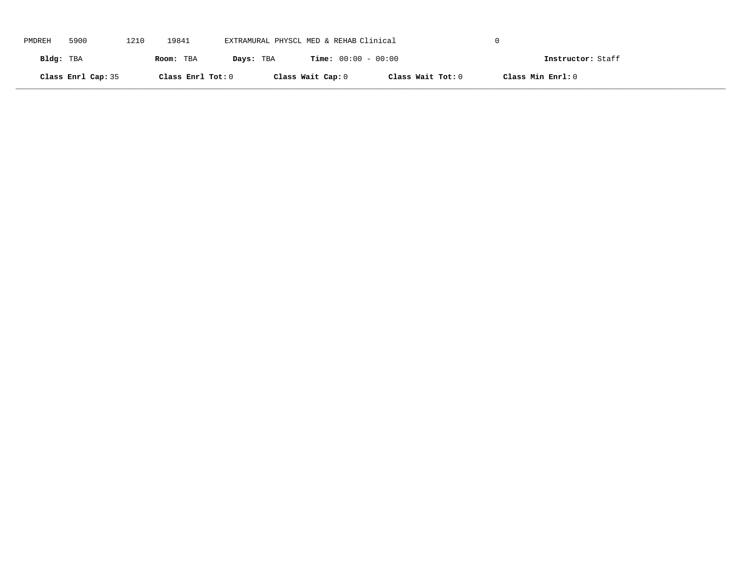| PMDREH    | 5900               | 1210 | 19841             | EXTRAMURAL PHYSCL MED & REHAB Clinical |                              |                   |                   |  |
|-----------|--------------------|------|-------------------|----------------------------------------|------------------------------|-------------------|-------------------|--|
| Bldg: TBA |                    |      | Room: TBA         | Days: TBA                              | <b>Time:</b> $00:00 - 00:00$ |                   | Instructor: Staff |  |
|           | Class Enrl Cap: 35 |      | Class Enrl Tot: 0 |                                        | Class Wait Cap: 0            | Class Wait Tot: 0 | Class Min Enrl: 0 |  |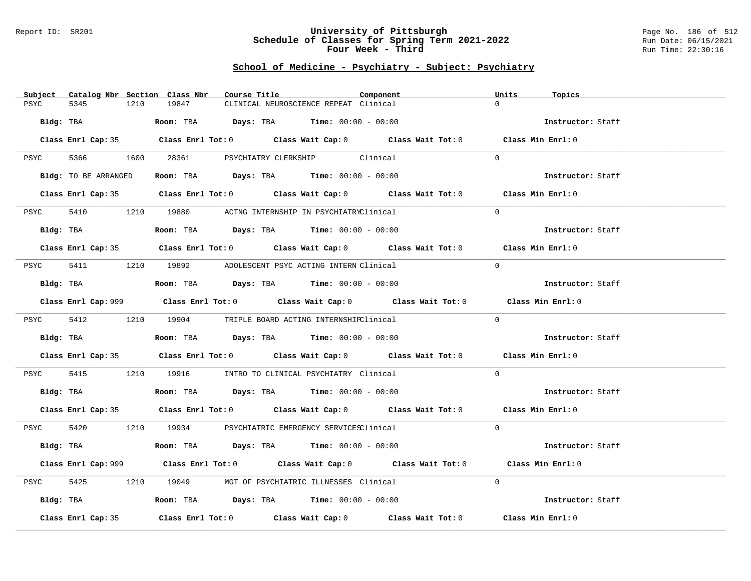### Report ID: SR201 **University of Pittsburgh** Page No. 186 of 512 **Schedule of Classes for Spring Term 2021-2022** Run Date: 06/15/2021 **Four Week - Third Run Time: 22:30:16**

| Catalog Nbr Section Class Nbr<br>Subject                                                                       | Course Title                                                                                       | Component | Units<br>Topics   |
|----------------------------------------------------------------------------------------------------------------|----------------------------------------------------------------------------------------------------|-----------|-------------------|
| 5345<br>PSYC<br>1210                                                                                           | 19847<br>CLINICAL NEUROSCIENCE REPEAT Clinical                                                     |           | $\Omega$          |
| Bldg: TBA                                                                                                      | Room: TBA $\rule{1em}{0.15mm}$ Days: TBA Time: $00:00 - 00:00$                                     |           | Instructor: Staff |
|                                                                                                                | Class Enrl Cap: 35 Class Enrl Tot: 0 Class Wait Cap: 0 Class Wait Tot: 0 Class Min Enrl: 0         |           |                   |
|                                                                                                                | PSYC 5366 1600 28361 PSYCHIATRY CLERKSHIP Clinical                                                 |           | $\Omega$          |
| Bldg: TO BE ARRANGED                                                                                           | Room: TBA $Days:$ TBA $Time: 00:00 - 00:00$                                                        |           | Instructor: Staff |
|                                                                                                                | Class Enrl Cap: 35 Class Enrl Tot: 0 Class Wait Cap: 0 Class Wait Tot: 0 Class Min Enrl: 0         |           |                   |
| PSYC                                                                                                           | 5410 1210 19880 ACTNG INTERNSHIP IN PSYCHIATRYClinical                                             |           | $\Omega$          |
| Bldg: TBA and the state of the state of the state of the state of the state of the state of the state of the s | Room: TBA $Days:$ TBA $Time: 00:00 - 00:00$                                                        |           | Instructor: Staff |
|                                                                                                                | Class Enrl Cap: 35 Class Enrl Tot: 0 Class Wait Cap: 0 Class Wait Tot: 0 Class Min Enrl: 0         |           |                   |
|                                                                                                                | PSYC 5411 1210 19892 ADOLESCENT PSYC ACTING INTERN Clinical                                        |           | $\Omega$          |
| Bldg: TBA                                                                                                      | Room: TBA $Days:$ TBA $Time: 00:00 - 00:00$                                                        |           | Instructor: Staff |
|                                                                                                                | Class Enrl Cap: 999 Class Enrl Tot: 0 Class Wait Cap: 0 Class Wait Tot: 0 Class Min Enrl: 0        |           |                   |
|                                                                                                                | PSYC 5412 1210 19904 TRIPLE BOARD ACTING INTERNSHIPClinical                                        |           | $\Omega$          |
| Bldg: TBA                                                                                                      | Room: TBA $Days:$ TBA Time: $00:00 - 00:00$                                                        |           | Instructor: Staff |
|                                                                                                                | Class Enrl Cap: 35 Class Enrl Tot: 0 Class Wait Cap: 0 Class Wait Tot: 0 Class Min Enrl: 0         |           |                   |
| PSYC                                                                                                           | 5415 1210 19916 INTRO TO CLINICAL PSYCHIATRY Clinical                                              |           | $\Omega$          |
| Bldg: TBA                                                                                                      | Room: TBA $Days:$ TBA Time: $00:00 - 00:00$                                                        |           | Instructor: Staff |
|                                                                                                                | Class Enrl Cap: 35 Class Enrl Tot: 0 Class Wait Cap: 0 Class Wait Tot: 0 Class Min Enrl: 0         |           |                   |
|                                                                                                                | PSYC 5420 1210 19934 PSYCHIATRIC EMERGENCY SERVICESClinical                                        |           | $\Omega$          |
|                                                                                                                | Bldg: TBA                    Room: TBA         Days: TBA        Time: $00:00 - 00:00$              |           | Instructor: Staff |
|                                                                                                                | Class Enrl Cap: 999 Class Enrl Tot: 0 Class Wait Cap: 0 Class Wait Tot: 0 Class Min Enrl: 0        |           |                   |
| 5425<br>PSYC                                                                                                   | 1210 19049 MGT OF PSYCHIATRIC ILLNESSES Clinical                                                   |           | $\Omega$          |
| Bldg: TBA                                                                                                      | Room: TBA $\rule{1em}{0.15mm}$ Days: TBA $\rule{1.5mm}{0.15mm}$ Time: $00:00 - 00:00$              |           | Instructor: Staff |
| Class Enrl Cap: 35                                                                                             | Class Enrl Tot: 0 $\qquad$ Class Wait Cap: 0 $\qquad$ Class Wait Tot: 0 $\qquad$ Class Min Enrl: 0 |           |                   |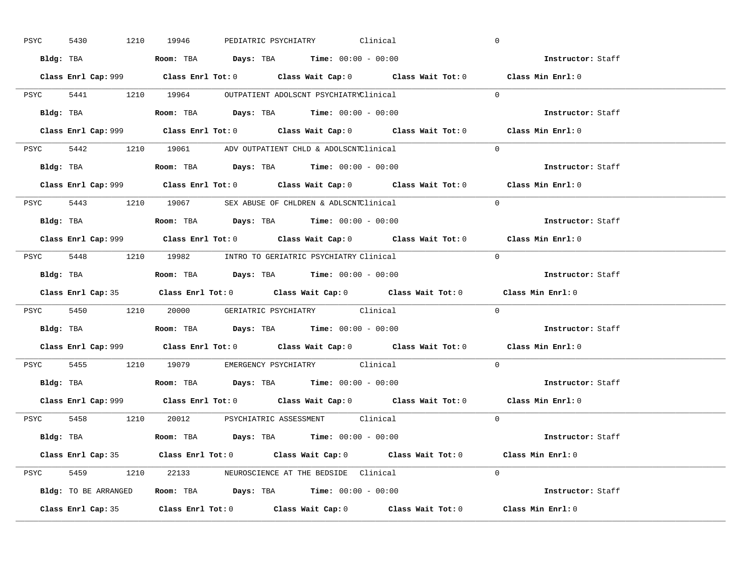| PSYC | 5430 |           | 1210 19946                                                                             |  | PEDIATRIC PSYCHIATRY Clinical |                                                                                             | $\overline{0}$ |                          |  |
|------|------|-----------|----------------------------------------------------------------------------------------|--|-------------------------------|---------------------------------------------------------------------------------------------|----------------|--------------------------|--|
|      |      |           | Bldg: TBA                   Room: TBA         Days: TBA         Time: $00:00 - 00:00$  |  |                               |                                                                                             |                | Instructor: Staff        |  |
|      |      |           |                                                                                        |  |                               | Class Enrl Cap: 999 Class Enrl Tot: 0 Class Wait Cap: 0 Class Wait Tot: 0 Class Min Enrl: 0 |                |                          |  |
|      |      |           | PSYC 5441 1210 19964 OUTPATIENT ADOLSCNT PSYCHIATRYClinical                            |  |                               |                                                                                             | $\Omega$       |                          |  |
|      |      | Bldg: TBA | <b>Room:</b> TBA <b>Days:</b> TBA <b>Time:</b> 00:00 - 00:00                           |  |                               |                                                                                             |                | Instructor: Staff        |  |
|      |      |           |                                                                                        |  |                               | Class Enrl Cap: 999 Class Enrl Tot: 0 Class Wait Cap: 0 Class Wait Tot: 0 Class Min Enrl: 0 |                |                          |  |
|      |      |           | PSYC 5442 1210 19061 ADV OUTPATIENT CHLD & ADOLSCNTClinical                            |  |                               |                                                                                             | $\Omega$       |                          |  |
|      |      |           | Bldg: TBA                    Room: TBA         Days: TBA        Time: $00:00 - 00:00$  |  |                               |                                                                                             |                | Instructor: Staff        |  |
|      |      |           |                                                                                        |  |                               | Class Enrl Cap: 999 Class Enrl Tot: 0 Class Wait Cap: 0 Class Wait Tot: 0 Class Min Enrl: 0 |                |                          |  |
|      |      |           | PSYC 5443 1210 19067 SEX ABUSE OF CHLDREN & ADLSCNTClinical                            |  |                               |                                                                                             | $\Omega$       |                          |  |
|      |      |           |                                                                                        |  |                               |                                                                                             |                | Instructor: Staff        |  |
|      |      |           |                                                                                        |  |                               | Class Enrl Cap: 999 Class Enrl Tot: 0 Class Wait Cap: 0 Class Wait Tot: 0 Class Min Enrl: 0 |                |                          |  |
|      |      |           | PSYC 5448 1210 19982 INTRO TO GERIATRIC PSYCHIATRY Clinical                            |  |                               |                                                                                             | $\Omega$       |                          |  |
|      |      |           |                                                                                        |  |                               |                                                                                             |                | Instructor: Staff        |  |
|      |      |           |                                                                                        |  |                               |                                                                                             |                |                          |  |
|      |      |           |                                                                                        |  |                               | Class Enrl Cap: 35 Class Enrl Tot: 0 Class Wait Cap: 0 Class Wait Tot: 0 Class Min Enrl: 0  |                |                          |  |
|      |      |           | PSYC 5450 1210 20000 GERIATRIC PSYCHIATRY Clinical                                     |  |                               |                                                                                             | $\overline{0}$ |                          |  |
|      |      |           | Bldg: TBA                   Room: TBA         Days: TBA         Time: $00:00 - 00:00$  |  |                               |                                                                                             |                | <b>Instructor:</b> Staff |  |
|      |      |           |                                                                                        |  |                               | Class Enrl Cap: 999 Class Enrl Tot: 0 Class Wait Cap: 0 Class Wait Tot: 0 Class Min Enrl: 0 |                |                          |  |
|      |      |           | PSYC 5455 1210 19079 EMERGENCY PSYCHIATRY Clinical                                     |  |                               |                                                                                             | $\Omega$       |                          |  |
|      |      |           | Bldg: TBA                    Room: TBA         Days: TBA         Time: $00:00 - 00:00$ |  |                               |                                                                                             |                | Instructor: Staff        |  |
|      |      |           |                                                                                        |  |                               | Class Enrl Cap: 999 Class Enrl Tot: 0 Class Wait Cap: 0 Class Wait Tot: 0 Class Min Enrl: 0 |                |                          |  |
|      |      |           | PSYC 5458 1210 20012 PSYCHIATRIC ASSESSMENT Clinical                                   |  |                               |                                                                                             | $\Omega$       |                          |  |
|      |      |           | Bldg: TBA                   Room: TBA         Days: TBA        Time: 00:00 - 00:00     |  |                               |                                                                                             |                | Instructor: Staff        |  |
|      |      |           |                                                                                        |  |                               | Class Enrl Cap: 35 Class Enrl Tot: 0 Class Wait Cap: 0 Class Wait Tot: 0 Class Min Enrl: 0  |                |                          |  |
|      |      |           | PSYC 5459 1210 22133 NEUROSCIENCE AT THE BEDSIDE Clinical                              |  |                               |                                                                                             | $\Omega$       |                          |  |
|      |      |           | Bldg: TO BE ARRANGED Room: TBA Days: TBA Time: 00:00 - 00:00                           |  |                               |                                                                                             |                | Instructor: Staff        |  |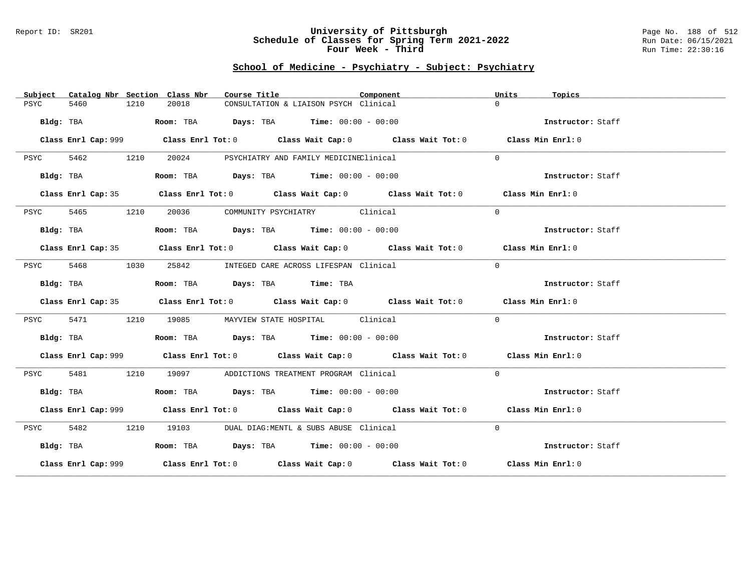#### Report ID: SR201 **University of Pittsburgh** Page No. 188 of 512 **Schedule of Classes for Spring Term 2021-2022** Run Date: 06/15/2021 **Four Week - Third Run Time: 22:30:16**

| Subject   |           |      | Catalog Nbr Section Class Nbr                                           | Course Title |                                             | Component                                                                                   | Units    | Topics            |
|-----------|-----------|------|-------------------------------------------------------------------------|--------------|---------------------------------------------|---------------------------------------------------------------------------------------------|----------|-------------------|
| PSYC      | 5460      | 1210 | 20018                                                                   |              | CONSULTATION & LIAISON PSYCH Clinical       |                                                                                             | $\Omega$ |                   |
|           | Bldg: TBA |      | Room: TBA $\rule{1em}{0.15mm}$ Days: TBA Time: $00:00 - 00:00$          |              |                                             |                                                                                             |          | Instructor: Staff |
|           |           |      |                                                                         |              |                                             | Class Enrl Cap: 999 Class Enrl Tot: 0 Class Wait Cap: 0 Class Wait Tot: 0 Class Min Enrl: 0 |          |                   |
| PSYC      | 5462 1210 |      | 20024                                                                   |              | PSYCHIATRY AND FAMILY MEDICINEClinical      |                                                                                             | $\Omega$ |                   |
|           | Bldg: TBA |      | Room: TBA $\rule{1em}{0.15mm}$ Days: TBA $\qquad$ Time: $00:00 - 00:00$ |              |                                             |                                                                                             |          | Instructor: Staff |
|           |           |      |                                                                         |              |                                             | Class Enrl Cap: 35 Class Enrl Tot: 0 Class Wait Cap: 0 Class Wait Tot: 0 Class Min Enrl: 0  |          |                   |
| PSYC      | 5465      | 1210 |                                                                         |              | 20036 COMMUNITY PSYCHIATRY Clinical         |                                                                                             | $\Omega$ |                   |
|           | Bldg: TBA |      | Room: TBA $\rule{1em}{0.15mm}$ Days: TBA Time: $00:00 - 00:00$          |              |                                             |                                                                                             |          | Instructor: Staff |
|           |           |      |                                                                         |              |                                             | Class Enrl Cap: 35 Class Enrl Tot: 0 Class Wait Cap: 0 Class Wait Tot: 0 Class Min Enrl: 0  |          |                   |
| PSYC      | 5468      | 1030 |                                                                         |              | 25842 INTEGED CARE ACROSS LIFESPAN Clinical |                                                                                             | $\Omega$ |                   |
|           | Bldg: TBA |      | Room: TBA Days: TBA Time: TBA                                           |              |                                             |                                                                                             |          | Instructor: Staff |
|           |           |      |                                                                         |              |                                             | Class Enrl Cap: 35 Class Enrl Tot: 0 Class Wait Cap: 0 Class Wait Tot: 0 Class Min Enrl: 0  |          |                   |
| PSYC      | 5471      | 1210 |                                                                         |              | 19085 MAYVIEW STATE HOSPITAL Clinical       |                                                                                             | $\Omega$ |                   |
|           | Bldg: TBA |      | Room: TBA $Days:$ TBA Time: $00:00 - 00:00$                             |              |                                             |                                                                                             |          | Instructor: Staff |
|           |           |      |                                                                         |              |                                             | Class Enrl Cap: 999 Class Enrl Tot: 0 Class Wait Cap: 0 Class Wait Tot: 0 Class Min Enrl: 0 |          |                   |
| PSYC      | 5481      | 1210 |                                                                         |              | 19097 ADDICTIONS TREATMENT PROGRAM Clinical |                                                                                             | $\Omega$ |                   |
|           | Bldg: TBA |      | Room: TBA $Days:$ TBA $Time: 00:00 - 00:00$                             |              |                                             |                                                                                             |          | Instructor: Staff |
|           |           |      |                                                                         |              |                                             | Class Enrl Cap: 999 Class Enrl Tot: 0 Class Wait Cap: 0 Class Wait Tot: 0 Class Min Enrl: 0 |          |                   |
| PSYC      |           |      | 5482 1210 19103 DUAL DIAG:MENTL & SUBS ABUSE Clinical                   |              |                                             |                                                                                             | $\Omega$ |                   |
| Bldg: TBA |           |      | Room: TBA $Days:$ TBA Time: $00:00 - 00:00$                             |              |                                             |                                                                                             |          | Instructor: Staff |
|           |           |      |                                                                         |              |                                             | Class Enrl Cap: 999 Class Enrl Tot: 0 Class Wait Cap: 0 Class Wait Tot: 0 Class Min Enrl: 0 |          |                   |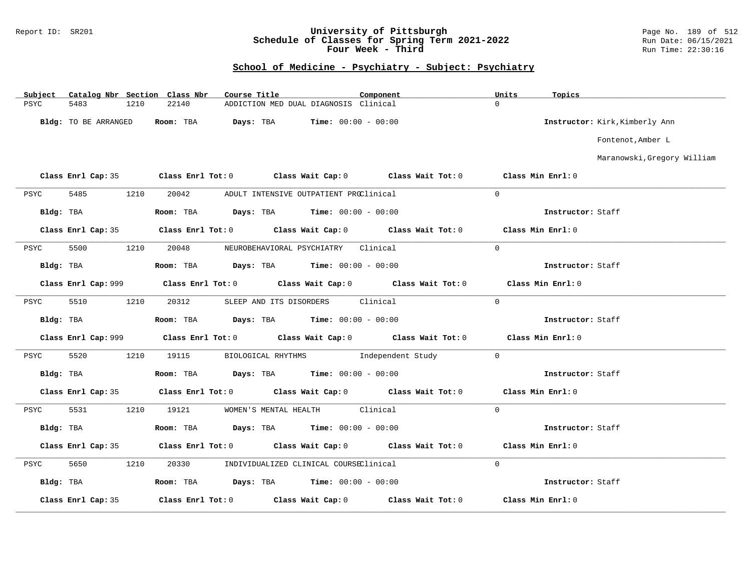### Report ID: SR201 **University of Pittsburgh** Page No. 189 of 512 **Schedule of Classes for Spring Term 2021-2022** Run Date: 06/15/2021 **Four Week - Third Run Time: 22:30:16**

| Subject     |                      |      | Catalog Nbr Section Class Nbr | Course Title |                                               | Component |                                                                                                     | Units             | Topics            |                                |
|-------------|----------------------|------|-------------------------------|--------------|-----------------------------------------------|-----------|-----------------------------------------------------------------------------------------------------|-------------------|-------------------|--------------------------------|
| <b>PSYC</b> | 5483                 | 1210 | 22140                         |              | ADDICTION MED DUAL DIAGNOSIS Clinical         |           |                                                                                                     | $\Omega$          |                   |                                |
|             | Bldg: TO BE ARRANGED |      | Room: TBA                     | Days: TBA    | <b>Time:</b> $00:00 - 00:00$                  |           |                                                                                                     |                   |                   | Instructor: Kirk, Kimberly Ann |
|             |                      |      |                               |              |                                               |           |                                                                                                     |                   |                   | Fontenot, Amber L              |
|             |                      |      |                               |              |                                               |           |                                                                                                     |                   |                   | Maranowski, Gregory William    |
|             |                      |      |                               |              |                                               |           | Class Enrl Cap: 35 Class Enrl Tot: 0 Class Wait Cap: 0 Class Wait Tot: 0                            | Class Min Enrl: 0 |                   |                                |
| PSYC        | 5485                 | 1210 | 20042                         |              | ADULT INTENSIVE OUTPATIENT PROClinical        |           |                                                                                                     | $\mathbf{0}$      |                   |                                |
| Bldg: TBA   |                      |      | Room: TBA                     |              | <b>Days:</b> TBA <b>Time:</b> $00:00 - 00:00$ |           |                                                                                                     |                   | Instructor: Staff |                                |
|             | Class Enrl Cap: 35   |      |                               |              |                                               |           | Class Enrl Tot: $0$ $1$ Class Wait Cap: $0$ $0$ $1$ Class Wait Tot: $0$ $0$ $1$ Class Min Enrl: $0$ |                   |                   |                                |
| PSYC        | 5500                 | 1210 | 20048                         |              | NEUROBEHAVIORAL PSYCHIATRY Clinical           |           |                                                                                                     | $\Omega$          |                   |                                |
| Bldg: TBA   |                      |      |                               |              | Room: TBA $Days: TBA$ Time: $00:00 - 00:00$   |           |                                                                                                     |                   | Instructor: Staff |                                |
|             |                      |      |                               |              |                                               |           |                                                                                                     |                   | Class Min Enrl: 0 |                                |
| PSYC        | 5510                 | 1210 | 20312                         |              | SLEEP AND ITS DISORDERS Clinical              |           |                                                                                                     | $\Omega$          |                   |                                |
| Bldg: TBA   |                      |      |                               |              | Room: TBA $Days:$ TBA $Time: 00:00 - 00:00$   |           |                                                                                                     |                   | Instructor: Staff |                                |
|             |                      |      |                               |              |                                               |           |                                                                                                     |                   | Class Min Enrl: 0 |                                |
| PSYC        | 5520                 | 1210 | 19115                         |              |                                               |           | BIOLOGICAL RHYTHMS Independent Study                                                                | $\Omega$          |                   |                                |
|             | Bldg: TBA            |      |                               |              | Room: TBA $Days:$ TBA $Time: 00:00 - 00:00$   |           |                                                                                                     |                   | Instructor: Staff |                                |
|             | Class Enrl Cap: 35   |      |                               |              |                                               |           | Class Enrl Tot: 0 Class Wait Cap: 0 Class Wait Tot: 0                                               |                   | Class Min Enrl: 0 |                                |
| PSYC        | 5531                 | 1210 | 19121                         |              | WOMEN'S MENTAL HEALTH                         | Clinical  |                                                                                                     | $\overline{0}$    |                   |                                |
| Bldg: TBA   |                      |      |                               |              | Room: TBA $Days:$ TBA $Time: 00:00 - 00:00$   |           |                                                                                                     |                   | Instructor: Staff |                                |
|             | Class Enrl Cap: 35   |      |                               |              |                                               |           | Class Enrl Tot: $0$ Class Wait Cap: $0$ Class Wait Tot: $0$                                         |                   | Class Min Enrl: 0 |                                |
| PSYC        | 5650                 | 1210 | 20330                         |              | INDIVIDUALIZED CLINICAL COURSEClinical        |           |                                                                                                     | $\overline{0}$    |                   |                                |
| Bldg: TBA   |                      |      |                               |              | Room: TBA $Days:$ TBA $Time: 00:00 - 00:00$   |           |                                                                                                     |                   | Instructor: Staff |                                |
|             | Class Enrl Cap: 35   |      |                               |              | Class Enrl Tot: $0$ Class Wait Cap: $0$       |           | Class Wait Tot: 0                                                                                   |                   | Class Min Enrl: 0 |                                |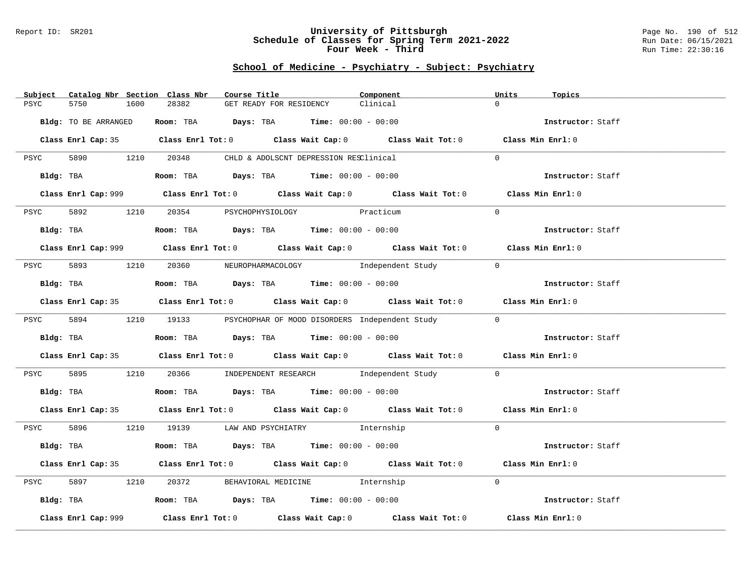#### Report ID: SR201 **University of Pittsburgh** Page No. 190 of 512 **Schedule of Classes for Spring Term 2021-2022** Run Date: 06/15/2021 **Four Week - Third Run Time: 22:30:16**

| Subject Catalog Nbr Section Class Nbr | Course Title                                                                                | Component | Units<br>Topics   |
|---------------------------------------|---------------------------------------------------------------------------------------------|-----------|-------------------|
| 5750<br>1600<br>PSYC                  | 28382<br>GET READY FOR RESIDENCY                                                            | Clinical  | $\Omega$          |
| Bldg: TO BE ARRANGED                  | Room: TBA $Days:$ TBA $Time: 00:00 - 00:00$                                                 |           | Instructor: Staff |
|                                       | Class Enrl Cap: 35 Class Enrl Tot: 0 Class Wait Cap: 0 Class Wait Tot: 0 Class Min Enrl: 0  |           |                   |
|                                       | PSYC 5890 1210 20348 CHLD & ADOLSCNT DEPRESSION RESClinical                                 |           | $\Omega$          |
| Bldg: TBA                             | Room: TBA $Days:$ TBA $Time:$ $00:00 - 00:00$                                               |           | Instructor: Staff |
|                                       | Class Enrl Cap: 999 Class Enrl Tot: 0 Class Wait Cap: 0 Class Wait Tot: 0                   |           | Class Min Enrl: 0 |
| 5892 1210<br>PSYC                     | 20354 PSYCHOPHYSIOLOGY Practicum                                                            |           | $\Omega$          |
| Bldg: TBA                             | <b>Room:</b> TBA $Days:$ TBA $Time: 00:00 - 00:00$                                          |           | Instructor: Staff |
|                                       | Class Enrl Cap: 999 Class Enrl Tot: 0 Class Wait Cap: 0 Class Wait Tot: 0 Class Min Enrl: 0 |           |                   |
|                                       | PSYC 5893 1210 20360 NEUROPHARMACOLOGY Independent Study                                    |           | $\overline{0}$    |
| Bldg: TBA                             | Room: TBA $Days:$ TBA $Time: 00:00 - 00:00$                                                 |           | Instructor: Staff |
|                                       | Class Enrl Cap: 35 Class Enrl Tot: 0 Class Wait Cap: 0 Class Wait Tot: 0 Class Min Enrl: 0  |           |                   |
|                                       | PSYC 5894 1210 19133 PSYCHOPHAR OF MOOD DISORDERS Independent Study                         |           | $\Omega$          |
| Bldg: TBA                             | Room: TBA $\rule{1em}{0.15mm}$ Days: TBA Time: $00:00 - 00:00$                              |           | Instructor: Staff |
|                                       | Class Enrl Cap: 35 Class Enrl Tot: 0 Class Wait Cap: 0 Class Wait Tot: 0 Class Min Enrl: 0  |           |                   |
| 5895<br>PSYC                          | 1210 20366 INDEPENDENT RESEARCH Independent Study                                           |           | $\overline{0}$    |
| Bldg: TBA                             | Room: TBA $Days:$ TBA Time: $00:00 - 00:00$                                                 |           | Instructor: Staff |
|                                       | Class Enrl Cap: 35 Class Enrl Tot: 0 Class Wait Cap: 0 Class Wait Tot: 0 Class Min Enrl: 0  |           |                   |
|                                       | PSYC 5896 1210 19139 LAW AND PSYCHIATRY Internship                                          |           | $\Omega$          |
| Bldg: TBA                             | Room: TBA $Days:$ TBA $Time: 00:00 - 00:00$                                                 |           | Instructor: Staff |
|                                       | Class Enrl Cap: 35 Class Enrl Tot: 0 Class Wait Cap: 0 Class Wait Tot: 0 Class Min Enrl: 0  |           |                   |
| 5897<br>1210<br>PSYC                  | 20372 BEHAVIORAL MEDICINE 1nternship                                                        |           | $\Omega$          |
|                                       | Bldg: TBA                    Room: TBA        Days: TBA        Time: 00:00 - 00:00          |           | Instructor: Staff |
| Class Enrl Cap: 999                   | Class Enrl Tot: $0$ Class Wait Cap: $0$ Class Wait Tot: $0$                                 |           | Class Min Enrl: 0 |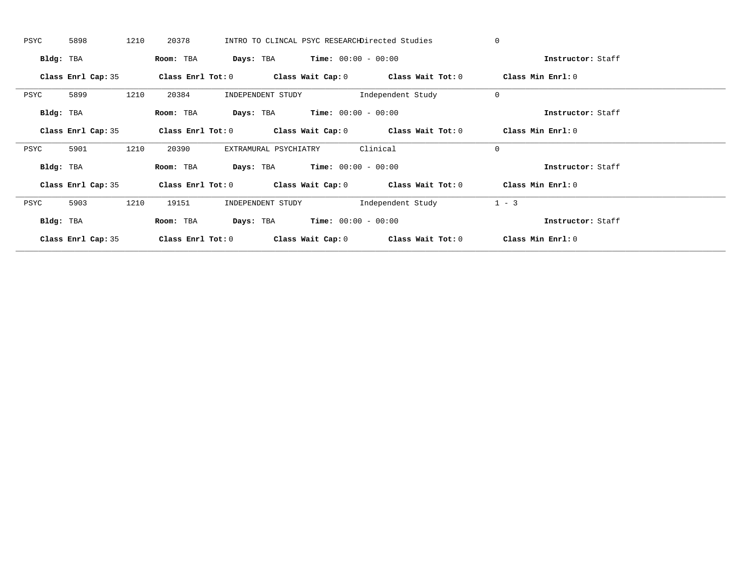| PSYC      | 5898               | 1210 | 20378             |                                               |                                               | INTRO TO CLINCAL PSYC RESEARCHDirected Studies              | $\Omega$          |  |
|-----------|--------------------|------|-------------------|-----------------------------------------------|-----------------------------------------------|-------------------------------------------------------------|-------------------|--|
| Bldg: TBA |                    |      | Room: TBA         |                                               | <b>Days:</b> TBA <b>Time:</b> $00:00 - 00:00$ |                                                             | Instructor: Staff |  |
|           | Class Enrl Cap: 35 |      |                   |                                               |                                               | Class Enrl Tot: $0$ Class Wait Cap: $0$ Class Wait Tot: $0$ | Class Min Enrl: 0 |  |
| PSYC      | 5899               | 1210 | 20384             | INDEPENDENT STUDY                             |                                               | Independent Study                                           | $\mathbf 0$       |  |
| Bldg: TBA |                    |      | Room: TBA         | <b>Days:</b> TBA <b>Time:</b> $00:00 - 00:00$ |                                               |                                                             | Instructor: Staff |  |
|           | Class Enrl Cap: 35 |      |                   |                                               |                                               | Class Enrl Tot: $0$ Class Wait Cap: $0$ Class Wait Tot: $0$ | Class Min Enrl: 0 |  |
| PSYC      | 5901               | 1210 | 20390             | EXTRAMURAL PSYCHIATRY                         |                                               | Clinical                                                    | $\mathbf 0$       |  |
| Bldg: TBA |                    |      | Room: TBA         |                                               | <b>Days:</b> TBA <b>Time:</b> $00:00 - 00:00$ |                                                             | Instructor: Staff |  |
|           | Class Enrl Cap: 35 |      |                   |                                               |                                               | Class Enrl Tot: $0$ Class Wait Cap: $0$ Class Wait Tot: $0$ | Class Min Enrl: 0 |  |
| PSYC      | 5903               | 1210 | 19151             | INDEPENDENT STUDY                             |                                               | Independent Study                                           | $1 - 3$           |  |
| Bldg: TBA |                    |      | Room: TBA         |                                               | <b>Days:</b> TBA <b>Time:</b> $00:00 - 00:00$ |                                                             | Instructor: Staff |  |
|           | Class Enrl Cap: 35 |      | Class Enrl Tot: 0 |                                               |                                               | Class Wait Cap: $0$ Class Wait Tot: $0$                     | Class Min Enrl: 0 |  |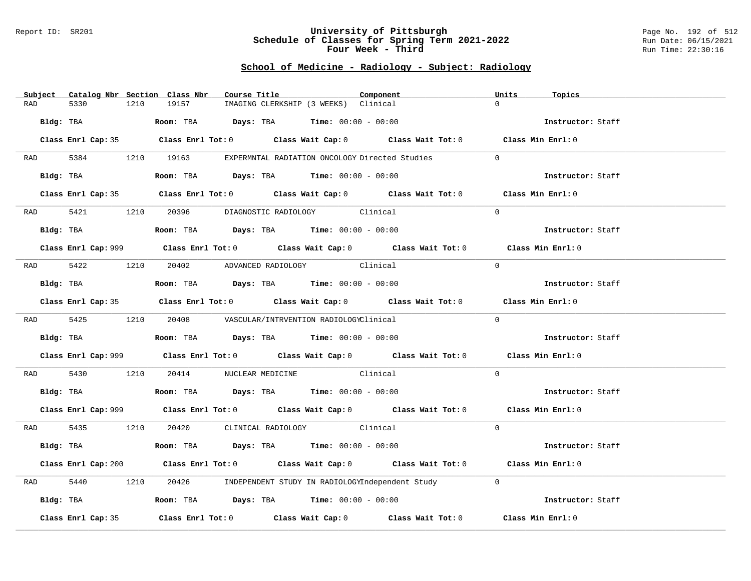#### Report ID: SR201 **University of Pittsburgh** Page No. 192 of 512 **Schedule of Classes for Spring Term 2021-2022** Run Date: 06/15/2021 **Four Week - Third Run Time: 22:30:16**

# **School of Medicine - Radiology - Subject: Radiology**

| Subject            |      | Catalog Nbr Section Class Nbr                                                             | Course Title                                                                          | Component                                                                                          | Units<br>Topics   |  |
|--------------------|------|-------------------------------------------------------------------------------------------|---------------------------------------------------------------------------------------|----------------------------------------------------------------------------------------------------|-------------------|--|
| <b>RAD</b><br>5330 | 1210 | 19157                                                                                     | IMAGING CLERKSHIP (3 WEEKS) Clinical                                                  |                                                                                                    | $\Omega$          |  |
| Bldg: TBA          |      |                                                                                           | Room: TBA $Days:$ TBA $Time: 00:00 - 00:00$                                           |                                                                                                    | Instructor: Staff |  |
|                    |      |                                                                                           |                                                                                       | Class Enrl Cap: 35 Class Enrl Tot: 0 Class Wait Cap: 0 Class Wait Tot: 0 Class Min Enrl: 0         |                   |  |
|                    |      | RAD 5384 1210 19163 EXPERMNTAL RADIATION ONCOLOGY Directed Studies                        |                                                                                       |                                                                                                    | $\Omega$          |  |
| Bldg: TBA          |      |                                                                                           | Room: TBA $Days: TBA$ Time: $00:00 - 00:00$                                           |                                                                                                    | Instructor: Staff |  |
|                    |      |                                                                                           |                                                                                       | Class Enrl Cap: 35 Class Enrl Tot: 0 Class Wait Cap: 0 Class Wait Tot: 0 Class Min Enrl: 0         |                   |  |
|                    |      | RAD 5421 1210 20396 DIAGNOSTIC RADIOLOGY Clinical                                         |                                                                                       |                                                                                                    | $\Omega$          |  |
| Bldg: TBA          |      |                                                                                           | Room: TBA $Days:$ TBA $Time: 00:00 - 00:00$                                           |                                                                                                    | Instructor: Staff |  |
|                    |      |                                                                                           |                                                                                       | Class Enrl Cap: 999 Class Enrl Tot: 0 Class Wait Cap: 0 Class Wait Tot: 0 Class Min Enrl: 0        |                   |  |
|                    |      | RAD 5422 1210 20402 ADVANCED RADIOLOGY Clinical                                           |                                                                                       |                                                                                                    | $\Omega$          |  |
| Bldg: TBA          |      |                                                                                           | Room: TBA $Days: TBA$ Time: $00:00 - 00:00$                                           |                                                                                                    | Instructor: Staff |  |
|                    |      |                                                                                           |                                                                                       | Class Enrl Cap: 35 Class Enrl Tot: 0 Class Wait Cap: 0 Class Wait Tot: 0 Class Min Enrl: 0         |                   |  |
|                    |      | RAD 5425 1210 20408 VASCULAR/INTRVENTION RADIOLOGYClinical                                |                                                                                       |                                                                                                    | $\Omega$          |  |
|                    |      | Bldg: TBA                        Room: TBA          Days: TBA         Time: 00:00 - 00:00 |                                                                                       |                                                                                                    | Instructor: Staff |  |
|                    |      |                                                                                           |                                                                                       | Class Enrl Cap: 999 Class Enrl Tot: 0 Class Wait Cap: 0 Class Wait Tot: 0 Class Min Enrl: 0        |                   |  |
| RAD 5430           |      | 1210 20414 NUCLEAR MEDICINE Clinical                                                      |                                                                                       |                                                                                                    | $\Omega$          |  |
|                    |      | Bldg: TBA                   Room: TBA         Days: TBA         Time: $00:00 - 00:00$     |                                                                                       |                                                                                                    | Instructor: Staff |  |
|                    |      |                                                                                           |                                                                                       | Class Enrl Cap: 999 Class Enrl Tot: 0 Class Wait Cap: 0 Class Wait Tot: 0 Class Min Enrl: 0        |                   |  |
|                    |      | RAD 5435 1210 20420 CLINICAL RADIOLOGY Clinical                                           |                                                                                       |                                                                                                    | $\Omega$          |  |
| Bldg: TBA          |      |                                                                                           | Room: TBA $\rule{1em}{0.15mm}$ Days: TBA Time: $00:00 - 00:00$                        |                                                                                                    | Instructor: Staff |  |
|                    |      |                                                                                           |                                                                                       | Class Enrl Cap: 200 Class Enrl Tot: 0 Class Wait Cap: 0 Class Wait Tot: 0 Class Min Enrl: 0        |                   |  |
| 5440<br>RAD        | 1210 |                                                                                           |                                                                                       | 20426 INDEPENDENT STUDY IN RADIOLOGYIndependent Study                                              | $\Omega$          |  |
| Bldg: TBA          |      |                                                                                           | Room: TBA $\rule{1em}{0.15mm}$ Days: TBA $\rule{1.5mm}{0.15mm}$ Time: $00:00 - 00:00$ |                                                                                                    | Instructor: Staff |  |
| Class Enrl Cap: 35 |      |                                                                                           |                                                                                       | Class Enrl Tot: 0 $\qquad$ Class Wait Cap: 0 $\qquad$ Class Wait Tot: 0 $\qquad$ Class Min Enrl: 0 |                   |  |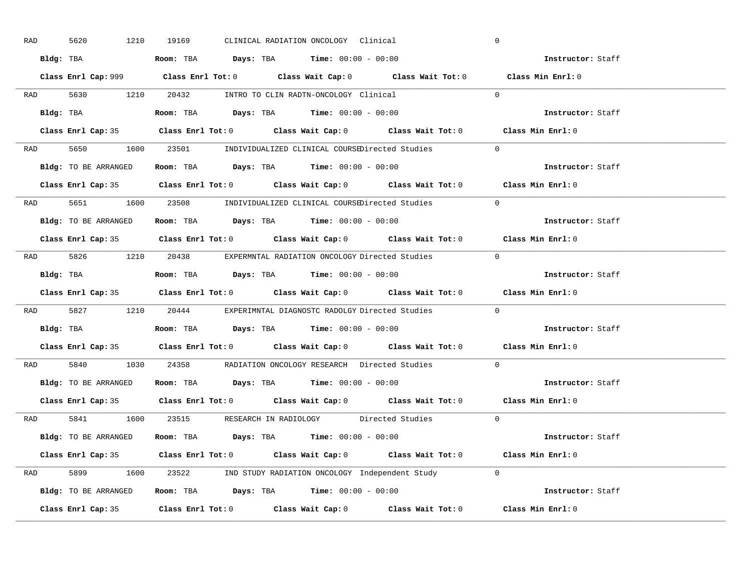| RAD | 5620 | 1210                 | 19169 |  | CLINICAL RADIATION ONCOLOGY Clinical                                                      |                                                                                             | $\overline{0}$ |                   |
|-----|------|----------------------|-------|--|-------------------------------------------------------------------------------------------|---------------------------------------------------------------------------------------------|----------------|-------------------|
|     |      |                      |       |  | Bldg: TBA                   Room: TBA        Days: TBA        Time: $00:00 - 00:00$       |                                                                                             |                | Instructor: Staff |
|     |      |                      |       |  |                                                                                           | Class Enrl Cap: 999 Class Enrl Tot: 0 Class Wait Cap: 0 Class Wait Tot: 0 Class Min Enrl: 0 |                |                   |
|     |      |                      |       |  |                                                                                           | RAD 5630 1210 20432 INTRO TO CLIN RADTN-ONCOLOGY Clinical 0                                 |                |                   |
|     |      |                      |       |  |                                                                                           |                                                                                             |                | Instructor: Staff |
|     |      |                      |       |  |                                                                                           | Class Enrl Cap: 35 Class Enrl Tot: 0 Class Wait Cap: 0 Class Wait Tot: 0 Class Min Enrl: 0  |                |                   |
|     |      |                      |       |  |                                                                                           | RAD 5650 1600 23501 INDIVIDUALIZED CLINICAL COURSEDirected Studies 0                        |                |                   |
|     |      |                      |       |  | Bldg: TO BE ARRANGED Room: TBA Days: TBA Time: 00:00 - 00:00                              |                                                                                             |                | Instructor: Staff |
|     |      |                      |       |  |                                                                                           | Class Enrl Cap: 35 Class Enrl Tot: 0 Class Wait Cap: 0 Class Wait Tot: 0 Class Min Enrl: 0  |                |                   |
|     |      |                      |       |  |                                                                                           | RAD 5651 1600 23508 INDIVIDUALIZED CLINICAL COURSEDirected Studies                          | $\Omega$       |                   |
|     |      | Bldg: TO BE ARRANGED |       |  | Room: TBA $Days:$ TBA $Time:$ 00:00 - 00:00                                               |                                                                                             |                | Instructor: Staff |
|     |      |                      |       |  |                                                                                           | Class Enrl Cap: 35 Class Enrl Tot: 0 Class Wait Cap: 0 Class Wait Tot: 0 Class Min Enrl: 0  |                |                   |
|     |      |                      |       |  |                                                                                           | RAD 5826 1210 20438 EXPERMNTAL RADIATION ONCOLOGY Directed Studies 0                        |                |                   |
|     |      |                      |       |  |                                                                                           |                                                                                             |                | Instructor: Staff |
|     |      |                      |       |  |                                                                                           | Class Enrl Cap: 35 Class Enrl Tot: 0 Class Wait Cap: 0 Class Wait Tot: 0 Class Min Enrl: 0  |                |                   |
|     |      |                      |       |  |                                                                                           | RAD 5827 1210 20444 EXPERIMNTAL DIAGNOSTC RADOLGY Directed Studies                          | $\overline{0}$ |                   |
|     |      |                      |       |  | Bldg: TBA                       Room: TBA         Days: TBA         Time: $00:00 - 00:00$ |                                                                                             |                | Instructor: Staff |
|     |      |                      |       |  |                                                                                           | Class Enrl Cap: 35 Class Enrl Tot: 0 Class Wait Cap: 0 Class Wait Tot: 0 Class Min Enrl: 0  |                |                   |
| RAD |      |                      |       |  |                                                                                           | 5840 1030 24358 RADIATION ONCOLOGY RESEARCH Directed Studies                                | $\overline{0}$ |                   |
|     |      |                      |       |  | Bldg: TO BE ARRANGED ROOM: TBA Days: TBA Time: 00:00 - 00:00                              |                                                                                             |                | Instructor: Staff |
|     |      |                      |       |  |                                                                                           | Class Enrl Cap: 35 Class Enrl Tot: 0 Class Wait Cap: 0 Class Wait Tot: 0 Class Min Enrl: 0  |                |                   |
|     |      |                      |       |  |                                                                                           | RAD 5841 1600 23515 RESEARCH IN RADIOLOGY Directed Studies 0                                |                |                   |
|     |      |                      |       |  | Bldg: TO BE ARRANGED Room: TBA Days: TBA Time: 00:00 - 00:00                              |                                                                                             |                | Instructor: Staff |
|     |      |                      |       |  |                                                                                           | Class Enrl Cap: 35 Class Enrl Tot: 0 Class Wait Cap: 0 Class Wait Tot: 0 Class Min Enrl: 0  |                |                   |
|     |      |                      |       |  |                                                                                           | RAD 5899 1600 23522 IND STUDY RADIATION ONCOLOGY Independent Study 0                        |                |                   |
|     |      |                      |       |  |                                                                                           | Bldg: TO BE ARRANGED Room: TBA Days: TBA Time: 00:00 - 00:00                                |                | Instructor: Staff |
|     |      |                      |       |  |                                                                                           | Class Enrl Cap: 35 Class Enrl Tot: 0 Class Wait Cap: 0 Class Wait Tot: 0 Class Min Enrl: 0  |                |                   |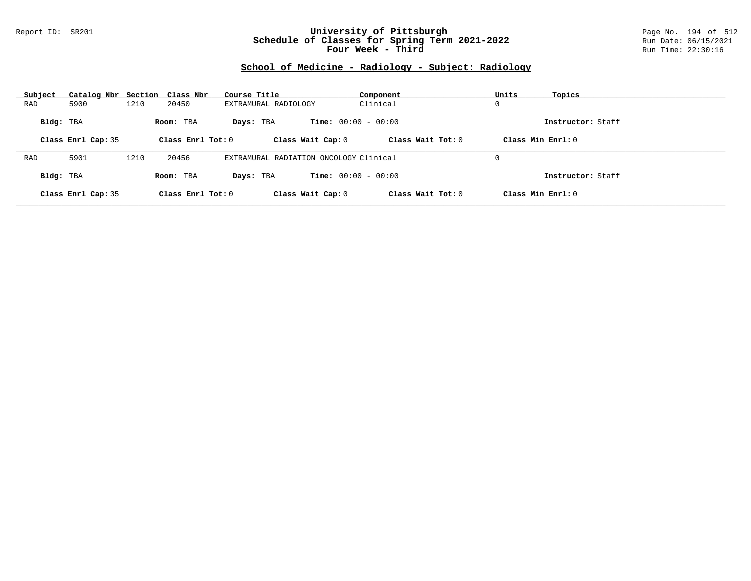### Report ID: SR201 **University of Pittsburgh** Page No. 194 of 512 **Schedule of Classes for Spring Term 2021-2022** Run Date: 06/15/2021 **Four Week - Third Run Time: 22:30:16**

# **School of Medicine - Radiology - Subject: Radiology**

| Subject   | Catalog Nbr Section Class Nbr |      |                   | Course Title                           | Component                    | Units<br>Topics   |  |
|-----------|-------------------------------|------|-------------------|----------------------------------------|------------------------------|-------------------|--|
| RAD       | 5900                          | 1210 | 20450             | EXTRAMURAL RADIOLOGY                   | Clinical                     | 0                 |  |
| Bldg: TBA |                               |      | Room: TBA         | Days: TBA                              | <b>Time:</b> $00:00 - 00:00$ | Instructor: Staff |  |
|           | Class Enrl Cap: 35            |      | Class Enrl Tot: 0 | Class Wait Cap: 0                      | Class Wait $Tot: 0$          | Class Min Enrl: 0 |  |
|           |                               |      |                   |                                        |                              |                   |  |
| RAD       | 5901                          | 1210 | 20456             | EXTRAMURAL RADIATION ONCOLOGY Clinical |                              | 0                 |  |
| Bldg: TBA |                               |      | Room: TBA         | Days: TBA                              | <b>Time:</b> $00:00 - 00:00$ | Instructor: Staff |  |
|           | Class Enrl Cap: 35            |      | Class Enrl Tot: 0 | Class Wait Cap: 0                      | Class Wait $Tot: 0$          | Class Min Enrl: 0 |  |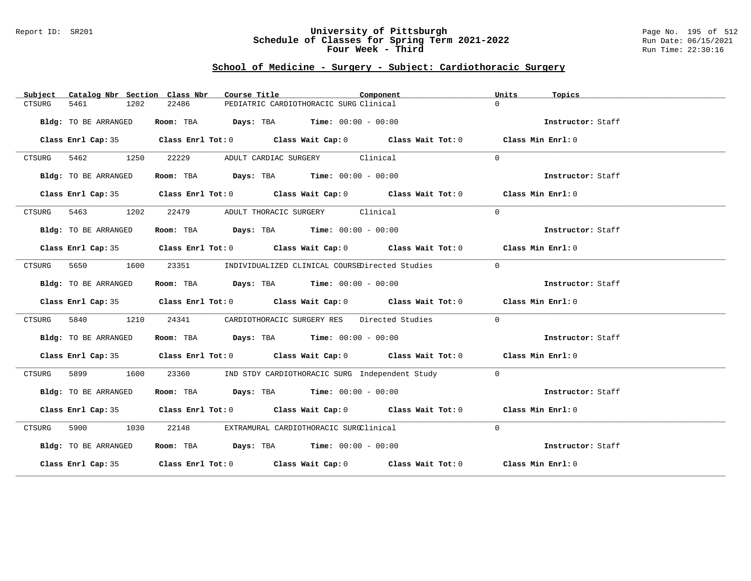#### Report ID: SR201 **University of Pittsburgh** Page No. 195 of 512 **Schedule of Classes for Spring Term 2021-2022** Run Date: 06/15/2021 **Four Week - Third Run Time: 22:30:16**

### **School of Medicine - Surgery - Subject: Cardiothoracic Surgery**

| Subject              |           | Catalog Nbr Section Class Nbr | Course Title                                                   | Component                                                                                  | Units             | Topics            |
|----------------------|-----------|-------------------------------|----------------------------------------------------------------|--------------------------------------------------------------------------------------------|-------------------|-------------------|
| 5461<br>CTSURG       | 1202      | 22486                         | PEDIATRIC CARDIOTHORACIC SURG Clinical                         |                                                                                            | $\Omega$          |                   |
| Bldg: TO BE ARRANGED |           |                               | Room: TBA $\rule{1em}{0.15mm}$ Days: TBA Time: $00:00 - 00:00$ |                                                                                            |                   | Instructor: Staff |
|                      |           |                               |                                                                | Class Enrl Cap: 35 Class Enrl Tot: 0 Class Wait Cap: 0 Class Wait Tot: 0 Class Min Enrl: 0 |                   |                   |
| CTSURG 5462 1250     |           | 22229                         | ADULT CARDIAC SURGERY Clinical                                 |                                                                                            | $\Omega$          |                   |
| Bldg: TO BE ARRANGED |           |                               | Room: TBA $Days:$ TBA $Time: 00:00 - 00:00$                    |                                                                                            | Instructor: Staff |                   |
|                      |           |                               |                                                                | Class Enrl Cap: 35 Class Enrl Tot: 0 Class Wait Cap: 0 Class Wait Tot: 0 Class Min Enrl: 0 |                   |                   |
| CTSURG 5463 1202     |           |                               | 22479 ADULT THORACIC SURGERY Clinical                          |                                                                                            | $\Omega$          |                   |
| Bldg: TO BE ARRANGED |           |                               | Room: TBA $Days:$ TBA $Time: 00:00 - 00:00$                    |                                                                                            | Instructor: Staff |                   |
|                      |           |                               |                                                                | Class Enrl Cap: 35 Class Enrl Tot: 0 Class Wait Cap: 0 Class Wait Tot: 0 Class Min Enrl: 0 |                   |                   |
| CTSURG               | 5650 1600 |                               |                                                                | 23351 INDIVIDUALIZED CLINICAL COURSEDirected Studies                                       | $\Omega$          |                   |
| Bldg: TO BE ARRANGED |           |                               | Room: TBA $Days:$ TBA $Time: 00:00 - 00:00$                    |                                                                                            |                   | Instructor: Staff |
|                      |           |                               |                                                                | Class Enrl Cap: 35 Class Enrl Tot: 0 Class Wait Cap: 0 Class Wait Tot: 0 Class Min Enrl: 0 |                   |                   |
| 5840<br>CTSURG       | 1210      |                               |                                                                | 24341 CARDIOTHORACIC SURGERY RES Directed Studies                                          | $\Omega$          |                   |
| Bldg: TO BE ARRANGED |           |                               | Room: TBA $Days:$ TBA $Time: 00:00 - 00:00$                    |                                                                                            |                   | Instructor: Staff |
|                      |           |                               |                                                                | Class Enrl Cap: 35 Class Enrl Tot: 0 Class Wait Cap: 0 Class Wait Tot: 0 Class Min Enrl: 0 |                   |                   |
| CTSURG               | 5899 1600 |                               |                                                                | 23360 IND STDY CARDIOTHORACIC SURG Independent Study                                       | $\Omega$          |                   |
| Bldg: TO BE ARRANGED |           |                               | Room: TBA $Days:$ TBA $Time: 00:00 - 00:00$                    |                                                                                            |                   | Instructor: Staff |
|                      |           |                               |                                                                | Class Enrl Cap: 35 Class Enrl Tot: 0 Class Wait Cap: 0 Class Wait Tot: 0 Class Min Enrl: 0 |                   |                   |
| CTSURG               | 5900 1030 |                               | 22148 EXTRAMURAL CARDIOTHORACIC SURGClinical                   |                                                                                            | $\Omega$          |                   |
| Bldg: TO BE ARRANGED |           |                               | Room: TBA $Days:$ TBA $Time: 00:00 - 00:00$                    |                                                                                            |                   | Instructor: Staff |
|                      |           |                               |                                                                | Class Enrl Cap: 35 Class Enrl Tot: 0 Class Wait Cap: 0 Class Wait Tot: 0 Class Min Enrl: 0 |                   |                   |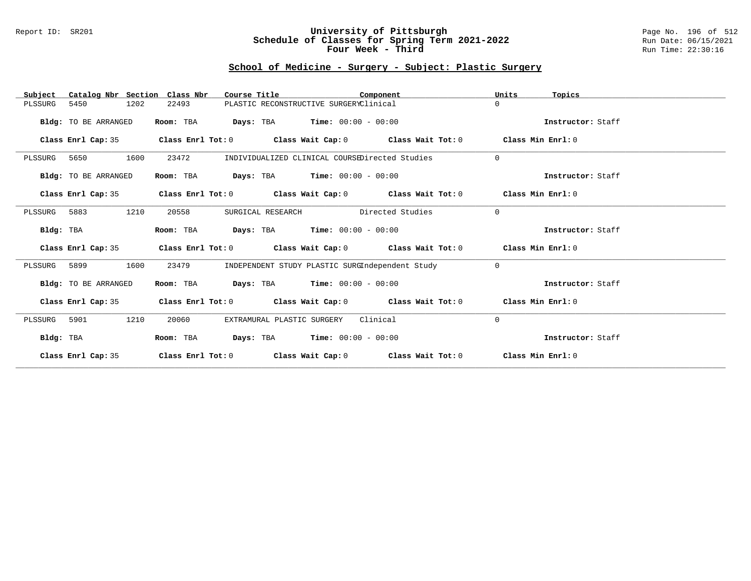### Report ID: SR201 **University of Pittsburgh** Page No. 196 of 512 **Schedule of Classes for Spring Term 2021-2022** Run Date: 06/15/2021 **Four Week - Third Run Time: 22:30:16**

# **School of Medicine - Surgery - Subject: Plastic Surgery**

| Catalog Nbr Section Class Nbr<br>Subject | Course Title                                                                               | Component                                       | Units    | Topics            |
|------------------------------------------|--------------------------------------------------------------------------------------------|-------------------------------------------------|----------|-------------------|
| 5450<br>1202<br>PLSSURG                  | 22493                                                                                      | PLASTIC RECONSTRUCTIVE SURGERYClinical          | $\Omega$ |                   |
| Bldg: TO BE ARRANGED                     | Room: TBA                                                                                  | <b>Days:</b> TBA <b>Time:</b> $00:00 - 00:00$   |          | Instructor: Staff |
| Class Enrl Cap: 35                       | Class Enrl Tot: $0$ Class Wait Cap: $0$ Class Wait Tot: $0$ Class Min Enrl: $0$            |                                                 |          |                   |
| 1600<br>PLSSURG<br>5650                  | 23472                                                                                      | INDIVIDUALIZED CLINICAL COURSEDirected Studies  | $\Omega$ |                   |
| Bldg: TO BE ARRANGED                     | Room: TBA                                                                                  | <b>Days:</b> TBA <b>Time:</b> $00:00 - 00:00$   |          | Instructor: Staff |
|                                          | Class Enrl Cap: 35 Class Enrl Tot: 0 Class Wait Cap: 0 Class Wait Tot: 0 Class Min Enrl: 0 |                                                 |          |                   |
| 1210<br>PLSSURG 5883                     | 20558<br>SURGICAL RESEARCH                                                                 | Directed Studies                                | $\Omega$ |                   |
| Bldg: TBA                                | Room: TBA                                                                                  | <b>Days:</b> TBA <b>Time:</b> $00:00 - 00:00$   |          | Instructor: Staff |
| Class Enrl Cap: 35                       | Class Enrl Tot: $0$ Class Wait Cap: $0$ Class Wait Tot: $0$ Class Min Enrl: $0$            |                                                 |          |                   |
| 1600<br>PLSSURG 5899                     | 23479                                                                                      | INDEPENDENT STUDY PLASTIC SURGIndependent Study | $\Omega$ |                   |
| Bldg: TO BE ARRANGED                     | <b>Room:</b> TBA <b>Days:</b> TBA <b>Time:</b> 00:00 - 00:00                               |                                                 |          | Instructor: Staff |
| Class Enrl Cap: 35                       | Class Enrl Tot: $0$ Class Wait Cap: $0$ Class Wait Tot: $0$ Class Min Enrl: $0$            |                                                 |          |                   |
| 1210<br>PLSSURG<br>5901                  | EXTRAMURAL PLASTIC SURGERY<br>20060                                                        | Clinical                                        | 0        |                   |
| Bldg: TBA                                | Room: TBA $Days:$ TBA $Time: 00:00 - 00:00$                                                |                                                 |          | Instructor: Staff |
| Class Enrl Cap: 35                       | Class Enrl Tot: $0$ Class Wait Cap: $0$ Class Wait Tot: $0$ Class Min Enrl: $0$            |                                                 |          |                   |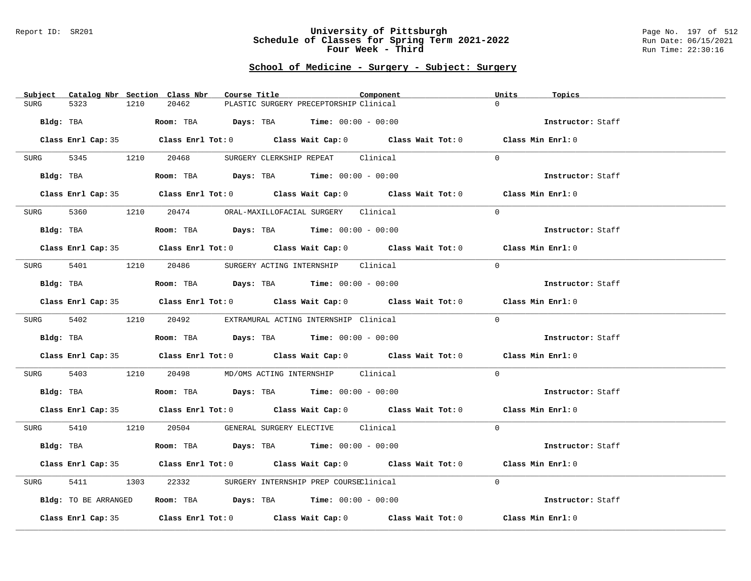#### Report ID: SR201 **University of Pittsburgh** Page No. 197 of 512 **Schedule of Classes for Spring Term 2021-2022** Run Date: 06/15/2021 **Four Week - Third Run Time: 22:30:16**

# **School of Medicine - Surgery - Subject: Surgery**

| Subject Catalog Nbr Section Class Nbr | Course Title<br>Component                                                                  | Units<br>Topics   |
|---------------------------------------|--------------------------------------------------------------------------------------------|-------------------|
| <b>SURG</b><br>5323<br>1210           | 20462<br>PLASTIC SURGERY PRECEPTORSHIP Clinical                                            | $\Omega$          |
|                                       |                                                                                            |                   |
| Bldg: TBA                             | Room: TBA $Days:$ TBA $Time: 00:00 - 00:00$                                                | Instructor: Staff |
|                                       |                                                                                            |                   |
|                                       | Class Enrl Cap: 35 Class Enrl Tot: 0 Class Wait Cap: 0 Class Wait Tot: 0 Class Min Enrl: 0 |                   |
|                                       |                                                                                            |                   |
|                                       | SURG 5345 1210 20468 SURGERY CLERKSHIP REPEAT Clinical                                     | $\Omega$          |
|                                       |                                                                                            |                   |
|                                       | Bldg: TBA                  Room: TBA        Days: TBA        Time: 00:00 - 00:00           | Instructor: Staff |
|                                       |                                                                                            |                   |
|                                       | Class Enrl Cap: 35 Class Enrl Tot: 0 Class Wait Cap: 0 Class Wait Tot: 0 Class Min Enrl: 0 |                   |
|                                       |                                                                                            |                   |
| SURG                                  | 5360 1210 20474 ORAL-MAXILLOFACIAL SURGERY Clinical                                        | $\Omega$          |
|                                       |                                                                                            |                   |
| Bldg: TBA                             | Room: TBA $Days:$ TBA $Time: 00:00 - 00:00$                                                | Instructor: Staff |
|                                       | Class Enrl Cap: 35 Class Enrl Tot: 0 Class Wait Cap: 0 Class Wait Tot: 0 Class Min Enrl: 0 |                   |
|                                       |                                                                                            |                   |
|                                       | SURG 5401 1210 20486 SURGERY ACTING INTERNSHIP Clinical                                    | $\Omega$          |
|                                       |                                                                                            |                   |
| Bldg: TBA                             | Room: TBA $Days: TBA$ Time: $00:00 - 00:00$                                                | Instructor: Staff |
|                                       |                                                                                            |                   |
|                                       | Class Enrl Cap: 35 Class Enrl Tot: 0 Class Wait Cap: 0 Class Wait Tot: 0 Class Min Enrl: 0 |                   |
|                                       |                                                                                            |                   |
|                                       | SURG 5402 1210 20492 EXTRAMURAL ACTING INTERNSHIP Clinical                                 | $\Omega$          |
|                                       |                                                                                            |                   |
| Bldg: TBA                             | Room: TBA $Days:$ TBA $Time: 00:00 - 00:00$                                                | Instructor: Staff |
|                                       |                                                                                            |                   |
|                                       | Class Enrl Cap: 35 Class Enrl Tot: 0 Class Wait Cap: 0 Class Wait Tot: 0 Class Min Enrl: 0 |                   |
|                                       |                                                                                            |                   |
|                                       | SURG 5403 1210 20498 MD/OMS ACTING INTERNSHIP Clinical                                     | $\overline{0}$    |
|                                       |                                                                                            |                   |
|                                       | Bldg: TBA                    Room: TBA         Days: TBA         Time: $00:00 - 00:00$     | Instructor: Staff |
|                                       |                                                                                            |                   |
|                                       | Class Enrl Cap: 35 Class Enrl Tot: 0 Class Wait Cap: 0 Class Wait Tot: 0 Class Min Enrl: 0 |                   |
|                                       |                                                                                            |                   |
|                                       | SURG 5410 1210 20504 GENERAL SURGERY ELECTIVE Clinical                                     | $\Omega$          |
|                                       |                                                                                            |                   |
| Bldg: TBA                             | Room: TBA $Days:$ TBA $Time: 00:00 - 00:00$                                                | Instructor: Staff |
|                                       |                                                                                            |                   |
|                                       | Class Enrl Cap: 35 Class Enrl Tot: 0 Class Wait Cap: 0 Class Wait Tot: 0 Class Min Enrl: 0 |                   |
|                                       |                                                                                            |                   |
| 5411<br>SURG                          | 1303 22332 SURGERY INTERNSHIP PREP COURSEClinical                                          | $\Omega$          |
|                                       |                                                                                            |                   |
| Bldg: TO BE ARRANGED                  | Room: TBA $\rule{1em}{0.15mm}$ Days: TBA Time: $00:00 - 00:00$                             | Instructor: Staff |
|                                       | Class Enrl Cap: 35 Class Enrl Tot: 0 Class Wait Cap: 0 Class Wait Tot: 0                   | Class Min Enrl: 0 |
|                                       |                                                                                            |                   |
|                                       |                                                                                            |                   |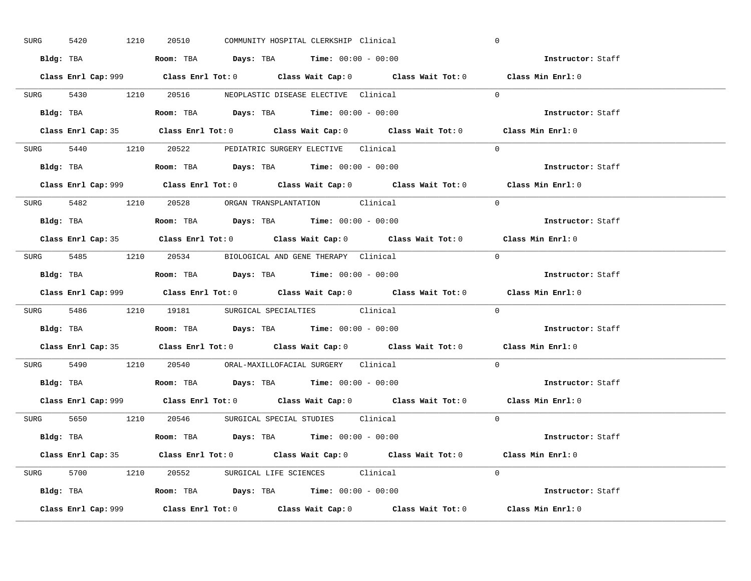| SURG      | 1210<br>5420 | 20510 | COMMUNITY HOSPITAL CLERKSHIP Clinical                                                       | $\mathbf 0$       |  |
|-----------|--------------|-------|---------------------------------------------------------------------------------------------|-------------------|--|
|           |              |       | Bldg: TBA                      Room: TBA         Days: TBA         Time: 00:00 - 00:00      | Instructor: Staff |  |
|           |              |       | Class Enrl Cap: 999 Class Enrl Tot: 0 Class Wait Cap: 0 Class Wait Tot: 0 Class Min Enrl: 0 |                   |  |
|           |              |       | SURG 5430 1210 20516 NEOPLASTIC DISEASE ELECTIVE Clinical                                   | $\Omega$          |  |
|           |              |       |                                                                                             | Instructor: Staff |  |
|           |              |       | Class Enrl Cap: 35 Class Enrl Tot: 0 Class Wait Cap: 0 Class Wait Tot: 0 Class Min Enrl: 0  |                   |  |
|           |              |       | SURG 5440 1210 20522 PEDIATRIC SURGERY ELECTIVE Clinical                                    | $\Omega$          |  |
|           |              |       | Bldg: TBA                   Room: TBA         Days: TBA         Time: 00:00 - 00:00         | Instructor: Staff |  |
|           |              |       | Class Enrl Cap: 999 Class Enrl Tot: 0 Class Wait Cap: 0 Class Wait Tot: 0 Class Min Enrl: 0 |                   |  |
|           |              |       | SURG 5482 1210 20528 ORGAN TRANSPLANTATION Clinical                                         | $\Omega$          |  |
|           |              |       | Bldg: TBA                   Room: TBA         Days: TBA         Time: $00:00 - 00:00$       | Instructor: Staff |  |
|           |              |       | Class Enrl Cap: 35 Class Enrl Tot: 0 Class Wait Cap: 0 Class Wait Tot: 0 Class Min Enrl: 0  |                   |  |
|           |              |       | SURG 5485 1210 20534 BIOLOGICAL AND GENE THERAPY Clinical                                   | $\Omega$          |  |
|           |              |       | Bldg: TBA                   Room: TBA         Days: TBA         Time: $00:00 - 00:00$       | Instructor: Staff |  |
|           |              |       | Class Enrl Cap: 999 Class Enrl Tot: 0 Class Wait Cap: 0 Class Wait Tot: 0                   | Class Min Enrl: 0 |  |
|           |              |       |                                                                                             |                   |  |
|           |              |       | SURG 5486 1210 19181 SURGICAL SPECIALTIES Clinical                                          | $\Omega$          |  |
| Bldg: TBA |              |       | <b>Room:</b> TBA <b>Days:</b> TBA <b>Time:</b> 00:00 - 00:00                                | Instructor: Staff |  |
|           |              |       | Class Enrl Cap: 35 Class Enrl Tot: 0 Class Wait Cap: 0 Class Wait Tot: 0 Class Min Enrl: 0  |                   |  |
|           |              |       | SURG 5490 1210 20540 ORAL-MAXILLOFACIAL SURGERY Clinical                                    | $\Omega$          |  |
|           |              |       | Bldg: TBA                   Room: TBA         Days: TBA         Time: $00:00 - 00:00$       | Instructor: Staff |  |
|           |              |       | Class Enrl Cap: 999 Class Enrl Tot: 0 Class Wait Cap: 0 Class Wait Tot: 0 Class Min Enrl: 0 |                   |  |
|           |              |       | SURG 5650 1210 20546 SURGICAL SPECIAL STUDIES Clinical                                      | $\Omega$          |  |
|           |              |       | Bldg: TBA                    Room: TBA         Days: TBA         Time: 00:00 - 00:00        | Instructor: Staff |  |
|           |              |       | Class Enrl Cap: 35 Class Enrl Tot: 0 Class Wait Cap: 0 Class Wait Tot: 0 Class Min Enrl: 0  |                   |  |
|           |              |       | SURG 5700 1210 20552 SURGICAL LIFE SCIENCES Clinical                                        | $\Omega$          |  |
|           |              |       | <b>Bldg:</b> TBA <b>ROOM:</b> TBA <b>Days:</b> TBA <b>Time:</b> $00:00 - 00:00$             | Instructor: Staff |  |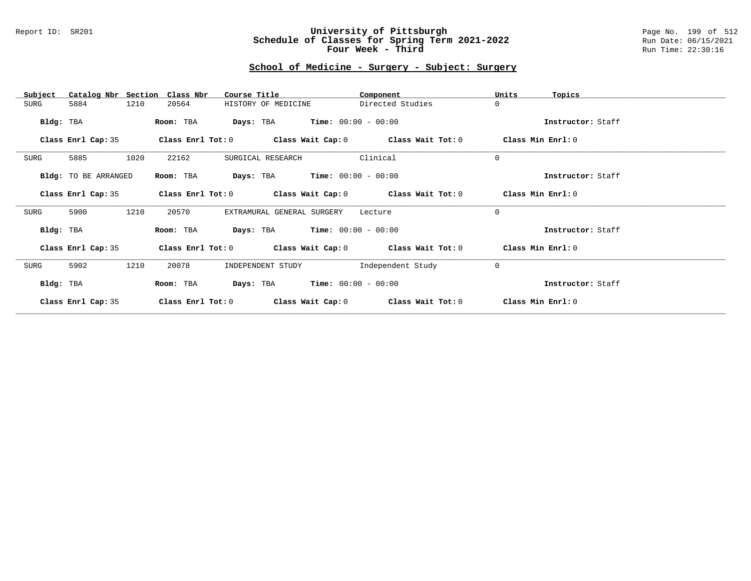#### Report ID: SR201 **University of Pittsburgh** Page No. 199 of 512 **Schedule of Classes for Spring Term 2021-2022** Run Date: 06/15/2021 **Four Week - Third Run Time: 22:30:16**

# **School of Medicine - Surgery - Subject: Surgery**

| Catalog Nbr Section<br>Subject | Class Nbr<br>Course Title                                   | Component             | Units<br>Topics   |
|--------------------------------|-------------------------------------------------------------|-----------------------|-------------------|
| 1210<br>5884<br>SURG           | 20564<br>HISTORY OF MEDICINE                                | Directed Studies      | $\mathbf 0$       |
| Bldg: TBA                      | <b>Days:</b> TBA <b>Time:</b> $00:00 - 00:00$<br>Room: TBA  |                       | Instructor: Staff |
| Class Enrl Cap: 35             | Class Enrl Tot: $0$ Class Wait Cap: $0$ Class Wait Tot: $0$ |                       | Class Min Enrl: 0 |
| 5885<br>1020<br>SURG           | 22162<br>SURGICAL RESEARCH                                  | Clinical              | $\mathbf 0$       |
| Bldg: TO BE ARRANGED           | <b>Days:</b> TBA <b>Time:</b> $00:00 - 00:00$<br>Room: TBA  |                       | Instructor: Staff |
| Class Enrl Cap: 35             | Class Enrl Tot: $0$ Class Wait Cap: $0$ Class Wait Tot: $0$ |                       | Class Min Enrl: 0 |
| 5900<br>1210<br>SURG           | 20570<br>EXTRAMURAL GENERAL SURGERY                         | Lecture               | $\mathbf 0$       |
| Bldg: TBA                      | <b>Days:</b> TBA <b>Time:</b> $00:00 - 00:00$<br>Room: TBA  |                       | Instructor: Staff |
| Class Enrl Cap: 35             | Class Enrl Tot: $0$ Class Wait Cap: $0$ Class Wait Tot: $0$ |                       | Class Min Enrl: 0 |
| 5902<br>1210<br>SURG           | 20078<br>INDEPENDENT STUDY                                  | Independent Study     | $\mathbf 0$       |
| Bldg: TBA                      | Room: TBA<br>Days: TBA                                      | $Time: 00:00 - 00:00$ | Instructor: Staff |
| Class Enrl Cap: 35             | Class Enrl Tot: 0<br>Class Wait Cap: 0                      | Class Wait Tot: 0     | Class Min Enrl: 0 |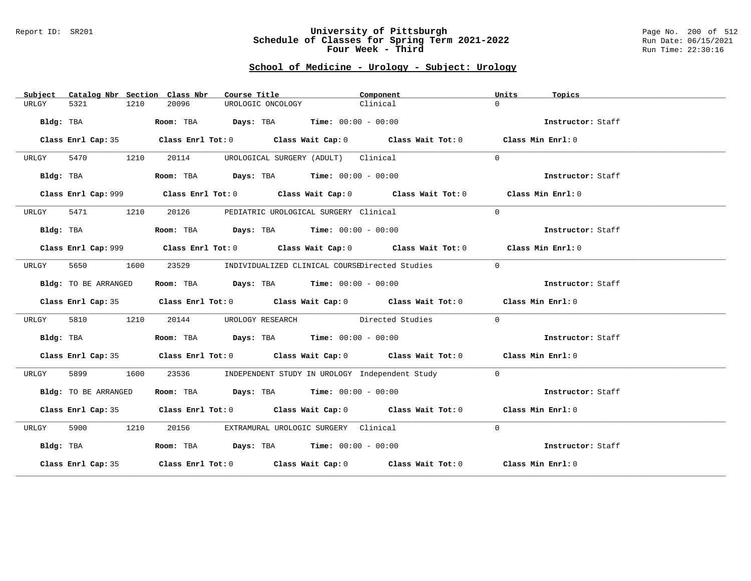#### Report ID: SR201 **University of Pittsburgh** Page No. 200 of 512 **Schedule of Classes for Spring Term 2021-2022** Run Date: 06/15/2021 **Four Week - Third Run Time: 22:30:16**

# **School of Medicine - Urology - Subject: Urology**

| Subject   |                      |      | Catalog Nbr Section Class Nbr | Course Title                                                   | Component                                                                                   | Units          | Topics            |
|-----------|----------------------|------|-------------------------------|----------------------------------------------------------------|---------------------------------------------------------------------------------------------|----------------|-------------------|
| URLGY     | 5321                 | 1210 | 20096                         | UROLOGIC ONCOLOGY                                              | Clinical                                                                                    | $\Omega$       |                   |
|           | Bldg: TBA            |      |                               | Room: TBA $Days:$ TBA $Time: 00:00 - 00:00$                    |                                                                                             |                | Instructor: Staff |
|           |                      |      |                               |                                                                | Class Enrl Cap: 35 Class Enrl Tot: 0 Class Wait Cap: 0 Class Wait Tot: 0 Class Min Enrl: 0  |                |                   |
| URLGY     | 5470 1210            |      | 20114                         | UROLOGICAL SURGERY (ADULT) Clinical                            |                                                                                             | $\Omega$       |                   |
|           | Bldg: TBA            |      |                               | Room: TBA $Days:$ TBA $Time: 00:00 - 00:00$                    |                                                                                             |                | Instructor: Staff |
|           |                      |      |                               |                                                                | Class Enrl Cap: 999 Class Enrl Tot: 0 Class Wait Cap: 0 Class Wait Tot: 0 Class Min Enrl: 0 |                |                   |
| URLGY     | 5471                 | 1210 |                               | 20126 PEDIATRIC UROLOGICAL SURGERY Clinical                    |                                                                                             | $\Omega$       |                   |
| Bldg: TBA |                      |      |                               | Room: TBA $\rule{1em}{0.15mm}$ Days: TBA Time: $00:00 - 00:00$ |                                                                                             |                | Instructor: Staff |
|           |                      |      |                               |                                                                | Class Enrl Cap: 999 Class Enrl Tot: 0 Class Wait Cap: 0 Class Wait Tot: 0 Class Min Enrl: 0 |                |                   |
| URLGY     | 5650                 | 1600 |                               |                                                                | 23529 INDIVIDUALIZED CLINICAL COURSEDirected Studies                                        | $\overline{0}$ |                   |
|           | Bldg: TO BE ARRANGED |      |                               | Room: TBA $Days:$ TBA $Time: 00:00 - 00:00$                    |                                                                                             |                | Instructor: Staff |
|           |                      |      |                               |                                                                | Class Enrl Cap: 35 Class Enrl Tot: 0 Class Wait Cap: 0 Class Wait Tot: 0 Class Min Enrl: 0  |                |                   |
| URLGY     | 5810                 | 1210 |                               |                                                                | 20144 UROLOGY RESEARCH Directed Studies                                                     | $\Omega$       |                   |
|           | Bldg: TBA            |      |                               | Room: TBA $\rule{1em}{0.15mm}$ Days: TBA Time: $00:00 - 00:00$ |                                                                                             |                | Instructor: Staff |
|           |                      |      |                               |                                                                | Class Enrl Cap: 35 Class Enrl Tot: 0 Class Wait Cap: 0 Class Wait Tot: 0 Class Min Enrl: 0  |                |                   |
| URLGY     | 5899                 | 1600 | 23536                         |                                                                | INDEPENDENT STUDY IN UROLOGY Independent Study                                              | $\Omega$       |                   |
|           | Bldg: TO BE ARRANGED |      |                               | Room: TBA $Days:$ TBA $Time: 00:00 - 00:00$                    |                                                                                             |                | Instructor: Staff |
|           |                      |      |                               |                                                                | Class Enrl Cap: 35 Class Enrl Tot: 0 Class Wait Cap: 0 Class Wait Tot: 0 Class Min Enrl: 0  |                |                   |
| URLGY     | 5900 1210            |      |                               | 20156 EXTRAMURAL UROLOGIC SURGERY Clinical                     |                                                                                             | $\Omega$       |                   |
| Bldg: TBA |                      |      |                               | Room: TBA $Days:$ TBA $Time: 00:00 - 00:00$                    |                                                                                             |                | Instructor: Staff |
|           |                      |      |                               |                                                                | Class Enrl Cap: 35 Class Enrl Tot: 0 Class Wait Cap: 0 Class Wait Tot: 0 Class Min Enrl: 0  |                |                   |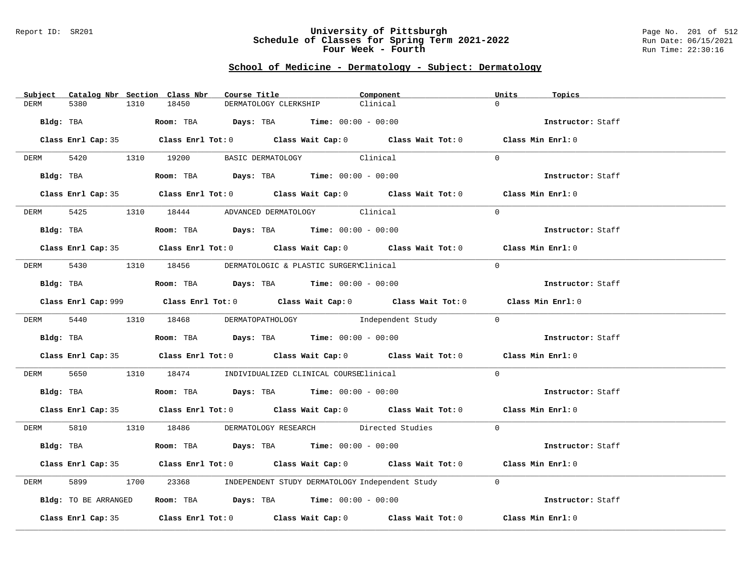#### Report ID: SR201 **University of Pittsburgh** Page No. 201 of 512 **Schedule of Classes for Spring Term 2021-2022** Run Date: 06/15/2021 **Four Week - Fourth Rundall Run Time:** 22:30:16

# **School of Medicine - Dermatology - Subject: Dermatology**

| Subject Catalog Nbr Section Class Nbr | Course Title                                                                                | Component         | Units<br>Topics   |
|---------------------------------------|---------------------------------------------------------------------------------------------|-------------------|-------------------|
| <b>DERM</b><br>5380<br>1310           | 18450<br>DERMATOLOGY CLERKSHIP                                                              | Clinical          | $\Omega$          |
| Bldg: TBA                             | Room: TBA $\rule{1em}{0.15mm}$ Days: TBA Time: $00:00 - 00:00$                              |                   | Instructor: Staff |
|                                       |                                                                                             |                   |                   |
|                                       | Class Enrl Cap: 35 Class Enrl Tot: 0 Class Wait Cap: 0 Class Wait Tot: 0 Class Min Enrl: 0  |                   |                   |
|                                       | DERM 5420 1310 19200 BASIC DERMATOLOGY Clinical                                             |                   | $\Omega$          |
|                                       | Bldg: TBA                  Room: TBA        Days: TBA        Time: 00:00 - 00:00            |                   | Instructor: Staff |
|                                       | Class Enrl Cap: 35 Class Enrl Tot: 0 Class Wait Cap: 0 Class Wait Tot: 0 Class Min Enrl: 0  |                   |                   |
|                                       | DERM 5425 1310 18444 ADVANCED DERMATOLOGY Clinical                                          |                   | $\Omega$          |
| Bldg: TBA                             | Room: TBA $Days:$ TBA $Time: 00:00 - 00:00$                                                 |                   | Instructor: Staff |
|                                       | Class Enrl Cap: 35 Class Enrl Tot: 0 Class Wait Cap: 0 Class Wait Tot: 0 Class Min Enrl: 0  |                   |                   |
|                                       | DERM 5430 1310 18456 DERMATOLOGIC & PLASTIC SURGERYClinical                                 |                   | $\Omega$          |
|                                       | Bldg: TBA                   Room: TBA         Days: TBA         Time: $00:00 - 00:00$       |                   | Instructor: Staff |
|                                       | Class Enrl Cap: 999 Class Enrl Tot: 0 Class Wait Cap: 0 Class Wait Tot: 0 Class Min Enrl: 0 |                   |                   |
|                                       | DERM 5440 1310 18468 DERMATOPATHOLOGY                                                       | Independent Study | $\bigcap$         |
| Bldg: TBA                             | Room: TBA $Days:$ TBA $Time:$ 00:00 - 00:00                                                 |                   | Instructor: Staff |
|                                       | Class Enrl Cap: 35 Class Enrl Tot: 0 Class Wait Cap: 0 Class Wait Tot: 0 Class Min Enrl: 0  |                   |                   |
| DERM                                  | 5650 1310 18474 INDIVIDUALIZED CLINICAL COURSEClinical                                      |                   | $\Omega$          |
|                                       | Bldg: TBA                    Room: TBA         Days: TBA         Time: $00:00 - 00:00$      |                   | Instructor: Staff |
|                                       | Class Enrl Cap: 35 Class Enrl Tot: 0 Class Wait Cap: 0 Class Wait Tot: 0 Class Min Enrl: 0  |                   |                   |
|                                       | DERM 5810 1310 18486 DERMATOLOGY RESEARCH Directed Studies                                  |                   | $\Omega$          |
| Bldg: TBA                             | Room: TBA $\rule{1em}{0.15mm}$ Days: TBA Time: $00:00 - 00:00$                              |                   | Instructor: Staff |
|                                       | Class Enrl Cap: 35 Class Enrl Tot: 0 Class Wait Cap: 0 Class Wait Tot: 0 Class Min Enrl: 0  |                   |                   |
| 5899<br>DERM                          | 1700 23368 INDEPENDENT STUDY DERMATOLOGY Independent Study                                  |                   | $\Omega$          |
| Bldg: TO BE ARRANGED                  | Room: TBA $\rule{1em}{0.15mm}$ Days: TBA $\rule{1.5mm}{0.15mm}$ Time: $00:00 - 00:00$       |                   | Instructor: Staff |
|                                       | Class Enrl Cap: 35 Class Enrl Tot: 0 Class Wait Cap: 0 Class Wait Tot: 0                    |                   | Class Min Enrl: 0 |
|                                       |                                                                                             |                   |                   |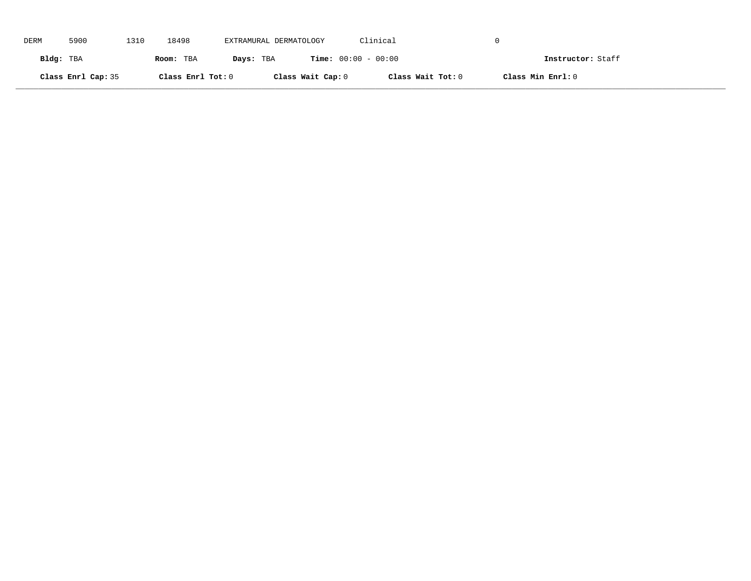| DERM      | 5900               | 1310 | 18498             | EXTRAMURAL DERMATOLOGY |                              | Clinical          |                   |
|-----------|--------------------|------|-------------------|------------------------|------------------------------|-------------------|-------------------|
| Bldg: TBA |                    |      | Room: TBA         | Days: TBA              | <b>Time:</b> $00:00 - 00:00$ |                   | Instructor: Staff |
|           | Class Enrl Cap: 35 |      | Class Enrl Tot: 0 |                        | Class Wait Cap: 0            | Class Wait Tot: 0 | Class Min Enrl: 0 |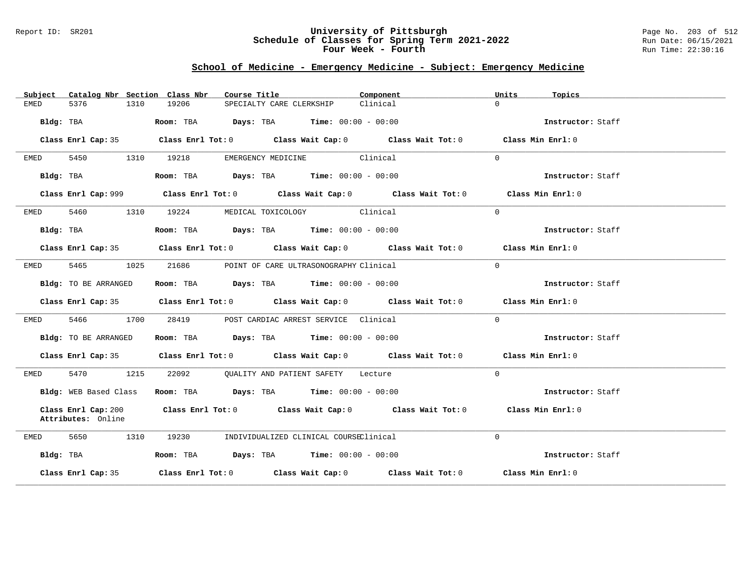#### Report ID: SR201 **University of Pittsburgh** Page No. 203 of 512 **Schedule of Classes for Spring Term 2021-2022** Run Date: 06/15/2021 **Four Week - Fourth Rundall Run Time:** 22:30:16

# **School of Medicine - Emergency Medicine - Subject: Emergency Medicine**

| Catalog Nbr Section Class Nbr<br>Subject | Course Title                                                                                | Component<br>Units   | Topics            |
|------------------------------------------|---------------------------------------------------------------------------------------------|----------------------|-------------------|
| 5376<br>EMED<br>1310                     | 19206<br>SPECIALTY CARE CLERKSHIP                                                           | $\Omega$<br>Clinical |                   |
| Bldg: TBA                                | <b>Room:</b> TBA $Days: TBA$ <b>Time:</b> $00:00 - 00:00$                                   |                      | Instructor: Staff |
|                                          | Class Enrl Cap: 35 Class Enrl Tot: 0 Class Wait Cap: 0 Class Wait Tot: 0 Class Min Enrl: 0  |                      |                   |
| 5450<br>EMED                             | EMERGENCY MEDICINE Clinical<br>1310 19218                                                   | $\Omega$             |                   |
| Bldg: TBA                                | Room: TBA $\rule{1em}{0.15mm}$ Days: TBA $\rule{1.5mm}{0.15mm}$ Time: $00:00 - 00:00$       |                      | Instructor: Staff |
|                                          | Class Enrl Cap: 999 Class Enrl Tot: 0 Class Wait Cap: 0 Class Wait Tot: 0 Class Min Enrl: 0 |                      |                   |
| 5460 1310 19224<br>EMED                  | MEDICAL TOXICOLOGY Clinical                                                                 | $\Omega$             |                   |
| Bldg: TBA                                | Room: TBA $Days:$ TBA $Time: 00:00 - 00:00$                                                 |                      | Instructor: Staff |
|                                          | Class Enrl Cap: 35 Class Enrl Tot: 0 Class Wait Cap: 0 Class Wait Tot: 0 Class Min Enrl: 0  |                      |                   |
| 5465 1025<br>EMED                        | 21686<br>POINT OF CARE ULTRASONOGRAPHY Clinical                                             | $\Omega$             |                   |
| Bldg: TO BE ARRANGED                     | Room: TBA $Days: TBA$ Time: $00:00 - 00:00$                                                 |                      | Instructor: Staff |
|                                          | Class Enrl Cap: 35 Class Enrl Tot: 0 Class Wait Cap: 0 Class Wait Tot: 0 Class Min Enrl: 0  |                      |                   |
| 5466 1700<br>EMED                        | 28419 POST CARDIAC ARREST SERVICE Clinical                                                  | $\Omega$             |                   |
| Bldg: TO BE ARRANGED                     | Room: TBA $Days:$ TBA $Time: 00:00 - 00:00$                                                 |                      | Instructor: Staff |
|                                          | Class Enrl Cap: 35 Class Enrl Tot: 0 Class Wait Cap: 0 Class Wait Tot: 0 Class Min Enrl: 0  |                      |                   |
| 5470 1215<br>EMED                        | 22092 QUALITY AND PATIENT SAFETY Lecture                                                    | $\Omega$             |                   |
| Bldg: WEB Based Class                    | Room: TBA $Days:$ TBA $Time: 00:00 - 00:00$                                                 |                      | Instructor: Staff |
| Attributes: Online                       | Class Enrl Cap: 200 Class Enrl Tot: 0 Class Wait Cap: 0 Class Wait Tot: 0 Class Min Enrl: 0 |                      |                   |
| 5650<br>1310<br>EMED                     | 19230 INDIVIDUALIZED CLINICAL COURSEClinical                                                | $\Omega$             |                   |
| Bldg: TBA                                | Room: TBA $Days:$ TBA $Time: 00:00 - 00:00$                                                 |                      | Instructor: Staff |
| Class Enrl Cap: 35                       | Class Enrl Tot: $0$ Class Wait Cap: $0$ Class Wait Tot: $0$ Class Min Enrl: $0$             |                      |                   |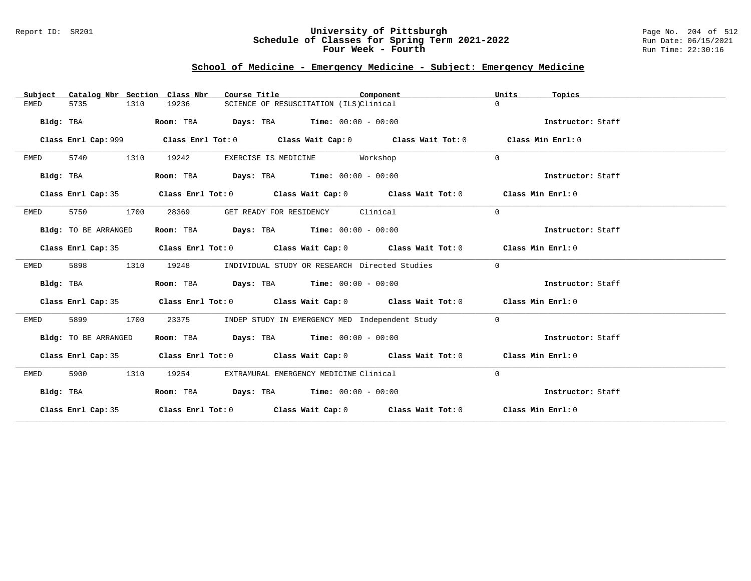### Report ID: SR201 **University of Pittsburgh** Page No. 204 of 512 **Schedule of Classes for Spring Term 2021-2022** Run Date: 06/15/2021 **Four Week - Fourth Rundall Run Time:** 22:30:16

# **School of Medicine - Emergency Medicine - Subject: Emergency Medicine**

| Catalog Nbr Section Class Nbr<br>Subject | Course Title                                                                               | Component                                      | Units<br>Topics   |
|------------------------------------------|--------------------------------------------------------------------------------------------|------------------------------------------------|-------------------|
| <b>EMED</b><br>5735<br>1310              | 19236<br>SCIENCE OF RESUSCITATION (ILS)Clinical                                            |                                                | $\Omega$          |
| Bldg: TBA                                | $\texttt{Days:}$ TBA $\texttt{Time:}$ 00:00 - 00:00<br>Room: TBA                           |                                                | Instructor: Staff |
| Class Enrl Cap: 999                      | Class Enrl Tot: $0$ Class Wait Cap: $0$ Class Wait Tot: $0$                                |                                                | Class Min Enrl: 0 |
| 5740<br>1310<br>EMED                     | 19242<br>EXERCISE IS MEDICINE Workshop                                                     |                                                | $\Omega$          |
| Bldg: TBA                                | Room: TBA $Days:$ TBA $Time: 00:00 - 00:00$                                                |                                                | Instructor: Staff |
| Class Enrl Cap: 35                       | Class Enrl Tot: $0$ Class Wait Cap: $0$ Class Wait Tot: $0$ Class Min Enrl: $0$            |                                                |                   |
| 5750<br>1700<br>EMED                     | 28369<br>GET READY FOR RESIDENCY Clinical                                                  |                                                | $\mathbf 0$       |
| Bldg: TO BE ARRANGED                     | Room: TBA $Days:$ TBA $Time: 00:00 - 00:00$                                                |                                                | Instructor: Staff |
| Class Enrl Cap: 35                       | Class Enrl Tot: $0$ Class Wait Cap: $0$ Class Wait Tot: $0$ Class Min Enrl: $0$            |                                                |                   |
| 5898<br>1310<br>EMED                     | 19248<br>INDIVIDUAL STUDY OR RESEARCH Directed Studies                                     |                                                | $\mathbf 0$       |
| Bldg: TBA                                | Room: TBA $Days:$ TBA $Time: 00:00 - 00:00$                                                |                                                | Instructor: Staff |
|                                          | Class Enrl Cap: 35 Class Enrl Tot: 0 Class Wait Cap: 0 Class Wait Tot: 0 Class Min Enrl: 0 |                                                |                   |
| 5899<br>1700<br>EMED                     | 23375                                                                                      | INDEP STUDY IN EMERGENCY MED Independent Study | $\overline{0}$    |
| Bldg: TO BE ARRANGED                     | Room: TBA Days: TBA Time: $00:00 - 00:00$                                                  |                                                | Instructor: Staff |
|                                          | Class Enrl Cap: 35 Class Enrl Tot: 0 Class Wait Cap: 0 Class Wait Tot: 0 Class Min Enrl: 0 |                                                |                   |
| 1310<br>5900<br>EMED                     | 19254<br>EXTRAMURAL EMERGENCY MEDICINE Clinical                                            |                                                | $\mathbf 0$       |
| Bldg: TBA                                | Room: TBA $Days:$ TBA $Time: 00:00 - 00:00$                                                |                                                | Instructor: Staff |
|                                          | Class Enrl Cap: 35 Class Enrl Tot: 0 Class Wait Cap: 0 Class Wait Tot: 0 Class Min Enrl: 0 |                                                |                   |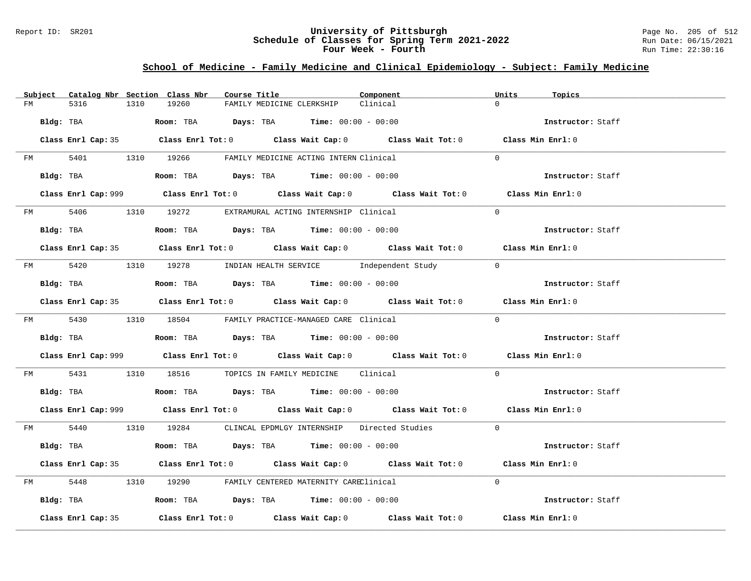### Report ID: SR201 **University of Pittsburgh** Page No. 205 of 512 **Schedule of Classes for Spring Term 2021-2022** Run Date: 06/15/2021 **Four Week - Fourth Rundall Run Time:** 22:30:16

# **School of Medicine - Family Medicine and Clinical Epidemiology - Subject: Family Medicine**

|         | Subject Catalog Nbr Section Class Nbr | Course Title                                                                                | Component | Units<br>Topics   |
|---------|---------------------------------------|---------------------------------------------------------------------------------------------|-----------|-------------------|
| FM      | 5316<br>1310                          | 19260<br>FAMILY MEDICINE CLERKSHIP                                                          | Clinical  | $\Omega$          |
|         | Bldg: TBA                             | Room: TBA $Days:$ TBA $Time: 00:00 - 00:00$                                                 |           | Instructor: Staff |
|         |                                       | Class Enrl Cap: 35 Class Enrl Tot: 0 Class Wait Cap: 0 Class Wait Tot: 0 Class Min Enrl: 0  |           |                   |
|         |                                       | FM 5401 1310 19266 FAMILY MEDICINE ACTING INTERN Clinical                                   |           | $\Omega$          |
|         | Bldg: TBA                             | Room: TBA $Days:$ TBA $Time: 00:00 - 00:00$                                                 |           | Instructor: Staff |
|         |                                       | Class Enrl Cap: 999 Class Enrl Tot: 0 Class Wait Cap: 0 Class Wait Tot: 0 Class Min Enrl: 0 |           |                   |
|         |                                       | FM 5406 1310 19272 EXTRAMURAL ACTING INTERNSHIP Clinical                                    |           | $\Omega$          |
|         | Bldg: TBA                             | Room: TBA $Days:$ TBA $Time: 00:00 - 00:00$                                                 |           | Instructor: Staff |
|         |                                       | Class Enrl Cap: 35 Class Enrl Tot: 0 Class Wait Cap: 0 Class Wait Tot: 0 Class Min Enrl: 0  |           |                   |
|         |                                       | FM 5420 1310 19278 INDIAN HEALTH SERVICE Independent Study 0                                |           |                   |
|         | Bldg: TBA                             | Room: TBA $Days:$ TBA Time: $00:00 - 00:00$                                                 |           | Instructor: Staff |
|         |                                       | Class Enrl Cap: 35 Class Enrl Tot: 0 Class Wait Cap: 0 Class Wait Tot: 0 Class Min Enrl: 0  |           |                   |
|         |                                       | FM 5430 1310 18504 FAMILY PRACTICE-MANAGED CARE Clinical                                    |           | $\Omega$          |
|         |                                       | <b>Bldg:</b> TBA <b>Room:</b> TBA <b>Days:</b> TBA <b>Time:</b> $00:00 - 00:00$             |           | Instructor: Staff |
|         |                                       | Class Enrl Cap: 999 Class Enrl Tot: 0 Class Wait Cap: 0 Class Wait Tot: 0 Class Min Enrl: 0 |           |                   |
| FM 5431 |                                       | 1310 18516 TOPICS IN FAMILY MEDICINE Clinical                                               |           | $\Omega$          |
|         |                                       | Bldg: TBA                       Room: TBA          Days: TBA         Time: 00:00 - 00:00    |           | Instructor: Staff |
|         |                                       | Class Enrl Cap: 999 Class Enrl Tot: 0 Class Wait Cap: 0 Class Wait Tot: 0 Class Min Enrl: 0 |           |                   |
|         |                                       | FM 5440 1310 19284 CLINCAL EPDMLGY INTERNSHIP Directed Studies 0                            |           |                   |
|         | Bldg: TBA                             | Room: TBA $Days:$ TBA $Time:$ $00:00 - 00:00$                                               |           | Instructor: Staff |
|         |                                       | Class Enrl Cap: 35 Class Enrl Tot: 0 Class Wait Cap: 0 Class Wait Tot: 0 Class Min Enrl: 0  |           |                   |
|         |                                       | FM 5448 1310 19290 FAMILY CENTERED MATERNITY CAREClinical                                   |           | $\Omega$          |
|         |                                       | Bldg: TBA                  Room: TBA        Days: TBA        Time: 00:00 - 00:00            |           | Instructor: Staff |
|         | Class Enrl Cap: 35                    | Class Enrl Tot: $0$ Class Wait Cap: $0$ Class Wait Tot: $0$ Class Min Enrl: $0$             |           |                   |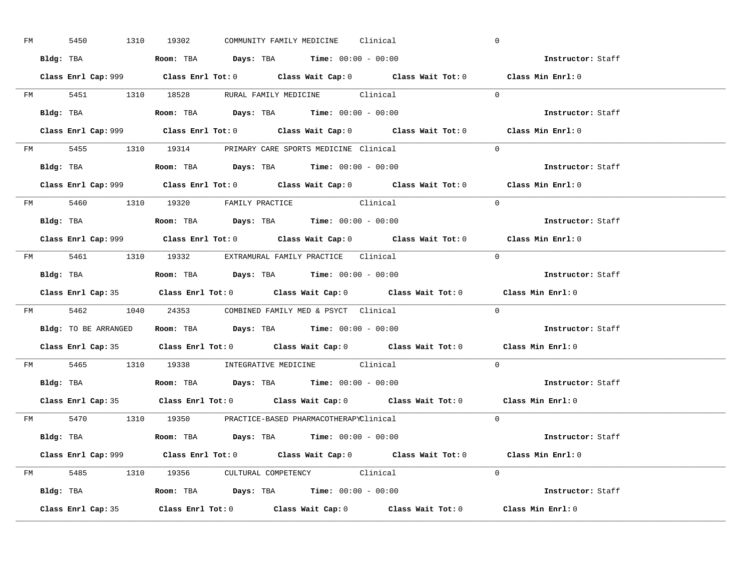| FM | 5450 | 1310 19302 |  | COMMUNITY FAMILY MEDICINE Clinical                                                     |                                                                                             | $\overline{0}$ |                          |  |
|----|------|------------|--|----------------------------------------------------------------------------------------|---------------------------------------------------------------------------------------------|----------------|--------------------------|--|
|    |      |            |  | Bldg: TBA                   Room: TBA         Days: TBA         Time: $00:00 - 00:00$  |                                                                                             |                | Instructor: Staff        |  |
|    |      |            |  |                                                                                        | Class Enrl Cap: 999 Class Enrl Tot: 0 Class Wait Cap: 0 Class Wait Tot: 0 Class Min Enrl: 0 |                |                          |  |
|    |      |            |  |                                                                                        | FM 5451 1310 18528 RURAL FAMILY MEDICINE Clinical 0                                         |                |                          |  |
|    |      |            |  | Bldg: TBA                   Room: TBA         Days: TBA         Time: $00:00 - 00:00$  |                                                                                             |                | Instructor: Staff        |  |
|    |      |            |  |                                                                                        | Class Enrl Cap: 999 Class Enrl Tot: 0 Class Wait Cap: 0 Class Wait Tot: 0 Class Min Enrl: 0 |                |                          |  |
|    |      |            |  | FM 5455 1310 19314 PRIMARY CARE SPORTS MEDICINE Clinical                               |                                                                                             | $\Omega$       |                          |  |
|    |      |            |  | Bldg: TBA                    Room: TBA         Days: TBA        Time: $00:00 - 00:00$  |                                                                                             |                | Instructor: Staff        |  |
|    |      |            |  |                                                                                        | Class Enrl Cap: 999 Class Enrl Tot: 0 Class Wait Cap: 0 Class Wait Tot: 0 Class Min Enrl: 0 |                |                          |  |
|    |      |            |  | FM 5460 1310 19320 FAMILY PRACTICE Clinical                                            |                                                                                             | $\Omega$       |                          |  |
|    |      |            |  | Bldg: TBA<br>Room: TBA<br>Days: TBA<br>Time: $00:00 - 00:00$                           |                                                                                             |                | Instructor: Staff        |  |
|    |      |            |  |                                                                                        | Class Enrl Cap: 999 Class Enrl Tot: 0 Class Wait Cap: 0 Class Wait Tot: 0 Class Min Enrl: 0 |                |                          |  |
|    |      |            |  | FM 5461 1310 19332 EXTRAMURAL FAMILY PRACTICE Clinical                                 |                                                                                             | $\bigcirc$     |                          |  |
|    |      |            |  |                                                                                        |                                                                                             |                | Instructor: Staff        |  |
|    |      |            |  |                                                                                        | Class Enrl Cap: 35 Class Enrl Tot: 0 Class Wait Cap: 0 Class Wait Tot: 0 Class Min Enrl: 0  |                |                          |  |
|    |      |            |  | FM 5462 1040 24353 COMBINED FAMILY MED & PSYCT Clinical                                |                                                                                             | $\overline{0}$ |                          |  |
|    |      |            |  | Bldg: TO BE ARRANGED ROOM: TBA Days: TBA Time: 00:00 - 00:00                           |                                                                                             |                | <b>Instructor:</b> Staff |  |
|    |      |            |  |                                                                                        | Class Enrl Cap: 35 Class Enrl Tot: 0 Class Wait Cap: 0 Class Wait Tot: 0 Class Min Enrl: 0  |                |                          |  |
|    |      |            |  | FM 5465 1310 19338 INTEGRATIVE MEDICINE Clinical                                       |                                                                                             | $\Omega$       |                          |  |
|    |      |            |  | Bldg: TBA                    Room: TBA         Days: TBA         Time: $00:00 - 00:00$ |                                                                                             |                | Instructor: Staff        |  |
|    |      |            |  |                                                                                        | Class Enrl Cap: 35 Class Enrl Tot: 0 Class Wait Cap: 0 Class Wait Tot: 0 Class Min Enrl: 0  |                |                          |  |
|    |      |            |  |                                                                                        |                                                                                             |                |                          |  |
|    |      |            |  | FM 5470 1310 19350 PRACTICE-BASED PHARMACOTHERAPYClinical                              |                                                                                             | $\Omega$       |                          |  |
|    |      |            |  | Bldg: TBA                   Room: TBA         Days: TBA         Time: 00:00 - 00:00    |                                                                                             |                | Instructor: Staff        |  |
|    |      |            |  |                                                                                        | Class Enrl Cap: 999 Class Enrl Tot: 0 Class Wait Cap: 0 Class Wait Tot: 0 Class Min Enrl: 0 |                |                          |  |
|    |      |            |  | FM 5485 1310 19356 CULTURAL COMPETENCY Clinical                                        |                                                                                             | $\Omega$       |                          |  |
|    |      |            |  | <b>Bldg:</b> TBA <b>ROOM:</b> TBA <b>Days:</b> TBA <b>Time:</b> $00:00 - 00:00$        |                                                                                             |                | Instructor: Staff        |  |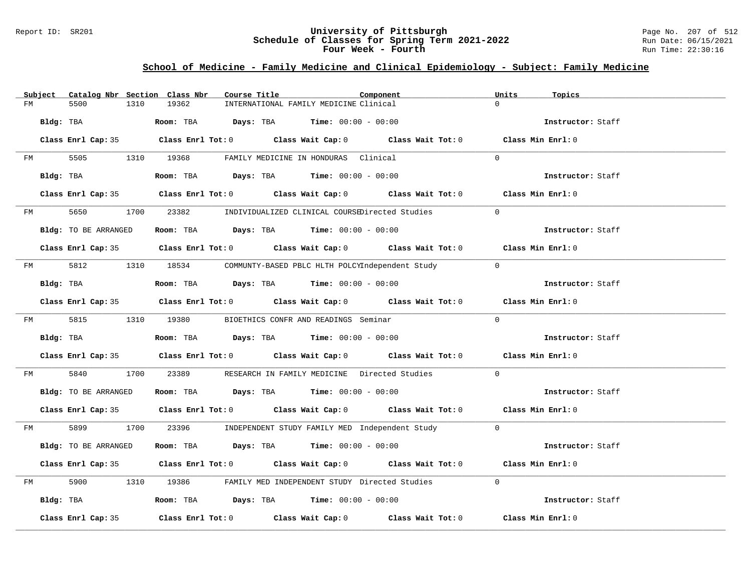### Report ID: SR201 **University of Pittsburgh** Page No. 207 of 512 **Schedule of Classes for Spring Term 2021-2022** Run Date: 06/15/2021 **Four Week - Fourth Rundall Run Time:** 22:30:16

# **School of Medicine - Family Medicine and Clinical Epidemiology - Subject: Family Medicine**

|    | Subject   |                      |      | Catalog Nbr Section Class Nbr | Course Title |                                                      | Component                                                                                  | Units          | Topics            |  |
|----|-----------|----------------------|------|-------------------------------|--------------|------------------------------------------------------|--------------------------------------------------------------------------------------------|----------------|-------------------|--|
| FM |           | 5500                 | 1310 | 19362                         |              | INTERNATIONAL FAMILY MEDICINE Clinical               |                                                                                            | $\Omega$       |                   |  |
|    | Bldg: TBA |                      |      |                               |              | Room: TBA $Days:$ TBA $Time: 00:00 - 00:00$          |                                                                                            |                | Instructor: Staff |  |
|    |           |                      |      |                               |              |                                                      | Class Enrl Cap: 35 Class Enrl Tot: 0 Class Wait Cap: 0 Class Wait Tot: 0 Class Min Enrl: 0 |                |                   |  |
| FM |           |                      |      |                               |              | 5505 1310 19368 FAMILY MEDICINE IN HONDURAS Clinical |                                                                                            | $\Omega$       |                   |  |
|    |           | Bldg: TBA            |      |                               |              | Room: TBA $Days:$ TBA $Time: 00:00 - 00:00$          |                                                                                            |                | Instructor: Staff |  |
|    |           |                      |      |                               |              |                                                      | Class Enrl Cap: 35 Class Enrl Tot: 0 Class Wait Cap: 0 Class Wait Tot: 0 Class Min Enrl: 0 |                |                   |  |
|    |           | FM 5650              |      |                               |              |                                                      | 1700 23382 INDIVIDUALIZED CLINICAL COURSEDirected Studies                                  | $\Omega$       |                   |  |
|    |           | Bldg: TO BE ARRANGED |      |                               |              | Room: TBA $Days:$ TBA $Time: 00:00 - 00:00$          |                                                                                            |                | Instructor: Staff |  |
|    |           |                      |      |                               |              |                                                      | Class Enrl Cap: 35 Class Enrl Tot: 0 Class Wait Cap: 0 Class Wait Tot: 0 Class Min Enrl: 0 |                |                   |  |
|    |           |                      |      |                               |              |                                                      | FM 5812 1310 18534 COMMUNTY-BASED PBLC HLTH POLCYIndependent Study                         | $\overline{0}$ |                   |  |
|    |           | Bldg: TBA            |      |                               |              | Room: TBA $Days:$ TBA $Time: 00:00 - 00:00$          |                                                                                            |                | Instructor: Staff |  |
|    |           |                      |      |                               |              |                                                      | Class Enrl Cap: 35 Class Enrl Tot: 0 Class Wait Cap: 0 Class Wait Tot: 0 Class Min Enrl: 0 |                |                   |  |
|    |           | FM 5815 1310 19380   |      |                               |              | BIOETHICS CONFR AND READINGS Seminar                 |                                                                                            | $\Omega$       |                   |  |
|    |           | Bldg: TBA            |      |                               |              | Room: TBA $Days:$ TBA $Time: 00:00 - 00:00$          |                                                                                            |                | Instructor: Staff |  |
|    |           |                      |      |                               |              |                                                      | Class Enrl Cap: 35 Class Enrl Tot: 0 Class Wait Cap: 0 Class Wait Tot: 0 Class Min Enrl: 0 |                |                   |  |
| FM |           | 5840                 |      |                               |              |                                                      | 1700 23389 RESEARCH IN FAMILY MEDICINE Directed Studies                                    | $\Omega$       |                   |  |
|    |           | Bldg: TO BE ARRANGED |      |                               |              | Room: TBA $Days:$ TBA $Time: 00:00 - 00:00$          |                                                                                            |                | Instructor: Staff |  |
|    |           |                      |      |                               |              |                                                      | Class Enrl Cap: 35 Class Enrl Tot: 0 Class Wait Cap: 0 Class Wait Tot: 0 Class Min Enrl: 0 |                |                   |  |
|    |           |                      |      |                               |              |                                                      | FM 5899 1700 23396 INDEPENDENT STUDY FAMILY MED Independent Study 0                        |                |                   |  |
|    |           | Bldg: TO BE ARRANGED |      |                               |              | Room: TBA $Days:$ TBA $Time: 00:00 - 00:00$          |                                                                                            |                | Instructor: Staff |  |
|    |           |                      |      |                               |              |                                                      | Class Enrl Cap: 35 Class Enrl Tot: 0 Class Wait Cap: 0 Class Wait Tot: 0 Class Min Enrl: 0 |                |                   |  |
| FM |           |                      |      |                               |              |                                                      | 5900 1310 19386 FAMILY MED INDEPENDENT STUDY Directed Studies                              | $\Omega$       |                   |  |
|    |           | Bldg: TBA            |      |                               |              | Room: TBA $Days:$ TBA $Time:$ $00:00 - 00:00$        |                                                                                            |                | Instructor: Staff |  |
|    |           | Class Enrl Cap: 35   |      |                               |              |                                                      | Class Enrl Tot: $0$ Class Wait Cap: $0$ Class Wait Tot: $0$ Class Min Enrl: $0$            |                |                   |  |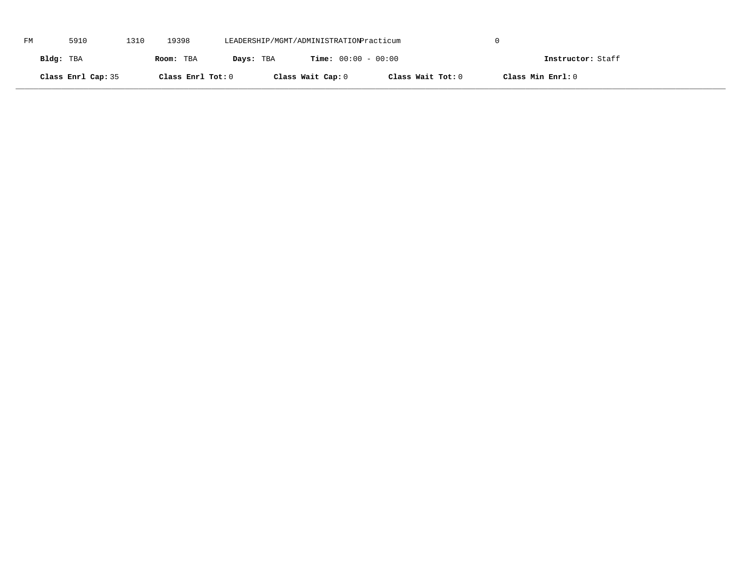| FM | 5910               | 1310 | 19398             | LEADERSHIP/MGMT/ADMINISTRATIONPracticum |                              |                   |                   |  |
|----|--------------------|------|-------------------|-----------------------------------------|------------------------------|-------------------|-------------------|--|
|    | Bldg: TBA          |      | Room: TBA         | Days: TBA                               | <b>Time:</b> $00:00 - 00:00$ |                   | Instructor: Staff |  |
|    | Class Enrl Cap: 35 |      | Class Enrl Tot: 0 |                                         | Class Wait Cap: 0            | Class Wait Tot: 0 | Class Min Enrl: 0 |  |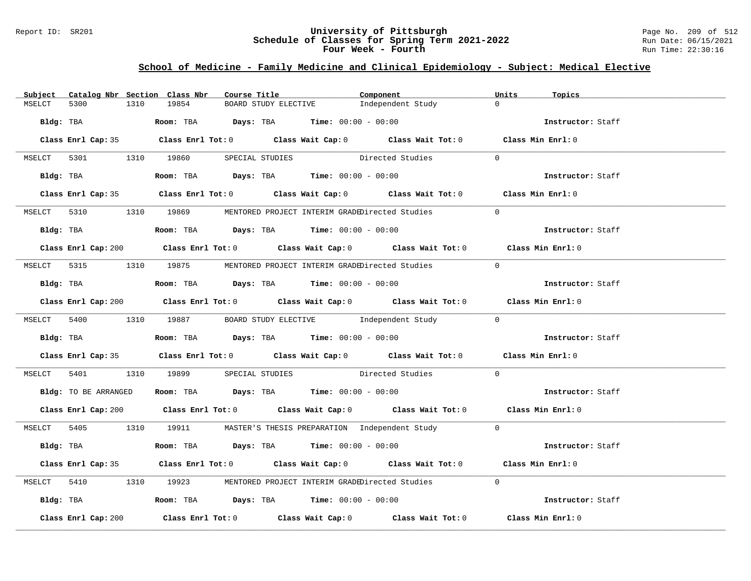### Report ID: SR201 **University of Pittsburgh** Page No. 209 of 512 **Schedule of Classes for Spring Term 2021-2022** Run Date: 06/15/2021 **Four Week - Fourth Rundall Run Time:** 22:30:16

# **School of Medicine - Family Medicine and Clinical Epidemiology - Subject: Medical Elective**

|        | Subject Catalog Nbr Section Class Nbr |      |       | Course Title |                                                                                                  | Component                                                                                   | Units          | Topics            |
|--------|---------------------------------------|------|-------|--------------|--------------------------------------------------------------------------------------------------|---------------------------------------------------------------------------------------------|----------------|-------------------|
| MSELCT | 5300                                  | 1310 | 19854 |              | BOARD STUDY ELECTIVE                                                                             | Independent Study                                                                           | $\Omega$       |                   |
|        |                                       |      |       |              | Bldg: TBA $\blacksquare$ Room: TBA $\blacksquare$ Days: TBA $\blacksquare$ Time: $00:00 - 00:00$ |                                                                                             |                | Instructor: Staff |
|        |                                       |      |       |              |                                                                                                  | Class Enrl Cap: 35 Class Enrl Tot: 0 Class Wait Cap: 0 Class Wait Tot: 0 Class Min Enrl: 0  |                |                   |
|        |                                       |      |       |              |                                                                                                  | MSELCT 5301 1310 19860 SPECIAL STUDIES Directed Studies                                     | $\Omega$       |                   |
|        | Bldg: TBA                             |      |       |              |                                                                                                  | Room: TBA $Days:$ TBA $Time:$ $00:00 - 00:00$                                               |                | Instructor: Staff |
|        |                                       |      |       |              |                                                                                                  | Class Enrl Cap: 35 Class Enrl Tot: 0 Class Wait Cap: 0 Class Wait Tot: 0 Class Min Enrl: 0  |                |                   |
|        |                                       |      |       |              |                                                                                                  | MSELCT 5310 1310 19869 MENTORED PROJECT INTERIM GRADEDirected Studies                       | $\bigcirc$     |                   |
|        |                                       |      |       |              | Bldg: TBA                   Room: TBA         Days: TBA        Time: 00:00 - 00:00               |                                                                                             |                | Instructor: Staff |
|        |                                       |      |       |              |                                                                                                  | Class Enrl Cap: 200 Class Enrl Tot: 0 Class Wait Cap: 0 Class Wait Tot: 0 Class Min Enrl: 0 |                |                   |
|        |                                       |      |       |              |                                                                                                  | MSELCT 5315 1310 19875 MENTORED PROJECT INTERIM GRADEDirected Studies                       | $\overline{0}$ |                   |
|        |                                       |      |       |              |                                                                                                  |                                                                                             |                | Instructor: Staff |
|        |                                       |      |       |              |                                                                                                  | Class Enrl Cap: 200 Class Enrl Tot: 0 Class Wait Cap: 0 Class Wait Tot: 0 Class Min Enrl: 0 |                |                   |
|        |                                       |      |       |              |                                                                                                  | MSELCT 5400 1310 19887 BOARD STUDY ELECTIVE Independent Study 0                             |                |                   |
|        |                                       |      |       |              | <b>Bldg:</b> TBA <b>Room:</b> TBA <b>Days:</b> TBA <b>Time:</b> 00:00 - 00:00                    |                                                                                             |                | Instructor: Staff |
|        |                                       |      |       |              |                                                                                                  | Class Enrl Cap: 35 Class Enrl Tot: 0 Class Wait Cap: 0 Class Wait Tot: 0 Class Min Enrl: 0  |                |                   |
|        |                                       |      |       |              |                                                                                                  | MSELCT 5401 1310 19899 SPECIAL STUDIES Directed Studies 0                                   |                |                   |
|        |                                       |      |       |              | Bldg: TO BE ARRANGED Room: TBA Days: TBA Time: 00:00 - 00:00                                     |                                                                                             |                | Instructor: Staff |
|        |                                       |      |       |              |                                                                                                  | Class Enrl Cap: 200 Class Enrl Tot: 0 Class Wait Cap: 0 Class Wait Tot: 0 Class Min Enrl: 0 |                |                   |
|        |                                       |      |       |              |                                                                                                  | MSELCT 5405 1310 19911 MASTER'S THESIS PREPARATION Independent Study 0                      |                |                   |
|        |                                       |      |       |              | Bldg: TBA                    Room: TBA          Days: TBA         Time: 00:00 - 00:00            |                                                                                             |                | Instructor: Staff |
|        |                                       |      |       |              |                                                                                                  | Class Enrl Cap: 35 Class Enrl Tot: 0 Class Wait Cap: 0 Class Wait Tot: 0 Class Min Enrl: 0  |                |                   |
|        | MSELCT 5410                           |      |       |              |                                                                                                  | 1310 19923 MENTORED PROJECT INTERIM GRADEDirected Studies 0                                 |                |                   |
|        |                                       |      |       |              | Bldg: TBA                    Room: TBA         Days: TBA         Time: 00:00 - 00:00             |                                                                                             |                | Instructor: Staff |
|        | Class Enrl Cap: 200                   |      |       |              |                                                                                                  | Class Enrl Tot: $0$ Class Wait Cap: $0$ Class Wait Tot: $0$                                 |                | Class Min Enrl: 0 |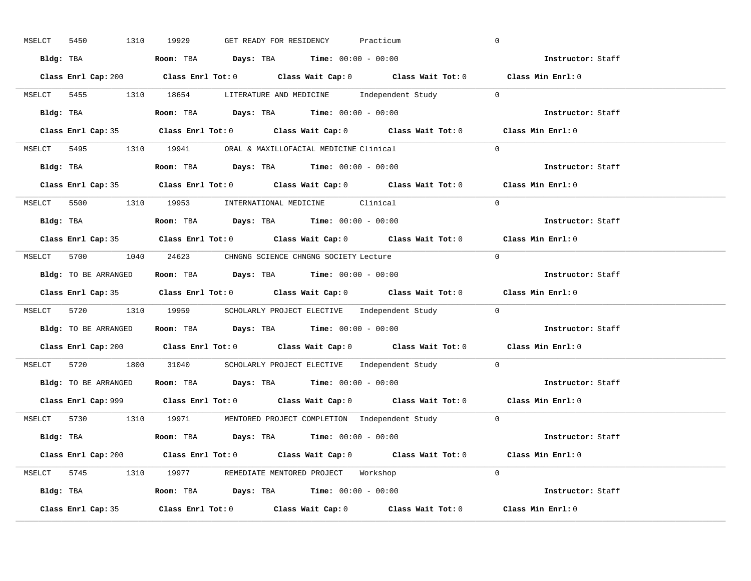| 1310<br>MSELCT<br>5450 | GET READY FOR RESIDENCY<br>19929<br>Practicum                                               | $\overline{0}$    |
|------------------------|---------------------------------------------------------------------------------------------|-------------------|
|                        | Bldg: TBA                   Room: TBA         Days: TBA         Time: 00:00 - 00:00         | Instructor: Staff |
|                        | Class Enrl Cap: 200 Class Enrl Tot: 0 Class Wait Cap: 0 Class Wait Tot: 0 Class Min Enrl: 0 |                   |
|                        | MSELCT 5455 1310 18654 LITERATURE AND MEDICINE Independent Study 0                          |                   |
|                        | Bldg: TBA                   Room: TBA         Days: TBA         Time: 00:00 - 00:00         | Instructor: Staff |
|                        | Class Enrl Cap: 35 Class Enrl Tot: 0 Class Wait Cap: 0 Class Wait Tot: 0 Class Min Enrl: 0  |                   |
|                        | MSELCT 5495 1310 19941 ORAL & MAXILLOFACIAL MEDICINE Clinical                               | $\Omega$          |
|                        | Bldg: TBA                    Room: TBA         Days: TBA        Time: $00:00 - 00:00$       | Instructor: Staff |
|                        | Class Enrl Cap: 35 Class Enrl Tot: 0 Class Wait Cap: 0 Class Wait Tot: 0 Class Min Enrl: 0  |                   |
|                        | MSELCT 5500 1310 19953 INTERNATIONAL MEDICINE Clinical                                      | $\Omega$          |
|                        | Bldg: TBA                    Room: TBA         Days: TBA         Time: $00:00 - 00:00$      | Instructor: Staff |
|                        | Class Enrl Cap: 35 Class Enrl Tot: 0 Class Wait Cap: 0 Class Wait Tot: 0 Class Min Enrl: 0  |                   |
|                        | MSELCT 5700 1040 24623 CHNGNG SCIENCE CHNGNG SOCIETY Lecture                                | $\bigcirc$        |
|                        | Bldg: TO BE ARRANGED Room: TBA Days: TBA Time: 00:00 - 00:00                                | Instructor: Staff |
|                        | Class Enrl Cap: 35 Class Enrl Tot: 0 Class Wait Cap: 0 Class Wait Tot: 0 Class Min Enrl: 0  |                   |
|                        | MSELCT 5720 1310 19959 SCHOLARLY PROJECT ELECTIVE Independent Study 0                       |                   |
|                        | Bldg: TO BE ARRANGED ROOM: TBA Days: TBA Time: 00:00 - 00:00                                | Instructor: Staff |
|                        |                                                                                             |                   |
|                        | Class Enrl Cap: 200 Class Enrl Tot: 0 Class Wait Cap: 0 Class Wait Tot: 0 Class Min Enrl: 0 |                   |
|                        | MSELCT 5720 1800 31040 SCHOLARLY PROJECT ELECTIVE Independent Study 0                       |                   |
|                        | Bldg: TO BE ARRANGED Room: TBA Days: TBA Time: 00:00 - 00:00                                | Instructor: Staff |
|                        | Class Enrl Cap: 999 Class Enrl Tot: 0 Class Wait Cap: 0 Class Wait Tot: 0 Class Min Enrl: 0 |                   |
|                        | MSELCT 5730 1310 19971 MENTORED PROJECT COMPLETION Independent Study 0                      |                   |
|                        | Bldg: TBA                     Room: TBA         Days: TBA         Time: 00:00 - 00:00       | Instructor: Staff |
|                        | Class Enrl Cap: 200 Class Enrl Tot: 0 Class Wait Cap: 0 Class Wait Tot: 0                   | Class Min Enrl: 0 |
|                        | MSELCT 5745 1310 19977 REMEDIATE MENTORED PROJECT Workshop                                  | $\Omega$          |
|                        | Bldg: TBA                   Room: TBA         Days: TBA        Time: 00:00 - 00:00          | Instructor: Staff |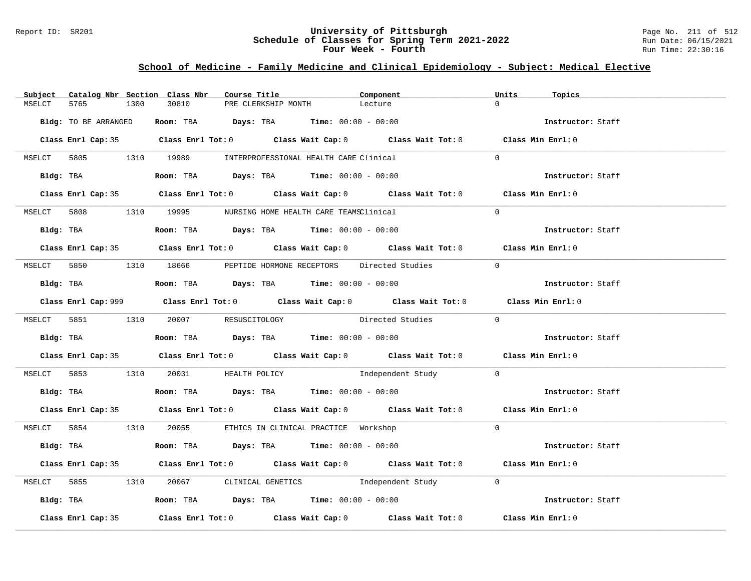### Report ID: SR201 **University of Pittsburgh** Page No. 211 of 512 **Schedule of Classes for Spring Term 2021-2022** Run Date: 06/15/2021 **Four Week - Fourth Rundall Run Time:** 22:30:16

### **School of Medicine - Family Medicine and Clinical Epidemiology - Subject: Medical Elective**

|        |                      |      | Subject Catalog Nbr Section Class Nbr                                                       | Course Title |                     | Component                                                                                   | Units          | Topics            |
|--------|----------------------|------|---------------------------------------------------------------------------------------------|--------------|---------------------|---------------------------------------------------------------------------------------------|----------------|-------------------|
| MSELCT | 5765                 | 1300 | 30810                                                                                       |              | PRE CLERKSHIP MONTH | Lecture                                                                                     | $\cap$         |                   |
|        | Bldg: TO BE ARRANGED |      | Room: TBA $Days:$ TBA $Time: 00:00 - 00:00$                                                 |              |                     |                                                                                             |                | Instructor: Staff |
|        |                      |      |                                                                                             |              |                     | Class Enrl Cap: 35 Class Enrl Tot: 0 Class Wait Cap: 0 Class Wait Tot: 0 Class Min Enrl: 0  |                |                   |
|        |                      |      | MSELCT 5805 1310 19989 INTERPROFESSIONAL HEALTH CARE Clinical                               |              |                     |                                                                                             | $\Omega$       |                   |
|        | Bldg: TBA            |      | Room: TBA $Days: TBA$ Time: $00:00 - 00:00$                                                 |              |                     |                                                                                             |                | Instructor: Staff |
|        |                      |      |                                                                                             |              |                     | Class Enrl Cap: 35 Class Enrl Tot: 0 Class Wait Cap: 0 Class Wait Tot: 0 Class Min Enrl: 0  |                |                   |
|        |                      |      | MSELCT 5808 1310 19995 NURSING HOME HEALTH CARE TEAMSClinical                               |              |                     |                                                                                             | $\Omega$       |                   |
|        |                      |      | Bldg: TBA                    Room: TBA         Days: TBA         Time: 00:00 - 00:00        |              |                     |                                                                                             |                | Instructor: Staff |
|        |                      |      |                                                                                             |              |                     | Class Enrl Cap: 35 Class Enrl Tot: 0 Class Wait Cap: 0 Class Wait Tot: 0 Class Min Enrl: 0  |                |                   |
|        |                      |      |                                                                                             |              |                     | MSELCT 5850 1310 18666 PEPTIDE HORMONE RECEPTORS Directed Studies                           | $\overline{0}$ |                   |
|        |                      |      | Bldg: TBA                         Room: TBA          Days: TBA          Time: 00:00 - 00:00 |              |                     |                                                                                             |                | Instructor: Staff |
|        |                      |      |                                                                                             |              |                     | Class Enrl Cap: 999 Class Enrl Tot: 0 Class Wait Cap: 0 Class Wait Tot: 0 Class Min Enrl: 0 |                |                   |
|        |                      |      | MSELCT 5851 1310 20007 RESUSCITOLOGY                                                        |              |                     | Directed Studies 0                                                                          |                |                   |
|        |                      |      | Bldg: TBA                    Room: TBA         Days: TBA         Time: 00:00 - 00:00        |              |                     |                                                                                             |                | Instructor: Staff |
|        |                      |      |                                                                                             |              |                     | Class Enrl Cap: 35 Class Enrl Tot: 0 Class Wait Cap: 0 Class Wait Tot: 0 Class Min Enrl: 0  |                |                   |
|        |                      |      |                                                                                             |              |                     | MSELCT 5853 1310 20031 HEALTH POLICY 1ndependent Study 0                                    |                |                   |
|        |                      |      | Bldg: TBA                    Room: TBA         Days: TBA         Time: 00:00 - 00:00        |              |                     |                                                                                             |                | Instructor: Staff |
|        |                      |      |                                                                                             |              |                     | Class Enrl Cap: 35 Class Enrl Tot: 0 Class Wait Cap: 0 Class Wait Tot: 0 Class Min Enrl: 0  |                |                   |
|        |                      |      | MSELCT 5854 1310 20055 ETHICS IN CLINICAL PRACTICE Workshop                                 |              |                     |                                                                                             | $\Omega$       |                   |
|        |                      |      | Bldg: TBA                    Room: TBA         Days: TBA         Time: 00:00 - 00:00        |              |                     |                                                                                             |                | Instructor: Staff |
|        |                      |      |                                                                                             |              |                     | Class Enrl Cap: 35 Class Enrl Tot: 0 Class Wait Cap: 0 Class Wait Tot: 0 Class Min Enrl: 0  |                |                   |
|        |                      |      |                                                                                             |              |                     | MSELCT 5855 1310 20067 CLINICAL GENETICS Independent Study 0                                |                |                   |
|        |                      |      | Bldg: TBA                    Room: TBA         Days: TBA         Time: 00:00 - 00:00        |              |                     |                                                                                             |                | Instructor: Staff |
|        | Class Enrl Cap: 35   |      |                                                                                             |              |                     | Class Enrl Tot: $0$ Class Wait Cap: $0$ Class Wait Tot: $0$                                 |                | Class Min Enrl: 0 |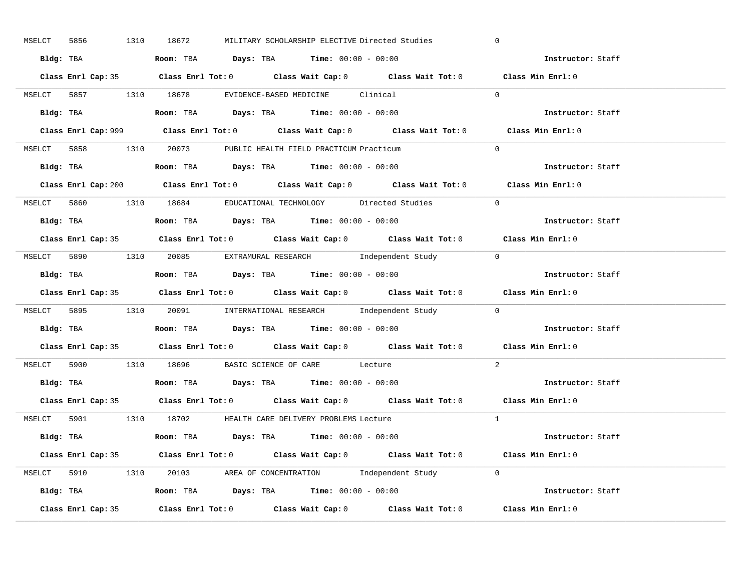| MSELCT 5856        | 1310 18672<br>MILITARY SCHOLARSHIP ELECTIVE Directed Studies                                | $\overline{0}$    |
|--------------------|---------------------------------------------------------------------------------------------|-------------------|
|                    | Bldg: TBA                   Room: TBA         Days: TBA        Time: $00:00 - 00:00$        | Instructor: Staff |
|                    | Class Enrl Cap: 35 Class Enrl Tot: 0 Class Wait Cap: 0 Class Wait Tot: 0 Class Min Enrl: 0  |                   |
|                    | MSELCT 5857 1310 18678 EVIDENCE-BASED MEDICINE Clinical                                     | $\Omega$          |
|                    |                                                                                             | Instructor: Staff |
|                    | Class Enrl Cap: 999 Class Enrl Tot: 0 Class Wait Cap: 0 Class Wait Tot: 0                   | Class Min Enrl: 0 |
|                    | MSELCT 5858 1310 20073 PUBLIC HEALTH FIELD PRACTICUM Practicum                              | $\Omega$          |
|                    | Bldg: TBA                    Room: TBA        Days: TBA        Time: 00:00 - 00:00          | Instructor: Staff |
|                    | Class Enrl Cap: 200 Class Enrl Tot: 0 Class Wait Cap: 0 Class Wait Tot: 0 Class Min Enrl: 0 |                   |
|                    | MSELCT 5860 1310 18684 EDUCATIONAL TECHNOLOGY Directed Studies                              | $\Omega$          |
|                    | Bldg: TBA                    Room: TBA         Days: TBA         Time: 00:00 - 00:00        | Instructor: Staff |
|                    | Class Enrl Cap: 35 Class Enrl Tot: 0 Class Wait Cap: 0 Class Wait Tot: 0 Class Min Enrl: 0  |                   |
|                    | MSELCT 5890 1310 20085 EXTRAMURAL RESEARCH Independent Study 0                              |                   |
|                    | Bldg: TBA                    Room: TBA         Days: TBA         Time: 00:00 - 00:00        | Instructor: Staff |
|                    | Class Enrl Cap: 35 Class Enrl Tot: 0 Class Wait Cap: 0 Class Wait Tot: 0 Class Min Enrl: 0  |                   |
|                    | MSELCT 5895 1310 20091 INTERNATIONAL RESEARCH Independent Study 0                           |                   |
|                    | Bldg: TBA                   Room: TBA          Days: TBA         Time: $00:00 - 00:00$      | Instructor: Staff |
|                    | Class Enrl Cap: 35 Class Enrl Tot: 0 Class Wait Cap: 0 Class Wait Tot: 0 Class Min Enrl: 0  |                   |
|                    | MSELCT 5900 1310 18696 BASIC SCIENCE OF CARE Lecture                                        | 2                 |
|                    | Bldg: TBA                   Room: TBA         Days: TBA         Time: $00:00 - 00:00$       | Instructor: Staff |
|                    | Class Enrl Cap: 35 Class Enrl Tot: 0 Class Wait Cap: 0 Class Wait Tot: 0 Class Min Enrl: 0  |                   |
|                    | MSELCT 5901 1310 18702 HEALTH CARE DELIVERY PROBLEMS Lecture                                | $\overline{1}$    |
|                    | Bldg: TBA                   Room: TBA         Days: TBA         Time: $00:00 - 00:00$       | Instructor: Staff |
|                    | Class Enrl Cap: 35 Class Enrl Tot: 0 Class Wait Cap: 0 Class Wait Tot: 0 Class Min Enrl: 0  |                   |
|                    | MSELCT 5910 1310 20103 AREA OF CONCENTRATION Independent Study 0                            |                   |
|                    | Bldg: TBA <b>Room:</b> TBA <b>Days:</b> TBA <b>Time:</b> $00:00 - 00:00$                    | Instructor: Staff |
| Class Enrl Cap: 35 | Class Enrl Tot: $0$ Class Wait Cap: $0$ Class Wait Tot: $0$ Class Min Enrl: $0$             |                   |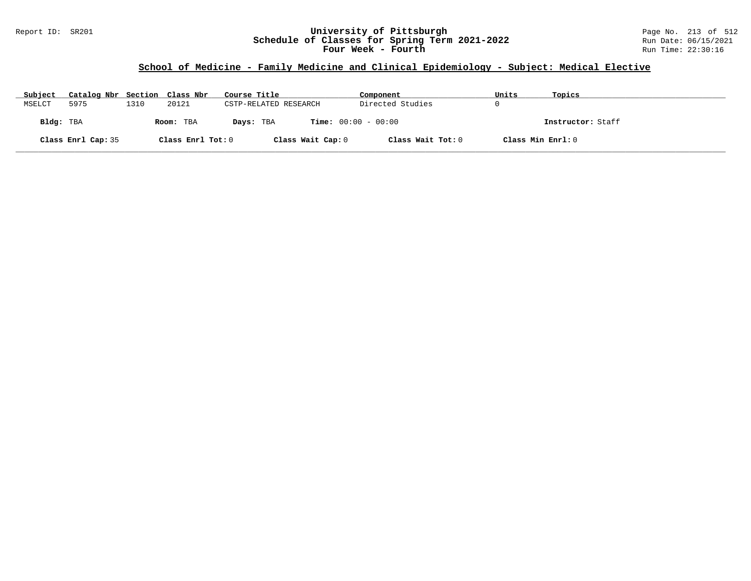### Report ID: SR201 **University of Pittsburgh** Page No. 213 of 512 **Schedule of Classes for Spring Term 2021-2022** Run Date: 06/15/2021 **Four Week - Fourth Rundall Run Time:** 22:30:16

# **School of Medicine - Family Medicine and Clinical Epidemiology - Subject: Medical Elective**

| Subject   | Catalog Nbr Section Class Nbr |      |                   | Course Title          | Component                    | Units             | Topics            |
|-----------|-------------------------------|------|-------------------|-----------------------|------------------------------|-------------------|-------------------|
| MSELCT    | 5975                          | 1310 | 20121             | CSTP-RELATED RESEARCH | Directed Studies             |                   |                   |
| Bldg: TBA |                               |      | Room: TBA         | Days: TBA             | <b>Time:</b> $00:00 - 00:00$ |                   | Instructor: Staff |
|           | Class Enrl Cap: 35            |      | Class Enrl Tot: 0 | Class Wait Cap: 0     | Class Wait Tot: 0            | Class Min Enrl: 0 |                   |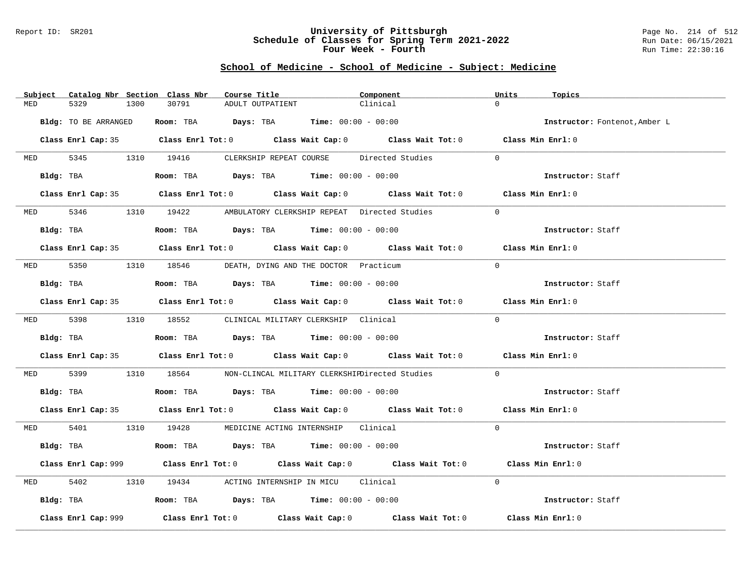#### Report ID: SR201 **University of Pittsburgh** Page No. 214 of 512 **Schedule of Classes for Spring Term 2021-2022** Run Date: 06/15/2021 **Four Week - Fourth Rundall Run Time:** 22:30:16

### **School of Medicine - School of Medicine - Subject: Medicine**

|          | Subject Catalog Nbr Section Class Nbr | Course Title                                                                           | Component                                                                                   | Units<br>Topics               |
|----------|---------------------------------------|----------------------------------------------------------------------------------------|---------------------------------------------------------------------------------------------|-------------------------------|
| MED      | 5329<br>1300                          | 30791<br>ADULT OUTPATIENT                                                              | Clinical                                                                                    | $\Omega$                      |
|          | Bldg: TO BE ARRANGED                  | Room: TBA $Days:$ TBA $Time: 00:00 - 00:00$                                            |                                                                                             | Instructor: Fontenot, Amber L |
|          |                                       |                                                                                        | Class Enrl Cap: 35 Class Enrl Tot: 0 Class Wait Cap: 0 Class Wait Tot: 0 Class Min Enrl: 0  |                               |
|          |                                       |                                                                                        | MED 5345 1310 19416 CLERKSHIP REPEAT COURSE Directed Studies                                | $\Omega$                      |
|          |                                       | Bldg: TBA                   Room: TBA         Days: TBA         Time: $00:00 - 00:00$  |                                                                                             | Instructor: Staff             |
|          |                                       |                                                                                        | Class Enrl Cap: 35 Class Enrl Tot: 0 Class Wait Cap: 0 Class Wait Tot: 0 Class Min Enrl: 0  |                               |
|          |                                       | MED 5346 1310 19422 AMBULATORY CLERKSHIP REPEAT Directed Studies                       |                                                                                             | $\Omega$                      |
|          | Bldg: TBA                             | Room: TBA $\rule{1em}{0.15mm}$ Days: TBA Time: $00:00 - 00:00$                         |                                                                                             | Instructor: Staff             |
|          |                                       |                                                                                        | Class Enrl Cap: 35 Class Enrl Tot: 0 Class Wait Cap: 0 Class Wait Tot: 0 Class Min Enrl: 0  |                               |
|          |                                       | MED 5350 1310 18546 DEATH, DYING AND THE DOCTOR Practicum                              |                                                                                             | $\Omega$                      |
|          | Bldg: TBA                             | Room: TBA $Days:$ TBA $Time: 00:00 - 00:00$                                            |                                                                                             | Instructor: Staff             |
|          |                                       |                                                                                        | Class Enrl Cap: 35 Class Enrl Tot: 0 Class Wait Cap: 0 Class Wait Tot: 0 Class Min Enrl: 0  |                               |
|          |                                       | MED 5398 1310 18552 CLINICAL MILITARY CLERKSHIP Clinical                               |                                                                                             | $\Omega$                      |
|          |                                       | Bldg: TBA                   Room: TBA        Days: TBA        Time: 00:00 - 00:00      |                                                                                             | Instructor: Staff             |
|          |                                       |                                                                                        | Class Enrl Cap: 35 Class Enrl Tot: 0 Class Wait Cap: 0 Class Wait Tot: 0 Class Min Enrl: 0  |                               |
| MED 5399 |                                       |                                                                                        | 1310 18564 NON-CLINCAL MILITARY CLERKSHIEDirected Studies                                   | $\Omega$                      |
|          |                                       | Bldg: TBA                   Room: TBA         Days: TBA        Time: $00:00 - 00:00$   |                                                                                             | Instructor: Staff             |
|          |                                       |                                                                                        | Class Enrl Cap: 35 Class Enrl Tot: 0 Class Wait Cap: 0 Class Wait Tot: 0 Class Min Enrl: 0  |                               |
|          |                                       | MED 5401 1310 19428 MEDICINE ACTING INTERNSHIP Clinical                                |                                                                                             | $\Omega$                      |
|          |                                       | Bldg: TBA                    Room: TBA         Days: TBA         Time: 00:00 - 00:00   |                                                                                             | Instructor: Staff             |
|          |                                       |                                                                                        | Class Enrl Cap: 999 Class Enrl Tot: 0 Class Wait Cap: 0 Class Wait Tot: 0 Class Min Enrl: 0 |                               |
| MED      | 5402                                  | 1310 19434 ACTING INTERNSHIP IN MICU Clinical                                          |                                                                                             | $\Omega$                      |
|          |                                       | Bldg: TBA                    Room: TBA         Days: TBA         Time: $00:00 - 00:00$ |                                                                                             | Instructor: Staff             |
|          | Class Enrl Cap: 999                   |                                                                                        | Class Enrl Tot: $0$ Class Wait Cap: $0$ Class Wait Tot: $0$ Class Min Enrl: $0$             |                               |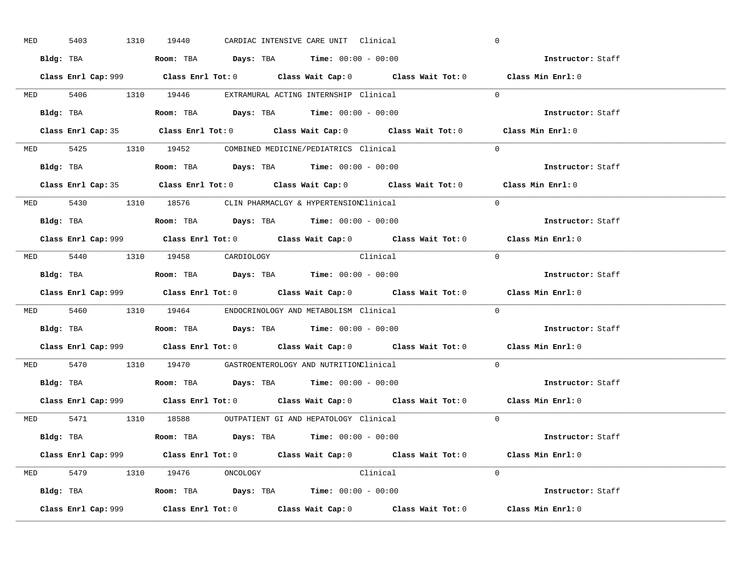| <b>MED</b> | 5403 |           | 1310 19440                     |  | CARDIAC INTENSIVE CARE UNIT Clinical                                                   |                                                                                             | $\overline{0}$ |                          |  |
|------------|------|-----------|--------------------------------|--|----------------------------------------------------------------------------------------|---------------------------------------------------------------------------------------------|----------------|--------------------------|--|
|            |      |           |                                |  | Bldg: TBA                   Room: TBA        Days: TBA        Time: $00:00 - 00:00$    |                                                                                             |                | Instructor: Staff        |  |
|            |      |           |                                |  |                                                                                        | Class Enrl Cap: 999 Class Enrl Tot: 0 Class Wait Cap: 0 Class Wait Tot: 0 Class Min Enrl: 0 |                |                          |  |
|            |      |           |                                |  | MED 5406 1310 19446 EXTRAMURAL ACTING INTERNSHIP Clinical                              |                                                                                             | $\Omega$       |                          |  |
|            |      | Bldg: TBA |                                |  | Room: TBA $Days:$ TBA $Time: 00:00 - 00:00$                                            |                                                                                             |                | Instructor: Staff        |  |
|            |      |           |                                |  |                                                                                        | Class Enrl Cap: 35 Class Enrl Tot: 0 Class Wait Cap: 0 Class Wait Tot: 0 Class Min Enrl: 0  |                |                          |  |
|            |      |           |                                |  | MED 5425 1310 19452 COMBINED MEDICINE/PEDIATRICS Clinical                              |                                                                                             | $\Omega$       |                          |  |
|            |      |           |                                |  | Bldg: TBA                    Room: TBA         Days: TBA        Time: $00:00 - 00:00$  |                                                                                             |                | Instructor: Staff        |  |
|            |      |           |                                |  |                                                                                        | Class Enrl Cap: 35 Class Enrl Tot: 0 Class Wait Cap: 0 Class Wait Tot: 0 Class Min Enrl: 0  |                |                          |  |
|            |      |           |                                |  | MED 5430 1310 18576 CLIN PHARMACLGY & HYPERTENSIONClinical                             |                                                                                             | $\Omega$       |                          |  |
|            |      |           |                                |  | Bldg: TBA                   Room: TBA         Days: TBA         Time: $00:00 - 00:00$  |                                                                                             |                | Instructor: Staff        |  |
|            |      |           |                                |  |                                                                                        | Class Enrl Cap: 999 Class Enrl Tot: 0 Class Wait Cap: 0 Class Wait Tot: 0 Class Min Enrl: 0 |                |                          |  |
|            |      |           | MED 5440 1310 19458 CARDIOLOGY |  | Clinical                                                                               |                                                                                             | $\bigcirc$     |                          |  |
|            |      |           |                                |  | <b>Bldg:</b> TBA <b>ROOM:</b> TBA <b>Days:</b> TBA <b>Time:</b> $00:00 - 00:00$        |                                                                                             |                | Instructor: Staff        |  |
|            |      |           |                                |  |                                                                                        | Class Enrl Cap: 999 Class Enrl Tot: 0 Class Wait Cap: 0 Class Wait Tot: 0 Class Min Enrl: 0 |                |                          |  |
|            |      |           |                                |  | MED 5460 1310 19464 ENDOCRINOLOGY AND METABOLISM Clinical                              |                                                                                             | $\Omega$       |                          |  |
|            |      |           |                                |  | Bldg: TBA                   Room: TBA         Days: TBA         Time: $00:00 - 00:00$  |                                                                                             |                | <b>Instructor:</b> Staff |  |
|            |      |           |                                |  |                                                                                        | Class Enrl Cap: 999 Class Enrl Tot: 0 Class Wait Cap: 0 Class Wait Tot: 0 Class Min Enrl: 0 |                |                          |  |
|            |      |           |                                |  | MED 5470 1310 19470 GASTROENTEROLOGY AND NUTRITIONClinical                             |                                                                                             | $\Omega$       |                          |  |
|            |      |           |                                |  | Bldg: TBA                    Room: TBA         Days: TBA         Time: $00:00 - 00:00$ |                                                                                             |                | Instructor: Staff        |  |
|            |      |           |                                |  |                                                                                        | Class Enrl Cap: 999 Class Enrl Tot: 0 Class Wait Cap: 0 Class Wait Tot: 0 Class Min Enrl: 0 |                |                          |  |
|            |      |           |                                |  |                                                                                        |                                                                                             |                |                          |  |
|            |      |           |                                |  | MED 5471 1310 18588 OUTPATIENT GI AND HEPATOLOGY Clinical                              |                                                                                             | $\Omega$       |                          |  |
|            |      |           |                                |  | Bldg: TBA                   Room: TBA        Days: TBA        Time: 00:00 - 00:00      |                                                                                             |                | Instructor: Staff        |  |
|            |      |           |                                |  |                                                                                        | Class Enrl Cap: 999 Class Enrl Tot: 0 Class Wait Cap: 0 Class Wait Tot: 0 Class Min Enrl: 0 |                |                          |  |
|            |      |           | MED 5479 1310 19476 ONCOLOGY   |  | Clinical                                                                               |                                                                                             | $\Omega$       |                          |  |
|            |      |           |                                |  | <b>Bldg:</b> TBA <b>ROOM:</b> TBA <b>Days:</b> TBA <b>Time:</b> $00:00 - 00:00$        |                                                                                             |                | Instructor: Staff        |  |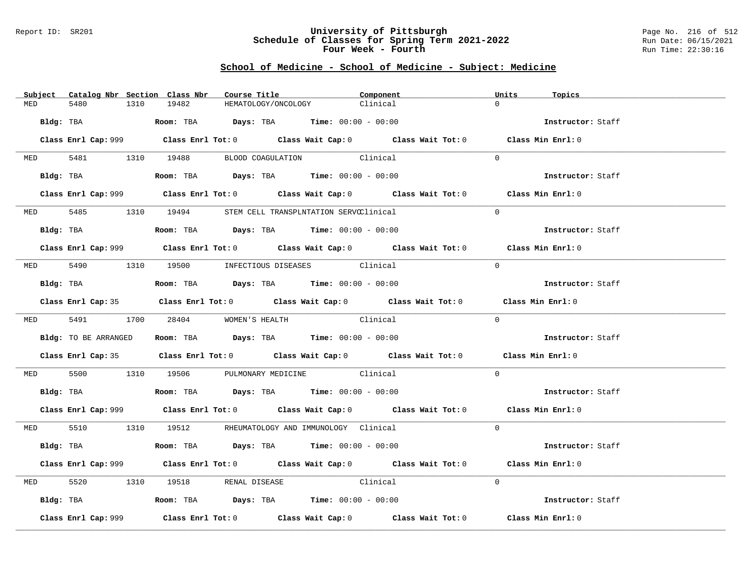### Report ID: SR201 **University of Pittsburgh** Page No. 216 of 512 **Schedule of Classes for Spring Term 2021-2022** Run Date: 06/15/2021 **Four Week - Fourth Rundall Run Time:** 22:30:16

### **School of Medicine - School of Medicine - Subject: Medicine**

|          | Subject Catalog Nbr Section Class Nbr | Course Title                                                                               | Component                                                                                   | Units<br>Topics   |  |
|----------|---------------------------------------|--------------------------------------------------------------------------------------------|---------------------------------------------------------------------------------------------|-------------------|--|
| MED      | 5480<br>1310                          | 19482                                                                                      | HEMATOLOGY/ONCOLOGY<br>Clinical                                                             | $\cap$            |  |
|          |                                       | Bldg: TBA                    Room: TBA         Days: TBA         Time: 00:00 - 00:00       |                                                                                             | Instructor: Staff |  |
|          |                                       |                                                                                            | Class Enrl Cap: 999 Class Enrl Tot: 0 Class Wait Cap: 0 Class Wait Tot: 0 Class Min Enrl: 0 |                   |  |
|          |                                       | MED 5481 1310 19488 BLOOD COAGULATION Clinical                                             |                                                                                             | $\Omega$          |  |
|          |                                       | Bldg: TBA                   Room: TBA         Days: TBA         Time: 00:00 - 00:00        |                                                                                             | Instructor: Staff |  |
|          |                                       |                                                                                            | Class Enrl Cap: 999 Class Enrl Tot: 0 Class Wait Cap: 0 Class Wait Tot: 0 Class Min Enrl: 0 |                   |  |
|          |                                       | MED 5485 1310 19494 STEM CELL TRANSPLNTATION SERVCClinical                                 |                                                                                             | $\Omega$          |  |
|          |                                       | Bldg: TBA                   Room: TBA         Days: TBA         Time: 00:00 - 00:00        |                                                                                             | Instructor: Staff |  |
|          |                                       |                                                                                            | Class Enrl Cap: 999 Class Enrl Tot: 0 Class Wait Cap: 0 Class Wait Tot: 0 Class Min Enrl: 0 |                   |  |
|          |                                       | MED 5490 1310 19500 INFECTIOUS DISEASES Clinical                                           |                                                                                             | $\Omega$          |  |
|          |                                       | Bldg: TBA<br>Room: TBA<br>Days: TBA<br>Time: $00:00 - 00:00$                               |                                                                                             | Instructor: Staff |  |
|          |                                       |                                                                                            | Class Enrl Cap: 35 Class Enrl Tot: 0 Class Wait Cap: 0 Class Wait Tot: 0 Class Min Enrl: 0  |                   |  |
|          |                                       | MED 5491 1700 28404 WOMEN'S HEALTH                                                         | Clinical                                                                                    | $\Omega$          |  |
|          | Bldg: TO BE ARRANGED                  | Room: TBA $Days:$ TBA Time: $00:00 - 00:00$                                                |                                                                                             | Instructor: Staff |  |
|          |                                       |                                                                                            | Class Enrl Cap: 35 Class Enrl Tot: 0 Class Wait Cap: 0 Class Wait Tot: 0 Class Min Enrl: 0  |                   |  |
|          |                                       | MED 5500 1310 19506 PULMONARY MEDICINE Clinical                                            |                                                                                             | $\Omega$          |  |
|          |                                       | Bldg: TBA                    Room: TBA         Days: TBA         Time: $00:00 - 00:00$     |                                                                                             | Instructor: Staff |  |
|          |                                       |                                                                                            | Class Enrl Cap: 999 Class Enrl Tot: 0 Class Wait Cap: 0 Class Wait Tot: 0 Class Min Enrl: 0 |                   |  |
|          |                                       | MED 5510 1310 19512 RHEUMATOLOGY AND IMMUNOLOGY Clinical                                   |                                                                                             | $\Omega$          |  |
|          |                                       | Bldg: TBA                    Room: TBA         Days: TBA         Time: $00:00 - 00:00$     |                                                                                             | Instructor: Staff |  |
|          |                                       |                                                                                            | Class Enrl Cap: 999 Class Enrl Tot: 0 Class Wait Cap: 0 Class Wait Tot: 0 Class Min Enrl: 0 |                   |  |
| MED 5520 |                                       | 1310 19518 RENAL DISEASE Clinical                                                          |                                                                                             | $\Omega$          |  |
|          |                                       | Bldg: TBA                       Room: TBA           Days: TBA          Time: 00:00 - 00:00 |                                                                                             | Instructor: Staff |  |
|          | Class Enrl Cap: 999                   |                                                                                            | Class Enrl Tot: $0$ Class Wait Cap: $0$ Class Wait Tot: $0$                                 | Class Min Enrl: 0 |  |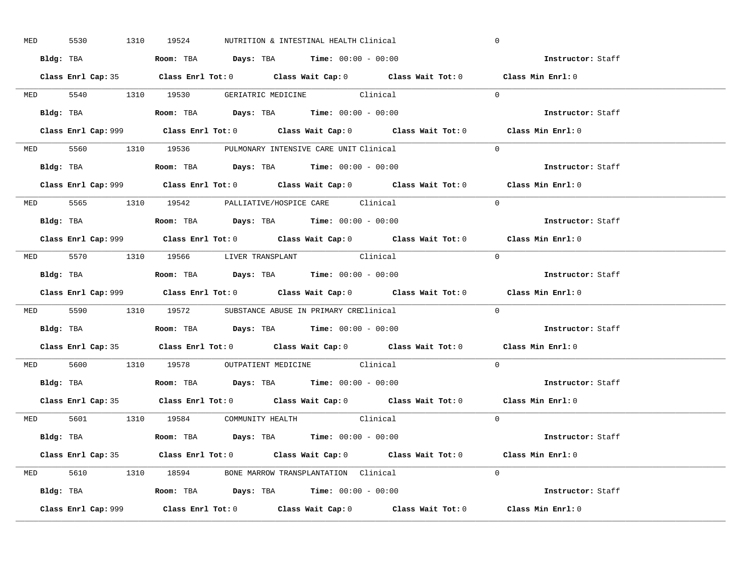| MED 5530 |  | 1310 19524 | NUTRITION & INTESTINAL HEALTH Clinical                                                        |                                                                                            | $\mathbf 0$                                                                                 |  |
|----------|--|------------|-----------------------------------------------------------------------------------------------|--------------------------------------------------------------------------------------------|---------------------------------------------------------------------------------------------|--|
|          |  |            | Bldg: TBA                      Room: TBA         Days: TBA         Time: 00:00 - 00:00        |                                                                                            | Instructor: Staff                                                                           |  |
|          |  |            |                                                                                               | Class Enrl Cap: 35 Class Enrl Tot: 0 Class Wait Cap: 0 Class Wait Tot: 0 Class Min Enrl: 0 |                                                                                             |  |
|          |  |            | MED 5540 1310 19530 GERIATRIC MEDICINE Clinical                                               |                                                                                            | $\Omega$                                                                                    |  |
|          |  |            |                                                                                               |                                                                                            | Instructor: Staff                                                                           |  |
|          |  |            |                                                                                               |                                                                                            | Class Min Enrl: 0                                                                           |  |
|          |  |            | MED 5560 1310 19536 PULMONARY INTENSIVE CARE UNIT Clinical                                    |                                                                                            | $\Omega$                                                                                    |  |
|          |  |            | Bldg: TBA                   Room: TBA         Days: TBA         Time: 00:00 - 00:00           |                                                                                            | Instructor: Staff                                                                           |  |
|          |  |            |                                                                                               |                                                                                            | Class Enrl Cap: 999 Class Enrl Tot: 0 Class Wait Cap: 0 Class Wait Tot: 0 Class Min Enrl: 0 |  |
|          |  |            | MED 5565 1310 19542 PALLIATIVE/HOSPICE CARE Clinical                                          |                                                                                            | $\Omega$                                                                                    |  |
|          |  |            | Bldg: TBA                   Room: TBA         Days: TBA         Time: $00:00 - 00:00$         |                                                                                            | Instructor: Staff                                                                           |  |
|          |  |            |                                                                                               |                                                                                            | Class Enrl Cap: 999 Class Enrl Tot: 0 Class Wait Cap: 0 Class Wait Tot: 0 Class Min Enrl: 0 |  |
|          |  |            | MED 5570 1310 19566 LIVER TRANSPLANT Clinical                                                 |                                                                                            | $\bigcap$                                                                                   |  |
|          |  |            | Bldg: TBA                   Room: TBA         Days: TBA         Time: $00:00 - 00:00$         |                                                                                            | Instructor: Staff                                                                           |  |
|          |  |            |                                                                                               |                                                                                            | Class Enrl Cap: 999 Class Enrl Tot: 0 Class Wait Cap: 0 Class Wait Tot: 0 Class Min Enrl: 0 |  |
|          |  |            | MED 5590 1310 19572 SUBSTANCE ABUSE IN PRIMARY CREClinical                                    |                                                                                            | $\Omega$                                                                                    |  |
|          |  |            | Bldg: TBA                    Room: TBA         Days: TBA         Time: 00:00 - 00:00          |                                                                                            | Instructor: Staff                                                                           |  |
|          |  |            |                                                                                               |                                                                                            | Class Enrl Cap: 35 Class Enrl Tot: 0 Class Wait Cap: 0 Class Wait Tot: 0 Class Min Enrl: 0  |  |
|          |  |            | MED 5600 1310 19578 OUTPATIENT MEDICINE Clinical                                              |                                                                                            | $\Omega$                                                                                    |  |
|          |  |            | Bldg: TBA                   Room: TBA         Days: TBA         Time: $00:00 - 00:00$         |                                                                                            | Instructor: Staff                                                                           |  |
|          |  |            |                                                                                               | Class Enrl Cap: 35 Class Enrl Tot: 0 Class Wait Cap: 0 Class Wait Tot: 0 Class Min Enrl: 0 |                                                                                             |  |
|          |  |            | MED 5601 1310 19584 COMMUNITY HEALTH Clinical                                                 |                                                                                            | $\overline{0}$                                                                              |  |
|          |  |            | Bldg: TBA                        Room: TBA            Days: TBA           Time: 00:00 - 00:00 |                                                                                            | Instructor: Staff                                                                           |  |
|          |  |            |                                                                                               | Class Enrl Cap: 35 Class Enrl Tot: 0 Class Wait Cap: 0 Class Wait Tot: 0 Class Min Enrl: 0 |                                                                                             |  |
|          |  |            | MED 5610 1310 18594 BONE MARROW TRANSPLANTATION Clinical                                      |                                                                                            | $\Omega$                                                                                    |  |
|          |  |            | Bldg: TBA                   Room: TBA         Days: TBA        Time: 00:00 - 00:00            |                                                                                            | Instructor: Staff                                                                           |  |
|          |  |            |                                                                                               |                                                                                            | Class Min Enrl: 0                                                                           |  |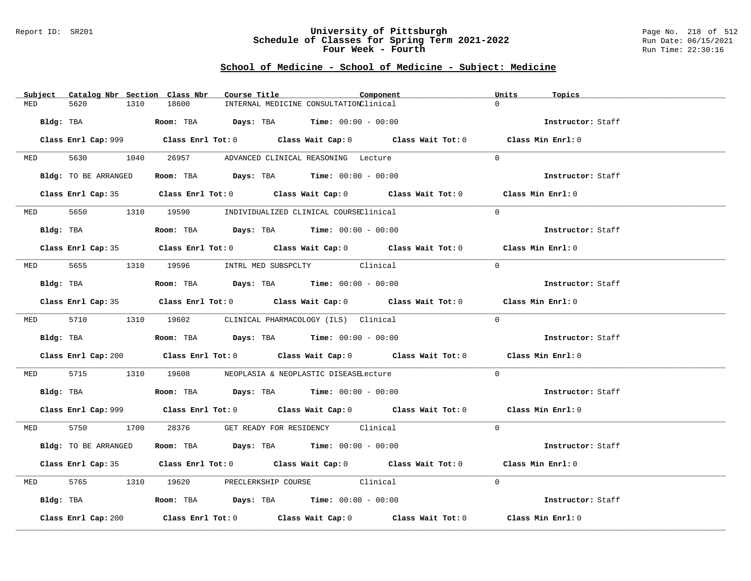### Report ID: SR201 **University of Pittsburgh** Page No. 218 of 512 **Schedule of Classes for Spring Term 2021-2022** Run Date: 06/15/2021 **Four Week - Fourth Rundall Run Time:** 22:30:16

### **School of Medicine - School of Medicine - Subject: Medicine**

|            | Subject Catalog Nbr Section Class Nbr | Course Title                                                                                | Component                                                                                   |          | Units<br>Topics   |  |
|------------|---------------------------------------|---------------------------------------------------------------------------------------------|---------------------------------------------------------------------------------------------|----------|-------------------|--|
| MED        | 1310<br>5620                          | 18600                                                                                       | INTERNAL MEDICINE CONSULTATIONClinical                                                      |          | $\cap$            |  |
| Bldg: TBA  |                                       | <b>Room:</b> TBA $Days: TBA$ <b>Time:</b> $00:00 - 00:00$                                   |                                                                                             |          | Instructor: Staff |  |
|            |                                       |                                                                                             | Class Enrl Cap: 999 Class Enrl Tot: 0 Class Wait Cap: 0 Class Wait Tot: 0 Class Min Enrl: 0 |          |                   |  |
|            | MED 5630 1040                         |                                                                                             | 26957 ADVANCED CLINICAL REASONING Lecture                                                   | $\Omega$ |                   |  |
|            | Bldg: TO BE ARRANGED                  | Room: TBA $Days:$ TBA Time: $00:00 - 00:00$                                                 |                                                                                             |          | Instructor: Staff |  |
|            |                                       |                                                                                             | Class Enrl Cap: 35 Class Enrl Tot: 0 Class Wait Cap: 0 Class Wait Tot: 0 Class Min Enrl: 0  |          |                   |  |
|            |                                       | MED 5650 1310 19590 INDIVIDUALIZED CLINICAL COURSEClinical                                  |                                                                                             | $\Omega$ |                   |  |
|            | Bldg: TBA                             | Room: TBA $Days:$ TBA Time: $00:00 - 00:00$                                                 |                                                                                             |          | Instructor: Staff |  |
|            |                                       |                                                                                             | Class Enrl Cap: 35 Class Enrl Tot: 0 Class Wait Cap: 0 Class Wait Tot: 0 Class Min Enrl: 0  |          |                   |  |
|            |                                       | MED 5655 1310 19596 INTRL MED SUBSPCLTY Clinical                                            |                                                                                             |          | $\Omega$          |  |
|            |                                       | Bldg: TBA                        Room: TBA          Days: TBA         Time: $00:00 - 00:00$ |                                                                                             |          | Instructor: Staff |  |
|            |                                       |                                                                                             | Class Enrl Cap: 35 Class Enrl Tot: 0 Class Wait Cap: 0 Class Wait Tot: 0 Class Min Enrl: 0  |          |                   |  |
|            |                                       | MED 5710 1310 19602 CLINICAL PHARMACOLOGY (ILS) Clinical                                    |                                                                                             |          | $\Omega$          |  |
|            |                                       | Bldg: TBA                    Room: TBA         Days: TBA         Time: $00:00 - 00:00$      |                                                                                             |          | Instructor: Staff |  |
|            |                                       |                                                                                             | Class Enrl Cap: 200 Class Enrl Tot: 0 Class Wait Cap: 0 Class Wait Tot: 0 Class Min Enrl: 0 |          |                   |  |
|            |                                       | MED 5715 1310 19608 NEOPLASIA & NEOPLASTIC DISEASELecture                                   |                                                                                             |          | $\Omega$          |  |
|            |                                       | Bldg: TBA                    Room: TBA        Days: TBA         Time: $00:00 - 00:00$       |                                                                                             |          | Instructor: Staff |  |
|            |                                       |                                                                                             | Class Enrl Cap: 999 Class Enrl Tot: 0 Class Wait Cap: 0 Class Wait Tot: 0 Class Min Enrl: 0 |          |                   |  |
|            |                                       | MED 5750 1700 28376 GET READY FOR RESIDENCY Clinical                                        |                                                                                             | $\Omega$ |                   |  |
|            | Bldg: TO BE ARRANGED                  | Room: TBA Days: TBA Time: $00:00 - 00:00$                                                   |                                                                                             |          | Instructor: Staff |  |
|            |                                       |                                                                                             | Class Enrl Cap: 35 Class Enrl Tot: 0 Class Wait Cap: 0 Class Wait Tot: 0 Class Min Enrl: 0  |          |                   |  |
| <b>MED</b> |                                       | 5765 1310 19620 PRECLERKSHIP COURSE Clinical                                                |                                                                                             |          | $\Omega$          |  |
|            |                                       | Bldg: TBA                   Room: TBA         Days: TBA         Time: 00:00 - 00:00         |                                                                                             |          | Instructor: Staff |  |
|            | Class Enrl Cap: 200                   |                                                                                             | Class Enrl Tot: $0$ Class Wait Cap: $0$ Class Wait Tot: $0$ Class Min Enrl: $0$             |          |                   |  |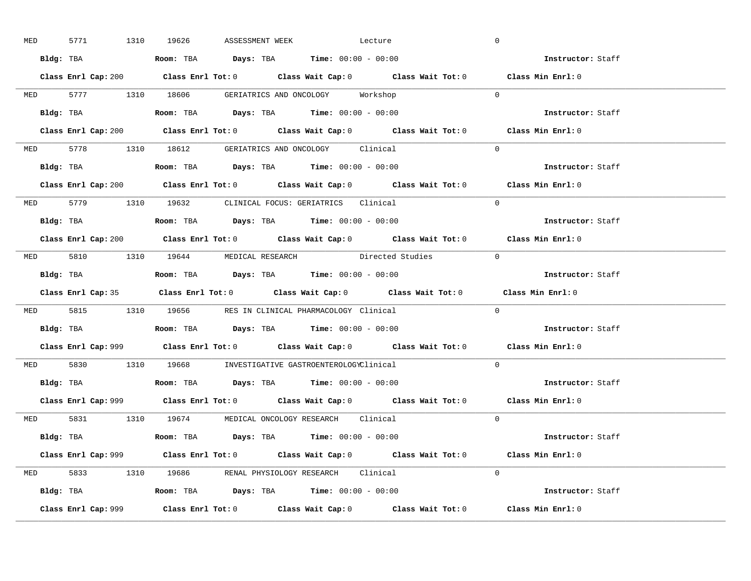| <b>MED</b> |           | 5771 1310 19626 | ASSESSMENT WEEK | Lecture                                                                                                                                                                                                                                                                                                        |                                                                           | $\overline{0}$                                                                              |  |
|------------|-----------|-----------------|-----------------|----------------------------------------------------------------------------------------------------------------------------------------------------------------------------------------------------------------------------------------------------------------------------------------------------------------|---------------------------------------------------------------------------|---------------------------------------------------------------------------------------------|--|
|            |           |                 |                 | Bldg: TBA                   Room: TBA         Days: TBA         Time: $00:00 - 00:00$                                                                                                                                                                                                                          |                                                                           | Instructor: Staff                                                                           |  |
|            |           |                 |                 |                                                                                                                                                                                                                                                                                                                |                                                                           | Class Enrl Cap: 200 Class Enrl Tot: 0 Class Wait Cap: 0 Class Wait Tot: 0 Class Min Enrl: 0 |  |
|            |           |                 |                 | MED 5777 1310 18606 GERIATRICS AND ONCOLOGY Workshop                                                                                                                                                                                                                                                           |                                                                           | $\overline{0}$                                                                              |  |
|            | Bldg: TBA |                 |                 | <b>Room:</b> TBA $Days: TBA$ <b>Time:</b> $00:00 - 00:00$                                                                                                                                                                                                                                                      |                                                                           | Instructor: Staff                                                                           |  |
|            |           |                 |                 |                                                                                                                                                                                                                                                                                                                | Class Enrl Cap: 200 Class Enrl Tot: 0 Class Wait Cap: 0 Class Wait Tot: 0 | Class Min Enrl: 0                                                                           |  |
|            |           |                 |                 | MED 5778 1310 18612 GERIATRICS AND ONCOLOGY Clinical                                                                                                                                                                                                                                                           |                                                                           | $\Omega$                                                                                    |  |
|            |           |                 |                 |                                                                                                                                                                                                                                                                                                                |                                                                           | Instructor: Staff                                                                           |  |
|            |           |                 |                 |                                                                                                                                                                                                                                                                                                                | Class Enrl Cap: 200 Class Enrl Tot: 0 Class Wait Cap: 0 Class Wait Tot: 0 | Class Min Enrl: 0                                                                           |  |
|            |           |                 |                 | MED 5779 1310 19632 CLINICAL FOCUS: GERIATRICS Clinical                                                                                                                                                                                                                                                        |                                                                           | $\Omega$                                                                                    |  |
|            |           |                 |                 | Bldg: TBA                  Room: TBA         Days: TBA         Time: 00:00 - 00:00                                                                                                                                                                                                                             |                                                                           | Instructor: Staff                                                                           |  |
|            |           |                 |                 |                                                                                                                                                                                                                                                                                                                |                                                                           | Class Enrl Cap: 200 Class Enrl Tot: 0 Class Wait Cap: 0 Class Wait Tot: 0 Class Min Enrl: 0 |  |
|            |           |                 |                 |                                                                                                                                                                                                                                                                                                                | MED 5810 1310 19644 MEDICAL RESEARCH Directed Studies 0                   |                                                                                             |  |
|            |           |                 |                 | Bldg: TBA                        Room: TBA           Days: TBA           Time: 00:00 - 00:00                                                                                                                                                                                                                   |                                                                           | Instructor: Staff                                                                           |  |
|            |           |                 |                 |                                                                                                                                                                                                                                                                                                                |                                                                           |                                                                                             |  |
|            |           |                 |                 |                                                                                                                                                                                                                                                                                                                |                                                                           | Class Enrl Cap: 35 Class Enrl Tot: 0 Class Wait Cap: 0 Class Wait Tot: 0 Class Min Enrl: 0  |  |
|            |           |                 |                 | MED 5815 1310 19656 RES IN CLINICAL PHARMACOLOGY Clinical                                                                                                                                                                                                                                                      |                                                                           | $\Omega$                                                                                    |  |
| Bldg: TBA  |           |                 |                 | <b>Room:</b> TBA $\rule{1em}{0.15mm}$ $\rule{1.5em}{0.15mm}$ $\rule{1.5em}{0.15mm}$ $\rule{1.5em}{0.15mm}$ $\rule{1.5em}{0.15mm}$ $\rule{1.5em}{0.15mm}$ $\rule{1.5em}{0.15mm}$ $\rule{1.5em}{0.15mm}$ $\rule{1.5em}{0.15mm}$ $\rule{1.5em}{0.15mm}$ $\rule{1.5em}{0.15mm}$ $\rule{1.5em}{0.15mm}$ $\rule{1.5$ |                                                                           | Instructor: Staff                                                                           |  |
|            |           |                 |                 |                                                                                                                                                                                                                                                                                                                |                                                                           | Class Enrl Cap: 999 Class Enrl Tot: 0 Class Wait Cap: 0 Class Wait Tot: 0 Class Min Enrl: 0 |  |
|            |           |                 |                 | MED 5830 1310 19668 INVESTIGATIVE GASTROENTEROLOGYClinical                                                                                                                                                                                                                                                     |                                                                           | $\Omega$                                                                                    |  |
|            |           |                 |                 | Bldg: TBA                   Room: TBA         Days: TBA         Time: $00:00 - 00:00$                                                                                                                                                                                                                          |                                                                           | Instructor: Staff                                                                           |  |
|            |           |                 |                 |                                                                                                                                                                                                                                                                                                                |                                                                           | Class Enrl Cap: 999 Class Enrl Tot: 0 Class Wait Cap: 0 Class Wait Tot: 0 Class Min Enrl: 0 |  |
|            |           |                 |                 | MED 5831 1310 19674 MEDICAL ONCOLOGY RESEARCH Clinical                                                                                                                                                                                                                                                         |                                                                           | $\Omega$                                                                                    |  |
|            |           |                 |                 | Bldg: TBA                   Room: TBA         Days: TBA        Time: 00:00 - 00:00                                                                                                                                                                                                                             |                                                                           | <b>Instructor:</b> Staff                                                                    |  |
|            |           |                 |                 |                                                                                                                                                                                                                                                                                                                |                                                                           | Class Enrl Cap: 999 Class Enrl Tot: 0 Class Wait Cap: 0 Class Wait Tot: 0 Class Min Enrl: 0 |  |
|            |           |                 |                 | MED 5833 1310 19686 RENAL PHYSIOLOGY RESEARCH Clinical                                                                                                                                                                                                                                                         |                                                                           | $\Omega$                                                                                    |  |
|            |           |                 |                 | Bldg: TBA                    Room: TBA         Days: TBA        Time: $00:00 - 00:00$                                                                                                                                                                                                                          |                                                                           | Instructor: Staff                                                                           |  |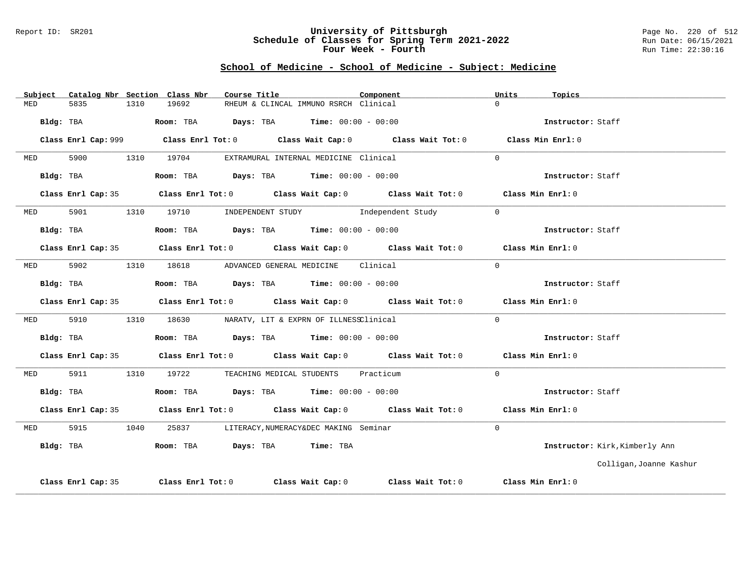#### Report ID: SR201 **University of Pittsburgh** Page No. 220 of 512 **Schedule of Classes for Spring Term 2021-2022** Run Date: 06/15/2021 **Four Week - Fourth Rundall Run Time:** 22:30:16

# **School of Medicine - School of Medicine - Subject: Medicine**

| Subject    |                    |      | Catalog Nbr Section Class Nbr | Course Title                                                   | Component                                                                                  | Units    | Topics                         |
|------------|--------------------|------|-------------------------------|----------------------------------------------------------------|--------------------------------------------------------------------------------------------|----------|--------------------------------|
| MED        | 5835               | 1310 | 19692                         | RHEUM & CLINCAL IMMUNO RSRCH Clinical                          |                                                                                            | $\Omega$ |                                |
|            | Bldg: TBA          |      |                               | Room: TBA $\rule{1em}{0.15mm}$ Days: TBA Time: $00:00 - 00:00$ |                                                                                            |          | Instructor: Staff              |
|            |                    |      |                               |                                                                |                                                                                            |          | Class Min Enrl: 0              |
| <b>MED</b> | 5900               |      | 1310 19704                    | EXTRAMURAL INTERNAL MEDICINE Clinical                          |                                                                                            | $\Omega$ |                                |
|            | Bldg: TBA          |      |                               | Room: TBA $\rule{1em}{0.15mm}$ Days: TBA Time: $00:00 - 00:00$ |                                                                                            |          | Instructor: Staff              |
|            |                    |      |                               |                                                                | Class Enrl Cap: 35 Class Enrl Tot: 0 Class Wait Cap: 0 Class Wait Tot: 0 Class Min Enrl: 0 |          |                                |
| <b>MED</b> | 5901               |      |                               |                                                                | 1310 19710 INDEPENDENT STUDY Independent Study                                             | $\Omega$ |                                |
|            | Bldg: TBA          |      |                               | Room: TBA $Days:$ TBA $Time: 00:00 - 00:00$                    |                                                                                            |          | Instructor: Staff              |
|            |                    |      |                               |                                                                | Class Enrl Cap: 35 Class Enrl Tot: 0 Class Wait Cap: 0 Class Wait Tot: 0 Class Min Enrl: 0 |          |                                |
| <b>MED</b> | 5902               |      |                               | 1310 18618 ADVANCED GENERAL MEDICINE Clinical                  |                                                                                            | $\Omega$ |                                |
|            | Bldg: TBA          |      |                               | Room: TBA $\rule{1em}{0.15mm}$ Days: TBA Time: $00:00 - 00:00$ |                                                                                            |          | Instructor: Staff              |
|            |                    |      |                               |                                                                | Class Enrl Cap: 35 Class Enrl Tot: 0 Class Wait Cap: 0 Class Wait Tot: 0 Class Min Enrl: 0 |          |                                |
| MED        | 5910               |      |                               | 1310 18630 NARATV, LIT & EXPRN OF ILLNESSClinical              |                                                                                            | $\Omega$ |                                |
|            | Bldg: TBA          |      |                               | Room: TBA $Days:$ TBA $Time: 00:00 - 00:00$                    |                                                                                            |          | Instructor: Staff              |
|            |                    |      |                               |                                                                | Class Enrl Cap: 35 Class Enrl Tot: 0 Class Wait Cap: 0 Class Wait Tot: 0 Class Min Enrl: 0 |          |                                |
| MED        | 5911               |      |                               | 1310 19722 TEACHING MEDICAL STUDENTS Practicum                 |                                                                                            | $\Omega$ |                                |
|            | Bldg: TBA          |      |                               | Room: TBA $Days: TBA$ Time: $00:00 - 00:00$                    |                                                                                            |          | Instructor: Staff              |
|            |                    |      |                               |                                                                | Class Enrl Cap: 35 Class Enrl Tot: 0 Class Wait Cap: 0 Class Wait Tot: 0 Class Min Enrl: 0 |          |                                |
| MED        | 5915               | 1040 | 25837                         | LITERACY, NUMERACY&DEC MAKING Seminar                          |                                                                                            | $\Omega$ |                                |
| Bldg: TBA  |                    |      |                               | Room: TBA Days: TBA Time: TBA                                  |                                                                                            |          | Instructor: Kirk, Kimberly Ann |
|            |                    |      |                               |                                                                |                                                                                            |          | Colligan, Joanne Kashur        |
|            | Class Enrl Cap: 35 |      |                               |                                                                | Class Enrl Tot: $0$ Class Wait Cap: $0$ Class Wait Tot: $0$                                |          | Class Min Enrl: 0              |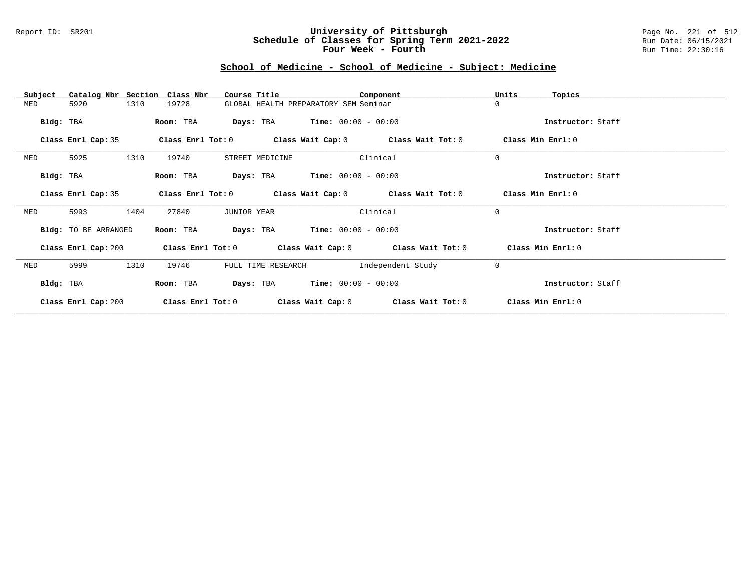### Report ID: SR201 **University of Pittsburgh** Page No. 221 of 512 **Schedule of Classes for Spring Term 2021-2022** Run Date: 06/15/2021 **Four Week - Fourth Rundall Run Time:** 22:30:16

# **School of Medicine - School of Medicine - Subject: Medicine**

| Subject   |                      |      | Catalog Nbr Section Class Nbr | Course Title                          |                                               | Component                                                   | Units             | Topics            |
|-----------|----------------------|------|-------------------------------|---------------------------------------|-----------------------------------------------|-------------------------------------------------------------|-------------------|-------------------|
| MED       | 5920                 | 1310 | 19728                         | GLOBAL HEALTH PREPARATORY SEM Seminar |                                               |                                                             | $\mathbf 0$       |                   |
| Bldg: TBA |                      |      | Room: TBA                     |                                       | <b>Days:</b> TBA <b>Time:</b> $00:00 - 00:00$ |                                                             |                   | Instructor: Staff |
|           | Class Enrl Cap: 35   |      |                               |                                       |                                               | Class Enrl Tot: $0$ Class Wait Cap: $0$ Class Wait Tot: $0$ |                   | Class Min Enrl: 0 |
| MED       | 5925                 | 1310 | 19740                         | STREET MEDICINE                       |                                               | Clinical                                                    | $\mathbf 0$       |                   |
| Bldg: TBA |                      |      | Room: TBA                     |                                       | <b>Days:</b> TBA <b>Time:</b> $00:00 - 00:00$ |                                                             |                   | Instructor: Staff |
|           | Class Enrl Cap: 35   |      |                               |                                       |                                               | Class Enrl Tot: $0$ Class Wait Cap: $0$ Class Wait Tot: $0$ | Class Min Enrl: 0 |                   |
| MED       | 5993                 | 1404 | 27840                         | JUNIOR YEAR                           |                                               | Clinical                                                    | $\mathbf 0$       |                   |
|           | Bldg: TO BE ARRANGED |      | Room: TBA                     | Days: TBA                             | $Time: 00:00 - 00:00$                         |                                                             |                   | Instructor: Staff |
|           | Class Enrl Cap: 200  |      |                               |                                       |                                               | Class Enrl Tot: $0$ Class Wait Cap: $0$ Class Wait Tot: $0$ |                   | Class Min Enrl: 0 |
| MED       | 5999                 | 1310 | 19746                         | FULL TIME RESEARCH                    |                                               | Independent Study                                           | $\mathbf 0$       |                   |
| Bldg: TBA |                      |      | Room: TBA                     |                                       | <b>Days:</b> TBA <b>Time:</b> $00:00 - 00:00$ |                                                             |                   | Instructor: Staff |
|           | Class Enrl Cap: 200  |      | $Class$ $Enrl$ $Tot: 0$       |                                       | Class Wait Cap: 0                             | Class Wait Tot: 0                                           |                   | Class Min Enrl: 0 |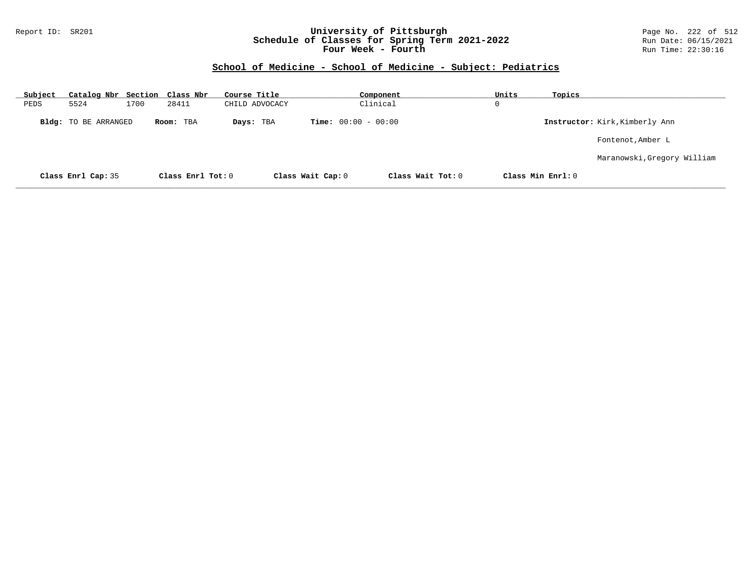### Report ID: SR201 **University of Pittsburgh** Page No. 222 of 512 **Schedule of Classes for Spring Term 2021-2022** Run Date: 06/15/2021 **Four Week - Fourth Rundall Run Time:** 22:30:16

### **School of Medicine - School of Medicine - Subject: Pediatrics**

| <u>Subject</u> | Catalog Nbr Section Class Nbr |      |                   | Course Title   |                              | Component         | Units             | Topics |                                |
|----------------|-------------------------------|------|-------------------|----------------|------------------------------|-------------------|-------------------|--------|--------------------------------|
| PEDS           | 5524                          | 1700 | 28411             | CHILD ADVOCACY |                              | Clinical          | 0                 |        |                                |
|                | <b>Bldg:</b> TO BE ARRANGED   |      | Room: TBA         | Days: TBA      | <b>Time:</b> $00:00 - 00:00$ |                   |                   |        | Instructor: Kirk, Kimberly Ann |
|                |                               |      |                   |                |                              |                   |                   |        | Fontenot, Amber L              |
|                |                               |      |                   |                |                              |                   |                   |        | Maranowski, Gregory William    |
|                | Class Enrl Cap: 35            |      | Class Enrl Tot: 0 |                | Class Wait Cap: 0            | Class Wait Tot: 0 | Class Min Enrl: 0 |        |                                |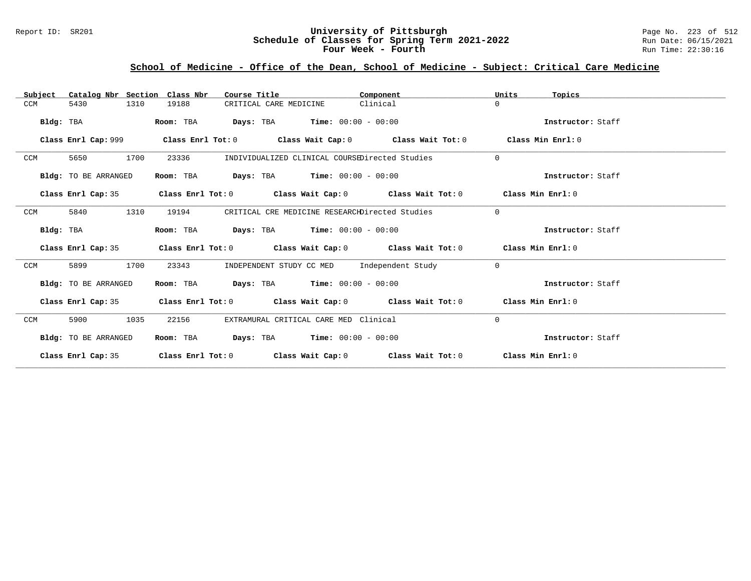### Report ID: SR201 **University of Pittsburgh** Page No. 223 of 512 **Schedule of Classes for Spring Term 2021-2022** Run Date: 06/15/2021 **Four Week - Fourth Rundall Run Time:** 22:30:16

# **School of Medicine - Office of the Dean, School of Medicine - Subject: Critical Care Medicine**

| Catalog Nbr Section Class Nbr<br>Subject | Course Title                                                                                         | Component | Units<br>Topics   |
|------------------------------------------|------------------------------------------------------------------------------------------------------|-----------|-------------------|
| 5430<br>1310<br><b>CCM</b>               | 19188<br>CRITICAL CARE MEDICINE                                                                      | Clinical  | $\Omega$          |
| Bldg: TBA                                | <b>Days:</b> TBA <b>Time:</b> $00:00 - 00:00$<br>Room: TBA                                           |           | Instructor: Staff |
|                                          | Class Enrl Cap: 999 $\qquad$ Class Enrl Tot: 0 $\qquad$ Class Wait Cap: 0 $\qquad$ Class Wait Tot: 0 |           | Class Min Enrl: 0 |
| 1700<br>CCM<br>5650                      | 23336<br>INDIVIDUALIZED CLINICAL COURSEDirected Studies                                              |           | $\Omega$          |
| Bldg: TO BE ARRANGED                     | <b>Days:</b> TBA <b>Time:</b> $00:00 - 00:00$<br>Room: TBA                                           |           | Instructor: Staff |
| Class Enrl Cap: 35                       | Class Enrl Tot: 0 $\qquad$ Class Wait Cap: 0 $\qquad$ Class Wait Tot: 0 $\qquad$ Class Min Enrl: 0   |           |                   |
| 5840<br>1310<br>CCM                      | 19194<br>CRITICAL CRE MEDICINE RESEARCHDirected Studies                                              |           | $\Omega$          |
| Bldg: TBA                                | $Days: TBA$ Time: $00:00 - 00:00$<br>Room: TBA                                                       |           | Instructor: Staff |
| Class Enrl Cap: 35                       | Class Enrl Tot: $0$ Class Wait Cap: $0$ Class Wait Tot: $0$ Class Min Enrl: $0$                      |           |                   |
| 1700<br>CCM<br>5899                      | INDEPENDENT STUDY CC MED Independent Study<br>23343                                                  |           | $\Omega$          |
| Bldg: TO BE ARRANGED                     | Room: TBA $Days:$ TBA $Time: 00:00 - 00:00$                                                          |           | Instructor: Staff |
| Class Enrl Cap: 35                       | Class Enrl Tot: $0$ Class Wait Cap: $0$ Class Wait Tot: $0$ Class Min Enrl: $0$                      |           |                   |
| 1035<br>CCM<br>5900                      | EXTRAMURAL CRITICAL CARE MED Clinical<br>22156                                                       |           | $\Omega$          |
| <b>Bldg:</b> TO BE ARRANGED              | $\texttt{Days:}$ TBA $\texttt{Time:}$ 00:00 - 00:00<br>Room: TBA                                     |           | Instructor: Staff |
| Class Enrl Cap: 35                       | Class Enrl Tot: $0$ Class Wait Cap: $0$ Class Wait Tot: $0$ Class Min Enrl: $0$                      |           |                   |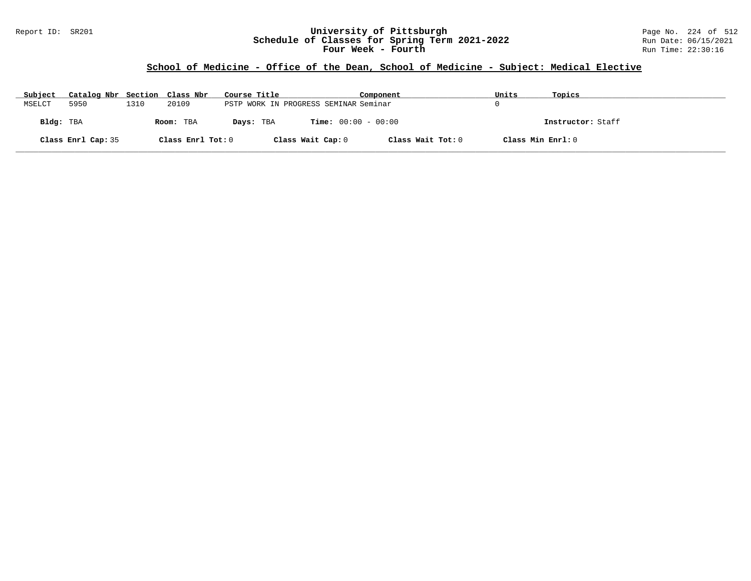### Report ID: SR201 **University of Pittsburgh** Page No. 224 of 512 **Schedule of Classes for Spring Term 2021-2022** Run Date: 06/15/2021 **Four Week - Fourth Rundall Run Time:** 22:30:16

### **School of Medicine - Office of the Dean, School of Medicine - Subject: Medical Elective**

| Subject   | Catalog Nbr Section Class Nbr |      |                   | Course Title                          |                              | Component         | Units             | Topics            |
|-----------|-------------------------------|------|-------------------|---------------------------------------|------------------------------|-------------------|-------------------|-------------------|
| MSELCT    | 5950                          | 1310 | 20109             | PSTP WORK IN PROGRESS SEMINAR Seminar |                              |                   |                   |                   |
| Bldg: TBA |                               |      | Room: TBA         | Days: TBA                             | <b>Time:</b> $00:00 - 00:00$ |                   |                   | Instructor: Staff |
|           | Class Enrl Cap: 35            |      | Class Enrl Tot: 0 |                                       | Class Wait Cap: 0            | Class Wait Tot: 0 | Class Min Enrl: 0 |                   |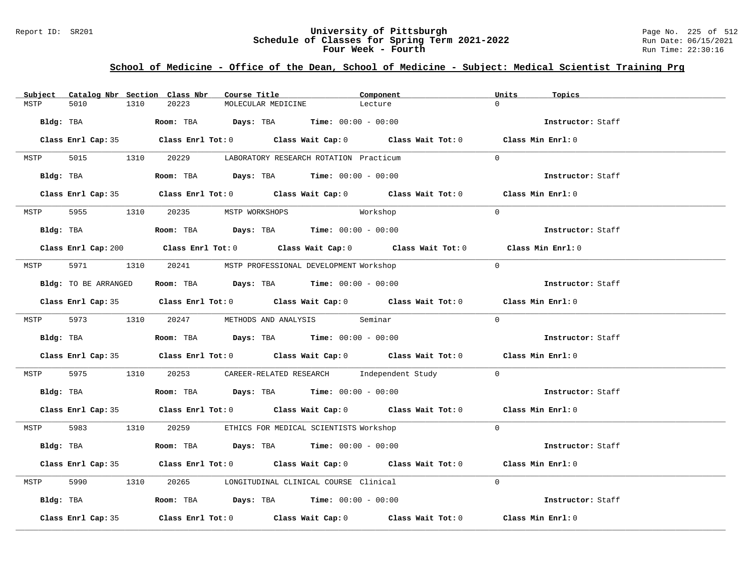### Report ID: SR201 **University of Pittsburgh** Page No. 225 of 512 **Schedule of Classes for Spring Term 2021-2022** Run Date: 06/15/2021 **Four Week - Fourth Rundall Run Time:** 22:30:16

### **School of Medicine - Office of the Dean, School of Medicine - Subject: Medical Scientist Training Prg**

| Subject |                    |      | Catalog Nbr Section Class Nbr       | Course Title       |                                                                                               | Component                                                                                   | Units          | Topics            |
|---------|--------------------|------|-------------------------------------|--------------------|-----------------------------------------------------------------------------------------------|---------------------------------------------------------------------------------------------|----------------|-------------------|
| MSTP    | 5010               | 1310 | 20223                               | MOLECULAR MEDICINE |                                                                                               | Lecture                                                                                     | $\Omega$       |                   |
|         |                    |      |                                     |                    | Bldg: TBA                       Room: TBA         Days: TBA         Time: 00:00 - 00:00       |                                                                                             |                | Instructor: Staff |
|         |                    |      |                                     |                    |                                                                                               | Class Enrl Cap: 35 Class Enrl Tot: 0 Class Wait Cap: 0 Class Wait Tot: 0 Class Min Enrl: 0  |                |                   |
|         |                    |      |                                     |                    | MSTP 5015 1310 20229 LABORATORY RESEARCH ROTATION Practicum                                   |                                                                                             | $\Omega$       |                   |
|         |                    |      |                                     |                    | Bldg: TBA                    Room: TBA         Days: TBA         Time: 00:00 - 00:00          |                                                                                             |                | Instructor: Staff |
|         |                    |      |                                     |                    |                                                                                               | Class Enrl Cap: 35 Class Enrl Tot: 0 Class Wait Cap: 0 Class Wait Tot: 0 Class Min Enrl: 0  |                |                   |
|         |                    |      | MSTP 5955 1310 20235 MSTP WORKSHOPS |                    | Workshop                                                                                      |                                                                                             | $\overline{0}$ |                   |
|         |                    |      |                                     |                    | Bldg: TBA                    Room: TBA         Days: TBA         Time: $00:00 - 00:00$        |                                                                                             |                | Instructor: Staff |
|         |                    |      |                                     |                    |                                                                                               | Class Enrl Cap: 200 Class Enrl Tot: 0 Class Wait Cap: 0 Class Wait Tot: 0 Class Min Enrl: 0 |                |                   |
|         |                    |      |                                     |                    | MSTP 5971 1310 20241 MSTP PROFESSIONAL DEVELOPMENT Workshop                                   |                                                                                             | $\Omega$       |                   |
|         |                    |      |                                     |                    | Bldg: TO BE ARRANGED ROOM: TBA Days: TBA Time: 00:00 - 00:00                                  |                                                                                             |                | Instructor: Staff |
|         |                    |      |                                     |                    |                                                                                               | Class Enrl Cap: 35 Class Enrl Tot: 0 Class Wait Cap: 0 Class Wait Tot: 0 Class Min Enrl: 0  |                |                   |
|         |                    |      |                                     |                    | MSTP 5973 1310 20247 METHODS AND ANALYSIS Seminar                                             |                                                                                             | $\Omega$       |                   |
|         |                    |      |                                     |                    | <b>Bldg:</b> TBA <b>Room:</b> TBA <b>Days:</b> TBA <b>Time:</b> $00:00 - 00:00$               |                                                                                             |                | Instructor: Staff |
|         |                    |      |                                     |                    |                                                                                               | Class Enrl Cap: 35 Class Enrl Tot: 0 Class Wait Cap: 0 Class Wait Tot: 0 Class Min Enrl: 0  |                |                   |
|         |                    |      |                                     |                    |                                                                                               | MSTP 5975 1310 20253 CAREER-RELATED RESEARCH Independent Study 0                            |                |                   |
|         |                    |      |                                     |                    | Bldg: TBA                        Room: TBA           Days: TBA          Time: $00:00 - 00:00$ |                                                                                             |                | Instructor: Staff |
|         |                    |      |                                     |                    |                                                                                               | Class Enrl Cap: 35 Class Enrl Tot: 0 Class Wait Cap: 0 Class Wait Tot: 0 Class Min Enrl: 0  |                |                   |
|         |                    |      |                                     |                    | MSTP 5983 1310 20259 ETHICS FOR MEDICAL SCIENTISTS Workshop                                   |                                                                                             | $\Omega$       |                   |
|         |                    |      |                                     |                    | Bldg: TBA                    Room: TBA         Days: TBA         Time: 00:00 - 00:00          |                                                                                             |                | Instructor: Staff |
|         |                    |      |                                     |                    |                                                                                               | Class Enrl Cap: 35 Class Enrl Tot: 0 Class Wait Cap: 0 Class Wait Tot: 0 Class Min Enrl: 0  |                |                   |
|         |                    |      |                                     |                    | MSTP 5990 1310 20265 LONGITUDINAL CLINICAL COURSE Clinical                                    |                                                                                             | $\Omega$       |                   |
|         |                    |      |                                     |                    | Bldg: TBA                    Room: TBA         Days: TBA         Time: $00:00 - 00:00$        |                                                                                             |                | Instructor: Staff |
|         | Class Enrl Cap: 35 |      |                                     |                    |                                                                                               | Class Enrl Tot: $0$ Class Wait Cap: $0$ Class Wait Tot: $0$ Class Min Enrl: $0$             |                |                   |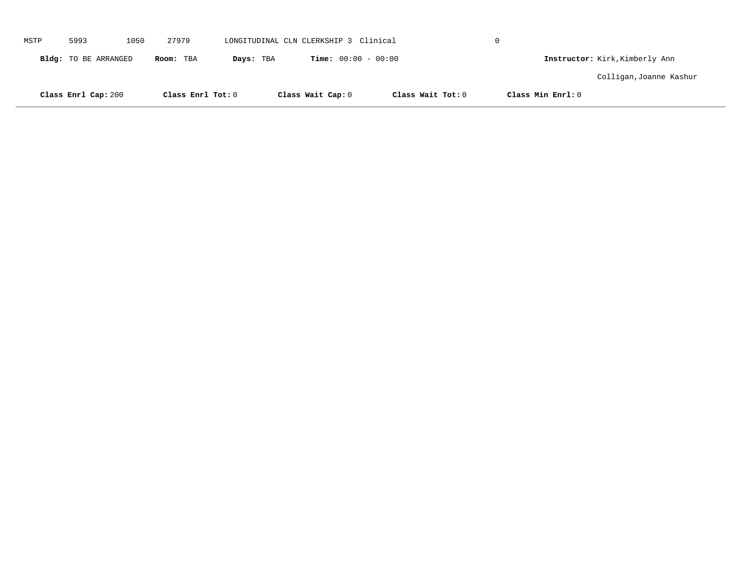|      | Class Enrl Cap: 200  |      | Class Enrl Tot: 0 |           | Class Wait Cap: 0                     | Class Wait Tot: 0 | Class Min Enrl: 0 |                                |  |
|------|----------------------|------|-------------------|-----------|---------------------------------------|-------------------|-------------------|--------------------------------|--|
|      |                      |      |                   |           |                                       |                   |                   | Colligan, Joanne Kashur        |  |
|      | Bldg: TO BE ARRANGED |      | Room: TBA         | Days: TBA | <b>Time:</b> $00:00 - 00:00$          |                   |                   | Instructor: Kirk, Kimberly Ann |  |
| MSTP | 5993                 | 1050 | 27979             |           | LONGITUDINAL CLN CLERKSHIP 3 Clinical |                   | $\Omega$          |                                |  |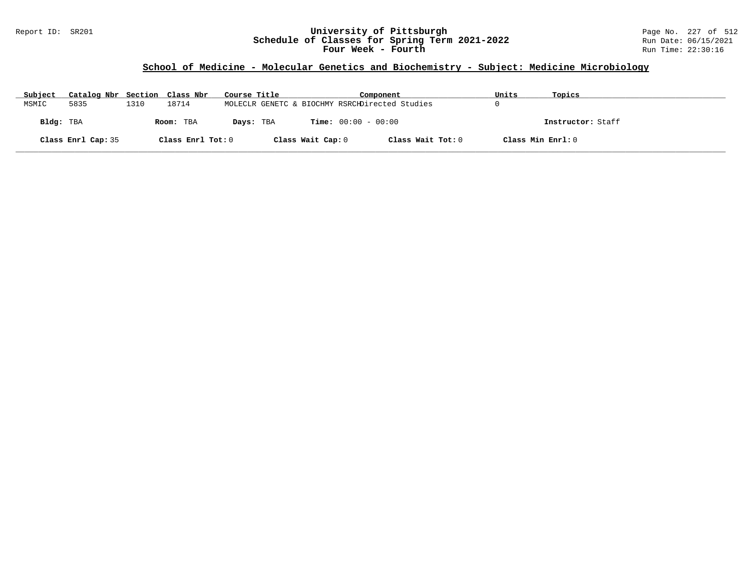### Report ID: SR201 **University of Pittsburgh** Page No. 227 of 512 **Schedule of Classes for Spring Term 2021-2022** Run Date: 06/15/2021 **Four Week - Fourth Rundall Run Time:** 22:30:16

# **School of Medicine - Molecular Genetics and Biochemistry - Subject: Medicine Microbiology**

| Subject   | Catalog Nbr Section Class Nbr |      |                   | Course Title |                   | Component                                      | Units             | Topics            |
|-----------|-------------------------------|------|-------------------|--------------|-------------------|------------------------------------------------|-------------------|-------------------|
| MSMIC     | 5835                          | 1310 | 18714             |              |                   | MOLECLR GENETC & BIOCHMY RSRCHDirected Studies |                   |                   |
| Bldg: TBA |                               |      | Room: TBA         | Days: TBA    |                   | <b>Time:</b> $00:00 - 00:00$                   |                   | Instructor: Staff |
|           | Class Enrl Cap: 35            |      | Class Enrl Tot: 0 |              | Class Wait Cap: 0 | Class Wait Tot: 0                              | Class Min Enrl: 0 |                   |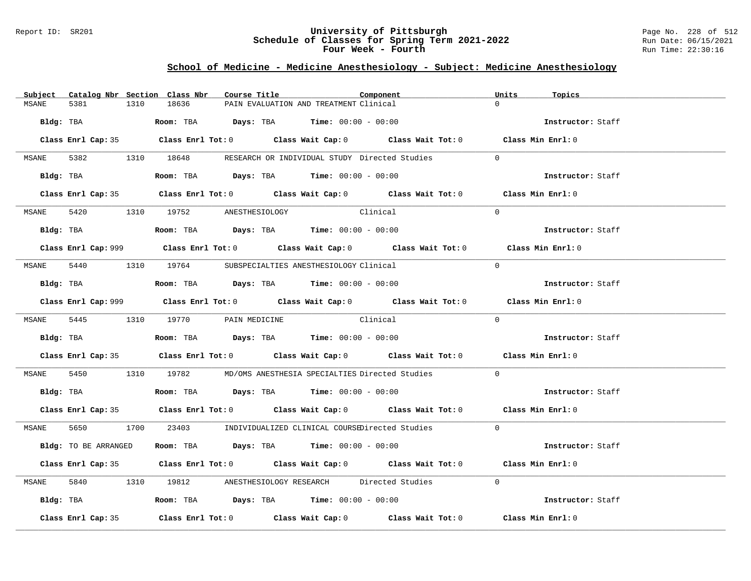#### Report ID: SR201 **University of Pittsburgh** Page No. 228 of 512 **Schedule of Classes for Spring Term 2021-2022** Run Date: 06/15/2021 **Four Week - Fourth Rundall Run Time:** 22:30:16

### **School of Medicine - Medicine Anesthesiology - Subject: Medicine Anesthesiology**

| Catalog Nbr Section Class Nbr<br>Subject | Course Title                                                                                | Component | Units<br>Topics   |
|------------------------------------------|---------------------------------------------------------------------------------------------|-----------|-------------------|
| 5381<br>1310<br>MSANE                    | 18636<br>PAIN EVALUATION AND TREATMENT Clinical                                             |           | $\Omega$          |
|                                          | $Bldg:$ TBA $Room:$ TBA $Days:$ TBA $Time:$ 00:00 - 00:00                                   |           | Instructor: Staff |
|                                          | Class Enrl Cap: 35 Class Enrl Tot: 0 Class Wait Cap: 0 Class Wait Tot: 0 Class Min Enrl: 0  |           |                   |
|                                          | MSANE 5382 1310 18648 RESEARCH OR INDIVIDUAL STUDY Directed Studies                         |           | $\Omega$          |
|                                          | Bldg: TBA                    Room: TBA         Days: TBA         Time: 00:00 - 00:00        |           | Instructor: Staff |
|                                          | Class Enrl Cap: 35 Class Enrl Tot: 0 Class Wait Cap: 0 Class Wait Tot: 0 Class Min Enrl: 0  |           |                   |
|                                          | MSANE 5420 1310 19752 ANESTHESIOLOGY                                                        | Clinical  | $\Omega$          |
|                                          | Bldg: TBA                   Room: TBA         Days: TBA         Time: 00:00 - 00:00         |           | Instructor: Staff |
|                                          | Class Enrl Cap: 999 Class Enrl Tot: 0 Class Wait Cap: 0 Class Wait Tot: 0 Class Min Enrl: 0 |           |                   |
|                                          | MSANE 5440 1310 19764 SUBSPECIALTIES ANESTHESIOLOGY Clinical                                |           | $\Omega$          |
|                                          | Bldg: TBA                   Room: TBA         Days: TBA         Time: $00:00 - 00:00$       |           | Instructor: Staff |
|                                          | Class Enrl Cap: 999 Class Enrl Tot: 0 Class Wait Cap: 0 Class Wait Tot: 0 Class Min Enrl: 0 |           |                   |
|                                          | MSANE 5445 1310 19770 PAIN MEDICINE Clinical                                                |           | $\Omega$          |
|                                          | Bldg: TBA                   Room: TBA         Days: TBA         Time: $00:00 - 00:00$       |           | Instructor: Staff |
|                                          | Class Enrl Cap: 35 Class Enrl Tot: 0 Class Wait Cap: 0 Class Wait Tot: 0 Class Min Enrl: 0  |           |                   |
|                                          | MSANE 5450 1310 19782 MD/OMS ANESTHESIA SPECIALTIES Directed Studies                        |           | $\Omega$          |
|                                          | Bldg: TBA                   Room: TBA         Days: TBA        Time: $00:00 - 00:00$        |           | Instructor: Staff |
|                                          | Class Enrl Cap: 35 Class Enrl Tot: 0 Class Wait Cap: 0 Class Wait Tot: 0 Class Min Enrl: 0  |           |                   |
|                                          | MSANE 5650 1700 23403 INDIVIDUALIZED CLINICAL COURSEDirected Studies 0                      |           |                   |
| Bldg: TO BE ARRANGED                     | Room: TBA $Days:$ TBA $Time: 00:00 - 00:00$                                                 |           | Instructor: Staff |
|                                          | Class Enrl Cap: 35 Class Enrl Tot: 0 Class Wait Cap: 0 Class Wait Tot: 0 Class Min Enrl: 0  |           |                   |
| MSANE                                    | 5840 1310 19812 ANESTHESIOLOGY RESEARCH Directed Studies 0                                  |           |                   |
|                                          | Bldg: TBA                    Room: TBA          Days: TBA         Time: 00:00 - 00:00       |           | Instructor: Staff |
| Class Enrl Cap: 35                       | Class Enrl Tot: $0$ Class Wait Cap: $0$ Class Wait Tot: $0$                                 |           | Class Min Enrl: 0 |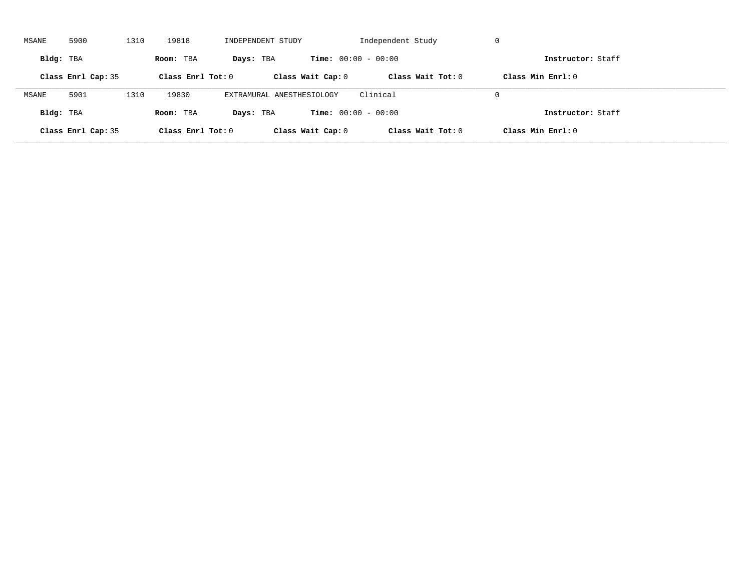| MSANE     | 5900               | 1310 | 19818               | INDEPENDENT STUDY         |                              | Independent Study   | -U                  |  |
|-----------|--------------------|------|---------------------|---------------------------|------------------------------|---------------------|---------------------|--|
| Bldg: TBA |                    |      | Room: TBA           | Days: TBA                 | <b>Time:</b> $00:00 - 00:00$ |                     | Instructor: Staff   |  |
|           | Class Enrl Cap: 35 |      | Class Enrl Tot: $0$ |                           | Class Wait Cap: 0            | Class Wait $Tot: 0$ | Class Min $Enrl: 0$ |  |
| MSANE     | 5901               | 1310 | 19830               | EXTRAMURAL ANESTHESIOLOGY |                              | Clinical            | $\Omega$            |  |
| Bldg: TBA |                    |      | Room: TBA           | Days: TBA                 | <b>Time:</b> $00:00 - 00:00$ |                     | Instructor: Staff   |  |
|           | Class Enrl Cap: 35 |      | Class Enrl Tot: $0$ |                           | Class Wait Cap: 0            | Class Wait Tot: 0   | Class Min Enrl: 0   |  |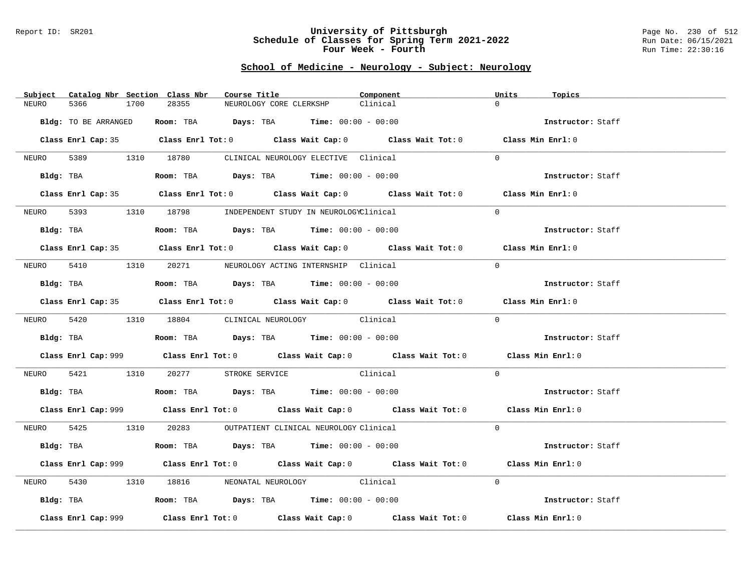#### Report ID: SR201 **University of Pittsburgh** Page No. 230 of 512 **Schedule of Classes for Spring Term 2021-2022** Run Date: 06/15/2021 **Four Week - Fourth Rundall Run Time:** 22:30:16

# **School of Medicine - Neurology - Subject: Neurology**

| Subject Catalog Nbr Section Class Nbr | Course Title                                                                                | Component | Units<br>Topics   |
|---------------------------------------|---------------------------------------------------------------------------------------------|-----------|-------------------|
| 5366<br>1700<br>NEURO                 | 28355<br>NEUROLOGY CORE CLERKSHP                                                            | Clinical  | $\Omega$          |
| Bldg: TO BE ARRANGED                  | Room: TBA $Days:$ TBA $Time: 00:00 - 00:00$                                                 |           | Instructor: Staff |
|                                       |                                                                                             |           |                   |
|                                       | Class Enrl Cap: 35 Class Enrl Tot: 0 Class Wait Cap: 0 Class Wait Tot: 0 Class Min Enrl: 0  |           |                   |
|                                       | NEURO 5389 1310 18780 CLINICAL NEUROLOGY ELECTIVE Clinical                                  |           | $\Omega$          |
|                                       | Bldg: TBA                   Room: TBA        Days: TBA        Time: 00:00 - 00:00           |           | Instructor: Staff |
|                                       | Class Enrl Cap: 35 Class Enrl Tot: 0 Class Wait Cap: 0 Class Wait Tot: 0 Class Min Enrl: 0  |           |                   |
|                                       | NEURO 5393 1310 18798 INDEPENDENT STUDY IN NEUROLOGYClinical                                |           | $\Omega$          |
| Bldg: TBA                             | Room: TBA $Days:$ TBA $Time: 00:00 - 00:00$                                                 |           | Instructor: Staff |
|                                       | Class Enrl Cap: 35 Class Enrl Tot: 0 Class Wait Cap: 0 Class Wait Tot: 0 Class Min Enrl: 0  |           |                   |
|                                       | NEURO 5410 1310 20271 NEUROLOGY ACTING INTERNSHIP Clinical                                  |           | $\Omega$          |
|                                       | Bldg: TBA                    Room: TBA         Days: TBA         Time: $00:00 - 00:00$      |           | Instructor: Staff |
|                                       | Class Enrl Cap: 35 Class Enrl Tot: 0 Class Wait Cap: 0 Class Wait Tot: 0 Class Min Enrl: 0  |           |                   |
|                                       | NEURO 5420 1310 18804 CLINICAL NEUROLOGY Clinical                                           |           | $\Omega$          |
|                                       |                                                                                             |           |                   |
|                                       |                                                                                             |           | Instructor: Staff |
|                                       | Class Enrl Cap: 999 Class Enrl Tot: 0 Class Wait Cap: 0 Class Wait Tot: 0 Class Min Enrl: 0 |           |                   |
|                                       | NEURO 5421 1310 20277 STROKE SERVICE Clinical                                               |           | $\Omega$          |
|                                       | Bldg: TBA                   Room: TBA         Days: TBA         Time: $00:00 - 00:00$       |           | Instructor: Staff |
|                                       | Class Enrl Cap: 999 Class Enrl Tot: 0 Class Wait Cap: 0 Class Wait Tot: 0 Class Min Enrl: 0 |           |                   |
|                                       | NEURO 5425 1310 20283 OUTPATIENT CLINICAL NEUROLOGY Clinical                                |           | $\Omega$          |
|                                       | Bldg: TBA                   Room: TBA         Days: TBA         Time: $00:00 - 00:00$       |           | Instructor: Staff |
|                                       | Class Enrl Cap: 999 Class Enrl Tot: 0 Class Wait Cap: 0 Class Wait Tot: 0 Class Min Enrl: 0 |           |                   |
| NEURO                                 | 5430 1310 18816 NEONATAL NEUROLOGY Clinical                                                 |           | $\Omega$          |
|                                       | Bldg: TBA                    Room: TBA         Days: TBA         Time: 00:00 - 00:00        |           | Instructor: Staff |
| Class Enrl Cap: 999                   | Class Enrl Tot: $0$ Class Wait Cap: $0$ Class Wait Tot: $0$ Class Min Enrl: $0$             |           |                   |
|                                       |                                                                                             |           |                   |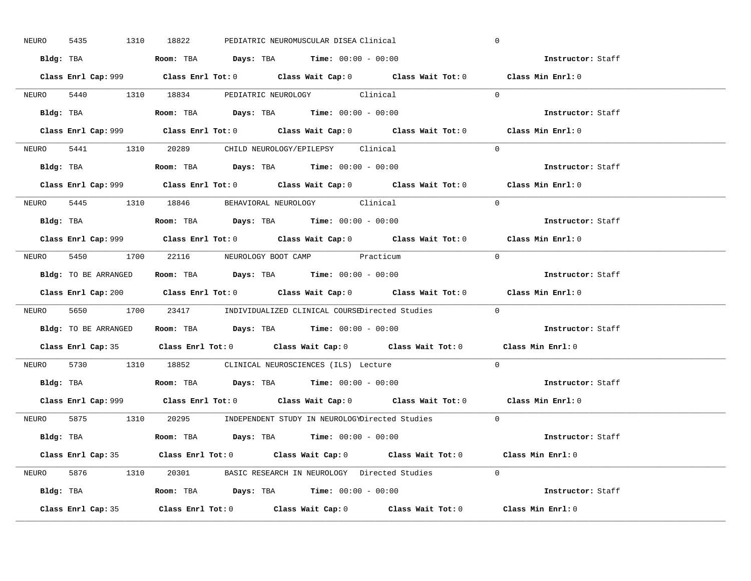| 5435<br>NEURO | 1310 18822<br>PEDIATRIC NEUROMUSCULAR DISEA Clinical                                        | $\mathbf 0$       |
|---------------|---------------------------------------------------------------------------------------------|-------------------|
|               | Bldg: TBA                      Room: TBA         Days: TBA         Time: 00:00 - 00:00      | Instructor: Staff |
|               | Class Enrl Cap: 999 Class Enrl Tot: 0 Class Wait Cap: 0 Class Wait Tot: 0 Class Min Enrl: 0 |                   |
|               | NEURO 5440 1310 18834 PEDIATRIC NEUROLOGY Clinical                                          | $\Omega$          |
|               |                                                                                             | Instructor: Staff |
|               |                                                                                             | Class Min Enrl: 0 |
|               | NEURO 5441 1310 20289 CHILD NEUROLOGY/EPILEPSY Clinical                                     | $\Omega$          |
|               | Bldg: TBA                   Room: TBA         Days: TBA         Time: 00:00 - 00:00         | Instructor: Staff |
|               | Class Enrl Cap: 999 Class Enrl Tot: 0 Class Wait Cap: 0 Class Wait Tot: 0 Class Min Enrl: 0 |                   |
|               | NEURO 5445 1310 18846 BEHAVIORAL NEUROLOGY Clinical                                         | $\Omega$          |
|               | $Bldg:$ TBA $Room:$ TBA $Days:$ TBA $Time:$ $00:00 - 00:00$                                 | Instructor: Staff |
|               | Class Enrl Cap: 999 Class Enrl Tot: 0 Class Wait Cap: 0 Class Wait Tot: 0 Class Min Enrl: 0 |                   |
|               | NEURO 5450 1700 22116 NEUROLOGY BOOT CAMP Practicum                                         | $\bigcap$         |
|               | <b>Bldg:</b> TO BE ARRANGED <b>ROOM:</b> TBA <b>Days:</b> TBA <b>Time:</b> $00:00 - 00:00$  | Instructor: Staff |
|               | Class Enrl Cap: 200 Class Enrl Tot: 0 Class Wait Cap: 0 Class Wait Tot: 0 Class Min Enrl: 0 |                   |
|               |                                                                                             |                   |
|               | NEURO 5650 1700 23417 INDIVIDUALIZED CLINICAL COURSEDirected Studies 0                      |                   |
|               | Bldg: TO BE ARRANGED Room: TBA Days: TBA Time: 00:00 - 00:00                                | Instructor: Staff |
|               | Class Enrl Cap: 35 Class Enrl Tot: 0 Class Wait Cap: 0 Class Wait Tot: 0 Class Min Enrl: 0  |                   |
| NEURO         | 5730 1310 18852 CLINICAL NEUROSCIENCES (ILS) Lecture                                        | $\Omega$          |
|               | Bldg: TBA                   Room: TBA         Days: TBA         Time: $00:00 - 00:00$       | Instructor: Staff |
|               | Class Enrl Cap: 999 Class Enrl Tot: 0 Class Wait Cap: 0 Class Wait Tot: 0 Class Min Enrl: 0 |                   |
|               | NEURO 5875 1310 20295 INDEPENDENT STUDY IN NEUROLOGYDirected Studies 0                      |                   |
|               | Bldg: TBA                     Room: TBA         Days: TBA         Time: 00:00 - 00:00       | Instructor: Staff |
|               | Class Enrl Cap: 35 Class Enrl Tot: 0 Class Wait Cap: 0 Class Wait Tot: 0 Class Min Enrl: 0  |                   |
|               | NEURO 5876 1310 20301 BASIC RESEARCH IN NEUROLOGY Directed Studies 0                        |                   |
|               | Bldg: TBA                  Room: TBA         Days: TBA         Time: $00:00 - 00:00$        | Instructor: Staff |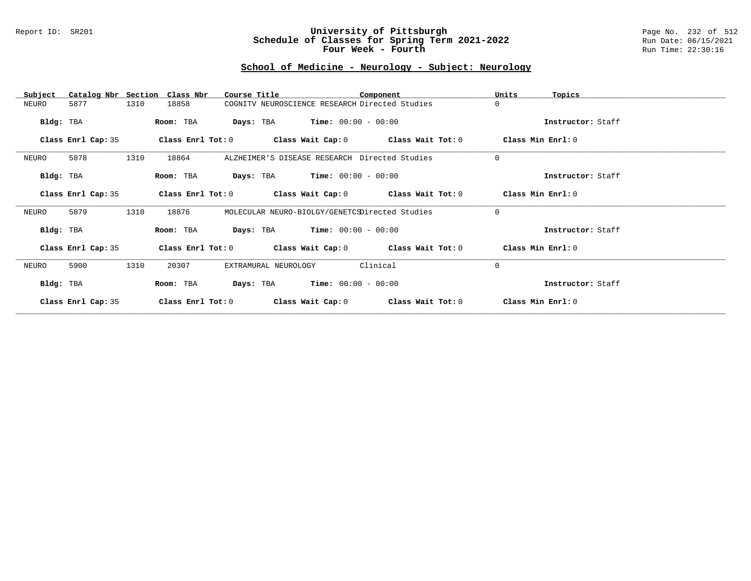#### Report ID: SR201 **University of Pittsburgh** Page No. 232 of 512 **Schedule of Classes for Spring Term 2021-2022** Run Date: 06/15/2021 **Four Week - Fourth Rundall Run Time:** 22:30:16

# **School of Medicine - Neurology - Subject: Neurology**

| Subject            | Catalog Nbr Section Class Nbr | Course Title                                   |                                               | Component                                                   | Units             | Topics            |
|--------------------|-------------------------------|------------------------------------------------|-----------------------------------------------|-------------------------------------------------------------|-------------------|-------------------|
| 5877<br>NEURO      | 1310<br>18858                 | COGNITV NEUROSCIENCE RESEARCH Directed Studies |                                               |                                                             | $\Omega$          |                   |
| Bldg: TBA          | Room: TBA                     |                                                | <b>Days:</b> TBA <b>Time:</b> $00:00 - 00:00$ |                                                             |                   | Instructor: Staff |
| Class Enrl Cap: 35 |                               |                                                |                                               | Class Enrl Tot: $0$ Class Wait Cap: $0$ Class Wait Tot: $0$ | Class Min Enrl: 0 |                   |
| 5878<br>NEURO      | 1310<br>18864                 | ALZHEIMER'S DISEASE RESEARCH Directed Studies  |                                               |                                                             | $\mathbf 0$       |                   |
| Bldg: TBA          | Room: TBA                     |                                                | <b>Days:</b> TBA <b>Time:</b> $00:00 - 00:00$ |                                                             |                   | Instructor: Staff |
| Class Enrl Cap: 35 | Class Enrl Tot: 0             |                                                |                                               | Class Wait Cap: 0 Class Wait Tot: 0                         | Class Min Enrl: 0 |                   |
| 5879<br>NEURO      | 1310<br>18876                 | MOLECULAR NEURO-BIOLGY/GENETCSDirected Studies |                                               |                                                             | $\mathbf 0$       |                   |
| Bldg: TBA          | Room: TBA                     |                                                | <b>Days:</b> TBA <b>Time:</b> $00:00 - 00:00$ |                                                             |                   | Instructor: Staff |
| Class Enrl Cap: 35 |                               |                                                |                                               | Class Enrl Tot: $0$ Class Wait Cap: $0$ Class Wait Tot: $0$ | Class Min Enrl: 0 |                   |
| NEURO<br>5900      | 1310<br>20307                 | EXTRAMURAL NEUROLOGY                           |                                               | Clinical                                                    | $\Omega$          |                   |
| Bldg: TBA          | Room: TBA                     | Days: TBA                                      | $Time: 00:00 - 00:00$                         |                                                             |                   | Instructor: Staff |
| Class Enrl Cap: 35 | Class Enrl Tot: 0             | Class Wait Cap: 0                              |                                               | Class Wait Tot: 0                                           |                   | Class Min Enrl: 0 |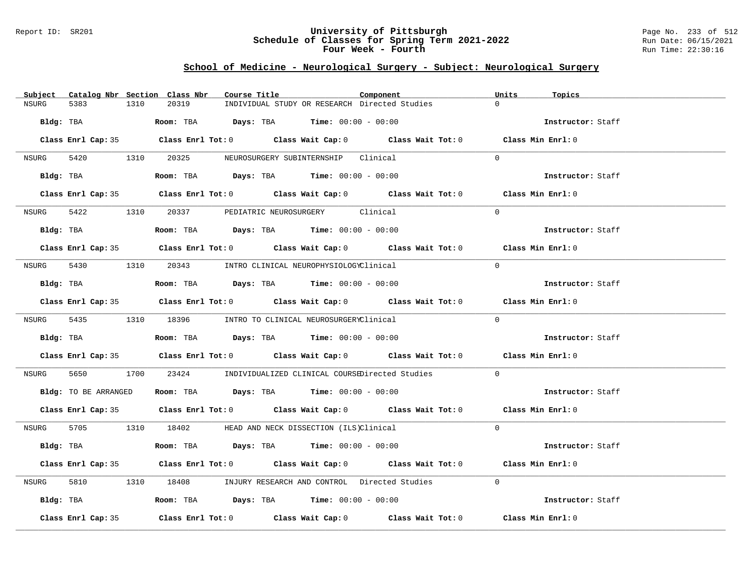#### Report ID: SR201 **University of Pittsburgh** Page No. 233 of 512 **Schedule of Classes for Spring Term 2021-2022** Run Date: 06/15/2021 **Four Week - Fourth Rundall Run Time:** 22:30:16

# **School of Medicine - Neurological Surgery - Subject: Neurological Surgery**

| 20319<br>INDIVIDUAL STUDY OR RESEARCH Directed Studies<br>5383<br>1310<br>$\Omega$<br>NSURG<br>Bldg: TBA<br><b>Room:</b> TBA $Days: TBA$ <b>Time:</b> $00:00 - 00:00$<br>Instructor: Staff<br>Class Enrl Cap: 35 Class Enrl Tot: 0 Class Wait Cap: 0 Class Wait Tot: 0 Class Min Enrl: 0<br>NSURG 5420 1310 20325 NEUROSURGERY SUBINTERNSHIP Clinical<br>$\Omega$<br>Bldg: TBA                         Room: TBA          Days: TBA          Time: $00:00 - 00:00$<br>Instructor: Staff<br>Class Enrl Cap: 35 Class Enrl Tot: 0 Class Wait Cap: 0 Class Wait Tot: 0 Class Min Enrl: 0<br>5422 1310 20337 PEDIATRIC NEUROSURGERY Clinical<br>$\Omega$<br>NSURG<br><b>Room:</b> TBA $Days: TBA$ <b>Time:</b> $00:00 - 00:00$<br>Bldg: TBA<br>Instructor: Staff |  |
|--------------------------------------------------------------------------------------------------------------------------------------------------------------------------------------------------------------------------------------------------------------------------------------------------------------------------------------------------------------------------------------------------------------------------------------------------------------------------------------------------------------------------------------------------------------------------------------------------------------------------------------------------------------------------------------------------------------------------------------------------------------|--|
|                                                                                                                                                                                                                                                                                                                                                                                                                                                                                                                                                                                                                                                                                                                                                              |  |
|                                                                                                                                                                                                                                                                                                                                                                                                                                                                                                                                                                                                                                                                                                                                                              |  |
|                                                                                                                                                                                                                                                                                                                                                                                                                                                                                                                                                                                                                                                                                                                                                              |  |
|                                                                                                                                                                                                                                                                                                                                                                                                                                                                                                                                                                                                                                                                                                                                                              |  |
|                                                                                                                                                                                                                                                                                                                                                                                                                                                                                                                                                                                                                                                                                                                                                              |  |
|                                                                                                                                                                                                                                                                                                                                                                                                                                                                                                                                                                                                                                                                                                                                                              |  |
|                                                                                                                                                                                                                                                                                                                                                                                                                                                                                                                                                                                                                                                                                                                                                              |  |
|                                                                                                                                                                                                                                                                                                                                                                                                                                                                                                                                                                                                                                                                                                                                                              |  |
|                                                                                                                                                                                                                                                                                                                                                                                                                                                                                                                                                                                                                                                                                                                                                              |  |
| Class Enrl Cap: 35 Class Enrl Tot: 0 Class Wait Cap: 0 Class Wait Tot: 0 Class Min Enrl: 0                                                                                                                                                                                                                                                                                                                                                                                                                                                                                                                                                                                                                                                                   |  |
| NSURG<br>5430 1310 20343 INTRO CLINICAL NEUROPHYSIOLOGYClinical<br>$\Omega$                                                                                                                                                                                                                                                                                                                                                                                                                                                                                                                                                                                                                                                                                  |  |
| Room: TBA $\rule{1em}{0.15mm}$ Days: TBA Time: $00:00 - 00:00$<br>Instructor: Staff<br>Bldg: TBA                                                                                                                                                                                                                                                                                                                                                                                                                                                                                                                                                                                                                                                             |  |
| Class Enrl Cap: 35 Class Enrl Tot: 0 Class Wait Cap: 0 Class Wait Tot: 0 Class Min Enrl: 0                                                                                                                                                                                                                                                                                                                                                                                                                                                                                                                                                                                                                                                                   |  |
| $\Omega$<br>NSURG 5435 1310 18396 INTRO TO CLINICAL NEUROSURGERYClinical                                                                                                                                                                                                                                                                                                                                                                                                                                                                                                                                                                                                                                                                                     |  |
| Bldg: TBA                    Room: TBA         Days: TBA         Time: $00:00 - 00:00$<br>Instructor: Staff                                                                                                                                                                                                                                                                                                                                                                                                                                                                                                                                                                                                                                                  |  |
| Class Enrl Cap: 35 Class Enrl Tot: 0 Class Wait Cap: 0 Class Wait Tot: 0 Class Min Enrl: 0                                                                                                                                                                                                                                                                                                                                                                                                                                                                                                                                                                                                                                                                   |  |
| 5650<br>1700 23424 INDIVIDUALIZED CLINICAL COURSEDirected Studies<br>$\Omega$<br>NSURG                                                                                                                                                                                                                                                                                                                                                                                                                                                                                                                                                                                                                                                                       |  |
| <b>Bldg:</b> TO BE ARRANGED <b>Room:</b> TBA <b>Days:</b> TBA <b>Time:</b> $00:00 - 00:00$<br>Instructor: Staff                                                                                                                                                                                                                                                                                                                                                                                                                                                                                                                                                                                                                                              |  |
| Class Enrl Cap: 35 Class Enrl Tot: 0 Class Wait Cap: 0 Class Wait Tot: 0 Class Min Enrl: 0                                                                                                                                                                                                                                                                                                                                                                                                                                                                                                                                                                                                                                                                   |  |
| NSURG 5705 1310 18402 HEAD AND NECK DISSECTION (ILS)Clinical<br>$\Omega$                                                                                                                                                                                                                                                                                                                                                                                                                                                                                                                                                                                                                                                                                     |  |
| Room: TBA $Days:$ TBA $Time: 00:00 - 00:00$<br>Bldg: TBA<br>Instructor: Staff                                                                                                                                                                                                                                                                                                                                                                                                                                                                                                                                                                                                                                                                                |  |
| Class Enrl Cap: 35 Class Enrl Tot: 0 Class Wait Cap: 0 Class Wait Tot: 0 Class Min Enrl: 0                                                                                                                                                                                                                                                                                                                                                                                                                                                                                                                                                                                                                                                                   |  |
| $\Omega$<br>5810 38<br>1310 18408 INJURY RESEARCH AND CONTROL Directed Studies<br>NSURG                                                                                                                                                                                                                                                                                                                                                                                                                                                                                                                                                                                                                                                                      |  |
| Bldg: TBA                    Room: TBA         Days: TBA        Time: 00:00 - 00:00<br>Instructor: Staff                                                                                                                                                                                                                                                                                                                                                                                                                                                                                                                                                                                                                                                     |  |
| Class Enrl Tot: 0 $\qquad$ Class Wait Cap: 0 $\qquad$ Class Wait Tot: 0 $\qquad$ Class Min Enrl: 0<br>Class Enrl Cap: 35                                                                                                                                                                                                                                                                                                                                                                                                                                                                                                                                                                                                                                     |  |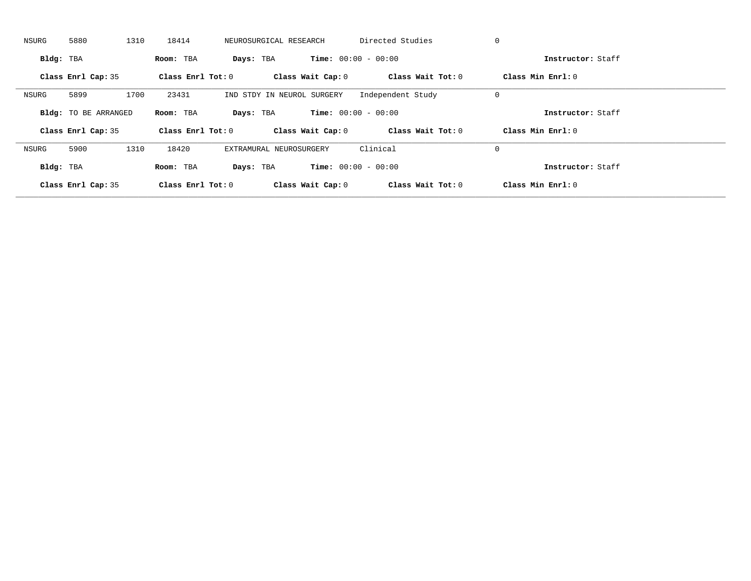| NSURG     | 5880                        | 1310 | 18414               | NEUROSURGICAL RESEARCH  |                            | Directed Studies             | 0 |                     |  |
|-----------|-----------------------------|------|---------------------|-------------------------|----------------------------|------------------------------|---|---------------------|--|
| Bldg: TBA |                             |      | Room: TBA           | Days: TBA               |                            | <b>Time:</b> $00:00 - 00:00$ |   | Instructor: Staff   |  |
|           | Class Enrl Cap: 35          |      | Class Enrl Tot: $0$ |                         | Class Wait Cap: 0          | Class Wait Tot: 0            |   | Class Min Enrl: 0   |  |
| NSURG     | 5899                        | 1700 | 23431               |                         | IND STDY IN NEUROL SURGERY | Independent Study            | 0 |                     |  |
|           | <b>Bldg:</b> TO BE ARRANGED |      | Room: TBA           | Days: TBA               |                            | <b>Time:</b> $00:00 - 00:00$ |   | Instructor: Staff   |  |
|           | Class Enrl Cap: 35          |      | Class Enrl Tot: 0   |                         | Class Wait Cap: 0          | Class Wait Tot: 0            |   | Class Min $Enrl: 0$ |  |
| NSURG     | 5900                        | 1310 | 18420               | EXTRAMURAL NEUROSURGERY |                            | Clinical                     | 0 |                     |  |
| Bldg: TBA |                             |      | Room: TBA           | Days: TBA               |                            | <b>Time:</b> $00:00 - 00:00$ |   | Instructor: Staff   |  |
|           | Class Enrl Cap: 35          |      |                     |                         |                            |                              |   |                     |  |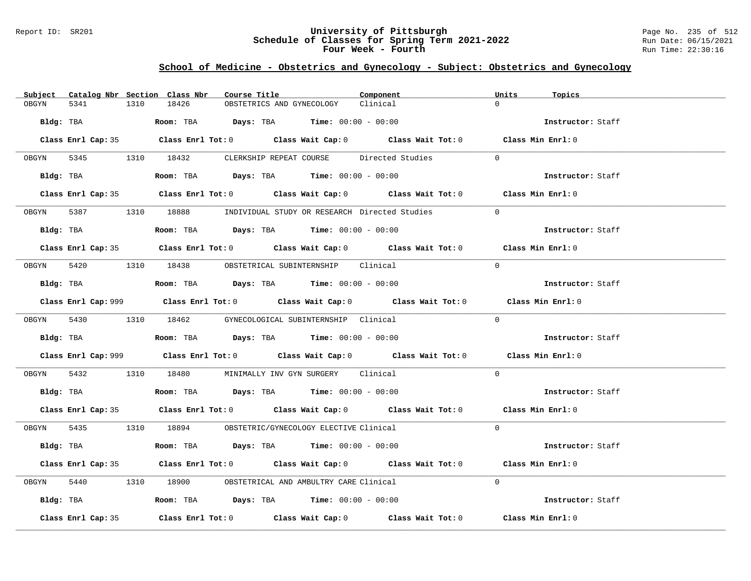### Report ID: SR201 **University of Pittsburgh** Page No. 235 of 512 **Schedule of Classes for Spring Term 2021-2022** Run Date: 06/15/2021 **Four Week - Fourth Rundall Run Time:** 22:30:16

# **School of Medicine - Obstetrics and Gynecology - Subject: Obstetrics and Gynecology**

|           |                    |      | Subject Catalog Nbr Section Class Nbr | Course Title |                                                                                        | Component                                                                                   | Units    | Topics            |
|-----------|--------------------|------|---------------------------------------|--------------|----------------------------------------------------------------------------------------|---------------------------------------------------------------------------------------------|----------|-------------------|
| OBGYN     | 5341               | 1310 | 18426                                 |              | OBSTETRICS AND GYNECOLOGY                                                              | Clinical                                                                                    | $\Omega$ |                   |
| Bldg: TBA |                    |      |                                       |              | <b>Room:</b> TBA <b>Days:</b> TBA <b>Time:</b> $00:00 - 00:00$                         |                                                                                             |          | Instructor: Staff |
|           |                    |      |                                       |              |                                                                                        | Class Enrl Cap: 35 Class Enrl Tot: 0 Class Wait Cap: 0 Class Wait Tot: 0 Class Min Enrl: 0  |          |                   |
|           |                    |      |                                       |              | OBGYN 5345 1310 18432 CLERKSHIP REPEAT COURSE Directed Studies                         |                                                                                             | $\Omega$ |                   |
|           |                    |      |                                       |              | Bldg: TBA                   Room: TBA        Days: TBA        Time: 00:00 - 00:00      |                                                                                             |          | Instructor: Staff |
|           |                    |      |                                       |              |                                                                                        | Class Enrl Cap: 35 Class Enrl Tot: 0 Class Wait Cap: 0 Class Wait Tot: 0 Class Min Enrl: 0  |          |                   |
|           |                    |      |                                       |              | 0BGYN 5387 1310 18888 INDIVIDUAL STUDY OR RESEARCH Directed Studies                    |                                                                                             | $\Omega$ |                   |
|           |                    |      |                                       |              | Bldg: TBA                     Room: TBA         Days: TBA         Time: 00:00 - 00:00  |                                                                                             |          | Instructor: Staff |
|           |                    |      |                                       |              |                                                                                        | Class Enrl Cap: 35 Class Enrl Tot: 0 Class Wait Cap: 0 Class Wait Tot: 0 Class Min Enrl: 0  |          |                   |
|           |                    |      |                                       |              | OBGYN 5420 1310 18438 OBSTETRICAL SUBINTERNSHIP Clinical                               |                                                                                             | $\Omega$ |                   |
|           |                    |      |                                       |              | Bldg: TBA                   Room: TBA         Days: TBA         Time: $00:00 - 00:00$  |                                                                                             |          | Instructor: Staff |
|           |                    |      |                                       |              |                                                                                        | Class Enrl Cap: 999 Class Enrl Tot: 0 Class Wait Cap: 0 Class Wait Tot: 0 Class Min Enrl: 0 |          |                   |
|           |                    |      |                                       |              | OBGYN 5430 1310 18462 GYNECOLOGICAL SUBINTERNSHIP Clinical                             |                                                                                             | $\Omega$ |                   |
|           |                    |      |                                       |              | Bldg: TBA                    Room: TBA         Days: TBA         Time: $00:00 - 00:00$ |                                                                                             |          | Instructor: Staff |
|           |                    |      |                                       |              |                                                                                        | Class Enrl Cap: 999 Class Enrl Tot: 0 Class Wait Cap: 0 Class Wait Tot: 0 Class Min Enrl: 0 |          |                   |
|           |                    |      |                                       |              | OBGYN 5432 1310 18480 MINIMALLY INV GYN SURGERY Clinical                               |                                                                                             | $\Omega$ |                   |
|           |                    |      |                                       |              | Bldg: TBA                   Room: TBA         Days: TBA         Time: 00:00 - 00:00    |                                                                                             |          | Instructor: Staff |
|           |                    |      |                                       |              |                                                                                        | Class Enrl Cap: 35 Class Enrl Tot: 0 Class Wait Cap: 0 Class Wait Tot: 0 Class Min Enrl: 0  |          |                   |
|           |                    |      |                                       |              | OBGYN 5435 1310 18894 OBSTETRIC/GYNECOLOGY ELECTIVE Clinical                           |                                                                                             | $\Omega$ |                   |
|           |                    |      |                                       |              | $Bldg:$ TBA $\qquad \qquad$ Room: TBA Days: TBA  Time: $00:00 - 00:00$                 |                                                                                             |          | Instructor: Staff |
|           |                    |      |                                       |              |                                                                                        | Class Enrl Cap: 35 Class Enrl Tot: 0 Class Wait Cap: 0 Class Wait Tot: 0 Class Min Enrl: 0  |          |                   |
| OBGYN     | 5440               |      |                                       |              | 1310 18900 OBSTETRICAL AND AMBULTRY CARE Clinical                                      |                                                                                             | $\Omega$ |                   |
|           |                    |      |                                       |              | Bldg: TBA                   Room: TBA         Days: TBA         Time: 00:00 - 00:00    |                                                                                             |          | Instructor: Staff |
|           | Class Enrl Cap: 35 |      |                                       |              |                                                                                        | Class Enrl Tot: $0$ Class Wait Cap: $0$ Class Wait Tot: $0$                                 |          | Class Min Enrl: 0 |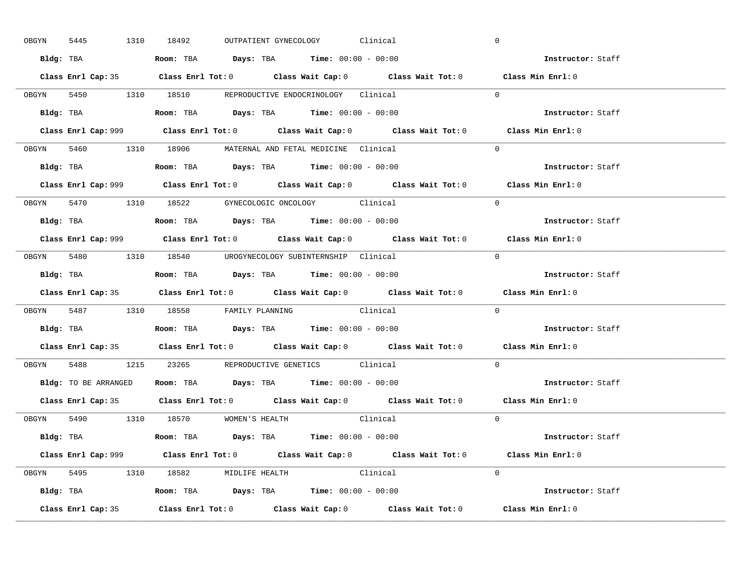| OBGYN | 5445 | 1310 18492 |                                                                                       | OUTPATIENT GYNECOLOGY Clinical |                                                                           | $\mathbf 0$                                                                                 |  |
|-------|------|------------|---------------------------------------------------------------------------------------|--------------------------------|---------------------------------------------------------------------------|---------------------------------------------------------------------------------------------|--|
|       |      |            | Bldg: TBA                   Room: TBA        Days: TBA        Time: 00:00 - 00:00     |                                |                                                                           | Instructor: Staff                                                                           |  |
|       |      |            |                                                                                       |                                |                                                                           | Class Enrl Cap: 35 Class Enrl Tot: 0 Class Wait Cap: 0 Class Wait Tot: 0 Class Min Enrl: 0  |  |
|       |      |            | OBGYN 5450 1310 18510 REPRODUCTIVE ENDOCRINOLOGY Clinical                             |                                |                                                                           | $\Omega$                                                                                    |  |
|       |      |            |                                                                                       |                                |                                                                           | Instructor: Staff                                                                           |  |
|       |      |            |                                                                                       |                                | Class Enrl Cap: 999 Class Enrl Tot: 0 Class Wait Cap: 0 Class Wait Tot: 0 | Class Min Enrl: 0                                                                           |  |
|       |      |            | OBGYN 5460 1310 18906 MATERNAL AND FETAL MEDICINE Clinical                            |                                |                                                                           | $\Omega$                                                                                    |  |
|       |      |            | Bldg: TBA                   Room: TBA         Days: TBA         Time: 00:00 - 00:00   |                                |                                                                           | Instructor: Staff                                                                           |  |
|       |      |            |                                                                                       |                                |                                                                           | Class Enrl Cap: 999 Class Enrl Tot: 0 Class Wait Cap: 0 Class Wait Tot: 0 Class Min Enrl: 0 |  |
|       |      |            | OBGYN 5470 1310 18522 GYNECOLOGIC ONCOLOGY Clinical                                   |                                |                                                                           | $\Omega$                                                                                    |  |
|       |      |            | Bldg: TBA                   Room: TBA         Days: TBA         Time: $00:00 - 00:00$ |                                |                                                                           | Instructor: Staff                                                                           |  |
|       |      |            |                                                                                       |                                |                                                                           | Class Enrl Cap: 999 Class Enrl Tot: 0 Class Wait Cap: 0 Class Wait Tot: 0 Class Min Enrl: 0 |  |
|       |      |            | OBGYN 5480 1310 18540 UROGYNECOLOGY_SUBINTERNSHIP Clinical                            |                                |                                                                           | $\Omega$                                                                                    |  |
|       |      |            | Bldg: TBA                   Room: TBA        Days: TBA        Time: 00:00 - 00:00     |                                |                                                                           | Instructor: Staff                                                                           |  |
|       |      |            |                                                                                       |                                |                                                                           |                                                                                             |  |
|       |      |            |                                                                                       |                                |                                                                           | Class Enrl Cap: 35 Class Enrl Tot: 0 Class Wait Cap: 0 Class Wait Tot: 0 Class Min Enrl: 0  |  |
|       |      |            | OBGYN 5487 1310 18558 FAMILY PLANNING Clinical                                        |                                |                                                                           | $\Omega$                                                                                    |  |
|       |      |            | Bldg: TBA                   Room: TBA         Days: TBA         Time: 00:00 - 00:00   |                                |                                                                           | Instructor: Staff                                                                           |  |
|       |      |            |                                                                                       |                                |                                                                           | Class Enrl Cap: 35 Class Enrl Tot: 0 Class Wait Cap: 0 Class Wait Tot: 0 Class Min Enrl: 0  |  |
| OBGYN |      |            | 5488 1215 23265 REPRODUCTIVE GENETICS Clinical                                        |                                |                                                                           | $\Omega$                                                                                    |  |
|       |      |            | Bldg: TO BE ARRANGED ROOM: TBA Days: TBA Time: 00:00 - 00:00                          |                                |                                                                           | Instructor: Staff                                                                           |  |
|       |      |            |                                                                                       |                                |                                                                           | Class Enrl Cap: 35 Class Enrl Tot: 0 Class Wait Cap: 0 Class Wait Tot: 0 Class Min Enrl: 0  |  |
|       |      |            | OBGYN 5490 1310 18570 WOMEN'S HEALTH                                                  |                                | Clinical                                                                  | $\overline{0}$                                                                              |  |
|       |      |            | <b>Bldg:</b> TBA <b>ROOM:</b> TBA <b>Days:</b> TBA <b>Time:</b> $00:00 - 00:00$       |                                |                                                                           | Instructor: Staff                                                                           |  |
|       |      |            |                                                                                       |                                |                                                                           | Class Enrl Cap: 999 Class Enrl Tot: 0 Class Wait Cap: 0 Class Wait Tot: 0 Class Min Enrl: 0 |  |
|       |      |            | OBGYN 5495 1310 18582 MIDLIFE HEALTH Clinical                                         |                                |                                                                           | $\Omega$                                                                                    |  |
|       |      |            | <b>Bldg:</b> TBA <b>ROOM:</b> TBA <b>Days:</b> TBA <b>Time:</b> $00:00 - 00:00$       |                                |                                                                           | Instructor: Staff                                                                           |  |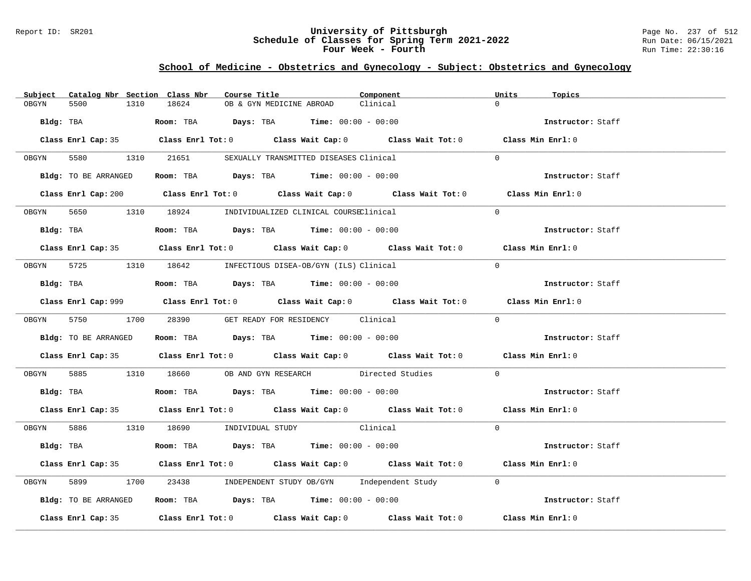#### Report ID: SR201 **University of Pittsburgh** Page No. 237 of 512 **Schedule of Classes for Spring Term 2021-2022** Run Date: 06/15/2021 **Four Week - Fourth Rundall Run Time:** 22:30:16

# **School of Medicine - Obstetrics and Gynecology - Subject: Obstetrics and Gynecology**

| Catalog Nbr Section Class Nbr<br>Subject | Course Title<br>Component                                                                   | Units<br>Topics   |
|------------------------------------------|---------------------------------------------------------------------------------------------|-------------------|
| 5500<br>1310<br>OBGYN                    | 18624<br>Clinical<br>OB & GYN MEDICINE ABROAD                                               | $\Omega$          |
| Bldg: TBA                                | Room: TBA $Days:$ TBA $Time: 00:00 - 00:00$                                                 | Instructor: Staff |
|                                          | Class Enrl Cap: 35 Class Enrl Tot: 0 Class Wait Cap: 0 Class Wait Tot: 0 Class Min Enrl: 0  |                   |
|                                          | OBGYN 5580 1310 21651 SEXUALLY TRANSMITTED DISEASES Clinical                                | $\Omega$          |
|                                          | Bldg: TO BE ARRANGED Room: TBA Days: TBA Time: 00:00 - 00:00                                | Instructor: Staff |
|                                          | Class Enrl Cap: 200 Class Enrl Tot: 0 Class Wait Cap: 0 Class Wait Tot: 0 Class Min Enrl: 0 |                   |
|                                          | OBGYN 5650 1310 18924 INDIVIDUALIZED CLINICAL COURSEClinical                                | $\Omega$          |
| Bldg: TBA                                | Room: TBA $Days:$ TBA Time: $00:00 - 00:00$                                                 | Instructor: Staff |
|                                          | Class Enrl Cap: 35 Class Enrl Tot: 0 Class Wait Cap: 0 Class Wait Tot: 0 Class Min Enrl: 0  |                   |
|                                          | OBGYN 5725 1310 18642 INFECTIOUS DISEA-OB/GYN (ILS) Clinical                                | $\Omega$          |
|                                          | Bldg: TBA                     Room: TBA         Days: TBA         Time: 00:00 - 00:00       | Instructor: Staff |
|                                          | Class Enrl Cap: 999 Class Enrl Tot: 0 Class Wait Cap: 0 Class Wait Tot: 0 Class Min Enrl: 0 |                   |
|                                          | OBGYN 5750 1700 28390 GET READY FOR RESIDENCY Clinical                                      | $\Omega$          |
| Bldg: TO BE ARRANGED                     | Room: TBA $\rule{1em}{0.15mm}$ Days: TBA Time: $00:00 - 00:00$                              | Instructor: Staff |
|                                          | Class Enrl Cap: 35 Class Enrl Tot: 0 Class Wait Cap: 0 Class Wait Tot: 0 Class Min Enrl: 0  |                   |
| OBGYN                                    | 5885 1310 18660 OB AND GYN RESEARCH Directed Studies                                        | $\Omega$          |
|                                          | Bldg: TBA                    Room: TBA         Days: TBA        Time: 00:00 - 00:00         | Instructor: Staff |
|                                          | Class Enrl Cap: 35 Class Enrl Tot: 0 Class Wait Cap: 0 Class Wait Tot: 0 Class Min Enrl: 0  |                   |
|                                          | OBGYN 5886 1310 18690 INDIVIDUAL STUDY Clinical                                             | $\Omega$          |
| Bldg: TBA                                | Room: TBA $Days:$ TBA Time: $00:00 - 00:00$                                                 | Instructor: Staff |
|                                          | Class Enrl Cap: 35 Class Enrl Tot: 0 Class Wait Cap: 0 Class Wait Tot: 0 Class Min Enrl: 0  |                   |
| 5899<br>OBGYN                            | 1700 23438 INDEPENDENT STUDY OB/GYN Independent Study                                       | $\Omega$          |
| Bldg: TO BE ARRANGED                     | Room: TBA $\rule{1em}{0.15mm}$ Days: TBA $\rule{1.15mm}]{0.15mm}$ Time: $00:00 - 00:00$     | Instructor: Staff |
|                                          | Class Enrl Cap: 35 Class Enrl Tot: 0 Class Wait Cap: 0 Class Wait Tot: 0                    | Class Min Enrl: 0 |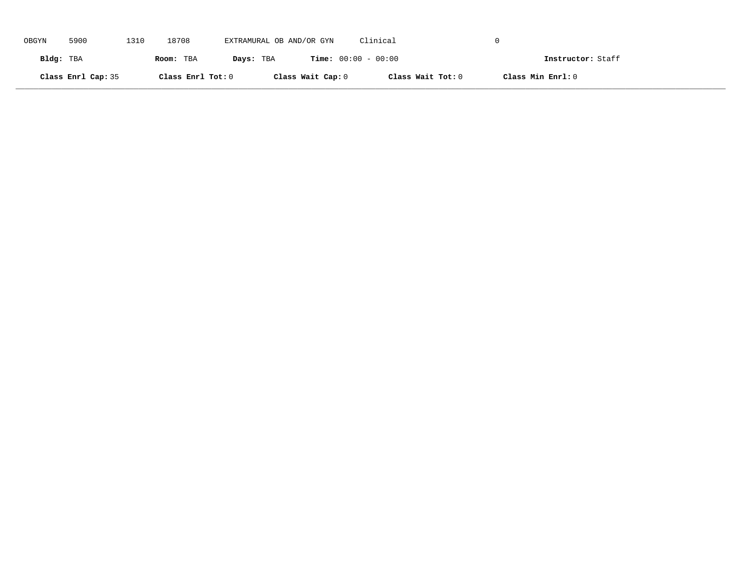| OBGYN     | 5900               | 1310 | 18708             | EXTRAMURAL OB AND/OR GYN |                   | Clinical                     |                   |                   |
|-----------|--------------------|------|-------------------|--------------------------|-------------------|------------------------------|-------------------|-------------------|
| Bldg: TBA |                    |      | Room: TBA         | Days: TBA                |                   | <b>Time:</b> $00:00 - 00:00$ |                   | Instructor: Staff |
|           | Class Enrl Cap: 35 |      | Class Enrl Tot: 0 |                          | Class Wait Cap: 0 | Class Wait Tot: 0            | Class Min Enrl: 0 |                   |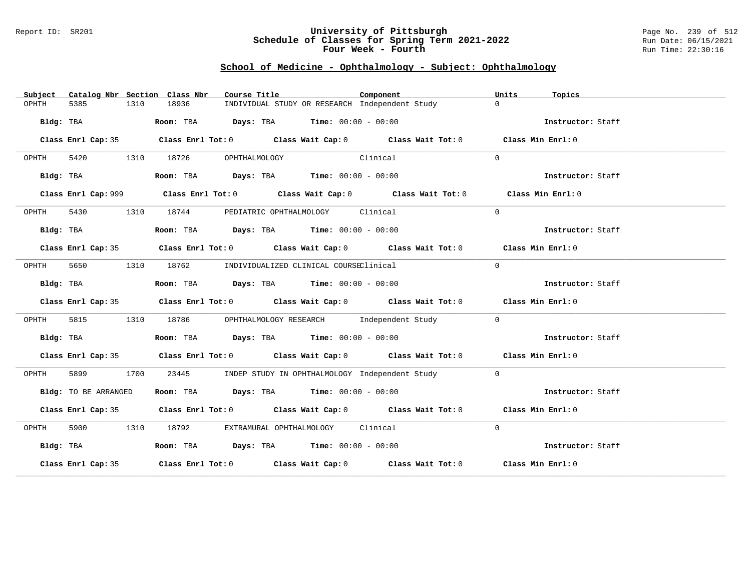#### Report ID: SR201 **University of Pittsburgh** Page No. 239 of 512 **Schedule of Classes for Spring Term 2021-2022** Run Date: 06/15/2021 **Four Week - Fourth Rundall Run Time:** 22:30:16

# **School of Medicine - Ophthalmology - Subject: Ophthalmology**

| Subject   |                      |      | Catalog Nbr Section Class Nbr | Course Title                                                                                | Component | Units<br>Topics   |  |
|-----------|----------------------|------|-------------------------------|---------------------------------------------------------------------------------------------|-----------|-------------------|--|
| OPHTH     | 5385                 | 1310 | 18936                         | INDIVIDUAL STUDY OR RESEARCH Independent Study                                              |           | $\Omega$          |  |
|           |                      |      |                               | Bldg: TBA                     Room: TBA          Days: TBA         Time: 00:00 - 00:00      |           | Instructor: Staff |  |
|           |                      |      |                               | Class Enrl Cap: 35 Class Enrl Tot: 0 Class Wait Cap: 0 Class Wait Tot: 0 Class Min Enrl: 0  |           |                   |  |
| OPHTH     |                      |      |                               | 5420 1310 18726 OPHTHALMOLOGY<br>Clinical                                                   |           | $\Omega$          |  |
|           | Bldg: TBA            |      |                               | Room: TBA $Days:$ TBA $Time: 00:00 - 00:00$                                                 |           | Instructor: Staff |  |
|           |                      |      |                               | Class Enrl Cap: 999 Class Enrl Tot: 0 Class Wait Cap: 0 Class Wait Tot: 0 Class Min Enrl: 0 |           |                   |  |
| OPHTH     | 5430                 |      |                               | 1310 18744 PEDIATRIC OPHTHALMOLOGY Clinical                                                 |           | $\Omega$          |  |
|           | Bldg: TBA            |      |                               | Room: TBA $\rule{1em}{0.15mm}$ Days: TBA Time: $00:00 - 00:00$                              |           | Instructor: Staff |  |
|           |                      |      |                               | Class Enrl Cap: 35 Class Enrl Tot: 0 Class Wait Cap: 0 Class Wait Tot: 0 Class Min Enrl: 0  |           |                   |  |
| OPHTH     | 5650                 |      |                               | 1310 18762 INDIVIDUALIZED CLINICAL COURSEClinical                                           |           | $\Omega$          |  |
|           | Bldg: TBA            |      |                               | Room: TBA $Days:$ TBA $Time: 00:00 - 00:00$                                                 |           | Instructor: Staff |  |
|           |                      |      |                               | Class Enrl Cap: 35 Class Enrl Tot: 0 Class Wait Cap: 0 Class Wait Tot: 0 Class Min Enrl: 0  |           |                   |  |
| OPHTH     | 5815                 |      |                               | 1310 18786 OPHTHALMOLOGY RESEARCH Independent Study                                         |           | $\Omega$          |  |
|           | Bldg: TBA            |      |                               | Room: TBA $\rule{1em}{0.15mm}$ Days: TBA Time: $00:00 - 00:00$                              |           | Instructor: Staff |  |
|           |                      |      |                               | Class Enrl Cap: 35 Class Enrl Tot: 0 Class Wait Cap: 0 Class Wait Tot: 0 Class Min Enrl: 0  |           |                   |  |
| OPHTH     | 5899 1700            |      | 23445                         | INDEP STUDY IN OPHTHALMOLOGY Independent Study                                              |           | $\overline{0}$    |  |
|           | Bldg: TO BE ARRANGED |      |                               | Room: TBA $Days:$ TBA $Time:$ 00:00 - 00:00                                                 |           | Instructor: Staff |  |
|           |                      |      |                               | Class Enrl Cap: 35 Class Enrl Tot: 0 Class Wait Cap: 0 Class Wait Tot: 0 Class Min Enrl: 0  |           |                   |  |
| OPHTH     |                      |      |                               | 5900 1310 18792 EXTRAMURAL OPHTHALMOLOGY Clinical                                           |           | $\Omega$          |  |
| Bldg: TBA |                      |      |                               | Room: TBA $Days:$ TBA $Time: 00:00 - 00:00$                                                 |           | Instructor: Staff |  |
|           |                      |      |                               | Class Enrl Cap: 35 Class Enrl Tot: 0 Class Wait Cap: 0 Class Wait Tot: 0 Class Min Enrl: 0  |           |                   |  |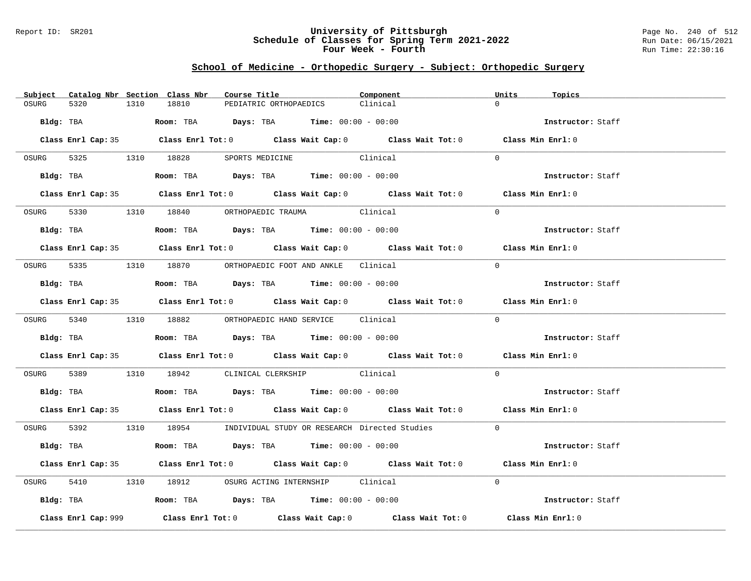### Report ID: SR201 **University of Pittsburgh** Page No. 240 of 512 **Schedule of Classes for Spring Term 2021-2022** Run Date: 06/15/2021 **Four Week - Fourth Rundall Run Time:** 22:30:16

# **School of Medicine - Orthopedic Surgery - Subject: Orthopedic Surgery**

| Subject   |                     |      | Catalog Nbr Section Class Nbr | Course Title |                                                                                       | Component                                                                                  | Units    | Topics            |
|-----------|---------------------|------|-------------------------------|--------------|---------------------------------------------------------------------------------------|--------------------------------------------------------------------------------------------|----------|-------------------|
| OSURG     | 5320                | 1310 | 18810                         |              | PEDIATRIC ORTHOPAEDICS                                                                | Clinical                                                                                   | $\cap$   |                   |
| Bldg: TBA |                     |      |                               |              | <b>Room:</b> TBA $Days:$ TBA $Time: 00:00 - 00:00$                                    |                                                                                            |          | Instructor: Staff |
|           |                     |      |                               |              |                                                                                       | Class Enrl Cap: 35 Class Enrl Tot: 0 Class Wait Cap: 0 Class Wait Tot: 0 Class Min Enrl: 0 |          |                   |
| OSURG     |                     |      |                               |              | 5325 1310 18828 SPORTS MEDICINE Clinical                                              |                                                                                            | $\Omega$ |                   |
|           | Bldg: TBA           |      |                               |              | Room: TBA $\rule{1em}{0.15mm}$ Days: TBA Time: $00:00 - 00:00$                        |                                                                                            |          | Instructor: Staff |
|           |                     |      |                               |              |                                                                                       | Class Enrl Cap: 35 Class Enrl Tot: 0 Class Wait Cap: 0 Class Wait Tot: 0 Class Min Enrl: 0 |          |                   |
| OSURG     |                     |      |                               |              | 5330 1310 18840 ORTHOPAEDIC TRAUMA Clinical                                           |                                                                                            | $\Omega$ |                   |
|           | Bldg: TBA           |      |                               |              | Room: TBA $\rule{1em}{0.15mm}$ Days: TBA Time: $00:00 - 00:00$                        |                                                                                            |          | Instructor: Staff |
|           |                     |      |                               |              |                                                                                       | Class Enrl Cap: 35 Class Enrl Tot: 0 Class Wait Cap: 0 Class Wait Tot: 0 Class Min Enrl: 0 |          |                   |
| OSURG     |                     |      |                               |              | 5335 1310 18870 ORTHOPAEDIC FOOT AND ANKLE Clinical                                   |                                                                                            | $\Omega$ |                   |
|           | Bldg: TBA           |      |                               |              | Room: TBA $\rule{1em}{0.15mm}$ Days: TBA Time: $00:00 - 00:00$                        |                                                                                            |          | Instructor: Staff |
|           |                     |      |                               |              |                                                                                       | Class Enrl Cap: 35 Class Enrl Tot: 0 Class Wait Cap: 0 Class Wait Tot: 0 Class Min Enrl: 0 |          |                   |
|           |                     |      |                               |              | OSURG 5340 1310 18882 ORTHOPAEDIC HAND SERVICE Clinical                               |                                                                                            | $\Omega$ |                   |
|           | Bldg: TBA           |      |                               |              | Room: TBA $\rule{1em}{0.15mm}$ Days: TBA Time: $00:00 - 00:00$                        |                                                                                            |          | Instructor: Staff |
|           |                     |      |                               |              |                                                                                       | Class Enrl Cap: 35 Class Enrl Tot: 0 Class Wait Cap: 0 Class Wait Tot: 0 Class Min Enrl: 0 |          |                   |
| OSURG     |                     |      |                               |              | 5389 1310 18942 CLINICAL CLERKSHIP Clinical                                           |                                                                                            | $\Omega$ |                   |
|           |                     |      |                               |              | Bldg: TBA                   Room: TBA         Days: TBA         Time: 00:00 - 00:00   |                                                                                            |          | Instructor: Staff |
|           |                     |      |                               |              |                                                                                       | Class Enrl Cap: 35 Class Enrl Tot: 0 Class Wait Cap: 0 Class Wait Tot: 0 Class Min Enrl: 0 |          |                   |
|           |                     |      |                               |              |                                                                                       | OSURG 5392 1310 18954 INDIVIDUAL STUDY OR RESEARCH Directed Studies 0                      |          |                   |
|           | Bldg: TBA           |      |                               |              | Room: TBA $Days:$ TBA $Time: 00:00 - 00:00$                                           |                                                                                            |          | Instructor: Staff |
|           |                     |      |                               |              |                                                                                       | Class Enrl Cap: 35 Class Enrl Tot: 0 Class Wait Cap: 0 Class Wait Tot: 0 Class Min Enrl: 0 |          |                   |
| OSURG     |                     |      |                               |              | 5410 1310 18912 OSURG ACTING INTERNSHIP Clinical                                      |                                                                                            | $\Omega$ |                   |
|           |                     |      |                               |              | Bldg: TBA                    Room: TBA         Days: TBA        Time: $00:00 - 00:00$ |                                                                                            |          | Instructor: Staff |
|           | Class Enrl Cap: 999 |      |                               |              |                                                                                       | Class Enrl Tot: $0$ Class Wait Cap: $0$ Class Wait Tot: $0$ Class Min Enrl: $0$            |          |                   |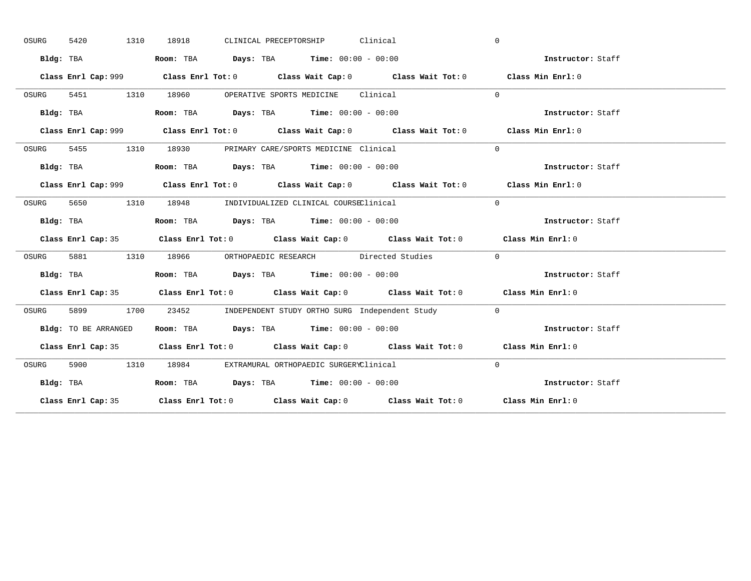| OSURG | 1310<br>5420         | CLINICAL PRECEPTORSHIP Clinical<br>18918                                                    | $\mathbf{0}$      |
|-------|----------------------|---------------------------------------------------------------------------------------------|-------------------|
|       | Bldg: TBA            | Room: TBA $Days:$ TBA $Time: 00:00 - 00:00$                                                 | Instructor: Staff |
|       |                      | Class Enrl Cap: 999 Class Enrl Tot: 0 Class Wait Cap: 0 Class Wait Tot: 0 Class Min Enrl: 0 |                   |
| OSURG |                      | 5451 1310 18960 OPERATIVE SPORTS MEDICINE Clinical                                          | $\Omega$          |
|       | Bldg: TBA            | Room: TBA $Days:$ TBA Time: $00:00 - 00:00$                                                 | Instructor: Staff |
|       |                      | Class Enrl Cap: 999 Class Enrl Tot: 0 Class Wait Cap: 0 Class Wait Tot: 0 Class Min Enrl: 0 |                   |
| OSURG |                      | 5455 1310 18930 PRIMARY CARE/SPORTS MEDICINE Clinical                                       | $\Omega$          |
|       | Bldg: TBA            | Room: TBA $Days:$ TBA $Time: 00:00 - 00:00$                                                 | Instructor: Staff |
|       |                      | Class Enrl Cap: 999 Class Enrl Tot: 0 Class Wait Cap: 0 Class Wait Tot: 0 Class Min Enrl: 0 |                   |
| OSURG | 5650 1310            | 18948 INDIVIDUALIZED CLINICAL COURSEClinical                                                | $\Omega$          |
|       | Bldg: TBA            | Room: TBA $Days:$ TBA $Time: 00:00 - 00:00$                                                 | Instructor: Staff |
|       |                      | Class Enrl Cap: 35 Class Enrl Tot: 0 Class Wait Cap: 0 Class Wait Tot: 0 Class Min Enrl: 0  |                   |
| OSURG |                      | 5881 1310 18966 ORTHOPAEDIC RESEARCH Directed Studies                                       | $\sim$ 0          |
|       | Bldg: TBA            | Room: TBA $\rule{1em}{0.15mm}$ Days: TBA $\rule{1.5mm}{0.15mm}$ Time: $00:00 - 00:00$       | Instructor: Staff |
|       |                      | Class Enrl Cap: 35 Class Enrl Tot: 0 Class Wait Cap: 0 Class Wait Tot: 0 Class Min Enrl: 0  |                   |
| OSURG |                      | 5899 1700 23452 INDEPENDENT STUDY ORTHO SURG Independent Study 0                            |                   |
|       | Bldg: TO BE ARRANGED | Room: TBA $Days:$ TBA Time: $00:00 - 00:00$                                                 | Instructor: Staff |
|       |                      | Class Enrl Cap: 35 Class Enrl Tot: 0 Class Wait Cap: 0 Class Wait Tot: 0 Class Min Enrl: 0  |                   |
| OSURG |                      | 5900 1310 18984 EXTRAMURAL ORTHOPAEDIC SURGERYClinical                                      | $\Omega$          |
|       | Bldg: TBA            | Room: TBA $Days:$ TBA $Time: 00:00 - 00:00$                                                 | Instructor: Staff |
|       |                      | Class Enrl Cap: 35 Class Enrl Tot: 0 Class Wait Cap: 0 Class Wait Tot: 0 Class Min Enrl: 0  |                   |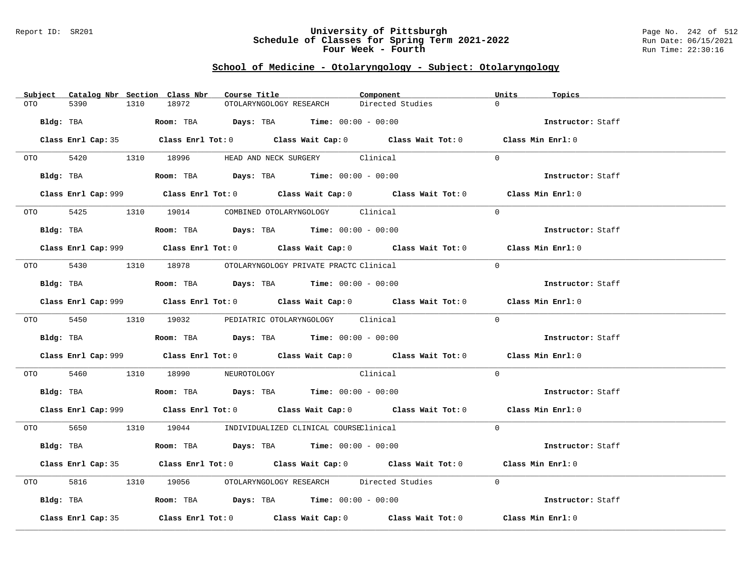### Report ID: SR201 **University of Pittsburgh** Page No. 242 of 512 **Schedule of Classes for Spring Term 2021-2022** Run Date: 06/15/2021 **Four Week - Fourth Rundall Run Time:** 22:30:16

# **School of Medicine - Otolaryngology - Subject: Otolaryngology**

| Subject Catalog Nbr Section Class Nbr | Course Title                                                                                       | Component        | Units<br>Topics   |
|---------------------------------------|----------------------------------------------------------------------------------------------------|------------------|-------------------|
| 5390<br>OTO                           | 1310<br>18972<br>OTOLARYNGOLOGY RESEARCH                                                           | Directed Studies | $\Omega$          |
| Bldg: TBA                             | Room: TBA $Days: TBA$ Time: $00:00 - 00:00$                                                        |                  | Instructor: Staff |
|                                       | Class Enrl Cap: 35 Class Enrl Tot: 0 Class Wait Cap: 0 Class Wait Tot: 0 Class Min Enrl: 0         |                  |                   |
|                                       | OTO 5420 1310 18996 HEAD AND NECK SURGERY Clinical                                                 |                  | $\Omega$          |
|                                       | Bldg: TBA                   Room: TBA         Days: TBA         Time: 00:00 - 00:00                |                  | Instructor: Staff |
|                                       | Class Enrl Cap: 999 Class Enrl Tot: 0 Class Wait Cap: 0 Class Wait Tot: 0 Class Min Enrl: 0        |                  |                   |
|                                       | OTO 5425 1310 19014 COMBINED OTOLARYNGOLOGY Clinical                                               |                  | $\Omega$          |
|                                       | Bldg: TBA                    Room: TBA         Days: TBA        Time: $00:00 - 00:00$              |                  | Instructor: Staff |
|                                       | Class Enrl Cap: 999 Class Enrl Tot: 0 Class Wait Cap: 0 Class Wait Tot: 0 Class Min Enrl: 0        |                  |                   |
|                                       | 0TO 5430 1310 18978 OTOLARYNGOLOGY PRIVATE PRACTC Clinical                                         |                  | $\Omega$          |
|                                       | Bldg: TBA                    Room: TBA         Days: TBA         Time: $00:00 - 00:00$             |                  | Instructor: Staff |
|                                       | Class Enrl Cap: 999 Class Enrl Tot: 0 Class Wait Cap: 0 Class Wait Tot: 0 Class Min Enrl: 0        |                  |                   |
|                                       | 0TO 5450 1310 19032 PEDIATRIC OTOLARYNGOLOGY Clinical                                              |                  | $\Omega$          |
|                                       | Bldg: TBA                   Room: TBA         Days: TBA        Time: $00:00 - 00:00$               |                  | Instructor: Staff |
|                                       | Class Enrl Cap: 999 Class Enrl Tot: 0 Class Wait Cap: 0 Class Wait Tot: 0 Class Min Enrl: 0        |                  |                   |
| OTO 5460                              | 1310 18990 NEUROTOLOGY Clinical                                                                    |                  | $\Omega$          |
|                                       | Bldg: TBA                        Room: TBA          Days: TBA         Time: $00:00 - 00:00$        |                  | Instructor: Staff |
|                                       | Class Enrl Cap: 999 Class Enrl Tot: 0 Class Wait Cap: 0 Class Wait Tot: 0 Class Min Enrl: 0        |                  |                   |
|                                       | 0TO 5650 1310 19044 INDIVIDUALIZED CLINICAL COURSEClinical                                         |                  | $\Omega$          |
|                                       | Bldg: TBA                   Room: TBA         Days: TBA         Time: $00:00 - 00:00$              |                  | Instructor: Staff |
|                                       | Class Enrl Cap: 35 Class Enrl Tot: 0 Class Wait Cap: 0 Class Wait Tot: 0 Class Min Enrl: 0         |                  |                   |
| OTO DIE                               | 5816 1310 19056 OTOLARYNGOLOGY RESEARCH Directed Studies                                           |                  | $\overline{0}$    |
|                                       | Bldg: TBA                    Room: TBA        Days: TBA        Time: 00:00 - 00:00                 |                  | Instructor: Staff |
| Class Enrl Cap: 35                    | Class Enrl Tot: 0 $\qquad$ Class Wait Cap: 0 $\qquad$ Class Wait Tot: 0 $\qquad$ Class Min Enrl: 0 |                  |                   |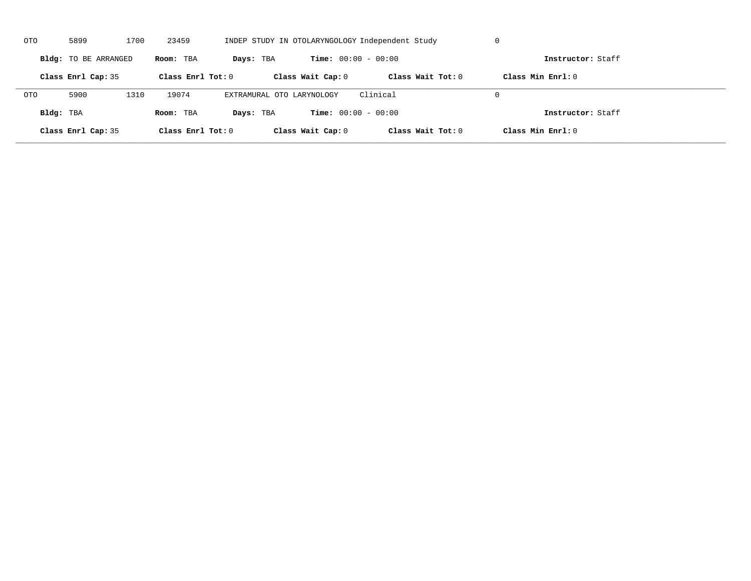| OTO        | 5899                 | 1700 | 23459               |                           |                              | INDEP STUDY IN OTOLARYNGOLOGY Independent Study | U                   |  |
|------------|----------------------|------|---------------------|---------------------------|------------------------------|-------------------------------------------------|---------------------|--|
|            | Bldg: TO BE ARRANGED |      | Room: TBA           | Days: TBA                 | <b>Time:</b> $00:00 - 00:00$ |                                                 | Instructor: Staff   |  |
|            | Class Enrl Cap: 35   |      | Class Enrl Tot: $0$ |                           | Class Wait Cap: 0            | Class Wait $Tot: 0$                             | Class Min $Enrl: 0$ |  |
| <b>OTO</b> | 5900                 | 1310 | 19074               | EXTRAMURAL OTO LARYNOLOGY |                              | Clinical                                        | $\Omega$            |  |
| Bldg: TBA  |                      |      | Room: TBA           | Days: TBA                 | <b>Time:</b> $00:00 - 00:00$ |                                                 | Instructor: Staff   |  |
|            | Class Enrl Cap: 35   |      | Class Enrl Tot: 0   |                           | Class Wait Cap: 0            | Class Wait Tot: 0                               | Class Min Enrl: 0   |  |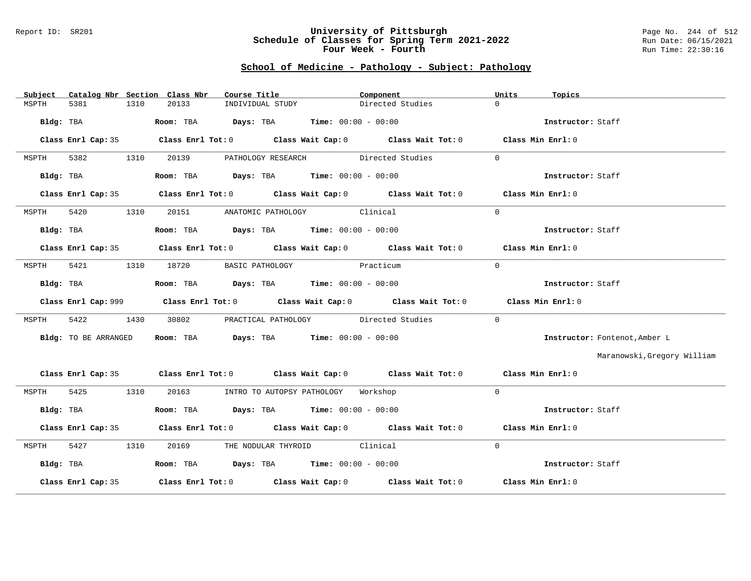#### Report ID: SR201 **University of Pittsburgh** Page No. 244 of 512 **Schedule of Classes for Spring Term 2021-2022** Run Date: 06/15/2021 **Four Week - Fourth Rundall Run Time:** 22:30:16

### **School of Medicine - Pathology - Subject: Pathology**

| Subject            |                      | Catalog Nbr Section Class Nbr | Course Title <b>Source Search</b>                                                           | Component        | Units<br>Topics   |                               |
|--------------------|----------------------|-------------------------------|---------------------------------------------------------------------------------------------|------------------|-------------------|-------------------------------|
| 5381<br>MSPTH      | 1310                 | 20133                         | INDIVIDUAL STUDY                                                                            | Directed Studies | $\Omega$          |                               |
|                    | Bldg: TBA            |                               | Room: TBA $Days:$ TBA $Time: 00:00 - 00:00$                                                 |                  | Instructor: Staff |                               |
|                    |                      |                               | Class Enrl Cap: 35 Class Enrl Tot: 0 Class Wait Cap: 0 Class Wait Tot: 0 Class Min Enrl: 0  |                  |                   |                               |
| 5382<br>MSPTH      | 1310                 |                               | 20139 PATHOLOGY RESEARCH Directed Studies                                                   |                  | $\Omega$          |                               |
|                    | Bldg: TBA            |                               | Room: TBA $\rule{1em}{0.15mm}$ Days: TBA $\rule{1.5mm}{0.15mm}$ Time: $00:00 - 00:00$       |                  | Instructor: Staff |                               |
|                    |                      |                               | Class Enrl Cap: 35 Class Enrl Tot: 0 Class Wait Cap: 0 Class Wait Tot: 0 Class Min Enrl: 0  |                  |                   |                               |
| 5420<br>MSPTH      | 1310                 |                               | 20151 ANATOMIC PATHOLOGY Clinical                                                           |                  | $\Omega$          |                               |
|                    | Bldg: TBA            |                               | Room: TBA $Days:$ TBA $Time: 00:00 - 00:00$                                                 |                  | Instructor: Staff |                               |
|                    |                      |                               | Class Enrl Cap: 35 Class Enrl Tot: 0 Class Wait Cap: 0 Class Wait Tot: 0 Class Min Enrl: 0  |                  |                   |                               |
| 5421<br>MSPTH      | 1310                 |                               | 18720 BASIC PATHOLOGY Practicum                                                             |                  | $\Omega$          |                               |
|                    | Bldg: TBA            |                               | Room: TBA $Days:$ TBA $Time:$ 00:00 - 00:00                                                 |                  | Instructor: Staff |                               |
|                    |                      |                               | Class Enrl Cap: 999 Class Enrl Tot: 0 Class Wait Cap: 0 Class Wait Tot: 0 Class Min Enrl: 0 |                  |                   |                               |
| 5422<br>MSPTH      | 1430                 |                               | 30802 PRACTICAL PATHOLOGY Directed Studies                                                  |                  | $\Omega$          |                               |
|                    | Bldg: TO BE ARRANGED |                               | Room: TBA $Days:$ TBA $Time:$ 00:00 - 00:00                                                 |                  |                   | Instructor: Fontenot, Amber L |
|                    |                      |                               |                                                                                             |                  |                   | Maranowski, Gregory William   |
|                    |                      |                               | Class Enrl Cap: 35 Class Enrl Tot: 0 Class Wait Cap: 0 Class Wait Tot: 0 Class Min Enrl: 0  |                  |                   |                               |
| MSPTH              | 5425 1310            |                               | 20163 INTRO TO AUTOPSY PATHOLOGY Workshop                                                   |                  | $\Omega$          |                               |
| Bldg: TBA          |                      |                               | Room: TBA $Days:$ TBA $Time: 00:00 - 00:00$                                                 |                  | Instructor: Staff |                               |
|                    |                      |                               | Class Enrl Cap: 35 Class Enrl Tot: 0 Class Wait Cap: 0 Class Wait Tot: 0 Class Min Enrl: 0  |                  |                   |                               |
| MSPTH 5427 1310    |                      |                               | 20169 THE NODULAR THYROID Clinical                                                          |                  | $\Omega$          |                               |
| Bldg: TBA          |                      |                               | Room: TBA $Days:$ TBA $Time: 00:00 - 00:00$                                                 |                  | Instructor: Staff |                               |
| Class Enrl Cap: 35 |                      |                               | Class Enrl Tot: $0$ Class Wait Cap: $0$ Class Wait Tot: $0$ Class Min Enrl: $0$             |                  |                   |                               |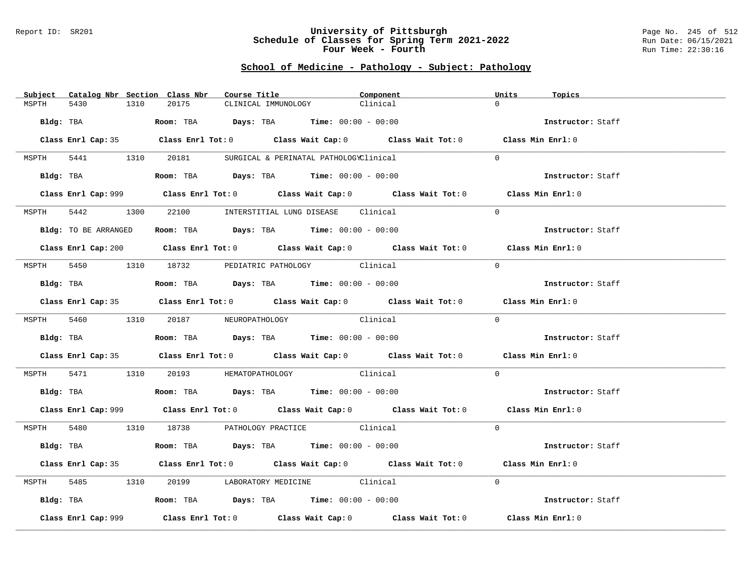#### Report ID: SR201 **University of Pittsburgh** Page No. 245 of 512 **Schedule of Classes for Spring Term 2021-2022** Run Date: 06/15/2021 **Four Week - Fourth Rundall Run Time:** 22:30:16

### **School of Medicine - Pathology - Subject: Pathology**

| $\Omega$<br>5430<br>20175<br>Clinical<br>MSPTH<br>1310<br>CLINICAL IMMUNOLOGY<br>Bldg: TBA $\blacksquare$ Room: TBA $\blacksquare$ Days: TBA $\blacksquare$ Time: $00:00 - 00:00$<br>Instructor: Staff<br>Class Enrl Cap: 35 Class Enrl Tot: 0 Class Wait Cap: 0 Class Wait Tot: 0 Class Min Enrl: 0<br>MSPTH 5441 1310 20181 SURGICAL & PERINATAL PATHOLOGYClinical<br>$\Omega$<br>Bldg: TBA                    Room: TBA         Days: TBA         Time: 00:00 - 00:00<br>Instructor: Staff<br>Class Enrl Cap: 999 Class Enrl Tot: 0 Class Wait Cap: 0 Class Wait Tot: 0 Class Min Enrl: 0<br>1300 22100 INTERSTITIAL LUNG DISEASE Clinical<br>5442<br>$\Omega$<br>MSPTH<br>Room: TBA $\rule{1em}{0.15mm}$ Days: TBA Time: $00:00 - 00:00$<br>Bldg: TO BE ARRANGED<br>Instructor: Staff<br>Class Enrl Cap: 200 Class Enrl Tot: 0 Class Wait Cap: 0 Class Wait Tot: 0 Class Min Enrl: 0<br>MSPTH 5450 1310 18732 PEDIATRIC PATHOLOGY Clinical<br>$\Omega$<br>Instructor: Staff<br>Room: TBA $Days: TBA$ Time: $00:00 - 00:00$<br>Bldg: TBA<br>Class Enrl Cap: 35 Class Enrl Tot: 0 Class Wait Cap: 0 Class Wait Tot: 0 Class Min Enrl: 0<br>$\Omega$<br>MSPTH 5460 1310 20187 NEUROPATHOLOGY<br>Clinical<br>Room: TBA $Days:$ TBA $Time: 00:00 - 00:00$<br>Bldg: TBA<br>Instructor: Staff<br>Class Enrl Cap: 35 Class Enrl Tot: 0 Class Wait Cap: 0 Class Wait Tot: 0 Class Min Enrl: 0<br>5471 1310 20193 HEMATOPATHOLOGY Clinical<br>$\Omega$<br>MSPTH<br>Instructor: Staff<br><b>Bldg:</b> TBA <b>Room:</b> TBA <b>Days:</b> TBA <b>Time:</b> $00:00 - 00:00$<br>Class Enrl Cap: 999 Class Enrl Tot: 0 Class Wait Cap: 0 Class Wait Tot: 0 Class Min Enrl: 0<br>MSPTH 5480 1310 18738 PATHOLOGY PRACTICE Clinical<br>$\Omega$<br><b>Bldg:</b> TBA <b>ROOM:</b> TBA <b>Days:</b> TBA <b>Time:</b> $00:00 - 00:00$<br>Instructor: Staff<br>Class Enrl Cap: 35 Class Enrl Tot: 0 Class Wait Cap: 0 Class Wait Tot: 0 Class Min Enrl: 0<br>5485 1310 20199 LABORATORY MEDICINE Clinical<br>$\Omega$<br>MSPTH<br>Bldg: TBA                   Room: TBA         Days: TBA         Time: $00:00 - 00:00$<br>Instructor: Staff<br>Class Enrl Tot: $0$ Class Wait Cap: $0$ Class Wait Tot: $0$ Class Min Enrl: $0$<br>Class Enrl Cap: 999 | Subject Catalog Nbr Section Class Nbr | Course Title <b>Source Search</b><br>Component | Units<br>Topics |  |
|--------------------------------------------------------------------------------------------------------------------------------------------------------------------------------------------------------------------------------------------------------------------------------------------------------------------------------------------------------------------------------------------------------------------------------------------------------------------------------------------------------------------------------------------------------------------------------------------------------------------------------------------------------------------------------------------------------------------------------------------------------------------------------------------------------------------------------------------------------------------------------------------------------------------------------------------------------------------------------------------------------------------------------------------------------------------------------------------------------------------------------------------------------------------------------------------------------------------------------------------------------------------------------------------------------------------------------------------------------------------------------------------------------------------------------------------------------------------------------------------------------------------------------------------------------------------------------------------------------------------------------------------------------------------------------------------------------------------------------------------------------------------------------------------------------------------------------------------------------------------------------------------------------------------------------------------------------------------------------------------------------------------------------------------------------------------------------------------------------------------------------------------------------------------------------------------------------------------------------------|---------------------------------------|------------------------------------------------|-----------------|--|
|                                                                                                                                                                                                                                                                                                                                                                                                                                                                                                                                                                                                                                                                                                                                                                                                                                                                                                                                                                                                                                                                                                                                                                                                                                                                                                                                                                                                                                                                                                                                                                                                                                                                                                                                                                                                                                                                                                                                                                                                                                                                                                                                                                                                                                      |                                       |                                                |                 |  |
|                                                                                                                                                                                                                                                                                                                                                                                                                                                                                                                                                                                                                                                                                                                                                                                                                                                                                                                                                                                                                                                                                                                                                                                                                                                                                                                                                                                                                                                                                                                                                                                                                                                                                                                                                                                                                                                                                                                                                                                                                                                                                                                                                                                                                                      |                                       |                                                |                 |  |
|                                                                                                                                                                                                                                                                                                                                                                                                                                                                                                                                                                                                                                                                                                                                                                                                                                                                                                                                                                                                                                                                                                                                                                                                                                                                                                                                                                                                                                                                                                                                                                                                                                                                                                                                                                                                                                                                                                                                                                                                                                                                                                                                                                                                                                      |                                       |                                                |                 |  |
|                                                                                                                                                                                                                                                                                                                                                                                                                                                                                                                                                                                                                                                                                                                                                                                                                                                                                                                                                                                                                                                                                                                                                                                                                                                                                                                                                                                                                                                                                                                                                                                                                                                                                                                                                                                                                                                                                                                                                                                                                                                                                                                                                                                                                                      |                                       |                                                |                 |  |
|                                                                                                                                                                                                                                                                                                                                                                                                                                                                                                                                                                                                                                                                                                                                                                                                                                                                                                                                                                                                                                                                                                                                                                                                                                                                                                                                                                                                                                                                                                                                                                                                                                                                                                                                                                                                                                                                                                                                                                                                                                                                                                                                                                                                                                      |                                       |                                                |                 |  |
|                                                                                                                                                                                                                                                                                                                                                                                                                                                                                                                                                                                                                                                                                                                                                                                                                                                                                                                                                                                                                                                                                                                                                                                                                                                                                                                                                                                                                                                                                                                                                                                                                                                                                                                                                                                                                                                                                                                                                                                                                                                                                                                                                                                                                                      |                                       |                                                |                 |  |
|                                                                                                                                                                                                                                                                                                                                                                                                                                                                                                                                                                                                                                                                                                                                                                                                                                                                                                                                                                                                                                                                                                                                                                                                                                                                                                                                                                                                                                                                                                                                                                                                                                                                                                                                                                                                                                                                                                                                                                                                                                                                                                                                                                                                                                      |                                       |                                                |                 |  |
|                                                                                                                                                                                                                                                                                                                                                                                                                                                                                                                                                                                                                                                                                                                                                                                                                                                                                                                                                                                                                                                                                                                                                                                                                                                                                                                                                                                                                                                                                                                                                                                                                                                                                                                                                                                                                                                                                                                                                                                                                                                                                                                                                                                                                                      |                                       |                                                |                 |  |
|                                                                                                                                                                                                                                                                                                                                                                                                                                                                                                                                                                                                                                                                                                                                                                                                                                                                                                                                                                                                                                                                                                                                                                                                                                                                                                                                                                                                                                                                                                                                                                                                                                                                                                                                                                                                                                                                                                                                                                                                                                                                                                                                                                                                                                      |                                       |                                                |                 |  |
|                                                                                                                                                                                                                                                                                                                                                                                                                                                                                                                                                                                                                                                                                                                                                                                                                                                                                                                                                                                                                                                                                                                                                                                                                                                                                                                                                                                                                                                                                                                                                                                                                                                                                                                                                                                                                                                                                                                                                                                                                                                                                                                                                                                                                                      |                                       |                                                |                 |  |
|                                                                                                                                                                                                                                                                                                                                                                                                                                                                                                                                                                                                                                                                                                                                                                                                                                                                                                                                                                                                                                                                                                                                                                                                                                                                                                                                                                                                                                                                                                                                                                                                                                                                                                                                                                                                                                                                                                                                                                                                                                                                                                                                                                                                                                      |                                       |                                                |                 |  |
|                                                                                                                                                                                                                                                                                                                                                                                                                                                                                                                                                                                                                                                                                                                                                                                                                                                                                                                                                                                                                                                                                                                                                                                                                                                                                                                                                                                                                                                                                                                                                                                                                                                                                                                                                                                                                                                                                                                                                                                                                                                                                                                                                                                                                                      |                                       |                                                |                 |  |
|                                                                                                                                                                                                                                                                                                                                                                                                                                                                                                                                                                                                                                                                                                                                                                                                                                                                                                                                                                                                                                                                                                                                                                                                                                                                                                                                                                                                                                                                                                                                                                                                                                                                                                                                                                                                                                                                                                                                                                                                                                                                                                                                                                                                                                      |                                       |                                                |                 |  |
|                                                                                                                                                                                                                                                                                                                                                                                                                                                                                                                                                                                                                                                                                                                                                                                                                                                                                                                                                                                                                                                                                                                                                                                                                                                                                                                                                                                                                                                                                                                                                                                                                                                                                                                                                                                                                                                                                                                                                                                                                                                                                                                                                                                                                                      |                                       |                                                |                 |  |
|                                                                                                                                                                                                                                                                                                                                                                                                                                                                                                                                                                                                                                                                                                                                                                                                                                                                                                                                                                                                                                                                                                                                                                                                                                                                                                                                                                                                                                                                                                                                                                                                                                                                                                                                                                                                                                                                                                                                                                                                                                                                                                                                                                                                                                      |                                       |                                                |                 |  |
|                                                                                                                                                                                                                                                                                                                                                                                                                                                                                                                                                                                                                                                                                                                                                                                                                                                                                                                                                                                                                                                                                                                                                                                                                                                                                                                                                                                                                                                                                                                                                                                                                                                                                                                                                                                                                                                                                                                                                                                                                                                                                                                                                                                                                                      |                                       |                                                |                 |  |
|                                                                                                                                                                                                                                                                                                                                                                                                                                                                                                                                                                                                                                                                                                                                                                                                                                                                                                                                                                                                                                                                                                                                                                                                                                                                                                                                                                                                                                                                                                                                                                                                                                                                                                                                                                                                                                                                                                                                                                                                                                                                                                                                                                                                                                      |                                       |                                                |                 |  |
|                                                                                                                                                                                                                                                                                                                                                                                                                                                                                                                                                                                                                                                                                                                                                                                                                                                                                                                                                                                                                                                                                                                                                                                                                                                                                                                                                                                                                                                                                                                                                                                                                                                                                                                                                                                                                                                                                                                                                                                                                                                                                                                                                                                                                                      |                                       |                                                |                 |  |
|                                                                                                                                                                                                                                                                                                                                                                                                                                                                                                                                                                                                                                                                                                                                                                                                                                                                                                                                                                                                                                                                                                                                                                                                                                                                                                                                                                                                                                                                                                                                                                                                                                                                                                                                                                                                                                                                                                                                                                                                                                                                                                                                                                                                                                      |                                       |                                                |                 |  |
|                                                                                                                                                                                                                                                                                                                                                                                                                                                                                                                                                                                                                                                                                                                                                                                                                                                                                                                                                                                                                                                                                                                                                                                                                                                                                                                                                                                                                                                                                                                                                                                                                                                                                                                                                                                                                                                                                                                                                                                                                                                                                                                                                                                                                                      |                                       |                                                |                 |  |
|                                                                                                                                                                                                                                                                                                                                                                                                                                                                                                                                                                                                                                                                                                                                                                                                                                                                                                                                                                                                                                                                                                                                                                                                                                                                                                                                                                                                                                                                                                                                                                                                                                                                                                                                                                                                                                                                                                                                                                                                                                                                                                                                                                                                                                      |                                       |                                                |                 |  |
|                                                                                                                                                                                                                                                                                                                                                                                                                                                                                                                                                                                                                                                                                                                                                                                                                                                                                                                                                                                                                                                                                                                                                                                                                                                                                                                                                                                                                                                                                                                                                                                                                                                                                                                                                                                                                                                                                                                                                                                                                                                                                                                                                                                                                                      |                                       |                                                |                 |  |
|                                                                                                                                                                                                                                                                                                                                                                                                                                                                                                                                                                                                                                                                                                                                                                                                                                                                                                                                                                                                                                                                                                                                                                                                                                                                                                                                                                                                                                                                                                                                                                                                                                                                                                                                                                                                                                                                                                                                                                                                                                                                                                                                                                                                                                      |                                       |                                                |                 |  |
|                                                                                                                                                                                                                                                                                                                                                                                                                                                                                                                                                                                                                                                                                                                                                                                                                                                                                                                                                                                                                                                                                                                                                                                                                                                                                                                                                                                                                                                                                                                                                                                                                                                                                                                                                                                                                                                                                                                                                                                                                                                                                                                                                                                                                                      |                                       |                                                |                 |  |
|                                                                                                                                                                                                                                                                                                                                                                                                                                                                                                                                                                                                                                                                                                                                                                                                                                                                                                                                                                                                                                                                                                                                                                                                                                                                                                                                                                                                                                                                                                                                                                                                                                                                                                                                                                                                                                                                                                                                                                                                                                                                                                                                                                                                                                      |                                       |                                                |                 |  |
|                                                                                                                                                                                                                                                                                                                                                                                                                                                                                                                                                                                                                                                                                                                                                                                                                                                                                                                                                                                                                                                                                                                                                                                                                                                                                                                                                                                                                                                                                                                                                                                                                                                                                                                                                                                                                                                                                                                                                                                                                                                                                                                                                                                                                                      |                                       |                                                |                 |  |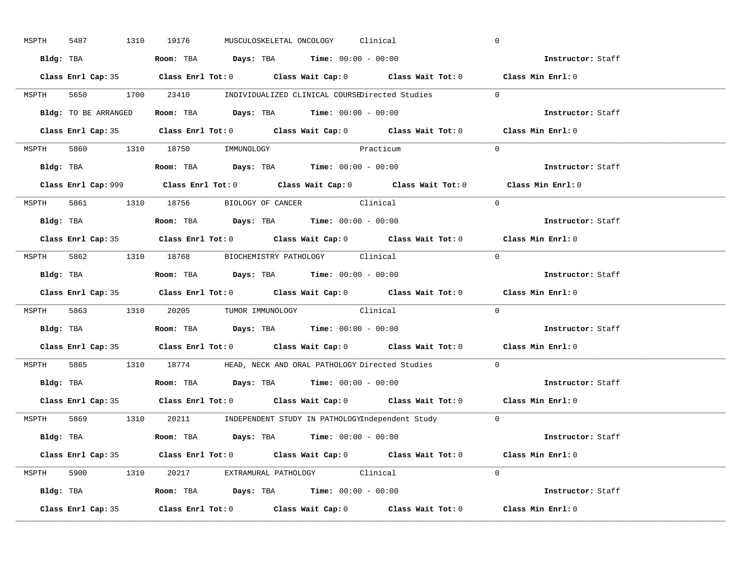| MSPTH | 5487               | 1310 19176 |                                                                                       | MUSCULOSKELETAL ONCOLOGY Clinical |                                                                                            | $\mathbf 0$                                                                                 |
|-------|--------------------|------------|---------------------------------------------------------------------------------------|-----------------------------------|--------------------------------------------------------------------------------------------|---------------------------------------------------------------------------------------------|
|       |                    |            | Bldg: TBA                   Room: TBA         Days: TBA        Time: 00:00 - 00:00    |                                   |                                                                                            | Instructor: Staff                                                                           |
|       |                    |            |                                                                                       |                                   | Class Enrl Cap: 35 Class Enrl Tot: 0 Class Wait Cap: 0 Class Wait Tot: 0 Class Min Enrl: 0 |                                                                                             |
|       |                    |            |                                                                                       |                                   | MSPTH 5650 1700 23410 INDIVIDUALIZED CLINICAL COURSEDirected Studies 0                     |                                                                                             |
|       |                    |            | Bldg: TO BE ARRANGED ROOM: TBA Days: TBA Time: 00:00 - 00:00                          |                                   |                                                                                            | Instructor: Staff                                                                           |
|       |                    |            |                                                                                       |                                   | Class Enrl Cap: 35 Class Enrl Tot: 0 Class Wait Cap: 0 Class Wait Tot: 0 Class Min Enrl: 0 |                                                                                             |
|       |                    |            | MSPTH 5860 1310 18750 IMMUNOLOGY                                                      | Practicum                         |                                                                                            | $\Omega$                                                                                    |
|       |                    |            |                                                                                       |                                   |                                                                                            | Instructor: Staff                                                                           |
|       |                    |            |                                                                                       |                                   |                                                                                            | Class Enrl Cap: 999 Class Enrl Tot: 0 Class Wait Cap: 0 Class Wait Tot: 0 Class Min Enrl: 0 |
|       |                    |            | MSPTH 5861 1310 18756 BIOLOGY OF CANCER Clinical                                      |                                   |                                                                                            | $\Omega$                                                                                    |
|       |                    |            | Bldg: TBA                   Room: TBA         Days: TBA         Time: $00:00 - 00:00$ |                                   |                                                                                            | Instructor: Staff                                                                           |
|       |                    |            |                                                                                       |                                   | Class Enrl Cap: 35 Class Enrl Tot: 0 Class Wait Cap: 0 Class Wait Tot: 0 Class Min Enrl: 0 |                                                                                             |
|       |                    |            | MSPTH 5862 1310 18768 BIOCHEMISTRY PATHOLOGY Clinical                                 |                                   |                                                                                            | $\Omega$                                                                                    |
|       |                    |            | Bldg: TBA                   Room: TBA         Days: TBA         Time: $00:00 - 00:00$ |                                   |                                                                                            | Instructor: Staff                                                                           |
|       |                    |            |                                                                                       |                                   |                                                                                            | Class Enrl Cap: 35 Class Enrl Tot: 0 Class Wait Cap: 0 Class Wait Tot: 0 Class Min Enrl: 0  |
|       |                    |            | MSPTH 5863 1310 20205 TUMOR IMMUNOLOGY Clinical                                       |                                   |                                                                                            | $\Omega$                                                                                    |
|       |                    |            | Bldg: TBA                   Room: TBA         Days: TBA        Time: $00:00 - 00:00$  |                                   |                                                                                            | Instructor: Staff                                                                           |
|       |                    |            |                                                                                       |                                   |                                                                                            | Class Enrl Cap: 35 Class Enrl Tot: 0 Class Wait Cap: 0 Class Wait Tot: 0 Class Min Enrl: 0  |
| MSPTH |                    |            |                                                                                       |                                   | 5865 1310 18774 HEAD, NECK AND ORAL PATHOLOGY Directed Studies                             | $\Omega$                                                                                    |
|       |                    |            | Bldg: TBA                    Room: TBA         Days: TBA         Time: 00:00 - 00:00  |                                   |                                                                                            | Instructor: Staff                                                                           |
|       |                    |            |                                                                                       |                                   | Class Enrl Cap: 35 Class Enrl Tot: 0 Class Wait Cap: 0 Class Wait Tot: 0 Class Min Enrl: 0 |                                                                                             |
|       |                    |            |                                                                                       |                                   | MSPTH 5869 1310 20211 INDEPENDENT STUDY IN PATHOLOGYIndependent Study 0                    |                                                                                             |
|       |                    |            | Bldg: TBA                    Room: TBA         Days: TBA         Time: 00:00 - 00:00  |                                   |                                                                                            | <b>Instructor:</b> Staff                                                                    |
|       |                    |            |                                                                                       |                                   | Class Enrl Cap: 35 Class Enrl Tot: 0 Class Wait Cap: 0 Class Wait Tot: 0 Class Min Enrl: 0 |                                                                                             |
|       |                    |            | MSPTH 5900 1310 20217 EXTRAMURAL PATHOLOGY Clinical                                   |                                   |                                                                                            | $\Omega$                                                                                    |
|       |                    |            | Bldg: TBA                   Room: TBA         Days: TBA         Time: 00:00 - 00:00   |                                   |                                                                                            | Instructor: Staff                                                                           |
|       | Class Enrl Cap: 35 |            |                                                                                       |                                   | Class Enrl Tot: $0$ Class Wait Cap: $0$ Class Wait Tot: $0$ Class Min Enrl: $0$            |                                                                                             |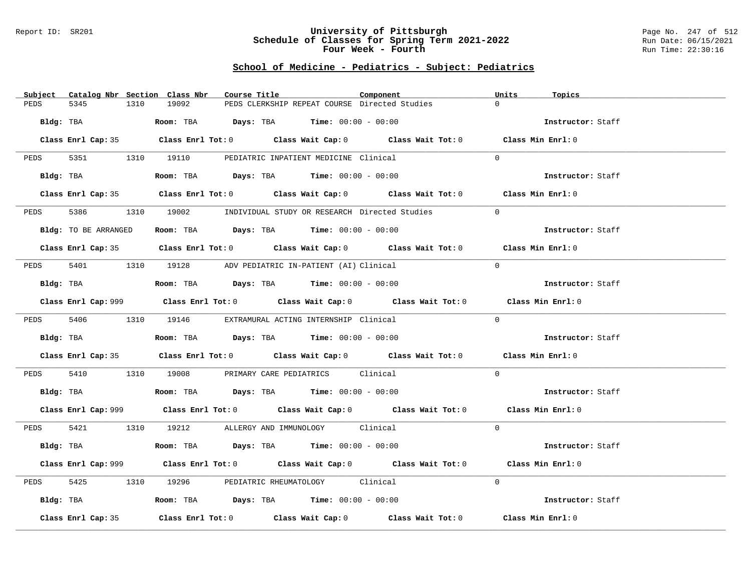#### Report ID: SR201 **University of Pittsburgh** Page No. 247 of 512 **Schedule of Classes for Spring Term 2021-2022** Run Date: 06/15/2021 **Four Week - Fourth Rundall Run Time:** 22:30:16

# **School of Medicine - Pediatrics - Subject: Pediatrics**

| Catalog Nbr Section Class Nbr<br>Subject | Course Title                                                                                       | Component | Units<br>Topics   |
|------------------------------------------|----------------------------------------------------------------------------------------------------|-----------|-------------------|
| 5345<br>PEDS<br>1310                     | 19092<br>PEDS CLERKSHIP REPEAT COURSE Directed Studies                                             |           | $\Omega$          |
| Bldg: TBA                                | Room: TBA $Days:$ TBA $Time: 00:00 - 00:00$                                                        |           | Instructor: Staff |
|                                          | Class Enrl Cap: 35 Class Enrl Tot: 0 Class Wait Cap: 0 Class Wait Tot: 0 Class Min Enrl: 0         |           |                   |
|                                          | PEDS 5351 1310 19110 PEDIATRIC INPATIENT MEDICINE Clinical                                         |           | $\Omega$          |
| Bldg: TBA                                | Room: TBA $Days:$ TBA $Time: 00:00 - 00:00$                                                        |           | Instructor: Staff |
|                                          | Class Enrl Cap: 35 Class Enrl Tot: 0 Class Wait Cap: 0 Class Wait Tot: 0 Class Min Enrl: 0         |           |                   |
| 5386 7<br>PEDS                           | 1310 19002 INDIVIDUAL STUDY OR RESEARCH Directed Studies                                           |           | $\Omega$          |
| Bldg: TO BE ARRANGED                     | Room: TBA $Days:$ TBA $Time: 00:00 - 00:00$                                                        |           | Instructor: Staff |
|                                          | Class Enrl Cap: 35 Class Enrl Tot: 0 Class Wait Cap: 0 Class Wait Tot: 0 Class Min Enrl: 0         |           |                   |
|                                          | PEDS 5401 1310 19128 ADV PEDIATRIC IN-PATIENT (AI) Clinical                                        |           | $\Omega$          |
| Bldg: TBA                                | Room: TBA $Days:$ TBA $Time: 00:00 - 00:00$                                                        |           | Instructor: Staff |
|                                          | Class Enrl Cap: 999 Class Enrl Tot: 0 Class Wait Cap: 0 Class Wait Tot: 0 Class Min Enrl: 0        |           |                   |
|                                          | PEDS 5406 1310 19146 EXTRAMURAL ACTING INTERNSHIP Clinical                                         |           | $\Omega$          |
| Bldg: TBA                                | Room: TBA $Days:$ TBA Time: $00:00 - 00:00$                                                        |           | Instructor: Staff |
|                                          | Class Enrl Cap: 35 Class Enrl Tot: 0 Class Wait Cap: 0 Class Wait Tot: 0 Class Min Enrl: 0         |           |                   |
| PEDS                                     | 5410 1310 19008 PRIMARY CARE PEDIATRICS Clinical                                                   |           | $\Omega$          |
|                                          | <b>Bldg:</b> TBA <b>Room:</b> TBA <b>Days:</b> TBA <b>Time:</b> $00:00 - 00:00$                    |           | Instructor: Staff |
|                                          | Class Enrl Cap: 999 Class Enrl Tot: 0 Class Wait Cap: 0 Class Wait Tot: 0 Class Min Enrl: 0        |           |                   |
|                                          | PEDS 5421 1310 19212 ALLERGY AND IMMUNOLOGY Clinical                                               |           | $\Omega$          |
| Bldg: TBA                                | Room: TBA $Days: TBA$ Time: $00:00 - 00:00$                                                        |           | Instructor: Staff |
|                                          | Class Enrl Cap: 999 Class Enrl Tot: 0 Class Wait Cap: 0 Class Wait Tot: 0 Class Min Enrl: 0        |           |                   |
| 5425<br>PEDS                             | 1310 19296 PEDIATRIC RHEUMATOLOGY Clinical                                                         |           | $\Omega$          |
| Bldg: TBA                                | Room: TBA $\rule{1em}{0.15mm}$ Days: TBA Time: $00:00 - 00:00$                                     |           | Instructor: Staff |
| Class Enrl Cap: 35                       | Class Enrl Tot: 0 $\qquad$ Class Wait Cap: 0 $\qquad$ Class Wait Tot: 0 $\qquad$ Class Min Enrl: 0 |           |                   |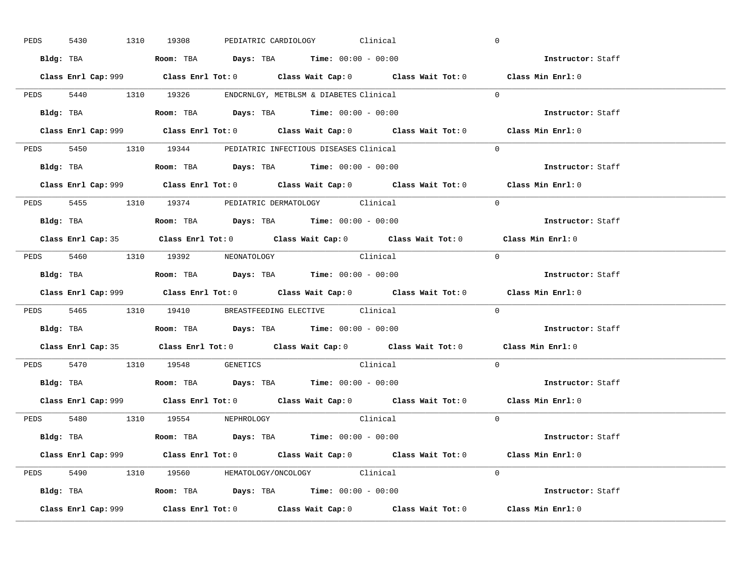| PEDS | 5430      |           | 1310 19308                                                                             |  | PEDIATRIC CARDIOLOGY Clinical |                                                                                             |            | $\overline{0}$           |  |
|------|-----------|-----------|----------------------------------------------------------------------------------------|--|-------------------------------|---------------------------------------------------------------------------------------------|------------|--------------------------|--|
|      |           |           | Bldg: TBA                   Room: TBA         Days: TBA         Time: $00:00 - 00:00$  |  |                               |                                                                                             |            | Instructor: Staff        |  |
|      |           |           |                                                                                        |  |                               | Class Enrl Cap: 999 Class Enrl Tot: 0 Class Wait Cap: 0 Class Wait Tot: 0 Class Min Enrl: 0 |            |                          |  |
|      |           |           | PEDS 5440 1310 19326 ENDCRNLGY, METBLSM & DIABETES Clinical                            |  |                               |                                                                                             |            | $\Omega$                 |  |
|      |           | Bldg: TBA | Room: TBA $Days:$ TBA $Time: 00:00 - 00:00$                                            |  |                               |                                                                                             |            | Instructor: Staff        |  |
|      |           |           |                                                                                        |  |                               | Class Enrl Cap: 999 Class Enrl Tot: 0 Class Wait Cap: 0 Class Wait Tot: 0 Class Min Enrl: 0 |            |                          |  |
|      |           |           | PEDS 5450 1310 19344 PEDIATRIC INFECTIOUS DISEASES Clinical                            |  |                               |                                                                                             |            | $\Omega$                 |  |
|      |           |           | Bldg: TBA                    Room: TBA         Days: TBA        Time: $00:00 - 00:00$  |  |                               |                                                                                             |            | Instructor: Staff        |  |
|      |           |           |                                                                                        |  |                               | Class Enrl Cap: 999 Class Enrl Tot: 0 Class Wait Cap: 0 Class Wait Tot: 0 Class Min Enrl: 0 |            |                          |  |
|      |           |           | PEDS 5455 1310 19374 PEDIATRIC DERMATOLOGY Clinical                                    |  |                               |                                                                                             |            | $\Omega$                 |  |
|      |           |           | Bldg: TBA                    Room: TBA         Days: TBA         Time: $00:00 - 00:00$ |  |                               |                                                                                             |            | Instructor: Staff        |  |
|      |           |           |                                                                                        |  |                               | Class Enrl Cap: 35 Class Enrl Tot: 0 Class Wait Cap: 0 Class Wait Tot: 0 Class Min Enrl: 0  |            |                          |  |
|      |           |           | PEDS 5460 1310 19392 NEONATOLOGY                                                       |  |                               | Clinical                                                                                    | $\bigcirc$ |                          |  |
|      |           |           | Bldg: TBA                   Room: TBA         Days: TBA         Time: $00:00 - 00:00$  |  |                               |                                                                                             |            | Instructor: Staff        |  |
|      |           |           |                                                                                        |  |                               |                                                                                             |            |                          |  |
|      |           |           |                                                                                        |  |                               | Class Enrl Cap: 999 Class Enrl Tot: 0 Class Wait Cap: 0 Class Wait Tot: 0 Class Min Enrl: 0 |            |                          |  |
|      |           |           | PEDS 5465 1310 19410 BREASTFEEDING ELECTIVE Clinical                                   |  |                               |                                                                                             |            | $\mathbf{0}$             |  |
|      | Bldg: TBA |           | Room: TBA $\rule{1em}{0.15mm}$ Days: TBA Time: $00:00 - 00:00$                         |  |                               |                                                                                             |            | <b>Instructor:</b> Staff |  |
|      |           |           |                                                                                        |  |                               | Class Enrl Cap: 35 Class Enrl Tot: 0 Class Wait Cap: 0 Class Wait Tot: 0 Class Min Enrl: 0  |            |                          |  |
|      |           |           | PEDS 5470 1310 19548 GENETICS                                                          |  |                               | Clinical                                                                                    |            | $\Omega$                 |  |
|      |           |           | Bldg: TBA                    Room: TBA         Days: TBA         Time: $00:00 - 00:00$ |  |                               |                                                                                             |            | Instructor: Staff        |  |
|      |           |           |                                                                                        |  |                               | Class Enrl Cap: 999 Class Enrl Tot: 0 Class Wait Cap: 0 Class Wait Tot: 0 Class Min Enrl: 0 |            |                          |  |
|      |           |           | PEDS 5480 1310 19554 NEPHROLOGY                                                        |  |                               | Clinical                                                                                    |            | $\Omega$                 |  |
|      |           |           | Bldg: TBA                   Room: TBA         Days: TBA         Time: 00:00 - 00:00    |  |                               |                                                                                             |            | Instructor: Staff        |  |
|      |           |           |                                                                                        |  |                               | Class Enrl Cap: 999 Class Enrl Tot: 0 Class Wait Cap: 0 Class Wait Tot: 0 Class Min Enrl: 0 |            |                          |  |
|      |           |           | PEDS 5490 1310 19560 HEMATOLOGY/ONCOLOGY Clinical                                      |  |                               |                                                                                             |            | $\Omega$                 |  |
|      |           |           | <b>Bldg:</b> TBA <b>ROOM:</b> TBA <b>Days:</b> TBA <b>Time:</b> $00:00 - 00:00$        |  |                               |                                                                                             |            | Instructor: Staff        |  |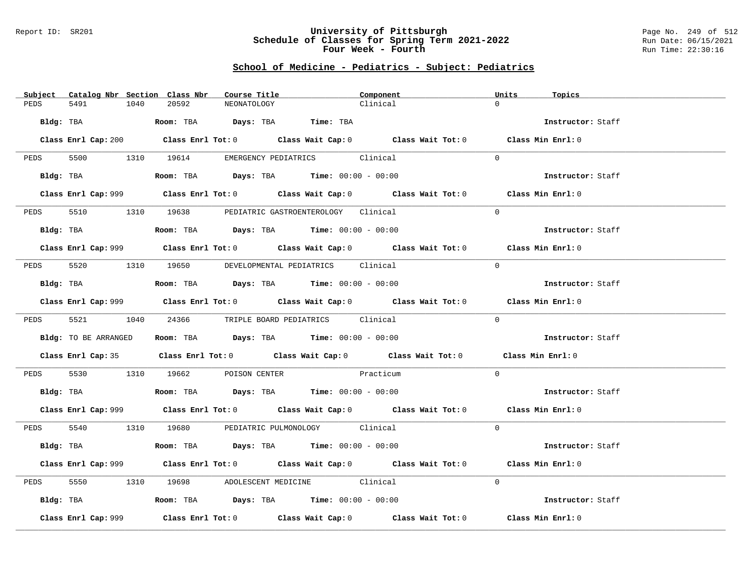#### Report ID: SR201 **University of Pittsburgh** Page No. 249 of 512 **Schedule of Classes for Spring Term 2021-2022** Run Date: 06/15/2021 **Four Week - Fourth Rundall Run Time:** 22:30:16

# **School of Medicine - Pediatrics - Subject: Pediatrics**

| Subject              | Catalog Nbr Section Class Nbr | Course Title                                                                          | Component                                                                                   | Units<br>Topics |                   |
|----------------------|-------------------------------|---------------------------------------------------------------------------------------|---------------------------------------------------------------------------------------------|-----------------|-------------------|
| 5491<br>PEDS         | 20592<br>1040                 | NEONATOLOGY                                                                           | Clinical                                                                                    | $\Omega$        |                   |
| Bldg: TBA            |                               | Room: TBA Days: TBA Time: TBA                                                         |                                                                                             |                 | Instructor: Staff |
|                      |                               |                                                                                       | Class Enrl Cap: 200 Class Enrl Tot: 0 Class Wait Cap: 0 Class Wait Tot: 0 Class Min Enrl: 0 |                 |                   |
|                      |                               |                                                                                       |                                                                                             |                 |                   |
|                      |                               | PEDS 5500 1310 19614 EMERGENCY PEDIATRICS Clinical                                    |                                                                                             | $\Omega$        |                   |
| Bldg: TBA            |                               | Room: TBA $Days:$ TBA $Time: 00:00 - 00:00$                                           |                                                                                             |                 | Instructor: Staff |
|                      |                               |                                                                                       | Class Enrl Cap: 999 Class Enrl Tot: 0 Class Wait Cap: 0 Class Wait Tot: 0 Class Min Enrl: 0 |                 |                   |
| PEDS<br>5510         |                               | 1310 19638 PEDIATRIC GASTROENTEROLOGY Clinical                                        |                                                                                             | $\Omega$        |                   |
| Bldg: TBA            |                               | Room: TBA $Days:$ TBA $Time: 00:00 - 00:00$                                           |                                                                                             |                 | Instructor: Staff |
|                      |                               |                                                                                       | Class Enrl Cap: 999 Class Enrl Tot: 0 Class Wait Cap: 0 Class Wait Tot: 0 Class Min Enrl: 0 |                 |                   |
|                      |                               | PEDS 5520 1310 19650 DEVELOPMENTAL PEDIATRICS Clinical                                |                                                                                             | $\Omega$        |                   |
| Bldg: TBA            |                               | Room: TBA $Days:$ TBA $Time: 00:00 - 00:00$                                           |                                                                                             |                 | Instructor: Staff |
|                      |                               |                                                                                       | Class Enrl Cap: 999 Class Enrl Tot: 0 Class Wait Cap: 0 Class Wait Tot: 0 Class Min Enrl: 0 |                 |                   |
|                      |                               | PEDS 5521 1040 24366 TRIPLE BOARD PEDIATRICS Clinical                                 |                                                                                             | $\Omega$        |                   |
| Bldg: TO BE ARRANGED |                               | Room: TBA Days: TBA Time: $00:00 - 00:00$                                             |                                                                                             |                 | Instructor: Staff |
|                      |                               |                                                                                       | Class Enrl Cap: 35 Class Enrl Tot: 0 Class Wait Cap: 0 Class Wait Tot: 0 Class Min Enrl: 0  |                 |                   |
| PEDS                 |                               | 5530 1310 19662 POISON CENTER Practicum                                               |                                                                                             | $\Omega$        |                   |
|                      |                               | Bldg: TBA                   Room: TBA         Days: TBA         Time: $00:00 - 00:00$ |                                                                                             |                 | Instructor: Staff |
|                      |                               |                                                                                       | Class Enrl Cap: 999 Class Enrl Tot: 0 Class Wait Cap: 0 Class Wait Tot: 0 Class Min Enrl: 0 |                 |                   |
|                      |                               | PEDS 5540 1310 19680 PEDIATRIC PULMONOLOGY Clinical                                   |                                                                                             | $\Omega$        |                   |
|                      |                               | Bldg: TBA                   Room: TBA         Days: TBA         Time: 00:00 - 00:00   |                                                                                             |                 | Instructor: Staff |
|                      |                               |                                                                                       | Class Enrl Cap: 999 Class Enrl Tot: 0 Class Wait Cap: 0 Class Wait Tot: 0 Class Min Enrl: 0 |                 |                   |
| 5550<br>PEDS         |                               | 1310 19698 ADOLESCENT MEDICINE Clinical                                               |                                                                                             | $\Omega$        |                   |
|                      |                               | Bldg: TBA                   Room: TBA        Days: TBA        Time: 00:00 - 00:00     |                                                                                             |                 | Instructor: Staff |
| Class Enrl Cap: 999  |                               |                                                                                       | Class Enrl Tot: $0$ Class Wait Cap: $0$ Class Wait Tot: $0$ Class Min Enrl: $0$             |                 |                   |
|                      |                               |                                                                                       |                                                                                             |                 |                   |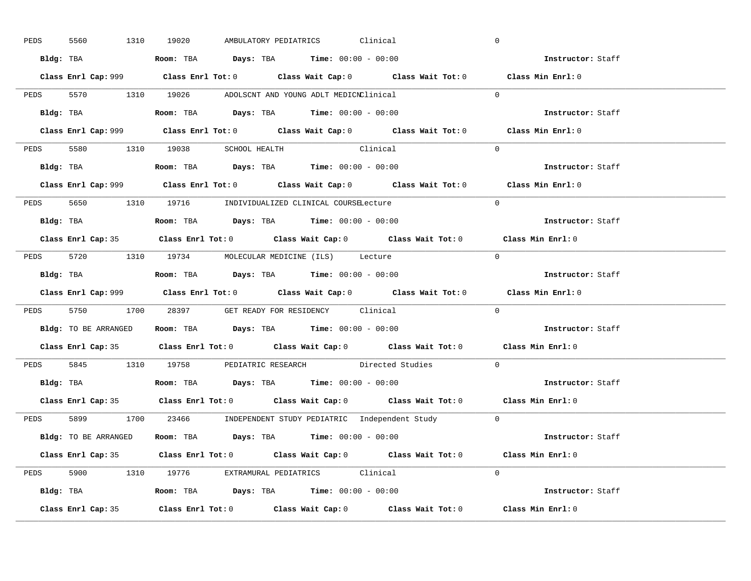| PEDS | 5560      | 1310 19020                                                                                 |  | AMBULATORY PEDIATRICS Clinical |                                                                      | $\overline{0}$                                                                              |  |
|------|-----------|--------------------------------------------------------------------------------------------|--|--------------------------------|----------------------------------------------------------------------|---------------------------------------------------------------------------------------------|--|
|      |           | Bldg: TBA                   Room: TBA         Days: TBA         Time: $00:00 - 00:00$      |  |                                |                                                                      | Instructor: Staff                                                                           |  |
|      |           |                                                                                            |  |                                |                                                                      | Class Enrl Cap: 999 Class Enrl Tot: 0 Class Wait Cap: 0 Class Wait Tot: 0 Class Min Enrl: 0 |  |
|      |           | PEDS 5570 1310 19026 ADOLSCNT AND YOUNG ADLT MEDICNClinical                                |  |                                |                                                                      | $\overline{0}$                                                                              |  |
|      | Bldg: TBA | Room: TBA $\rule{1em}{0.15mm}$ Days: TBA $\rule{1.5mm}{0.15mm}$ Time: $00:00 - 00:00$      |  |                                |                                                                      | Instructor: Staff                                                                           |  |
|      |           |                                                                                            |  |                                |                                                                      | Class Enrl Cap: 999 Class Enrl Tot: 0 Class Wait Cap: 0 Class Wait Tot: 0 Class Min Enrl: 0 |  |
|      |           | PEDS 5580 1310 19038 SCHOOL HEALTH Clinical                                                |  |                                |                                                                      | $\Omega$                                                                                    |  |
|      |           | Bldg: TBA                   Room: TBA         Days: TBA         Time: $00:00 - 00:00$      |  |                                |                                                                      | Instructor: Staff                                                                           |  |
|      |           |                                                                                            |  |                                |                                                                      | Class Enrl Cap: 999 Class Enrl Tot: 0 Class Wait Cap: 0 Class Wait Tot: 0 Class Min Enrl: 0 |  |
|      |           | PEDS 5650 1310 19716 INDIVIDUALIZED CLINICAL COURSELecture                                 |  |                                |                                                                      | $\Omega$                                                                                    |  |
|      |           | Bldg: TBA                   Room: TBA         Days: TBA         Time: $00:00 - 00:00$      |  |                                |                                                                      | Instructor: Staff                                                                           |  |
|      |           |                                                                                            |  |                                |                                                                      | Class Enrl Cap: 35 Class Enrl Tot: 0 Class Wait Cap: 0 Class Wait Tot: 0 Class Min Enrl: 0  |  |
|      |           | PEDS 5720 1310 19734 MOLECULAR MEDICINE (ILS) Lecture                                      |  |                                |                                                                      | $\bigcirc$                                                                                  |  |
|      |           |                                                                                            |  |                                |                                                                      | Instructor: Staff                                                                           |  |
|      |           |                                                                                            |  |                                |                                                                      | Class Enrl Cap: 999 Class Enrl Tot: 0 Class Wait Cap: 0 Class Wait Tot: 0 Class Min Enrl: 0 |  |
|      |           | PEDS 5750 1700 28397 GET READY FOR RESIDENCY Clinical                                      |  |                                |                                                                      | $\Omega$                                                                                    |  |
|      |           |                                                                                            |  |                                |                                                                      |                                                                                             |  |
|      |           | <b>Bldg:</b> TO BE ARRANGED <b>ROOM:</b> TBA <b>Days:</b> TBA <b>Time:</b> $00:00 - 00:00$ |  |                                |                                                                      | <b>Instructor:</b> Staff                                                                    |  |
|      |           |                                                                                            |  |                                |                                                                      | Class Enrl Cap: 35 Class Enrl Tot: 0 Class Wait Cap: 0 Class Wait Tot: 0 Class Min Enrl: 0  |  |
|      |           |                                                                                            |  |                                | PEDS 5845 1310 19758 PEDIATRIC RESEARCH Directed Studies             | $\mathbf{0}$                                                                                |  |
|      |           | Bldg: TBA                       Room: TBA         Days: TBA         Time: 00:00 - 00:00    |  |                                |                                                                      | Instructor: Staff                                                                           |  |
|      |           |                                                                                            |  |                                |                                                                      | Class Enrl Cap: 35 Class Enrl Tot: 0 Class Wait Cap: 0 Class Wait Tot: 0 Class Min Enrl: 0  |  |
|      |           |                                                                                            |  |                                | PEDS 5899 1700 23466 INDEPENDENT STUDY PEDIATRIC Independent Study 0 |                                                                                             |  |
|      |           | Bldg: TO BE ARRANGED Room: TBA Days: TBA Time: 00:00 - 00:00                               |  |                                |                                                                      | Instructor: Staff                                                                           |  |
|      |           |                                                                                            |  |                                |                                                                      | Class Enrl Cap: 35 Class Enrl Tot: 0 Class Wait Cap: 0 Class Wait Tot: 0 Class Min Enrl: 0  |  |
|      |           | PEDS 5900 1310 19776 EXTRAMURAL PEDIATRICS Clinical                                        |  |                                |                                                                      | $\Omega$                                                                                    |  |
|      |           | Bldg: TBA                    Room: TBA         Days: TBA        Time: $00:00 - 00:00$      |  |                                |                                                                      | Instructor: Staff                                                                           |  |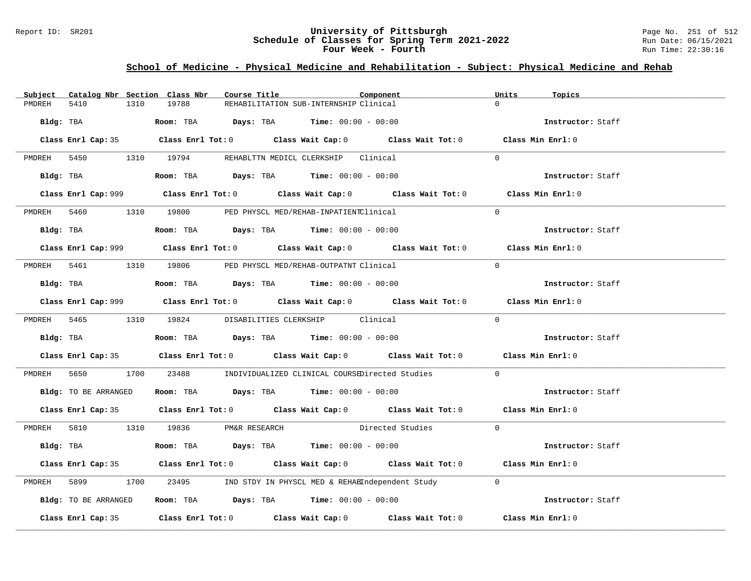### Report ID: SR201 **University of Pittsburgh** Page No. 251 of 512 **Schedule of Classes for Spring Term 2021-2022** Run Date: 06/15/2021 **Four Week - Fourth Rundall Run Time:** 22:30:16

# **School of Medicine - Physical Medicine and Rehabilitation - Subject: Physical Medicine and Rehab**

| Catalog Nbr Section Class Nbr<br>Subject | Course Title                                                                                | Component          | Units<br>Topics   |
|------------------------------------------|---------------------------------------------------------------------------------------------|--------------------|-------------------|
| 5410<br>1310<br>PMDREH                   | 19788<br>REHABILITATION SUB-INTERNSHIP Clinical                                             |                    |                   |
|                                          | Bldg: TBA                    Room: TBA         Days: TBA         Time: 00:00 - 00:00        |                    | Instructor: Staff |
|                                          | Class Enrl Cap: 35 Class Enrl Tot: 0 Class Wait Cap: 0 Class Wait Tot: 0 Class Min Enrl: 0  |                    |                   |
|                                          | PMDREH 5450 1310 19794 REHABLTTN MEDICL CLERKSHIP Clinical                                  |                    | $\Omega$          |
| Bldg: TBA                                | Room: TBA $Days:$ TBA $Time: 00:00 - 00:00$                                                 |                    | Instructor: Staff |
|                                          | Class Enrl Cap: 999 Class Enrl Tot: 0 Class Wait Cap: 0 Class Wait Tot: 0 Class Min Enrl: 0 |                    |                   |
|                                          | PMDREH 5460 1310 19800 PED PHYSCL MED/REHAB-INPATIENTClinical                               |                    | $\Omega$          |
|                                          | Bldg: TBA                   Room: TBA         Days: TBA         Time: $00:00 - 00:00$       |                    | Instructor: Staff |
|                                          |                                                                                             |                    | Class Min Enrl: 0 |
| PMDREH 5461                              | 1310 19806 PED PHYSCL MED/REHAB-OUTPATNT Clinical                                           |                    | $\Omega$          |
|                                          | Bldg: TBA                    Room: TBA         Days: TBA         Time: $00:00 - 00:00$      |                    | Instructor: Staff |
|                                          | Class Enrl Cap: 999 Class Enrl Tot: 0 Class Wait Cap: 0 Class Wait Tot: 0                   |                    | Class Min Enrl: 0 |
|                                          | PMDREH 5465 1310 19824 DISABILITIES CLERKSHIP Clinical                                      |                    | $\Omega$          |
|                                          | Bldg: TBA                   Room: TBA         Days: TBA         Time: $00:00 - 00:00$       |                    | Instructor: Staff |
|                                          | Class Enrl Cap: 35 Class Enrl Tot: 0 Class Wait Cap: 0 Class Wait Tot: 0 Class Min Enrl: 0  |                    |                   |
|                                          | PMDREH 5650 1700 23488 INDIVIDUALIZED CLINICAL COURSEDirected Studies                       |                    | $\Omega$          |
|                                          | Bldg: TO BE ARRANGED ROOM: TBA Days: TBA Time: 00:00 - 00:00                                |                    | Instructor: Staff |
|                                          | Class Enrl Cap: 35 Class Enrl Tot: 0 Class Wait Cap: 0 Class Wait Tot: 0 Class Min Enrl: 0  |                    |                   |
|                                          | PMDREH 5810 1310 19836 PM&R RESEARCH                                                        | Directed Studies 0 |                   |
| Bldg: TBA                                | Room: TBA $\rule{1em}{0.15mm}$ Days: TBA $\rule{1.15mm}]{0.15mm}$ Time: $00:00 - 00:00$     |                    | Instructor: Staff |
|                                          | Class Enrl Cap: 35 Class Enrl Tot: 0 Class Wait Cap: 0 Class Wait Tot: 0 Class Min Enrl: 0  |                    |                   |
| PMDREH<br>5899 700                       | 1700 23495 IND STDY IN PHYSCL MED & REHABIndependent Study                                  |                    | $\Omega$          |
| Bldg: TO BE ARRANGED                     | Room: TBA $Days:$ TBA $Time: 00:00 - 00:00$                                                 |                    | Instructor: Staff |
|                                          | Class Enrl Cap: 35 Class Enrl Tot: 0 Class Wait Cap: 0 Class Wait Tot: 0 Class Min Enrl: 0  |                    |                   |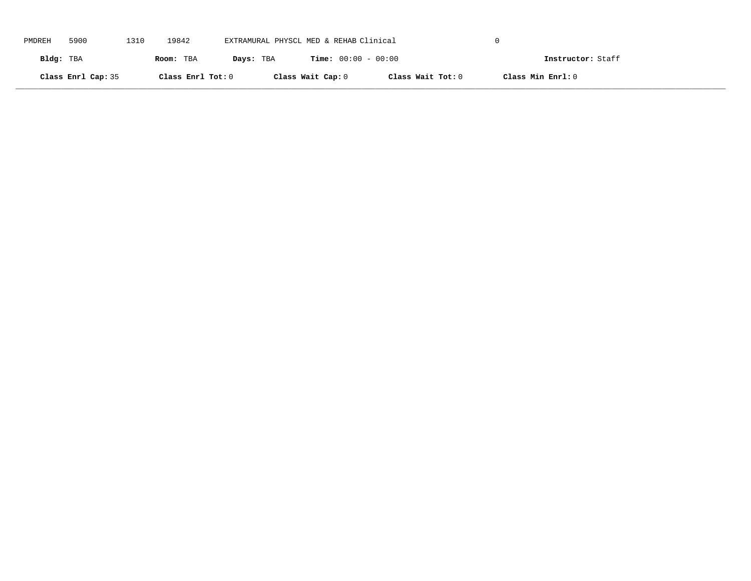| PMDREH    | 5900               | 1310 | 19842             | EXTRAMURAL PHYSCL MED & REHAB Clinical |                              |                   |                   |  |
|-----------|--------------------|------|-------------------|----------------------------------------|------------------------------|-------------------|-------------------|--|
| Bldg: TBA |                    |      | Room: TBA         | Days: TBA                              | <b>Time:</b> $00:00 - 00:00$ |                   | Instructor: Staff |  |
|           | Class Enrl Cap: 35 |      | Class Enrl Tot: 0 |                                        | Class Wait Cap: 0            | Class Wait Tot: 0 | Class Min Enrl: 0 |  |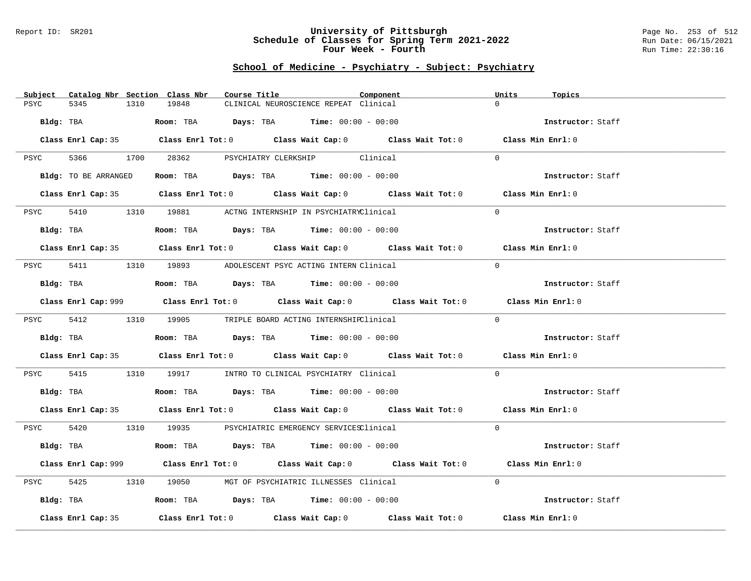### Report ID: SR201 **University of Pittsburgh** Page No. 253 of 512 **Schedule of Classes for Spring Term 2021-2022** Run Date: 06/15/2021 **Four Week - Fourth Rundall Run Time:** 22:30:16

| Subject<br>Catalog Nbr Section Class Nbr | Course Title                                                                                | Component | Units<br>Topics   |
|------------------------------------------|---------------------------------------------------------------------------------------------|-----------|-------------------|
| PSYC<br>5345<br>1310                     | 19848<br>CLINICAL NEUROSCIENCE REPEAT Clinical                                              |           | $\Omega$          |
| Bldg: TBA                                |                                                                                             |           |                   |
|                                          | Room: TBA Days: TBA Time: $00:00 - 00:00$                                                   |           | Instructor: Staff |
|                                          | Class Enrl Cap: 35 Class Enrl Tot: 0 Class Wait Cap: 0 Class Wait Tot: 0 Class Min Enrl: 0  |           |                   |
|                                          | PSYC 5366 1700 28362 PSYCHIATRY CLERKSHIP Clinical                                          |           | $\Omega$          |
| Bldg: TO BE ARRANGED                     | Room: TBA $\rule{1em}{0.15mm}$ Days: TBA Time: $00:00 - 00:00$                              |           | Instructor: Staff |
|                                          | Class Enrl Cap: 35 Class Enrl Tot: 0 Class Wait Cap: 0 Class Wait Tot: 0 Class Min Enrl: 0  |           |                   |
| PSYC                                     | 5410 1310 19881 ACTNG INTERNSHIP IN PSYCHIATRYClinical                                      |           | $\Omega$          |
| Bldg: TBA                                | Room: TBA $Days:$ TBA $Time: 00:00 - 00:00$                                                 |           | Instructor: Staff |
|                                          | Class Enrl Cap: 35 Class Enrl Tot: 0 Class Wait Cap: 0 Class Wait Tot: 0 Class Min Enrl: 0  |           |                   |
| PSYC                                     | 5411 1310 19893 ADOLESCENT PSYC ACTING INTERN Clinical                                      |           | $\Omega$          |
| Bldg: TBA                                | Room: TBA $Days:$ TBA Time: $00:00 - 00:00$                                                 |           | Instructor: Staff |
|                                          | Class Enrl Cap: 999 Class Enrl Tot: 0 Class Wait Cap: 0 Class Wait Tot: 0 Class Min Enrl: 0 |           |                   |
|                                          | PSYC 5412 1310 19905 TRIPLE BOARD ACTING INTERNSHIPClinical                                 |           | $\Omega$          |
| Bldg: TBA                                | Room: TBA $Days:$ TBA $Time: 00:00 - 00:00$                                                 |           | Instructor: Staff |
|                                          | Class Enrl Cap: 35 Class Enrl Tot: 0 Class Wait Cap: 0 Class Wait Tot: 0 Class Min Enrl: 0  |           |                   |
|                                          | PSYC 5415 1310 19917 INTRO TO CLINICAL PSYCHIATRY Clinical                                  |           | $\overline{0}$    |
| Bldg: TBA                                | Room: TBA $Days:$ TBA Time: $00:00 - 00:00$                                                 |           | Instructor: Staff |
|                                          | Class Enrl Cap: 35 Class Enrl Tot: 0 Class Wait Cap: 0 Class Wait Tot: 0 Class Min Enrl: 0  |           |                   |
|                                          | PSYC 5420 1310 19935 PSYCHIATRIC EMERGENCY SERVICESClinical                                 |           | $\Omega$          |
|                                          | Bldg: TBA                   Room: TBA         Days: TBA        Time: 00:00 - 00:00          |           | Instructor: Staff |
|                                          | Class Enrl Cap: 999 Class Enrl Tot: 0 Class Wait Cap: 0 Class Wait Tot: 0 Class Min Enrl: 0 |           |                   |
| 5425<br>PSYC                             | 1310 19050 MGT OF PSYCHIATRIC ILLNESSES Clinical                                            |           | $\Omega$          |
| Bldg: TBA                                | Room: TBA $\rule{1em}{0.15mm}$ Days: TBA Time: $00:00 - 00:00$                              |           | Instructor: Staff |
| Class Enrl Cap: 35                       | Class Enrl Tot: $0$ Class Wait Cap: $0$ Class Wait Tot: $0$                                 |           | Class Min Enrl: 0 |
|                                          |                                                                                             |           |                   |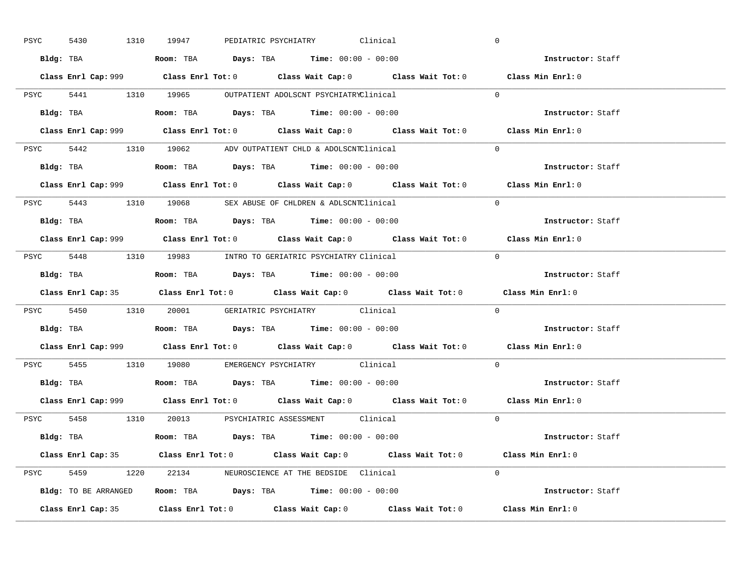| PSYC<br>5430 |           | 1310 19947                                                                             |  | PEDIATRIC PSYCHIATRY Clinical                      | $\overline{0}$                                                                              |
|--------------|-----------|----------------------------------------------------------------------------------------|--|----------------------------------------------------|---------------------------------------------------------------------------------------------|
|              |           | Bldg: TBA                   Room: TBA         Days: TBA         Time: $00:00 - 00:00$  |  |                                                    | Instructor: Staff                                                                           |
|              |           |                                                                                        |  |                                                    | Class Enrl Cap: 999 Class Enrl Tot: 0 Class Wait Cap: 0 Class Wait Tot: 0 Class Min Enrl: 0 |
|              |           | PSYC 5441 1310 19965 OUTPATIENT ADOLSCNT PSYCHIATRYClinical                            |  |                                                    | $\Omega$                                                                                    |
|              | Bldg: TBA | Room: TBA $Days:$ TBA $Time:$ 00:00 - 00:00                                            |  |                                                    | Instructor: Staff                                                                           |
|              |           |                                                                                        |  |                                                    | Class Enrl Cap: 999 Class Enrl Tot: 0 Class Wait Cap: 0 Class Wait Tot: 0 Class Min Enrl: 0 |
|              |           | PSYC 5442 1310 19062 ADV OUTPATIENT CHLD & ADOLSCNTClinical                            |  |                                                    | $\Omega$                                                                                    |
|              |           | Bldg: TBA                    Room: TBA         Days: TBA        Time: $00:00 - 00:00$  |  |                                                    | Instructor: Staff                                                                           |
|              |           |                                                                                        |  |                                                    | Class Enrl Cap: 999 Class Enrl Tot: 0 Class Wait Cap: 0 Class Wait Tot: 0 Class Min Enrl: 0 |
|              |           | PSYC 5443 1310 19068 SEX ABUSE OF CHLDREN & ADLSCNTClinical                            |  |                                                    | $\Omega$                                                                                    |
|              |           |                                                                                        |  |                                                    | Instructor: Staff                                                                           |
|              |           |                                                                                        |  |                                                    | Class Enrl Cap: 999 Class Enrl Tot: 0 Class Wait Cap: 0 Class Wait Tot: 0 Class Min Enrl: 0 |
|              |           | PSYC 5448 1310 19983 INTRO TO GERIATRIC PSYCHIATRY Clinical                            |  |                                                    | $\Omega$                                                                                    |
|              |           |                                                                                        |  |                                                    | Instructor: Staff                                                                           |
|              |           |                                                                                        |  |                                                    | Class Enrl Cap: 35 Class Enrl Tot: 0 Class Wait Cap: 0 Class Wait Tot: 0 Class Min Enrl: 0  |
|              |           |                                                                                        |  | PSYC 5450 1310 20001 GERIATRIC PSYCHIATRY Clinical | $\overline{0}$                                                                              |
|              |           |                                                                                        |  |                                                    |                                                                                             |
|              |           | Bldg: TBA                   Room: TBA         Days: TBA         Time: $00:00 - 00:00$  |  |                                                    | <b>Instructor:</b> Staff                                                                    |
|              |           |                                                                                        |  |                                                    | Class Enrl Cap: 999 Class Enrl Tot: 0 Class Wait Cap: 0 Class Wait Tot: 0 Class Min Enrl: 0 |
|              |           | PSYC 5455 1310 19080 EMERGENCY PSYCHIATRY Clinical                                     |  |                                                    | $\Omega$                                                                                    |
|              |           | Bldg: TBA                    Room: TBA         Days: TBA         Time: $00:00 - 00:00$ |  |                                                    | Instructor: Staff                                                                           |
|              |           |                                                                                        |  |                                                    | Class Enrl Cap: 999 Class Enrl Tot: 0 Class Wait Cap: 0 Class Wait Tot: 0 Class Min Enrl: 0 |
|              |           | PSYC 5458 1310 20013 PSYCHIATRIC ASSESSMENT Clinical                                   |  |                                                    | $\Omega$                                                                                    |
|              |           | Bldg: TBA                   Room: TBA         Days: TBA        Time: 00:00 - 00:00     |  |                                                    | Instructor: Staff                                                                           |
|              |           |                                                                                        |  |                                                    | Class Enrl Cap: 35 Class Enrl Tot: 0 Class Wait Cap: 0 Class Wait Tot: 0 Class Min Enrl: 0  |
|              |           | PSYC 5459 1220 22134 NEUROSCIENCE AT THE BEDSIDE Clinical                              |  |                                                    | $\Omega$                                                                                    |
|              |           | Bldg: TO BE ARRANGED Room: TBA Days: TBA Time: 00:00 - 00:00                           |  |                                                    | Instructor: Staff                                                                           |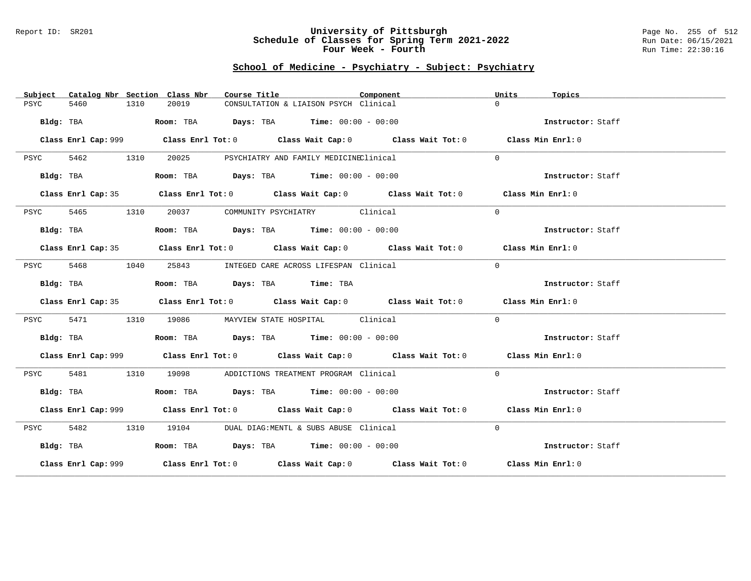#### Report ID: SR201 **University of Pittsburgh** Page No. 255 of 512 **Schedule of Classes for Spring Term 2021-2022** Run Date: 06/15/2021 **Four Week - Fourth Rundall Run Time:** 22:30:16

| Subject   | Catalog Nbr Section Class Nbr |      |       | Course Title |                                              | Component |                                                                                             | Units    | Topics            |  |
|-----------|-------------------------------|------|-------|--------------|----------------------------------------------|-----------|---------------------------------------------------------------------------------------------|----------|-------------------|--|
| PSYC      | 5460                          | 1310 | 20019 |              | CONSULTATION & LIAISON PSYCH Clinical        |           |                                                                                             | $\Omega$ |                   |  |
|           | Bldg: TBA                     |      |       |              | Room: TBA Days: TBA Time: $00:00 - 00:00$    |           |                                                                                             |          | Instructor: Staff |  |
|           |                               |      |       |              |                                              |           |                                                                                             |          | Class Min Enrl: 0 |  |
| PSYC      | 5462<br>1310                  |      | 20025 |              | PSYCHIATRY AND FAMILY MEDICINEClinical       |           |                                                                                             | $\Omega$ |                   |  |
|           | Bldg: TBA                     |      |       |              | Room: TBA $Days:$ TBA $Time: 00:00 - 00:00$  |           |                                                                                             |          | Instructor: Staff |  |
|           |                               |      |       |              |                                              |           | Class Enrl Cap: 35 Class Enrl Tot: 0 Class Wait Cap: 0 Class Wait Tot: 0 Class Min Enrl: 0  |          |                   |  |
| PSYC      | 5465                          | 1310 |       |              | 20037 COMMUNITY PSYCHIATRY Clinical          |           |                                                                                             | $\Omega$ |                   |  |
| Bldg: TBA |                               |      |       |              | Room: TBA $Days:$ TBA $Time: 00:00 - 00:00$  |           |                                                                                             |          | Instructor: Staff |  |
|           |                               |      |       |              |                                              |           | Class Enrl Cap: 35 Class Enrl Tot: 0 Class Wait Cap: 0 Class Wait Tot: 0 Class Min Enrl: 0  |          |                   |  |
| PSYC      | 5468                          | 1040 |       |              | 25843 INTEGED CARE ACROSS LIFESPAN Clinical  |           |                                                                                             | $\Omega$ |                   |  |
|           | Bldg: TBA                     |      |       |              | Room: TBA Days: TBA Time: TBA                |           |                                                                                             |          | Instructor: Staff |  |
|           |                               |      |       |              |                                              |           | Class Enrl Cap: 35 Class Enrl Tot: 0 Class Wait Cap: 0 Class Wait Tot: 0 Class Min Enrl: 0  |          |                   |  |
| PSYC      | 5471                          | 1310 |       |              | 19086 MAYVIEW STATE HOSPITAL Clinical        |           |                                                                                             | $\Omega$ |                   |  |
|           | Bldg: TBA                     |      |       |              | Room: TBA $Days:$ TBA $Time: 00:00 - 00:00$  |           |                                                                                             |          | Instructor: Staff |  |
|           |                               |      |       |              |                                              |           | Class Enrl Cap: 999 Class Enrl Tot: 0 Class Wait Cap: 0 Class Wait Tot: 0                   |          | Class Min Enrl: 0 |  |
| PSYC      | 5481                          | 1310 |       |              | 19098 ADDICTIONS TREATMENT PROGRAM Clinical  |           |                                                                                             | $\Omega$ |                   |  |
|           | Bldg: TBA                     |      |       |              | Room: TBA $Days:$ TBA $Time: 00:00 - 00:00$  |           |                                                                                             |          | Instructor: Staff |  |
|           |                               |      |       |              |                                              |           | Class Enrl Cap: 999 Class Enrl Tot: 0 Class Wait Cap: 0 Class Wait Tot: 0 Class Min Enrl: 0 |          |                   |  |
| PSYC      | 5482                          | 1310 |       |              | 19104 DUAL DIAG: MENTL & SUBS ABUSE Clinical |           |                                                                                             | $\Omega$ |                   |  |
| Bldg: TBA |                               |      |       |              | Room: TBA $Days:$ TBA $Time: 00:00 - 00:00$  |           |                                                                                             |          | Instructor: Staff |  |
|           |                               |      |       |              |                                              |           | Class Enrl Cap: 999 Class Enrl Tot: 0 Class Wait Cap: 0 Class Wait Tot: 0 Class Min Enrl: 0 |          |                   |  |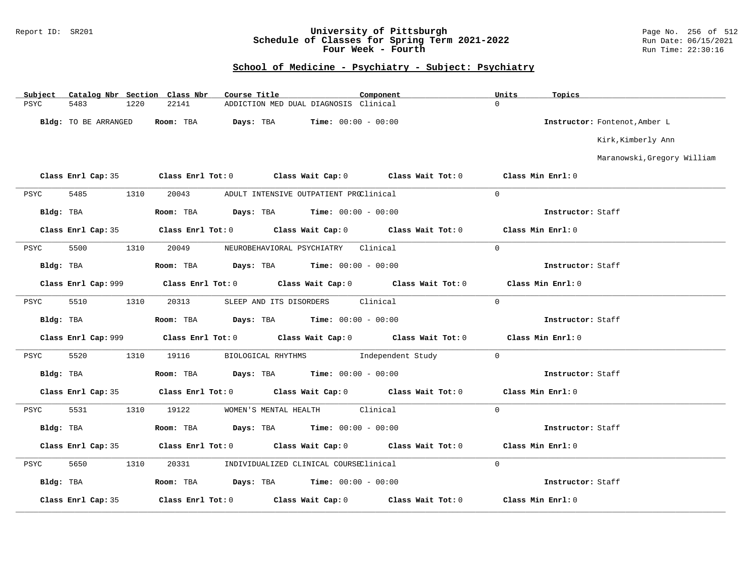### Report ID: SR201 **University of Pittsburgh** Page No. 256 of 512 **Schedule of Classes for Spring Term 2021-2022** Run Date: 06/15/2021 **Four Week - Fourth Rundall Run Time:** 22:30:16

| Subject     |                      |      | Catalog Nbr Section Class Nbr | Course Title |                                                                | Component |                                                                                            | Units              | Topics            |                               |
|-------------|----------------------|------|-------------------------------|--------------|----------------------------------------------------------------|-----------|--------------------------------------------------------------------------------------------|--------------------|-------------------|-------------------------------|
| <b>PSYC</b> | 5483                 | 1220 | 22141                         |              | ADDICTION MED DUAL DIAGNOSIS Clinical                          |           |                                                                                            | $\Omega$           |                   |                               |
|             | Bldg: TO BE ARRANGED |      | Room: TBA                     |              | <b>Days:</b> TBA <b>Time:</b> $00:00 - 00:00$                  |           |                                                                                            |                    |                   | Instructor: Fontenot, Amber L |
|             |                      |      |                               |              |                                                                |           |                                                                                            |                    |                   | Kirk, Kimberly Ann            |
|             |                      |      |                               |              |                                                                |           |                                                                                            |                    |                   | Maranowski, Gregory William   |
|             |                      |      |                               |              |                                                                |           | Class Enrl Cap: 35 Class Enrl Tot: 0 Class Wait Cap: 0 Class Wait Tot: 0                   | Class Min Enrl: 0  |                   |                               |
| PSYC        | 5485                 | 1310 | 20043                         |              | ADULT INTENSIVE OUTPATIENT PROClinical                         |           |                                                                                            | $\Omega$           |                   |                               |
| Bldg: TBA   |                      |      |                               |              | Room: TBA $\rule{1em}{0.15mm}$ Days: TBA Time: $00:00 - 00:00$ |           |                                                                                            |                    | Instructor: Staff |                               |
|             |                      |      |                               |              |                                                                |           | Class Enrl Cap: 35 Class Enrl Tot: 0 Class Wait Cap: 0 Class Wait Tot: 0 Class Min Enrl: 0 |                    |                   |                               |
| PSYC        | 5500                 | 1310 | 20049                         |              | NEUROBEHAVIORAL PSYCHIATRY Clinical                            |           |                                                                                            | $\Omega$           |                   |                               |
| Bldg: TBA   |                      |      |                               |              | Room: TBA $Days: TBA$ Time: $00:00 - 00:00$                    |           |                                                                                            |                    | Instructor: Staff |                               |
|             |                      |      |                               |              |                                                                |           |                                                                                            |                    | Class Min Enrl: 0 |                               |
| PSYC        | 5510                 | 1310 | 20313                         |              | SLEEP AND ITS DISORDERS Clinical                               |           |                                                                                            | $\Omega$           |                   |                               |
|             | Bldg: TBA            |      |                               |              | Room: TBA $Days:$ TBA $Time: 00:00 - 00:00$                    |           |                                                                                            |                    | Instructor: Staff |                               |
|             |                      |      |                               |              |                                                                |           |                                                                                            |                    | Class Min Enrl: 0 |                               |
| PSYC        | 5520                 | 1310 | 19116                         |              |                                                                |           | BIOLOGICAL RHYTHMS    Independent Study                                                    | $\Omega$           |                   |                               |
|             | Bldg: TBA            |      |                               |              | Room: TBA $Days:$ TBA $Time: 00:00 - 00:00$                    |           |                                                                                            |                    | Instructor: Staff |                               |
|             | Class Enrl Cap: 35   |      |                               |              |                                                                |           | Class Enrl Tot: $0$ Class Wait Cap: $0$ Class Wait Tot: $0$                                | Class Min $Enr1:0$ |                   |                               |
| PSYC        | 5531                 | 1310 | 19122                         |              | WOMEN'S MENTAL HEALTH Clinical                                 |           |                                                                                            | $\overline{0}$     |                   |                               |
|             | Bldg: TBA            |      |                               |              | Room: TBA $Days:$ TBA $Time: 00:00 - 00:00$                    |           |                                                                                            |                    | Instructor: Staff |                               |
|             |                      |      |                               |              |                                                                |           | Class Enrl Cap: 35 Class Enrl Tot: 0 Class Wait Cap: 0 Class Wait Tot: 0                   |                    | Class Min Enrl: 0 |                               |
| PSYC        | 5650                 | 1310 | 20331                         |              | INDIVIDUALIZED CLINICAL COURSEClinical                         |           |                                                                                            | $\overline{0}$     |                   |                               |
| Bldg: TBA   |                      |      |                               |              | Room: TBA $Days:$ TBA $Time: 00:00 - 00:00$                    |           |                                                                                            |                    | Instructor: Staff |                               |
|             | Class Enrl Cap: 35   |      |                               |              |                                                                |           | Class Enrl Tot: $0$ Class Wait Cap: $0$ Class Wait Tot: $0$                                |                    | Class Min Enrl: 0 |                               |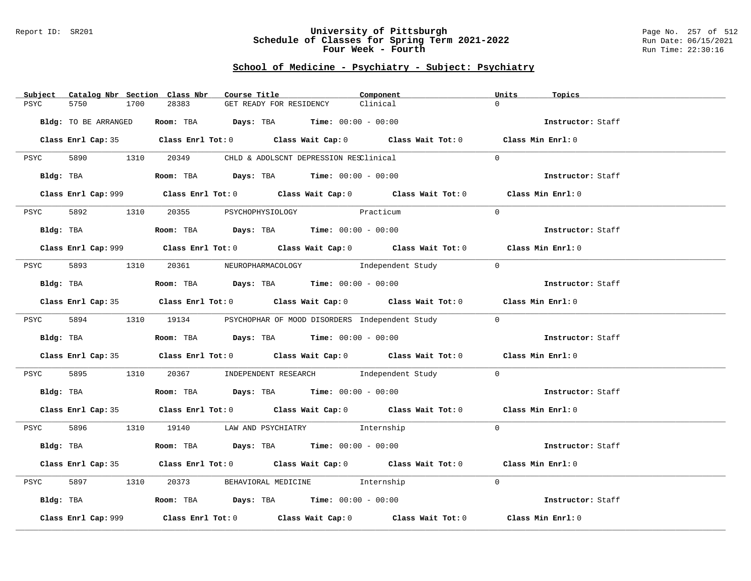### Report ID: SR201 **University of Pittsburgh** Page No. 257 of 512 **Schedule of Classes for Spring Term 2021-2022** Run Date: 06/15/2021 **Four Week - Fourth Rundall Run Time:** 22:30:16

| Subject              | Catalog Nbr Section Class Nbr<br>Course Title                                         | Component                                                                                   | Units<br>Topics   |  |
|----------------------|---------------------------------------------------------------------------------------|---------------------------------------------------------------------------------------------|-------------------|--|
| 5750<br>PSYC         | 28383<br>1700<br>GET READY FOR RESIDENCY                                              | Clinical                                                                                    | $\Omega$          |  |
|                      |                                                                                       |                                                                                             |                   |  |
| Bldg: TO BE ARRANGED | Room: TBA $Days:$ TBA $Time: 00:00 - 00:00$                                           |                                                                                             | Instructor: Staff |  |
|                      |                                                                                       |                                                                                             |                   |  |
|                      |                                                                                       | Class Enrl Cap: 35 Class Enrl Tot: 0 Class Wait Cap: 0 Class Wait Tot: 0 Class Min Enrl: 0  |                   |  |
|                      |                                                                                       |                                                                                             |                   |  |
|                      | PSYC 5890 1310 20349 CHLD & ADOLSCNT DEPRESSION RESClinical                           |                                                                                             | $\Omega$          |  |
|                      |                                                                                       |                                                                                             |                   |  |
|                      | Bldg: TBA                    Room: TBA         Days: TBA         Time: 00:00 - 00:00  |                                                                                             | Instructor: Staff |  |
|                      |                                                                                       |                                                                                             |                   |  |
|                      |                                                                                       | Class Enrl Cap: 999 Class Enrl Tot: 0 Class Wait Cap: 0 Class Wait Tot: 0 Class Min Enrl: 0 |                   |  |
|                      | 5892 1310 20355 PSYCHOPHYSIOLOGY Practicum                                            |                                                                                             | $\Omega$          |  |
| PSYC                 |                                                                                       |                                                                                             |                   |  |
|                      | Bldg: TBA                   Room: TBA        Days: TBA        Time: 00:00 - 00:00     |                                                                                             | Instructor: Staff |  |
|                      |                                                                                       |                                                                                             |                   |  |
|                      |                                                                                       | Class Enrl Cap: 999 Class Enrl Tot: 0 Class Wait Cap: 0 Class Wait Tot: 0 Class Min Enrl: 0 |                   |  |
|                      |                                                                                       |                                                                                             |                   |  |
|                      |                                                                                       | PSYC 5893 1310 20361 NEUROPHARMACOLOGY Independent Study                                    | $\overline{0}$    |  |
|                      |                                                                                       |                                                                                             |                   |  |
| Bldg: TBA            | Room: TBA $Days:$ TBA Time: $00:00 - 00:00$                                           |                                                                                             | Instructor: Staff |  |
|                      |                                                                                       |                                                                                             |                   |  |
|                      |                                                                                       | Class Enrl Cap: 35 Class Enrl Tot: 0 Class Wait Cap: 0 Class Wait Tot: 0 Class Min Enrl: 0  |                   |  |
|                      |                                                                                       |                                                                                             |                   |  |
|                      |                                                                                       | PSYC 5894 1310 19134 PSYCHOPHAR OF MOOD DISORDERS Independent Study                         | $\overline{0}$    |  |
|                      |                                                                                       |                                                                                             |                   |  |
| Bldg: TBA            | Room: TBA $\rule{1em}{0.15mm}$ Days: TBA Time: $00:00 - 00:00$                        |                                                                                             | Instructor: Staff |  |
|                      |                                                                                       | Class Enrl Cap: 35 Class Enrl Tot: 0 Class Wait Cap: 0 Class Wait Tot: 0 Class Min Enrl: 0  |                   |  |
|                      |                                                                                       |                                                                                             |                   |  |
| <b>PSYC</b>          |                                                                                       | 5895 1310 20367 INDEPENDENT RESEARCH Independent Study 0                                    |                   |  |
|                      |                                                                                       |                                                                                             |                   |  |
|                      | Bldg: TBA <b>Room:</b> TBA <b>Days:</b> TBA <b>Time:</b> 00:00 - 00:00                |                                                                                             | Instructor: Staff |  |
|                      |                                                                                       |                                                                                             |                   |  |
|                      |                                                                                       | Class Enrl Cap: 35 Class Enrl Tot: 0 Class Wait Cap: 0 Class Wait Tot: 0 Class Min Enrl: 0  |                   |  |
|                      |                                                                                       |                                                                                             |                   |  |
|                      | PSYC 5896 1310 19140 LAW AND PSYCHIATRY Internship                                    |                                                                                             | $\Omega$          |  |
|                      |                                                                                       |                                                                                             |                   |  |
| Bldg: TBA            | Room: TBA $\rule{1em}{0.15mm}$ Days: TBA $\rule{1.5mm}{0.15mm}$ Time: $00:00 - 00:00$ |                                                                                             | Instructor: Staff |  |
|                      |                                                                                       |                                                                                             |                   |  |
|                      |                                                                                       | Class Enrl Cap: 35 Class Enrl Tot: 0 Class Wait Cap: 0 Class Wait Tot: 0 Class Min Enrl: 0  |                   |  |
| 5897<br>PSYC         | 1310 20373 BEHAVIORAL MEDICINE 1nternship                                             |                                                                                             | $\Omega$          |  |
|                      |                                                                                       |                                                                                             |                   |  |
|                      | Bldg: TBA                   Room: TBA        Days: TBA        Time: 00:00 - 00:00     |                                                                                             | Instructor: Staff |  |
|                      |                                                                                       |                                                                                             |                   |  |
| Class Enrl Cap: 999  |                                                                                       | Class Enrl Tot: $0$ Class Wait Cap: $0$ Class Wait Tot: $0$ Class Min Enrl: $0$             |                   |  |
|                      |                                                                                       |                                                                                             |                   |  |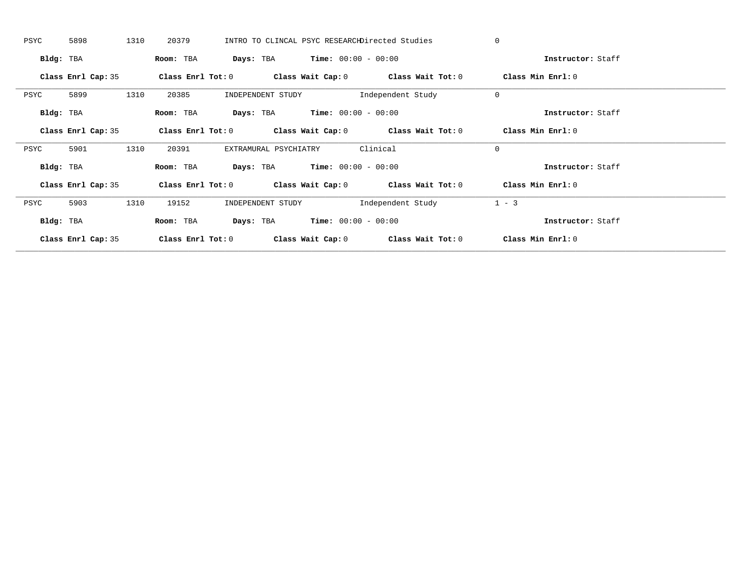| PSYC      | 5898               | 1310 | 20379             |                                               |                                               | INTRO TO CLINCAL PSYC RESEARCHDirected Studies              | $\mathbf{0}$ |                   |  |
|-----------|--------------------|------|-------------------|-----------------------------------------------|-----------------------------------------------|-------------------------------------------------------------|--------------|-------------------|--|
| Bldg: TBA |                    |      | Room: TBA         |                                               | <b>Days:</b> TBA <b>Time:</b> $00:00 - 00:00$ |                                                             |              | Instructor: Staff |  |
|           | Class Enrl Cap: 35 |      | Class Enrl Tot: 0 |                                               |                                               | Class Wait Cap: $0$ Class Wait Tot: $0$                     |              | Class Min Enrl: 0 |  |
| PSYC      | 5899               | 1310 | 20385             | INDEPENDENT STUDY                             |                                               | Independent Study                                           | $\mathbf{0}$ |                   |  |
| Bldg: TBA |                    |      | Room: TBA         | Days: TBA                                     | $Time: 00:00 - 00:00$                         |                                                             |              | Instructor: Staff |  |
|           | Class Enrl Cap: 35 |      |                   |                                               |                                               | Class Enrl Tot: $0$ Class Wait Cap: $0$ Class Wait Tot: $0$ |              | Class Min Enrl: 0 |  |
| PSYC      | 5901               | 1310 | 20391             | EXTRAMURAL PSYCHIATRY                         |                                               | Clinical                                                    | $\mathbf{0}$ |                   |  |
| Bldg: TBA |                    |      | Room: TBA         | <b>Days:</b> TBA <b>Time:</b> $00:00 - 00:00$ |                                               |                                                             |              | Instructor: Staff |  |
|           | Class Enrl Cap: 35 |      |                   |                                               |                                               | Class Enrl Tot: $0$ Class Wait Cap: $0$ Class Wait Tot: $0$ |              | Class Min Enrl: 0 |  |
| PSYC      | 5903               | 1310 | 19152             | INDEPENDENT STUDY                             |                                               | Independent Study                                           | $1 - 3$      |                   |  |
| Bldg: TBA |                    |      | Room: TBA         |                                               | <b>Days:</b> TBA <b>Time:</b> $00:00 - 00:00$ |                                                             |              | Instructor: Staff |  |
|           | Class Enrl Cap: 35 |      | Class Enrl Tot: 0 |                                               |                                               | Class Wait Cap: $0$ Class Wait Tot: $0$                     |              | Class Min Enrl: 0 |  |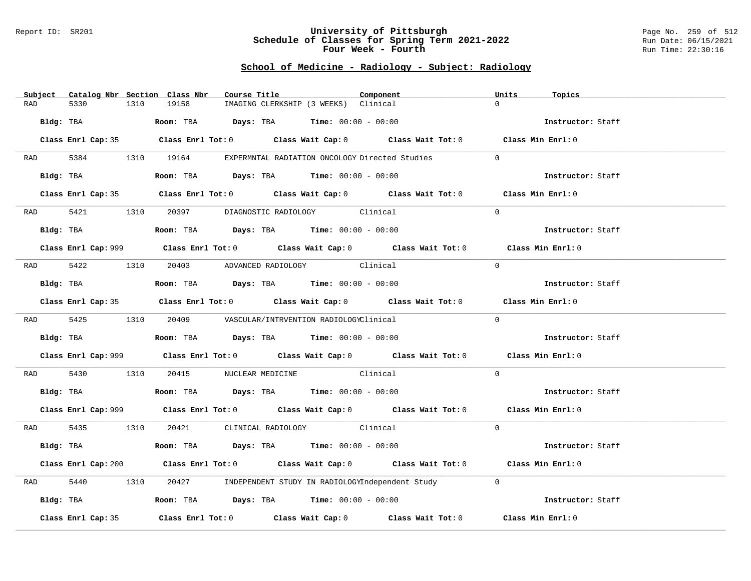#### Report ID: SR201 **University of Pittsburgh** Page No. 259 of 512 **Schedule of Classes for Spring Term 2021-2022** Run Date: 06/15/2021 **Four Week - Fourth Rundall Run Time:** 22:30:16

# **School of Medicine - Radiology - Subject: Radiology**

| Subject Catalog Nbr Section Class Nbr | Course Title                                                                                       | Component                                             | Units<br>Topics   |
|---------------------------------------|----------------------------------------------------------------------------------------------------|-------------------------------------------------------|-------------------|
| 5330<br>RAD                           | 1310<br>19158<br>IMAGING CLERKSHIP (3 WEEKS) Clinical                                              |                                                       | $\Omega$          |
| Bldg: TBA                             | Room: TBA $Days:$ TBA $Time: 00:00 - 00:00$                                                        |                                                       | Instructor: Staff |
|                                       | Class Enrl Cap: 35 Class Enrl Tot: 0 Class Wait Cap: 0 Class Wait Tot: 0 Class Min Enrl: 0         |                                                       |                   |
|                                       | RAD 5384 1310 19164 EXPERMNTAL RADIATION ONCOLOGY Directed Studies                                 |                                                       | $\Omega$          |
| Bldg: TBA                             | Room: TBA $Days:$ TBA Time: $00:00 - 00:00$                                                        |                                                       | Instructor: Staff |
|                                       | Class Enrl Cap: 35 Class Enrl Tot: 0 Class Wait Cap: 0 Class Wait Tot: 0 Class Min Enrl: 0         |                                                       |                   |
|                                       | RAD 5421 1310 20397 DIAGNOSTIC RADIOLOGY Clinical                                                  |                                                       | $\Omega$          |
| Bldg: TBA                             | <b>Room:</b> TBA $Days:$ TBA $Time: 00:00 - 00:00$                                                 |                                                       | Instructor: Staff |
|                                       | Class Enrl Cap: 999 Class Enrl Tot: 0 Class Wait Cap: 0 Class Wait Tot: 0 Class Min Enrl: 0        |                                                       |                   |
|                                       | RAD 5422 1310 20403 ADVANCED RADIOLOGY Clinical                                                    |                                                       | $\Omega$          |
| Bldg: TBA                             | Room: TBA Days: TBA Time: $00:00 - 00:00$                                                          |                                                       | Instructor: Staff |
|                                       | Class Enrl Cap: 35 Class Enrl Tot: 0 Class Wait Cap: 0 Class Wait Tot: 0 Class Min Enrl: 0         |                                                       |                   |
|                                       | RAD 5425 1310 20409 VASCULAR/INTRVENTION RADIOLOGYClinical                                         |                                                       | $\Omega$          |
|                                       | Bldg: TBA                   Room: TBA         Days: TBA        Time: $00:00 - 00:00$               |                                                       | Instructor: Staff |
|                                       | Class Enrl Cap: 999 Class Enrl Tot: 0 Class Wait Cap: 0 Class Wait Tot: 0 Class Min Enrl: 0        |                                                       |                   |
| RAD 5430                              | 1310 20415 NUCLEAR MEDICINE Clinical                                                               |                                                       | $\Omega$          |
|                                       | Bldg: TBA                    Room: TBA         Days: TBA         Time: 00:00 - 00:00               |                                                       | Instructor: Staff |
|                                       | Class Enrl Cap: 999 Class Enrl Tot: 0 Class Wait Cap: 0 Class Wait Tot: 0 Class Min Enrl: 0        |                                                       |                   |
|                                       | RAD 5435 1310 20421 CLINICAL RADIOLOGY Clinical                                                    |                                                       | $\Omega$          |
|                                       | Bldg: TBA                   Room: TBA        Days: TBA        Time: $00:00 - 00:00$                |                                                       | Instructor: Staff |
|                                       | Class Enrl Cap: 200 Class Enrl Tot: 0 Class Wait Cap: 0 Class Wait Tot: 0 Class Min Enrl: 0        |                                                       |                   |
| 5440<br>RAD                           | 1310                                                                                               | 20427 INDEPENDENT STUDY IN RADIOLOGYIndependent Study | $\overline{0}$    |
| Bldg: TBA                             | Room: TBA $\rule{1em}{0.15mm}$ Days: TBA Time: $00:00 - 00:00$                                     |                                                       | Instructor: Staff |
| Class Enrl Cap: 35                    | Class Enrl Tot: 0 $\qquad$ Class Wait Cap: 0 $\qquad$ Class Wait Tot: 0 $\qquad$ Class Min Enrl: 0 |                                                       |                   |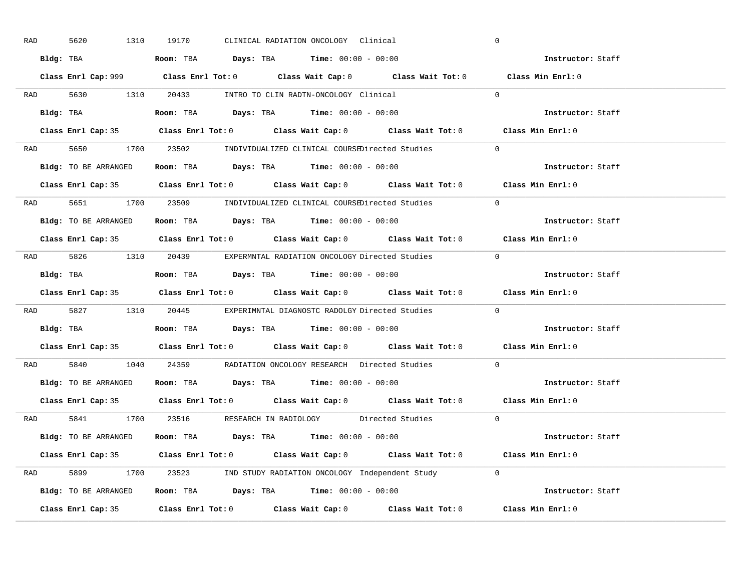| RAD | 5620                 | 1310 | 19170 | CLINICAL RADIATION ONCOLOGY Clinical                                                        |                                                                                            | $\overline{0}$                                                                              |  |
|-----|----------------------|------|-------|---------------------------------------------------------------------------------------------|--------------------------------------------------------------------------------------------|---------------------------------------------------------------------------------------------|--|
|     |                      |      |       | Bldg: TBA                   Room: TBA        Days: TBA        Time: $00:00 - 00:00$         |                                                                                            | Instructor: Staff                                                                           |  |
|     |                      |      |       |                                                                                             |                                                                                            | Class Enrl Cap: 999 Class Enrl Tot: 0 Class Wait Cap: 0 Class Wait Tot: 0 Class Min Enrl: 0 |  |
|     |                      |      |       |                                                                                             | RAD 5630 1310 20433 INTRO TO CLIN RADTN-ONCOLOGY Clinical 0                                |                                                                                             |  |
|     |                      |      |       |                                                                                             |                                                                                            | Instructor: Staff                                                                           |  |
|     |                      |      |       |                                                                                             |                                                                                            | Class Enrl Cap: 35 Class Enrl Tot: 0 Class Wait Cap: 0 Class Wait Tot: 0 Class Min Enrl: 0  |  |
|     |                      |      |       |                                                                                             | RAD 5650 1700 23502 INDIVIDUALIZED CLINICAL COURSEDirected Studies 0                       |                                                                                             |  |
|     |                      |      |       | Bldg: TO BE ARRANGED Room: TBA Days: TBA Time: 00:00 - 00:00                                |                                                                                            | Instructor: Staff                                                                           |  |
|     |                      |      |       |                                                                                             |                                                                                            | Class Enrl Cap: 35 Class Enrl Tot: 0 Class Wait Cap: 0 Class Wait Tot: 0 Class Min Enrl: 0  |  |
|     |                      |      |       |                                                                                             | RAD 5651 1700 23509 INDIVIDUALIZED CLINICAL COURSEDirected Studies                         | $\Omega$                                                                                    |  |
|     | Bldg: TO BE ARRANGED |      |       | Room: TBA $\rule{1em}{0.15mm}$ Days: TBA $\rule{1.5mm}{0.15mm}$ Time: $00:00 - 00:00$       |                                                                                            | Instructor: Staff                                                                           |  |
|     |                      |      |       |                                                                                             |                                                                                            | Class Enrl Cap: 35 Class Enrl Tot: 0 Class Wait Cap: 0 Class Wait Tot: 0 Class Min Enrl: 0  |  |
|     |                      |      |       |                                                                                             | RAD 5826 1310 20439 EXPERMNTAL RADIATION ONCOLOGY Directed Studies 0                       |                                                                                             |  |
|     |                      |      |       | Bldg: TBA                         Room: TBA         Days: TBA         Time: $00:00 - 00:00$ |                                                                                            | Instructor: Staff                                                                           |  |
|     |                      |      |       |                                                                                             |                                                                                            | Class Enrl Cap: 35 Class Enrl Tot: 0 Class Wait Cap: 0 Class Wait Tot: 0 Class Min Enrl: 0  |  |
|     |                      |      |       |                                                                                             | RAD 5827 1310 20445 EXPERIMNTAL DIAGNOSTC RADOLGY Directed Studies                         | $\overline{0}$                                                                              |  |
|     |                      |      |       | Bldg: TBA                     Room: TBA         Days: TBA         Time: $00:00 - 00:00$     |                                                                                            | Instructor: Staff                                                                           |  |
|     |                      |      |       |                                                                                             |                                                                                            | Class Enrl Cap: 35 Class Enrl Tot: 0 Class Wait Cap: 0 Class Wait Tot: 0 Class Min Enrl: 0  |  |
| RAD |                      |      |       |                                                                                             | 5840 1040 24359 RADIATION ONCOLOGY RESEARCH Directed Studies                               | $\overline{0}$                                                                              |  |
|     |                      |      |       | Bldg: TO BE ARRANGED ROOM: TBA Days: TBA Time: 00:00 - 00:00                                |                                                                                            | Instructor: Staff                                                                           |  |
|     |                      |      |       |                                                                                             |                                                                                            | Class Enrl Cap: 35 Class Enrl Tot: 0 Class Wait Cap: 0 Class Wait Tot: 0 Class Min Enrl: 0  |  |
|     |                      |      |       |                                                                                             | RAD 5841 1700 23516 RESEARCH IN RADIOLOGY Directed Studies 0                               |                                                                                             |  |
|     |                      |      |       | Bldg: TO BE ARRANGED Room: TBA Days: TBA Time: 00:00 - 00:00                                |                                                                                            | Instructor: Staff                                                                           |  |
|     |                      |      |       |                                                                                             | Class Enrl Cap: 35 Class Enrl Tot: 0 Class Wait Cap: 0 Class Wait Tot: 0 Class Min Enrl: 0 |                                                                                             |  |
|     |                      |      |       |                                                                                             | RAD 5899 1700 23523 IND STUDY RADIATION ONCOLOGY Independent Study 0                       |                                                                                             |  |
|     |                      |      |       |                                                                                             | Bldg: TO BE ARRANGED Room: TBA Days: TBA Time: 00:00 - 00:00                               | Instructor: Staff                                                                           |  |
|     |                      |      |       |                                                                                             | Class Enrl Cap: 35 Class Enrl Tot: 0 Class Wait Cap: 0 Class Wait Tot: 0 Class Min Enrl: 0 |                                                                                             |  |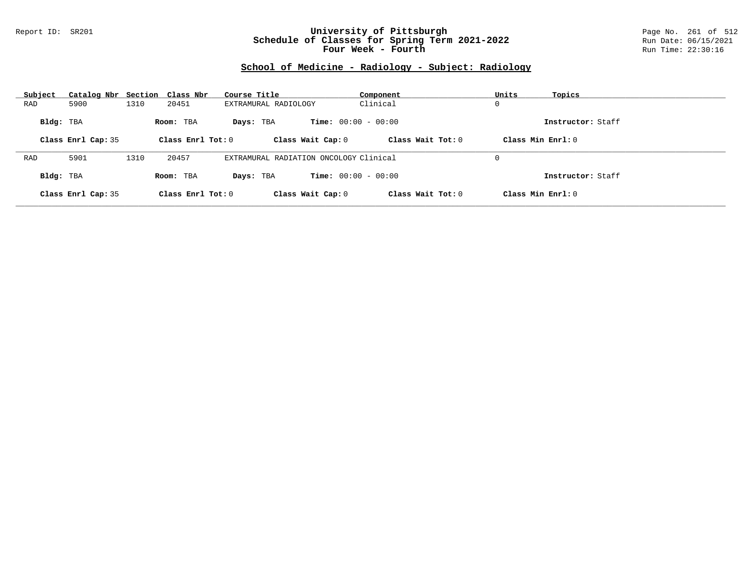### Report ID: SR201 **University of Pittsburgh** Page No. 261 of 512 **Schedule of Classes for Spring Term 2021-2022** Run Date: 06/15/2021 **Four Week - Fourth Rundall Run Time:** 22:30:16

# **School of Medicine - Radiology - Subject: Radiology**

| Subject   | Catalog Nbr Section Class Nbr |      |                     | Course Title                           | Component                    | Units<br>Topics   |
|-----------|-------------------------------|------|---------------------|----------------------------------------|------------------------------|-------------------|
| RAD       | 5900                          | 1310 | 20451               | EXTRAMURAL RADIOLOGY                   | Clinical                     | 0                 |
| Bldg: TBA |                               |      | Room: TBA           | Days: TBA                              | <b>Time:</b> $00:00 - 00:00$ | Instructor: Staff |
|           | Class Enrl Cap: 35            |      | Class Enrl Tot: $0$ | Class Wait Cap: 0                      | Class Wait $Tot: 0$          | Class Min Enrl: 0 |
|           |                               |      |                     |                                        |                              |                   |
| RAD       | 5901                          | 1310 | 20457               | EXTRAMURAL RADIATION ONCOLOGY Clinical |                              | 0                 |
| Bldg: TBA |                               |      | Room: TBA           | Days: TBA                              | <b>Time:</b> $00:00 - 00:00$ | Instructor: Staff |
|           | Class Enrl Cap: 35            |      | Class Enrl Tot: 0   | Class Wait Cap: 0                      | Class Wait Tot: 0            | Class Min Enrl: 0 |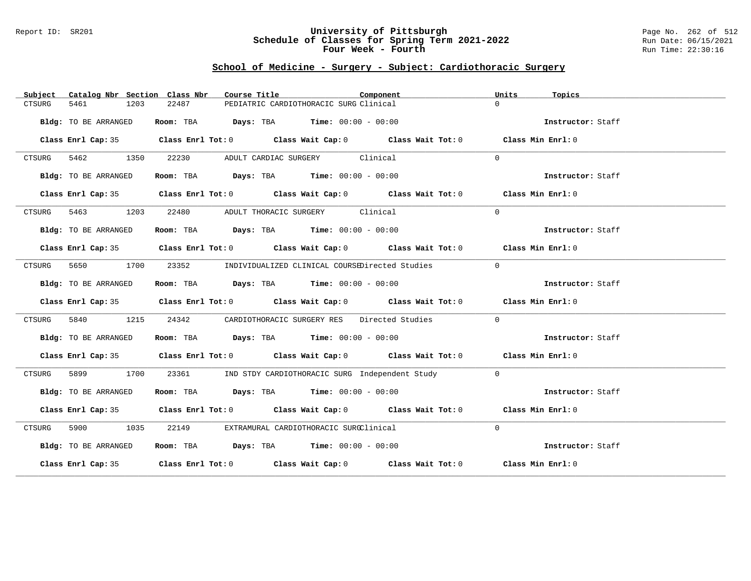#### Report ID: SR201 **University of Pittsburgh** Page No. 262 of 512 **Schedule of Classes for Spring Term 2021-2022** Run Date: 06/15/2021 **Four Week - Fourth Rundall Run Time:** 22:30:16

### **School of Medicine - Surgery - Subject: Cardiothoracic Surgery**

| Catalog Nbr Section Class Nbr<br>Subject | Course Title                                                                               | Component<br>Units<br>Topics |
|------------------------------------------|--------------------------------------------------------------------------------------------|------------------------------|
| 5461<br>1203<br>CTSURG                   | 22487<br>PEDIATRIC CARDIOTHORACIC SURG Clinical                                            | $\Omega$                     |
| Bldg: TO BE ARRANGED                     | Room: TBA $Days:$ TBA $Time: 00:00 - 00:00$                                                | Instructor: Staff            |
|                                          | Class Enrl Cap: 35 Class Enrl Tot: 0 Class Wait Cap: 0 Class Wait Tot: 0 Class Min Enrl: 0 |                              |
| 5462 1350<br>CTSURG                      | 22230<br>ADULT CARDIAC SURGERY Clinical                                                    | $\Omega$                     |
| Bldg: TO BE ARRANGED                     | Room: TBA $Days:$ TBA $Time: 00:00 - 00:00$                                                | Instructor: Staff            |
|                                          | Class Enrl Cap: 35 Class Enrl Tot: 0 Class Wait Cap: 0 Class Wait Tot: 0 Class Min Enrl: 0 |                              |
|                                          | CTSURG 5463 1203 22480 ADULT THORACIC SURGERY Clinical                                     | $\Omega$                     |
| Bldg: TO BE ARRANGED                     | Room: TBA $Days:$ TBA Time: $00:00 - 00:00$                                                | Instructor: Staff            |
|                                          | Class Enrl Cap: 35 Class Enrl Tot: 0 Class Wait Cap: 0 Class Wait Tot: 0 Class Min Enrl: 0 |                              |
| CTSURG                                   | 5650 1700 23352 INDIVIDUALIZED CLINICAL COURSEDirected Studies                             | $\Omega$                     |
| Bldg: TO BE ARRANGED                     | Room: TBA $Days:$ TBA $Time: 00:00 - 00:00$                                                | Instructor: Staff            |
|                                          | Class Enrl Cap: 35 Class Enrl Tot: 0 Class Wait Cap: 0 Class Wait Tot: 0 Class Min Enrl: 0 |                              |
| 1215<br>5840<br>CTSURG                   | 24342 CARDIOTHORACIC SURGERY RES Directed Studies                                          | $\Omega$                     |
| Bldg: TO BE ARRANGED                     | Room: TBA $\rule{1em}{0.15mm}$ Days: TBA Time: $00:00 - 00:00$                             | Instructor: Staff            |
|                                          | Class Enrl Cap: 35 Class Enrl Tot: 0 Class Wait Cap: 0 Class Wait Tot: 0 Class Min Enrl: 0 |                              |
| 5899 1700<br>CTSURG                      | 23361 IND STDY CARDIOTHORACIC SURG Independent Study                                       | $\Omega$                     |
| Bldg: TO BE ARRANGED                     | Room: TBA $Days:$ TBA $Time: 00:00 - 00:00$                                                | Instructor: Staff            |
|                                          | Class Enrl Cap: 35 Class Enrl Tot: 0 Class Wait Cap: 0 Class Wait Tot: 0 Class Min Enrl: 0 |                              |
| CTSURG 5900 1035                         | 22149 EXTRAMURAL CARDIOTHORACIC SURGClinical                                               | $\Omega$                     |
| Bldg: TO BE ARRANGED                     | Room: TBA $Days:$ TBA $Time: 00:00 - 00:00$                                                | Instructor: Staff            |
|                                          | Class Enrl Cap: 35 Class Enrl Tot: 0 Class Wait Cap: 0 Class Wait Tot: 0 Class Min Enrl: 0 |                              |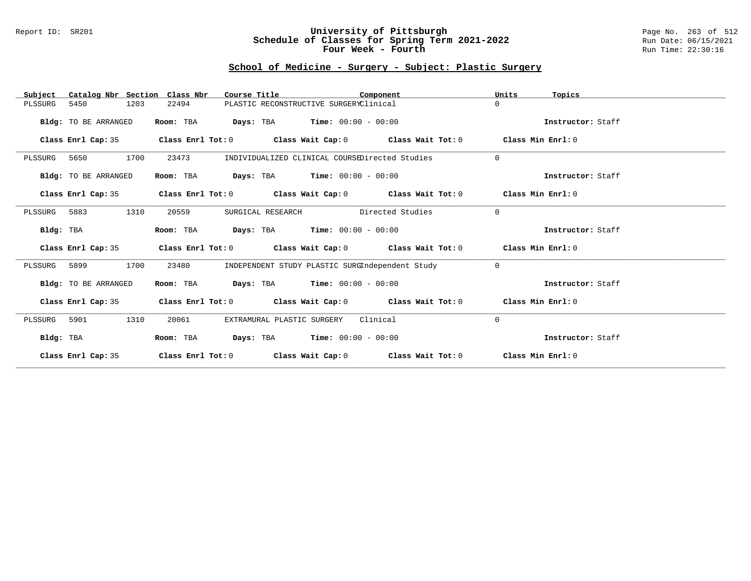### Report ID: SR201 **University of Pittsburgh** Page No. 263 of 512 **Schedule of Classes for Spring Term 2021-2022** Run Date: 06/15/2021 **Four Week - Fourth Rundall Run Time:** 22:30:16

# **School of Medicine - Surgery - Subject: Plastic Surgery**

| Catalog Nbr Section Class Nbr<br>Subject | Course Title                                                                    |                                                 | Component                                      | Units<br>Topics   |  |
|------------------------------------------|---------------------------------------------------------------------------------|-------------------------------------------------|------------------------------------------------|-------------------|--|
| 5450<br>1203<br>PLSSURG                  | 22494                                                                           | PLASTIC RECONSTRUCTIVE SURGERYClinical          |                                                | $\Omega$          |  |
| Bldg: TO BE ARRANGED                     | <b>Days:</b> TBA <b>Time:</b> $00:00 - 00:00$<br>Room: TBA                      |                                                 |                                                | Instructor: Staff |  |
| Class Enrl Cap: 35                       | Class Enrl Tot: $0$ Class Wait Cap: $0$ Class Wait Tot: $0$                     |                                                 |                                                | Class Min Enrl: 0 |  |
| 1700<br>5650<br>PLSSURG                  | 23473                                                                           |                                                 | INDIVIDUALIZED CLINICAL COURSEDirected Studies | $\Omega$          |  |
| Bldg: TO BE ARRANGED                     | Room: TBA<br><b>Days:</b> TBA <b>Time:</b> $00:00 - 00:00$                      |                                                 |                                                | Instructor: Staff |  |
| Class Enrl Cap: 35                       | Class Enrl Tot: $0$ Class Wait Cap: $0$ Class Wait Tot: $0$ Class Min Enrl: $0$ |                                                 |                                                |                   |  |
| PLSSURG 5883<br>1310                     | 20559<br>SURGICAL RESEARCH                                                      | Directed Studies                                |                                                | $\Omega$          |  |
| Bldg: TBA                                | <b>Days:</b> TBA <b>Time:</b> $00:00 - 00:00$<br>Room: TBA                      |                                                 |                                                | Instructor: Staff |  |
| Class Enrl Cap: 35                       | Class Enrl Tot: $0$ Class Wait Cap: $0$ Class Wait Tot: $0$ Class Min Enrl: $0$ |                                                 |                                                |                   |  |
| 1700<br>PLSSURG 5899                     | 23480                                                                           | INDEPENDENT STUDY PLASTIC SURGIndependent Study |                                                | $\Omega$          |  |
| Bldg: TO BE ARRANGED                     | Room: TBA $Days:$ TBA $Time: 00:00 - 00:00$                                     |                                                 |                                                | Instructor: Staff |  |
| Class Enrl Cap: 35                       | Class Enrl Tot: $0$ Class Wait Cap: $0$ Class Wait Tot: $0$ Class Min Enrl: $0$ |                                                 |                                                |                   |  |
| 1310<br>5901<br>PLSSURG                  | 20061<br>EXTRAMURAL PLASTIC SURGERY                                             |                                                 | Clinical                                       | $\mathbf 0$       |  |
| Bldg: TBA                                | $\texttt{DayS:}$ TBA $\texttt{Time:}$ 00:00 - 00:00<br>Room: TBA                |                                                 |                                                | Instructor: Staff |  |
| Class Enrl Cap: 35                       | Class Enrl Tot: $0$ Class Wait Cap: $0$ Class Wait Tot: $0$                     |                                                 |                                                | Class Min Enrl: 0 |  |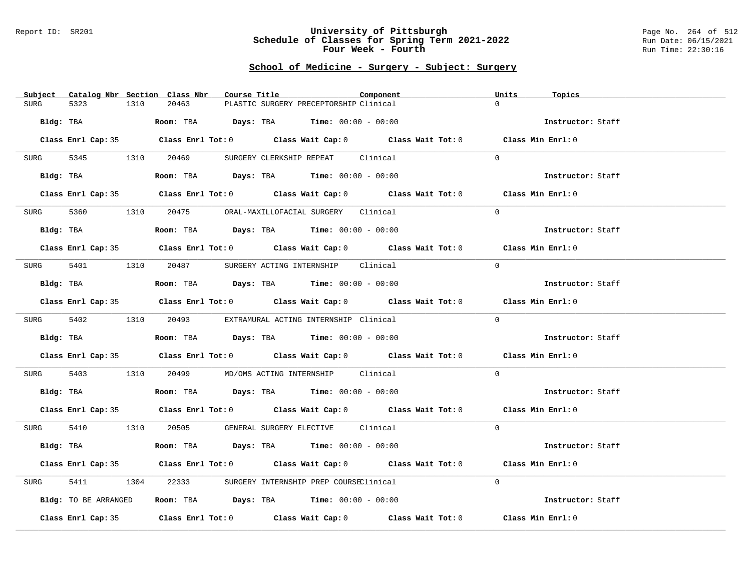#### Report ID: SR201 **University of Pittsburgh** Page No. 264 of 512 **Schedule of Classes for Spring Term 2021-2022** Run Date: 06/15/2021 **Four Week - Fourth Rundall Run Time:** 22:30:16

# **School of Medicine - Surgery - Subject: Surgery**

| Subject Catalog Nbr Section Class Nbr | Course Title<br>Component                                                                  | Units<br>Topics   |
|---------------------------------------|--------------------------------------------------------------------------------------------|-------------------|
| <b>SURG</b><br>5323<br>1310           | 20463<br>PLASTIC SURGERY PRECEPTORSHIP Clinical                                            | $\Omega$          |
|                                       |                                                                                            |                   |
| Bldg: TBA                             | Room: TBA $Days:$ TBA $Time: 00:00 - 00:00$                                                | Instructor: Staff |
|                                       |                                                                                            |                   |
|                                       | Class Enrl Cap: 35 Class Enrl Tot: 0 Class Wait Cap: 0 Class Wait Tot: 0 Class Min Enrl: 0 |                   |
|                                       |                                                                                            |                   |
|                                       | SURG 5345 1310 20469 SURGERY CLERKSHIP REPEAT Clinical                                     | $\Omega$          |
|                                       |                                                                                            |                   |
|                                       | Bldg: TBA                   Room: TBA         Days: TBA        Time: 00:00 - 00:00         | Instructor: Staff |
|                                       |                                                                                            |                   |
|                                       | Class Enrl Cap: 35 Class Enrl Tot: 0 Class Wait Cap: 0 Class Wait Tot: 0 Class Min Enrl: 0 |                   |
| SURG                                  | 5360 1310 20475 ORAL-MAXILLOFACIAL SURGERY Clinical                                        | $\Omega$          |
|                                       |                                                                                            |                   |
| Bldg: TBA                             | Room: TBA $Days:$ TBA $Time: 00:00 - 00:00$                                                | Instructor: Staff |
|                                       |                                                                                            |                   |
|                                       | Class Enrl Cap: 35 Class Enrl Tot: 0 Class Wait Cap: 0 Class Wait Tot: 0 Class Min Enrl: 0 |                   |
|                                       |                                                                                            |                   |
|                                       | SURG 5401 1310 20487 SURGERY ACTING INTERNSHIP Clinical                                    | $\Omega$          |
|                                       |                                                                                            |                   |
| Bldg: TBA                             | Room: TBA $Days: TBA$ Time: $00:00 - 00:00$                                                | Instructor: Staff |
|                                       |                                                                                            |                   |
|                                       | Class Enrl Cap: 35 Class Enrl Tot: 0 Class Wait Cap: 0 Class Wait Tot: 0 Class Min Enrl: 0 |                   |
|                                       |                                                                                            |                   |
|                                       | SURG 5402 1310 20493 EXTRAMURAL ACTING INTERNSHIP Clinical                                 | $\Omega$          |
|                                       |                                                                                            |                   |
| Bldg: TBA                             | Room: TBA $Days:$ TBA $Time: 00:00 - 00:00$                                                | Instructor: Staff |
|                                       | Class Enrl Cap: 35 Class Enrl Tot: 0 Class Wait Cap: 0 Class Wait Tot: 0 Class Min Enrl: 0 |                   |
|                                       |                                                                                            |                   |
|                                       | SURG 5403 1310 20499 MD/OMS ACTING INTERNSHIP Clinical                                     | $\overline{0}$    |
|                                       |                                                                                            |                   |
|                                       | Bldg: TBA                    Room: TBA         Days: TBA         Time: $00:00 - 00:00$     | Instructor: Staff |
|                                       |                                                                                            |                   |
|                                       | Class Enrl Cap: 35 Class Enrl Tot: 0 Class Wait Cap: 0 Class Wait Tot: 0 Class Min Enrl: 0 |                   |
|                                       |                                                                                            |                   |
|                                       | SURG 5410 1310 20505 GENERAL SURGERY ELECTIVE Clinical                                     | $\Omega$          |
|                                       |                                                                                            |                   |
| Bldg: TBA                             | Room: TBA $Days:$ TBA $Time: 00:00 - 00:00$                                                | Instructor: Staff |
|                                       |                                                                                            |                   |
|                                       | Class Enrl Cap: 35 Class Enrl Tot: 0 Class Wait Cap: 0 Class Wait Tot: 0 Class Min Enrl: 0 |                   |
|                                       |                                                                                            |                   |
| 5411<br>SURG                          | 1304 22333 SURGERY INTERNSHIP PREP COURSEClinical                                          | $\Omega$          |
|                                       |                                                                                            |                   |
| Bldg: TO BE ARRANGED                  | Room: TBA $\rule{1em}{0.15mm}$ Days: TBA $\rule{1.5mm}{0.15mm}$ Time: $00:00 - 00:00$      | Instructor: Staff |
|                                       | Class Enrl Cap: 35 Class Enrl Tot: 0 Class Wait Cap: 0 Class Wait Tot: 0                   | Class Min Enrl: 0 |
|                                       |                                                                                            |                   |
|                                       |                                                                                            |                   |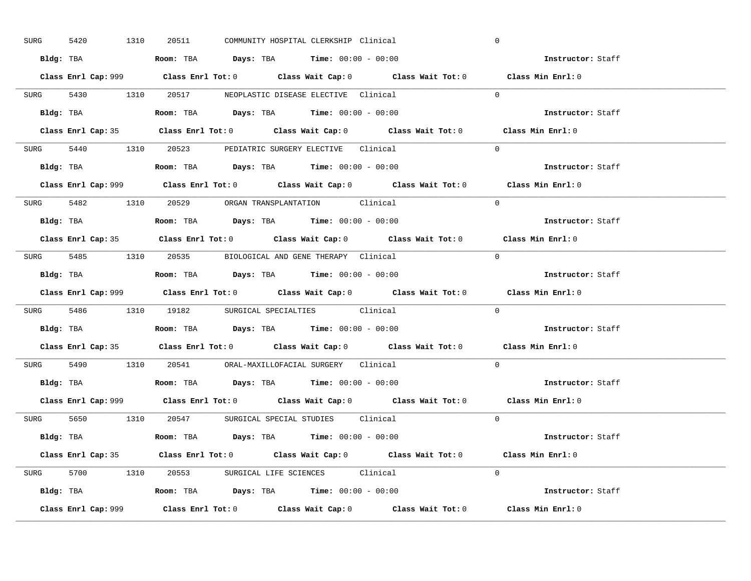| 5420<br>SURG                                              | 1310 | 20511                                                                                  | COMMUNITY HOSPITAL CLERKSHIP Clinical |                                                                                             | $\mathbf 0$       |  |
|-----------------------------------------------------------|------|----------------------------------------------------------------------------------------|---------------------------------------|---------------------------------------------------------------------------------------------|-------------------|--|
|                                                           |      | Bldg: TBA                      Room: TBA         Days: TBA         Time: 00:00 - 00:00 |                                       |                                                                                             | Instructor: Staff |  |
|                                                           |      |                                                                                        |                                       | Class Enrl Cap: 999 Class Enrl Tot: 0 Class Wait Cap: 0 Class Wait Tot: 0 Class Min Enrl: 0 |                   |  |
| SURG 5430 1310 20517 NEOPLASTIC DISEASE ELECTIVE Clinical |      |                                                                                        |                                       |                                                                                             | $\Omega$          |  |
|                                                           |      |                                                                                        |                                       |                                                                                             | Instructor: Staff |  |
|                                                           |      |                                                                                        |                                       | Class Enrl Cap: 35 Class Enrl Tot: 0 Class Wait Cap: 0 Class Wait Tot: 0 Class Min Enrl: 0  |                   |  |
| SURG 5440 1310 20523 PEDIATRIC SURGERY ELECTIVE Clinical  |      |                                                                                        |                                       |                                                                                             | $\Omega$          |  |
|                                                           |      | <b>Bldg:</b> TBA <b>ROOM:</b> TBA <b>Days:</b> TBA <b>Time:</b> $00:00 - 00:00$        |                                       |                                                                                             | Instructor: Staff |  |
|                                                           |      |                                                                                        |                                       | Class Enrl Cap: 999 Class Enrl Tot: 0 Class Wait Cap: 0 Class Wait Tot: 0 Class Min Enrl: 0 |                   |  |
| SURG 5482 1310 20529 ORGAN TRANSPLANTATION Clinical       |      |                                                                                        |                                       |                                                                                             | $\Omega$          |  |
|                                                           |      | Bldg: TBA                   Room: TBA         Days: TBA         Time: $00:00 - 00:00$  |                                       |                                                                                             | Instructor: Staff |  |
|                                                           |      |                                                                                        |                                       | Class Enrl Cap: 35 Class Enrl Tot: 0 Class Wait Cap: 0 Class Wait Tot: 0 Class Min Enrl: 0  |                   |  |
| SURG 5485 1310 20535 BIOLOGICAL AND GENE THERAPY Clinical |      |                                                                                        |                                       |                                                                                             | $\Omega$          |  |
|                                                           |      | Bldg: TBA                   Room: TBA         Days: TBA         Time: $00:00 - 00:00$  |                                       |                                                                                             | Instructor: Staff |  |
|                                                           |      |                                                                                        |                                       |                                                                                             |                   |  |
|                                                           |      |                                                                                        |                                       | Class Enrl Cap: 999 Class Enrl Tot: 0 Class Wait Cap: 0 Class Wait Tot: 0                   | Class Min Enrl: 0 |  |
| SURG 5486 1310 19182 SURGICAL SPECIALTIES Clinical        |      |                                                                                        |                                       |                                                                                             | $\Omega$          |  |
| Bldg: TBA                                                 |      | <b>Room:</b> TBA <b>Days:</b> TBA <b>Time:</b> 00:00 - 00:00                           |                                       |                                                                                             | Instructor: Staff |  |
|                                                           |      |                                                                                        |                                       | Class Enrl Cap: 35 Class Enrl Tot: 0 Class Wait Cap: 0 Class Wait Tot: 0 Class Min Enrl: 0  |                   |  |
| SURG 5490 1310 20541 ORAL-MAXILLOFACIAL SURGERY Clinical  |      |                                                                                        |                                       |                                                                                             | $\Omega$          |  |
|                                                           |      | Bldg: TBA                   Room: TBA         Days: TBA         Time: $00:00 - 00:00$  |                                       |                                                                                             | Instructor: Staff |  |
|                                                           |      |                                                                                        |                                       | Class Enrl Cap: 999 Class Enrl Tot: 0 Class Wait Cap: 0 Class Wait Tot: 0 Class Min Enrl: 0 |                   |  |
| SURG 5650 1310 20547 SURGICAL SPECIAL STUDIES Clinical    |      |                                                                                        |                                       |                                                                                             | $\Omega$          |  |
|                                                           |      | Bldg: TBA                    Room: TBA         Days: TBA         Time: 00:00 - 00:00   |                                       |                                                                                             | Instructor: Staff |  |
|                                                           |      |                                                                                        |                                       | Class Enrl Cap: 35 Class Enrl Tot: 0 Class Wait Cap: 0 Class Wait Tot: 0 Class Min Enrl: 0  |                   |  |
| SURG 5700 1310 20553 SURGICAL LIFE SCIENCES Clinical      |      |                                                                                        |                                       |                                                                                             | $\Omega$          |  |
|                                                           |      | Bldg: TBA                   Room: TBA         Days: TBA         Time: $00:00 - 00:00$  |                                       |                                                                                             | Instructor: Staff |  |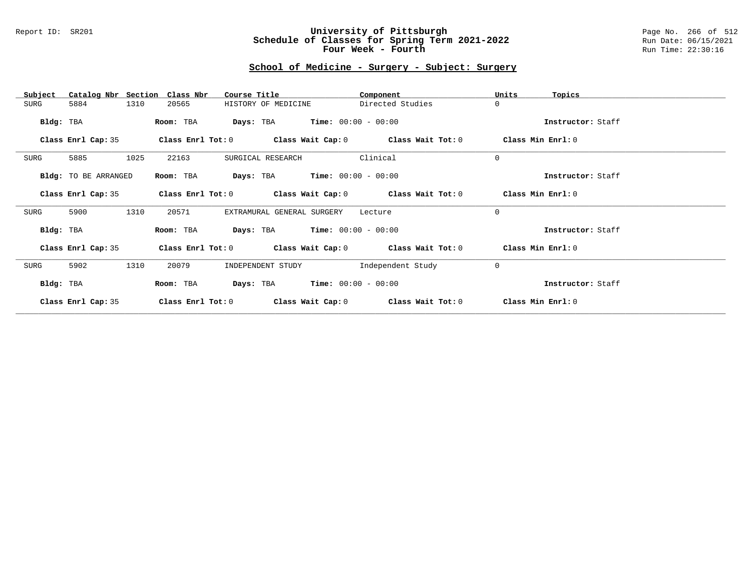### Report ID: SR201 **University of Pittsburgh** Page No. 266 of 512 **Schedule of Classes for Spring Term 2021-2022** Run Date: 06/15/2021 **Four Week - Fourth Rundall Run Time:** 22:30:16

### **School of Medicine - Surgery - Subject: Surgery**

| Catalog Nbr Section<br>Subject | Class Nbr<br>Course Title                                        | Component         | Units<br>Topics   |
|--------------------------------|------------------------------------------------------------------|-------------------|-------------------|
| 1310<br>5884<br>SURG           | 20565<br>HISTORY OF MEDICINE                                     | Directed Studies  | $\Omega$          |
| Bldg: TBA                      | $\texttt{DayS:}$ TBA $\texttt{Time:}$ 00:00 - 00:00<br>Room: TBA |                   | Instructor: Staff |
| Class Enrl Cap: 35             | Class Enrl Tot: $0$ Class Wait Cap: $0$ Class Wait Tot: $0$      |                   | Class Min Enrl: 0 |
| 5885<br>1025<br>SURG           | 22163<br>SURGICAL RESEARCH                                       | Clinical          | $\Omega$          |
| Bldg: TO BE ARRANGED           | <b>Days:</b> TBA <b>Time:</b> $00:00 - 00:00$<br>Room: TBA       |                   | Instructor: Staff |
| Class Enrl Cap: 35             | Class Enrl Tot: $0$ Class Wait Cap: $0$ Class Wait Tot: $0$      |                   | Class Min Enrl: 0 |
| 5900<br>1310<br>SURG           | 20571<br>EXTRAMURAL GENERAL SURGERY                              | Lecture           | $\Omega$          |
| Bldg: TBA                      | <b>Days:</b> TBA <b>Time:</b> $00:00 - 00:00$<br>Room: TBA       |                   | Instructor: Staff |
| Class Enrl Cap: 35             | Class Enrl Tot: $0$ Class Wait Cap: $0$ Class Wait Tot: $0$      |                   | Class Min Enrl: 0 |
| 5902<br>1310<br>SURG           | 20079<br>INDEPENDENT STUDY                                       | Independent Study | $\mathbf{0}$      |
| Bldg: TBA                      | $Time: 00:00 - 00:00$<br>Room: TBA<br>Days: TBA                  |                   | Instructor: Staff |
| Class Enrl Cap: 35             | Class Enrl Tot: 0<br>Class Wait Cap: 0                           | Class Wait Tot: 0 | Class Min Enrl: 0 |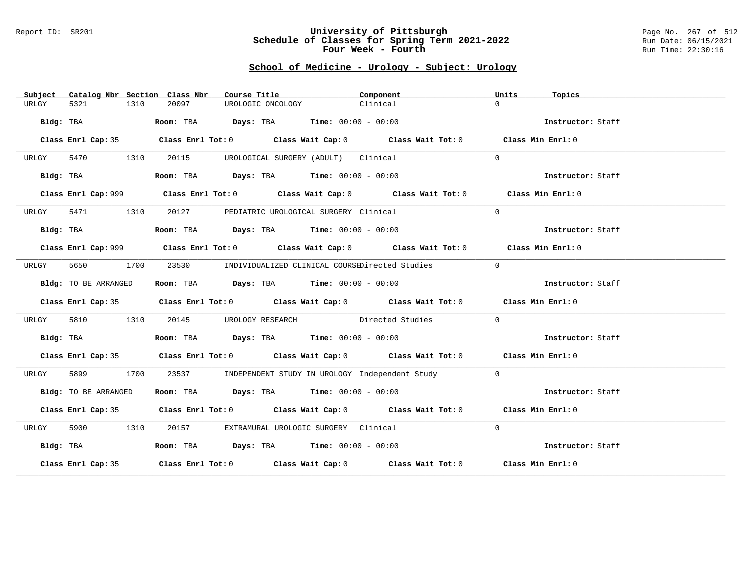#### Report ID: SR201 **University of Pittsburgh** Page No. 267 of 512 **Schedule of Classes for Spring Term 2021-2022** Run Date: 06/15/2021 **Four Week - Fourth Rundall Run Time:** 22:30:16

# **School of Medicine - Urology - Subject: Urology**

| Subject   |                      |      | Catalog Nbr Section Class Nbr | Course Title                                                                           | Component                                                                                   | Units        | Topics            |
|-----------|----------------------|------|-------------------------------|----------------------------------------------------------------------------------------|---------------------------------------------------------------------------------------------|--------------|-------------------|
| URLGY     | 5321                 | 1310 | 20097                         | UROLOGIC ONCOLOGY                                                                      | Clinical                                                                                    | $\Omega$     |                   |
|           | Bldg: TBA            |      |                               | Room: TBA $Days:$ TBA $Time: 00:00 - 00:00$                                            |                                                                                             |              | Instructor: Staff |
|           |                      |      |                               |                                                                                        | Class Enrl Cap: 35 Class Enrl Tot: 0 Class Wait Cap: 0 Class Wait Tot: 0 Class Min Enrl: 0  |              |                   |
| URLGY     | 5470 1310            |      | 20115                         | UROLOGICAL SURGERY (ADULT) Clinical                                                    |                                                                                             | $\Omega$     |                   |
|           | Bldg: TBA            |      |                               | Room: TBA $Days:$ TBA $Time: 00:00 - 00:00$                                            |                                                                                             |              | Instructor: Staff |
|           |                      |      |                               |                                                                                        | Class Enrl Cap: 999 Class Enrl Tot: 0 Class Wait Cap: 0 Class Wait Tot: 0 Class Min Enrl: 0 |              |                   |
| URLGY     | 5471                 | 1310 |                               | 20127 PEDIATRIC UROLOGICAL SURGERY Clinical                                            |                                                                                             | $\Omega$     |                   |
| Bldg: TBA |                      |      |                               | Room: TBA $\rule{1em}{0.15mm}$ Days: TBA $\rule{1.5mm}{0.15mm}$ Time: $00:00 - 00:00$  |                                                                                             |              | Instructor: Staff |
|           |                      |      |                               |                                                                                        | Class Enrl Cap: 999 Class Enrl Tot: 0 Class Wait Cap: 0 Class Wait Tot: 0 Class Min Enrl: 0 |              |                   |
| URLGY     | 5650                 | 1700 |                               |                                                                                        | 23530 INDIVIDUALIZED CLINICAL COURSEDirected Studies                                        | $\mathbf{0}$ |                   |
|           | Bldg: TO BE ARRANGED |      |                               | Room: TBA $Days:$ TBA $Time: 00:00 - 00:00$                                            |                                                                                             |              | Instructor: Staff |
|           |                      |      |                               |                                                                                        | Class Enrl Cap: 35 Class Enrl Tot: 0 Class Wait Cap: 0 Class Wait Tot: 0 Class Min Enrl: 0  |              |                   |
| URLGY     | 5810                 | 1310 | 20145                         |                                                                                        | UROLOGY RESEARCH Directed Studies                                                           | $\Omega$     |                   |
|           | Bldg: TBA            |      |                               | Room: TBA $\rule{1em}{0.15mm}$ Days: TBA $\rule{1.15mm}{0.15mm}$ Time: $00:00 - 00:00$ |                                                                                             |              | Instructor: Staff |
|           |                      |      |                               |                                                                                        | Class Enrl Cap: 35 Class Enrl Tot: 0 Class Wait Cap: 0 Class Wait Tot: 0 Class Min Enrl: 0  |              |                   |
| URLGY     | 5899                 | 1700 | 23537                         |                                                                                        | INDEPENDENT STUDY IN UROLOGY Independent Study                                              | $\Omega$     |                   |
|           | Bldg: TO BE ARRANGED |      |                               | Room: TBA $Days:$ TBA $Time: 00:00 - 00:00$                                            |                                                                                             |              | Instructor: Staff |
|           |                      |      |                               |                                                                                        | Class Enrl Cap: 35 Class Enrl Tot: 0 Class Wait Cap: 0 Class Wait Tot: 0 Class Min Enrl: 0  |              |                   |
| URLGY     | 5900 1310            |      |                               | 20157 EXTRAMURAL UROLOGIC SURGERY Clinical                                             |                                                                                             | $\Omega$     |                   |
| Bldg: TBA |                      |      |                               | Room: TBA $Days:$ TBA $Time: 00:00 - 00:00$                                            |                                                                                             |              | Instructor: Staff |
|           |                      |      |                               |                                                                                        | Class Enrl Cap: 35 Class Enrl Tot: 0 Class Wait Cap: 0 Class Wait Tot: 0 Class Min Enrl: 0  |              |                   |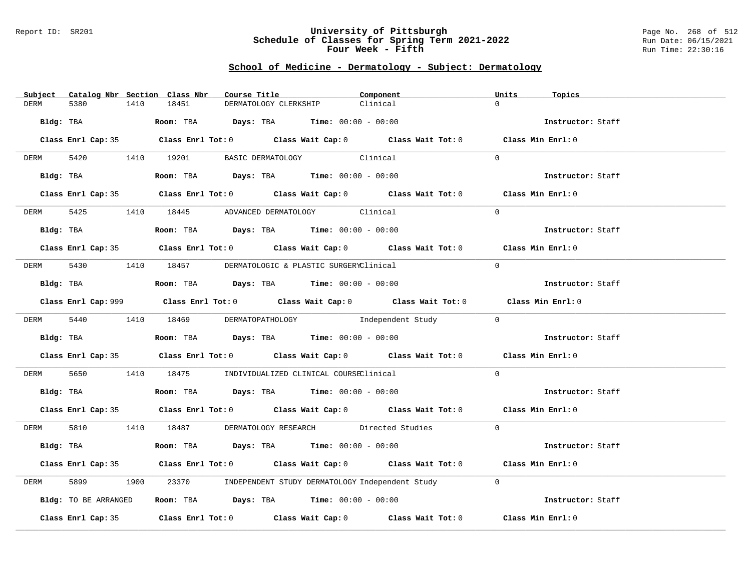#### Report ID: SR201 **University of Pittsburgh** Page No. 268 of 512 **Schedule of Classes for Spring Term 2021-2022** Run Date: 06/15/2021 **Four Week - Fifth Run Time: 22:30:16**

# **School of Medicine - Dermatology - Subject: Dermatology**

| Subject Catalog Nbr Section Class Nbr | Course Title                                                                                   | Component | Units<br>Topics   |
|---------------------------------------|------------------------------------------------------------------------------------------------|-----------|-------------------|
| 5380<br>1410<br>DERM                  | 18451<br>DERMATOLOGY CLERKSHIP                                                                 | Clinical  | $\Omega$          |
| Bldg: TBA                             | <b>Room:</b> TBA $\qquad \qquad$ <b>Days:</b> TBA $\qquad \qquad$ <b>Time:</b> $00:00 - 00:00$ |           | Instructor: Staff |
|                                       | Class Enrl Cap: 35 Class Enrl Tot: 0 Class Wait Cap: 0 Class Wait Tot: 0 Class Min Enrl: 0     |           |                   |
| 5420 1410 19201<br><b>DERM</b>        | BASIC DERMATOLOGY Clinical                                                                     |           | $\Omega$          |
| Bldg: TBA                             | Room: TBA $Days:$ TBA $Time: 00:00 - 00:00$                                                    |           | Instructor: Staff |
|                                       | Class Enrl Cap: 35 Class Enrl Tot: 0 Class Wait Cap: 0 Class Wait Tot: 0 Class Min Enrl: 0     |           |                   |
|                                       | DERM 5425 1410 18445 ADVANCED DERMATOLOGY Clinical                                             |           | $\Omega$          |
| Bldg: TBA                             | Room: TBA $Days:$ TBA $Time: 00:00 - 00:00$                                                    |           | Instructor: Staff |
|                                       | Class Enrl Cap: 35 Class Enrl Tot: 0 Class Wait Cap: 0 Class Wait Tot: 0 Class Min Enrl: 0     |           |                   |
|                                       | DERM 5430 1410 18457 DERMATOLOGIC & PLASTIC SURGERYClinical                                    |           | $\Omega$          |
| Bldg: TBA                             | Room: TBA $Days:$ TBA $Time:$ $00:00 - 00:00$                                                  |           | Instructor: Staff |
|                                       | Class Enrl Cap: 999 Class Enrl Tot: 0 Class Wait Cap: 0 Class Wait Tot: 0 Class Min Enrl: 0    |           |                   |
|                                       | DERM 5440 1410 18469 DERMATOPATHOLOGY Independent Study 0                                      |           |                   |
| Bldg: TBA                             | Room: TBA $\rule{1em}{0.15mm}$ Days: TBA Time: $00:00 - 00:00$                                 |           | Instructor: Staff |
|                                       | Class Enrl Cap: 35 Class Enrl Tot: 0 Class Wait Cap: 0 Class Wait Tot: 0 Class Min Enrl: 0     |           |                   |
| 5650<br>DERM                          | 1410 18475 INDIVIDUALIZED CLINICAL COURSEClinical                                              |           | $\Omega$          |
|                                       | Bldg: TBA                    Room: TBA         Days: TBA         Time: $00:00 - 00:00$         |           | Instructor: Staff |
|                                       | Class Enrl Cap: 35 Class Enrl Tot: 0 Class Wait Cap: 0 Class Wait Tot: 0 Class Min Enrl: 0     |           |                   |
|                                       | DERM 5810 1410 18487 DERMATOLOGY RESEARCH Directed Studies                                     |           | $\Omega$          |
| Bldg: TBA                             | Room: TBA $Days:$ TBA $Time: 00:00 - 00:00$                                                    |           | Instructor: Staff |
|                                       | Class Enrl Cap: 35 Class Enrl Tot: 0 Class Wait Cap: 0 Class Wait Tot: 0 Class Min Enrl: 0     |           |                   |
| 5899<br>1900<br>DERM                  | 23370 INDEPENDENT STUDY DERMATOLOGY Independent Study                                          |           | $\Omega$          |
| Bldg: TO BE ARRANGED                  | Room: TBA $Days: TBA$ Time: $00:00 - 00:00$                                                    |           | Instructor: Staff |
|                                       | Class Enrl Cap: 35 Class Enrl Tot: 0 Class Wait Cap: 0 Class Wait Tot: 0                       |           | Class Min Enrl: 0 |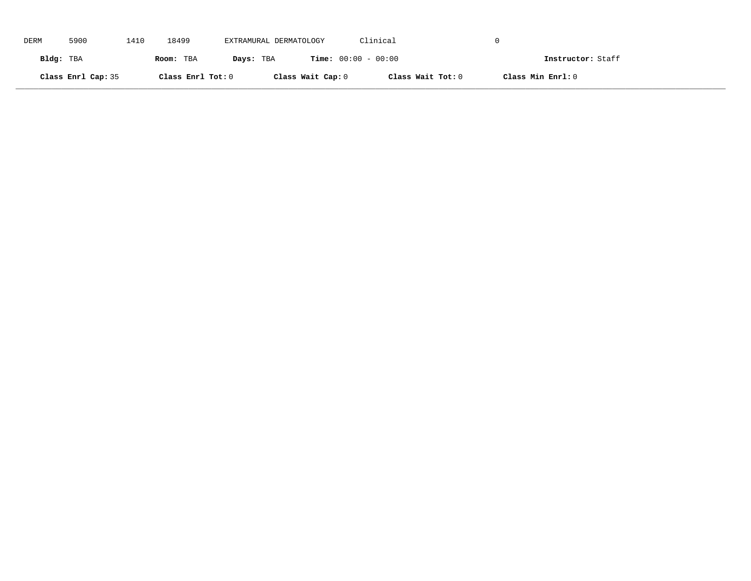| DERM      | 5900               | 1410 | 18499             | EXTRAMURAL DERMATOLOGY | Clinical                     |                   |  |
|-----------|--------------------|------|-------------------|------------------------|------------------------------|-------------------|--|
| Bldg: TBA |                    |      | Room: TBA         | Days: TBA              | <b>Time:</b> $00:00 - 00:00$ | Instructor: Staff |  |
|           | Class Enrl Cap: 35 |      | Class Enrl Tot: 0 | Class Wait Cap: 0      | Class Wait Tot: 0            | Class Min Enrl: 0 |  |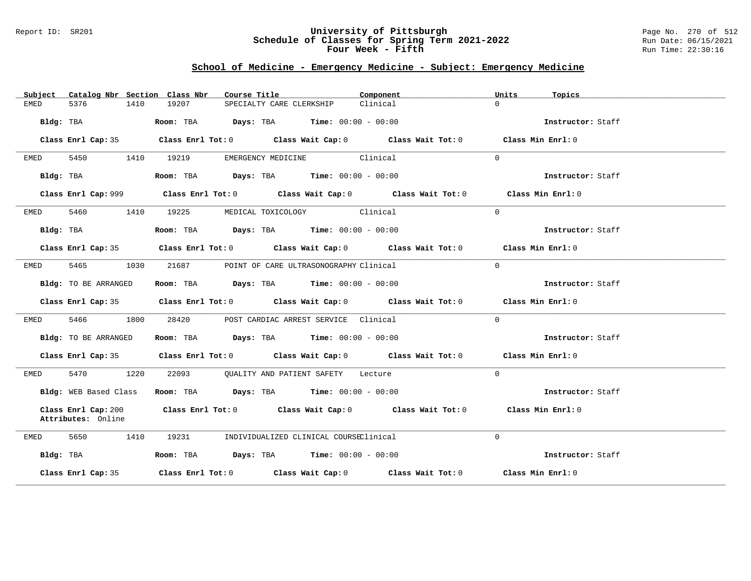### Report ID: SR201 **University of Pittsburgh** Page No. 270 of 512 **Schedule of Classes for Spring Term 2021-2022** Run Date: 06/15/2021 **Four Week - Fifth Run Time: 22:30:16**

# **School of Medicine - Emergency Medicine - Subject: Emergency Medicine**

| Catalog Nbr Section Class Nbr<br>Subject  | Course Title <b>Sourse In the Search</b>                                                    | Component<br>Units   | Topics            |
|-------------------------------------------|---------------------------------------------------------------------------------------------|----------------------|-------------------|
| 5376<br>1410<br>EMED                      | 19207<br>SPECIALTY CARE CLERKSHIP                                                           | $\Omega$<br>Clinical |                   |
| Bldg: TBA                                 | Room: TBA $\rule{1em}{0.15mm}$ Days: TBA Time: $00:00 - 00:00$                              |                      | Instructor: Staff |
|                                           | Class Enrl Cap: 35 Class Enrl Tot: 0 Class Wait Cap: 0 Class Wait Tot: 0 Class Min Enrl: 0  |                      |                   |
| 5450<br>EMED                              | EMERGENCY MEDICINE Clinical<br>1410 19219                                                   | $\Omega$             |                   |
| Bldg: TBA                                 | Room: TBA $Days:$ TBA $Time: 00:00 - 00:00$                                                 |                      | Instructor: Staff |
|                                           | Class Enrl Cap: 999 Class Enrl Tot: 0 Class Wait Cap: 0 Class Wait Tot: 0 Class Min Enrl: 0 |                      |                   |
| 5460 1410<br>EMED                         | 19225<br>MEDICAL TOXICOLOGY Clinical                                                        | $\Omega$             |                   |
| Bldg: TBA                                 | Room: TBA $Days:$ TBA $Time: 00:00 - 00:00$                                                 |                      | Instructor: Staff |
|                                           | Class Enrl Cap: 35 Class Enrl Tot: 0 Class Wait Cap: 0 Class Wait Tot: 0 Class Min Enrl: 0  |                      |                   |
| 5465 346<br>1030<br>EMED                  | 21687<br>POINT OF CARE ULTRASONOGRAPHY Clinical                                             | $\Omega$             |                   |
| Bldg: TO BE ARRANGED                      | Room: TBA $Days:$ TBA $Time: 00:00 - 00:00$                                                 |                      | Instructor: Staff |
|                                           | Class Enrl Cap: 35 Class Enrl Tot: 0 Class Wait Cap: 0 Class Wait Tot: 0 Class Min Enrl: 0  |                      |                   |
| 5466 1800<br>EMED                         | 28420 POST CARDIAC ARREST SERVICE Clinical                                                  | $\Omega$             |                   |
| Bldg: TO BE ARRANGED                      | Room: TBA $\rule{1em}{0.15mm}$ Days: TBA $\rule{1.15mm}]{0.15mm}$ Time: $0.000 - 0.0000$    |                      | Instructor: Staff |
|                                           | Class Enrl Cap: 35 Class Enrl Tot: 0 Class Wait Cap: 0 Class Wait Tot: 0 Class Min Enrl: 0  |                      |                   |
| 5470 1220<br>EMED                         | 22093 QUALITY AND PATIENT SAFETY Lecture                                                    | $\Omega$             |                   |
| Bldg: WEB Based Class                     | Room: TBA $Days:$ TBA $Time: 00:00 - 00:00$                                                 |                      | Instructor: Staff |
| Class Enrl Cap: 200<br>Attributes: Online | Class Enrl Tot: $0$ Class Wait Cap: $0$ Class Wait Tot: $0$                                 |                      | Class Min Enrl: 0 |
| 5650<br>1410<br>EMED                      | 19231<br>INDIVIDUALIZED CLINICAL COURSEClinical                                             | $\Omega$             |                   |
| Bldg: TBA                                 | Room: TBA $\rule{1em}{0.15mm}$ Days: TBA Time: $00:00 - 00:00$                              |                      | Instructor: Staff |
| Class Enrl Cap: 35                        | Class Enrl Tot: $0$ Class Wait Cap: $0$ Class Wait Tot: $0$ Class Min Enrl: $0$             |                      |                   |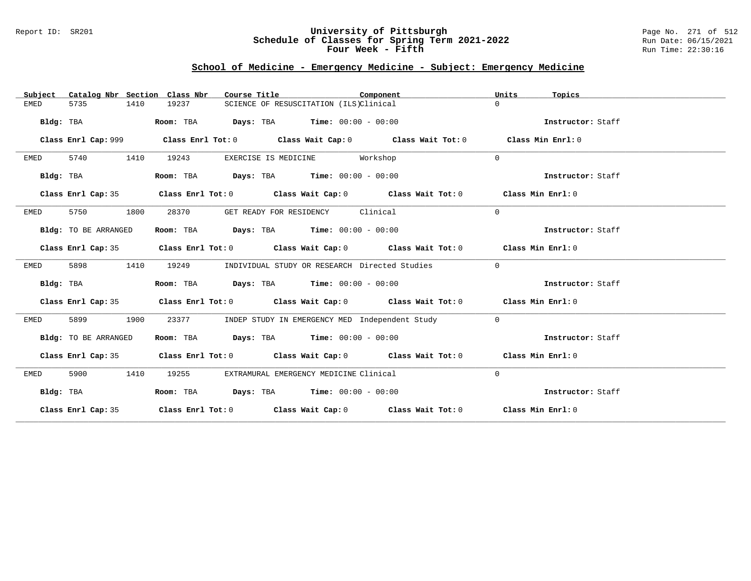### Report ID: SR201 **University of Pittsburgh** Page No. 271 of 512 **Schedule of Classes for Spring Term 2021-2022** Run Date: 06/15/2021 **Four Week - Fifth Run Time: 22:30:16**

# **School of Medicine - Emergency Medicine - Subject: Emergency Medicine**

| Catalog Nbr Section Class Nbr<br>Subject | Course Title                                                                               | Component                                      | Units<br>Topics   |
|------------------------------------------|--------------------------------------------------------------------------------------------|------------------------------------------------|-------------------|
| <b>EMED</b><br>5735<br>1410              | 19237<br>SCIENCE OF RESUSCITATION (ILS)Clinical                                            |                                                | $\Omega$          |
| Bldg: TBA                                | $\texttt{Days:}$ TBA Time: $00:00 - 00:00$<br>Room: TBA                                    |                                                | Instructor: Staff |
| Class Enrl Cap: 999                      | Class Enrl Tot: $0$ Class Wait Cap: $0$ Class Wait Tot: $0$                                |                                                | Class Min Enrl: 0 |
| 5740<br>1410<br>EMED                     | 19243<br>EXERCISE IS MEDICINE Workshop                                                     |                                                | $\Omega$          |
| Bldg: TBA                                | Room: TBA $\rule{1em}{0.15mm}$ Days: TBA $\rule{1.15mm}]{0.15mm}$ Time: $0.000 - 0.0000$   |                                                | Instructor: Staff |
| Class Enrl Cap: 35                       | Class Enrl Tot: $0$ Class Wait Cap: $0$ Class Wait Tot: $0$ Class Min Enrl: $0$            |                                                |                   |
| 5750<br>1800<br>EMED                     | 28370<br>GET READY FOR RESIDENCY Clinical                                                  |                                                | $\Omega$          |
| Bldg: TO BE ARRANGED                     | Room: TBA $Days:$ TBA $Time: 00:00 - 00:00$                                                |                                                | Instructor: Staff |
|                                          | Class Enrl Cap: 35 Class Enrl Tot: 0 Class Wait Cap: 0 Class Wait Tot: 0 Class Min Enrl: 0 |                                                |                   |
| 5898<br>1410<br>EMED                     | 19249<br>INDIVIDUAL STUDY OR RESEARCH Directed Studies                                     |                                                | $\overline{0}$    |
| Bldg: TBA                                | Room: TBA $Days:$ TBA $Time: 00:00 - 00:00$                                                |                                                | Instructor: Staff |
|                                          | Class Enrl Cap: 35 Class Enrl Tot: 0 Class Wait Cap: 0 Class Wait Tot: 0 Class Min Enrl: 0 |                                                |                   |
| 5899<br>1900<br>EMED                     | 23377                                                                                      | INDEP STUDY IN EMERGENCY MED Independent Study | $\mathbf 0$       |
| Bldg: TO BE ARRANGED                     | Room: TBA $Days:$ TBA $Time: 00:00 - 00:00$                                                |                                                | Instructor: Staff |
|                                          | Class Enrl Cap: 35 Class Enrl Tot: 0 Class Wait Cap: 0 Class Wait Tot: 0 Class Min Enrl: 0 |                                                |                   |
| 5900<br>1410<br>EMED                     | 19255<br>EXTRAMURAL EMERGENCY MEDICINE Clinical                                            |                                                | $\mathbf{0}$      |
| Bldg: TBA                                | Room: TBA $Days:$ TBA $Time: 00:00 - 00:00$                                                |                                                | Instructor: Staff |
|                                          | Class Enrl Cap: 35 Class Enrl Tot: 0 Class Wait Cap: 0 Class Wait Tot: 0 Class Min Enrl: 0 |                                                |                   |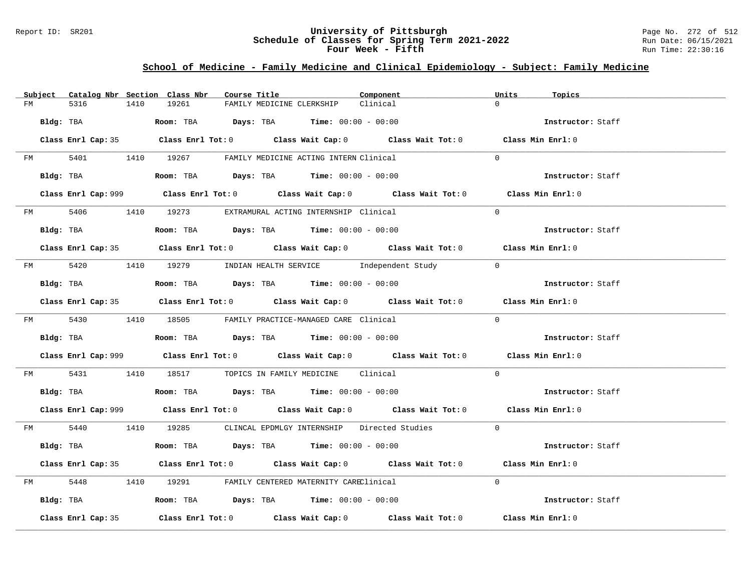### Report ID: SR201 **University of Pittsburgh** Page No. 272 of 512 **Schedule of Classes for Spring Term 2021-2022** Run Date: 06/15/2021 **Four Week - Fifth Run Time: 22:30:16**

# **School of Medicine - Family Medicine and Clinical Epidemiology - Subject: Family Medicine**

|    | Subject Catalog Nbr Section Class Nbr | Course Title                                                                                | Component | Units<br>Topics   |
|----|---------------------------------------|---------------------------------------------------------------------------------------------|-----------|-------------------|
| FM | 5316<br>1410                          | 19261<br>FAMILY MEDICINE CLERKSHIP                                                          | Clinical  | $\Omega$          |
|    | Bldg: TBA                             | Room: TBA $Days:$ TBA $Time: 00:00 - 00:00$                                                 |           | Instructor: Staff |
|    |                                       | Class Enrl Cap: 35 Class Enrl Tot: 0 Class Wait Cap: 0 Class Wait Tot: 0 Class Min Enrl: 0  |           |                   |
|    |                                       | FM 5401 1410 19267 FAMILY MEDICINE ACTING INTERN Clinical                                   |           | $\Omega$          |
|    | Bldg: TBA                             | Room: TBA $Days:$ TBA $Time: 00:00 - 00:00$                                                 |           | Instructor: Staff |
|    |                                       | Class Enrl Cap: 999 Class Enrl Tot: 0 Class Wait Cap: 0 Class Wait Tot: 0 Class Min Enrl: 0 |           |                   |
|    |                                       | FM 5406 1410 19273 EXTRAMURAL ACTING INTERNSHIP Clinical                                    |           | $\Omega$          |
|    | Bldg: TBA                             | Room: TBA $Days:$ TBA $Time: 00:00 - 00:00$                                                 |           | Instructor: Staff |
|    |                                       | Class Enrl Cap: 35 Class Enrl Tot: 0 Class Wait Cap: 0 Class Wait Tot: 0 Class Min Enrl: 0  |           |                   |
|    |                                       | FM 5420 1410 19279 INDIAN HEALTH SERVICE Independent Study 0                                |           |                   |
|    | Bldg: TBA                             | Room: TBA $Days:$ TBA Time: $00:00 - 00:00$                                                 |           | Instructor: Staff |
|    |                                       | Class Enrl Cap: 35 Class Enrl Tot: 0 Class Wait Cap: 0 Class Wait Tot: 0 Class Min Enrl: 0  |           |                   |
|    |                                       | FM 5430 1410 18505 FAMILY PRACTICE-MANAGED CARE Clinical                                    |           | $\Omega$          |
|    |                                       | <b>Bldg:</b> TBA <b>Room:</b> TBA <b>Days:</b> TBA <b>Time:</b> $00:00 - 00:00$             |           | Instructor: Staff |
|    |                                       | Class Enrl Cap: 999 Class Enrl Tot: 0 Class Wait Cap: 0 Class Wait Tot: 0 Class Min Enrl: 0 |           |                   |
|    | FM 5431                               | 1410 18517 TOPICS IN FAMILY MEDICINE Clinical                                               |           | $\Omega$          |
|    |                                       | Bldg: TBA                      Room: TBA         Days: TBA         Time: 00:00 - 00:00      |           | Instructor: Staff |
|    |                                       | Class Enrl Cap: 999 Class Enrl Tot: 0 Class Wait Cap: 0 Class Wait Tot: 0 Class Min Enrl: 0 |           |                   |
|    |                                       | FM 5440 1410 19285 CLINCAL EPDMLGY INTERNSHIP Directed Studies 0                            |           |                   |
|    | Bldg: TBA                             | Room: TBA $Days:$ TBA $Time: 00:00 - 00:00$                                                 |           | Instructor: Staff |
|    |                                       | Class Enrl Cap: 35 Class Enrl Tot: 0 Class Wait Cap: 0 Class Wait Tot: 0 Class Min Enrl: 0  |           |                   |
|    |                                       | FM 5448 1410 19291 FAMILY CENTERED MATERNITY CAREClinical                                   |           | $\Omega$          |
|    |                                       | Bldg: TBA                  Room: TBA        Days: TBA        Time: 00:00 - 00:00            |           | Instructor: Staff |
|    | Class Enrl Cap: 35                    | Class Enrl Tot: $0$ Class Wait Cap: $0$ Class Wait Tot: $0$ Class Min Enrl: $0$             |           |                   |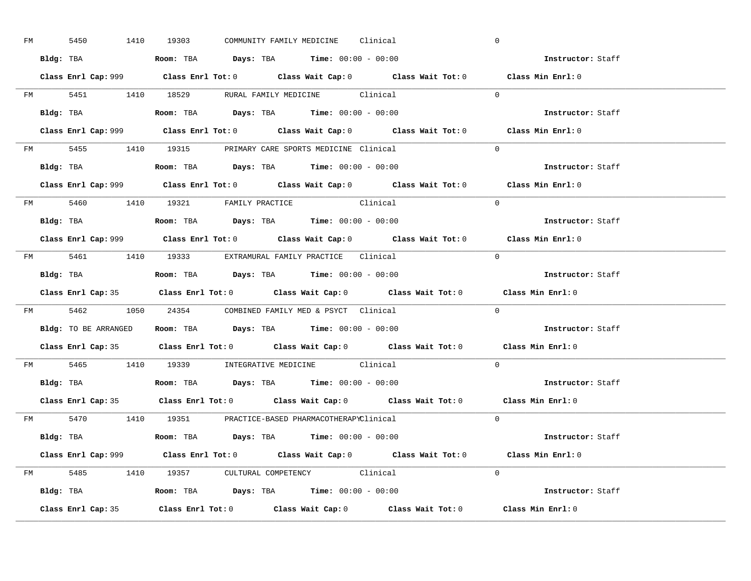| FM | 5450 |  | 1410 19303                                                                             |  | COMMUNITY FAMILY MEDICINE Clinical |                                                                                             | $\overline{0}$ |                                                                                             |  |
|----|------|--|----------------------------------------------------------------------------------------|--|------------------------------------|---------------------------------------------------------------------------------------------|----------------|---------------------------------------------------------------------------------------------|--|
|    |      |  | Bldg: TBA                   Room: TBA         Days: TBA         Time: $00:00 - 00:00$  |  |                                    |                                                                                             |                | Instructor: Staff                                                                           |  |
|    |      |  |                                                                                        |  |                                    | Class Enrl Cap: 999 Class Enrl Tot: 0 Class Wait Cap: 0 Class Wait Tot: 0 Class Min Enrl: 0 |                |                                                                                             |  |
|    |      |  |                                                                                        |  |                                    | FM 5451 1410 18529 RURAL FAMILY MEDICINE Clinical 0                                         |                |                                                                                             |  |
|    |      |  | Bldg: TBA                   Room: TBA         Days: TBA         Time: $00:00 - 00:00$  |  |                                    |                                                                                             |                | Instructor: Staff                                                                           |  |
|    |      |  |                                                                                        |  |                                    |                                                                                             |                | Class Enrl Cap: 999 Class Enrl Tot: 0 Class Wait Cap: 0 Class Wait Tot: 0 Class Min Enrl: 0 |  |
|    |      |  | FM 5455 1410 19315 PRIMARY CARE SPORTS MEDICINE Clinical                               |  |                                    |                                                                                             |                | $\Omega$                                                                                    |  |
|    |      |  | Bldg: TBA                    Room: TBA         Days: TBA        Time: $00:00 - 00:00$  |  |                                    |                                                                                             |                | Instructor: Staff                                                                           |  |
|    |      |  |                                                                                        |  |                                    |                                                                                             |                | Class Enrl Cap: 999 Class Enrl Tot: 0 Class Wait Cap: 0 Class Wait Tot: 0 Class Min Enrl: 0 |  |
|    |      |  | FM 5460 1410 19321 FAMILY PRACTICE Clinical                                            |  |                                    |                                                                                             |                | $\Omega$                                                                                    |  |
|    |      |  | Bldg: TBA<br>Room: TBA<br>Days: TBA<br>Time: $00:00 - 00:00$                           |  |                                    |                                                                                             |                | Instructor: Staff                                                                           |  |
|    |      |  |                                                                                        |  |                                    |                                                                                             |                | Class Enrl Cap: 999 Class Enrl Tot: 0 Class Wait Cap: 0 Class Wait Tot: 0 Class Min Enrl: 0 |  |
|    |      |  | FM 5461 1410 19333 EXTRAMURAL FAMILY PRACTICE Clinical                                 |  |                                    |                                                                                             | $\bigcirc$     |                                                                                             |  |
|    |      |  |                                                                                        |  |                                    |                                                                                             |                | Instructor: Staff                                                                           |  |
|    |      |  |                                                                                        |  |                                    |                                                                                             |                |                                                                                             |  |
|    |      |  |                                                                                        |  |                                    | Class Enrl Cap: 35 Class Enrl Tot: 0 Class Wait Cap: 0 Class Wait Tot: 0 Class Min Enrl: 0  |                |                                                                                             |  |
|    |      |  | FM 5462 1050 24354 COMBINED FAMILY MED & PSYCT Clinical                                |  |                                    |                                                                                             |                | $\overline{0}$                                                                              |  |
|    |      |  | Bldg: TO BE ARRANGED ROOM: TBA Days: TBA Time: 00:00 - 00:00                           |  |                                    |                                                                                             |                | <b>Instructor:</b> Staff                                                                    |  |
|    |      |  |                                                                                        |  |                                    | Class Enrl Cap: 35 Class Enrl Tot: 0 Class Wait Cap: 0 Class Wait Tot: 0 Class Min Enrl: 0  |                |                                                                                             |  |
|    |      |  | FM 5465 1410 19339 INTEGRATIVE MEDICINE Clinical                                       |  |                                    |                                                                                             |                | $\Omega$                                                                                    |  |
|    |      |  | Bldg: TBA                    Room: TBA         Days: TBA         Time: $00:00 - 00:00$ |  |                                    |                                                                                             |                | Instructor: Staff                                                                           |  |
|    |      |  |                                                                                        |  |                                    | Class Enrl Cap: 35 Class Enrl Tot: 0 Class Wait Cap: 0 Class Wait Tot: 0 Class Min Enrl: 0  |                |                                                                                             |  |
|    |      |  | FM 5470 1410 19351 PRACTICE-BASED PHARMACOTHERAPYClinical                              |  |                                    |                                                                                             |                | $\Omega$                                                                                    |  |
|    |      |  | Bldg: TBA                   Room: TBA         Days: TBA         Time: 00:00 - 00:00    |  |                                    |                                                                                             |                | Instructor: Staff                                                                           |  |
|    |      |  |                                                                                        |  |                                    | Class Enrl Cap: 999 Class Enrl Tot: 0 Class Wait Cap: 0 Class Wait Tot: 0 Class Min Enrl: 0 |                |                                                                                             |  |
|    |      |  | FM 5485 1410 19357 CULTURAL COMPETENCY Clinical                                        |  |                                    |                                                                                             |                | $\Omega$                                                                                    |  |
|    |      |  | Bldg: TBA                    Room: TBA         Days: TBA         Time: $00:00 - 00:00$ |  |                                    |                                                                                             |                | Instructor: Staff                                                                           |  |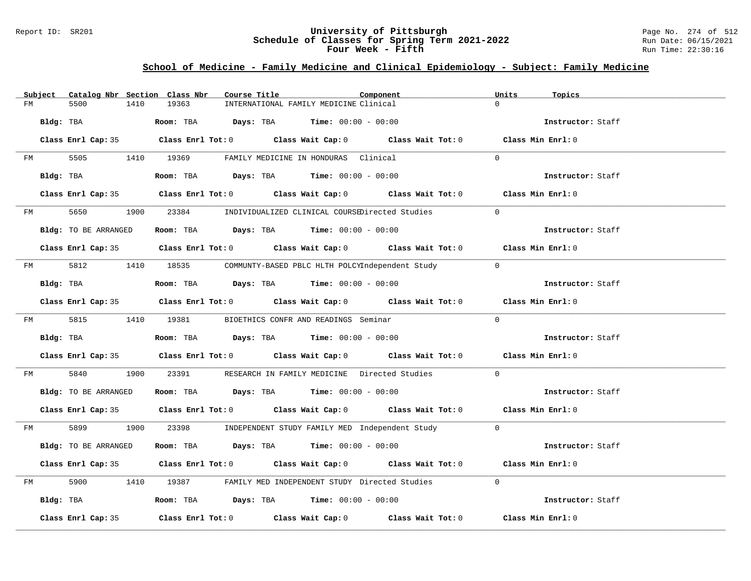### Report ID: SR201 **University of Pittsburgh** Page No. 274 of 512 **Schedule of Classes for Spring Term 2021-2022** Run Date: 06/15/2021 **Four Week - Fifth Run Time: 22:30:16**

# **School of Medicine - Family Medicine and Clinical Epidemiology - Subject: Family Medicine**

|    | Subject   | Catalog Nbr Section Class Nbr                           |      |       | Course Title |                                                      | Component                                                                                  | Units          | Topics            |  |
|----|-----------|---------------------------------------------------------|------|-------|--------------|------------------------------------------------------|--------------------------------------------------------------------------------------------|----------------|-------------------|--|
| FM |           | 5500                                                    | 1410 | 19363 |              | INTERNATIONAL FAMILY MEDICINE Clinical               |                                                                                            | $\Omega$       |                   |  |
|    | Bldg: TBA |                                                         |      |       |              | Room: TBA $Days:$ TBA $Time: 00:00 - 00:00$          |                                                                                            |                | Instructor: Staff |  |
|    |           |                                                         |      |       |              |                                                      | Class Enrl Cap: 35 Class Enrl Tot: 0 Class Wait Cap: 0 Class Wait Tot: 0 Class Min Enrl: 0 |                |                   |  |
|    | FM        |                                                         |      |       |              | 5505 1410 19369 FAMILY MEDICINE IN HONDURAS Clinical |                                                                                            | $\Omega$       |                   |  |
|    |           | Bldg: TBA                                               |      |       |              | Room: TBA $Days:$ TBA $Time: 00:00 - 00:00$          |                                                                                            |                | Instructor: Staff |  |
|    |           |                                                         |      |       |              |                                                      | Class Enrl Cap: 35 Class Enrl Tot: 0 Class Wait Cap: 0 Class Wait Tot: 0 Class Min Enrl: 0 |                |                   |  |
|    |           |                                                         |      |       |              |                                                      | FM 5650 1900 23384 INDIVIDUALIZED CLINICAL COURSEDirected Studies                          | $\Omega$       |                   |  |
|    |           | Bldg: TO BE ARRANGED                                    |      |       |              | Room: TBA $Days:$ TBA $Time: 00:00 - 00:00$          |                                                                                            |                | Instructor: Staff |  |
|    |           |                                                         |      |       |              |                                                      | Class Enrl Cap: 35 Class Enrl Tot: 0 Class Wait Cap: 0 Class Wait Tot: 0 Class Min Enrl: 0 |                |                   |  |
|    |           |                                                         |      |       |              |                                                      | FM 5812 1410 18535 COMMUNTY-BASED PBLC HLTH POLCYIndependent Study                         | $\overline{0}$ |                   |  |
|    |           | Bldg: TBA                                               |      |       |              | Room: TBA $Days:$ TBA $Time: 00:00 - 00:00$          |                                                                                            |                | Instructor: Staff |  |
|    |           |                                                         |      |       |              |                                                      | Class Enrl Cap: 35 Class Enrl Tot: 0 Class Wait Cap: 0 Class Wait Tot: 0 Class Min Enrl: 0 |                |                   |  |
|    |           | FM 5815 1410 19381 BIOETHICS CONFR AND READINGS Seminar |      |       |              |                                                      |                                                                                            | $\Omega$       |                   |  |
|    |           | Bldg: TBA                                               |      |       |              | Room: TBA $Days:$ TBA $Time: 00:00 - 00:00$          |                                                                                            |                | Instructor: Staff |  |
|    |           |                                                         |      |       |              |                                                      | Class Enrl Cap: 35 Class Enrl Tot: 0 Class Wait Cap: 0 Class Wait Tot: 0 Class Min Enrl: 0 |                |                   |  |
| FM |           | 5840                                                    |      |       |              |                                                      | 1900 23391 RESEARCH IN FAMILY MEDICINE Directed Studies                                    | $\Omega$       |                   |  |
|    |           | Bldg: TO BE ARRANGED                                    |      |       |              | Room: TBA $Days:$ TBA $Time: 00:00 - 00:00$          |                                                                                            |                | Instructor: Staff |  |
|    |           |                                                         |      |       |              |                                                      | Class Enrl Cap: 35 Class Enrl Tot: 0 Class Wait Cap: 0 Class Wait Tot: 0 Class Min Enrl: 0 |                |                   |  |
|    |           |                                                         |      |       |              |                                                      | FM 5899 1900 23398 INDEPENDENT STUDY FAMILY MED Independent Study 0                        |                |                   |  |
|    |           | Bldg: TO BE ARRANGED                                    |      |       |              | Room: TBA $Days:$ TBA $Time: 00:00 - 00:00$          |                                                                                            |                | Instructor: Staff |  |
|    |           |                                                         |      |       |              |                                                      | Class Enrl Cap: 35 Class Enrl Tot: 0 Class Wait Cap: 0 Class Wait Tot: 0 Class Min Enrl: 0 |                |                   |  |
| FM |           |                                                         |      |       |              |                                                      | 5900 1410 19387 FAMILY MED INDEPENDENT STUDY Directed Studies                              | $\Omega$       |                   |  |
|    |           | Bldg: TBA                                               |      |       |              | Room: TBA $Days:$ TBA $Time:$ $00:00 - 00:00$        |                                                                                            |                | Instructor: Staff |  |
|    |           | Class Enrl Cap: 35                                      |      |       |              |                                                      | Class Enrl Tot: $0$ Class Wait Cap: $0$ Class Wait Tot: $0$ Class Min Enrl: $0$            |                |                   |  |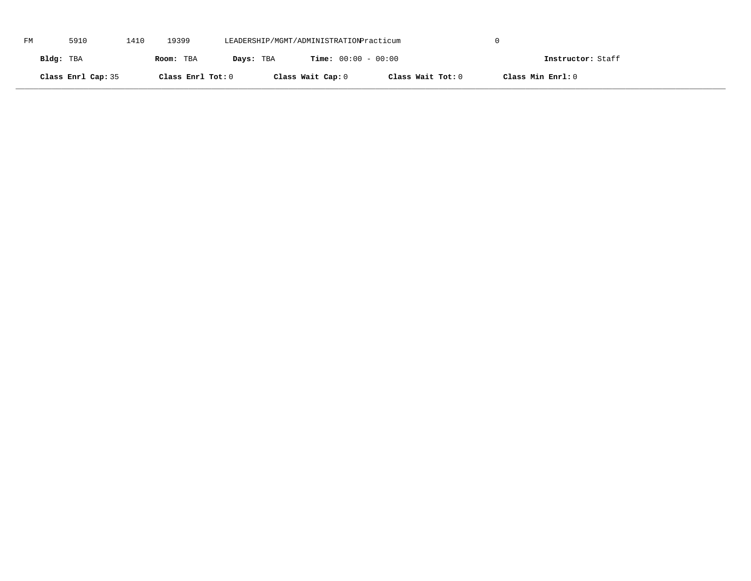| FM | 5910               | 1410 | 19399             | LEADERSHIP/MGMT/ADMINISTRATIONPracticum |                              |                   |                   |  |
|----|--------------------|------|-------------------|-----------------------------------------|------------------------------|-------------------|-------------------|--|
|    | Bldg: TBA          |      | Room: TBA         | Days: TBA                               | <b>Time:</b> $00:00 - 00:00$ |                   | Instructor: Staff |  |
|    | Class Enrl Cap: 35 |      | Class Enrl Tot: 0 |                                         | Class Wait Cap: 0            | Class Wait Tot: 0 | Class Min Enrl: 0 |  |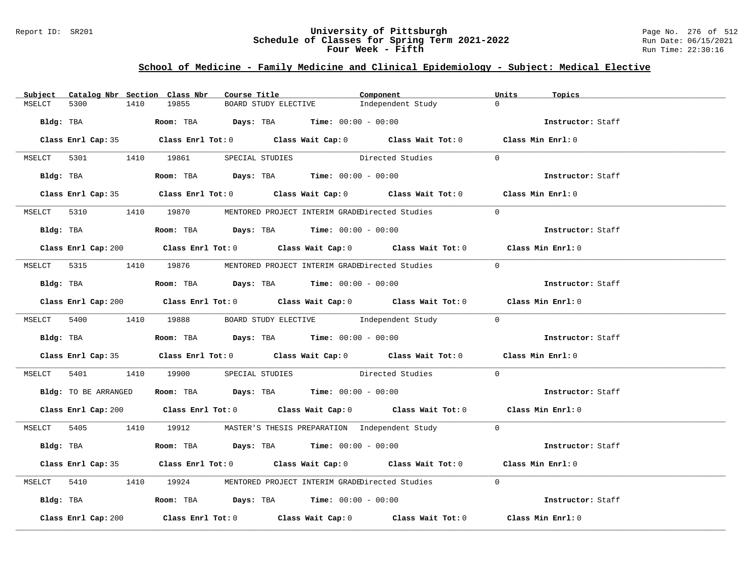### Report ID: SR201 **University of Pittsburgh** Page No. 276 of 512 **Schedule of Classes for Spring Term 2021-2022** Run Date: 06/15/2021 **Four Week - Fifth Run Time: 22:30:16**

# **School of Medicine - Family Medicine and Clinical Epidemiology - Subject: Medical Elective**

| 19855<br>$\Omega$<br>5300<br>1410<br>BOARD STUDY ELECTIVE<br>Independent Study<br>MSELCT<br>Bldg: TBA                   Room: TBA        Days: TBA        Time: $00:00 - 00:00$<br>Instructor: Staff<br>Class Enrl Cap: 35 Class Enrl Tot: 0 Class Wait Cap: 0 Class Wait Tot: 0 Class Min Enrl: 0<br>MSELCT 5301 1410 19861 SPECIAL STUDIES Directed Studies<br>$\Omega$ |  |
|---------------------------------------------------------------------------------------------------------------------------------------------------------------------------------------------------------------------------------------------------------------------------------------------------------------------------------------------------------------------------|--|
|                                                                                                                                                                                                                                                                                                                                                                           |  |
|                                                                                                                                                                                                                                                                                                                                                                           |  |
|                                                                                                                                                                                                                                                                                                                                                                           |  |
|                                                                                                                                                                                                                                                                                                                                                                           |  |
| Instructor: Staff                                                                                                                                                                                                                                                                                                                                                         |  |
| Class Enrl Cap: 35 Class Enrl Tot: 0 Class Wait Cap: 0 Class Wait Tot: 0 Class Min Enrl: 0                                                                                                                                                                                                                                                                                |  |
| MSELCT 5310 1410 19870 MENTORED PROJECT INTERIM GRADEDirected Studies<br>$\Omega$                                                                                                                                                                                                                                                                                         |  |
|                                                                                                                                                                                                                                                                                                                                                                           |  |
| Bldg: TBA                   Room: TBA         Days: TBA        Time: $00:00 - 00:00$<br>Instructor: Staff                                                                                                                                                                                                                                                                 |  |
| Class Enrl Cap: 200 Class Enrl Tot: 0 Class Wait Cap: 0 Class Wait Tot: 0 Class Min Enrl: 0                                                                                                                                                                                                                                                                               |  |
| MSELCT 5315 1410 19876 MENTORED PROJECT INTERIM GRADEDirected Studies<br>$\Omega$                                                                                                                                                                                                                                                                                         |  |
| Bldg: TBA                         Room: TBA            Days: TBA           Time: $00:00 - 00:00$<br>Instructor: Staff                                                                                                                                                                                                                                                     |  |
| Class Enrl Cap: 200 Class Enrl Tot: 0 Class Wait Cap: 0 Class Wait Tot: 0 Class Min Enrl: 0                                                                                                                                                                                                                                                                               |  |
| MSELCT 5400 1410 19888 BOARD STUDY ELECTIVE Independent Study 0                                                                                                                                                                                                                                                                                                           |  |
| Bldg: TBA                    Room: TBA         Days: TBA         Time: 00:00 - 00:00<br>Instructor: Staff                                                                                                                                                                                                                                                                 |  |
| Class Enrl Cap: 35 Class Enrl Tot: 0 Class Wait Cap: 0 Class Wait Tot: 0 Class Min Enrl: 0                                                                                                                                                                                                                                                                                |  |
| $\Omega$<br>MSELCT 5401 1410 19900 SPECIAL STUDIES Directed Studies                                                                                                                                                                                                                                                                                                       |  |
| Bldg: TO BE ARRANGED ROOM: TBA Days: TBA Time: 00:00 - 00:00<br>Instructor: Staff                                                                                                                                                                                                                                                                                         |  |
| Class Enrl Cap: 200 Class Enrl Tot: 0 Class Wait Cap: 0 Class Wait Tot: 0 Class Min Enrl: 0                                                                                                                                                                                                                                                                               |  |
| MSELCT 5405 1410 19912 MASTER'S THESIS PREPARATION Independent Study 0                                                                                                                                                                                                                                                                                                    |  |
| Bldg: TBA                       Room: TBA           Days: TBA          Time: $00:00 - 00:00$<br>Instructor: Staff                                                                                                                                                                                                                                                         |  |
| Class Enrl Cap: 35 Class Enrl Tot: 0 Class Wait Cap: 0 Class Wait Tot: 0 Class Min Enrl: 0                                                                                                                                                                                                                                                                                |  |
| MSELCT 5410 1410 19924 MENTORED PROJECT INTERIM GRADEDirected Studies<br>$\Omega$                                                                                                                                                                                                                                                                                         |  |
| Bldg: TBA                    Room: TBA        Days: TBA        Time: 00:00 - 00:00<br>Instructor: Staff                                                                                                                                                                                                                                                                   |  |
| Class Enrl Tot: $0$ Class Wait Cap: $0$ Class Wait Tot: $0$<br>Class Min Enrl: 0<br>Class Enrl Cap: 200                                                                                                                                                                                                                                                                   |  |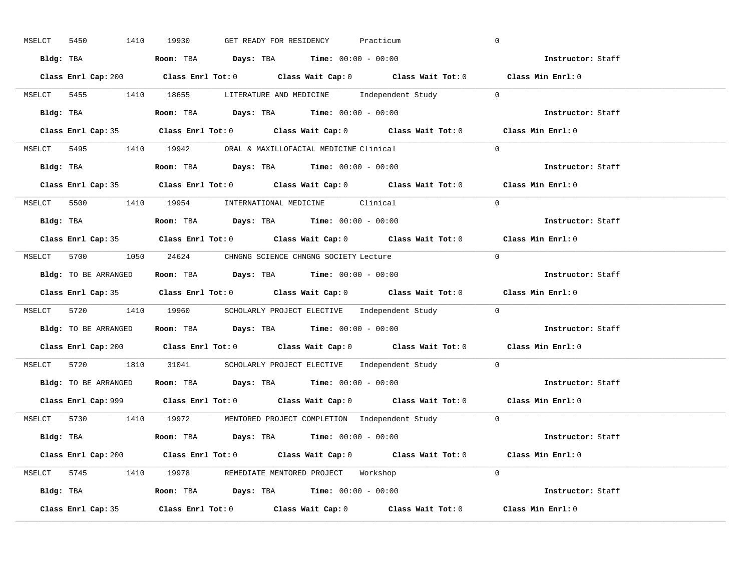| 1410<br>5450<br>MSELCT | GET READY FOR RESIDENCY<br>19930<br>Practicum                                               | $\overline{0}$    |
|------------------------|---------------------------------------------------------------------------------------------|-------------------|
|                        | Bldg: TBA                   Room: TBA         Days: TBA         Time: 00:00 - 00:00         | Instructor: Staff |
|                        | Class Enrl Cap: 200 Class Enrl Tot: 0 Class Wait Cap: 0 Class Wait Tot: 0 Class Min Enrl: 0 |                   |
|                        | MSELCT 5455 1410 18655 LITERATURE AND MEDICINE Independent Study 0                          |                   |
|                        | Bldg: TBA                   Room: TBA         Days: TBA         Time: 00:00 - 00:00         | Instructor: Staff |
|                        | Class Enrl Cap: 35 Class Enrl Tot: 0 Class Wait Cap: 0 Class Wait Tot: 0 Class Min Enrl: 0  |                   |
|                        | MSELCT 5495 1410 19942 ORAL & MAXILLOFACIAL MEDICINE Clinical                               | $\Omega$          |
|                        | Bldg: TBA                    Room: TBA         Days: TBA        Time: $00:00 - 00:00$       | Instructor: Staff |
|                        | Class Enrl Cap: 35 Class Enrl Tot: 0 Class Wait Cap: 0 Class Wait Tot: 0 Class Min Enrl: 0  |                   |
|                        | MSELCT 5500 1410 19954 INTERNATIONAL MEDICINE Clinical                                      | $\Omega$          |
|                        | Bldg: TBA                    Room: TBA         Days: TBA         Time: $00:00 - 00:00$      | Instructor: Staff |
|                        | Class Enrl Cap: 35 Class Enrl Tot: 0 Class Wait Cap: 0 Class Wait Tot: 0 Class Min Enrl: 0  |                   |
|                        | MSELCT 5700 1050 24624 CHNGNG SCIENCE CHNGNG SOCIETY Lecture                                | $\bigcirc$        |
|                        | Bldg: TO BE ARRANGED Room: TBA Days: TBA Time: 00:00 - 00:00                                | Instructor: Staff |
|                        |                                                                                             |                   |
|                        | Class Enrl Cap: 35 Class Enrl Tot: 0 Class Wait Cap: 0 Class Wait Tot: 0 Class Min Enrl: 0  |                   |
|                        | MSELCT 5720 1410 19960 SCHOLARLY PROJECT ELECTIVE Independent Study 0                       |                   |
|                        | Bldg: TO BE ARRANGED ROOM: TBA Days: TBA Time: 00:00 - 00:00                                | Instructor: Staff |
|                        | Class Enrl Cap: 200 Class Enrl Tot: 0 Class Wait Cap: 0 Class Wait Tot: 0 Class Min Enrl: 0 |                   |
|                        | MSELCT 5720 1810 31041 SCHOLARLY PROJECT ELECTIVE Independent Study 0                       |                   |
|                        | Bldg: TO BE ARRANGED Room: TBA Days: TBA Time: 00:00 - 00:00                                | Instructor: Staff |
|                        | Class Enrl Cap: 999 Class Enrl Tot: 0 Class Wait Cap: 0 Class Wait Tot: 0 Class Min Enrl: 0 |                   |
|                        | MSELCT 5730 1410 19972 MENTORED PROJECT COMPLETION Independent Study 0                      |                   |
|                        | Bldg: TBA                     Room: TBA         Days: TBA         Time: 00:00 - 00:00       | Instructor: Staff |
|                        | Class Enrl Cap: 200 Class Enrl Tot: 0 Class Wait Cap: 0 Class Wait Tot: 0                   | Class Min Enrl: 0 |
|                        | MSELCT 5745 1410 19978 REMEDIATE MENTORED PROJECT Workshop                                  | $\Omega$          |
|                        | Bldg: TBA                   Room: TBA         Days: TBA        Time: 00:00 - 00:00          | Instructor: Staff |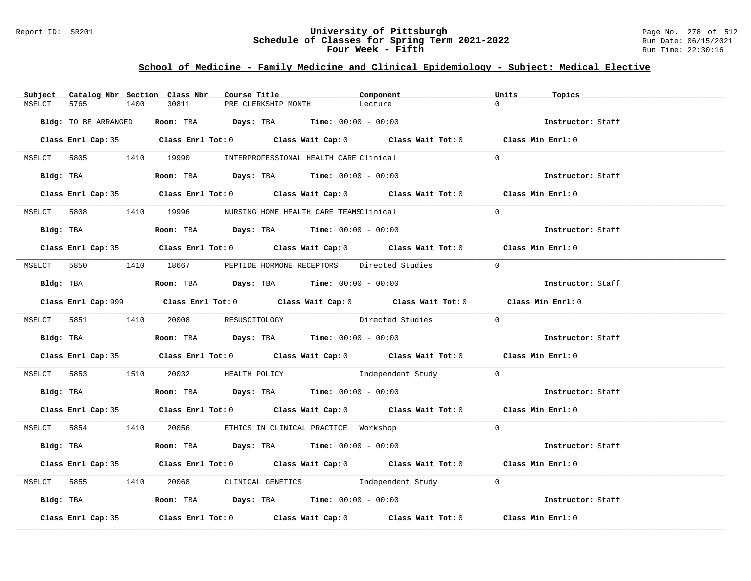### Report ID: SR201 **University of Pittsburgh** Page No. 278 of 512 **Schedule of Classes for Spring Term 2021-2022** Run Date: 06/15/2021 **Four Week - Fifth Run Time: 22:30:16**

# **School of Medicine - Family Medicine and Clinical Epidemiology - Subject: Medical Elective**

|        |                      |      | Subject Catalog Nbr Section Class Nbr                                                       | Course Title |                     | Component                                                                                          | Units          | Topics            |
|--------|----------------------|------|---------------------------------------------------------------------------------------------|--------------|---------------------|----------------------------------------------------------------------------------------------------|----------------|-------------------|
| MSELCT | 5765                 | 1400 | 30811                                                                                       |              | PRE CLERKSHIP MONTH | Lecture                                                                                            | $\cap$         |                   |
|        | Bldg: TO BE ARRANGED |      | <b>Room:</b> TBA $Days: TBA$ <b>Time:</b> $00:00 - 00:00$                                   |              |                     |                                                                                                    |                | Instructor: Staff |
|        |                      |      |                                                                                             |              |                     | Class Enrl Cap: 35 Class Enrl Tot: 0 Class Wait Cap: 0 Class Wait Tot: 0 Class Min Enrl: 0         |                |                   |
|        |                      |      | MSELCT 5805 1410 19990 INTERPROFESSIONAL HEALTH CARE Clinical                               |              |                     |                                                                                                    | $\Omega$       |                   |
|        | Bldg: TBA            |      | <b>Room:</b> TBA $Days: TBA$ <b>Time:</b> $00:00 - 00:00$                                   |              |                     |                                                                                                    |                | Instructor: Staff |
|        |                      |      |                                                                                             |              |                     | Class Enrl Cap: 35 Class Enrl Tot: 0 Class Wait Cap: 0 Class Wait Tot: 0 Class Min Enrl: 0         |                |                   |
|        |                      |      | MSELCT 5808 1410 19996 NURSING HOME HEALTH CARE TEAMSClinical                               |              |                     |                                                                                                    | $\Omega$       |                   |
|        |                      |      | Bldg: TBA                    Room: TBA         Days: TBA         Time: 00:00 - 00:00        |              |                     |                                                                                                    |                | Instructor: Staff |
|        |                      |      |                                                                                             |              |                     | Class Enrl Cap: 35 Class Enrl Tot: 0 Class Wait Cap: 0 Class Wait Tot: 0 Class Min Enrl: 0         |                |                   |
|        |                      |      |                                                                                             |              |                     | MSELCT 5850 1410 18667 PEPTIDE HORMONE RECEPTORS Directed Studies                                  | $\overline{0}$ |                   |
|        |                      |      | Bldg: TBA                         Room: TBA          Days: TBA          Time: 00:00 - 00:00 |              |                     |                                                                                                    |                | Instructor: Staff |
|        |                      |      |                                                                                             |              |                     | Class Enrl Cap: 999 Class Enrl Tot: 0 Class Wait Cap: 0 Class Wait Tot: 0 Class Min Enrl: 0        |                |                   |
|        |                      |      | MSELCT 5851 1410 20008 RESUSCITOLOGY                                                        |              |                     | Directed Studies 0                                                                                 |                |                   |
|        |                      |      | Bldg: TBA                         Room: TBA          Days: TBA          Time: 00:00 - 00:00 |              |                     |                                                                                                    |                | Instructor: Staff |
|        |                      |      |                                                                                             |              |                     | Class Enrl Cap: 35 Class Enrl Tot: 0 Class Wait Cap: 0 Class Wait Tot: 0 Class Min Enrl: 0         |                |                   |
|        |                      |      |                                                                                             |              |                     | MSELCT 5853 1510 20032 HEALTH POLICY 1ndependent Study 0                                           |                |                   |
|        |                      |      | Bldg: TBA                         Room: TBA          Days: TBA          Time: 00:00 - 00:00 |              |                     |                                                                                                    |                | Instructor: Staff |
|        |                      |      |                                                                                             |              |                     | Class Enrl Cap: 35 Class Enrl Tot: 0 Class Wait Cap: 0 Class Wait Tot: 0 Class Min Enrl: 0         |                |                   |
|        |                      |      | MSELCT 5854 1410 20056 ETHICS IN CLINICAL PRACTICE Workshop                                 |              |                     |                                                                                                    | $\Omega$       |                   |
|        |                      |      | Bldg: TBA                    Room: TBA         Days: TBA         Time: 00:00 - 00:00        |              |                     |                                                                                                    |                | Instructor: Staff |
|        |                      |      |                                                                                             |              |                     | Class Enrl Cap: 35 Class Enrl Tot: 0 Class Wait Cap: 0 Class Wait Tot: 0 Class Min Enrl: 0         |                |                   |
|        |                      |      |                                                                                             |              |                     | MSELCT 5855 1410 20068 CLINICAL GENETICS Independent Study 0                                       |                |                   |
|        |                      |      | Bldg: TBA                    Room: TBA         Days: TBA         Time: 00:00 - 00:00        |              |                     |                                                                                                    |                | Instructor: Staff |
|        | Class Enrl Cap: 35   |      |                                                                                             |              |                     | Class Enrl Tot: 0 $\qquad$ Class Wait Cap: 0 $\qquad$ Class Wait Tot: 0 $\qquad$ Class Min Enrl: 0 |                |                   |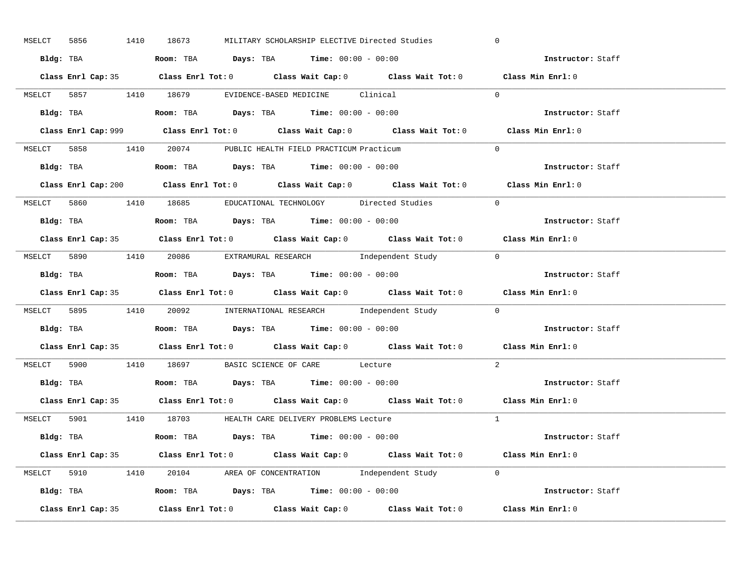| MSELCT 5856        | 1410 18673<br>MILITARY SCHOLARSHIP ELECTIVE Directed Studies                                | $\overline{0}$    |
|--------------------|---------------------------------------------------------------------------------------------|-------------------|
|                    | Bldg: TBA                   Room: TBA         Days: TBA        Time: $00:00 - 00:00$        | Instructor: Staff |
|                    | Class Enrl Cap: 35 Class Enrl Tot: 0 Class Wait Cap: 0 Class Wait Tot: 0 Class Min Enrl: 0  |                   |
|                    | MSELCT 5857 1410 18679 EVIDENCE-BASED MEDICINE Clinical                                     | $\Omega$          |
|                    |                                                                                             | Instructor: Staff |
|                    | Class Enrl Cap: 999 Class Enrl Tot: 0 Class Wait Cap: 0 Class Wait Tot: 0                   | Class Min Enrl: 0 |
|                    | MSELCT 5858 1410 20074 PUBLIC HEALTH FIELD PRACTICUM Practicum                              | $\Omega$          |
|                    | Bldg: TBA                    Room: TBA        Days: TBA        Time: 00:00 - 00:00          | Instructor: Staff |
|                    | Class Enrl Cap: 200 Class Enrl Tot: 0 Class Wait Cap: 0 Class Wait Tot: 0 Class Min Enrl: 0 |                   |
|                    | MSELCT 5860 1410 18685 EDUCATIONAL TECHNOLOGY Directed Studies                              | $\Omega$          |
|                    | Bldg: TBA                    Room: TBA         Days: TBA         Time: 00:00 - 00:00        | Instructor: Staff |
|                    | Class Enrl Cap: 35 Class Enrl Tot: 0 Class Wait Cap: 0 Class Wait Tot: 0 Class Min Enrl: 0  |                   |
|                    | MSELCT 5890 1410 20086 EXTRAMURAL RESEARCH Independent Study 0                              |                   |
|                    | Bldg: TBA                    Room: TBA         Days: TBA         Time: 00:00 - 00:00        | Instructor: Staff |
|                    | Class Enrl Cap: 35 Class Enrl Tot: 0 Class Wait Cap: 0 Class Wait Tot: 0 Class Min Enrl: 0  |                   |
|                    | MSELCT 5895 1410 20092 INTERNATIONAL RESEARCH Independent Study 0                           |                   |
| Bldg: TBA          | <b>Room:</b> TBA $Days:$ TBA $Time: 00:00 - 00:00$                                          | Instructor: Staff |
|                    | Class Enrl Cap: 35 Class Enrl Tot: 0 Class Wait Cap: 0 Class Wait Tot: 0 Class Min Enrl: 0  |                   |
|                    | MSELCT 5900 1410 18697 BASIC SCIENCE OF CARE Lecture                                        | 2                 |
|                    | Bldg: TBA                   Room: TBA         Days: TBA         Time: $00:00 - 00:00$       | Instructor: Staff |
|                    | Class Enrl Cap: 35 Class Enrl Tot: 0 Class Wait Cap: 0 Class Wait Tot: 0 Class Min Enrl: 0  |                   |
|                    | MSELCT 5901 1410 18703 HEALTH CARE DELIVERY PROBLEMS Lecture                                | $\overline{1}$    |
|                    | <b>Bldg:</b> TBA <b>ROOM:</b> TBA <b>Days:</b> TBA <b>Time:</b> $00:00 - 00:00$             | Instructor: Staff |
|                    | Class Enrl Cap: 35 Class Enrl Tot: 0 Class Wait Cap: 0 Class Wait Tot: 0 Class Min Enrl: 0  |                   |
|                    | MSELCT 5910 1410 20104 AREA OF CONCENTRATION Independent Study 0                            |                   |
|                    | Bldg: TBA <b>Room:</b> TBA <b>Days:</b> TBA <b>Time:</b> $00:00 - 00:00$                    | Instructor: Staff |
| Class Enrl Cap: 35 | Class Enrl Tot: $0$ Class Wait Cap: $0$ Class Wait Tot: $0$ Class Min Enrl: $0$             |                   |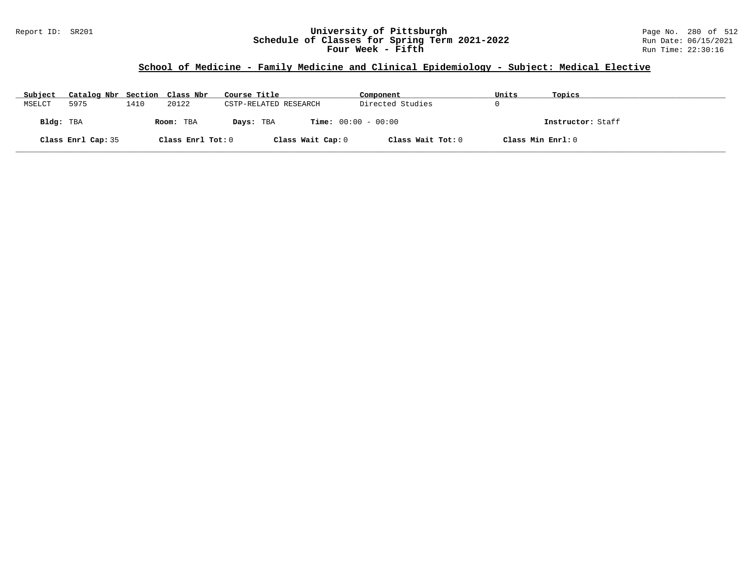### Report ID: SR201 **University of Pittsburgh** Page No. 280 of 512 **Schedule of Classes for Spring Term 2021-2022** Run Date: 06/15/2021 **Four Week - Fifth Run Time: 22:30:16**

# **School of Medicine - Family Medicine and Clinical Epidemiology - Subject: Medical Elective**

| Subject   | Catalog Nbr Section Class Nbr |      |                   | Course Title                              | Component         | Units             | Topics            |
|-----------|-------------------------------|------|-------------------|-------------------------------------------|-------------------|-------------------|-------------------|
| MSELCT    | 5975                          | 1410 | 20122             | CSTP-RELATED RESEARCH                     | Directed Studies  |                   |                   |
| Bldg: TBA |                               |      | Room: TBA         | <b>Time:</b> $00:00 - 00:00$<br>Days: TBA |                   |                   | Instructor: Staff |
|           | Class Enrl Cap: 35            |      | Class Enrl Tot: 0 | Class Wait Cap: 0                         | Class Wait Tot: 0 | Class Min Enrl: 0 |                   |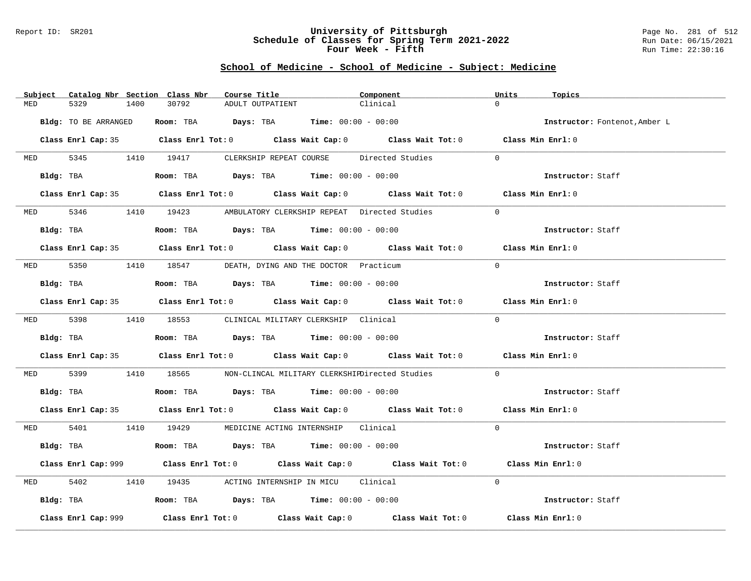#### Report ID: SR201 **University of Pittsburgh** Page No. 281 of 512 **Schedule of Classes for Spring Term 2021-2022** Run Date: 06/15/2021 **Four Week - Fifth Run Time: 22:30:16**

|          | Subject Catalog Nbr Section Class Nbr | Course Title                                                                                | Component                                                                                   | Units<br>Topics               |
|----------|---------------------------------------|---------------------------------------------------------------------------------------------|---------------------------------------------------------------------------------------------|-------------------------------|
| MED      | 5329<br>1400                          | 30792<br>ADULT OUTPATIENT                                                                   | Clinical                                                                                    | $\Omega$                      |
|          | Bldg: TO BE ARRANGED                  | Room: TBA $Days:$ TBA $Time: 00:00 - 00:00$                                                 |                                                                                             | Instructor: Fontenot, Amber L |
|          |                                       |                                                                                             | Class Enrl Cap: 35 Class Enrl Tot: 0 Class Wait Cap: 0 Class Wait Tot: 0 Class Min Enrl: 0  |                               |
|          |                                       | MED 5345 1410 19417 CLERKSHIP REPEAT COURSE Directed Studies                                |                                                                                             | $\Omega$                      |
|          | Bldg: TBA                             | $\textbf{Room:}$ TBA $\qquad \qquad$ Days: TBA $\qquad \qquad$ Time: $00:00 - 00:00$        |                                                                                             | Instructor: Staff             |
|          |                                       |                                                                                             | Class Enrl Cap: 35 Class Enrl Tot: 0 Class Wait Cap: 0 Class Wait Tot: 0 Class Min Enrl: 0  |                               |
|          |                                       | MED 5346 1410 19423 AMBULATORY CLERKSHIP REPEAT Directed Studies                            |                                                                                             | $\Omega$                      |
|          | Bldg: TBA                             | Room: TBA $Days:$ TBA Time: $00:00 - 00:00$                                                 |                                                                                             | Instructor: Staff             |
|          |                                       |                                                                                             | Class Enrl Cap: 35 Class Enrl Tot: 0 Class Wait Cap: 0 Class Wait Tot: 0 Class Min Enrl: 0  |                               |
|          |                                       | MED 5350 1410 18547 DEATH, DYING AND THE DOCTOR Practicum                                   |                                                                                             | $\Omega$                      |
|          | Bldg: TBA                             | Room: TBA $Days:$ TBA Time: $00:00 - 00:00$                                                 |                                                                                             | Instructor: Staff             |
|          |                                       |                                                                                             | Class Enrl Cap: 35 Class Enrl Tot: 0 Class Wait Cap: 0 Class Wait Tot: 0 Class Min Enrl: 0  |                               |
|          |                                       | MED 5398 1410 18553 CLINICAL MILITARY CLERKSHIP Clinical                                    |                                                                                             | $\Omega$                      |
|          |                                       | Bldg: TBA                    Room: TBA         Days: TBA        Time: $00:00 - 00:00$       |                                                                                             | Instructor: Staff             |
|          |                                       |                                                                                             | Class Enrl Cap: 35 Class Enrl Tot: 0 Class Wait Cap: 0 Class Wait Tot: 0 Class Min Enrl: 0  |                               |
| MED 5399 |                                       |                                                                                             | 1410 18565 NON-CLINCAL MILITARY CLERKSHIEDirected Studies                                   | $\overline{0}$                |
|          |                                       | Bldg: TBA                    Room: TBA        Days: TBA        Time: 00:00 - 00:00          |                                                                                             | Instructor: Staff             |
|          |                                       |                                                                                             | Class Enrl Cap: 35 Class Enrl Tot: 0 Class Wait Cap: 0 Class Wait Tot: 0 Class Min Enrl: 0  |                               |
|          |                                       | MED 5401 1410 19429 MEDICINE ACTING INTERNSHIP Clinical                                     |                                                                                             | $\Omega$                      |
|          |                                       | Bldg: TBA                   Room: TBA         Days: TBA        Time: 00:00 - 00:00          |                                                                                             | Instructor: Staff             |
|          |                                       |                                                                                             | Class Enrl Cap: 999 Class Enrl Tot: 0 Class Wait Cap: 0 Class Wait Tot: 0 Class Min Enrl: 0 |                               |
| MED      | 5402                                  | 1410 19435 ACTING INTERNSHIP IN MICU Clinical                                               |                                                                                             | $\Omega$                      |
|          |                                       | Bldg: TBA                        Room: TBA           Days: TBA          Time: 00:00 - 00:00 |                                                                                             | Instructor: Staff             |
|          | Class Enrl Cap: 999                   |                                                                                             | Class Enrl Tot: $0$ Class Wait Cap: $0$ Class Wait Tot: $0$ Class Min Enrl: $0$             |                               |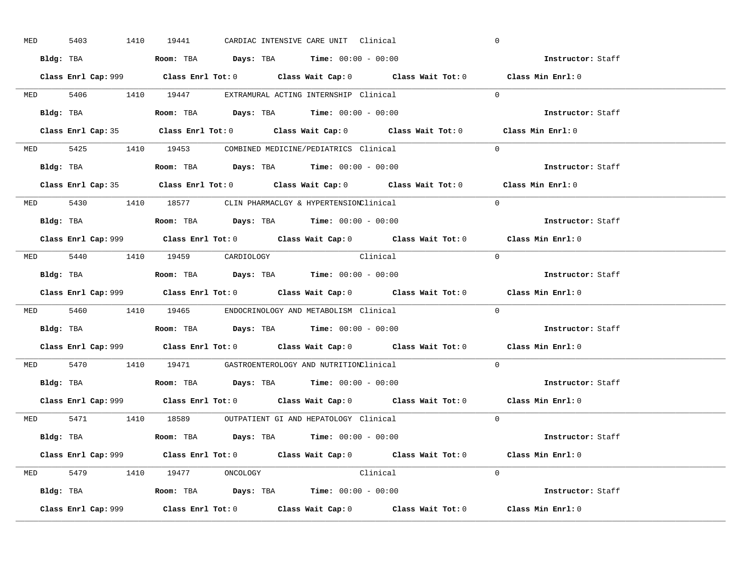| <b>MED</b> | 5403 | 1410      | 19441                          |  | CARDIAC INTENSIVE CARE UNIT Clinical                                                   |                                                                                             | $\overline{0}$ |                          |  |
|------------|------|-----------|--------------------------------|--|----------------------------------------------------------------------------------------|---------------------------------------------------------------------------------------------|----------------|--------------------------|--|
|            |      |           |                                |  | Bldg: TBA                   Room: TBA        Days: TBA        Time: $00:00 - 00:00$    |                                                                                             |                | Instructor: Staff        |  |
|            |      |           |                                |  |                                                                                        | Class Enrl Cap: 999 Class Enrl Tot: 0 Class Wait Cap: 0 Class Wait Tot: 0 Class Min Enrl: 0 |                |                          |  |
|            |      |           |                                |  | MED 5406 1410 19447 EXTRAMURAL ACTING INTERNSHIP Clinical                              |                                                                                             | $\Omega$       |                          |  |
|            |      | Bldg: TBA |                                |  | Room: TBA $Days:$ TBA $Time: 00:00 - 00:00$                                            |                                                                                             |                | Instructor: Staff        |  |
|            |      |           |                                |  |                                                                                        | Class Enrl Cap: 35 Class Enrl Tot: 0 Class Wait Cap: 0 Class Wait Tot: 0 Class Min Enrl: 0  |                |                          |  |
|            |      |           |                                |  | MED 5425 1410 19453 COMBINED MEDICINE/PEDIATRICS Clinical                              |                                                                                             | $\Omega$       |                          |  |
|            |      |           |                                |  | Bldg: TBA                    Room: TBA         Days: TBA        Time: $00:00 - 00:00$  |                                                                                             |                | Instructor: Staff        |  |
|            |      |           |                                |  |                                                                                        | Class Enrl Cap: 35 Class Enrl Tot: 0 Class Wait Cap: 0 Class Wait Tot: 0 Class Min Enrl: 0  |                |                          |  |
|            |      |           |                                |  | MED 5430 1410 18577 CLIN PHARMACLGY & HYPERTENSIONClinical                             |                                                                                             | $\Omega$       |                          |  |
|            |      |           |                                |  | Bldg: TBA                   Room: TBA         Days: TBA         Time: $00:00 - 00:00$  |                                                                                             |                | Instructor: Staff        |  |
|            |      |           |                                |  |                                                                                        | Class Enrl Cap: 999 Class Enrl Tot: 0 Class Wait Cap: 0 Class Wait Tot: 0 Class Min Enrl: 0 |                |                          |  |
|            |      |           | MED 5440 1410 19459 CARDIOLOGY |  | Clinical                                                                               |                                                                                             | $\bigcirc$     |                          |  |
|            |      |           |                                |  | <b>Bldg:</b> TBA <b>ROOM:</b> TBA <b>Days:</b> TBA <b>Time:</b> $00:00 - 00:00$        |                                                                                             |                | Instructor: Staff        |  |
|            |      |           |                                |  |                                                                                        | Class Enrl Cap: 999 Class Enrl Tot: 0 Class Wait Cap: 0 Class Wait Tot: 0 Class Min Enrl: 0 |                |                          |  |
|            |      |           |                                |  | MED 5460 1410 19465 ENDOCRINOLOGY AND METABOLISM Clinical                              |                                                                                             | $\Omega$       |                          |  |
| Bldg: TBA  |      |           |                                |  | Room: TBA $Days:$ TBA Time: $00:00 - 00:00$                                            |                                                                                             |                | <b>Instructor:</b> Staff |  |
|            |      |           |                                |  |                                                                                        | Class Enrl Cap: 999 Class Enrl Tot: 0 Class Wait Cap: 0 Class Wait Tot: 0 Class Min Enrl: 0 |                |                          |  |
|            |      |           |                                |  | MED 5470 1410 19471 GASTROENTEROLOGY AND NUTRITIONClinical                             |                                                                                             | $\Omega$       |                          |  |
|            |      |           |                                |  | Bldg: TBA                    Room: TBA         Days: TBA         Time: $00:00 - 00:00$ |                                                                                             |                | Instructor: Staff        |  |
|            |      |           |                                |  |                                                                                        | Class Enrl Cap: 999 Class Enrl Tot: 0 Class Wait Cap: 0 Class Wait Tot: 0 Class Min Enrl: 0 |                |                          |  |
|            |      |           |                                |  | MED 5471 1410 18589 OUTPATIENT GI AND HEPATOLOGY Clinical                              |                                                                                             | $\Omega$       |                          |  |
|            |      |           |                                |  | Bldg: TBA                   Room: TBA        Days: TBA        Time: 00:00 - 00:00      |                                                                                             |                | Instructor: Staff        |  |
|            |      |           |                                |  |                                                                                        | Class Enrl Cap: 999 Class Enrl Tot: 0 Class Wait Cap: 0 Class Wait Tot: 0 Class Min Enrl: 0 |                |                          |  |
|            |      |           | MED 5479 1410 19477 ONCOLOGY   |  | Clinical                                                                               |                                                                                             | $\Omega$       |                          |  |
|            |      |           |                                |  | <b>Bldg:</b> TBA <b>ROOM:</b> TBA <b>Days:</b> TBA <b>Time:</b> $00:00 - 00:00$        |                                                                                             |                | Instructor: Staff        |  |
|            |      |           |                                |  |                                                                                        |                                                                                             |                |                          |  |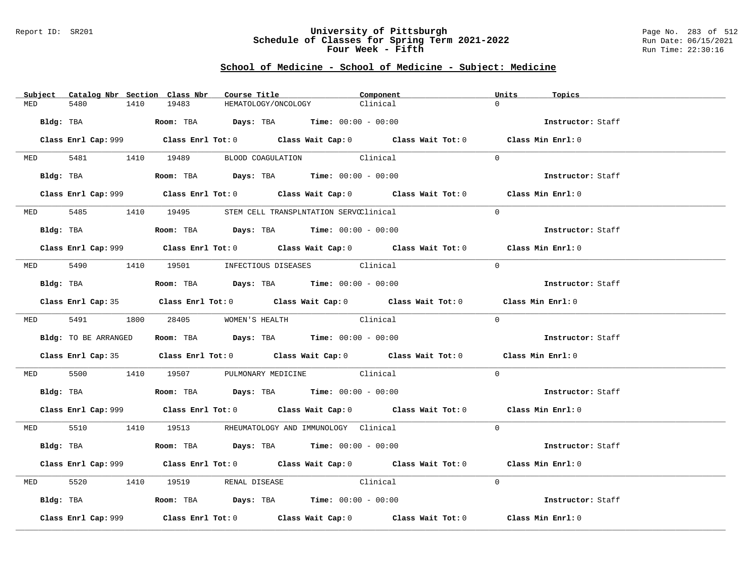### Report ID: SR201 **University of Pittsburgh** Page No. 283 of 512 **Schedule of Classes for Spring Term 2021-2022** Run Date: 06/15/2021 **Four Week - Fifth Run Time: 22:30:16**

|          | Subject Catalog Nbr Section Class Nbr |                                    | Course Title <b>Course In the Course I</b>                                                  | Component | Units<br>Topics   |  |
|----------|---------------------------------------|------------------------------------|---------------------------------------------------------------------------------------------|-----------|-------------------|--|
| MED      | 5480<br>1410                          | 19483                              | HEMATOLOGY/ONCOLOGY                                                                         | Clinical  | $\Omega$          |  |
|          |                                       |                                    | $Bldg:$ TBA $Room:$ TBA $Days:$ TBA $Time:$ $00:00 - 00:00$                                 |           | Instructor: Staff |  |
|          |                                       |                                    | Class Enrl Cap: 999 Class Enrl Tot: 0 Class Wait Cap: 0 Class Wait Tot: 0 Class Min Enrl: 0 |           |                   |  |
|          |                                       |                                    | MED 5481 1410 19489 BLOOD COAGULATION Clinical                                              |           | $\Omega$          |  |
|          |                                       |                                    | Bldg: TBA                  Room: TBA        Days: TBA        Time: 00:00 - 00:00            |           | Instructor: Staff |  |
|          |                                       |                                    | Class Enrl Cap: 999 Class Enrl Tot: 0 Class Wait Cap: 0 Class Wait Tot: 0 Class Min Enrl: 0 |           |                   |  |
|          |                                       |                                    | MED 5485 1410 19495 STEM CELL TRANSPLNTATION SERVCClinical                                  |           | $\Omega$          |  |
|          |                                       |                                    | Bldg: TBA                    Room: TBA         Days: TBA         Time: $00:00 - 00:00$      |           | Instructor: Staff |  |
|          |                                       |                                    | Class Enrl Cap: 999 Class Enrl Tot: 0 Class Wait Cap: 0 Class Wait Tot: 0 Class Min Enrl: 0 |           |                   |  |
|          |                                       |                                    | MED 5490 1410 19501 INFECTIOUS DISEASES Clinical                                            |           | $\Omega$          |  |
|          | Bldg: TBA                             |                                    | Room: TBA $Days:$ TBA $Time: 00:00 - 00:00$                                                 |           | Instructor: Staff |  |
|          |                                       |                                    | Class Enrl Cap: 35 Class Enrl Tot: 0 Class Wait Cap: 0 Class Wait Tot: 0 Class Min Enrl: 0  |           |                   |  |
|          |                                       | MED 5491 1800 28405 WOMEN'S HEALTH | Clinical                                                                                    |           | $\Omega$          |  |
|          |                                       |                                    | Bldg: TO BE ARRANGED Room: TBA Days: TBA Time: 00:00 - 00:00                                |           | Instructor: Staff |  |
|          |                                       |                                    | Class Enrl Cap: 35 Class Enrl Tot: 0 Class Wait Cap: 0 Class Wait Tot: 0 Class Min Enrl: 0  |           |                   |  |
|          |                                       |                                    | MED 5500 1410 19507 PULMONARY MEDICINE Clinical                                             |           | $\Omega$          |  |
|          |                                       |                                    | Bldg: TBA                    Room: TBA         Days: TBA         Time: $00:00 - 00:00$      |           | Instructor: Staff |  |
|          |                                       |                                    | Class Enrl Cap: 999 Class Enrl Tot: 0 Class Wait Cap: 0 Class Wait Tot: 0 Class Min Enrl: 0 |           |                   |  |
|          |                                       |                                    | MED 5510 1410 19513 RHEUMATOLOGY AND IMMUNOLOGY Clinical                                    |           | $\Omega$          |  |
|          |                                       |                                    | Bldg: TBA                    Room: TBA         Days: TBA         Time: $00:00 - 00:00$      |           | Instructor: Staff |  |
|          |                                       |                                    | Class Enrl Cap: 999 Class Enrl Tot: 0 Class Wait Cap: 0 Class Wait Tot: 0 Class Min Enrl: 0 |           |                   |  |
| MED 5520 |                                       |                                    | 1410 19519 RENAL DISEASE Clinical                                                           |           | $\Omega$          |  |
|          |                                       |                                    | Bldg: TBA                       Room: TBA           Days: TBA          Time: 00:00 - 00:00  |           | Instructor: Staff |  |
|          | Class Enrl Cap: 999                   |                                    | Class Enrl Tot: $0$ Class Wait Cap: $0$ Class Wait Tot: $0$                                 |           | Class Min Enrl: 0 |  |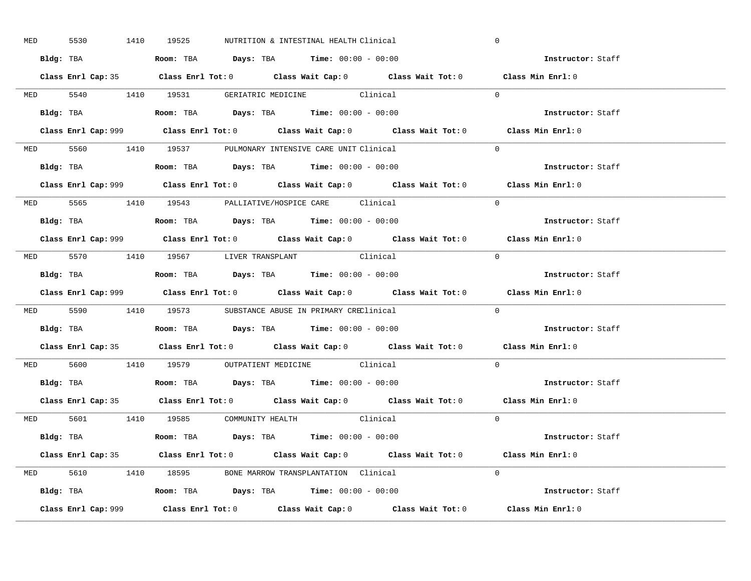| MED 5530 |  | 1410 19525 | NUTRITION & INTESTINAL HEALTH Clinical                                                      |                                                                                            | $\mathbf 0$                                                                                 |  |
|----------|--|------------|---------------------------------------------------------------------------------------------|--------------------------------------------------------------------------------------------|---------------------------------------------------------------------------------------------|--|
|          |  |            | Bldg: TBA                      Room: TBA         Days: TBA         Time: 00:00 - 00:00      |                                                                                            | Instructor: Staff                                                                           |  |
|          |  |            |                                                                                             | Class Enrl Cap: 35 Class Enrl Tot: 0 Class Wait Cap: 0 Class Wait Tot: 0 Class Min Enrl: 0 |                                                                                             |  |
|          |  |            | MED 5540 1410 19531 GERIATRIC MEDICINE Clinical                                             |                                                                                            | $\Omega$                                                                                    |  |
|          |  |            |                                                                                             |                                                                                            | Instructor: Staff                                                                           |  |
|          |  |            |                                                                                             |                                                                                            | Class Min Enrl: 0                                                                           |  |
|          |  |            | MED 5560 1410 19537 PULMONARY INTENSIVE CARE UNIT Clinical                                  |                                                                                            | $\Omega$                                                                                    |  |
|          |  |            | Bldg: TBA                   Room: TBA         Days: TBA         Time: 00:00 - 00:00         |                                                                                            | Instructor: Staff                                                                           |  |
|          |  |            |                                                                                             |                                                                                            | Class Enrl Cap: 999 Class Enrl Tot: 0 Class Wait Cap: 0 Class Wait Tot: 0 Class Min Enrl: 0 |  |
|          |  |            | MED 5565 1410 19543 PALLIATIVE/HOSPICE CARE Clinical                                        |                                                                                            | $\Omega$                                                                                    |  |
|          |  |            | Bldg: TBA                   Room: TBA         Days: TBA         Time: $00:00 - 00:00$       |                                                                                            | Instructor: Staff                                                                           |  |
|          |  |            |                                                                                             |                                                                                            | Class Enrl Cap: 999 Class Enrl Tot: 0 Class Wait Cap: 0 Class Wait Tot: 0 Class Min Enrl: 0 |  |
|          |  |            | MED 5570 1410 19567 LIVER TRANSPLANT Clinical                                               |                                                                                            | $\bigcap$                                                                                   |  |
|          |  |            | Bldg: TBA                   Room: TBA         Days: TBA         Time: $00:00 - 00:00$       |                                                                                            | Instructor: Staff                                                                           |  |
|          |  |            |                                                                                             |                                                                                            | Class Enrl Cap: 999 Class Enrl Tot: 0 Class Wait Cap: 0 Class Wait Tot: 0 Class Min Enrl: 0 |  |
|          |  |            | MED 5590 1410 19573 SUBSTANCE ABUSE IN PRIMARY CREClinical                                  |                                                                                            | $\Omega$                                                                                    |  |
|          |  |            | Bldg: TBA                    Room: TBA         Days: TBA         Time: 00:00 - 00:00        |                                                                                            | Instructor: Staff                                                                           |  |
|          |  |            |                                                                                             |                                                                                            | Class Enrl Cap: 35 Class Enrl Tot: 0 Class Wait Cap: 0 Class Wait Tot: 0 Class Min Enrl: 0  |  |
|          |  |            | MED 5600 1410 19579 OUTPATIENT MEDICINE Clinical                                            |                                                                                            | $\Omega$                                                                                    |  |
|          |  |            | Bldg: TBA                   Room: TBA         Days: TBA         Time: $00:00 - 00:00$       |                                                                                            | Instructor: Staff                                                                           |  |
|          |  |            |                                                                                             | Class Enrl Cap: 35 Class Enrl Tot: 0 Class Wait Cap: 0 Class Wait Tot: 0 Class Min Enrl: 0 |                                                                                             |  |
|          |  |            | MED 5601 1410 19585 COMMUNITY HEALTH Clinical                                               |                                                                                            | $\overline{0}$                                                                              |  |
|          |  |            | Bldg: TBA                        Room: TBA           Days: TBA          Time: 00:00 - 00:00 |                                                                                            | Instructor: Staff                                                                           |  |
|          |  |            |                                                                                             | Class Enrl Cap: 35 Class Enrl Tot: 0 Class Wait Cap: 0 Class Wait Tot: 0 Class Min Enrl: 0 |                                                                                             |  |
|          |  |            | MED 5610 1410 18595 BONE MARROW TRANSPLANTATION Clinical                                    |                                                                                            | $\Omega$                                                                                    |  |
|          |  |            | Bldg: TBA                   Room: TBA         Days: TBA        Time: 00:00 - 00:00          |                                                                                            | Instructor: Staff                                                                           |  |
|          |  |            |                                                                                             |                                                                                            |                                                                                             |  |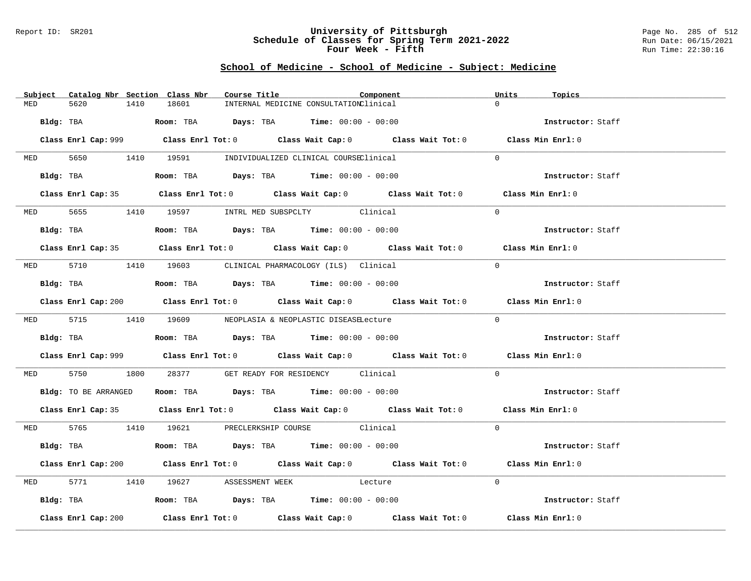### Report ID: SR201 **University of Pittsburgh** Page No. 285 of 512 **Schedule of Classes for Spring Term 2021-2022** Run Date: 06/15/2021 **Four Week - Fifth Run Time: 22:30:16**

|     | Subject Catalog Nbr Section Class Nbr | Course Title                                                                                               | Component                                                                                   | Units<br>Topics   |  |
|-----|---------------------------------------|------------------------------------------------------------------------------------------------------------|---------------------------------------------------------------------------------------------|-------------------|--|
| MED | 5620<br>1410                          | 18601                                                                                                      | INTERNAL MEDICINE CONSULTATIONClinical                                                      | $\Omega$          |  |
|     |                                       | Bldg: TBA                    Room: TBA         Days: TBA         Time: 00:00 - 00:00                       |                                                                                             | Instructor: Staff |  |
|     |                                       |                                                                                                            | Class Enrl Cap: 999 Class Enrl Tot: 0 Class Wait Cap: 0 Class Wait Tot: 0 Class Min Enrl: 0 |                   |  |
|     |                                       | MED 5650 1410 19591 INDIVIDUALIZED CLINICAL COURSEClinical                                                 |                                                                                             | $\Omega$          |  |
|     |                                       | Bldg: TBA                    Room: TBA         Days: TBA         Time: 00:00 - 00:00                       |                                                                                             | Instructor: Staff |  |
|     |                                       |                                                                                                            | Class Enrl Cap: 35 Class Enrl Tot: 0 Class Wait Cap: 0 Class Wait Tot: 0 Class Min Enrl: 0  |                   |  |
|     |                                       | MED 5655 1410 19597 INTRL MED SUBSPCLTY Clinical                                                           |                                                                                             | $\Omega$          |  |
|     |                                       | Bldg: TBA                   Room: TBA         Days: TBA         Time: $00:00 - 00:00$                      |                                                                                             | Instructor: Staff |  |
|     |                                       |                                                                                                            | Class Enrl Cap: 35 Class Enrl Tot: 0 Class Wait Cap: 0 Class Wait Tot: 0 Class Min Enrl: 0  |                   |  |
|     |                                       | MED 5710 1410 19603 CLINICAL PHARMACOLOGY (ILS) Clinical                                                   |                                                                                             | $\Omega$          |  |
|     |                                       |                                                                                                            |                                                                                             | Instructor: Staff |  |
|     |                                       |                                                                                                            | Class Enrl Cap: 200 Class Enrl Tot: 0 Class Wait Cap: 0 Class Wait Tot: 0 Class Min Enrl: 0 |                   |  |
|     |                                       | MED 5715 1410 19609 NEOPLASIA & NEOPLASTIC DISEASELecture                                                  |                                                                                             | $\Omega$          |  |
|     |                                       | Bldg: TBA                                 Room: TBA             Days: TBA            Time: $00:00 - 00:00$ |                                                                                             | Instructor: Staff |  |
|     |                                       |                                                                                                            | Class Enrl Cap: 999 Class Enrl Tot: 0 Class Wait Cap: 0 Class Wait Tot: 0 Class Min Enrl: 0 |                   |  |
|     | MED 5750                              | 1800 28377 GET READY FOR RESIDENCY Clinical                                                                |                                                                                             | $\Omega$          |  |
|     |                                       | Bldg: TO BE ARRANGED Room: TBA Days: TBA Time: 00:00 - 00:00                                               |                                                                                             | Instructor: Staff |  |
|     |                                       |                                                                                                            | Class Enrl Cap: 35 Class Enrl Tot: 0 Class Wait Cap: 0 Class Wait Tot: 0 Class Min Enrl: 0  |                   |  |
|     |                                       | MED 5765 1410 19621 PRECLERKSHIP COURSE Clinical                                                           |                                                                                             | $\Omega$          |  |
|     |                                       | Bldg: TBA                   Room: TBA         Days: TBA         Time: 00:00 - 00:00                        |                                                                                             | Instructor: Staff |  |
|     |                                       |                                                                                                            | Class Enrl Cap: 200 Class Enrl Tot: 0 Class Wait Cap: 0 Class Wait Tot: 0 Class Min Enrl: 0 |                   |  |
|     |                                       | MED 5771 1410 19627 ASSESSMENT WEEK Lecture                                                                |                                                                                             | $\Omega$          |  |
|     |                                       | Bldg: TBA                   Room: TBA         Days: TBA         Time: 00:00 - 00:00                        |                                                                                             | Instructor: Staff |  |
|     | Class Enrl Cap: 200                   |                                                                                                            | Class Enrl Tot: $0$ Class Wait Cap: $0$ Class Wait Tot: $0$ Class Min Enrl: $0$             |                   |  |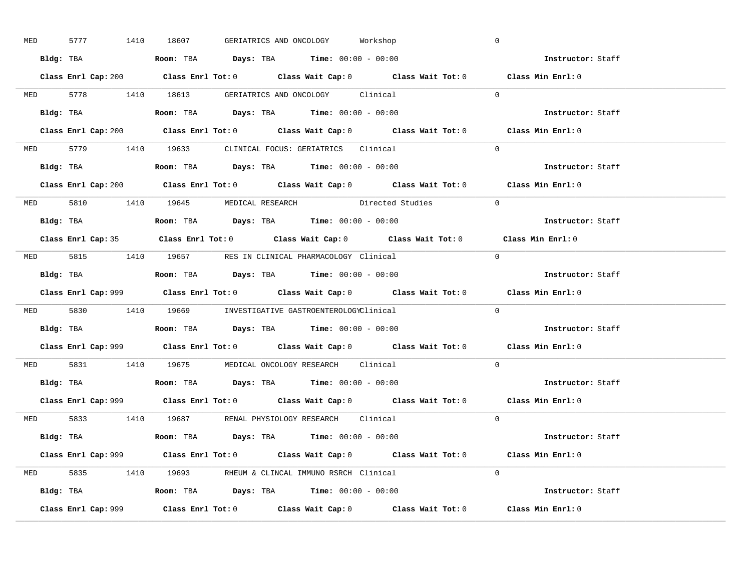| <b>MED</b> |  | 5777 1410 18607                                                                            |  | GERIATRICS AND ONCOLOGY Workshop |                                                                                             | $\overline{0}$ |                                    |
|------------|--|--------------------------------------------------------------------------------------------|--|----------------------------------|---------------------------------------------------------------------------------------------|----------------|------------------------------------|
|            |  | Bldg: TBA                   Room: TBA         Days: TBA         Time: $00:00 - 00:00$      |  |                                  |                                                                                             |                | <b>Example 2</b> Instructor: Staff |
|            |  |                                                                                            |  |                                  | Class Enrl Cap: 200 Class Enrl Tot: 0 Class Wait Cap: 0 Class Wait Tot: 0 Class Min Enrl: 0 |                |                                    |
|            |  |                                                                                            |  |                                  | MED 5778 1410 18613 GERIATRICS AND ONCOLOGY Clinical 0                                      |                |                                    |
|            |  | Bldg: TBA                   Room: TBA         Days: TBA         Time: $00:00 - 00:00$      |  |                                  |                                                                                             |                | Instructor: Staff                  |
|            |  |                                                                                            |  |                                  | Class Enrl Cap: 200 Class Enrl Tot: 0 Class Wait Cap: 0 Class Wait Tot: 0 Class Min Enrl: 0 |                |                                    |
|            |  | MED 5779 1410 19633 CLINICAL FOCUS: GERIATRICS Clinical                                    |  |                                  |                                                                                             | $\Omega$       |                                    |
|            |  | Bldg: TBA                       Room: TBA         Days: TBA         Time: 00:00 - 00:00    |  |                                  |                                                                                             |                | Instructor: Staff                  |
|            |  |                                                                                            |  |                                  | Class Enrl Cap: 200 Class Enrl Tot: 0 Class Wait Cap: 0 Class Wait Tot: 0 Class Min Enrl: 0 |                |                                    |
|            |  |                                                                                            |  |                                  | MED 5810 1410 19645 MEDICAL RESEARCH Directed Studies                                       | $\overline{0}$ |                                    |
|            |  |                                                                                            |  |                                  |                                                                                             |                | Instructor: Staff                  |
|            |  |                                                                                            |  |                                  | Class Enrl Cap: 35 Class Enrl Tot: 0 Class Wait Cap: 0 Class Wait Tot: 0 Class Min Enrl: 0  |                |                                    |
|            |  | MED 5815 1410 19657 RES IN CLINICAL PHARMACOLOGY Clinical                                  |  |                                  |                                                                                             | $\bigcirc$     |                                    |
|            |  | <b>Bldg:</b> TBA <b>ROOM:</b> TBA <b>Days:</b> TBA <b>Time:</b> $00:00 - 00:00$            |  |                                  |                                                                                             |                | Instructor: Staff                  |
|            |  |                                                                                            |  |                                  | Class Enrl Cap: 999 Class Enrl Tot: 0 Class Wait Cap: 0 Class Wait Tot: 0 Class Min Enrl: 0 |                |                                    |
|            |  | MED 5830 1410 19669 INVESTIGATIVE GASTROENTEROLOGYClinical                                 |  |                                  |                                                                                             | $\Omega$       |                                    |
|            |  | Bldg: TBA                    Room: TBA         Days: TBA        Time: $00:00 - 00:00$      |  |                                  |                                                                                             |                | Instructor: Staff                  |
|            |  |                                                                                            |  |                                  | Class Enrl Cap: 999 Class Enrl Tot: 0 Class Wait Cap: 0 Class Wait Tot: 0 Class Min Enrl: 0 |                |                                    |
|            |  | MED 5831 1410 19675 MEDICAL ONCOLOGY RESEARCH Clinical                                     |  |                                  |                                                                                             | $\Omega$       |                                    |
|            |  | Bldg: TBA                   Room: TBA         Days: TBA         Time: $00:00 - 00:00$      |  |                                  |                                                                                             |                | Instructor: Staff                  |
|            |  |                                                                                            |  |                                  | Class Enrl Cap: 999 Class Enrl Tot: 0 Class Wait Cap: 0 Class Wait Tot: 0 Class Min Enrl: 0 |                |                                    |
|            |  |                                                                                            |  |                                  | MED 5833 1410 19687 RENAL PHYSIOLOGY RESEARCH Clinical                                      | $\Omega$       |                                    |
|            |  |                                                                                            |  |                                  |                                                                                             |                |                                    |
|            |  | Bldg: TBA                       Room: TBA           Days: TBA          Time: 00:00 - 00:00 |  |                                  |                                                                                             |                | Instructor: Staff                  |
|            |  |                                                                                            |  |                                  | Class Enrl Cap: 999 Class Enrl Tot: 0 Class Wait Cap: 0 Class Wait Tot: 0 Class Min Enrl: 0 |                |                                    |
|            |  | MED 5835 1410 19693 RHEUM & CLINCAL IMMUNO RSRCH Clinical                                  |  |                                  |                                                                                             | $\Omega$       |                                    |
|            |  | Bldg: TBA                    Room: TBA         Days: TBA         Time: $00:00 - 00:00$     |  |                                  |                                                                                             |                | Instructor: Staff                  |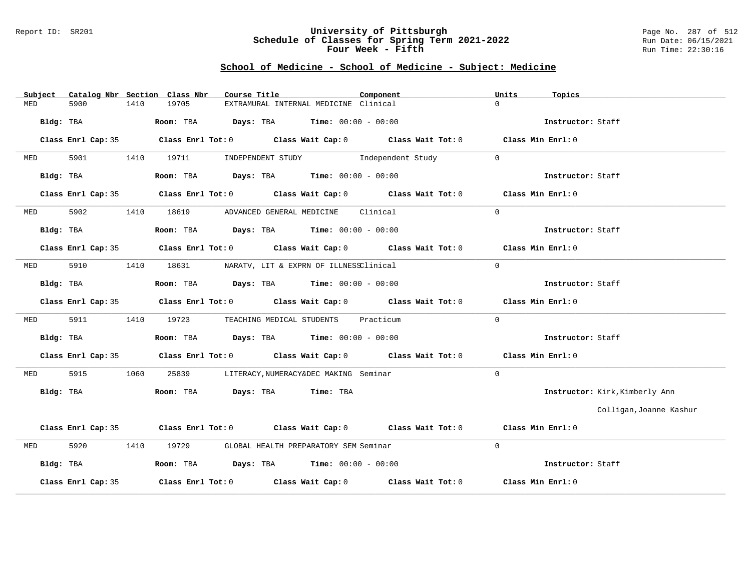#### Report ID: SR201 **University of Pittsburgh** Page No. 287 of 512 **Schedule of Classes for Spring Term 2021-2022** Run Date: 06/15/2021 **Four Week - Fifth Run Time: 22:30:16**

| Subject    |                    |      | Catalog Nbr Section Class Nbr | Course Title                                                                                       | Component | Units<br>Topics                |
|------------|--------------------|------|-------------------------------|----------------------------------------------------------------------------------------------------|-----------|--------------------------------|
| MED        | 5900               | 1410 | 19705                         | EXTRAMURAL INTERNAL MEDICINE Clinical                                                              |           | $\Omega$                       |
|            | Bldg: TBA          |      |                               | Room: TBA $Days: TBA$ Time: $00:00 - 00:00$                                                        |           | Instructor: Staff              |
|            | Class Enrl Cap: 35 |      |                               | Class Enrl Tot: 0 $\qquad$ Class Wait Cap: 0 $\qquad$ Class Wait Tot: 0 $\qquad$ Class Min Enrl: 0 |           |                                |
| <b>MED</b> | 5901               |      |                               | 1410 19711 INDEPENDENT STUDY 1ndependent Study                                                     |           | $\Omega$                       |
|            | Bldg: TBA          |      |                               | Room: TBA $Days:$ TBA Time: $00:00 - 00:00$                                                        |           | Instructor: Staff              |
|            | Class Enrl Cap: 35 |      |                               | Class Enrl Tot: 0 $\qquad$ Class Wait Cap: 0 $\qquad$ Class Wait Tot: 0 $\qquad$ Class Min Enrl: 0 |           |                                |
| MED        | 5902               |      |                               | 1410 18619 ADVANCED GENERAL MEDICINE Clinical                                                      |           | $\Omega$                       |
|            | Bldg: TBA          |      |                               | Room: TBA $Days:$ TBA $Time:$ $00:00 - 00:00$                                                      |           | Instructor: Staff              |
|            |                    |      |                               | Class Enrl Cap: 35 Class Enrl Tot: 0 Class Wait Cap: 0 Class Wait Tot: 0 Class Min Enrl: 0         |           |                                |
| <b>MED</b> | 5910               | 1410 |                               | 18631 NARATV, LIT & EXPRN OF ILLNESSClinical                                                       |           | $\overline{0}$                 |
|            | Bldg: TBA          |      |                               | Room: TBA $Days:$ TBA $Time: 00:00 - 00:00$                                                        |           | Instructor: Staff              |
|            |                    |      |                               | Class Enrl Cap: 35 Class Enrl Tot: 0 Class Wait Cap: 0 Class Wait Tot: 0 Class Min Enrl: 0         |           |                                |
| MED        | 5911               | 1410 |                               | 19723 TEACHING MEDICAL STUDENTS Practicum                                                          |           | $\mathbf{0}$                   |
|            | Bldg: TBA          |      |                               | Room: TBA $Days:$ TBA $Time: 00:00 - 00:00$                                                        |           | Instructor: Staff              |
|            |                    |      |                               | Class Enrl Cap: 35 Class Enrl Tot: 0 Class Wait Cap: 0 Class Wait Tot: 0 Class Min Enrl: 0         |           |                                |
| MED        | 5915               | 1060 | 25839                         | LITERACY, NUMERACY&DEC MAKING Seminar                                                              |           | $\Omega$                       |
|            | Bldg: TBA          |      |                               | Room: TBA Days: TBA Time: TBA                                                                      |           | Instructor: Kirk, Kimberly Ann |
|            |                    |      |                               |                                                                                                    |           | Colligan, Joanne Kashur        |
|            |                    |      |                               | Class Enrl Cap: 35 Class Enrl Tot: 0 Class Wait Cap: 0 Class Wait Tot: 0 Class Min Enrl: 0         |           |                                |
| MED        | 5920               | 1410 |                               | 19729 GLOBAL HEALTH PREPARATORY SEM Seminar                                                        |           | $\Omega$                       |
|            | Bldg: TBA          |      |                               | Room: TBA $Days:$ TBA $Time: 00:00 - 00:00$                                                        |           | Instructor: Staff              |
|            | Class Enrl Cap: 35 |      |                               | Class Enrl Tot: $0$ class Wait Cap: $0$ class Wait Tot: $0$                                        |           | Class Min Enrl: 0              |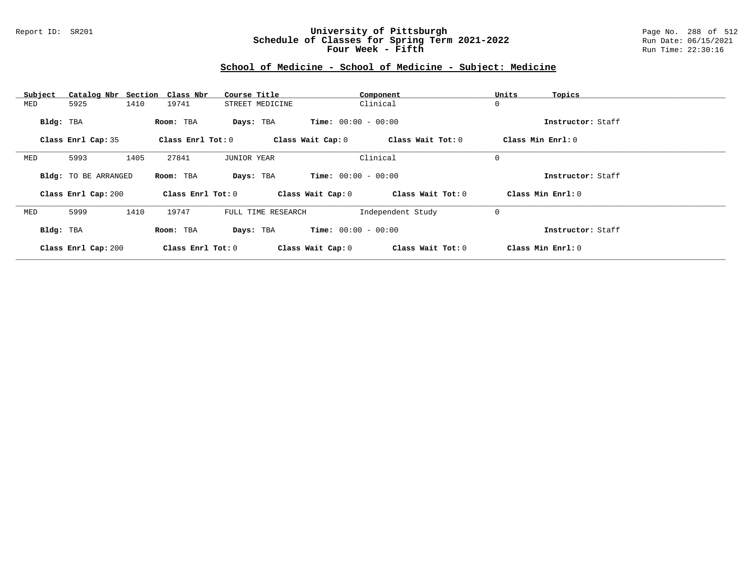### Report ID: SR201 **University of Pittsburgh** Page No. 288 of 512 **Schedule of Classes for Spring Term 2021-2022** Run Date: 06/15/2021 **Four Week - Fifth Run Time: 22:30:16**

| Subject   |                      |      | Catalog Nbr Section Class Nbr | Course Title       |                    |                              | Component         | Units | Topics            |
|-----------|----------------------|------|-------------------------------|--------------------|--------------------|------------------------------|-------------------|-------|-------------------|
| MED       | 5925                 | 1410 | 19741                         |                    | STREET MEDICINE    |                              | Clinical          | 0     |                   |
| Bldg: TBA |                      |      | Room: TBA                     |                    | Days: TBA          | <b>Time:</b> $00:00 - 00:00$ |                   |       | Instructor: Staff |
|           | Class Enrl Cap: 35   |      | Class Enrl Tot: 0             |                    |                    | Class Wait Cap: 0            | Class Wait Tot: 0 |       | Class Min Enrl: 0 |
| MED       | 5993                 | 1405 | 27841                         | <b>JUNIOR YEAR</b> |                    |                              | Clinical          | 0     |                   |
|           | Bldg: TO BE ARRANGED |      | Room: TBA                     |                    | Days: TBA          | <b>Time:</b> $00:00 - 00:00$ |                   |       | Instructor: Staff |
|           | Class Enrl Cap: 200  |      | Class Enrl Tot: 0             |                    |                    | Class Wait Cap: 0            | Class Wait Tot: 0 |       | Class Min Enrl: 0 |
| MED       | 5999                 | 1410 | 19747                         |                    | FULL TIME RESEARCH |                              | Independent Study | 0     |                   |
| Bldg: TBA |                      |      | Room: TBA                     |                    | Days: TBA          | <b>Time:</b> $00:00 - 00:00$ |                   |       | Instructor: Staff |
|           | Class Enrl Cap: 200  |      | Class Enrl Tot: 0             |                    |                    | Class Wait Cap: 0            | Class Wait Tot: 0 |       | Class Min Enrl: 0 |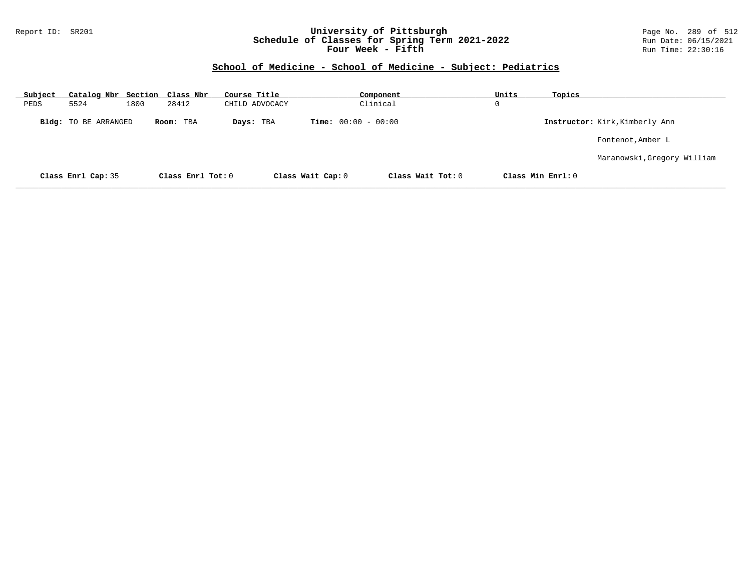### Report ID: SR201 **University of Pittsburgh** Page No. 289 of 512 **Schedule of Classes for Spring Term 2021-2022** Run Date: 06/15/2021 **Four Week - Fifth Run Time: 22:30:16**

### **School of Medicine - School of Medicine - Subject: Pediatrics**

| Subject | Catalog Nbr Section Class Nbr |      |                   | Course Title   |                              | Component           | Units | Topics            |                                |
|---------|-------------------------------|------|-------------------|----------------|------------------------------|---------------------|-------|-------------------|--------------------------------|
| PEDS    | 5524                          | 1800 | 28412             | CHILD ADVOCACY |                              | Clinical            | 0     |                   |                                |
|         | <b>Bldg:</b> TO BE ARRANGED   |      | Room: TBA         | Days: TBA      | <b>Time:</b> $00:00 - 00:00$ |                     |       |                   | Instructor: Kirk, Kimberly Ann |
|         |                               |      |                   |                |                              |                     |       |                   | Fontenot, Amber L              |
|         |                               |      |                   |                |                              |                     |       |                   | Maranowski, Gregory William    |
|         | Class Enrl Cap: 35            |      | Class Enrl Tot: 0 |                | Class Wait Cap: 0            | Class Wait $Tot: 0$ |       | Class Min Enrl: 0 |                                |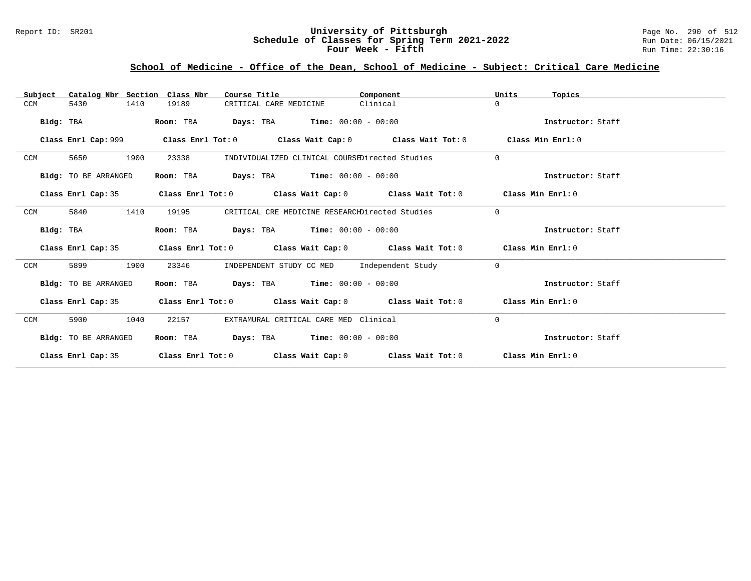### Report ID: SR201 **University of Pittsburgh** Page No. 290 of 512 **Schedule of Classes for Spring Term 2021-2022** Run Date: 06/15/2021 **Four Week - Fifth Run Time: 22:30:16**

# **School of Medicine - Office of the Dean, School of Medicine - Subject: Critical Care Medicine**

| Catalog Nbr Section Class Nbr<br>Subject | Course Title                                                                                         | Component | Units<br>Topics   |
|------------------------------------------|------------------------------------------------------------------------------------------------------|-----------|-------------------|
| 5430<br>1410<br>CCM                      | 19189<br>CRITICAL CARE MEDICINE                                                                      | Clinical  | $\Omega$          |
| Bldg: TBA                                | <b>Days:</b> TBA <b>Time:</b> $00:00 - 00:00$<br>Room: TBA                                           |           | Instructor: Staff |
|                                          | Class Enrl Cap: 999 $\qquad$ Class Enrl Tot: 0 $\qquad$ Class Wait Cap: 0 $\qquad$ Class Wait Tot: 0 |           | Class Min Enrl: 0 |
| 1900<br>CCM<br>5650                      | 23338<br>INDIVIDUALIZED CLINICAL COURSEDirected Studies                                              |           | $\Omega$          |
| Bldg: TO BE ARRANGED                     | $\texttt{Days:}$ TBA $\texttt{Time:}$ 00:00 - 00:00<br>Room: TBA                                     |           | Instructor: Staff |
| Class Enrl Cap: 35                       | Class Enrl Tot: 0 $\,$ Class Wait Cap: 0 $\,$ Class Wait Tot: 0 $\,$ Class Min Enrl: 0 $\,$          |           |                   |
| 5840<br>1410<br>CCM                      | CRITICAL CRE MEDICINE RESEARCHDirected Studies<br>19195                                              |           | $\Omega$          |
| Bldg: TBA                                | <b>Days:</b> TBA <b>Time:</b> $00:00 - 00:00$<br>Room: TBA                                           |           | Instructor: Staff |
| Class Enrl Cap: 35                       | Class Enrl Tot: $0$ Class Wait Cap: $0$ Class Wait Tot: $0$ Class Min Enrl: $0$                      |           |                   |
| 1900<br>CCM<br>5899                      | INDEPENDENT STUDY CC MED Independent Study<br>23346                                                  |           | $\Omega$          |
| Bldg: TO BE ARRANGED                     | Room: TBA $Days: TBA$ Time: $00:00 - 00:00$                                                          |           | Instructor: Staff |
| Class Enrl Cap: 35                       | Class Enrl Tot: $0$ Class Wait Cap: $0$ Class Wait Tot: $0$ Class Min Enrl: $0$                      |           |                   |
| 1040<br>CCM<br>5900                      | 22157<br>EXTRAMURAL CRITICAL CARE MED Clinical                                                       |           | $\Omega$          |
| Bldg: TO BE ARRANGED                     | <b>Days:</b> TBA <b>Time:</b> $00:00 - 00:00$<br>Room: TBA                                           |           | Instructor: Staff |
| Class Enrl Cap: 35                       | Class Enrl Tot: $0$ Class Wait Cap: $0$ Class Wait Tot: $0$ Class Min Enrl: $0$                      |           |                   |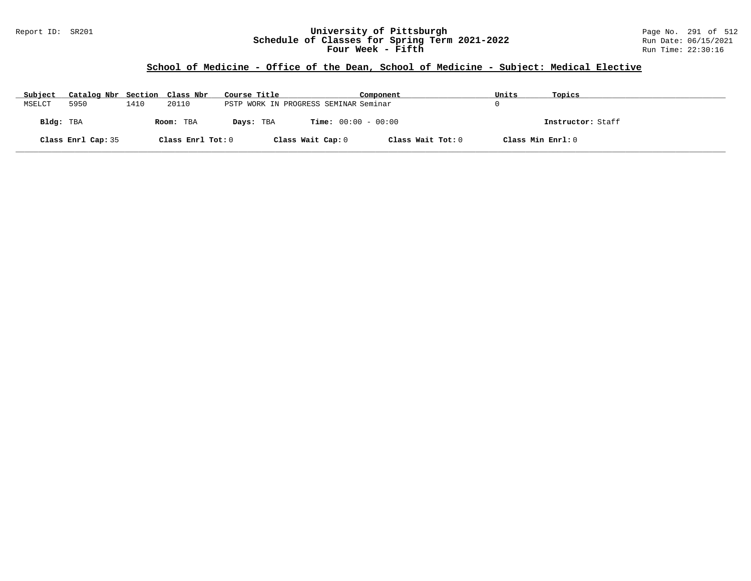### Report ID: SR201 **University of Pittsburgh** Page No. 291 of 512 **Schedule of Classes for Spring Term 2021-2022** Run Date: 06/15/2021 **Four Week - Fifth Run Time: 22:30:16**

### **School of Medicine - Office of the Dean, School of Medicine - Subject: Medical Elective**

| Subject   | Catalog Nbr Section Class Nbr |      |                   | Course Title |                                       | Component         | Units             | Topics            |
|-----------|-------------------------------|------|-------------------|--------------|---------------------------------------|-------------------|-------------------|-------------------|
| MSELCT    | 5950                          | 1410 | 20110             |              | PSTP WORK IN PROGRESS SEMINAR Seminar |                   |                   |                   |
| Bldg: TBA |                               |      | Room: TBA         | Days: TBA    | <b>Time:</b> $00:00 - 00:00$          |                   |                   | Instructor: Staff |
|           | Class Enrl Cap: 35            |      | Class Enrl Tot: 0 |              | Class Wait Cap: 0                     | Class Wait Tot: 0 | Class Min Enrl: 0 |                   |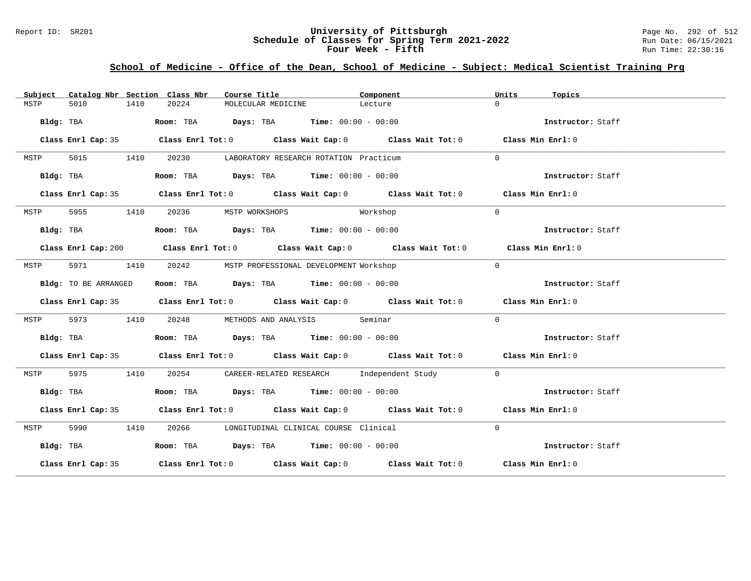### Report ID: SR201 **University of Pittsburgh** Page No. 292 of 512 **Schedule of Classes for Spring Term 2021-2022** Run Date: 06/15/2021 **Four Week - Fifth Run Time: 22:30:16**

# **School of Medicine - Office of the Dean, School of Medicine - Subject: Medical Scientist Training Prg**

| Subject |                      |      | Catalog Nbr Section Class Nbr  | Course Title |                    |                                                                                      | Component                                                                                   | Units    | Topics            |
|---------|----------------------|------|--------------------------------|--------------|--------------------|--------------------------------------------------------------------------------------|---------------------------------------------------------------------------------------------|----------|-------------------|
| MSTP    | 5010                 | 1410 | 20224                          |              | MOLECULAR MEDICINE |                                                                                      | Lecture                                                                                     | $\Omega$ |                   |
|         |                      |      |                                |              |                    | Bldg: TBA                    Room: TBA         Days: TBA         Time: 00:00 - 00:00 |                                                                                             |          | Instructor: Staff |
|         |                      |      |                                |              |                    |                                                                                      | Class Enrl Cap: 35 Class Enrl Tot: 0 Class Wait Cap: 0 Class Wait Tot: 0 Class Min Enrl: 0  |          |                   |
| MSTP    |                      |      |                                |              |                    | 5015 1410 20230 LABORATORY RESEARCH ROTATION Practicum                               |                                                                                             | $\Omega$ |                   |
|         |                      |      |                                |              |                    | Bldg: TBA                   Room: TBA         Days: TBA         Time: 00:00 - 00:00  |                                                                                             |          | Instructor: Staff |
|         |                      |      |                                |              |                    |                                                                                      | Class Enrl Cap: 35 Class Enrl Tot: 0 Class Wait Cap: 0 Class Wait Tot: 0 Class Min Enrl: 0  |          |                   |
| MSTP    |                      |      | 5955 1410 20236 MSTP WORKSHOPS |              |                    | Workshop                                                                             |                                                                                             | $\Omega$ |                   |
|         | Bldg: TBA            |      |                                |              |                    | <b>Room:</b> TBA <b>Days:</b> TBA <b>Time:</b> $00:00 - 00:00$                       |                                                                                             |          | Instructor: Staff |
|         |                      |      |                                |              |                    |                                                                                      | Class Enrl Cap: 200 Class Enrl Tot: 0 Class Wait Cap: 0 Class Wait Tot: 0 Class Min Enrl: 0 |          |                   |
| MSTP    |                      |      |                                |              |                    | 5971 1410 20242 MSTP PROFESSIONAL DEVELOPMENT Workshop                               |                                                                                             | $\Omega$ |                   |
|         | Bldg: TO BE ARRANGED |      |                                |              |                    | Room: TBA $Days:$ TBA $Time: 00:00 - 00:00$                                          |                                                                                             |          | Instructor: Staff |
|         |                      |      |                                |              |                    |                                                                                      | Class Enrl Cap: 35 Class Enrl Tot: 0 Class Wait Cap: 0 Class Wait Tot: 0 Class Min Enrl: 0  |          |                   |
| MSTP    | 5973 1410            |      |                                |              |                    | 20248 METHODS AND ANALYSIS Seminar                                                   |                                                                                             | $\Omega$ |                   |
|         |                      |      |                                |              |                    | Bldg: TBA                   Room: TBA         Days: TBA         Time: 00:00 - 00:00  |                                                                                             |          | Instructor: Staff |
|         |                      |      |                                |              |                    |                                                                                      | Class Enrl Cap: 35 Class Enrl Tot: 0 Class Wait Cap: 0 Class Wait Tot: 0 Class Min Enrl: 0  |          |                   |
| MSTP    | 5975 1410            |      |                                |              |                    |                                                                                      | 20254 CAREER-RELATED RESEARCH Independent Study                                             | $\Omega$ |                   |
|         |                      |      |                                |              |                    |                                                                                      | Bldg: TBA Room: TBA Days: TBA Time: 00:00 - 00:00                                           |          | Instructor: Staff |
|         |                      |      |                                |              |                    |                                                                                      | Class Enrl Cap: 35 Class Enrl Tot: 0 Class Wait Cap: 0 Class Wait Tot: 0 Class Min Enrl: 0  |          |                   |
| MSTP    |                      |      |                                |              |                    | 5990 1410 20266 LONGITUDINAL CLINICAL COURSE Clinical                                |                                                                                             | $\Omega$ |                   |
|         | Bldg: TBA            |      |                                |              |                    | $\texttt{Room:}$ TBA $\texttt{Days:}$ TBA $\texttt{Time:}$ 00:00 - 00:00             |                                                                                             |          | Instructor: Staff |
|         |                      |      |                                |              |                    |                                                                                      | Class Enrl Cap: 35 Class Enrl Tot: 0 Class Wait Cap: 0 Class Wait Tot: 0 Class Min Enrl: 0  |          |                   |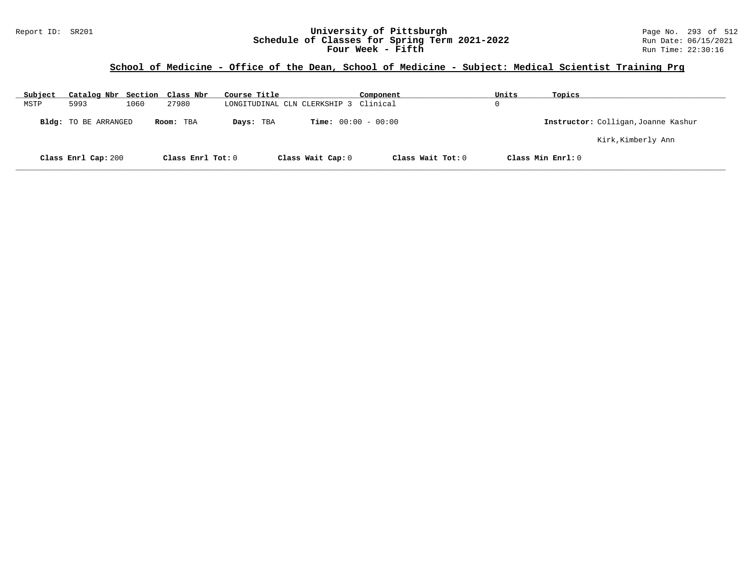### Report ID: SR201 **University of Pittsburgh** Page No. 293 of 512 **Schedule of Classes for Spring Term 2021-2022** Run Date: 06/15/2021 **Four Week - Fifth Run Time: 22:30:16**

# **School of Medicine - Office of the Dean, School of Medicine - Subject: Medical Scientist Training Prg**

| Subject | Catalog Nbr Section Class Nbr |      |                   | Course Title |                                       | Component         | Units | Topics                              |
|---------|-------------------------------|------|-------------------|--------------|---------------------------------------|-------------------|-------|-------------------------------------|
| MSTP    | 5993                          | 1060 | 27980             |              | LONGITUDINAL CLN CLERKSHIP 3 Clinical |                   | 0     |                                     |
|         | Bldg: TO BE ARRANGED          |      | Room: TBA         | Days: TBA    | <b>Time:</b> $00:00 - 00:00$          |                   |       | Instructor: Colligan, Joanne Kashur |
|         |                               |      |                   |              |                                       |                   |       | Kirk,Kimberly Ann                   |
|         | Class Enrl Cap: 200           |      | Class Enrl Tot: 0 |              | Class Wait Cap: 0                     | Class Wait Tot: 0 |       | Class Min Enrl: 0                   |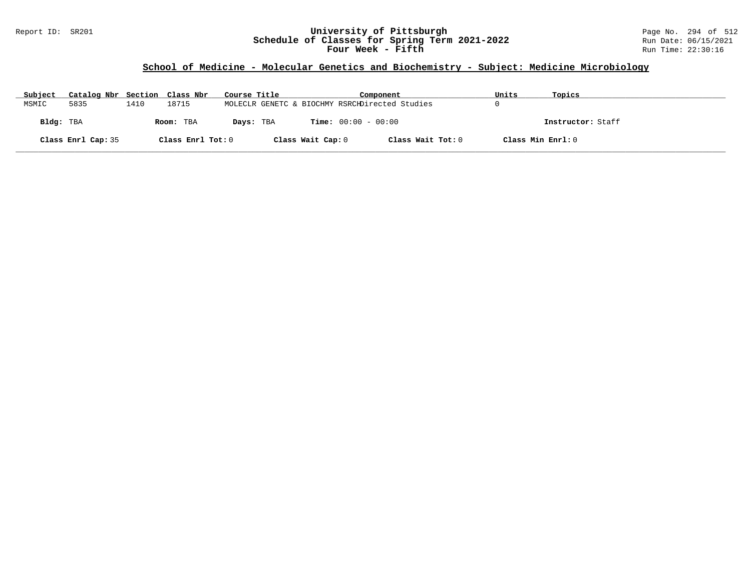### Report ID: SR201 **University of Pittsburgh** Page No. 294 of 512 **Schedule of Classes for Spring Term 2021-2022** Run Date: 06/15/2021 **Four Week - Fifth Run Time: 22:30:16**

# **School of Medicine - Molecular Genetics and Biochemistry - Subject: Medicine Microbiology**

| Subject   | Catalog Nbr Section Class Nbr |      |                   | Course Title |                   | Component                                      | Units             | Topics            |
|-----------|-------------------------------|------|-------------------|--------------|-------------------|------------------------------------------------|-------------------|-------------------|
| MSMIC     | 5835                          | 1410 | 18715             |              |                   | MOLECLR GENETC & BIOCHMY RSRCHDirected Studies |                   |                   |
| Bldg: TBA |                               |      | Room: TBA         | Days: TBA    |                   | <b>Time:</b> $00:00 - 00:00$                   |                   | Instructor: Staff |
|           | Class Enrl Cap: 35            |      | Class Enrl Tot: 0 |              | Class Wait Cap: 0 | Class Wait Tot: 0                              | Class Min Enrl: 0 |                   |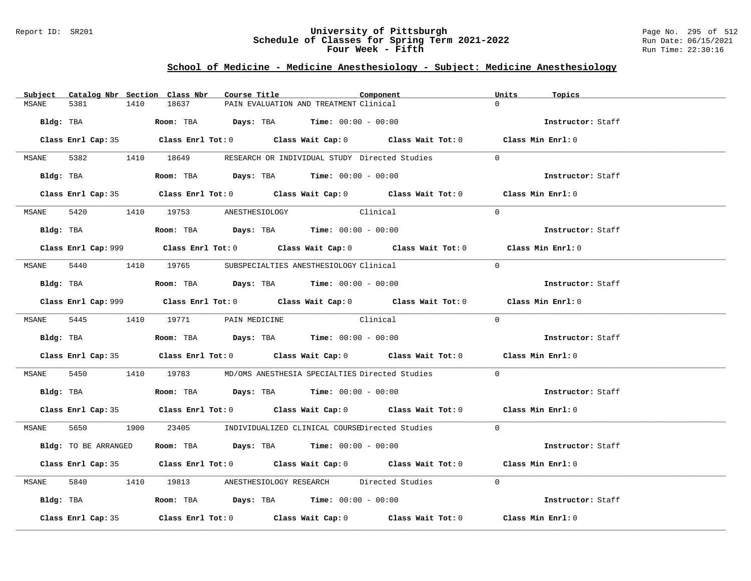### Report ID: SR201 **University of Pittsburgh** Page No. 295 of 512 **Schedule of Classes for Spring Term 2021-2022** Run Date: 06/15/2021 **Four Week - Fifth Run Time: 22:30:16**

# **School of Medicine - Medicine Anesthesiology - Subject: Medicine Anesthesiology**

|       |                      |      | Subject Catalog Nbr Section Class Nbr | Course Title |                                                                                               | Component                                                                                   | Units    | Topics            |
|-------|----------------------|------|---------------------------------------|--------------|-----------------------------------------------------------------------------------------------|---------------------------------------------------------------------------------------------|----------|-------------------|
| MSANE | 5381                 | 1410 | 18637                                 |              | PAIN EVALUATION AND TREATMENT Clinical                                                        |                                                                                             | $\Omega$ |                   |
|       | Bldg: TBA            |      |                                       |              | Room: TBA $Days:$ TBA $Time: 00:00 - 00:00$                                                   |                                                                                             |          | Instructor: Staff |
|       |                      |      |                                       |              |                                                                                               | Class Enrl Cap: 35 Class Enrl Tot: 0 Class Wait Cap: 0 Class Wait Tot: 0 Class Min Enrl: 0  |          |                   |
|       |                      |      |                                       |              |                                                                                               | MSANE 5382 1410 18649 RESEARCH OR INDIVIDUAL STUDY Directed Studies                         | $\Omega$ |                   |
|       |                      |      |                                       |              | Bldg: TBA                    Room: TBA          Days: TBA         Time: 00:00 - 00:00         |                                                                                             |          | Instructor: Staff |
|       |                      |      |                                       |              |                                                                                               | Class Enrl Cap: 35 Class Enrl Tot: 0 Class Wait Cap: 0 Class Wait Tot: 0 Class Min Enrl: 0  |          |                   |
|       |                      |      | MSANE 5420 1410 19753 ANESTHESIOLOGY  |              | Clinical                                                                                      |                                                                                             | $\Omega$ |                   |
|       |                      |      |                                       |              | Bldg: TBA                   Room: TBA         Days: TBA         Time: $00:00 - 00:00$         |                                                                                             |          | Instructor: Staff |
|       |                      |      |                                       |              |                                                                                               | Class Enrl Cap: 999 Class Enrl Tot: 0 Class Wait Cap: 0 Class Wait Tot: 0 Class Min Enrl: 0 |          |                   |
|       |                      |      |                                       |              | MSANE 5440 1410 19765 SUBSPECIALTIES ANESTHESIOLOGY Clinical                                  |                                                                                             | $\Omega$ |                   |
|       |                      |      |                                       |              | Bldg: TBA                   Room: TBA         Days: TBA        Time: $00:00 - 00:00$          |                                                                                             |          | Instructor: Staff |
|       |                      |      |                                       |              |                                                                                               | Class Enrl Cap: 999 Class Enrl Tot: 0 Class Wait Cap: 0 Class Wait Tot: 0 Class Min Enrl: 0 |          |                   |
|       |                      |      |                                       |              | MSANE 5445 1410 19771 PAIN MEDICINE Clinical                                                  |                                                                                             | $\Omega$ |                   |
|       |                      |      |                                       |              | Bldg: TBA                          Room: TBA          Days: TBA         Time: $00:00 - 00:00$ |                                                                                             |          | Instructor: Staff |
|       |                      |      |                                       |              |                                                                                               | Class Enrl Cap: 35 Class Enrl Tot: 0 Class Wait Cap: 0 Class Wait Tot: 0 Class Min Enrl: 0  |          |                   |
|       |                      |      |                                       |              |                                                                                               | MSANE 5450 1410 19783 MD/OMS ANESTHESIA SPECIALTIES Directed Studies 0                      |          |                   |
|       |                      |      |                                       |              | Bldg: TBA                   Room: TBA         Days: TBA        Time: 00:00 - 00:00            |                                                                                             |          | Instructor: Staff |
|       |                      |      |                                       |              |                                                                                               | Class Enrl Cap: 35 Class Enrl Tot: 0 Class Wait Cap: 0 Class Wait Tot: 0 Class Min Enrl: 0  |          |                   |
|       |                      |      |                                       |              |                                                                                               | MSANE 5650 1900 23405 INDIVIDUALIZED CLINICAL COURSEDirected Studies                        | $\Omega$ |                   |
|       | Bldg: TO BE ARRANGED |      |                                       |              | Room: TBA $\rule{1em}{0.15mm}$ Days: TBA Time: $00:00 - 00:00$                                |                                                                                             |          | Instructor: Staff |
|       |                      |      |                                       |              |                                                                                               | Class Enrl Cap: 35 Class Enrl Tot: 0 Class Wait Cap: 0 Class Wait Tot: 0 Class Min Enrl: 0  |          |                   |
|       |                      |      |                                       |              |                                                                                               | MSANE 5840 1410 19813 ANESTHESIOLOGY RESEARCH Directed Studies                              | $\Omega$ |                   |
|       |                      |      |                                       |              | Bldg: TBA                   Room: TBA        Days: TBA        Time: 00:00 - 00:00             |                                                                                             |          | Instructor: Staff |
|       | Class Enrl Cap: 35   |      |                                       |              |                                                                                               | Class Enrl Tot: $0$ Class Wait Cap: $0$ Class Wait Tot: $0$ Class Min Enrl: $0$             |          |                   |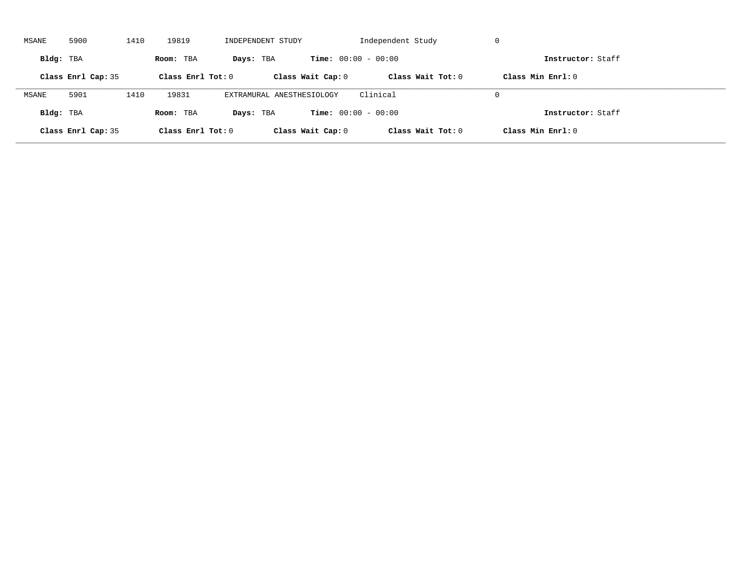| MSANE     | 5900               | 1410 | 19819             | INDEPENDENT STUDY         |                              | Independent Study | -U                |  |
|-----------|--------------------|------|-------------------|---------------------------|------------------------------|-------------------|-------------------|--|
| Bldg: TBA |                    |      | Room: TBA         | Days: TBA                 | <b>Time:</b> $00:00 - 00:00$ |                   | Instructor: Staff |  |
|           | Class Enrl Cap: 35 |      | Class Enrl Tot: 0 |                           | Class Wait Cap: 0            | Class Wait Tot: 0 | Class Min Enrl: 0 |  |
| MSANE     | 5901               | 1410 | 19831             | EXTRAMURAL ANESTHESIOLOGY |                              | Clinical          | $\Omega$          |  |
| Bldg: TBA |                    |      | Room: TBA         | Days: TBA                 | <b>Time:</b> $00:00 - 00:00$ |                   | Instructor: Staff |  |
|           | Class Enrl Cap: 35 |      | Class Enrl Tot: 0 |                           | Class Wait Cap: 0            | Class Wait Tot: 0 | Class Min Enrl: 0 |  |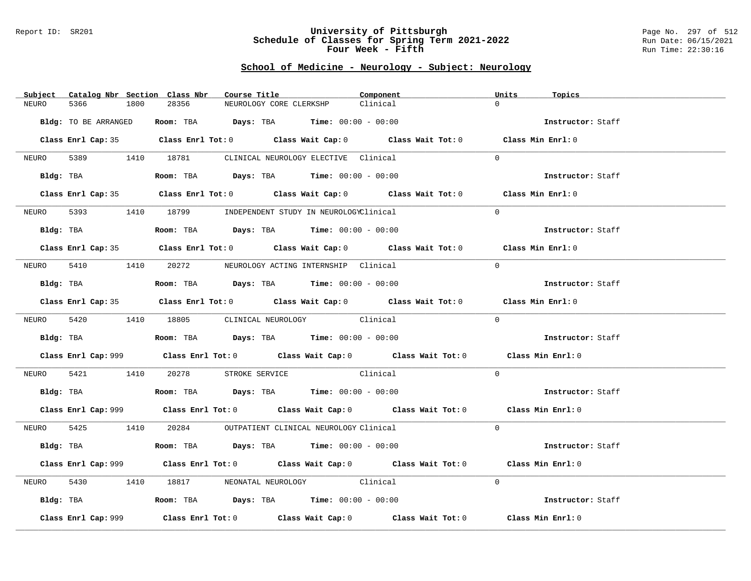#### Report ID: SR201 **University of Pittsburgh** Page No. 297 of 512 **Schedule of Classes for Spring Term 2021-2022** Run Date: 06/15/2021 **Four Week - Fifth Run Time: 22:30:16**

### **School of Medicine - Neurology - Subject: Neurology**

| Catalog Nbr Section Class Nbr<br>Subject | Course Title                                                                                            | Component | Units<br>Topics   |
|------------------------------------------|---------------------------------------------------------------------------------------------------------|-----------|-------------------|
| NEURO<br>5366<br>1800                    | 28356<br>NEUROLOGY CORE CLERKSHP                                                                        | Clinical  | $\Omega$          |
|                                          |                                                                                                         |           |                   |
| Bldg: TO BE ARRANGED                     | Room: TBA $Days:$ TBA $Time: 00:00 - 00:00$                                                             |           | Instructor: Staff |
|                                          | Class Enrl Cap: 35 Class Enrl Tot: 0 Class Wait Cap: 0 Class Wait Tot: 0 Class Min Enrl: 0              |           |                   |
|                                          | NEURO 5389 1410 18781 CLINICAL NEUROLOGY ELECTIVE Clinical                                              |           | $\Omega$          |
|                                          | Bldg: TBA                  Room: TBA        Days: TBA        Time: 00:00 - 00:00                        |           | Instructor: Staff |
|                                          | Class Enrl Cap: 35 Class Enrl Tot: 0 Class Wait Cap: 0 Class Wait Tot: 0 Class Min Enrl: 0              |           |                   |
| NEURO                                    | 5393 1410 18799 INDEPENDENT STUDY IN NEUROLOGYClinical                                                  |           | $\Omega$          |
|                                          | Bldg: TBA                    Room: TBA         Days: TBA         Time: 00:00 - 00:00                    |           | Instructor: Staff |
|                                          | Class Enrl Cap: 35 Class Enrl Tot: 0 Class Wait Cap: 0 Class Wait Tot: 0 Class Min Enrl: 0              |           |                   |
|                                          | NEURO 5410 1410 20272 NEUROLOGY ACTING INTERNSHIP Clinical                                              |           | $\Omega$          |
|                                          | Bldg: TBA                   Room: TBA         Days: TBA         Time: $00:00 - 00:00$                   |           | Instructor: Staff |
|                                          | Class Enrl Cap: 35 Class Enrl Tot: 0 Class Wait Cap: 0 Class Wait Tot: 0 Class Min Enrl: 0              |           |                   |
|                                          | NEURO 5420 1410 18805 CLINICAL NEUROLOGY Clinical                                                       |           | $\Omega$          |
|                                          |                                                                                                         |           |                   |
|                                          | Bldg: TBA                                Room: TBA            Days: TBA           Time: $00:00 - 00:00$ |           | Instructor: Staff |
|                                          | Class Enrl Cap: 999 Class Enrl Tot: 0 Class Wait Cap: 0 Class Wait Tot: 0 Class Min Enrl: 0             |           |                   |
|                                          | NEURO 5421 1410 20278 STROKE SERVICE Clinical                                                           |           | $\overline{0}$    |
|                                          | Bldg: TBA                   Room: TBA         Days: TBA         Time: $00:00 - 00:00$                   |           | Instructor: Staff |
|                                          | Class Enrl Cap: 999 Class Enrl Tot: 0 Class Wait Cap: 0 Class Wait Tot: 0 Class Min Enrl: 0             |           |                   |
|                                          | NEURO 5425 1410 20284 OUTPATIENT CLINICAL NEUROLOGY Clinical                                            |           | $\Omega$          |
|                                          | Bldg: TBA                   Room: TBA         Days: TBA        Time: 00:00 - 00:00                      |           | Instructor: Staff |
|                                          | Class Enrl Cap: 999 Class Enrl Tot: 0 Class Wait Cap: 0 Class Wait Tot: 0 Class Min Enrl: 0             |           |                   |
| NEURO                                    | 5430 1410 18817 NEONATAL NEUROLOGY Clinical                                                             |           | $\Omega$          |
|                                          | Bldg: TBA                    Room: TBA         Days: TBA         Time: 00:00 - 00:00                    |           | Instructor: Staff |
| Class Enrl Cap: 999                      | Class Enrl Tot: $0$ Class Wait Cap: $0$ Class Wait Tot: $0$ Class Min Enrl: $0$                         |           |                   |
|                                          |                                                                                                         |           |                   |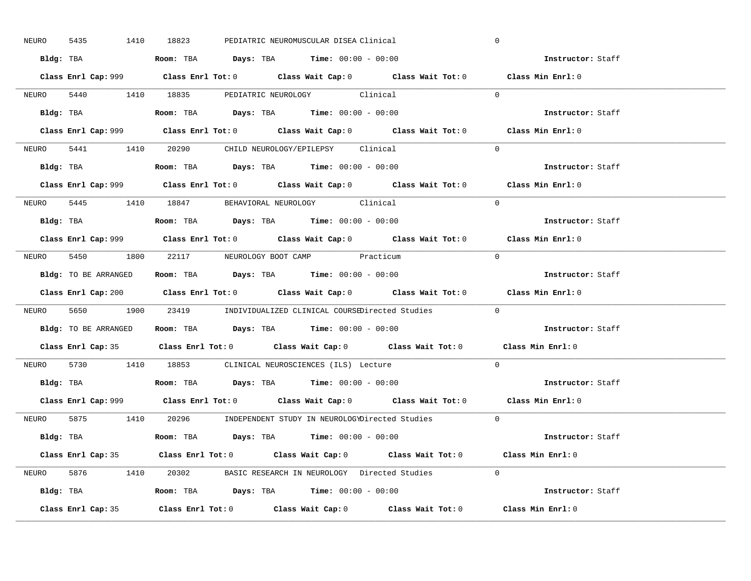| 5435<br>NEURO | 1410 18823<br>PEDIATRIC NEUROMUSCULAR DISEA Clinical                                        | $\mathbf 0$       |
|---------------|---------------------------------------------------------------------------------------------|-------------------|
|               | Bldg: TBA                      Room: TBA         Days: TBA         Time: 00:00 - 00:00      | Instructor: Staff |
|               | Class Enrl Cap: 999 Class Enrl Tot: 0 Class Wait Cap: 0 Class Wait Tot: 0 Class Min Enrl: 0 |                   |
|               | NEURO 5440 1410 18835 PEDIATRIC NEUROLOGY Clinical                                          | $\Omega$          |
|               |                                                                                             | Instructor: Staff |
|               | Class Enrl Cap: 999 Class Enrl Tot: 0 Class Wait Cap: 0 Class Wait Tot: 0                   | Class Min Enrl: 0 |
|               | NEURO 5441 1410 20290 CHILD NEUROLOGY/EPILEPSY Clinical                                     | $\Omega$          |
|               | Bldg: TBA                   Room: TBA         Days: TBA         Time: 00:00 - 00:00         | Instructor: Staff |
|               | Class Enrl Cap: 999 Class Enrl Tot: 0 Class Wait Cap: 0 Class Wait Tot: 0 Class Min Enrl: 0 |                   |
|               | NEURO 5445 1410 18847 BEHAVIORAL NEUROLOGY Clinical                                         | $\Omega$          |
|               | Bldg: TBA                   Room: TBA         Days: TBA         Time: 00:00 - 00:00         | Instructor: Staff |
|               | Class Enrl Cap: 999 Class Enrl Tot: 0 Class Wait Cap: 0 Class Wait Tot: 0 Class Min Enrl: 0 |                   |
|               | NEURO 5450 1800 22117 NEUROLOGY BOOT CAMP Practicum                                         | $\bigcap$         |
|               | <b>Bldg:</b> TO BE ARRANGED <b>ROOM:</b> TBA <b>Days:</b> TBA <b>Time:</b> $00:00 - 00:00$  | Instructor: Staff |
|               | Class Enrl Cap: 200 Class Enrl Tot: 0 Class Wait Cap: 0 Class Wait Tot: 0 Class Min Enrl: 0 |                   |
|               |                                                                                             |                   |
|               | NEURO 5650 1900 23419 INDIVIDUALIZED CLINICAL COURSEDirected Studies 0                      |                   |
|               | Bldg: TO BE ARRANGED Room: TBA Days: TBA Time: 00:00 - 00:00                                | Instructor: Staff |
|               | Class Enrl Cap: 35 Class Enrl Tot: 0 Class Wait Cap: 0 Class Wait Tot: 0 Class Min Enrl: 0  |                   |
| NEURO         | 5730 1410 18853 CLINICAL NEUROSCIENCES (ILS) Lecture                                        | $\Omega$          |
|               | Bldg: TBA                   Room: TBA         Days: TBA         Time: $00:00 - 00:00$       | Instructor: Staff |
|               | Class Enrl Cap: 999 Class Enrl Tot: 0 Class Wait Cap: 0 Class Wait Tot: 0 Class Min Enrl: 0 |                   |
|               | NEURO 5875 1410 20296 INDEPENDENT STUDY IN NEUROLOGYDirected Studies 0                      |                   |
|               | Bldg: TBA                   Room: TBA          Days: TBA         Time: $00:00 - 00:00$      | Instructor: Staff |
|               | Class Enrl Cap: 35 Class Enrl Tot: 0 Class Wait Cap: 0 Class Wait Tot: 0 Class Min Enrl: 0  |                   |
|               | NEURO 5876 1410 20302 BASIC RESEARCH IN NEUROLOGY Directed Studies 0                        |                   |
|               |                                                                                             | Instructor: Staff |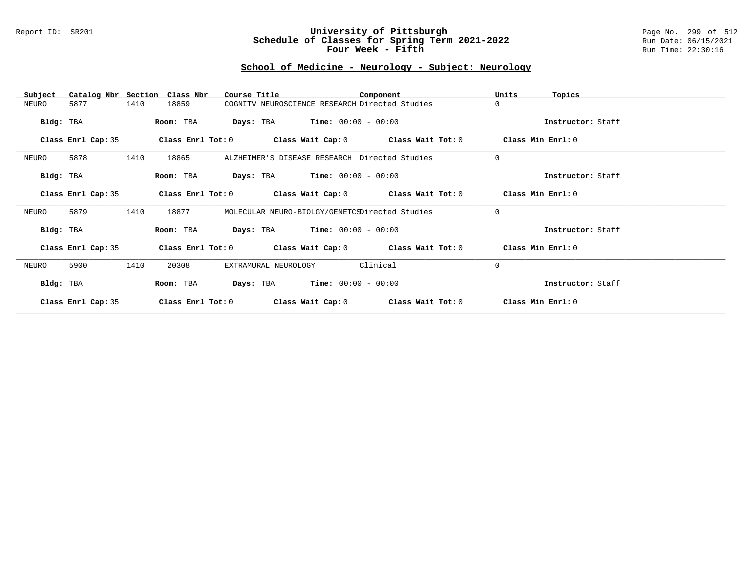#### Report ID: SR201 **University of Pittsburgh** Page No. 299 of 512 **Schedule of Classes for Spring Term 2021-2022** Run Date: 06/15/2021 **Four Week - Fifth Run Time: 22:30:16**

# **School of Medicine - Neurology - Subject: Neurology**

| Subject            | Catalog Nbr Section Class Nbr | Course Title                                   |                   | Component                                                   | Units<br>Topics   |  |
|--------------------|-------------------------------|------------------------------------------------|-------------------|-------------------------------------------------------------|-------------------|--|
| 5877<br>NEURO      | 1410<br>18859                 | COGNITV NEUROSCIENCE RESEARCH Directed Studies |                   |                                                             | $\Omega$          |  |
| Bldg: TBA          | Room: TBA                     | <b>Days:</b> TBA <b>Time:</b> $00:00 - 00:00$  |                   |                                                             | Instructor: Staff |  |
| Class Enrl Cap: 35 |                               |                                                |                   | Class Enrl Tot: $0$ Class Wait Cap: $0$ Class Wait Tot: $0$ | Class Min Enrl: 0 |  |
| 5878<br>NEURO      | 1410<br>18865                 | ALZHEIMER'S DISEASE RESEARCH Directed Studies  |                   |                                                             | $\mathbf 0$       |  |
| Bldg: TBA          | Room: TBA                     | <b>Days:</b> TBA <b>Time:</b> $00:00 - 00:00$  |                   |                                                             | Instructor: Staff |  |
| Class Enrl Cap: 35 |                               |                                                |                   | Class Enrl Tot: $0$ Class Wait Cap: $0$ Class Wait Tot: $0$ | Class Min Enrl: 0 |  |
| 5879<br>NEURO      | 1410<br>18877                 | MOLECULAR NEURO-BIOLGY/GENETCSDirected Studies |                   |                                                             | $\Omega$          |  |
| Bldg: TBA          | Room: TBA                     | <b>Days:</b> TBA <b>Time:</b> $00:00 - 00:00$  |                   |                                                             | Instructor: Staff |  |
| Class Enrl Cap: 35 |                               |                                                |                   | Class Enrl Tot: $0$ Class Wait Cap: $0$ Class Wait Tot: $0$ | Class Min Enrl: 0 |  |
| NEURO<br>5900      | 1410<br>20308                 | EXTRAMURAL NEUROLOGY                           |                   | Clinical                                                    | $\Omega$          |  |
| Bldg: TBA          | Room: TBA                     | <b>Days:</b> TBA <b>Time:</b> $00:00 - 00:00$  |                   |                                                             | Instructor: Staff |  |
| Class Enrl Cap: 35 | Class Enrl Tot: $0$           |                                                | Class Wait Cap: 0 | Class Wait Tot: 0                                           | Class Min Enrl: 0 |  |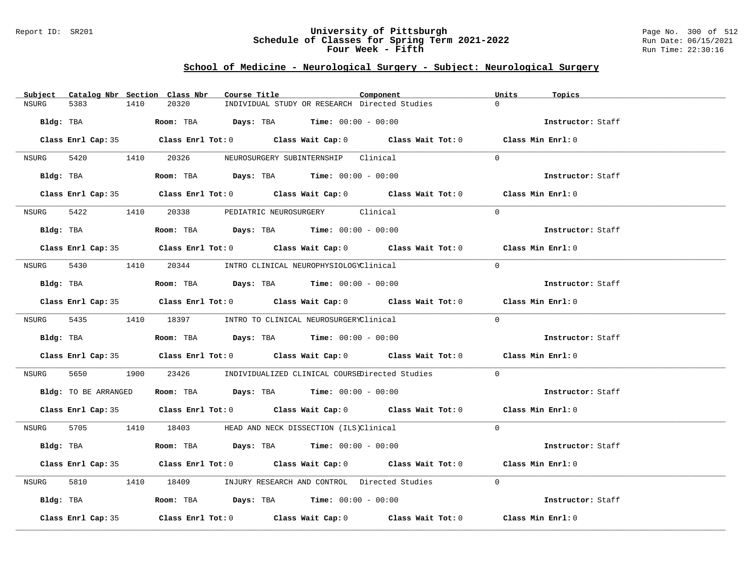### Report ID: SR201 **University of Pittsburgh** Page No. 300 of 512 **Schedule of Classes for Spring Term 2021-2022** Run Date: 06/15/2021 **Four Week - Fifth Run Time: 22:30:16**

# **School of Medicine - Neurological Surgery - Subject: Neurological Surgery**

|       |                    |      | Subject Catalog Nbr Section Class Nbr | Course Title |                                                                                             | Component                                                                                          | Units    | Topics            |
|-------|--------------------|------|---------------------------------------|--------------|---------------------------------------------------------------------------------------------|----------------------------------------------------------------------------------------------------|----------|-------------------|
| NSURG | 5383               | 1410 | 20320                                 |              | INDIVIDUAL STUDY OR RESEARCH Directed Studies                                               |                                                                                                    | $\Omega$ |                   |
|       |                    |      |                                       |              | $Bldq$ : TBA $Room$ : TBA $Days$ : TBA $Tim$ : $00:00 - 00:00$                              |                                                                                                    |          | Instructor: Staff |
|       |                    |      |                                       |              |                                                                                             | Class Enrl Cap: 35 Class Enrl Tot: 0 Class Wait Cap: 0 Class Wait Tot: 0 Class Min Enrl: 0         |          |                   |
| NSURG |                    |      |                                       |              | 5420 1410 20326 NEUROSURGERY SUBINTERNSHIP Clinical                                         |                                                                                                    | $\Omega$ |                   |
|       |                    |      |                                       |              | Bldg: TBA                   Room: TBA         Days: TBA         Time: $00:00 - 00:00$       |                                                                                                    |          | Instructor: Staff |
|       |                    |      |                                       |              |                                                                                             | Class Enrl Cap: 35 Class Enrl Tot: 0 Class Wait Cap: 0 Class Wait Tot: 0 Class Min Enrl: 0         |          |                   |
|       |                    |      |                                       |              | NSURG 5422 1410 20338 PEDIATRIC NEUROSURGERY Clinical                                       |                                                                                                    | $\Omega$ |                   |
|       |                    |      |                                       |              | Bldg: TBA                    Room: TBA         Days: TBA         Time: 00:00 - 00:00        |                                                                                                    |          | Instructor: Staff |
|       |                    |      |                                       |              |                                                                                             | Class Enrl Cap: 35 Class Enrl Tot: 0 Class Wait Cap: 0 Class Wait Tot: 0 Class Min Enrl: 0         |          |                   |
|       |                    |      |                                       |              | NSURG 5430 1410 20344 INTRO CLINICAL NEUROPHYSIOLOGYClinical                                |                                                                                                    | $\Omega$ |                   |
|       |                    |      |                                       |              | Bldg: TBA                        Room: TBA         Days: TBA         Time: $00:00 - 00:00$  |                                                                                                    |          | Instructor: Staff |
|       |                    |      |                                       |              |                                                                                             | Class Enrl Cap: 35 Class Enrl Tot: 0 Class Wait Cap: 0 Class Wait Tot: 0 Class Min Enrl: 0         |          |                   |
|       |                    |      |                                       |              | NSURG 5435 1410 18397 INTRO TO CLINICAL NEUROSURGERYClinical                                |                                                                                                    | $\Omega$ |                   |
|       |                    |      |                                       |              | Bldg: TBA                   Room: TBA         Days: TBA         Time: $00:00 - 00:00$       |                                                                                                    |          | Instructor: Staff |
|       |                    |      |                                       |              |                                                                                             | Class Enrl Cap: 35 Class Enrl Tot: 0 Class Wait Cap: 0 Class Wait Tot: 0 Class Min Enrl: 0         |          |                   |
| NSURG |                    |      |                                       |              |                                                                                             | 5650 1900 23426 INDIVIDUALIZED CLINICAL COURSEDirected Studies                                     | $\Omega$ |                   |
|       |                    |      |                                       |              | Bldg: TO BE ARRANGED Room: TBA Days: TBA Time: 00:00 - 00:00                                |                                                                                                    |          | Instructor: Staff |
|       |                    |      |                                       |              |                                                                                             | Class Enrl Cap: 35 Class Enrl Tot: 0 Class Wait Cap: 0 Class Wait Tot: 0 Class Min Enrl: 0         |          |                   |
|       |                    |      |                                       |              | NSURG 5705 1410 18403 HEAD AND NECK DISSECTION (ILS)Clinical                                |                                                                                                    | $\Omega$ |                   |
|       |                    |      |                                       |              | Bldg: TBA                        Room: TBA          Days: TBA         Time: $00:00 - 00:00$ |                                                                                                    |          | Instructor: Staff |
|       |                    |      |                                       |              |                                                                                             | Class Enrl Cap: 35 Class Enrl Tot: 0 Class Wait Cap: 0 Class Wait Tot: 0 Class Min Enrl: 0         |          |                   |
| NSURG |                    |      |                                       |              |                                                                                             | 5810 1410 18409 INJURY RESEARCH AND CONTROL Directed Studies                                       | $\Omega$ |                   |
|       |                    |      |                                       |              | Bldg: TBA                    Room: TBA         Days: TBA         Time: 00:00 - 00:00        |                                                                                                    |          | Instructor: Staff |
|       | Class Enrl Cap: 35 |      |                                       |              |                                                                                             | Class Enrl Tot: 0 $\qquad$ Class Wait Cap: 0 $\qquad$ Class Wait Tot: 0 $\qquad$ Class Min Enrl: 0 |          |                   |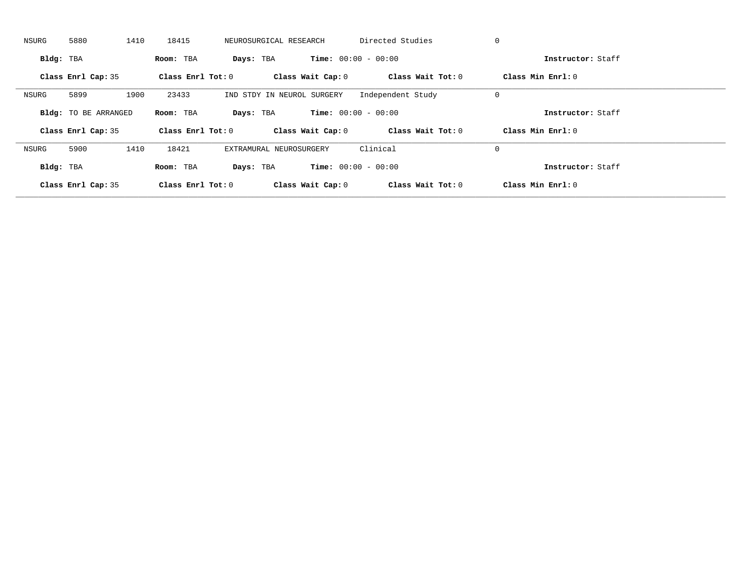| NSURG     | 5880                        | 1410 | 18415               | NEUROSURGICAL RESEARCH     |                   | Directed Studies             | 0                   |  |
|-----------|-----------------------------|------|---------------------|----------------------------|-------------------|------------------------------|---------------------|--|
| Bldg: TBA |                             |      | Room: TBA           | Days: TBA                  |                   | <b>Time:</b> $00:00 - 00:00$ | Instructor: Staff   |  |
|           | Class Enrl Cap: 35          |      | Class Enrl Tot: $0$ |                            | Class Wait Cap: 0 | Class Wait Tot: 0            | Class Min Enrl: 0   |  |
| NSURG     | 5899                        | 1900 | 23433               | IND STDY IN NEUROL SURGERY |                   | Independent Study            | 0                   |  |
|           | <b>Bldg:</b> TO BE ARRANGED |      | Room: TBA           | Days: TBA                  |                   | <b>Time:</b> $00:00 - 00:00$ | Instructor: Staff   |  |
|           | Class Enrl Cap: 35          |      | Class Enrl Tot: $0$ |                            | Class Wait Cap: 0 | Class Wait Tot: 0            | Class Min $Enrl: 0$ |  |
| NSURG     | 5900                        | 1410 | 18421               | EXTRAMURAL NEUROSURGERY    |                   | Clinical                     | 0                   |  |
| Bldg: TBA |                             |      | Room: TBA           | Days: TBA                  |                   | <b>Time:</b> $00:00 - 00:00$ | Instructor: Staff   |  |
|           |                             |      |                     |                            |                   |                              |                     |  |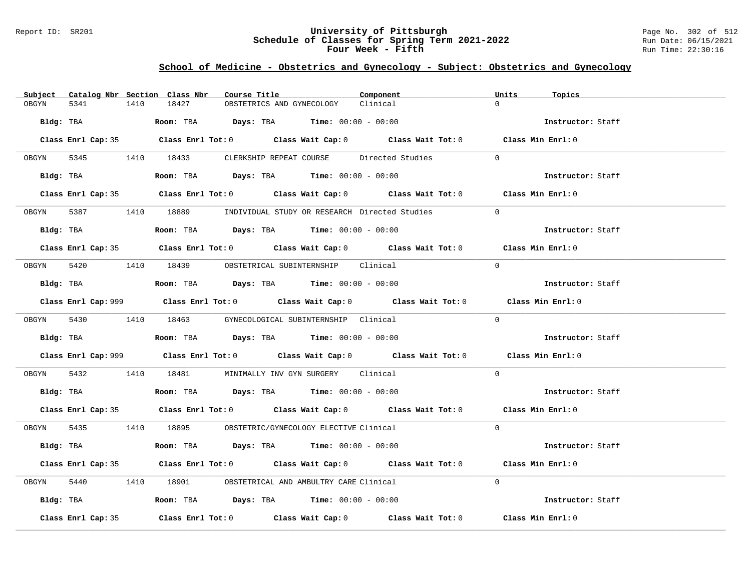### Report ID: SR201 **University of Pittsburgh** Page No. 302 of 512 **Schedule of Classes for Spring Term 2021-2022** Run Date: 06/15/2021 **Four Week - Fifth Run Time: 22:30:16**

# **School of Medicine - Obstetrics and Gynecology - Subject: Obstetrics and Gynecology**

|            |                    |      | Subject Catalog Nbr Section Class Nbr | Course Title |                                                                                              | Component                                                                                  | Units<br>Topics                                                                             |  |
|------------|--------------------|------|---------------------------------------|--------------|----------------------------------------------------------------------------------------------|--------------------------------------------------------------------------------------------|---------------------------------------------------------------------------------------------|--|
| OBGYN      | 5341               | 1410 | 18427                                 |              | OBSTETRICS AND GYNECOLOGY                                                                    | Clinical                                                                                   | $\Omega$                                                                                    |  |
| Bldg: TBA  |                    |      |                                       |              | Room: TBA $Days: TBA$ Time: $00:00 - 00:00$                                                  |                                                                                            | Instructor: Staff                                                                           |  |
|            |                    |      |                                       |              |                                                                                              | Class Enrl Cap: 35 Class Enrl Tot: 0 Class Wait Cap: 0 Class Wait Tot: 0 Class Min Enrl: 0 |                                                                                             |  |
|            |                    |      | OBGYN 5345 1410 18433                 |              | CLERKSHIP REPEAT COURSE Directed Studies                                                     |                                                                                            | $\Omega$                                                                                    |  |
|            |                    |      |                                       |              | Bldg: TBA                       Room: TBA           Days: TBA          Time: $00:00 - 00:00$ |                                                                                            | Instructor: Staff                                                                           |  |
|            |                    |      |                                       |              |                                                                                              | Class Enrl Cap: 35 Class Enrl Tot: 0 Class Wait Cap: 0 Class Wait Tot: 0 Class Min Enrl: 0 |                                                                                             |  |
|            |                    |      |                                       |              | 0BGYN 5387 1410 18889 INDIVIDUAL STUDY OR RESEARCH Directed Studies                          |                                                                                            | $\Omega$                                                                                    |  |
|            | Bldg: TBA          |      |                                       |              | Room: TBA $Days:$ TBA $Time: 00:00 - 00:00$                                                  |                                                                                            | Instructor: Staff                                                                           |  |
|            |                    |      |                                       |              |                                                                                              | Class Enrl Cap: 35 Class Enrl Tot: 0 Class Wait Cap: 0 Class Wait Tot: 0 Class Min Enrl: 0 |                                                                                             |  |
| OBGYN 5420 |                    |      |                                       |              | 1410 18439 OBSTETRICAL SUBINTERNSHIP Clinical                                                |                                                                                            | $\Omega$                                                                                    |  |
|            |                    |      |                                       |              | $Bldg:$ TBA $Room:$ TBA $Days:$ TBA $Time:$ $00:00 - 00:00$                                  |                                                                                            | Instructor: Staff                                                                           |  |
|            |                    |      |                                       |              |                                                                                              |                                                                                            | Class Enrl Cap: 999 Class Enrl Tot: 0 Class Wait Cap: 0 Class Wait Tot: 0 Class Min Enrl: 0 |  |
|            |                    |      |                                       |              | OBGYN 5430 1410 18463 GYNECOLOGICAL SUBINTERNSHIP Clinical                                   |                                                                                            | $\Omega$                                                                                    |  |
|            |                    |      |                                       |              | Bldg: TBA                   Room: TBA         Days: TBA         Time: $00:00 - 00:00$        |                                                                                            | Instructor: Staff                                                                           |  |
|            |                    |      |                                       |              |                                                                                              |                                                                                            | Class Enrl Cap: 999 Class Enrl Tot: 0 Class Wait Cap: 0 Class Wait Tot: 0 Class Min Enrl: 0 |  |
| OBGYN 5432 |                    |      |                                       |              | 1410 18481 MINIMALLY INV GYN SURGERY Clinical                                                |                                                                                            | $\Omega$                                                                                    |  |
|            |                    |      |                                       |              | $Bldg:$ TBA $\qquad \qquad$ Room: TBA Days: TBA  Time: $00:00 - 00:00$                       |                                                                                            | Instructor: Staff                                                                           |  |
|            |                    |      |                                       |              |                                                                                              | Class Enrl Cap: 35 Class Enrl Tot: 0 Class Wait Cap: 0 Class Wait Tot: 0 Class Min Enrl: 0 |                                                                                             |  |
|            |                    |      |                                       |              | OBGYN 5435 1410 18895 OBSTETRIC/GYNECOLOGY ELECTIVE Clinical                                 |                                                                                            | $\Omega$                                                                                    |  |
|            |                    |      |                                       |              | Bldg: TBA                     Room: TBA         Days: TBA        Time: $00:00 - 00:00$       |                                                                                            | Instructor: Staff                                                                           |  |
|            |                    |      |                                       |              |                                                                                              | Class Enrl Cap: 35 Class Enrl Tot: 0 Class Wait Cap: 0 Class Wait Tot: 0 Class Min Enrl: 0 |                                                                                             |  |
| OBGYN      | 5440               |      |                                       |              | 1410 18901 OBSTETRICAL AND AMBULTRY CARE Clinical                                            |                                                                                            | $\Omega$                                                                                    |  |
|            |                    |      |                                       |              | Bldg: TBA                   Room: TBA         Days: TBA         Time: $00:00 - 00:00$        |                                                                                            | Instructor: Staff                                                                           |  |
|            | Class Enrl Cap: 35 |      |                                       |              |                                                                                              | Class Enrl Tot: $0$ Class Wait Cap: $0$ Class Wait Tot: $0$                                | Class Min Enrl: 0                                                                           |  |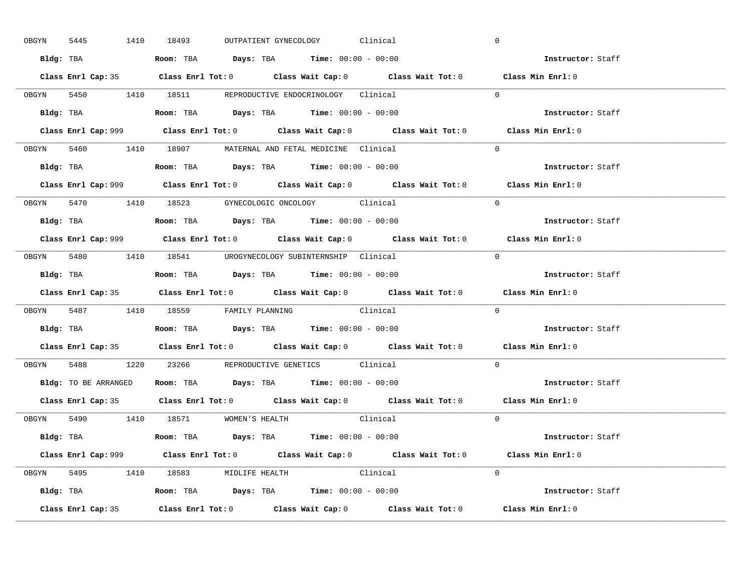|       | 5445<br>OBGYN | 1410 18493                                                                            |  | OUTPATIENT GYNECOLOGY | Clinical                                                                                    | $\mathbf 0$                                                                                 |  |
|-------|---------------|---------------------------------------------------------------------------------------|--|-----------------------|---------------------------------------------------------------------------------------------|---------------------------------------------------------------------------------------------|--|
|       |               | Bldg: TBA                   Room: TBA        Days: TBA        Time: 00:00 - 00:00     |  |                       |                                                                                             | Instructor: Staff                                                                           |  |
|       |               |                                                                                       |  |                       | Class Enrl Cap: 35 Class Enrl Tot: 0 Class Wait Cap: 0 Class Wait Tot: 0 Class Min Enrl: 0  |                                                                                             |  |
|       |               | OBGYN 5450 1410 18511 REPRODUCTIVE ENDOCRINOLOGY Clinical                             |  |                       |                                                                                             | $\Omega$                                                                                    |  |
|       |               |                                                                                       |  |                       |                                                                                             | Instructor: Staff                                                                           |  |
|       |               |                                                                                       |  |                       | Class Enrl Cap: 999 Class Enrl Tot: 0 Class Wait Cap: 0 Class Wait Tot: 0                   | Class Min Enrl: 0                                                                           |  |
|       |               | OBGYN 5460 1410 18907 MATERNAL AND FETAL MEDICINE Clinical                            |  |                       |                                                                                             | $\Omega$                                                                                    |  |
|       |               | Bldg: TBA                   Room: TBA         Days: TBA         Time: 00:00 - 00:00   |  |                       |                                                                                             | Instructor: Staff                                                                           |  |
|       |               |                                                                                       |  |                       |                                                                                             | Class Enrl Cap: 999 Class Enrl Tot: 0 Class Wait Cap: 0 Class Wait Tot: 0 Class Min Enrl: 0 |  |
|       |               | OBGYN 5470 1410 18523 GYNECOLOGIC ONCOLOGY Clinical                                   |  |                       |                                                                                             | $\Omega$                                                                                    |  |
|       |               | Bldg: TBA                   Room: TBA         Days: TBA         Time: $00:00 - 00:00$ |  |                       |                                                                                             | Instructor: Staff                                                                           |  |
|       |               |                                                                                       |  |                       | Class Enrl Cap: 999 Class Enrl Tot: 0 Class Wait Cap: 0 Class Wait Tot: 0 Class Min Enrl: 0 |                                                                                             |  |
|       |               | OBGYN 5480 1410 18541 UROGYNECOLOGY_SUBINTERNSHIP Clinical                            |  |                       |                                                                                             | $\Omega$                                                                                    |  |
|       |               | Bldg: TBA                   Room: TBA        Days: TBA        Time: 00:00 - 00:00     |  |                       |                                                                                             | Instructor: Staff                                                                           |  |
|       |               |                                                                                       |  |                       |                                                                                             | Class Enrl Cap: 35 Class Enrl Tot: 0 Class Wait Cap: 0 Class Wait Tot: 0 Class Min Enrl: 0  |  |
|       |               |                                                                                       |  |                       |                                                                                             |                                                                                             |  |
|       |               | OBGYN 5487 1410 18559 FAMILY PLANNING Clinical                                        |  |                       |                                                                                             | $\Omega$                                                                                    |  |
|       |               | Bldg: TBA                   Room: TBA         Days: TBA         Time: 00:00 - 00:00   |  |                       |                                                                                             | Instructor: Staff                                                                           |  |
|       |               |                                                                                       |  |                       | Class Enrl Cap: 35 Class Enrl Tot: 0 Class Wait Cap: 0 Class Wait Tot: 0 Class Min Enrl: 0  |                                                                                             |  |
| OBGYN |               | 5488 1220 23266 REPRODUCTIVE GENETICS Clinical                                        |  |                       |                                                                                             | $\Omega$                                                                                    |  |
|       |               | Bldg: TO BE ARRANGED ROOM: TBA Days: TBA Time: 00:00 - 00:00                          |  |                       |                                                                                             | Instructor: Staff                                                                           |  |
|       |               |                                                                                       |  |                       | Class Enrl Cap: 35 Class Enrl Tot: 0 Class Wait Cap: 0 Class Wait Tot: 0 Class Min Enrl: 0  |                                                                                             |  |
|       |               | OBGYN 5490 1410 18571 WOMEN'S HEALTH                                                  |  |                       | Clinical                                                                                    | $\overline{0}$                                                                              |  |
|       |               | Bldg: TBA                   Room: TBA         Days: TBA         Time: 00:00 - 00:00   |  |                       |                                                                                             | Instructor: Staff                                                                           |  |
|       |               |                                                                                       |  |                       | Class Enrl Cap: 999 Class Enrl Tot: 0 Class Wait Cap: 0 Class Wait Tot: 0 Class Min Enrl: 0 |                                                                                             |  |
|       |               | OBGYN 5495 1410 18583 MIDLIFE HEALTH Clinical                                         |  |                       |                                                                                             | $\Omega$                                                                                    |  |
|       |               | <b>Bldg:</b> TBA <b>ROOM:</b> TBA <b>Days:</b> TBA <b>Time:</b> $00:00 - 00:00$       |  |                       |                                                                                             | Instructor: Staff                                                                           |  |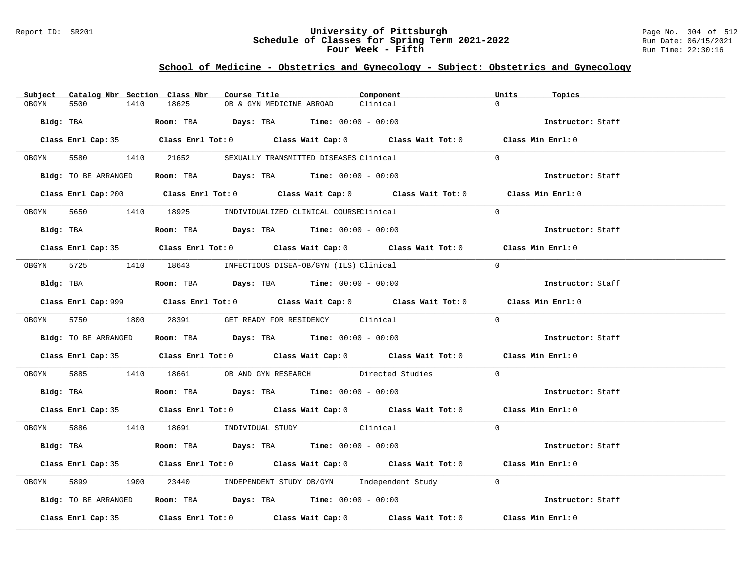### Report ID: SR201 **University of Pittsburgh** Page No. 304 of 512 **Schedule of Classes for Spring Term 2021-2022** Run Date: 06/15/2021 **Four Week - Fifth Run Time: 22:30:16**

# **School of Medicine - Obstetrics and Gynecology - Subject: Obstetrics and Gynecology**

| Catalog Nbr Section Class Nbr<br>Subject | Course Title<br>Component                                                                   | Units<br>Topics   |
|------------------------------------------|---------------------------------------------------------------------------------------------|-------------------|
| 5500<br>1410<br>OBGYN                    | 18625<br>Clinical<br>OB & GYN MEDICINE ABROAD                                               | $\Omega$          |
| Bldg: TBA                                | <b>Room:</b> TBA $Days: TBA$ <b>Time:</b> $00:00 - 00:00$                                   | Instructor: Staff |
|                                          | Class Enrl Cap: 35 Class Enrl Tot: 0 Class Wait Cap: 0 Class Wait Tot: 0 Class Min Enrl: 0  |                   |
|                                          | OBGYN 5580 1410 21652 SEXUALLY TRANSMITTED DISEASES Clinical                                | $\Omega$          |
|                                          | Bldg: TO BE ARRANGED Room: TBA Days: TBA Time: 00:00 - 00:00                                | Instructor: Staff |
|                                          | Class Enrl Cap: 200 Class Enrl Tot: 0 Class Wait Cap: 0 Class Wait Tot: 0 Class Min Enrl: 0 |                   |
|                                          | OBGYN 5650 1410 18925 INDIVIDUALIZED CLINICAL COURSEClinical                                | $\Omega$          |
| Bldg: TBA                                | Room: TBA $Days:$ TBA Time: $00:00 - 00:00$                                                 | Instructor: Staff |
|                                          | Class Enrl Cap: 35 Class Enrl Tot: 0 Class Wait Cap: 0 Class Wait Tot: 0 Class Min Enrl: 0  |                   |
|                                          | OBGYN 5725 1410 18643 INFECTIOUS DISEA-OB/GYN (ILS) Clinical                                | $\Omega$          |
|                                          | Bldg: TBA                     Room: TBA         Days: TBA         Time: 00:00 - 00:00       | Instructor: Staff |
|                                          | Class Enrl Cap: 999 Class Enrl Tot: 0 Class Wait Cap: 0 Class Wait Tot: 0 Class Min Enrl: 0 |                   |
|                                          | OBGYN 5750 1800 28391 GET READY FOR RESIDENCY Clinical                                      | $\Omega$          |
| Bldg: TO BE ARRANGED                     | Room: TBA $\rule{1em}{0.15mm}$ Days: TBA Time: $00:00 - 00:00$                              | Instructor: Staff |
|                                          | Class Enrl Cap: 35 Class Enrl Tot: 0 Class Wait Cap: 0 Class Wait Tot: 0 Class Min Enrl: 0  |                   |
| OBGYN                                    | 5885 1410 18661 OB AND GYN RESEARCH Directed Studies                                        | $\Omega$          |
|                                          | Bldg: TBA                    Room: TBA         Days: TBA        Time: 00:00 - 00:00         | Instructor: Staff |
|                                          | Class Enrl Cap: 35 Class Enrl Tot: 0 Class Wait Cap: 0 Class Wait Tot: 0 Class Min Enrl: 0  |                   |
|                                          | OBGYN 5886 1410 18691 INDIVIDUAL STUDY Clinical                                             | $\Omega$          |
|                                          | Bldg: TBA                    Room: TBA         Days: TBA         Time: 00:00 - 00:00        | Instructor: Staff |
|                                          | Class Enrl Cap: 35 Class Enrl Tot: 0 Class Wait Cap: 0 Class Wait Tot: 0 Class Min Enrl: 0  |                   |
| 5899<br>OBGYN                            | 1900 23440 INDEPENDENT STUDY OB/GYN Independent Study                                       | $\Omega$          |
| Bldg: TO BE ARRANGED                     | Room: TBA $Days:$ TBA $Time: 00:00 - 00:00$                                                 | Instructor: Staff |
|                                          | Class Enrl Cap: 35 Class Enrl Tot: 0 Class Wait Cap: 0 Class Wait Tot: 0                    | Class Min Enrl: 0 |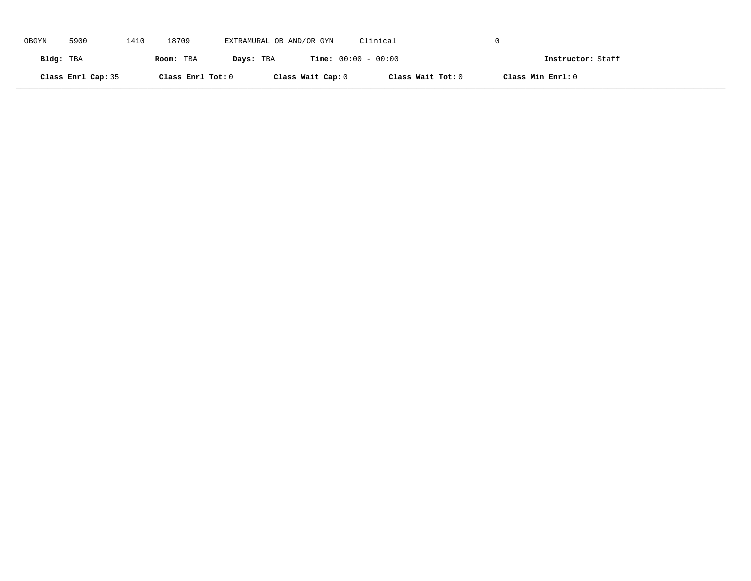| OBGYN     | 5900               | 1410 | 18709             | EXTRAMURAL OB AND/OR GYN |                   | Clinical                     |                   |  |
|-----------|--------------------|------|-------------------|--------------------------|-------------------|------------------------------|-------------------|--|
| Bldg: TBA |                    |      | Room: TBA         | Days: TBA                |                   | <b>Time:</b> $00:00 - 00:00$ | Instructor: Staff |  |
|           | Class Enrl Cap: 35 |      | Class Enrl Tot: 0 |                          | Class Wait Cap: 0 | Class Wait Tot: 0            | Class Min Enrl: 0 |  |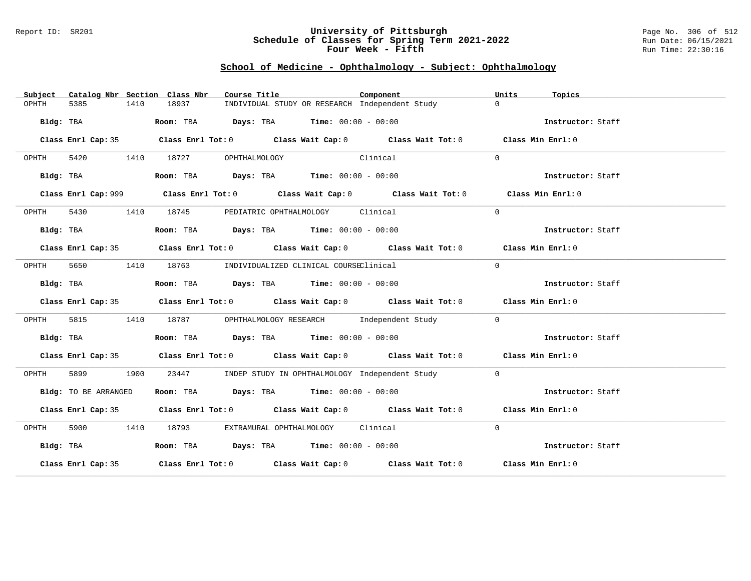#### Report ID: SR201 **University of Pittsburgh** Page No. 306 of 512 **Schedule of Classes for Spring Term 2021-2022** Run Date: 06/15/2021 **Four Week - Fifth Run Time: 22:30:16**

# **School of Medicine - Ophthalmology - Subject: Ophthalmology**

| Subject   |                      |      | Catalog Nbr Section Class Nbr | Course Title                                                                                |          | Component | Units          | Topics            |
|-----------|----------------------|------|-------------------------------|---------------------------------------------------------------------------------------------|----------|-----------|----------------|-------------------|
| OPHTH     | 5385                 | 1410 | 18937                         | INDIVIDUAL STUDY OR RESEARCH Independent Study                                              |          |           | $\Omega$       |                   |
|           | Bldg: TBA            |      |                               | Room: TBA $\rule{1em}{0.15mm}$ Days: TBA Time: $00:00 - 00:00$                              |          |           |                | Instructor: Staff |
|           |                      |      |                               | Class Enrl Cap: 35 Class Enrl Tot: 0 Class Wait Cap: 0 Class Wait Tot: 0 Class Min Enrl: 0  |          |           |                |                   |
| OPHTH     |                      |      | 5420 1410 18727               | OPHTHALMOLOGY                                                                               | Clinical |           | $\Omega$       |                   |
|           | Bldg: TBA            |      |                               | Room: TBA $Days:$ TBA $Time: 00:00 - 00:00$                                                 |          |           |                | Instructor: Staff |
|           |                      |      |                               | Class Enrl Cap: 999 Class Enrl Tot: 0 Class Wait Cap: 0 Class Wait Tot: 0 Class Min Enrl: 0 |          |           |                |                   |
| OPHTH     |                      |      | 5430 1410 18745               | PEDIATRIC OPHTHALMOLOGY Clinical                                                            |          |           | $\Omega$       |                   |
|           | Bldg: TBA            |      |                               | Room: TBA $Days:$ TBA $Time: 00:00 - 00:00$                                                 |          |           |                | Instructor: Staff |
|           |                      |      |                               | Class Enrl Cap: 35 Class Enrl Tot: 0 Class Wait Cap: 0 Class Wait Tot: 0 Class Min Enrl: 0  |          |           |                |                   |
| OPHTH     |                      |      |                               | 5650 1410 18763 INDIVIDUALIZED CLINICAL COURSEClinical                                      |          |           | $\Omega$       |                   |
|           | Bldg: TBA            |      |                               | Room: TBA $Days:$ TBA $Time: 00:00 - 00:00$                                                 |          |           |                | Instructor: Staff |
|           |                      |      |                               | Class Enrl Cap: 35 Class Enrl Tot: 0 Class Wait Cap: 0 Class Wait Tot: 0 Class Min Enrl: 0  |          |           |                |                   |
| OPHTH     |                      |      |                               | 5815 1410 18787 OPHTHALMOLOGY RESEARCH Independent Study                                    |          |           | $\overline{0}$ |                   |
|           | Bldg: TBA            |      |                               | Room: TBA $Days:$ TBA $Time: 00:00 - 00:00$                                                 |          |           |                | Instructor: Staff |
|           |                      |      |                               | Class Enrl Cap: 35 Class Enrl Tot: 0 Class Wait Cap: 0 Class Wait Tot: 0 Class Min Enrl: 0  |          |           |                |                   |
| OPHTH     | 5899 1900            |      | 23447                         | INDEP STUDY IN OPHTHALMOLOGY Independent Study                                              |          |           | $\Omega$       |                   |
|           | Bldg: TO BE ARRANGED |      |                               | Room: TBA $\rule{1em}{0.15mm}$ Days: TBA $\rule{1.15mm}{0.15mm}$ Time: $00:00 - 00:00$      |          |           |                | Instructor: Staff |
|           |                      |      |                               | Class Enrl Cap: 35 Class Enrl Tot: 0 Class Wait Cap: 0 Class Wait Tot: 0 Class Min Enrl: 0  |          |           |                |                   |
| OPHTH     |                      |      |                               | 5900 1410 18793 EXTRAMURAL OPHTHALMOLOGY Clinical                                           |          |           | $\Omega$       |                   |
| Bldg: TBA |                      |      |                               | Room: TBA $Days:$ TBA $Time: 00:00 - 00:00$                                                 |          |           |                | Instructor: Staff |
|           |                      |      |                               | Class Enrl Cap: 35 Class Enrl Tot: 0 Class Wait Cap: 0 Class Wait Tot: 0 Class Min Enrl: 0  |          |           |                |                   |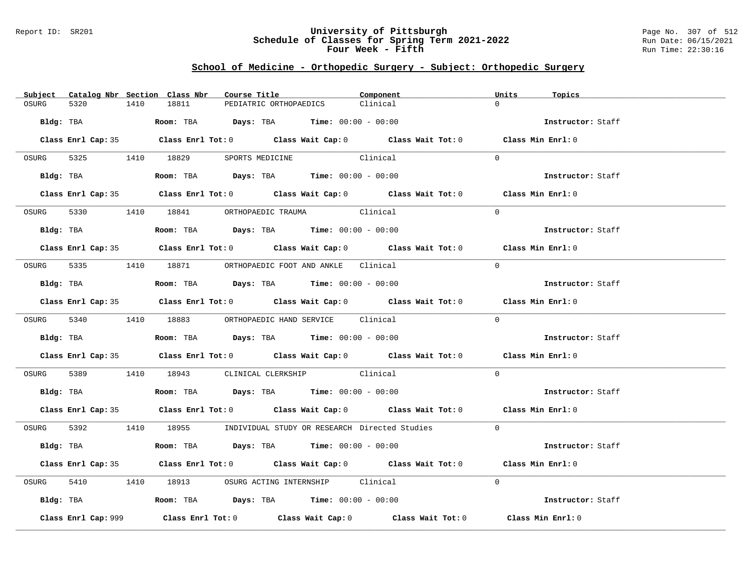### Report ID: SR201 **University of Pittsburgh** Page No. 307 of 512 **Schedule of Classes for Spring Term 2021-2022** Run Date: 06/15/2021 **Four Week - Fifth Run Time: 22:30:16**

# **School of Medicine - Orthopedic Surgery - Subject: Orthopedic Surgery**

| Subject Catalog Nbr Section Class Nbr | Course Title                                                                                 | Component | Units<br>Topics   |
|---------------------------------------|----------------------------------------------------------------------------------------------|-----------|-------------------|
| OSURG<br>5320<br>1410                 | 18811<br>PEDIATRIC ORTHOPAEDICS                                                              | Clinical  | $\cap$            |
| Bldg: TBA                             | <b>Room:</b> TBA $\qquad \qquad$ Days: TBA $\qquad \qquad$ Time: $00:00 - 00:00$             |           | Instructor: Staff |
|                                       | Class Enrl Cap: 35 Class Enrl Tot: 0 Class Wait Cap: 0 Class Wait Tot: 0 Class Min Enrl: 0   |           |                   |
|                                       | OSURG 5325 1410 18829 SPORTS MEDICINE Clinical                                               |           | $\Omega$          |
|                                       | Bldg: TBA                    Room: TBA         Days: TBA         Time: 00:00 - 00:00         |           | Instructor: Staff |
|                                       | Class Enrl Cap: 35 Class Enrl Tot: 0 Class Wait Cap: 0 Class Wait Tot: 0 Class Min Enrl: 0   |           |                   |
|                                       | OSURG 5330 1410 18841 ORTHOPAEDIC TRAUMA Clinical                                            |           | $\Omega$          |
| Bldg: TBA                             | Room: TBA $Days:$ TBA $Time: 00:00 - 00:00$                                                  |           | Instructor: Staff |
|                                       | Class Enrl Cap: 35 Class Enrl Tot: 0 Class Wait Cap: 0 Class Wait Tot: 0 Class Min Enrl: 0   |           |                   |
|                                       | OSURG 5335 1410 18871 ORTHOPAEDIC FOOT AND ANKLE Clinical                                    |           | $\Omega$          |
|                                       | Bldg: TBA                    Room: TBA         Days: TBA         Time: $00:00 - 00:00$       |           | Instructor: Staff |
|                                       | Class Enrl Cap: 35 Class Enrl Tot: 0 Class Wait Cap: 0 Class Wait Tot: 0 Class Min Enrl: 0   |           |                   |
|                                       | OSURG 5340 1410 18883 ORTHOPAEDIC HAND SERVICE Clinical                                      |           | $\Omega$          |
|                                       | Bldg: TBA                    Room: TBA         Days: TBA         Time: 00:00 - 00:00         |           | Instructor: Staff |
|                                       | Class Enrl Cap: 35 Class Enrl Tot: 0 Class Wait Cap: 0 Class Wait Tot: 0 Class Min Enrl: 0   |           |                   |
|                                       | OSURG 5389 1410 18943 CLINICAL CLERKSHIP Clinical                                            |           | $\Omega$          |
|                                       | Bldg: TBA                         Room: TBA          Days: TBA         Time: $00:00 - 00:00$ |           | Instructor: Staff |
|                                       | Class Enrl Cap: 35 Class Enrl Tot: 0 Class Wait Cap: 0 Class Wait Tot: 0 Class Min Enrl: 0   |           |                   |
|                                       | OSURG 5392 1410 18955 INDIVIDUAL STUDY OR RESEARCH Directed Studies 0                        |           |                   |
| Bldg: TBA                             | Room: TBA $Days:$ TBA $Time: 00:00 - 00:00$                                                  |           | Instructor: Staff |
|                                       | Class Enrl Cap: 35 Class Enrl Tot: 0 Class Wait Cap: 0 Class Wait Tot: 0 Class Min Enrl: 0   |           |                   |
| OSURG                                 | 5410 1410 18913 OSURG ACTING INTERNSHIP Clinical                                             |           | $\Omega$          |
|                                       | Bldg: TBA                   Room: TBA         Days: TBA         Time: 00:00 - 00:00          |           | Instructor: Staff |
| Class Enrl Cap: 999                   | Class Enrl Tot: $0$ Class Wait Cap: $0$ Class Wait Tot: $0$                                  |           | Class Min Enrl: 0 |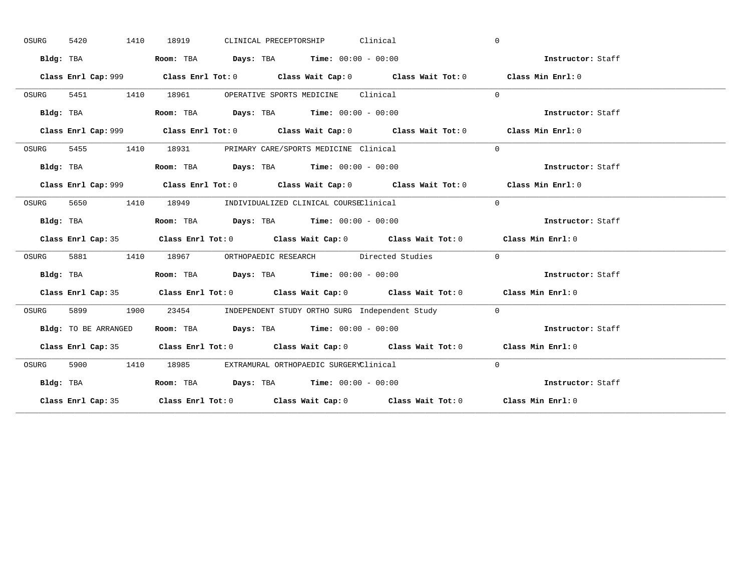| OSURG | 5420<br>1410         | CLINICAL PRECEPTORSHIP Clinical<br>18919                                                    | $\mathbf{0}$      |
|-------|----------------------|---------------------------------------------------------------------------------------------|-------------------|
|       | Bldg: TBA            | Room: TBA $Days:$ TBA $Time: 00:00 - 00:00$                                                 | Instructor: Staff |
|       |                      | Class Enrl Cap: 999 Class Enrl Tot: 0 Class Wait Cap: 0 Class Wait Tot: 0 Class Min Enrl: 0 |                   |
| OSURG |                      | 5451 1410 18961 OPERATIVE SPORTS MEDICINE Clinical                                          | $\Omega$          |
|       | Bldg: TBA            | Room: TBA $Days:$ TBA Time: $00:00 - 00:00$                                                 | Instructor: Staff |
|       |                      | Class Enrl Cap: 999 Class Enrl Tot: 0 Class Wait Cap: 0 Class Wait Tot: 0 Class Min Enrl: 0 |                   |
| OSURG |                      | 5455 1410 18931 PRIMARY CARE/SPORTS MEDICINE Clinical                                       | $\Omega$          |
|       | Bldg: TBA            | Room: TBA $Days:$ TBA $Time: 00:00 - 00:00$                                                 | Instructor: Staff |
|       |                      | Class Enrl Cap: 999 Class Enrl Tot: 0 Class Wait Cap: 0 Class Wait Tot: 0 Class Min Enrl: 0 |                   |
| OSURG | 5650 1410            | 18949 INDIVIDUALIZED CLINICAL COURSEClinical                                                | $\Omega$          |
|       | Bldg: TBA            | Room: TBA $Days:$ TBA $Time: 00:00 - 00:00$                                                 | Instructor: Staff |
|       |                      | Class Enrl Cap: 35 Class Enrl Tot: 0 Class Wait Cap: 0 Class Wait Tot: 0 Class Min Enrl: 0  |                   |
| OSURG |                      | 5881 1410 18967 ORTHOPAEDIC RESEARCH Directed Studies                                       | $\sim$ 0          |
|       | Bldg: TBA            | Room: TBA $\rule{1em}{0.15mm}$ Days: TBA $\rule{1.5mm}{0.15mm}$ Time: $00:00 - 00:00$       | Instructor: Staff |
|       |                      |                                                                                             |                   |
|       |                      | Class Enrl Cap: 35 Class Enrl Tot: 0 Class Wait Cap: 0 Class Wait Tot: 0 Class Min Enrl: 0  |                   |
| OSURG |                      | 5899 1900 23454 INDEPENDENT STUDY ORTHO SURG Independent Study 0                            |                   |
|       | Bldg: TO BE ARRANGED | Room: TBA $Days:$ TBA Time: $00:00 - 00:00$                                                 | Instructor: Staff |
|       |                      | Class Enrl Cap: 35 Class Enrl Tot: 0 Class Wait Cap: 0 Class Wait Tot: 0 Class Min Enrl: 0  |                   |
| OSURG | 5900 1410            | 18985 EXTRAMURAL ORTHOPAEDIC SURGERYClinical                                                | $\Omega$          |
|       | Bldg: TBA            | Room: TBA $Days:$ TBA $Time: 00:00 - 00:00$                                                 | Instructor: Staff |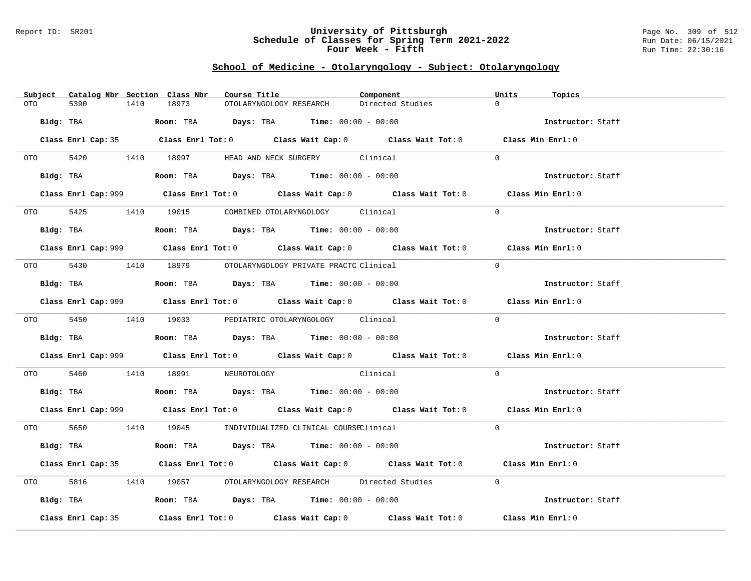### Report ID: SR201 **University of Pittsburgh** Page No. 309 of 512 **Schedule of Classes for Spring Term 2021-2022** Run Date: 06/15/2021 **Four Week - Fifth Run Time: 22:30:16**

### **School of Medicine - Otolaryngology - Subject: Otolaryngology**

|          |                    | Subject Catalog Nbr Section Class Nbr<br>Course Title                                              |                                             | Component        | Units<br>Topics   |
|----------|--------------------|----------------------------------------------------------------------------------------------------|---------------------------------------------|------------------|-------------------|
| OTO      | 5390<br>1410       | 18973                                                                                              | OTOLARYNGOLOGY RESEARCH                     | Directed Studies | $\Omega$          |
|          | Bldg: TBA          |                                                                                                    | Room: TBA $Days: TBA$ Time: $00:00 - 00:00$ |                  | Instructor: Staff |
|          |                    | Class Enrl Cap: 35 Class Enrl Tot: 0 Class Wait Cap: 0 Class Wait Tot: 0 Class Min Enrl: 0         |                                             |                  |                   |
|          |                    | OTO 5420 1410 18997 HEAD AND NECK SURGERY Clinical                                                 |                                             |                  | $\Omega$          |
|          |                    | Bldg: TBA                  Room: TBA        Days: TBA        Time: 00:00 - 00:00                   |                                             |                  | Instructor: Staff |
|          |                    | Class Enrl Cap: 999 Class Enrl Tot: 0 Class Wait Cap: 0 Class Wait Tot: 0 Class Min Enrl: 0        |                                             |                  |                   |
|          |                    | OTO 5425 1410 19015 COMBINED OTOLARYNGOLOGY Clinical                                               |                                             |                  | $\Omega$          |
|          |                    | Bldg: TBA                   Room: TBA         Days: TBA         Time: $00:00 - 00:00$              |                                             |                  | Instructor: Staff |
|          |                    | Class Enrl Cap: 999 Class Enrl Tot: 0 Class Wait Cap: 0 Class Wait Tot: 0 Class Min Enrl: 0        |                                             |                  |                   |
|          |                    | 0TO 5430 1410 18979 OTOLARYNGOLOGY PRIVATE PRACTC Clinical                                         |                                             |                  | $\Omega$          |
|          | Bldg: TBA          | <b>ROOM:</b> TBA <b>Days:</b> TBA <b>Time:</b> $00:00 - 00:00$                                     |                                             |                  | Instructor: Staff |
|          |                    | Class Enrl Cap: 999 Class Enrl Tot: 0 Class Wait Cap: 0 Class Wait Tot: 0 Class Min Enrl: 0        |                                             |                  |                   |
|          |                    | 0TO 5450 1410 19033 PEDIATRIC OTOLARYNGOLOGY Clinical                                              |                                             |                  | $\Omega$          |
|          |                    | Bldg: TBA                   Room: TBA         Days: TBA        Time: $00:00 - 00:00$               |                                             |                  | Instructor: Staff |
|          |                    | Class Enrl Cap: 999 Class Enrl Tot: 0 Class Wait Cap: 0 Class Wait Tot: 0 Class Min Enrl: 0        |                                             |                  |                   |
| OTO 5460 |                    | 1410 18991 NEUROTOLOGY Clinical                                                                    |                                             |                  | $\Omega$          |
|          |                    | Bldg: TBA                         Room: TBA          Days: TBA         Time: $00:00 - 00:00$       |                                             |                  | Instructor: Staff |
|          |                    | Class Enrl Cap: 999 Class Enrl Tot: 0 Class Wait Cap: 0 Class Wait Tot: 0 Class Min Enrl: 0        |                                             |                  |                   |
|          |                    | 0T0 5650 1410 19045 INDIVIDUALIZED CLINICAL COURSEClinical                                         |                                             |                  | $\Omega$          |
|          | Bldg: TBA          |                                                                                                    | Room: TBA $Days: TBA$ Time: $00:00 - 00:00$ |                  | Instructor: Staff |
|          |                    | Class Enrl Cap: 35 Class Enrl Tot: 0 Class Wait Cap: 0 Class Wait Tot: 0 Class Min Enrl: 0         |                                             |                  |                   |
| OTO 5816 |                    | 1410 19057 OTOLARYNGOLOGY RESEARCH Directed Studies                                                |                                             |                  | $\Omega$          |
|          |                    | Bldg: TBA                      Room: TBA         Days: TBA         Time: 00:00 - 00:00             |                                             |                  | Instructor: Staff |
|          | Class Enrl Cap: 35 | Class Enrl Tot: 0 $\qquad$ Class Wait Cap: 0 $\qquad$ Class Wait Tot: 0 $\qquad$ Class Min Enrl: 0 |                                             |                  |                   |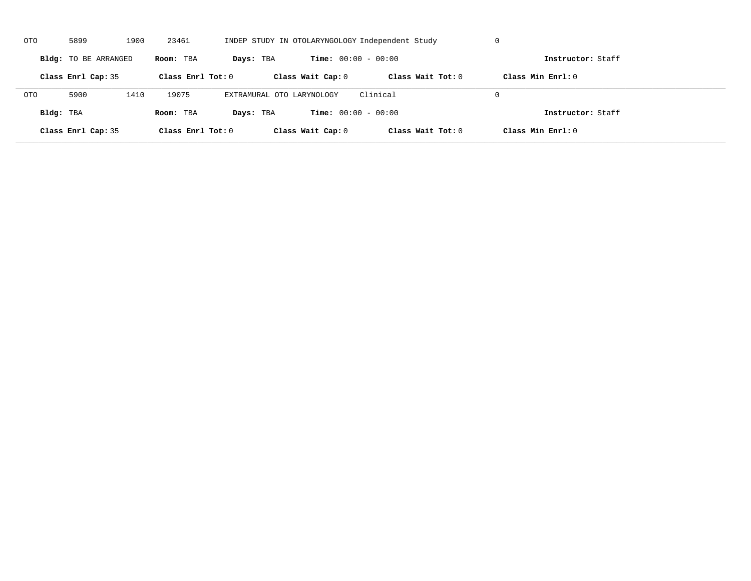| OTO        | 5899                 | 1900 | 23461               |                           |                              | INDEP STUDY IN OTOLARYNGOLOGY Independent Study | U                   |  |
|------------|----------------------|------|---------------------|---------------------------|------------------------------|-------------------------------------------------|---------------------|--|
|            | Bldg: TO BE ARRANGED |      | Room: TBA           | Days: TBA                 | <b>Time:</b> $00:00 - 00:00$ |                                                 | Instructor: Staff   |  |
|            | Class Enrl Cap: 35   |      | Class Enrl Tot: $0$ |                           | Class Wait Cap: 0            | Class Wait $Tot: 0$                             | Class Min $Enrl: 0$ |  |
| <b>OTO</b> | 5900                 | 1410 | 19075               | EXTRAMURAL OTO LARYNOLOGY |                              | Clinical                                        | $\Omega$            |  |
| Bldg: TBA  |                      |      | Room: TBA           | Days: TBA                 | <b>Time:</b> $00:00 - 00:00$ |                                                 | Instructor: Staff   |  |
|            | Class Enrl Cap: 35   |      | Class Enrl Tot: 0   |                           | Class Wait Cap: 0            | Class Wait Tot: 0                               | Class Min Enrl: 0   |  |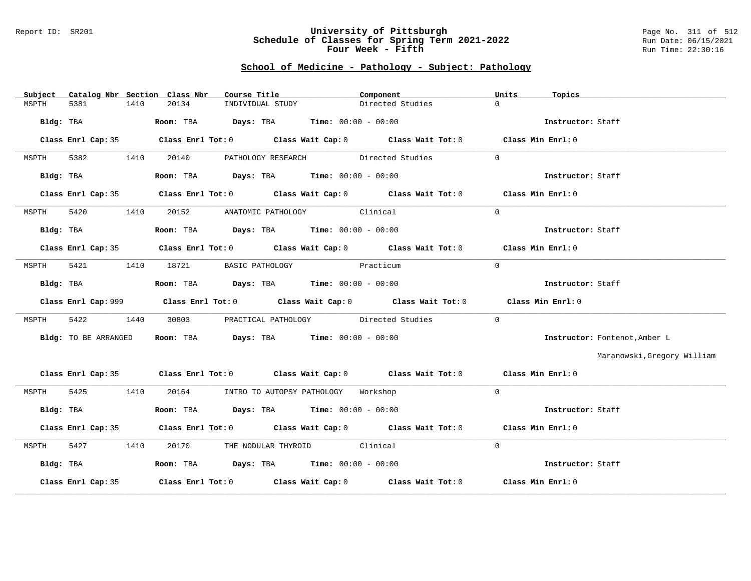#### Report ID: SR201 **University of Pittsburgh** Page No. 311 of 512 **Schedule of Classes for Spring Term 2021-2022** Run Date: 06/15/2021 **Four Week - Fifth Run Time: 22:30:16**

### **School of Medicine - Pathology - Subject: Pathology**

| Catalog Nbr Section Class Nbr<br>Subject | Course Title                                                                          | Component                                                                                  | Units<br>Topics               |
|------------------------------------------|---------------------------------------------------------------------------------------|--------------------------------------------------------------------------------------------|-------------------------------|
| 5381<br>1410<br>MSPTH                    | 20134<br>INDIVIDUAL STUDY                                                             | Directed Studies                                                                           | $\Omega$                      |
| Bldg: TBA                                | Room: TBA $Days: TBA$ Time: $00:00 - 00:00$                                           |                                                                                            | Instructor: Staff             |
|                                          |                                                                                       | Class Enrl Cap: 35 Class Enrl Tot: 0 Class Wait Cap: 0 Class Wait Tot: 0 Class Min Enrl: 0 |                               |
| 5382<br>1410<br>MSPTH                    |                                                                                       | 20140 PATHOLOGY RESEARCH Directed Studies                                                  | $\Omega$                      |
| Bldg: TBA                                | Room: TBA $Days:$ TBA $Time: 00:00 - 00:00$                                           |                                                                                            | Instructor: Staff             |
|                                          |                                                                                       | Class Enrl Cap: 35 Class Enrl Tot: 0 Class Wait Cap: 0 Class Wait Tot: 0 Class Min Enrl: 0 |                               |
| 5420<br>1410<br>MSPTH                    | 20152 ANATOMIC PATHOLOGY Clinical                                                     |                                                                                            | $\Omega$                      |
| Bldg: TBA                                | Room: TBA $Days: TBA$ Time: $00:00 - 00:00$                                           |                                                                                            | Instructor: Staff             |
|                                          |                                                                                       | Class Enrl Cap: 35 Class Enrl Tot: 0 Class Wait Cap: 0 Class Wait Tot: 0 Class Min Enrl: 0 |                               |
| 5421<br>1410<br>MSPTH                    | 18721                                                                                 | BASIC PATHOLOGY Practicum                                                                  | $\Omega$                      |
| Bldg: TBA                                | Room: TBA $Days:$ TBA $Time: 00:00 - 00:00$                                           |                                                                                            | Instructor: Staff             |
|                                          |                                                                                       | Class Enrl Cap: 999 Class Enrl Tot: 0 Class Wait Cap: 0 Class Wait Tot: 0                  | Class Min Enrl: 0             |
| 5422<br>1440<br>MSPTH                    | 30803                                                                                 | PRACTICAL PATHOLOGY Directed Studies                                                       | $\Omega$                      |
| Bldg: TO BE ARRANGED                     | Room: TBA $Days: TBA$ Time: $00:00 - 00:00$                                           |                                                                                            | Instructor: Fontenot, Amber L |
|                                          |                                                                                       |                                                                                            | Maranowski, Gregory William   |
|                                          |                                                                                       | Class Enrl Cap: 35 Class Enrl Tot: 0 Class Wait Cap: 0 Class Wait Tot: 0 Class Min Enrl: 0 |                               |
| 5425 1410<br>MSPTH                       | 20164 INTRO TO AUTOPSY PATHOLOGY Workshop                                             |                                                                                            | $\Omega$                      |
| Bldg: TBA                                | Room: TBA $\rule{1em}{0.15mm}$ Days: TBA Time: $00:00 - 00:00$                        |                                                                                            | Instructor: Staff             |
|                                          |                                                                                       | Class Enrl Cap: 35 Class Enrl Tot: 0 Class Wait Cap: 0 Class Wait Tot: 0 Class Min Enrl: 0 |                               |
| 5427<br>MSPTH<br>1410                    | 20170 THE NODULAR THYROID Clinical                                                    |                                                                                            | $\Omega$                      |
| Bldg: TBA                                | Room: TBA $\rule{1em}{0.15mm}$ Days: TBA $\rule{1.5mm}{0.15mm}$ Time: $00:00 - 00:00$ |                                                                                            | Instructor: Staff             |
| Class Enrl Cap: 35                       |                                                                                       | Class Enrl Tot: $0$ Class Wait Cap: $0$ Class Wait Tot: $0$ Class Min Enrl: $0$            |                               |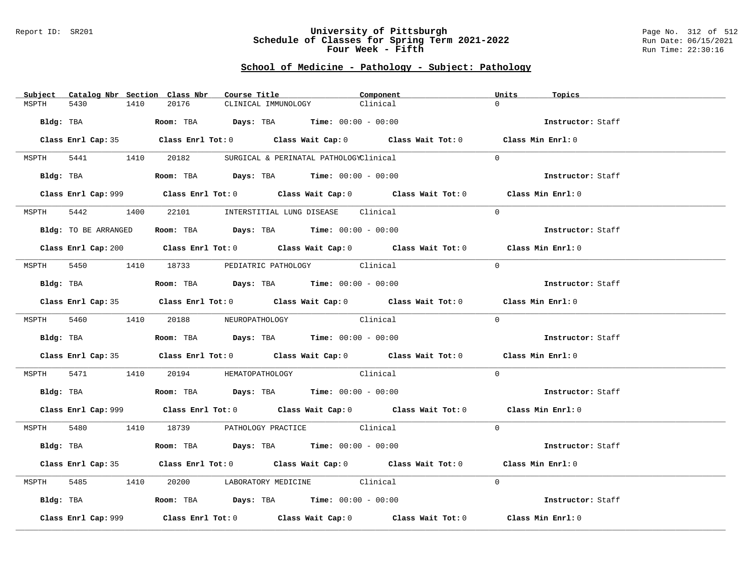#### Report ID: SR201 **University of Pittsburgh** Page No. 312 of 512 **Schedule of Classes for Spring Term 2021-2022** Run Date: 06/15/2021 **Four Week - Fifth Run Time: 22:30:16**

### **School of Medicine - Pathology - Subject: Pathology**

| Subject Catalog Nbr Section Class Nbr | Course Title                                                                                 | Component | Units<br>Topics   |
|---------------------------------------|----------------------------------------------------------------------------------------------|-----------|-------------------|
| 5430<br>1410<br>MSPTH                 | 20176<br>CLINICAL IMMUNOLOGY                                                                 | Clinical  | $\Omega$          |
| Bldg: TBA                             | <b>Room:</b> TBA $\qquad \qquad$ Days: TBA $\qquad \qquad$ Time: $00:00 - 00:00$             |           | Instructor: Staff |
|                                       | Class Enrl Cap: 35 Class Enrl Tot: 0 Class Wait Cap: 0 Class Wait Tot: 0 Class Min Enrl: 0   |           |                   |
|                                       | MSPTH 5441 1410 20182 SURGICAL & PERINATAL PATHOLOGYClinical                                 |           | $\Omega$          |
|                                       | Bldg: TBA                    Room: TBA         Days: TBA         Time: $00:00 - 00:00$       |           | Instructor: Staff |
|                                       | Class Enrl Cap: 999 Class Enrl Tot: 0 Class Wait Cap: 0 Class Wait Tot: 0 Class Min Enrl: 0  |           |                   |
| 5442 1400<br>MSPTH                    | 22101 INTERSTITIAL LUNG DISEASE Clinical                                                     |           | $\Omega$          |
| Bldg: TO BE ARRANGED                  | Room: TBA $Days: TBA$ Time: $00:00 - 00:00$                                                  |           | Instructor: Staff |
|                                       | Class Enrl Cap: 200 Class Enrl Tot: 0 Class Wait Cap: 0 Class Wait Tot: 0 Class Min Enrl: 0  |           |                   |
|                                       | MSPTH 5450 1410 18733 PEDIATRIC PATHOLOGY Clinical                                           |           | $\Omega$          |
| Bldg: TBA                             | Room: TBA $Days: TBA$ Time: $00:00 - 00:00$                                                  |           | Instructor: Staff |
|                                       | Class Enrl Cap: 35 Class Enrl Tot: 0 Class Wait Cap: 0 Class Wait Tot: 0 Class Min Enrl: 0   |           |                   |
|                                       | MSPTH 5460 1410 20188 NEUROPATHOLOGY                                                         | Clinical  | $\Omega$          |
|                                       | Bldg: TBA                   Room: TBA         Days: TBA        Time: $00:00 - 00:00$         |           | Instructor: Staff |
|                                       | Class Enrl Cap: 35 Class Enrl Tot: 0 Class Wait Cap: 0 Class Wait Tot: 0 Class Min Enrl: 0   |           |                   |
|                                       | MSPTH 5471 1410 20194 HEMATOPATHOLOGY Clinical                                               |           | $\Omega$          |
|                                       | Bldg: TBA                         Room: TBA          Days: TBA         Time: $00:00 - 00:00$ |           | Instructor: Staff |
|                                       | Class Enrl Cap: 999 Class Enrl Tot: 0 Class Wait Cap: 0 Class Wait Tot: 0 Class Min Enrl: 0  |           |                   |
|                                       | MSPTH 5480 1410 18739 PATHOLOGY PRACTICE Clinical                                            |           | $\Omega$          |
| Bldg: TBA                             | Room: TBA $\rule{1em}{0.15mm}$ Days: TBA Time: $00:00 - 00:00$                               |           | Instructor: Staff |
|                                       | Class Enrl Cap: 35 Class Enrl Tot: 0 Class Wait Cap: 0 Class Wait Tot: 0 Class Min Enrl: 0   |           |                   |
| MSPTH                                 | 5485 1410 20200 LABORATORY MEDICINE Clinical                                                 |           | $\Omega$          |
|                                       | Bldg: TBA                        Room: TBA          Days: TBA         Time: $00:00 - 00:00$  |           | Instructor: Staff |
| Class Enrl Cap: 999                   | Class Enrl Tot: $0$ Class Wait Cap: $0$ Class Wait Tot: $0$ Class Min Enrl: $0$              |           |                   |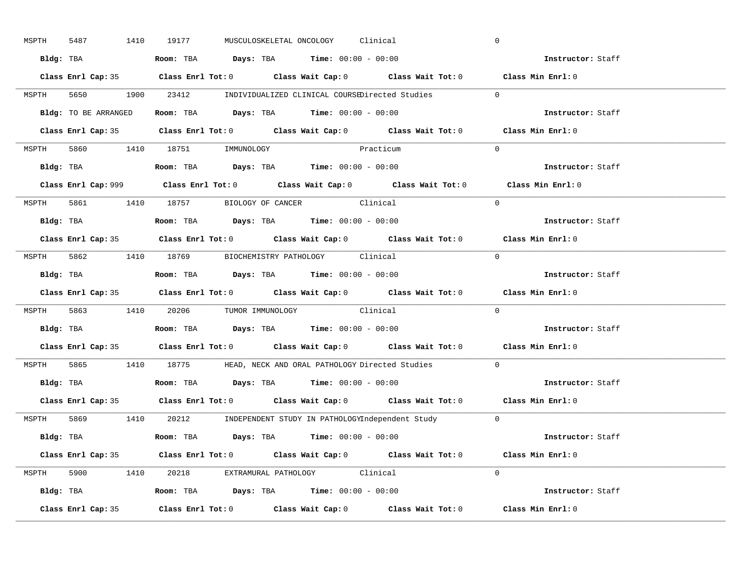| MSPTH | 5487               | 1410 19177                                                                            | MUSCULOSKELETAL ONCOLOGY Clinical |                                                                         | $\mathbf 0$                                                                                 |
|-------|--------------------|---------------------------------------------------------------------------------------|-----------------------------------|-------------------------------------------------------------------------|---------------------------------------------------------------------------------------------|
|       |                    | Bldg: TBA                   Room: TBA         Days: TBA        Time: 00:00 - 00:00    |                                   |                                                                         | Instructor: Staff                                                                           |
|       |                    |                                                                                       |                                   |                                                                         | Class Enrl Cap: 35 Class Enrl Tot: 0 Class Wait Cap: 0 Class Wait Tot: 0 Class Min Enrl: 0  |
|       |                    |                                                                                       |                                   | MSPTH 5650 1900 23412 INDIVIDUALIZED CLINICAL COURSEDirected Studies 0  |                                                                                             |
|       |                    | Bldg: TO BE ARRANGED ROOM: TBA Days: TBA Time: 00:00 - 00:00                          |                                   |                                                                         | Instructor: Staff                                                                           |
|       |                    |                                                                                       |                                   |                                                                         | Class Enrl Cap: 35 Class Enrl Tot: 0 Class Wait Cap: 0 Class Wait Tot: 0 Class Min Enrl: 0  |
|       |                    | MSPTH 5860 1410 18751 IMMUNOLOGY                                                      | Practicum                         |                                                                         | $\Omega$                                                                                    |
|       |                    | <b>Bldg:</b> TBA <b>ROOM:</b> TBA <b>Days:</b> TBA <b>Time:</b> $00:00 - 00:00$       |                                   |                                                                         | Instructor: Staff                                                                           |
|       |                    |                                                                                       |                                   |                                                                         | Class Enrl Cap: 999 Class Enrl Tot: 0 Class Wait Cap: 0 Class Wait Tot: 0 Class Min Enrl: 0 |
|       |                    | MSPTH 5861 1410 18757 BIOLOGY OF CANCER Clinical                                      |                                   |                                                                         | $\Omega$                                                                                    |
|       |                    | Bldg: TBA                   Room: TBA         Days: TBA         Time: $00:00 - 00:00$ |                                   |                                                                         | Instructor: Staff                                                                           |
|       |                    |                                                                                       |                                   |                                                                         | Class Enrl Cap: 35 Class Enrl Tot: 0 Class Wait Cap: 0 Class Wait Tot: 0 Class Min Enrl: 0  |
|       |                    | MSPTH 5862 1410 18769 BIOCHEMISTRY PATHOLOGY Clinical                                 |                                   |                                                                         | $\Omega$                                                                                    |
|       |                    | Bldg: TBA                   Room: TBA         Days: TBA         Time: $00:00 - 00:00$ |                                   |                                                                         | Instructor: Staff                                                                           |
|       |                    |                                                                                       |                                   |                                                                         | Class Enrl Cap: 35 Class Enrl Tot: 0 Class Wait Cap: 0 Class Wait Tot: 0 Class Min Enrl: 0  |
|       |                    | MSPTH 5863 1410 20206 TUMOR IMMUNOLOGY Clinical                                       |                                   |                                                                         | $\Omega$                                                                                    |
|       |                    | Bldg: TBA                   Room: TBA         Days: TBA         Time: 00:00 - 00:00   |                                   |                                                                         | Instructor: Staff                                                                           |
|       |                    |                                                                                       |                                   |                                                                         | Class Enrl Cap: 35 Class Enrl Tot: 0 Class Wait Cap: 0 Class Wait Tot: 0 Class Min Enrl: 0  |
| MSPTH |                    |                                                                                       |                                   | 5865 1410 18775 HEAD, NECK AND ORAL PATHOLOGY Directed Studies          | $\Omega$                                                                                    |
|       |                    | Bldg: TBA                    Room: TBA         Days: TBA         Time: 00:00 - 00:00  |                                   |                                                                         | Instructor: Staff                                                                           |
|       |                    |                                                                                       |                                   |                                                                         | Class Enrl Cap: 35 Class Enrl Tot: 0 Class Wait Cap: 0 Class Wait Tot: 0 Class Min Enrl: 0  |
|       |                    |                                                                                       |                                   | MSPTH 5869 1410 20212 INDEPENDENT STUDY IN PATHOLOGYIndependent Study 0 |                                                                                             |
|       |                    | Bldg: TBA                    Room: TBA         Days: TBA         Time: 00:00 - 00:00  |                                   |                                                                         | <b>Instructor:</b> Staff                                                                    |
|       |                    |                                                                                       |                                   |                                                                         | Class Enrl Cap: 35 Class Enrl Tot: 0 Class Wait Cap: 0 Class Wait Tot: 0 Class Min Enrl: 0  |
|       |                    | MSPTH 5900 1410 20218 EXTRAMURAL PATHOLOGY Clinical                                   |                                   |                                                                         | $\Omega$                                                                                    |
|       |                    | Bldg: TBA                   Room: TBA         Days: TBA         Time: 00:00 - 00:00   |                                   |                                                                         | Instructor: Staff                                                                           |
|       | Class Enrl Cap: 35 |                                                                                       |                                   |                                                                         | Class Enrl Tot: $0$ Class Wait Cap: $0$ Class Wait Tot: $0$ Class Min Enrl: $0$             |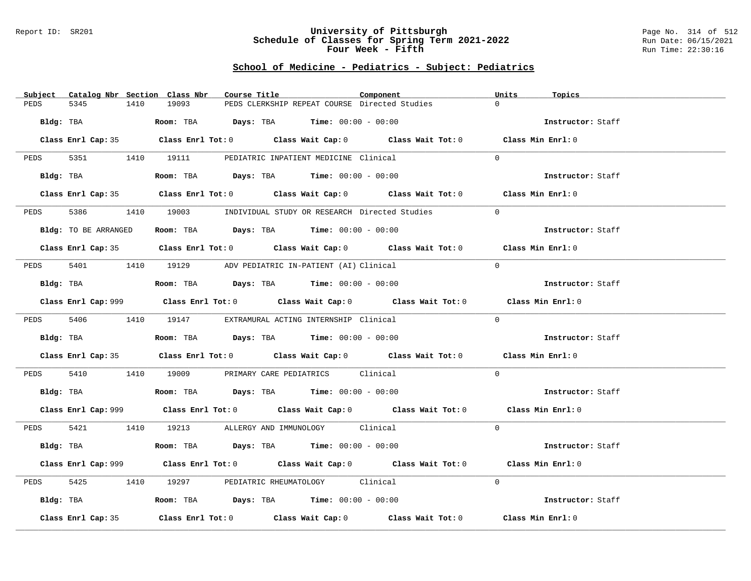### Report ID: SR201 **University of Pittsburgh** Page No. 314 of 512 **Schedule of Classes for Spring Term 2021-2022** Run Date: 06/15/2021 **Four Week - Fifth Run Time: 22:30:16**

# **School of Medicine - Pediatrics - Subject: Pediatrics**

| Catalog Nbr Section Class Nbr<br>Subject | Course Title                                                                                       | Component | Units<br>Topics   |
|------------------------------------------|----------------------------------------------------------------------------------------------------|-----------|-------------------|
| 5345<br>PEDS<br>1410                     | 19093<br>PEDS CLERKSHIP REPEAT COURSE Directed Studies                                             |           | $\Omega$          |
| Bldg: TBA                                | Room: TBA $Days:$ TBA $Time: 00:00 - 00:00$                                                        |           | Instructor: Staff |
|                                          | Class Enrl Cap: 35 Class Enrl Tot: 0 Class Wait Cap: 0 Class Wait Tot: 0 Class Min Enrl: 0         |           |                   |
|                                          | PEDS 5351 1410 19111 PEDIATRIC INPATIENT MEDICINE Clinical                                         |           | $\Omega$          |
| Bldg: TBA                                | Room: TBA $Days:$ TBA $Time: 00:00 - 00:00$                                                        |           | Instructor: Staff |
|                                          | Class Enrl Cap: 35 Class Enrl Tot: 0 Class Wait Cap: 0 Class Wait Tot: 0 Class Min Enrl: 0         |           |                   |
| 5386 7<br>PEDS                           | 1410 19003 INDIVIDUAL STUDY OR RESEARCH Directed Studies                                           |           | $\Omega$          |
| Bldg: TO BE ARRANGED                     | Room: TBA $Days:$ TBA $Time: 00:00 - 00:00$                                                        |           | Instructor: Staff |
|                                          | Class Enrl Cap: 35 Class Enrl Tot: 0 Class Wait Cap: 0 Class Wait Tot: 0 Class Min Enrl: 0         |           |                   |
|                                          | PEDS 5401 1410 19129 ADV PEDIATRIC IN-PATIENT (AI) Clinical                                        |           | $\Omega$          |
| Bldg: TBA                                | Room: TBA $Days:$ TBA Time: $00:00 - 00:00$                                                        |           | Instructor: Staff |
|                                          | Class Enrl Cap: 999 Class Enrl Tot: 0 Class Wait Cap: 0 Class Wait Tot: 0 Class Min Enrl: 0        |           |                   |
|                                          | PEDS 5406 1410 19147 EXTRAMURAL ACTING INTERNSHIP Clinical                                         |           | $\Omega$          |
| Bldg: TBA                                | Room: TBA $Days:$ TBA Time: $00:00 - 00:00$                                                        |           | Instructor: Staff |
|                                          | Class Enrl Cap: 35 Class Enrl Tot: 0 Class Wait Cap: 0 Class Wait Tot: 0 Class Min Enrl: 0         |           |                   |
| PEDS                                     | 5410 1410 19009 PRIMARY CARE PEDIATRICS Clinical                                                   |           | $\Omega$          |
| Bldg: TBA                                | Room: TBA $Days:$ TBA Time: $00:00 - 00:00$                                                        |           | Instructor: Staff |
|                                          | Class Enrl Cap: 999 Class Enrl Tot: 0 Class Wait Cap: 0 Class Wait Tot: 0 Class Min Enrl: 0        |           |                   |
|                                          | PEDS 5421 1410 19213 ALLERGY AND IMMUNOLOGY Clinical                                               |           | $\Omega$          |
| Bldg: TBA                                | Room: TBA $Days: TBA$ Time: $00:00 - 00:00$                                                        |           | Instructor: Staff |
|                                          | Class Enrl Cap: 999 Class Enrl Tot: 0 Class Wait Cap: 0 Class Wait Tot: 0 Class Min Enrl: 0        |           |                   |
| 5425<br>PEDS                             | 1410 19297 PEDIATRIC RHEUMATOLOGY Clinical                                                         |           | $\Omega$          |
| Bldg: TBA                                | Room: TBA $\rule{1em}{0.15mm}$ Days: TBA Time: $00:00 - 00:00$                                     |           | Instructor: Staff |
| Class Enrl Cap: 35                       | Class Enrl Tot: 0 $\qquad$ Class Wait Cap: 0 $\qquad$ Class Wait Tot: 0 $\qquad$ Class Min Enrl: 0 |           |                   |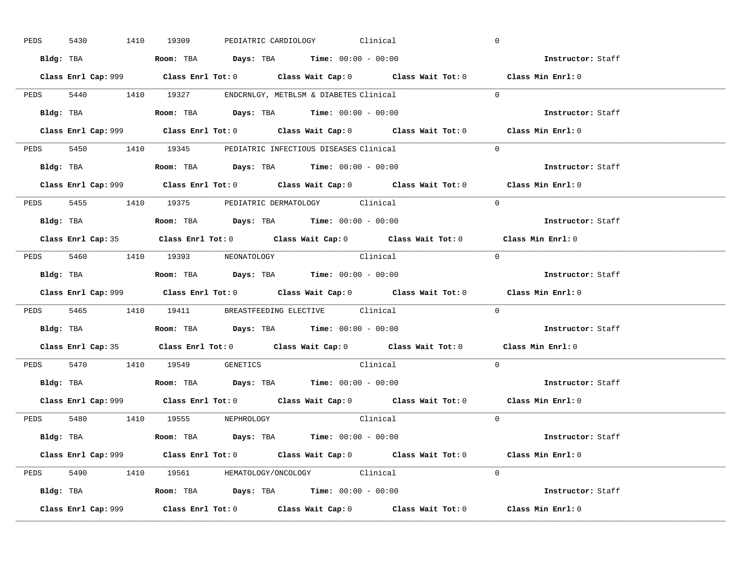| 5430      |           | 1410 19309                                                                             |  | PEDIATRIC CARDIOLOGY Clinical |          | $\overline{0}$                                                                              |  |
|-----------|-----------|----------------------------------------------------------------------------------------|--|-------------------------------|----------|---------------------------------------------------------------------------------------------|--|
|           |           | Bldg: TBA                   Room: TBA         Days: TBA         Time: $00:00 - 00:00$  |  |                               |          | Instructor: Staff                                                                           |  |
|           |           |                                                                                        |  |                               |          | Class Enrl Cap: 999 Class Enrl Tot: 0 Class Wait Cap: 0 Class Wait Tot: 0 Class Min Enrl: 0 |  |
|           |           | PEDS 5440 1410 19327 ENDCRNLGY, METBLSM & DIABETES Clinical                            |  |                               |          | $\Omega$                                                                                    |  |
|           | Bldg: TBA | Room: TBA $Days:$ TBA $Time: 00:00 - 00:00$                                            |  |                               |          | Instructor: Staff                                                                           |  |
|           |           |                                                                                        |  |                               |          | Class Enrl Cap: 999 Class Enrl Tot: 0 Class Wait Cap: 0 Class Wait Tot: 0 Class Min Enrl: 0 |  |
|           |           | PEDS 5450 1410 19345 PEDIATRIC INFECTIOUS DISEASES Clinical                            |  |                               |          | $\Omega$                                                                                    |  |
|           |           | Bldg: TBA                    Room: TBA         Days: TBA        Time: $00:00 - 00:00$  |  |                               |          | Instructor: Staff                                                                           |  |
|           |           |                                                                                        |  |                               |          | Class Enrl Cap: 999 Class Enrl Tot: 0 Class Wait Cap: 0 Class Wait Tot: 0 Class Min Enrl: 0 |  |
|           |           | PEDS 5455 1410 19375 PEDIATRIC DERMATOLOGY Clinical                                    |  |                               |          | $\Omega$                                                                                    |  |
|           |           | Bldg: TBA                    Room: TBA         Days: TBA         Time: $00:00 - 00:00$ |  |                               |          | Instructor: Staff                                                                           |  |
|           |           |                                                                                        |  |                               |          | Class Enrl Cap: 35 Class Enrl Tot: 0 Class Wait Cap: 0 Class Wait Tot: 0 Class Min Enrl: 0  |  |
|           |           | PEDS 5460 1410 19393 NEONATOLOGY                                                       |  | Clinical                      |          | $\bigcirc$                                                                                  |  |
|           |           | Bldg: TBA                   Room: TBA         Days: TBA         Time: $00:00 - 00:00$  |  |                               |          | Instructor: Staff                                                                           |  |
|           |           |                                                                                        |  |                               |          | Class Enrl Cap: 999 Class Enrl Tot: 0 Class Wait Cap: 0 Class Wait Tot: 0 Class Min Enrl: 0 |  |
|           |           | PEDS 5465 1410 19411 BREASTFEEDING ELECTIVE Clinical                                   |  |                               |          | $\mathbf{0}$                                                                                |  |
|           |           |                                                                                        |  |                               |          |                                                                                             |  |
| Bldg: TBA |           | Room: TBA $\rule{1em}{0.15mm}$ Days: TBA Time: $00:00 - 00:00$                         |  |                               |          | <b>Instructor:</b> Staff                                                                    |  |
|           |           |                                                                                        |  |                               |          | Class Enrl Cap: 35 Class Enrl Tot: 0 Class Wait Cap: 0 Class Wait Tot: 0 Class Min Enrl: 0  |  |
|           |           | PEDS 5470 1410 19549 GENETICS                                                          |  |                               | Clinical | $\Omega$                                                                                    |  |
|           |           | Bldg: TBA                    Room: TBA         Days: TBA         Time: $00:00 - 00:00$ |  |                               |          | Instructor: Staff                                                                           |  |
|           |           |                                                                                        |  |                               |          | Class Enrl Cap: 999 Class Enrl Tot: 0 Class Wait Cap: 0 Class Wait Tot: 0 Class Min Enrl: 0 |  |
|           |           | PEDS 5480 1410 19555 NEPHROLOGY                                                        |  |                               | Clinical | $\Omega$                                                                                    |  |
|           |           | Bldg: TBA                   Room: TBA         Days: TBA         Time: 00:00 - 00:00    |  |                               |          | Instructor: Staff                                                                           |  |
|           |           |                                                                                        |  |                               |          | Class Enrl Cap: 999 Class Enrl Tot: 0 Class Wait Cap: 0 Class Wait Tot: 0 Class Min Enrl: 0 |  |
|           |           | PEDS 5490 1410 19561 HEMATOLOGY/ONCOLOGY Clinical                                      |  |                               |          | $\Omega$                                                                                    |  |
|           |           | <b>Bldg:</b> TBA <b>ROOM:</b> TBA <b>Days:</b> TBA <b>Time:</b> $00:00 - 00:00$        |  |                               |          | Instructor: Staff                                                                           |  |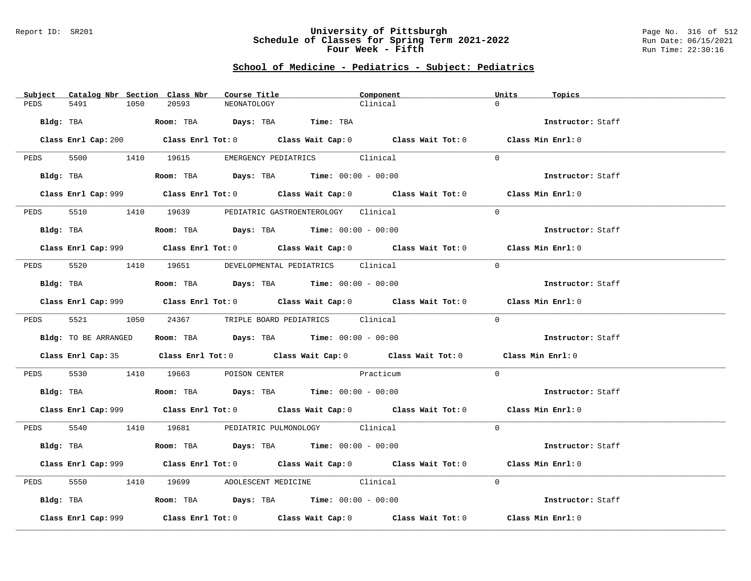### Report ID: SR201 **University of Pittsburgh** Page No. 316 of 512 **Schedule of Classes for Spring Term 2021-2022** Run Date: 06/15/2021 **Four Week - Fifth Run Time: 22:30:16**

# **School of Medicine - Pediatrics - Subject: Pediatrics**

|      | Subject Catalog Nbr Section Class Nbr | Course Title                                                                | Component                                                                                          | Units<br>Topics   |
|------|---------------------------------------|-----------------------------------------------------------------------------|----------------------------------------------------------------------------------------------------|-------------------|
| PEDS | 5491<br>1050                          | 20593<br>NEONATOLOGY                                                        | Clinical                                                                                           | $\Omega$          |
|      |                                       | Bldg: TBA                     Room: TBA         Days: TBA         Time: TBA |                                                                                                    | Instructor: Staff |
|      |                                       |                                                                             | Class Enrl Cap: 200 Class Enrl Tot: 0 Class Wait Cap: 0 Class Wait Tot: 0 Class Min Enrl: 0        |                   |
|      |                                       |                                                                             | PEDS 5500 1410 19615 EMERGENCY PEDIATRICS Clinical                                                 | $\Omega$          |
|      |                                       |                                                                             | Bldg: TBA                   Room: TBA        Days: TBA        Time: 00:00 - 00:00                  | Instructor: Staff |
|      |                                       |                                                                             | Class Enrl Cap: 999 Class Enrl Tot: 0 Class Wait Cap: 0 Class Wait Tot: 0 Class Min Enrl: 0        |                   |
| PEDS |                                       |                                                                             | 5510 1410 19639 PEDIATRIC GASTROENTEROLOGY Clinical                                                | $\Omega$          |
|      |                                       |                                                                             | Bldg: TBA                   Room: TBA         Days: TBA         Time: 00:00 - 00:00                | Instructor: Staff |
|      |                                       |                                                                             | Class Enrl Cap: 999 Class Enrl Tot: 0 Class Wait Cap: 0 Class Wait Tot: 0 Class Min Enrl: 0        |                   |
|      |                                       |                                                                             | PEDS 5520 1410 19651 DEVELOPMENTAL PEDIATRICS Clinical                                             | $\Omega$          |
|      |                                       |                                                                             | Bldg: TBA                     Room: TBA         Days: TBA         Time: $00:00 - 00:00$            | Instructor: Staff |
|      |                                       |                                                                             | Class Enrl Cap: 999 Class Enrl Tot: 0 Class Wait Cap: 0 Class Wait Tot: 0 Class Min Enrl: 0        |                   |
| PEDS |                                       |                                                                             | 5521 1050 24367 TRIPLE BOARD PEDIATRICS Clinical                                                   | $\Omega$          |
|      | Bldg: TO BE ARRANGED                  |                                                                             | Room: TBA $Days: TBA$ Time: $00:00 - 00:00$                                                        | Instructor: Staff |
|      |                                       |                                                                             | Class Enrl Cap: 35 Class Enrl Tot: 0 Class Wait Cap: 0 Class Wait Tot: 0 Class Min Enrl: 0         |                   |
|      |                                       |                                                                             | PEDS 5530 1410 19663 POISON CENTER Practicum                                                       | $\Omega$          |
|      |                                       |                                                                             | Bldg: TBA                   Room: TBA         Days: TBA         Time: $00:00 - 00:00$              | Instructor: Staff |
|      |                                       |                                                                             | Class Enrl Cap: 999 Class Enrl Tot: 0 Class Wait Cap: 0 Class Wait Tot: 0 Class Min Enrl: 0        |                   |
|      |                                       |                                                                             | PEDS 5540 1410 19681 PEDIATRIC PULMONOLOGY Clinical                                                | $\Omega$          |
|      |                                       |                                                                             | <b>Bldg:</b> TBA <b>ROOM:</b> TBA <b>Days:</b> TBA <b>Time:</b> $00:00 - 00:00$                    | Instructor: Staff |
|      |                                       |                                                                             | Class Enrl Cap: 999 Class Enrl Tot: 0 Class Wait Cap: 0 Class Wait Tot: 0 Class Min Enrl: 0        |                   |
| PEDS |                                       |                                                                             | 5550 1410 19699 ADOLESCENT MEDICINE Clinical                                                       | $\Omega$          |
|      |                                       |                                                                             | Bldg: TBA                   Room: TBA         Days: TBA         Time: $00:00 - 00:00$              | Instructor: Staff |
|      | Class Enrl Cap: 999                   |                                                                             | Class Enrl Tot: 0 $\qquad$ Class Wait Cap: 0 $\qquad$ Class Wait Tot: 0 $\qquad$ Class Min Enrl: 0 |                   |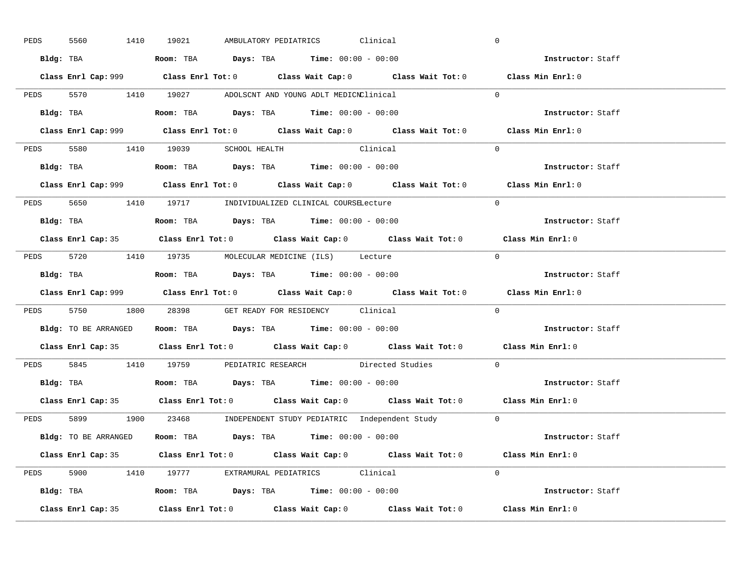| PEDS | 5560 | 1410 19021<br>Clinical<br>AMBULATORY PEDIATRICS                                             | $\mathbf 0$       |
|------|------|---------------------------------------------------------------------------------------------|-------------------|
|      |      | Bldg: TBA                    Room: TBA         Days: TBA         Time: 00:00 - 00:00        | Instructor: Staff |
|      |      | Class Enrl Cap: 999 Class Enrl Tot: 0 Class Wait Cap: 0 Class Wait Tot: 0 Class Min Enrl: 0 |                   |
|      |      | PEDS 5570 1410 19027 ADOLSCNT AND YOUNG ADLT MEDICNClinical                                 | $\Omega$          |
|      |      |                                                                                             | Instructor: Staff |
|      |      | Class Enrl Cap: 999 Class Enrl Tot: 0 Class Wait Cap: 0 Class Wait Tot: 0                   | Class Min Enrl: 0 |
|      |      | PEDS 5580 1410 19039 SCHOOL HEALTH Clinical                                                 | $\Omega$          |
|      |      | Bldg: TBA $\qquad$ Room: TBA Days: TBA Time: $00:00 - 00:00$                                | Instructor: Staff |
|      |      | Class Enrl Cap: 999 Class Enrl Tot: 0 Class Wait Cap: 0 Class Wait Tot: 0 Class Min Enrl: 0 |                   |
|      |      | PEDS 5650 1410 19717 INDIVIDUALIZED CLINICAL COURSELecture                                  | $\Omega$          |
|      |      | Bldg: TBA                   Room: TBA         Days: TBA         Time: $00:00 - 00:00$       | Instructor: Staff |
|      |      | Class Enrl Cap: 35 Class Enrl Tot: 0 Class Wait Cap: 0 Class Wait Tot: 0 Class Min Enrl: 0  |                   |
|      |      | PEDS 5720 1410 19735 MOLECULAR MEDICINE (ILS) Lecture                                       | $\bigcap$         |
|      |      | Bldg: TBA                   Room: TBA         Days: TBA         Time: $00:00 - 00:00$       | Instructor: Staff |
|      |      |                                                                                             |                   |
|      |      | Class Enrl Cap: 999 Class Enrl Tot: 0 Class Wait Cap: 0 Class Wait Tot: 0 Class Min Enrl: 0 |                   |
|      |      | PEDS 5750 1800 28398 GET READY FOR RESIDENCY Clinical                                       | $\Omega$          |
|      |      | <b>Bldg:</b> TO BE ARRANGED <b>ROOM:</b> TBA <b>Days:</b> TBA <b>Time:</b> $00:00 - 00:00$  | Instructor: Staff |
|      |      | Class Enrl Cap: 35 Class Enrl Tot: 0 Class Wait Cap: 0 Class Wait Tot: 0 Class Min Enrl: 0  |                   |
|      |      | PEDS 5845 1410 19759 PEDIATRIC RESEARCH Directed Studies                                    | $\Omega$          |
|      |      | Bldg: TBA                    Room: TBA         Days: TBA         Time: 00:00 - 00:00        | Instructor: Staff |
|      |      | Class Enrl Cap: 35 Class Enrl Tot: 0 Class Wait Cap: 0 Class Wait Tot: 0 Class Min Enrl: 0  |                   |
|      |      | PEDS 5899 1900 23468 INDEPENDENT STUDY PEDIATRIC Independent Study 0                        |                   |
|      |      | Bldg: TO BE ARRANGED Room: TBA Days: TBA Time: 00:00 - 00:00                                | Instructor: Staff |
|      |      | Class Enrl Cap: 35 Class Enrl Tot: 0 Class Wait Cap: 0 Class Wait Tot: 0 Class Min Enrl: 0  |                   |
|      |      | PEDS 5900 1410 19777 EXTRAMURAL PEDIATRICS Clinical                                         | $\Omega$          |
|      |      | Bldg: TBA                   Room: TBA         Days: TBA         Time: $00:00 - 00:00$       | Instructor: Staff |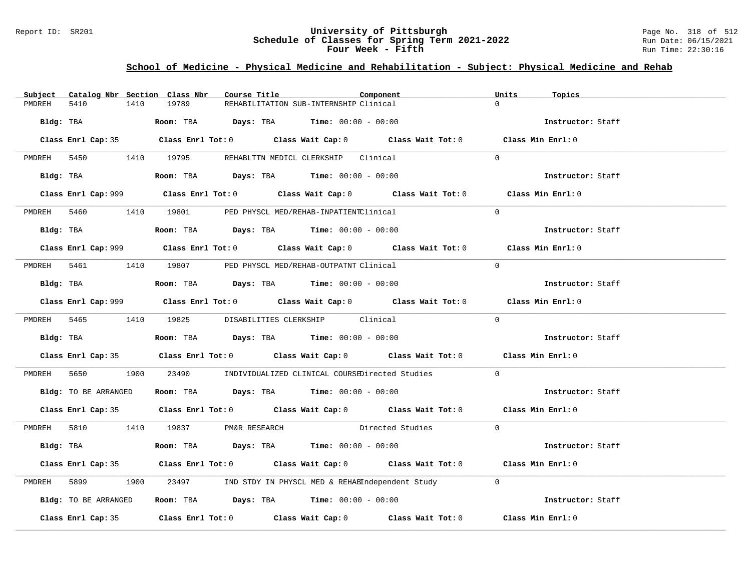### Report ID: SR201 **University of Pittsburgh** Page No. 318 of 512 **Schedule of Classes for Spring Term 2021-2022** Run Date: 06/15/2021 **Four Week - Fifth Run Time: 22:30:16**

# **School of Medicine - Physical Medicine and Rehabilitation - Subject: Physical Medicine and Rehab**

| Subject |                      |      | Catalog Nbr Section Class Nbr        | Course Title |                                                                                        | Component                                                                                   | Units    | Topics            |  |
|---------|----------------------|------|--------------------------------------|--------------|----------------------------------------------------------------------------------------|---------------------------------------------------------------------------------------------|----------|-------------------|--|
| PMDREH  | 5410                 | 1410 | 19789                                |              | REHABILITATION SUB-INTERNSHIP Clinical                                                 |                                                                                             | $\Omega$ |                   |  |
|         | Bldg: TBA            |      |                                      |              | Room: TBA $Days:$ TBA $Time: 00:00 - 00:00$                                            |                                                                                             |          | Instructor: Staff |  |
|         |                      |      |                                      |              |                                                                                        | Class Enrl Cap: 35 Class Enrl Tot: 0 Class Wait Cap: 0 Class Wait Tot: 0 Class Min Enrl: 0  |          |                   |  |
|         |                      |      |                                      |              | PMDREH 5450 1410 19795 REHABLITN MEDICL CLERKSHIP Clinical                             |                                                                                             | $\Omega$ |                   |  |
|         |                      |      |                                      |              | Bldg: TBA                   Room: TBA         Days: TBA         Time: $00:00 - 00:00$  |                                                                                             |          | Instructor: Staff |  |
|         |                      |      |                                      |              |                                                                                        | Class Enrl Cap: 999 Class Enrl Tot: 0 Class Wait Cap: 0 Class Wait Tot: 0 Class Min Enrl: 0 |          |                   |  |
|         |                      |      |                                      |              | PMDREH 5460 1410 19801 PED PHYSCL MED/REHAB-INPATIENTClinical                          |                                                                                             | $\Omega$ |                   |  |
|         |                      |      |                                      |              | Bldg: TBA                    Room: TBA         Days: TBA         Time: $00:00 - 00:00$ |                                                                                             |          | Instructor: Staff |  |
|         |                      |      |                                      |              |                                                                                        | Class Enrl Cap: 999 Class Enrl Tot: 0 Class Wait Cap: 0 Class Wait Tot: 0 Class Min Enrl: 0 |          |                   |  |
|         |                      |      |                                      |              | PMDREH 5461 1410 19807 PED PHYSCL MED/REHAB-OUTPATNT Clinical                          |                                                                                             | $\Omega$ |                   |  |
|         |                      |      |                                      |              | Bldg: TBA                    Room: TBA         Days: TBA         Time: $00:00 - 00:00$ |                                                                                             |          | Instructor: Staff |  |
|         |                      |      |                                      |              |                                                                                        | Class Enrl Cap: 999 Class Enrl Tot: 0 Class Wait Cap: 0 Class Wait Tot: 0 Class Min Enrl: 0 |          |                   |  |
|         |                      |      |                                      |              | PMDREH 5465 1410 19825 DISABILITIES CLERKSHIP Clinical                                 |                                                                                             | $\Omega$ |                   |  |
|         |                      |      |                                      |              | Bldg: TBA                   Room: TBA         Days: TBA         Time: $00:00 - 00:00$  |                                                                                             |          | Instructor: Staff |  |
|         |                      |      |                                      |              |                                                                                        | Class Enrl Cap: 35 Class Enrl Tot: 0 Class Wait Cap: 0 Class Wait Tot: 0 Class Min Enrl: 0  |          |                   |  |
|         |                      |      |                                      |              |                                                                                        | PMDREH 5650 1900 23490 INDIVIDUALIZED CLINICAL COURSEDirected Studies 0                     |          |                   |  |
|         |                      |      |                                      |              | Bldg: TO BE ARRANGED Room: TBA Days: TBA Time: 00:00 - 00:00                           |                                                                                             |          | Instructor: Staff |  |
|         |                      |      |                                      |              |                                                                                        | Class Enrl Cap: 35 Class Enrl Tot: 0 Class Wait Cap: 0 Class Wait Tot: 0 Class Min Enrl: 0  |          |                   |  |
|         |                      |      | PMDREH 5810 1410 19837 PM&R RESEARCH |              |                                                                                        | Directed Studies 0                                                                          |          |                   |  |
|         |                      |      |                                      |              |                                                                                        |                                                                                             |          | Instructor: Staff |  |
|         |                      |      |                                      |              |                                                                                        | Class Enrl Cap: 35 Class Enrl Tot: 0 Class Wait Cap: 0 Class Wait Tot: 0 Class Min Enrl: 0  |          |                   |  |
|         | PMDREH 5899          |      |                                      |              |                                                                                        | 1900 23497 IND STDY IN PHYSCL MED & REHABIndependent Study 0                                |          |                   |  |
|         | Bldg: TO BE ARRANGED |      |                                      |              | Room: TBA $\rule{1em}{0.15mm}$ Days: TBA Time: $00:00 - 00:00$                         |                                                                                             |          | Instructor: Staff |  |
|         |                      |      |                                      |              |                                                                                        | Class Enrl Cap: 35 Class Enrl Tot: 0 Class Wait Cap: 0 Class Wait Tot: 0 Class Min Enrl: 0  |          |                   |  |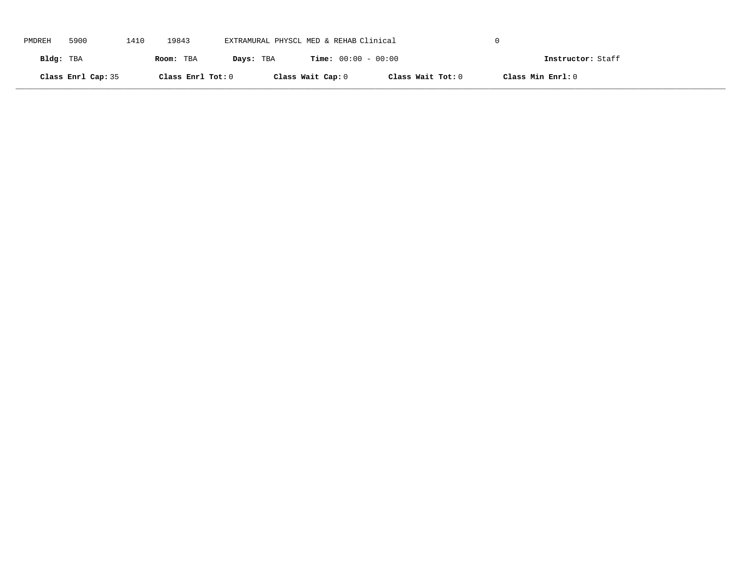| PMDREH    | 5900               | 1410 | 19843             | EXTRAMURAL PHYSCL MED & REHAB Clinical |                              |                   |                   |  |
|-----------|--------------------|------|-------------------|----------------------------------------|------------------------------|-------------------|-------------------|--|
| Bldg: TBA |                    |      | Room: TBA         | Days: TBA                              | <b>Time:</b> $00:00 - 00:00$ |                   | Instructor: Staff |  |
|           | Class Enrl Cap: 35 |      | Class Enrl Tot: 0 |                                        | Class Wait Cap: 0            | Class Wait Tot: 0 | Class Min Enrl: 0 |  |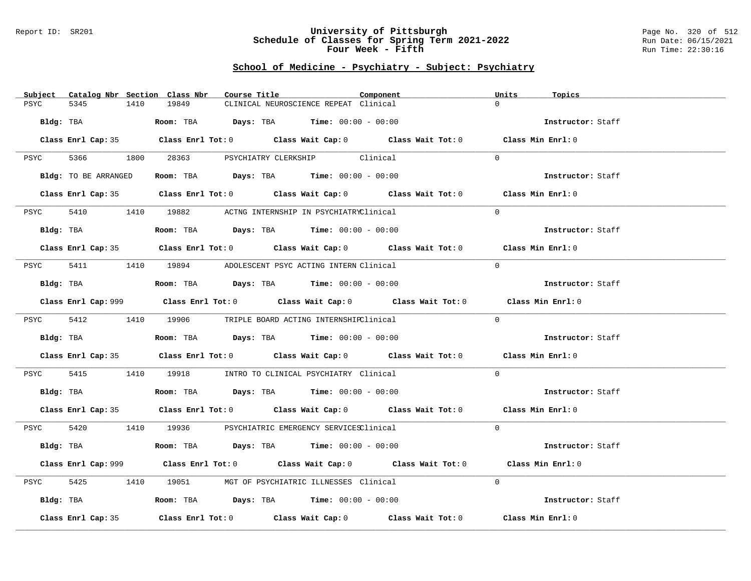### Report ID: SR201 **University of Pittsburgh** Page No. 320 of 512 **Schedule of Classes for Spring Term 2021-2022** Run Date: 06/15/2021 **Four Week - Fifth Run Time: 22:30:16**

| Catalog Nbr Section Class Nbr<br>Subject | Course Title                                                                                       | Component | Units<br>Topics   |
|------------------------------------------|----------------------------------------------------------------------------------------------------|-----------|-------------------|
| 5345<br>PSYC<br>1410                     | 19849<br>CLINICAL NEUROSCIENCE REPEAT Clinical                                                     |           | $\Omega$          |
| Bldg: TBA                                | Room: TBA $\rule{1em}{0.15mm}$ Days: TBA Time: $00:00 - 00:00$                                     |           | Instructor: Staff |
|                                          | Class Enrl Cap: 35 Class Enrl Tot: 0 Class Wait Cap: 0 Class Wait Tot: 0 Class Min Enrl: 0         |           |                   |
|                                          | PSYC 5366 1800 28363 PSYCHIATRY CLERKSHIP Clinical                                                 |           | $\Omega$          |
| Bldg: TO BE ARRANGED                     | Room: TBA $Days:$ TBA $Time: 00:00 - 00:00$                                                        |           | Instructor: Staff |
|                                          | Class Enrl Cap: 35 Class Enrl Tot: 0 Class Wait Cap: 0 Class Wait Tot: 0 Class Min Enrl: 0         |           |                   |
| PSYC                                     | 5410 19882 ACTNG INTERNSHIP IN PSYCHIATRYClinical                                                  |           | $\Omega$          |
| Bldg: TBA                                | Room: TBA $Days:$ TBA $Time: 00:00 - 00:00$                                                        |           | Instructor: Staff |
|                                          | Class Enrl Cap: 35 Class Enrl Tot: 0 Class Wait Cap: 0 Class Wait Tot: 0 Class Min Enrl: 0         |           |                   |
|                                          | PSYC 5411 1410 19894 ADOLESCENT PSYC ACTING INTERN Clinical                                        |           | $\Omega$          |
| Bldg: TBA                                | Room: TBA $Days:$ TBA $Time: 00:00 - 00:00$                                                        |           | Instructor: Staff |
|                                          | Class Enrl Cap: 999 Class Enrl Tot: 0 Class Wait Cap: 0 Class Wait Tot: 0 Class Min Enrl: 0        |           |                   |
|                                          | PSYC 5412 1410 19906 TRIPLE BOARD ACTING INTERNSHIPClinical                                        |           | $\Omega$          |
| Bldg: TBA                                | Room: TBA $Days:$ TBA Time: $00:00 - 00:00$                                                        |           | Instructor: Staff |
|                                          | Class Enrl Cap: 35 Class Enrl Tot: 0 Class Wait Cap: 0 Class Wait Tot: 0 Class Min Enrl: 0         |           |                   |
| PSYC                                     | 5415 1410 19918 INTRO TO CLINICAL PSYCHIATRY Clinical                                              |           | $\Omega$          |
| Bldg: TBA                                | Room: TBA $Days:$ TBA Time: $00:00 - 00:00$                                                        |           | Instructor: Staff |
|                                          | Class Enrl Cap: 35 Class Enrl Tot: 0 Class Wait Cap: 0 Class Wait Tot: 0 Class Min Enrl: 0         |           |                   |
|                                          | PSYC 5420 1410 19936 PSYCHIATRIC EMERGENCY SERVICESClinical                                        |           | $\Omega$          |
|                                          | Bldg: TBA                    Room: TBA         Days: TBA        Time: $00:00 - 00:00$              |           | Instructor: Staff |
|                                          | Class Enrl Cap: 999 Class Enrl Tot: 0 Class Wait Cap: 0 Class Wait Tot: 0 Class Min Enrl: 0        |           |                   |
| 5425<br>PSYC                             | 1410 19051 MGT OF PSYCHIATRIC ILLNESSES Clinical                                                   |           | $\Omega$          |
| Bldg: TBA                                | Room: TBA $\rule{1em}{0.15mm}$ Days: TBA $\rule{1.5mm}{0.15mm}$ Time: $00:00 - 00:00$              |           | Instructor: Staff |
| Class Enrl Cap: 35                       | Class Enrl Tot: 0 $\qquad$ Class Wait Cap: 0 $\qquad$ Class Wait Tot: 0 $\qquad$ Class Min Enrl: 0 |           |                   |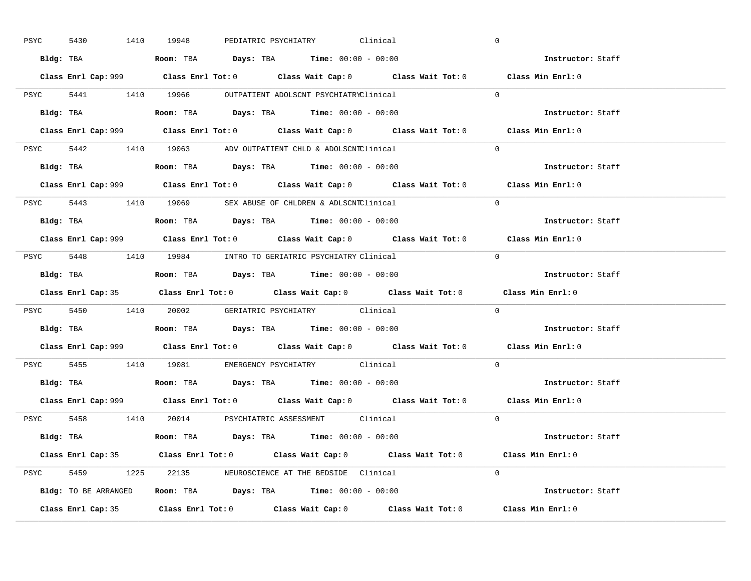| PSYC | 5430 | 1410 19948 |                                                                                        |  | PEDIATRIC PSYCHIATRY Clinical |                                                                                             | $\overline{0}$ |                          |  |
|------|------|------------|----------------------------------------------------------------------------------------|--|-------------------------------|---------------------------------------------------------------------------------------------|----------------|--------------------------|--|
|      |      |            | Bldg: TBA                   Room: TBA         Days: TBA         Time: $00:00 - 00:00$  |  |                               |                                                                                             |                | Instructor: Staff        |  |
|      |      |            |                                                                                        |  |                               | Class Enrl Cap: 999 Class Enrl Tot: 0 Class Wait Cap: 0 Class Wait Tot: 0 Class Min Enrl: 0 |                |                          |  |
|      |      |            | PSYC 5441 1410 19966 OUTPATIENT ADOLSCNT PSYCHIATRYClinical                            |  |                               |                                                                                             | $\Omega$       |                          |  |
|      |      | Bldg: TBA  | <b>Room:</b> TBA <b>Days:</b> TBA <b>Time:</b> 00:00 - 00:00                           |  |                               |                                                                                             |                | Instructor: Staff        |  |
|      |      |            |                                                                                        |  |                               | Class Enrl Cap: 999 Class Enrl Tot: 0 Class Wait Cap: 0 Class Wait Tot: 0 Class Min Enrl: 0 |                |                          |  |
|      |      |            | PSYC 5442 1410 19063 ADV OUTPATIENT CHLD & ADOLSCNTClinical                            |  |                               |                                                                                             | $\Omega$       |                          |  |
|      |      |            | Bldg: TBA                    Room: TBA         Days: TBA        Time: $00:00 - 00:00$  |  |                               |                                                                                             |                | Instructor: Staff        |  |
|      |      |            |                                                                                        |  |                               | Class Enrl Cap: 999 Class Enrl Tot: 0 Class Wait Cap: 0 Class Wait Tot: 0 Class Min Enrl: 0 |                |                          |  |
|      |      |            | PSYC 5443 1410 19069 SEX ABUSE OF CHLDREN & ADLSCNTClinical                            |  |                               |                                                                                             | $\Omega$       |                          |  |
|      |      |            |                                                                                        |  |                               |                                                                                             |                | Instructor: Staff        |  |
|      |      |            |                                                                                        |  |                               | Class Enrl Cap: 999 Class Enrl Tot: 0 Class Wait Cap: 0 Class Wait Tot: 0 Class Min Enrl: 0 |                |                          |  |
|      |      |            | PSYC 5448 1410 19984 INTRO TO GERIATRIC PSYCHIATRY Clinical                            |  |                               |                                                                                             | $\Omega$       |                          |  |
|      |      |            |                                                                                        |  |                               |                                                                                             |                | Instructor: Staff        |  |
|      |      |            |                                                                                        |  |                               |                                                                                             |                |                          |  |
|      |      |            |                                                                                        |  |                               | Class Enrl Cap: 35 Class Enrl Tot: 0 Class Wait Cap: 0 Class Wait Tot: 0 Class Min Enrl: 0  |                |                          |  |
|      |      |            | PSYC 5450 1410 20002 GERIATRIC PSYCHIATRY Clinical                                     |  |                               |                                                                                             | $\overline{0}$ |                          |  |
|      |      |            | Bldg: TBA                   Room: TBA         Days: TBA         Time: $00:00 - 00:00$  |  |                               |                                                                                             |                | <b>Instructor:</b> Staff |  |
|      |      |            |                                                                                        |  |                               | Class Enrl Cap: 999 Class Enrl Tot: 0 Class Wait Cap: 0 Class Wait Tot: 0 Class Min Enrl: 0 |                |                          |  |
|      |      |            | PSYC 5455 1410 19081 EMERGENCY PSYCHIATRY Clinical                                     |  |                               |                                                                                             | $\Omega$       |                          |  |
|      |      |            | Bldg: TBA                    Room: TBA         Days: TBA         Time: $00:00 - 00:00$ |  |                               |                                                                                             |                | Instructor: Staff        |  |
|      |      |            |                                                                                        |  |                               | Class Enrl Cap: 999 Class Enrl Tot: 0 Class Wait Cap: 0 Class Wait Tot: 0 Class Min Enrl: 0 |                |                          |  |
|      |      |            | PSYC 5458 1410 20014 PSYCHIATRIC ASSESSMENT Clinical                                   |  |                               |                                                                                             | $\Omega$       |                          |  |
|      |      |            | Bldg: TBA                   Room: TBA         Days: TBA        Time: $00:00 - 00:00$   |  |                               |                                                                                             |                | Instructor: Staff        |  |
|      |      |            |                                                                                        |  |                               | Class Enrl Cap: 35 Class Enrl Tot: 0 Class Wait Cap: 0 Class Wait Tot: 0 Class Min Enrl: 0  |                |                          |  |
|      |      |            | PSYC 5459 1225 22135 NEUROSCIENCE AT THE BEDSIDE Clinical                              |  |                               |                                                                                             | $\Omega$       |                          |  |
|      |      |            | Bldg: TO BE ARRANGED Room: TBA Days: TBA Time: 00:00 - 00:00                           |  |                               |                                                                                             |                | Instructor: Staff        |  |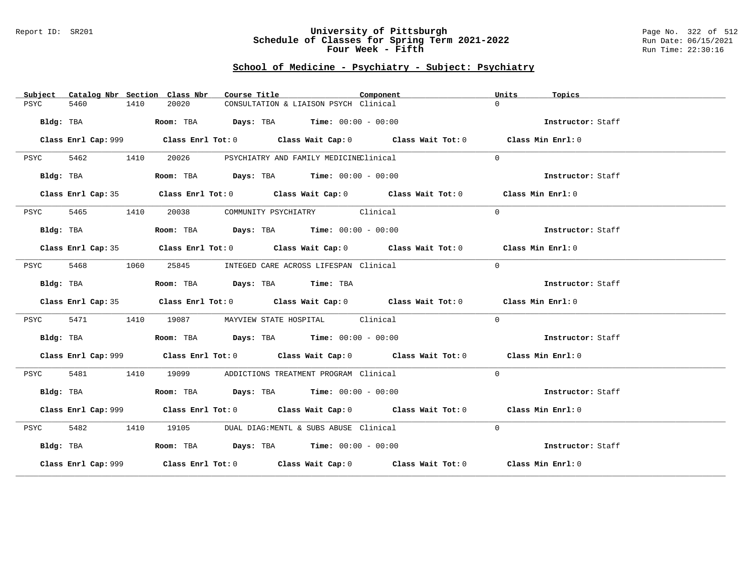#### Report ID: SR201 **University of Pittsburgh** Page No. 322 of 512 **Schedule of Classes for Spring Term 2021-2022** Run Date: 06/15/2021 **Four Week - Fifth Run Time: 22:30:16**

| Subject   |           |      | Catalog Nbr Section Class Nbr                                           | Course Title |                                             | Component                                                                                   | Units    | Topics            |
|-----------|-----------|------|-------------------------------------------------------------------------|--------------|---------------------------------------------|---------------------------------------------------------------------------------------------|----------|-------------------|
| PSYC      | 5460      | 1410 | 20020                                                                   |              | CONSULTATION & LIAISON PSYCH Clinical       |                                                                                             | $\Omega$ |                   |
|           | Bldg: TBA |      | Room: TBA $Days:$ TBA $Time: 00:00 - 00:00$                             |              |                                             |                                                                                             |          | Instructor: Staff |
|           |           |      |                                                                         |              |                                             | Class Enrl Cap: 999 Class Enrl Tot: 0 Class Wait Cap: 0 Class Wait Tot: 0 Class Min Enrl: 0 |          |                   |
| PSYC      | 5462 1410 |      | 20026                                                                   |              | PSYCHIATRY AND FAMILY MEDICINEClinical      |                                                                                             | $\Omega$ |                   |
|           | Bldg: TBA |      | Room: TBA $\rule{1em}{0.15mm}$ Days: TBA $\qquad$ Time: $00:00 - 00:00$ |              |                                             |                                                                                             |          | Instructor: Staff |
|           |           |      |                                                                         |              |                                             | Class Enrl Cap: 35 Class Enrl Tot: 0 Class Wait Cap: 0 Class Wait Tot: 0 Class Min Enrl: 0  |          |                   |
| PSYC      | 5465      | 1410 |                                                                         |              | 20038 COMMUNITY PSYCHIATRY Clinical         |                                                                                             | $\Omega$ |                   |
|           | Bldg: TBA |      | Room: TBA $\rule{1em}{0.15mm}$ Days: TBA Time: $00:00 - 00:00$          |              |                                             |                                                                                             |          | Instructor: Staff |
|           |           |      |                                                                         |              |                                             | Class Enrl Cap: 35 Class Enrl Tot: 0 Class Wait Cap: 0 Class Wait Tot: 0 Class Min Enrl: 0  |          |                   |
| PSYC      | 5468      | 1060 |                                                                         |              | 25845 INTEGED CARE ACROSS LIFESPAN Clinical |                                                                                             | $\Omega$ |                   |
|           | Bldg: TBA |      | Room: TBA Days: TBA Time: TBA                                           |              |                                             |                                                                                             |          | Instructor: Staff |
|           |           |      |                                                                         |              |                                             | Class Enrl Cap: 35 Class Enrl Tot: 0 Class Wait Cap: 0 Class Wait Tot: 0 Class Min Enrl: 0  |          |                   |
| PSYC      | 5471      | 1410 |                                                                         |              | 19087 MAYVIEW STATE HOSPITAL Clinical       |                                                                                             | $\Omega$ |                   |
|           | Bldg: TBA |      | Room: TBA $Days:$ TBA Time: $00:00 - 00:00$                             |              |                                             |                                                                                             |          | Instructor: Staff |
|           |           |      |                                                                         |              |                                             | Class Enrl Cap: 999 Class Enrl Tot: 0 Class Wait Cap: 0 Class Wait Tot: 0 Class Min Enrl: 0 |          |                   |
| PSYC      | 5481      | 1410 |                                                                         |              | 19099 ADDICTIONS TREATMENT PROGRAM Clinical |                                                                                             | $\Omega$ |                   |
|           | Bldg: TBA |      | Room: TBA $Days:$ TBA $Time: 00:00 - 00:00$                             |              |                                             |                                                                                             |          | Instructor: Staff |
|           |           |      |                                                                         |              |                                             | Class Enrl Cap: 999 Class Enrl Tot: 0 Class Wait Cap: 0 Class Wait Tot: 0 Class Min Enrl: 0 |          |                   |
| PSYC      | 5482 1410 |      |                                                                         |              | 19105 DUAL DIAG:MENTL & SUBS ABUSE Clinical |                                                                                             | $\Omega$ |                   |
| Bldg: TBA |           |      | Room: TBA $Days:$ TBA Time: $00:00 - 00:00$                             |              |                                             |                                                                                             |          | Instructor: Staff |
|           |           |      |                                                                         |              |                                             | Class Enrl Cap: 999 Class Enrl Tot: 0 Class Wait Cap: 0 Class Wait Tot: 0 Class Min Enrl: 0 |          |                   |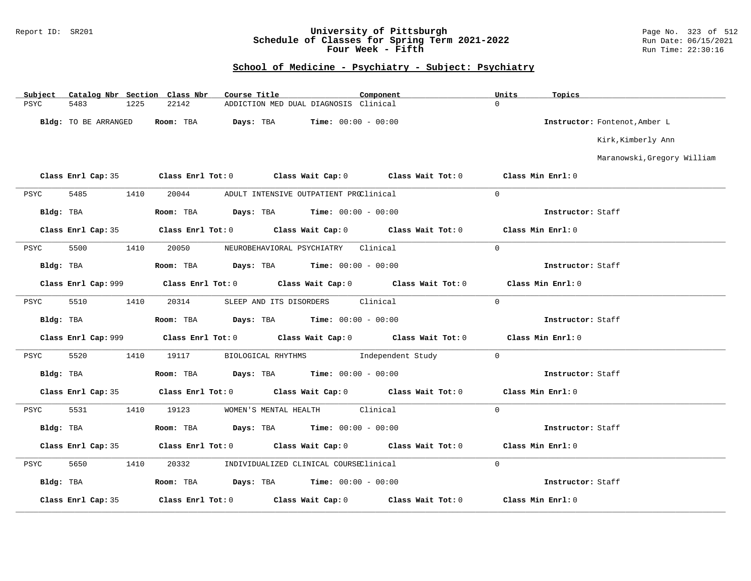### Report ID: SR201 **University of Pittsburgh** Page No. 323 of 512 **Schedule of Classes for Spring Term 2021-2022** Run Date: 06/15/2021 **Four Week - Fifth Run Time: 22:30:16**

| Subject     |                      |      | Catalog Nbr Section Class Nbr | Course Title |                                                                                          | Component |                                                                                            | Units              | Topics            |                               |
|-------------|----------------------|------|-------------------------------|--------------|------------------------------------------------------------------------------------------|-----------|--------------------------------------------------------------------------------------------|--------------------|-------------------|-------------------------------|
| <b>PSYC</b> | 5483                 | 1225 | 22142                         |              | ADDICTION MED DUAL DIAGNOSIS Clinical                                                    |           |                                                                                            | $\Omega$           |                   |                               |
|             | Bldg: TO BE ARRANGED |      | Room: TBA                     |              | <b>Days:</b> TBA <b>Time:</b> $00:00 - 00:00$                                            |           |                                                                                            |                    |                   | Instructor: Fontenot, Amber L |
|             |                      |      |                               |              |                                                                                          |           |                                                                                            |                    |                   | Kirk, Kimberly Ann            |
|             |                      |      |                               |              |                                                                                          |           |                                                                                            |                    |                   | Maranowski, Gregory William   |
|             |                      |      |                               |              |                                                                                          |           | Class Enrl Cap: 35 Class Enrl Tot: 0 Class Wait Cap: 0 Class Wait Tot: 0                   | Class Min Enrl: 0  |                   |                               |
| PSYC        | 5485                 | 1410 | 20044                         |              | ADULT INTENSIVE OUTPATIENT PROClinical                                                   |           |                                                                                            | $\Omega$           |                   |                               |
| Bldg: TBA   |                      |      |                               |              | Room: TBA $\rule{1em}{0.15mm}$ Days: TBA $\rule{1.15mm}]{0.15mm}$ Time: $0.000 - 0.0000$ |           |                                                                                            |                    | Instructor: Staff |                               |
|             |                      |      |                               |              |                                                                                          |           | Class Enrl Cap: 35 Class Enrl Tot: 0 Class Wait Cap: 0 Class Wait Tot: 0 Class Min Enrl: 0 |                    |                   |                               |
| PSYC        | 5500                 | 1410 | 20050                         |              | NEUROBEHAVIORAL PSYCHIATRY Clinical                                                      |           |                                                                                            | $\Omega$           |                   |                               |
|             | Bldg: TBA            |      |                               |              | Room: TBA $Days: TBA$ Time: $00:00 - 00:00$                                              |           |                                                                                            |                    | Instructor: Staff |                               |
|             |                      |      |                               |              |                                                                                          |           |                                                                                            |                    | Class Min Enrl: 0 |                               |
| PSYC        | 5510                 | 1410 | 20314                         |              | SLEEP AND ITS DISORDERS Clinical                                                         |           |                                                                                            | $\Omega$           |                   |                               |
|             | Bldg: TBA            |      |                               |              | Room: TBA $Days:$ TBA $Time: 00:00 - 00:00$                                              |           |                                                                                            |                    | Instructor: Staff |                               |
|             |                      |      |                               |              |                                                                                          |           |                                                                                            |                    | Class Min Enrl: 0 |                               |
| PSYC        | 5520                 | 1410 | 19117                         |              |                                                                                          |           | BIOLOGICAL RHYTHMS    Independent Study                                                    | $\Omega$           |                   |                               |
|             | Bldg: TBA            |      |                               |              | Room: TBA $Days:$ TBA $Time: 00:00 - 00:00$                                              |           |                                                                                            |                    | Instructor: Staff |                               |
|             | Class Enrl Cap: 35   |      |                               |              |                                                                                          |           | Class Enrl Tot: $0$ Class Wait Cap: $0$ Class Wait Tot: $0$                                | Class Min $Enr1:0$ |                   |                               |
| PSYC        | 5531                 | 1410 | 19123                         |              | WOMEN'S MENTAL HEALTH Clinical                                                           |           |                                                                                            | $\overline{0}$     |                   |                               |
|             | Bldg: TBA            |      |                               |              | Room: TBA $Days:$ TBA $Time: 00:00 - 00:00$                                              |           |                                                                                            |                    | Instructor: Staff |                               |
|             |                      |      |                               |              |                                                                                          |           | Class Enrl Cap: 35 Class Enrl Tot: 0 Class Wait Cap: 0 Class Wait Tot: 0                   |                    | Class Min Enrl: 0 |                               |
| PSYC        | 5650                 | 1410 | 20332                         |              | INDIVIDUALIZED CLINICAL COURSEClinical                                                   |           |                                                                                            | $\overline{0}$     |                   |                               |
| Bldg: TBA   |                      |      |                               |              | Room: TBA $Days:$ TBA $Time: 00:00 - 00:00$                                              |           |                                                                                            |                    | Instructor: Staff |                               |
|             | Class Enrl Cap: 35   |      |                               |              |                                                                                          |           | Class Enrl Tot: $0$ Class Wait Cap: $0$ Class Wait Tot: $0$                                |                    | Class Min Enrl: 0 |                               |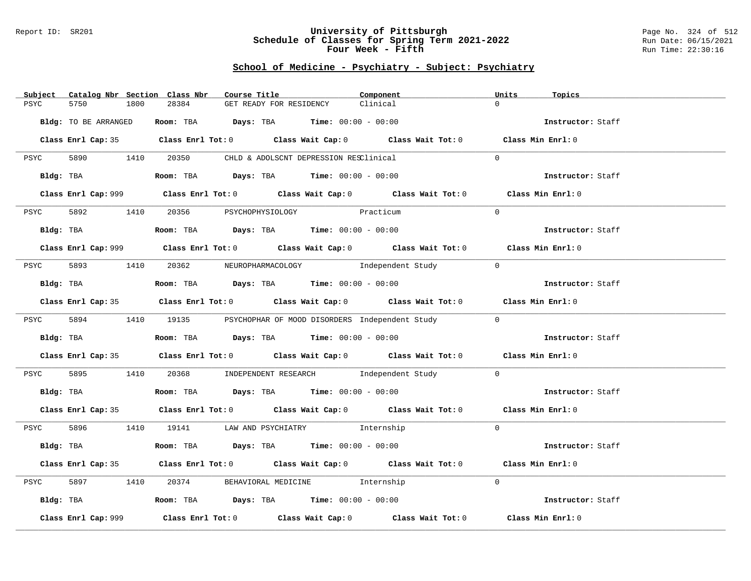#### Report ID: SR201 **University of Pittsburgh** Page No. 324 of 512 **Schedule of Classes for Spring Term 2021-2022** Run Date: 06/15/2021 **Four Week - Fifth Run Time: 22:30:16**

| Subject Catalog Nbr Section Class Nbr | Course Title                                                                                | Component | Units<br>Topics   |
|---------------------------------------|---------------------------------------------------------------------------------------------|-----------|-------------------|
| 5750<br>1800<br>PSYC                  | 28384<br>GET READY FOR RESIDENCY                                                            | Clinical  | $\Omega$          |
| Bldg: TO BE ARRANGED                  | Room: TBA $Days:$ TBA $Time: 00:00 - 00:00$                                                 |           | Instructor: Staff |
|                                       | Class Enrl Cap: 35 Class Enrl Tot: 0 Class Wait Cap: 0 Class Wait Tot: 0 Class Min Enrl: 0  |           |                   |
|                                       | PSYC 5890 1410 20350 CHLD & ADOLSCNT DEPRESSION RESClinical                                 |           | $\Omega$          |
| Bldg: TBA                             | Room: TBA $Days:$ TBA $Time:$ $00:00 - 00:00$                                               |           | Instructor: Staff |
|                                       | Class Enrl Cap: 999 Class Enrl Tot: 0 Class Wait Cap: 0 Class Wait Tot: 0                   |           | Class Min Enrl: 0 |
| 5892 1410<br>PSYC                     | 20356 PSYCHOPHYSIOLOGY Practicum                                                            |           | $\Omega$          |
| Bldg: TBA                             | <b>Room:</b> TBA $Days:$ TBA $Time: 00:00 - 00:00$                                          |           | Instructor: Staff |
|                                       | Class Enrl Cap: 999 Class Enrl Tot: 0 Class Wait Cap: 0 Class Wait Tot: 0 Class Min Enrl: 0 |           |                   |
|                                       | PSYC 5893 1410 20362 NEUROPHARMACOLOGY Independent Study                                    |           | $\overline{0}$    |
| Bldg: TBA                             | Room: TBA $Days:$ TBA $Time: 00:00 - 00:00$                                                 |           | Instructor: Staff |
|                                       | Class Enrl Cap: 35 Class Enrl Tot: 0 Class Wait Cap: 0 Class Wait Tot: 0 Class Min Enrl: 0  |           |                   |
|                                       | PSYC 5894 1410 19135 PSYCHOPHAR OF MOOD DISORDERS Independent Study                         |           | $\Omega$          |
| Bldg: TBA                             | Room: TBA $Days:$ TBA $Time: 00:00 - 00:00$                                                 |           | Instructor: Staff |
|                                       | Class Enrl Cap: 35 Class Enrl Tot: 0 Class Wait Cap: 0 Class Wait Tot: 0 Class Min Enrl: 0  |           |                   |
| 5895<br>PSYC                          | 1410 20368 INDEPENDENT RESEARCH Independent Study                                           |           | $\overline{0}$    |
| Bldg: TBA                             | Room: TBA $Days:$ TBA Time: $00:00 - 00:00$                                                 |           | Instructor: Staff |
|                                       | Class Enrl Cap: 35 Class Enrl Tot: 0 Class Wait Cap: 0 Class Wait Tot: 0 Class Min Enrl: 0  |           |                   |
|                                       | PSYC 5896 1410 19141 LAW AND PSYCHIATRY Internship                                          |           | $\Omega$          |
| Bldg: TBA                             | Room: TBA $Days: TBA$ Time: $00:00 - 00:00$                                                 |           | Instructor: Staff |
|                                       | Class Enrl Cap: 35 Class Enrl Tot: 0 Class Wait Cap: 0 Class Wait Tot: 0 Class Min Enrl: 0  |           |                   |
| 5897<br>1410<br>PSYC                  | 20374 BEHAVIORAL MEDICINE 1nternship                                                        |           | $\Omega$          |
|                                       | Bldg: TBA                    Room: TBA        Days: TBA        Time: 00:00 - 00:00          |           | Instructor: Staff |
| Class Enrl Cap: 999                   | Class Enrl Tot: $0$ Class Wait Cap: $0$ Class Wait Tot: $0$                                 |           | Class Min Enrl: 0 |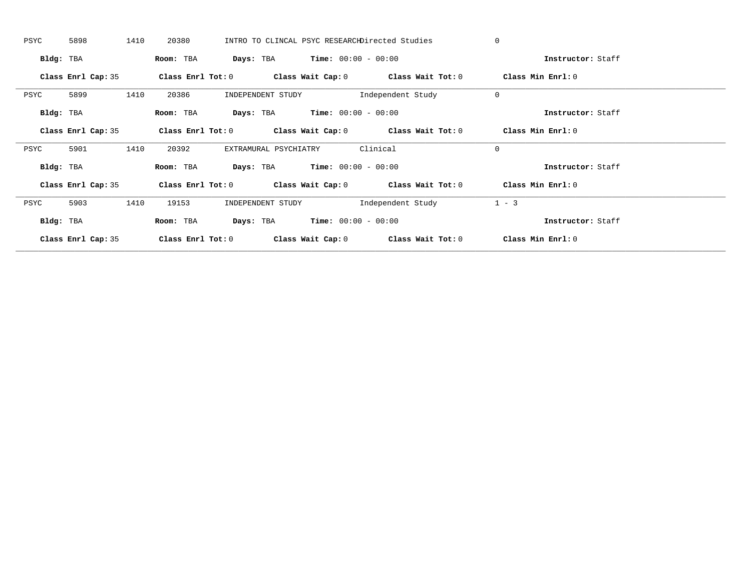| PSYC      | 5898               | 1410 | 20380             |                                               |                                               | INTRO TO CLINCAL PSYC RESEARCHDirected Studies              | $\Omega$          |  |
|-----------|--------------------|------|-------------------|-----------------------------------------------|-----------------------------------------------|-------------------------------------------------------------|-------------------|--|
| Bldg: TBA |                    |      | Room: TBA         |                                               | <b>Days:</b> TBA <b>Time:</b> $00:00 - 00:00$ |                                                             | Instructor: Staff |  |
|           | Class Enrl Cap: 35 |      |                   |                                               |                                               | Class Enrl Tot: $0$ Class Wait Cap: $0$ Class Wait Tot: $0$ | Class Min Enrl: 0 |  |
| PSYC      | 5899               | 1410 | 20386             | INDEPENDENT STUDY                             |                                               | Independent Study                                           | $\mathbf 0$       |  |
| Bldg: TBA |                    |      | Room: TBA         | <b>Days:</b> TBA <b>Time:</b> $00:00 - 00:00$ |                                               |                                                             | Instructor: Staff |  |
|           | Class Enrl Cap: 35 |      |                   |                                               |                                               | Class Enrl Tot: $0$ Class Wait Cap: $0$ Class Wait Tot: $0$ | Class Min Enrl: 0 |  |
| PSYC      | 5901               | 1410 | 20392             | EXTRAMURAL PSYCHIATRY                         |                                               | Clinical                                                    | $\mathbf 0$       |  |
| Bldg: TBA |                    |      | Room: TBA         |                                               | <b>Days:</b> TBA <b>Time:</b> $00:00 - 00:00$ |                                                             | Instructor: Staff |  |
|           | Class Enrl Cap: 35 |      |                   |                                               |                                               | Class Enrl Tot: $0$ Class Wait Cap: $0$ Class Wait Tot: $0$ | Class Min Enrl: 0 |  |
| PSYC      | 5903               | 1410 | 19153             | INDEPENDENT STUDY                             |                                               | Independent Study                                           | $1 - 3$           |  |
| Bldg: TBA |                    |      | Room: TBA         |                                               | <b>Days:</b> TBA <b>Time:</b> $00:00 - 00:00$ |                                                             | Instructor: Staff |  |
|           | Class Enrl Cap: 35 |      | Class Enrl Tot: 0 |                                               |                                               | Class Wait Cap: $0$ Class Wait Tot: $0$                     | Class Min Enrl: 0 |  |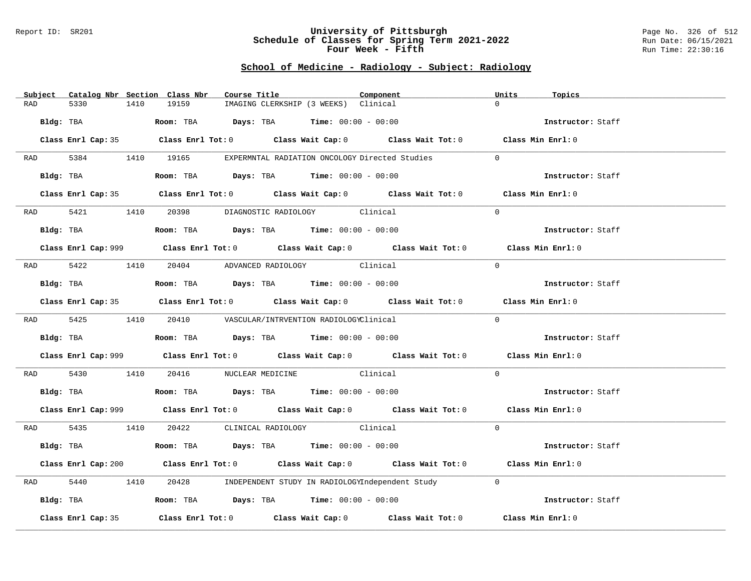#### Report ID: SR201 **University of Pittsburgh** Page No. 326 of 512 **Schedule of Classes for Spring Term 2021-2022** Run Date: 06/15/2021 **Four Week - Fifth Run Time: 22:30:16**

# **School of Medicine - Radiology - Subject: Radiology**

| Subject Catalog Nbr Section Class Nbr | Course Title                                                                                       | Component | Units<br>Topics   |
|---------------------------------------|----------------------------------------------------------------------------------------------------|-----------|-------------------|
| 5330<br>1410<br>RAD                   | 19159<br>IMAGING CLERKSHIP (3 WEEKS) Clinical                                                      |           | $\Omega$          |
| Bldg: TBA                             | Room: TBA $Days:$ TBA $Time: 00:00 - 00:00$                                                        |           | Instructor: Staff |
|                                       | Class Enrl Cap: 35 Class Enrl Tot: 0 Class Wait Cap: 0 Class Wait Tot: 0 Class Min Enrl: 0         |           |                   |
| 5384 1410 19165<br>RAD                | EXPERMNTAL RADIATION ONCOLOGY Directed Studies                                                     |           | $\Omega$          |
| Bldg: TBA                             | Room: TBA $Days:$ TBA Time: $00:00 - 00:00$                                                        |           | Instructor: Staff |
|                                       | Class Enrl Cap: 35 Class Enrl Tot: 0 Class Wait Cap: 0 Class Wait Tot: 0 Class Min Enrl: 0         |           |                   |
| 5421<br>RAD                           | 1410 20398 DIAGNOSTIC RADIOLOGY Clinical                                                           |           | $\Omega$          |
| Bldg: TBA                             | Room: TBA $Days: TBA$ Time: $00:00 - 00:00$                                                        |           | Instructor: Staff |
|                                       | Class Enrl Cap: 999 Class Enrl Tot: 0 Class Wait Cap: 0 Class Wait Tot: 0 Class Min Enrl: 0        |           |                   |
|                                       | RAD 5422 1410 20404 ADVANCED RADIOLOGY Clinical                                                    |           | $\Omega$          |
| Bldg: TBA                             | Room: TBA $\rule{1em}{0.15mm}$ Days: TBA Time: $00:00 - 00:00$                                     |           | Instructor: Staff |
|                                       | Class Enrl Cap: 35 Class Enrl Tot: 0 Class Wait Cap: 0 Class Wait Tot: 0 Class Min Enrl: 0         |           |                   |
|                                       | RAD 5425 1410 20410 VASCULAR/INTRVENTION RADIOLOGYClinical                                         |           | $\Omega$          |
|                                       | Bldg: TBA                    Room: TBA         Days: TBA         Time: $00:00 - 00:00$             |           | Instructor: Staff |
|                                       | Class Enrl Cap: 999 Class Enrl Tot: 0 Class Wait Cap: 0 Class Wait Tot: 0 Class Min Enrl: 0        |           |                   |
| RAD 5430                              | 1410 20416 NUCLEAR MEDICINE Clinical                                                               |           | $\Omega$          |
|                                       | Bldg: TBA                     Room: TBA         Days: TBA         Time: 00:00 - 00:00              |           | Instructor: Staff |
|                                       | Class Enrl Cap: 999 Class Enrl Tot: 0 Class Wait Cap: 0 Class Wait Tot: 0 Class Min Enrl: 0        |           |                   |
|                                       | RAD 5435 1410 20422 CLINICAL RADIOLOGY Clinical                                                    |           | $\Omega$          |
|                                       | $Bldg: TBA$ Room: TBA Days: TBA Time: $00:00 - 00:00$                                              |           | Instructor: Staff |
|                                       | Class Enrl Cap: 200 Class Enrl Tot: 0 Class Wait Cap: 0 Class Wait Tot: 0 Class Min Enrl: 0        |           |                   |
| 5440<br>1410<br>RAD                   | 20428 INDEPENDENT STUDY IN RADIOLOGYIndependent Study                                              |           | $\overline{0}$    |
|                                       | Bldg: TBA                   Room: TBA        Days: TBA        Time: 00:00 - 00:00                  |           | Instructor: Staff |
| Class Enrl Cap: 35                    | Class Enrl Tot: 0 $\qquad$ Class Wait Cap: 0 $\qquad$ Class Wait Tot: 0 $\qquad$ Class Min Enrl: 0 |           |                   |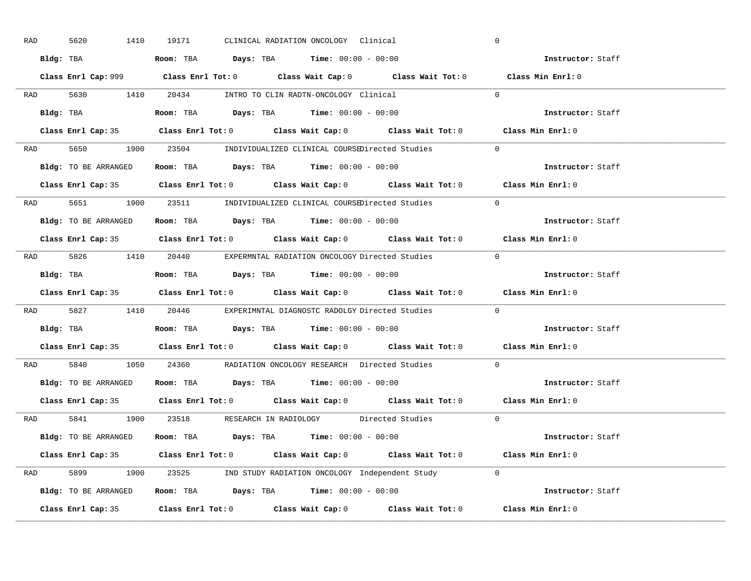| RAD | 5620                 | 1410 | 19171 |  | CLINICAL RADIATION ONCOLOGY Clinical                                                       |                                                                                             | $\overline{0}$    |                   |
|-----|----------------------|------|-------|--|--------------------------------------------------------------------------------------------|---------------------------------------------------------------------------------------------|-------------------|-------------------|
|     |                      |      |       |  | Bldg: TBA                   Room: TBA         Days: TBA        Time: 00:00 - 00:00         |                                                                                             |                   | Instructor: Staff |
|     |                      |      |       |  |                                                                                            | Class Enrl Cap: 999 Class Enrl Tot: 0 Class Wait Cap: 0 Class Wait Tot: 0 Class Min Enrl: 0 |                   |                   |
|     |                      |      |       |  | RAD 5630 1410 20434 INTRO TO CLIN RADTN-ONCOLOGY Clinical                                  |                                                                                             | $\overline{0}$    |                   |
|     | Bldg: TBA            |      |       |  | Room: TBA $Days:$ TBA $Time: 00:00 - 00:00$                                                |                                                                                             |                   | Instructor: Staff |
|     |                      |      |       |  |                                                                                            | Class Enrl Cap: 35 Class Enrl Tot: 0 Class Wait Cap: 0 Class Wait Tot: 0 Class Min Enrl: 0  |                   |                   |
|     |                      |      |       |  |                                                                                            | RAD 5650 1900 23504 INDIVIDUALIZED CLINICAL COURSEDirected Studies 0                        |                   |                   |
|     |                      |      |       |  | <b>Bldg:</b> TO BE ARRANGED <b>Room:</b> TBA <b>Days:</b> TBA <b>Time:</b> $00:00 - 00:00$ |                                                                                             |                   | Instructor: Staff |
|     |                      |      |       |  |                                                                                            | Class Enrl Cap: 35 Class Enrl Tot: 0 Class Wait Cap: 0 Class Wait Tot: 0 Class Min Enrl: 0  |                   |                   |
|     |                      |      |       |  |                                                                                            | RAD 5651 1900 23511 INDIVIDUALIZED CLINICAL COURSEDirected Studies                          | $\Omega$          |                   |
|     |                      |      |       |  | Bldg: TO BE ARRANGED Room: TBA Days: TBA Time: 00:00 - 00:00                               |                                                                                             |                   | Instructor: Staff |
|     |                      |      |       |  |                                                                                            | Class Enrl Cap: 35 Class Enrl Tot: 0 Class Wait Cap: 0 Class Wait Tot: 0 Class Min Enrl: 0  |                   |                   |
|     |                      |      |       |  |                                                                                            | RAD 5826 1410 20440 EXPERMNTAL RADIATION ONCOLOGY Directed Studies 0                        |                   |                   |
|     |                      |      |       |  | Bldg: TBA                   Room: TBA         Days: TBA        Time: 00:00 - 00:00         |                                                                                             |                   | Instructor: Staff |
|     |                      |      |       |  |                                                                                            |                                                                                             |                   |                   |
|     |                      |      |       |  |                                                                                            | Class Enrl Cap: 35 Class Enrl Tot: 0 Class Wait Cap: 0 Class Wait Tot: 0 Class Min Enrl: 0  |                   |                   |
|     |                      |      |       |  |                                                                                            | RAD 5827 1410 20446 EXPERIMNTAL DIAGNOSTC RADOLGY Directed Studies 0                        |                   |                   |
|     | Bldg: TBA            |      |       |  | <b>Room:</b> TBA $\rule{1em}{0.15mm}$ <b>Days:</b> TBA <b>Time:</b> $00:00 - 00:00$        |                                                                                             |                   | Instructor: Staff |
|     |                      |      |       |  |                                                                                            | Class Enrl Cap: 35 Class Enrl Tot: 0 Class Wait Cap: 0 Class Wait Tot: 0 Class Min Enrl: 0  |                   |                   |
| RAD |                      |      |       |  |                                                                                            | 5840 1050 24360 RADIATION ONCOLOGY RESEARCH Directed Studies                                | $\Omega$          |                   |
|     |                      |      |       |  | Bldg: TO BE ARRANGED ROOM: TBA Days: TBA Time: 00:00 - 00:00                               |                                                                                             |                   | Instructor: Staff |
|     | Class Enrl Cap: 35   |      |       |  |                                                                                            | Class Enrl Tot: $0$ Class Wait Cap: $0$ Class Wait Tot: $0$ Class Min Enrl: $0$             |                   |                   |
|     |                      |      |       |  |                                                                                            | RAD 5841 1900 23518 RESEARCH IN RADIOLOGY Directed Studies 0                                |                   |                   |
|     | Bldg: TO BE ARRANGED |      |       |  | Room: TBA $Days:$ TBA $Time: 00:00 - 00:00$                                                |                                                                                             | Instructor: Staff |                   |
|     |                      |      |       |  |                                                                                            | Class Enrl Cap: 35 Class Enrl Tot: 0 Class Wait Cap: 0 Class Wait Tot: 0 Class Min Enrl: 0  |                   |                   |
|     |                      |      |       |  |                                                                                            | RAD 5899 1900 23525 IND STUDY RADIATION ONCOLOGY Independent Study 0                        |                   |                   |
|     |                      |      |       |  |                                                                                            | Bldg: TO BE ARRANGED Room: TBA Days: TBA Time: 00:00 - 00:00                                |                   | Instructor: Staff |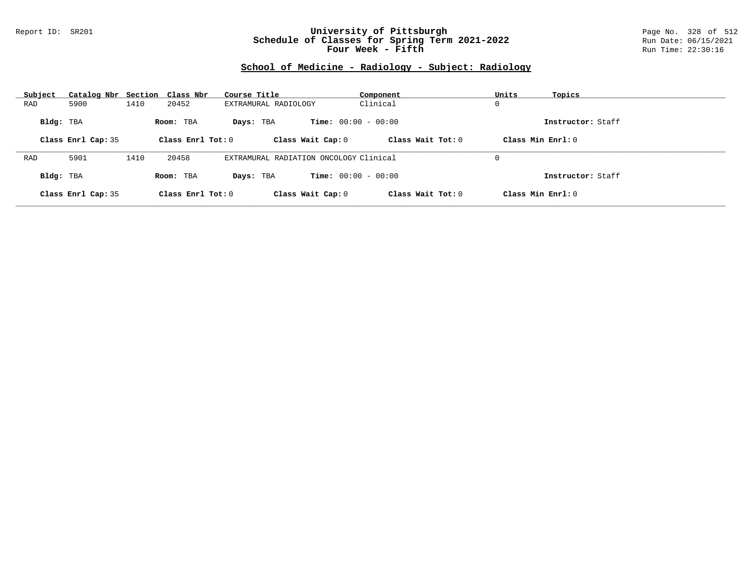### Report ID: SR201 **University of Pittsburgh** Page No. 328 of 512 **Schedule of Classes for Spring Term 2021-2022** Run Date: 06/15/2021 **Four Week - Fifth Run Time: 22:30:16**

# **School of Medicine - Radiology - Subject: Radiology**

| Subject   | Catalog Nbr Section Class Nbr |      |                     | Course Title                           | Component                    | Units               | Topics            |
|-----------|-------------------------------|------|---------------------|----------------------------------------|------------------------------|---------------------|-------------------|
| RAD       | 5900                          | 1410 | 20452               | EXTRAMURAL RADIOLOGY                   | Clinical                     | 0                   |                   |
| Bldg: TBA |                               |      | Room: TBA           | Davs: TBA                              | <b>Time:</b> $00:00 - 00:00$ |                     | Instructor: Staff |
|           | Class Enrl Cap: 35            |      | Class Enrl Tot: $0$ | Class Wait Cap: 0                      | Class Wait $Tot: 0$          | Class Min $Enrl: 0$ |                   |
|           |                               |      |                     |                                        |                              |                     |                   |
| RAD       | 5901                          | 1410 | 20458               | EXTRAMURAL RADIATION ONCOLOGY Clinical |                              | 0                   |                   |
| Bldg: TBA |                               |      | Room: TBA           | Davs: TBA                              | <b>Time:</b> $00:00 - 00:00$ |                     | Instructor: Staff |
|           | Class Enrl Cap: 35            |      | Class Enrl Tot: 0   | Class Wait Cap: 0                      | Class Wait Tot: 0            | Class Min Enrl: 0   |                   |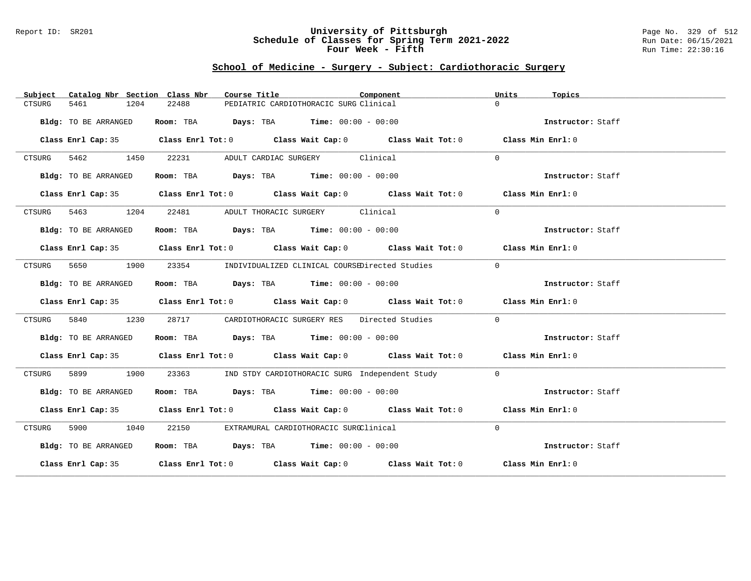#### Report ID: SR201 **University of Pittsburgh** Page No. 329 of 512 **Schedule of Classes for Spring Term 2021-2022** Run Date: 06/15/2021 **Four Week - Fifth Run Time: 22:30:16**

## **School of Medicine - Surgery - Subject: Cardiothoracic Surgery**

| Catalog Nbr Section Class Nbr<br>Subject | Course Title                                                                               | Component | Units<br>Topics   |
|------------------------------------------|--------------------------------------------------------------------------------------------|-----------|-------------------|
| 1204<br>5461<br>CTSURG                   | 22488<br>PEDIATRIC CARDIOTHORACIC SURG Clinical                                            |           | $\Omega$          |
| Bldg: TO BE ARRANGED                     | Room: TBA $Days:$ TBA $Time: 00:00 - 00:00$                                                |           | Instructor: Staff |
|                                          | Class Enrl Cap: 35 Class Enrl Tot: 0 Class Wait Cap: 0 Class Wait Tot: 0 Class Min Enrl: 0 |           |                   |
| CTSURG 5462 1450                         | 22231 ADULT CARDIAC SURGERY Clinical                                                       |           | $\Omega$          |
| Bldg: TO BE ARRANGED                     | Room: TBA $\rule{1em}{0.15mm}$ Days: TBA Time: $00:00 - 00:00$                             |           | Instructor: Staff |
|                                          | Class Enrl Cap: 35 Class Enrl Tot: 0 Class Wait Cap: 0 Class Wait Tot: 0 Class Min Enrl: 0 |           |                   |
| 5463 1204<br>CTSURG                      | 22481 ADULT THORACIC SURGERY Clinical                                                      |           | $\Omega$          |
| Bldg: TO BE ARRANGED                     | Room: TBA $Days:$ TBA Time: $00:00 - 00:00$                                                |           | Instructor: Staff |
|                                          | Class Enrl Cap: 35 Class Enrl Tot: 0 Class Wait Cap: 0 Class Wait Tot: 0 Class Min Enrl: 0 |           |                   |
| 5650 1900<br>CTSURG                      | 23354 INDIVIDUALIZED CLINICAL COURSEDirected Studies                                       |           | $\Omega$          |
| Bldg: TO BE ARRANGED                     | Room: TBA $Days:$ TBA $Time: 00:00 - 00:00$                                                |           | Instructor: Staff |
|                                          | Class Enrl Cap: 35 Class Enrl Tot: 0 Class Wait Cap: 0 Class Wait Tot: 0 Class Min Enrl: 0 |           |                   |
| 5840<br>1230<br>CTSURG                   | 28717 CARDIOTHORACIC SURGERY RES Directed Studies                                          |           | $\Omega$          |
| Bldg: TO BE ARRANGED                     | Room: TBA Days: TBA Time: $00:00 - 00:00$                                                  |           | Instructor: Staff |
|                                          | Class Enrl Cap: 35 Class Enrl Tot: 0 Class Wait Cap: 0 Class Wait Tot: 0 Class Min Enrl: 0 |           |                   |
| 5899 1900<br>CTSURG                      | 23363 IND STDY CARDIOTHORACIC SURG Independent Study                                       |           | $\bigcap$         |
| Bldg: TO BE ARRANGED                     | Room: TBA $Days:$ TBA $Time: 00:00 - 00:00$                                                |           | Instructor: Staff |
|                                          | Class Enrl Cap: 35 Class Enrl Tot: 0 Class Wait Cap: 0 Class Wait Tot: 0 Class Min Enrl: 0 |           |                   |
| CTSURG 5900 1040                         | 22150 EXTRAMURAL CARDIOTHORACIC SURGClinical                                               |           | $\Omega$          |
| Bldg: TO BE ARRANGED                     | Room: TBA $Days: TBA$ Time: $00:00 - 00:00$                                                |           | Instructor: Staff |
|                                          | Class Enrl Cap: 35 Class Enrl Tot: 0 Class Wait Cap: 0 Class Wait Tot: 0 Class Min Enrl: 0 |           |                   |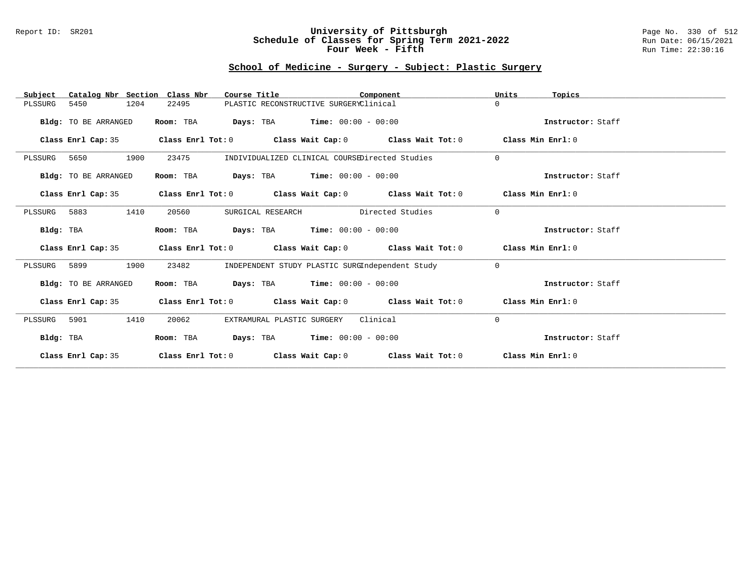### Report ID: SR201 **University of Pittsburgh** Page No. 330 of 512 **Schedule of Classes for Spring Term 2021-2022** Run Date: 06/15/2021 **Four Week - Fifth Run Time: 22:30:16**

## **School of Medicine - Surgery - Subject: Plastic Surgery**

| Catalog Nbr Section Class Nbr<br>Subject | Course Title                                                                    | Component                                       |                                                | Units<br>Topics   |
|------------------------------------------|---------------------------------------------------------------------------------|-------------------------------------------------|------------------------------------------------|-------------------|
| 5450<br>1204<br>PLSSURG                  | 22495                                                                           | PLASTIC RECONSTRUCTIVE SURGERYClinical          |                                                | $\Omega$          |
| Bldg: TO BE ARRANGED                     | <b>Days:</b> TBA <b>Time:</b> $00:00 - 00:00$<br>Room: TBA                      |                                                 |                                                | Instructor: Staff |
| Class Enrl Cap: 35                       | Class Enrl Tot: $0$ Class Wait Cap: $0$ Class Wait Tot: $0$ Class Min Enrl: $0$ |                                                 |                                                |                   |
| 1900<br>PLSSURG 5650                     | 23475                                                                           |                                                 | INDIVIDUALIZED CLINICAL COURSEDirected Studies | $\Omega$          |
| Bldg: TO BE ARRANGED                     | Room: TBA<br><b>Days:</b> TBA <b>Time:</b> $00:00 - 00:00$                      |                                                 |                                                | Instructor: Staff |
| Class Enrl Cap: 35                       | Class Enrl Tot: $0$ Class Wait Cap: $0$ Class Wait Tot: $0$ Class Min Enrl: $0$ |                                                 |                                                |                   |
| 1410<br>PLSSURG 5883                     | 20560<br>SURGICAL RESEARCH                                                      | Directed Studies                                |                                                | $\Omega$          |
| Bldg: TBA                                | <b>Days:</b> TBA <b>Time:</b> $00:00 - 00:00$<br>Room: TBA                      |                                                 |                                                | Instructor: Staff |
| Class Enrl Cap: 35                       | Class Enrl Tot: $0$ Class Wait Cap: $0$ Class Wait Tot: $0$ Class Min Enrl: $0$ |                                                 |                                                |                   |
| 1900<br>PLSSURG 5899                     | 23482                                                                           | INDEPENDENT STUDY PLASTIC SURGIndependent Study |                                                | $\Omega$          |
| Bldg: TO BE ARRANGED                     | Room: TBA $Days:$ TBA $Time: 00:00 - 00:00$                                     |                                                 |                                                | Instructor: Staff |
| Class Enrl Cap: 35                       | Class Enrl Tot: $0$ Class Wait Cap: $0$ Class Wait Tot: $0$ Class Min Enrl: $0$ |                                                 |                                                |                   |
| 1410<br>5901<br>PLSSURG                  | 20062<br>EXTRAMURAL PLASTIC SURGERY                                             | Clinical                                        |                                                | $\mathbf 0$       |
| Bldg: TBA                                | $\texttt{DayS:}$ TBA $\texttt{Time:}$ 00:00 - 00:00<br>Room: TBA                |                                                 |                                                | Instructor: Staff |
| Class Enrl Cap: 35                       | Class Enrl Tot: $0$ Class Wait Cap: $0$ Class Wait Tot: $0$                     |                                                 |                                                | Class Min Enrl: 0 |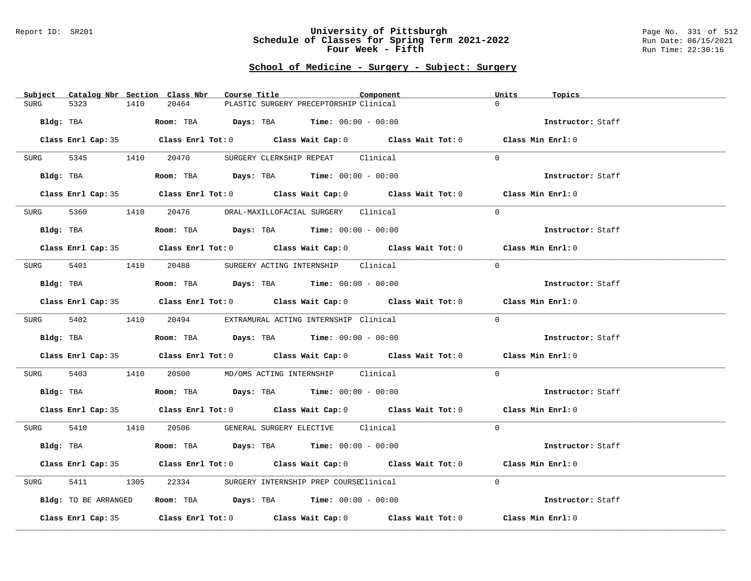#### Report ID: SR201 **University of Pittsburgh** Page No. 331 of 512 **Schedule of Classes for Spring Term 2021-2022** Run Date: 06/15/2021 **Four Week - Fifth Run Time: 22:30:16**

## **School of Medicine - Surgery - Subject: Surgery**

| Subject Catalog Nbr Section Class Nbr | Course Title                                                                               | Component<br>Units<br>Topics |                   |
|---------------------------------------|--------------------------------------------------------------------------------------------|------------------------------|-------------------|
| 5323<br>1410<br><b>SURG</b>           | 20464<br>PLASTIC SURGERY PRECEPTORSHIP Clinical                                            | $\Omega$                     |                   |
| Bldg: TBA                             | Room: TBA $Days: TBA$ Time: $00:00 - 00:00$                                                |                              | Instructor: Staff |
|                                       | Class Enrl Cap: 35 Class Enrl Tot: 0 Class Wait Cap: 0 Class Wait Tot: 0 Class Min Enrl: 0 |                              |                   |
| SURG 5345 1410                        | 20470<br>SURGERY CLERKSHIP REPEAT Clinical                                                 | $\Omega$                     |                   |
| Bldg: TBA                             | Room: TBA $Days:$ TBA $Time: 00:00 - 00:00$                                                | Instructor: Staff            |                   |
|                                       | Class Enrl Cap: 35 Class Enrl Tot: 0 Class Wait Cap: 0 Class Wait Tot: 0 Class Min Enrl: 0 |                              |                   |
| SURG                                  | 5360 1410 20476 ORAL-MAXILLOFACIAL SURGERY Clinical                                        | $\Omega$                     |                   |
| Bldg: TBA                             | Room: TBA $Days:$ TBA $Time: 00:00 - 00:00$                                                |                              | Instructor: Staff |
|                                       | Class Enrl Cap: 35 Class Enrl Tot: 0 Class Wait Cap: 0 Class Wait Tot: 0 Class Min Enrl: 0 |                              |                   |
| SURG 5401                             | 1410   20488   SURGERY ACTING INTERNSHIP   Clinical                                        | $\Omega$                     |                   |
| Bldg: TBA                             | Room: TBA $Days:$ TBA $Time: 00:00 - 00:00$                                                |                              | Instructor: Staff |
|                                       | Class Enrl Cap: 35 Class Enrl Tot: 0 Class Wait Cap: 0 Class Wait Tot: 0 Class Min Enrl: 0 |                              |                   |
| SURG 5402 1410 20494                  | EXTRAMURAL ACTING INTERNSHIP Clinical                                                      | $\Omega$                     |                   |
| Bldg: TBA                             | Room: TBA $Days: TBA$ Time: $00:00 - 00:00$                                                |                              | Instructor: Staff |
|                                       | Class Enrl Cap: 35 Class Enrl Tot: 0 Class Wait Cap: 0 Class Wait Tot: 0                   | Class Min Enrl: 0            |                   |
| 5403<br>SURG                          | 1410  20500  MD/OMS ACTING INTERNSHIP  Clinical                                            | $\Omega$                     |                   |
| Bldg: TBA                             | Room: TBA $Days: TBA$ Time: $00:00 - 00:00$                                                | Instructor: Staff            |                   |
|                                       | Class Enrl Cap: 35 Class Enrl Tot: 0 Class Wait Cap: 0 Class Wait Tot: 0 Class Min Enrl: 0 |                              |                   |
|                                       | SURG 5410 1410 20506 GENERAL SURGERY ELECTIVE Clinical                                     | $\Omega$                     |                   |
| Bldg: TBA                             | <b>Room:</b> TBA $Days:$ TBA $Time: 00:00 - 00:00$                                         |                              | Instructor: Staff |
|                                       | Class Enrl Cap: 35 Class Enrl Tot: 0 Class Wait Cap: 0 Class Wait Tot: 0 Class Min Enrl: 0 |                              |                   |
| 5411<br>SURG                          | 1305 22334 SURGERY INTERNSHIP PREP COURSEClinical                                          | $\Omega$                     |                   |
| Bldg: TO BE ARRANGED                  | Room: TBA $Days:$ TBA $Time: 00:00 - 00:00$                                                |                              | Instructor: Staff |
|                                       | Class Enrl Cap: 35 Class Enrl Tot: 0 Class Wait Cap: 0 Class Wait Tot: 0 Class Min Enrl: 0 |                              |                   |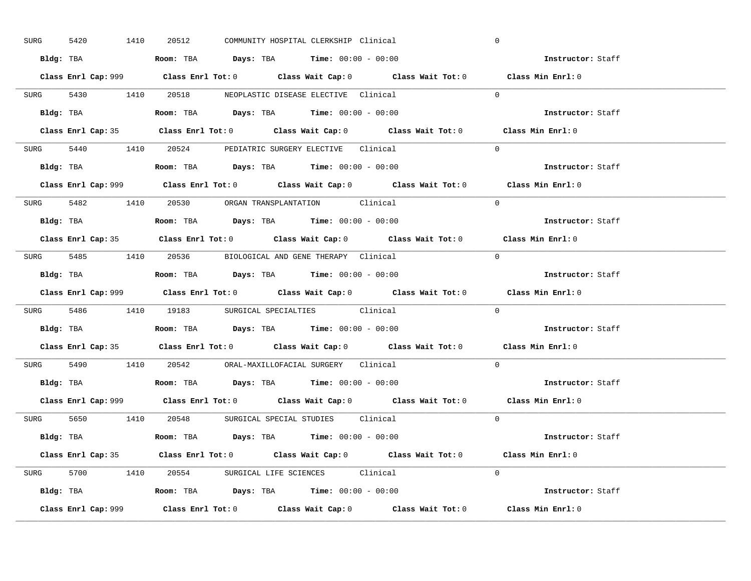| SURG | 5420                                                                                   | 1410 | 20512                                                                                  |  | COMMUNITY HOSPITAL CLERKSHIP Clinical | $\overline{0}$                                                                              |  |
|------|----------------------------------------------------------------------------------------|------|----------------------------------------------------------------------------------------|--|---------------------------------------|---------------------------------------------------------------------------------------------|--|
|      |                                                                                        |      | Bldg: TBA                   Room: TBA         Days: TBA         Time: $00:00 - 00:00$  |  |                                       | Instructor: Staff                                                                           |  |
|      |                                                                                        |      |                                                                                        |  |                                       | Class Enrl Cap: 999 Class Enrl Tot: 0 Class Wait Cap: 0 Class Wait Tot: 0 Class Min Enrl: 0 |  |
|      |                                                                                        |      | SURG 5430 1410 20518 NEOPLASTIC DISEASE ELECTIVE Clinical                              |  |                                       | $\Omega$                                                                                    |  |
|      | Bldg: TBA                                                                              |      | Room: TBA $Days:$ TBA $Time: 00:00 - 00:00$                                            |  |                                       | Instructor: Staff                                                                           |  |
|      |                                                                                        |      |                                                                                        |  |                                       | Class Enrl Cap: 35 Class Enrl Tot: 0 Class Wait Cap: 0 Class Wait Tot: 0 Class Min Enrl: 0  |  |
|      |                                                                                        |      | SURG 5440 1410 20524 PEDIATRIC SURGERY ELECTIVE Clinical                               |  |                                       | $\Omega$                                                                                    |  |
|      |                                                                                        |      | Bldg: TBA                    Room: TBA         Days: TBA        Time: $00:00 - 00:00$  |  |                                       | Instructor: Staff                                                                           |  |
|      |                                                                                        |      |                                                                                        |  |                                       | Class Enrl Cap: 999 Class Enrl Tot: 0 Class Wait Cap: 0 Class Wait Tot: 0 Class Min Enrl: 0 |  |
|      |                                                                                        |      | SURG 5482 1410 20530 ORGAN TRANSPLANTATION Clinical                                    |  |                                       | $\Omega$                                                                                    |  |
|      |                                                                                        |      | Bldg: TBA                    Room: TBA         Days: TBA         Time: $00:00 - 00:00$ |  |                                       | Instructor: Staff                                                                           |  |
|      |                                                                                        |      |                                                                                        |  |                                       | Class Enrl Cap: 35 Class Enrl Tot: 0 Class Wait Cap: 0 Class Wait Tot: 0 Class Min Enrl: 0  |  |
|      |                                                                                        |      | SURG 5485 1410 20536 BIOLOGICAL AND GENE THERAPY Clinical                              |  |                                       | $\overline{0}$                                                                              |  |
|      |                                                                                        |      |                                                                                        |  |                                       | Instructor: Staff                                                                           |  |
|      |                                                                                        |      |                                                                                        |  |                                       | Class Enrl Cap: 999 Class Enrl Tot: 0 Class Wait Cap: 0 Class Wait Tot: 0 Class Min Enrl: 0 |  |
|      |                                                                                        |      | SURG 5486 1410 19183 SURGICAL SPECIALTIES Clinical                                     |  |                                       | $\Omega$                                                                                    |  |
|      | Bldg: TBA                                                                              |      | Room: TBA $\rule{1em}{0.15mm}$ Days: TBA Time: $00:00 - 00:00$                         |  |                                       | <b>Instructor:</b> Staff                                                                    |  |
|      |                                                                                        |      |                                                                                        |  |                                       | Class Enrl Cap: 35 Class Enrl Tot: 0 Class Wait Cap: 0 Class Wait Tot: 0 Class Min Enrl: 0  |  |
|      |                                                                                        |      | SURG 5490 1410 20542 ORAL-MAXILLOFACIAL SURGERY Clinical                               |  |                                       | $\Omega$                                                                                    |  |
|      | Bldg: TBA                    Room: TBA         Days: TBA         Time: $00:00 - 00:00$ |      |                                                                                        |  |                                       | Instructor: Staff                                                                           |  |
|      |                                                                                        |      |                                                                                        |  |                                       |                                                                                             |  |
|      |                                                                                        |      |                                                                                        |  |                                       | Class Enrl Cap: 999 Class Enrl Tot: 0 Class Wait Cap: 0 Class Wait Tot: 0 Class Min Enrl: 0 |  |
|      |                                                                                        |      | SURG 5650 1410 20548 SURGICAL SPECIAL STUDIES Clinical                                 |  |                                       | $\Omega$                                                                                    |  |
|      |                                                                                        |      | Bldg: TBA                   Room: TBA        Days: TBA        Time: $00:00 - 00:00$    |  |                                       | Instructor: Staff                                                                           |  |
|      |                                                                                        |      |                                                                                        |  |                                       | Class Enrl Cap: 35 Class Enrl Tot: 0 Class Wait Cap: 0 Class Wait Tot: 0 Class Min Enrl: 0  |  |
|      |                                                                                        |      | SURG 5700 1410 20554 SURGICAL LIFE SCIENCES Clinical                                   |  |                                       | $\Omega$                                                                                    |  |
|      |                                                                                        |      | Bldg: TBA                    Room: TBA         Days: TBA        Time: $00:00 - 00:00$  |  |                                       | Instructor: Staff                                                                           |  |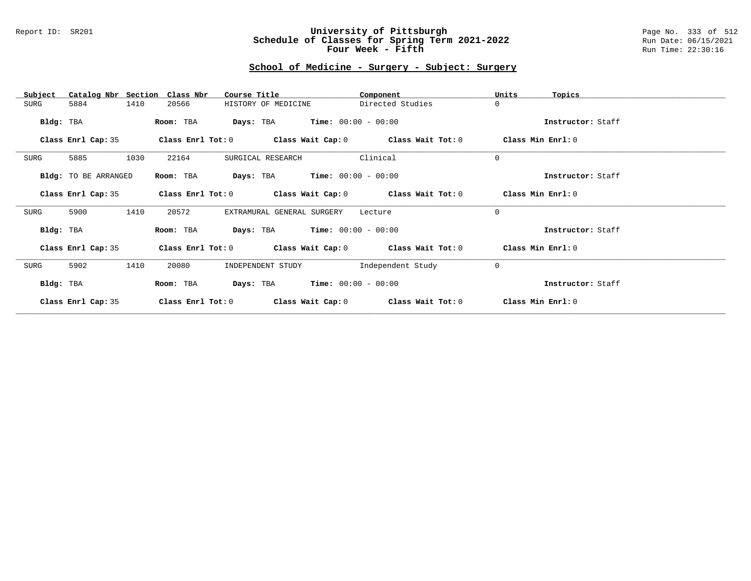### Report ID: SR201 **University of Pittsburgh** Page No. 333 of 512 **Schedule of Classes for Spring Term 2021-2022** Run Date: 06/15/2021 **Four Week - Fifth Run Time: 22:30:16**

# **School of Medicine - Surgery - Subject: Surgery**

| Catalog Nbr Section Class Nbr<br>Subject | Course Title                                                | Component         | Units<br>Topics   |
|------------------------------------------|-------------------------------------------------------------|-------------------|-------------------|
| 1410<br>SURG<br>5884                     | HISTORY OF MEDICINE<br>20566                                | Directed Studies  | $\mathbf 0$       |
| Bldg: TBA                                | <b>Days:</b> TBA <b>Time:</b> $00:00 - 00:00$<br>Room: TBA  |                   | Instructor: Staff |
| Class Enrl Cap: 35                       | Class Enrl Tot: $0$ Class Wait Cap: $0$ Class Wait Tot: $0$ |                   | Class Min Enrl: 0 |
| 5885<br>1030<br>SURG                     | 22164<br>SURGICAL RESEARCH                                  | Clinical          | $\mathbf 0$       |
| Bldg: TO BE ARRANGED                     | <b>Days:</b> TBA <b>Time:</b> $00:00 - 00:00$<br>Room: TBA  |                   | Instructor: Staff |
| Class Enrl Cap: 35                       | Class Enrl Tot: $0$ Class Wait Cap: $0$ Class Wait Tot: $0$ |                   | Class Min Enrl: 0 |
| 1410<br>5900<br>SURG                     | 20572<br>EXTRAMURAL GENERAL SURGERY                         | Lecture           | $\mathbf 0$       |
| Bldg: TBA                                | <b>Days:</b> TBA <b>Time:</b> $00:00 - 00:00$<br>Room: TBA  |                   | Instructor: Staff |
| Class Enrl Cap: 35                       | Class Enrl Tot: $0$ Class Wait Cap: $0$ Class Wait Tot: $0$ |                   | Class Min Enrl: 0 |
| 1410<br>5902<br>SURG                     | 20080<br>INDEPENDENT STUDY                                  | Independent Study | $\mathbf 0$       |
| Bldg: TBA                                | $Time: 00:00 - 00:00$<br>Days: TBA<br>Room: TBA             |                   | Instructor: Staff |
| Class Enrl Cap: 35                       | Class Enrl Tot: 0<br>Class Wait Cap: 0                      | Class Wait Tot: 0 | Class Min Enrl: 0 |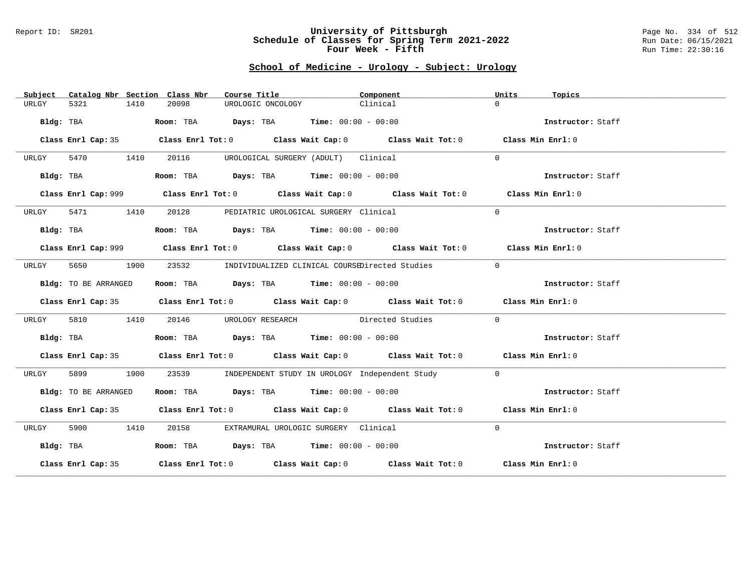#### Report ID: SR201 **University of Pittsburgh** Page No. 334 of 512 **Schedule of Classes for Spring Term 2021-2022** Run Date: 06/15/2021 **Four Week - Fifth Run Time: 22:30:16**

# **School of Medicine - Urology - Subject: Urology**

| Subject   |                      |      | Catalog Nbr Section Class Nbr | Course Title                                                                            | Component                                                                                   | Units          | Topics            |
|-----------|----------------------|------|-------------------------------|-----------------------------------------------------------------------------------------|---------------------------------------------------------------------------------------------|----------------|-------------------|
| URLGY     | 5321                 | 1410 | 20098                         | UROLOGIC ONCOLOGY                                                                       | Clinical                                                                                    | $\Omega$       |                   |
|           | Bldg: TBA            |      |                               | Room: TBA $\rule{1em}{0.15mm}$ Days: TBA $\rule{1.5mm}{0.15mm}$ Time: $00:00 - 00:00$   |                                                                                             |                | Instructor: Staff |
|           |                      |      |                               |                                                                                         | Class Enrl Cap: 35 Class Enrl Tot: 0 Class Wait Cap: 0 Class Wait Tot: 0 Class Min Enrl: 0  |                |                   |
| URLGY     | 5470 1410            |      | 20116                         | UROLOGICAL SURGERY (ADULT) Clinical                                                     |                                                                                             | $\Omega$       |                   |
|           | Bldg: TBA            |      |                               | Room: TBA $Days:$ TBA $Time: 00:00 - 00:00$                                             |                                                                                             |                | Instructor: Staff |
|           |                      |      |                               |                                                                                         | Class Enrl Cap: 999 Class Enrl Tot: 0 Class Wait Cap: 0 Class Wait Tot: 0 Class Min Enrl: 0 |                |                   |
| URLGY     | 5471 1410            |      |                               | 20128 PEDIATRIC UROLOGICAL SURGERY Clinical                                             |                                                                                             | $\Omega$       |                   |
|           | Bldg: TBA            |      |                               | Room: TBA $Days:$ TBA $Time: 00:00 - 00:00$                                             |                                                                                             |                | Instructor: Staff |
|           |                      |      |                               |                                                                                         | Class Enrl Cap: 999 Class Enrl Tot: 0 Class Wait Cap: 0 Class Wait Tot: 0 Class Min Enrl: 0 |                |                   |
| URLGY     | 5650<br>1900         |      |                               | 23532 INDIVIDUALIZED CLINICAL COURSEDirected Studies                                    |                                                                                             | $\overline{0}$ |                   |
|           | Bldg: TO BE ARRANGED |      |                               | Room: TBA $Days:$ TBA $Time: 00:00 - 00:00$                                             |                                                                                             |                | Instructor: Staff |
|           |                      |      |                               |                                                                                         | Class Enrl Cap: 35 Class Enrl Tot: 0 Class Wait Cap: 0 Class Wait Tot: 0 Class Min Enrl: 0  |                |                   |
| URLGY     | 5810                 | 1410 |                               |                                                                                         | 20146 UROLOGY RESEARCH Directed Studies                                                     | $\Omega$       |                   |
|           | Bldg: TBA            |      |                               | Room: TBA $\rule{1em}{0.15mm}$ Days: TBA $\rule{1.15mm}]{0.15mm}$ Time: $0.000 - 0.000$ |                                                                                             |                | Instructor: Staff |
|           |                      |      |                               |                                                                                         | Class Enrl Cap: 35 Class Enrl Tot: 0 Class Wait Cap: 0 Class Wait Tot: 0 Class Min Enrl: 0  |                |                   |
| URLGY     | 5899                 | 1900 | 23539                         |                                                                                         | INDEPENDENT STUDY IN UROLOGY Independent Study                                              | $\Omega$       |                   |
|           | Bldg: TO BE ARRANGED |      |                               | Room: TBA $Days:$ TBA $Time: 00:00 - 00:00$                                             |                                                                                             |                | Instructor: Staff |
|           |                      |      |                               |                                                                                         | Class Enrl Cap: 35 Class Enrl Tot: 0 Class Wait Cap: 0 Class Wait Tot: 0 Class Min Enrl: 0  |                |                   |
| URLGY     | 5900 1410            |      |                               | 20158 EXTRAMURAL UROLOGIC SURGERY Clinical                                              |                                                                                             | $\Omega$       |                   |
| Bldg: TBA |                      |      |                               | Room: TBA $Days:$ TBA $Time: 00:00 - 00:00$                                             |                                                                                             |                | Instructor: Staff |
|           |                      |      |                               |                                                                                         | Class Enrl Cap: 35 Class Enrl Tot: 0 Class Wait Cap: 0 Class Wait Tot: 0 Class Min Enrl: 0  |                |                   |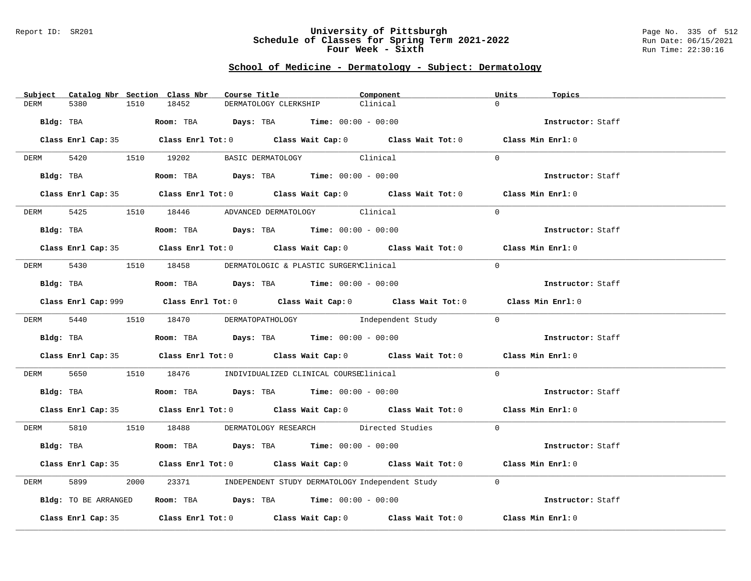#### Report ID: SR201 **University of Pittsburgh** Page No. 335 of 512 **Schedule of Classes for Spring Term 2021-2022** Run Date: 06/15/2021 **Four Week - Sixth** Run Time: 22:30:16

# **School of Medicine - Dermatology - Subject: Dermatology**

| Subject Catalog Nbr Section Class Nbr | Course Title                                                                                | Component         | Units<br>Topics   |
|---------------------------------------|---------------------------------------------------------------------------------------------|-------------------|-------------------|
| DERM<br>5380<br>1510                  | 18452<br>DERMATOLOGY CLERKSHIP                                                              | Clinical          | $\Omega$          |
| Bldg: TBA                             | Room: TBA $\rule{1em}{0.15mm}$ Days: TBA Time: $00:00 - 00:00$                              |                   | Instructor: Staff |
|                                       |                                                                                             |                   |                   |
|                                       | Class Enrl Cap: 35 Class Enrl Tot: 0 Class Wait Cap: 0 Class Wait Tot: 0 Class Min Enrl: 0  |                   |                   |
|                                       | DERM 5420 1510 19202 BASIC DERMATOLOGY Clinical                                             |                   | $\Omega$          |
|                                       | Bldg: TBA                  Room: TBA        Days: TBA        Time: 00:00 - 00:00            |                   | Instructor: Staff |
|                                       | Class Enrl Cap: 35 Class Enrl Tot: 0 Class Wait Cap: 0 Class Wait Tot: 0 Class Min Enrl: 0  |                   |                   |
|                                       | DERM 5425 1510 18446 ADVANCED DERMATOLOGY Clinical                                          |                   | $\Omega$          |
| Bldg: TBA                             | Room: TBA $Days:$ TBA $Time: 00:00 - 00:00$                                                 |                   | Instructor: Staff |
|                                       | Class Enrl Cap: 35 Class Enrl Tot: 0 Class Wait Cap: 0 Class Wait Tot: 0 Class Min Enrl: 0  |                   |                   |
|                                       |                                                                                             |                   |                   |
|                                       | DERM 5430 1510 18458 DERMATOLOGIC & PLASTIC SURGERYClinical                                 |                   | $\Omega$          |
|                                       | Bldg: TBA                   Room: TBA         Days: TBA         Time: $00:00 - 00:00$       |                   | Instructor: Staff |
|                                       | Class Enrl Cap: 999 Class Enrl Tot: 0 Class Wait Cap: 0 Class Wait Tot: 0 Class Min Enrl: 0 |                   |                   |
|                                       | DERM 5440 1510 18470 DERMATOPATHOLOGY                                                       | Independent Study | $\bigcap$         |
| Bldg: TBA                             | Room: TBA $Days:$ TBA $Time:$ 00:00 - 00:00                                                 |                   | Instructor: Staff |
|                                       | Class Enrl Cap: 35 Class Enrl Tot: 0 Class Wait Cap: 0 Class Wait Tot: 0 Class Min Enrl: 0  |                   |                   |
| DERM                                  | 5650 1510 18476 INDIVIDUALIZED CLINICAL COURSEClinical                                      |                   | $\Omega$          |
|                                       | Bldg: TBA                    Room: TBA         Days: TBA         Time: $00:00 - 00:00$      |                   | Instructor: Staff |
|                                       | Class Enrl Cap: 35 Class Enrl Tot: 0 Class Wait Cap: 0 Class Wait Tot: 0 Class Min Enrl: 0  |                   |                   |
|                                       | DERM 5810 1510 18488 DERMATOLOGY RESEARCH Directed Studies                                  |                   | $\Omega$          |
| Bldg: TBA                             | Room: TBA $\rule{1em}{0.15mm}$ Days: TBA Time: $00:00 - 00:00$                              |                   | Instructor: Staff |
|                                       | Class Enrl Cap: 35 Class Enrl Tot: 0 Class Wait Cap: 0 Class Wait Tot: 0 Class Min Enrl: 0  |                   |                   |
|                                       |                                                                                             |                   |                   |
| 5899<br>2000<br>DERM                  | 23371 INDEPENDENT STUDY DERMATOLOGY Independent Study                                       |                   | $\Omega$          |
| Bldg: TO BE ARRANGED                  | Room: TBA $\rule{1em}{0.15mm}$ Days: TBA $\rule{1.5mm}{0.15mm}$ Time: $00:00 - 00:00$       |                   | Instructor: Staff |
|                                       | Class Enrl Cap: 35 Class Enrl Tot: 0 Class Wait Cap: 0 Class Wait Tot: 0                    |                   | Class Min Enrl: 0 |
|                                       |                                                                                             |                   |                   |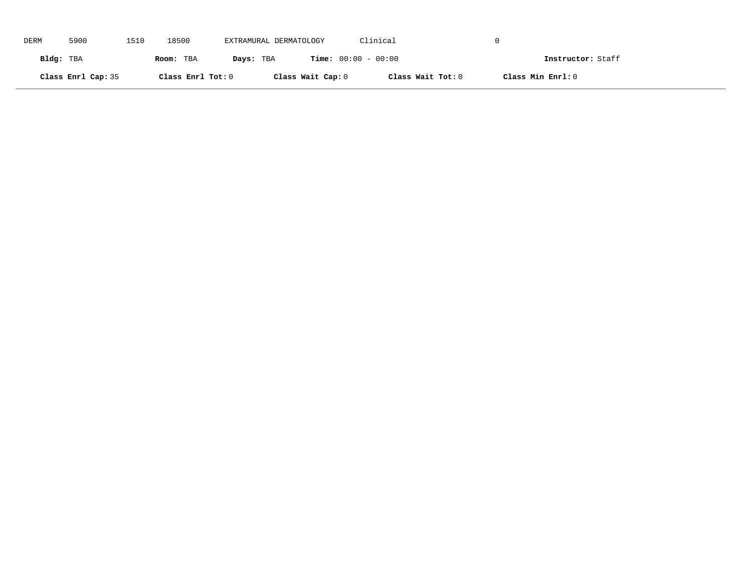| DERM      | 5900               | 1510 | 18500             | EXTRAMURAL DERMATOLOGY |                              | Clinical          |                   |
|-----------|--------------------|------|-------------------|------------------------|------------------------------|-------------------|-------------------|
| Bldg: TBA |                    |      | Room: TBA         | Days: TBA              | <b>Time:</b> $00:00 - 00:00$ |                   | Instructor: Staff |
|           | Class Enrl Cap: 35 |      | Class Enrl Tot: 0 |                        | Class Wait Cap: 0            | Class Wait Tot: 0 | Class Min Enrl: 0 |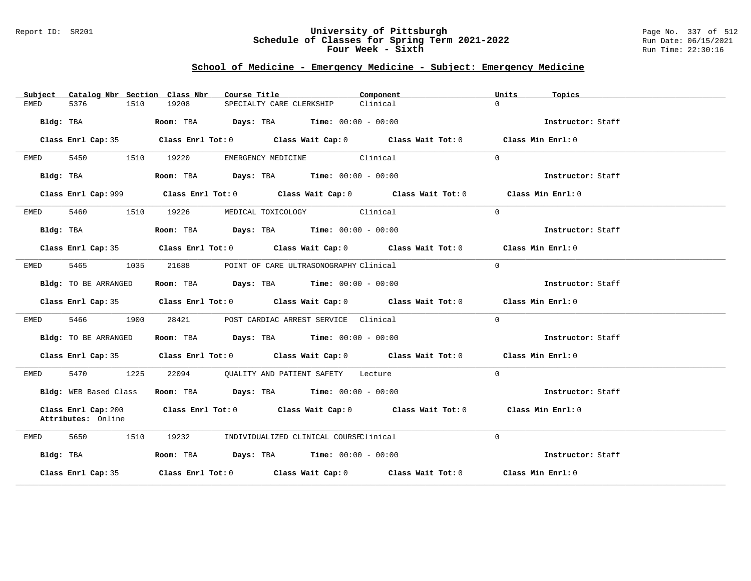#### Report ID: SR201 **University of Pittsburgh** Page No. 337 of 512 **Schedule of Classes for Spring Term 2021-2022** Run Date: 06/15/2021 **Four Week - Sixth** Run Time: 22:30:16

# **School of Medicine - Emergency Medicine - Subject: Emergency Medicine**

| Catalog Nbr Section Class Nbr<br>Subject | Course Title <b>Sourse In the Search</b>                                         | Component<br>Units<br>Topics                                                                |  |
|------------------------------------------|----------------------------------------------------------------------------------|---------------------------------------------------------------------------------------------|--|
| 5376<br>1510<br>EMED                     | 19208<br>SPECIALTY CARE CLERKSHIP                                                | Clinical<br>$\Omega$                                                                        |  |
| Bldg: TBA                                | <b>Room:</b> TBA $\qquad \qquad$ Days: TBA $\qquad \qquad$ Time: $00:00 - 00:00$ | Instructor: Staff                                                                           |  |
|                                          |                                                                                  | Class Enrl Cap: 35 Class Enrl Tot: 0 Class Wait Cap: 0 Class Wait Tot: 0 Class Min Enrl: 0  |  |
| 5450 1510 19220<br>EMED                  | EMERGENCY MEDICINE Clinical                                                      | $\Omega$                                                                                    |  |
| Bldg: TBA                                | Room: TBA $Days:$ TBA $Time: 00:00 - 00:00$                                      | Instructor: Staff                                                                           |  |
|                                          |                                                                                  | Class Enrl Cap: 999 Class Enrl Tot: 0 Class Wait Cap: 0 Class Wait Tot: 0 Class Min Enrl: 0 |  |
| 5460 1510 19226<br>EMED                  | MEDICAL TOXICOLOGY Clinical                                                      | $\Omega$                                                                                    |  |
| Bldg: TBA                                | Room: TBA $Days:$ TBA $Time: 00:00 - 00:00$                                      | Instructor: Staff                                                                           |  |
|                                          |                                                                                  | Class Enrl Cap: 35 Class Enrl Tot: 0 Class Wait Cap: 0 Class Wait Tot: 0 Class Min Enrl: 0  |  |
| 5465 1035<br>EMED                        | 21688<br>POINT OF CARE ULTRASONOGRAPHY Clinical                                  | $\Omega$                                                                                    |  |
| Bldg: TO BE ARRANGED                     | Room: TBA $Days:$ TBA $Time: 00:00 - 00:00$                                      | Instructor: Staff                                                                           |  |
|                                          |                                                                                  | Class Enrl Cap: 35 Class Enrl Tot: 0 Class Wait Cap: 0 Class Wait Tot: 0 Class Min Enrl: 0  |  |
| 5466 1900<br>EMED                        | 28421 POST CARDIAC ARREST SERVICE Clinical                                       | $\Omega$                                                                                    |  |
| Bldg: TO BE ARRANGED                     | Room: TBA $Days:$ TBA Time: $00:00 - 00:00$                                      | Instructor: Staff                                                                           |  |
|                                          |                                                                                  | Class Enrl Cap: 35 Class Enrl Tot: 0 Class Wait Cap: 0 Class Wait Tot: 0 Class Min Enrl: 0  |  |
| 5470 1225<br>EMED                        | 22094 QUALITY AND PATIENT SAFETY Lecture                                         | $\Omega$                                                                                    |  |
| Bldg: WEB Based Class                    | Room: TBA $Days:$ TBA $Time: 00:00 - 00:00$                                      | Instructor: Staff                                                                           |  |
| Attributes: Online                       |                                                                                  | Class Enrl Cap: 200 Class Enrl Tot: 0 Class Wait Cap: 0 Class Wait Tot: 0 Class Min Enrl: 0 |  |
| 5650 1510<br>EMED                        | 19232<br>INDIVIDUALIZED CLINICAL COURSEClinical                                  | $\Omega$                                                                                    |  |
| Bldg: TBA                                | Room: TBA $Days: TBA$ Time: $00:00 - 00:00$                                      | Instructor: Staff                                                                           |  |
| Class Enrl Cap: 35                       |                                                                                  | Class Enrl Tot: $0$ Class Wait Cap: $0$ Class Wait Tot: $0$ Class Min Enrl: $0$             |  |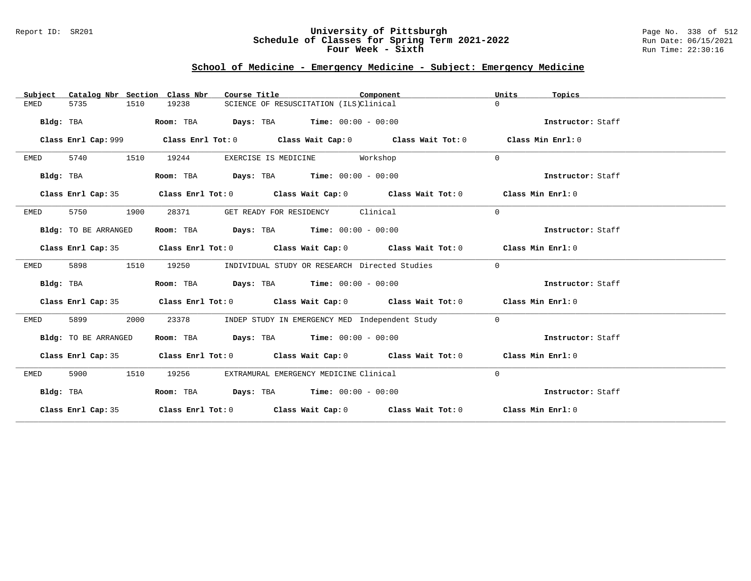### Report ID: SR201 **University of Pittsburgh** Page No. 338 of 512 **Schedule of Classes for Spring Term 2021-2022** Run Date: 06/15/2021 **Four Week - Sixth** Run Time: 22:30:16

# **School of Medicine - Emergency Medicine - Subject: Emergency Medicine**

| Catalog Nbr Section Class Nbr<br>Subject | Course Title                                                     | Component                                                                                  | Units<br>Topics   |
|------------------------------------------|------------------------------------------------------------------|--------------------------------------------------------------------------------------------|-------------------|
| <b>EMED</b><br>5735<br>1510              | 19238                                                            | SCIENCE OF RESUSCITATION (ILS)Clinical                                                     | $\Omega$          |
| Bldg: TBA                                | $\texttt{Days:}$ TBA $\texttt{Time:}$ 00:00 - 00:00<br>Room: TBA |                                                                                            | Instructor: Staff |
| Class Enrl Cap: 999                      |                                                                  | Class Enrl Tot: $0$ Class Wait Cap: $0$ Class Wait Tot: $0$                                | Class Min Enrl: 0 |
|                                          |                                                                  |                                                                                            |                   |
| 5740<br>1510<br>EMED                     | 19244                                                            | EXERCISE IS MEDICINE Workshop                                                              | $\Omega$          |
| Bldg: TBA                                | Room: TBA $Days:$ TBA $Time: 00:00 - 00:00$                      |                                                                                            | Instructor: Staff |
| Class Enrl Cap: 35                       |                                                                  | Class Enrl Tot: $0$ Class Wait Cap: $0$ Class Wait Tot: $0$ Class Min Enrl: $0$            |                   |
| 5750<br>1900<br>EMED                     | 28371                                                            | GET READY FOR RESIDENCY Clinical                                                           | $\mathbf 0$       |
| Bldg: TO BE ARRANGED                     | Room: TBA $Days:$ TBA $Time: 00:00 - 00:00$                      |                                                                                            | Instructor: Staff |
| Class Enrl Cap: 35                       |                                                                  | Class Enrl Tot: $0$ Class Wait Cap: $0$ Class Wait Tot: $0$ Class Min Enrl: $0$            |                   |
| 5898<br>1510<br>EMED                     | 19250                                                            | INDIVIDUAL STUDY OR RESEARCH Directed Studies                                              | $\mathbf 0$       |
| Bldg: TBA                                | Room: TBA $Days:$ TBA $Time: 00:00 - 00:00$                      |                                                                                            | Instructor: Staff |
|                                          |                                                                  | Class Enrl Cap: 35 Class Enrl Tot: 0 Class Wait Cap: 0 Class Wait Tot: 0 Class Min Enrl: 0 |                   |
| 2000<br>5899<br>EMED                     | 23378                                                            | INDEP STUDY IN EMERGENCY MED Independent Study                                             | $\overline{0}$    |
| Bldg: TO BE ARRANGED                     | Room: TBA Days: TBA Time: $00:00 - 00:00$                        |                                                                                            | Instructor: Staff |
|                                          |                                                                  | Class Enrl Cap: 35 Class Enrl Tot: 0 Class Wait Cap: 0 Class Wait Tot: 0 Class Min Enrl: 0 |                   |
| 5900<br>1510<br>EMED                     | 19256                                                            | EXTRAMURAL EMERGENCY MEDICINE Clinical                                                     | $\mathbf 0$       |
| Bldg: TBA                                | Room: TBA $Days:$ TBA $Time: 00:00 - 00:00$                      |                                                                                            | Instructor: Staff |
|                                          |                                                                  | Class Enrl Cap: 35 Class Enrl Tot: 0 Class Wait Cap: 0 Class Wait Tot: 0 Class Min Enrl: 0 |                   |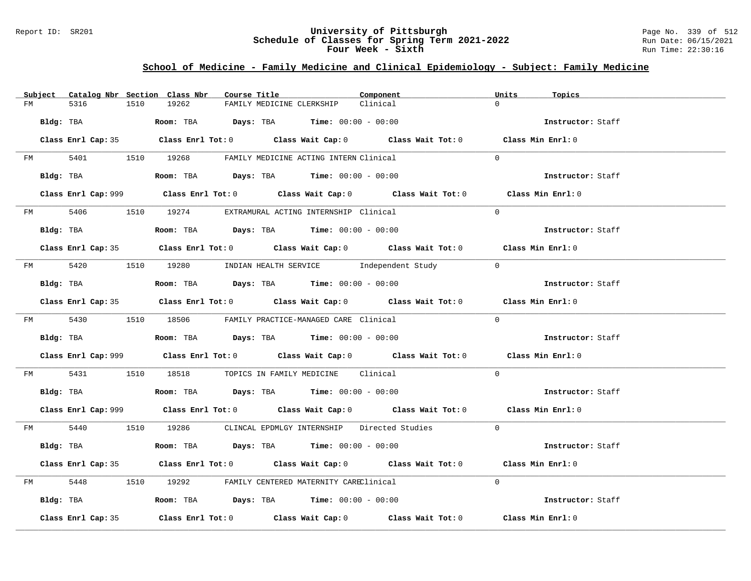### Report ID: SR201 **University of Pittsburgh** Page No. 339 of 512 **Schedule of Classes for Spring Term 2021-2022** Run Date: 06/15/2021 **Four Week - Sixth** Run Time: 22:30:16

# **School of Medicine - Family Medicine and Clinical Epidemiology - Subject: Family Medicine**

| Subject Catalog Nbr Section Class Nbr | Course Title                                                                                | Component<br>Units<br>Topics |                   |
|---------------------------------------|---------------------------------------------------------------------------------------------|------------------------------|-------------------|
| 5316<br>FM                            | 19262<br>1510<br>FAMILY MEDICINE CLERKSHIP                                                  | $\Omega$<br>Clinical         |                   |
| Bldg: TBA                             | Room: TBA $Days:$ TBA $Time: 00:00 - 00:00$                                                 |                              | Instructor: Staff |
|                                       | Class Enrl Cap: 35 Class Enrl Tot: 0 Class Wait Cap: 0 Class Wait Tot: 0 Class Min Enrl: 0  |                              |                   |
|                                       | FM 5401 1510 19268 FAMILY MEDICINE ACTING INTERN Clinical                                   | $\Omega$                     |                   |
|                                       | Bldg: TBA                    Room: TBA         Days: TBA         Time: $00:00 - 00:00$      | Instructor: Staff            |                   |
|                                       | Class Enrl Cap: 999 Class Enrl Tot: 0 Class Wait Cap: 0 Class Wait Tot: 0 Class Min Enrl: 0 |                              |                   |
|                                       | FM 5406 1510 19274 EXTRAMURAL ACTING INTERNSHIP Clinical                                    | $\Omega$                     |                   |
|                                       |                                                                                             |                              | Instructor: Staff |
|                                       | Class Enrl Cap: 35 Class Enrl Tot: 0 Class Wait Cap: 0 Class Wait Tot: 0 Class Min Enrl: 0  |                              |                   |
|                                       | FM 5420 1510 19280 INDIAN HEALTH SERVICE Independent Study 0                                |                              |                   |
|                                       | Bldg: TBA                         Room: TBA          Days: TBA          Time: 00:00 - 00:00 |                              | Instructor: Staff |
|                                       | Class Enrl Cap: 35 Class Enrl Tot: 0 Class Wait Cap: 0 Class Wait Tot: 0 Class Min Enrl: 0  |                              |                   |
|                                       | FM 5430 1510 18506 FAMILY PRACTICE-MANAGED CARE Clinical                                    | $\Omega$                     |                   |
|                                       | <b>Bldg:</b> TBA <b>ROOM:</b> TBA <b>Days:</b> TBA <b>Time:</b> $00:00 - 00:00$             |                              | Instructor: Staff |
|                                       | Class Enrl Cap: 999 Class Enrl Tot: 0 Class Wait Cap: 0 Class Wait Tot: 0 Class Min Enrl: 0 |                              |                   |
|                                       | FM 5431 1510 18518 TOPICS IN FAMILY MEDICINE Clinical                                       | $\Omega$                     |                   |
|                                       | Bldg: TBA                    Room: TBA         Days: TBA         Time: $00:00 - 00:00$      |                              | Instructor: Staff |
|                                       | Class Enrl Cap: 999 Class Enrl Tot: 0 Class Wait Cap: 0 Class Wait Tot: 0 Class Min Enrl: 0 |                              |                   |
|                                       | FM 5440 1510 19286 CLINCAL EPDMLGY INTERNSHIP Directed Studies 0                            |                              |                   |
|                                       | Bldg: TBA                   Room: TBA        Days: TBA        Time: 00:00 - 00:00           |                              | Instructor: Staff |
|                                       | Class Enrl Cap: 35 Class Enrl Tot: 0 Class Wait Cap: 0 Class Wait Tot: 0 Class Min Enrl: 0  |                              |                   |
|                                       | FM 5448 1510 19292 FAMILY CENTERED MATERNITY CAREClinical                                   | $\Omega$                     |                   |
|                                       | Bldg: TBA                  Room: TBA        Days: TBA        Time: 00:00 - 00:00            |                              | Instructor: Staff |
| Class Enrl Cap: 35                    | Class Enrl Tot: $0$ Class Wait Cap: $0$ Class Wait Tot: $0$ Class Min Enrl: $0$             |                              |                   |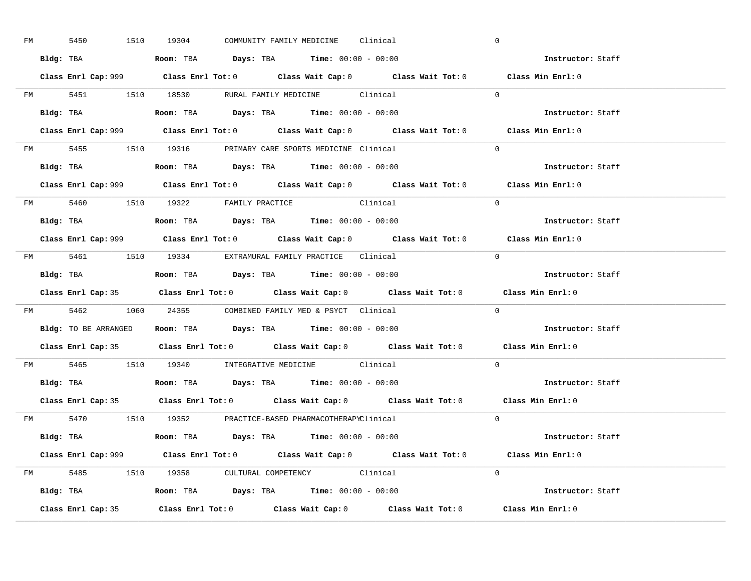| FM | 5450 |  | 1510 19304                                                                                      |  | COMMUNITY FAMILY MEDICINE Clinical |                                                                                            |            | $\overline{0}$                                                                              |  |
|----|------|--|-------------------------------------------------------------------------------------------------|--|------------------------------------|--------------------------------------------------------------------------------------------|------------|---------------------------------------------------------------------------------------------|--|
|    |      |  | Bldg: TBA                   Room: TBA         Days: TBA         Time: $00:00 - 00:00$           |  |                                    |                                                                                            |            | Instructor: Staff                                                                           |  |
|    |      |  |                                                                                                 |  |                                    |                                                                                            |            | Class Enrl Cap: 999 Class Enrl Tot: 0 Class Wait Cap: 0 Class Wait Tot: 0 Class Min Enrl: 0 |  |
|    |      |  |                                                                                                 |  |                                    | FM 5451 1510 18530 RURAL FAMILY MEDICINE Clinical 0                                        |            |                                                                                             |  |
|    |      |  | Bldg: TBA                   Room: TBA         Days: TBA         Time: $00:00 - 00:00$           |  |                                    |                                                                                            |            | Instructor: Staff                                                                           |  |
|    |      |  |                                                                                                 |  |                                    |                                                                                            |            | Class Enrl Cap: 999 Class Enrl Tot: 0 Class Wait Cap: 0 Class Wait Tot: 0 Class Min Enrl: 0 |  |
|    |      |  | FM 5455 1510 19316 PRIMARY CARE SPORTS MEDICINE Clinical                                        |  |                                    |                                                                                            |            | $\Omega$                                                                                    |  |
|    |      |  | Bldg: TBA                    Room: TBA         Days: TBA        Time: $00:00 - 00:00$           |  |                                    |                                                                                            |            | Instructor: Staff                                                                           |  |
|    |      |  |                                                                                                 |  |                                    |                                                                                            |            | Class Enrl Cap: 999 Class Enrl Tot: 0 Class Wait Cap: 0 Class Wait Tot: 0 Class Min Enrl: 0 |  |
|    |      |  | FM 5460 1510 19322 FAMILY PRACTICE Clinical                                                     |  |                                    |                                                                                            |            | $\Omega$                                                                                    |  |
|    |      |  | Bldg: TBA<br>Room: TBA<br>Days: TBA<br>Time: $00:00 - 00:00$                                    |  |                                    |                                                                                            |            | Instructor: Staff                                                                           |  |
|    |      |  |                                                                                                 |  |                                    |                                                                                            |            | Class Enrl Cap: 999 Class Enrl Tot: 0 Class Wait Cap: 0 Class Wait Tot: 0 Class Min Enrl: 0 |  |
|    |      |  | FM 5461 1510 19334 EXTRAMURAL FAMILY PRACTICE Clinical                                          |  |                                    |                                                                                            | $\bigcirc$ |                                                                                             |  |
|    |      |  | Bldg: TBA                           Room: TBA          Days: TBA          Time: $00:00 - 00:00$ |  |                                    |                                                                                            |            | Instructor: Staff                                                                           |  |
|    |      |  |                                                                                                 |  |                                    |                                                                                            |            |                                                                                             |  |
|    |      |  |                                                                                                 |  |                                    |                                                                                            |            | Class Enrl Cap: 35 Class Enrl Tot: 0 Class Wait Cap: 0 Class Wait Tot: 0 Class Min Enrl: 0  |  |
|    |      |  | FM 5462 1060 24355 COMBINED FAMILY MED & PSYCT Clinical                                         |  |                                    |                                                                                            |            | $\overline{0}$                                                                              |  |
|    |      |  | Bldg: TO BE ARRANGED ROOM: TBA Days: TBA Time: 00:00 - 00:00                                    |  |                                    |                                                                                            |            | <b>Instructor:</b> Staff                                                                    |  |
|    |      |  |                                                                                                 |  |                                    |                                                                                            |            | Class Enrl Cap: 35 Class Enrl Tot: 0 Class Wait Cap: 0 Class Wait Tot: 0 Class Min Enrl: 0  |  |
|    |      |  | FM 5465 1510 19340 INTEGRATIVE MEDICINE Clinical                                                |  |                                    |                                                                                            |            | $\Omega$                                                                                    |  |
|    |      |  | Bldg: TBA                    Room: TBA         Days: TBA         Time: $00:00 - 00:00$          |  |                                    |                                                                                            |            | Instructor: Staff                                                                           |  |
|    |      |  |                                                                                                 |  |                                    | Class Enrl Cap: 35 Class Enrl Tot: 0 Class Wait Cap: 0 Class Wait Tot: 0 Class Min Enrl: 0 |            |                                                                                             |  |
|    |      |  | FM 5470 1510 19352 PRACTICE-BASED PHARMACOTHERAPYClinical                                       |  |                                    |                                                                                            |            | $\Omega$                                                                                    |  |
|    |      |  | Bldg: TBA                   Room: TBA         Days: TBA         Time: 00:00 - 00:00             |  |                                    |                                                                                            |            | Instructor: Staff                                                                           |  |
|    |      |  |                                                                                                 |  |                                    |                                                                                            |            | Class Enrl Cap: 999 Class Enrl Tot: 0 Class Wait Cap: 0 Class Wait Tot: 0 Class Min Enrl: 0 |  |
|    |      |  | FM 5485 1510 19358 CULTURAL COMPETENCY Clinical                                                 |  |                                    |                                                                                            |            | $\Omega$                                                                                    |  |
|    |      |  | Bldg: TBA                    Room: TBA         Days: TBA         Time: $00:00 - 00:00$          |  |                                    |                                                                                            |            | Instructor: Staff                                                                           |  |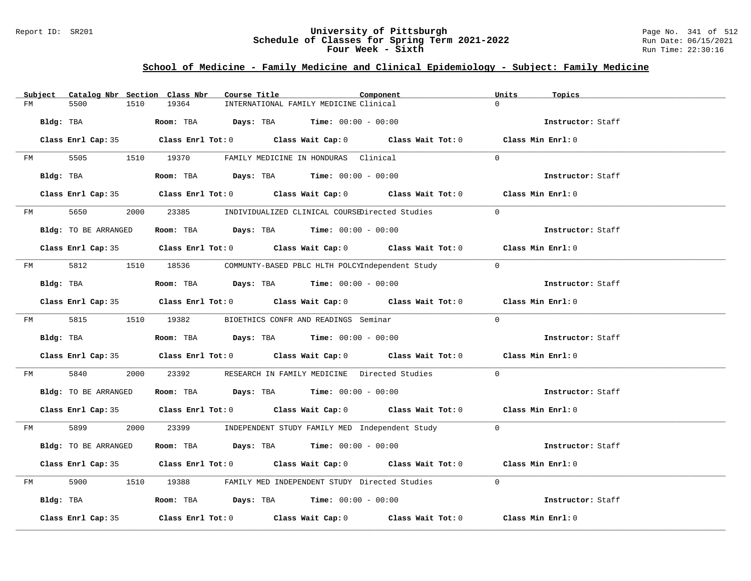### Report ID: SR201 **University of Pittsburgh** Page No. 341 of 512 **Schedule of Classes for Spring Term 2021-2022** Run Date: 06/15/2021 **Four Week - Sixth** Run Time: 22:30:16

# **School of Medicine - Family Medicine and Clinical Epidemiology - Subject: Family Medicine**

|    | Subject   |                      |      | Catalog Nbr Section Class Nbr | Course Title |                                                                                     | Component                                                                                  | Units    | Topics            |  |
|----|-----------|----------------------|------|-------------------------------|--------------|-------------------------------------------------------------------------------------|--------------------------------------------------------------------------------------------|----------|-------------------|--|
| FM |           | 5500                 | 1510 | 19364                         |              | INTERNATIONAL FAMILY MEDICINE Clinical                                              |                                                                                            | $\Omega$ |                   |  |
|    | Bldg: TBA |                      |      |                               |              | Room: TBA $Days: TBA$ Time: $00:00 - 00:00$                                         |                                                                                            |          | Instructor: Staff |  |
|    |           |                      |      |                               |              |                                                                                     | Class Enrl Cap: 35 Class Enrl Tot: 0 Class Wait Cap: 0 Class Wait Tot: 0 Class Min Enrl: 0 |          |                   |  |
| FM |           |                      |      |                               |              | 5505 1510 19370 FAMILY MEDICINE IN HONDURAS Clinical                                |                                                                                            | $\Omega$ |                   |  |
|    |           | Bldg: TBA            |      |                               |              | Room: TBA $\rule{1em}{0.15mm}$ Days: TBA Time: $00:00 - 00:00$                      |                                                                                            |          | Instructor: Staff |  |
|    |           |                      |      |                               |              |                                                                                     | Class Enrl Cap: 35 Class Enrl Tot: 0 Class Wait Cap: 0 Class Wait Tot: 0 Class Min Enrl: 0 |          |                   |  |
|    |           | FM 5650              |      |                               |              |                                                                                     | 2000 23385 INDIVIDUALIZED CLINICAL COURSEDirected Studies                                  | $\Omega$ |                   |  |
|    |           | Bldg: TO BE ARRANGED |      |                               |              | Room: TBA $Days:$ TBA $Time: 00:00 - 00:00$                                         |                                                                                            |          | Instructor: Staff |  |
|    |           |                      |      |                               |              |                                                                                     | Class Enrl Cap: 35 Class Enrl Tot: 0 Class Wait Cap: 0 Class Wait Tot: 0 Class Min Enrl: 0 |          |                   |  |
|    |           |                      |      |                               |              |                                                                                     | FM 5812 1510 18536 COMMUNTY-BASED PBLC HLTH POLCYIndependent Study 0                       |          |                   |  |
|    |           | Bldg: TBA            |      |                               |              | Room: TBA $Days:$ TBA $Time: 00:00 - 00:00$                                         |                                                                                            |          | Instructor: Staff |  |
|    |           |                      |      |                               |              |                                                                                     | Class Enrl Cap: 35 Class Enrl Tot: 0 Class Wait Cap: 0 Class Wait Tot: 0 Class Min Enrl: 0 |          |                   |  |
|    |           | FM 5815 1510 19382   |      |                               |              | BIOETHICS CONFR AND READINGS Seminar                                                |                                                                                            | $\Omega$ |                   |  |
|    |           | Bldg: TBA            |      |                               |              | Room: TBA $Days:$ TBA $Time: 00:00 - 00:00$                                         |                                                                                            |          | Instructor: Staff |  |
|    |           |                      |      |                               |              |                                                                                     | Class Enrl Cap: 35 Class Enrl Tot: 0 Class Wait Cap: 0 Class Wait Tot: 0 Class Min Enrl: 0 |          |                   |  |
| FM |           | 5840                 |      |                               |              |                                                                                     | 2000 23392 RESEARCH IN FAMILY MEDICINE Directed Studies                                    | $\Omega$ |                   |  |
|    |           | Bldg: TO BE ARRANGED |      |                               |              | Room: TBA $Days:$ TBA $Time: 00:00 - 00:00$                                         |                                                                                            |          | Instructor: Staff |  |
|    |           |                      |      |                               |              |                                                                                     | Class Enrl Cap: 35 Class Enrl Tot: 0 Class Wait Cap: 0 Class Wait Tot: 0 Class Min Enrl: 0 |          |                   |  |
|    |           |                      |      |                               |              |                                                                                     | FM 5899 2000 23399 INDEPENDENT STUDY FAMILY MED Independent Study 0                        |          |                   |  |
|    |           | Bldg: TO BE ARRANGED |      |                               |              | Room: TBA $Days:$ TBA $Time: 00:00 - 00:00$                                         |                                                                                            |          | Instructor: Staff |  |
|    |           |                      |      |                               |              |                                                                                     | Class Enrl Cap: 35 Class Enrl Tot: 0 Class Wait Cap: 0 Class Wait Tot: 0 Class Min Enrl: 0 |          |                   |  |
| FM |           |                      |      |                               |              |                                                                                     | 5900 1510 19388 FAMILY MED INDEPENDENT STUDY Directed Studies                              | $\Omega$ |                   |  |
|    |           |                      |      |                               |              | Bldg: TBA                   Room: TBA        Days: TBA        Time: $00:00 - 00:00$ |                                                                                            |          | Instructor: Staff |  |
|    |           | Class Enrl Cap: 35   |      |                               |              |                                                                                     | Class Enrl Tot: $0$ Class Wait Cap: $0$ Class Wait Tot: $0$ Class Min Enrl: $0$            |          |                   |  |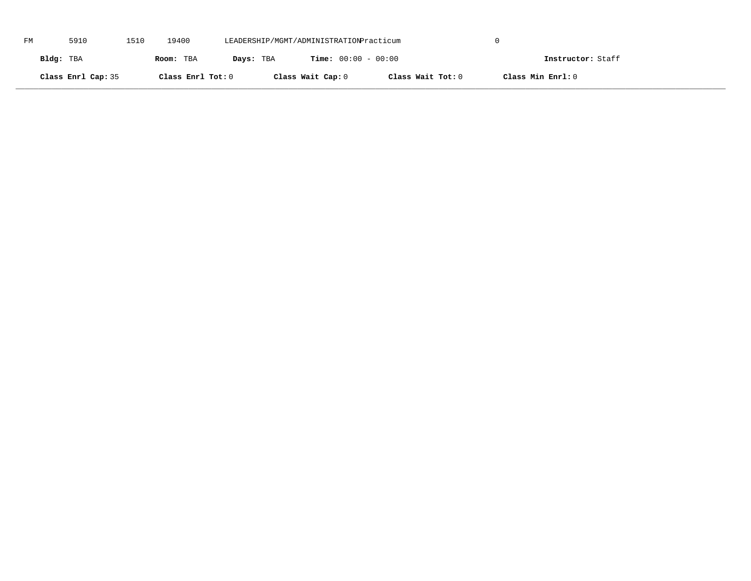| FM | 5910               | 1510 | 19400             | LEADERSHIP/MGMT/ADMINISTRATIONPracticum |                              |                   |                   |  |
|----|--------------------|------|-------------------|-----------------------------------------|------------------------------|-------------------|-------------------|--|
|    | Bldg: TBA          |      | Room: TBA         | Days: TBA                               | <b>Time:</b> $00:00 - 00:00$ |                   | Instructor: Staff |  |
|    | Class Enrl Cap: 35 |      | Class Enrl Tot: 0 |                                         | Class Wait Cap: 0            | Class Wait Tot: 0 | Class Min Enrl: 0 |  |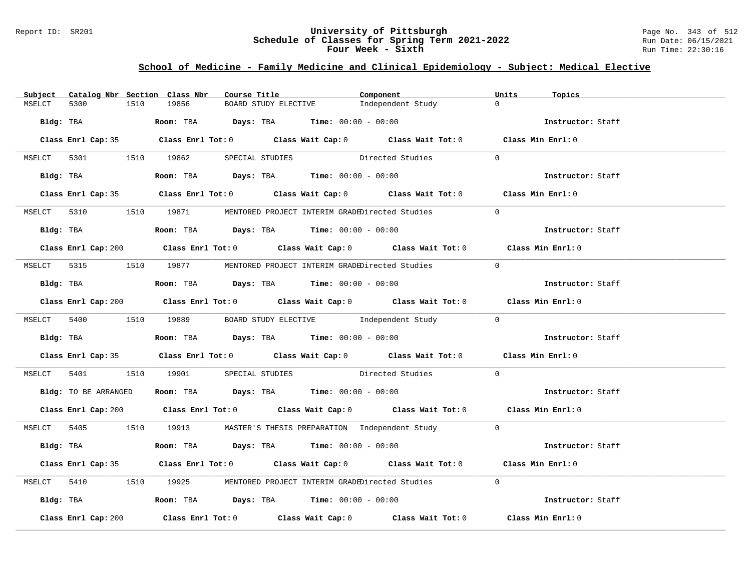### Report ID: SR201 **University of Pittsburgh** Page No. 343 of 512 **Schedule of Classes for Spring Term 2021-2022** Run Date: 06/15/2021 **Four Week - Sixth** Run Time: 22:30:16

# **School of Medicine - Family Medicine and Clinical Epidemiology - Subject: Medical Elective**

| Subject |                     |      | Catalog Nbr Section Class Nbr | Course Title |                                                                                               | Component                                                                                   | Units          | Topics            |
|---------|---------------------|------|-------------------------------|--------------|-----------------------------------------------------------------------------------------------|---------------------------------------------------------------------------------------------|----------------|-------------------|
| MSELCT  | 5300                | 1510 | 19856                         |              | BOARD STUDY ELECTIVE                                                                          | Independent Study                                                                           | $\Omega$       |                   |
|         |                     |      |                               |              | Bldg: TBA                    Room: TBA         Days: TBA        Time: $00:00 - 00:00$         |                                                                                             |                | Instructor: Staff |
|         |                     |      |                               |              |                                                                                               | Class Enrl Cap: 35 Class Enrl Tot: 0 Class Wait Cap: 0 Class Wait Tot: 0 Class Min Enrl: 0  |                |                   |
|         |                     |      |                               |              |                                                                                               | MSELCT 5301 1510 19862 SPECIAL STUDIES Directed Studies                                     | $\Omega$       |                   |
|         |                     |      |                               |              | Bldg: TBA                   Room: TBA        Days: TBA         Time: 00:00 - 00:00            |                                                                                             |                | Instructor: Staff |
|         |                     |      |                               |              |                                                                                               | Class Enrl Cap: 35 Class Enrl Tot: 0 Class Wait Cap: 0 Class Wait Tot: 0 Class Min Enrl: 0  |                |                   |
|         |                     |      |                               |              |                                                                                               | MSELCT 5310 1510 19871 MENTORED PROJECT INTERIM GRADEDirected Studies                       | $\Omega$       |                   |
|         |                     |      |                               |              | Bldg: TBA                   Room: TBA         Days: TBA        Time: $00:00 - 00:00$          |                                                                                             |                | Instructor: Staff |
|         |                     |      |                               |              |                                                                                               | Class Enrl Cap: 200 Class Enrl Tot: 0 Class Wait Cap: 0 Class Wait Tot: 0 Class Min Enrl: 0 |                |                   |
|         |                     |      |                               |              |                                                                                               | MSELCT 5315 1510 19877 MENTORED PROJECT INTERIM GRADEDirected Studies                       | $\overline{0}$ |                   |
|         |                     |      |                               |              | Bldg: TBA                    Room: TBA          Days: TBA         Time: $00:00 - 00:00$       |                                                                                             |                | Instructor: Staff |
|         |                     |      |                               |              |                                                                                               | Class Enrl Cap: 200 Class Enrl Tot: 0 Class Wait Cap: 0 Class Wait Tot: 0 Class Min Enrl: 0 |                |                   |
|         |                     |      |                               |              |                                                                                               | MSELCT 5400 1510 19889 BOARD STUDY ELECTIVE Independent Study 0                             |                |                   |
|         |                     |      |                               |              | Bldg: TBA                    Room: TBA         Days: TBA         Time: 00:00 - 00:00          |                                                                                             |                | Instructor: Staff |
|         |                     |      |                               |              |                                                                                               | Class Enrl Cap: 35 Class Enrl Tot: 0 Class Wait Cap: 0 Class Wait Tot: 0 Class Min Enrl: 0  |                |                   |
|         |                     |      |                               |              |                                                                                               | MSELCT 5401 1510 19901 SPECIAL STUDIES Directed Studies                                     | $\Omega$       |                   |
|         |                     |      |                               |              | Bldg: TO BE ARRANGED ROOM: TBA Days: TBA Time: 00:00 - 00:00                                  |                                                                                             |                | Instructor: Staff |
|         |                     |      |                               |              |                                                                                               | Class Enrl Cap: 200 Class Enrl Tot: 0 Class Wait Cap: 0 Class Wait Tot: 0 Class Min Enrl: 0 |                |                   |
|         |                     |      |                               |              |                                                                                               | MSELCT 5405 1510 19913 MASTER'S THESIS PREPARATION Independent Study 0                      |                |                   |
|         |                     |      |                               |              | Bldg: TBA                        Room: TBA           Days: TBA          Time: $00:00 - 00:00$ |                                                                                             |                | Instructor: Staff |
|         |                     |      |                               |              |                                                                                               | Class Enrl Cap: 35 Class Enrl Tot: 0 Class Wait Cap: 0 Class Wait Tot: 0 Class Min Enrl: 0  |                |                   |
|         |                     |      |                               |              |                                                                                               | MSELCT 5410 1510 19925 MENTORED PROJECT INTERIM GRADEDirected Studies                       | $\Omega$       |                   |
|         |                     |      |                               |              | Bldg: TBA                   Room: TBA        Days: TBA        Time: 00:00 - 00:00             |                                                                                             |                | Instructor: Staff |
|         | Class Enrl Cap: 200 |      |                               |              |                                                                                               | Class Enrl Tot: $0$ Class Wait Cap: $0$ Class Wait Tot: $0$                                 |                | Class Min Enrl: 0 |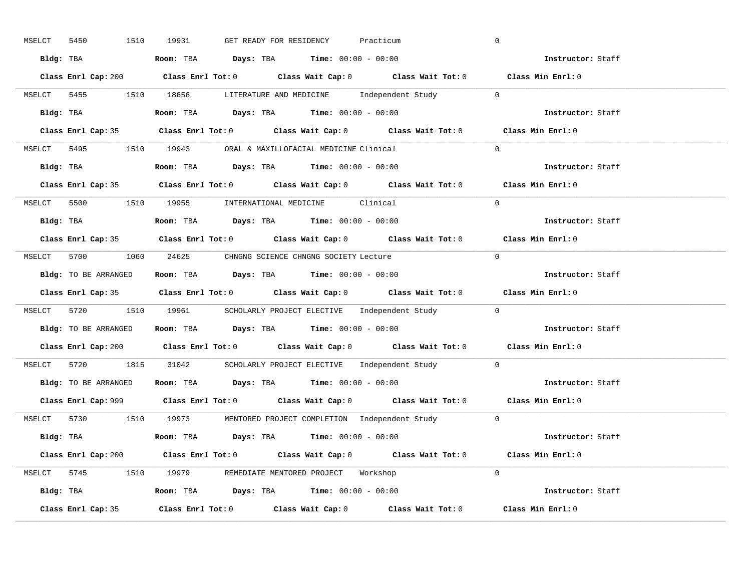| 1510<br>MSELCT<br>5450 | GET READY FOR RESIDENCY<br>19931<br>Practicum                                               | $\overline{0}$    |
|------------------------|---------------------------------------------------------------------------------------------|-------------------|
|                        | Bldg: TBA                   Room: TBA         Days: TBA         Time: 00:00 - 00:00         | Instructor: Staff |
|                        | Class Enrl Cap: 200 Class Enrl Tot: 0 Class Wait Cap: 0 Class Wait Tot: 0 Class Min Enrl: 0 |                   |
|                        | MSELCT 5455 1510 18656 LITERATURE AND MEDICINE Independent Study 0                          |                   |
|                        | Bldg: TBA                   Room: TBA         Days: TBA         Time: 00:00 - 00:00         | Instructor: Staff |
|                        | Class Enrl Cap: 35 Class Enrl Tot: 0 Class Wait Cap: 0 Class Wait Tot: 0 Class Min Enrl: 0  |                   |
|                        | MSELCT 5495 1510 19943 ORAL & MAXILLOFACIAL MEDICINE Clinical                               | $\Omega$          |
|                        | Bldg: TBA                    Room: TBA         Days: TBA        Time: $00:00 - 00:00$       | Instructor: Staff |
|                        | Class Enrl Cap: 35 Class Enrl Tot: 0 Class Wait Cap: 0 Class Wait Tot: 0 Class Min Enrl: 0  |                   |
|                        | MSELCT 5500 1510 19955 INTERNATIONAL MEDICINE Clinical                                      | $\Omega$          |
|                        | Bldg: TBA                    Room: TBA         Days: TBA         Time: $00:00 - 00:00$      | Instructor: Staff |
|                        | Class Enrl Cap: 35 Class Enrl Tot: 0 Class Wait Cap: 0 Class Wait Tot: 0 Class Min Enrl: 0  |                   |
|                        | MSELCT 5700 1060 24625 CHNGNG SCIENCE CHNGNG SOCIETY Lecture                                | $\bigcirc$        |
|                        | Bldg: TO BE ARRANGED Room: TBA Days: TBA Time: 00:00 - 00:00                                | Instructor: Staff |
|                        |                                                                                             |                   |
|                        | Class Enrl Cap: 35 Class Enrl Tot: 0 Class Wait Cap: 0 Class Wait Tot: 0 Class Min Enrl: 0  |                   |
|                        | MSELCT 5720 1510 19961 SCHOLARLY PROJECT ELECTIVE Independent Study 0                       |                   |
|                        | Bldg: TO BE ARRANGED ROOM: TBA Days: TBA Time: 00:00 - 00:00                                | Instructor: Staff |
|                        | Class Enrl Cap: 200 Class Enrl Tot: 0 Class Wait Cap: 0 Class Wait Tot: 0 Class Min Enrl: 0 |                   |
|                        | MSELCT 5720 1815 31042 SCHOLARLY PROJECT ELECTIVE Independent Study 0                       |                   |
|                        | Bldg: TO BE ARRANGED Room: TBA Days: TBA Time: 00:00 - 00:00                                | Instructor: Staff |
|                        | Class Enrl Cap: 999 Class Enrl Tot: 0 Class Wait Cap: 0 Class Wait Tot: 0 Class Min Enrl: 0 |                   |
|                        | MSELCT 5730 1510 19973 MENTORED PROJECT COMPLETION Independent Study 0                      |                   |
|                        | Bldg: TBA                    Room: TBA         Days: TBA         Time: 00:00 - 00:00        | Instructor: Staff |
|                        | Class Enrl Cap: 200 Class Enrl Tot: 0 Class Wait Cap: 0 Class Wait Tot: 0                   | Class Min Enrl: 0 |
|                        | MSELCT 5745 1510 19979 REMEDIATE MENTORED PROJECT Workshop                                  | $\Omega$          |
|                        | Bldg: TBA                   Room: TBA         Days: TBA        Time: 00:00 - 00:00          | Instructor: Staff |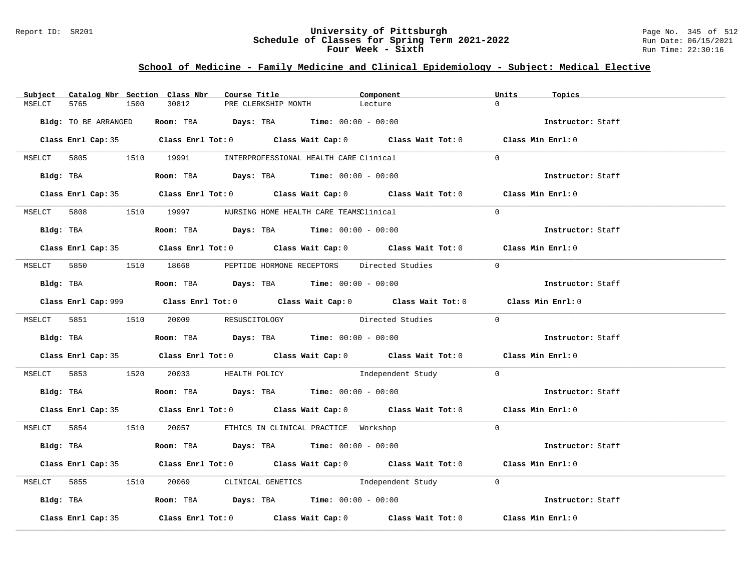### Report ID: SR201 **University of Pittsburgh** Page No. 345 of 512 **Schedule of Classes for Spring Term 2021-2022** Run Date: 06/15/2021 **Four Week - Sixth** Run Time: 22:30:16

# **School of Medicine - Family Medicine and Clinical Epidemiology - Subject: Medical Elective**

|        |                      |      | Subject Catalog Nbr Section Class Nbr                                                       | Course Title |                     | Component                                                                                          | Units          | Topics            |
|--------|----------------------|------|---------------------------------------------------------------------------------------------|--------------|---------------------|----------------------------------------------------------------------------------------------------|----------------|-------------------|
| MSELCT | 5765                 | 1500 | 30812                                                                                       |              | PRE CLERKSHIP MONTH | Lecture                                                                                            | $\cap$         |                   |
|        | Bldg: TO BE ARRANGED |      | Room: TBA $Days:$ TBA $Time: 00:00 - 00:00$                                                 |              |                     |                                                                                                    |                | Instructor: Staff |
|        |                      |      |                                                                                             |              |                     | Class Enrl Cap: 35 Class Enrl Tot: 0 Class Wait Cap: 0 Class Wait Tot: 0 Class Min Enrl: 0         |                |                   |
|        |                      |      | MSELCT 5805 1510 19991 INTERPROFESSIONAL HEALTH CARE Clinical                               |              |                     |                                                                                                    | $\Omega$       |                   |
|        | Bldg: TBA            |      | <b>Room:</b> TBA $Days: TBA$ <b>Time:</b> $00:00 - 00:00$                                   |              |                     |                                                                                                    |                | Instructor: Staff |
|        |                      |      |                                                                                             |              |                     | Class Enrl Cap: 35 Class Enrl Tot: 0 Class Wait Cap: 0 Class Wait Tot: 0 Class Min Enrl: 0         |                |                   |
|        |                      |      | MSELCT 5808 1510 19997 NURSING HOME HEALTH CARE TEAMSClinical                               |              |                     |                                                                                                    | $\Omega$       |                   |
|        |                      |      | Bldg: TBA                    Room: TBA         Days: TBA         Time: 00:00 - 00:00        |              |                     |                                                                                                    |                | Instructor: Staff |
|        |                      |      |                                                                                             |              |                     | Class Enrl Cap: 35 Class Enrl Tot: 0 Class Wait Cap: 0 Class Wait Tot: 0 Class Min Enrl: 0         |                |                   |
|        |                      |      |                                                                                             |              |                     | MSELCT 5850 1510 18668 PEPTIDE HORMONE RECEPTORS Directed Studies                                  | $\overline{0}$ |                   |
|        |                      |      | Bldg: TBA                         Room: TBA          Days: TBA          Time: 00:00 - 00:00 |              |                     |                                                                                                    |                | Instructor: Staff |
|        |                      |      |                                                                                             |              |                     | Class Enrl Cap: 999 Class Enrl Tot: 0 Class Wait Cap: 0 Class Wait Tot: 0 Class Min Enrl: 0        |                |                   |
|        |                      |      | MSELCT 5851 1510 20009 RESUSCITOLOGY                                                        |              |                     | Directed Studies 0                                                                                 |                |                   |
|        |                      |      | Bldg: TBA                    Room: TBA         Days: TBA         Time: 00:00 - 00:00        |              |                     |                                                                                                    |                | Instructor: Staff |
|        |                      |      |                                                                                             |              |                     | Class Enrl Cap: 35 Class Enrl Tot: 0 Class Wait Cap: 0 Class Wait Tot: 0 Class Min Enrl: 0         |                |                   |
|        |                      |      |                                                                                             |              |                     | MSELCT 5853 1520 20033 HEALTH POLICY 1ndependent Study 0                                           |                |                   |
|        |                      |      | Bldg: TBA                         Room: TBA          Days: TBA          Time: 00:00 - 00:00 |              |                     |                                                                                                    |                | Instructor: Staff |
|        |                      |      |                                                                                             |              |                     | Class Enrl Cap: 35 Class Enrl Tot: 0 Class Wait Cap: 0 Class Wait Tot: 0 Class Min Enrl: 0         |                |                   |
|        |                      |      | MSELCT 5854 1510 20057 ETHICS IN CLINICAL PRACTICE Workshop                                 |              |                     |                                                                                                    | $\Omega$       |                   |
|        |                      |      | Bldg: TBA                    Room: TBA         Days: TBA         Time: 00:00 - 00:00        |              |                     |                                                                                                    |                | Instructor: Staff |
|        |                      |      |                                                                                             |              |                     | Class Enrl Cap: 35 Class Enrl Tot: 0 Class Wait Cap: 0 Class Wait Tot: 0 Class Min Enrl: 0         |                |                   |
|        |                      |      |                                                                                             |              |                     | MSELCT 5855 1510 20069 CLINICAL GENETICS Independent Study 0                                       |                |                   |
|        |                      |      | Bldg: TBA                    Room: TBA         Days: TBA         Time: 00:00 - 00:00        |              |                     |                                                                                                    |                | Instructor: Staff |
|        | Class Enrl Cap: 35   |      |                                                                                             |              |                     | Class Enrl Tot: 0 $\qquad$ Class Wait Cap: 0 $\qquad$ Class Wait Tot: 0 $\qquad$ Class Min Enrl: 0 |                |                   |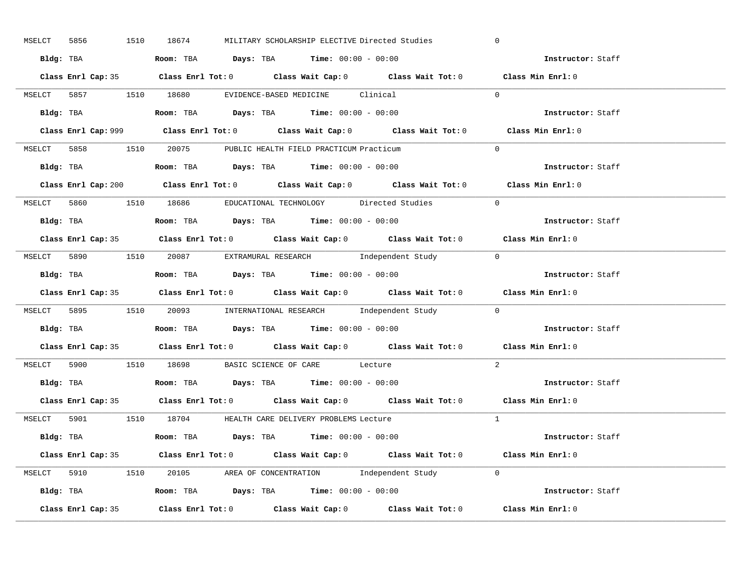| MSELCT 5856        | 1510 18674<br>MILITARY SCHOLARSHIP ELECTIVE Directed Studies                                | $\overline{0}$    |
|--------------------|---------------------------------------------------------------------------------------------|-------------------|
|                    | Bldg: TBA                   Room: TBA         Days: TBA        Time: $00:00 - 00:00$        | Instructor: Staff |
|                    | Class Enrl Cap: 35 Class Enrl Tot: 0 Class Wait Cap: 0 Class Wait Tot: 0 Class Min Enrl: 0  |                   |
|                    | MSELCT 5857 1510 18680 EVIDENCE-BASED MEDICINE Clinical                                     | $\Omega$          |
|                    |                                                                                             | Instructor: Staff |
|                    | Class Enrl Cap: 999 Class Enrl Tot: 0 Class Wait Cap: 0 Class Wait Tot: 0                   | Class Min Enrl: 0 |
|                    | MSELCT 5858 1510 20075 PUBLIC HEALTH FIELD PRACTICUM Practicum                              | $\Omega$          |
|                    | Bldg: TBA                    Room: TBA        Days: TBA        Time: 00:00 - 00:00          | Instructor: Staff |
|                    | Class Enrl Cap: 200 Class Enrl Tot: 0 Class Wait Cap: 0 Class Wait Tot: 0 Class Min Enrl: 0 |                   |
|                    | MSELCT 5860 1510 18686 EDUCATIONAL TECHNOLOGY Directed Studies                              | $\Omega$          |
|                    | Bldg: TBA                    Room: TBA         Days: TBA         Time: 00:00 - 00:00        | Instructor: Staff |
|                    | Class Enrl Cap: 35 Class Enrl Tot: 0 Class Wait Cap: 0 Class Wait Tot: 0 Class Min Enrl: 0  |                   |
|                    | MSELCT 5890 1510 20087 EXTRAMURAL RESEARCH Independent Study 0                              |                   |
|                    | Bldg: TBA                    Room: TBA         Days: TBA         Time: 00:00 - 00:00        | Instructor: Staff |
|                    | Class Enrl Cap: 35 Class Enrl Tot: 0 Class Wait Cap: 0 Class Wait Tot: 0 Class Min Enrl: 0  |                   |
|                    | MSELCT 5895 1510 20093 INTERNATIONAL RESEARCH Independent Study 0                           |                   |
| Bldg: TBA          | <b>Room:</b> TBA $Days:$ TBA $Time: 00:00 - 00:00$                                          | Instructor: Staff |
|                    | Class Enrl Cap: 35 Class Enrl Tot: 0 Class Wait Cap: 0 Class Wait Tot: 0 Class Min Enrl: 0  |                   |
|                    | MSELCT 5900 1510 18698 BASIC SCIENCE OF CARE Lecture                                        | 2                 |
|                    | Bldg: TBA                   Room: TBA         Days: TBA         Time: $00:00 - 00:00$       | Instructor: Staff |
|                    | Class Enrl Cap: 35 Class Enrl Tot: 0 Class Wait Cap: 0 Class Wait Tot: 0 Class Min Enrl: 0  |                   |
|                    | MSELCT 5901 1510 18704 HEALTH CARE DELIVERY PROBLEMS Lecture                                | $\overline{1}$    |
|                    | Bldg: TBA                       Room: TBA          Days: TBA          Time: $00:00 - 00:00$ | Instructor: Staff |
|                    | Class Enrl Cap: 35 Class Enrl Tot: 0 Class Wait Cap: 0 Class Wait Tot: 0 Class Min Enrl: 0  |                   |
|                    | MSELCT 5910 1510 20105 AREA OF CONCENTRATION Independent Study 0                            |                   |
|                    | Bldg: TBA <b>Room:</b> TBA <b>Days:</b> TBA <b>Time:</b> $00:00 - 00:00$                    | Instructor: Staff |
| Class Enrl Cap: 35 | Class Enrl Tot: $0$ Class Wait Cap: $0$ Class Wait Tot: $0$ Class Min Enrl: $0$             |                   |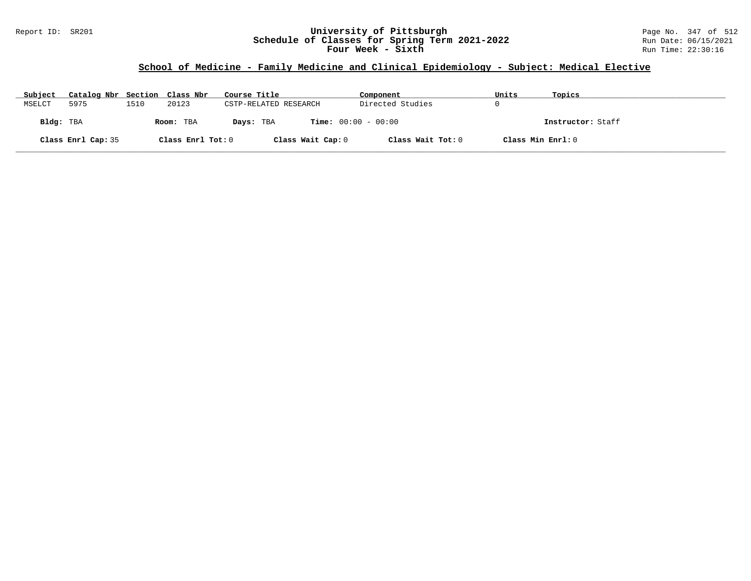### Report ID: SR201 **University of Pittsburgh** Page No. 347 of 512 **Schedule of Classes for Spring Term 2021-2022** Run Date: 06/15/2021 **Four Week - Sixth** Run Time: 22:30:16

# **School of Medicine - Family Medicine and Clinical Epidemiology - Subject: Medical Elective**

| Subject   | Catalog Nbr Section Class Nbr |      |                   | Course Title          | Component                    | Units             | Topics            |
|-----------|-------------------------------|------|-------------------|-----------------------|------------------------------|-------------------|-------------------|
| MSELCT    | 5975                          | 1510 | 20123             | CSTP-RELATED RESEARCH | Directed Studies             |                   |                   |
| Bldg: TBA |                               |      | Room: TBA         | Days: TBA             | <b>Time:</b> $00:00 - 00:00$ |                   | Instructor: Staff |
|           | Class Enrl Cap: 35            |      | Class Enrl Tot: 0 | Class Wait Cap: 0     | Class Wait Tot: 0            | Class Min Enrl: 0 |                   |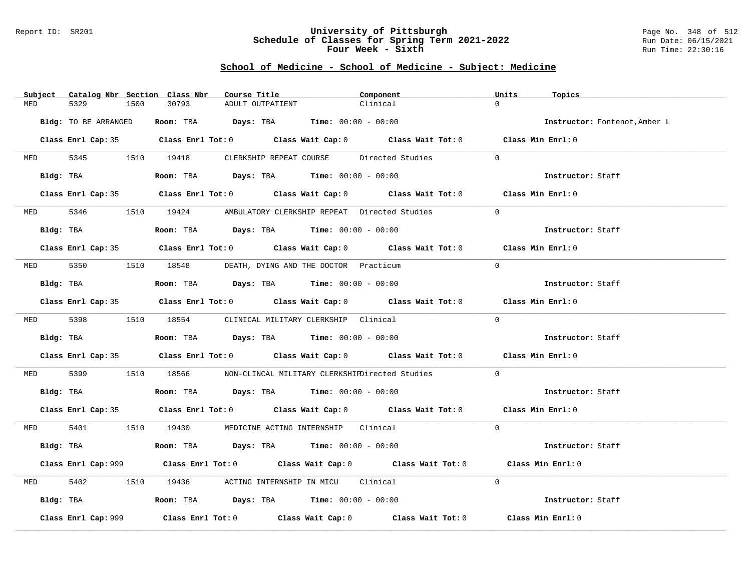#### Report ID: SR201 **University of Pittsburgh** Page No. 348 of 512 **Schedule of Classes for Spring Term 2021-2022** Run Date: 06/15/2021 **Four Week - Sixth** Run Time: 22:30:16

| Subject    | Catalog Nbr Section Class Nbr | Course Title                                                                                | Component | Units<br>Topics               |
|------------|-------------------------------|---------------------------------------------------------------------------------------------|-----------|-------------------------------|
| MED        | 5329<br>1500                  | 30793<br>ADULT OUTPATIENT                                                                   | Clinical  | $\Omega$                      |
|            | Bldg: TO BE ARRANGED          | Room: TBA $Days: TBA$ Time: $00:00 - 00:00$                                                 |           | Instructor: Fontenot, Amber L |
|            |                               | Class Enrl Cap: 35 Class Enrl Tot: 0 Class Wait Cap: 0 Class Wait Tot: 0 Class Min Enrl: 0  |           |                               |
|            |                               | MED 5345 1510 19418 CLERKSHIP REPEAT COURSE Directed Studies                                |           | $\Omega$                      |
|            | Bldg: TBA                     | Room: TBA $Days:$ TBA $Time:$ 00:00 - 00:00                                                 |           | Instructor: Staff             |
|            |                               | Class Enrl Cap: 35 Class Enrl Tot: 0 Class Wait Cap: 0 Class Wait Tot: 0 Class Min Enrl: 0  |           |                               |
|            |                               | MED 5346 1510 19424 AMBULATORY CLERKSHIP REPEAT Directed Studies                            |           | $\Omega$                      |
|            | Bldg: TBA                     | Room: TBA $Days:$ TBA $Time: 00:00 - 00:00$                                                 |           | Instructor: Staff             |
|            |                               | Class Enrl Cap: 35 Class Enrl Tot: 0 Class Wait Cap: 0 Class Wait Tot: 0 Class Min Enrl: 0  |           |                               |
| <b>MED</b> |                               | 5350 1510 18548 DEATH, DYING AND THE DOCTOR Practicum                                       |           | $\Omega$                      |
|            | Bldg: TBA                     | Room: TBA $\rule{1em}{0.15mm}$ Days: TBA Time: $00:00 - 00:00$                              |           | Instructor: Staff             |
|            |                               | Class Enrl Cap: 35 Class Enrl Tot: 0 Class Wait Cap: 0 Class Wait Tot: 0 Class Min Enrl: 0  |           |                               |
|            |                               | MED 5398 1510 18554 CLINICAL MILITARY CLERKSHIP Clinical                                    |           | $\Omega$                      |
|            | Bldg: TBA                     | Room: TBA $Days: TBA$ Time: $00:00 - 00:00$                                                 |           | Instructor: Staff             |
|            |                               | Class Enrl Cap: 35 Class Enrl Tot: 0 Class Wait Cap: 0 Class Wait Tot: 0 Class Min Enrl: 0  |           |                               |
| MED 5399   |                               | 1510 18566 NON-CLINCAL MILITARY CLERKSHIPDirected Studies                                   |           | $\overline{0}$                |
|            | Bldg: TBA                     | Room: TBA $Days:$ TBA $Time: 00:00 - 00:00$                                                 |           | Instructor: Staff             |
|            |                               | Class Enrl Cap: 35 Class Enrl Tot: 0 Class Wait Cap: 0 Class Wait Tot: 0 Class Min Enrl: 0  |           |                               |
|            |                               | MED 5401 1510 19430 MEDICINE ACTING INTERNSHIP Clinical                                     |           | $\Omega$                      |
|            |                               | Bldg: TBA                   Room: TBA         Days: TBA         Time: $00:00 - 00:00$       |           | Instructor: Staff             |
|            |                               | Class Enrl Cap: 999 Class Enrl Tot: 0 Class Wait Cap: 0 Class Wait Tot: 0 Class Min Enrl: 0 |           |                               |
| MED        | 5402                          | 1510 19436 ACTING INTERNSHIP IN MICU Clinical                                               |           | $\Omega$                      |
|            |                               | Bldg: TBA                   Room: TBA         Days: TBA         Time: 00:00 - 00:00         |           | Instructor: Staff             |
|            | Class Enrl Cap: 999           | Class Enrl Tot: $0$ Class Wait Cap: $0$ Class Wait Tot: $0$                                 |           | Class Min Enrl: 0             |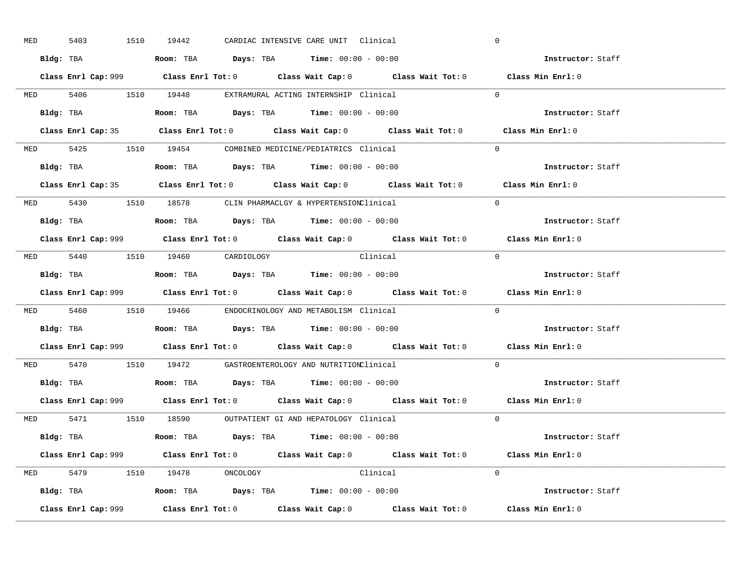| <b>MED</b> | 5403 |           | 1510 19442                     |  | CARDIAC INTENSIVE CARE UNIT Clinical                                                   |                                                                                             | $\overline{0}$ |                          |  |
|------------|------|-----------|--------------------------------|--|----------------------------------------------------------------------------------------|---------------------------------------------------------------------------------------------|----------------|--------------------------|--|
|            |      |           |                                |  | Bldg: TBA                   Room: TBA        Days: TBA        Time: $00:00 - 00:00$    |                                                                                             |                | Instructor: Staff        |  |
|            |      |           |                                |  |                                                                                        | Class Enrl Cap: 999 Class Enrl Tot: 0 Class Wait Cap: 0 Class Wait Tot: 0 Class Min Enrl: 0 |                |                          |  |
|            |      |           |                                |  | MED 5406 1510 19448 EXTRAMURAL ACTING INTERNSHIP Clinical                              |                                                                                             | $\Omega$       |                          |  |
|            |      | Bldg: TBA |                                |  | Room: TBA $Days:$ TBA Time: $00:00 - 00:00$                                            |                                                                                             |                | Instructor: Staff        |  |
|            |      |           |                                |  |                                                                                        | Class Enrl Cap: 35 Class Enrl Tot: 0 Class Wait Cap: 0 Class Wait Tot: 0 Class Min Enrl: 0  |                |                          |  |
|            |      |           |                                |  | MED 5425 1510 19454 COMBINED MEDICINE/PEDIATRICS Clinical                              |                                                                                             | $\Omega$       |                          |  |
|            |      |           |                                |  | Bldg: TBA                    Room: TBA         Days: TBA        Time: $00:00 - 00:00$  |                                                                                             |                | Instructor: Staff        |  |
|            |      |           |                                |  |                                                                                        | Class Enrl Cap: 35 Class Enrl Tot: 0 Class Wait Cap: 0 Class Wait Tot: 0 Class Min Enrl: 0  |                |                          |  |
|            |      |           |                                |  | MED 5430 1510 18578 CLIN PHARMACLGY & HYPERTENSIONClinical                             |                                                                                             | $\Omega$       |                          |  |
|            |      |           |                                |  | Bldg: TBA                    Room: TBA         Days: TBA         Time: $00:00 - 00:00$ |                                                                                             |                | Instructor: Staff        |  |
|            |      |           |                                |  |                                                                                        | Class Enrl Cap: 999 Class Enrl Tot: 0 Class Wait Cap: 0 Class Wait Tot: 0 Class Min Enrl: 0 |                |                          |  |
|            |      |           | MED 5440 1510 19460 CARDIOLOGY |  | Clinical                                                                               |                                                                                             | $\bigcirc$     |                          |  |
|            |      |           |                                |  | <b>Bldg:</b> TBA <b>ROOM:</b> TBA <b>Days:</b> TBA <b>Time:</b> $00:00 - 00:00$        |                                                                                             |                | Instructor: Staff        |  |
|            |      |           |                                |  |                                                                                        | Class Enrl Cap: 999 Class Enrl Tot: 0 Class Wait Cap: 0 Class Wait Tot: 0 Class Min Enrl: 0 |                |                          |  |
|            |      |           |                                |  | MED 5460 1510 19466 ENDOCRINOLOGY AND METABOLISM Clinical                              |                                                                                             | $\Omega$       |                          |  |
| Bldg: TBA  |      |           |                                |  | Room: TBA $Days:$ TBA Time: $00:00 - 00:00$                                            |                                                                                             |                | <b>Instructor:</b> Staff |  |
|            |      |           |                                |  |                                                                                        | Class Enrl Cap: 999 Class Enrl Tot: 0 Class Wait Cap: 0 Class Wait Tot: 0 Class Min Enrl: 0 |                |                          |  |
|            |      |           |                                |  | MED 5470 1510 19472 GASTROENTEROLOGY AND NUTRITIONClinical                             |                                                                                             | $\Omega$       |                          |  |
|            |      |           |                                |  | Bldg: TBA                    Room: TBA         Days: TBA         Time: $00:00 - 00:00$ |                                                                                             |                | Instructor: Staff        |  |
|            |      |           |                                |  |                                                                                        | Class Enrl Cap: 999 Class Enrl Tot: 0 Class Wait Cap: 0 Class Wait Tot: 0 Class Min Enrl: 0 |                |                          |  |
|            |      |           |                                |  | MED 5471 1510 18590 OUTPATIENT GI AND HEPATOLOGY Clinical                              |                                                                                             | $\Omega$       |                          |  |
|            |      |           |                                |  | Bldg: TBA                   Room: TBA        Days: TBA        Time: 00:00 - 00:00      |                                                                                             |                | Instructor: Staff        |  |
|            |      |           |                                |  |                                                                                        |                                                                                             |                |                          |  |
|            |      |           |                                |  |                                                                                        | Class Enrl Cap: 999 Class Enrl Tot: 0 Class Wait Cap: 0 Class Wait Tot: 0 Class Min Enrl: 0 |                |                          |  |
|            |      |           | MED 5479 1510 19478 ONCOLOGY   |  | Clinical                                                                               |                                                                                             | $\Omega$       |                          |  |
|            |      |           |                                |  | <b>Bldg:</b> TBA <b>ROOM:</b> TBA <b>Days:</b> TBA <b>Time:</b> $00:00 - 00:00$        |                                                                                             |                | Instructor: Staff        |  |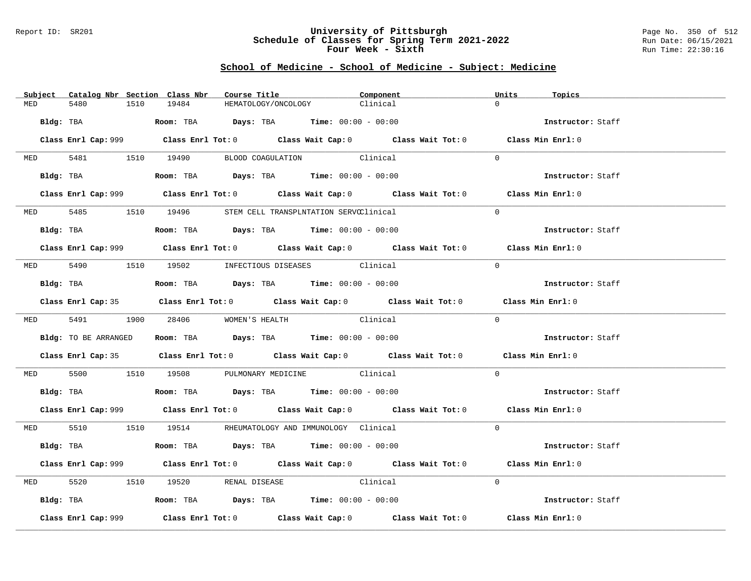### Report ID: SR201 **University of Pittsburgh** Page No. 350 of 512 **Schedule of Classes for Spring Term 2021-2022** Run Date: 06/15/2021 **Four Week - Sixth** Run Time: 22:30:16

|          | Subject Catalog Nbr Section Class Nbr | Course Title                                                                               | Component                                                                                   | Units<br>Topics   |  |
|----------|---------------------------------------|--------------------------------------------------------------------------------------------|---------------------------------------------------------------------------------------------|-------------------|--|
| MED      | 5480<br>1510                          | 19484                                                                                      | HEMATOLOGY/ONCOLOGY<br>Clinical                                                             | $\cap$            |  |
|          |                                       | Bldg: TBA                    Room: TBA         Days: TBA         Time: 00:00 - 00:00       |                                                                                             | Instructor: Staff |  |
|          |                                       |                                                                                            | Class Enrl Cap: 999 Class Enrl Tot: 0 Class Wait Cap: 0 Class Wait Tot: 0 Class Min Enrl: 0 |                   |  |
|          |                                       |                                                                                            | MED 5481 1510 19490 BLOOD COAGULATION Clinical                                              | $\Omega$          |  |
|          |                                       | Bldg: TBA                   Room: TBA         Days: TBA         Time: 00:00 - 00:00        |                                                                                             | Instructor: Staff |  |
|          |                                       |                                                                                            | Class Enrl Cap: 999 Class Enrl Tot: 0 Class Wait Cap: 0 Class Wait Tot: 0 Class Min Enrl: 0 |                   |  |
|          |                                       |                                                                                            | MED 5485 1510 19496 STEM CELL TRANSPLNTATION SERVCClinical                                  | $\Omega$          |  |
|          |                                       | Bldg: TBA                   Room: TBA         Days: TBA         Time: 00:00 - 00:00        |                                                                                             | Instructor: Staff |  |
|          |                                       |                                                                                            | Class Enrl Cap: 999 Class Enrl Tot: 0 Class Wait Cap: 0 Class Wait Tot: 0 Class Min Enrl: 0 |                   |  |
|          |                                       | MED 5490 1510 19502 INFECTIOUS DISEASES Clinical                                           |                                                                                             | $\Omega$          |  |
|          |                                       | <b>Bldg:</b> TBA <b>ROOM:</b> TBA <b>Days:</b> TBA <b>Time:</b> $00:00 - 00:00$            |                                                                                             | Instructor: Staff |  |
|          |                                       |                                                                                            | Class Enrl Cap: 35 Class Enrl Tot: 0 Class Wait Cap: 0 Class Wait Tot: 0 Class Min Enrl: 0  |                   |  |
|          |                                       | MED 5491 1900 28406 WOMEN'S HEALTH                                                         | Clinical                                                                                    | $\Omega$          |  |
|          | Bldg: TO BE ARRANGED                  | Room: TBA $Days:$ TBA Time: $00:00 - 00:00$                                                |                                                                                             | Instructor: Staff |  |
|          |                                       |                                                                                            | Class Enrl Cap: 35 Class Enrl Tot: 0 Class Wait Cap: 0 Class Wait Tot: 0 Class Min Enrl: 0  |                   |  |
|          |                                       |                                                                                            | MED 5500 1510 19508 PULMONARY MEDICINE Clinical                                             | $\Omega$          |  |
|          |                                       | Bldg: TBA                    Room: TBA         Days: TBA         Time: $00:00 - 00:00$     |                                                                                             | Instructor: Staff |  |
|          |                                       |                                                                                            | Class Enrl Cap: 999 Class Enrl Tot: 0 Class Wait Cap: 0 Class Wait Tot: 0 Class Min Enrl: 0 |                   |  |
|          |                                       | MED 5510 1510 19514 RHEUMATOLOGY AND IMMUNOLOGY Clinical                                   |                                                                                             | $\Omega$          |  |
|          |                                       | Bldg: TBA                   Room: TBA         Days: TBA         Time: $00:00 - 00:00$      |                                                                                             | Instructor: Staff |  |
|          |                                       |                                                                                            | Class Enrl Cap: 999 Class Enrl Tot: 0 Class Wait Cap: 0 Class Wait Tot: 0 Class Min Enrl: 0 |                   |  |
| MED 5520 |                                       | 1510 19520 RENAL DISEASE Clinical                                                          |                                                                                             | $\Omega$          |  |
|          |                                       | Bldg: TBA                       Room: TBA           Days: TBA          Time: 00:00 - 00:00 |                                                                                             | Instructor: Staff |  |
|          | Class Enrl Cap: 999                   |                                                                                            | Class Enrl Tot: $0$ Class Wait Cap: $0$ Class Wait Tot: $0$                                 | Class Min Enrl: 0 |  |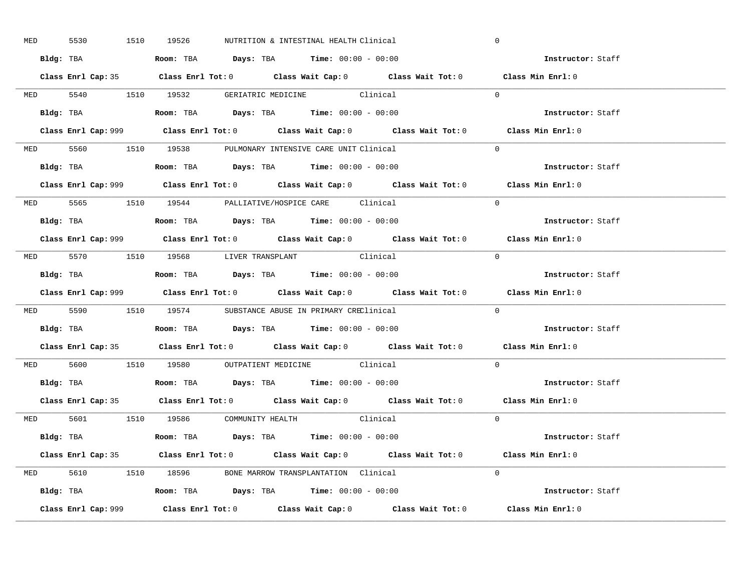| MED 5530 |  | 1510 19526 | NUTRITION & INTESTINAL HEALTH Clinical                                                      |                                                                                            | $\mathbf 0$                                                                                 |  |
|----------|--|------------|---------------------------------------------------------------------------------------------|--------------------------------------------------------------------------------------------|---------------------------------------------------------------------------------------------|--|
|          |  |            | Bldg: TBA                      Room: TBA         Days: TBA         Time: 00:00 - 00:00      |                                                                                            | Instructor: Staff                                                                           |  |
|          |  |            |                                                                                             | Class Enrl Cap: 35 Class Enrl Tot: 0 Class Wait Cap: 0 Class Wait Tot: 0 Class Min Enrl: 0 |                                                                                             |  |
|          |  |            | MED 5540 1510 19532 GERIATRIC MEDICINE Clinical                                             |                                                                                            | $\Omega$                                                                                    |  |
|          |  |            |                                                                                             |                                                                                            | Instructor: Staff                                                                           |  |
|          |  |            |                                                                                             |                                                                                            | Class Min Enrl: 0                                                                           |  |
|          |  |            | MED 5560 1510 19538 PULMONARY INTENSIVE CARE UNIT Clinical                                  |                                                                                            | $\Omega$                                                                                    |  |
|          |  |            | Bldg: TBA                   Room: TBA         Days: TBA         Time: 00:00 - 00:00         |                                                                                            | Instructor: Staff                                                                           |  |
|          |  |            |                                                                                             |                                                                                            | Class Enrl Cap: 999 Class Enrl Tot: 0 Class Wait Cap: 0 Class Wait Tot: 0 Class Min Enrl: 0 |  |
|          |  |            | MED 5565 1510 19544 PALLIATIVE/HOSPICE CARE Clinical                                        |                                                                                            | $\Omega$                                                                                    |  |
|          |  |            | Bldg: TBA                   Room: TBA         Days: TBA         Time: $00:00 - 00:00$       |                                                                                            | Instructor: Staff                                                                           |  |
|          |  |            |                                                                                             |                                                                                            | Class Enrl Cap: 999 Class Enrl Tot: 0 Class Wait Cap: 0 Class Wait Tot: 0 Class Min Enrl: 0 |  |
|          |  |            | MED 5570 1510 19568 LIVER TRANSPLANT Clinical                                               |                                                                                            | $\bigcap$                                                                                   |  |
|          |  |            | Bldg: TBA                   Room: TBA         Days: TBA         Time: $00:00 - 00:00$       |                                                                                            | Instructor: Staff                                                                           |  |
|          |  |            |                                                                                             |                                                                                            | Class Enrl Cap: 999 Class Enrl Tot: 0 Class Wait Cap: 0 Class Wait Tot: 0 Class Min Enrl: 0 |  |
|          |  |            | MED 5590 1510 19574 SUBSTANCE ABUSE IN PRIMARY CREClinical                                  |                                                                                            | $\Omega$                                                                                    |  |
|          |  |            | Bldg: TBA                   Room: TBA         Days: TBA         Time: 00:00 - 00:00         |                                                                                            | Instructor: Staff                                                                           |  |
|          |  |            |                                                                                             |                                                                                            | Class Enrl Cap: 35 Class Enrl Tot: 0 Class Wait Cap: 0 Class Wait Tot: 0 Class Min Enrl: 0  |  |
|          |  |            | MED 5600 1510 19580 OUTPATIENT MEDICINE Clinical                                            |                                                                                            | $\Omega$                                                                                    |  |
|          |  |            | Bldg: TBA                   Room: TBA         Days: TBA         Time: $00:00 - 00:00$       |                                                                                            | Instructor: Staff                                                                           |  |
|          |  |            |                                                                                             | Class Enrl Cap: 35 Class Enrl Tot: 0 Class Wait Cap: 0 Class Wait Tot: 0 Class Min Enrl: 0 |                                                                                             |  |
|          |  |            | MED 5601 1510 19586 COMMUNITY HEALTH Clinical                                               |                                                                                            | $\overline{0}$                                                                              |  |
|          |  |            | Bldg: TBA                        Room: TBA           Days: TBA          Time: 00:00 - 00:00 |                                                                                            | Instructor: Staff                                                                           |  |
|          |  |            |                                                                                             | Class Enrl Cap: 35 Class Enrl Tot: 0 Class Wait Cap: 0 Class Wait Tot: 0 Class Min Enrl: 0 |                                                                                             |  |
|          |  |            | MED 5610 1510 18596 BONE MARROW TRANSPLANTATION Clinical                                    |                                                                                            | $\Omega$                                                                                    |  |
|          |  |            | Bldg: TBA                   Room: TBA         Days: TBA        Time: 00:00 - 00:00          |                                                                                            | Instructor: Staff                                                                           |  |
|          |  |            |                                                                                             |                                                                                            | Class Min Enrl: 0                                                                           |  |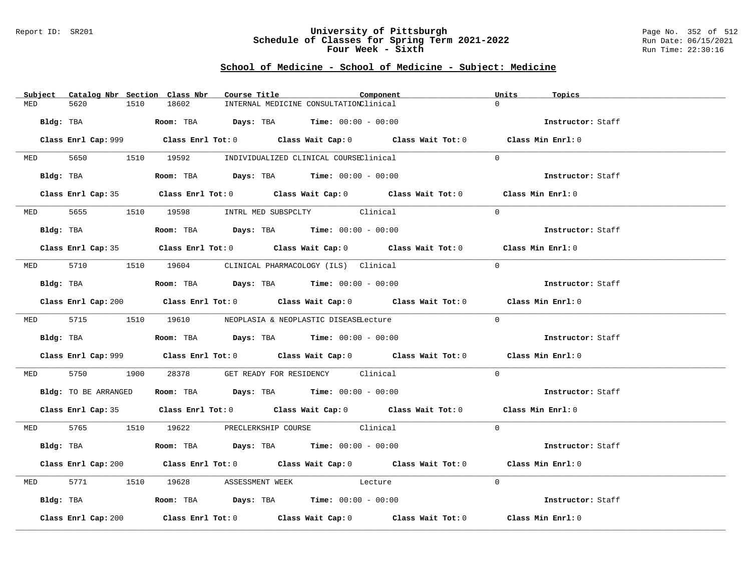### Report ID: SR201 **University of Pittsburgh** Page No. 352 of 512 **Schedule of Classes for Spring Term 2021-2022** Run Date: 06/15/2021 **Four Week - Sixth** Run Time: 22:30:16

|            | Subject Catalog Nbr Section Class Nbr | Course Title                                                                                  | Component                                                                                   | Units<br>Topics   |  |
|------------|---------------------------------------|-----------------------------------------------------------------------------------------------|---------------------------------------------------------------------------------------------|-------------------|--|
| MED        | 5620<br>1510                          | 18602                                                                                         | INTERNAL MEDICINE CONSULTATIONClinical                                                      | $\cap$            |  |
|            |                                       | $Bldq$ : TBA $R$ $Room$ : TBA $Days$ : TBA $Time$ : 00:00 - 00:00                             |                                                                                             | Instructor: Staff |  |
|            |                                       |                                                                                               | Class Enrl Cap: 999 Class Enrl Tot: 0 Class Wait Cap: 0 Class Wait Tot: 0 Class Min Enrl: 0 |                   |  |
|            |                                       | MED 5650 1510 19592 INDIVIDUALIZED CLINICAL COURSEClinical                                    |                                                                                             | $\Omega$          |  |
|            | Bldg: TBA                             | Room: TBA $Days:$ TBA $Time: 00:00 - 00:00$                                                   |                                                                                             | Instructor: Staff |  |
|            |                                       |                                                                                               | Class Enrl Cap: 35 Class Enrl Tot: 0 Class Wait Cap: 0 Class Wait Tot: 0 Class Min Enrl: 0  |                   |  |
|            |                                       | MED 5655 1510 19598 INTRL MED SUBSPCLTY Clinical                                              |                                                                                             | $\Omega$          |  |
|            |                                       | Bldg: TBA                   Room: TBA         Days: TBA         Time: 00:00 - 00:00           |                                                                                             | Instructor: Staff |  |
|            |                                       |                                                                                               | Class Enrl Cap: 35 Class Enrl Tot: 0 Class Wait Cap: 0 Class Wait Tot: 0 Class Min Enrl: 0  |                   |  |
|            |                                       | MED 5710 1510 19604 CLINICAL PHARMACOLOGY (ILS) Clinical                                      |                                                                                             | $\Omega$          |  |
|            |                                       | Bldg: TBA                         Room: TBA          Days: TBA          Time: $00:00 - 00:00$ |                                                                                             | Instructor: Staff |  |
|            |                                       |                                                                                               | Class Enrl Cap: 200 Class Enrl Tot: 0 Class Wait Cap: 0 Class Wait Tot: 0 Class Min Enrl: 0 |                   |  |
|            |                                       | MED 5715 1510 19610 NEOPLASIA & NEOPLASTIC DISEASELecture                                     |                                                                                             | $\Omega$          |  |
|            |                                       | Bldg: TBA                    Room: TBA         Days: TBA         Time: $00:00 - 00:00$        |                                                                                             | Instructor: Staff |  |
|            |                                       |                                                                                               | Class Enrl Cap: 999 Class Enrl Tot: 0 Class Wait Cap: 0 Class Wait Tot: 0 Class Min Enrl: 0 |                   |  |
|            | MED 5750                              | 1900 28378 GET READY FOR RESIDENCY Clinical                                                   |                                                                                             | $\Omega$          |  |
|            |                                       | Bldg: TO BE ARRANGED Room: TBA Days: TBA Time: 00:00 - 00:00                                  |                                                                                             | Instructor: Staff |  |
|            |                                       |                                                                                               | Class Enrl Cap: 35 Class Enrl Tot: 0 Class Wait Cap: 0 Class Wait Tot: 0 Class Min Enrl: 0  |                   |  |
|            |                                       | MED 5765 1510 19622 PRECLERKSHIP COURSE Clinical                                              |                                                                                             | $\Omega$          |  |
|            |                                       | Bldg: TBA                   Room: TBA         Days: TBA         Time: $00:00 - 00:00$         |                                                                                             | Instructor: Staff |  |
|            |                                       |                                                                                               | Class Enrl Cap: 200 Class Enrl Tot: 0 Class Wait Cap: 0 Class Wait Tot: 0 Class Min Enrl: 0 |                   |  |
| <b>MED</b> |                                       | 5771 1510 19628 ASSESSMENT WEEK Lecture                                                       |                                                                                             | $\Omega$          |  |
|            |                                       | Bldg: TBA                   Room: TBA         Days: TBA         Time: 00:00 - 00:00           |                                                                                             | Instructor: Staff |  |
|            | Class Enrl Cap: 200                   |                                                                                               | Class Enrl Tot: $0$ Class Wait Cap: $0$ Class Wait Tot: $0$ Class Min Enrl: $0$             |                   |  |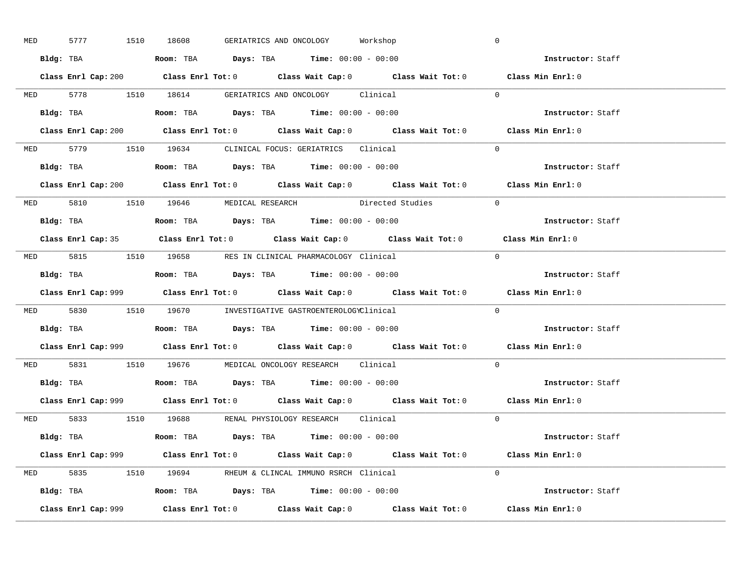| MED | 5777 1510 18608 |  | GERIATRICS AND ONCOLOGY Workshop                                                       |  | $\mathbb O$                                                                                 |  |
|-----|-----------------|--|----------------------------------------------------------------------------------------|--|---------------------------------------------------------------------------------------------|--|
|     |                 |  | Bldg: TBA                   Room: TBA         Days: TBA        Time: 00:00 - 00:00     |  | Instructor: Staff                                                                           |  |
|     |                 |  |                                                                                        |  | Class Enrl Cap: 200 Class Enrl Tot: 0 Class Wait Cap: 0 Class Wait Tot: 0 Class Min Enrl: 0 |  |
|     |                 |  | MED 5778 1510 18614 GERIATRICS AND ONCOLOGY Clinical                                   |  | $\Omega$                                                                                    |  |
|     |                 |  |                                                                                        |  | Instructor: Staff                                                                           |  |
|     |                 |  | Class Enrl Cap: 200 Class Enrl Tot: 0 Class Wait Cap: 0 Class Wait Tot: 0              |  | Class Min Enrl: 0                                                                           |  |
|     |                 |  | MED 5779 1510 19634 CLINICAL FOCUS: GERIATRICS Clinical                                |  | $\Omega$                                                                                    |  |
|     |                 |  | Bldg: TBA                    Room: TBA        Days: TBA        Time: $00:00 - 00:00$   |  | Instructor: Staff                                                                           |  |
|     |                 |  |                                                                                        |  | Class Enrl Cap: 200 Class Enrl Tot: 0 Class Wait Cap: 0 Class Wait Tot: 0 Class Min Enrl: 0 |  |
|     |                 |  | MED 5810 1510 19646 MEDICAL RESEARCH Directed Studies                                  |  | $\Omega$                                                                                    |  |
|     |                 |  | Bldg: TBA                    Room: TBA         Days: TBA         Time: $00:00 - 00:00$ |  | Instructor: Staff                                                                           |  |
|     |                 |  |                                                                                        |  | Class Enrl Cap: 35 Class Enrl Tot: 0 Class Wait Cap: 0 Class Wait Tot: 0 Class Min Enrl: 0  |  |
|     |                 |  | MED 5815 1510 19658 RES IN CLINICAL PHARMACOLOGY Clinical                              |  | $\bigcap$                                                                                   |  |
|     |                 |  | Bldg: TBA                   Room: TBA         Days: TBA         Time: $00:00 - 00:00$  |  | Instructor: Staff                                                                           |  |
|     |                 |  |                                                                                        |  | Class Enrl Cap: 999 Class Enrl Tot: 0 Class Wait Cap: 0 Class Wait Tot: 0 Class Min Enrl: 0 |  |
|     |                 |  |                                                                                        |  |                                                                                             |  |
|     |                 |  | MED 5830 1510 19670 INVESTIGATIVE GASTROENTEROLOGYClinical                             |  | $\Omega$                                                                                    |  |
|     |                 |  | Bldg: TBA                   Room: TBA        Days: TBA        Time: 00:00 - 00:00      |  | Instructor: Staff                                                                           |  |
|     |                 |  |                                                                                        |  | Class Enrl Cap: 999 Class Enrl Tot: 0 Class Wait Cap: 0 Class Wait Tot: 0 Class Min Enrl: 0 |  |
|     |                 |  | MED 5831 1510 19676 MEDICAL ONCOLOGY RESEARCH Clinical                                 |  | $\Omega$                                                                                    |  |
|     |                 |  |                                                                                        |  | Instructor: Staff                                                                           |  |
|     |                 |  |                                                                                        |  | Class Enrl Cap: 999 Class Enrl Tot: 0 Class Wait Cap: 0 Class Wait Tot: 0 Class Min Enrl: 0 |  |
|     |                 |  | MED 5833 1510 19688 RENAL PHYSIOLOGY RESEARCH Clinical                                 |  | $\Omega$                                                                                    |  |
|     |                 |  | <b>Bldg:</b> TBA <b>ROOM:</b> TBA <b>Days:</b> TBA <b>Time:</b> $00:00 - 00:00$        |  | Instructor: Staff                                                                           |  |
|     |                 |  |                                                                                        |  | Class Enrl Cap: 999 Class Enrl Tot: 0 Class Wait Cap: 0 Class Wait Tot: 0 Class Min Enrl: 0 |  |
|     |                 |  | MED 5835 1510 19694 RHEUM & CLINCAL IMMUNO RSRCH Clinical                              |  | $\Omega$                                                                                    |  |
|     |                 |  | Bldg: TBA                   Room: TBA         Days: TBA         Time: 00:00 - 00:00    |  | Instructor: Staff                                                                           |  |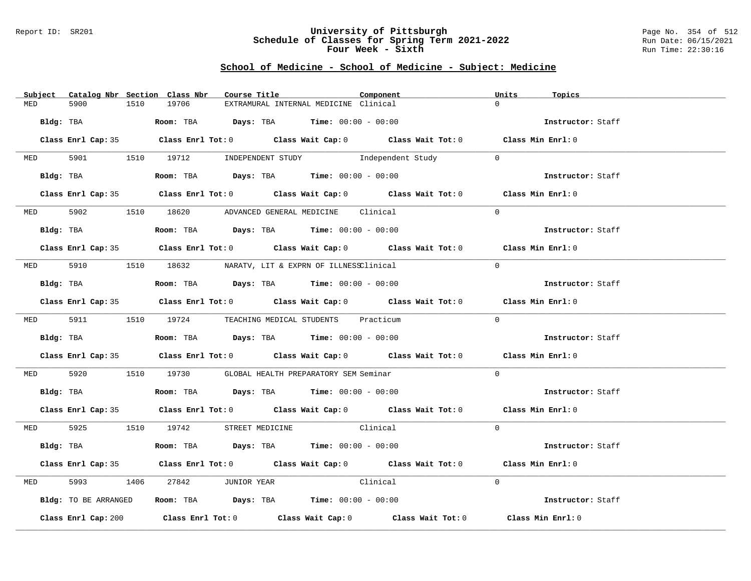### Report ID: SR201 **University of Pittsburgh** Page No. 354 of 512 **Schedule of Classes for Spring Term 2021-2022** Run Date: 06/15/2021 **Four Week - Sixth** Run Time: 22:30:16

|           | Subject Catalog Nbr Section Class Nbr |      |       | Course Title           |                                                                                        | Component                                                                                   | Units    | Topics            |
|-----------|---------------------------------------|------|-------|------------------------|----------------------------------------------------------------------------------------|---------------------------------------------------------------------------------------------|----------|-------------------|
| MED       | 5900                                  | 1510 | 19706 |                        | EXTRAMURAL INTERNAL MEDICINE Clinical                                                  |                                                                                             | $\Omega$ |                   |
| Bldg: TBA |                                       |      |       |                        | Room: TBA $Days: TBA$ Time: $00:00 - 00:00$                                            |                                                                                             |          | Instructor: Staff |
|           |                                       |      |       |                        |                                                                                        | Class Enrl Cap: 35 Class Enrl Tot: 0 Class Wait Cap: 0 Class Wait Tot: 0 Class Min Enrl: 0  |          |                   |
|           |                                       |      |       |                        |                                                                                        | MED 5901 1510 19712 INDEPENDENT STUDY Independent Study                                     | $\Omega$ |                   |
|           | Bldg: TBA                             |      |       |                        |                                                                                        | Room: TBA $Days:$ TBA $Time:$ $00:00 - 00:00$                                               |          | Instructor: Staff |
|           |                                       |      |       |                        |                                                                                        | Class Enrl Cap: 35 Class Enrl Tot: 0 Class Wait Cap: 0 Class Wait Tot: 0 Class Min Enrl: 0  |          |                   |
|           |                                       |      |       |                        | MED 5902 1510 18620 ADVANCED GENERAL MEDICINE Clinical                                 |                                                                                             | $\Omega$ |                   |
|           | Bldg: TBA                             |      |       |                        | Room: TBA $Days:$ TBA $Time: 00:00 - 00:00$                                            |                                                                                             |          | Instructor: Staff |
|           |                                       |      |       |                        |                                                                                        | Class Enrl Cap: 35 Class Enrl Tot: 0 Class Wait Cap: 0 Class Wait Tot: 0 Class Min Enrl: 0  |          |                   |
|           |                                       |      |       |                        | MED 5910 1510 18632 NARATV, LIT & EXPRN OF ILLNESSClinical                             |                                                                                             | $\Omega$ |                   |
|           | Bldg: TBA                             |      |       |                        | Room: TBA $Days:$ TBA $Time: 00:00 - 00:00$                                            |                                                                                             |          | Instructor: Staff |
|           |                                       |      |       |                        |                                                                                        | Class Enrl Cap: 35 Class Enrl Tot: 0 Class Wait Cap: 0 Class Wait Tot: 0 Class Min Enrl: 0  |          |                   |
|           |                                       |      |       |                        | MED 5911 1510 19724 TEACHING MEDICAL STUDENTS Practicum                                |                                                                                             | $\Omega$ |                   |
|           | Bldg: TBA                             |      |       |                        | Room: TBA $\rule{1em}{0.15mm}$ Days: TBA Time: $00:00 - 00:00$                         |                                                                                             |          | Instructor: Staff |
|           |                                       |      |       |                        |                                                                                        | Class Enrl Cap: 35 Class Enrl Tot: 0 Class Wait Cap: 0 Class Wait Tot: 0 Class Min Enrl: 0  |          |                   |
| MED 5920  |                                       |      |       |                        | 1510 19730 GLOBAL HEALTH PREPARATORY SEM Seminar                                       |                                                                                             | $\Omega$ |                   |
|           |                                       |      |       |                        | Bldg: TBA                    Room: TBA         Days: TBA         Time: $00:00 - 00:00$ |                                                                                             |          | Instructor: Staff |
|           |                                       |      |       |                        |                                                                                        | Class Enrl Cap: 35 Class Enrl Tot: 0 Class Wait Cap: 0 Class Wait Tot: 0 Class Min Enrl: 0  |          |                   |
|           |                                       |      |       |                        | MED 5925 1510 19742 STREET MEDICINE Clinical                                           |                                                                                             | $\Omega$ |                   |
|           | Bldg: TBA                             |      |       |                        | Room: TBA $\rule{1em}{0.15mm}$ Days: TBA Time: $00:00 - 00:00$                         |                                                                                             |          | Instructor: Staff |
|           |                                       |      |       |                        |                                                                                        | Class Enrl Cap: 35 Class Enrl Tot: 0 Class Wait Cap: 0 Class Wait Tot: 0 Class Min Enrl: 0  |          |                   |
| MED       | 5993                                  |      |       | 1406 27842 JUNIOR YEAR | Clinical                                                                               |                                                                                             | $\Omega$ |                   |
|           | Bldg: TO BE ARRANGED                  |      |       |                        | <b>Room:</b> TBA $Days:$ TBA $Time: 00:00 - 00:00$                                     |                                                                                             |          | Instructor: Staff |
|           |                                       |      |       |                        |                                                                                        | Class Enrl Cap: 200 Class Enrl Tot: 0 Class Wait Cap: 0 Class Wait Tot: 0 Class Min Enrl: 0 |          |                   |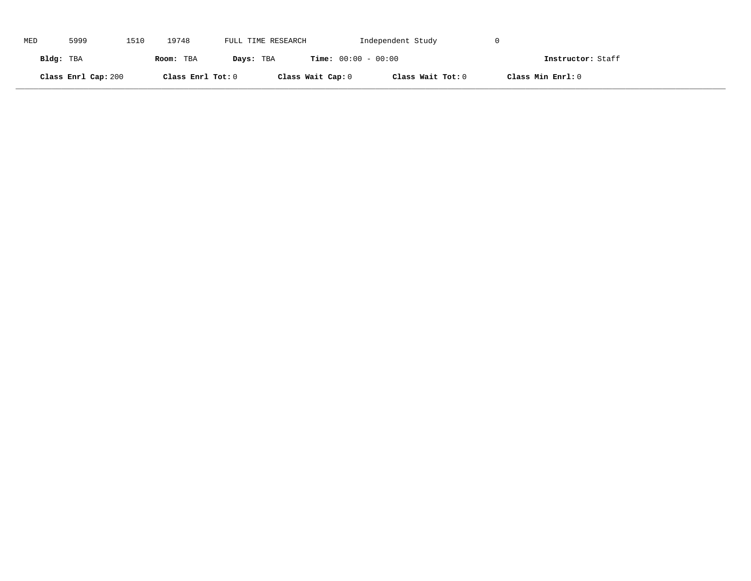| MED       | 5999                | 1510 | 19748             | FULL TIME RESEARCH |                              | Independent Study |                   |  |
|-----------|---------------------|------|-------------------|--------------------|------------------------------|-------------------|-------------------|--|
| Bldg: TBA |                     |      | Room: TBA         | Days: TBA          | <b>Time:</b> $00:00 - 00:00$ |                   | Instructor: Staff |  |
|           | Class Enrl Cap: 200 |      | Class Enrl Tot: 0 |                    | Class Wait Cap: 0            | Class Wait Tot: 0 | Class Min Enrl: 0 |  |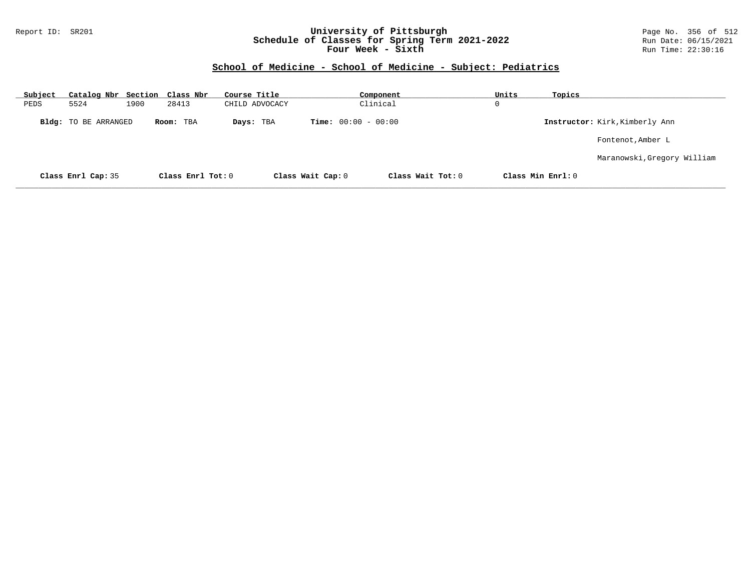### Report ID: SR201 **University of Pittsburgh** Page No. 356 of 512 **Schedule of Classes for Spring Term 2021-2022** Run Date: 06/15/2021 **Four Week - Sixth** Run Time: 22:30:16

| Subject                     | Catalog Nbr Section Class Nbr |      |                   | Course Title   |                              | Component         | Units | Topics            |                                |
|-----------------------------|-------------------------------|------|-------------------|----------------|------------------------------|-------------------|-------|-------------------|--------------------------------|
| PEDS                        | 5524                          | 1900 | 28413             | CHILD ADVOCACY |                              | Clinical          | 0     |                   |                                |
| <b>Bldg:</b> TO BE ARRANGED |                               |      | Room: TBA         | Days: TBA      | <b>Time:</b> $00:00 - 00:00$ |                   |       |                   | Instructor: Kirk, Kimberly Ann |
|                             |                               |      |                   |                |                              |                   |       |                   | Fontenot, Amber L              |
|                             |                               |      |                   |                |                              |                   |       |                   | Maranowski, Gregory William    |
|                             | Class Enrl Cap: 35            |      | Class Enrl Tot: 0 |                | Class Wait Cap: 0            | Class Wait Tot: 0 |       | Class Min Enrl: 0 |                                |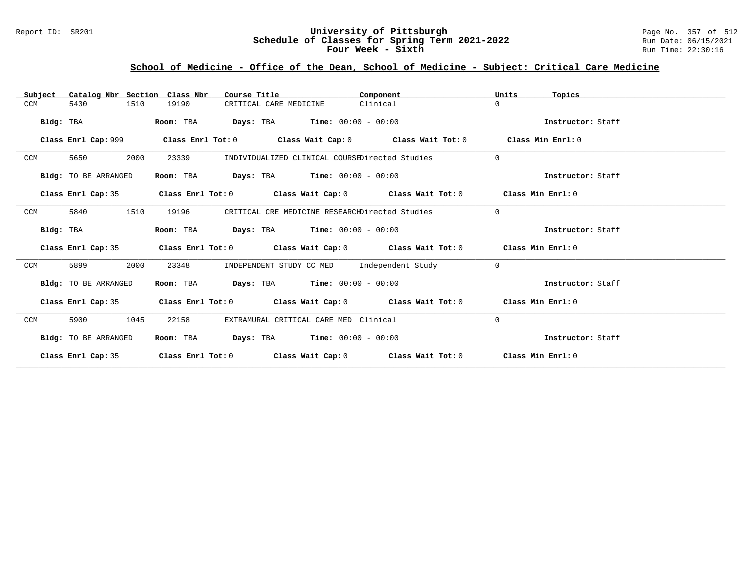### Report ID: SR201 **University of Pittsburgh** Page No. 357 of 512 **Schedule of Classes for Spring Term 2021-2022** Run Date: 06/15/2021 **Four Week - Sixth** Run Time: 22:30:16

# **School of Medicine - Office of the Dean, School of Medicine - Subject: Critical Care Medicine**

| Catalog Nbr Section Class Nbr<br>Subject | Course Title                                                                                       | Component | Units<br>Topics   |
|------------------------------------------|----------------------------------------------------------------------------------------------------|-----------|-------------------|
| 5430<br>1510<br>CCM                      | 19190<br>CRITICAL CARE MEDICINE                                                                    | Clinical  | $\Omega$          |
| Bldg: TBA                                | <b>Days:</b> TBA <b>Time:</b> $00:00 - 00:00$<br>Room: TBA                                         |           | Instructor: Staff |
| Class Enrl Cap: 999                      | Class Enrl Tot: $0$ Class Wait Cap: $0$ Class Wait Tot: $0$                                        |           | Class Min Enrl: 0 |
| 2000<br>CCM<br>5650                      | 23339<br>INDIVIDUALIZED CLINICAL COURSEDirected Studies                                            |           | $\Omega$          |
| Bldg: TO BE ARRANGED                     | <b>Days:</b> TBA <b>Time:</b> $00:00 - 00:00$<br>Room: TBA                                         |           | Instructor: Staff |
| Class Enrl Cap: 35                       | Class Enrl Tot: 0 $\qquad$ Class Wait Cap: 0 $\qquad$ Class Wait Tot: 0 $\qquad$ Class Min Enrl: 0 |           |                   |
| 5840<br>1510<br>CCM                      | 19196<br>CRITICAL CRE MEDICINE RESEARCHDirected Studies                                            |           | $\Omega$          |
| Bldg: TBA                                | <b>Days:</b> TBA <b>Time:</b> $00:00 - 00:00$<br>Room: TBA                                         |           | Instructor: Staff |
| Class Enrl Cap: 35                       | Class Enrl Tot: $0$ Class Wait Cap: $0$ Class Wait Tot: $0$ Class Min Enrl: $0$                    |           |                   |
| 2000<br><b>CCM</b><br>5899               | INDEPENDENT STUDY CC MED Independent Study<br>23348                                                |           | $\Omega$          |
| Bldg: TO BE ARRANGED                     | Room: TBA $Days:$ TBA $Time: 00:00 - 00:00$                                                        |           | Instructor: Staff |
| Class Enrl Cap: 35                       | Class Enrl Tot: $0$ Class Wait Cap: $0$ Class Wait Tot: $0$ Class Min Enrl: $0$                    |           |                   |
| CCM<br>5900<br>1045                      | EXTRAMURAL CRITICAL CARE MED Clinical<br>22158                                                     |           | $\Omega$          |
| Bldg: TO BE ARRANGED                     | <b>Days:</b> TBA <b>Time:</b> $00:00 - 00:00$<br>Room: TBA                                         |           | Instructor: Staff |
| Class Enrl Cap: 35                       | Class Enrl Tot: $0$ Class Wait Cap: $0$ Class Wait Tot: $0$ Class Min Enrl: $0$                    |           |                   |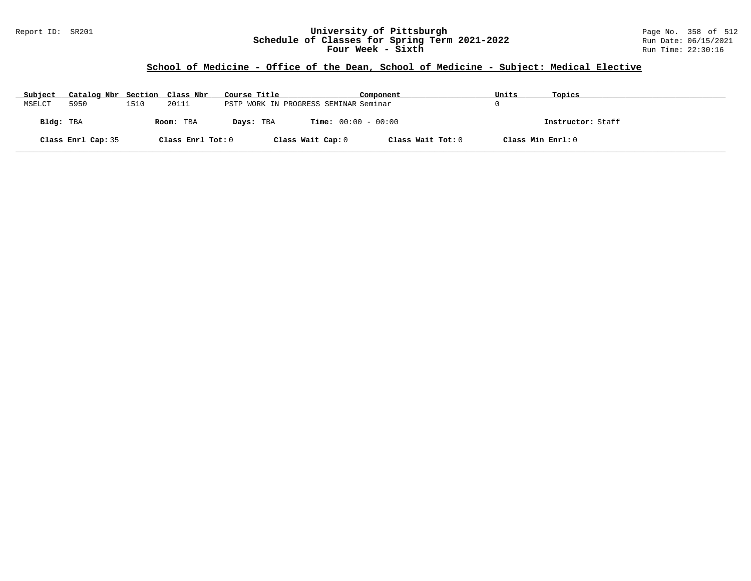### Report ID: SR201 **University of Pittsburgh** Page No. 358 of 512 **Schedule of Classes for Spring Term 2021-2022** Run Date: 06/15/2021 **Four Week - Sixth** Run Time: 22:30:16

## **School of Medicine - Office of the Dean, School of Medicine - Subject: Medical Elective**

| Subject   | Catalog Nbr Section Class Nbr |      |                   | Course Title                          |                              | Component         | Units             | Topics            |
|-----------|-------------------------------|------|-------------------|---------------------------------------|------------------------------|-------------------|-------------------|-------------------|
| MSELCT    | 5950                          | 1510 | 20111             | PSTP WORK IN PROGRESS SEMINAR Seminar |                              |                   |                   |                   |
| Bldg: TBA |                               |      | Room: TBA         | Days: TBA                             | <b>Time:</b> $00:00 - 00:00$ |                   |                   | Instructor: Staff |
|           | Class Enrl Cap: 35            |      | Class Enrl Tot: 0 |                                       | Class Wait Cap: 0            | Class Wait Tot: 0 | Class Min Enrl: 0 |                   |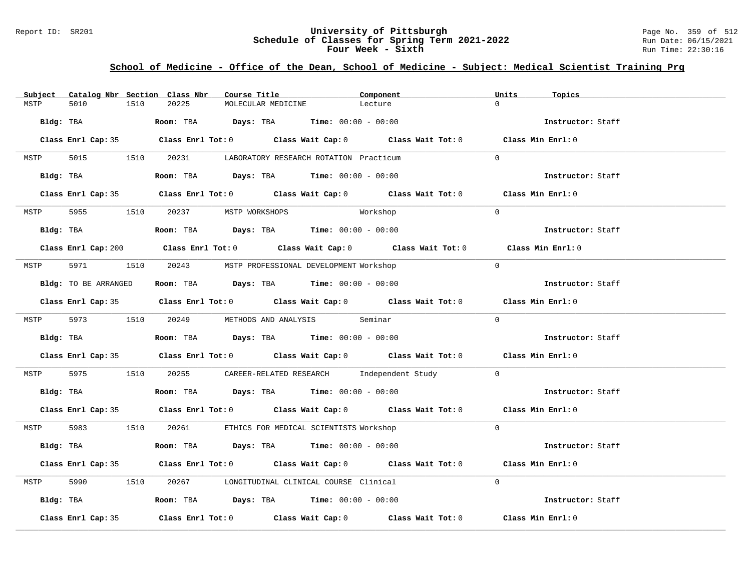### Report ID: SR201 **University of Pittsburgh University of Pittsburgh** Page No. 359 of 512<br>**Schedule of Classes for Spring Term 2021-2022** Run Date: 06/15/2021 **Schedule of Classes for Spring Term 2021-2022** Run Date: 06/15/2021 **Four Week - Sixth** Run Time: 22:30:16

## **School of Medicine - Office of the Dean, School of Medicine - Subject: Medical Scientist Training Prg**

| Subject |                    |      | Catalog Nbr Section Class Nbr       | Course Title       |                                                                                               | Component                                                                                   | Units          | Topics            |
|---------|--------------------|------|-------------------------------------|--------------------|-----------------------------------------------------------------------------------------------|---------------------------------------------------------------------------------------------|----------------|-------------------|
| MSTP    | 5010               | 1510 | 20225                               | MOLECULAR MEDICINE |                                                                                               | Lecture                                                                                     | $\Omega$       |                   |
|         |                    |      |                                     |                    | Bldg: TBA                       Room: TBA         Days: TBA         Time: 00:00 - 00:00       |                                                                                             |                | Instructor: Staff |
|         |                    |      |                                     |                    |                                                                                               | Class Enrl Cap: 35 Class Enrl Tot: 0 Class Wait Cap: 0 Class Wait Tot: 0 Class Min Enrl: 0  |                |                   |
|         |                    |      |                                     |                    | MSTP 5015 1510 20231 LABORATORY RESEARCH ROTATION Practicum                                   |                                                                                             | $\Omega$       |                   |
|         |                    |      |                                     |                    | Bldg: TBA                    Room: TBA         Days: TBA         Time: 00:00 - 00:00          |                                                                                             |                | Instructor: Staff |
|         |                    |      |                                     |                    |                                                                                               | Class Enrl Cap: 35 Class Enrl Tot: 0 Class Wait Cap: 0 Class Wait Tot: 0 Class Min Enrl: 0  |                |                   |
|         |                    |      | MSTP 5955 1510 20237 MSTP WORKSHOPS |                    | Workshop                                                                                      |                                                                                             | $\overline{0}$ |                   |
|         |                    |      |                                     |                    | Bldg: TBA                    Room: TBA         Days: TBA         Time: $00:00 - 00:00$        |                                                                                             |                | Instructor: Staff |
|         |                    |      |                                     |                    |                                                                                               | Class Enrl Cap: 200 Class Enrl Tot: 0 Class Wait Cap: 0 Class Wait Tot: 0 Class Min Enrl: 0 |                |                   |
|         |                    |      |                                     |                    | MSTP 5971 1510 20243 MSTP PROFESSIONAL DEVELOPMENT Workshop                                   |                                                                                             | $\Omega$       |                   |
|         |                    |      |                                     |                    | Bldg: TO BE ARRANGED ROOM: TBA Days: TBA Time: 00:00 - 00:00                                  |                                                                                             |                | Instructor: Staff |
|         |                    |      |                                     |                    |                                                                                               | Class Enrl Cap: 35 Class Enrl Tot: 0 Class Wait Cap: 0 Class Wait Tot: 0 Class Min Enrl: 0  |                |                   |
|         |                    |      |                                     |                    | MSTP 5973 1510 20249 METHODS AND ANALYSIS Seminar                                             |                                                                                             | $\Omega$       |                   |
|         |                    |      |                                     |                    | <b>Bldg:</b> TBA <b>Room:</b> TBA <b>Days:</b> TBA <b>Time:</b> $00:00 - 00:00$               |                                                                                             |                | Instructor: Staff |
|         |                    |      |                                     |                    |                                                                                               | Class Enrl Cap: 35 Class Enrl Tot: 0 Class Wait Cap: 0 Class Wait Tot: 0 Class Min Enrl: 0  |                |                   |
|         |                    |      |                                     |                    |                                                                                               | MSTP 5975 1510 20255 CAREER-RELATED RESEARCH Independent Study 0                            |                |                   |
|         |                    |      |                                     |                    | Bldg: TBA                        Room: TBA           Days: TBA          Time: $00:00 - 00:00$ |                                                                                             |                | Instructor: Staff |
|         |                    |      |                                     |                    |                                                                                               | Class Enrl Cap: 35 Class Enrl Tot: 0 Class Wait Cap: 0 Class Wait Tot: 0 Class Min Enrl: 0  |                |                   |
|         |                    |      |                                     |                    | MSTP 5983 1510 20261 ETHICS FOR MEDICAL SCIENTISTS Workshop                                   |                                                                                             | $\Omega$       |                   |
|         |                    |      |                                     |                    | Bldg: TBA                    Room: TBA         Days: TBA         Time: 00:00 - 00:00          |                                                                                             |                | Instructor: Staff |
|         |                    |      |                                     |                    |                                                                                               | Class Enrl Cap: 35 Class Enrl Tot: 0 Class Wait Cap: 0 Class Wait Tot: 0 Class Min Enrl: 0  |                |                   |
|         |                    |      |                                     |                    | MSTP 5990 1510 20267 LONGITUDINAL CLINICAL COURSE Clinical                                    |                                                                                             | $\Omega$       |                   |
|         |                    |      |                                     |                    | Bldg: TBA                    Room: TBA         Days: TBA         Time: $00:00 - 00:00$        |                                                                                             |                | Instructor: Staff |
|         | Class Enrl Cap: 35 |      |                                     |                    |                                                                                               | Class Enrl Tot: $0$ Class Wait Cap: $0$ Class Wait Tot: $0$ Class Min Enrl: $0$             |                |                   |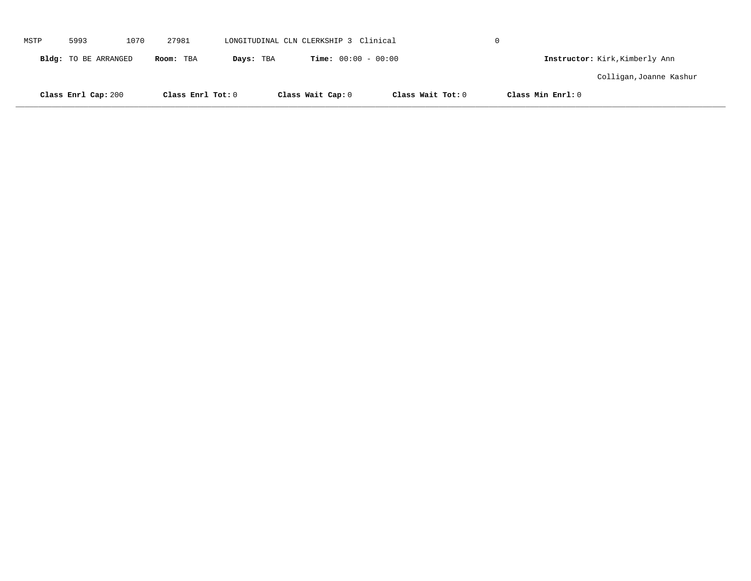|      | Class Enrl Cap: 200  |      | Class Enrl Tot: 0 |           | Class Wait Cap: 0                     | Class Wait Tot: 0 |   | Class Min Enrl: 0              |  |
|------|----------------------|------|-------------------|-----------|---------------------------------------|-------------------|---|--------------------------------|--|
|      |                      |      |                   |           |                                       |                   |   | Colligan, Joanne Kashur        |  |
|      | Bldg: TO BE ARRANGED |      | Room: TBA         | Days: TBA | <b>Time:</b> $00:00 - 00:00$          |                   |   | Instructor: Kirk, Kimberly Ann |  |
| MSTP | 5993                 | 1070 | 27981             |           | LONGITUDINAL CLN CLERKSHIP 3 Clinical |                   | 0 |                                |  |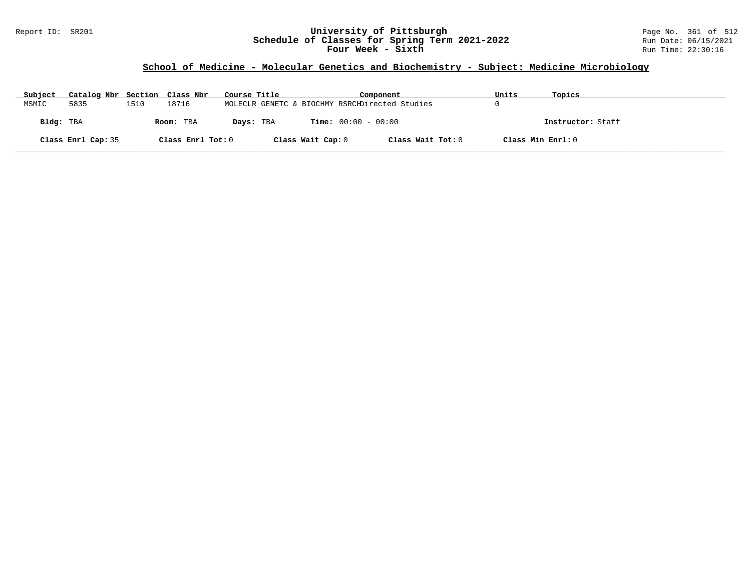### Report ID: SR201 **University of Pittsburgh** Page No. 361 of 512 **Schedule of Classes for Spring Term 2021-2022** Run Date: 06/15/2021 **Four Week - Sixth** Run Time: 22:30:16

# **School of Medicine - Molecular Genetics and Biochemistry - Subject: Medicine Microbiology**

| Subject   | Catalog Nbr Section Class Nbr |      |                   | Course Title |                   | Component                                      | Units             | Topics            |
|-----------|-------------------------------|------|-------------------|--------------|-------------------|------------------------------------------------|-------------------|-------------------|
| MSMIC     | 5835                          | 1510 | 18716             |              |                   | MOLECLR GENETC & BIOCHMY RSRCHDirected Studies |                   |                   |
| Bldg: TBA |                               |      | Room: TBA         | Days: TBA    |                   | <b>Time:</b> $00:00 - 00:00$                   |                   | Instructor: Staff |
|           | Class Enrl Cap: 35            |      | Class Enrl Tot: 0 |              | Class Wait Cap: 0 | Class Wait Tot: 0                              | Class Min Enrl: 0 |                   |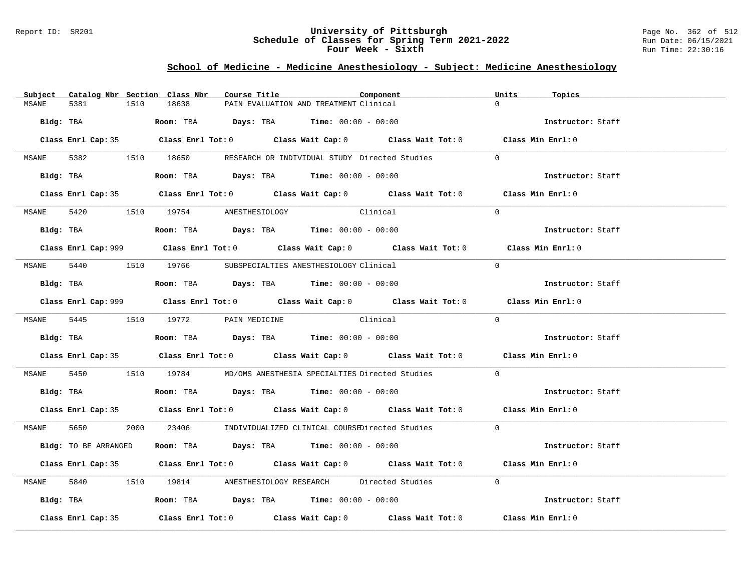### Report ID: SR201 **University of Pittsburgh** Page No. 362 of 512 **Schedule of Classes for Spring Term 2021-2022** Run Date: 06/15/2021 **Four Week - Sixth** Run Time: 22:30:16

# **School of Medicine - Medicine Anesthesiology - Subject: Medicine Anesthesiology**

|       |                      |      | Subject Catalog Nbr Section Class Nbr                                                          | Course Title |                                                                | Component                                                                                   | Units    | Topics            |
|-------|----------------------|------|------------------------------------------------------------------------------------------------|--------------|----------------------------------------------------------------|---------------------------------------------------------------------------------------------|----------|-------------------|
| MSANE | 5381                 | 1510 | 18638                                                                                          |              | PAIN EVALUATION AND TREATMENT Clinical                         |                                                                                             | $\Omega$ |                   |
|       |                      |      | Bldg: TBA                     Room: TBA          Days: TBA         Time: 00:00 - 00:00         |              |                                                                |                                                                                             |          | Instructor: Staff |
|       |                      |      |                                                                                                |              |                                                                | Class Enrl Cap: 35 Class Enrl Tot: 0 Class Wait Cap: 0 Class Wait Tot: 0 Class Min Enrl: 0  |          |                   |
|       |                      |      |                                                                                                |              |                                                                | MSANE 5382 1510 18650 RESEARCH OR INDIVIDUAL STUDY Directed Studies                         | $\Omega$ |                   |
|       |                      |      | Bldg: TBA                    Room: TBA          Days: TBA         Time: 00:00 - 00:00          |              |                                                                |                                                                                             |          | Instructor: Staff |
|       |                      |      |                                                                                                |              |                                                                | Class Enrl Cap: 35 Class Enrl Tot: 0 Class Wait Cap: 0 Class Wait Tot: 0 Class Min Enrl: 0  |          |                   |
|       |                      |      | MSANE 5420 1510 19754 ANESTHESIOLOGY                                                           |              | Clinical                                                       |                                                                                             | $\Omega$ |                   |
|       |                      |      | Bldg: TBA                    Room: TBA         Days: TBA         Time: $00:00 - 00:00$         |              |                                                                |                                                                                             |          | Instructor: Staff |
|       |                      |      |                                                                                                |              |                                                                | Class Enrl Cap: 999 Class Enrl Tot: 0 Class Wait Cap: 0 Class Wait Tot: 0 Class Min Enrl: 0 |          |                   |
|       |                      |      | MSANE 5440 1510 19766 SUBSPECIALTIES ANESTHESIOLOGY Clinical                                   |              |                                                                |                                                                                             | $\Omega$ |                   |
|       |                      |      | Bldg: TBA                   Room: TBA         Days: TBA        Time: $00:00 - 00:00$           |              |                                                                |                                                                                             |          | Instructor: Staff |
|       |                      |      |                                                                                                |              |                                                                | Class Enrl Cap: 999 Class Enrl Tot: 0 Class Wait Cap: 0 Class Wait Tot: 0 Class Min Enrl: 0 |          |                   |
|       |                      |      | MSANE 5445 1510 19772 PAIN MEDICINE Clinical                                                   |              |                                                                |                                                                                             | $\Omega$ |                   |
|       |                      |      | Bldg: TBA                           Room: TBA          Days: TBA         Time: $00:00 - 00:00$ |              |                                                                |                                                                                             |          | Instructor: Staff |
|       |                      |      |                                                                                                |              |                                                                | Class Enrl Cap: 35 Class Enrl Tot: 0 Class Wait Cap: 0 Class Wait Tot: 0 Class Min Enrl: 0  |          |                   |
|       |                      |      |                                                                                                |              |                                                                | MSANE 5450 1510 19784 MD/OMS ANESTHESIA SPECIALTIES Directed Studies                        | $\Omega$ |                   |
|       |                      |      | Bldg: TBA                   Room: TBA        Days: TBA        Time: 00:00 - 00:00              |              |                                                                |                                                                                             |          | Instructor: Staff |
|       |                      |      |                                                                                                |              |                                                                | Class Enrl Cap: 35 Class Enrl Tot: 0 Class Wait Cap: 0 Class Wait Tot: 0 Class Min Enrl: 0  |          |                   |
|       | MSANE 5650           |      |                                                                                                |              |                                                                | 2000 23406 INDIVIDUALIZED CLINICAL COURSEDirected Studies                                   | $\Omega$ |                   |
|       | Bldg: TO BE ARRANGED |      |                                                                                                |              | Room: TBA $\rule{1em}{0.15mm}$ Days: TBA Time: $00:00 - 00:00$ |                                                                                             |          | Instructor: Staff |
|       |                      |      |                                                                                                |              |                                                                | Class Enrl Cap: 35 Class Enrl Tot: 0 Class Wait Cap: 0 Class Wait Tot: 0 Class Min Enrl: 0  |          |                   |
|       |                      |      |                                                                                                |              |                                                                | MSANE 5840 1510 19814 ANESTHESIOLOGY RESEARCH Directed Studies                              | $\Omega$ |                   |
|       |                      |      | Bldg: TBA                  Room: TBA        Days: TBA        Time: 00:00 - 00:00               |              |                                                                |                                                                                             |          | Instructor: Staff |
|       | Class Enrl Cap: 35   |      |                                                                                                |              |                                                                | Class Enrl Tot: $0$ Class Wait Cap: $0$ Class Wait Tot: $0$ Class Min Enrl: $0$             |          |                   |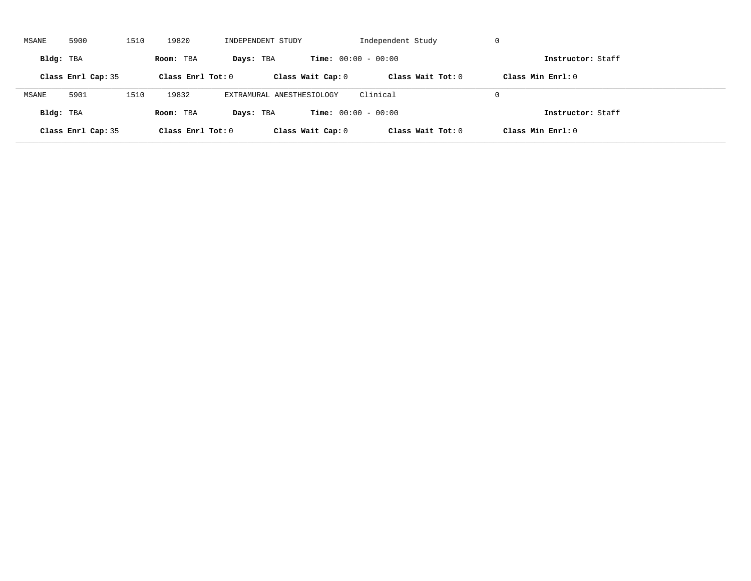| MSANE     | 5900               | 1510 | 19820               | INDEPENDENT STUDY         |                              | Independent Study   | -U                  |  |
|-----------|--------------------|------|---------------------|---------------------------|------------------------------|---------------------|---------------------|--|
| Bldg: TBA |                    |      | Room: TBA           | Days: TBA                 | <b>Time:</b> $00:00 - 00:00$ |                     | Instructor: Staff   |  |
|           | Class Enrl Cap: 35 |      | Class Enrl Tot: $0$ |                           | Class Wait Cap: 0            | Class Wait $Tot: 0$ | Class Min $Enrl: 0$ |  |
| MSANE     | 5901               | 1510 | 19832               | EXTRAMURAL ANESTHESIOLOGY |                              | Clinical            | $\Omega$            |  |
| Bldg: TBA |                    |      | Room: TBA           | Days: TBA                 | <b>Time:</b> $00:00 - 00:00$ |                     | Instructor: Staff   |  |
|           | Class Enrl Cap: 35 |      | Class Enrl Tot: $0$ |                           | Class Wait Cap: 0            | Class Wait Tot: 0   | Class Min Enrl: 0   |  |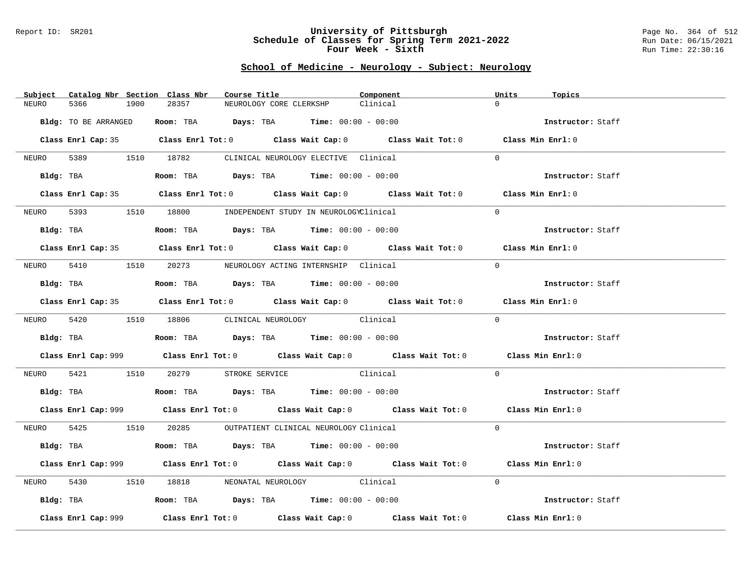#### Report ID: SR201 **University of Pittsburgh** Page No. 364 of 512 **Schedule of Classes for Spring Term 2021-2022** Run Date: 06/15/2021 **Four Week - Sixth** Run Time: 22:30:16

## **School of Medicine - Neurology - Subject: Neurology**

| Catalog Nbr Section Class Nbr<br>Subject | Course Title                                                                                            | Component | Units<br>Topics   |
|------------------------------------------|---------------------------------------------------------------------------------------------------------|-----------|-------------------|
| NEURO<br>5366<br>1900                    | 28357<br>NEUROLOGY CORE CLERKSHP                                                                        | Clinical  | $\Omega$          |
| Bldg: TO BE ARRANGED                     | Room: TBA $Days:$ TBA $Time: 00:00 - 00:00$                                                             |           | Instructor: Staff |
|                                          |                                                                                                         |           |                   |
|                                          | Class Enrl Cap: 35 Class Enrl Tot: 0 Class Wait Cap: 0 Class Wait Tot: 0 Class Min Enrl: 0              |           |                   |
|                                          | NEURO 5389 1510 18782 CLINICAL NEUROLOGY ELECTIVE Clinical                                              |           | $\Omega$          |
|                                          | Bldg: TBA                  Room: TBA        Days: TBA        Time: 00:00 - 00:00                        |           | Instructor: Staff |
|                                          | Class Enrl Cap: 35 Class Enrl Tot: 0 Class Wait Cap: 0 Class Wait Tot: 0 Class Min Enrl: 0              |           |                   |
| NEURO                                    | 5393 1510 18800 INDEPENDENT STUDY IN NEUROLOGYClinical                                                  |           | $\Omega$          |
|                                          | Bldg: TBA                    Room: TBA         Days: TBA         Time: 00:00 - 00:00                    |           | Instructor: Staff |
|                                          | Class Enrl Cap: 35 Class Enrl Tot: 0 Class Wait Cap: 0 Class Wait Tot: 0 Class Min Enrl: 0              |           |                   |
|                                          | NEURO 5410 1510 20273 NEUROLOGY ACTING INTERNSHIP Clinical                                              |           | $\Omega$          |
|                                          | Bldg: TBA                   Room: TBA         Days: TBA         Time: $00:00 - 00:00$                   |           | Instructor: Staff |
|                                          | Class Enrl Cap: 35 Class Enrl Tot: 0 Class Wait Cap: 0 Class Wait Tot: 0 Class Min Enrl: 0              |           |                   |
|                                          | NEURO 5420 1510 18806 CLINICAL NEUROLOGY Clinical                                                       |           | $\Omega$          |
|                                          |                                                                                                         |           |                   |
|                                          | Bldg: TBA                                Room: TBA            Days: TBA           Time: $00:00 - 00:00$ |           | Instructor: Staff |
|                                          | Class Enrl Cap: 999 Class Enrl Tot: 0 Class Wait Cap: 0 Class Wait Tot: 0 Class Min Enrl: 0             |           |                   |
|                                          | NEURO 5421 1510 20279 STROKE SERVICE Clinical                                                           |           | $\overline{0}$    |
|                                          | <b>Bldg:</b> TBA <b>Room:</b> TBA <b>Days:</b> TBA <b>Time:</b> $00:00 - 00:00$                         |           | Instructor: Staff |
|                                          | Class Enrl Cap: 999 Class Enrl Tot: 0 Class Wait Cap: 0 Class Wait Tot: 0 Class Min Enrl: 0             |           |                   |
|                                          | NEURO 5425 1510 20285 OUTPATIENT CLINICAL NEUROLOGY Clinical                                            |           | $\Omega$          |
|                                          | Bldg: TBA                   Room: TBA         Days: TBA        Time: 00:00 - 00:00                      |           | Instructor: Staff |
|                                          | Class Enrl Cap: 999 Class Enrl Tot: 0 Class Wait Cap: 0 Class Wait Tot: 0 Class Min Enrl: 0             |           |                   |
| NEURO                                    | 5430 1510 18818 NEONATAL NEUROLOGY Clinical                                                             |           | $\Omega$          |
|                                          | Bldg: TBA                    Room: TBA         Days: TBA         Time: 00:00 - 00:00                    |           | Instructor: Staff |
| Class Enrl Cap: 999                      | Class Enrl Tot: $0$ Class Wait Cap: $0$ Class Wait Tot: $0$ Class Min Enrl: $0$                         |           |                   |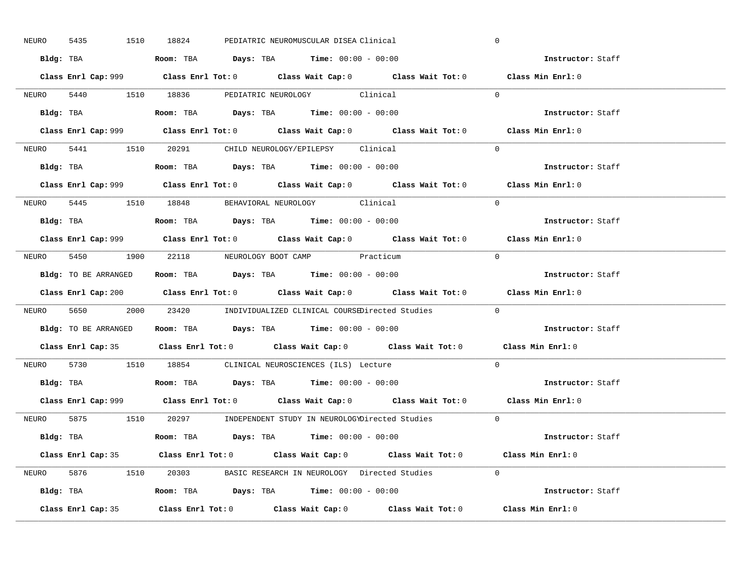| 5435<br>NEURO | 1510 18824<br>PEDIATRIC NEUROMUSCULAR DISEA Clinical                                        | $\mathbf 0$       |
|---------------|---------------------------------------------------------------------------------------------|-------------------|
|               | Bldg: TBA                      Room: TBA         Days: TBA         Time: 00:00 - 00:00      | Instructor: Staff |
|               | Class Enrl Cap: 999 Class Enrl Tot: 0 Class Wait Cap: 0 Class Wait Tot: 0 Class Min Enrl: 0 |                   |
|               | NEURO 5440 1510 18836 PEDIATRIC NEUROLOGY Clinical                                          | $\Omega$          |
|               |                                                                                             | Instructor: Staff |
|               | Class Enrl Cap: 999 Class Enrl Tot: 0 Class Wait Cap: 0 Class Wait Tot: 0                   | Class Min Enrl: 0 |
|               | NEURO 5441 1510 20291 CHILD NEUROLOGY/EPILEPSY Clinical                                     | $\Omega$          |
|               | Bldg: TBA                   Room: TBA         Days: TBA         Time: 00:00 - 00:00         | Instructor: Staff |
|               | Class Enrl Cap: 999 Class Enrl Tot: 0 Class Wait Cap: 0 Class Wait Tot: 0 Class Min Enrl: 0 |                   |
|               | NEURO 5445 1510 18848 BEHAVIORAL NEUROLOGY Clinical                                         | $\Omega$          |
|               | Bldg: TBA                   Room: TBA         Days: TBA         Time: $00:00 - 00:00$       | Instructor: Staff |
|               | Class Enrl Cap: 999 Class Enrl Tot: 0 Class Wait Cap: 0 Class Wait Tot: 0 Class Min Enrl: 0 |                   |
|               | NEURO 5450 1900 22118 NEUROLOGY BOOT CAMP Practicum                                         | $\bigcap$         |
|               | <b>Bldg:</b> TO BE ARRANGED <b>ROOM:</b> TBA <b>Days:</b> TBA <b>Time:</b> $00:00 - 00:00$  | Instructor: Staff |
|               | Class Enrl Cap: 200 Class Enrl Tot: 0 Class Wait Cap: 0 Class Wait Tot: 0 Class Min Enrl: 0 |                   |
|               | NEURO 5650 2000 23420 INDIVIDUALIZED CLINICAL COURSEDirected Studies 0                      |                   |
|               |                                                                                             |                   |
|               | Bldg: TO BE ARRANGED Room: TBA Days: TBA Time: 00:00 - 00:00                                | Instructor: Staff |
|               | Class Enrl Cap: 35 Class Enrl Tot: 0 Class Wait Cap: 0 Class Wait Tot: 0 Class Min Enrl: 0  |                   |
| NEURO         | 5730 1510 18854 CLINICAL NEUROSCIENCES (ILS) Lecture                                        | $\Omega$          |
|               | Bldg: TBA                   Room: TBA         Days: TBA         Time: $00:00 - 00:00$       | Instructor: Staff |
|               | Class Enrl Cap: 999 Class Enrl Tot: 0 Class Wait Cap: 0 Class Wait Tot: 0 Class Min Enrl: 0 |                   |
|               | NEURO 5875 1510 20297 INDEPENDENT STUDY IN NEUROLOGYDirected Studies 0                      |                   |
|               | Bldg: TBA                     Room: TBA         Days: TBA         Time: 00:00 - 00:00       | Instructor: Staff |
|               | Class Enrl Cap: 35 Class Enrl Tot: 0 Class Wait Cap: 0 Class Wait Tot: 0 Class Min Enrl: 0  |                   |
|               | NEURO 5876 1510 20303 BASIC RESEARCH IN NEUROLOGY Directed Studies 0                        |                   |
|               |                                                                                             | Instructor: Staff |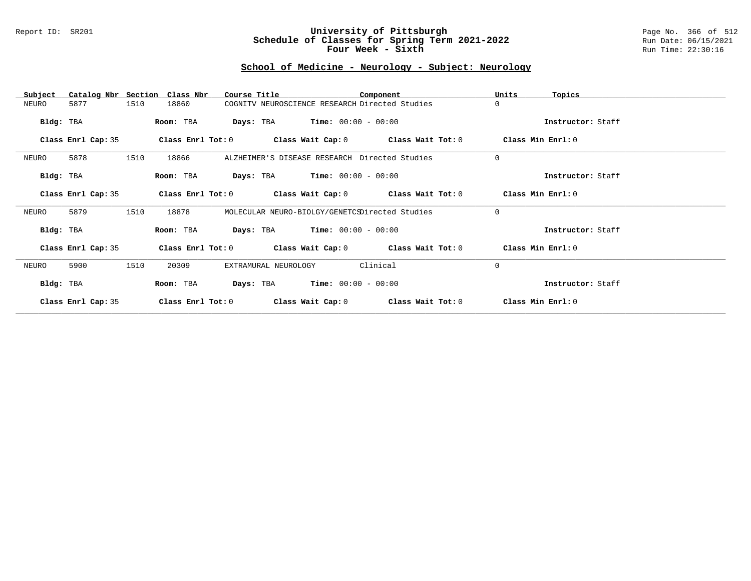#### Report ID: SR201 **University of Pittsburgh** Page No. 366 of 512 **Schedule of Classes for Spring Term 2021-2022** Run Date: 06/15/2021 **Four Week - Sixth** Run Time: 22:30:16

# **School of Medicine - Neurology - Subject: Neurology**

| Subject            | Catalog Nbr Section Class Nbr | Course Title                                   |                       | Component                                                   | Units             | Topics            |
|--------------------|-------------------------------|------------------------------------------------|-----------------------|-------------------------------------------------------------|-------------------|-------------------|
| 5877<br>NEURO      | 1510<br>18860                 | COGNITV NEUROSCIENCE RESEARCH Directed Studies |                       |                                                             | $\Omega$          |                   |
| Bldg: TBA          | Room: TBA                     | <b>Days:</b> TBA <b>Time:</b> $00:00 - 00:00$  |                       |                                                             |                   | Instructor: Staff |
| Class Enrl Cap: 35 |                               |                                                |                       | Class Enrl Tot: $0$ Class Wait Cap: $0$ Class Wait Tot: $0$ | Class Min Enrl: 0 |                   |
| 5878<br>NEURO      | 1510<br>18866                 | ALZHEIMER'S DISEASE RESEARCH Directed Studies  |                       |                                                             | $\mathbf 0$       |                   |
| Bldg: TBA          | Room: TBA                     | <b>Days:</b> TBA <b>Time:</b> $00:00 - 00:00$  |                       |                                                             |                   | Instructor: Staff |
| Class Enrl Cap: 35 |                               |                                                |                       | Class Enrl Tot: $0$ Class Wait Cap: $0$ Class Wait Tot: $0$ | Class Min Enrl: 0 |                   |
| 5879<br>NEURO      | 1510<br>18878                 | MOLECULAR NEURO-BIOLGY/GENETCSDirected Studies |                       |                                                             | $\Omega$          |                   |
| Bldg: TBA          | Room: TBA                     | <b>Days:</b> TBA <b>Time:</b> $00:00 - 00:00$  |                       |                                                             |                   | Instructor: Staff |
| Class Enrl Cap: 35 |                               |                                                |                       | Class Enrl Tot: $0$ Class Wait Cap: $0$ Class Wait Tot: $0$ | Class Min Enrl: 0 |                   |
| NEURO<br>5900      | 1510<br>20309                 | EXTRAMURAL NEUROLOGY                           |                       | Clinical                                                    | $\Omega$          |                   |
| Bldg: TBA          | Room: TBA                     | Days: TBA                                      | $Time: 00:00 - 00:00$ |                                                             |                   | Instructor: Staff |
| Class Enrl Cap: 35 | Class Enrl Tot: 0             | Class Wait Cap: 0                              |                       | Class Wait Tot: 0                                           | Class Min Enrl: 0 |                   |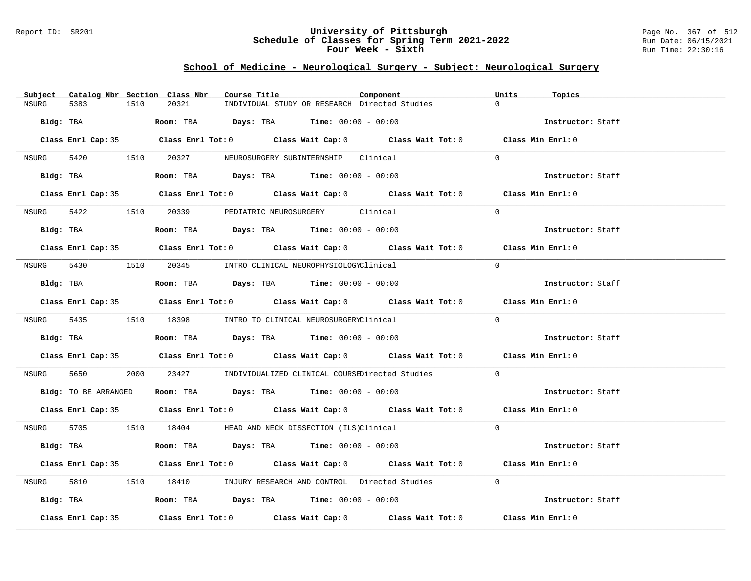### Report ID: SR201 **University of Pittsburgh** Page No. 367 of 512 **Schedule of Classes for Spring Term 2021-2022** Run Date: 06/15/2021 **Four Week - Sixth** Run Time: 22:30:16

# **School of Medicine - Neurological Surgery - Subject: Neurological Surgery**

| Subject            | Catalog Nbr Section Class Nbr<br>Course Title                                                      | Component | Units<br>Topics   |
|--------------------|----------------------------------------------------------------------------------------------------|-----------|-------------------|
| NSURG<br>5383      | 1510<br>20321<br>INDIVIDUAL STUDY OR RESEARCH Directed Studies                                     | $\Omega$  |                   |
| Bldg: TBA          | <b>Room:</b> TBA $Days: TBA$ <b>Time:</b> $00:00 - 00:00$                                          |           | Instructor: Staff |
|                    | Class Enrl Cap: 35 Class Enrl Tot: 0 Class Wait Cap: 0 Class Wait Tot: 0 Class Min Enrl: 0         |           |                   |
|                    | NSURG 5420 1510 20327 NEUROSURGERY SUBINTERNSHIP Clinical                                          | $\Omega$  |                   |
| Bldg: TBA          | Room: TBA $Days:$ TBA $Time: 00:00 - 00:00$                                                        |           | Instructor: Staff |
|                    | Class Enrl Cap: 35 Class Enrl Tot: 0 Class Wait Cap: 0 Class Wait Tot: 0 Class Min Enrl: 0         |           |                   |
|                    | NSURG 5422 1510 20339 PEDIATRIC NEUROSURGERY Clinical                                              | $\Omega$  |                   |
|                    | Bldg: TBA                    Room: TBA         Days: TBA         Time: 00:00 - 00:00               |           | Instructor: Staff |
|                    | Class Enrl Cap: 35 Class Enrl Tot: 0 Class Wait Cap: 0 Class Wait Tot: 0 Class Min Enrl: 0         |           |                   |
|                    | NSURG 5430 1510 20345 INTRO CLINICAL NEUROPHYSIOLOGYClinical                                       | $\Omega$  |                   |
| Bldg: TBA          | Room: TBA $\rule{1em}{0.15mm}$ Days: TBA Time: $00:00 - 00:00$                                     |           | Instructor: Staff |
|                    | Class Enrl Cap: 35 Class Enrl Tot: 0 Class Wait Cap: 0 Class Wait Tot: 0 Class Min Enrl: 0         |           |                   |
|                    | NSURG 5435 1510 18398 INTRO TO CLINICAL NEUROSURGERYClinical                                       | $\Omega$  |                   |
|                    | <b>Bldg:</b> TBA <b>Room:</b> TBA <b>Days:</b> TBA <b>Time:</b> $00:00 - 00:00$                    |           | Instructor: Staff |
|                    | Class Enrl Cap: 35 Class Enrl Tot: 0 Class Wait Cap: 0 Class Wait Tot: 0 Class Min Enrl: 0         |           |                   |
| NSURG 5650         | 2000 23427 INDIVIDUALIZED CLINICAL COURSEDirected Studies                                          | $\Omega$  |                   |
|                    | Bldg: TO BE ARRANGED Room: TBA Days: TBA Time: 00:00 - 00:00                                       |           | Instructor: Staff |
|                    | Class Enrl Cap: 35 Class Enrl Tot: 0 Class Wait Cap: 0 Class Wait Tot: 0 Class Min Enrl: 0         |           |                   |
|                    | NSURG 5705 1510 18404 HEAD AND NECK DISSECTION (ILS)Clinical                                       | $\Omega$  |                   |
|                    | Bldg: TBA                    Room: TBA         Days: TBA         Time: 00:00 - 00:00               |           | Instructor: Staff |
|                    | Class Enrl Cap: 35 Class Enrl Tot: 0 Class Wait Cap: 0 Class Wait Tot: 0 Class Min Enrl: 0         |           |                   |
| 5810 38<br>NSURG   | 1510 18410 INJURY RESEARCH AND CONTROL Directed Studies                                            | $\Omega$  |                   |
|                    | Bldg: TBA                    Room: TBA          Days: TBA         Time: 00:00 - 00:00              |           | Instructor: Staff |
| Class Enrl Cap: 35 | Class Enrl Tot: 0 $\qquad$ Class Wait Cap: 0 $\qquad$ Class Wait Tot: 0 $\qquad$ Class Min Enrl: 0 |           |                   |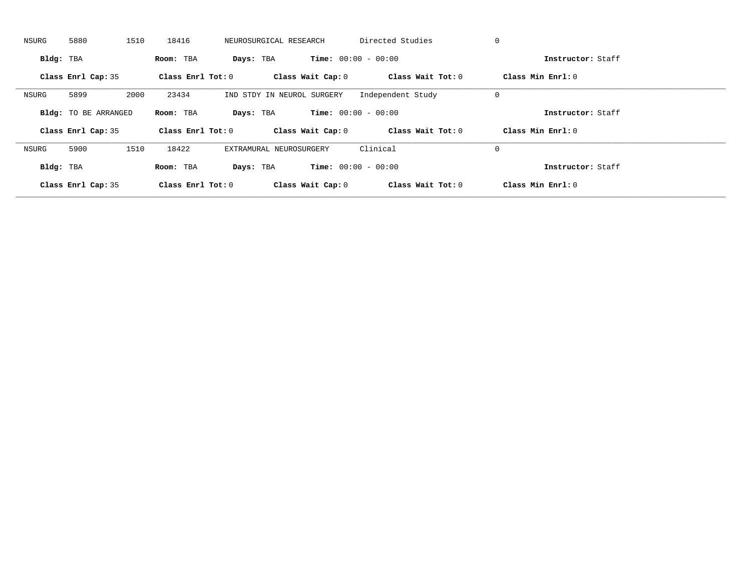| NSURG     | 5880                        | 1510<br>18416 | NEUROSURGICAL RESEARCH     |                              | Directed Studies  | 0                   |  |
|-----------|-----------------------------|---------------|----------------------------|------------------------------|-------------------|---------------------|--|
| Bldg: TBA |                             | Room: TBA     | Days: TBA                  | <b>Time:</b> $00:00 - 00:00$ |                   | Instructor: Staff   |  |
|           | Class Enrl Cap: 35          |               | Class Enrl Tot: $0$        | Class Wait Cap: 0            | Class Wait Tot: 0 | Class Min Enrl: 0   |  |
| NSURG     | 5899                        | 2000<br>23434 | IND STDY IN NEUROL SURGERY |                              | Independent Study | 0                   |  |
|           | <b>Bldg:</b> TO BE ARRANGED | Room: TBA     | Days: TBA                  | <b>Time:</b> $00:00 - 00:00$ |                   | Instructor: Staff   |  |
|           | Class Enrl Cap: 35          |               | Class Enrl Tot: 0          | Class Wait Cap: 0            | Class Wait Tot: 0 | Class Min $Enrl: 0$ |  |
| NSURG     |                             |               |                            |                              |                   |                     |  |
|           | 5900                        | 1510<br>18422 | EXTRAMURAL NEUROSURGERY    |                              | Clinical          | 0                   |  |
| Bldg: TBA |                             | Room: TBA     | Days: TBA                  | <b>Time:</b> $00:00 - 00:00$ |                   | Instructor: Staff   |  |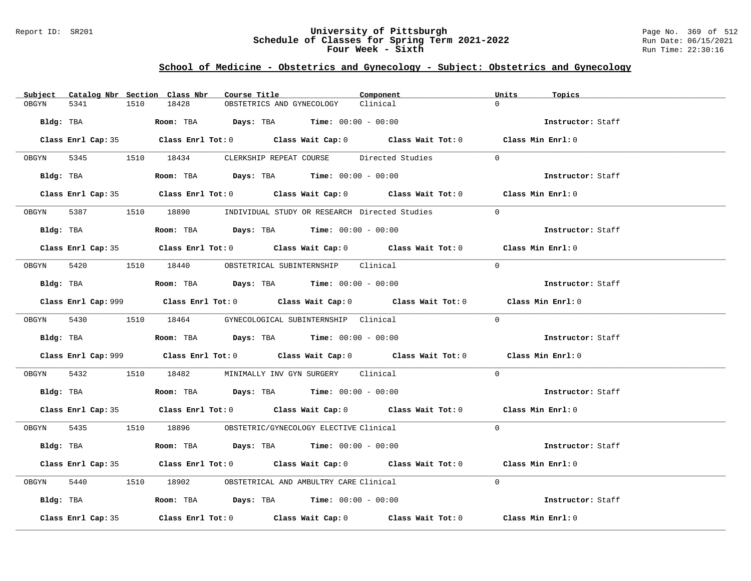### Report ID: SR201 **University of Pittsburgh** Page No. 369 of 512 **Schedule of Classes for Spring Term 2021-2022** Run Date: 06/15/2021 **Four Week - Sixth** Run Time: 22:30:16

# **School of Medicine - Obstetrics and Gynecology - Subject: Obstetrics and Gynecology**

|            |                    |      | Subject Catalog Nbr Section Class Nbr                                                           | Course Title |                           | Component                                                                                   | Units     | Topics            |  |
|------------|--------------------|------|-------------------------------------------------------------------------------------------------|--------------|---------------------------|---------------------------------------------------------------------------------------------|-----------|-------------------|--|
| OBGYN      | 5341               | 1510 | 18428                                                                                           |              | OBSTETRICS AND GYNECOLOGY | Clinical                                                                                    | $\Omega$  |                   |  |
| Bldg: TBA  |                    |      | Room: TBA $Days: TBA$ Time: $00:00 - 00:00$                                                     |              |                           |                                                                                             |           | Instructor: Staff |  |
|            |                    |      |                                                                                                 |              |                           | Class Enrl Cap: 35 Class Enrl Tot: 0 Class Wait Cap: 0 Class Wait Tot: 0 Class Min Enrl: 0  |           |                   |  |
|            |                    |      |                                                                                                 |              |                           | OBGYN 5345 1510 18434 CLERKSHIP REPEAT COURSE Directed Studies                              | $\Omega$  |                   |  |
|            |                    |      | Bldg: TBA                          Room: TBA           Days: TBA          Time: $00:00 - 00:00$ |              |                           |                                                                                             |           | Instructor: Staff |  |
|            |                    |      |                                                                                                 |              |                           | Class Enrl Cap: 35 Class Enrl Tot: 0 Class Wait Cap: 0 Class Wait Tot: 0 Class Min Enrl: 0  |           |                   |  |
|            |                    |      |                                                                                                 |              |                           | 0BGYN 5387 1510 18890 INDIVIDUAL STUDY OR RESEARCH Directed Studies                         | $\bigcap$ |                   |  |
|            | Bldg: TBA          |      | Room: TBA $Days:$ TBA $Time: 00:00 - 00:00$                                                     |              |                           |                                                                                             |           | Instructor: Staff |  |
|            |                    |      |                                                                                                 |              |                           | Class Enrl Cap: 35 Class Enrl Tot: 0 Class Wait Cap: 0 Class Wait Tot: 0 Class Min Enrl: 0  |           |                   |  |
|            |                    |      | OBGYN 5420 1510 18440 OBSTETRICAL SUBINTERNSHIP Clinical                                        |              |                           |                                                                                             | $\Omega$  |                   |  |
|            |                    |      | $Bldg:$ TBA $Room:$ TBA $Days:$ TBA $Time:$ $00:00 - 00:00$                                     |              |                           |                                                                                             |           | Instructor: Staff |  |
|            |                    |      |                                                                                                 |              |                           | Class Enrl Cap: 999 Class Enrl Tot: 0 Class Wait Cap: 0 Class Wait Tot: 0 Class Min Enrl: 0 |           |                   |  |
|            |                    |      | OBGYN 5430 1510 18464 GYNECOLOGICAL SUBINTERNSHIP Clinical                                      |              |                           |                                                                                             | $\Omega$  |                   |  |
|            |                    |      | Bldg: TBA                   Room: TBA         Days: TBA         Time: $00:00 - 00:00$           |              |                           |                                                                                             |           | Instructor: Staff |  |
|            |                    |      |                                                                                                 |              |                           | Class Enrl Cap: 999 Class Enrl Tot: 0 Class Wait Cap: 0 Class Wait Tot: 0 Class Min Enrl: 0 |           |                   |  |
| OBGYN 5432 |                    |      | 1510 18482 MINIMALLY INV GYN SURGERY Clinical                                                   |              |                           |                                                                                             | $\Omega$  |                   |  |
|            |                    |      | Bldg: TBA                   Room: TBA         Days: TBA         Time: $00:00 - 00:00$           |              |                           |                                                                                             |           | Instructor: Staff |  |
|            |                    |      |                                                                                                 |              |                           | Class Enrl Cap: 35 Class Enrl Tot: 0 Class Wait Cap: 0 Class Wait Tot: 0 Class Min Enrl: 0  |           |                   |  |
|            |                    |      | OBGYN 5435 1510 18896 OBSTETRIC/GYNECOLOGY ELECTIVE Clinical                                    |              |                           |                                                                                             | $\Omega$  |                   |  |
|            |                    |      | Bldg: TBA                     Room: TBA         Days: TBA         Time: 00:00 - 00:00           |              |                           |                                                                                             |           | Instructor: Staff |  |
|            |                    |      |                                                                                                 |              |                           | Class Enrl Cap: 35 Class Enrl Tot: 0 Class Wait Cap: 0 Class Wait Tot: 0 Class Min Enrl: 0  |           |                   |  |
| OBGYN      | 5440               |      | 1510 18902 OBSTETRICAL AND AMBULTRY CARE Clinical                                               |              |                           |                                                                                             | $\Omega$  |                   |  |
|            |                    |      | Bldg: TBA                   Room: TBA         Days: TBA         Time: 00:00 - 00:00             |              |                           |                                                                                             |           | Instructor: Staff |  |
|            | Class Enrl Cap: 35 |      |                                                                                                 |              |                           | Class Enrl Tot: $0$ Class Wait Cap: $0$ Class Wait Tot: $0$                                 |           | Class Min Enrl: 0 |  |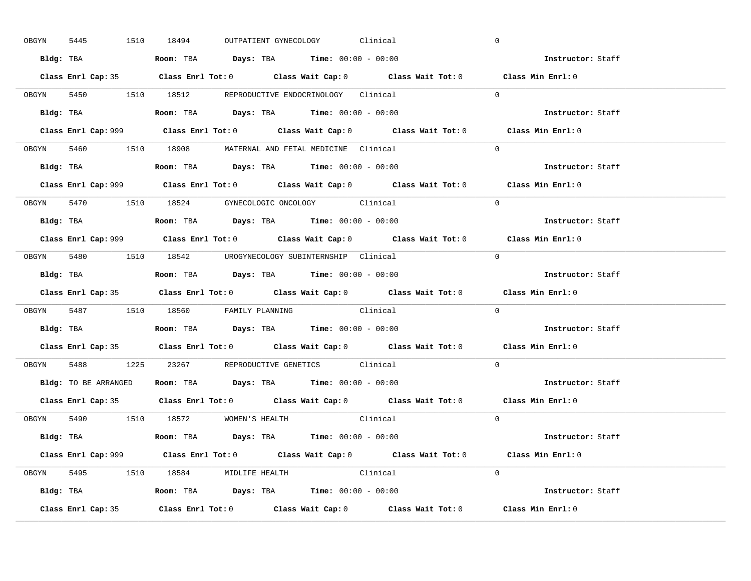|       | 5445<br>OBGYN | 1510 18494 |                                                                                       |  | OUTPATIENT GYNECOLOGY Clinical |                                                                           | $\mathbf 0$                                                                                 |  |
|-------|---------------|------------|---------------------------------------------------------------------------------------|--|--------------------------------|---------------------------------------------------------------------------|---------------------------------------------------------------------------------------------|--|
|       |               |            | Bldg: TBA                   Room: TBA        Days: TBA        Time: 00:00 - 00:00     |  |                                |                                                                           | Instructor: Staff                                                                           |  |
|       |               |            |                                                                                       |  |                                |                                                                           | Class Enrl Cap: 35 Class Enrl Tot: 0 Class Wait Cap: 0 Class Wait Tot: 0 Class Min Enrl: 0  |  |
|       |               |            | OBGYN 5450 1510 18512 REPRODUCTIVE ENDOCRINOLOGY Clinical                             |  |                                |                                                                           | $\Omega$                                                                                    |  |
|       |               |            |                                                                                       |  |                                |                                                                           | Instructor: Staff                                                                           |  |
|       |               |            |                                                                                       |  |                                | Class Enrl Cap: 999 Class Enrl Tot: 0 Class Wait Cap: 0 Class Wait Tot: 0 | Class Min Enrl: 0                                                                           |  |
|       |               |            | OBGYN 5460 1510 18908 MATERNAL AND FETAL MEDICINE Clinical                            |  |                                |                                                                           | $\Omega$                                                                                    |  |
|       |               |            | Bldg: TBA                   Room: TBA         Days: TBA         Time: 00:00 - 00:00   |  |                                |                                                                           | Instructor: Staff                                                                           |  |
|       |               |            |                                                                                       |  |                                |                                                                           | Class Enrl Cap: 999 Class Enrl Tot: 0 Class Wait Cap: 0 Class Wait Tot: 0 Class Min Enrl: 0 |  |
|       |               |            | OBGYN 5470 1510 18524 GYNECOLOGIC ONCOLOGY Clinical                                   |  |                                |                                                                           | $\Omega$                                                                                    |  |
|       |               |            | Bldg: TBA                   Room: TBA         Days: TBA         Time: $00:00 - 00:00$ |  |                                |                                                                           | Instructor: Staff                                                                           |  |
|       |               |            |                                                                                       |  |                                |                                                                           | Class Enrl Cap: 999 Class Enrl Tot: 0 Class Wait Cap: 0 Class Wait Tot: 0 Class Min Enrl: 0 |  |
|       |               |            | OBGYN 5480 1510 18542 UROGYNECOLOGY_SUBINTERNSHIP Clinical                            |  |                                |                                                                           | $\Omega$                                                                                    |  |
|       |               |            | Bldg: TBA                   Room: TBA        Days: TBA        Time: 00:00 - 00:00     |  |                                |                                                                           | Instructor: Staff                                                                           |  |
|       |               |            |                                                                                       |  |                                |                                                                           | Class Enrl Cap: 35 Class Enrl Tot: 0 Class Wait Cap: 0 Class Wait Tot: 0 Class Min Enrl: 0  |  |
|       |               |            |                                                                                       |  |                                |                                                                           |                                                                                             |  |
|       |               |            | OBGYN 5487 1510 18560 FAMILY PLANNING Clinical                                        |  |                                |                                                                           | $\Omega$                                                                                    |  |
|       |               |            | Bldg: TBA                   Room: TBA         Days: TBA         Time: 00:00 - 00:00   |  |                                |                                                                           | Instructor: Staff                                                                           |  |
|       |               |            |                                                                                       |  |                                |                                                                           | Class Enrl Cap: 35 Class Enrl Tot: 0 Class Wait Cap: 0 Class Wait Tot: 0 Class Min Enrl: 0  |  |
| OBGYN |               |            | 5488 1225 23267 REPRODUCTIVE GENETICS Clinical                                        |  |                                |                                                                           | $\Omega$                                                                                    |  |
|       |               |            | Bldg: TO BE ARRANGED ROOM: TBA Days: TBA Time: 00:00 - 00:00                          |  |                                |                                                                           | Instructor: Staff                                                                           |  |
|       |               |            |                                                                                       |  |                                |                                                                           | Class Enrl Cap: 35 Class Enrl Tot: 0 Class Wait Cap: 0 Class Wait Tot: 0 Class Min Enrl: 0  |  |
|       |               |            | OBGYN 5490 1510 18572 WOMEN'S HEALTH                                                  |  |                                | Clinical                                                                  | $\overline{0}$                                                                              |  |
|       |               |            | <b>Bldg:</b> TBA <b>ROOM:</b> TBA <b>Days:</b> TBA <b>Time:</b> $00:00 - 00:00$       |  |                                |                                                                           | Instructor: Staff                                                                           |  |
|       |               |            |                                                                                       |  |                                |                                                                           | Class Enrl Cap: 999 Class Enrl Tot: 0 Class Wait Cap: 0 Class Wait Tot: 0 Class Min Enrl: 0 |  |
|       |               |            | OBGYN 5495 1510 18584 MIDLIFE HEALTH Clinical                                         |  |                                |                                                                           | $\Omega$                                                                                    |  |
|       |               |            | <b>Bldg:</b> TBA <b>ROOM:</b> TBA <b>Days:</b> TBA <b>Time:</b> $00:00 - 00:00$       |  |                                |                                                                           | Instructor: Staff                                                                           |  |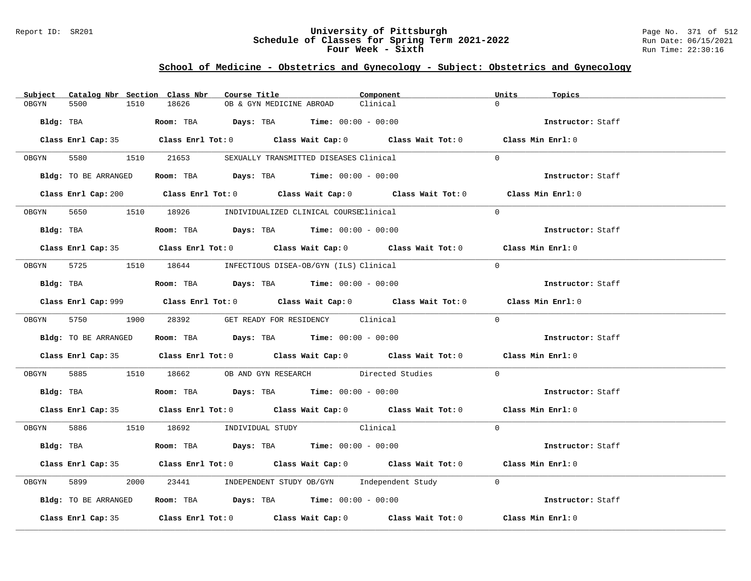### Report ID: SR201 **University of Pittsburgh** Page No. 371 of 512 **Schedule of Classes for Spring Term 2021-2022** Run Date: 06/15/2021 **Four Week - Sixth** Run Time: 22:30:16

# **School of Medicine - Obstetrics and Gynecology - Subject: Obstetrics and Gynecology**

|       | Subject Catalog Nbr Section Class Nbr | Course Title                                                                              | Component                                                                                                                                                                                                                     | Units<br>Topics   |  |
|-------|---------------------------------------|-------------------------------------------------------------------------------------------|-------------------------------------------------------------------------------------------------------------------------------------------------------------------------------------------------------------------------------|-------------------|--|
| OBGYN | 5500<br>1510                          | 18626<br>OB & GYN MEDICINE ABROAD                                                         | Clinical                                                                                                                                                                                                                      | $\Omega$          |  |
|       | Bldg: TBA                             | Room: TBA $Days: TBA$ Time: $00:00 - 00:00$                                               |                                                                                                                                                                                                                               | Instructor: Staff |  |
|       |                                       |                                                                                           | Class Enrl Cap: 35 Class Enrl Tot: 0 Class Wait Cap: 0 Class Wait Tot: 0 Class Min Enrl: 0                                                                                                                                    |                   |  |
|       |                                       | OBGYN 5580 1510 21653 SEXUALLY TRANSMITTED DISEASES Clinical                              |                                                                                                                                                                                                                               | $\Omega$          |  |
|       |                                       | Bldg: TO BE ARRANGED Room: TBA Days: TBA Time: 00:00 - 00:00                              |                                                                                                                                                                                                                               | Instructor: Staff |  |
|       |                                       |                                                                                           | Class Enrl Cap: 200 Class Enrl Tot: 0 Class Wait Cap: 0 Class Wait Tot: 0 Class Min Enrl: 0                                                                                                                                   |                   |  |
|       |                                       | OBGYN 5650 1510 18926 INDIVIDUALIZED CLINICAL COURSEClinical                              |                                                                                                                                                                                                                               | $\Omega$          |  |
|       | Bldg: TBA                             | Room: TBA $Days:$ TBA $Time: 00:00 - 00:00$                                               |                                                                                                                                                                                                                               | Instructor: Staff |  |
|       |                                       |                                                                                           | Class Enrl Cap: 35 Class Enrl Tot: 0 Class Wait Cap: 0 Class Wait Tot: 0 Class Min Enrl: 0                                                                                                                                    |                   |  |
|       |                                       | 0BGYN 5725 1510 18644 INFECTIOUS DISEA-OB/GYN (ILS) Clinical                              |                                                                                                                                                                                                                               | $\Omega$          |  |
|       |                                       | $Bldg:$ TBA $Room:$ TBA $Days:$ TBA $Time:$ $00:00 - 00:00$                               |                                                                                                                                                                                                                               | Instructor: Staff |  |
|       |                                       |                                                                                           | Class Enrl Cap: 999 Class Enrl Tot: 0 Class Wait Cap: 0 Class Wait Tot: 0 Class Min Enrl: 0                                                                                                                                   |                   |  |
|       | OBGYN 5750 1900 28392                 |                                                                                           | GET READY FOR RESIDENCY Clinical                                                                                                                                                                                              | $\Omega$          |  |
|       | Bldg: TO BE ARRANGED                  | Room: TBA $Days:$ TBA Time: $00:00 - 00:00$                                               |                                                                                                                                                                                                                               | Instructor: Staff |  |
|       |                                       |                                                                                           | Class Enrl Cap: 35 Class Enrl Tot: 0 Class Wait Cap: 0 Class Wait Tot: 0 Class Min Enrl: 0                                                                                                                                    |                   |  |
| OBGYN |                                       |                                                                                           | 5885 1510 18662 OB AND GYN RESEARCH Directed Studies                                                                                                                                                                          | $\Omega$          |  |
|       |                                       | Bldg: TBA                      Room: TBA          Days: TBA         Time: $00:00 - 00:00$ |                                                                                                                                                                                                                               | Instructor: Staff |  |
|       |                                       |                                                                                           | Class Enrl Cap: 35 Class Enrl Tot: 0 Class Wait Cap: 0 Class Wait Tot: 0 Class Min Enrl: 0                                                                                                                                    |                   |  |
|       |                                       | OBGYN 5886 1510 18692 INDIVIDUAL STUDY Clinical                                           |                                                                                                                                                                                                                               | $\Omega$          |  |
|       |                                       | Bldg: TBA                   Room: TBA         Days: TBA         Time: 00:00 - 00:00       |                                                                                                                                                                                                                               | Instructor: Staff |  |
|       |                                       |                                                                                           | Class Enrl Cap: 35 Class Enrl Tot: 0 Class Wait Cap: 0 Class Wait Tot: 0 Class Min Enrl: 0                                                                                                                                    |                   |  |
| OBGYN | 5899                                  |                                                                                           | 2000 23441 INDEPENDENT STUDY OB/GYN Independent Study 0                                                                                                                                                                       |                   |  |
|       | Bldg: TO BE ARRANGED                  | Room: TBA $Days:$ TBA $Time: 00:00 - 00:00$                                               |                                                                                                                                                                                                                               | Instructor: Staff |  |
|       |                                       |                                                                                           | Class Enrl Cap: 35 $\,$ Class Enrl Tot: 0 $\,$ Class Wait Cap: 0 $\,$ Class Wait Tot: 0 $\,$ Class Enrl Tot: 0 $\,$ Class Enrl Tot: 0 $\,$ Class Enrl Tot: 0 $\,$ Class Enrl Tot: 0 $\,$ Class Enrl Tot: 0 $\,$ Class Enrl To | Class Min Enrl: 0 |  |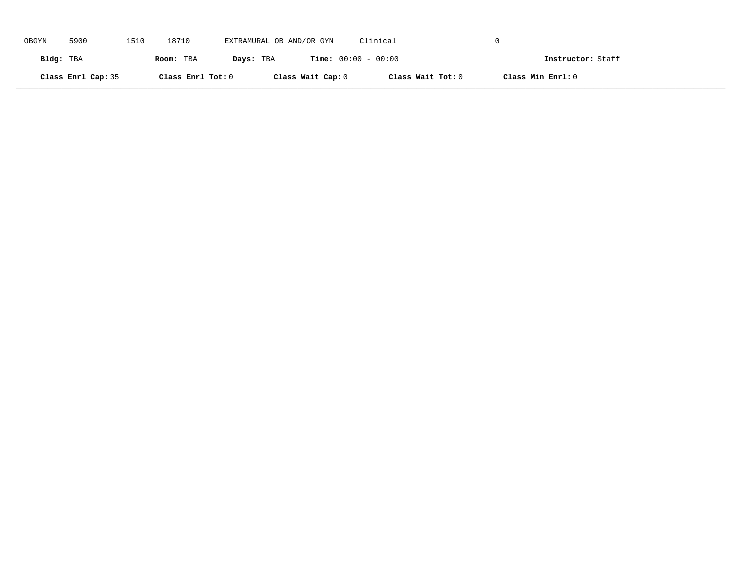| OBGYN     | 5900               | 1510 | 18710             | EXTRAMURAL OB AND/OR GYN |                   | Clinical                     |                   |  |
|-----------|--------------------|------|-------------------|--------------------------|-------------------|------------------------------|-------------------|--|
| Bldg: TBA |                    |      | Room: TBA         | Days: TBA                |                   | <b>Time:</b> $00:00 - 00:00$ | Instructor: Staff |  |
|           | Class Enrl Cap: 35 |      | Class Enrl Tot: 0 |                          | Class Wait Cap: 0 | Class Wait Tot: 0            | Class Min Enrl: 0 |  |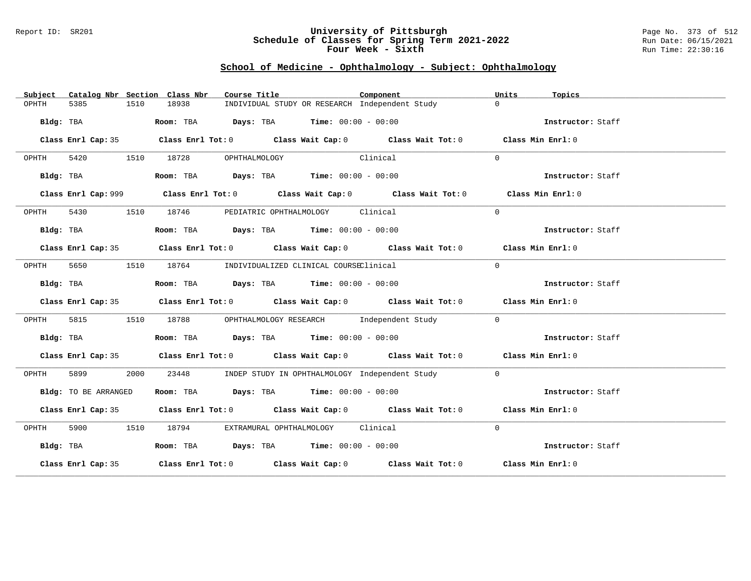### Report ID: SR201 **University of Pittsburgh** Page No. 373 of 512 **Schedule of Classes for Spring Term 2021-2022** Run Date: 06/15/2021 **Four Week - Sixth** Run Time: 22:30:16

# **School of Medicine - Ophthalmology - Subject: Ophthalmology**

| Subject   |                      |      | Catalog Nbr Section Class Nbr | Course Title                                                                          |          | Component                                                                                   | Units    | Topics            |
|-----------|----------------------|------|-------------------------------|---------------------------------------------------------------------------------------|----------|---------------------------------------------------------------------------------------------|----------|-------------------|
| OPHTH     | 5385                 | 1510 | 18938                         | INDIVIDUAL STUDY OR RESEARCH Independent Study                                        |          |                                                                                             | $\Omega$ |                   |
|           | Bldg: TBA            |      |                               | Room: TBA $Days:$ TBA Time: $00:00 - 00:00$                                           |          |                                                                                             |          | Instructor: Staff |
|           |                      |      |                               |                                                                                       |          | Class Enrl Cap: 35 Class Enrl Tot: 0 Class Wait Cap: 0 Class Wait Tot: 0 Class Min Enrl: 0  |          |                   |
| OPHTH     |                      |      |                               | 5420 1510 18728 OPHTHALMOLOGY                                                         | Clinical |                                                                                             | $\Omega$ |                   |
|           | Bldg: TBA            |      |                               | Room: TBA $Days:$ TBA $Time: 00:00 - 00:00$                                           |          |                                                                                             |          | Instructor: Staff |
|           |                      |      |                               |                                                                                       |          | Class Enrl Cap: 999 Class Enrl Tot: 0 Class Wait Cap: 0 Class Wait Tot: 0 Class Min Enrl: 0 |          |                   |
| OPHTH     |                      |      |                               | 5430 1510 18746 PEDIATRIC OPHTHALMOLOGY Clinical                                      |          |                                                                                             | $\Omega$ |                   |
|           | Bldg: TBA            |      |                               | Room: TBA $Days:$ TBA $Time: 00:00 - 00:00$                                           |          |                                                                                             |          | Instructor: Staff |
|           |                      |      |                               |                                                                                       |          | Class Enrl Cap: 35 Class Enrl Tot: 0 Class Wait Cap: 0 Class Wait Tot: 0 Class Min Enrl: 0  |          |                   |
|           |                      |      |                               | OPHTH 5650 1510 18764 INDIVIDUALIZED CLINICAL COURSEClinical                          |          |                                                                                             | $\Omega$ |                   |
|           | Bldg: TBA            |      |                               | Room: TBA $Days:$ TBA $Time: 00:00 - 00:00$                                           |          |                                                                                             |          | Instructor: Staff |
|           |                      |      |                               |                                                                                       |          | Class Enrl Cap: 35 Class Enrl Tot: 0 Class Wait Cap: 0 Class Wait Tot: 0 Class Min Enrl: 0  |          |                   |
| OPHTH     |                      |      |                               |                                                                                       |          | 5815 1510 18788 OPHTHALMOLOGY RESEARCH Independent Study                                    | $\Omega$ |                   |
|           | Bldg: TBA            |      |                               | <b>Room:</b> TBA $\rule{1em}{0.15mm}$ <b>Days:</b> TBA <b>Time:</b> $00:00 - 00:00$   |          |                                                                                             |          | Instructor: Staff |
|           |                      |      |                               |                                                                                       |          | Class Enrl Cap: 35 Class Enrl Tot: 0 Class Wait Cap: 0 Class Wait Tot: 0 Class Min Enrl: 0  |          |                   |
| OPHTH     | 5899 758             | 2000 | 23448                         | INDEP STUDY IN OPHTHALMOLOGY Independent Study                                        |          |                                                                                             | $\Omega$ |                   |
|           | Bldg: TO BE ARRANGED |      |                               | Room: TBA $\rule{1em}{0.15mm}$ Days: TBA $\rule{1.5mm}{0.15mm}$ Time: $00:00 - 00:00$ |          |                                                                                             |          | Instructor: Staff |
|           |                      |      |                               |                                                                                       |          | Class Enrl Cap: 35 Class Enrl Tot: 0 Class Wait Cap: 0 Class Wait Tot: 0 Class Min Enrl: 0  |          |                   |
| OPHTH     |                      |      |                               | 5900 1510 18794 EXTRAMURAL OPHTHALMOLOGY Clinical                                     |          |                                                                                             | $\Omega$ |                   |
| Bldg: TBA |                      |      |                               | Room: TBA $Days:$ TBA $Time: 00:00 - 00:00$                                           |          |                                                                                             |          | Instructor: Staff |
|           |                      |      |                               |                                                                                       |          | Class Enrl Cap: 35 Class Enrl Tot: 0 Class Wait Cap: 0 Class Wait Tot: 0 Class Min Enrl: 0  |          |                   |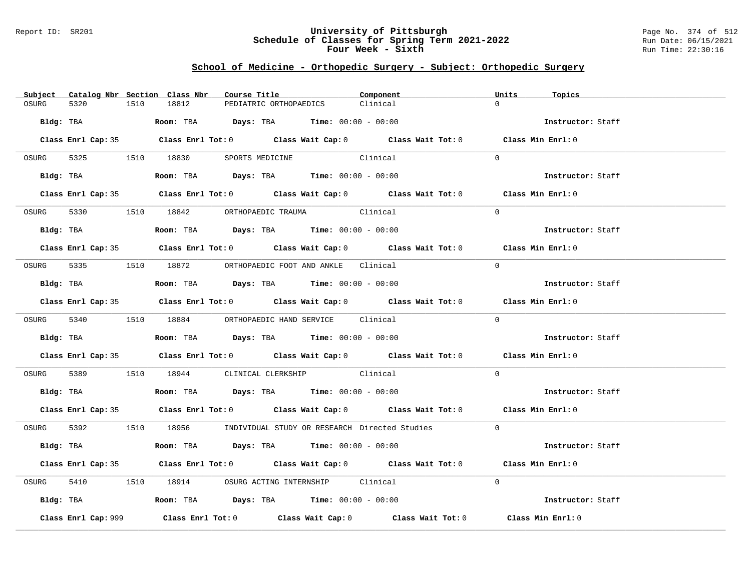### Report ID: SR201 **University of Pittsburgh** Page No. 374 of 512 **Schedule of Classes for Spring Term 2021-2022** Run Date: 06/15/2021 **Four Week - Sixth** Run Time: 22:30:16

# **School of Medicine - Orthopedic Surgery - Subject: Orthopedic Surgery**

| Subject Catalog Nbr Section Class Nbr | Course Title                                                                               | Component | Units<br>Topics   |
|---------------------------------------|--------------------------------------------------------------------------------------------|-----------|-------------------|
| OSURG<br>5320<br>1510                 | 18812<br>PEDIATRIC ORTHOPAEDICS                                                            | Clinical  | $\cap$            |
| Bldg: TBA                             | Room: TBA $Days: TBA$ Time: $00:00 - 00:00$                                                |           | Instructor: Staff |
|                                       | Class Enrl Cap: 35 Class Enrl Tot: 0 Class Wait Cap: 0 Class Wait Tot: 0 Class Min Enrl: 0 |           |                   |
|                                       | OSURG 5325 1510 18830 SPORTS MEDICINE                                                      | Clinical  | $\Omega$          |
| Bldg: TBA                             | Room: TBA $\rule{1em}{0.15mm}$ Days: TBA Time: $00:00 - 00:00$                             |           | Instructor: Staff |
|                                       | Class Enrl Cap: 35 Class Enrl Tot: 0 Class Wait Cap: 0 Class Wait Tot: 0 Class Min Enrl: 0 |           |                   |
|                                       | OSURG 5330 1510 18842 ORTHOPAEDIC TRAUMA Clinical                                          |           | $\Omega$          |
| Bldg: TBA                             | Room: TBA $Days:$ TBA Time: $00:00 - 00:00$                                                |           | Instructor: Staff |
|                                       | Class Enrl Cap: 35 Class Enrl Tot: 0 Class Wait Cap: 0 Class Wait Tot: 0 Class Min Enrl: 0 |           |                   |
|                                       | OSURG 5335 1510 18872 ORTHOPAEDIC FOOT AND ANKLE Clinical                                  |           | $\Omega$          |
| Bldg: TBA                             | Room: TBA $Days:$ TBA $Time: 00:00 - 00:00$                                                |           | Instructor: Staff |
|                                       | Class Enrl Cap: 35 Class Enrl Tot: 0 Class Wait Cap: 0 Class Wait Tot: 0 Class Min Enrl: 0 |           |                   |
|                                       | OSURG 5340 1510 18884 ORTHOPAEDIC HAND SERVICE Clinical                                    |           | $\Omega$          |
|                                       | Bldg: TBA                   Room: TBA         Days: TBA         Time: $00:00 - 00:00$      |           | Instructor: Staff |
|                                       | Class Enrl Cap: 35 Class Enrl Tot: 0 Class Wait Cap: 0 Class Wait Tot: 0 Class Min Enrl: 0 |           |                   |
| OSURG                                 | 5389 1510 18944 CLINICAL CLERKSHIP Clinical                                                |           | $\Omega$          |
|                                       | Bldg: TBA                   Room: TBA         Days: TBA         Time: 00:00 - 00:00        |           | Instructor: Staff |
|                                       | Class Enrl Cap: 35 Class Enrl Tot: 0 Class Wait Cap: 0 Class Wait Tot: 0 Class Min Enrl: 0 |           |                   |
|                                       | OSURG 5392 1510 18956 INDIVIDUAL STUDY OR RESEARCH Directed Studies 0                      |           |                   |
| Bldg: TBA                             | Room: TBA $Days: TBA$ Time: $00:00 - 00:00$                                                |           | Instructor: Staff |
|                                       | Class Enrl Cap: 35 Class Enrl Tot: 0 Class Wait Cap: 0 Class Wait Tot: 0 Class Min Enrl: 0 |           |                   |
| OSURG                                 | 5410 1510 18914 OSURG ACTING INTERNSHIP Clinical                                           |           | $\Omega$          |
|                                       | Bldg: TBA                   Room: TBA         Days: TBA         Time: 00:00 - 00:00        |           | Instructor: Staff |
| Class Enrl Cap: 999                   | Class Enrl Tot: $0$ Class Wait Cap: $0$ Class Wait Tot: $0$ Class Min Enrl: $0$            |           |                   |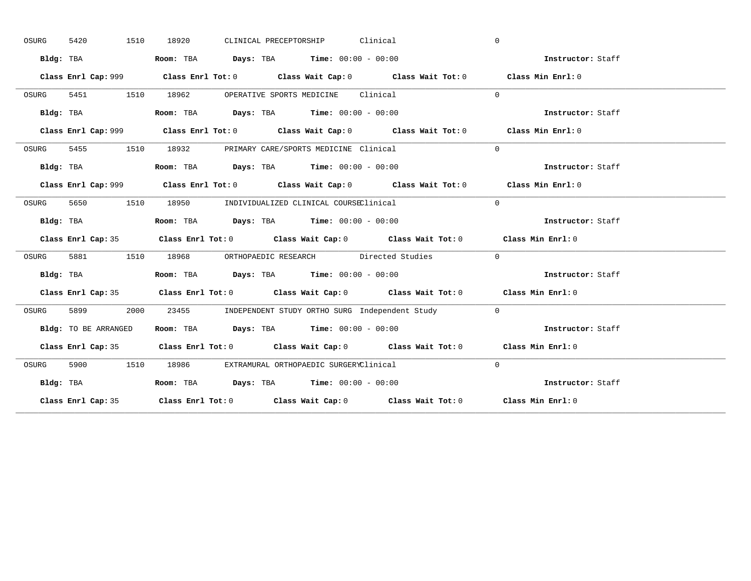| OSURG | 1510<br>5420         | CLINICAL PRECEPTORSHIP Clinical<br>18920                                                     | $\mathbf{0}$      |
|-------|----------------------|----------------------------------------------------------------------------------------------|-------------------|
|       | Bldg: TBA            | Room: TBA $Days:$ TBA $Time: 00:00 - 00:00$                                                  | Instructor: Staff |
|       |                      | Class Enrl Cap: 999 Class Enrl Tot: 0 Class Wait Cap: 0 Class Wait Tot: 0 Class Min Enrl: 0  |                   |
| OSURG | 5451 1510            | 18962 OPERATIVE SPORTS MEDICINE Clinical                                                     | $\Omega$          |
|       | Bldg: TBA            | Room: TBA $\rule{1em}{0.15mm}$ Days: TBA $\rule{1.15mm}]{0.15mm}$ Time: $0.000 - 0.0000$     | Instructor: Staff |
|       |                      | Class Enrl Cap: 999 Class Enrl Tot: 0 Class Wait Cap: 0 Class Wait Tot: 0 Class Min Enrl: 0  |                   |
| OSURG |                      | 5455 1510 18932 PRIMARY CARE/SPORTS MEDICINE Clinical                                        | $\Omega$          |
|       |                      | Bldg: TBA                        Room: TBA          Days: TBA          Time: $00:00 - 00:00$ | Instructor: Staff |
|       |                      |                                                                                              | Class Min Enrl: 0 |
| OSURG | 5650                 | 1510 18950 INDIVIDUALIZED CLINICAL COURSEClinical                                            | $\Omega$          |
|       | Bldg: TBA            | Room: TBA $\rule{1em}{0.15mm}$ Days: TBA $\rule{1.5mm}{0.15mm}$ Time: $00:00 - 00:00$        | Instructor: Staff |
|       |                      | Class Enrl Cap: 35 Class Enrl Tot: 0 Class Wait Cap: 0 Class Wait Tot: 0 Class Min Enrl: 0   |                   |
| OSURG |                      | 5881 1510 18968 ORTHOPAEDIC RESEARCH Directed Studies                                        | $\Omega$          |
|       | Bldg: TBA            | Room: TBA $Days:$ TBA $Time: 00:00 - 00:00$                                                  | Instructor: Staff |
|       |                      | Class Enrl Cap: 35 Class Enrl Tot: 0 Class Wait Cap: 0 Class Wait Tot: 0 Class Min Enrl: 0   |                   |
| OSURG | 5899<br>2000         | 23455 INDEPENDENT STUDY ORTHO SURG Independent Study 0                                       |                   |
|       | Bldg: TO BE ARRANGED | Room: TBA $Days:$ TBA $Time: 00:00 - 00:00$                                                  | Instructor: Staff |
|       |                      |                                                                                              |                   |
|       |                      | Class Enrl Cap: 35 Class Enrl Tot: 0 Class Wait Cap: 0 Class Wait Tot: 0 Class Min Enrl: 0   |                   |
| OSURG |                      | 5900 1510 18986 EXTRAMURAL ORTHOPAEDIC SURGERYClinical                                       | $\Omega$          |
|       | Bldg: TBA            | Room: TBA $Days:$ TBA $Time: 00:00 - 00:00$                                                  | Instructor: Staff |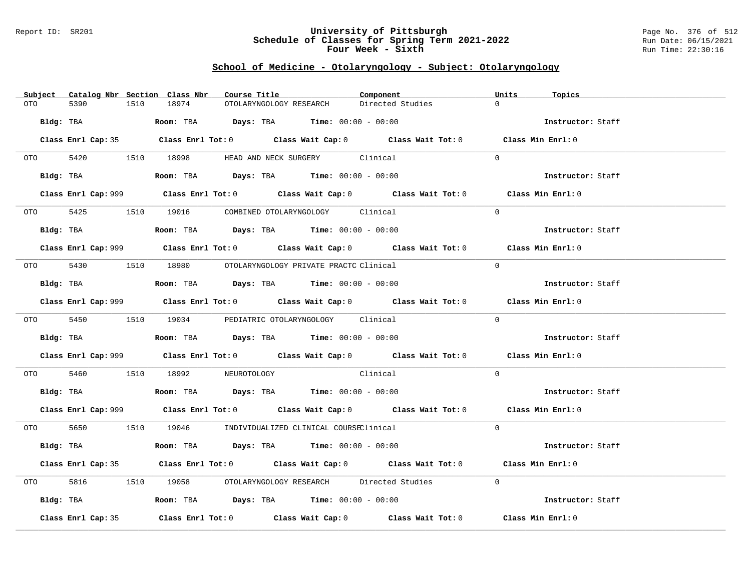### Report ID: SR201 **University of Pittsburgh** Page No. 376 of 512 **Schedule of Classes for Spring Term 2021-2022** Run Date: 06/15/2021 **Four Week - Sixth** Run Time: 22:30:16

# **School of Medicine - Otolaryngology - Subject: Otolaryngology**

| 5390<br>18974<br>OTO<br>1510                                                                  | Directed Studies<br>OTOLARYNGOLOGY RESEARCH                                                        | $\Omega$          |
|-----------------------------------------------------------------------------------------------|----------------------------------------------------------------------------------------------------|-------------------|
| Bldg: TBA                                                                                     | <b>ROOM:</b> TBA <b>Days:</b> TBA <b>Time:</b> $00:00 - 00:00$                                     | Instructor: Staff |
|                                                                                               |                                                                                                    |                   |
| Class Enrl Cap: 35 Class Enrl Tot: 0 Class Wait Cap: 0 Class Wait Tot: 0 Class Min Enrl: 0    |                                                                                                    |                   |
| OTO 5420 1510 18998 HEAD AND NECK SURGERY Clinical                                            |                                                                                                    | $\Omega$          |
| Bldg: TBA                       Room: TBA           Days: TBA          Time: 00:00 - 00:00    |                                                                                                    | Instructor: Staff |
| Class Enrl Cap: 999 Class Enrl Tot: 0 Class Wait Cap: 0 Class Wait Tot: 0 Class Min Enrl: 0   |                                                                                                    |                   |
| OTO 5425 1510 19016 COMBINED OTOLARYNGOLOGY Clinical                                          |                                                                                                    | $\Omega$          |
| Bldg: TBA                   Room: TBA         Days: TBA         Time: $00:00 - 00:00$         |                                                                                                    | Instructor: Staff |
| Class Enrl Cap: 999 Class Enrl Tot: 0 Class Wait Cap: 0 Class Wait Tot: 0 Class Min Enrl: 0   |                                                                                                    |                   |
| 0T0 5430 1510 18980 0TOLARYNGOLOGY PRIVATE PRACTC Clinical                                    |                                                                                                    | $\Omega$          |
| Bldg: TBA                                                                                     | Room: TBA $\rule{1em}{0.15mm}$ Days: TBA Time: $00:00 - 00:00$                                     | Instructor: Staff |
| Class Enrl Cap: 999 Class Enrl Tot: 0 Class Wait Cap: 0 Class Wait Tot: 0 Class Min Enrl: 0   |                                                                                                    |                   |
| 0TO 5450 1510 19034 PEDIATRIC OTOLARYNGOLOGY Clinical                                         |                                                                                                    | $\Omega$          |
| Bldg: TBA                       Room: TBA         Days: TBA         Time: $00:00 - 00:00$     |                                                                                                    | Instructor: Staff |
| Class Enrl Cap: 999 Class Enrl Tot: 0 Class Wait Cap: 0 Class Wait Tot: 0 Class Min Enrl: 0   |                                                                                                    |                   |
| OTO 5460 1510 18992 NEUROTOLOGY Clinical                                                      |                                                                                                    | $\Omega$          |
| Bldg: TBA                          Room: TBA          Days: TBA         Time: $00:00 - 00:00$ |                                                                                                    | Instructor: Staff |
| Class Enrl Cap: 999 Class Enrl Tot: 0 Class Wait Cap: 0 Class Wait Tot: 0 Class Min Enrl: 0   |                                                                                                    |                   |
| 0TO 5650 1510 19046 INDIVIDUALIZED CLINICAL COURSEClinical                                    |                                                                                                    | $\Omega$          |
| Bldg: TBA                                                                                     | <b>Room:</b> TBA $Days: TBA$ <b>Time:</b> $00:00 - 00:00$                                          | Instructor: Staff |
| Class Enrl Cap: 35 Class Enrl Tot: 0 Class Wait Cap: 0 Class Wait Tot: 0 Class Min Enrl: 0    |                                                                                                    |                   |
| 5816 1510 19058 OTOLARYNGOLOGY RESEARCH Directed Studies<br>OTO DIE                           |                                                                                                    | $\Omega$          |
| Bldg: TBA                    Room: TBA        Days: TBA        Time: 00:00 - 00:00            |                                                                                                    | Instructor: Staff |
| Class Enrl Cap: 35                                                                            | Class Enrl Tot: 0 $\qquad$ Class Wait Cap: 0 $\qquad$ Class Wait Tot: 0 $\qquad$ Class Min Enrl: 0 |                   |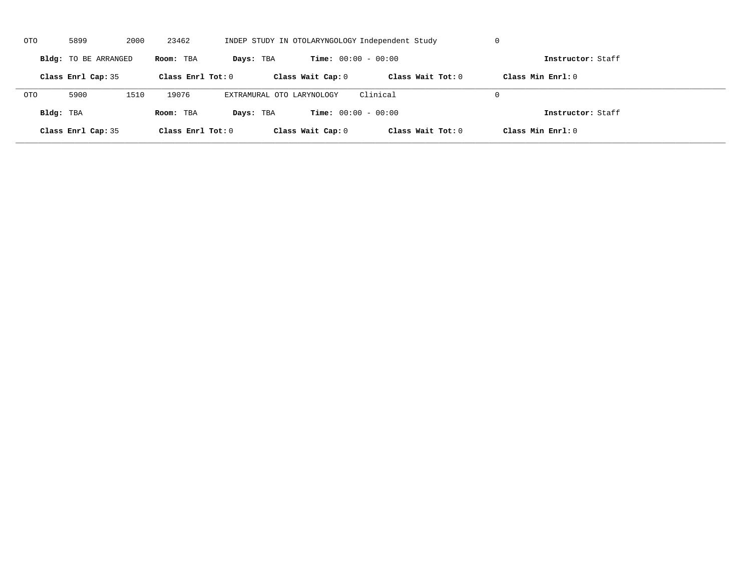| OTO        | 5899                 | 2000 | 23462               |                           |                              | INDEP STUDY IN OTOLARYNGOLOGY Independent Study | U                   |  |
|------------|----------------------|------|---------------------|---------------------------|------------------------------|-------------------------------------------------|---------------------|--|
|            | Bldg: TO BE ARRANGED |      | Room: TBA           | Days: TBA                 | <b>Time:</b> $00:00 - 00:00$ |                                                 | Instructor: Staff   |  |
|            | Class Enrl Cap: 35   |      | Class Enrl Tot: $0$ |                           | Class Wait Cap: 0            | Class Wait $Tot: 0$                             | Class Min $Enrl: 0$ |  |
| <b>OTO</b> | 5900                 | 1510 | 19076               | EXTRAMURAL OTO LARYNOLOGY |                              | Clinical                                        | $\Omega$            |  |
| Bldg: TBA  |                      |      | Room: TBA           | Days: TBA                 | <b>Time:</b> $00:00 - 00:00$ |                                                 | Instructor: Staff   |  |
|            | Class Enrl Cap: 35   |      | Class Enrl Tot: 0   |                           | Class Wait Cap: 0            | Class Wait Tot: 0                               | Class Min Enrl: 0   |  |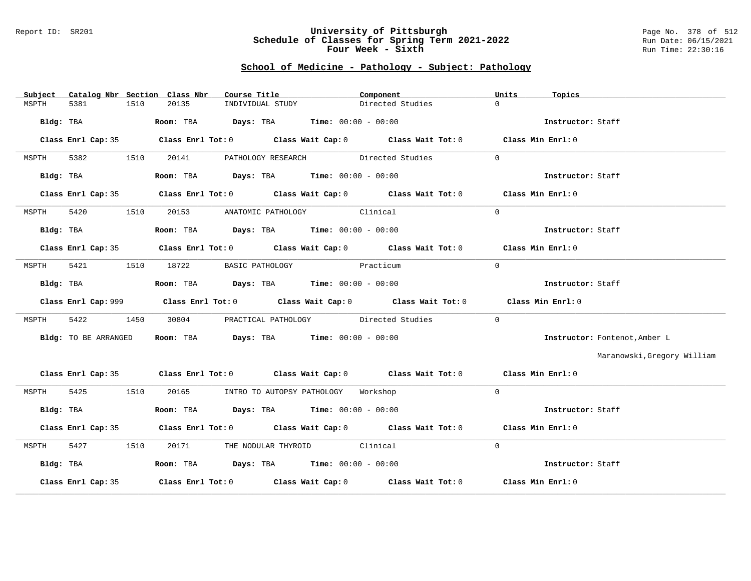#### Report ID: SR201 **University of Pittsburgh** Page No. 378 of 512 **Schedule of Classes for Spring Term 2021-2022** Run Date: 06/15/2021 **Four Week - Sixth** Run Time: 22:30:16

## **School of Medicine - Pathology - Subject: Pathology**

| Catalog Nbr Section Class Nbr<br>Subject | Course Title                                                                          | Component                                                                                  | Units<br>Topics               |
|------------------------------------------|---------------------------------------------------------------------------------------|--------------------------------------------------------------------------------------------|-------------------------------|
| 1510<br>MSPTH<br>5381                    | 20135<br>INDIVIDUAL STUDY                                                             | Directed Studies                                                                           | $\Omega$                      |
| Bldg: TBA                                | Room: TBA $Days: TBA$ Time: $00:00 - 00:00$                                           |                                                                                            | Instructor: Staff             |
|                                          |                                                                                       | Class Enrl Cap: 35 Class Enrl Tot: 0 Class Wait Cap: 0 Class Wait Tot: 0 Class Min Enrl: 0 |                               |
| 5382<br>1510<br>MSPTH                    |                                                                                       | 20141 PATHOLOGY RESEARCH Directed Studies                                                  | $\Omega$                      |
| Bldg: TBA                                | Room: TBA $Days:$ TBA $Time: 00:00 - 00:00$                                           |                                                                                            | Instructor: Staff             |
|                                          |                                                                                       | Class Enrl Cap: 35 Class Enrl Tot: 0 Class Wait Cap: 0 Class Wait Tot: 0 Class Min Enrl: 0 |                               |
| 5420<br>1510<br>MSPTH                    | 20153 ANATOMIC PATHOLOGY Clinical                                                     |                                                                                            | $\Omega$                      |
| Bldg: TBA                                | Room: TBA $Days: TBA$ Time: $00:00 - 00:00$                                           |                                                                                            | Instructor: Staff             |
|                                          |                                                                                       | Class Enrl Cap: 35 Class Enrl Tot: 0 Class Wait Cap: 0 Class Wait Tot: 0 Class Min Enrl: 0 |                               |
| 5421<br>MSPTH                            | 1510 18722                                                                            | BASIC PATHOLOGY Practicum                                                                  | $\Omega$                      |
| Bldg: TBA                                | Room: TBA $\rule{1em}{0.15mm}$ Days: TBA Time: $00:00 - 00:00$                        |                                                                                            | Instructor: Staff             |
|                                          |                                                                                       |                                                                                            | Class Min Enrl: 0             |
| 5422<br>1450<br>MSPTH                    | 30804                                                                                 | PRACTICAL PATHOLOGY Directed Studies                                                       | $\Omega$                      |
| Bldg: TO BE ARRANGED                     | Room: TBA $Days: TBA$ Time: $00:00 - 00:00$                                           |                                                                                            | Instructor: Fontenot, Amber L |
|                                          |                                                                                       |                                                                                            | Maranowski, Gregory William   |
|                                          |                                                                                       | Class Enrl Cap: 35 Class Enrl Tot: 0 Class Wait Cap: 0 Class Wait Tot: 0 Class Min Enrl: 0 |                               |
| 5425 1510<br>MSPTH                       | 20165 INTRO TO AUTOPSY PATHOLOGY Workshop                                             |                                                                                            | $\Omega$                      |
| Bldg: TBA                                | Room: TBA $\rule{1em}{0.15mm}$ Days: TBA Time: $00:00 - 00:00$                        |                                                                                            | Instructor: Staff             |
|                                          |                                                                                       | Class Enrl Cap: 35 Class Enrl Tot: 0 Class Wait Cap: 0 Class Wait Tot: 0 Class Min Enrl: 0 |                               |
| 5427<br>MSPTH<br>1510                    | 20171 THE NODULAR THYROID Clinical                                                    |                                                                                            | $\Omega$                      |
| Bldg: TBA                                | Room: TBA $\rule{1em}{0.15mm}$ Days: TBA $\rule{1.5mm}{0.15mm}$ Time: $00:00 - 00:00$ |                                                                                            | Instructor: Staff             |
| Class Enrl Cap: 35                       |                                                                                       | Class Enrl Tot: $0$ Class Wait Cap: $0$ Class Wait Tot: $0$ Class Min Enrl: $0$            |                               |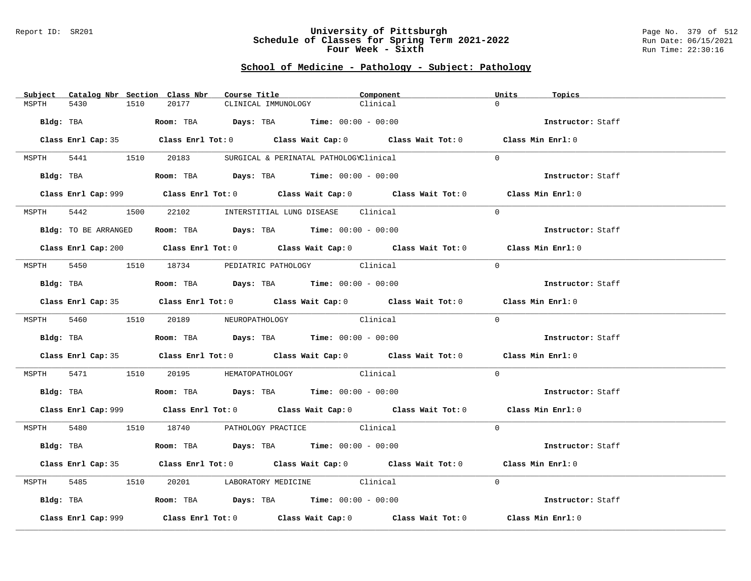#### Report ID: SR201 **University of Pittsburgh** Page No. 379 of 512 **Schedule of Classes for Spring Term 2021-2022** Run Date: 06/15/2021 **Four Week - Sixth** Run Time: 22:30:16

## **School of Medicine - Pathology - Subject: Pathology**

| Subject Catalog Nbr Section Class Nbr | Course Title                                                                                       | Component | Units<br>Topics   |
|---------------------------------------|----------------------------------------------------------------------------------------------------|-----------|-------------------|
| MSPTH<br>5430<br>1510                 | 20177<br>CLINICAL IMMUNOLOGY                                                                       | Clinical  | $\Omega$          |
| Bldg: TBA                             | Room: TBA $\rule{1em}{0.15mm}$ Days: TBA Time: $00:00 - 00:00$                                     |           | Instructor: Staff |
|                                       |                                                                                                    |           |                   |
|                                       | Class Enrl Cap: 35 Class Enrl Tot: 0 Class Wait Cap: 0 Class Wait Tot: 0 Class Min Enrl: 0         |           |                   |
|                                       | MSPTH 5441 1510 20183 SURGICAL & PERINATAL PATHOLOGYClinical                                       |           | $\Omega$          |
|                                       | Bldg: TBA                  Room: TBA        Days: TBA        Time: 00:00 - 00:00                   |           | Instructor: Staff |
|                                       | Class Enrl Cap: 999 Class Enrl Tot: 0 Class Wait Cap: 0 Class Wait Tot: 0 Class Min Enrl: 0        |           |                   |
| 5442<br>MSPTH                         | 1500 22102 INTERSTITIAL LUNG DISEASE Clinical                                                      |           | $\Omega$          |
| Bldg: TO BE ARRANGED                  | Room: TBA $Days:$ TBA Time: $00:00 - 00:00$                                                        |           | Instructor: Staff |
|                                       | Class Enrl Cap: 200 Class Enrl Tot: 0 Class Wait Cap: 0 Class Wait Tot: 0 Class Min Enrl: 0        |           |                   |
|                                       | MSPTH 5450 1510 18734 PEDIATRIC PATHOLOGY Clinical                                                 |           | $\Omega$          |
| Bldg: TBA                             | Room: TBA $Days: TBA$ Time: $00:00 - 00:00$                                                        |           | Instructor: Staff |
|                                       | Class Enrl Cap: 35 Class Enrl Tot: 0 Class Wait Cap: 0 Class Wait Tot: 0 Class Min Enrl: 0         |           |                   |
|                                       |                                                                                                    | Clinical  | $\Omega$          |
|                                       | MSPTH 5460 1510 20189 NEUROPATHOLOGY                                                               |           |                   |
|                                       | Bldg: TBA                         Room: TBA         Days: TBA         Time: $00:00 - 00:00$        |           | Instructor: Staff |
|                                       | Class Enrl Cap: 35 Class Enrl Tot: 0 Class Wait Cap: 0 Class Wait Tot: 0 Class Min Enrl: 0         |           |                   |
|                                       | MSPTH 5471 1510 20195 HEMATOPATHOLOGY Clinical                                                     |           | $\Omega$          |
|                                       | Bldg: TBA                    Room: TBA         Days: TBA         Time: $00:00 - 00:00$             |           | Instructor: Staff |
|                                       | Class Enrl Cap: 999 Class Enrl Tot: 0 Class Wait Cap: 0 Class Wait Tot: 0 Class Min Enrl: 0        |           |                   |
|                                       | MSPTH 5480 1510 18740 PATHOLOGY PRACTICE Clinical                                                  |           | $\Omega$          |
|                                       | Bldg: TBA                   Room: TBA         Days: TBA         Time: $00:00 - 00:00$              |           | Instructor: Staff |
|                                       | Class Enrl Cap: 35 Class Enrl Tot: 0 Class Wait Cap: 0 Class Wait Tot: 0 Class Min Enrl: 0         |           |                   |
| MSPTH                                 | 5485 1510 20201 LABORATORY MEDICINE Clinical                                                       |           | $\Omega$          |
|                                       | Bldg: TBA                         Room: TBA          Days: TBA          Time: 00:00 - 00:00        |           | Instructor: Staff |
| Class Enrl Cap: 999                   | Class Enrl Tot: 0 $\qquad$ Class Wait Cap: 0 $\qquad$ Class Wait Tot: 0 $\qquad$ Class Min Enrl: 0 |           |                   |
|                                       |                                                                                                    |           |                   |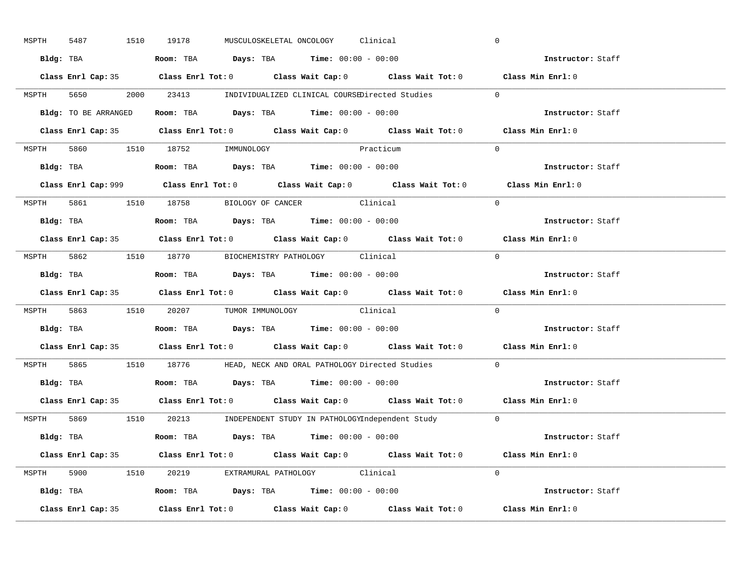| MSPTH | 5487                 | 1510 19178                                                                            | MUSCULOSKELETAL ONCOLOGY Clinical           |                                                                         | $\mathbf 0$                                                                                 |
|-------|----------------------|---------------------------------------------------------------------------------------|---------------------------------------------|-------------------------------------------------------------------------|---------------------------------------------------------------------------------------------|
|       |                      | Bldg: TBA                   Room: TBA         Days: TBA        Time: 00:00 - 00:00    |                                             |                                                                         | Instructor: Staff                                                                           |
|       |                      |                                                                                       |                                             |                                                                         | Class Enrl Cap: 35 Class Enrl Tot: 0 Class Wait Cap: 0 Class Wait Tot: 0 Class Min Enrl: 0  |
|       |                      |                                                                                       |                                             | MSPTH 5650 2000 23413 INDIVIDUALIZED CLINICAL COURSEDirected Studies 0  |                                                                                             |
|       | Bldg: TO BE ARRANGED |                                                                                       | Room: TBA $Days:$ TBA $Time: 00:00 - 00:00$ |                                                                         | Instructor: Staff                                                                           |
|       |                      |                                                                                       |                                             |                                                                         | Class Enrl Cap: 35 Class Enrl Tot: 0 Class Wait Cap: 0 Class Wait Tot: 0 Class Min Enrl: 0  |
|       |                      | MSPTH 5860 1510 18752 IMMUNOLOGY                                                      | Practicum                                   |                                                                         | $\Omega$                                                                                    |
|       |                      | <b>Bldg:</b> TBA <b>ROOM:</b> TBA <b>Days:</b> TBA <b>Time:</b> $00:00 - 00:00$       |                                             |                                                                         | Instructor: Staff                                                                           |
|       |                      |                                                                                       |                                             |                                                                         | Class Enrl Cap: 999 Class Enrl Tot: 0 Class Wait Cap: 0 Class Wait Tot: 0 Class Min Enrl: 0 |
|       |                      | MSPTH 5861 1510 18758 BIOLOGY OF CANCER Clinical                                      |                                             |                                                                         | $\Omega$                                                                                    |
|       |                      | Bldg: TBA                   Room: TBA         Days: TBA         Time: $00:00 - 00:00$ |                                             |                                                                         | Instructor: Staff                                                                           |
|       |                      |                                                                                       |                                             |                                                                         | Class Enrl Cap: 35 Class Enrl Tot: 0 Class Wait Cap: 0 Class Wait Tot: 0 Class Min Enrl: 0  |
|       |                      | MSPTH 5862 1510 18770 BIOCHEMISTRY PATHOLOGY Clinical                                 |                                             |                                                                         | $\Omega$                                                                                    |
|       |                      | Bldg: TBA                   Room: TBA         Days: TBA         Time: $00:00 - 00:00$ |                                             |                                                                         | Instructor: Staff                                                                           |
|       |                      |                                                                                       |                                             |                                                                         | Class Enrl Cap: 35 Class Enrl Tot: 0 Class Wait Cap: 0 Class Wait Tot: 0 Class Min Enrl: 0  |
|       |                      | MSPTH 5863 1510 20207 TUMOR IMMUNOLOGY Clinical                                       |                                             |                                                                         | $\Omega$                                                                                    |
|       |                      | Bldg: TBA                   Room: TBA         Days: TBA        Time: $00:00 - 00:00$  |                                             |                                                                         | Instructor: Staff                                                                           |
|       |                      |                                                                                       |                                             |                                                                         | Class Enrl Cap: 35 Class Enrl Tot: 0 Class Wait Cap: 0 Class Wait Tot: 0 Class Min Enrl: 0  |
| MSPTH |                      |                                                                                       |                                             | 5865 1510 18776 HEAD, NECK AND ORAL PATHOLOGY Directed Studies          | $\Omega$                                                                                    |
|       |                      | Bldg: TBA                    Room: TBA         Days: TBA         Time: 00:00 - 00:00  |                                             |                                                                         | Instructor: Staff                                                                           |
|       |                      |                                                                                       |                                             |                                                                         | Class Enrl Cap: 35 Class Enrl Tot: 0 Class Wait Cap: 0 Class Wait Tot: 0 Class Min Enrl: 0  |
|       |                      |                                                                                       |                                             | MSPTH 5869 1510 20213 INDEPENDENT STUDY IN PATHOLOGYIndependent Study 0 |                                                                                             |
|       |                      | Bldg: TBA                    Room: TBA         Days: TBA         Time: 00:00 - 00:00  |                                             |                                                                         | Instructor: Staff                                                                           |
|       |                      |                                                                                       |                                             |                                                                         | Class Enrl Cap: 35 Class Enrl Tot: 0 Class Wait Cap: 0 Class Wait Tot: 0 Class Min Enrl: 0  |
|       |                      | MSPTH 5900 1510 20219 EXTRAMURAL PATHOLOGY Clinical                                   |                                             |                                                                         | $\Omega$                                                                                    |
|       |                      | Bldg: TBA                   Room: TBA         Days: TBA         Time: 00:00 - 00:00   |                                             |                                                                         | Instructor: Staff                                                                           |
|       | Class Enrl Cap: 35   |                                                                                       |                                             |                                                                         | Class Enrl Tot: $0$ Class Wait Cap: $0$ Class Wait Tot: $0$ Class Min Enrl: $0$             |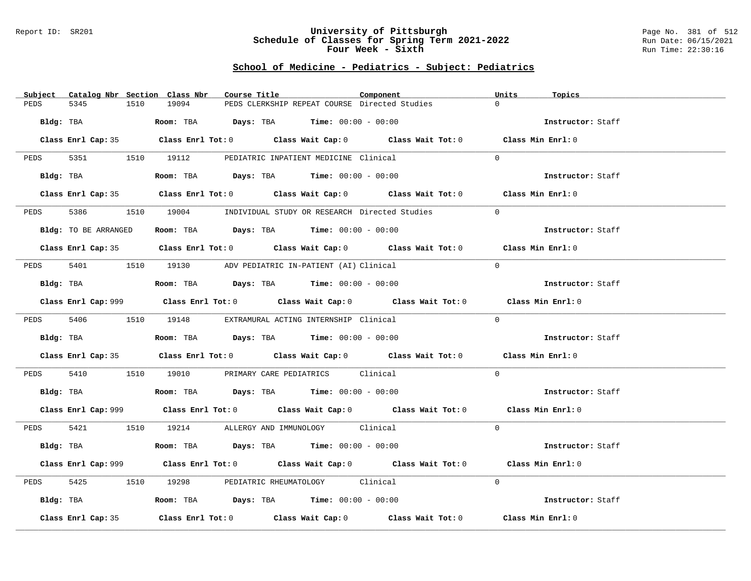#### Report ID: SR201 **University of Pittsburgh** Page No. 381 of 512 **Schedule of Classes for Spring Term 2021-2022** Run Date: 06/15/2021 **Four Week - Sixth** Run Time: 22:30:16

# **School of Medicine - Pediatrics - Subject: Pediatrics**

| Subject              | Catalog Nbr Section Class Nbr<br>Course Title                                                      | Component | Units<br>Topics   |
|----------------------|----------------------------------------------------------------------------------------------------|-----------|-------------------|
| PEDS<br>5345         | 19094<br>PEDS CLERKSHIP REPEAT COURSE Directed Studies<br>1510                                     |           | $\Omega$          |
| Bldg: TBA            | Room: TBA $Days:$ TBA $Time: 00:00 - 00:00$                                                        |           | Instructor: Staff |
|                      |                                                                                                    |           |                   |
|                      | Class Enrl Cap: 35 Class Enrl Tot: 0 Class Wait Cap: 0 Class Wait Tot: 0 Class Min Enrl: 0         |           |                   |
|                      | PEDS 5351 1510 19112 PEDIATRIC INPATIENT MEDICINE Clinical                                         |           | $\Omega$          |
|                      | Bldg: TBA                   Room: TBA         Days: TBA        Time: $00:00 - 00:00$               |           | Instructor: Staff |
|                      | Class Enrl Cap: 35 Class Enrl Tot: 0 Class Wait Cap: 0 Class Wait Tot: 0 Class Min Enrl: 0         |           |                   |
| 5386 7<br>PEDS       | 1510 19004 INDIVIDUAL STUDY OR RESEARCH Directed Studies                                           |           | $\Omega$          |
| Bldg: TO BE ARRANGED | Room: TBA $\rule{1em}{0.15mm}$ Days: TBA Time: $00:00 - 00:00$                                     |           | Instructor: Staff |
|                      | Class Enrl Cap: 35 Class Enrl Tot: 0 Class Wait Cap: 0 Class Wait Tot: 0 Class Min Enrl: 0         |           |                   |
|                      |                                                                                                    |           |                   |
| PEDS                 | 5401 1510 19130 ADV PEDIATRIC IN-PATIENT (AI) Clinical                                             |           | $\Omega$          |
| Bldg: TBA            | Room: TBA $Days: TBA$ Time: $00:00 - 00:00$                                                        |           | Instructor: Staff |
|                      | Class Enrl Cap: 999 Class Enrl Tot: 0 Class Wait Cap: 0 Class Wait Tot: 0 Class Min Enrl: 0        |           |                   |
|                      | PEDS 5406 1510 19148 EXTRAMURAL ACTING INTERNSHIP Clinical                                         |           | $\Omega$          |
|                      | Bldg: TBA                   Room: TBA         Days: TBA        Time: 00:00 - 00:00                 |           | Instructor: Staff |
|                      | Class Enrl Cap: 35 Class Enrl Tot: 0 Class Wait Cap: 0 Class Wait Tot: 0 Class Min Enrl: 0         |           |                   |
| PEDS                 | 5410 1510 19010 PRIMARY CARE PEDIATRICS Clinical                                                   |           | $\overline{0}$    |
|                      | Bldg: TBA                    Room: TBA        Days: TBA        Time: $00:00 - 00:00$               |           | Instructor: Staff |
|                      | Class Enrl Cap: 999 Class Enrl Tot: 0 Class Wait Cap: 0 Class Wait Tot: 0 Class Min Enrl: 0        |           |                   |
|                      | PEDS 5421 1510 19214 ALLERGY AND IMMUNOLOGY Clinical                                               |           | $\Omega$          |
|                      | Bldg: TBA                    Room: TBA         Days: TBA         Time: $00:00 - 00:00$             |           | Instructor: Staff |
|                      | Class Enrl Cap: 999 Class Enrl Tot: 0 Class Wait Cap: 0 Class Wait Tot: 0 Class Min Enrl: 0        |           |                   |
| 5425<br>PEDS         | 1510 19298 PEDIATRIC RHEUMATOLOGY Clinical                                                         |           | $\Omega$          |
|                      | Bldg: TBA                   Room: TBA         Days: TBA         Time: $00:00 - 00:00$              |           | Instructor: Staff |
| Class Enrl Cap: 35   | Class Enrl Tot: 0 $\qquad$ Class Wait Cap: 0 $\qquad$ Class Wait Tot: 0 $\qquad$ Class Min Enrl: 0 |           |                   |
|                      |                                                                                                    |           |                   |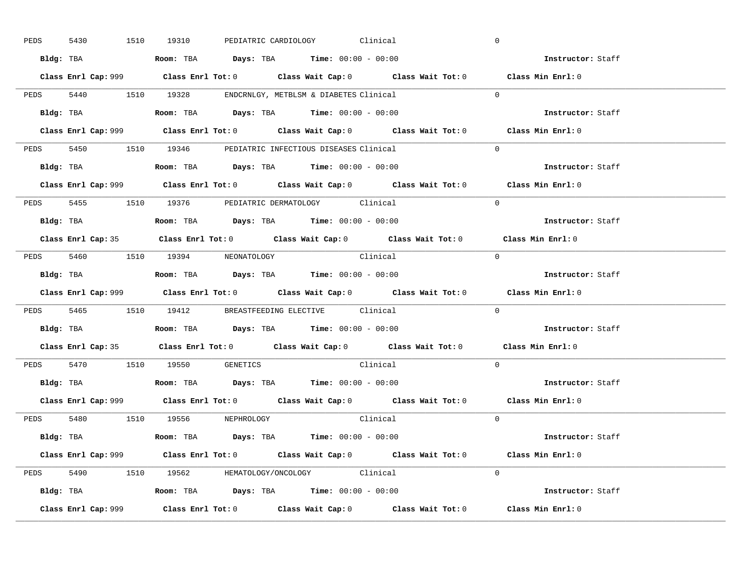| PEDS | 5430      |  | 1510 19310                                                                             |  | PEDIATRIC CARDIOLOGY Clinical |                                                                                             | $\overline{0}$ |                          |  |
|------|-----------|--|----------------------------------------------------------------------------------------|--|-------------------------------|---------------------------------------------------------------------------------------------|----------------|--------------------------|--|
|      |           |  | Bldg: TBA                   Room: TBA         Days: TBA         Time: $00:00 - 00:00$  |  |                               |                                                                                             |                | Instructor: Staff        |  |
|      |           |  |                                                                                        |  |                               | Class Enrl Cap: 999 Class Enrl Tot: 0 Class Wait Cap: 0 Class Wait Tot: 0 Class Min Enrl: 0 |                |                          |  |
|      |           |  | PEDS 5440 1510 19328 ENDCRNLGY, METBLSM & DIABETES Clinical                            |  |                               |                                                                                             | $\Omega$       |                          |  |
|      |           |  | Bldg: TBA                   Room: TBA         Days: TBA         Time: $00:00 - 00:00$  |  |                               |                                                                                             |                | Instructor: Staff        |  |
|      |           |  |                                                                                        |  |                               | Class Enrl Cap: 999 Class Enrl Tot: 0 Class Wait Cap: 0 Class Wait Tot: 0 Class Min Enrl: 0 |                |                          |  |
|      |           |  | PEDS 5450 1510 19346 PEDIATRIC INFECTIOUS DISEASES Clinical                            |  |                               |                                                                                             | $\Omega$       |                          |  |
|      |           |  | Bldg: TBA                    Room: TBA         Days: TBA        Time: $00:00 - 00:00$  |  |                               |                                                                                             |                | Instructor: Staff        |  |
|      |           |  |                                                                                        |  |                               | Class Enrl Cap: 999 Class Enrl Tot: 0 Class Wait Cap: 0 Class Wait Tot: 0 Class Min Enrl: 0 |                |                          |  |
|      |           |  | PEDS 5455 1510 19376 PEDIATRIC DERMATOLOGY Clinical                                    |  |                               |                                                                                             | $\Omega$       |                          |  |
|      |           |  | Bldg: TBA                    Room: TBA         Days: TBA         Time: $00:00 - 00:00$ |  |                               |                                                                                             |                | Instructor: Staff        |  |
|      |           |  |                                                                                        |  |                               | Class Enrl Cap: 35 Class Enrl Tot: 0 Class Wait Cap: 0 Class Wait Tot: 0 Class Min Enrl: 0  |                |                          |  |
|      |           |  | PEDS 5460 1510 19394 NEONATOLOGY                                                       |  |                               | Clinical                                                                                    | $\bigcirc$     |                          |  |
|      |           |  |                                                                                        |  |                               |                                                                                             |                | Instructor: Staff        |  |
|      |           |  |                                                                                        |  |                               |                                                                                             |                |                          |  |
|      |           |  |                                                                                        |  |                               | Class Enrl Cap: 999 Class Enrl Tot: 0 Class Wait Cap: 0 Class Wait Tot: 0 Class Min Enrl: 0 |                |                          |  |
|      |           |  | PEDS 5465 1510 19412 BREASTFEEDING ELECTIVE Clinical                                   |  |                               |                                                                                             | $\overline{0}$ |                          |  |
|      | Bldg: TBA |  | Room: TBA $\rule{1em}{0.15mm}$ Days: TBA Time: $00:00 - 00:00$                         |  |                               |                                                                                             |                | <b>Instructor:</b> Staff |  |
|      |           |  |                                                                                        |  |                               | Class Enrl Cap: 35 Class Enrl Tot: 0 Class Wait Cap: 0 Class Wait Tot: 0 Class Min Enrl: 0  |                |                          |  |
|      |           |  | PEDS 5470 1510 19550 GENETICS                                                          |  |                               | Clinical                                                                                    | $\Omega$       |                          |  |
|      |           |  | Bldg: TBA                    Room: TBA         Days: TBA         Time: $00:00 - 00:00$ |  |                               |                                                                                             |                | Instructor: Staff        |  |
|      |           |  |                                                                                        |  |                               | Class Enrl Cap: 999 Class Enrl Tot: 0 Class Wait Cap: 0 Class Wait Tot: 0 Class Min Enrl: 0 |                |                          |  |
|      |           |  | PEDS 5480 1510 19556 NEPHROLOGY                                                        |  |                               | Clinical                                                                                    | $\Omega$       |                          |  |
|      |           |  | Bldg: TBA                   Room: TBA         Days: TBA         Time: 00:00 - 00:00    |  |                               |                                                                                             |                | Instructor: Staff        |  |
|      |           |  |                                                                                        |  |                               | Class Enrl Cap: 999 Class Enrl Tot: 0 Class Wait Cap: 0 Class Wait Tot: 0 Class Min Enrl: 0 |                |                          |  |
|      |           |  | PEDS 5490 1510 19562 HEMATOLOGY/ONCOLOGY Clinical                                      |  |                               |                                                                                             | $\Omega$       |                          |  |
|      |           |  | <b>Bldg:</b> TBA <b>ROOM:</b> TBA <b>Days:</b> TBA <b>Time:</b> $00:00 - 00:00$        |  |                               |                                                                                             |                | Instructor: Staff        |  |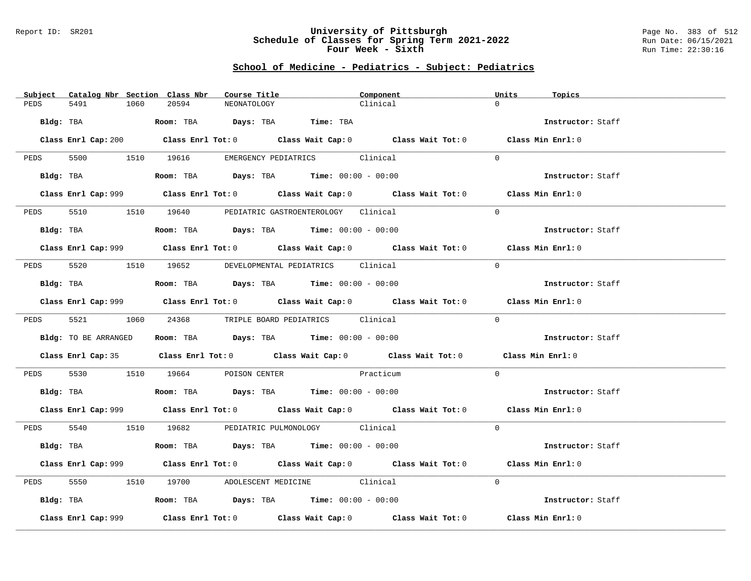### Report ID: SR201 **University of Pittsburgh** Page No. 383 of 512 **Schedule of Classes for Spring Term 2021-2022** Run Date: 06/15/2021 **Four Week - Sixth** Run Time: 22:30:16

# **School of Medicine - Pediatrics - Subject: Pediatrics**

| Subject Catalog Nbr Section Class Nbr | Course Title                                                                                | Component | Units<br>Topics   |
|---------------------------------------|---------------------------------------------------------------------------------------------|-----------|-------------------|
| PEDS<br>5491<br>1060                  | 20594<br>NEONATOLOGY                                                                        | Clinical  | $\Omega$          |
|                                       | Bldg: TBA                    Room: TBA          Days: TBA         Time: TBA                 |           | Instructor: Staff |
|                                       | Class Enrl Cap: 200 Class Enrl Tot: 0 Class Wait Cap: 0 Class Wait Tot: 0 Class Min Enrl: 0 |           |                   |
|                                       | PEDS 5500 1510 19616 EMERGENCY PEDIATRICS Clinical                                          |           | $\Omega$          |
|                                       | Bldg: TBA                   Room: TBA        Days: TBA        Time: $00:00 - 00:00$         |           | Instructor: Staff |
|                                       | Class Enrl Cap: 999 Class Enrl Tot: 0 Class Wait Cap: 0 Class Wait Tot: 0 Class Min Enrl: 0 |           |                   |
| PEDS                                  | 5510 1510 19640 PEDIATRIC GASTROENTEROLOGY Clinical                                         |           | $\Omega$          |
|                                       | Bldg: TBA                   Room: TBA         Days: TBA         Time: $00:00 - 00:00$       |           | Instructor: Staff |
|                                       | Class Enrl Cap: 999 Class Enrl Tot: 0 Class Wait Cap: 0 Class Wait Tot: 0 Class Min Enrl: 0 |           |                   |
|                                       | PEDS 5520 1510 19652 DEVELOPMENTAL PEDIATRICS Clinical                                      |           | $\Omega$          |
|                                       | $Bldg:$ TBA $Room:$ TBA $Days:$ TBA $Time:$ 00:00 - 00:00                                   |           | Instructor: Staff |
|                                       | Class Enrl Cap: 999 Class Enrl Tot: 0 Class Wait Cap: 0 Class Wait Tot: 0 Class Min Enrl: 0 |           |                   |
|                                       | PEDS 5521 1060 24368 TRIPLE BOARD PEDIATRICS Clinical                                       |           | $\Omega$          |
| Bldg: TO BE ARRANGED                  | Room: TBA $Days: TBA$ Time: $00:00 - 00:00$                                                 |           | Instructor: Staff |
|                                       | Class Enrl Cap: 35 Class Enrl Tot: 0 Class Wait Cap: 0 Class Wait Tot: 0 Class Min Enrl: 0  |           |                   |
|                                       | PEDS 5530 1510 19664 POISON CENTER Practicum                                                |           | $\Omega$          |
|                                       | <b>Bldg:</b> TBA <b>ROOM:</b> TBA <b>Days:</b> TBA <b>Time:</b> $00:00 - 00:00$             |           | Instructor: Staff |
|                                       | Class Enrl Cap: 999 Class Enrl Tot: 0 Class Wait Cap: 0 Class Wait Tot: 0 Class Min Enrl: 0 |           |                   |
|                                       | PEDS 5540 1510 19682 PEDIATRIC PULMONOLOGY Clinical                                         |           | $\Omega$          |
|                                       | Bldg: TBA                    Room: TBA         Days: TBA        Time: $00:00 - 00:00$       |           | Instructor: Staff |
|                                       | Class Enrl Cap: 999 Class Enrl Tot: 0 Class Wait Cap: 0 Class Wait Tot: 0 Class Min Enrl: 0 |           |                   |
| PEDS                                  | 5550 1510 19700 ADOLESCENT MEDICINE Clinical                                                |           | $\Omega$          |
|                                       | Bldg: TBA                   Room: TBA         Days: TBA        Time: 00:00 - 00:00          |           | Instructor: Staff |
| Class Enrl Cap: 999                   | Class Enrl Tot: $0$ Class Wait Cap: $0$ Class Wait Tot: $0$ Class Min Enrl: $0$             |           |                   |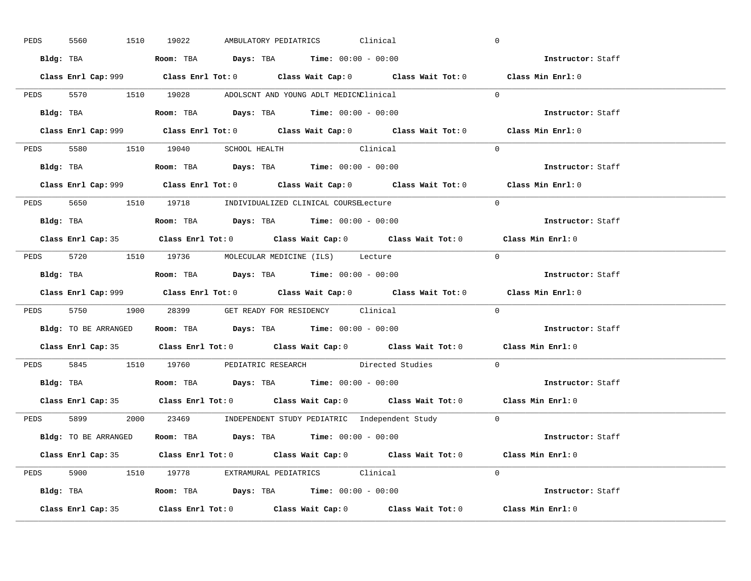| PEDS | 5560      | 1510 19022                                                                                 |  | AMBULATORY PEDIATRICS Clinical |                                                            | $\overline{0}$                                                                              |  |
|------|-----------|--------------------------------------------------------------------------------------------|--|--------------------------------|------------------------------------------------------------|---------------------------------------------------------------------------------------------|--|
|      |           | Bldg: TBA                   Room: TBA         Days: TBA         Time: $00:00 - 00:00$      |  |                                |                                                            | Instructor: Staff                                                                           |  |
|      |           |                                                                                            |  |                                |                                                            | Class Enrl Cap: 999 Class Enrl Tot: 0 Class Wait Cap: 0 Class Wait Tot: 0 Class Min Enrl: 0 |  |
|      |           | PEDS 5570 1510 19028 ADOLSCNT AND YOUNG ADLT MEDICNClinical                                |  |                                |                                                            | $\overline{0}$                                                                              |  |
|      | Bldg: TBA | Room: TBA $\rule{1em}{0.15mm}$ Days: TBA $\rule{1.5mm}{0.15mm}$ Time: $00:00 - 00:00$      |  |                                |                                                            | Instructor: Staff                                                                           |  |
|      |           |                                                                                            |  |                                |                                                            | Class Enrl Cap: 999 Class Enrl Tot: 0 Class Wait Cap: 0 Class Wait Tot: 0 Class Min Enrl: 0 |  |
|      |           | PEDS 5580 1510 19040 SCHOOL HEALTH Clinical                                                |  |                                |                                                            | $\Omega$                                                                                    |  |
|      |           | Bldg: TBA                    Room: TBA         Days: TBA         Time: $00:00 - 00:00$     |  |                                |                                                            | Instructor: Staff                                                                           |  |
|      |           |                                                                                            |  |                                |                                                            | Class Enrl Cap: 999 Class Enrl Tot: 0 Class Wait Cap: 0 Class Wait Tot: 0 Class Min Enrl: 0 |  |
|      |           | PEDS 5650 1510 19718 INDIVIDUALIZED CLINICAL COURSELecture                                 |  |                                |                                                            | $\Omega$                                                                                    |  |
|      |           | Bldg: TBA                    Room: TBA         Days: TBA         Time: $00:00 - 00:00$     |  |                                |                                                            | Instructor: Staff                                                                           |  |
|      |           |                                                                                            |  |                                |                                                            | Class Enrl Cap: 35 Class Enrl Tot: 0 Class Wait Cap: 0 Class Wait Tot: 0 Class Min Enrl: 0  |  |
|      |           | PEDS 5720 1510 19736 MOLECULAR MEDICINE (ILS) Lecture                                      |  |                                |                                                            | $\bigcirc$                                                                                  |  |
|      |           |                                                                                            |  |                                |                                                            | Instructor: Staff                                                                           |  |
|      |           |                                                                                            |  |                                |                                                            |                                                                                             |  |
|      |           |                                                                                            |  |                                |                                                            | Class Enrl Cap: 999 Class Enrl Tot: 0 Class Wait Cap: 0 Class Wait Tot: 0 Class Min Enrl: 0 |  |
|      |           | PEDS 5750 1900 28399 GET READY FOR RESIDENCY Clinical                                      |  |                                |                                                            | $\Omega$                                                                                    |  |
|      |           | <b>Bldg:</b> TO BE ARRANGED <b>ROOM:</b> TBA <b>Days:</b> TBA <b>Time:</b> $00:00 - 00:00$ |  |                                |                                                            | <b>Instructor:</b> Staff                                                                    |  |
|      |           |                                                                                            |  |                                |                                                            | Class Enrl Cap: 35 Class Enrl Tot: 0 Class Wait Cap: 0 Class Wait Tot: 0 Class Min Enrl: 0  |  |
|      |           |                                                                                            |  |                                | PEDS 5845 1510 19760 PEDIATRIC RESEARCH Directed Studies   | $\mathbf{0}$                                                                                |  |
|      |           |                                                                                            |  |                                |                                                            | Instructor: Staff                                                                           |  |
|      |           |                                                                                            |  |                                |                                                            | Class Enrl Cap: 35 Class Enrl Tot: 0 Class Wait Cap: 0 Class Wait Tot: 0 Class Min Enrl: 0  |  |
|      | PEDS 5899 |                                                                                            |  |                                | 2000 23469 INDEPENDENT STUDY PEDIATRIC Independent Study 0 |                                                                                             |  |
|      |           | Bldg: TO BE ARRANGED Room: TBA Days: TBA Time: 00:00 - 00:00                               |  |                                |                                                            | <b>Instructor:</b> Staff                                                                    |  |
|      |           |                                                                                            |  |                                |                                                            | Class Enrl Cap: 35 Class Enrl Tot: 0 Class Wait Cap: 0 Class Wait Tot: 0 Class Min Enrl: 0  |  |
|      |           | PEDS 5900 1510 19778 EXTRAMURAL PEDIATRICS Clinical                                        |  |                                |                                                            | $\Omega$                                                                                    |  |
|      |           | Bldg: TBA                    Room: TBA         Days: TBA        Time: $00:00 - 00:00$      |  |                                |                                                            | Instructor: Staff                                                                           |  |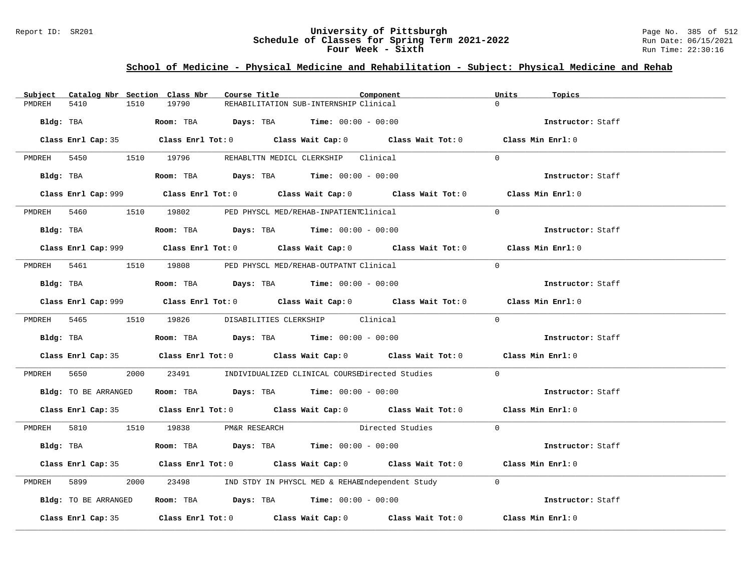### Report ID: SR201 **University of Pittsburgh** Page No. 385 of 512 **Schedule of Classes for Spring Term 2021-2022** Run Date: 06/15/2021 **Four Week - Sixth** Run Time: 22:30:16

# **School of Medicine - Physical Medicine and Rehabilitation - Subject: Physical Medicine and Rehab**

| Catalog Nbr Section Class Nbr<br>Subject | Course Title                                                                            | Component                                                                                   | Units<br>Topics   |
|------------------------------------------|-----------------------------------------------------------------------------------------|---------------------------------------------------------------------------------------------|-------------------|
| 5410<br>1510<br>PMDREH                   | 19790<br>REHABILITATION SUB-INTERNSHIP Clinical                                         |                                                                                             |                   |
|                                          | Bldg: TBA                    Room: TBA         Days: TBA         Time: 00:00 - 00:00    |                                                                                             | Instructor: Staff |
|                                          |                                                                                         | Class Enrl Cap: 35 Class Enrl Tot: 0 Class Wait Cap: 0 Class Wait Tot: 0 Class Min Enrl: 0  |                   |
|                                          | PMDREH 5450 1510 19796 REHABLTTN MEDICL CLERKSHIP Clinical                              |                                                                                             | $\Omega$          |
| Bldg: TBA                                | Room: TBA $Days:$ TBA $Time: 00:00 - 00:00$                                             |                                                                                             | Instructor: Staff |
|                                          |                                                                                         | Class Enrl Cap: 999 Class Enrl Tot: 0 Class Wait Cap: 0 Class Wait Tot: 0 Class Min Enrl: 0 |                   |
|                                          | PMDREH 5460 1510 19802 PED PHYSCL MED/REHAB-INPATIENTClinical                           |                                                                                             | $\Omega$          |
|                                          | Bldg: TBA                   Room: TBA         Days: TBA         Time: $00:00 - 00:00$   |                                                                                             | Instructor: Staff |
|                                          |                                                                                         |                                                                                             | Class Min Enrl: 0 |
| PMDREH 5461                              | 1510 19808 PED PHYSCL MED/REHAB-OUTPATNT Clinical                                       |                                                                                             | $\Omega$          |
|                                          | Bldg: TBA                    Room: TBA         Days: TBA         Time: $00:00 - 00:00$  |                                                                                             | Instructor: Staff |
|                                          |                                                                                         | Class Enrl Cap: 999 Class Enrl Tot: 0 Class Wait Cap: 0 Class Wait Tot: 0                   | Class Min Enrl: 0 |
|                                          | PMDREH 5465 1510 19826 DISABILITIES CLERKSHIP Clinical                                  |                                                                                             | $\Omega$          |
|                                          | Bldg: TBA                   Room: TBA         Days: TBA         Time: $00:00 - 00:00$   |                                                                                             | Instructor: Staff |
|                                          |                                                                                         | Class Enrl Cap: 35 Class Enrl Tot: 0 Class Wait Cap: 0 Class Wait Tot: 0 Class Min Enrl: 0  |                   |
| PMDREH 5650                              |                                                                                         | 2000 23491 INDIVIDUALIZED CLINICAL COURSEDirected Studies                                   | $\Omega$          |
|                                          | Bldg: TO BE ARRANGED ROOM: TBA Days: TBA Time: 00:00 - 00:00                            |                                                                                             | Instructor: Staff |
|                                          |                                                                                         | Class Enrl Cap: 35 Class Enrl Tot: 0 Class Wait Cap: 0 Class Wait Tot: 0 Class Min Enrl: 0  |                   |
|                                          | PMDREH 5810 1510 19838 PM&R RESEARCH                                                    | Directed Studies 0                                                                          |                   |
| Bldg: TBA                                | Room: TBA $\rule{1em}{0.15mm}$ Days: TBA $\rule{1.15mm}]{0.15mm}$ Time: $00:00 - 00:00$ |                                                                                             | Instructor: Staff |
|                                          |                                                                                         | Class Enrl Cap: 35 Class Enrl Tot: 0 Class Wait Cap: 0 Class Wait Tot: 0 Class Min Enrl: 0  |                   |
| PMDREH<br>5899 700                       |                                                                                         | 2000 23498 IND STDY IN PHYSCL MED & REHABIndependent Study                                  | $\Omega$          |
| Bldg: TO BE ARRANGED                     | Room: TBA $Days:$ TBA $Time: 00:00 - 00:00$                                             |                                                                                             | Instructor: Staff |
|                                          |                                                                                         | Class Enrl Cap: 35 Class Enrl Tot: 0 Class Wait Cap: 0 Class Wait Tot: 0 Class Min Enrl: 0  |                   |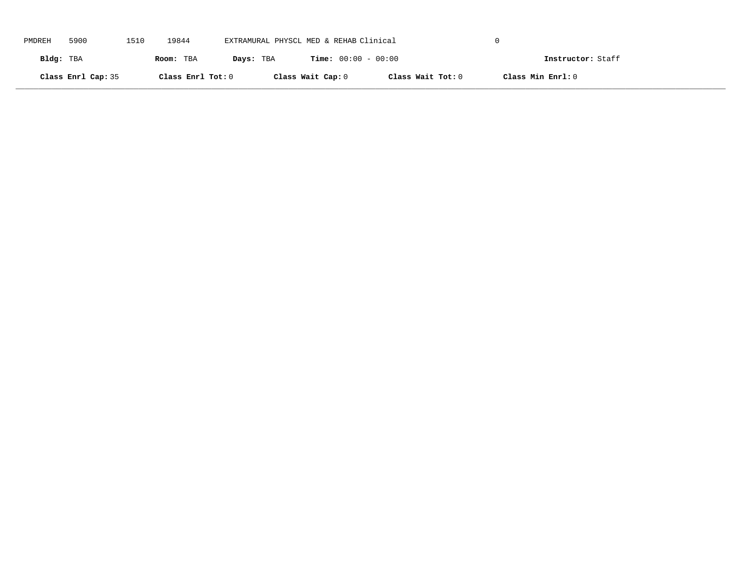| PMDREH    | 5900               | 1510 | 19844             | EXTRAMURAL PHYSCL MED & REHAB Clinical |                              |                   |                   |  |
|-----------|--------------------|------|-------------------|----------------------------------------|------------------------------|-------------------|-------------------|--|
| Bldg: TBA |                    |      | Room: TBA         | Days: TBA                              | <b>Time:</b> $00:00 - 00:00$ |                   | Instructor: Staff |  |
|           | Class Enrl Cap: 35 |      | Class Enrl Tot: 0 |                                        | Class Wait Cap: 0            | Class Wait Tot: 0 | Class Min Enrl: 0 |  |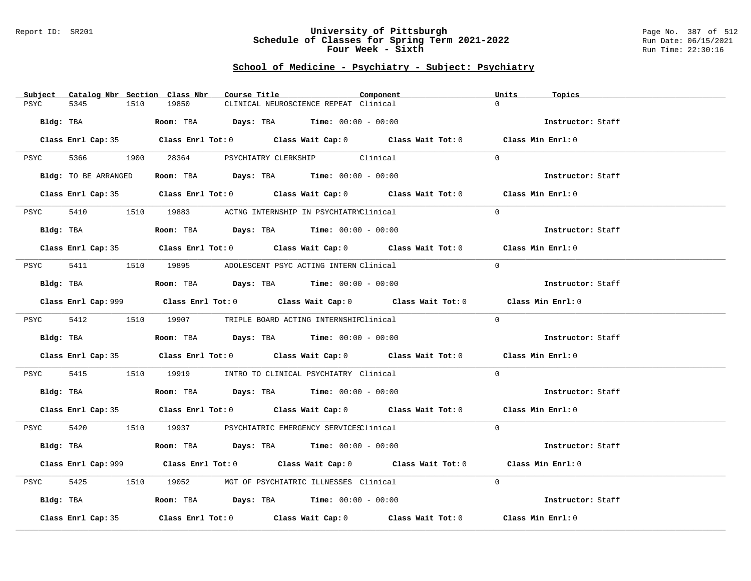### Report ID: SR201 **University of Pittsburgh** Page No. 387 of 512 **Schedule of Classes for Spring Term 2021-2022** Run Date: 06/15/2021 **Four Week - Sixth** Run Time: 22:30:16

| Subject              | Catalog Nbr Section Class Nbr<br>Course Title                                                      | Component | Units<br>Topics   |
|----------------------|----------------------------------------------------------------------------------------------------|-----------|-------------------|
| 5345<br>PSYC         | 19850<br>1510<br>CLINICAL NEUROSCIENCE REPEAT Clinical                                             |           | $\Omega$          |
| Bldg: TBA            | Room: TBA $\rule{1em}{0.15mm}$ Days: TBA Time: $00:00 - 00:00$                                     |           | Instructor: Staff |
|                      | Class Enrl Cap: 35 Class Enrl Tot: 0 Class Wait Cap: 0 Class Wait Tot: 0 Class Min Enrl: 0         |           |                   |
|                      | PSYC 5366 1900 28364 PSYCHIATRY CLERKSHIP Clinical                                                 |           | $\Omega$          |
| Bldg: TO BE ARRANGED | Room: TBA $Days:$ TBA $Time: 00:00 - 00:00$                                                        |           | Instructor: Staff |
|                      | Class Enrl Cap: 35 Class Enrl Tot: 0 Class Wait Cap: 0 Class Wait Tot: 0 Class Min Enrl: 0         |           |                   |
| PSYC                 | 5410 19883 ACTNG INTERNSHIP IN PSYCHIATRYClinical                                                  |           | $\Omega$          |
| Bldg: TBA            | Room: TBA $Days:$ TBA $Time: 00:00 - 00:00$                                                        |           | Instructor: Staff |
|                      | Class Enrl Cap: 35 Class Enrl Tot: 0 Class Wait Cap: 0 Class Wait Tot: 0 Class Min Enrl: 0         |           |                   |
|                      | PSYC 5411 1510 19895 ADOLESCENT PSYC ACTING INTERN Clinical                                        |           | $\Omega$          |
| Bldg: TBA            | Room: TBA $Days:$ TBA $Time: 00:00 - 00:00$                                                        |           | Instructor: Staff |
|                      | Class Enrl Cap: 999 Class Enrl Tot: 0 Class Wait Cap: 0 Class Wait Tot: 0 Class Min Enrl: 0        |           |                   |
|                      | PSYC 5412 1510 19907 TRIPLE BOARD ACTING INTERNSHIPClinical                                        |           | $\Omega$          |
| Bldg: TBA            | Room: TBA $Days:$ TBA Time: $00:00 - 00:00$                                                        |           | Instructor: Staff |
|                      | Class Enrl Cap: 35 Class Enrl Tot: 0 Class Wait Cap: 0 Class Wait Tot: 0 Class Min Enrl: 0         |           |                   |
| PSYC                 | 5415 1510 19919 INTRO TO CLINICAL PSYCHIATRY Clinical                                              |           | $\Omega$          |
| Bldg: TBA            | Room: TBA $Days:$ TBA Time: $00:00 - 00:00$                                                        |           | Instructor: Staff |
|                      | Class Enrl Cap: 35 Class Enrl Tot: 0 Class Wait Cap: 0 Class Wait Tot: 0 Class Min Enrl: 0         |           |                   |
|                      | PSYC 5420 1510 19937 PSYCHIATRIC EMERGENCY SERVICESClinical                                        |           | $\Omega$          |
|                      | Bldg: TBA                    Room: TBA         Days: TBA        Time: $00:00 - 00:00$              |           | Instructor: Staff |
|                      | Class Enrl Cap: 999 Class Enrl Tot: 0 Class Wait Cap: 0 Class Wait Tot: 0 Class Min Enrl: 0        |           |                   |
| 5425<br>PSYC         | 1510 19052 MGT OF PSYCHIATRIC ILLNESSES Clinical                                                   |           | $\Omega$          |
| Bldg: TBA            | Room: TBA $\rule{1em}{0.15mm}$ Days: TBA $\rule{1.5mm}{0.15mm}$ Time: $00:00 - 00:00$              |           | Instructor: Staff |
| Class Enrl Cap: 35   | Class Enrl Tot: 0 $\qquad$ Class Wait Cap: 0 $\qquad$ Class Wait Tot: 0 $\qquad$ Class Min Enrl: 0 |           |                   |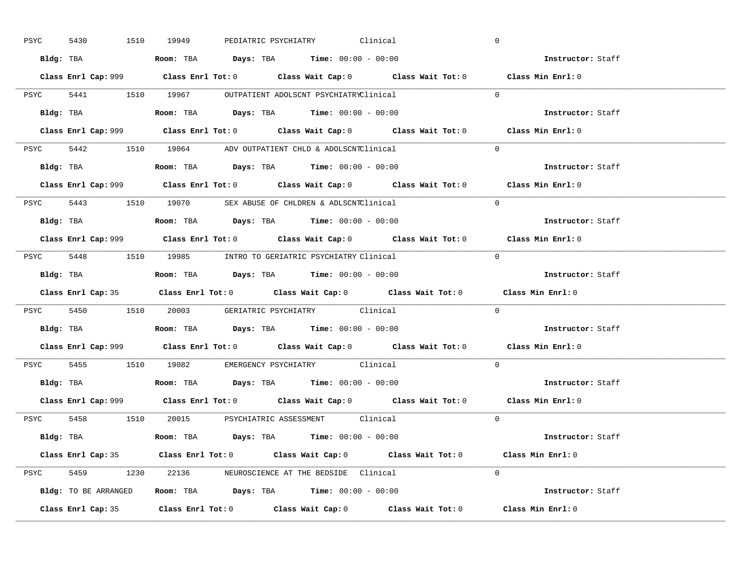| PSYC | 5430 |           | 1510 19949                                                                             |  | PEDIATRIC PSYCHIATRY Clinical |                                                                                             | $\overline{0}$ |                          |  |
|------|------|-----------|----------------------------------------------------------------------------------------|--|-------------------------------|---------------------------------------------------------------------------------------------|----------------|--------------------------|--|
|      |      |           | Bldg: TBA                   Room: TBA         Days: TBA         Time: $00:00 - 00:00$  |  |                               |                                                                                             |                | Instructor: Staff        |  |
|      |      |           |                                                                                        |  |                               | Class Enrl Cap: 999 Class Enrl Tot: 0 Class Wait Cap: 0 Class Wait Tot: 0 Class Min Enrl: 0 |                |                          |  |
|      |      |           | PSYC 5441 1510 19967 OUTPATIENT ADOLSCNT PSYCHIATRYClinical                            |  |                               |                                                                                             | $\Omega$       |                          |  |
|      |      | Bldg: TBA | Room: TBA $Days:$ TBA $Time:$ 00:00 - 00:00                                            |  |                               |                                                                                             |                | Instructor: Staff        |  |
|      |      |           |                                                                                        |  |                               | Class Enrl Cap: 999 Class Enrl Tot: 0 Class Wait Cap: 0 Class Wait Tot: 0 Class Min Enrl: 0 |                |                          |  |
|      |      |           | PSYC 5442 1510 19064 ADV OUTPATIENT CHLD & ADOLSCNTClinical                            |  |                               |                                                                                             | $\Omega$       |                          |  |
|      |      |           | Bldg: TBA                    Room: TBA         Days: TBA        Time: $00:00 - 00:00$  |  |                               |                                                                                             |                | Instructor: Staff        |  |
|      |      |           |                                                                                        |  |                               | Class Enrl Cap: 999 Class Enrl Tot: 0 Class Wait Cap: 0 Class Wait Tot: 0 Class Min Enrl: 0 |                |                          |  |
|      |      |           | PSYC 5443 1510 19070 SEX ABUSE OF CHLDREN & ADLSCNTClinical                            |  |                               |                                                                                             | $\Omega$       |                          |  |
|      |      |           |                                                                                        |  |                               |                                                                                             |                | Instructor: Staff        |  |
|      |      |           |                                                                                        |  |                               | Class Enrl Cap: 999 Class Enrl Tot: 0 Class Wait Cap: 0 Class Wait Tot: 0 Class Min Enrl: 0 |                |                          |  |
|      |      |           | PSYC 5448 1510 19985 INTRO TO GERIATRIC PSYCHIATRY Clinical                            |  |                               |                                                                                             | $\Omega$       |                          |  |
|      |      |           |                                                                                        |  |                               |                                                                                             |                | Instructor: Staff        |  |
|      |      |           |                                                                                        |  |                               |                                                                                             |                |                          |  |
|      |      |           |                                                                                        |  |                               | Class Enrl Cap: 35 Class Enrl Tot: 0 Class Wait Cap: 0 Class Wait Tot: 0 Class Min Enrl: 0  |                |                          |  |
|      |      |           | PSYC 5450 1510 20003 GERIATRIC PSYCHIATRY Clinical                                     |  |                               |                                                                                             | $\overline{0}$ |                          |  |
|      |      |           | Bldg: TBA                   Room: TBA         Days: TBA         Time: $00:00 - 00:00$  |  |                               |                                                                                             |                | <b>Instructor:</b> Staff |  |
|      |      |           |                                                                                        |  |                               | Class Enrl Cap: 999 Class Enrl Tot: 0 Class Wait Cap: 0 Class Wait Tot: 0 Class Min Enrl: 0 |                |                          |  |
|      |      |           | PSYC 5455 1510 19082 EMERGENCY PSYCHIATRY Clinical                                     |  |                               |                                                                                             | $\Omega$       |                          |  |
|      |      |           | Bldg: TBA                    Room: TBA         Days: TBA         Time: $00:00 - 00:00$ |  |                               |                                                                                             |                | Instructor: Staff        |  |
|      |      |           |                                                                                        |  |                               | Class Enrl Cap: 999 Class Enrl Tot: 0 Class Wait Cap: 0 Class Wait Tot: 0 Class Min Enrl: 0 |                |                          |  |
|      |      |           | PSYC 5458 1510 20015 PSYCHIATRIC ASSESSMENT Clinical                                   |  |                               |                                                                                             | $\Omega$       |                          |  |
|      |      |           | Bldg: TBA                   Room: TBA         Days: TBA        Time: 00:00 - 00:00     |  |                               |                                                                                             |                | Instructor: Staff        |  |
|      |      |           |                                                                                        |  |                               | Class Enrl Cap: 35 Class Enrl Tot: 0 Class Wait Cap: 0 Class Wait Tot: 0 Class Min Enrl: 0  |                |                          |  |
|      |      |           | PSYC 5459 1230 22136 NEUROSCIENCE AT THE BEDSIDE Clinical                              |  |                               |                                                                                             | $\Omega$       |                          |  |
|      |      |           | Bldg: TO BE ARRANGED Room: TBA Days: TBA Time: 00:00 - 00:00                           |  |                               |                                                                                             |                | Instructor: Staff        |  |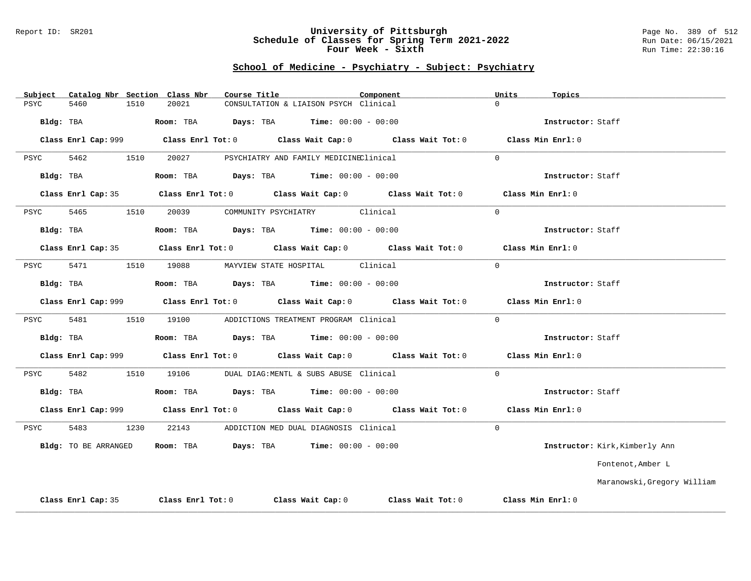#### Report ID: SR201 **University of Pittsburgh** Page No. 389 of 512 **Schedule of Classes for Spring Term 2021-2022** Run Date: 06/15/2021 **Four Week - Sixth** Run Time: 22:30:16

| Subject     |                      |      | Catalog Nbr Section Class Nbr | Course Title |                                               | Component |                                                                                                      | Units    | Topics            |                                |
|-------------|----------------------|------|-------------------------------|--------------|-----------------------------------------------|-----------|------------------------------------------------------------------------------------------------------|----------|-------------------|--------------------------------|
| <b>PSYC</b> | 5460                 | 1510 | 20021                         |              | CONSULTATION & LIAISON PSYCH Clinical         |           |                                                                                                      | $\Omega$ |                   |                                |
| Bldg: TBA   |                      |      | Room: TBA                     |              | <b>Days:</b> TBA <b>Time:</b> $00:00 - 00:00$ |           |                                                                                                      |          | Instructor: Staff |                                |
|             |                      |      |                               |              |                                               |           | Class Enrl Cap: 999 $\qquad$ Class Enrl Tot: 0 $\qquad$ Class Wait Cap: 0 $\qquad$ Class Wait Tot: 0 |          | Class Min Enrl: 0 |                                |
| PSYC        | 5462                 | 1510 | 20027                         |              | PSYCHIATRY AND FAMILY MEDICINEClinical        |           |                                                                                                      | $\Omega$ |                   |                                |
| Bldg: TBA   |                      |      |                               |              | Room: TBA $Days:$ TBA $Time: 00:00 - 00:00$   |           |                                                                                                      |          | Instructor: Staff |                                |
|             | Class Enrl Cap: 35   |      |                               |              |                                               |           | Class Enrl Tot: 0 $\qquad$ Class Wait Cap: 0 $\qquad$ Class Wait Tot: 0                              |          | Class Min Enrl: 0 |                                |
| PSYC        | 5465                 | 1510 | 20039                         |              | COMMUNITY PSYCHIATRY Clinical                 |           |                                                                                                      | $\Omega$ |                   |                                |
|             | Bldg: TBA            |      |                               |              | Room: TBA $Days:$ TBA $Time: 00:00 - 00:00$   |           |                                                                                                      |          | Instructor: Staff |                                |
|             |                      |      |                               |              |                                               |           | Class Enrl Cap: 35 Class Enrl Tot: 0 Class Wait Cap: 0 Class Wait Tot: 0 Class Min Enrl: 0           |          |                   |                                |
| PSYC        | 5471                 |      | 1510 19088                    |              | MAYVIEW STATE HOSPITAL Clinical               |           |                                                                                                      | $\Omega$ |                   |                                |
|             | Bldg: TBA            |      |                               |              | Room: TBA $Days:$ TBA $Time: 00:00 - 00:00$   |           |                                                                                                      |          | Instructor: Staff |                                |
|             |                      |      |                               |              |                                               |           | Class Enrl Cap: 999 Class Enrl Tot: 0 Class Wait Cap: 0 Class Wait Tot: 0                            |          | Class Min Enrl: 0 |                                |
| PSYC        | 5481                 | 1510 | 19100                         |              | ADDICTIONS TREATMENT PROGRAM Clinical         |           |                                                                                                      | $\Omega$ |                   |                                |
|             | Bldg: TBA            |      |                               |              | Room: TBA $Days:$ TBA $Time: 00:00 - 00:00$   |           |                                                                                                      |          | Instructor: Staff |                                |
|             |                      |      |                               |              |                                               |           | Class Enrl Cap: 999 Class Enrl Tot: 0 Class Wait Cap: 0 Class Wait Tot: 0                            |          | Class Min Enrl: 0 |                                |
| PSYC        | 5482                 | 1510 | 19106                         |              | DUAL DIAG:MENTL & SUBS ABUSE Clinical         |           |                                                                                                      | $\Omega$ |                   |                                |
|             | Bldg: TBA            |      |                               |              | Room: TBA $Days:$ TBA $Time: 00:00 - 00:00$   |           |                                                                                                      |          | Instructor: Staff |                                |
|             |                      |      |                               |              |                                               |           |                                                                                                      |          | Class Min Enrl: 0 |                                |
| PSYC        | 5483                 | 1230 |                               |              | 22143 ADDICTION MED DUAL DIAGNOSIS Clinical   |           |                                                                                                      | $\Omega$ |                   |                                |
|             | Bldg: TO BE ARRANGED |      |                               |              | Room: TBA $Days:$ TBA Time: $00:00 - 00:00$   |           |                                                                                                      |          |                   | Instructor: Kirk, Kimberly Ann |
|             |                      |      |                               |              |                                               |           |                                                                                                      |          |                   | Fontenot, Amber L              |
|             |                      |      |                               |              |                                               |           |                                                                                                      |          |                   | Maranowski, Gregory William    |
|             | Class Enrl Cap: 35   |      | Class Enrl Tot: 0             |              | Class Wait Cap: 0                             |           | Class Wait Tot: 0                                                                                    |          | Class Min Enrl: 0 |                                |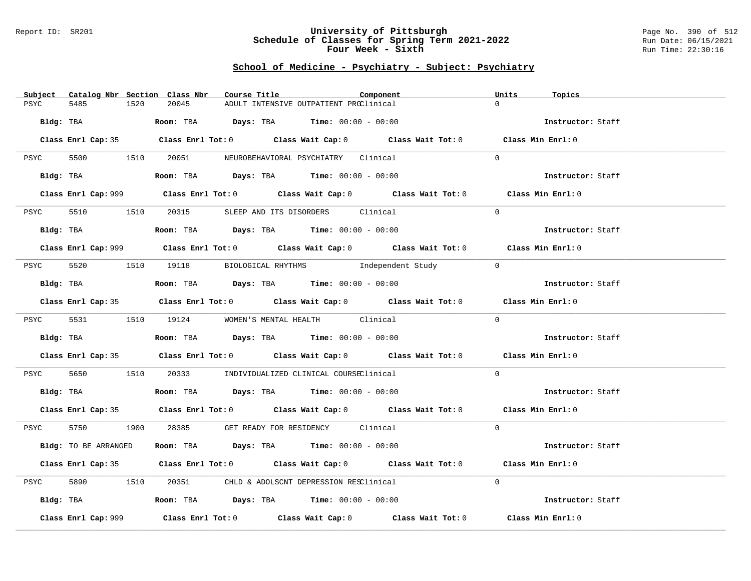#### Report ID: SR201 **University of Pittsburgh** Page No. 390 of 512 **Schedule of Classes for Spring Term 2021-2022** Run Date: 06/15/2021 **Four Week - Sixth** Run Time: 22:30:16

| Catalog Nbr Section Class Nbr<br>Subject | Course Title                                                                                | Component | Units<br>Topics   |
|------------------------------------------|---------------------------------------------------------------------------------------------|-----------|-------------------|
| PSYC<br>5485<br>1520                     | 20045<br>ADULT INTENSIVE OUTPATIENT PROClinical                                             |           | $\Omega$          |
| Bldg: TBA                                | Room: TBA $Days:$ TBA $Time: 00:00 - 00:00$                                                 |           | Instructor: Staff |
|                                          | Class Enrl Cap: 35 Class Enrl Tot: 0 Class Wait Cap: 0 Class Wait Tot: 0 Class Min Enrl: 0  |           |                   |
|                                          | PSYC 5500 1510 20051 NEUROBEHAVIORAL PSYCHIATRY Clinical                                    |           | $\Omega$          |
|                                          | Bldg: TBA                   Room: TBA        Days: TBA        Time: 00:00 - 00:00           |           | Instructor: Staff |
|                                          | Class Enrl Cap: 999 Class Enrl Tot: 0 Class Wait Cap: 0 Class Wait Tot: 0 Class Min Enrl: 0 |           |                   |
| 5510 1510<br>PSYC                        | 20315 SLEEP AND ITS DISORDERS Clinical                                                      |           | $\Omega$          |
| Bldg: TBA                                | Room: TBA $Days:$ TBA $Time: 00:00 - 00:00$                                                 |           | Instructor: Staff |
|                                          | Class Enrl Cap: 999 Class Enrl Tot: 0 Class Wait Cap: 0 Class Wait Tot: 0 Class Min Enrl: 0 |           |                   |
|                                          | PSYC 5520 1510 19118 BIOLOGICAL RHYTHMS Independent Study                                   |           | $\overline{0}$    |
| Bldg: TBA                                | Room: TBA $Days:$ TBA Time: $00:00 - 00:00$                                                 |           | Instructor: Staff |
|                                          | Class Enrl Cap: 35 Class Enrl Tot: 0 Class Wait Cap: 0 Class Wait Tot: 0 Class Min Enrl: 0  |           |                   |
|                                          | PSYC 5531 1510 19124 WOMEN'S MENTAL HEALTH Clinical                                         |           | $\Omega$          |
| Bldg: TBA                                | Room: TBA $Days:$ TBA $Time: 00:00 - 00:00$                                                 |           | Instructor: Staff |
|                                          | Class Enrl Cap: 35 Class Enrl Tot: 0 Class Wait Cap: 0 Class Wait Tot: 0 Class Min Enrl: 0  |           |                   |
| PSYC                                     | 5650 1510 20333 INDIVIDUALIZED CLINICAL COURSEClinical                                      |           | $\overline{0}$    |
| Bldg: TBA                                | Room: TBA $Days:$ TBA Time: $00:00 - 00:00$                                                 |           | Instructor: Staff |
|                                          | Class Enrl Cap: 35 Class Enrl Tot: 0 Class Wait Cap: 0 Class Wait Tot: 0 Class Min Enrl: 0  |           |                   |
|                                          | PSYC 5750 1900 28385 GET READY FOR RESIDENCY Clinical                                       |           | $\Omega$          |
| Bldg: TO BE ARRANGED                     | Room: TBA $Days:$ TBA $Time: 00:00 - 00:00$                                                 |           | Instructor: Staff |
|                                          | Class Enrl Cap: 35 Class Enrl Tot: 0 Class Wait Cap: 0 Class Wait Tot: 0 Class Min Enrl: 0  |           |                   |
| 5890 1510<br>PSYC                        | 20351 CHLD & ADOLSCNT DEPRESSION RESClinical                                                |           | $\Omega$          |
|                                          | Bldg: TBA                   Room: TBA        Days: TBA        Time: 00:00 - 00:00           |           | Instructor: Staff |
| Class Enrl Cap: 999                      | Class Enrl Tot: $0$ Class Wait Cap: $0$ Class Wait Tot: $0$ Class Min Enrl: $0$             |           |                   |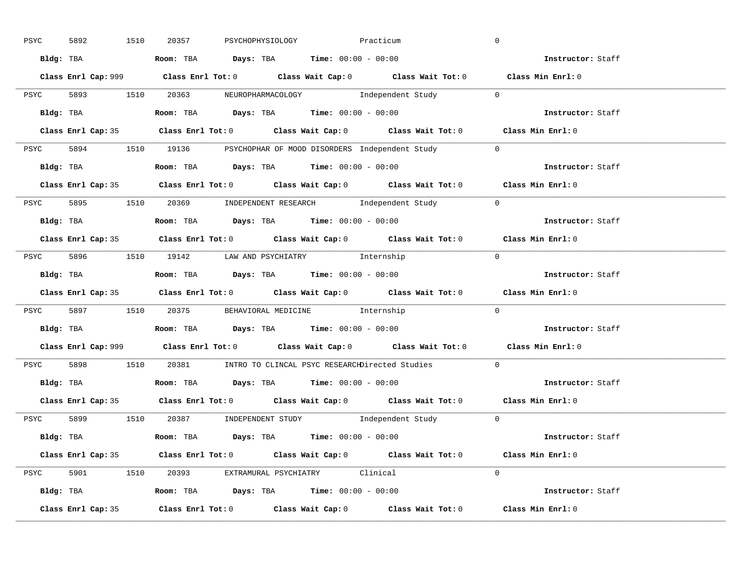| PSYC | 5892      | 1510      | 20357 | PSYCHOPHYSIOLOGY | Practicum                                                                                    |                                                                                             | $\overline{0}$ |                   |  |
|------|-----------|-----------|-------|------------------|----------------------------------------------------------------------------------------------|---------------------------------------------------------------------------------------------|----------------|-------------------|--|
|      |           |           |       |                  | Bldg: TBA                    Room: TBA         Days: TBA         Time: $00:00 - 00:00$       |                                                                                             |                | Instructor: Staff |  |
|      |           |           |       |                  |                                                                                              | Class Enrl Cap: 999 Class Enrl Tot: 0 Class Wait Cap: 0 Class Wait Tot: 0 Class Min Enrl: 0 |                |                   |  |
|      |           |           |       |                  |                                                                                              | PSYC 5893 1510 20363 NEUROPHARMACOLOGY Independent Study 0                                  |                |                   |  |
|      |           | Bldg: TBA |       |                  | Room: TBA $Days:$ TBA $Time: 00:00 - 00:00$                                                  |                                                                                             |                | Instructor: Staff |  |
|      |           |           |       |                  |                                                                                              | Class Enrl Cap: 35 Class Enrl Tot: 0 Class Wait Cap: 0 Class Wait Tot: 0 Class Min Enrl: 0  |                |                   |  |
|      |           |           |       |                  |                                                                                              | PSYC 5894 1510 19136 PSYCHOPHAR OF MOOD DISORDERS Independent Study 0                       |                |                   |  |
|      |           |           |       |                  | Bldg: TBA                    Room: TBA         Days: TBA         Time: 00:00 - 00:00         |                                                                                             |                | Instructor: Staff |  |
|      |           |           |       |                  |                                                                                              | Class Enrl Cap: 35 Class Enrl Tot: 0 Class Wait Cap: 0 Class Wait Tot: 0 Class Min Enrl: 0  |                |                   |  |
|      |           |           |       |                  |                                                                                              | PSYC 5895 1510 20369 INDEPENDENT RESEARCH Independent Study 0                               |                |                   |  |
|      |           |           |       |                  |                                                                                              | Bldg: TBA <b>Room: TBA Days: TBA Time: 00:00 - 00:00</b>                                    |                | Instructor: Staff |  |
|      |           |           |       |                  |                                                                                              | Class Enrl Cap: 35 Class Enrl Tot: 0 Class Wait Cap: 0 Class Wait Tot: 0 Class Min Enrl: 0  |                |                   |  |
|      |           |           |       |                  | PSYC 5896 1510 19142 LAW AND PSYCHIATRY Internship                                           |                                                                                             | $\Omega$       |                   |  |
|      |           |           |       |                  | Bldg: TBA                        Room: TBA           Days: TBA           Time: 00:00 - 00:00 |                                                                                             |                | Instructor: Staff |  |
|      |           |           |       |                  |                                                                                              | Class Enrl Cap: 35 Class Enrl Tot: 0 Class Wait Cap: 0 Class Wait Tot: 0 Class Min Enrl: 0  |                |                   |  |
|      |           |           |       |                  |                                                                                              | PSYC 5897 1510 20375 BEHAVIORAL MEDICINE Internship                                         | $\Omega$       |                   |  |
|      | Bldg: TBA |           |       |                  | <b>Room:</b> TBA <b>Days:</b> TBA <b>Time:</b> 00:00 - 00:00                                 |                                                                                             |                | Instructor: Staff |  |
|      |           |           |       |                  |                                                                                              | Class Enrl Cap: 999 Class Enrl Tot: 0 Class Wait Cap: 0 Class Wait Tot: 0 Class Min Enrl: 0 |                |                   |  |
|      |           |           |       |                  |                                                                                              | PSYC 5898 1510 20381 INTRO TO CLINCAL PSYC RESEARCHDirected Studies                         | $\Omega$       |                   |  |
|      |           |           |       |                  | Bldg: TBA                       Room: TBA         Days: TBA         Time: 00:00 - 00:00      |                                                                                             |                | Instructor: Staff |  |
|      |           |           |       |                  |                                                                                              | Class Enrl Cap: 35 Class Enrl Tot: 0 Class Wait Cap: 0 Class Wait Tot: 0 Class Min Enrl: 0  |                |                   |  |
|      |           |           |       |                  |                                                                                              | PSYC 5899 1510 20387 INDEPENDENT STUDY Independent Study 0                                  |                |                   |  |
|      |           |           |       |                  | Bldg: TBA                    Room: TBA        Days: TBA         Time: 00:00 - 00:00          |                                                                                             |                | Instructor: Staff |  |
|      |           |           |       |                  |                                                                                              | Class Enrl Cap: 35 Class Enrl Tot: 0 Class Wait Cap: 0 Class Wait Tot: 0 Class Min Enrl: 0  |                |                   |  |
|      |           |           |       |                  | PSYC 5901 1510 20393 EXTRAMURAL PSYCHIATRY Clinical                                          |                                                                                             | $\Omega$       |                   |  |
|      |           |           |       |                  | Bldg: TBA                   Room: TBA         Days: TBA        Time: 00:00 - 00:00           |                                                                                             |                | Instructor: Staff |  |
|      |           |           |       |                  |                                                                                              |                                                                                             |                |                   |  |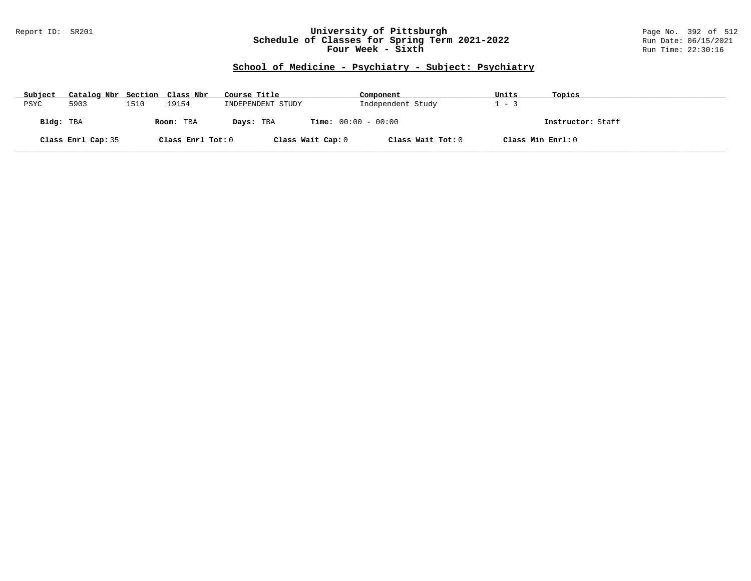### Report ID: SR201 **University of Pittsburgh** Page No. 392 of 512 **Schedule of Classes for Spring Term 2021-2022** Run Date: 06/15/2021 **Four Week - Sixth** Run Time: 22:30:16

| Subject   | Catalog Nbr Section Class Nbr |      |                   | Course Title      | Component                              | Units             | Topics            |
|-----------|-------------------------------|------|-------------------|-------------------|----------------------------------------|-------------------|-------------------|
| PSYC      | 5903                          | 1510 | 19154             | INDEPENDENT STUDY | Independent Study                      | $-3$              |                   |
| Bldg: TBA |                               |      | Room: TBA         | Days: TBA         | <b>Time:</b> $00:00 - 00:00$           |                   | Instructor: Staff |
|           | Class Enrl Cap: 35            |      | Class Enrl Tot: 0 |                   | Class Wait Tot: 0<br>Class Wait Cap: 0 | Class Min Enrl: 0 |                   |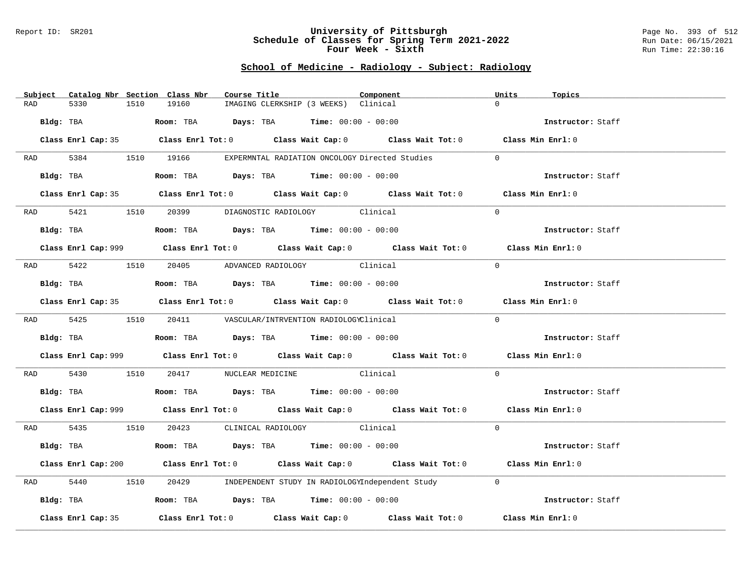#### Report ID: SR201 **University of Pittsburgh** Page No. 393 of 512 **Schedule of Classes for Spring Term 2021-2022** Run Date: 06/15/2021 **Four Week - Sixth** Run Time: 22:30:16

# **School of Medicine - Radiology - Subject: Radiology**

| Subject Catalog Nbr Section Class Nbr | Course Title                                                                                       | Component | Units<br>Topics   |
|---------------------------------------|----------------------------------------------------------------------------------------------------|-----------|-------------------|
| 5330<br>1510<br>RAD                   | 19160<br>IMAGING CLERKSHIP (3 WEEKS) Clinical                                                      |           | $\Omega$          |
| Bldg: TBA                             | Room: TBA $Days:$ TBA $Time: 00:00 - 00:00$                                                        |           | Instructor: Staff |
|                                       | Class Enrl Cap: 35 Class Enrl Tot: 0 Class Wait Cap: 0 Class Wait Tot: 0 Class Min Enrl: 0         |           |                   |
|                                       | RAD 5384 1510 19166 EXPERMNTAL RADIATION ONCOLOGY Directed Studies                                 |           | $\Omega$          |
| Bldg: TBA                             | Room: TBA $Days:$ TBA Time: $00:00 - 00:00$                                                        |           | Instructor: Staff |
|                                       | Class Enrl Cap: 35 Class Enrl Tot: 0 Class Wait Cap: 0 Class Wait Tot: 0 Class Min Enrl: 0         |           |                   |
|                                       | RAD 5421 1510 20399 DIAGNOSTIC RADIOLOGY Clinical                                                  |           | $\Omega$          |
| Bldg: TBA                             | <b>Room:</b> TBA $Days:$ TBA $Time: 00:00 - 00:00$                                                 |           | Instructor: Staff |
|                                       | Class Enrl Cap: 999 Class Enrl Tot: 0 Class Wait Cap: 0 Class Wait Tot: 0 Class Min Enrl: 0        |           |                   |
|                                       | RAD 5422 1510 20405 ADVANCED RADIOLOGY Clinical                                                    |           | $\Omega$          |
| Bldg: TBA                             | Room: TBA Days: TBA Time: $00:00 - 00:00$                                                          |           | Instructor: Staff |
|                                       | Class Enrl Cap: 35 Class Enrl Tot: 0 Class Wait Cap: 0 Class Wait Tot: 0 Class Min Enrl: 0         |           |                   |
|                                       | RAD 5425 1510 20411 VASCULAR/INTRVENTION RADIOLOGYClinical                                         |           | $\Omega$          |
|                                       | Bldg: TBA                   Room: TBA         Days: TBA        Time: 00:00 - 00:00                 |           | Instructor: Staff |
|                                       | Class Enrl Cap: 999 Class Enrl Tot: 0 Class Wait Cap: 0 Class Wait Tot: 0 Class Min Enrl: 0        |           |                   |
| RAD 5430                              | 1510 20417 NUCLEAR MEDICINE Clinical                                                               |           | $\Omega$          |
|                                       | Bldg: TBA                    Room: TBA         Days: TBA         Time: 00:00 - 00:00               |           | Instructor: Staff |
|                                       | Class Enrl Cap: 999 Class Enrl Tot: 0 Class Wait Cap: 0 Class Wait Tot: 0 Class Min Enrl: 0        |           |                   |
|                                       | RAD 5435 1510 20423 CLINICAL RADIOLOGY Clinical                                                    |           | $\Omega$          |
|                                       | Bldg: TBA                   Room: TBA         Days: TBA         Time: $00:00 - 00:00$              |           | Instructor: Staff |
|                                       | Class Enrl Cap: 200 Class Enrl Tot: 0 Class Wait Cap: 0 Class Wait Tot: 0 Class Min Enrl: 0        |           |                   |
| 5440<br>RAD                           | 20429 INDEPENDENT STUDY IN RADIOLOGYIndependent Study<br>1510                                      |           | $\overline{0}$    |
| Bldg: TBA                             | Room: TBA $\rule{1em}{0.15mm}$ Days: TBA Time: $00:00 - 00:00$                                     |           | Instructor: Staff |
| Class Enrl Cap: 35                    | Class Enrl Tot: 0 $\qquad$ Class Wait Cap: 0 $\qquad$ Class Wait Tot: 0 $\qquad$ Class Min Enrl: 0 |           |                   |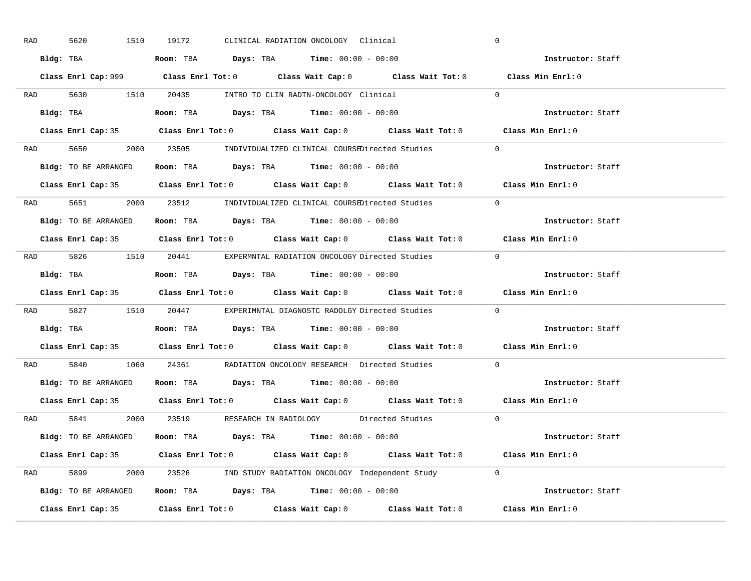| RAD | 1510<br>5620         | 19172<br>CLINICAL RADIATION ONCOLOGY Clinical                                                      | $\overline{0}$    |
|-----|----------------------|----------------------------------------------------------------------------------------------------|-------------------|
|     |                      | Bldg: TBA                   Room: TBA        Days: TBA        Time: $00:00 - 00:00$                | Instructor: Staff |
|     |                      | Class Enrl Cap: 999 Class Enrl Tot: 0 Class Wait Cap: 0 Class Wait Tot: 0 Class Min Enrl: 0        |                   |
|     |                      | RAD 5630 1510 20435 INTRO TO CLIN RADTN-ONCOLOGY Clinical 0                                        |                   |
|     |                      | Bldg: TBA                           Room: TBA          Days: TBA          Time: $00:00 - 00:00$    | Instructor: Staff |
|     |                      | Class Enrl Cap: 35 Class Enrl Tot: 0 Class Wait Cap: 0 Class Wait Tot: 0 Class Min Enrl: 0         |                   |
|     |                      | RAD 5650 2000 23505 INDIVIDUALIZED CLINICAL COURSEDirected Studies 0                               |                   |
|     |                      | <b>Bldg:</b> TO BE ARRANGED <b>Room:</b> TBA <b>Days:</b> TBA <b>Time:</b> $00:00 - 00:00$         | Instructor: Staff |
|     |                      | Class Enrl Cap: 35 Class Enrl Tot: 0 Class Wait Cap: 0 Class Wait Tot: 0 Class Min Enrl: 0         |                   |
|     |                      | RAD 5651 2000 23512 INDIVIDUALIZED CLINICAL COURSEDirected Studies                                 | $\Omega$          |
|     | Bldg: TO BE ARRANGED | Room: TBA $\rule{1em}{0.15mm}$ Days: TBA Time: $00:00 - 00:00$                                     | Instructor: Staff |
|     |                      | Class Enrl Cap: 35 Class Enrl Tot: 0 Class Wait Cap: 0 Class Wait Tot: 0 Class Min Enrl: 0         |                   |
|     |                      | RAD 5826 1510 20441 EXPERMNTAL RADIATION ONCOLOGY Directed Studies 0                               |                   |
|     |                      | Bldg: TBA                          Room: TBA          Days: TBA          Time: $00:00 - 00:00$     | Instructor: Staff |
|     |                      | Class Enrl Cap: 35 Class Enrl Tot: 0 Class Wait Cap: 0 Class Wait Tot: 0 Class Min Enrl: 0         |                   |
|     |                      | RAD 5827 1510 20447 EXPERIMNTAL DIAGNOSTC RADOLGY Directed Studies                                 | $\overline{0}$    |
|     |                      | Bldg: TBA                       Room: TBA         Days: TBA         Time: $00:00 - 00:00$          | Instructor: Staff |
|     |                      | Class Enrl Cap: 35 Class Enrl Tot: 0 Class Wait Cap: 0 Class Wait Tot: 0 Class Min Enrl: 0         |                   |
| RAD |                      | 5840 1060 24361 RADIATION ONCOLOGY RESEARCH Directed Studies                                       | $\overline{0}$    |
|     |                      | Bldg: TO BE ARRANGED ROOM: TBA Days: TBA Time: 00:00 - 00:00                                       | Instructor: Staff |
|     | Class Enrl Cap: 35   | Class Enrl Tot: 0 $\qquad$ Class Wait Cap: 0 $\qquad$ Class Wait Tot: 0 $\qquad$ Class Min Enrl: 0 |                   |
|     |                      | RAD 5841 2000 23519 RESEARCH IN RADIOLOGY Directed Studies 0                                       |                   |
|     |                      | Bldg: TO BE ARRANGED Room: TBA Days: TBA Time: 00:00 - 00:00                                       | Instructor: Staff |
|     |                      | Class Enrl Cap: 35 Class Enrl Tot: 0 Class Wait Cap: 0 Class Wait Tot: 0 Class Min Enrl: 0         |                   |
|     |                      | RAD 5899 2000 23526 IND STUDY RADIATION ONCOLOGY Independent Study 0                               |                   |
|     |                      | Bldg: TO BE ARRANGED Room: TBA Days: TBA Time: 00:00 - 00:00                                       | Instructor: Staff |
|     |                      | Class Enrl Cap: 35 Class Enrl Tot: 0 Class Wait Cap: 0 Class Wait Tot: 0 Class Min Enrl: 0         |                   |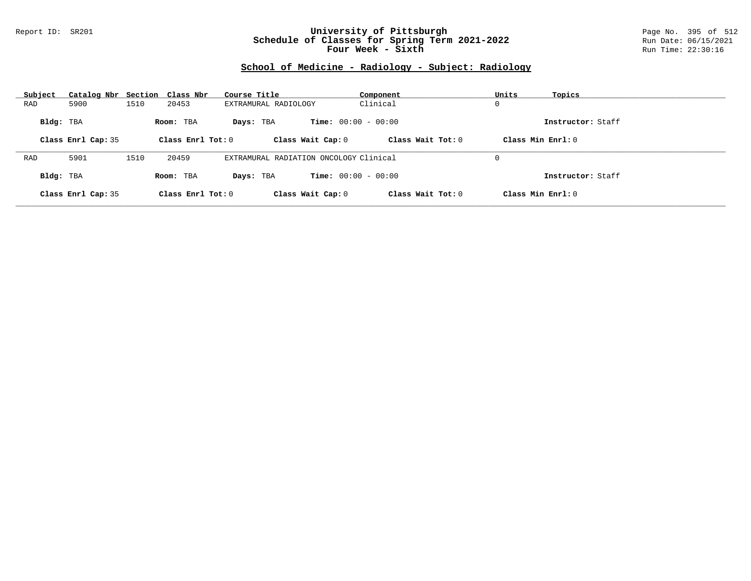### Report ID: SR201 **University of Pittsburgh** Page No. 395 of 512 **Schedule of Classes for Spring Term 2021-2022** Run Date: 06/15/2021 **Four Week - Sixth** Run Time: 22:30:16

# **School of Medicine - Radiology - Subject: Radiology**

| Subject   | Catalog Nbr Section Class Nbr |      |                     | Course Title                           | Component                    | Units<br>Topics     |
|-----------|-------------------------------|------|---------------------|----------------------------------------|------------------------------|---------------------|
| RAD       | 5900                          | 1510 | 20453               | EXTRAMURAL RADIOLOGY                   | Clinical                     | 0                   |
| Bldg: TBA |                               |      | Room: TBA           | Davs: TBA                              | <b>Time:</b> $00:00 - 00:00$ | Instructor: Staff   |
|           | Class Enrl Cap: 35            |      | Class Enrl Tot: $0$ | Class Wait Cap: 0                      | Class Wait $Tot: 0$          | Class Min $Enrl: 0$ |
|           |                               |      |                     |                                        |                              |                     |
| RAD       | 5901                          | 1510 | 20459               | EXTRAMURAL RADIATION ONCOLOGY Clinical |                              | 0                   |
| Bldg: TBA |                               |      | Room: TBA           | Davs: TBA                              | <b>Time:</b> $00:00 - 00:00$ | Instructor: Staff   |
|           | Class Enrl Cap: 35            |      | Class Enrl Tot: 0   | Class Wait Cap: 0                      | Class Wait Tot: 0            | Class Min Enrl: 0   |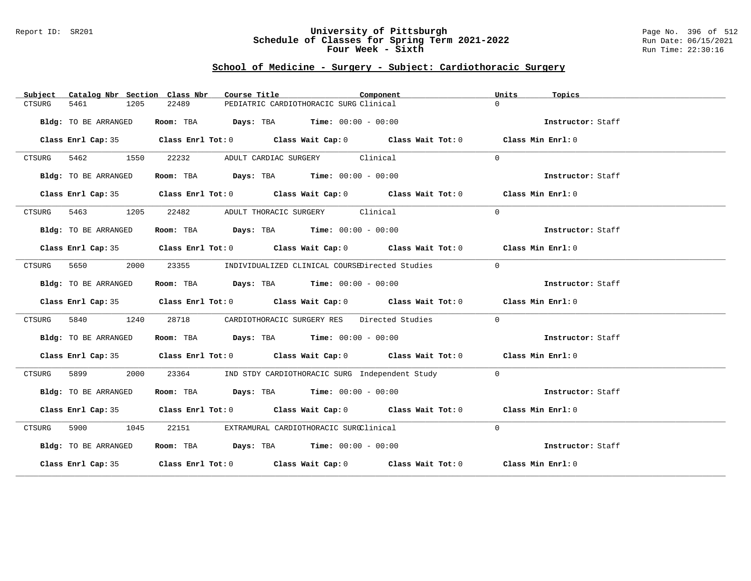### Report ID: SR201 **University of Pittsburgh** Page No. 396 of 512 **Schedule of Classes for Spring Term 2021-2022** Run Date: 06/15/2021 **Four Week - Sixth** Run Time: 22:30:16

## **School of Medicine - Surgery - Subject: Cardiothoracic Surgery**

| Catalog Nbr Section Class Nbr<br>Subject | Course Title                                                                            | Units<br>Component<br>Topics                                                               |  |
|------------------------------------------|-----------------------------------------------------------------------------------------|--------------------------------------------------------------------------------------------|--|
| CTSURG<br>5461<br>1205                   | 22489<br>PEDIATRIC CARDIOTHORACIC SURG Clinical                                         | $\Omega$                                                                                   |  |
| Bldg: TO BE ARRANGED                     | Room: TBA $Days:$ TBA Time: $00:00 - 00:00$                                             | Instructor: Staff                                                                          |  |
|                                          |                                                                                         | Class Enrl Cap: 35 Class Enrl Tot: 0 Class Wait Cap: 0 Class Wait Tot: 0 Class Min Enrl: 0 |  |
| CTSURG 5462 1550                         | 22232<br>ADULT CARDIAC SURGERY Clinical                                                 | $\Omega$                                                                                   |  |
| Bldg: TO BE ARRANGED                     | Room: TBA $\rule{1em}{0.15mm}$ Days: TBA $\rule{1.5mm}{0.15mm}$ Time: $00:00 - 00:00$   | Instructor: Staff                                                                          |  |
|                                          |                                                                                         | Class Enrl Cap: 35 Class Enrl Tot: 0 Class Wait Cap: 0 Class Wait Tot: 0 Class Min Enrl: 0 |  |
|                                          | CTSURG 5463 1205 22482 ADULT THORACIC SURGERY Clinical                                  | $\Omega$                                                                                   |  |
| Bldg: TO BE ARRANGED                     | Room: TBA $Days:$ TBA Time: $00:00 - 00:00$                                             | Instructor: Staff                                                                          |  |
|                                          |                                                                                         | Class Enrl Cap: 35 Class Enrl Tot: 0 Class Wait Cap: 0 Class Wait Tot: 0 Class Min Enrl: 0 |  |
| 5650 365<br>CTSURG                       | 2000<br>23355 INDIVIDUALIZED CLINICAL COURSEDirected Studies                            | $\Omega$                                                                                   |  |
| Bldg: TO BE ARRANGED                     | Room: TBA $Days:$ TBA $Time: 00:00 - 00:00$                                             | Instructor: Staff                                                                          |  |
|                                          |                                                                                         | Class Enrl Cap: 35 Class Enrl Tot: 0 Class Wait Cap: 0 Class Wait Tot: 0 Class Min Enrl: 0 |  |
| 1240<br>5840 5840<br>CTSURG              | 28718 CARDIOTHORACIC SURGERY RES Directed Studies                                       | $\Omega$                                                                                   |  |
| Bldg: TO BE ARRANGED                     | Room: TBA $Days:$ TBA Time: $00:00 - 00:00$                                             | Instructor: Staff                                                                          |  |
|                                          |                                                                                         | Class Enrl Cap: 35 Class Enrl Tot: 0 Class Wait Cap: 0 Class Wait Tot: 0 Class Min Enrl: 0 |  |
| CTSURG                                   | 2000<br>23364 IND STDY CARDIOTHORACIC SURG Independent Study                            | $\bigcap$                                                                                  |  |
| Bldg: TO BE ARRANGED                     | Room: TBA $\rule{1em}{0.15mm}$ Days: TBA $\rule{1.15mm}]{0.15mm}$ Time: $00:00 - 00:00$ | Instructor: Staff                                                                          |  |
|                                          |                                                                                         | Class Enrl Cap: 35 Class Enrl Tot: 0 Class Wait Cap: 0 Class Wait Tot: 0 Class Min Enrl: 0 |  |
| CTSURG 5900 1045                         | 22151 EXTRAMURAL CARDIOTHORACIC SURGClinical                                            | $\Omega$                                                                                   |  |
| Bldg: TO BE ARRANGED                     | Room: TBA $Days:$ TBA Time: $00:00 - 00:00$                                             | Instructor: Staff                                                                          |  |
|                                          |                                                                                         | Class Enrl Cap: 35 Class Enrl Tot: 0 Class Wait Cap: 0 Class Wait Tot: 0 Class Min Enrl: 0 |  |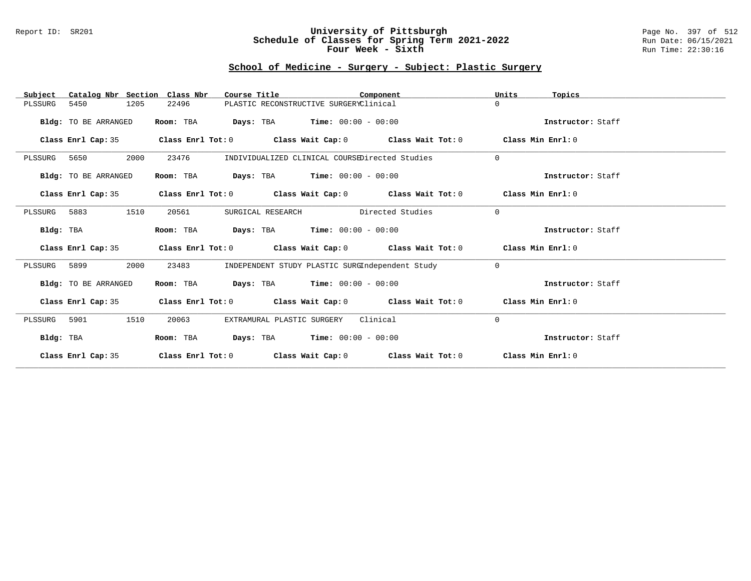#### Report ID: SR201 **University of Pittsburgh** Page No. 397 of 512 **Schedule of Classes for Spring Term 2021-2022** Run Date: 06/15/2021 **Four Week - Sixth** Run Time: 22:30:16

# **School of Medicine - Surgery - Subject: Plastic Surgery**

| Catalog Nbr Section Class Nbr<br>Subject | Course Title                                                                               | Component                                       | Units    | Topics            |
|------------------------------------------|--------------------------------------------------------------------------------------------|-------------------------------------------------|----------|-------------------|
| 5450<br>1205<br>PLSSURG                  | 22496                                                                                      | PLASTIC RECONSTRUCTIVE SURGERYClinical          | $\Omega$ |                   |
| Bldg: TO BE ARRANGED                     | Room: TBA                                                                                  | <b>Days:</b> TBA <b>Time:</b> $00:00 - 00:00$   |          | Instructor: Staff |
| Class Enrl Cap: 35                       | Class Enrl Tot: $0$ Class Wait Cap: $0$ Class Wait Tot: $0$ Class Min Enrl: $0$            |                                                 |          |                   |
| 2000<br>PLSSURG<br>5650                  | 23476                                                                                      | INDIVIDUALIZED CLINICAL COURSEDirected Studies  | $\Omega$ |                   |
| Bldg: TO BE ARRANGED                     | Room: TBA                                                                                  | <b>Days:</b> TBA <b>Time:</b> $00:00 - 00:00$   |          | Instructor: Staff |
|                                          | Class Enrl Cap: 35 Class Enrl Tot: 0 Class Wait Cap: 0 Class Wait Tot: 0 Class Min Enrl: 0 |                                                 |          |                   |
| 1510<br>PLSSURG 5883                     | 20561                                                                                      | SURGICAL RESEARCH Directed Studies              | $\Omega$ |                   |
| Bldg: TBA                                | Room: TBA                                                                                  | <b>Days:</b> TBA <b>Time:</b> $00:00 - 00:00$   |          | Instructor: Staff |
| Class Enrl Cap: 35                       | Class Enrl Tot: $0$ Class Wait Cap: $0$ Class Wait Tot: $0$ Class Min Enrl: $0$            |                                                 |          |                   |
| 2000<br>PLSSURG 5899                     | 23483                                                                                      | INDEPENDENT STUDY PLASTIC SURGIndependent Study | $\Omega$ |                   |
| Bldg: TO BE ARRANGED                     | Room: TBA $Days: TBA$ Time: $00:00 - 00:00$                                                |                                                 |          | Instructor: Staff |
| Class Enrl Cap: 35                       | Class Enrl Tot: $0$ Class Wait Cap: $0$ Class Wait Tot: $0$ Class Min Enrl: $0$            |                                                 |          |                   |
| 5901<br>1510<br>PLSSURG                  | EXTRAMURAL PLASTIC SURGERY<br>20063                                                        | Clinical                                        | 0        |                   |
| Bldg: TBA                                | Room: TBA $Days:$ TBA $Time: 00:00 - 00:00$                                                |                                                 |          | Instructor: Staff |
| Class Enrl Cap: 35                       | Class Enrl Tot: $0$ Class Wait Cap: $0$ Class Wait Tot: $0$ Class Min Enrl: $0$            |                                                 |          |                   |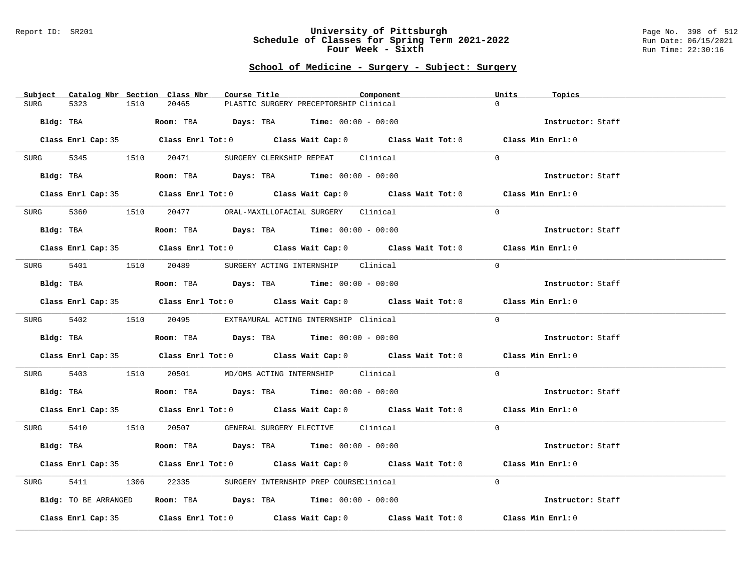#### Report ID: SR201 **University of Pittsburgh** Page No. 398 of 512 **Schedule of Classes for Spring Term 2021-2022** Run Date: 06/15/2021 **Four Week - Sixth** Run Time: 22:30:16

### **School of Medicine - Surgery - Subject: Surgery**

| Subject Catalog Nbr Section Class Nbr | Course Title                                                                               | Component<br>Units<br>Topics |                   |
|---------------------------------------|--------------------------------------------------------------------------------------------|------------------------------|-------------------|
| 5323<br>1510<br><b>SURG</b>           | 20465<br>PLASTIC SURGERY PRECEPTORSHIP Clinical                                            | $\Omega$                     |                   |
| Bldg: TBA                             | Room: TBA $Days: TBA$ Time: $00:00 - 00:00$                                                |                              | Instructor: Staff |
|                                       | Class Enrl Cap: 35 Class Enrl Tot: 0 Class Wait Cap: 0 Class Wait Tot: 0 Class Min Enrl: 0 |                              |                   |
| SURG 5345 1510                        | 20471<br>SURGERY CLERKSHIP REPEAT Clinical                                                 | $\Omega$                     |                   |
| Bldg: TBA                             | Room: TBA $Days:$ TBA $Time: 00:00 - 00:00$                                                | Instructor: Staff            |                   |
|                                       | Class Enrl Cap: 35 Class Enrl Tot: 0 Class Wait Cap: 0 Class Wait Tot: 0 Class Min Enrl: 0 |                              |                   |
| SURG                                  | 5360 1510 20477 ORAL-MAXILLOFACIAL SURGERY Clinical                                        | $\Omega$                     |                   |
| Bldg: TBA                             | Room: TBA $Days:$ TBA $Time: 00:00 - 00:00$                                                |                              | Instructor: Staff |
|                                       | Class Enrl Cap: 35 Class Enrl Tot: 0 Class Wait Cap: 0 Class Wait Tot: 0 Class Min Enrl: 0 |                              |                   |
| SURG 5401                             | 1510   20489   SURGERY ACTING INTERNSHIP   Clinical                                        | $\Omega$                     |                   |
| Bldg: TBA                             | Room: TBA $Days:$ TBA $Time: 00:00 - 00:00$                                                |                              | Instructor: Staff |
|                                       | Class Enrl Cap: 35 Class Enrl Tot: 0 Class Wait Cap: 0 Class Wait Tot: 0 Class Min Enrl: 0 |                              |                   |
|                                       | SURG 5402 1510 20495 EXTRAMURAL ACTING INTERNSHIP Clinical                                 | $\Omega$                     |                   |
| Bldg: TBA                             | Room: TBA $Days:$ TBA $Time: 00:00 - 00:00$                                                |                              | Instructor: Staff |
|                                       | Class Enrl Cap: 35 Class Enrl Tot: 0 Class Wait Cap: 0 Class Wait Tot: 0 Class Min Enrl: 0 |                              |                   |
| 5403<br>SURG                          | 1510  20501  MD/OMS ACTING INTERNSHIP  Clinical                                            | $\Omega$                     |                   |
| Bldg: TBA                             | Room: TBA $Days:$ TBA $Time: 00:00 - 00:00$                                                | Instructor: Staff            |                   |
|                                       | Class Enrl Cap: 35 Class Enrl Tot: 0 Class Wait Cap: 0 Class Wait Tot: 0 Class Min Enrl: 0 |                              |                   |
|                                       | SURG 5410 1510 20507 GENERAL SURGERY ELECTIVE Clinical                                     | $\Omega$                     |                   |
| Bldg: TBA                             | Room: TBA $Days:$ TBA Time: $00:00 - 00:00$                                                |                              | Instructor: Staff |
|                                       | Class Enrl Cap: 35 Class Enrl Tot: 0 Class Wait Cap: 0 Class Wait Tot: 0 Class Min Enrl: 0 |                              |                   |
| 5411<br>SURG                          | 1306 22335 SURGERY INTERNSHIP PREP COURSEClinical                                          | $\Omega$                     |                   |
| Bldg: TO BE ARRANGED                  | Room: TBA $Days:$ TBA $Time: 00:00 - 00:00$                                                |                              | Instructor: Staff |
|                                       | Class Enrl Cap: 35 Class Enrl Tot: 0 Class Wait Cap: 0 Class Wait Tot: 0 Class Min Enrl: 0 |                              |                   |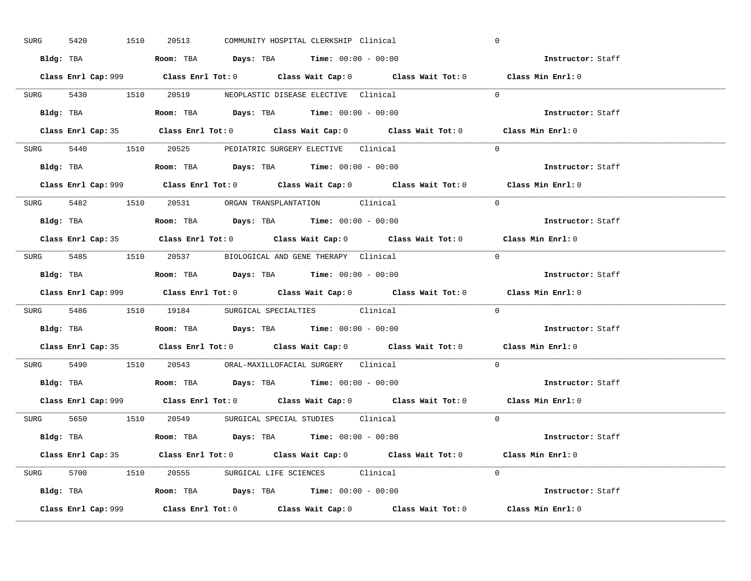| SURG      | 1510<br>5420 | 20513                                                                                  | COMMUNITY HOSPITAL CLERKSHIP Clinical |                                                                           | $\mathbf 0$                                                                                 |  |
|-----------|--------------|----------------------------------------------------------------------------------------|---------------------------------------|---------------------------------------------------------------------------|---------------------------------------------------------------------------------------------|--|
|           |              | Bldg: TBA                      Room: TBA         Days: TBA         Time: 00:00 - 00:00 |                                       |                                                                           | Instructor: Staff                                                                           |  |
|           |              |                                                                                        |                                       |                                                                           | Class Enrl Cap: 999 Class Enrl Tot: 0 Class Wait Cap: 0 Class Wait Tot: 0 Class Min Enrl: 0 |  |
|           |              | SURG 5430 1510 20519 NEOPLASTIC DISEASE ELECTIVE Clinical                              |                                       |                                                                           | $\Omega$                                                                                    |  |
|           |              |                                                                                        |                                       |                                                                           | Instructor: Staff                                                                           |  |
|           |              |                                                                                        |                                       |                                                                           | Class Enrl Cap: 35 Class Enrl Tot: 0 Class Wait Cap: 0 Class Wait Tot: 0 Class Min Enrl: 0  |  |
|           |              | SURG 5440 1510 20525 PEDIATRIC SURGERY ELECTIVE Clinical                               |                                       |                                                                           | $\Omega$                                                                                    |  |
|           |              | <b>Bldg:</b> TBA <b>ROOM:</b> TBA <b>Days:</b> TBA <b>Time:</b> $00:00 - 00:00$        |                                       |                                                                           | Instructor: Staff                                                                           |  |
|           |              |                                                                                        |                                       |                                                                           | Class Enrl Cap: 999 Class Enrl Tot: 0 Class Wait Cap: 0 Class Wait Tot: 0 Class Min Enrl: 0 |  |
|           |              | SURG 5482 1510 20531 ORGAN TRANSPLANTATION Clinical                                    |                                       |                                                                           | $\Omega$                                                                                    |  |
|           |              | Bldg: TBA                   Room: TBA         Days: TBA         Time: $00:00 - 00:00$  |                                       |                                                                           | Instructor: Staff                                                                           |  |
|           |              |                                                                                        |                                       |                                                                           | Class Enrl Cap: 35 Class Enrl Tot: 0 Class Wait Cap: 0 Class Wait Tot: 0 Class Min Enrl: 0  |  |
|           |              | SURG 5485 1510 20537 BIOLOGICAL AND GENE THERAPY Clinical                              |                                       |                                                                           | $\Omega$                                                                                    |  |
|           |              | Bldg: TBA                   Room: TBA         Days: TBA         Time: $00:00 - 00:00$  |                                       |                                                                           | Instructor: Staff                                                                           |  |
|           |              |                                                                                        |                                       |                                                                           |                                                                                             |  |
|           |              |                                                                                        |                                       | Class Enrl Cap: 999 Class Enrl Tot: 0 Class Wait Cap: 0 Class Wait Tot: 0 | Class Min Enrl: 0                                                                           |  |
|           |              | SURG 5486 1510 19184 SURGICAL SPECIALTIES Clinical                                     |                                       |                                                                           | $\Omega$                                                                                    |  |
| Bldg: TBA |              | <b>Room:</b> TBA <b>Days:</b> TBA <b>Time:</b> 00:00 - 00:00                           |                                       |                                                                           | Instructor: Staff                                                                           |  |
|           |              |                                                                                        |                                       |                                                                           | Class Enrl Cap: 35 Class Enrl Tot: 0 Class Wait Cap: 0 Class Wait Tot: 0 Class Min Enrl: 0  |  |
|           |              | SURG 5490 1510 20543 ORAL-MAXILLOFACIAL SURGERY Clinical                               |                                       |                                                                           | $\Omega$                                                                                    |  |
|           |              | Bldg: TBA                   Room: TBA         Days: TBA         Time: $00:00 - 00:00$  |                                       |                                                                           | Instructor: Staff                                                                           |  |
|           |              |                                                                                        |                                       |                                                                           | Class Enrl Cap: 999 Class Enrl Tot: 0 Class Wait Cap: 0 Class Wait Tot: 0 Class Min Enrl: 0 |  |
|           |              | SURG 5650 1510 20549 SURGICAL SPECIAL STUDIES Clinical                                 |                                       |                                                                           | $\Omega$                                                                                    |  |
|           |              | Bldg: TBA                    Room: TBA         Days: TBA         Time: 00:00 - 00:00   |                                       |                                                                           | Instructor: Staff                                                                           |  |
|           |              |                                                                                        |                                       |                                                                           | Class Enrl Cap: 35 Class Enrl Tot: 0 Class Wait Cap: 0 Class Wait Tot: 0 Class Min Enrl: 0  |  |
|           |              | SURG 5700 1510 20555 SURGICAL LIFE SCIENCES Clinical                                   |                                       |                                                                           | $\Omega$                                                                                    |  |
|           |              | Bldg: TBA                   Room: TBA         Days: TBA         Time: $00:00 - 00:00$  |                                       |                                                                           | Instructor: Staff                                                                           |  |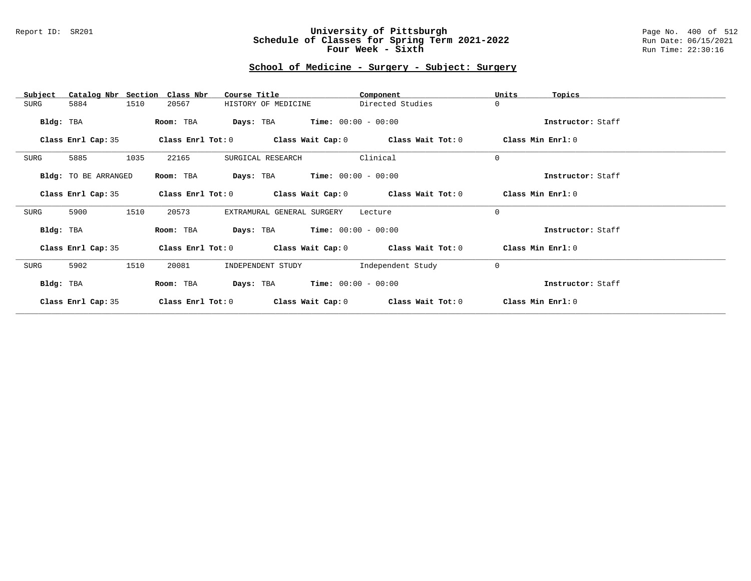#### Report ID: SR201 **University of Pittsburgh** Page No. 400 of 512 **Schedule of Classes for Spring Term 2021-2022** Run Date: 06/15/2021 **Four Week - Sixth** Run Time: 22:30:16

# **School of Medicine - Surgery - Subject: Surgery**

| Catalog Nbr Section Class Nbr<br>Subject | Course Title                                                | Component         | Units<br>Topics   |
|------------------------------------------|-------------------------------------------------------------|-------------------|-------------------|
| 1510<br>SURG<br>5884                     | HISTORY OF MEDICINE<br>20567                                | Directed Studies  | $\mathbf 0$       |
| Bldg: TBA                                | <b>Days:</b> TBA <b>Time:</b> $00:00 - 00:00$<br>Room: TBA  |                   | Instructor: Staff |
| Class Enrl Cap: 35                       | Class Enrl Tot: $0$ Class Wait Cap: $0$ Class Wait Tot: $0$ |                   | Class Min Enrl: 0 |
| 5885<br>1035<br>SURG                     | 22165<br>SURGICAL RESEARCH                                  | Clinical          | $\mathbf 0$       |
| Bldg: TO BE ARRANGED                     | <b>Days:</b> TBA <b>Time:</b> $00:00 - 00:00$<br>Room: TBA  |                   | Instructor: Staff |
| Class Enrl Cap: 35                       | Class Enrl Tot: $0$ Class Wait Cap: $0$ Class Wait Tot: $0$ |                   | Class Min Enrl: 0 |
| 1510<br>5900<br>SURG                     | 20573<br>EXTRAMURAL GENERAL SURGERY                         | Lecture           | $\mathbf 0$       |
| Bldg: TBA                                | <b>Days:</b> TBA <b>Time:</b> $00:00 - 00:00$<br>Room: TBA  |                   | Instructor: Staff |
| Class Enrl Cap: 35                       | Class Enrl Tot: $0$ Class Wait Cap: $0$ Class Wait Tot: $0$ |                   | Class Min Enrl: 0 |
| 5902<br>1510<br>SURG                     | 20081<br>INDEPENDENT STUDY                                  | Independent Study | $\mathbf 0$       |
| Bldg: TBA                                | $Time: 00:00 - 00:00$<br>Days: TBA<br>Room: TBA             |                   | Instructor: Staff |
| Class Enrl Cap: 35                       | Class Enrl Tot: 0<br>Class Wait Cap: 0                      | Class Wait Tot: 0 | Class Min Enrl: 0 |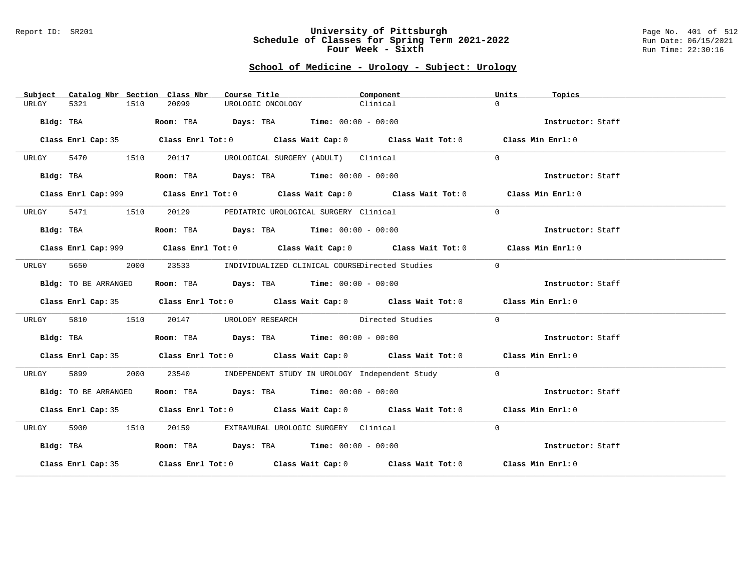#### Report ID: SR201 **University of Pittsburgh** Page No. 401 of 512 **Schedule of Classes for Spring Term 2021-2022** Run Date: 06/15/2021 **Four Week - Sixth** Run Time: 22:30:16

# **School of Medicine - Urology - Subject: Urology**

| Subject   |                      |      | Catalog Nbr Section Class Nbr | Course Title      |                                                                | Component                                                                                   | Units    | Topics            |  |
|-----------|----------------------|------|-------------------------------|-------------------|----------------------------------------------------------------|---------------------------------------------------------------------------------------------|----------|-------------------|--|
| URLGY     | 5321                 | 1510 | 20099                         | UROLOGIC ONCOLOGY |                                                                | Clinical                                                                                    | $\Omega$ |                   |  |
|           | Bldg: TBA            |      |                               |                   | Room: TBA $Days:$ TBA $Time: 00:00 - 00:00$                    |                                                                                             |          | Instructor: Staff |  |
|           |                      |      |                               |                   |                                                                | Class Enrl Cap: 35 Class Enrl Tot: 0 Class Wait Cap: 0 Class Wait Tot: 0 Class Min Enrl: 0  |          |                   |  |
| URLGY     | 5470<br>1510         |      | 20117                         |                   | UROLOGICAL SURGERY (ADULT) Clinical                            |                                                                                             | $\Omega$ |                   |  |
|           | Bldg: TBA            |      |                               |                   | Room: TBA $Days:$ TBA $Time: 00:00 - 00:00$                    |                                                                                             |          | Instructor: Staff |  |
|           |                      |      |                               |                   |                                                                | Class Enrl Cap: 999 Class Enrl Tot: 0 Class Wait Cap: 0 Class Wait Tot: 0 Class Min Enrl: 0 |          |                   |  |
| URLGY     | 5471 1510            |      |                               |                   | 20129 PEDIATRIC UROLOGICAL SURGERY Clinical                    |                                                                                             | $\Omega$ |                   |  |
|           | Bldg: TBA            |      |                               |                   | Room: TBA $\rule{1em}{0.15mm}$ Days: TBA Time: $00:00 - 00:00$ |                                                                                             |          | Instructor: Staff |  |
|           |                      |      |                               |                   |                                                                | Class Enrl Cap: 999 Class Enrl Tot: 0 Class Wait Cap: 0 Class Wait Tot: 0 Class Min Enrl: 0 |          |                   |  |
| URLGY     | 5650                 | 2000 | 23533                         |                   |                                                                | INDIVIDUALIZED CLINICAL COURSEDirected Studies                                              | $\Omega$ |                   |  |
|           | Bldg: TO BE ARRANGED |      |                               |                   | Room: TBA $Days:$ TBA $Time: 00:00 - 00:00$                    |                                                                                             |          | Instructor: Staff |  |
|           |                      |      |                               |                   |                                                                | Class Enrl Cap: 35 Class Enrl Tot: 0 Class Wait Cap: 0 Class Wait Tot: 0 Class Min Enrl: 0  |          |                   |  |
| URLGY     | 5810                 | 1510 |                               |                   |                                                                | 20147 UROLOGY RESEARCH Directed Studies                                                     | $\Omega$ |                   |  |
|           | Bldg: TBA            |      |                               |                   | Room: TBA $Days: TBA$ Time: $00:00 - 00:00$                    |                                                                                             |          | Instructor: Staff |  |
|           |                      |      |                               |                   |                                                                | Class Enrl Cap: 35 Class Enrl Tot: 0 Class Wait Cap: 0 Class Wait Tot: 0 Class Min Enrl: 0  |          |                   |  |
| URLGY     | 5899                 | 2000 |                               |                   |                                                                | 23540 INDEPENDENT STUDY IN UROLOGY Independent Study                                        | $\Omega$ |                   |  |
|           | Bldg: TO BE ARRANGED |      |                               |                   | Room: TBA $Days:$ TBA $Time: 00:00 - 00:00$                    |                                                                                             |          | Instructor: Staff |  |
|           |                      |      |                               |                   |                                                                | Class Enrl Cap: 35 Class Enrl Tot: 0 Class Wait Cap: 0 Class Wait Tot: 0 Class Min Enrl: 0  |          |                   |  |
| URLGY     | 5900 1510            |      | 20159                         |                   | EXTRAMURAL UROLOGIC SURGERY Clinical                           |                                                                                             | $\Omega$ |                   |  |
| Bldg: TBA |                      |      |                               |                   | Room: TBA $Days:$ TBA Time: $00:00 - 00:00$                    |                                                                                             |          | Instructor: Staff |  |
|           |                      |      |                               |                   |                                                                | Class Enrl Cap: 35 Class Enrl Tot: 0 Class Wait Cap: 0 Class Wait Tot: 0 Class Min Enrl: 0  |          |                   |  |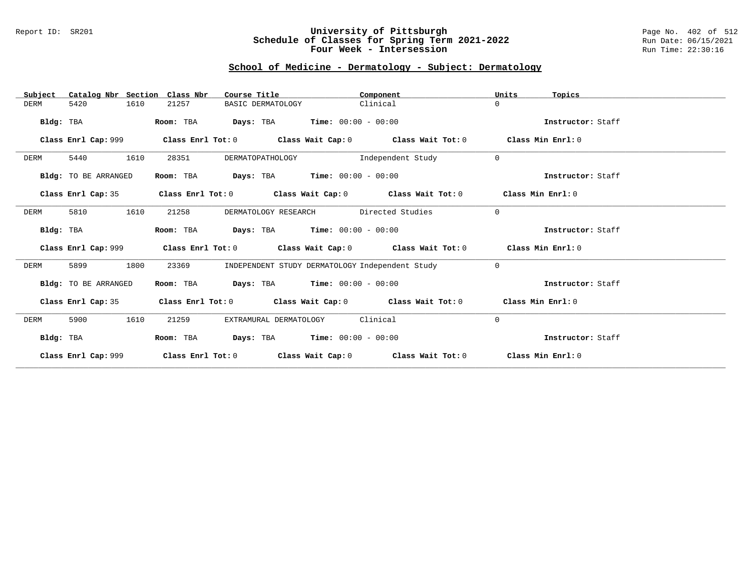### Report ID: SR201 **University of Pittsburgh** Page No. 402 of 512 **Schedule of Classes for Spring Term 2021-2022** Run Date: 06/15/2021 **Four Week - Intersession Run Time: 22:30:16**

# **School of Medicine - Dermatology - Subject: Dermatology**

| Catalog Nbr Section Class Nbr<br>Subject | Course Title                                               | Component                                                                                          | Units<br>Topics   |
|------------------------------------------|------------------------------------------------------------|----------------------------------------------------------------------------------------------------|-------------------|
| 5420<br>1610<br>DERM                     | 21257<br>BASIC DERMATOLOGY                                 | Clinical                                                                                           | $\Omega$          |
| Bldg: TBA                                | Room: TBA                                                  | <b>Days:</b> TBA <b>Time:</b> $00:00 - 00:00$                                                      | Instructor: Staff |
| Class Enrl Cap: 999                      |                                                            | Class Enrl Tot: $0$ Class Wait Cap: $0$ Class Wait Tot: $0$ Class Min Enrl: $0$                    |                   |
| 1610<br>5440<br>DERM                     | 28351                                                      | DERMATOPATHOLOGY 1ndependent Study                                                                 | $\mathbf 0$       |
| Bldg: TO BE ARRANGED                     | Room: TBA                                                  | <b>Days:</b> TBA <b>Time:</b> $00:00 - 00:00$                                                      | Instructor: Staff |
| Class Enrl Cap: 35                       |                                                            | Class Enrl Tot: $0$ Class Wait Cap: $0$ Class Wait Tot: $0$ Class Min Enrl: $0$                    |                   |
| 5810<br>1610<br>DERM                     | 21258                                                      | DERMATOLOGY RESEARCH Directed Studies                                                              | $\Omega$          |
| Bldg: TBA                                | Room: TBA                                                  | <b>Days:</b> TBA <b>Time:</b> $00:00 - 00:00$                                                      | Instructor: Staff |
|                                          |                                                            | Class Enrl Cap: 999 Class Enrl Tot: 0 Class Wait Cap: 0 Class Wait Tot: 0 Class Min Enrl: 0        |                   |
| 1800<br>5899<br>DERM                     | 23369                                                      | INDEPENDENT STUDY DERMATOLOGY Independent Study                                                    | $\Omega$          |
| Bldg: TO BE ARRANGED                     | Room: TBA $Days:$ TBA $Time: 00:00 - 00:00$                |                                                                                                    | Instructor: Staff |
| Class Enrl Cap: 35                       |                                                            | Class Enrl Tot: 0 $\qquad$ Class Wait Cap: 0 $\qquad$ Class Wait Tot: 0 $\qquad$ Class Min Enrl: 0 |                   |
| 1610<br>5900<br>DERM                     | 21259<br>EXTRAMURAL DERMATOLOGY                            | Clinical                                                                                           | 0                 |
| Bldg: TBA                                | <b>Days:</b> TBA <b>Time:</b> $00:00 - 00:00$<br>Room: TBA |                                                                                                    | Instructor: Staff |
| Class Enrl Cap: 999                      |                                                            | Class Enrl Tot: $0$ Class Wait Cap: $0$ Class Wait Tot: $0$ Class Min Enrl: $0$                    |                   |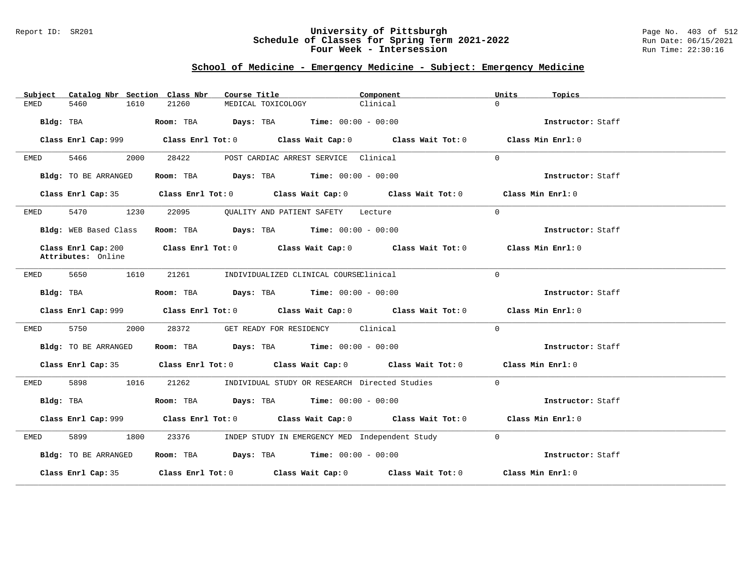#### Report ID: SR201 **University of Pittsburgh** Page No. 403 of 512 **Schedule of Classes for Spring Term 2021-2022** Run Date: 06/15/2021 **Four Week - Intersession Run Time: 22:30:16**

# **School of Medicine - Emergency Medicine - Subject: Emergency Medicine**

| Catalog Nbr Section Class Nbr<br>Subject  | Course Title                                                                                | Component<br>Units                                        | Topics            |
|-------------------------------------------|---------------------------------------------------------------------------------------------|-----------------------------------------------------------|-------------------|
| 5460<br>1610<br>EMED                      | 21260<br>MEDICAL TOXICOLOGY                                                                 | $\Omega$<br>Clinical                                      |                   |
| Bldg: TBA                                 | Room: TBA $Days: TBA$ Time: $00:00 - 00:00$                                                 |                                                           | Instructor: Staff |
| Class Enrl Cap: 999                       | Class Enrl Tot: $0$ Class Wait Cap: $0$ Class Wait Tot: $0$                                 |                                                           | Class Min Enrl: 0 |
| 5466<br>2000<br>EMED                      | 28422<br>POST CARDIAC ARREST SERVICE Clinical                                               | $\Omega$                                                  |                   |
| Bldg: TO BE ARRANGED                      | Room: TBA Days: TBA Time: $00:00 - 00:00$                                                   |                                                           | Instructor: Staff |
| Class Enrl Cap: 35                        | Class Enrl Tot: 0 Class Wait Cap: 0 Class Wait Tot: 0 Class Min Enrl: 0                     |                                                           |                   |
| 5470 1230<br>EMED                         | 22095<br>OUALITY AND PATIENT SAFETY Lecture                                                 | $\Omega$                                                  |                   |
| Bldg: WEB Based Class                     | Room: TBA $Days:$ TBA $Time: 00:00 - 00:00$                                                 |                                                           | Instructor: Staff |
| Class Enrl Cap: 200<br>Attributes: Online | Class Enrl Tot: $0$ Class Wait Cap: $0$ Class Wait Tot: $0$ Class Min Enrl: $0$             |                                                           |                   |
| 5650<br>1610<br>EMED                      | 21261<br>INDIVIDUALIZED CLINICAL COURSEClinical                                             | $\Omega$                                                  |                   |
| Bldg: TBA                                 | Room: TBA $Days:$ TBA $Time: 00:00 - 00:00$                                                 |                                                           | Instructor: Staff |
|                                           | Class Enrl Cap: $999$ Class Enrl Tot: 0 Class Wait Cap: 0 Class Wait Tot: 0                 |                                                           | Class Min Enrl: 0 |
| 5750 37<br>2000<br>EMED                   | GET READY FOR RESIDENCY Clinical<br>28372                                                   | $\Omega$                                                  |                   |
| Bldg: TO BE ARRANGED                      | Room: TBA $Days:$ TBA $Time: 00:00 - 00:00$                                                 |                                                           | Instructor: Staff |
|                                           | Class Enrl Cap: 35 Class Enrl Tot: 0 Class Wait Cap: 0 Class Wait Tot: 0 Class Min Enrl: 0  |                                                           |                   |
| 5898<br>1016<br>EMED                      | 21262                                                                                       | INDIVIDUAL STUDY OR RESEARCH Directed Studies<br>$\Omega$ |                   |
| Bldg: TBA                                 | Room: TBA $Days:$ TBA $Time: 00:00 - 00:00$                                                 |                                                           | Instructor: Staff |
|                                           | Class Enrl Cap: 999 Class Enrl Tot: 0 Class Wait Cap: 0 Class Wait Tot: 0 Class Min Enrl: 0 |                                                           |                   |
| 5899<br>1800<br>EMED                      | 23376                                                                                       | INDEP STUDY IN EMERGENCY MED Independent Study 0          |                   |
| Bldg: TO BE ARRANGED                      | Room: TBA $Days: TBA$ Time: $00:00 - 00:00$                                                 |                                                           | Instructor: Staff |
|                                           | Class Enrl Cap: 35 Class Enrl Tot: 0 Class Wait Cap: 0 Class Wait Tot: 0 Class Min Enrl: 0  |                                                           |                   |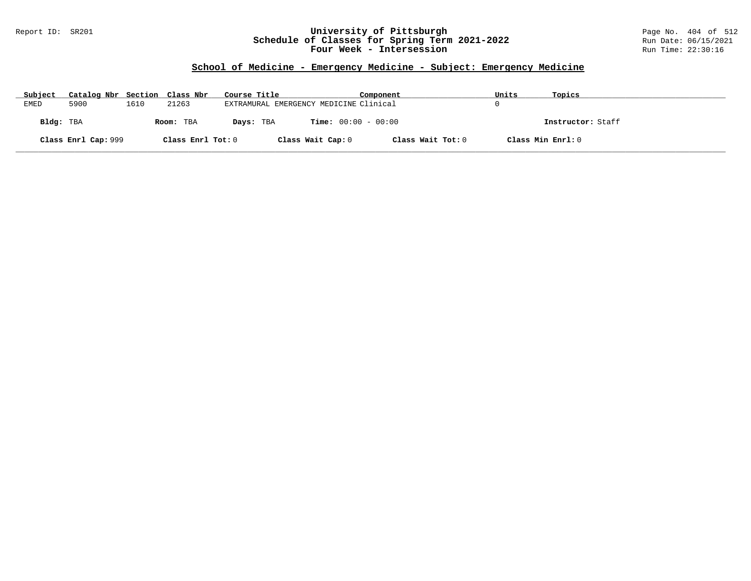### Report ID: SR201 **University of Pittsburgh** Page No. 404 of 512 **Schedule of Classes for Spring Term 2021-2022** Run Date: 06/15/2021 **Four Week - Intersession Run Time: 22:30:16**

# **School of Medicine - Emergency Medicine - Subject: Emergency Medicine**

| Subject   | Catalog Nbr Section Class Nbr |      |                   | Course Title                           |                              | Component         | Units | Topics            |
|-----------|-------------------------------|------|-------------------|----------------------------------------|------------------------------|-------------------|-------|-------------------|
| EMED      | 5900                          | 1610 | 21263             | EXTRAMURAL EMERGENCY MEDICINE Clinical |                              |                   |       |                   |
| Bldg: TBA |                               |      | Room: TBA         | Days: TBA                              | <b>Time:</b> $00:00 - 00:00$ |                   |       | Instructor: Staff |
|           | Class Enrl Cap: 999           |      | Class Enrl Tot: 0 |                                        | Class Wait Cap: 0            | Class Wait Tot: 0 |       | Class Min Enrl: 0 |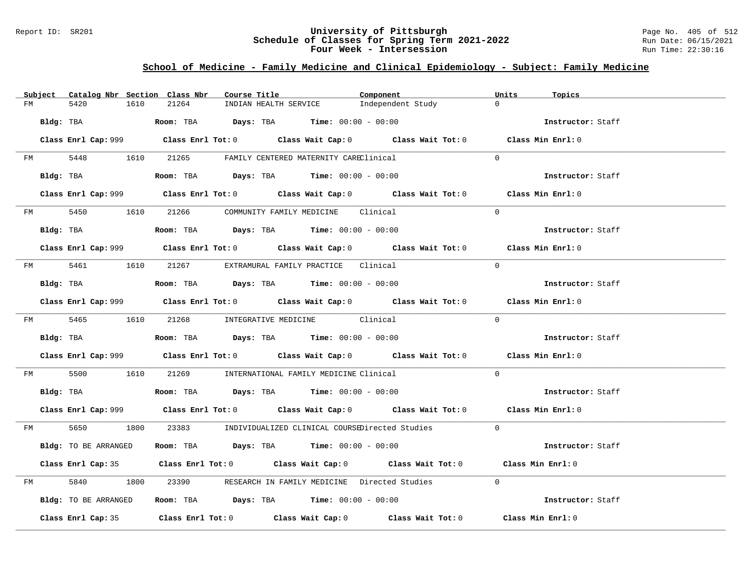#### Report ID: SR201 **University of Pittsburgh** Page No. 405 of 512 **Schedule of Classes for Spring Term 2021-2022** Run Date: 06/15/2021 **Four Week - Intersession Run Time: 22:30:16**

# **School of Medicine - Family Medicine and Clinical Epidemiology - Subject: Family Medicine**

| Subject | Catalog Nbr Section Class Nbr | Course Title                                                                                | Component         | Units<br>Topics   |
|---------|-------------------------------|---------------------------------------------------------------------------------------------|-------------------|-------------------|
| FM      | 5420<br>1610                  | INDIAN HEALTH SERVICE<br>21264                                                              | Independent Study | $\Omega$          |
|         | Bldg: TBA                     | <b>Room:</b> TBA $\qquad \qquad$ Days: TBA $\qquad \qquad$ Time: $00:00 - 00:00$            |                   | Instructor: Staff |
|         |                               |                                                                                             |                   |                   |
|         |                               | Class Enrl Cap: 999 Class Enrl Tot: 0 Class Wait Cap: 0 Class Wait Tot: 0 Class Min Enrl: 0 |                   |                   |
|         | FM 5448 1610                  | 21265 FAMILY CENTERED MATERNITY CAREClinical                                                |                   | $\Omega$          |
|         | Bldg: TBA                     | Room: TBA $\rule{1em}{0.15mm}$ Days: TBA Time: $00:00 - 00:00$                              |                   | Instructor: Staff |
|         |                               | Class Enrl Cap: 999 Class Enrl Tot: 0 Class Wait Cap: 0 Class Wait Tot: 0 Class Min Enrl: 0 |                   |                   |
|         |                               | FM 5450 1610 21266 COMMUNITY FAMILY MEDICINE Clinical                                       |                   | $\Omega$          |
|         | Bldg: TBA                     | Room: TBA $\rule{1em}{0.15mm}$ Days: TBA Time: $00:00 - 00:00$                              |                   | Instructor: Staff |
|         |                               | Class Enrl Cap: 999 Class Enrl Tot: 0 Class Wait Cap: 0 Class Wait Tot: 0 Class Min Enrl: 0 |                   |                   |
|         |                               | FM 5461 1610 21267 EXTRAMURAL FAMILY PRACTICE Clinical                                      |                   | $\Omega$          |
|         | Bldg: TBA                     | Room: TBA $\qquad \qquad$ Days: TBA $\qquad \qquad$ Time: $00:00 - 00:00$                   |                   | Instructor: Staff |
|         |                               | Class Enrl Cap: 999 Class Enrl Tot: 0 Class Wait Cap: 0 Class Wait Tot: 0 Class Min Enrl: 0 |                   |                   |
|         |                               | FM 5465 1610 21268 INTEGRATIVE MEDICINE Clinical                                            |                   | $\Omega$          |
|         | Bldg: TBA                     | Room: TBA $Days: TBA$ Time: $00:00 - 00:00$                                                 |                   | Instructor: Staff |
|         |                               |                                                                                             |                   |                   |
|         |                               | Class Enrl Cap: 999 Class Enrl Tot: 0 Class Wait Cap: 0 Class Wait Tot: 0 Class Min Enrl: 0 |                   |                   |
| FM 5500 | 1610                          | 21269 INTERNATIONAL FAMILY MEDICINE Clinical                                                |                   | $\Omega$          |
|         |                               | Bldg: TBA                   Room: TBA         Days: TBA         Time: $00:00 - 00:00$       |                   | Instructor: Staff |
|         |                               | Class Enrl Cap: 999 Class Enrl Tot: 0 Class Wait Cap: 0 Class Wait Tot: 0 Class Min Enrl: 0 |                   |                   |
|         |                               | FM 5650 1800 23383 INDIVIDUALIZED CLINICAL COURSEDirected Studies 0                         |                   |                   |
|         | Bldg: TO BE ARRANGED          | Room: TBA $\rule{1em}{0.15mm}$ Days: TBA Time: $00:00 - 00:00$                              |                   | Instructor: Staff |
|         |                               | Class Enrl Cap: 35 Class Enrl Tot: 0 Class Wait Cap: 0 Class Wait Tot: 0 Class Min Enrl: 0  |                   |                   |
| FM      | 5840<br>1800                  | 23390 RESEARCH IN FAMILY MEDICINE Directed Studies 0                                        |                   |                   |
|         | Bldg: TO BE ARRANGED          | Room: TBA $\rule{1em}{0.15mm}$ Days: TBA $\rule{1.15mm}{0.15mm}$ Time: $00:00 - 00:00$      |                   | Instructor: Staff |
|         |                               | Class Enrl Cap: 35 Class Enrl Tot: 0 Class Wait Cap: 0 Class Wait Tot: 0 Class Min Enrl: 0  |                   |                   |
|         |                               |                                                                                             |                   |                   |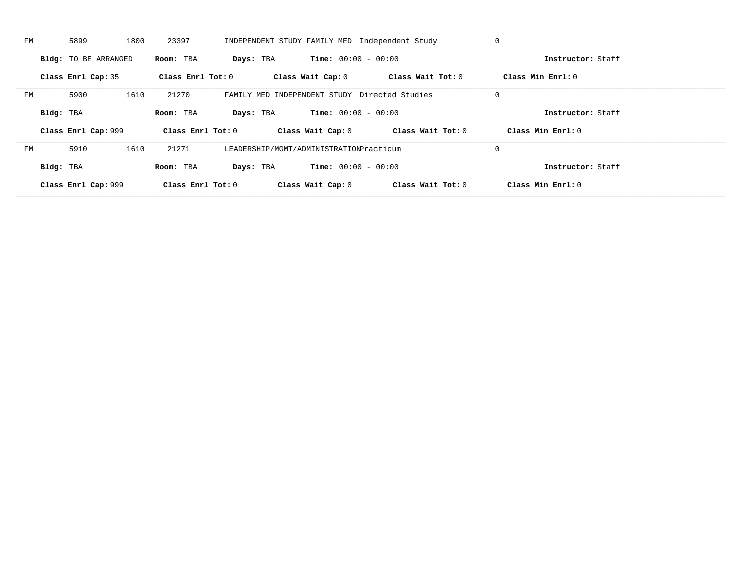| FМ |           | 5899                 | 1800 | 23397               |           |                                         |                              | INDEPENDENT STUDY FAMILY MED Independent Study | 0           |                   |  |
|----|-----------|----------------------|------|---------------------|-----------|-----------------------------------------|------------------------------|------------------------------------------------|-------------|-------------------|--|
|    |           | Bldg: TO BE ARRANGED |      | Room: TBA           | Days: TBA |                                         | <b>Time:</b> $00:00 - 00:00$ |                                                |             | Instructor: Staff |  |
|    |           | Class Enrl Cap: 35   |      | Class Enrl Tot: $0$ |           | Class Wait Cap: 0                       |                              | Class Wait Tot: 0                              |             | Class Min Enrl: 0 |  |
| FM |           | 5900                 | 1610 | 21270               |           |                                         |                              | FAMILY MED INDEPENDENT STUDY Directed Studies  | $\mathbf 0$ |                   |  |
|    | Bldg: TBA |                      |      | Room: TBA           | Days: TBA |                                         | <b>Time:</b> $00:00 - 00:00$ |                                                |             | Instructor: Staff |  |
|    |           | Class Enrl Cap: 999  |      | Class Enrl Tot: 0   |           | Class Wait Cap: 0                       |                              | Class Wait Tot: 0                              |             | Class Min Enrl: 0 |  |
| FМ |           | 5910                 | 1610 | 21271               |           | LEADERSHIP/MGMT/ADMINISTRATIONPracticum |                              |                                                | $\mathbf 0$ |                   |  |
|    | Bldg: TBA |                      |      | Room: TBA           | Days: TBA |                                         | <b>Time:</b> $00:00 - 00:00$ |                                                |             | Instructor: Staff |  |
|    |           | Class Enrl Cap: 999  |      | Class Enrl Tot: 0   |           | Class Wait Cap: 0                       |                              | Class Wait Tot: 0                              |             | Class Min Enrl: 0 |  |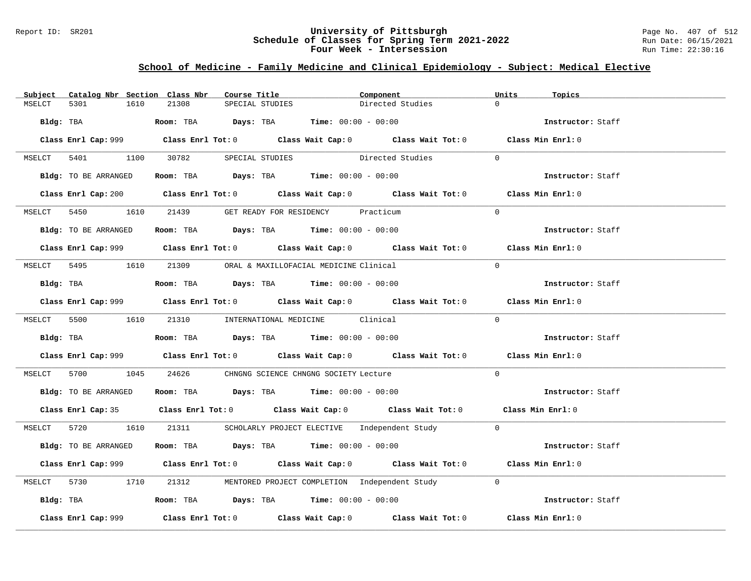#### Report ID: SR201 **University of Pittsburgh** Page No. 407 of 512 **Schedule of Classes for Spring Term 2021-2022** Run Date: 06/15/2021 **Four Week - Intersession Run Time: 22:30:16**

# **School of Medicine - Family Medicine and Clinical Epidemiology - Subject: Medical Elective**

| Catalog Nbr Section Class Nbr<br>Subject | Course Title                                                                         | Component                                                                                   | Units<br>Topics   |
|------------------------------------------|--------------------------------------------------------------------------------------|---------------------------------------------------------------------------------------------|-------------------|
| 5301<br>1610<br>MSELCT                   | 21308<br>SPECIAL STUDIES                                                             | Directed Studies                                                                            | $\cap$            |
| Bldg: TBA                                | Room: TBA $Days:$ TBA $Time: 00:00 - 00:00$                                          |                                                                                             | Instructor: Staff |
|                                          |                                                                                      | Class Enrl Cap: 999 Class Enrl Tot: 0 Class Wait Cap: 0 Class Wait Tot: 0 Class Min Enrl: 0 |                   |
|                                          | MSELCT 5401 1100 30782 SPECIAL STUDIES                                               | Directed Studies                                                                            | $\Omega$          |
| Bldg: TO BE ARRANGED                     | Room: TBA $Days:$ TBA $Time: 00:00 - 00:00$                                          |                                                                                             | Instructor: Staff |
|                                          |                                                                                      | Class Enrl Cap: 200 Class Enrl Tot: 0 Class Wait Cap: 0 Class Wait Tot: 0 Class Min Enrl: 0 |                   |
|                                          | MSELCT 5450 1610 21439 GET READY FOR RESIDENCY Practicum                             |                                                                                             | $\Omega$          |
| Bldg: TO BE ARRANGED                     | Room: TBA $Days:$ TBA $Time:$ 00:00 - 00:00                                          |                                                                                             | Instructor: Staff |
|                                          |                                                                                      | Class Enrl Cap: 999 Class Enrl Tot: 0 Class Wait Cap: 0 Class Wait Tot: 0 Class Min Enrl: 0 |                   |
|                                          | MSELCT 5495 1610 21309 ORAL & MAXILLOFACIAL MEDICINE Clinical                        |                                                                                             | $\Omega$          |
| Bldg: TBA                                | Room: TBA $Days:$ TBA $Time: 00:00 - 00:00$                                          |                                                                                             | Instructor: Staff |
|                                          |                                                                                      | Class Enrl Cap: 999 Class Enrl Tot: 0 Class Wait Cap: 0 Class Wait Tot: 0 Class Min Enrl: 0 |                   |
|                                          | MSELCT 5500 1610 21310 INTERNATIONAL MEDICINE Clinical                               |                                                                                             | $\Omega$          |
|                                          | Bldg: TBA                   Room: TBA         Days: TBA         Time: 00:00 - 00:00  |                                                                                             | Instructor: Staff |
|                                          |                                                                                      | Class Enrl Cap: 999 Class Enrl Tot: 0 Class Wait Cap: 0 Class Wait Tot: 0 Class Min Enrl: 0 |                   |
|                                          | MSELCT 5700 1045 24626 CHNGNG SCIENCE CHNGNG SOCIETY Lecture                         |                                                                                             | $\Omega$          |
| Bldg: TO BE ARRANGED                     | Room: TBA $Days:$ TBA $Time: 00:00 - 00:00$                                          |                                                                                             | Instructor: Staff |
|                                          |                                                                                      | Class Enrl Cap: 35 Class Enrl Tot: 0 Class Wait Cap: 0 Class Wait Tot: 0 Class Min Enrl: 0  |                   |
|                                          |                                                                                      | MSELCT 5720 1610 21311 SCHOLARLY PROJECT ELECTIVE Independent Study 0                       |                   |
| Bldg: TO BE ARRANGED                     | Room: TBA $Days:$ TBA $Time:$ $00:00 - 00:00$                                        |                                                                                             | Instructor: Staff |
|                                          |                                                                                      | Class Enrl Cap: 999 Class Enrl Tot: 0 Class Wait Cap: 0 Class Wait Tot: 0 Class Min Enrl: 0 |                   |
| MSELCT 5730 1710                         |                                                                                      | 21312 MENTORED PROJECT COMPLETION Independent Study 0                                       |                   |
|                                          | Bldg: TBA                    Room: TBA         Days: TBA         Time: 00:00 - 00:00 |                                                                                             | Instructor: Staff |
| Class Enrl Cap: 999                      |                                                                                      | Class Enrl Tot: $0$ Class Wait Cap: $0$ Class Wait Tot: $0$ Class Min Enrl: $0$             |                   |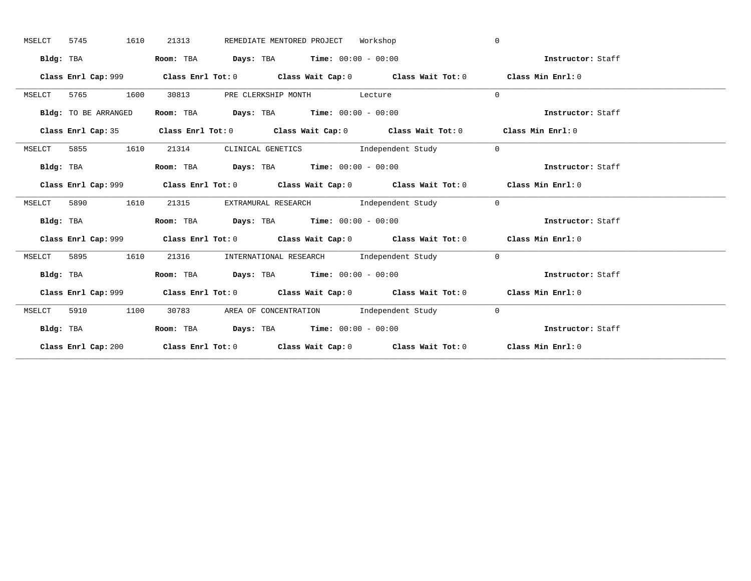| MSELCT    | 5745 | 1610                 | 21313 | REMEDIATE MENTORED PROJECT Workshop                            |                                                                           | $\Omega$                                                                                    |
|-----------|------|----------------------|-------|----------------------------------------------------------------|---------------------------------------------------------------------------|---------------------------------------------------------------------------------------------|
|           |      | Bldg: TBA            |       | Room: TBA $Days:$ TBA $Time: 00:00 - 00:00$                    |                                                                           | Instructor: Staff                                                                           |
|           |      |                      |       |                                                                | Class Enrl Cap: 999 Class Enrl Tot: 0 Class Wait Cap: 0 Class Wait Tot: 0 | Class Min Enrl: 0                                                                           |
| MSELCT    |      | 5765 1600            | 30813 | PRE CLERKSHIP MONTH Lecture                                    |                                                                           | $\Omega$                                                                                    |
|           |      | Bldg: TO BE ARRANGED |       | Room: TBA $Days: TBA$ Time: $00:00 - 00:00$                    |                                                                           | Instructor: Staff                                                                           |
|           |      |                      |       |                                                                |                                                                           | Class Enrl Cap: 35 Class Enrl Tot: 0 Class Wait Cap: 0 Class Wait Tot: 0 Class Min Enrl: 0  |
| MSELCT    | 5855 | 1610                 |       |                                                                | 21314 CLINICAL GENETICS Independent Study                                 | $\overline{0}$                                                                              |
|           |      | Bldg: TBA            |       | Room: TBA $\rule{1em}{0.15mm}$ Days: TBA Time: $00:00 - 00:00$ |                                                                           | Instructor: Staff                                                                           |
|           |      |                      |       |                                                                |                                                                           | Class Enrl Cap: 999 Class Enrl Tot: 0 Class Wait Cap: 0 Class Wait Tot: 0 Class Min Enrl: 0 |
| MSELCT    | 5890 | 1610                 |       |                                                                | 21315 EXTRAMURAL RESEARCH Independent Study 0                             |                                                                                             |
|           |      | Bldg: TBA            |       | Room: TBA $Days:$ TBA $Time: 00:00 - 00:00$                    |                                                                           | Instructor: Staff                                                                           |
|           |      |                      |       |                                                                |                                                                           | Class Enrl Cap: 999 Class Enrl Tot: 0 Class Wait Cap: 0 Class Wait Tot: 0 Class Min Enrl: 0 |
| MSELCT    | 5895 | 1610                 | 21316 |                                                                | INTERNATIONAL RESEARCH and Independent Study                              | $\overline{0}$                                                                              |
| Bldg: TBA |      |                      |       | Room: TBA $Days: TBA$ Time: $00:00 - 00:00$                    |                                                                           | Instructor: Staff                                                                           |
|           |      |                      |       |                                                                | Class Enrl Cap: 999 Class Enrl Tot: 0 Class Wait Cap: 0 Class Wait Tot: 0 | Class Min Enrl: 0                                                                           |
| MSELCT    | 5910 | 1100                 |       |                                                                | 30783 AREA OF CONCENTRATION Independent Study                             | $\overline{0}$                                                                              |
|           |      | Bldg: TBA            |       | Room: TBA $Days:$ TBA $Time: 00:00 - 00:00$                    |                                                                           | Instructor: Staff                                                                           |
|           |      |                      |       |                                                                |                                                                           | Class Enrl Cap: 200 Class Enrl Tot: 0 Class Wait Cap: 0 Class Wait Tot: 0 Class Min Enrl: 0 |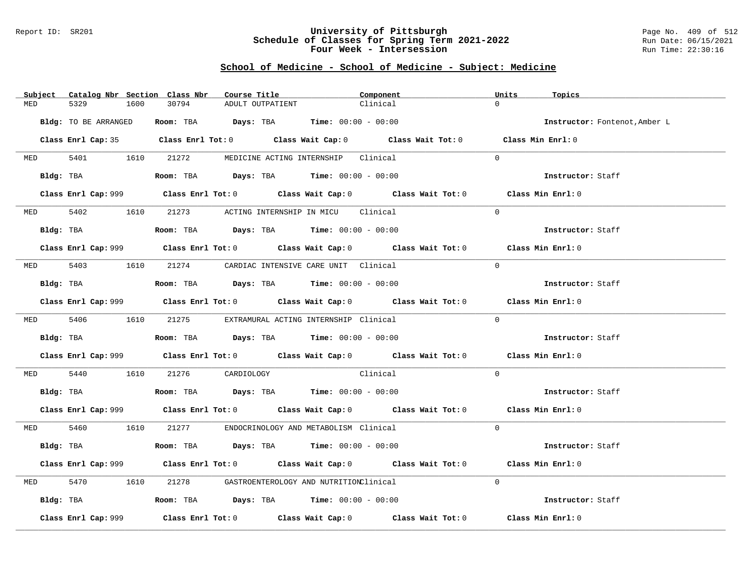### Report ID: SR201 **University of Pittsburgh** Page No. 409 of 512 **Schedule of Classes for Spring Term 2021-2022** Run Date: 06/15/2021 **Four Week - Intersession Run Time: 22:30:16**

# **School of Medicine - School of Medicine - Subject: Medicine**

|          | Subject Catalog Nbr Section Class Nbr | Course Title                                                                           | Component                                                                                   | Units<br>Topics               |
|----------|---------------------------------------|----------------------------------------------------------------------------------------|---------------------------------------------------------------------------------------------|-------------------------------|
| MED      | 5329<br>1600                          | 30794<br>ADULT OUTPATIENT                                                              | Clinical                                                                                    | $\Omega$                      |
|          | Bldg: TO BE ARRANGED                  | Room: TBA $Days:$ TBA $Time: 00:00 - 00:00$                                            |                                                                                             | Instructor: Fontenot, Amber L |
|          |                                       |                                                                                        | Class Enrl Cap: 35 Class Enrl Tot: 0 Class Wait Cap: 0 Class Wait Tot: 0 Class Min Enrl: 0  |                               |
|          | MED 5401 1610 21272                   |                                                                                        | MEDICINE ACTING INTERNSHIP Clinical                                                         | $\Omega$                      |
|          |                                       | Bldg: TBA                  Room: TBA        Days: TBA        Time: 00:00 - 00:00       |                                                                                             | Instructor: Staff             |
|          |                                       |                                                                                        |                                                                                             | Class Min Enrl: 0             |
|          | MED 5402 1610                         | 21273 ACTING INTERNSHIP IN MICU Clinical                                               |                                                                                             | $\Omega$                      |
|          |                                       | $Bldg:$ TBA $\qquad \qquad$ Room: TBA Days: TBA  Time: $00:00 - 00:00$                 |                                                                                             | Instructor: Staff             |
|          |                                       |                                                                                        | Class Enrl Cap: 999 Class Enrl Tot: 0 Class Wait Cap: 0 Class Wait Tot: 0 Class Min Enrl: 0 |                               |
|          |                                       | MED 5403 1610 21274 CARDIAC INTENSIVE CARE UNIT Clinical                               |                                                                                             | $\Omega$                      |
|          | Bldg: TBA                             | Room: TBA $\rule{1em}{0.15mm}$ Days: TBA Time: $00:00 - 00:00$                         |                                                                                             | Instructor: Staff             |
|          |                                       |                                                                                        | Class Enrl Cap: 999 Class Enrl Tot: 0 Class Wait Cap: 0 Class Wait Tot: 0 Class Min Enrl: 0 |                               |
|          |                                       | MED 5406 1610 21275 EXTRAMURAL ACTING INTERNSHIP Clinical                              |                                                                                             | $\Omega$                      |
|          |                                       | Bldg: TBA                    Room: TBA         Days: TBA        Time: $00:00 - 00:00$  |                                                                                             | Instructor: Staff             |
|          |                                       |                                                                                        | Class Enrl Cap: 999 Class Enrl Tot: 0 Class Wait Cap: 0 Class Wait Tot: 0                   | Class Min Enrl: 0             |
| MED 5440 |                                       | 1610 21276 CARDIOLOGY Clinical                                                         |                                                                                             | $\Omega$                      |
|          | Bldg: TBA                             | Room: TBA $Days:$ TBA $Time: 00:00 - 00:00$                                            |                                                                                             | Instructor: Staff             |
|          |                                       |                                                                                        |                                                                                             | Class Min Enrl: 0             |
|          |                                       | MED 5460 1610 21277 ENDOCRINOLOGY AND METABOLISM Clinical                              |                                                                                             | $\Omega$                      |
|          | Bldg: TBA                             | Room: TBA $Days:$ TBA $Time: 00:00 - 00:00$                                            |                                                                                             | Instructor: Staff             |
|          |                                       |                                                                                        | Class Enrl Cap: 999 Class Enrl Tot: 0 Class Wait Cap: 0 Class Wait Tot: 0                   | Class Min Enrl: 0             |
| MED      | 5470<br>1610                          | 21278 GASTROENTEROLOGY AND NUTRITIONClinical                                           |                                                                                             | $\Omega$                      |
|          |                                       | Bldg: TBA                    Room: TBA         Days: TBA         Time: $00:00 - 00:00$ |                                                                                             | Instructor: Staff             |
|          | Class Enrl Cap: 999                   |                                                                                        | Class Enrl Tot: $0$ Class Wait Cap: $0$ Class Wait Tot: $0$                                 | Class Min Enrl: 0             |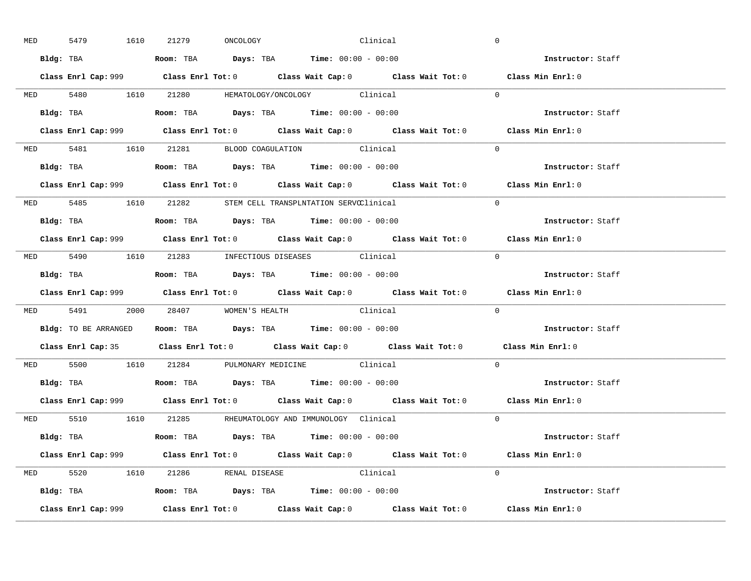| <b>MED</b> | 5479 | 1610      | 21279                             | ONCOLOGY | Clinical                                                                               |                                                                                             | $\overline{0}$ |                          |  |
|------------|------|-----------|-----------------------------------|----------|----------------------------------------------------------------------------------------|---------------------------------------------------------------------------------------------|----------------|--------------------------|--|
|            |      |           |                                   |          | Bldg: TBA                   Room: TBA         Days: TBA         Time: 00:00 - 00:00    |                                                                                             |                | Instructor: Staff        |  |
|            |      |           |                                   |          |                                                                                        | Class Enrl Cap: 999 Class Enrl Tot: 0 Class Wait Cap: 0 Class Wait Tot: 0 Class Min Enrl: 0 |                |                          |  |
|            |      |           |                                   |          | MED 5480 1610 21280 HEMATOLOGY/ONCOLOGY Clinical                                       |                                                                                             | $\overline{0}$ |                          |  |
|            |      | Bldg: TBA |                                   |          | Room: TBA $\rule{1em}{0.15mm}$ Days: TBA $\rule{1.5mm}{0.15mm}$ Time: $00:00 - 00:00$  |                                                                                             |                | Instructor: Staff        |  |
|            |      |           |                                   |          |                                                                                        | Class Enrl Cap: 999 Class Enrl Tot: 0 Class Wait Cap: 0 Class Wait Tot: 0                   |                | Class Min Enrl: 0        |  |
|            |      |           |                                   |          | MED 5481 1610 21281 BLOOD COAGULATION Clinical                                         |                                                                                             | $\Omega$       |                          |  |
|            |      |           |                                   |          |                                                                                        |                                                                                             |                | Instructor: Staff        |  |
|            |      |           |                                   |          |                                                                                        | Class Enrl Cap: 999 Class Enrl Tot: 0 Class Wait Cap: 0 Class Wait Tot: 0                   |                | Class Min Enrl: 0        |  |
|            |      |           |                                   |          | MED 5485 1610 21282 STEM CELL TRANSPLNTATION SERVCClinical                             |                                                                                             | $\Omega$       |                          |  |
|            |      |           |                                   |          | Bldg: TBA                   Room: TBA         Days: TBA         Time: $00:00 - 00:00$  |                                                                                             |                | Instructor: Staff        |  |
|            |      |           |                                   |          |                                                                                        | Class Enrl Cap: 999 Class Enrl Tot: 0 Class Wait Cap: 0 Class Wait Tot: 0 Class Min Enrl: 0 |                |                          |  |
|            |      |           |                                   |          | MED 5490 1610 21283 INFECTIOUS DISEASES Clinical                                       |                                                                                             | $\Omega$       |                          |  |
|            |      |           |                                   |          | Bldg: TBA                   Room: TBA         Days: TBA         Time: $00:00 - 00:00$  |                                                                                             |                | Instructor: Staff        |  |
|            |      |           |                                   |          |                                                                                        |                                                                                             |                |                          |  |
|            |      |           |                                   |          |                                                                                        | Class Enrl Cap: 999 Class Enrl Tot: 0 Class Wait Cap: 0 Class Wait Tot: 0 Class Min Enrl: 0 |                |                          |  |
|            |      |           |                                   |          | MED 5491 2000 28407 WOMEN'S HEALTH Clinical                                            |                                                                                             | $\Omega$       |                          |  |
|            |      |           |                                   |          | Bldg: TO BE ARRANGED Room: TBA Days: TBA Time: 00:00 - 00:00                           |                                                                                             |                | Instructor: Staff        |  |
|            |      |           |                                   |          |                                                                                        | Class Enrl Cap: 35 Class Enrl Tot: 0 Class Wait Cap: 0 Class Wait Tot: 0 Class Min Enrl: 0  |                |                          |  |
|            |      |           |                                   |          | MED 5500 1610 21284 PULMONARY MEDICINE Clinical                                        |                                                                                             | $\Omega$       |                          |  |
|            |      |           |                                   |          | Bldg: TBA                    Room: TBA         Days: TBA         Time: $00:00 - 00:00$ |                                                                                             |                | Instructor: Staff        |  |
|            |      |           |                                   |          |                                                                                        | Class Enrl Cap: 999 Class Enrl Tot: 0 Class Wait Cap: 0 Class Wait Tot: 0 Class Min Enrl: 0 |                |                          |  |
|            |      |           |                                   |          | MED 5510 1610 21285 RHEUMATOLOGY AND IMMUNOLOGY Clinical                               |                                                                                             | $\Omega$       |                          |  |
|            |      |           |                                   |          | Bldg: TBA                    Room: TBA         Days: TBA         Time: 00:00 - 00:00   |                                                                                             |                | <b>Instructor:</b> Staff |  |
|            |      |           |                                   |          |                                                                                        | Class Enrl Cap: 999 Class Enrl Tot: 0 Class Wait Cap: 0 Class Wait Tot: 0 Class Min Enrl: 0 |                |                          |  |
|            |      |           | MED 5520 1610 21286 RENAL DISEASE |          | Clinical                                                                               |                                                                                             | $\Omega$       |                          |  |
|            |      |           |                                   |          | <b>Bldg:</b> TBA <b>ROOM:</b> TBA <b>Days:</b> TBA <b>Time:</b> $00:00 - 00:00$        |                                                                                             |                | Instructor: Staff        |  |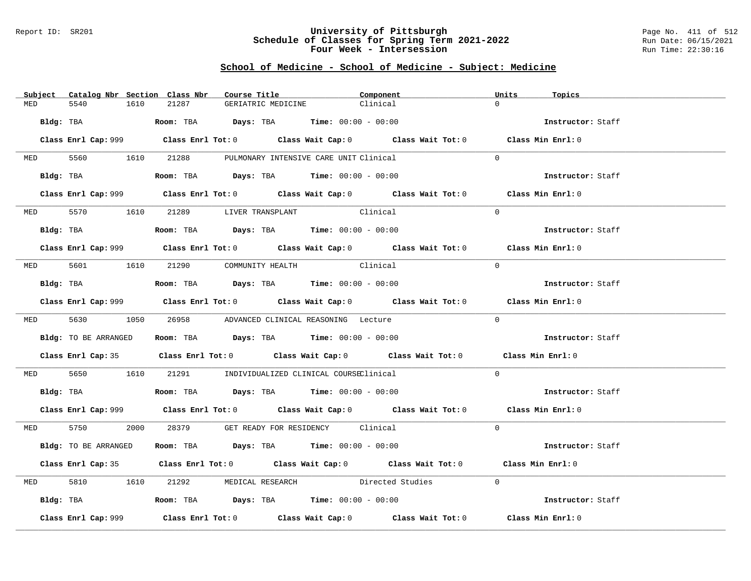### Report ID: SR201 **University of Pittsburgh** Page No. 411 of 512 **Schedule of Classes for Spring Term 2021-2022** Run Date: 06/15/2021 **Four Week - Intersession Run Time: 22:30:16**

# **School of Medicine - School of Medicine - Subject: Medicine**

|            | Subject Catalog Nbr Section Class Nbr | Course Title                                                                                       | Component                               | Units<br>Topics   |
|------------|---------------------------------------|----------------------------------------------------------------------------------------------------|-----------------------------------------|-------------------|
| MED        | 5540<br>1610                          | 21287                                                                                              | Clinical<br>GERIATRIC MEDICINE          | $\Omega$          |
|            | Bldg: TBA                             | Room: TBA $Days:$ TBA $Time: 00:00 - 00:00$                                                        |                                         | Instructor: Staff |
|            |                                       | Class Enrl Cap: 999 Class Enrl Tot: 0 Class Wait Cap: 0 Class Wait Tot: 0 Class Min Enrl: 0        |                                         |                   |
|            | MED 5560 1610 21288                   |                                                                                                    | PULMONARY INTENSIVE CARE UNIT Clinical  | $\Omega$          |
|            | Bldg: TBA                             | <b>Room:</b> TBA <b>Days:</b> TBA <b>Time:</b> $00:00 - 00:00$                                     |                                         | Instructor: Staff |
|            |                                       | Class Enrl Cap: 999 Class Enrl Tot: 0 Class Wait Cap: 0 Class Wait Tot: 0 Class Min Enrl: 0        |                                         |                   |
|            |                                       | MED 5570 1610 21289 LIVER TRANSPLANT Clinical                                                      |                                         | $\Omega$          |
|            |                                       | Bldg: TBA                   Room: TBA         Days: TBA         Time: $00:00 - 00:00$              |                                         | Instructor: Staff |
|            |                                       | Class Enrl Cap: 999 Class Enrl Tot: 0 Class Wait Cap: 0 Class Wait Tot: 0 Class Min Enrl: 0        |                                         |                   |
|            |                                       | MED 5601 1610 21290 COMMUNITY_HEALTH Clinical                                                      |                                         | $\Omega$          |
|            |                                       | Bldg: TBA                      Room: TBA         Days: TBA         Time: 00:00 - 00:00             |                                         | Instructor: Staff |
|            |                                       | Class Enrl Cap: 999 Class Enrl Tot: 0 Class Wait Cap: 0 Class Wait Tot: 0 Class Min Enrl: 0        |                                         |                   |
|            |                                       | MED 5630 1050 26958 ADVANCED CLINICAL REASONING Lecture                                            |                                         | $\Omega$          |
|            | Bldg: TO BE ARRANGED                  | Room: TBA $\rule{1em}{0.15mm}$ Days: TBA Time: $00:00 - 00:00$                                     |                                         | Instructor: Staff |
|            |                                       | Class Enrl Cap: 35 Class Enrl Tot: 0 Class Wait Cap: 0 Class Wait Tot: 0 Class Min Enrl: 0         |                                         |                   |
| <b>MED</b> |                                       | 5650 1610 21291 INDIVIDUALIZED CLINICAL COURSEClinical                                             |                                         | $\Omega$          |
|            |                                       | Bldg: TBA                    Room: TBA         Days: TBA         Time: $00:00 - 00:00$             |                                         | Instructor: Staff |
|            |                                       | Class Enrl Cap: 999 Class Enrl Tot: 0 Class Wait Cap: 0 Class Wait Tot: 0 Class Min Enrl: 0        |                                         |                   |
|            |                                       | MED 5750 2000 28379 GET READY FOR RESIDENCY Clinical                                               |                                         | $\Omega$          |
|            | Bldg: TO BE ARRANGED                  | Room: TBA $\rule{1em}{0.15mm}$ Days: TBA Time: $00:00 - 00:00$                                     |                                         | Instructor: Staff |
|            |                                       | Class Enrl Cap: 35 Class Enrl Tot: 0 Class Wait Cap: 0 Class Wait Tot: 0 Class Min Enrl: 0         |                                         |                   |
| MED        | 5810 1610                             |                                                                                                    | 21292 MEDICAL RESEARCH Directed Studies | $\Omega$          |
|            |                                       | Bldg: TBA                    Room: TBA         Days: TBA         Time: 00:00 - 00:00               |                                         | Instructor: Staff |
|            | Class Enrl Cap: 999                   | Class Enrl Tot: 0 $\qquad$ Class Wait Cap: 0 $\qquad$ Class Wait Tot: 0 $\qquad$ Class Min Enrl: 0 |                                         |                   |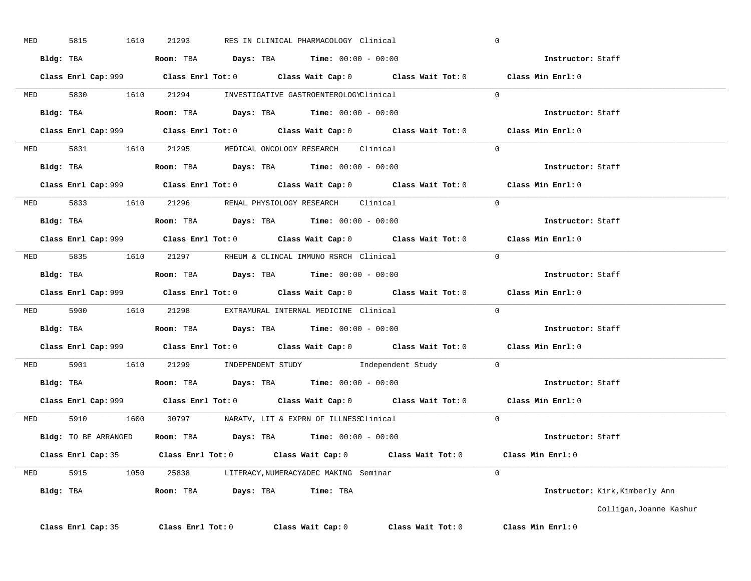| MED |           | 5815 | 1610                 | 21293 |  | RES IN CLINICAL PHARMACOLOGY Clinical                                                 |                                                                                             | $\overline{0}$ |                                |
|-----|-----------|------|----------------------|-------|--|---------------------------------------------------------------------------------------|---------------------------------------------------------------------------------------------|----------------|--------------------------------|
|     |           |      |                      |       |  | Bldg: TBA                   Room: TBA         Days: TBA         Time: $00:00 - 00:00$ |                                                                                             |                | Instructor: Staff              |
|     |           |      |                      |       |  |                                                                                       | Class Enrl Cap: 999 Class Enrl Tot: 0 Class Wait Cap: 0 Class Wait Tot: 0 Class Min Enrl: 0 |                |                                |
|     |           |      |                      |       |  | MED 5830 1610 21294 INVESTIGATIVE GASTROENTEROLOGYClinical                            |                                                                                             | $\Omega$       |                                |
|     |           |      |                      |       |  | Bldg: TBA                    Room: TBA         Days: TBA         Time: 00:00 - 00:00  |                                                                                             |                | Instructor: Staff              |
|     |           |      |                      |       |  |                                                                                       | Class Enrl Cap: 999 Class Enrl Tot: 0 Class Wait Cap: 0 Class Wait Tot: 0 Class Min Enrl: 0 |                |                                |
|     |           |      |                      |       |  | MED 5831 1610 21295 MEDICAL ONCOLOGY RESEARCH Clinical                                |                                                                                             | $\Omega$       |                                |
|     |           |      | Bldg: TBA            |       |  | <b>Room:</b> TBA $Days: TBA$ <b>Time:</b> $00:00 - 00:00$                             |                                                                                             |                | Instructor: Staff              |
|     |           |      |                      |       |  |                                                                                       | Class Enrl Cap: 999 Class Enrl Tot: 0 Class Wait Cap: 0 Class Wait Tot: 0 Class Min Enrl: 0 |                |                                |
|     |           |      |                      |       |  | MED 5833 1610 21296 RENAL PHYSIOLOGY RESEARCH Clinical                                |                                                                                             | $\Omega$       |                                |
|     |           |      |                      |       |  | Bldg: TBA                   Room: TBA         Days: TBA         Time: $00:00 - 00:00$ |                                                                                             |                | Instructor: Staff              |
|     |           |      |                      |       |  |                                                                                       | Class Enrl Cap: 999 Class Enrl Tot: 0 Class Wait Cap: 0 Class Wait Tot: 0 Class Min Enrl: 0 |                |                                |
|     |           |      |                      |       |  | MED 5835 1610 21297 RHEUM & CLINCAL IMMUNO RSRCH Clinical                             |                                                                                             | $\Omega$       |                                |
|     |           |      |                      |       |  | Bldg: TBA                   Room: TBA         Days: TBA        Time: $00:00 - 00:00$  |                                                                                             |                | <b>Instructor:</b> Staff       |
|     |           |      |                      |       |  |                                                                                       | Class Enrl Cap: 999 Class Enrl Tot: 0 Class Wait Cap: 0 Class Wait Tot: 0 Class Min Enrl: 0 |                |                                |
|     |           |      |                      |       |  |                                                                                       |                                                                                             |                |                                |
|     |           |      |                      |       |  | MED 5900 1610 21298 EXTRAMURAL INTERNAL MEDICINE Clinical                             |                                                                                             | $\Omega$       |                                |
|     |           |      |                      |       |  | Bldg: TBA                   Room: TBA         Days: TBA         Time: 00:00 - 00:00   |                                                                                             |                | Instructor: Staff              |
|     |           |      |                      |       |  |                                                                                       | Class Enrl Cap: 999 Class Enrl Tot: 0 Class Wait Cap: 0 Class Wait Tot: 0 Class Min Enrl: 0 |                |                                |
|     |           |      |                      |       |  |                                                                                       | MED 5901 1610 21299 INDEPENDENT STUDY Independent Study 0                                   |                |                                |
|     |           |      |                      |       |  | Bldg: TBA                   Room: TBA        Days: TBA        Time: 00:00 - 00:00     |                                                                                             |                | Instructor: Staff              |
|     |           |      |                      |       |  |                                                                                       | Class Enrl Cap: 999 Class Enrl Tot: 0 Class Wait Cap: 0 Class Wait Tot: 0                   |                | Class Min Enrl: 0              |
|     |           |      |                      |       |  | MED 5910 1600 30797 NARATV, LIT & EXPRN OF ILLNESSClinical                            |                                                                                             | $\mathbf{0}$   |                                |
|     |           |      | Bldg: TO BE ARRANGED |       |  | Room: TBA $Days:$ TBA $Time: 00:00 - 00:00$                                           |                                                                                             |                | Instructor: Staff              |
|     |           |      |                      |       |  |                                                                                       | Class Enrl Cap: 35 Class Enrl Tot: 0 Class Wait Cap: 0 Class Wait Tot: 0 Class Min Enrl: 0  |                |                                |
|     |           |      |                      |       |  | MED 5915 1050 25838 LITERACY, NUMERACY&DEC MAKING Seminar                             |                                                                                             | $\Omega$       |                                |
|     | Bldg: TBA |      |                      |       |  | Room: TBA Days: TBA Time: TBA                                                         |                                                                                             |                | Instructor: Kirk, Kimberly Ann |
|     |           |      |                      |       |  |                                                                                       |                                                                                             |                | Colligan, Joanne Kashur        |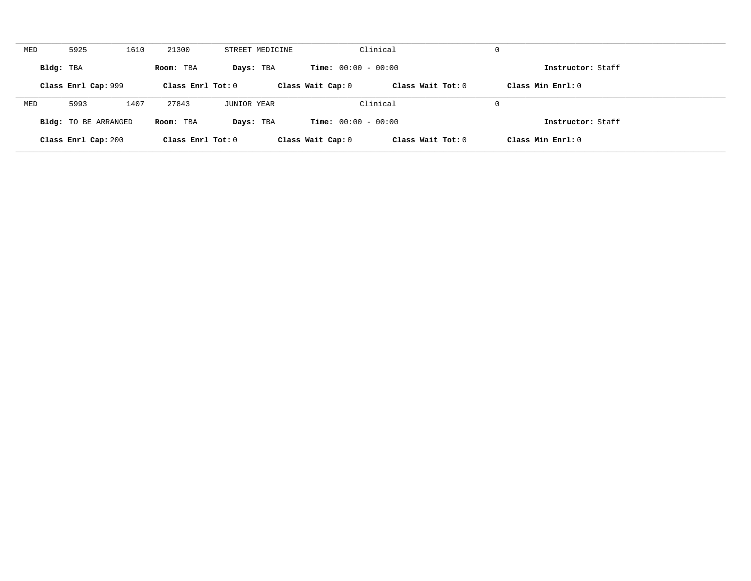| MED       | 5925                        | 1610 | 21300             | STREET MEDICINE |                              | Clinical            | 0                  |  |
|-----------|-----------------------------|------|-------------------|-----------------|------------------------------|---------------------|--------------------|--|
| Bldg: TBA |                             |      | Room: TBA         | Days: TBA       | <b>Time:</b> $00:00 - 00:00$ |                     | Instructor: Staff  |  |
|           | Class Enrl Cap: 999         |      | Class Enrl Tot: 0 |                 | Class Wait Cap: 0            | Class Wait Tot: 0   | Class Min Enrl: 0  |  |
| MED       | 5993                        | 1407 | 27843             | JUNIOR YEAR     |                              | Clinical            | 0                  |  |
|           | <b>Bldg:</b> TO BE ARRANGED |      | Room: TBA         | Days: TBA       | <b>Time:</b> $00:00 - 00:00$ |                     | Instructor: Staff  |  |
|           | Class Enrl Cap: 200         |      | Class Enrl Tot: 0 |                 | Class Wait Cap: 0            | Class Wait Tot: $0$ | Class Min $Enr1:0$ |  |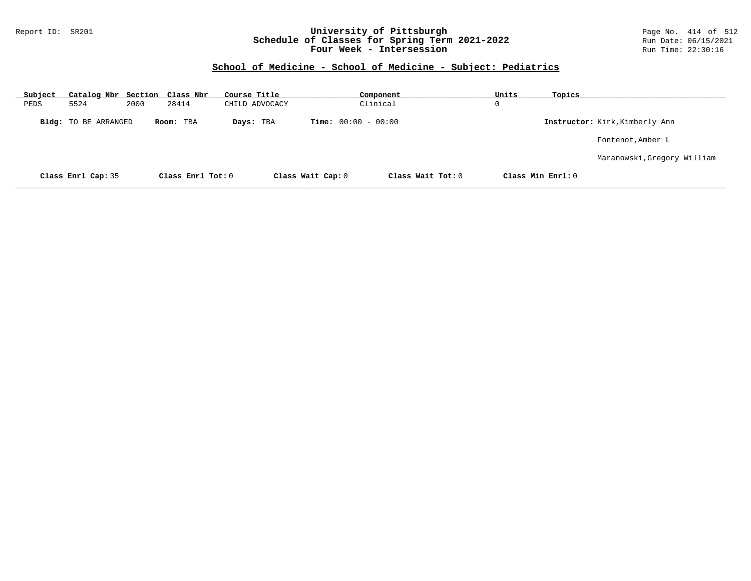### Report ID: SR201 **University of Pittsburgh** Page No. 414 of 512 **Schedule of Classes for Spring Term 2021-2022** Run Date: 06/15/2021 **Four Week - Intersession Run Time: 22:30:16**

### **School of Medicine - School of Medicine - Subject: Pediatrics**

| <u>Subject</u> |                             |      | Catalog Nbr Section Class Nbr | Course Title   |                              | Component         | Units | Topics            |                                |
|----------------|-----------------------------|------|-------------------------------|----------------|------------------------------|-------------------|-------|-------------------|--------------------------------|
| PEDS           | 5524                        | 2000 | 28414                         | CHILD ADVOCACY |                              | Clinical          | 0     |                   |                                |
|                | <b>Bldg:</b> TO BE ARRANGED |      | Room: TBA                     | Days: TBA      | <b>Time:</b> $00:00 - 00:00$ |                   |       |                   | Instructor: Kirk, Kimberly Ann |
|                |                             |      |                               |                |                              |                   |       |                   | Fontenot, Amber L              |
|                |                             |      |                               |                |                              |                   |       |                   | Maranowski, Gregory William    |
|                | Class Enrl Cap: 35          |      | Class Enrl Tot: 0             |                | Class Wait Cap: 0            | Class Wait Tot: 0 |       | Class Min Enrl: 0 |                                |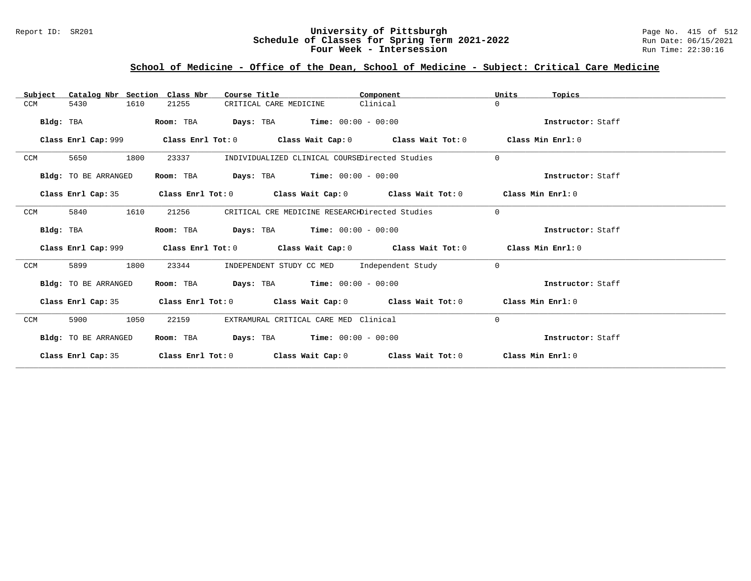### Report ID: SR201 **University of Pittsburgh** Page No. 415 of 512 **Schedule of Classes for Spring Term 2021-2022** Run Date: 06/15/2021 **Four Week - Intersession Run Time: 22:30:16**

# **School of Medicine - Office of the Dean, School of Medicine - Subject: Critical Care Medicine**

| Catalog Nbr Section Class Nbr<br>Subject | Course Title                                                                                | Component | Units<br>Topics   |
|------------------------------------------|---------------------------------------------------------------------------------------------|-----------|-------------------|
| 1610<br>5430<br>CCM                      | 21255<br>CRITICAL CARE MEDICINE                                                             | Clinical  | $\Omega$          |
| Bldg: TBA                                | <b>Days:</b> TBA <b>Time:</b> $00:00 - 00:00$<br>Room: TBA                                  |           | Instructor: Staff |
|                                          | Class Enrl Cap: 999 Class Enrl Tot: 0 Class Wait Cap: 0 Class Wait Tot: 0 Class Min Enrl: 0 |           |                   |
| 1800<br>CCM<br>5650                      | INDIVIDUALIZED CLINICAL COURSEDirected Studies<br>23337                                     |           | $\Omega$          |
| Bldg: TO BE ARRANGED                     | $\texttt{DayS:}$ TBA $\texttt{Time:}$ 00:00 - 00:00<br>Room: TBA                            |           | Instructor: Staff |
|                                          | Class Enrl Cap: 35 Class Enrl Tot: 0 Class Wait Cap: 0 Class Wait Tot: 0 Class Min Enrl: 0  |           |                   |
| CCM<br>5840<br>1610                      | 21256<br>CRITICAL CRE MEDICINE RESEARCHDirected Studies                                     |           | $\Omega$          |
| Bldg: TBA                                | <b>Days:</b> TBA <b>Time:</b> $00:00 - 00:00$<br>Room: TBA                                  |           | Instructor: Staff |
|                                          | Class Enrl Cap: 999 Class Enrl Tot: 0 Class Wait Cap: 0 Class Wait Tot: 0 Class Min Enrl: 0 |           |                   |
| 1800<br>CCM<br>5899                      | INDEPENDENT STUDY CC MED Independent Study<br>23344                                         |           | $\Omega$          |
| Bldg: TO BE ARRANGED                     | Room: TBA $Days:$ TBA $Time: 00:00 - 00:00$                                                 |           | Instructor: Staff |
| Class Enrl Cap: 35                       | Class Enrl Tot: $0$ Class Wait Cap: $0$ Class Wait Tot: $0$ Class Min Enrl: $0$             |           |                   |
| CCM<br>5900<br>1050                      | EXTRAMURAL CRITICAL CARE MED Clinical<br>22159                                              |           | 0                 |
| Bldg: TO BE ARRANGED                     | <b>Days:</b> TBA <b>Time:</b> $00:00 - 00:00$<br>Room: TBA                                  |           | Instructor: Staff |
|                                          | Class Enrl Cap: 35 Class Enrl Tot: 0 Class Wait Cap: 0 Class Wait Tot: 0 Class Min Enrl: 0  |           |                   |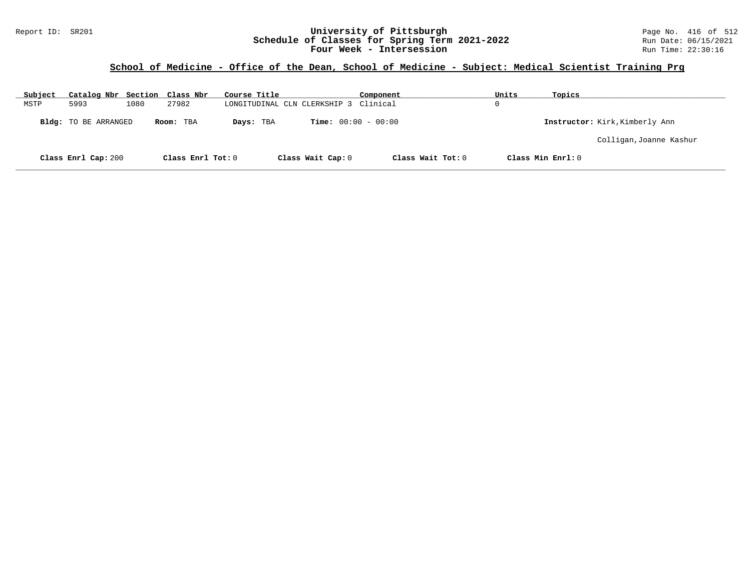### Report ID: SR201 **University of Pittsburgh** Page No. 416 of 512 **Schedule of Classes for Spring Term 2021-2022** Run Date: 06/15/2021 **Four Week - Intersession Run Time: 22:30:16**

# **School of Medicine - Office of the Dean, School of Medicine - Subject: Medical Scientist Training Prg**

| Subject | Catalog Nbr Section Class Nbr |      |                   | Course Title |                              | Component                    | Units       | Topics            |                                |
|---------|-------------------------------|------|-------------------|--------------|------------------------------|------------------------------|-------------|-------------------|--------------------------------|
| MSTP    | 5993                          | 1080 | 27982             |              | LONGITUDINAL CLN CLERKSHIP 3 | Clinical                     | $\mathbf 0$ |                   |                                |
|         | Bldg: TO BE ARRANGED          |      | Room: TBA         | Days: TBA    |                              | <b>Time:</b> $00:00 - 00:00$ |             |                   | Instructor: Kirk, Kimberly Ann |
|         |                               |      |                   |              |                              |                              |             |                   | Colligan, Joanne Kashur        |
|         | Class Enrl Cap: 200           |      | Class Enrl Tot: 0 |              | Class Wait Cap: 0            | Class Wait Tot: 0            |             | Class Min Enrl: 0 |                                |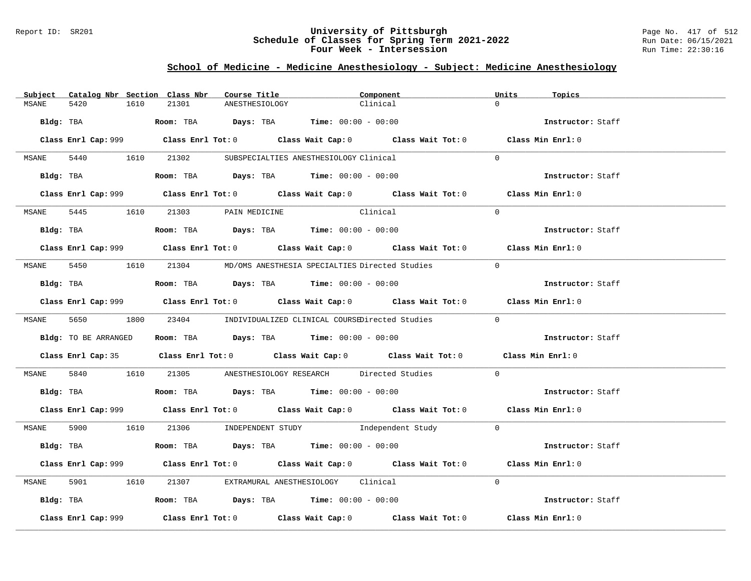#### Report ID: SR201 **University of Pittsburgh** Page No. 417 of 512 **Schedule of Classes for Spring Term 2021-2022** Run Date: 06/15/2021 **Four Week - Intersession Run Time: 22:30:16**

# **School of Medicine - Medicine Anesthesiology - Subject: Medicine Anesthesiology**

| Subject | Catalog Nbr Section Class Nbr | Course Title                                                                                     | Component                                                                                   | Units<br>Topics   |
|---------|-------------------------------|--------------------------------------------------------------------------------------------------|---------------------------------------------------------------------------------------------|-------------------|
| MSANE   | 5420<br>1610                  | 21301<br>ANESTHESIOLOGY                                                                          | Clinical                                                                                    | $\Omega$          |
|         |                               | Bldg: TBA                        Room: TBA         Days: TBA         Time: $00:00 - 00:00$       |                                                                                             | Instructor: Staff |
|         |                               |                                                                                                  | Class Enrl Cap: 999 Class Enrl Tot: 0 Class Wait Cap: 0 Class Wait Tot: 0 Class Min Enrl: 0 |                   |
|         |                               | MSANE 5440 1610 21302 SUBSPECIALTIES ANESTHESIOLOGY Clinical                                     |                                                                                             | $\Omega$          |
|         |                               | Bldg: TBA                    Room: TBA         Days: TBA         Time: 00:00 - 00:00             |                                                                                             | Instructor: Staff |
|         |                               |                                                                                                  | Class Enrl Cap: 999 Class Enrl Tot: 0 Class Wait Cap: 0 Class Wait Tot: 0 Class Min Enrl: 0 |                   |
|         |                               | MSANE 5445 1610 21303 PAIN MEDICINE                                                              | Clinical                                                                                    | $\Omega$          |
|         |                               |                                                                                                  |                                                                                             | Instructor: Staff |
|         |                               |                                                                                                  | Class Enrl Cap: 999 Class Enrl Tot: 0 Class Wait Cap: 0 Class Wait Tot: 0 Class Min Enrl: 0 |                   |
|         |                               |                                                                                                  | MSANE 5450 1610 21304 MD/OMS ANESTHESIA SPECIALTIES Directed Studies                        | $\Omega$          |
|         |                               | Bldg: TBA                    Room: TBA         Days: TBA        Time: 00:00 - 00:00              |                                                                                             | Instructor: Staff |
|         |                               |                                                                                                  | Class Enrl Cap: 999 Class Enrl Tot: 0 Class Wait Cap: 0 Class Wait Tot: 0 Class Min Enrl: 0 |                   |
|         |                               |                                                                                                  | MSANE 5650 1800 23404 INDIVIDUALIZED CLINICAL COURSEDirected Studies 0                      |                   |
|         | Bldg: TO BE ARRANGED          | Room: TBA $\rule{1em}{0.15mm}$ Days: TBA Time: $00:00 - 00:00$                                   |                                                                                             | Instructor: Staff |
|         |                               |                                                                                                  | Class Enrl Cap: 35 Class Enrl Tot: 0 Class Wait Cap: 0 Class Wait Tot: 0 Class Min Enrl: 0  |                   |
| MSANE   |                               |                                                                                                  | 5840 1610 21305 ANESTHESIOLOGY RESEARCH Directed Studies                                    | $\Omega$          |
|         |                               | Bldg: TBA                         Room: TBA            Days: TBA           Time: $00:00 - 00:00$ |                                                                                             | Instructor: Staff |
|         |                               |                                                                                                  | Class Enrl Cap: 999 Class Enrl Tot: 0 Class Wait Cap: 0 Class Wait Tot: 0 Class Min Enrl: 0 |                   |
|         |                               |                                                                                                  | MSANE 5900 1610 21306 INDEPENDENT STUDY Independent Study 0                                 |                   |
|         |                               | Bldg: TBA                   Room: TBA        Days: TBA        Time: 00:00 - 00:00                |                                                                                             | Instructor: Staff |
|         |                               |                                                                                                  | Class Enrl Cap: 999 Class Enrl Tot: 0 Class Wait Cap: 0 Class Wait Tot: 0 Class Min Enrl: 0 |                   |
| MSANE   | 5901 1610                     | 21307 EXTRAMURAL ANESTHESIOLOGY Clinical                                                         |                                                                                             | $\Omega$          |
|         |                               | Bldg: TBA                   Room: TBA        Days: TBA        Time: $00:00 - 00:00$              |                                                                                             | Instructor: Staff |
|         | Class Enrl Cap: 999           |                                                                                                  | Class Enrl Tot: $0$ Class Wait Cap: $0$ Class Wait Tot: $0$ Class Min Enrl: $0$             |                   |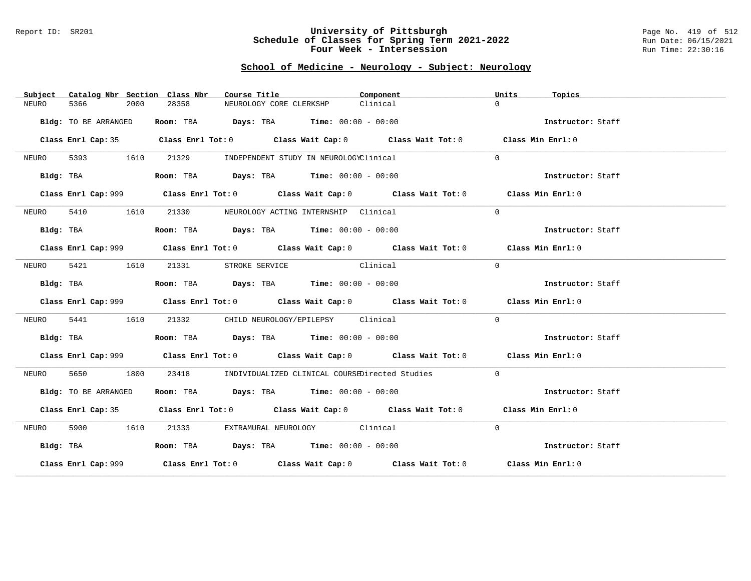#### Report ID: SR201 **University of Pittsburgh** Page No. 419 of 512 **Schedule of Classes for Spring Term 2021-2022** Run Date: 06/15/2021 **Four Week - Intersession Run Time: 22:30:16**

# **School of Medicine - Neurology - Subject: Neurology**

| Subject | Catalog Nbr Section Class Nbr | Course Title                                                                                | Component | Units<br>Topics   |
|---------|-------------------------------|---------------------------------------------------------------------------------------------|-----------|-------------------|
| NEURO   | 5366<br>2000                  | 28358<br>NEUROLOGY CORE CLERKSHP                                                            | Clinical  | $\Omega$          |
|         | Bldg: TO BE ARRANGED          | Room: TBA $Days:$ TBA $Time: 00:00 - 00:00$                                                 |           | Instructor: Staff |
|         |                               | Class Enrl Cap: 35 Class Enrl Tot: 0 Class Wait Cap: 0 Class Wait Tot: 0 Class Min Enrl: 0  |           |                   |
| NEURO   | 5393 1610                     | 21329<br>INDEPENDENT STUDY IN NEUROLOGYClinical                                             |           | $\Omega$          |
|         | Bldg: TBA                     | Room: TBA $Days:$ TBA $Time: 00:00 - 00:00$                                                 |           | Instructor: Staff |
|         |                               | Class Enrl Cap: 999 Class Enrl Tot: 0 Class Wait Cap: 0 Class Wait Tot: 0 Class Min Enrl: 0 |           |                   |
| NEURO   | 5410 1610                     | 21330 NEUROLOGY ACTING INTERNSHIP Clinical                                                  |           | $\Omega$          |
|         | Bldg: TBA                     | Room: TBA $Days:$ TBA $Time: 00:00 - 00:00$                                                 |           | Instructor: Staff |
|         |                               | Class Enrl Cap: 999 Class Enrl Tot: 0 Class Wait Cap: 0 Class Wait Tot: 0 Class Min Enrl: 0 |           |                   |
|         | NEURO 5421 1610               | 21331 STROKE SERVICE Clinical                                                               |           | $\Omega$          |
|         | Bldg: TBA                     | Room: TBA $Days:$ TBA $Time: 00:00 - 00:00$                                                 |           | Instructor: Staff |
|         |                               | Class Enrl Cap: 999 Class Enrl Tot: 0 Class Wait Cap: 0 Class Wait Tot: 0 Class Min Enrl: 0 |           |                   |
| NEURO   | 5441<br>1610                  | 21332 CHILD NEUROLOGY/EPILEPSY Clinical                                                     |           | $\Omega$          |
|         | Bldg: TBA                     | <b>Room:</b> TBA $Days: TBA$ <b>Time:</b> $00:00 - 00:00$                                   |           | Instructor: Staff |
|         |                               | Class Enrl Cap: 999 Class Enrl Tot: 0 Class Wait Cap: 0 Class Wait Tot: 0 Class Min Enrl: 0 |           |                   |
| NEURO   | 5650 1800                     | 23418<br>INDIVIDUALIZED CLINICAL COURSEDirected Studies                                     |           | $\Omega$          |
|         | Bldg: TO BE ARRANGED          | Room: TBA $Days:$ TBA $Time: 00:00 - 00:00$                                                 |           | Instructor: Staff |
|         |                               | Class Enrl Cap: 35 Class Enrl Tot: 0 Class Wait Cap: 0 Class Wait Tot: 0 Class Min Enrl: 0  |           |                   |
|         | NEURO 5900 1610               | 21333 EXTRAMURAL NEUROLOGY Clinical                                                         |           | $\Omega$          |
|         | Bldg: TBA                     | Room: TBA $Days:$ TBA $Time: 00:00 - 00:00$                                                 |           | Instructor: Staff |
|         |                               | Class Enrl Cap: 999 Class Enrl Tot: 0 Class Wait Cap: 0 Class Wait Tot: 0 Class Min Enrl: 0 |           |                   |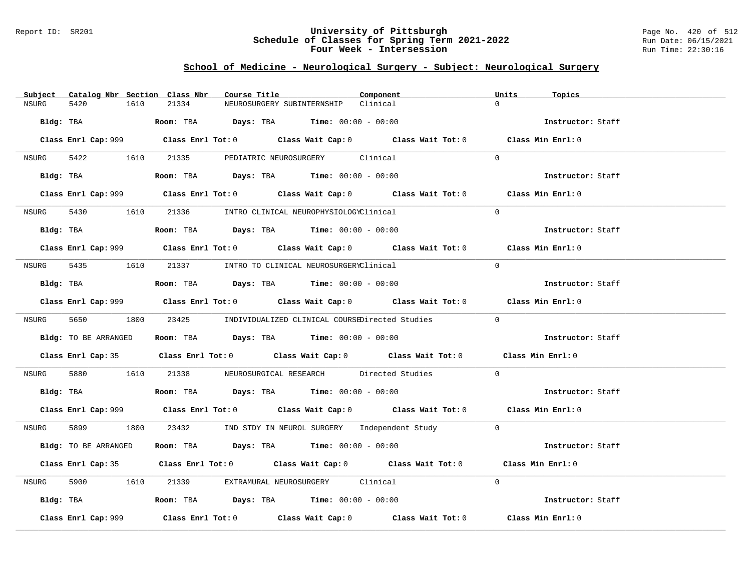### Report ID: SR201 **University of Pittsburgh** Page No. 420 of 512 **Schedule of Classes for Spring Term 2021-2022** Run Date: 06/15/2021 **Four Week - Intersession Run Time: 22:30:16**

# **School of Medicine - Neurological Surgery - Subject: Neurological Surgery**

| Subject Catalog Nbr Section Class Nbr |           | Course Title                                                                               |                                                                | Component                                                                                   | Units<br>Topics   |  |
|---------------------------------------|-----------|--------------------------------------------------------------------------------------------|----------------------------------------------------------------|---------------------------------------------------------------------------------------------|-------------------|--|
| NSURG<br>5420                         | 1610      | 21334                                                                                      | NEUROSURGERY SUBINTERNSHIP                                     | Clinical                                                                                    | $\Omega$          |  |
| Bldg: TBA                             |           |                                                                                            | <b>Room:</b> TBA $Days: TBA$ <b>Time:</b> $00:00 - 00:00$      |                                                                                             | Instructor: Staff |  |
|                                       |           |                                                                                            |                                                                | Class Enrl Cap: 999 Class Enrl Tot: 0 Class Wait Cap: 0 Class Wait Tot: 0 Class Min Enrl: 0 |                   |  |
|                                       |           | NSURG 5422 1610 21335 PEDIATRIC NEUROSURGERY Clinical                                      |                                                                |                                                                                             | $\Omega$          |  |
|                                       |           | Bldg: TBA                   Room: TBA         Days: TBA        Time: 00:00 - 00:00         |                                                                |                                                                                             | Instructor: Staff |  |
|                                       |           |                                                                                            |                                                                | Class Enrl Cap: 999 Class Enrl Tot: 0 Class Wait Cap: 0 Class Wait Tot: 0 Class Min Enrl: 0 |                   |  |
|                                       |           | NSURG 5430 1610 21336 INTRO CLINICAL NEUROPHYSIOLOGYClinical                               |                                                                |                                                                                             | $\Omega$          |  |
|                                       |           | Bldg: TBA                       Room: TBA          Days: TBA         Time: $00:00 - 00:00$ |                                                                |                                                                                             | Instructor: Staff |  |
|                                       |           |                                                                                            |                                                                | Class Enrl Cap: 999 Class Enrl Tot: 0 Class Wait Cap: 0 Class Wait Tot: 0 Class Min Enrl: 0 |                   |  |
|                                       |           | NSURG 5435 1610 21337 INTRO TO CLINICAL NEUROSURGERYClinical                               |                                                                |                                                                                             | $\Omega$          |  |
| Bldg: TBA                             |           |                                                                                            | Room: TBA $Days: TBA$ Time: $00:00 - 00:00$                    |                                                                                             | Instructor: Staff |  |
|                                       |           |                                                                                            |                                                                | Class Enrl Cap: 999 Class Enrl Tot: 0 Class Wait Cap: 0 Class Wait Tot: 0 Class Min Enrl: 0 |                   |  |
|                                       |           |                                                                                            |                                                                | NSURG 5650 1800 23425 INDIVIDUALIZED CLINICAL COURSEDirected Studies 0                      |                   |  |
| Bldg: TO BE ARRANGED                  |           |                                                                                            | Room: TBA $\rule{1em}{0.15mm}$ Days: TBA Time: $00:00 - 00:00$ |                                                                                             | Instructor: Staff |  |
|                                       |           |                                                                                            |                                                                | Class Enrl Cap: 35 Class Enrl Tot: 0 Class Wait Cap: 0 Class Wait Tot: 0 Class Min Enrl: 0  |                   |  |
| NSURG                                 |           |                                                                                            |                                                                | 5880 1610 21338 NEUROSURGICAL RESEARCH Directed Studies                                     | $\Omega$          |  |
|                                       |           | Bldg: TBA                   Room: TBA        Days: TBA        Time: $00:00 - 00:00$        |                                                                |                                                                                             | Instructor: Staff |  |
|                                       |           |                                                                                            |                                                                | Class Enrl Cap: 999 Class Enrl Tot: 0 Class Wait Cap: 0 Class Wait Tot: 0 Class Min Enrl: 0 |                   |  |
|                                       |           |                                                                                            |                                                                | NSURG 5899 1800 23432 IND STDY IN NEUROL SURGERY Independent Study 0                        |                   |  |
| Bldg: TO BE ARRANGED                  |           |                                                                                            | Room: TBA $Days: TBA$ Time: $00:00 - 00:00$                    |                                                                                             | Instructor: Staff |  |
|                                       |           |                                                                                            |                                                                | Class Enrl Cap: 35 Class Enrl Tot: 0 Class Wait Cap: 0 Class Wait Tot: 0 Class Min Enrl: 0  |                   |  |
| NSURG                                 | 5900 1610 |                                                                                            | 21339 EXTRAMURAL NEUROSURGERY Clinical                         |                                                                                             | $\Omega$          |  |
|                                       |           | Bldg: TBA                    Room: TBA         Days: TBA        Time: $00:00 - 00:00$      |                                                                |                                                                                             | Instructor: Staff |  |
| Class Enrl Cap: 999                   |           |                                                                                            |                                                                | Class Enrl Tot: $0$ Class Wait Cap: $0$ Class Wait Tot: $0$ Class Min Enrl: $0$             |                   |  |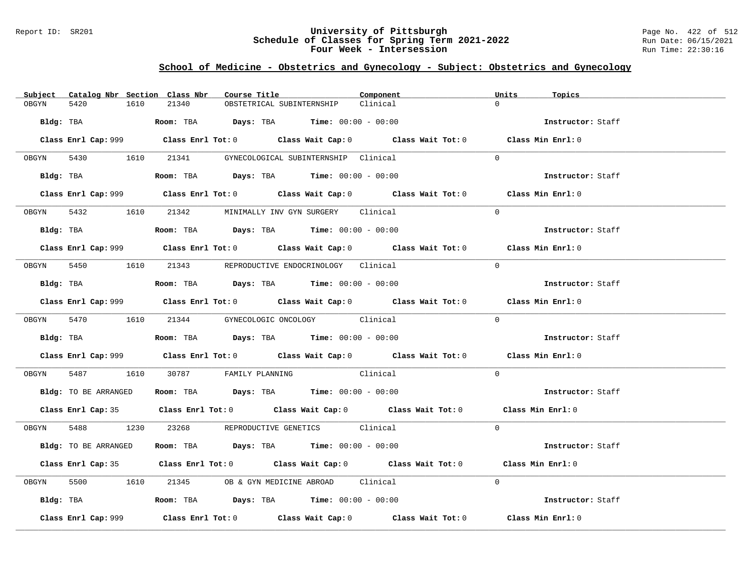#### Report ID: SR201 **University of Pittsburgh** Page No. 422 of 512 **Schedule of Classes for Spring Term 2021-2022** Run Date: 06/15/2021 **Four Week - Intersession Run Time: 22:30:16**

# **School of Medicine - Obstetrics and Gynecology - Subject: Obstetrics and Gynecology**

| Subject Catalog Nbr Section Class Nbr | Course Title                                                                                | Component | Units<br>Topics   |
|---------------------------------------|---------------------------------------------------------------------------------------------|-----------|-------------------|
| OBGYN<br>5420<br>1610                 | 21340<br>OBSTETRICAL SUBINTERNSHIP                                                          | Clinical  | $\Omega$          |
|                                       | Bldg: TBA                    Room: TBA         Days: TBA         Time: 00:00 - 00:00        |           | Instructor: Staff |
|                                       | Class Enrl Cap: 999 Class Enrl Tot: 0 Class Wait Cap: 0 Class Wait Tot: 0 Class Min Enrl: 0 |           |                   |
|                                       | OBGYN 5430 1610 21341 GYNECOLOGICAL SUBINTERNSHIP Clinical                                  |           | $\Omega$          |
|                                       | Bldg: TBA                    Room: TBA         Days: TBA         Time: 00:00 - 00:00        |           | Instructor: Staff |
|                                       | Class Enrl Cap: 999 Class Enrl Tot: 0 Class Wait Cap: 0 Class Wait Tot: 0 Class Min Enrl: 0 |           |                   |
|                                       | OBGYN 5432 1610 21342 MINIMALLY INV GYN SURGERY Clinical                                    |           | $\Omega$          |
|                                       | Bldg: TBA                     Room: TBA         Days: TBA         Time: 00:00 - 00:00       |           | Instructor: Staff |
|                                       | Class Enrl Cap: 999 Class Enrl Tot: 0 Class Wait Cap: 0 Class Wait Tot: 0 Class Min Enrl: 0 |           |                   |
|                                       | OBGYN 5450 1610 21343 REPRODUCTIVE ENDOCRINOLOGY Clinical                                   |           | $\Omega$          |
|                                       | Bldg: TBA                   Room: TBA         Days: TBA         Time: $00:00 - 00:00$       |           | Instructor: Staff |
|                                       | Class Enrl Cap: 999 Class Enrl Tot: 0 Class Wait Cap: 0 Class Wait Tot: 0 Class Min Enrl: 0 |           |                   |
|                                       | OBGYN 5470 1610 21344 GYNECOLOGIC ONCOLOGY Clinical                                         |           | $\Omega$          |
|                                       | <b>Bldg:</b> TBA <b>ROOM:</b> TBA <b>Days:</b> TBA <b>Time:</b> 00:00 - 00:00               |           | Instructor: Staff |
|                                       | Class Enrl Cap: 999 Class Enrl Tot: 0 Class Wait Cap: 0 Class Wait Tot: 0 Class Min Enrl: 0 |           |                   |
|                                       | OBGYN 5487 1610 30787 FAMILY PLANNING Clinical                                              |           | $\Omega$          |
|                                       | Bldg: TO BE ARRANGED Room: TBA Days: TBA Time: 00:00 - 00:00                                |           | Instructor: Staff |
|                                       | Class Enrl Cap: 35 Class Enrl Tot: 0 Class Wait Cap: 0 Class Wait Tot: 0 Class Min Enrl: 0  |           |                   |
|                                       | OBGYN 5488 1230 23268 REPRODUCTIVE GENETICS Clinical                                        |           | $\Omega$          |
| Bldg: TO BE ARRANGED                  | Room: TBA $Days:$ TBA $Time: 00:00 - 00:00$                                                 |           | Instructor: Staff |
|                                       | Class Enrl Cap: 35 Class Enrl Tot: 0 Class Wait Cap: 0 Class Wait Tot: 0 Class Min Enrl: 0  |           |                   |
| OBGYN                                 | 5500 1610 21345 OB & GYN MEDICINE ABROAD Clinical                                           |           | $\Omega$          |
|                                       | Bldg: TBA                    Room: TBA         Days: TBA        Time: $00:00 - 00:00$       |           | Instructor: Staff |
| Class Enrl Cap: 999                   | Class Enrl Tot: $0$ Class Wait Cap: $0$ Class Wait Tot: $0$ Class Min Enrl: $0$             |           |                   |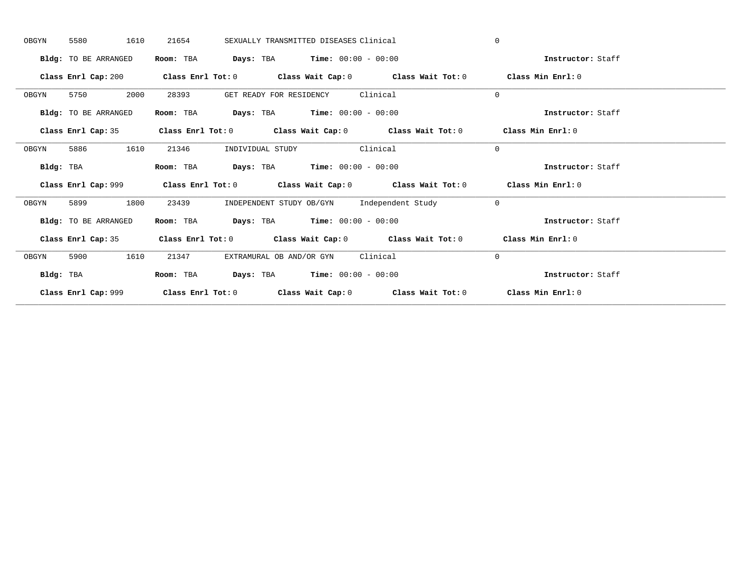| OBGYN     | 5580<br>1610         | 21654                     | SEXUALLY TRANSMITTED DISEASES Clinical                                                      | $\mathbf{0}$      |  |
|-----------|----------------------|---------------------------|---------------------------------------------------------------------------------------------|-------------------|--|
|           | Bldg: TO BE ARRANGED | Room: TBA                 | <b>Days:</b> TBA <b>Time:</b> $00:00 - 00:00$                                               | Instructor: Staff |  |
|           |                      |                           | Class Enrl Cap: 200 Class Enrl Tot: 0 Class Wait Cap: 0 Class Wait Tot: 0                   | Class Min Enrl: 0 |  |
| OBGYN     | 2000<br>5750         | 28393                     | GET READY FOR RESIDENCY Clinical                                                            | $\mathbf{0}$      |  |
|           | Bldg: TO BE ARRANGED | Room: TBA                 | <b>Days:</b> TBA <b>Time:</b> $00:00 - 00:00$                                               | Instructor: Staff |  |
|           |                      |                           | Class Enrl Cap: 35 Class Enrl Tot: 0 Class Wait Cap: 0 Class Wait Tot: 0 Class Min Enrl: 0  |                   |  |
| OBGYN     | 5886<br>1610         | 21346<br>INDIVIDUAL STUDY | Clinical                                                                                    | $\mathbf{0}$      |  |
| Bldg: TBA |                      | Room: TBA                 | <b>Days:</b> TBA <b>Time:</b> $00:00 - 00:00$                                               | Instructor: Staff |  |
|           |                      |                           | Class Enrl Cap: 999 Class Enrl Tot: 0 Class Wait Cap: 0 Class Wait Tot: 0 Class Min Enrl: 0 |                   |  |
| OBGYN     | 1800<br>5899         | 23439                     | INDEPENDENT STUDY OB/GYN Independent Study                                                  | $\overline{0}$    |  |
|           | Bldg: TO BE ARRANGED | Room: TBA                 | <b>Days:</b> TBA <b>Time:</b> $00:00 - 00:00$                                               | Instructor: Staff |  |
|           |                      |                           | Class Enrl Cap: 35 Class Enrl Tot: 0 Class Wait Cap: 0 Class Wait Tot: 0 Class Min Enrl: 0  |                   |  |
| OBGYN     | 5900<br>1610         | 21347                     | EXTRAMURAL OB AND/OR GYN Clinical                                                           | $\mathbf{0}$      |  |
| Bldg: TBA |                      | Room: TBA                 | <b>Days:</b> TBA <b>Time:</b> $00:00 - 00:00$                                               | Instructor: Staff |  |
|           | Class Enrl Cap: 999  |                           | Class Enrl Tot: $0$ Class Wait Cap: $0$ Class Wait Tot: $0$                                 | Class Min Enrl: 0 |  |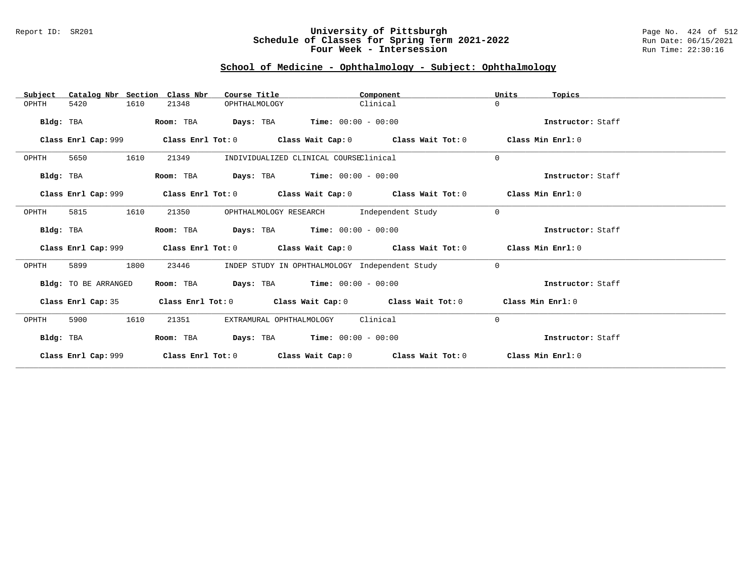### Report ID: SR201 **University of Pittsburgh** Page No. 424 of 512 **Schedule of Classes for Spring Term 2021-2022** Run Date: 06/15/2021 **Four Week - Intersession Run Time: 22:30:16**

### **School of Medicine - Ophthalmology - Subject: Ophthalmology**

| Catalog Nbr Section Class Nbr<br>Subject | Course Title                                                                                | Component                                      | Units<br>Topics   |
|------------------------------------------|---------------------------------------------------------------------------------------------|------------------------------------------------|-------------------|
| 1610<br>OPHTH<br>5420                    | 21348<br>OPHTHALMOLOGY                                                                      | Clinical                                       | 0                 |
| Bldg: TBA                                | <b>Days:</b> TBA <b>Time:</b> $00:00 - 00:00$<br>Room: TBA                                  |                                                | Instructor: Staff |
| Class Enrl Cap: 999                      | Class Enrl Tot: $0$ Class Wait Cap: $0$ Class Wait Tot: $0$                                 |                                                | Class Min Enrl: 0 |
| 1610<br>OPHTH<br>5650                    | 21349<br>INDIVIDUALIZED CLINICAL COURSEClinical                                             |                                                | $\Omega$          |
| Bldg: TBA                                | <b>Days:</b> TBA <b>Time:</b> $00:00 - 00:00$<br>Room: TBA                                  |                                                | Instructor: Staff |
|                                          | Class Enrl Cap: 999 Class Enrl Tot: 0 Class Wait Cap: 0 Class Wait Tot: 0                   |                                                | Class Min Enrl: 0 |
| 1610<br>5815<br>OPHTH                    | 21350<br>OPHTHALMOLOGY RESEARCH                                                             | Independent Study                              | $\mathbf 0$       |
| Bldg: TBA                                | <b>Days:</b> TBA <b>Time:</b> $00:00 - 00:00$<br>Room: TBA                                  |                                                | Instructor: Staff |
|                                          | Class Enrl Cap: 999 Class Enrl Tot: 0 Class Wait Cap: 0 Class Wait Tot: 0 Class Min Enrl: 0 |                                                |                   |
| 1800<br>5899<br>OPHTH                    | 23446                                                                                       | INDEP STUDY IN OPHTHALMOLOGY Independent Study | $\mathbf{0}$      |
| Bldg: TO BE ARRANGED                     | Room: TBA $Days:$ TBA $Time: 00:00 - 00:00$                                                 |                                                | Instructor: Staff |
| Class Enrl Cap: 35                       | Class Enrl Tot: $0$ Class Wait Cap: $0$ Class Wait Tot: $0$ Class Min Enrl: $0$             |                                                |                   |
| 5900<br>1610<br>OPHTH                    | 21351<br>EXTRAMURAL OPHTHALMOLOGY                                                           | Clinical                                       | $\mathbf{0}$      |
| Bldg: TBA                                | $\texttt{Davis:}$ TBA $\texttt{Time:}$ 00:00 - 00:00<br>Room: TBA                           |                                                | Instructor: Staff |
| Class Enrl Cap: 999                      | Class Enrl Tot: $0$                                                                         | Class Wait Cap: $0$ Class Wait Tot: $0$        | Class Min Enrl: 0 |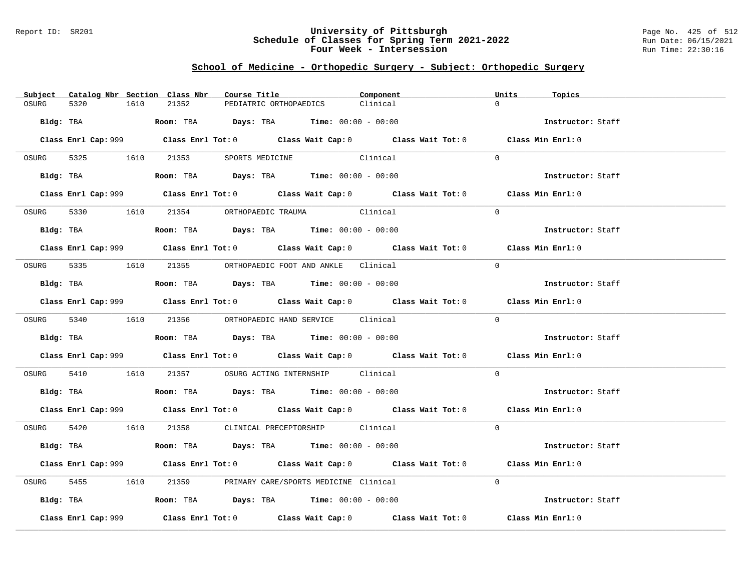### Report ID: SR201 **University of Pittsburgh** Page No. 425 of 512 **Schedule of Classes for Spring Term 2021-2022** Run Date: 06/15/2021 **Four Week - Intersession Run Time: 22:30:16**

### **School of Medicine - Orthopedic Surgery - Subject: Orthopedic Surgery**

| Subject Catalog Nbr Section Class Nbr | Course Title                                                                                | Component | Units<br>Topics   |
|---------------------------------------|---------------------------------------------------------------------------------------------|-----------|-------------------|
| OSURG<br>5320<br>1610                 | 21352<br>PEDIATRIC ORTHOPAEDICS                                                             | Clinical  | $\cap$            |
| Bldg: TBA                             | <b>Room:</b> TBA $Days: TBA$ <b>Time:</b> $00:00 - 00:00$                                   |           | Instructor: Staff |
|                                       | Class Enrl Cap: 999 Class Enrl Tot: 0 Class Wait Cap: 0 Class Wait Tot: 0 Class Min Enrl: 0 |           |                   |
| OSURG 5325 1610                       | 21353 SPORTS MEDICINE                                                                       | Clinical  | $\Omega$          |
| Bldg: TBA                             | Room: TBA $Days:$ TBA Time: $00:00 - 00:00$                                                 |           | Instructor: Staff |
|                                       | Class Enrl Cap: 999 Class Enrl Tot: 0 Class Wait Cap: 0 Class Wait Tot: 0 Class Min Enrl: 0 |           |                   |
|                                       | OSURG 5330 1610 21354 ORTHOPAEDIC TRAUMA Clinical                                           |           | $\Omega$          |
| Bldg: TBA                             | Room: TBA $\rule{1em}{0.15mm}$ Days: TBA Time: $00:00 - 00:00$                              |           | Instructor: Staff |
|                                       | Class Enrl Cap: 999 Class Enrl Tot: 0 Class Wait Cap: 0 Class Wait Tot: 0 Class Min Enrl: 0 |           |                   |
|                                       | OSURG 5335 1610 21355 ORTHOPAEDIC FOOT AND ANKLE Clinical                                   |           | $\Omega$          |
| Bldg: TBA                             | Room: TBA $Days: TBA$ Time: $00:00 - 00:00$                                                 |           | Instructor: Staff |
|                                       | Class Enrl Cap: 999 Class Enrl Tot: 0 Class Wait Cap: 0 Class Wait Tot: 0 Class Min Enrl: 0 |           |                   |
|                                       | OSURG 5340 1610 21356 ORTHOPAEDIC HAND SERVICE Clinical                                     |           | $\Omega$          |
|                                       |                                                                                             |           | Instructor: Staff |
|                                       | Class Enrl Cap: 999 Class Enrl Tot: 0 Class Wait Cap: 0 Class Wait Tot: 0 Class Min Enrl: 0 |           |                   |
| 5410<br>OSURG                         | 1610   21357   OSURG ACTING INTERNSHIP   Clinical                                           |           | $\Omega$          |
|                                       | Bldg: TBA                    Room: TBA         Days: TBA         Time: 00:00 - 00:00        |           | Instructor: Staff |
|                                       | Class Enrl Cap: 999 Class Enrl Tot: 0 Class Wait Cap: 0 Class Wait Tot: 0 Class Min Enrl: 0 |           |                   |
|                                       | OSURG 5420 1610 21358 CLINICAL PRECEPTORSHIP Clinical                                       |           | $\Omega$          |
| Bldg: TBA                             | Room: TBA $Days:$ TBA $Time: 00:00 - 00:00$                                                 |           | Instructor: Staff |
|                                       | Class Enrl Cap: 999 Class Enrl Tot: 0 Class Wait Cap: 0 Class Wait Tot: 0 Class Min Enrl: 0 |           |                   |
| 5455 1610<br>OSURG                    | 21359 PRIMARY CARE/SPORTS MEDICINE Clinical                                                 |           | $\Omega$          |
|                                       | Bldg: TBA                   Room: TBA         Days: TBA         Time: 00:00 - 00:00         |           | Instructor: Staff |
| Class Enrl Cap: 999                   | Class Enrl Tot: $0$ Class Wait Cap: $0$ Class Wait Tot: $0$ Class Min Enrl: $0$             |           |                   |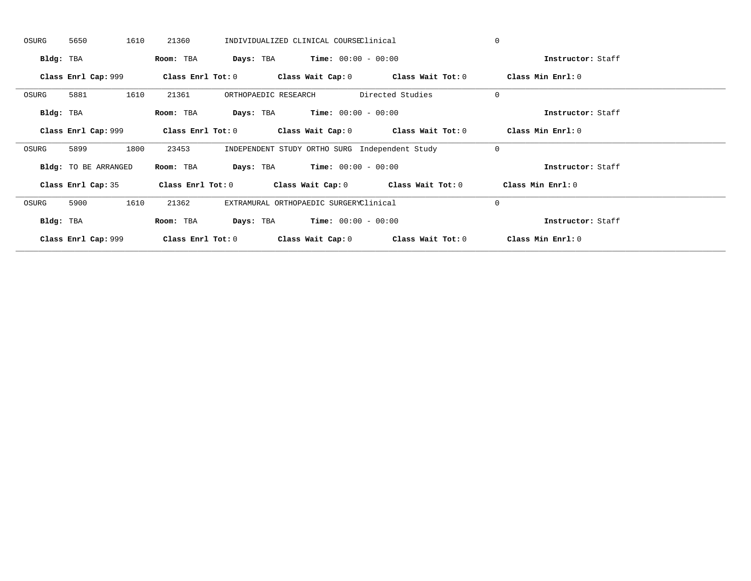| OSURG     | 5650                        | 1610 | 21360                   |           |                      | INDIVIDUALIZED CLINICAL COURSEClinical        |                                                             | $\Omega$          |  |
|-----------|-----------------------------|------|-------------------------|-----------|----------------------|-----------------------------------------------|-------------------------------------------------------------|-------------------|--|
| Bldg: TBA |                             |      | Room: TBA               |           |                      | <b>Days:</b> TBA <b>Time:</b> $00:00 - 00:00$ |                                                             | Instructor: Staff |  |
|           | Class Enrl Cap: 999         |      | Class Enrl Tot: $0$     |           |                      |                                               | Class Wait Cap: 0 Class Wait Tot: 0                         | Class Min Enrl: 0 |  |
| OSURG     | 5881                        | 1610 | 21361                   |           | ORTHOPAEDIC RESEARCH |                                               | Directed Studies                                            | $\mathbf{0}$      |  |
| Bldg: TBA |                             |      | Room: TBA               | Days: TBA |                      | $Time: 00:00 - 00:00$                         |                                                             | Instructor: Staff |  |
|           | Class Enrl Cap: 999         |      |                         |           |                      |                                               | Class Enrl Tot: $0$ Class Wait Cap: $0$ Class Wait Tot: $0$ | Class Min Enrl: 0 |  |
| OSURG     | 5899                        | 1800 | 23453                   |           |                      |                                               | INDEPENDENT STUDY ORTHO SURG Independent Study              | $\mathbf{0}$      |  |
|           | <b>Bldg:</b> TO BE ARRANGED |      | Room: TBA               |           |                      | <b>Days:</b> TBA <b>Time:</b> $00:00 - 00:00$ |                                                             | Instructor: Staff |  |
|           | Class Enrl Cap: 35          |      | Class Enrl Tot: 0       |           |                      |                                               | Class Wait Cap: $0$ Class Wait Tot: $0$                     | Class Min Enrl: 0 |  |
| OSURG     | 5900                        | 1610 | 21362                   |           |                      | EXTRAMURAL ORTHOPAEDIC SURGERYClinical        |                                                             | $\mathbf{0}$      |  |
| Bldg: TBA |                             |      | Room: TBA               | Days: TBA |                      | $Time: 00:00 - 00:00$                         |                                                             | Instructor: Staff |  |
|           | Class Enrl Cap: 999         |      | $Class$ $Enr1$ $Tot: 0$ |           |                      |                                               | Class Wait Cap: 0 Class Wait Tot: 0                         | Class Min Enrl: 0 |  |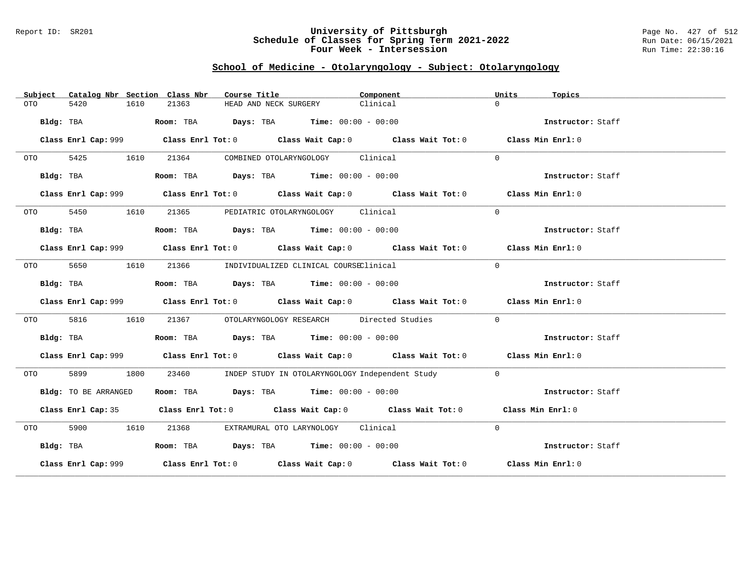### Report ID: SR201 **University of Pittsburgh** Page No. 427 of 512 **Schedule of Classes for Spring Term 2021-2022** Run Date: 06/15/2021 **Four Week - Intersession Run Time: 22:30:16**

# **School of Medicine - Otolaryngology - Subject: Otolaryngology**

| Subject | Catalog Nbr Section Class Nbr | Course Title                                                                                | Component                                             | Units<br>Topics   |
|---------|-------------------------------|---------------------------------------------------------------------------------------------|-------------------------------------------------------|-------------------|
| OTO     | 5420<br>1610                  | 21363<br>HEAD AND NECK SURGERY                                                              | Clinical                                              | $\Omega$          |
|         | Bldg: TBA                     | Room: TBA $Days:$ TBA Time: $00:00 - 00:00$                                                 |                                                       | Instructor: Staff |
|         |                               | Class Enrl Cap: 999 Class Enrl Tot: 0 Class Wait Cap: 0 Class Wait Tot: 0 Class Min Enrl: 0 |                                                       |                   |
| OTO DIE | 5425<br>1610                  | COMBINED OTOLARYNGOLOGY Clinical<br>21364                                                   |                                                       | $\Omega$          |
|         | Bldg: TBA                     | Room: TBA $\rule{1em}{0.15mm}$ Days: TBA Time: $00:00 - 00:00$                              |                                                       | Instructor: Staff |
|         |                               | Class Enrl Cap: 999 Class Enrl Tot: 0 Class Wait Cap: 0 Class Wait Tot: 0 Class Min Enrl: 0 |                                                       |                   |
| OTO DIE | 5450<br>1610                  | 21365 PEDIATRIC OTOLARYNGOLOGY Clinical                                                     |                                                       | $\Omega$          |
|         | Bldg: TBA                     | Room: TBA $\rule{1em}{0.15mm}$ Days: TBA Time: $00:00 - 00:00$                              |                                                       | Instructor: Staff |
|         |                               | Class Enrl Cap: 999 Class Enrl Tot: 0 Class Wait Cap: 0 Class Wait Tot: 0 Class Min Enrl: 0 |                                                       |                   |
|         | 5650<br>1610                  | 21366 INDIVIDUALIZED CLINICAL COURSEClinical                                                |                                                       | $\Omega$          |
|         | Bldg: TBA                     | Room: TBA $Days:$ TBA $Time: 00:00 - 00:00$                                                 |                                                       | Instructor: Staff |
|         |                               | Class Enrl Cap: 999 Class Enrl Tot: 0 Class Wait Cap: 0 Class Wait Tot: 0 Class Min Enrl: 0 |                                                       |                   |
|         | 5816<br>1610                  |                                                                                             | 21367 OTOLARYNGOLOGY RESEARCH Directed Studies        | $\Omega$          |
|         | Bldg: TBA                     | Room: TBA $Days:$ TBA Time: $00:00 - 00:00$                                                 |                                                       | Instructor: Staff |
|         |                               | Class Enrl Cap: 999 Class Enrl Tot: 0 Class Wait Cap: 0 Class Wait Tot: 0 Class Min Enrl: 0 |                                                       |                   |
| OTO DIE | 5899<br>1800                  |                                                                                             | 23460 INDEP STUDY IN OTOLARYNGOLOGY Independent Study | $\Omega$          |
|         | Bldg: TO BE ARRANGED          | Room: TBA $Days:$ TBA $Time: 00:00 - 00:00$                                                 |                                                       | Instructor: Staff |
|         |                               | Class Enrl Cap: 35 Class Enrl Tot: 0 Class Wait Cap: 0 Class Wait Tot: 0 Class Min Enrl: 0  |                                                       |                   |
| OTO DIE | 5900 1610                     | 21368 EXTRAMURAL OTO LARYNOLOGY Clinical                                                    |                                                       | $\Omega$          |
|         | Bldg: TBA                     | Room: TBA $Days:$ TBA $Time: 00:00 - 00:00$                                                 |                                                       | Instructor: Staff |
|         |                               | Class Enrl Cap: 999 Class Enrl Tot: 0 Class Wait Cap: 0 Class Wait Tot: 0 Class Min Enrl: 0 |                                                       |                   |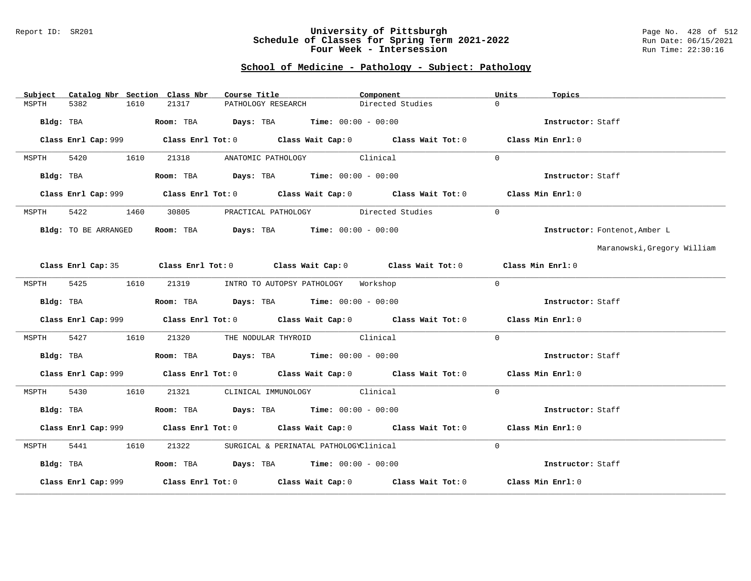#### Report ID: SR201 **University of Pittsburgh** Page No. 428 of 512 **Schedule of Classes for Spring Term 2021-2022** Run Date: 06/15/2021 **Four Week - Intersession Run Time: 22:30:16**

# **School of Medicine - Pathology - Subject: Pathology**

| Subject   |                                                                                                                |      | Catalog Nbr Section Class Nbr | Course Title       |                                                                | Component                                                                                  | Units    | Topics            |                               |
|-----------|----------------------------------------------------------------------------------------------------------------|------|-------------------------------|--------------------|----------------------------------------------------------------|--------------------------------------------------------------------------------------------|----------|-------------------|-------------------------------|
| MSPTH     | 5382                                                                                                           | 1610 | 21317                         | PATHOLOGY RESEARCH |                                                                | Directed Studies                                                                           | $\Omega$ |                   |                               |
|           | Bldg: TBA and the state of the state of the state of the state of the state of the state of the state of the s |      |                               |                    | Room: TBA $Days:$ TBA Time: $00:00 - 00:00$                    |                                                                                            |          | Instructor: Staff |                               |
|           | Class Enrl Cap: 999                                                                                            |      |                               |                    |                                                                | Class Enrl Tot: $0$ Class Wait Cap: $0$ Class Wait Tot: $0$                                |          | Class Min Enrl: 0 |                               |
| MSPTH     | 5420                                                                                                           | 1610 | 21318                         |                    | ANATOMIC PATHOLOGY Clinical                                    |                                                                                            | $\Omega$ |                   |                               |
|           | Bldg: TBA                                                                                                      |      |                               |                    | Room: TBA $Days:$ TBA $Time: 00:00 - 00:00$                    |                                                                                            |          | Instructor: Staff |                               |
|           |                                                                                                                |      |                               |                    |                                                                |                                                                                            |          | Class Min Enrl: 0 |                               |
| MSPTH     | 5422                                                                                                           | 1460 | 30805                         |                    |                                                                | PRACTICAL PATHOLOGY Directed Studies                                                       | $\Omega$ |                   |                               |
|           | Bldg: TO BE ARRANGED                                                                                           |      |                               |                    | Room: TBA $Days: TBA$ Time: $00:00 - 00:00$                    |                                                                                            |          |                   | Instructor: Fontenot, Amber L |
|           |                                                                                                                |      |                               |                    |                                                                |                                                                                            |          |                   | Maranowski, Gregory William   |
|           |                                                                                                                |      |                               |                    |                                                                | Class Enrl Cap: 35 Class Enrl Tot: 0 Class Wait Cap: 0 Class Wait Tot: 0 Class Min Enrl: 0 |          |                   |                               |
| MSPTH     | 5425                                                                                                           | 1610 |                               |                    | 21319 INTRO TO AUTOPSY PATHOLOGY Workshop                      |                                                                                            | $\Omega$ |                   |                               |
|           | Bldg: TBA                                                                                                      |      |                               |                    | Room: TBA Days: TBA Time: $00:00 - 00:00$                      |                                                                                            |          | Instructor: Staff |                               |
|           |                                                                                                                |      |                               |                    |                                                                | Class Enrl Cap: 999 Class Enrl Tot: 0 Class Wait Cap: 0 Class Wait Tot: 0                  |          | Class Min Enrl: 0 |                               |
| MSPTH     | 5427                                                                                                           | 1610 |                               |                    | 21320 THE NODULAR THYROID Clinical                             |                                                                                            | $\Omega$ |                   |                               |
| Bldg: TBA |                                                                                                                |      |                               |                    | Room: TBA $\rule{1em}{0.15mm}$ Days: TBA Time: $00:00 - 00:00$ |                                                                                            |          | Instructor: Staff |                               |
|           |                                                                                                                |      |                               |                    |                                                                | Class Enrl Cap: 999 Class Enrl Tot: 0 Class Wait Cap: 0 Class Wait Tot: 0                  |          | Class Min Enrl: 0 |                               |
| MSPTH     | 5430                                                                                                           | 1610 |                               |                    | 21321 CLINICAL IMMUNOLOGY Clinical                             |                                                                                            | $\Omega$ |                   |                               |
|           | Bldg: TBA                                                                                                      |      |                               |                    | Room: TBA $\rule{1em}{0.15mm}$ Days: TBA Time: $00:00 - 00:00$ |                                                                                            |          | Instructor: Staff |                               |
|           |                                                                                                                |      |                               |                    |                                                                | Class Enrl Cap: 999 Class Enrl Tot: 0 Class Wait Cap: 0 Class Wait Tot: 0                  |          | Class Min Enrl: 0 |                               |
| MSPTH     | 5441                                                                                                           | 1610 | 21322                         |                    | SURGICAL & PERINATAL PATHOLOGYClinical                         |                                                                                            | $\Omega$ |                   |                               |
| Bldg: TBA |                                                                                                                |      |                               |                    | Room: TBA $Days:$ TBA $Time: 00:00 - 00:00$                    |                                                                                            |          | Instructor: Staff |                               |
|           | Class Enrl Cap: 999                                                                                            |      |                               |                    |                                                                | Class Enrl Tot: $0$ Class Wait Cap: $0$ Class Wait Tot: $0$                                |          | Class Min Enrl: 0 |                               |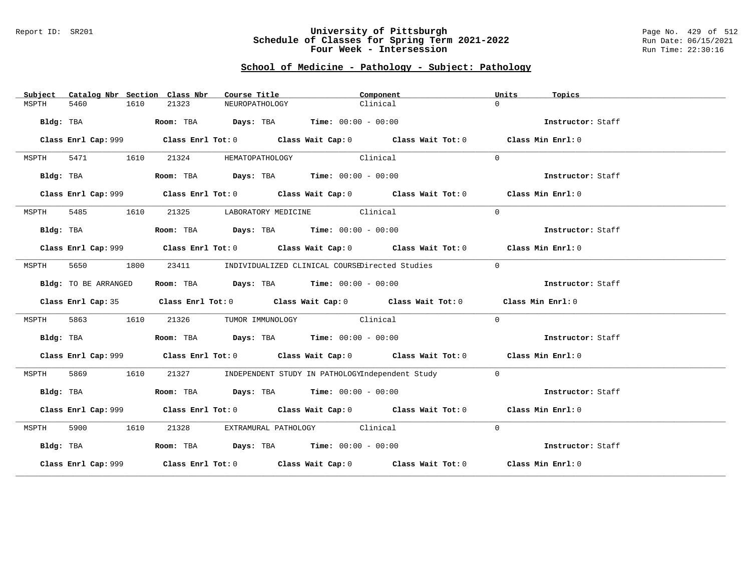#### Report ID: SR201 **University of Pittsburgh** Page No. 429 of 512 **Schedule of Classes for Spring Term 2021-2022** Run Date: 06/15/2021 **Four Week - Intersession Run Time: 22:30:16**

# **School of Medicine - Pathology - Subject: Pathology**

| Subject   |                      |      | Catalog Nbr Section Class Nbr | Course Title                                                                             |                               | Component                                                                                   | Units          | Topics            |
|-----------|----------------------|------|-------------------------------|------------------------------------------------------------------------------------------|-------------------------------|---------------------------------------------------------------------------------------------|----------------|-------------------|
| MSPTH     | 5460                 | 1610 | 21323                         | NEUROPATHOLOGY                                                                           |                               | Clinical                                                                                    | $\Omega$       |                   |
|           | Bldg: TBA            |      |                               | Room: TBA $\rule{1em}{0.15mm}$ Days: TBA $\rule{1.15mm}]{0.15mm}$ Time: $0.000 - 0.0000$ |                               |                                                                                             |                | Instructor: Staff |
|           |                      |      |                               |                                                                                          |                               | Class Enrl Cap: 999 Class Enrl Tot: 0 Class Wait Cap: 0 Class Wait Tot: 0 Class Min Enrl: 0 |                |                   |
| MSPTH     | 5471 1610            |      | 21324                         |                                                                                          | HEMATOPATHOLOGY Clinical      |                                                                                             | $\Omega$       |                   |
|           | Bldg: TBA            |      |                               | Room: TBA $Days:$ TBA $Time: 00:00 - 00:00$                                              |                               |                                                                                             |                | Instructor: Staff |
|           |                      |      |                               |                                                                                          |                               | Class Enrl Cap: 999 Class Enrl Tot: 0 Class Wait Cap: 0 Class Wait Tot: 0 Class Min Enrl: 0 |                |                   |
| MSPTH     | 5485<br>1610         |      |                               | 21325 LABORATORY MEDICINE Clinical                                                       |                               |                                                                                             | $\Omega$       |                   |
|           | Bldg: TBA            |      |                               | Room: TBA $Days:$ TBA $Time: 00:00 - 00:00$                                              |                               |                                                                                             |                | Instructor: Staff |
|           |                      |      |                               |                                                                                          |                               | Class Enrl Cap: 999 Class Enrl Tot: 0 Class Wait Cap: 0 Class Wait Tot: 0 Class Min Enrl: 0 |                |                   |
| MSPTH     | 5650<br>1800         |      |                               |                                                                                          |                               | 23411 INDIVIDUALIZED CLINICAL COURSEDirected Studies                                        | $\overline{0}$ |                   |
|           | Bldg: TO BE ARRANGED |      |                               | Room: TBA $Days:$ TBA $Time: 00:00 - 00:00$                                              |                               |                                                                                             |                | Instructor: Staff |
|           |                      |      |                               |                                                                                          |                               | Class Enrl Cap: 35 Class Enrl Tot: 0 Class Wait Cap: 0 Class Wait Tot: 0 Class Min Enrl: 0  |                |                   |
| MSPTH     | 5863                 | 1610 | 21326                         |                                                                                          | TUMOR IMMUNOLOGY Clinical     |                                                                                             | $\Omega$       |                   |
|           | Bldg: TBA            |      |                               | Room: TBA $Days:$ TBA $Time: 00:00 - 00:00$                                              |                               |                                                                                             |                | Instructor: Staff |
|           |                      |      |                               |                                                                                          |                               | Class Enrl Cap: 999 Class Enrl Tot: 0 Class Wait Cap: 0 Class Wait Tot: 0 Class Min Enrl: 0 |                |                   |
| MSPTH     | 5869                 | 1610 | 21327                         |                                                                                          |                               | INDEPENDENT STUDY IN PATHOLOGYIndependent Study                                             | $\Omega$       |                   |
|           | Bldg: TBA            |      |                               | Room: TBA $Days:$ TBA $Time: 00:00 - 00:00$                                              |                               |                                                                                             |                | Instructor: Staff |
|           |                      |      |                               |                                                                                          |                               | Class Enrl Cap: 999 Class Enrl Tot: 0 Class Wait Cap: 0 Class Wait Tot: 0 Class Min Enrl: 0 |                |                   |
| MSPTH     | 5900 1610            |      | 21328                         |                                                                                          | EXTRAMURAL PATHOLOGY Clinical |                                                                                             | $\Omega$       |                   |
| Bldg: TBA |                      |      |                               | Room: TBA $Days:$ TBA $Time: 00:00 - 00:00$                                              |                               |                                                                                             |                | Instructor: Staff |
|           |                      |      |                               |                                                                                          |                               | Class Enrl Cap: 999 Class Enrl Tot: 0 Class Wait Cap: 0 Class Wait Tot: 0 Class Min Enrl: 0 |                |                   |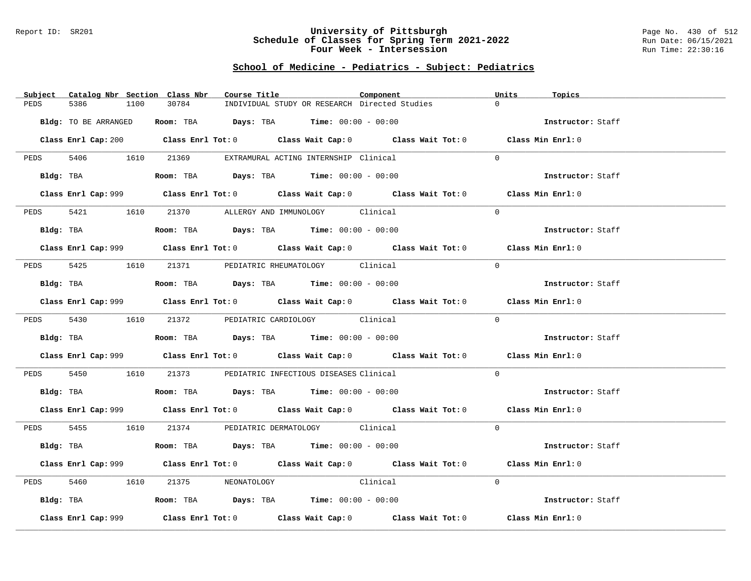#### Report ID: SR201 **University of Pittsburgh** Page No. 430 of 512 **Schedule of Classes for Spring Term 2021-2022** Run Date: 06/15/2021 **Four Week - Intersession Run Time: 22:30:16**

# **School of Medicine - Pediatrics - Subject: Pediatrics**

| Catalog Nbr Section Class Nbr<br>Subject | Course Title                                                                                | Component | Units<br>Topics   |
|------------------------------------------|---------------------------------------------------------------------------------------------|-----------|-------------------|
| 5386<br>PEDS<br>1100                     | 30784<br>INDIVIDUAL STUDY OR RESEARCH Directed Studies                                      |           | $\Omega$          |
|                                          |                                                                                             |           |                   |
| Bldg: TO BE ARRANGED                     | Room: TBA $\rule{1em}{0.15mm}$ Days: TBA Time: $00:00 - 00:00$                              |           | Instructor: Staff |
|                                          |                                                                                             |           |                   |
|                                          | Class Enrl Cap: 200 Class Enrl Tot: 0 Class Wait Cap: 0 Class Wait Tot: 0 Class Min Enrl: 0 |           |                   |
|                                          |                                                                                             |           |                   |
| PEDS 5406 1610 21369                     | EXTRAMURAL ACTING INTERNSHIP Clinical                                                       |           | $\Omega$          |
|                                          | Bldg: TBA                     Room: TBA          Days: TBA         Time: 00:00 - 00:00      |           | Instructor: Staff |
|                                          |                                                                                             |           |                   |
|                                          | Class Enrl Cap: 999 Class Enrl Tot: 0 Class Wait Cap: 0 Class Wait Tot: 0 Class Min Enrl: 0 |           |                   |
|                                          |                                                                                             |           |                   |
| 5421 1610<br>PEDS                        | 21370 ALLERGY AND IMMUNOLOGY Clinical                                                       |           | $\Omega$          |
|                                          |                                                                                             |           |                   |
| Bldg: TBA                                | Room: TBA $\rule{1em}{0.15mm}$ Days: TBA Time: $00:00 - 00:00$                              |           | Instructor: Staff |
|                                          |                                                                                             |           |                   |
|                                          | Class Enrl Cap: 999 Class Enrl Tot: 0 Class Wait Cap: 0 Class Wait Tot: 0 Class Min Enrl: 0 |           |                   |
|                                          |                                                                                             |           |                   |
|                                          | PEDS 5425 1610 21371 PEDIATRIC RHEUMATOLOGY Clinical                                        |           | $\Omega$          |
|                                          | $Bldg:$ TBA $Room:$ TBA $Days:$ TBA $Time:$ 00:00 - 00:00                                   |           | Instructor: Staff |
|                                          |                                                                                             |           |                   |
|                                          | Class Enrl Cap: 999 Class Enrl Tot: 0 Class Wait Cap: 0 Class Wait Tot: 0 Class Min Enrl: 0 |           |                   |
|                                          |                                                                                             |           |                   |
|                                          | PEDS 5430 1610 21372 PEDIATRIC CARDIOLOGY Clinical                                          |           | $\Omega$          |
|                                          |                                                                                             |           |                   |
| Bldg: TBA                                | Room: TBA $Days: TBA$ Time: $00:00 - 00:00$                                                 |           | Instructor: Staff |
|                                          |                                                                                             |           |                   |
|                                          | Class Enrl Cap: 999 Class Enrl Tot: 0 Class Wait Cap: 0 Class Wait Tot: 0 Class Min Enrl: 0 |           |                   |
|                                          |                                                                                             |           | $\Omega$          |
|                                          | PEDS 5450 1610 21373 PEDIATRIC INFECTIOUS DISEASES Clinical                                 |           |                   |
|                                          | Bldg: TBA                   Room: TBA         Days: TBA         Time: 00:00 - 00:00         |           | Instructor: Staff |
|                                          |                                                                                             |           |                   |
|                                          | Class Enrl Cap: 999 Class Enrl Tot: 0 Class Wait Cap: 0 Class Wait Tot: 0 Class Min Enrl: 0 |           |                   |
|                                          |                                                                                             |           |                   |
|                                          | PEDS 5455 1610 21374 PEDIATRIC DERMATOLOGY Clinical                                         |           | $\Omega$          |
|                                          |                                                                                             |           |                   |
|                                          | Bldg: TBA                   Room: TBA         Days: TBA         Time: 00:00 - 00:00         |           | Instructor: Staff |
|                                          |                                                                                             |           |                   |
|                                          | Class Enrl Cap: 999 Class Enrl Tot: 0 Class Wait Cap: 0 Class Wait Tot: 0 Class Min Enrl: 0 |           |                   |
|                                          |                                                                                             |           |                   |
| 5460 1610<br>PEDS                        | 21375 NEONATOLOGY Clinical                                                                  |           | $\Omega$          |
|                                          | Bldg: TBA                   Room: TBA         Days: TBA         Time: $00:00 - 00:00$       |           | Instructor: Staff |
|                                          |                                                                                             |           |                   |
| Class Enrl Cap: 999                      | Class Enrl Tot: $0$ Class Wait Cap: $0$ Class Wait Tot: $0$ Class Min Enrl: $0$             |           |                   |
|                                          |                                                                                             |           |                   |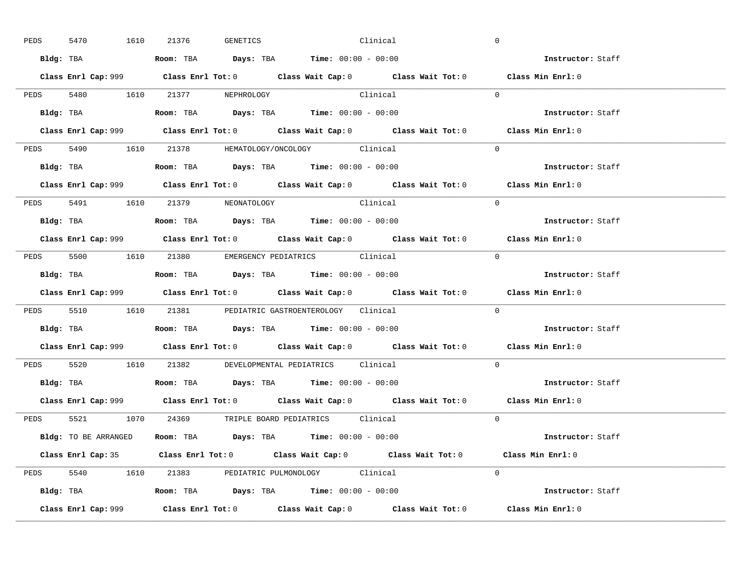| PEDS | 5470 |           | 1610 21376                       | GENETICS | <b>Clinical</b>                                                                                         |                                                                                             | $\overline{0}$    |                          |
|------|------|-----------|----------------------------------|----------|---------------------------------------------------------------------------------------------------------|---------------------------------------------------------------------------------------------|-------------------|--------------------------|
|      |      |           |                                  |          | Bldg: TBA                   Room: TBA         Days: TBA         Time: 00:00 - 00:00                     |                                                                                             | Instructor: Staff |                          |
|      |      |           |                                  |          |                                                                                                         | Class Enrl Cap: 999 Class Enrl Tot: 0 Class Wait Cap: 0 Class Wait Tot: 0 Class Min Enrl: 0 |                   |                          |
|      |      |           |                                  |          | PEDS 5480 1610 21377 NEPHROLOGY Clinical                                                                |                                                                                             | $\Omega$          |                          |
|      |      | Bldg: TBA |                                  |          | Room: TBA $\rule{1em}{0.15mm}$ Days: TBA $\rule{1.15mm}{0.15mm}$ Time: $00:00 - 00:00$                  |                                                                                             |                   | Instructor: Staff        |
|      |      |           |                                  |          |                                                                                                         |                                                                                             | Class Min Enrl: 0 |                          |
|      |      |           |                                  |          | PEDS 5490 1610 21378 HEMATOLOGY/ONCOLOGY Clinical                                                       |                                                                                             | $\Omega$          |                          |
|      |      |           |                                  |          | <b>Bldg:</b> TBA <b>Room:</b> TBA <b>Days:</b> TBA <b>Time:</b> $00:00 - 00:00$                         |                                                                                             |                   | Instructor: Staff        |
|      |      |           |                                  |          |                                                                                                         | Class Enrl Cap: 999 Class Enrl Tot: 0 Class Wait Cap: 0 Class Wait Tot: 0                   | Class Min Enrl: 0 |                          |
|      |      |           | PEDS 5491 1610 21379 NEONATOLOGY |          | Clinical                                                                                                |                                                                                             | $\Omega$          |                          |
|      |      |           |                                  |          | Bldg: TBA                                Room: TBA            Days: TBA           Time: $00:00 - 00:00$ |                                                                                             | Instructor: Staff |                          |
|      |      |           |                                  |          |                                                                                                         | Class Enrl Cap: 999 Class Enrl Tot: 0 Class Wait Cap: 0 Class Wait Tot: 0 Class Min Enrl: 0 |                   |                          |
|      |      |           |                                  |          | PEDS 5500 1610 21380 EMERGENCY PEDIATRICS Clinical                                                      |                                                                                             | $\Omega$          |                          |
|      |      |           |                                  |          | Bldg: TBA                   Room: TBA         Days: TBA         Time: $00:00 - 00:00$                   |                                                                                             | Instructor: Staff |                          |
|      |      |           |                                  |          |                                                                                                         | Class Enrl Cap: 999 Class Enrl Tot: 0 Class Wait Cap: 0 Class Wait Tot: 0 Class Min Enrl: 0 |                   |                          |
|      |      |           |                                  |          | PEDS 5510 1610 21381 PEDIATRIC GASTROENTEROLOGY Clinical                                                |                                                                                             | $\Omega$          |                          |
|      |      |           |                                  |          | Bldg: TBA                   Room: TBA         Days: TBA        Time: 00:00 - 00:00                      |                                                                                             |                   | Instructor: Staff        |
|      |      |           |                                  |          |                                                                                                         | Class Enrl Cap: 999 Class Enrl Tot: 0 Class Wait Cap: 0 Class Wait Tot: 0 Class Min Enrl: 0 |                   |                          |
|      |      |           |                                  |          | PEDS 5520 1610 21382 DEVELOPMENTAL PEDIATRICS Clinical                                                  |                                                                                             | $\Omega$          |                          |
|      |      |           |                                  |          | Bldg: TBA                    Room: TBA         Days: TBA         Time: $00:00 - 00:00$                  |                                                                                             |                   | Instructor: Staff        |
|      |      |           |                                  |          |                                                                                                         | Class Enrl Cap: 999 Class Enrl Tot: 0 Class Wait Cap: 0 Class Wait Tot: 0 Class Min Enrl: 0 |                   |                          |
|      |      |           |                                  |          | PEDS 5521 1070 24369 TRIPLE BOARD PEDIATRICS Clinical                                                   |                                                                                             | $\Omega$          |                          |
|      |      |           |                                  |          | <b>Bldg:</b> TO BE ARRANGED <b>Room:</b> TBA <b>Days:</b> TBA <b>Time:</b> $00:00 - 00:00$              |                                                                                             |                   |                          |
|      |      |           |                                  |          |                                                                                                         |                                                                                             |                   | <b>Instructor:</b> Staff |
|      |      |           |                                  |          |                                                                                                         | Class Enrl Cap: 35 Class Enrl Tot: 0 Class Wait Cap: 0 Class Wait Tot: 0 Class Min Enrl: 0  |                   |                          |
|      |      |           |                                  |          | PEDS 5540 1610 21383 PEDIATRIC PULMONOLOGY Clinical                                                     |                                                                                             | $\Omega$          |                          |
|      |      |           |                                  |          | Bldg: TBA                    Room: TBA         Days: TBA        Time: $00:00 - 00:00$                   |                                                                                             |                   | Instructor: Staff        |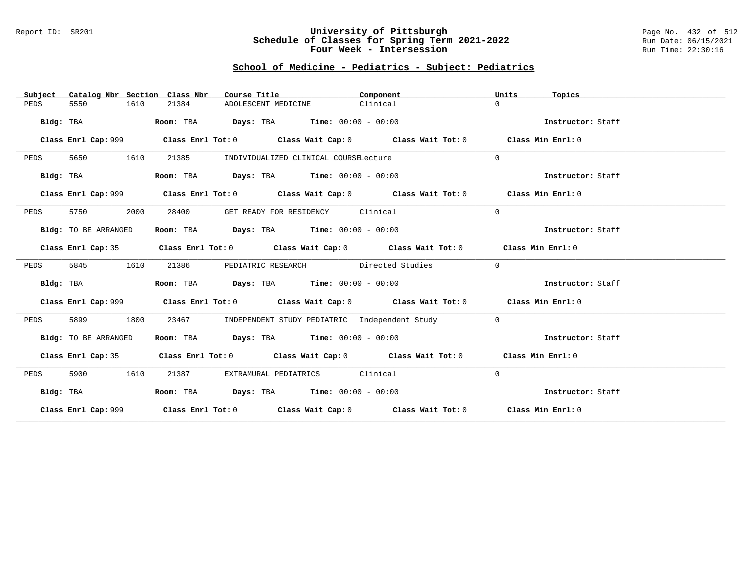### Report ID: SR201 **University of Pittsburgh** Page No. 432 of 512 **Schedule of Classes for Spring Term 2021-2022** Run Date: 06/15/2021 **Four Week - Intersession Run Time: 22:30:16**

# **School of Medicine - Pediatrics - Subject: Pediatrics**

| Subject   |                      | Catalog Nbr Section Class Nbr | Course Title                                                                                |          | Component                                     | Units        | Topics            |
|-----------|----------------------|-------------------------------|---------------------------------------------------------------------------------------------|----------|-----------------------------------------------|--------------|-------------------|
| PEDS      | 5550                 | 1610<br>21384                 | ADOLESCENT MEDICINE                                                                         | Clinical |                                               | $\Omega$     |                   |
| Bldg: TBA |                      | Room: TBA                     | <b>Days:</b> TBA <b>Time:</b> $00:00 - 00:00$                                               |          |                                               |              | Instructor: Staff |
|           |                      |                               |                                                                                             |          |                                               |              | Class Min Enrl: 0 |
| PEDS      | 5650                 | 1610<br>21385                 | INDIVIDUALIZED CLINICAL COURSELecture                                                       |          |                                               | $\Omega$     |                   |
| Bldg: TBA |                      |                               | Room: TBA $Days:$ TBA $Time: 00:00 - 00:00$                                                 |          |                                               |              | Instructor: Staff |
|           | Class Enrl Cap: 999  |                               | Class Enrl Tot: $0$ Class Wait Cap: $0$ Class Wait Tot: $0$                                 |          |                                               |              | Class Min Enrl: 0 |
| PEDS      | 5750                 | 2000<br>28400                 | GET READY FOR RESIDENCY Clinical                                                            |          |                                               | $\Omega$     |                   |
|           | Bldg: TO BE ARRANGED |                               | Room: TBA $Days:$ TBA $Time: 00:00 - 00:00$                                                 |          |                                               |              | Instructor: Staff |
|           | Class Enrl Cap: 35   |                               | Class Enrl Tot: $0$ Class Wait Cap: $0$ Class Wait Tot: $0$ Class Min Enrl: $0$             |          |                                               |              |                   |
| PEDS      | 5845                 | 1610<br>21386                 | PEDIATRIC RESEARCH Directed Studies                                                         |          |                                               | $\Omega$     |                   |
| Bldg: TBA |                      |                               | Room: TBA $Days:$ TBA $Time: 00:00 - 00:00$                                                 |          |                                               |              | Instructor: Staff |
|           |                      |                               | Class Enrl Cap: 999 Class Enrl Tot: 0 Class Wait Cap: 0 Class Wait Tot: 0 Class Min Enrl: 0 |          |                                               |              |                   |
| PEDS      | 5899                 | 1800<br>23467                 |                                                                                             |          | INDEPENDENT STUDY PEDIATRIC Independent Study | $\mathbf{0}$ |                   |
|           | Bldg: TO BE ARRANGED |                               | Room: TBA Days: TBA Time: $00:00 - 00:00$                                                   |          |                                               |              | Instructor: Staff |
|           |                      |                               | Class Enrl Cap: 35 Class Enrl Tot: 0 Class Wait Cap: 0 Class Wait Tot: 0 Class Min Enrl: 0  |          |                                               |              |                   |
| PEDS      | 5900                 | 1610<br>21387                 | EXTRAMURAL PEDIATRICS Clinical                                                              |          |                                               | $\Omega$     |                   |
| Bldg: TBA |                      |                               | Room: TBA $Days:$ TBA $Time: 00:00 - 00:00$                                                 |          |                                               |              | Instructor: Staff |
|           |                      |                               | Class Enrl Cap: 999 Class Enrl Tot: 0 Class Wait Cap: 0 Class Wait Tot: 0 Class Min Enrl: 0 |          |                                               |              |                   |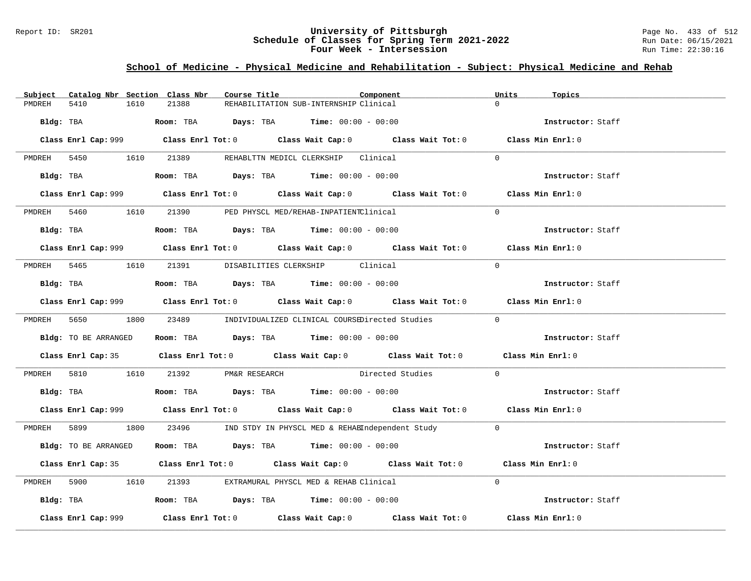### Report ID: SR201 **University of Pittsburgh** Page No. 433 of 512 **Schedule of Classes for Spring Term 2021-2022** Run Date: 06/15/2021 **Four Week - Intersession Run Time: 22:30:16**

## **School of Medicine - Physical Medicine and Rehabilitation - Subject: Physical Medicine and Rehab**

| Subject              |           | Catalog Nbr Section Class Nbr                                                           | Course Title                           | Component                                                                                   | Units<br>Topics   |  |
|----------------------|-----------|-----------------------------------------------------------------------------------------|----------------------------------------|---------------------------------------------------------------------------------------------|-------------------|--|
| 5410<br>PMDREH       | 1610      | 21388                                                                                   | REHABILITATION SUB-INTERNSHIP Clinical |                                                                                             |                   |  |
|                      |           | Bldg: TBA                    Room: TBA         Days: TBA         Time: 00:00 - 00:00    |                                        |                                                                                             | Instructor: Staff |  |
|                      |           |                                                                                         |                                        | Class Enrl Cap: 999 Class Enrl Tot: 0 Class Wait Cap: 0 Class Wait Tot: 0 Class Min Enrl: 0 |                   |  |
|                      |           | PMDREH 5450 1610 21389 REHABLTTN MEDICL CLERKSHIP Clinical                              |                                        |                                                                                             | $\Omega$          |  |
|                      | Bldg: TBA | Room: TBA $Days:$ TBA $Time: 00:00 - 00:00$                                             |                                        |                                                                                             | Instructor: Staff |  |
|                      |           |                                                                                         |                                        | Class Enrl Cap: 999 Class Enrl Tot: 0 Class Wait Cap: 0 Class Wait Tot: 0 Class Min Enrl: 0 |                   |  |
|                      |           | PMDREH 5460 1610 21390 PED PHYSCL MED/REHAB-INPATIENTClinical                           |                                        |                                                                                             | $\Omega$          |  |
|                      |           | Bldg: TBA                   Room: TBA         Days: TBA         Time: $00:00 - 00:00$   |                                        |                                                                                             | Instructor: Staff |  |
|                      |           |                                                                                         |                                        |                                                                                             | Class Min Enrl: 0 |  |
|                      |           | PMDREH 5465 1610 21391 DISABILITIES CLERKSHIP Clinical                                  |                                        |                                                                                             | $\Omega$          |  |
|                      |           | Bldg: TBA                   Room: TBA         Days: TBA         Time: $00:00 - 00:00$   |                                        |                                                                                             | Instructor: Staff |  |
|                      |           |                                                                                         |                                        | Class Enrl Cap: 999 Class Enrl Tot: 0 Class Wait Cap: 0 Class Wait Tot: 0                   | Class Min Enrl: 0 |  |
|                      |           |                                                                                         |                                        | PMDREH 5650 1800 23489 INDIVIDUALIZED CLINICAL COURSEDirected Studies 0                     |                   |  |
|                      |           | Bldg: TO BE ARRANGED Room: TBA Days: TBA Time: 00:00 - 00:00                            |                                        |                                                                                             | Instructor: Staff |  |
|                      |           |                                                                                         |                                        | Class Enrl Cap: 35 Class Enrl Tot: 0 Class Wait Cap: 0 Class Wait Tot: 0 Class Min Enrl: 0  |                   |  |
|                      |           |                                                                                         |                                        | PMDREH 5810 1610 21392 PM&R RESEARCH Directed Studies                                       | $\Omega$          |  |
|                      |           | Bldg: TBA                     Room: TBA         Days: TBA         Time: 00:00 - 00:00   |                                        |                                                                                             | Instructor: Staff |  |
|                      |           |                                                                                         |                                        | Class Enrl Cap: 999 Class Enrl Tot: 0 Class Wait Cap: 0 Class Wait Tot: 0 Class Min Enrl: 0 |                   |  |
|                      |           |                                                                                         |                                        | PMDREH 5899 1800 23496 IND STDY IN PHYSCL MED & REHABIndependent Study 0                    |                   |  |
| Bldg: TO BE ARRANGED |           | Room: TBA $\rule{1em}{0.15mm}$ Days: TBA $\rule{1.15mm}]{0.15mm}$ Time: $00:00 - 00:00$ |                                        |                                                                                             | Instructor: Staff |  |
|                      |           |                                                                                         |                                        | Class Enrl Cap: 35 Class Enrl Tot: 0 Class Wait Cap: 0 Class Wait Tot: 0 Class Min Enrl: 0  |                   |  |
|                      |           | PMDREH 5900 1610 21393 EXTRAMURAL PHYSCL MED & REHAB Clinical                           |                                        |                                                                                             | $\Omega$          |  |
|                      |           | Bldg: TBA                  Room: TBA        Days: TBA        Time: 00:00 - 00:00        |                                        |                                                                                             | Instructor: Staff |  |
| Class Enrl Cap: 999  |           |                                                                                         |                                        | Class Enrl Tot: $0$ Class Wait Cap: $0$ Class Wait Tot: $0$                                 | Class Min Enrl: 0 |  |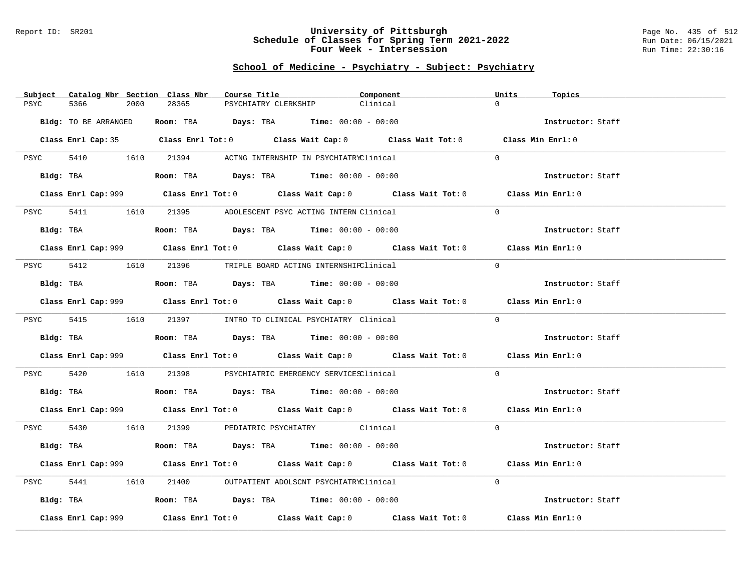### Report ID: SR201 **University of Pittsburgh** Page No. 435 of 512 **Schedule of Classes for Spring Term 2021-2022** Run Date: 06/15/2021 **Four Week - Intersession Run Time: 22:30:16**

# **School of Medicine - Psychiatry - Subject: Psychiatry**

| Catalog Nbr Section Class Nbr<br>Subject | Course Title                                                                                | Component | Units<br>Topics   |
|------------------------------------------|---------------------------------------------------------------------------------------------|-----------|-------------------|
| 5366<br>2000<br>PSYC                     | 28365<br>PSYCHIATRY CLERKSHIP                                                               | Clinical  | $\Omega$          |
|                                          |                                                                                             |           |                   |
| Bldg: TO BE ARRANGED                     | Room: TBA $\rule{1em}{0.15mm}$ Days: TBA Time: $00:00 - 00:00$                              |           | Instructor: Staff |
|                                          | Class Enrl Cap: 35 Class Enrl Tot: 0 Class Wait Cap: 0 Class Wait Tot: 0 Class Min Enrl: 0  |           |                   |
|                                          |                                                                                             |           |                   |
|                                          | PSYC 5410 1610 21394 ACTNG INTERNSHIP IN PSYCHIATRYClinical                                 |           | $\Omega$          |
|                                          |                                                                                             |           |                   |
| Bldg: TBA                                | Room: TBA $Days:$ TBA $Time: 00:00 - 00:00$                                                 |           | Instructor: Staff |
|                                          | Class Enrl Cap: 999 Class Enrl Tot: 0 Class Wait Cap: 0 Class Wait Tot: 0 Class Min Enrl: 0 |           |                   |
|                                          |                                                                                             |           |                   |
| PSYC<br>5411                             | 21395 ADOLESCENT PSYC ACTING INTERN Clinical<br>1610                                        |           | $\Omega$          |
|                                          |                                                                                             |           |                   |
| Bldg: TBA                                | Room: TBA $Days:$ TBA $Time: 00:00 - 00:00$                                                 |           | Instructor: Staff |
|                                          | Class Enrl Cap: 999 Class Enrl Tot: 0 Class Wait Cap: 0 Class Wait Tot: 0                   |           | Class Min Enrl: 0 |
|                                          |                                                                                             |           |                   |
|                                          | PSYC 5412 1610 21396 TRIPLE BOARD ACTING INTERNSHIPClinical                                 |           | $\Omega$          |
|                                          |                                                                                             |           |                   |
| Bldg: TBA                                | Room: TBA $Days:$ TBA $Time: 00:00 - 00:00$                                                 |           | Instructor: Staff |
|                                          | Class Enrl Cap: 999 Class Enrl Tot: 0 Class Wait Cap: 0 Class Wait Tot: 0 Class Min Enrl: 0 |           |                   |
|                                          |                                                                                             |           |                   |
|                                          | PSYC 5415 1610 21397 INTRO TO CLINICAL PSYCHIATRY Clinical                                  |           | $\Omega$          |
|                                          |                                                                                             |           |                   |
| Bldg: TBA                                | Room: TBA $Days:$ TBA Time: $00:00 - 00:00$                                                 |           | Instructor: Staff |
|                                          | Class Enrl Cap: 999 Class Enrl Tot: 0 Class Wait Cap: 0 Class Wait Tot: 0                   |           | Class Min Enrl: 0 |
|                                          |                                                                                             |           |                   |
| 5420<br>PSYC                             | 1610 21398 PSYCHIATRIC EMERGENCY SERVICESClinical                                           |           | $\Omega$          |
|                                          |                                                                                             |           | Instructor: Staff |
| Bldg: TBA                                | Room: TBA $Days:$ TBA Time: $00:00 - 00:00$                                                 |           |                   |
|                                          | Class Enrl Cap: 999 Class Enrl Tot: 0 Class Wait Cap: 0 Class Wait Tot: 0 Class Min Enrl: 0 |           |                   |
|                                          |                                                                                             |           |                   |
|                                          | PSYC 5430 1610 21399 PEDIATRIC PSYCHIATRY Clinical                                          |           | $\Omega$          |
|                                          | Bldg: TBA                   Room: TBA         Days: TBA         Time: 00:00 - 00:00         |           | Instructor: Staff |
|                                          |                                                                                             |           |                   |
|                                          | Class Enrl Cap: 999 Class Enrl Tot: 0 Class Wait Cap: 0 Class Wait Tot: 0 Class Min Enrl: 0 |           |                   |
|                                          |                                                                                             |           |                   |
| 5441<br>PSYC                             | 21400 OUTPATIENT ADOLSCNT PSYCHIATRYClinical<br>1610                                        |           | $\Omega$          |
|                                          | Bldg: TBA                    Room: TBA         Days: TBA         Time: 00:00 - 00:00        |           | Instructor: Staff |
|                                          |                                                                                             |           |                   |
| Class Enrl Cap: 999                      | Class Enrl Tot: $0$ Class Wait Cap: $0$ Class Wait Tot: $0$                                 |           | Class Min Enrl: 0 |
|                                          |                                                                                             |           |                   |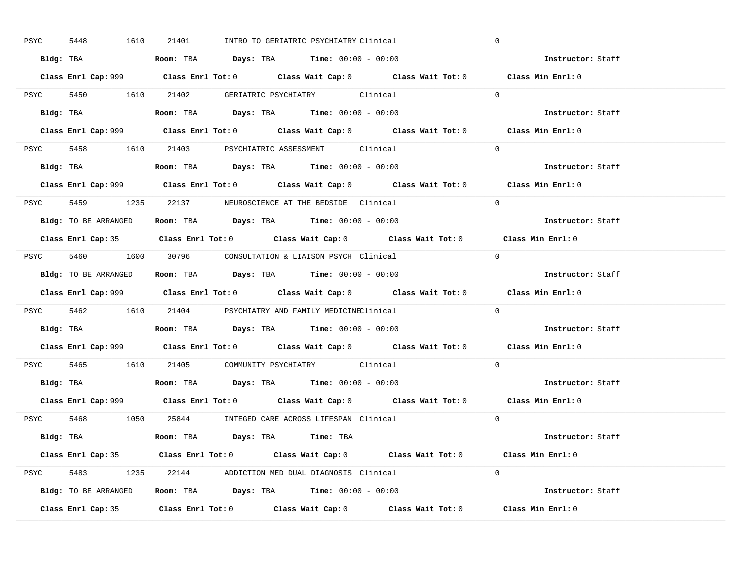| PSYC | 1610<br>5448         | 21401<br>INTRO TO GERIATRIC PSYCHIATRY Clinical                                             | $\mathbf 0$       |
|------|----------------------|---------------------------------------------------------------------------------------------|-------------------|
|      |                      | Bldg: TBA                      Room: TBA         Days: TBA         Time: 00:00 - 00:00      | Instructor: Staff |
|      |                      | Class Enrl Cap: 999 Class Enrl Tot: 0 Class Wait Cap: 0 Class Wait Tot: 0 Class Min Enrl: 0 |                   |
|      |                      | PSYC 5450 1610 21402 GERIATRIC PSYCHIATRY Clinical                                          | $\Omega$          |
|      |                      |                                                                                             | Instructor: Staff |
|      |                      | Class Enrl Cap: 999 Class Enrl Tot: 0 Class Wait Cap: 0 Class Wait Tot: 0                   | Class Min Enrl: 0 |
|      |                      | PSYC 5458 1610 21403 PSYCHIATRIC ASSESSMENT Clinical                                        | $\Omega$          |
|      |                      | Bldg: TBA                    Room: TBA         Days: TBA         Time: 00:00 - 00:00        | Instructor: Staff |
|      |                      | Class Enrl Cap: 999 Class Enrl Tot: 0 Class Wait Cap: 0 Class Wait Tot: 0 Class Min Enrl: 0 |                   |
|      |                      | PSYC 5459 1235 22137 NEUROSCIENCE AT THE BEDSIDE Clinical                                   | $\Omega$          |
|      | Bldg: TO BE ARRANGED | Room: TBA $\rule{1em}{0.15mm}$ Days: TBA $\rule{1.5mm}{0.15mm}$ Time: $00:00 - 00:00$       | Instructor: Staff |
|      |                      | Class Enrl Cap: 35 Class Enrl Tot: 0 Class Wait Cap: 0 Class Wait Tot: 0 Class Min Enrl: 0  |                   |
|      |                      | PSYC 5460 1600 30796 CONSULTATION & LIAISON PSYCH Clinical                                  | $\bigcap$         |
|      |                      | <b>Bldg:</b> TO BE ARRANGED <b>Room:</b> TBA <b>Days:</b> TBA <b>Time:</b> $00:00 - 00:00$  | Instructor: Staff |
|      |                      | Class Enrl Cap: 999 Class Enrl Tot: 0 Class Wait Cap: 0 Class Wait Tot: 0 Class Min Enrl: 0 |                   |
|      |                      | PSYC 5462 1610 21404 PSYCHIATRY AND FAMILY MEDICINEClinical                                 | $\Omega$          |
|      |                      | Bldg: TBA                   Room: TBA        Days: TBA        Time: 00:00 - 00:00           | Instructor: Staff |
|      |                      | Class Enrl Cap: 999 Class Enrl Tot: 0 Class Wait Cap: 0 Class Wait Tot: 0 Class Min Enrl: 0 |                   |
|      |                      | PSYC 5465 1610 21405 COMMUNITY PSYCHIATRY Clinical                                          | $\Omega$          |
|      |                      | Bldg: TBA                   Room: TBA         Days: TBA         Time: $00:00 - 00:00$       | Instructor: Staff |
|      |                      | Class Enrl Cap: 999 Class Enrl Tot: 0 Class Wait Cap: 0 Class Wait Tot: 0 Class Min Enrl: 0 |                   |
|      |                      | PSYC 5468 1050 25844 INTEGED CARE ACROSS LIFESPAN Clinical                                  | $\Omega$          |
|      |                      | Bldg: TBA                        Room: TBA         Days: TBA         Time: TBA              | Instructor: Staff |
|      |                      | Class Enrl Cap: 35 Class Enrl Tot: 0 Class Wait Cap: 0 Class Wait Tot: 0 Class Min Enrl: 0  |                   |
|      |                      |                                                                                             |                   |
|      |                      | PSYC 5483 1235 22144 ADDICTION MED DUAL DIAGNOSIS Clinical                                  | $\Omega$          |
|      |                      | <b>Bldg:</b> TO BE ARRANGED <b>Room:</b> TBA <b>Days:</b> TBA <b>Time:</b> $00:00 - 00:00$  | Instructor: Staff |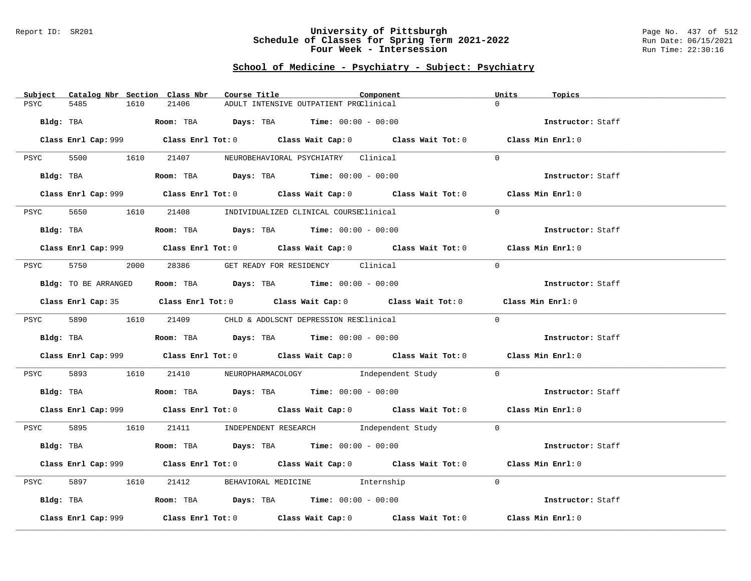### Report ID: SR201 **University of Pittsburgh** Page No. 437 of 512 **Schedule of Classes for Spring Term 2021-2022** Run Date: 06/15/2021 **Four Week - Intersession Run Time: 22:30:16**

# **School of Medicine - Psychiatry - Subject: Psychiatry**

| Catalog Nbr Section Class Nbr<br>Subject | Course Title                                                                           | Component                                                                                   | Units<br>Topics   |
|------------------------------------------|----------------------------------------------------------------------------------------|---------------------------------------------------------------------------------------------|-------------------|
| 5485<br>1610<br>PSYC                     | 21406                                                                                  | ADULT INTENSIVE OUTPATIENT PROClinical                                                      | $\Omega$          |
| Bldg: TBA                                | <b>ROOM:</b> TBA <b>Days:</b> TBA <b>Time:</b> 00:00 - 00:00                           |                                                                                             | Instructor: Staff |
|                                          |                                                                                        |                                                                                             |                   |
|                                          |                                                                                        | Class Enrl Cap: 999 Class Enrl Tot: 0 Class Wait Cap: 0 Class Wait Tot: 0 Class Min Enrl: 0 |                   |
| PSYC                                     | 5500 1610 21407 NEUROBEHAVIORAL PSYCHIATRY Clinical                                    |                                                                                             | $\Omega$          |
|                                          | Bldg: TBA                    Room: TBA          Days: TBA         Time: 00:00 - 00:00  |                                                                                             | Instructor: Staff |
|                                          |                                                                                        | Class Enrl Cap: 999 Class Enrl Tot: 0 Class Wait Cap: 0 Class Wait Tot: 0 Class Min Enrl: 0 |                   |
| PSYC<br>5650                             | 1610 21408 INDIVIDUALIZED CLINICAL COURSEClinical                                      |                                                                                             | $\Omega$          |
|                                          | Bldg: TBA                    Room: TBA         Days: TBA         Time: $00:00 - 00:00$ |                                                                                             | Instructor: Staff |
|                                          |                                                                                        | Class Enrl Cap: 999 Class Enrl Tot: 0 Class Wait Cap: 0 Class Wait Tot: 0 Class Min Enrl: 0 |                   |
|                                          |                                                                                        |                                                                                             |                   |
|                                          | PSYC 5750 2000 28386 GET READY FOR RESIDENCY Clinical                                  |                                                                                             | $\Omega$          |
| Bldg: TO BE ARRANGED                     | Room: TBA $Days: TBA$ Time: $00:00 - 00:00$                                            |                                                                                             | Instructor: Staff |
|                                          |                                                                                        | Class Enrl Cap: 35 Class Enrl Tot: 0 Class Wait Cap: 0 Class Wait Tot: 0 Class Min Enrl: 0  |                   |
|                                          | PSYC 5890 1610 21409 CHLD & ADOLSCNT DEPRESSION RESClinical                            |                                                                                             | $\Omega$          |
|                                          | Bldg: TBA                   Room: TBA        Days: TBA        Time: 00:00 - 00:00      |                                                                                             | Instructor: Staff |
|                                          |                                                                                        | Class Enrl Cap: 999 Class Enrl Tot: 0 Class Wait Cap: 0 Class Wait Tot: 0 Class Min Enrl: 0 |                   |
| PSYC                                     |                                                                                        | 5893 1610 21410 NEUROPHARMACOLOGY Independent Study                                         | $\overline{0}$    |
|                                          | Bldg: TBA                     Room: TBA         Days: TBA         Time: 00:00 - 00:00  |                                                                                             | Instructor: Staff |
|                                          |                                                                                        | Class Enrl Cap: 999 Class Enrl Tot: 0 Class Wait Cap: 0 Class Wait Tot: 0 Class Min Enrl: 0 |                   |
|                                          |                                                                                        | PSYC 5895 1610 21411 INDEPENDENT RESEARCH Independent Study 0                               |                   |
|                                          |                                                                                        | Bldg: TBA <b>Room:</b> TBA <b>Days:</b> TBA <b>Time:</b> 00:00 - 00:00                      | Instructor: Staff |
|                                          |                                                                                        | Class Enrl Cap: 999 Class Enrl Tot: 0 Class Wait Cap: 0 Class Wait Tot: 0 Class Min Enrl: 0 |                   |
| PSYC                                     | 1610 21412 BEHAVIORAL MEDICINE Internship                                              |                                                                                             | $\Omega$          |
|                                          |                                                                                        |                                                                                             |                   |
|                                          | Bldg: TBA                   Room: TBA        Days: TBA        Time: 00:00 - 00:00      |                                                                                             | Instructor: Staff |
| Class Enrl Cap: 999                      |                                                                                        | Class Enrl Tot: $0$ Class Wait Cap: $0$ Class Wait Tot: $0$ Class Min Enrl: $0$             |                   |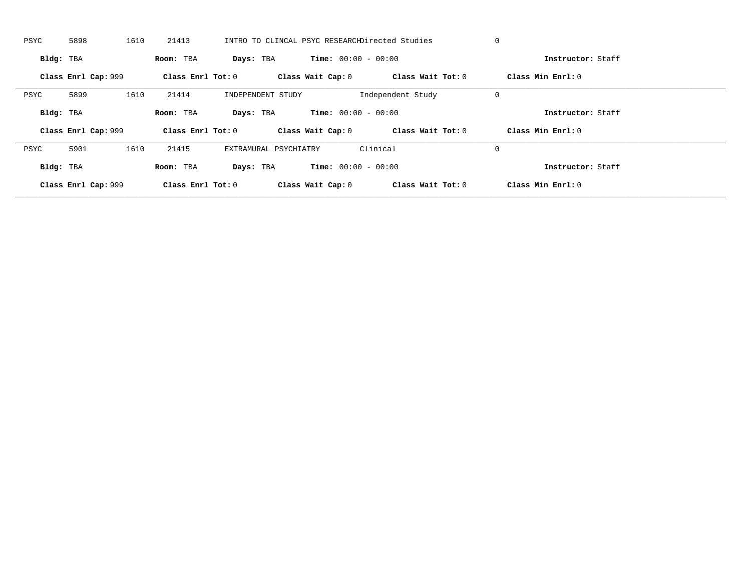| PSYC      | 5898                | 1610 | 21413             |           |                       |                              | INTRO TO CLINCAL PSYC RESEARCHDirected Studies | 0           |                   |  |
|-----------|---------------------|------|-------------------|-----------|-----------------------|------------------------------|------------------------------------------------|-------------|-------------------|--|
| Bldg: TBA |                     |      | Room: TBA         | Days: TBA |                       | <b>Time:</b> $00:00 - 00:00$ |                                                |             | Instructor: Staff |  |
|           | Class Enrl Cap: 999 |      | Class Enrl Tot: 0 |           |                       | Class Wait Cap: 0            | Class Wait Tot: 0                              |             | Class Min Enrl: 0 |  |
| PSYC      | 5899                | 1610 | 21414             |           | INDEPENDENT STUDY     |                              | Independent Study                              | 0           |                   |  |
| Bldg: TBA |                     |      | Room: TBA         | Days: TBA |                       | <b>Time:</b> $00:00 - 00:00$ |                                                |             | Instructor: Staff |  |
|           |                     |      |                   |           |                       |                              |                                                |             |                   |  |
|           | Class Enrl Cap: 999 |      | Class Enrl Tot: 0 |           |                       | Class Wait Cap: 0            | Class Wait Tot: 0                              |             | Class Min Enrl: 0 |  |
| PSYC      | 5901                | 1610 | 21415             |           | EXTRAMURAL PSYCHIATRY |                              | Clinical                                       | $\mathbf 0$ |                   |  |
| Bldg: TBA |                     |      | Room: TBA         | Days: TBA |                       | <b>Time:</b> $00:00 - 00:00$ |                                                |             | Instructor: Staff |  |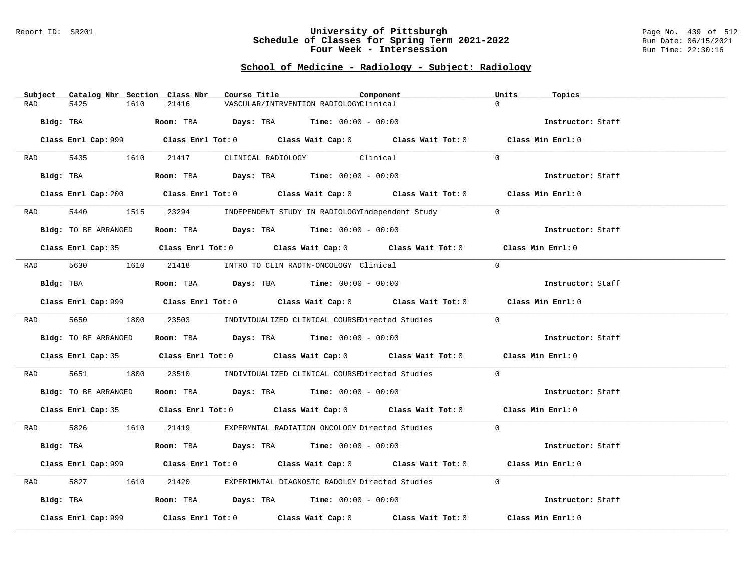#### Report ID: SR201 **University of Pittsburgh** Page No. 439 of 512 **Schedule of Classes for Spring Term 2021-2022** Run Date: 06/15/2021 **Four Week - Intersession Run Time: 22:30:16**

## **School of Medicine - Radiology - Subject: Radiology**

| Subject | Catalog Nbr Section Class Nbr | Course Title |                                                                                             | Component | Units<br>Topics   |  |
|---------|-------------------------------|--------------|---------------------------------------------------------------------------------------------|-----------|-------------------|--|
| RAD     | 5425<br>1610                  | 21416        | VASCULAR/INTRVENTION RADIOLOGYClinical                                                      |           | $\Omega$          |  |
|         |                               |              |                                                                                             |           |                   |  |
|         | Bldg: TBA                     |              | Room: TBA $\rule{1em}{0.15mm}$ Days: TBA $\rule{1.15mm}]{0.15mm}$ Time: $0.000 - 0.0000$    |           | Instructor: Staff |  |
|         |                               |              | Class Enrl Cap: 999 Class Enrl Tot: 0 Class Wait Cap: 0 Class Wait Tot: 0 Class Min Enrl: 0 |           |                   |  |
|         | RAD 5435 1610                 |              | 21417 CLINICAL RADIOLOGY Clinical                                                           |           | $\Omega$          |  |
|         | Bldg: TBA                     |              | Room: TBA $Days:$ TBA $Time: 00:00 - 00:00$                                                 |           | Instructor: Staff |  |
|         |                               |              | Class Enrl Cap: 200 Class Enrl Tot: 0 Class Wait Cap: 0 Class Wait Tot: 0 Class Min Enrl: 0 |           |                   |  |
| RAD     | 5440                          |              | 1515 23294 INDEPENDENT STUDY IN RADIOLOGYIndependent Study                                  |           | $\Omega$          |  |
|         | Bldg: TO BE ARRANGED          |              | Room: TBA $Days:$ TBA $Time: 00:00 - 00:00$                                                 |           | Instructor: Staff |  |
|         |                               |              | Class Enrl Cap: 35 Class Enrl Tot: 0 Class Wait Cap: 0 Class Wait Tot: 0 Class Min Enrl: 0  |           |                   |  |
| RAD     |                               |              | 5630 1610 21418 INTRO TO CLIN RADTN-ONCOLOGY Clinical                                       |           | $\Omega$          |  |
|         | Bldg: TBA                     |              | Room: TBA $\rule{1em}{0.15mm}$ Days: TBA Time: $00:00 - 00:00$                              |           | Instructor: Staff |  |
|         |                               |              | Class Enrl Cap: 999 Class Enrl Tot: 0 Class Wait Cap: 0 Class Wait Tot: 0 Class Min Enrl: 0 |           |                   |  |
|         |                               |              | RAD 5650 1800 23503 INDIVIDUALIZED CLINICAL COURSEDirected Studies                          |           | $\Omega$          |  |
|         | Bldg: TO BE ARRANGED          |              | Room: TBA $Days: TBA$ Time: $00:00 - 00:00$                                                 |           | Instructor: Staff |  |
|         |                               |              | Class Enrl Cap: 35 Class Enrl Tot: 0 Class Wait Cap: 0 Class Wait Tot: 0 Class Min Enrl: 0  |           |                   |  |
| RAD     | 5651 36<br>1800               |              | 23510 INDIVIDUALIZED CLINICAL COURSEDirected Studies                                        |           | $\Omega$          |  |
|         | Bldg: TO BE ARRANGED          |              | Room: TBA $\rule{1em}{0.15mm}$ Days: TBA Time: $00:00 - 00:00$                              |           | Instructor: Staff |  |
|         |                               |              | Class Enrl Cap: 35 Class Enrl Tot: 0 Class Wait Cap: 0 Class Wait Tot: 0 Class Min Enrl: 0  |           |                   |  |
|         |                               |              | RAD 5826 1610 21419 EXPERMNTAL RADIATION ONCOLOGY Directed Studies                          |           | $\overline{0}$    |  |
|         | Bldg: TBA                     |              | Room: TBA $\rule{1em}{0.15mm}$ Days: TBA $\rule{1.15mm}]{0.15mm}$ Time: $0.000 - 0.000$     |           | Instructor: Staff |  |
|         |                               |              | Class Enrl Cap: 999 Class Enrl Tot: 0 Class Wait Cap: 0 Class Wait Tot: 0                   |           | Class Min Enrl: 0 |  |
| RAD     | 5827<br>1610                  |              | 21420 EXPERIMNTAL DIAGNOSTC RADOLGY Directed Studies                                        |           | $\Omega$          |  |
|         | Bldg: TBA                     |              | Room: TBA $Days:$ TBA $Time:$ $00:00 - 00:00$                                               |           | Instructor: Staff |  |
|         | Class Enrl Cap: 999           |              | Class Enrl Tot: $0$ Class Wait Cap: $0$ Class Wait Tot: $0$                                 |           | Class Min Enrl: 0 |  |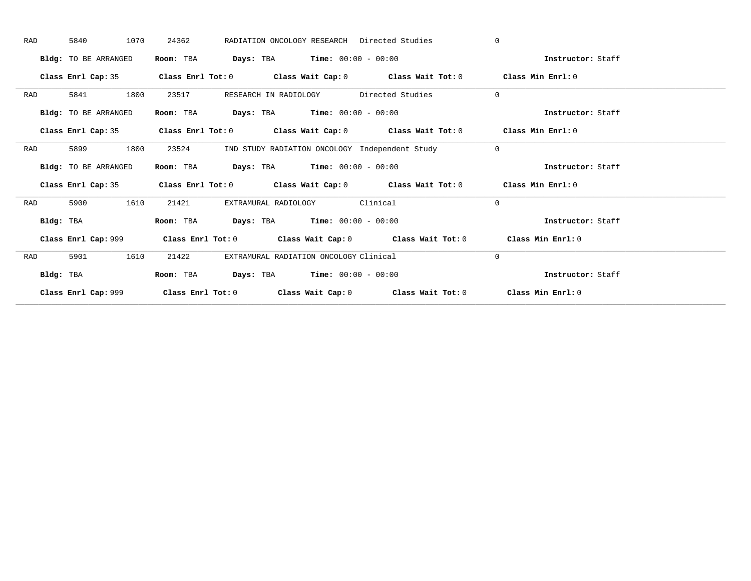|           | 1070<br>5840         | 24362                                                                                              | RADIATION ONCOLOGY RESEARCH Directed Studies                                               | $\mathbf{0}$      |  |
|-----------|----------------------|----------------------------------------------------------------------------------------------------|--------------------------------------------------------------------------------------------|-------------------|--|
|           | Bldg: TO BE ARRANGED | Room: TBA                                                                                          | <b>Days:</b> TBA <b>Time:</b> $00:00 - 00:00$                                              | Instructor: Staff |  |
|           |                      |                                                                                                    | Class Enrl Cap: 35 Class Enrl Tot: 0 Class Wait Cap: 0 Class Wait Tot: 0 Class Min Enrl: 0 |                   |  |
| RAD       | 1800<br>5841         | 23517                                                                                              | RESEARCH IN RADIOLOGY Directed Studies                                                     | $\mathbf{0}$      |  |
|           | Bldg: TO BE ARRANGED | Room: TBA                                                                                          | <b>Days:</b> TBA <b>Time:</b> $00:00 - 00:00$                                              | Instructor: Staff |  |
|           |                      |                                                                                                    | Class Enrl Cap: 35 Class Enrl Tot: 0 Class Wait Cap: 0 Class Wait Tot: 0 Class Min Enrl: 0 |                   |  |
| RAD       | 1800<br>5899         | 23524                                                                                              | IND STUDY RADIATION ONCOLOGY Independent Study                                             | $\mathbf{0}$      |  |
|           | Bldg: TO BE ARRANGED | Room: TBA                                                                                          | <b>Days:</b> TBA <b>Time:</b> $00:00 - 00:00$                                              | Instructor: Staff |  |
|           | Class Enrl Cap: 35   |                                                                                                    |                                                                                            |                   |  |
|           |                      | Class Enrl Tot: 0 $\qquad$ Class Wait Cap: 0 $\qquad$ Class Wait Tot: 0 $\qquad$ Class Min Enrl: 0 |                                                                                            |                   |  |
| RAD       | 1610<br>5900         | 21421<br>EXTRAMURAL RADIOLOGY                                                                      | Clinical                                                                                   | $\mathbf{0}$      |  |
| Bldg: TBA |                      | Room: TBA                                                                                          | <b>Days:</b> TBA <b>Time:</b> $00:00 - 00:00$                                              | Instructor: Staff |  |
|           |                      |                                                                                                    | Class Enrl Cap: 999 Class Enrl Tot: 0 Class Wait Cap: 0 Class Wait Tot: 0                  | Class Min Enrl: 0 |  |
| RAD       | 5901<br>1610         | 21422                                                                                              | EXTRAMURAL RADIATION ONCOLOGY Clinical                                                     | $\mathbf{0}$      |  |
| Bldg: TBA |                      | Room: TBA                                                                                          | <b>Days:</b> TBA <b>Time:</b> $00:00 - 00:00$                                              | Instructor: Staff |  |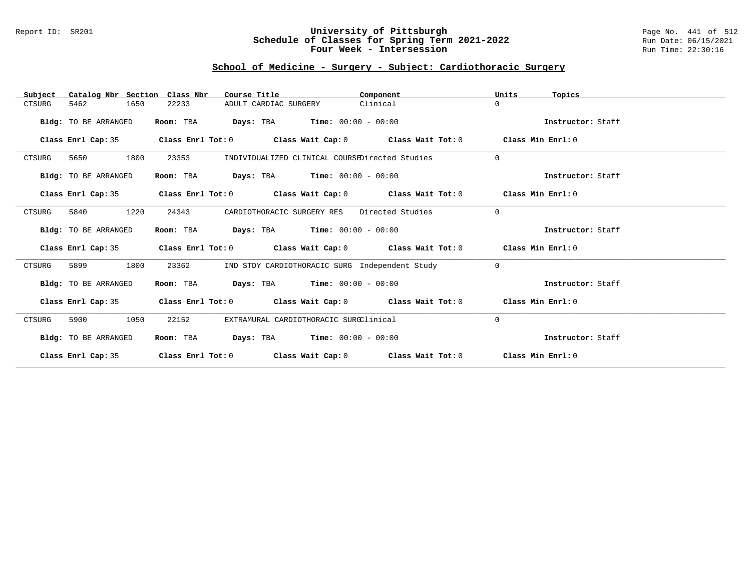### Report ID: SR201 **University of Pittsburgh** Page No. 441 of 512 **Schedule of Classes for Spring Term 2021-2022** Run Date: 06/15/2021 **Four Week - Intersession Run Time: 22:30:16**

## **School of Medicine - Surgery - Subject: Cardiothoracic Surgery**

| Catalog Nbr Section Class Nbr<br>Subject | Course Title                                                                                       | Component        | Units<br>Topics   |
|------------------------------------------|----------------------------------------------------------------------------------------------------|------------------|-------------------|
| 5462<br>1650<br>CTSURG                   | 22233<br>ADULT CARDIAC SURGERY                                                                     | Clinical         | $\Omega$          |
| Bldg: TO BE ARRANGED                     | <b>Days:</b> TBA <b>Time:</b> $00:00 - 00:00$<br>Room: TBA                                         |                  | Instructor: Staff |
| Class Enrl Cap: 35                       | Class Enrl Tot: $0$ Class Wait Cap: $0$ Class Wait Tot: $0$ Class Min Enrl: $0$                    |                  |                   |
| 1800<br>CTSURG<br>5650                   | 23353<br>INDIVIDUALIZED CLINICAL COURSEDirected Studies                                            |                  | $\mathbf 0$       |
| Bldg: TO BE ARRANGED                     | $Days: TBA$ Time: $00:00 - 00:00$<br>Room: TBA                                                     |                  | Instructor: Staff |
| Class Enrl Cap: 35                       | Class Enrl Tot: $0$ Class Wait Cap: $0$ Class Wait Tot: $0$                                        |                  | Class Min Enrl: 0 |
| 1220<br>5840<br>CTSURG                   | 24343<br>CARDIOTHORACIC SURGERY RES                                                                | Directed Studies | $\Omega$          |
| Bldg: TO BE ARRANGED                     | <b>Days:</b> TBA <b>Time:</b> $00:00 - 00:00$<br>Room: TBA                                         |                  | Instructor: Staff |
| Class Enrl Cap: 35                       | Class Enrl Tot: 0 $\qquad$ Class Wait Cap: 0 $\qquad$ Class Wait Tot: 0 $\qquad$ Class Min Enrl: 0 |                  |                   |
| 1800<br>5899<br>CTSURG                   | IND STDY CARDIOTHORACIC SURG Independent Study<br>23362                                            |                  | $\Omega$          |
| Bldg: TO BE ARRANGED                     | $\texttt{Days:}$ TBA Time: $00:00 - 00:00$<br>Room: TBA                                            |                  | Instructor: Staff |
| Class Enrl Cap: 35                       | Class Enrl Tot: $0$ Class Wait Cap: $0$ Class Wait Tot: $0$ Class Min Enrl: $0$                    |                  |                   |
| 1050<br>CTSURG<br>5900                   | EXTRAMURAL CARDIOTHORACIC SURGClinical<br>22152                                                    |                  | 0                 |
| Bldg: TO BE ARRANGED                     | <b>Days:</b> TBA <b>Time:</b> $00:00 - 00:00$<br>Room: TBA                                         |                  | Instructor: Staff |
| Class Enrl Cap: 35                       | Class Enrl Tot: $0$ Class Wait Cap: $0$ Class Wait Tot: $0$                                        |                  | Class Min Enrl: 0 |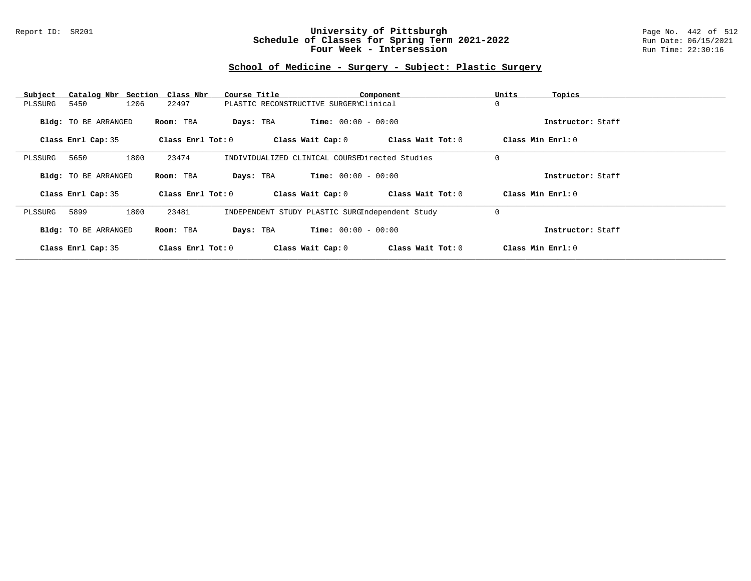### Report ID: SR201 **University of Pittsburgh** Page No. 442 of 512 **Schedule of Classes for Spring Term 2021-2022** Run Date: 06/15/2021 **Four Week - Intersession Run Time: 22:30:16**

# **School of Medicine - Surgery - Subject: Plastic Surgery**

| Subject            | Catalog Nbr Section Class Nbr |                       | Course Title                                    | Component                    |                   | Units               | Topics            |
|--------------------|-------------------------------|-----------------------|-------------------------------------------------|------------------------------|-------------------|---------------------|-------------------|
| 5450<br>PLSSURG    | 1206                          | 22497                 | PLASTIC RECONSTRUCTIVE SURGERYClinical          |                              |                   | 0                   |                   |
|                    | <b>Bldg:</b> TO BE ARRANGED   | Room: TBA             | Days: TBA                                       | $Time: 00:00 - 00:00$        |                   |                     | Instructor: Staff |
| Class Enrl Cap: 35 |                               | Class $Enr1$ Tot: $0$ |                                                 | Class Wait Cap: 0            | Class Wait Tot: 0 | Class Min $Enr1: 0$ |                   |
|                    |                               |                       |                                                 |                              |                   |                     |                   |
| 5650<br>PLSSURG    | 1800                          | 23474                 | INDIVIDUALIZED CLINICAL COURSEDirected Studies  |                              |                   | 0                   |                   |
|                    | <b>Bldg:</b> TO BE ARRANGED   | Room: TBA             | Days: TBA                                       | $Time: 00:00 - 00:00$        |                   |                     | Instructor: Staff |
| Class Enrl Cap: 35 |                               | Class Enrl Tot: $0$   |                                                 | Class Wait Cap: 0            | Class Wait Tot: 0 | Class Min Enrl: 0   |                   |
| 5899<br>PLSSURG    | 1800                          | 23481                 | INDEPENDENT STUDY PLASTIC SURGIndependent Study |                              |                   | 0                   |                   |
|                    | <b>Bldg:</b> TO BE ARRANGED   | Room: TBA             | Days: TBA                                       | <b>Time:</b> $00:00 - 00:00$ |                   |                     | Instructor: Staff |
| Class Enrl Cap: 35 |                               | Class $Enr1$ Tot: $0$ |                                                 | Class Wait Cap: 0            | Class Wait Tot: 0 | Class Min Enrl: 0   |                   |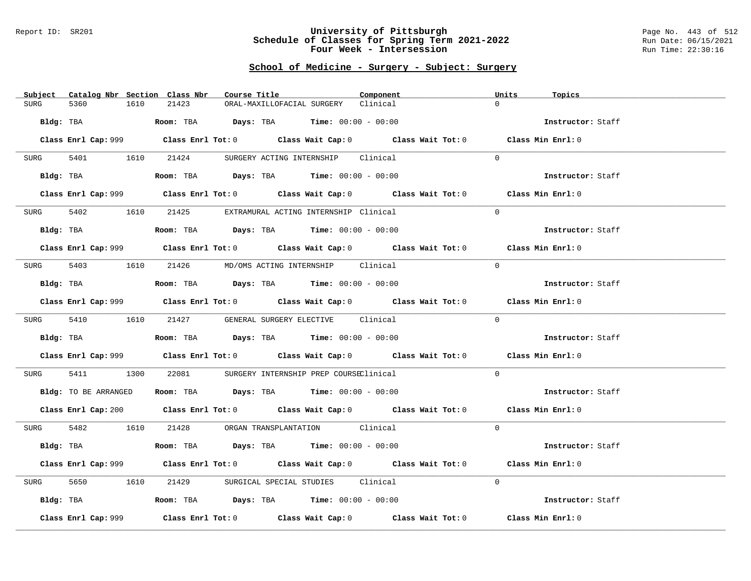#### Report ID: SR201 **University of Pittsburgh** Page No. 443 of 512 **Schedule of Classes for Spring Term 2021-2022** Run Date: 06/15/2021 **Four Week - Intersession Run Time: 22:30:16**

# **School of Medicine - Surgery - Subject: Surgery**

|             | Subject Catalog Nbr Section Class Nbr | Course Title                                                                                | Component | Units<br>Topics   |
|-------------|---------------------------------------|---------------------------------------------------------------------------------------------|-----------|-------------------|
| <b>SURG</b> | 5360<br>1610                          | 21423<br>ORAL-MAXILLOFACIAL SURGERY                                                         | Clinical  | $\Omega$          |
| Bldg: TBA   |                                       | <b>Room:</b> TBA $Days:$ TBA $Time: 00:00 - 00:00$                                          |           | Instructor: Staff |
|             |                                       | Class Enrl Cap: 999 Class Enrl Tot: 0 Class Wait Cap: 0 Class Wait Tot: 0 Class Min Enrl: 0 |           |                   |
|             |                                       | SURG 5401 1610 21424 SURGERY ACTING INTERNSHIP Clinical                                     |           | $\Omega$          |
|             | Bldg: TBA                             | Room: TBA $Days:$ TBA $Time: 00:00 - 00:00$                                                 |           | Instructor: Staff |
|             |                                       | Class Enrl Cap: 999 Class Enrl Tot: 0 Class Wait Cap: 0 Class Wait Tot: 0 Class Min Enrl: 0 |           |                   |
|             |                                       | SURG 5402 1610 21425 EXTRAMURAL ACTING INTERNSHIP Clinical                                  |           | $\Omega$          |
|             |                                       | Bldg: TBA                   Room: TBA         Days: TBA         Time: 00:00 - 00:00         |           | Instructor: Staff |
|             |                                       | Class Enrl Cap: 999 Class Enrl Tot: 0 Class Wait Cap: 0 Class Wait Tot: 0 Class Min Enrl: 0 |           |                   |
|             |                                       | SURG 5403 1610 21426 MD/OMS ACTING INTERNSHIP Clinical                                      |           | $\Omega$          |
|             | Bldg: TBA                             | Room: TBA $Days:$ TBA Time: $00:00 - 00:00$                                                 |           | Instructor: Staff |
|             |                                       | Class Enrl Cap: 999 Class Enrl Tot: 0 Class Wait Cap: 0 Class Wait Tot: 0 Class Min Enrl: 0 |           |                   |
|             |                                       | SURG 5410 1610 21427 GENERAL SURGERY ELECTIVE Clinical                                      |           | $\Omega$          |
|             |                                       |                                                                                             |           | Instructor: Staff |
|             |                                       | Class Enrl Cap: 999 Class Enrl Tot: 0 Class Wait Cap: 0 Class Wait Tot: 0                   |           | Class Min Enrl: 0 |
| SURG        | 5411<br>1300                          | 22081 SURGERY INTERNSHIP PREP COURSEClinical                                                |           | $\Omega$          |
|             |                                       | Bldg: TO BE ARRANGED Room: TBA Days: TBA Time: 00:00 - 00:00                                |           | Instructor: Staff |
|             |                                       | Class Enrl Cap: 200 Class Enrl Tot: 0 Class Wait Cap: 0 Class Wait Tot: 0 Class Min Enrl: 0 |           |                   |
|             |                                       | SURG 5482 1610 21428 ORGAN TRANSPLANTATION Clinical                                         |           | $\Omega$          |
|             |                                       | Bldg: TBA                   Room: TBA         Days: TBA         Time: $00:00 - 00:00$       |           | Instructor: Staff |
|             |                                       | Class Enrl Cap: 999 Class Enrl Tot: 0 Class Wait Cap: 0 Class Wait Tot: 0                   |           | Class Min Enrl: 0 |
| SURG        | 5650<br>1610                          | 21429 SURGICAL SPECIAL STUDIES Clinical                                                     |           | $\Omega$          |
|             |                                       | Bldg: TBA                        Room: TBA           Days: TBA          Time: 00:00 - 00:00 |           | Instructor: Staff |
|             | Class Enrl Cap: 999                   | Class Enrl Tot: $0$ Class Wait Cap: $0$ Class Wait Tot: $0$ Class Min Enrl: $0$             |           |                   |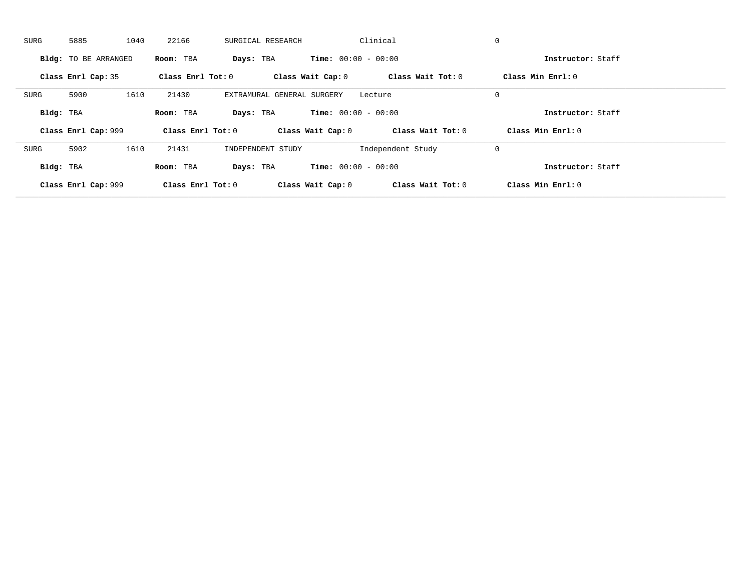| SURG                | 5885                 | 1040 | 22166               | SURGICAL RESEARCH |                            | Clinical                     | $\mathbf 0$       |                   |
|---------------------|----------------------|------|---------------------|-------------------|----------------------------|------------------------------|-------------------|-------------------|
|                     | Bldg: TO BE ARRANGED |      | Room: TBA           | Days: TBA         |                            | <b>Time:</b> $00:00 - 00:00$ |                   | Instructor: Staff |
|                     | Class Enrl Cap: 35   |      | Class Enrl Tot: $0$ |                   | Class Wait Cap: 0          | Class Wait Tot: 0            | Class Min Enrl: 0 |                   |
| SURG                | 5900                 | 1610 | 21430               |                   | EXTRAMURAL GENERAL SURGERY | Lecture                      | $\mathbf 0$       |                   |
| Bldg: TBA           |                      |      | Room: TBA           | Days: TBA         |                            | <b>Time:</b> $00:00 - 00:00$ |                   | Instructor: Staff |
|                     | Class Enrl Cap: 999  |      | Class Enrl Tot: 0   |                   | Class Wait Cap: 0          | Class Wait Tot: 0            | Class Min Enrl: 0 |                   |
| SURG                | 5902                 | 1610 | 21431               | INDEPENDENT STUDY |                            | Independent Study            | 0                 |                   |
| Bldg: TBA           |                      |      | Room: TBA           | Days: TBA         |                            | <b>Time:</b> $00:00 - 00:00$ |                   | Instructor: Staff |
| Class Enrl Cap: 999 |                      |      | Class Enrl Tot: 0   |                   | Class Wait Cap: 0          | Class Wait Tot: 0            | Class Min Enrl: 0 |                   |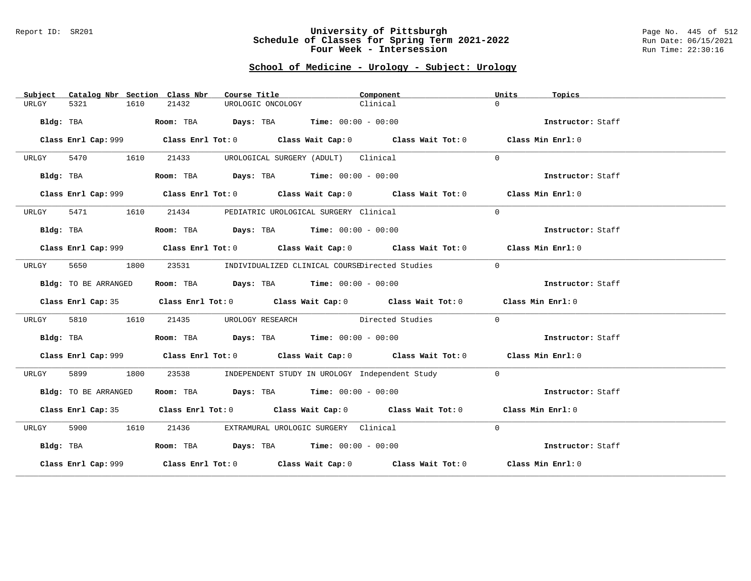#### Report ID: SR201 **University of Pittsburgh** Page No. 445 of 512 **Schedule of Classes for Spring Term 2021-2022** Run Date: 06/15/2021 **Four Week - Intersession Run Time: 22:30:16**

## **School of Medicine - Urology - Subject: Urology**

| Subject   | Catalog Nbr Section Class Nbr | Course Title                                                                        | Component                                                                                   | Units<br>Topics   |
|-----------|-------------------------------|-------------------------------------------------------------------------------------|---------------------------------------------------------------------------------------------|-------------------|
| URLGY     | 5321<br>1610                  | 21432<br>UROLOGIC ONCOLOGY                                                          | Clinical                                                                                    | $\Omega$          |
|           | Bldg: TBA                     | Room: TBA $Days:$ TBA $Time: 00:00 - 00:00$                                         |                                                                                             | Instructor: Staff |
|           |                               |                                                                                     | Class Enrl Cap: 999 Class Enrl Tot: 0 Class Wait Cap: 0 Class Wait Tot: 0 Class Min Enrl: 0 |                   |
| URLGY     | 5470 1610                     | 21433                                                                               | UROLOGICAL SURGERY (ADULT) Clinical                                                         | $\Omega$          |
|           | Bldg: TBA                     | Room: TBA $Days:$ TBA $Time: 00:00 - 00:00$                                         |                                                                                             | Instructor: Staff |
|           |                               |                                                                                     | Class Enrl Cap: 999 Class Enrl Tot: 0 Class Wait Cap: 0 Class Wait Tot: 0 Class Min Enrl: 0 |                   |
| URLGY     | 5471 1610                     | 21434 PEDIATRIC UROLOGICAL SURGERY Clinical                                         |                                                                                             | $\Omega$          |
|           | Bldg: TBA                     | Room: TBA $Days:$ TBA $Time: 00:00 - 00:00$                                         |                                                                                             | Instructor: Staff |
|           |                               |                                                                                     | Class Enrl Cap: 999 Class Enrl Tot: 0 Class Wait Cap: 0 Class Wait Tot: 0 Class Min Enrl: 0 |                   |
| URLGY     | 5650<br>1800                  |                                                                                     | 23531 INDIVIDUALIZED CLINICAL COURSEDirected Studies                                        | $\Omega$          |
|           | Bldg: TO BE ARRANGED          | Room: TBA $Days:$ TBA $Time: 00:00 - 00:00$                                         |                                                                                             | Instructor: Staff |
|           |                               |                                                                                     | Class Enrl Cap: 35 Class Enrl Tot: 0 Class Wait Cap: 0 Class Wait Tot: 0 Class Min Enrl: 0  |                   |
| URLGY     | 5810<br>1610                  |                                                                                     | 21435 UROLOGY RESEARCH Directed Studies                                                     | $\Omega$          |
|           | Bldg: TBA                     | <b>Room:</b> TBA $\rule{1em}{0.15mm}$ <b>Days:</b> TBA <b>Time:</b> $00:00 - 00:00$ |                                                                                             | Instructor: Staff |
|           |                               |                                                                                     | Class Enrl Cap: 999 Class Enrl Tot: 0 Class Wait Cap: 0 Class Wait Tot: 0 Class Min Enrl: 0 |                   |
| URLGY     | 5899<br>1800                  | 23538                                                                               | INDEPENDENT STUDY IN UROLOGY Independent Study                                              | $\Omega$          |
|           | Bldg: TO BE ARRANGED          | Room: TBA $\rule{1em}{0.15mm}$ Days: TBA Time: $00:00 - 00:00$                      |                                                                                             | Instructor: Staff |
|           |                               |                                                                                     | Class Enrl Cap: 35 Class Enrl Tot: 0 Class Wait Cap: 0 Class Wait Tot: 0 Class Min Enrl: 0  |                   |
| URLGY     | 5900 1610                     | 21436 EXTRAMURAL UROLOGIC SURGERY Clinical                                          |                                                                                             | $\Omega$          |
| Bldg: TBA |                               | Room: TBA $Days:$ TBA $Time: 00:00 - 00:00$                                         |                                                                                             | Instructor: Staff |
|           |                               |                                                                                     | Class Enrl Cap: 999 Class Enrl Tot: 0 Class Wait Cap: 0 Class Wait Tot: 0 Class Min Enrl: 0 |                   |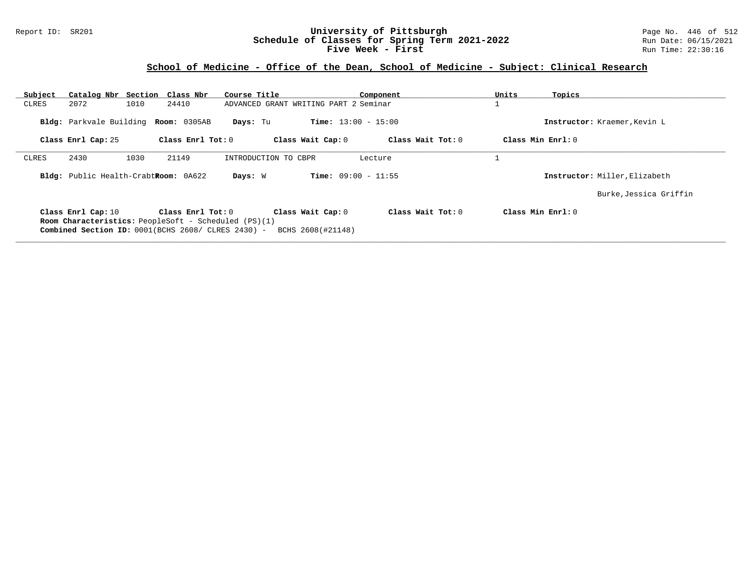### Report ID: SR201 **University of Pittsburgh** Page No. 446 of 512 **Schedule of Classes for Spring Term 2021-2022** Run Date: 06/15/2021 **Five Week - First** Run Time: 22:30:16

# **School of Medicine - Office of the Dean, School of Medicine - Subject: Clinical Research**

| Subject                                                                                                                                                                                                                                                  | Catalog Nbr Section Class Nbr        |                     | Course Title                          |                              | Component         | Units | Topics                        |  |  |
|----------------------------------------------------------------------------------------------------------------------------------------------------------------------------------------------------------------------------------------------------------|--------------------------------------|---------------------|---------------------------------------|------------------------------|-------------------|-------|-------------------------------|--|--|
| CLRES                                                                                                                                                                                                                                                    | 2072<br>1010                         | 24410               | ADVANCED GRANT WRITING PART 2 Seminar |                              |                   |       |                               |  |  |
|                                                                                                                                                                                                                                                          | Bldg: Parkvale Building Room: 0305AB |                     | Days: Tu                              | <b>Time:</b> $13:00 - 15:00$ |                   |       | Instructor: Kraemer, Kevin L  |  |  |
|                                                                                                                                                                                                                                                          | Class Enrl Cap: 25                   | Class Enrl Tot: $0$ |                                       | Class Wait Cap: 0            | Class Wait Tot: 0 |       | Class Min Enrl: 0             |  |  |
| CLRES                                                                                                                                                                                                                                                    | 2430<br>1030                         | 21149               | INTRODUCTION TO CBPR                  |                              | Lecture           |       |                               |  |  |
|                                                                                                                                                                                                                                                          | Bldg: Public Health-CrabtRoom: 0A622 |                     | Days: W                               | <b>Time:</b> $09:00 - 11:55$ |                   |       | Instructor: Miller, Elizabeth |  |  |
|                                                                                                                                                                                                                                                          |                                      |                     |                                       |                              |                   |       | Burke, Jessica Griffin        |  |  |
| Class Wait $Tot: 0$<br>Class Min $Enr1: 0$<br>Class Enrl Cap: 10<br>Class $Enr1$ Tot: $0$<br>Class Wait Cap: 0<br><b>Room Characteristics:</b> PeopleSoft - Scheduled (PS)(1)<br>Combined Section ID: 0001(BCHS 2608/ CLRES 2430) -<br>BCHS 2608(#21148) |                                      |                     |                                       |                              |                   |       |                               |  |  |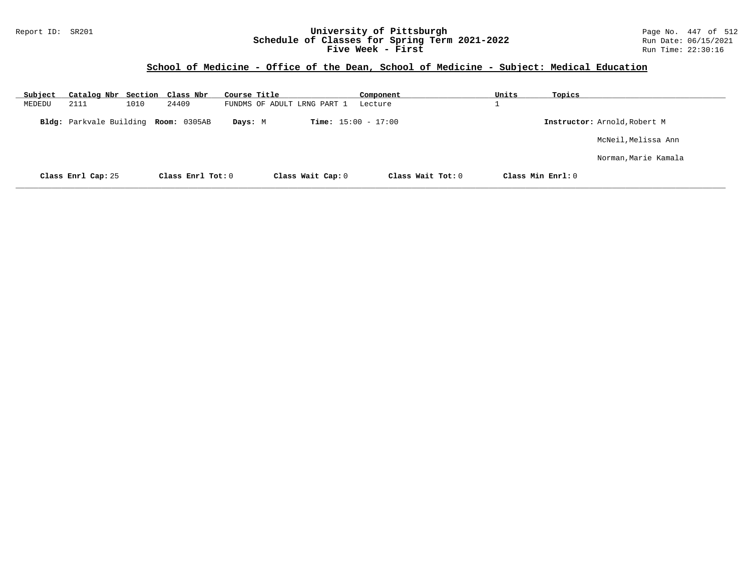### Report ID: SR201 **University of Pittsburgh** Page No. 447 of 512 **Schedule of Classes for Spring Term 2021-2022** Run Date: 06/15/2021 **Five Week - First** Run Time: 22:30:16

## **School of Medicine - Office of the Dean, School of Medicine - Subject: Medical Education**

| Subject | Catalog Nbr Section Class Nbr  |      |                     | Course Title |                             |                              | Component         | Units             | Topics |                              |
|---------|--------------------------------|------|---------------------|--------------|-----------------------------|------------------------------|-------------------|-------------------|--------|------------------------------|
| MEDEDU  | 2111                           | 1010 | 24409               |              | FUNDMS OF ADULT LRNG PART 1 |                              | Lecture           | ᅩ                 |        |                              |
|         | <b>Bldg:</b> Parkvale Building |      | <b>Room:</b> 0305AB | Days: M      |                             | <b>Time:</b> $15:00 - 17:00$ |                   |                   |        | Instructor: Arnold, Robert M |
|         |                                |      |                     |              |                             |                              |                   |                   |        | McNeil,Melissa Ann           |
|         |                                |      |                     |              |                             |                              |                   |                   |        | Norman,Marie Kamala          |
|         | Class Enrl Cap: 25             |      | Class Enrl Tot: 0   |              | Class Wait Cap: 0           |                              | Class Wait Tot: 0 | Class Min Enrl: 0 |        |                              |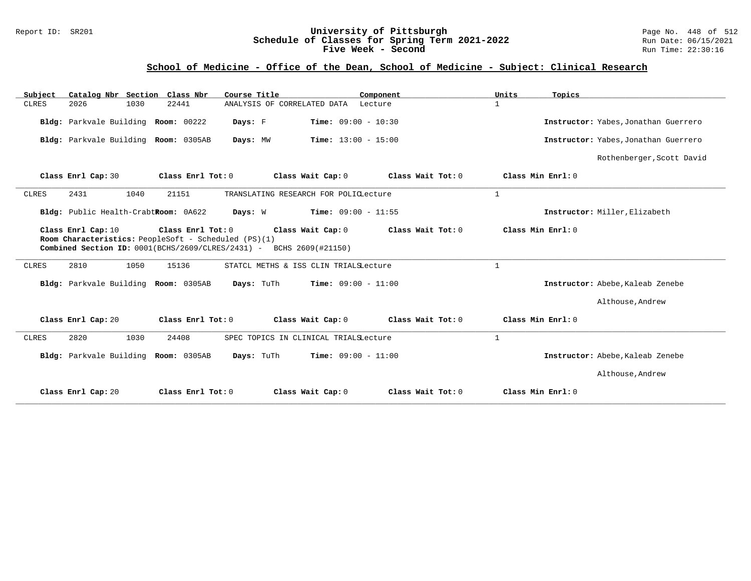### Report ID: SR201 **University of Pittsburgh** Page No. 448 of 512 **Schedule of Classes for Spring Term 2021-2022** Run Date: 06/15/2021 **Five Week - Second Run Time: 22:30:16**

## **School of Medicine - Office of the Dean, School of Medicine - Subject: Clinical Research**

| Catalog Nbr Section Class Nbr<br>Subject                                                                                                          |                   | Course Title                               | Component         | Units<br>Topics   |                                      |
|---------------------------------------------------------------------------------------------------------------------------------------------------|-------------------|--------------------------------------------|-------------------|-------------------|--------------------------------------|
| 1030<br><b>CLRES</b><br>2026                                                                                                                      | 22441             | ANALYSIS OF CORRELATED DATA                | Lecture           | $\mathbf{1}$      |                                      |
| Bldg: Parkvale Building Room: 00222                                                                                                               | Days: F           | <b>Time:</b> $09:00 - 10:30$               |                   |                   | Instructor: Yabes, Jonathan Guerrero |
| Bldg: Parkvale Building Room: 0305AB                                                                                                              |                   | Time: $13:00 - 15:00$<br>Days: MW          |                   |                   | Instructor: Yabes, Jonathan Guerrero |
|                                                                                                                                                   |                   |                                            |                   |                   | Rothenberger, Scott David            |
| Class Enrl Cap: 30                                                                                                                                | Class Enrl Tot: 0 | Class Wait Cap: 0                          | Class Wait Tot: 0 | Class Min Enrl: 0 |                                      |
| 2431<br>1040<br><b>CLRES</b>                                                                                                                      | 21151             | TRANSLATING RESEARCH FOR POLICLecture      |                   | $\mathbf{1}$      |                                      |
| Bldg: Public Health-CrabtRoom: 0A622                                                                                                              | Days: W           | <b>Time:</b> $09:00 - 11:55$               |                   |                   | Instructor: Miller, Elizabeth        |
| Class Enrl Cap: 10<br>Room Characteristics: PeopleSoft - Scheduled (PS)(1)<br>Combined Section ID: 0001(BCHS/2609/CLRES/2431) - BCHS 2609(#21150) | Class Enrl Tot: 0 | Class Wait Cap: 0                          | Class Wait Tot: 0 | Class Min Enrl: 0 |                                      |
|                                                                                                                                                   |                   |                                            |                   |                   |                                      |
| 2810<br>1050<br>CLRES                                                                                                                             | 15136             | STATCL METHS & ISS CLIN TRIALSLecture      |                   | $\mathbf{1}$      |                                      |
| Bldg: Parkvale Building Room: 0305AB                                                                                                              |                   | Time: $09:00 - 11:00$<br>Days: TuTh        |                   |                   | Instructor: Abebe, Kaleab Zenebe     |
|                                                                                                                                                   |                   |                                            |                   |                   | Althouse, Andrew                     |
| Class Enrl Cap: 20                                                                                                                                | Class Enrl Tot: 0 | Class Wait Cap: 0                          | Class Wait Tot: 0 | Class Min Enrl: 0 |                                      |
| 2820<br>1030<br><b>CLRES</b>                                                                                                                      | 24408             | SPEC TOPICS IN CLINICAL TRIALSLecture      |                   | $\mathbf{1}$      |                                      |
| Bldg: Parkvale Building Room: 0305AB                                                                                                              |                   | <b>Time:</b> $09:00 - 11:00$<br>Days: TuTh |                   |                   | Instructor: Abebe, Kaleab Zenebe     |
|                                                                                                                                                   |                   |                                            |                   |                   | Althouse, Andrew                     |
| Class Enrl Cap: 20                                                                                                                                | Class Enrl Tot: 0 | Class Wait Cap: 0                          | Class Wait Tot: 0 | Class Min Enrl: 0 |                                      |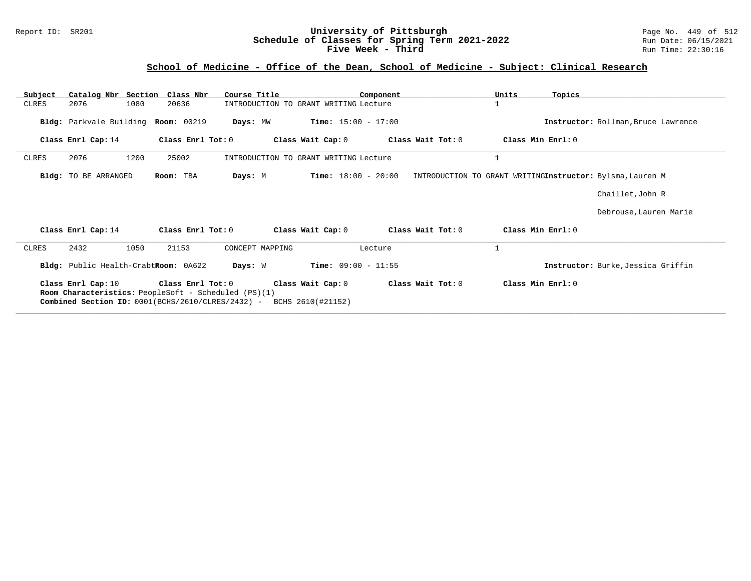### Report ID: SR201 **University of Pittsburgh** Page No. 449 of 512 **Schedule of Classes for Spring Term 2021-2022** Run Date: 06/15/2021 **Five Week - Third Run Time: 22:30:16**

# **School of Medicine - Office of the Dean, School of Medicine - Subject: Clinical Research**

| Subject      |                                                                         |      | Catalog Nbr Section Class Nbr | Course Title                                         |                                        | Component         | Units             | Topics                                                    |
|--------------|-------------------------------------------------------------------------|------|-------------------------------|------------------------------------------------------|----------------------------------------|-------------------|-------------------|-----------------------------------------------------------|
| CLRES        | 2076                                                                    | 1080 | 20636                         |                                                      | INTRODUCTION TO GRANT WRITING Lecture  |                   | $\mathbf 1$       |                                                           |
|              | Bldg: Parkvale Building                                                 |      | <b>Room: 00219</b>            | Days: MW                                             | <b>Time:</b> $15:00 - 17:00$           |                   |                   | Instructor: Rollman, Bruce Lawrence                       |
|              | Class Enrl Cap: 14                                                      |      | Class Enrl Tot: 0             |                                                      | Class Wait Cap: 0                      | Class Wait Tot: 0 | Class Min Enrl: 0 |                                                           |
| CLRES        | 2076                                                                    | 1200 | 25002                         |                                                      | INTRODUCTION TO GRANT WRITING Lecture  |                   | $\mathbf{1}$      |                                                           |
|              | Bldg: TO BE ARRANGED                                                    |      | Room: TBA                     | Days: M                                              | <b>Time:</b> $18:00 - 20:00$           |                   |                   | INTRODUCTION TO GRANT WRITINGInstructor: Bylsma, Lauren M |
|              |                                                                         |      |                               |                                                      |                                        |                   |                   | Chaillet, John R                                          |
|              |                                                                         |      |                               |                                                      |                                        |                   |                   | Debrouse, Lauren Marie                                    |
|              | Class Enrl Cap: 14                                                      |      | Class $Enrl$ Tot: $0$         |                                                      | Class Wait Cap: 0                      | Class Wait Tot: 0 | Class Min Enrl: 0 |                                                           |
| <b>CLRES</b> | 2432                                                                    | 1050 | 21153                         | CONCEPT MAPPING                                      |                                        | Lecture           | $\mathbf{1}$      |                                                           |
|              | Bldg: Public Health-CrabtRoom: 0A622                                    |      |                               | Days: W                                              | <b>Time:</b> $09:00 - 11:55$           |                   |                   | Instructor: Burke, Jessica Griffin                        |
|              | Class Enrl Cap: 10<br>Combined Section ID: 0001(BCHS/2610/CLRES/2432) - |      | Class Enrl Tot: 0             | Room Characteristics: PeopleSoft - Scheduled (PS)(1) | Class Wait Cap: 0<br>BCHS 2610(#21152) | Class Wait Tot: 0 | Class Min Enrl: 0 |                                                           |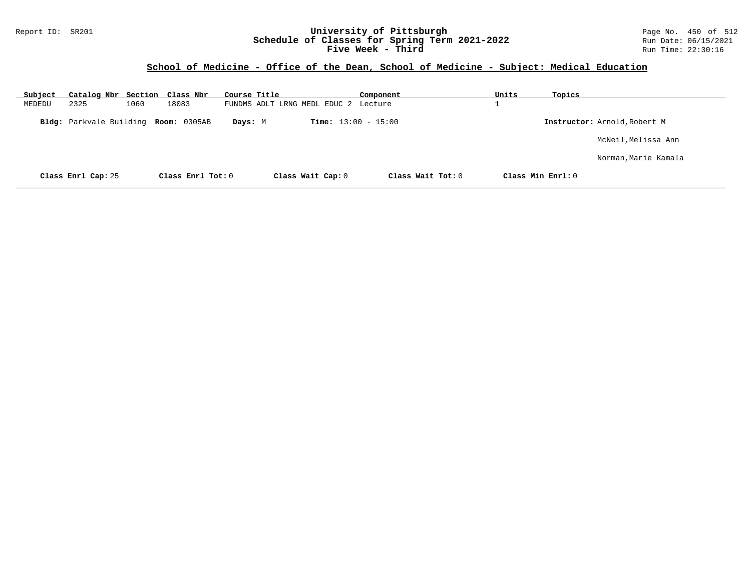### Report ID: SR201 **University of Pittsburgh** Page No. 450 of 512 **Schedule of Classes for Spring Term 2021-2022** Run Date: 06/15/2021 **Five Week - Third Run Time: 22:30:16**

# **School of Medicine - Office of the Dean, School of Medicine - Subject: Medical Education**

| Subject | Catalog Nbr Section Class Nbr |      |                     | Course Title |                                      | Component           | Units |                     | Topics                       |
|---------|-------------------------------|------|---------------------|--------------|--------------------------------------|---------------------|-------|---------------------|------------------------------|
| MEDEDU  | 2325                          | 1060 | 18083               |              | FUNDMS ADLT LRNG MEDL EDUC 2 Lecture |                     |       |                     |                              |
|         | Bldg: Parkvale Building       |      | <b>Room:</b> 0305AB | Days: M      | <b>Time:</b> $13:00 - 15:00$         |                     |       |                     | Instructor: Arnold, Robert M |
|         |                               |      |                     |              |                                      |                     |       |                     | McNeil, Melissa Ann          |
|         |                               |      |                     |              |                                      |                     |       |                     | Norman, Marie Kamala         |
|         | Class Enrl Cap: 25            |      | Class Enrl Tot: 0   |              | Class Wait Cap: 0                    | Class Wait $Tot: 0$ |       | Class Min $Enrl: 0$ |                              |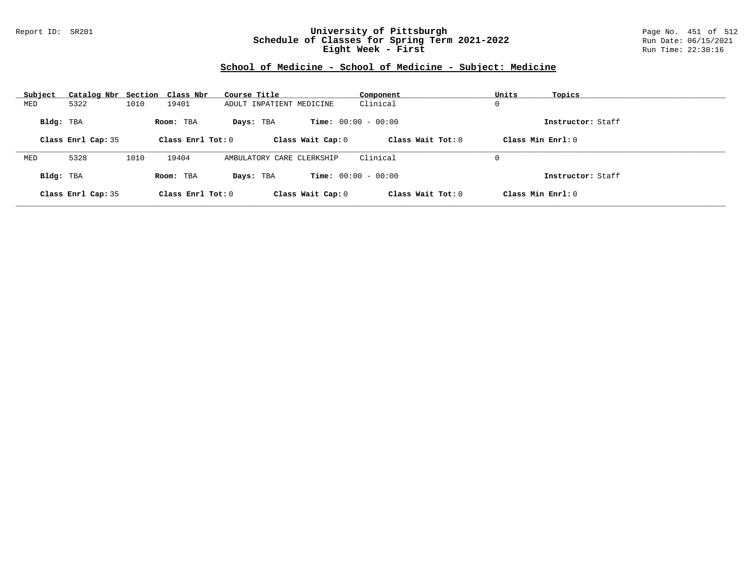### Report ID: SR201 **University of Pittsburgh** Page No. 451 of 512 **Schedule of Classes for Spring Term 2021-2022** Run Date: 06/15/2021 **Eight Week - First** Run Time: 22:30:16

# **School of Medicine - School of Medicine - Subject: Medicine**

| Subject   | Catalog Nbr Section Class Nbr |      |                     | Course Title              | Component                    | Units             | Topics            |
|-----------|-------------------------------|------|---------------------|---------------------------|------------------------------|-------------------|-------------------|
| MED       | 5322                          | 1010 | 19401               | ADULT INPATIENT MEDICINE  | Clinical                     | 0                 |                   |
| Bldg: TBA |                               |      | Room: TBA           | Days: TBA                 | <b>Time:</b> $00:00 - 00:00$ |                   | Instructor: Staff |
|           | Class Enrl Cap: 35            |      | Class Enrl Tot: $0$ | Class Wait Cap: 0         | Class Wait $Tot: 0$          | Class Min Enrl: 0 |                   |
|           |                               |      |                     |                           |                              |                   |                   |
| MED       | 5328                          | 1010 | 19404               | AMBULATORY CARE CLERKSHIP | Clinical                     | 0                 |                   |
| Bldg: TBA |                               |      | Room: TBA           | Days: TBA                 | <b>Time:</b> $00:00 - 00:00$ |                   | Instructor: Staff |
|           | Class Enrl Cap: 35            |      | Class Enrl Tot: $0$ | Class Wait Cap: 0         | Class Wait Tot: 0            | Class Min Enrl: 0 |                   |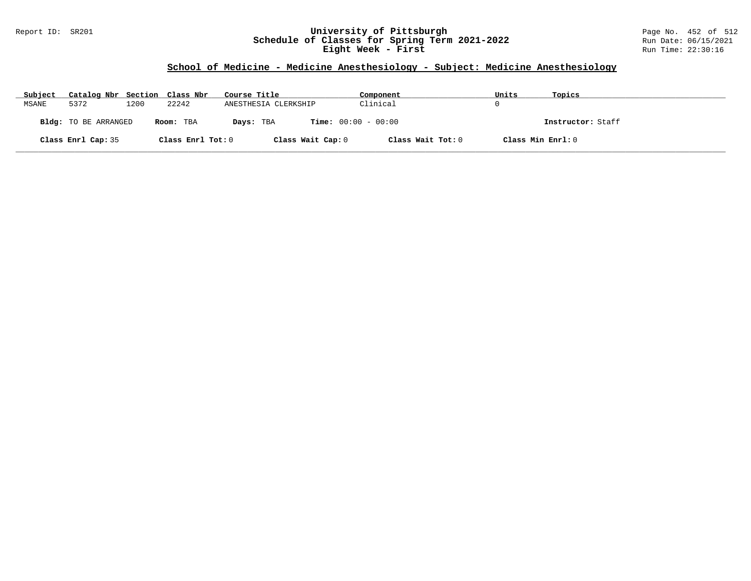### Report ID: SR201 **University of Pittsburgh** Page No. 452 of 512 **Schedule of Classes for Spring Term 2021-2022** Run Date: 06/15/2021 **Eight Week - First** Run Time: 22:30:16

# **School of Medicine - Medicine Anesthesiology - Subject: Medicine Anesthesiology**

| Subject | Catalog Nbr Section Class Nbr |      |                   | Course Title                              | Component         | Units             | Topics            |
|---------|-------------------------------|------|-------------------|-------------------------------------------|-------------------|-------------------|-------------------|
| MSANE   | 5372                          | 1200 | 22242             | ANESTHESIA CLERKSHIP                      | Clinical          |                   |                   |
|         | Bldg: TO BE ARRANGED          |      | Room: TBA         | <b>Time:</b> $00:00 - 00:00$<br>Days: TBA |                   |                   | Instructor: Staff |
|         | Class Enrl Cap: 35            |      | Class Enrl Tot: 0 | Class Wait Cap: 0                         | Class Wait Tot: 0 | Class Min Enrl: 0 |                   |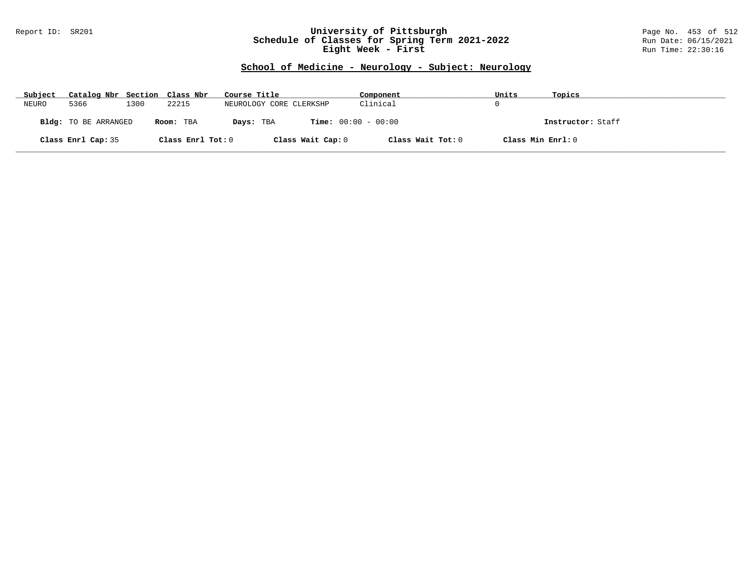### Report ID: SR201 **University of Pittsburgh** Page No. 453 of 512 **Schedule of Classes for Spring Term 2021-2022** Run Date: 06/15/2021 **Eight Week - First** Run Time: 22:30:16

## **School of Medicine - Neurology - Subject: Neurology**

| Subject | Catalog Nbr Section Class Nbr |      |                   | Course Title                              | Component         | Units             | Topics            |
|---------|-------------------------------|------|-------------------|-------------------------------------------|-------------------|-------------------|-------------------|
| NEURO   | 5366                          | 1300 | 22215             | NEUROLOGY CORE CLERKSHP                   | Clinical          |                   |                   |
|         | Bldg: TO BE ARRANGED          |      | Room: TBA         | <b>Time:</b> $00:00 - 00:00$<br>Days: TBA |                   |                   | Instructor: Staff |
|         | Class Enrl Cap: 35            |      | Class Enrl Tot: 0 | Class Wait Cap: 0                         | Class Wait Tot: 0 | Class Min Enrl: 0 |                   |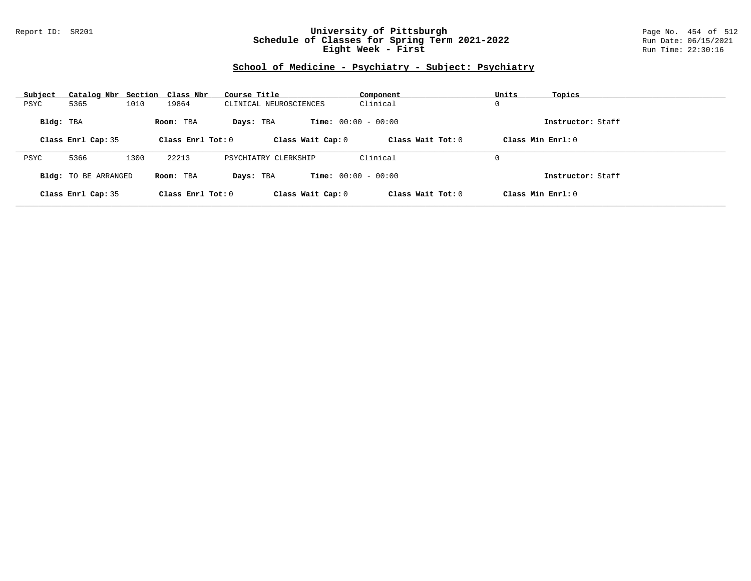### Report ID: SR201 **University of Pittsburgh** Page No. 454 of 512 **Schedule of Classes for Spring Term 2021-2022** Run Date: 06/15/2021 **Eight Week - First** Run Time: 22:30:16

# **School of Medicine - Psychiatry - Subject: Psychiatry**

| Subject   | Catalog Nbr Section Class Nbr |      |                     | Course Title           | Component                    | Units<br>Topics     |  |
|-----------|-------------------------------|------|---------------------|------------------------|------------------------------|---------------------|--|
| PSYC      | 5365                          | 1010 | 19864               | CLINICAL NEUROSCIENCES | Clinical                     | 0                   |  |
| Bldg: TBA |                               |      | Room: TBA           | Days: TBA              | <b>Time:</b> $00:00 - 00:00$ | Instructor: Staff   |  |
|           | Class Enrl Cap: 35            |      | Class Enrl Tot: $0$ | Class Wait Cap: 0      | Class Wait $Tot: 0$          | Class Min $Enrl: 0$ |  |
|           |                               |      |                     |                        |                              |                     |  |
| PSYC      | 5366                          | 1300 | 22213               | PSYCHIATRY CLERKSHIP   | Clinical                     | 0                   |  |
|           | <b>Bldg:</b> TO BE ARRANGED   |      | Room: TBA           | Days: TBA              | <b>Time:</b> $00:00 - 00:00$ | Instructor: Staff   |  |
|           | Class Enrl Cap: 35            |      | Class Enrl Tot: $0$ | Class Wait Cap: 0      | Class Wait Tot: 0            | Class Min Enrl: 0   |  |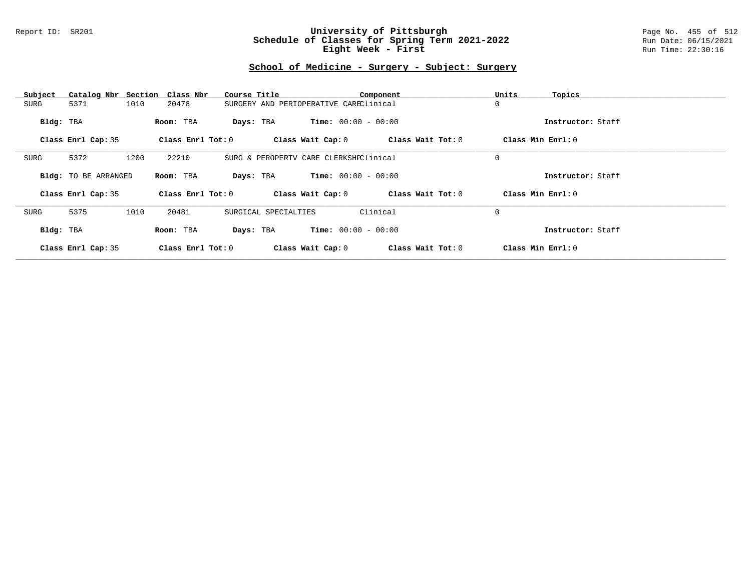#### Report ID: SR201 **University of Pittsburgh** Page No. 455 of 512 **Schedule of Classes for Spring Term 2021-2022** Run Date: 06/15/2021 **Eight Week - First** Run Time: 22:30:16

## **School of Medicine - Surgery - Subject: Surgery**

| Subject   | Catalog Nbr Section Class Nbr |      |                         | Course Title |                                        |                       |                              | Component |                     | Units             | Topics            |
|-----------|-------------------------------|------|-------------------------|--------------|----------------------------------------|-----------------------|------------------------------|-----------|---------------------|-------------------|-------------------|
| SURG      | 5371                          | 1010 | 20478                   |              | SURGERY AND PERIOPERATIVE CAREClinical |                       |                              |           |                     | 0                 |                   |
| Bldg: TBA |                               |      | Room: TBA               | Days: TBA    |                                        |                       | <b>Time:</b> $00:00 - 00:00$ |           |                     |                   | Instructor: Staff |
|           | Class Enrl Cap: 35            |      | Class Enrl Tot: 0       |              |                                        | Class Wait Cap: 0     |                              |           | Class Wait Tot: $0$ | Class Min Enrl: 0 |                   |
| SURG      | 5372                          | 1200 | 22210                   |              | SURG & PEROPERTV CARE CLERKSHPClinical |                       |                              |           |                     | 0                 |                   |
|           | <b>Bldg:</b> TO BE ARRANGED   |      | Room: TBA               | Days: TBA    |                                        | $Time: 00:00 - 00:00$ |                              |           |                     |                   | Instructor: Staff |
|           | Class Enrl Cap: 35            |      | Class $Enr1$ Tot: $0$   |              |                                        | Class Wait Cap: 0     |                              |           | Class Wait Tot: 0   | Class Min Enrl: 0 |                   |
| SURG      | 5375                          | 1010 | 20481                   |              | SURGICAL SPECIALTIES                   |                       |                              | Clinical  |                     | 0                 |                   |
| Bldg: TBA |                               |      | Room: TBA               | Days: TBA    |                                        |                       | <b>Time:</b> $00:00 - 00:00$ |           |                     |                   | Instructor: Staff |
|           | Class Enrl Cap: 35            |      | $Class$ $Enr1$ $Tot: 0$ |              |                                        | Class Wait Cap: 0     |                              |           | Class Wait Tot: 0   | Class Min Enrl: 0 |                   |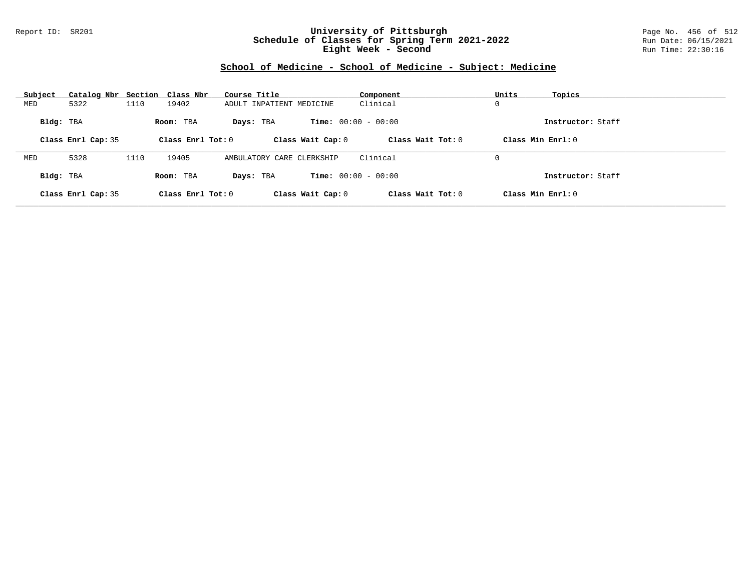### Report ID: SR201 **University of Pittsburgh** Page No. 456 of 512 **Schedule of Classes for Spring Term 2021-2022** Run Date: 06/15/2021 **Eight Week - Second** Run Time: 22:30:16

# **School of Medicine - School of Medicine - Subject: Medicine**

| Subject   | Catalog Nbr Section Class Nbr |      |                     | Course Title              |                              | Component           | Units             | Topics            |
|-----------|-------------------------------|------|---------------------|---------------------------|------------------------------|---------------------|-------------------|-------------------|
| MED       | 5322                          | 1110 | 19402               | ADULT INPATIENT MEDICINE  |                              | Clinical            | 0                 |                   |
| Bldg: TBA |                               |      | Room: TBA           | Days: TBA                 | <b>Time:</b> $00:00 - 00:00$ |                     |                   | Instructor: Staff |
|           | Class Enrl Cap: 35            |      | Class Enrl Tot: 0   | Class Wait Cap: 0         |                              | Class Wait $Tot: 0$ | Class Min Enrl: 0 |                   |
| MED       | 5328                          | 1110 | 19405               | AMBULATORY CARE CLERKSHIP |                              | Clinical            | 0                 |                   |
|           |                               |      |                     |                           |                              |                     |                   |                   |
| Bldg: TBA |                               |      | Room: TBA           | Days: TBA                 | <b>Time:</b> $00:00 - 00:00$ |                     |                   | Instructor: Staff |
|           | Class Enrl Cap: 35            |      | Class Enrl Tot: $0$ | Class Wait Cap: 0         |                              | Class Wait $Tot: 0$ | Class Min Enrl: 0 |                   |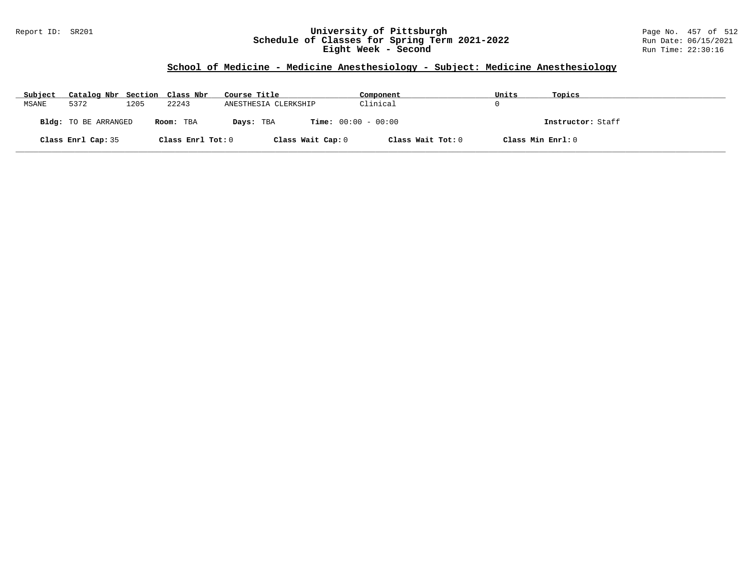### Report ID: SR201 **University of Pittsburgh** Page No. 457 of 512 **Schedule of Classes for Spring Term 2021-2022** Run Date: 06/15/2021 **Eight Week - Second** Run Time: 22:30:16

# **School of Medicine - Medicine Anesthesiology - Subject: Medicine Anesthesiology**

| Subject | Catalog Nbr Section Class Nbr |      |                   | Course Title                              | Component         | Units | Topics            |
|---------|-------------------------------|------|-------------------|-------------------------------------------|-------------------|-------|-------------------|
| MSANE   | 5372                          | 1205 | 22243             | ANESTHESIA CLERKSHIP                      | Clinical          |       |                   |
|         | Bldg: TO BE ARRANGED          |      | Room: TBA         | <b>Time:</b> $00:00 - 00:00$<br>Days: TBA |                   |       | Instructor: Staff |
|         | Class Enrl Cap: 35            |      | Class Enrl Tot: 0 | Class Wait Cap: 0                         | Class Wait Tot: 0 |       | Class Min Enrl: 0 |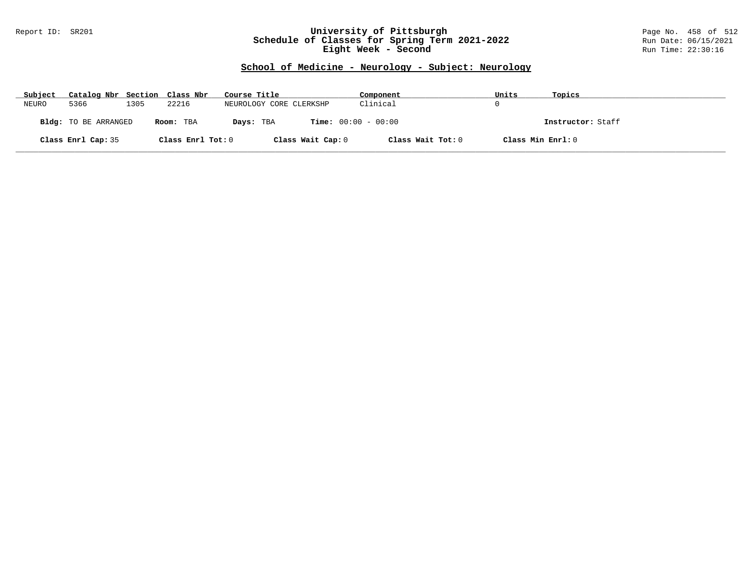### Report ID: SR201 **University of Pittsburgh** Page No. 458 of 512 **Schedule of Classes for Spring Term 2021-2022** Run Date: 06/15/2021 **Eight Week - Second** Run Time: 22:30:16

# **School of Medicine - Neurology - Subject: Neurology**

| Subject | Catalog Nbr Section Class Nbr |      |                   | Course Title            | Component                    | Units             | Topics            |
|---------|-------------------------------|------|-------------------|-------------------------|------------------------------|-------------------|-------------------|
| NEURO   | 5366                          | 1305 | 22216             | NEUROLOGY CORE CLERKSHP | Clinical                     |                   |                   |
|         | <b>Bldg:</b> TO BE ARRANGED   |      | Room: TBA         | Days: TBA               | <b>Time:</b> $00:00 - 00:00$ |                   | Instructor: Staff |
|         | Class Enrl Cap: 35            |      | Class Enrl Tot: 0 | Class Wait Cap: 0       | Class Wait Tot: 0            | Class Min Enrl: 0 |                   |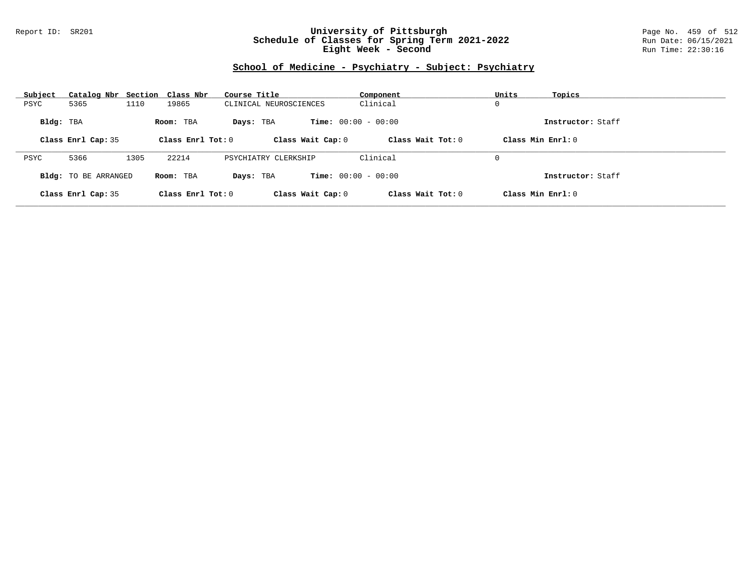### Report ID: SR201 **University of Pittsburgh** Page No. 459 of 512 **Schedule of Classes for Spring Term 2021-2022** Run Date: 06/15/2021 **Eight Week - Second** Run Time: 22:30:16

# **School of Medicine - Psychiatry - Subject: Psychiatry**

| Subject   | Catalog Nbr Section Class Nbr |      |                     | Course Title           | Component                    | Units<br>Topics     |  |
|-----------|-------------------------------|------|---------------------|------------------------|------------------------------|---------------------|--|
| PSYC      | 5365                          | 1110 | 19865               | CLINICAL NEUROSCIENCES | Clinical                     | 0                   |  |
| Bldg: TBA |                               |      | Room: TBA           | Days: TBA              | <b>Time:</b> $00:00 - 00:00$ | Instructor: Staff   |  |
|           | Class Enrl Cap: 35            |      | Class Enrl Tot: $0$ | Class Wait Cap: 0      | Class Wait $Tot: 0$          | Class Min $Enrl: 0$ |  |
|           |                               |      |                     |                        |                              |                     |  |
| PSYC      | 5366                          | 1305 | 22214               | PSYCHIATRY CLERKSHIP   | Clinical                     | 0                   |  |
|           | <b>Bldg:</b> TO BE ARRANGED   |      | Room: TBA           | Days: TBA              | <b>Time:</b> $00:00 - 00:00$ | Instructor: Staff   |  |
|           | Class Enrl Cap: 35            |      | Class Enrl Tot: $0$ | Class Wait Cap: 0      | Class Wait Tot: 0            | Class Min Enrl: 0   |  |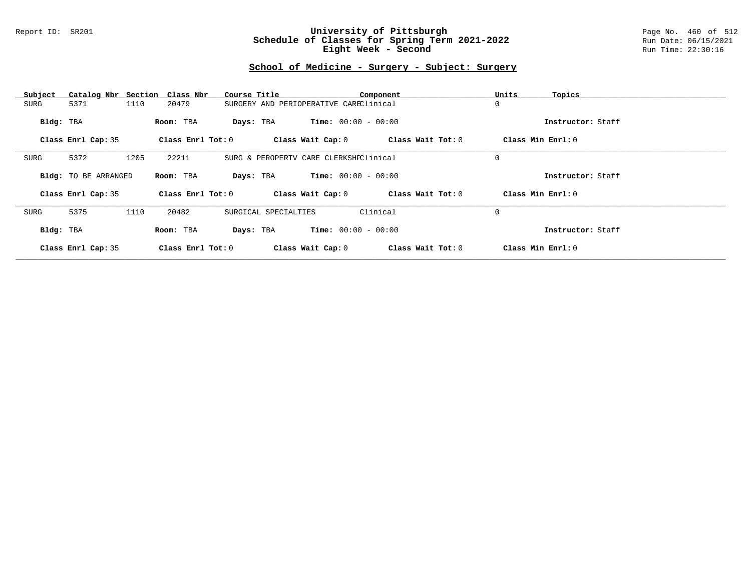#### Report ID: SR201 **University of Pittsburgh** Page No. 460 of 512 **Schedule of Classes for Spring Term 2021-2022** Run Date: 06/15/2021 **Eight Week - Second** Run Time: 22:30:16

## **School of Medicine - Surgery - Subject: Surgery**

| Subject   | Catalog Nbr Section Class Nbr |      |                         | Course Title |                                        |                              |                              | Component |                     | Units             | Topics            |
|-----------|-------------------------------|------|-------------------------|--------------|----------------------------------------|------------------------------|------------------------------|-----------|---------------------|-------------------|-------------------|
| SURG      | 5371                          | 1110 | 20479                   |              | SURGERY AND PERIOPERATIVE CAREClinical |                              |                              |           |                     | 0                 |                   |
| Bldg: TBA |                               |      | Room: TBA               | Days: TBA    |                                        | <b>Time:</b> $00:00 - 00:00$ |                              |           |                     |                   | Instructor: Staff |
|           | Class Enrl Cap: 35            |      | Class Enrl Tot: 0       |              |                                        | Class Wait Cap: 0            |                              |           | Class Wait Tot: $0$ | Class Min Enrl: 0 |                   |
| SURG      | 5372                          | 1205 | 22211                   |              | SURG & PEROPERTV CARE CLERKSHPClinical |                              |                              |           |                     | 0                 |                   |
|           | <b>Bldg:</b> TO BE ARRANGED   |      | Room: TBA               | Days: TBA    |                                        | $Time: 00:00 - 00:00$        |                              |           |                     |                   | Instructor: Staff |
|           | Class Enrl Cap: 35            |      | Class $Enr1$ Tot: $0$   |              |                                        | Class Wait Cap: 0            |                              |           | Class Wait Tot: 0   | Class Min Enrl: 0 |                   |
| SURG      | 5375                          | 1110 | 20482                   |              | SURGICAL SPECIALTIES                   |                              |                              | Clinical  |                     | 0                 |                   |
| Bldg: TBA |                               |      | Room: TBA               | Days: TBA    |                                        |                              | <b>Time:</b> $00:00 - 00:00$ |           |                     |                   | Instructor: Staff |
|           | Class Enrl Cap: 35            |      | $Class$ $Enr1$ $Tot: 0$ |              |                                        | Class Wait Cap: 0            |                              |           | Class Wait Tot: 0   | Class Min Enrl: 0 |                   |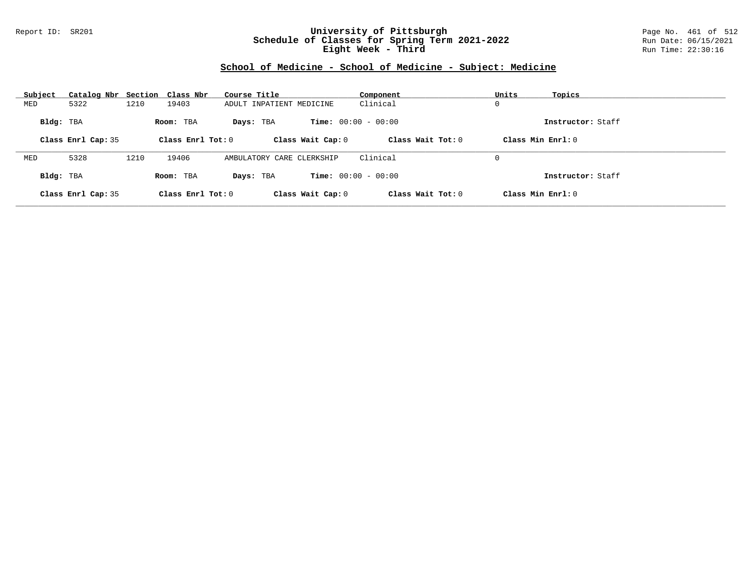### Report ID: SR201 **University of Pittsburgh** Page No. 461 of 512 **Schedule of Classes for Spring Term 2021-2022** Run Date: 06/15/2021 **Eight Week - Third** Run Time: 22:30:16

# **School of Medicine - School of Medicine - Subject: Medicine**

| Subject   | Catalog Nbr Section Class Nbr |      |                   | Course Title              | Component                    | Units<br>Topics     |
|-----------|-------------------------------|------|-------------------|---------------------------|------------------------------|---------------------|
| MED       | 5322                          | 1210 | 19403             | ADULT INPATIENT MEDICINE  | Clinical                     | 0                   |
| Bldg: TBA |                               |      | Room: TBA         | Days: TBA                 | <b>Time:</b> $00:00 - 00:00$ | Instructor: Staff   |
|           | Class Enrl Cap: 35            |      | Class Enrl Tot: 0 | Class Wait Cap: 0         | Class Wait Tot: 0            | Class Min Enrl: 0   |
| MED       | 5328                          | 1210 | 19406             | AMBULATORY CARE CLERKSHIP | Clinical                     | 0                   |
| Bldg: TBA |                               |      | Room: TBA         | Days: TBA                 | <b>Time:</b> $00:00 - 00:00$ | Instructor: Staff   |
|           | Class Enrl Cap: 35            |      | Class Enrl Tot: 0 | Class Wait Cap: 0         | Class Wait $Tot: 0$          | Class Min $Enrl: 0$ |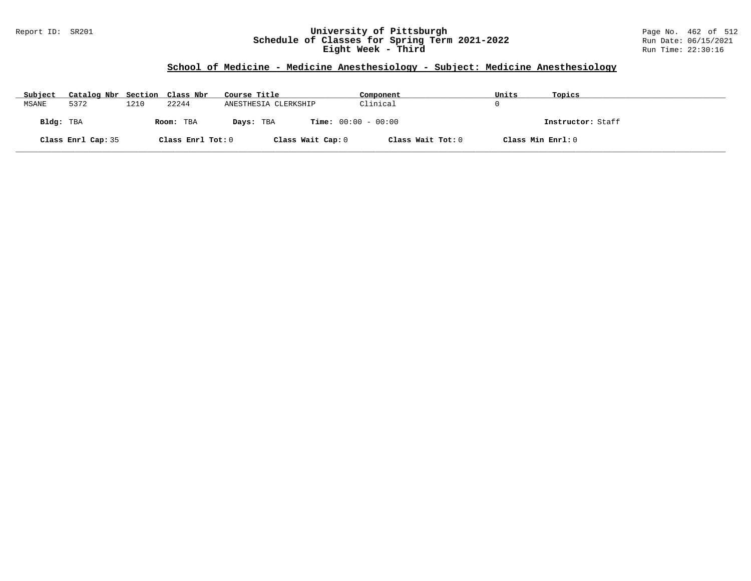### Report ID: SR201 **University of Pittsburgh** Page No. 462 of 512 **Schedule of Classes for Spring Term 2021-2022** Run Date: 06/15/2021 **Eight Week - Third** Run Time: 22:30:16

# **School of Medicine - Medicine Anesthesiology - Subject: Medicine Anesthesiology**

| Subject   | Catalog Nbr Section Class Nbr |      |                   | Course Title         | Component                    | Units             | Topics            |
|-----------|-------------------------------|------|-------------------|----------------------|------------------------------|-------------------|-------------------|
| MSANE     | 5372                          | 1210 | 22244             | ANESTHESIA CLERKSHIP | Clinical                     | $\left( \right)$  |                   |
| Bldg: TBA |                               |      | Room: TBA         | Days: TBA            | <b>Time:</b> $00:00 - 00:00$ |                   | Instructor: Staff |
|           | Class Enrl Cap: 35            |      | Class Enrl Tot: 0 | Class Wait Cap: 0    | Class Wait Tot: 0            | Class Min Enrl: 0 |                   |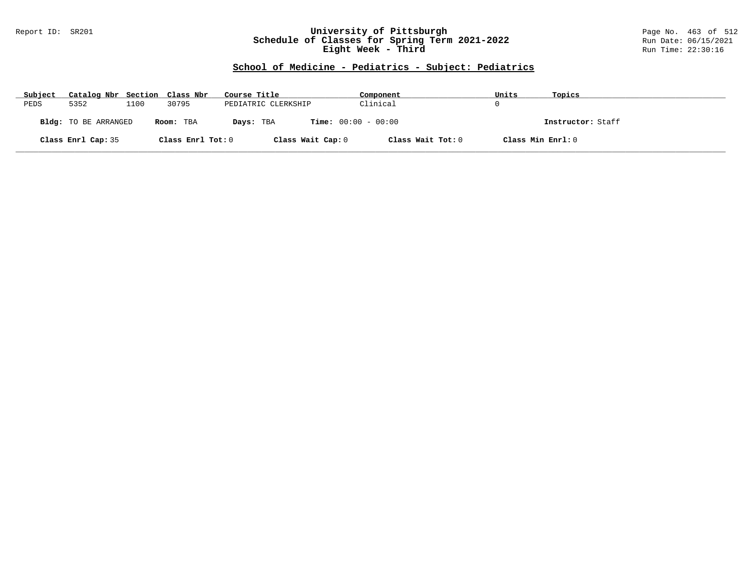### Report ID: SR201 **University of Pittsburgh** Page No. 463 of 512 **Schedule of Classes for Spring Term 2021-2022** Run Date: 06/15/2021 **Eight Week - Third** Run Time: 22:30:16

# **School of Medicine - Pediatrics - Subject: Pediatrics**

| Subject | Catalog Nbr Section Class Nbr |      |                   | Course Title        | Component                    | Units             | Topics            |
|---------|-------------------------------|------|-------------------|---------------------|------------------------------|-------------------|-------------------|
| PEDS    | 5352                          | 1100 | 30795             | PEDIATRIC CLERKSHIP | Clinical                     |                   |                   |
|         | Bldg: TO BE ARRANGED          |      | Room: TBA         | Days: TBA           | <b>Time:</b> $00:00 - 00:00$ |                   | Instructor: Staff |
|         | Class Enrl Cap: 35            |      | Class Enrl Tot: 0 | Class Wait Cap: 0   | Class Wait Tot: 0            | Class Min Enrl: 0 |                   |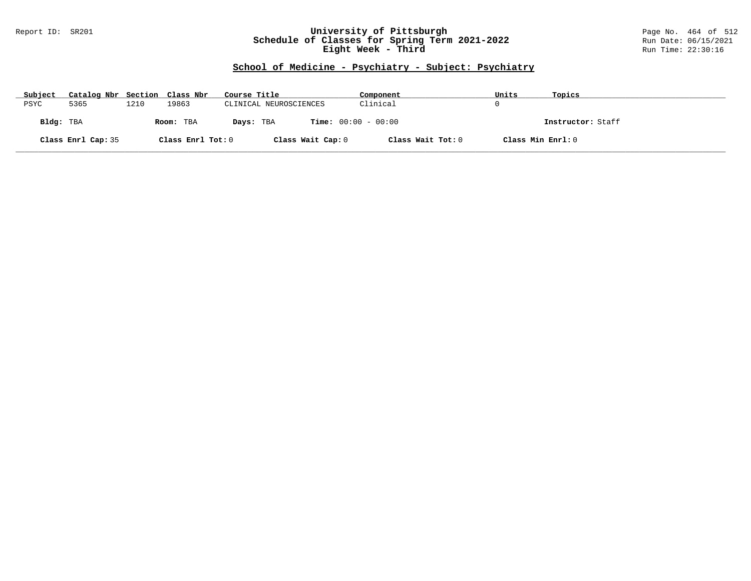### Report ID: SR201 **University of Pittsburgh** Page No. 464 of 512 **Schedule of Classes for Spring Term 2021-2022** Run Date: 06/15/2021 **Eight Week - Third** Run Time: 22:30:16

# **School of Medicine - Psychiatry - Subject: Psychiatry**

| Subject   | Catalog Nbr Section Class Nbr |      |                   | Course Title           |                              | Component         | Units             | Topics            |
|-----------|-------------------------------|------|-------------------|------------------------|------------------------------|-------------------|-------------------|-------------------|
| PSYC      | 5365                          | 1210 | 19863             | CLINICAL NEUROSCIENCES |                              | Clinical          |                   |                   |
| Bldg: TBA |                               |      | Room: TBA         | Days: TBA              | <b>Time:</b> $00:00 - 00:00$ |                   |                   | Instructor: Staff |
|           | Class Enrl Cap: 35            |      | Class Enrl Tot: 0 |                        | Class Wait Cap: 0            | Class Wait Tot: 0 | Class Min Enrl: 0 |                   |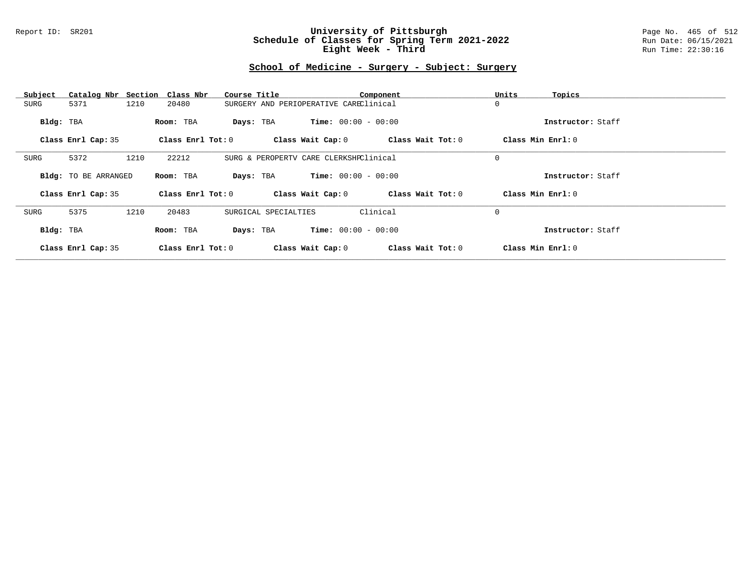#### Report ID: SR201 **University of Pittsburgh** Page No. 465 of 512 **Schedule of Classes for Spring Term 2021-2022** Run Date: 06/15/2021 **Eight Week - Third** Run Time: 22:30:16

## **School of Medicine - Surgery - Subject: Surgery**

| Subject   | Catalog Nbr Section Class Nbr |      |                         | Course Title |                                        |                              | Component           | Units             | Topics            |
|-----------|-------------------------------|------|-------------------------|--------------|----------------------------------------|------------------------------|---------------------|-------------------|-------------------|
| SURG      | 5371                          | 1210 | 20480                   |              | SURGERY AND PERIOPERATIVE CAREClinical |                              |                     | 0                 |                   |
| Bldg: TBA |                               |      | Room: TBA               | Days: TBA    |                                        | <b>Time:</b> $00:00 - 00:00$ |                     |                   | Instructor: Staff |
|           | Class Enrl Cap: 35            |      | Class Enrl Tot: 0       |              |                                        | Class Wait Cap: 0            | Class Wait Tot: $0$ | Class Min Enrl: 0 |                   |
| SURG      | 5372                          | 1210 | 22212                   |              | SURG & PEROPERTV CARE CLERKSHPClinical |                              |                     | 0                 |                   |
|           | <b>Bldg:</b> TO BE ARRANGED   |      | Room: TBA               | Days: TBA    |                                        | $Time: 00:00 - 00:00$        |                     |                   | Instructor: Staff |
|           | Class Enrl Cap: 35            |      | Class $Enr1$ Tot: $0$   |              |                                        | Class Wait Cap: 0            | Class Wait Tot: 0   | Class Min Enrl: 0 |                   |
| SURG      | 5375                          | 1210 | 20483                   |              | SURGICAL SPECIALTIES                   |                              | Clinical            | 0                 |                   |
| Bldg: TBA |                               |      | Room: TBA               | Days: TBA    |                                        | <b>Time:</b> $00:00 - 00:00$ |                     |                   | Instructor: Staff |
|           | Class Enrl Cap: 35            |      | $Class$ $Enr1$ $Tot: 0$ |              |                                        | Class Wait Cap: 0            | Class Wait Tot: 0   | Class Min Enrl: 0 |                   |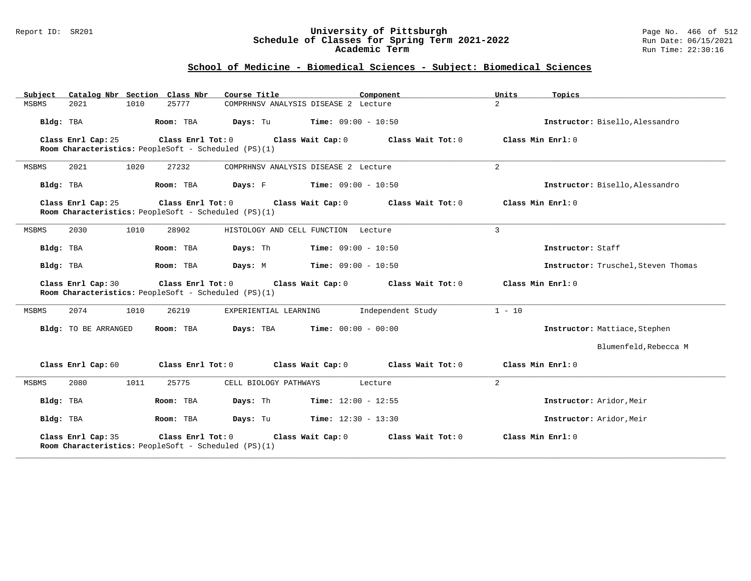### Report ID: SR201 **University of Pittsburgh** Page No. 466 of 512 **Schedule of Classes for Spring Term 2021-2022** Run Date: 06/15/2021 **Academic Term** Run Time: 22:30:16

# **School of Medicine - Biomedical Sciences - Subject: Biomedical Sciences**

| Catalog Nbr Section Class Nbr<br>Subject | Course Title                                                                                   | Component                    | Units<br>Topics                     |
|------------------------------------------|------------------------------------------------------------------------------------------------|------------------------------|-------------------------------------|
| <b>MSBMS</b><br>2021<br>1010             | 25777<br>COMPRHNSV ANALYSIS DISEASE 2 Lecture                                                  |                              | $\overline{2}$                      |
| Bldg: TBA                                | <b>Days:</b> Tu <b>Time:</b> $09:00 - 10:50$<br>Room: TBA                                      |                              | Instructor: Bisello, Alessandro     |
| Class Enrl Cap: 25                       | Class Wait Cap: 0<br>Class Enrl Tot: 0<br>Room Characteristics: PeopleSoft - Scheduled (PS)(1) | Class Wait Tot: 0            | Class Min Enrl: 0                   |
| MSBMS<br>2021<br>1020                    | 27232<br>COMPRHNSV ANALYSIS DISEASE 2 Lecture                                                  |                              | $\overline{a}$                      |
| Bldg: TBA                                | Days: F<br>Room: TBA                                                                           | $Time: 09:00 - 10:50$        | Instructor: Bisello, Alessandro     |
| Class Enrl Cap: 25                       | Class Enrl Tot: 0<br>Class Wait Cap: 0<br>Room Characteristics: PeopleSoft - Scheduled (PS)(1) | Class Wait Tot: 0            | Class Min Enrl: 0                   |
| 2030<br>1010<br>MSBMS                    | 28902<br>HISTOLOGY AND CELL FUNCTION Lecture                                                   |                              | $\overline{3}$                      |
| Bldg: TBA                                | Room: TBA<br>Days: Th                                                                          | Time: $09:00 - 10:50$        | Instructor: Staff                   |
| Bldg: TBA                                | Room: TBA<br>Days: M                                                                           | $Time: 09:00 - 10:50$        | Instructor: Truschel, Steven Thomas |
| Class Enrl Cap: 30                       | Class Enrl Tot: 0<br>Class Wait Cap: 0<br>Room Characteristics: PeopleSoft - Scheduled (PS)(1) | Class Wait Tot: 0            | Class Min Enrl: 0                   |
| <b>MSBMS</b><br>2074<br>1010             | 26219<br>EXPERIENTIAL LEARNING                                                                 | Independent Study            | $1 - 10$                            |
| Bldg: TO BE ARRANGED                     | Days: TBA<br>Room: TBA                                                                         | <b>Time:</b> $00:00 - 00:00$ | Instructor: Mattiace, Stephen       |
|                                          |                                                                                                |                              | Blumenfeld, Rebecca M               |
| Class Enrl Cap: 60                       | Class Enrl Tot: 0<br>Class Wait Cap: 0                                                         | Class Wait Tot: 0            | Class Min Enrl: 0                   |
| 2080<br>1011<br>MSBMS                    | 25775<br>CELL BIOLOGY PATHWAYS                                                                 | Lecture                      | 2                                   |
| Bldg: TBA                                | Days: Th<br>Room: TBA                                                                          | <b>Time:</b> $12:00 - 12:55$ | Instructor: Aridor, Meir            |
| Bldg: TBA                                | Days: Tu<br>Room: TBA                                                                          | <b>Time:</b> $12:30 - 13:30$ | Instructor: Aridor.Meir             |
| Class Enrl Cap: 35                       | Class Enrl Tot: 0<br>Class Wait Cap: 0<br>Room Characteristics: PeopleSoft - Scheduled (PS)(1) | Class Wait Tot: 0            | Class Min Enrl: 0                   |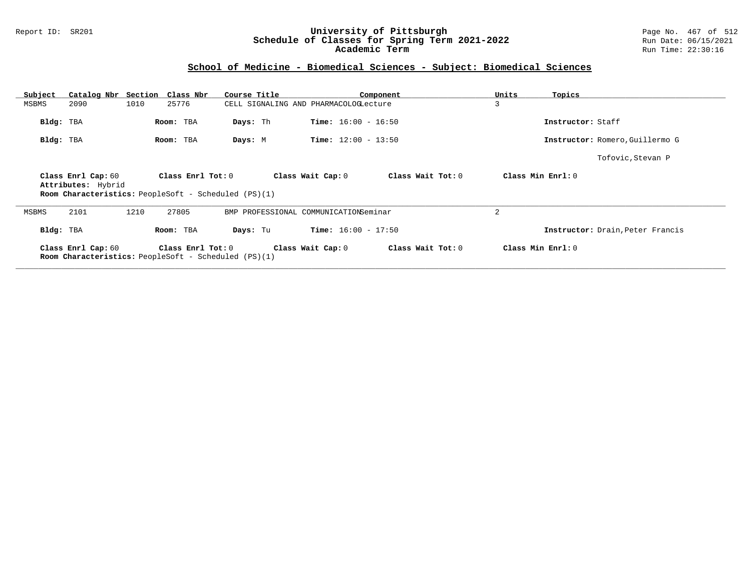### Report ID: SR201 **University of Pittsburgh** Page No. 467 of 512 **Schedule of Classes for Spring Term 2021-2022** Run Date: 06/15/2021 **Academic Term** Run Time: 22:30:16

# **School of Medicine - Biomedical Sciences - Subject: Biomedical Sciences**

| Subject   | Catalog Nbr Section                      | Class Nbr                                                                            | Course Title |                                       | Component         | Units | Topics                           |
|-----------|------------------------------------------|--------------------------------------------------------------------------------------|--------------|---------------------------------------|-------------------|-------|----------------------------------|
| MSBMS     | 2090                                     | 1010<br>25776                                                                        |              | CELL SIGNALING AND PHARMACOLOGLecture |                   | 3     |                                  |
| Bldg: TBA |                                          | Room: TBA                                                                            | Days: Th     | <b>Time:</b> $16:00 - 16:50$          |                   |       | Instructor: Staff                |
| Bldg: TBA |                                          | Room: TBA                                                                            | Days: M      | <b>Time:</b> $12:00 - 13:50$          |                   |       | Instructor: Romero, Guillermo G  |
|           |                                          |                                                                                      |              |                                       |                   |       | Tofovic, Stevan P                |
|           | Class Enrl Cap: 60<br>Attributes: Hybrid | Class $Enrl$ Tot: $0$<br><b>Room Characteristics:</b> PeopleSoft - Scheduled (PS)(1) |              | Class Wait Cap: 0                     | Class Wait Tot: 0 |       | Class Min Enrl: 0                |
| MSBMS     | 2101                                     | 27805<br>1210                                                                        |              | BMP PROFESSIONAL COMMUNICATIONSeminar |                   | 2     |                                  |
|           | Bldg: TBA                                | Room: TBA                                                                            | Days: Tu     | <b>Time:</b> $16:00 - 17:50$          |                   |       | Instructor: Drain, Peter Francis |
|           | Class Enrl Cap: 60                       | Class Enrl Tot: 0<br>Room Characteristics: PeopleSoft - Scheduled (PS)(1)            |              | Class Wait Cap: 0                     | Class Wait Tot: 0 |       | Class Min Enrl: 0                |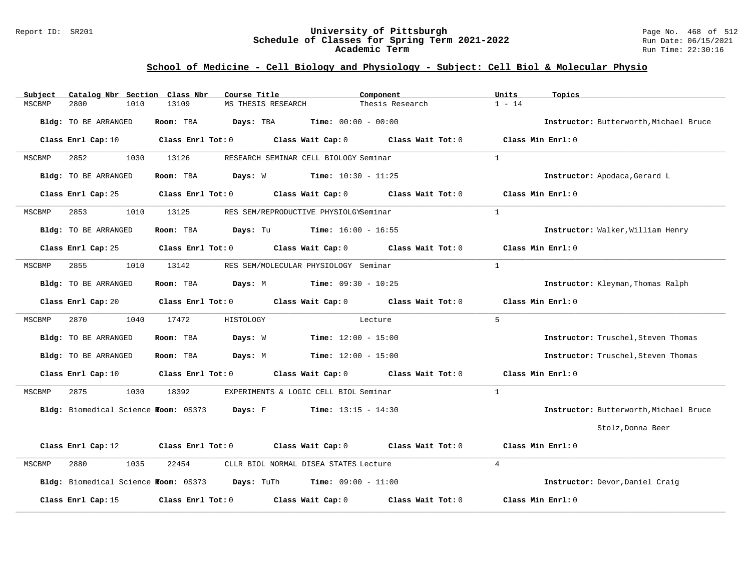### Report ID: SR201 **University of Pittsburgh** Page No. 468 of 512 **Schedule of Classes for Spring Term 2021-2022** Run Date: 06/15/2021 **Academic Term** Run Time: 22:30:16

## **School of Medicine - Cell Biology and Physiology - Subject: Cell Biol & Molecular Physio**

| Catalog Nbr Section Class Nbr<br>Subject | Course Title                                                        | Component                           | Units<br>Topics                        |
|------------------------------------------|---------------------------------------------------------------------|-------------------------------------|----------------------------------------|
| MSCBMP<br>2800<br>1010                   | 13109<br>MS THESIS RESEARCH                                         | Thesis Research                     | $1 - 14$                               |
| Bldg: TO BE ARRANGED                     | Room: TBA<br>Days: TBA                                              | <b>Time:</b> $00:00 - 00:00$        | Instructor: Butterworth, Michael Bruce |
| Class Enrl Cap: 10                       | Class Enrl Tot: 0 Class Wait Cap: 0                                 | Class Wait Tot: 0                   | Class Min Enrl: 0                      |
| 2852<br>1030<br>MSCBMP                   | 13126<br>RESEARCH SEMINAR CELL BIOLOGY Seminar                      |                                     | $\mathbf{1}$                           |
| Bldg: TO BE ARRANGED                     | Room: TBA<br><b>Days:</b> W <b>Time:</b> $10:30 - 11:25$            |                                     | Instructor: Apodaca, Gerard L          |
| Class Enrl Cap: 25                       | Class Enrl Tot: 0<br>Class Wait Cap: 0                              | Class Wait Tot: 0                   | Class Min Enrl: 0                      |
| 2853<br>1010<br>MSCBMP                   | 13125<br>RES SEM/REPRODUCTIVE PHYSIOLGYSeminar                      |                                     | $\mathbf{1}$                           |
| Bldg: TO BE ARRANGED                     | <b>Days:</b> Tu <b>Time:</b> $16:00 - 16:55$<br>Room: TBA           |                                     | Instructor: Walker, William Henry      |
| Class Enrl Cap: 25                       | Class Enrl Tot: 0<br>Class Wait Cap: 0                              | Class Wait Tot: 0                   | Class Min Enrl: 0                      |
| 2855<br>1010<br>MSCBMP                   | 13142<br>RES SEM/MOLECULAR PHYSIOLOGY Seminar                       |                                     | 1                                      |
| Bldg: TO BE ARRANGED                     | <b>Days:</b> M <b>Time:</b> $09:30 - 10:25$<br>Room: TBA            |                                     | Instructor: Kleyman, Thomas Ralph      |
| Class Enrl Cap: 20                       | Class Enrl Tot: 0 Class Wait Cap: 0 Class Wait Tot: 0               |                                     | Class Min $Enrl: 0$                    |
| 2870<br>1040<br>MSCBMP                   | 17472<br>HISTOLOGY                                                  | Lecture                             | $5^{\circ}$                            |
| Bldg: TO BE ARRANGED                     | Room: TBA<br>Days: W                                                | $Time: 12:00 - 15:00$               | Instructor: Truschel, Steven Thomas    |
| Bldg: TO BE ARRANGED                     | Days: M<br>Room: TBA                                                | <b>Time:</b> $12:00 - 15:00$        | Instructor: Truschel, Steven Thomas    |
| Class Enrl Cap: 10                       | Class Enrl Tot: 0<br>Class Wait Cap: 0                              | Class Wait Tot: 0                   | Class Min Enrl: 0                      |
| 2875<br>1030<br>MSCBMP                   | 18392<br>EXPERIMENTS & LOGIC CELL BIOL Seminar                      |                                     | 1                                      |
| Bldg: Biomedical Science Room: 0S373     | Days: F                                                             | <b>Time:</b> $13:15 - 14:30$        | Instructor: Butterworth, Michael Bruce |
|                                          |                                                                     |                                     | Stolz, Donna Beer                      |
| Class Enrl Cap: 12                       | Class Enrl Tot: 0                                                   | Class Wait Cap: 0 Class Wait Tot: 0 | Class Min Enrl: 0                      |
| 1035<br>2880<br>MSCBMP                   | 22454<br>CLLR BIOL NORMAL DISEA STATES Lecture                      |                                     | $\overline{4}$                         |
|                                          | Bldg: Biomedical Science Room: 0S373 Days: TuTh Time: 09:00 - 11:00 |                                     | Instructor: Devor, Daniel Craig        |
| Class Enrl Cap: 15                       | Class Enrl Tot: 0<br>Class Wait Cap: 0                              | Class Wait Tot: 0                   | Class Min Enrl: 0                      |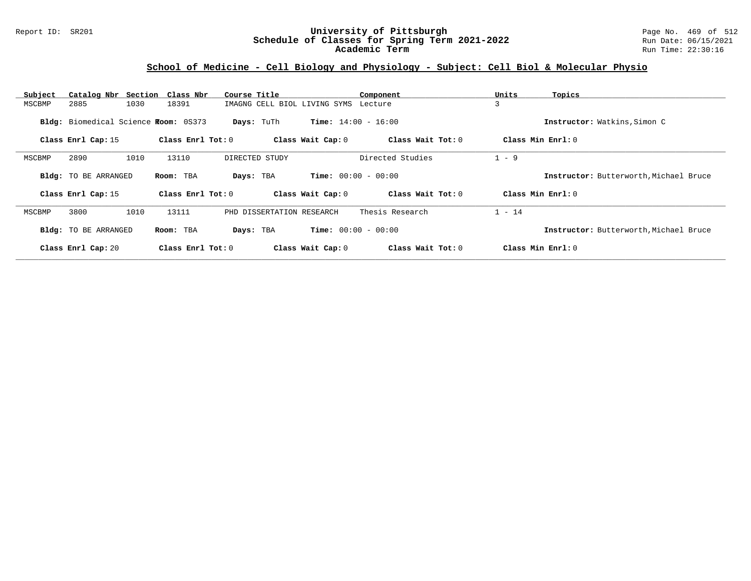### Report ID: SR201 **University of Pittsburgh** Page No. 469 of 512 **Schedule of Classes for Spring Term 2021-2022** Run Date: 06/15/2021 **Academic Term** Run Time: 22:30:16

### **School of Medicine - Cell Biology and Physiology - Subject: Cell Biol & Molecular Physio**

| Subject | Catalog Nbr Section Class Nbr        |      |                       | Course Title |                |                                      | Component                    | Units    | Topics                                 |
|---------|--------------------------------------|------|-----------------------|--------------|----------------|--------------------------------------|------------------------------|----------|----------------------------------------|
| MSCBMP  | 2885                                 | 1030 | 18391                 |              |                | IMAGNG CELL BIOL LIVING SYMS Lecture |                              | 3        |                                        |
|         | Bldg: Biomedical Science Room: 0S373 |      |                       |              | Days: TuTh     |                                      | <b>Time:</b> $14:00 - 16:00$ |          | Instructor: Watkins, Simon C           |
|         | Class Enrl Cap: 15                   |      | Class $Enr1$ Tot: $0$ |              |                | Class Wait Cap: 0                    | Class Wait Tot: 0            |          | Class Min $Enrl: 0$                    |
| MSCBMP  | 2890                                 | 1010 | 13110                 |              | DIRECTED STUDY |                                      | Directed Studies             | $1 - 9$  |                                        |
|         | <b>Bldg:</b> TO BE ARRANGED          |      | Room: TBA             | Days: TBA    |                |                                      | <b>Time:</b> $00:00 - 00:00$ |          | Instructor: Butterworth, Michael Bruce |
|         | Class Enrl Cap: 15                   |      | Class Enrl Tot: 0     |              |                | Class Wait Cap: 0                    | Class Wait Tot: 0            |          | Class Min Enrl: 0                      |
| MSCBMP  | 3800                                 | 1010 | 13111                 |              |                | PHD DISSERTATION RESEARCH            | Thesis Research              | $1 - 14$ |                                        |
|         | <b>Bldg:</b> TO BE ARRANGED          |      | Room: TBA             | Days: TBA    |                |                                      | <b>Time:</b> $00:00 - 00:00$ |          | Instructor: Butterworth, Michael Bruce |
|         | Class Enrl Cap: 20                   |      | Class Enrl Tot: 0     |              |                | Class Wait Cap: 0                    | Class Wait Tot: 0            |          | Class Min $Enrl: 0$                    |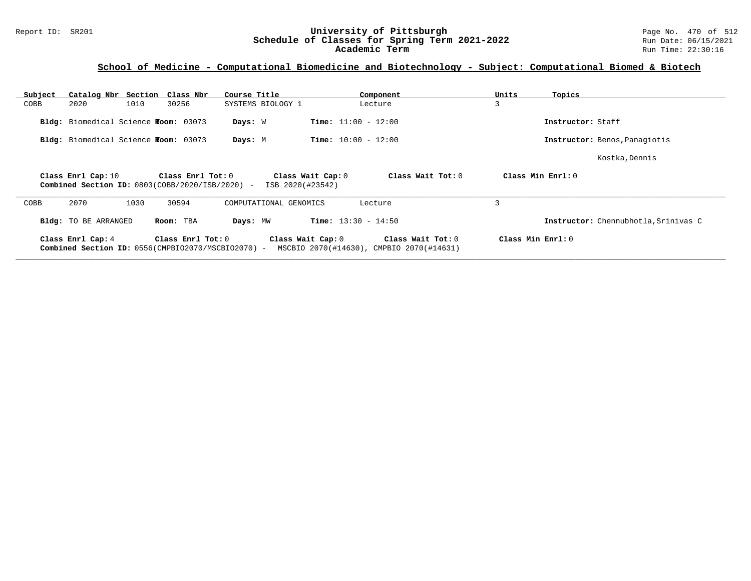### Report ID: SR201 **University of Pittsburgh** Page No. 470 of 512 **Schedule of Classes for Spring Term 2021-2022** Run Date: 06/15/2021 **Academic Term** Run Time: 22:30:16

### **School of Medicine - Computational Biomedicine and Biotechnology - Subject: Computational Biomed & Biotech**

| Subject |                                       |      | Catalog Nbr Section Class Nbr                                           | Course Title           | Component                                                                          | Units | Topics                               |
|---------|---------------------------------------|------|-------------------------------------------------------------------------|------------------------|------------------------------------------------------------------------------------|-------|--------------------------------------|
| COBB    | 2020                                  | 1010 | 30256                                                                   | SYSTEMS BIOLOGY 1      | Lecture                                                                            | 3     |                                      |
|         | Bldg: Biomedical Science Froom: 03073 |      |                                                                         | Days: W                | <b>Time:</b> $11:00 - 12:00$                                                       |       | Instructor: Staff                    |
|         | Bldg: Biomedical Science Room: 03073  |      |                                                                         | Days: M                | <b>Time:</b> $10:00 - 12:00$                                                       |       | Instructor: Benos, Panagiotis        |
|         |                                       |      |                                                                         |                        |                                                                                    |       | Kostka, Dennis                       |
|         | Class Enrl Cap: 10                    |      | Class Enrl Tot: 0<br>Combined Section ID: 0803(COBB/2020/ISB/2020) -    | ISB 2020(#23542)       | Class Wait Cap: 0<br>Class Wait Tot: 0                                             |       | Class Min Enrl: 0                    |
| COBB    | 2070                                  | 1030 | 30594                                                                   | COMPUTATIONAL GENOMICS | Lecture                                                                            | 3     |                                      |
|         | <b>Bldg:</b> TO BE ARRANGED           |      | Room: TBA                                                               | Days: MW               | <b>Time:</b> $13:30 - 14:50$                                                       |       | Instructor: Chennubhotla, Srinivas C |
|         | Class Enrl Cap: 4                     |      | Class Enrl Tot: 0<br>Combined Section ID: 0556(CMPBIO2070/MSCBIO2070) - |                        | Class Wait Cap: 0<br>Class Wait Tot: 0<br>MSCBIO 2070(#14630), CMPBIO 2070(#14631) |       | Class Min Enrl: 0                    |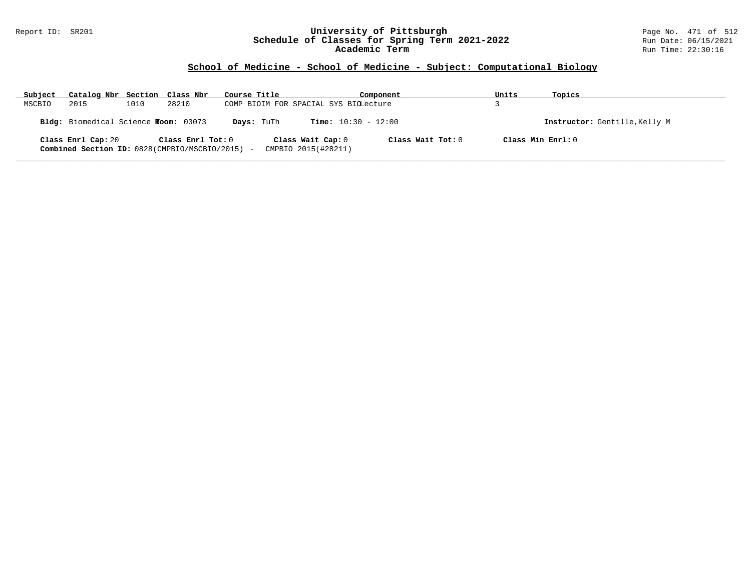### Report ID: SR201 **University of Pittsburgh** Page No. 471 of 512 **Schedule of Classes for Spring Term 2021-2022** Run Date: 06/15/2021 **Academic Term** Run Time: 22:30:16

### **School of Medicine - School of Medicine - Subject: Computational Biology**

| Subject | Catalog Nbr Section Class Nbr                                                       |      |                   | Course Title                          |                                          | Component         | Units                         | Topics |
|---------|-------------------------------------------------------------------------------------|------|-------------------|---------------------------------------|------------------------------------------|-------------------|-------------------------------|--------|
| MSCBIO  | 2015                                                                                | 1010 | 28210             | COMP BIOIM FOR SPACIAL SYS BIOLecture |                                          |                   |                               |        |
|         | Bldg: Biomedical Science Froom: 03073<br><b>Time:</b> $10:30 - 12:00$<br>Days: TuTh |      |                   |                                       |                                          |                   | Instructor: Gentille, Kelly M |        |
|         | Class Enrl Cap: 20<br>Combined Section ID: 0828 (CMPBIO/MSCBIO/2015) -              |      | Class Enrl Tot: 0 |                                       | Class Wait Cap: 0<br>CMPBIO 2015(#28211) | Class Wait Tot: 0 | Class Min Enrl: 0             |        |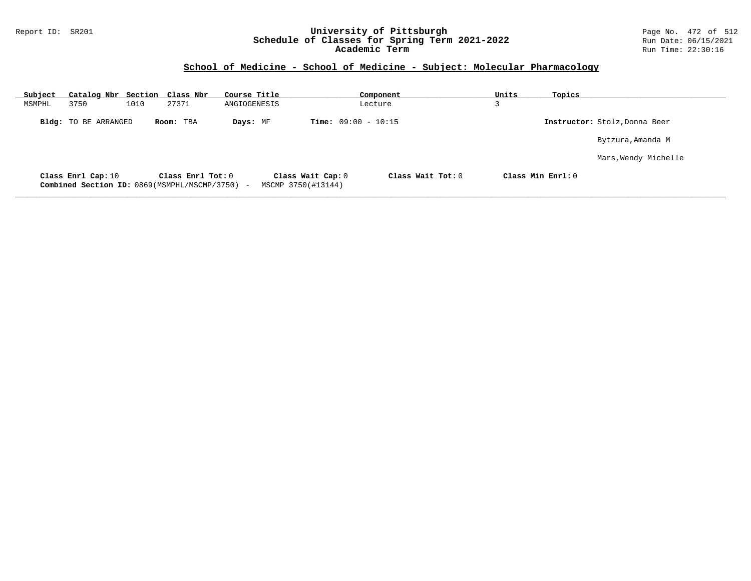### Report ID: SR201 **University of Pittsburgh** Page No. 472 of 512 **Schedule of Classes for Spring Term 2021-2022** Run Date: 06/15/2021 **Academic Term** Run Time: 22:30:16

# **School of Medicine - School of Medicine - Subject: Molecular Pharmacology**

| Subject |                             | Catalog Nbr Section Class Nbr                                       | Course Title |                                         | Component         | Units              | Topics                        |
|---------|-----------------------------|---------------------------------------------------------------------|--------------|-----------------------------------------|-------------------|--------------------|-------------------------------|
| MSMPHL  | 3750                        | 1010<br>27371                                                       | ANGIOGENESIS |                                         | Lecture           |                    |                               |
|         | <b>Bldg:</b> TO BE ARRANGED | Room: TBA                                                           | Days: MF     | <b>Time:</b> $09:00 - 10:15$            |                   |                    | Instructor: Stolz, Donna Beer |
|         |                             |                                                                     |              |                                         |                   |                    | Bytzura, Amanda M             |
|         |                             |                                                                     |              |                                         |                   |                    | Mars, Wendy Michelle          |
|         | Class Enrl Cap: 10          | Class Enrl Tot: 0<br>Combined Section ID: 0869(MSMPHL/MSCMP/3750) - |              | Class Wait Cap: 0<br>MSCMP 3750(#13144) | Class Wait Tot: 0 | Class Min $Enr1:0$ |                               |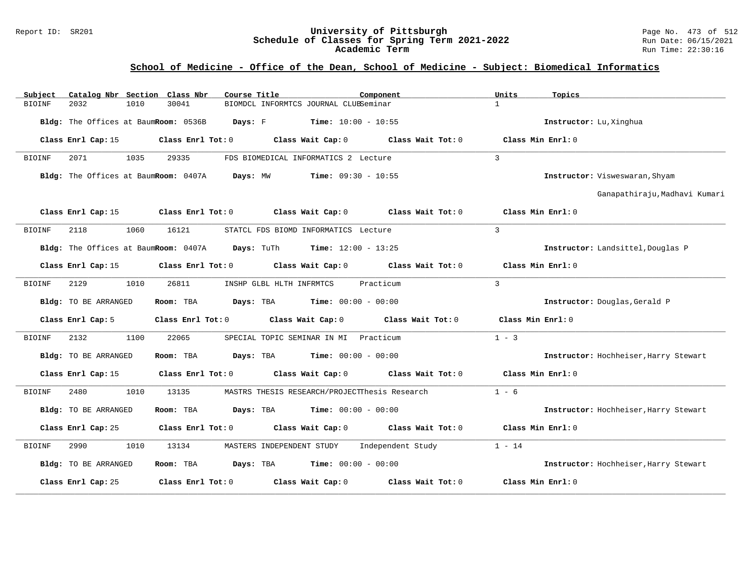#### Report ID: SR201 **University of Pittsburgh** Page No. 473 of 512 **Schedule of Classes for Spring Term 2021-2022** Run Date: 06/15/2021 **Academic Term** Run Time: 22:30:16

# **School of Medicine - Office of the Dean, School of Medicine - Subject: Biomedical Informatics**

| Catalog Nbr Section Class Nbr<br>Subject | Course Title<br>Component                                                                               | Units<br>Topics                       |
|------------------------------------------|---------------------------------------------------------------------------------------------------------|---------------------------------------|
| 2032<br>1010<br><b>BIOINF</b>            | 30041<br>BIOMDCL INFORMTCS JOURNAL CLUBSeminar                                                          | $\mathbf{1}$                          |
|                                          | <b>Bldg:</b> The Offices at BaumRoom: $0536B$ Days: F Time: $10:00 - 10:55$                             | Instructor: Lu, Xinghua               |
| Class Enrl Cap: 15                       | $Class$ $Enrl$ $Tot: 0$<br>Class Wait Cap: 0 Class Wait Tot: 0                                          | Class Min Enrl: 0                     |
| 1035<br>2071<br>BIOINF                   | 29335<br>FDS BIOMEDICAL INFORMATICS 2 Lecture                                                           | $\overline{3}$                        |
|                                          | Bldg: The Offices at BaumRoom: 0407A Days: MW<br>$Time: 09:30 - 10:55$                                  | Instructor: Visweswaran, Shyam        |
|                                          |                                                                                                         | Ganapathiraju, Madhavi Kumari         |
|                                          | Class Enrl Cap: 15 Class Enrl Tot: 0 Class Wait Cap: 0 Class Wait Tot: 0 Class Min Enrl: 0              |                                       |
| 2118<br>1060<br>BIOINF                   | 16121<br>STATCL FDS BIOMD INFORMATICS Lecture                                                           | $\overline{3}$                        |
|                                          | Bldg: The Offices at BaumRoom: 0407A Days: TuTh Time: 12:00 - 13:25                                     | Instructor: Landsittel, Douglas P     |
|                                          | Class Enrl Cap: 15 (class Enrl Tot: 0 (class Wait Cap: 0 (class Wait Tot: 0 $\sim$ 0 (class Wait Tot: 0 | Class Min Enrl: 0                     |
| 2129<br>1010<br>BIOINF                   | 26811<br>Practicum<br>INSHP GLBL HLTH INFRMTCS                                                          | $\overline{3}$                        |
| Bldg: TO BE ARRANGED                     | <b>Days:</b> TBA <b>Time:</b> $00:00 - 00:00$<br>Room: TBA                                              | Instructor: Douglas, Gerald P         |
| Class Enrl Cap: 5                        | Class Enrl Tot: 0 Class Wait Cap: 0<br>Class Wait Tot: 0                                                | Class Min Enrl: 0                     |
| 2132<br>1100<br>BIOINF                   | SPECIAL TOPIC SEMINAR IN MI Practicum<br>22065                                                          | $1 - 3$                               |
| Bldg: TO BE ARRANGED                     | Room: TBA<br><b>Days:</b> TBA <b>Time:</b> $00:00 - 00:00$                                              | Instructor: Hochheiser, Harry Stewart |
| Class Enrl Cap: 15                       | Class Enrl Tot: $0$ Class Wait Cap: $0$ Class Wait Tot: $0$ Class Min Enrl: $0$                         |                                       |
| 2480<br>1010<br>BIOINF                   | 13135<br>MASTRS THESIS RESEARCH/PROJECTThesis Research                                                  | $1 - 6$                               |
| Bldg: TO BE ARRANGED                     | Room: TBA<br>$\texttt{DayS:}$ TBA $\texttt{Time:}$ 00:00 - 00:00                                        | Instructor: Hochheiser, Harry Stewart |
| Class Enrl Cap: 25                       | Class Enrl Tot: $0$ Class Wait Cap: $0$ Class Wait Tot: $0$ Class Min Enrl: $0$                         |                                       |
| 2990<br>1010<br>BIOINF                   | MASTERS INDEPENDENT STUDY Independent Study<br>13134                                                    | $1 - 14$                              |
| Bldg: TO BE ARRANGED                     | Room: TBA $Days:$ TBA $Time: 00:00 - 00:00$                                                             | Instructor: Hochheiser, Harry Stewart |
| Class Enrl Cap: 25                       | Class Wait Cap: 0<br>Class Enrl Tot: 0<br>Class Wait Tot: 0                                             | Class Min Enrl: 0                     |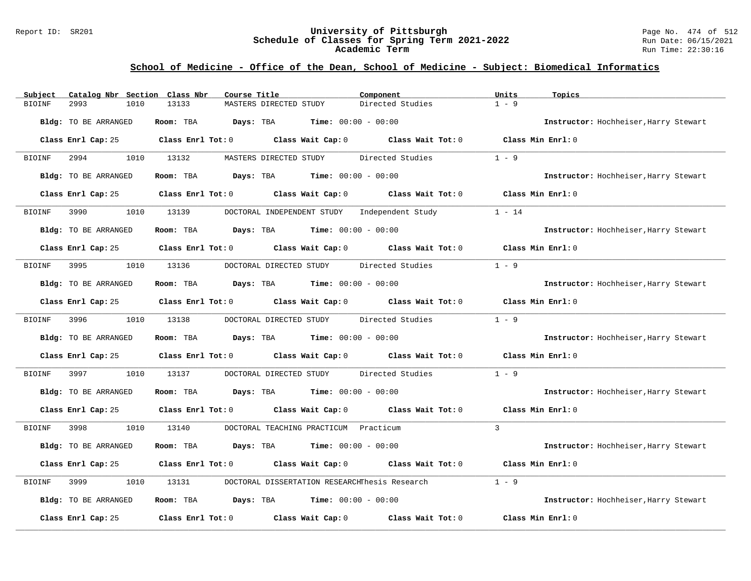#### Report ID: SR201 **University of Pittsburgh** Page No. 474 of 512 **Schedule of Classes for Spring Term 2021-2022** Run Date: 06/15/2021 **Academic Term** Run Time: 22:30:16

# **School of Medicine - Office of the Dean, School of Medicine - Subject: Biomedical Informatics**

| Catalog Nbr Section Class Nbr<br>Subject | Course Title                                                                               | Component         | Units<br>Topics                       |
|------------------------------------------|--------------------------------------------------------------------------------------------|-------------------|---------------------------------------|
| <b>BIOINF</b><br>2993<br>1010            | 13133<br>MASTERS DIRECTED STUDY                                                            | Directed Studies  | $1 - 9$                               |
| Bldg: TO BE ARRANGED                     | Room: TBA<br><b>Days:</b> TBA <b>Time:</b> $00:00 - 00:00$                                 |                   | Instructor: Hochheiser, Harry Stewart |
| Class Enrl Cap: 25                       | Class Enrl Tot: $0$ Class Wait Cap: $0$ Class Wait Tot: $0$                                |                   | Class Min Enrl: 0                     |
| 1010<br>BIOINF<br>2994                   | 13132<br>MASTERS DIRECTED STUDY                                                            | Directed Studies  | $1 - 9$                               |
| Bldg: TO BE ARRANGED                     | <b>Days:</b> TBA <b>Time:</b> $00:00 - 00:00$<br>Room: TBA                                 |                   | Instructor: Hochheiser, Harry Stewart |
| Class Enrl Cap: 25                       | Class Enrl Tot: 0 Class Wait Cap: 0                                                        | Class Wait Tot: 0 | Class Min Enrl: 0                     |
| 3990<br>1010<br><b>BIOINF</b>            | 13139<br>DOCTORAL INDEPENDENT STUDY                                                        | Independent Study | $1 - 14$                              |
| Bldg: TO BE ARRANGED                     | Room: TBA<br><b>Days:</b> TBA <b>Time:</b> $00:00 - 00:00$                                 |                   | Instructor: Hochheiser, Harry Stewart |
|                                          | Class Enrl Cap: 25 Class Enrl Tot: 0 Class Wait Cap: 0 Class Wait Tot: 0 Class Min Enrl: 0 |                   |                                       |
| 3995<br>1010<br>BIOINF                   | 13136<br>DOCTORAL DIRECTED STUDY                                                           | Directed Studies  | $1 - 9$                               |
| Bldg: TO BE ARRANGED                     | $\texttt{Davis:}$ TBA $\texttt{Time:}$ 00:00 - 00:00<br>Room: TBA                          |                   | Instructor: Hochheiser, Harry Stewart |
| Class Enrl Cap: 25                       | Class Enrl Tot: 0 Class Wait Cap: 0 Class Wait Tot: 0                                      |                   | Class Min Enrl: 0                     |
| 1010<br>3996<br>BIOINF                   | 13138<br>DOCTORAL DIRECTED STUDY                                                           | Directed Studies  | $1 - 9$                               |
| Bldg: TO BE ARRANGED                     | Room: TBA<br><b>Days:</b> TBA <b>Time:</b> $00:00 - 00:00$                                 |                   | Instructor: Hochheiser, Harry Stewart |
| Class Enrl Cap: 25                       | Class Enrl Tot: $0$ Class Wait Cap: $0$ Class Wait Tot: $0$                                |                   | Class Min $Err1:0$                    |
| BIOINF<br>3997<br>1010                   | DOCTORAL DIRECTED STUDY<br>13137                                                           | Directed Studies  | $1 - 9$                               |
| Bldg: TO BE ARRANGED                     | <b>Days:</b> TBA <b>Time:</b> $00:00 - 00:00$<br>Room: TBA                                 |                   | Instructor: Hochheiser, Harry Stewart |
| Class Enrl Cap: 25                       | Class Enrl Tot: $0$ Class Wait Cap: $0$ Class Wait Tot: $0$                                |                   | Class Min Enrl: 0                     |
| <b>BIOINF</b><br>3998<br>1010            | 13140<br>DOCTORAL TEACHING PRACTICUM Practicum                                             |                   | $\mathcal{L}$                         |
| Bldg: TO BE ARRANGED                     | Room: TBA<br>$Days: TBA$ Time: $00:00 - 00:00$                                             |                   | Instructor: Hochheiser, Harry Stewart |
| Class Enrl Cap: 25                       | Class Wait Cap: 0 Class Wait Tot: 0<br>Class Enrl Tot: 0                                   |                   | Class Min $Err1:0$                    |
| BIOINF<br>3999<br>1010                   | DOCTORAL DISSERTATION RESEARCHThesis Research<br>13131                                     |                   | $1 - 9$                               |
| Bldg: TO BE ARRANGED                     | $\texttt{Davis:}$ TBA $\texttt{Time:}$ 00:00 - 00:00<br>Room: TBA                          |                   | Instructor: Hochheiser, Harry Stewart |
| Class Enrl Cap: 25                       | Class Enrl Tot: 0 Class Wait Cap: 0                                                        | Class Wait Tot: 0 | Class Min Enrl: 0                     |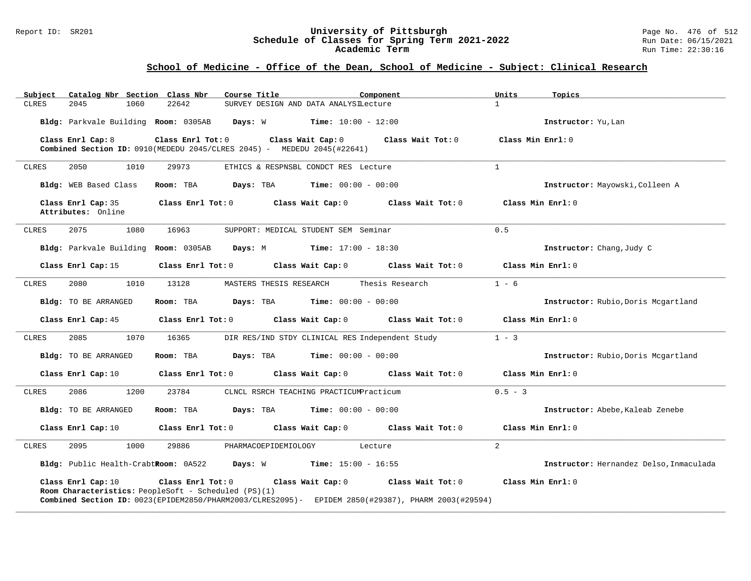#### Report ID: SR201 **University of Pittsburgh** Page No. 476 of 512 **Schedule of Classes for Spring Term 2021-2022** Run Date: 06/15/2021 **Academic Term** Run Time: 22:30:16

| Subject                                  | Catalog Nbr Section Class Nbr<br>Course Title                                                          | Component                                                                                                                                    | Units<br>Topics                         |
|------------------------------------------|--------------------------------------------------------------------------------------------------------|----------------------------------------------------------------------------------------------------------------------------------------------|-----------------------------------------|
| 2045<br>1060<br><b>CLRES</b>             | 22642                                                                                                  | SURVEY DESIGN AND DATA ANALYSILecture                                                                                                        | $\mathbf{1}$                            |
| Bldg: Parkvale Building Room: 0305AB     | Days: W                                                                                                | $Time: 10:00 - 12:00$                                                                                                                        | Instructor: Yu, Lan                     |
| Class Enrl Cap: 8                        | Class Enrl Tot: 0<br><b>Combined Section ID:</b> $0910$ (MEDEDU 2045/CLRES 2045) - MEDEDU 2045(#22641) | Class Wait Cap: 0<br>Class Wait Tot: 0                                                                                                       | Class Min Enrl: 0                       |
| CLRES<br>2050<br>1010                    | 29973                                                                                                  | ETHICS & RESPNSBL CONDCT RES Lecture                                                                                                         | $\mathbf{1}$                            |
| Bldg: WEB Based Class                    | Room: TBA                                                                                              | <b>Days:</b> TBA <b>Time:</b> $00:00 - 00:00$                                                                                                | Instructor: Mayowski, Colleen A         |
| Class Enrl Cap: 35<br>Attributes: Online |                                                                                                        | Class Enrl Tot: 0 Class Wait Cap: 0 Class Wait Tot: 0                                                                                        | Class Min Enrl: 0                       |
| 2075<br>1080<br><b>CLRES</b>             | 16963                                                                                                  | SUPPORT: MEDICAL STUDENT SEM Seminar                                                                                                         | 0.5                                     |
| Bldg: Parkvale Building Room: 0305AB     | Days: M                                                                                                | $Time: 17:00 - 18:30$                                                                                                                        | Instructor: Chang, Judy C               |
| Class Enrl Cap: 15                       | Class Enrl Tot: 0 Class Wait Cap: 0                                                                    | Class Wait Tot: 0                                                                                                                            | Class Min Enrl: 0                       |
| 2080<br>1010<br><b>CLRES</b>             | 13128<br>MASTERS THESIS RESEARCH                                                                       | Thesis Research                                                                                                                              | $1 - 6$                                 |
| Bldg: TO BE ARRANGED                     | Room: TBA                                                                                              | $\texttt{Days:}$ TBA $\texttt{Time:}$ 00:00 - 00:00                                                                                          | Instructor: Rubio, Doris Mcgartland     |
| Class Enrl Cap: 45                       |                                                                                                        | Class Enrl Tot: 0 Class Wait Cap: 0 Class Wait Tot: 0                                                                                        | Class Min Enrl: 0                       |
| 2085<br>1070<br>CLRES                    | 16365                                                                                                  | DIR RES/IND STDY CLINICAL RES Independent Study                                                                                              | $1 - 3$                                 |
| Bldg: TO BE ARRANGED                     | Room: TBA                                                                                              | $\texttt{Davis:}$ TBA $\texttt{Time:}$ 00:00 - 00:00                                                                                         | Instructor: Rubio, Doris Mcgartland     |
| Class Enrl Cap: 10                       | Class Enrl Tot: 0                                                                                      | Class Wait Cap: 0<br>Class Wait Tot: 0                                                                                                       | Class Min Enrl: 0                       |
| 2086<br>1200<br>CLRES                    | 23784                                                                                                  | CLNCL RSRCH TEACHING PRACTICUMPracticum                                                                                                      | $0.5 - 3$                               |
| Bldg: TO BE ARRANGED                     | Days: TBA<br>Room: TBA                                                                                 | $Time: 00:00 - 00:00$                                                                                                                        | Instructor: Abebe, Kaleab Zenebe        |
| Class Enrl Cap: 10                       |                                                                                                        | Class Enrl Tot: 0 Class Wait Cap: 0 Class Wait Tot: 0                                                                                        | Class Min Enrl: 0                       |
| 1000<br><b>CLRES</b><br>2095             | 29886<br>PHARMACOEPIDEMIOLOGY                                                                          | Lecture                                                                                                                                      | $\overline{2}$                          |
|                                          | Bldg: Public Health-CrabtRoom: 0A522 Days: W Time: 15:00 - 16:55                                       |                                                                                                                                              | Instructor: Hernandez Delso, Inmaculada |
| Class Enrl Cap: 10                       | Class Enrl Tot: 0<br>Room Characteristics: PeopleSoft - Scheduled (PS)(1)                              | Class Wait Cap: 0<br>Class Wait Tot: 0<br>Combined Section ID: 0023(EPIDEM2850/PHARM2003/CLRES2095)- EPIDEM 2850(#29387), PHARM 2003(#29594) | Class Min Enrl: 0                       |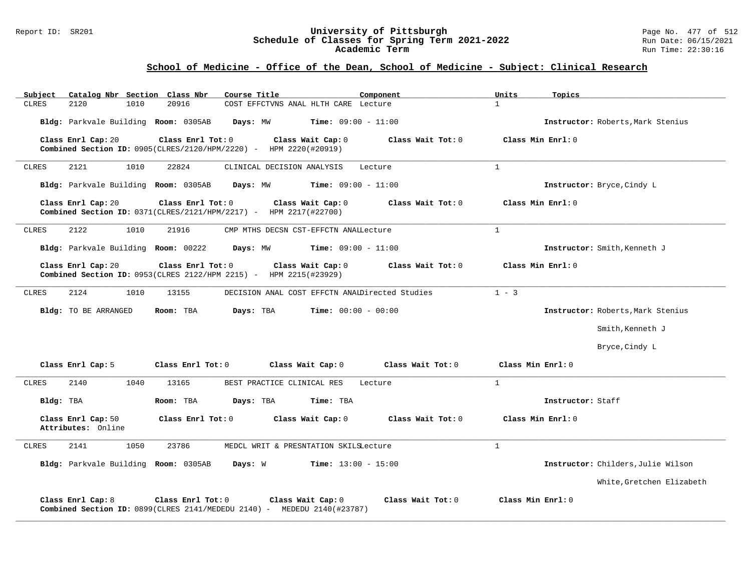#### Report ID: SR201 **University of Pittsburgh** Page No. 477 of 512 **Schedule of Classes for Spring Term 2021-2022** Run Date: 06/15/2021 **Academic Term** Run Time: 22:30:16

| Catalog Nbr Section Class Nbr<br>Subject | Course Title                                                                                                                 | Component         | Units<br>Topics                    |
|------------------------------------------|------------------------------------------------------------------------------------------------------------------------------|-------------------|------------------------------------|
| 1010<br><b>CLRES</b><br>2120             | 20916<br>COST EFFCTVNS ANAL HLTH CARE Lecture                                                                                |                   | $\mathbf{1}$                       |
| Bldg: Parkvale Building Room: 0305AB     | <b>Time:</b> $09:00 - 11:00$<br>Days: MW                                                                                     |                   | Instructor: Roberts, Mark Stenius  |
| Class Enrl Cap: 20                       | Class Enrl Tot: 0<br>Class Wait Cap: 0<br>Combined Section ID: 0905(CLRES/2120/HPM/2220) - HPM 2220(#20919)                  | Class Wait Tot: 0 | Class Min Enrl: 0                  |
| 2121<br>1010<br>CLRES                    | 22824<br>CLINICAL DECISION ANALYSIS                                                                                          | Lecture           | $\mathbf{1}$                       |
| Bldg: Parkvale Building Room: 0305AB     | <b>Time:</b> $09:00 - 11:00$<br>Days: MW                                                                                     |                   | Instructor: Bryce, Cindy L         |
| Class Enrl Cap: 20                       | Class Enrl Tot: 0<br>Class Wait Cap: 0<br>Combined Section ID: 0371(CLRES/2121/HPM/2217) - HPM 2217(#22700)                  | Class Wait Tot: 0 | Class Min Enrl: 0                  |
| <b>CLRES</b><br>2122<br>1010             | 21916<br>CMP MTHS DECSN CST-EFFCTN ANAILecture                                                                               |                   | $\mathbf{1}$                       |
| Bldg: Parkvale Building Room: 00222      | Days: MW<br><b>Time:</b> $09:00 - 11:00$                                                                                     |                   | Instructor: Smith, Kenneth J       |
| Class Enrl Cap: 20                       | Class Enrl Tot: 0<br>Class Wait Cap: 0<br>Combined Section ID: 0953(CLRES 2122/HPM 2215) - HPM 2215(#23929)                  | Class Wait Tot: 0 | Class Min Enrl: 0                  |
| <b>CLRES</b><br>2124<br>1010             | 13155<br>DECISION ANAL COST EFFCTN ANAIDirected Studies                                                                      |                   | $1 - 3$                            |
| Bldg: TO BE ARRANGED                     | Room: TBA<br>Days: TBA<br><b>Time:</b> $00:00 - 00:00$                                                                       |                   | Instructor: Roberts, Mark Stenius  |
|                                          |                                                                                                                              |                   | Smith, Kenneth J                   |
|                                          |                                                                                                                              |                   | Bryce, Cindy L                     |
| Class Enrl Cap: 5                        | Class Enrl Tot: 0<br>Class Wait Cap: 0                                                                                       | Class Wait Tot: 0 | Class Min Enrl: 0                  |
| 2140<br>1040<br><b>CLRES</b>             | 13165<br>BEST PRACTICE CLINICAL RES                                                                                          | Lecture           | $\mathbf{1}$                       |
| Bldg: TBA                                | Room: TBA<br>Days: TBA<br>Time: TBA                                                                                          |                   | Instructor: Staff                  |
| Class Enrl Cap: 50<br>Attributes: Online | Class Enrl Tot: 0<br>Class Wait Cap: 0                                                                                       | Class Wait Tot: 0 | Class Min Enrl: 0                  |
| 2141<br>1050<br>CLRES                    | 23786<br>MEDCL WRIT & PRESNTATION SKILSLecture                                                                               |                   | $\mathbf{1}$                       |
| Bldg: Parkvale Building Room: 0305AB     | Days: W<br><b>Time:</b> $13:00 - 15:00$                                                                                      |                   | Instructor: Childers, Julie Wilson |
|                                          |                                                                                                                              |                   | White, Gretchen Elizabeth          |
| Class Enrl Cap: 8                        | Class Enrl Tot: 0<br>Class Wait Cap: 0<br><b>Combined Section ID:</b> $0899$ (CLRES 2141/MEDEDU 2140) - MEDEDU 2140 (#23787) | Class Wait Tot: 0 | Class Min Enrl: 0                  |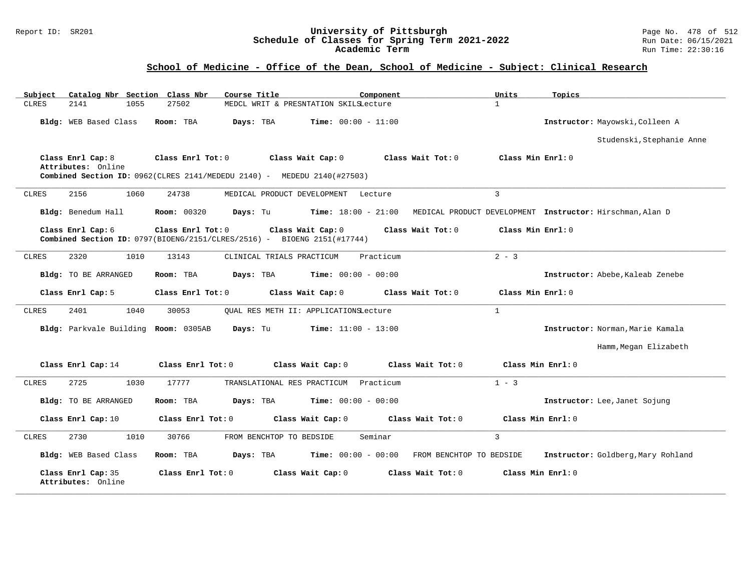#### Report ID: SR201 **University of Pittsburgh** Page No. 478 of 512 **Schedule of Classes for Spring Term 2021-2022** Run Date: 06/15/2021 **Academic Term** Run Time: 22:30:16

| Catalog Nbr Section Class Nbr<br>Subject | Course Title                                                                                 | Component                                         | Units<br>Topics                                           |
|------------------------------------------|----------------------------------------------------------------------------------------------|---------------------------------------------------|-----------------------------------------------------------|
| 2141<br>1055<br><b>CLRES</b>             | 27502                                                                                        | MEDCL WRIT & PRESNTATION SKILSLecture             | $\mathbf{1}$                                              |
| Bldg: WEB Based Class                    | Room: TBA<br>Days: TBA                                                                       | <b>Time:</b> $00:00 - 11:00$                      | Instructor: Mayowski, Colleen A                           |
|                                          |                                                                                              |                                                   | Studenski, Stephanie Anne                                 |
| Class Enrl Cap: 8<br>Attributes: Online  | Class Enrl Tot: 0                                                                            | Class Wait Cap: 0<br>Class Wait Tot: 0            | Class Min Enrl: 0                                         |
|                                          | Combined Section ID: 0962(CLRES 2141/MEDEDU 2140) - MEDEDU 2140(#27503)                      |                                                   |                                                           |
| <b>CLRES</b><br>2156<br>1060             | 24738                                                                                        | MEDICAL PRODUCT DEVELOPMENT Lecture               | $\overline{3}$                                            |
| Bldg: Benedum Hall                       | <b>Room: 00320</b><br>Days: Tu                                                               | $Time: 18:00 - 21:00$                             | MEDICAL PRODUCT DEVELOPMENT Instructor: Hirschman, Alan D |
| Class Enrl Cap: 6                        | Class Enrl Tot: 0<br>Combined Section ID: 0797(BIOENG/2151/CLRES/2516) - BIOENG 2151(#17744) | Class Wait Cap: 0<br>Class Wait Tot: 0            | Class Min Enrl: 0                                         |
| 2320<br><b>CLRES</b><br>1010             | 13143<br>CLINICAL TRIALS PRACTICUM                                                           | Practicum                                         | $2 - 3$                                                   |
| <b>Bldg:</b> TO BE ARRANGED              | Room: TBA<br>Days: TBA                                                                       | <b>Time:</b> $00:00 - 00:00$                      | Instructor: Abebe, Kaleab Zenebe                          |
| Class Enrl Cap: 5                        | Class Enrl Tot: 0                                                                            | Class Wait Cap: 0<br>Class Wait Tot: 0            | Class Min Enrl: 0                                         |
| 2401<br>1040<br>CLRES                    | 30053                                                                                        | OUAL RES METH II: APPLICATIONSLecture             | $\mathbf{1}$                                              |
| Bldg: Parkvale Building Room: 0305AB     | Days: Tu                                                                                     | <b>Time:</b> $11:00 - 13:00$                      | Instructor: Norman, Marie Kamala                          |
|                                          |                                                                                              |                                                   | Hamm, Megan Elizabeth                                     |
| Class Enrl Cap: 14                       | Class Enrl Tot: 0                                                                            | Class Wait Tot: 0<br>Class Wait Cap: 0            | Class Min Enrl: 0                                         |
| 2725<br>1030<br>CLRES                    | 17777<br>TRANSLATIONAL RES PRACTICUM                                                         | Practicum                                         | $1 - 3$                                                   |
| <b>Bldg:</b> TO BE ARRANGED              | Room: TBA<br>Days: TBA                                                                       | <b>Time:</b> $00:00 - 00:00$                      | Instructor: Lee, Janet Sojung                             |
| Class Enrl Cap: 10                       | Class Enrl Tot: 0                                                                            | Class Wait Cap: 0<br>Class Wait Tot: 0            | Class Min Enrl: 0                                         |
| 2730<br>1010<br>CLRES                    | 30766<br>FROM BENCHTOP TO BEDSIDE                                                            | Seminar                                           | $\overline{3}$                                            |
| Bldg: WEB Based Class                    | Days: TBA<br>Room: TBA                                                                       | $Time: 00:00 - 00:00$<br>FROM BENCHTOP TO BEDSIDE | Instructor: Goldberg, Mary Rohland                        |
| Class Enrl Cap: 35<br>Attributes: Online | Class Enrl Tot: 0                                                                            | Class Wait Cap: 0<br>Class Wait Tot: 0            | Class Min Enrl: 0                                         |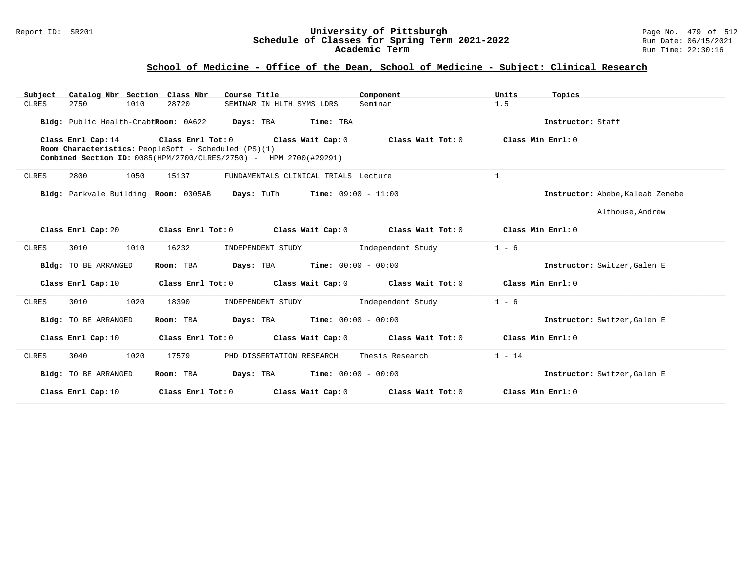### Report ID: SR201 **University of Pittsburgh** Page No. 479 of 512 **Schedule of Classes for Spring Term 2021-2022** Run Date: 06/15/2021 **Academic Term** Run Time: 22:30:16

| Catalog Nbr Section Class Nbr<br>Subject | Course Title                                                                                                              | Component         | Units<br>Topics                  |
|------------------------------------------|---------------------------------------------------------------------------------------------------------------------------|-------------------|----------------------------------|
| 2750<br>1010<br>CLRES                    | 28720<br>SEMINAR IN HLTH SYMS LDRS                                                                                        | Seminar           | 1.5                              |
| Bldg: Public Health-CrabtRoom: 0A622     | Days: TBA<br>Time: TBA                                                                                                    |                   | Instructor: Staff                |
| Class Enrl Cap: 14                       | Class Enrl Tot: 0 Class Wait Cap: 0                                                                                       | Class Wait Tot: 0 | Class Min Enrl: 0                |
|                                          | Room Characteristics: PeopleSoft - Scheduled (PS)(1)<br>Combined Section ID: 0085(HPM/2700/CLRES/2750) - HPM 2700(#29291) |                   |                                  |
|                                          |                                                                                                                           |                   |                                  |
| 2800<br>1050<br><b>CLRES</b>             | 15137<br>FUNDAMENTALS CLINICAL TRIALS Lecture                                                                             |                   | $\mathbf{1}$                     |
| Bldg: Parkvale Building Room: 0305AB     | <b>Days:</b> TuTh <b>Time:</b> $09:00 - 11:00$                                                                            |                   | Instructor: Abebe, Kaleab Zenebe |
|                                          |                                                                                                                           |                   | Althouse, Andrew                 |
| Class Enrl Cap: 20                       | Class Enrl Tot: 0<br>Class Wait Cap: 0                                                                                    | Class Wait Tot: 0 | Class Min Enrl: 0                |
| 3010<br>1010<br>CLRES                    | 16232<br>INDEPENDENT STUDY                                                                                                | Independent Study | $1 - 6$                          |
| Bldg: TO BE ARRANGED                     | $Time: 00:00 - 00:00$<br>Room: TBA<br>Days: TBA                                                                           |                   | Instructor: Switzer, Galen E     |
| Class Enrl Cap: 10                       | Class Enrl Tot: 0 Class Wait Cap: 0                                                                                       | Class Wait Tot: 0 | Class Min Enrl: 0                |
| 1020<br><b>CLRES</b><br>3010             | 18390<br>INDEPENDENT STUDY                                                                                                | Independent Study | $1 - 6$                          |
| Bldg: TO BE ARRANGED                     | <b>Days:</b> TBA <b>Time:</b> $00:00 - 00:00$<br>Room: TBA                                                                |                   | Instructor: Switzer, Galen E     |
| Class Enrl Cap: 10                       | Class Enrl Tot: 0<br>Class Wait Cap: 0                                                                                    | Class Wait Tot: 0 | Class Min Enrl: 0                |
| 1020<br><b>CLRES</b><br>3040             | 17579<br>PHD DISSERTATION RESEARCH                                                                                        | Thesis Research   | $1 - 14$                         |
| Bldg: TO BE ARRANGED                     | <b>Days:</b> TBA <b>Time:</b> $00:00 - 00:00$<br>Room: TBA                                                                |                   | Instructor: Switzer, Galen E     |
| Class Enrl Cap: 10                       | Class Enrl Tot: 0<br>Class Wait Cap: 0                                                                                    | Class Wait Tot: 0 | Class Min Enrl: 0                |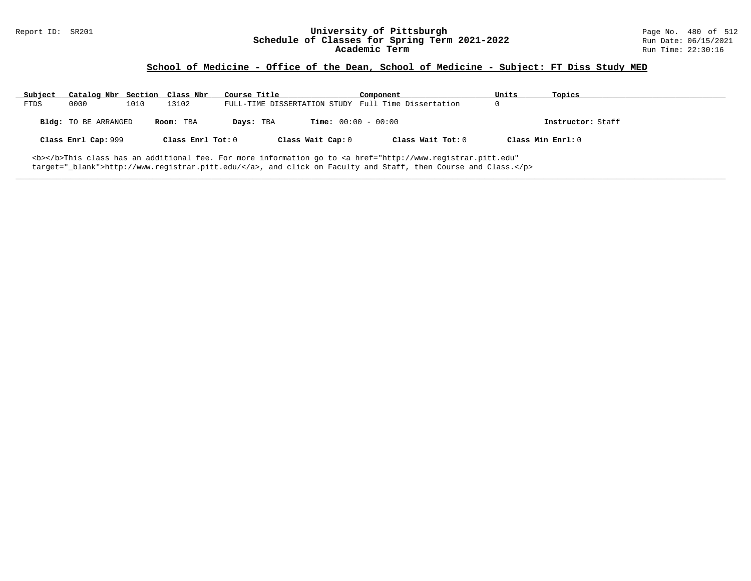# Report ID: SR201 **University of Pittsburgh University of Pittsburgh** Page No. 480 of 512<br>**Schedule of Classes for Spring Term 2021-2022** Run Date: 06/15/2021 Schedule of Classes for Spring Term 2021-2022<br>**Academic Term**

### **School of Medicine - Office of the Dean, School of Medicine - Subject: FT Diss Study MED**

| Subject | Catalog Nbr Section Class Nbr                                                                                                |      |                   | Course Title |                              | Component                                           | Units |                   | Topics            |  |
|---------|------------------------------------------------------------------------------------------------------------------------------|------|-------------------|--------------|------------------------------|-----------------------------------------------------|-------|-------------------|-------------------|--|
| FTDS    | 0000                                                                                                                         | 1010 | 13102             |              |                              | FULL-TIME DISSERTATION STUDY Full Time Dissertation | 0     |                   |                   |  |
|         | Bldg: TO BE ARRANGED                                                                                                         |      | Room: TBA         | Days: TBA    | <b>Time:</b> $00:00 - 00:00$ |                                                     |       |                   | Instructor: Staff |  |
|         | Class Enrl Cap: 999                                                                                                          |      | Class Enrl Tot: 0 |              | Class Wait Cap: 0            | Class Wait Tot: 0                                   |       | Class Min Enrl: 0 |                   |  |
|         | <b></b> This class has an additional fee. For more information go to <a <="" href="http://www.registrar.pitt.edu" td=""></a> |      |                   |              |                              |                                                     |       |                   |                   |  |

**\_\_\_\_\_\_\_\_\_\_\_\_\_\_\_\_\_\_\_\_\_\_\_\_\_\_\_\_\_\_\_\_\_\_\_\_\_\_\_\_\_\_\_\_\_\_\_\_\_\_\_\_\_\_\_\_\_\_\_\_\_\_\_\_\_\_\_\_\_\_\_\_\_\_\_\_\_\_\_\_\_\_\_\_\_\_\_\_\_\_\_\_\_\_\_\_\_\_\_\_\_\_\_\_\_\_\_\_\_\_\_\_\_\_\_\_\_\_\_\_\_\_\_\_\_\_\_\_\_\_\_\_\_\_\_\_\_\_\_\_\_\_\_\_\_\_\_\_\_\_\_\_\_\_\_\_**

target="\_blank">http://www.registrar.pitt.edu/</a>, and click on Faculty and Staff, then Course and Class.</p>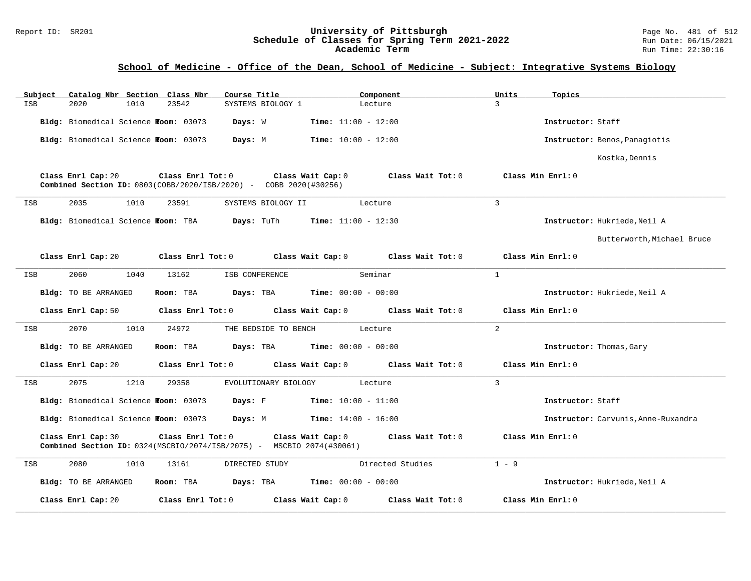### Report ID: SR201 **University of Pittsburgh** Page No. 481 of 512 **Schedule of Classes for Spring Term 2021-2022** Run Date: 06/15/2021 **Academic Term** Run Time: 22:30:16

# **School of Medicine - Office of the Dean, School of Medicine - Subject: Integrative Systems Biology**

| Subject | Catalog Nbr Section Class Nbr        |      |                     | Course Title                                                             |                              | Component         | Units          | Topics                              |
|---------|--------------------------------------|------|---------------------|--------------------------------------------------------------------------|------------------------------|-------------------|----------------|-------------------------------------|
| ISB     | 2020                                 | 1010 | 23542               | SYSTEMS BIOLOGY 1                                                        |                              | Lecture           | 3              |                                     |
|         | Bldg: Biomedical Science Room: 03073 |      |                     | Days: W                                                                  | <b>Time:</b> $11:00 - 12:00$ |                   |                | Instructor: Staff                   |
|         | Bldg: Biomedical Science Room: 03073 |      |                     | Days: M                                                                  | <b>Time:</b> $10:00 - 12:00$ |                   |                | Instructor: Benos, Panagiotis       |
|         |                                      |      |                     |                                                                          |                              |                   |                | Kostka, Dennis                      |
|         | Class Enrl Cap: 20                   |      | Class Enrl Tot: 0   | <b>Combined Section ID:</b> 0803(COBB/2020/ISB/2020) - COBB 2020(#30256) | Class Wait Cap: 0            | Class Wait Tot: 0 |                | Class Min Enrl: 0                   |
| ISB     | 2035                                 | 1010 | 23591               | SYSTEMS BIOLOGY II                                                       |                              | Lecture           | 3              |                                     |
|         | Bldg: Biomedical Science Room: TBA   |      |                     | Days: TuTh                                                               | <b>Time:</b> $11:00 - 12:30$ |                   |                | Instructor: Hukriede, Neil A        |
|         |                                      |      |                     |                                                                          |                              |                   |                | Butterworth, Michael Bruce          |
|         | Class Enrl Cap: 20                   |      | Class Enrl Tot: 0   |                                                                          | Class Wait Cap: 0            | Class Wait Tot: 0 |                | Class Min Enrl: 0                   |
| ISB     | 2060                                 | 1040 | 13162               | ISB CONFERENCE                                                           |                              | Seminar           | $\mathbf{1}$   |                                     |
|         | <b>Bldg:</b> TO BE ARRANGED          |      | Room: TBA           | Days: TBA                                                                | <b>Time:</b> $00:00 - 00:00$ |                   |                | Instructor: Hukriede, Neil A        |
|         | Class Enrl Cap: 50                   |      | Class Enrl Tot: 0   |                                                                          | Class Wait Cap: 0            | Class Wait Tot: 0 |                | Class Min Enrl: 0                   |
| ISB     | 2070                                 | 1010 | 24972               | THE BEDSIDE TO BENCH                                                     |                              | Lecture           | 2              |                                     |
|         | Bldg: TO BE ARRANGED                 |      | Room: TBA           | Days: TBA                                                                | <b>Time:</b> $00:00 - 00:00$ |                   |                | Instructor: Thomas, Gary            |
|         | Class Enrl Cap: 20                   |      | Class Enrl Tot: 0   |                                                                          | Class Wait Cap: 0            | Class Wait Tot: 0 |                | Class Min Enrl: 0                   |
| ISB     | 2075                                 | 1210 | 29358               | EVOLUTIONARY BIOLOGY                                                     |                              | Lecture           | $\overline{3}$ |                                     |
|         | Bldg: Biomedical Science Room: 03073 |      |                     | Days: F                                                                  | $Time: 10:00 - 11:00$        |                   |                | Instructor: Staff                   |
|         | Bldg: Biomedical Science Room: 03073 |      |                     | Days: M                                                                  | $Time: 14:00 - 16:00$        |                   |                | Instructor: Carvunis, Anne-Ruxandra |
|         | Class Enrl Cap: 30                   |      | Class Enrl Tot: 0   | Combined Section ID: 0324(MSCBIO/2074/ISB/2075) - MSCBIO 2074(#30061)    | Class Wait Cap: 0            | Class Wait Tot: 0 |                | Class Min Enrl: 0                   |
| ISB     | 2080                                 | 1010 | 13161               | DIRECTED STUDY                                                           |                              | Directed Studies  | $1 - 9$        |                                     |
|         | <b>Bldg:</b> TO BE ARRANGED          |      | Room: TBA           | Days: TBA                                                                | <b>Time:</b> $00:00 - 00:00$ |                   |                | Instructor: Hukriede, Neil A        |
|         | Class Enrl Cap: 20                   |      | Class Enrl Tot: $0$ |                                                                          | Class Wait Cap: 0            | Class Wait Tot: 0 |                | Class Min Enrl: 0                   |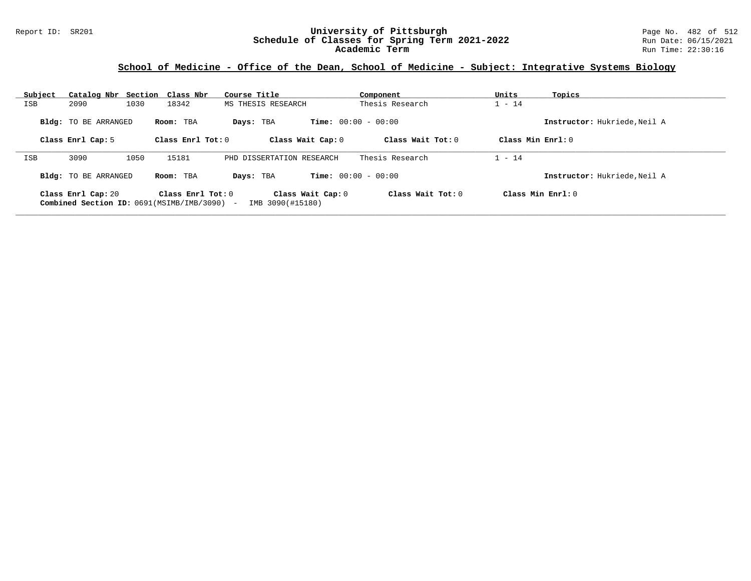### Report ID: SR201 **University of Pittsburgh** Page No. 482 of 512 **Schedule of Classes for Spring Term 2021-2022** Run Date: 06/15/2021 **Academic Term** Run Time: 22:30:16

# **School of Medicine - Office of the Dean, School of Medicine - Subject: Integrative Systems Biology**

| Subject    | Catalog Nbr Section Class Nbr |           |                                                                    | Course Title                              | Component           | Units               | Topics                       |
|------------|-------------------------------|-----------|--------------------------------------------------------------------|-------------------------------------------|---------------------|---------------------|------------------------------|
| ISB        | 2090                          | 1030      | 18342                                                              | MS THESIS RESEARCH                        | Thesis Research     | $1 - 14$            |                              |
|            | <b>Bldg:</b> TO BE ARRANGED   | Room: TBA |                                                                    | <b>Time:</b> $00:00 - 00:00$<br>Days: TBA |                     |                     | Instructor: Hukriede, Neil A |
|            | Class Enrl Cap: 5             |           | Class Enrl Tot: $0$                                                | Class Wait Cap: 0                         | Class Wait Tot: $0$ | Class Min $Enrl: 0$ |                              |
| <b>ISB</b> | 3090                          | 1050      | 15181                                                              | PHD DISSERTATION RESEARCH                 | Thesis Research     | $1 - 14$            |                              |
|            | <b>Bldg:</b> TO BE ARRANGED   | Room: TBA |                                                                    | <b>Time:</b> $00:00 - 00:00$<br>Days: TBA |                     |                     | Instructor: Hukriede, Neil A |
|            | Class Enrl Cap: 20            |           | Class Enrl Tot: $0$<br>Combined Section ID: 0691(MSIMB/IMB/3090) - | Class Wait Cap: 0<br>IMB 3090(#15180)     | Class Wait $Tot: 0$ | Class Min $Enrl: 0$ |                              |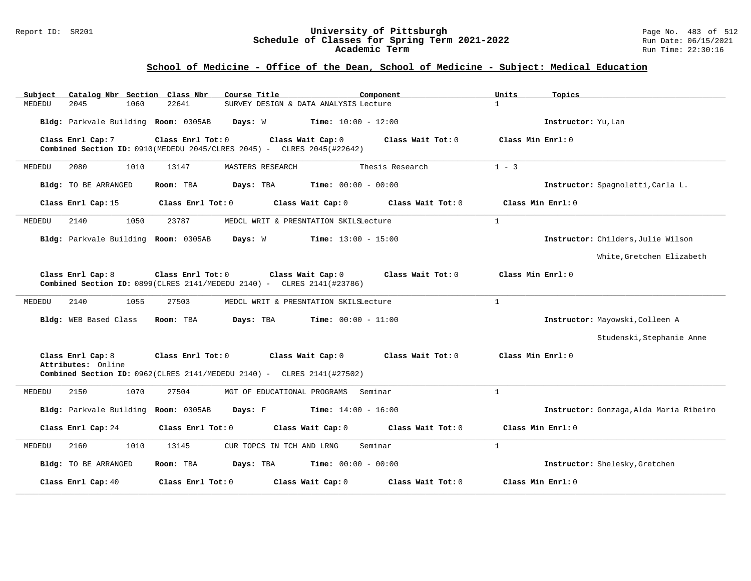#### Report ID: SR201 **University of Pittsburgh** Page No. 483 of 512 **Schedule of Classes for Spring Term 2021-2022** Run Date: 06/15/2021 **Academic Term** Run Time: 22:30:16

# **School of Medicine - Office of the Dean, School of Medicine - Subject: Medical Education**

| Catalog Nbr Section Class Nbr<br>Subject | Course Title                                                                                                                        | Component<br>Units         | Topics                                  |
|------------------------------------------|-------------------------------------------------------------------------------------------------------------------------------------|----------------------------|-----------------------------------------|
| 1060<br>22641<br>MEDEDU<br>2045          | SURVEY DESIGN & DATA ANALYSIS Lecture                                                                                               | $\mathbf{1}$               |                                         |
| Bldg: Parkvale Building Room: 0305AB     | Time: $10:00 - 12:00$<br>Days: W                                                                                                    |                            | Instructor: Yu, Lan                     |
| Class Enrl Cap: 7                        | Class Enrl Tot: 0<br>Class Wait Cap: 0<br>Combined Section ID: 0910 (MEDEDU 2045/CLRES 2045) - CLRES 2045 (#22642)                  | Class Wait Tot: 0          | Class Min Enrl: 0                       |
| 1010<br>13147<br>MEDEDU<br>2080          | MASTERS RESEARCH                                                                                                                    | $1 - 3$<br>Thesis Research |                                         |
| Bldg: TO BE ARRANGED<br>Room: TBA        | Days: TBA<br><b>Time:</b> $00:00 - 00:00$                                                                                           |                            | Instructor: Spagnoletti, Carla L.       |
| Class Enrl Cap: 15                       | Class Enrl Tot: 0<br>Class Wait Cap: 0                                                                                              | Class Wait Tot: 0          | Class Min Enrl: 0                       |
| 2140<br>1050<br>23787<br>MEDEDU          | MEDCL WRIT & PRESNTATION SKILSLecture                                                                                               | $\mathbf{1}$               |                                         |
| Bldg: Parkvale Building Room: 0305AB     | Days: W<br><b>Time:</b> $13:00 - 15:00$                                                                                             |                            | Instructor: Childers, Julie Wilson      |
|                                          |                                                                                                                                     |                            | White, Gretchen Elizabeth               |
| Class Enrl Cap: 8                        | Class Enrl Tot: 0<br>Class Wait Cap: 0<br><b>Combined Section ID:</b> $0899$ (CLRES $2141$ /MEDEDU $2140$ ) - CLRES $2141$ (#23786) | Class Wait Tot: 0          | Class Min Enrl: 0                       |
| MEDEDU<br>2140<br>1055<br>27503          | MEDCL WRIT & PRESNTATION SKILSLecture                                                                                               | $\mathbf{1}$               |                                         |
| Bldg: WEB Based Class<br>Room: TBA       | Days: TBA<br><b>Time:</b> $00:00 - 11:00$                                                                                           |                            | Instructor: Mayowski, Colleen A         |
|                                          |                                                                                                                                     |                            | Studenski, Stephanie Anne               |
| Class Enrl Cap: 8<br>Attributes: Online  | Class Enrl Tot: 0<br>Class Wait Cap: 0                                                                                              | Class Wait Tot: 0          | Class Min Enrl: 0                       |
|                                          | <b>Combined Section ID:</b> $0962$ (CLRES 2141/MEDEDU 2140) - CLRES 2141(#27502)                                                    |                            |                                         |
| 27504<br>MEDEDU<br>2150<br>1070          | Seminar<br>MGT OF EDUCATIONAL PROGRAMS                                                                                              | $\mathbf{1}$               |                                         |
| Bldg: Parkvale Building Room: 0305AB     | Days: F<br><b>Time:</b> $14:00 - 16:00$                                                                                             |                            | Instructor: Gonzaga, Alda Maria Ribeiro |
| Class Enrl Cap: 24                       | Class Enrl Tot: 0<br>Class Wait Cap: 0                                                                                              | Class Wait Tot: 0          | Class Min Enrl: 0                       |
| 2160<br>1010<br>13145<br>MEDEDU          | CUR TOPCS IN TCH AND LRNG<br>Seminar                                                                                                | $\mathbf{1}$               |                                         |
| Bldg: TO BE ARRANGED<br>Room: TBA        | Days: TBA<br><b>Time:</b> $00:00 - 00:00$                                                                                           |                            | Instructor: Shelesky, Gretchen          |
| Class Enrl Cap: 40                       | Class Enrl Tot: 0<br>Class Wait Cap: 0                                                                                              | Class Wait Tot: 0          | Class Min Enrl: 0                       |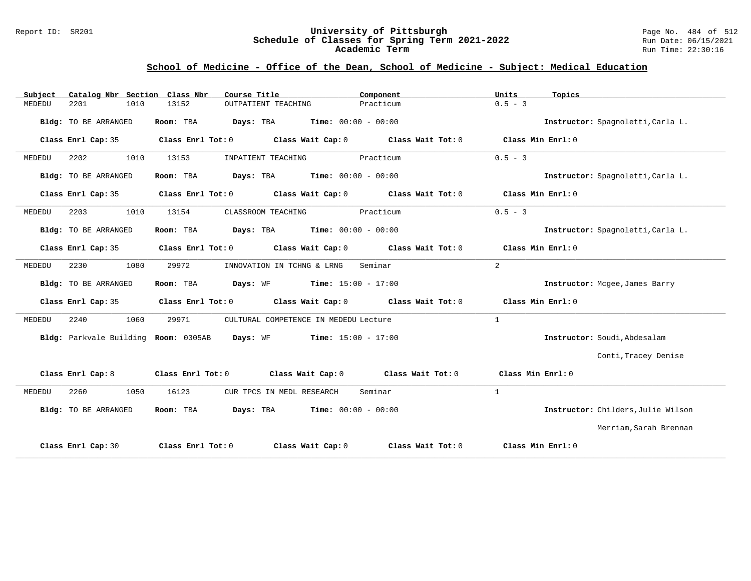### Report ID: SR201 **University of Pittsburgh** Page No. 484 of 512 **Schedule of Classes for Spring Term 2021-2022** Run Date: 06/15/2021 **Academic Term** Run Time: 22:30:16

# **School of Medicine - Office of the Dean, School of Medicine - Subject: Medical Education**

| Catalog Nbr Section Class Nbr<br>Subject | Course Title                                               | Component         | Units<br>Topics                    |
|------------------------------------------|------------------------------------------------------------|-------------------|------------------------------------|
| 2201<br>1010<br>MEDEDU                   | 13152<br>OUTPATIENT TEACHING                               | Practicum         | $0.5 - 3$                          |
| Bldg: TO BE ARRANGED                     | Room: TBA<br><b>Days:</b> TBA <b>Time:</b> $00:00 - 00:00$ |                   | Instructor: Spagnoletti, Carla L.  |
| Class Enrl Cap: 35                       | Class Enrl Tot: 0 Class Wait Cap: 0                        | Class Wait Tot: 0 | Class Min Enrl: 0                  |
| 2202<br>1010<br>MEDEDU                   | 13153<br>INPATIENT TEACHING                                | Practicum         | $0.5 - 3$                          |
| Bldg: TO BE ARRANGED                     | $Time: 00:00 - 00:00$<br>Room: TBA<br>Days: TBA            |                   | Instructor: Spagnoletti, Carla L.  |
| Class Enrl Cap: 35                       | Class Enrl Tot: 0<br>Class Wait Cap: 0                     | Class Wait Tot: 0 | Class Min Enrl: 0                  |
| 2203<br>1010<br>MEDEDU                   | 13154<br>CLASSROOM TEACHING                                | Practicum         | $0.5 - 3$                          |
| Bldg: TO BE ARRANGED                     | <b>Days:</b> TBA <b>Time:</b> $00:00 - 00:00$<br>Room: TBA |                   | Instructor: Spagnoletti, Carla L.  |
| Class Enrl Cap: 35                       | Class Enrl Tot: 0 Class Wait Cap: 0                        | Class Wait Tot: 0 | Class Min Enrl: 0                  |
| 2230<br>1080<br>MEDEDU                   | 29972<br>INNOVATION IN TCHNG & LRNG                        | Seminar           | 2                                  |
| Bldg: TO BE ARRANGED                     | Room: TBA<br>Days: WF<br>$Time: 15:00 - 17:00$             |                   | Instructor: Mcgee, James Barry     |
| Class Enrl Cap: 35                       | Class Enrl Tot: 0<br>Class Wait Cap: 0                     | Class Wait Tot: 0 | Class Min Enrl: 0                  |
| 1060<br>MEDEDU<br>2240                   | 29971<br>CULTURAL COMPETENCE IN MEDEDU Lecture             |                   | $\mathbf{1}$                       |
| Bldg: Parkvale Building Room: 0305AB     | Days: WF<br>$Time: 15:00 - 17:00$                          |                   | Instructor: Soudi, Abdesalam       |
|                                          |                                                            |                   | Conti, Tracey Denise               |
| Class Enrl Cap: 8                        | Class Wait Cap: 0<br>Class Enrl Tot: 0                     | Class Wait Tot: 0 | Class Min Enrl: 0                  |
| 2260<br>1050<br>MEDEDU                   | 16123<br>CUR TPCS IN MEDL RESEARCH                         | Seminar           | $\mathbf{1}$                       |
| Bldg: TO BE ARRANGED                     | Days: TBA<br>$Time: 00:00 - 00:00$<br>Room: TBA            |                   | Instructor: Childers, Julie Wilson |
|                                          |                                                            |                   | Merriam, Sarah Brennan             |
| Class Enrl Cap: 30                       | Class Enrl Tot: 0<br>Class Wait Cap: 0                     | Class Wait Tot: 0 | Class Min Enrl: 0                  |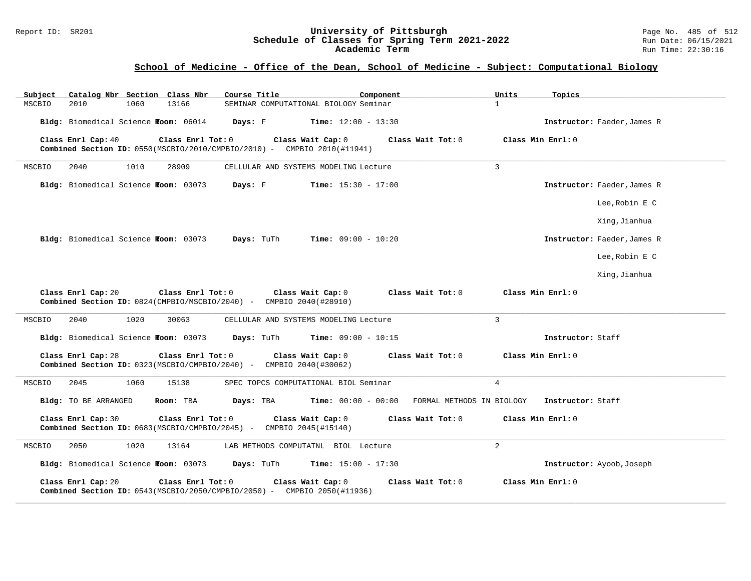### Report ID: SR201 **University of Pittsburgh** Page No. 485 of 512 **Schedule of Classes for Spring Term 2021-2022** Run Date: 06/15/2021 **Academic Term** Run Time: 22:30:16

# **School of Medicine - Office of the Dean, School of Medicine - Subject: Computational Biology**

| Subject | Catalog Nbr Section Class Nbr        |      |                                              | Course Title                                                        |                                                                                                        | Component                 | Units          | Topics                      |
|---------|--------------------------------------|------|----------------------------------------------|---------------------------------------------------------------------|--------------------------------------------------------------------------------------------------------|---------------------------|----------------|-----------------------------|
| MSCBIO  | 2010                                 | 1060 | 13166                                        |                                                                     | SEMINAR COMPUTATIONAL BIOLOGY Seminar                                                                  |                           | $\mathbf{1}$   |                             |
|         |                                      |      | Bldg: Biomedical Science Foom: 06014 Days: F |                                                                     | $Time: 12:00 - 13:30$                                                                                  |                           |                | Instructor: Faeder, James R |
|         | Class Enrl Cap: 40                   |      | Class Enrl Tot: 0                            |                                                                     | Class Wait Cap: 0<br><b>Combined Section ID:</b> $0550(MSCBIO/2010/CMPBIO/2010)$ - CMPBIO 2010(#11941) | Class Wait Tot: 0         |                | Class Min Enrl: 0           |
| MSCBIO  | 2040                                 | 1010 | 28909                                        |                                                                     | CELLULAR AND SYSTEMS MODELING Lecture                                                                  |                           | $\overline{3}$ |                             |
|         |                                      |      | Bldg: Biomedical Science Froom: 03073        | Days: F                                                             | <b>Time:</b> $15:30 - 17:00$                                                                           |                           |                | Instructor: Faeder, James R |
|         |                                      |      |                                              |                                                                     |                                                                                                        |                           |                | Lee, Robin E C              |
|         |                                      |      |                                              |                                                                     |                                                                                                        |                           |                | Xing, Jianhua               |
|         |                                      |      | Bldg: Biomedical Science Room: 03073         |                                                                     | <b>Days:</b> TuTh <b>Time:</b> $09:00 - 10:20$                                                         |                           |                | Instructor: Faeder, James R |
|         |                                      |      |                                              |                                                                     |                                                                                                        |                           |                | Lee, Robin E C              |
|         |                                      |      |                                              |                                                                     |                                                                                                        |                           |                | Xing, Jianhua               |
|         | Class Enrl Cap: 20                   |      | Class Enrl Tot: 0                            | Combined Section ID: 0824(CMPBIO/MSCBIO/2040) - CMPBIO 2040(#28910) | Class Wait Cap: 0                                                                                      | Class Wait Tot: 0         |                | Class Min Enrl: 0           |
| MSCBIO  | 2040                                 | 1020 | 30063                                        |                                                                     | CELLULAR AND SYSTEMS MODELING Lecture                                                                  |                           | $\mathbf{3}$   |                             |
|         | Bldg: Biomedical Science Room: 03073 |      |                                              | Days: TuTh                                                          | <b>Time:</b> $09:00 - 10:15$                                                                           |                           |                | Instructor: Staff           |
|         | Class Enrl Cap: 28                   |      | Class Enrl Tot: 0                            | Combined Section ID: 0323(MSCBIO/CMPBIO/2040) - CMPBIO 2040(#30062) | Class Wait Cap: 0                                                                                      | Class Wait Tot: 0         |                | Class Min Enrl: 0           |
| MSCBIO  | 2045                                 | 1060 | 15138                                        |                                                                     | SPEC TOPCS COMPUTATIONAL BIOL Seminar                                                                  |                           | $\overline{4}$ |                             |
|         | Bldg: TO BE ARRANGED                 |      | Room: TBA                                    | Days: TBA                                                           | <b>Time:</b> $00:00 - 00:00$                                                                           | FORMAL METHODS IN BIOLOGY |                | Instructor: Staff           |
|         | Class Enrl Cap: 30                   |      | Class Enrl Tot: 0                            | Combined Section ID: 0683(MSCBIO/CMPBIO/2045) - CMPBIO 2045(#15140) | Class Wait Cap: 0                                                                                      | Class Wait Tot: 0         |                | Class Min Enrl: 0           |
| MSCBIO  | 2050                                 | 1020 | 13164                                        |                                                                     | LAB METHODS COMPUTATNL BIOL Lecture                                                                    |                           | $\overline{a}$ |                             |
|         |                                      |      |                                              | Bldg: Biomedical Science Foom: 03073 Days: TuTh                     | <b>Time:</b> $15:00 - 17:30$                                                                           |                           |                | Instructor: Ayoob, Joseph   |
|         | Class Enrl Cap: 20                   |      | Class Enrl Tot: 0                            |                                                                     | Class Wait Cap: 0<br><b>Combined Section ID:</b> $0543(MSCBIO/2050/CMPBIO/2050)$ - CMPBIO 2050(#11936) | Class Wait Tot: 0         |                | Class Min Enrl: 0           |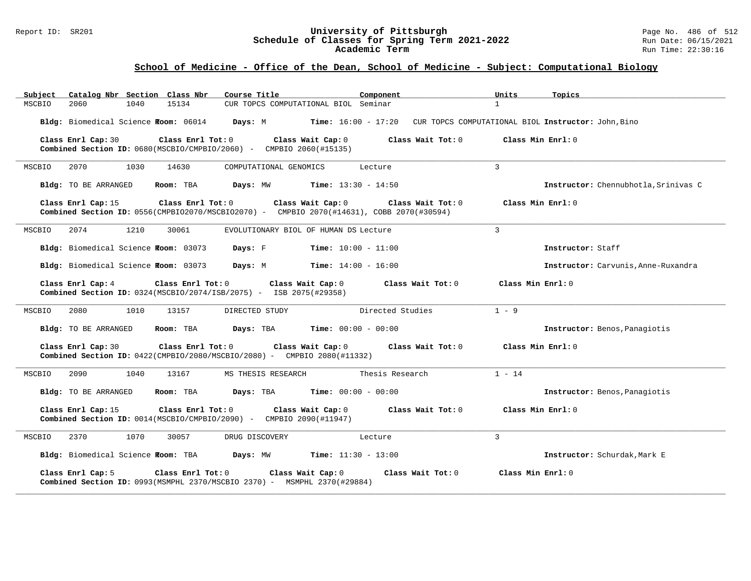#### Report ID: SR201 **University of Pittsburgh** Page No. 486 of 512 **Schedule of Classes for Spring Term 2021-2022** Run Date: 06/15/2021 **Academic Term** Run Time: 22:30:16

# **School of Medicine - Office of the Dean, School of Medicine - Subject: Computational Biology**

| Catalog Nbr Section Class Nbr<br>Subject     | Course Title                                                                                                                        | Component<br>Units                                                      | Topics                               |
|----------------------------------------------|-------------------------------------------------------------------------------------------------------------------------------------|-------------------------------------------------------------------------|--------------------------------------|
| 2060<br>1040<br>MSCBIO                       | CUR TOPCS COMPUTATIONAL BIOL Seminar<br>15134                                                                                       | $\mathbf{1}$                                                            |                                      |
| Bldg: Biomedical Science Foom: 06014 Days: M |                                                                                                                                     | Time: 16:00 - 17:20 CUR TOPCS COMPUTATIONAL BIOL Instructor: John, Bino |                                      |
| Class Enrl Cap: 30                           | Class Enrl Tot: 0 Class Wait Cap: 0<br>Combined Section ID: 0680(MSCBIO/CMPBIO/2060) - CMPBIO 2060(#15135)                          | Class Wait Tot: 0                                                       | Class Min Enrl: 0                    |
| 2070<br>1030<br>MSCBIO                       | 14630<br>COMPUTATIONAL GENOMICS                                                                                                     | 3<br>Lecture                                                            |                                      |
| Bldg: TO BE ARRANGED                         | Room: TBA<br>Days: MW<br><b>Time:</b> $13:30 - 14:50$                                                                               |                                                                         | Instructor: Chennubhotla, Srinivas C |
| Class Enrl Cap: 15                           | Class Enrl Tot: 0<br>Class Wait Cap: 0<br>Combined Section ID: 0556(CMPBIO2070/MSCBIO2070) - CMPBIO 2070(#14631), COBB 2070(#30594) | Class Wait Tot: 0                                                       | Class Min Enrl: 0                    |
| 2074<br>1210<br>MSCBIO                       | 30061<br>EVOLUTIONARY BIOL OF HUMAN DS Lecture                                                                                      | 3                                                                       |                                      |
| Bldg: Biomedical Science Room: 03073         | Days: F<br>$Time: 10:00 - 11:00$                                                                                                    |                                                                         | Instructor: Staff                    |
| Bldg: Biomedical Science Room: 03073         | Days: M<br>$Time: 14:00 - 16:00$                                                                                                    |                                                                         | Instructor: Carvunis, Anne-Ruxandra  |
| Class Enrl Cap: 4                            | Class Enrl Tot: 0<br>Class Wait Cap: 0<br><b>Combined Section ID:</b> $0324(MSCBIO/2074/ISB/2075) - ISB 2075(#29358)$               | Class Wait Tot: 0                                                       | Class Min Enrl: 0                    |
| 2080<br>MSCBIO<br>1010                       | 13157<br>DIRECTED STUDY                                                                                                             | $1 - 9$<br>Directed Studies                                             |                                      |
| Bldg: TO BE ARRANGED                         | <b>Time:</b> $00:00 - 00:00$<br>Room: TBA<br>Days: TBA                                                                              |                                                                         | Instructor: Benos, Panagiotis        |
| Class Enrl Cap: 30                           | Class Enrl Tot: 0 Class Wait Cap: 0<br><b>Combined Section ID:</b> $0422$ (CMPBIO/2080/MSCBIO/2080) - CMPBIO 2080(#11332)           | Class Wait Tot: 0                                                       | Class Min Enrl: 0                    |
| 2090<br>1040<br>MSCBIO                       | 13167<br>MS THESIS RESEARCH                                                                                                         | $1 - 14$<br>Thesis Research                                             |                                      |
| Bldg: TO BE ARRANGED                         | Room: TBA<br>Days: TBA<br><b>Time:</b> $00:00 - 00:00$                                                                              |                                                                         | Instructor: Benos, Panagiotis        |
| Class Enrl Cap: 15                           | Class Enrl Tot: 0<br>Class Wait Cap: 0<br>Combined Section ID: 0014(MSCBIO/CMPBIO/2090) - CMPBIO 2090(#11947)                       | Class Wait Tot: $0$ $C$ lass Min Enrl: $0$                              |                                      |
| 1070<br>MSCBIO<br>2370                       | 30057<br>DRUG DISCOVERY                                                                                                             | $\mathbf{3}$<br>Lecture                                                 |                                      |
| Bldg: Biomedical Science Room: TBA Days: MW  | <b>Time:</b> $11:30 - 13:00$                                                                                                        |                                                                         | Instructor: Schurdak, Mark E         |
| Class Enrl Cap: 5                            | Class Enrl Tot: 0<br>Class Wait Cap: 0<br>Combined Section ID: 0993(MSMPHL 2370/MSCBIO 2370) - MSMPHL 2370(#29884)                  | Class Wait Tot: 0                                                       | Class Min Enrl: 0                    |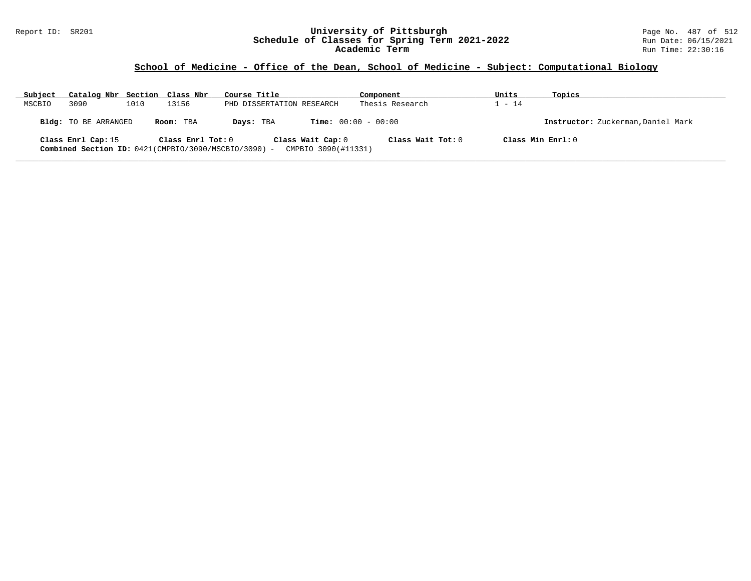### Report ID: SR201 **University of Pittsburgh** Page No. 487 of 512 **Schedule of Classes for Spring Term 2021-2022** Run Date: 06/15/2021 **Academic Term** Run Time: 22:30:16

# **School of Medicine - Office of the Dean, School of Medicine - Subject: Computational Biology**

| Subject | Catalog Nbr Section Class Nbr                                              |      |                   | Course Title              |                                          | Component         | Units             | Topics                             |
|---------|----------------------------------------------------------------------------|------|-------------------|---------------------------|------------------------------------------|-------------------|-------------------|------------------------------------|
| MSCBIO  | 3090                                                                       | 1010 | 13156             | PHD DISSERTATION RESEARCH |                                          | Thesis Research   | $-14$             |                                    |
|         | Bldg: TO BE ARRANGED                                                       |      | Room: TBA         | Days: TBA                 | <b>Time:</b> $00:00 - 00:00$             |                   |                   | Instructor: Zuckerman, Daniel Mark |
|         | Class Enrl Cap: 15<br>Combined Section ID: 0421(CMPBIO/3090/MSCBIO/3090) - |      | Class Enrl Tot: 0 |                           | Class Wait Cap: 0<br>CMPBIO 3090(#11331) | Class Wait Tot: 0 | Class Min Enrl: 0 |                                    |

**\_\_\_\_\_\_\_\_\_\_\_\_\_\_\_\_\_\_\_\_\_\_\_\_\_\_\_\_\_\_\_\_\_\_\_\_\_\_\_\_\_\_\_\_\_\_\_\_\_\_\_\_\_\_\_\_\_\_\_\_\_\_\_\_\_\_\_\_\_\_\_\_\_\_\_\_\_\_\_\_\_\_\_\_\_\_\_\_\_\_\_\_\_\_\_\_\_\_\_\_\_\_\_\_\_\_\_\_\_\_\_\_\_\_\_\_\_\_\_\_\_\_\_\_\_\_\_\_\_\_\_\_\_\_\_\_\_\_\_\_\_\_\_\_\_\_\_\_\_\_\_\_\_\_\_\_**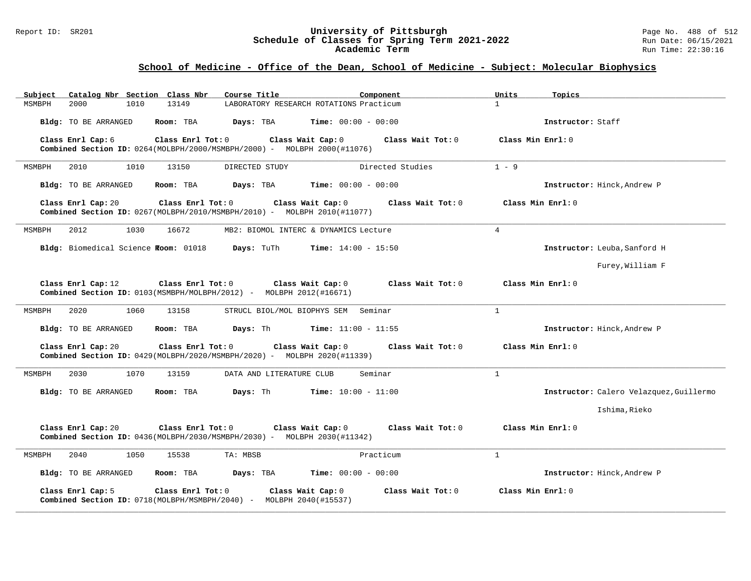#### Report ID: SR201 **University of Pittsburgh** Page No. 488 of 512 **Schedule of Classes for Spring Term 2021-2022** Run Date: 06/15/2021 **Academic Term** Run Time: 22:30:16

# **School of Medicine - Office of the Dean, School of Medicine - Subject: Molecular Biophysics**

| Subject              |                                      | Catalog Nbr Section Class Nbr | Course Title                                                                        | Component                               | Units<br>Topics   |                                         |
|----------------------|--------------------------------------|-------------------------------|-------------------------------------------------------------------------------------|-----------------------------------------|-------------------|-----------------------------------------|
| 2000<br>MSMBPH       | 1010                                 | 13149                         |                                                                                     | LABORATORY RESEARCH ROTATIONS Practicum | $\mathbf{1}$      |                                         |
| Bldg: TO BE ARRANGED |                                      | Room: TBA                     | Days: TBA                                                                           | <b>Time:</b> $00:00 - 00:00$            |                   | Instructor: Staff                       |
| Class Enrl Cap: 6    |                                      | Class Enrl Tot: 0             | <b>Combined Section ID:</b> $0264 (MOLBPH/2000/MSMBPH/2000) - MOLBPH 2000 (#11076)$ | Class Wait Cap: 0<br>Class Wait Tot: 0  | Class Min Enrl: 0 |                                         |
| 2010<br>MSMBPH       | 1010                                 | 13150                         | DIRECTED STUDY                                                                      | Directed Studies                        | $1 - 9$           |                                         |
| Bldg: TO BE ARRANGED |                                      | Room: TBA                     | Days: TBA                                                                           | <b>Time:</b> $00:00 - 00:00$            |                   | Instructor: Hinck, Andrew P             |
| Class Enrl Cap: 20   |                                      | Class Enrl Tot: 0             | Combined Section ID: 0267(MOLBPH/2010/MSMBPH/2010) - MOLBPH 2010(#11077)            | Class Wait Cap: 0<br>Class Wait Tot: 0  | Class Min Enrl: 0 |                                         |
| 2012<br>MSMBPH       | 1030                                 | 16672                         |                                                                                     | MB2: BIOMOL INTERC & DYNAMICS Lecture   | $\overline{4}$    |                                         |
|                      | Bldg: Biomedical Science Room: 01018 |                               | Days: TuTh                                                                          | <b>Time:</b> $14:00 - 15:50$            |                   | Instructor: Leuba, Sanford H            |
|                      |                                      |                               |                                                                                     |                                         |                   | Furey, William F                        |
| Class Enrl Cap: 12   |                                      | Class Enrl Tot: 0             | Combined Section ID: 0103(MSMBPH/MOLBPH/2012) - MOLBPH 2012(#16671)                 | Class Wait Cap: 0<br>Class Wait Tot: 0  | Class Min Enrl: 0 |                                         |
| 2020<br>MSMBPH       | 1060                                 | 13158                         |                                                                                     | STRUCL BIOL/MOL BIOPHYS SEM Seminar     | $\mathbf{1}$      |                                         |
| Bldg: TO BE ARRANGED |                                      | Room: TBA                     | Days: Th                                                                            | <b>Time:</b> $11:00 - 11:55$            |                   | Instructor: Hinck, Andrew P             |
| Class Enrl Cap: 20   |                                      | Class Enrl Tot: 0             | Combined Section ID: 0429(MOLBPH/2020/MSMBPH/2020) - MOLBPH 2020(#11339)            | Class Wait Cap: 0<br>Class Wait Tot: 0  | Class Min Enrl: 0 |                                         |
| MSMBPH<br>2030       | 1070                                 | 13159                         | DATA AND LITERATURE CLUB                                                            | Seminar                                 | $\mathbf{1}$      |                                         |
| Bldg: TO BE ARRANGED |                                      | Room: TBA                     | Days: Th                                                                            | <b>Time:</b> $10:00 - 11:00$            |                   | Instructor: Calero Velazquez, Guillermo |
|                      |                                      |                               |                                                                                     |                                         |                   | Ishima, Rieko                           |
| Class Enrl Cap: 20   |                                      | Class Enrl Tot: 0             | Combined Section ID: 0436(MOLBPH/2030/MSMBPH/2030) - MOLBPH 2030(#11342)            | Class Wait Cap: 0<br>Class Wait Tot: 0  | Class Min Enrl: 0 |                                         |
| MSMBPH<br>2040       | 1050                                 | 15538                         | TA: MBSB                                                                            | Practicum                               | $\mathbf{1}$      |                                         |
| Bldg: TO BE ARRANGED |                                      | Room: TBA                     | Days: TBA                                                                           | <b>Time:</b> $00:00 - 00:00$            |                   | Instructor: Hinck, Andrew P             |
| Class Enrl Cap: 5    |                                      | Class Enrl Tot: 0             | Combined Section ID: 0718(MOLBPH/MSMBPH/2040) - MOLBPH 2040(#15537)                 | Class Wait Cap: 0<br>Class Wait Tot: 0  | Class Min Enrl: 0 |                                         |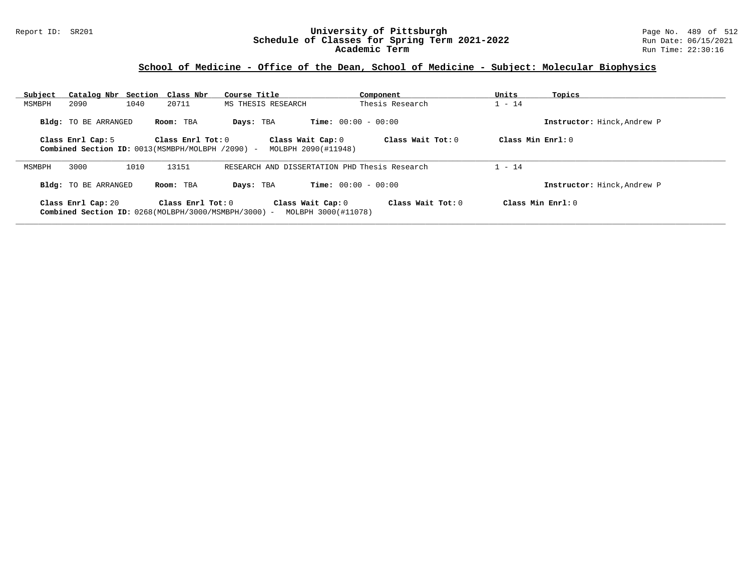### Report ID: SR201 **University of Pittsburgh** Page No. 489 of 512 **Schedule of Classes for Spring Term 2021-2022** Run Date: 06/15/2021 **Academic Term** Run Time: 22:30:16

### **School of Medicine - Office of the Dean, School of Medicine - Subject: Molecular Biophysics**

| Subject | Catalog Nbr Section Class Nbr                                                |      |                     | Course Title       |                                          | Component                                     | Units               | Topics                      |
|---------|------------------------------------------------------------------------------|------|---------------------|--------------------|------------------------------------------|-----------------------------------------------|---------------------|-----------------------------|
| MSMBPH  | 2090                                                                         | 1040 | 20711               | MS THESIS RESEARCH |                                          | Thesis Research                               | $1 - 14$            |                             |
|         | <b>Bldg:</b> TO BE ARRANGED                                                  |      | Room: TBA           | Days: TBA          | <b>Time:</b> $00:00 - 00:00$             |                                               |                     | Instructor: Hinck, Andrew P |
|         | Class Enrl Cap: 5<br>Combined Section ID: 0013(MSMBPH/MOLBPH /2090) -        |      | Class Enrl Tot: $0$ |                    | Class Wait Cap: 0<br>MOLBPH 2090(#11948) | Class Wait Tot: 0                             | Class Min $Enrl: 0$ |                             |
| MSMBPH  | 3000                                                                         | 1010 | 13151               |                    |                                          | RESEARCH AND DISSERTATION PHD Thesis Research | $1 - 14$            |                             |
|         | <b>Bldg:</b> TO BE ARRANGED                                                  |      | Room: TBA           | Days: TBA          | <b>Time:</b> $00:00 - 00:00$             |                                               |                     | Instructor: Hinck, Andrew P |
|         | Class Enrl Cap: 20<br>Combined Section ID: $0268(MOLBPH/3000/MSMBPH/3000)$ - |      | Class Enrl Tot: $0$ |                    | Class Wait Cap: 0<br>MOLBPH 3000(#11078) | Class Wait $Tot: 0$                           | Class Min Enrl: 0   |                             |

**\_\_\_\_\_\_\_\_\_\_\_\_\_\_\_\_\_\_\_\_\_\_\_\_\_\_\_\_\_\_\_\_\_\_\_\_\_\_\_\_\_\_\_\_\_\_\_\_\_\_\_\_\_\_\_\_\_\_\_\_\_\_\_\_\_\_\_\_\_\_\_\_\_\_\_\_\_\_\_\_\_\_\_\_\_\_\_\_\_\_\_\_\_\_\_\_\_\_\_\_\_\_\_\_\_\_\_\_\_\_\_\_\_\_\_\_\_\_\_\_\_\_\_\_\_\_\_\_\_\_\_\_\_\_\_\_\_\_\_\_\_\_\_\_\_\_\_\_\_\_\_\_\_\_\_\_**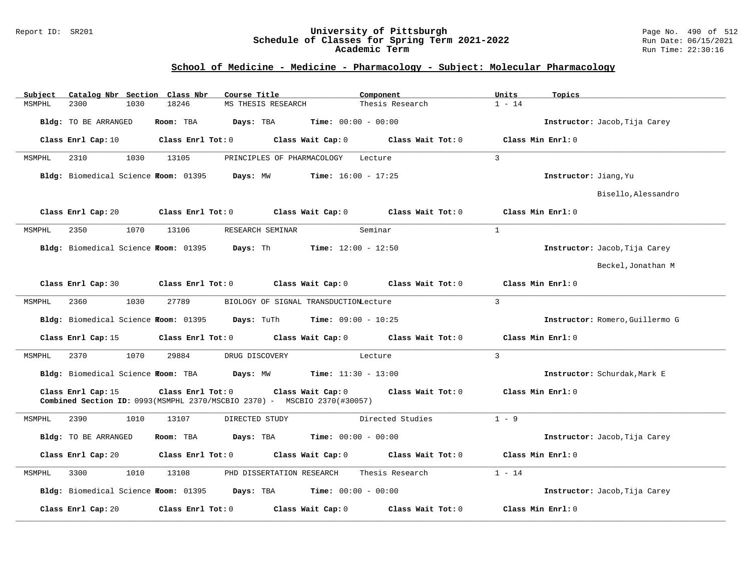#### Report ID: SR201 **University of Pittsburgh** Page No. 490 of 512 **Schedule of Classes for Spring Term 2021-2022** Run Date: 06/15/2021 **Academic Term** Run Time: 22:30:16

### **School of Medicine - Medicine - Pharmacology - Subject: Molecular Pharmacology**

| Subject              | Catalog Nbr Section Class Nbr                   | Course Title                                                             | Component                               | Units<br>Topics                 |  |
|----------------------|-------------------------------------------------|--------------------------------------------------------------------------|-----------------------------------------|---------------------------------|--|
| 2300<br>MSMPHL       | 18246<br>1030                                   | MS THESIS RESEARCH                                                       | Thesis Research                         | $1 - 14$                        |  |
| Bldg: TO BE ARRANGED | Room: TBA                                       | Days: TBA                                                                | <b>Time:</b> $00:00 - 00:00$            | Instructor: Jacob, Tija Carey   |  |
| Class Enrl Cap: 10   | Class Enrl Tot: 0                               | Class Wait Cap: 0                                                        | Class Wait Tot: 0                       | Class Min Enrl: 0               |  |
| MSMPHL<br>2310       | 1030<br>13105                                   | PRINCIPLES OF PHARMACOLOGY                                               | Lecture                                 | 3                               |  |
|                      | Bldg: Biomedical Science Room: 01395 Days: MW   | <b>Time:</b> $16:00 - 17:25$                                             |                                         | Instructor: Jiang, Yu           |  |
|                      |                                                 |                                                                          |                                         | Bisello, Alessandro             |  |
| Class Enrl Cap: 20   | Class Enrl Tot: 0                               |                                                                          | Class Wait Cap: $0$ Class Wait Tot: $0$ | Class Min Enrl: 0               |  |
| 2350<br>MSMPHL       | 1070<br>13106                                   | RESEARCH SEMINAR                                                         | Seminar                                 | $\mathbf{1}$                    |  |
|                      | Bldg: Biomedical Science Room: 01395 Days: Th   |                                                                          | <b>Time:</b> $12:00 - 12:50$            | Instructor: Jacob, Tija Carey   |  |
|                      |                                                 |                                                                          |                                         | Beckel, Jonathan M              |  |
| Class Enrl Cap: 30   |                                                 | Class Enrl Tot: 0 Class Wait Cap: 0                                      | Class Wait Tot: 0                       | Class Min Enrl: 0               |  |
| 2360<br>MSMPHL       | 1030<br>27789                                   | BIOLOGY OF SIGNAL TRANSDUCTIONLecture                                    |                                         | $\mathbf{3}$                    |  |
|                      | Bldg: Biomedical Science Foom: 01395 Days: TuTh |                                                                          | <b>Time:</b> $09:00 - 10:25$            | Instructor: Romero, Guillermo G |  |
| Class Enrl Cap: 15   |                                                 | Class Enrl Tot: $0$ Class Wait Cap: $0$ Class Wait Tot: $0$              |                                         | Class Min Enrl: 0               |  |
| 2370<br>MSMPHL       | 1070<br>29884                                   | DRUG DISCOVERY                                                           | Lecture                                 | $\overline{3}$                  |  |
|                      |                                                 | Bldg: Biomedical Science Room: TBA Days: MW Time: 11:30 - 13:00          |                                         | Instructor: Schurdak, Mark E    |  |
| Class Enrl Cap: 15   | Class Enrl Tot: 0                               | Combined Section ID: 0993(MSMPHL 2370/MSCBIO 2370) - MSCBIO 2370(#30057) | Class Wait Cap: 0 Class Wait Tot: 0     | Class Min Enrl: 0               |  |
| 2390<br>MSMPHL       | 1010<br>13107                                   | DIRECTED STUDY                                                           | Directed Studies                        | $1 - 9$                         |  |
| Bldg: TO BE ARRANGED | Room: TBA                                       | Days: TBA                                                                | <b>Time:</b> $00:00 - 00:00$            | Instructor: Jacob, Tija Carey   |  |
| Class Enrl Cap: 20   | Class Enrl Tot: 0                               | Class Wait Cap: 0                                                        | Class Wait Tot: 0                       | Class Min Enrl: 0               |  |
| 3300<br>MSMPHL       | 1010<br>13108                                   | PHD DISSERTATION RESEARCH                                                | Thesis Research                         | $1 - 14$                        |  |
|                      | Bldg: Biomedical Science Room: 01395 Days: TBA  |                                                                          | Time: $00:00 - 00:00$                   | Instructor: Jacob, Tija Carey   |  |
| Class Enrl Cap: 20   | Class Enrl Tot: 0                               | Class Wait Cap: 0                                                        | Class Wait Tot: 0                       | Class Min Enrl: 0               |  |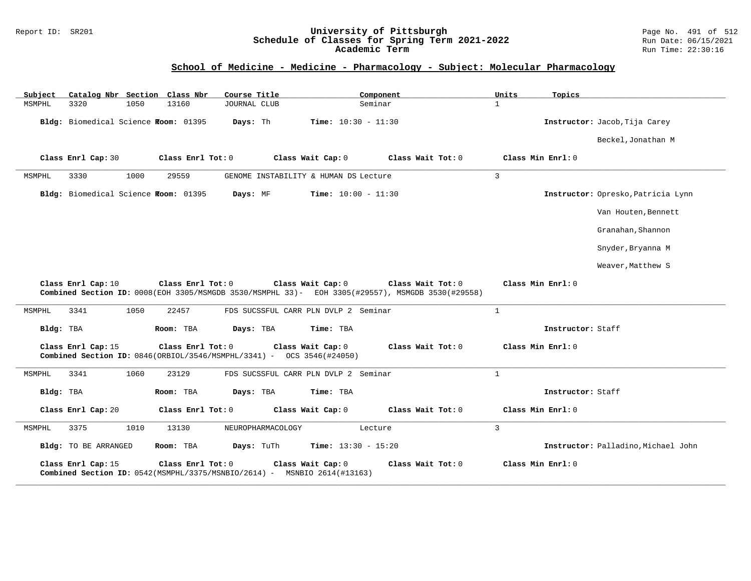### Report ID: SR201 **University of Pittsburgh** Page No. 491 of 512 **Schedule of Classes for Spring Term 2021-2022** Run Date: 06/15/2021 **Academic Term** Run Time: 22:30:16

# **School of Medicine - Medicine - Pharmacology - Subject: Molecular Pharmacology**

| Subject   |                                      |      | Catalog Nbr Section Class Nbr | Course Title                                                                   |                              | Component                                                                                                             | Units          | Topics                              |
|-----------|--------------------------------------|------|-------------------------------|--------------------------------------------------------------------------------|------------------------------|-----------------------------------------------------------------------------------------------------------------------|----------------|-------------------------------------|
| MSMPHL    | 3320                                 | 1050 | 13160                         | <b>JOURNAL CLUB</b>                                                            |                              | Seminar                                                                                                               | $\mathbf{1}$   |                                     |
|           | Bldg: Biomedical Science Room: 01395 |      |                               | Days: Th                                                                       | <b>Time:</b> $10:30 - 11:30$ |                                                                                                                       |                | Instructor: Jacob, Tija Carey       |
|           |                                      |      |                               |                                                                                |                              |                                                                                                                       |                | Beckel, Jonathan M                  |
|           | Class Enrl Cap: 30                   |      | Class Enrl Tot: 0             |                                                                                | Class Wait Cap: 0            | Class Wait Tot: 0                                                                                                     |                | Class Min Enrl: 0                   |
| MSMPHL    | 3330                                 | 1000 | 29559                         | GENOME INSTABILITY & HUMAN DS Lecture                                          |                              |                                                                                                                       | $\overline{3}$ |                                     |
|           | Bldg: Biomedical Science Room: 01395 |      |                               | Days: MF                                                                       | <b>Time:</b> $10:00 - 11:30$ |                                                                                                                       |                | Instructor: Opresko, Patricia Lynn  |
|           |                                      |      |                               |                                                                                |                              |                                                                                                                       |                | Van Houten, Bennett                 |
|           |                                      |      |                               |                                                                                |                              |                                                                                                                       |                | Granahan, Shannon                   |
|           |                                      |      |                               |                                                                                |                              |                                                                                                                       |                | Snyder, Bryanna M                   |
|           |                                      |      |                               |                                                                                |                              |                                                                                                                       |                | Weaver, Matthew S                   |
|           | Class Enrl Cap: 10                   |      | Class Enrl Tot: 0             |                                                                                | Class Wait Cap: 0            | Class Wait Tot: 0<br>Combined Section ID: 0008(EOH 3305/MSMGDB 3530/MSMPHL 33)- EOH 3305(#29557), MSMGDB 3530(#29558) |                | Class Min Enrl: 0                   |
| MSMPHL    | 3341                                 | 1050 | 22457                         | FDS SUCSSFUL CARR PLN DVLP 2 Seminar                                           |                              |                                                                                                                       | $\mathbf{1}$   |                                     |
| Bldg: TBA |                                      |      | Room: TBA                     | Days: TBA                                                                      | Time: TBA                    |                                                                                                                       |                | Instructor: Staff                   |
|           | Class Enrl Cap: 15                   |      | Class Enrl Tot: 0             | <b>Combined Section ID:</b> $0846(ORBIOL/3546/MSMPHL/3341)$ - OCS 3546(#24050) | Class Wait Cap: 0            | Class Wait Tot: 0                                                                                                     |                | Class Min Enrl: 0                   |
| MSMPHL    | 3341                                 | 1060 | 23129                         | FDS SUCSSFUL CARR PLN DVLP 2 Seminar                                           |                              |                                                                                                                       | $\mathbf{1}$   |                                     |
| Bldg: TBA |                                      |      | Room: TBA                     | Days: TBA                                                                      | Time: TBA                    |                                                                                                                       |                | Instructor: Staff                   |
|           | Class Enrl Cap: 20                   |      | Class Enrl Tot: 0             |                                                                                | Class Wait Cap: 0            | Class Wait Tot: 0                                                                                                     |                | Class Min Enrl: 0                   |
| MSMPHL    | 3375                                 | 1010 | 13130                         | NEUROPHARMACOLOGY                                                              |                              | Lecture                                                                                                               | $\overline{3}$ |                                     |
|           | Bldg: TO BE ARRANGED                 |      | Room: TBA                     | Days: TuTh                                                                     | <b>Time:</b> $13:30 - 15:20$ |                                                                                                                       |                | Instructor: Palladino, Michael John |
|           | Class Enrl Cap: 15                   |      | Class Enrl Tot: 0             | Combined Section ID: 0542(MSMPHL/3375/MSNBIO/2614) - MSNBIO 2614(#13163)       | Class Wait Cap: 0            | Class Wait Tot: 0                                                                                                     |                | Class Min Enrl: 0                   |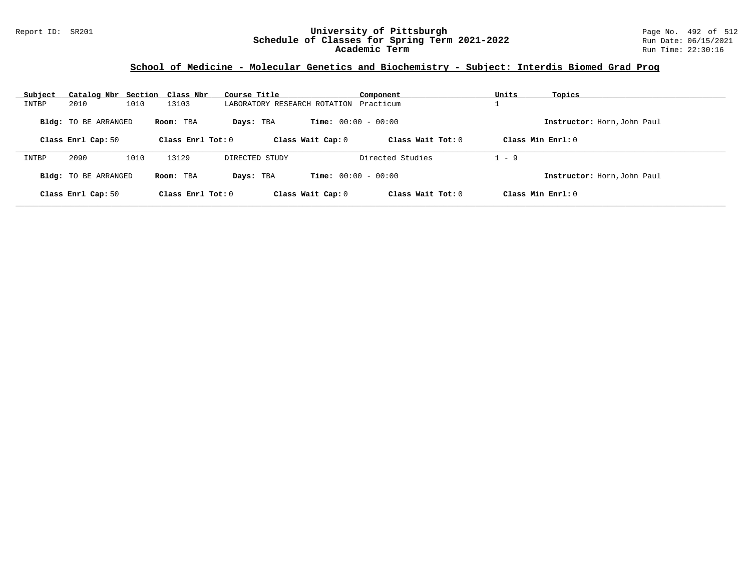### Report ID: SR201 **University of Pittsburgh** Page No. 492 of 512 **Schedule of Classes for Spring Term 2021-2022** Run Date: 06/15/2021 **Academic Term** Run Time: 22:30:16

# **School of Medicine - Molecular Genetics and Biochemistry - Subject: Interdis Biomed Grad Prog**

| Subject | Catalog Nbr Section Class Nbr |      |                     | Course Title                 |                              | Component           | Units   | Topics                      |
|---------|-------------------------------|------|---------------------|------------------------------|------------------------------|---------------------|---------|-----------------------------|
| INTBP   | 2010                          | 1010 | 13103               | LABORATORY RESEARCH ROTATION |                              | Practicum           |         |                             |
|         | <b>Bldg:</b> TO BE ARRANGED   |      | Room: TBA           | Days: TBA                    | <b>Time:</b> $00:00 - 00:00$ |                     |         | Instructor: Horn, John Paul |
|         | Class Enrl Cap: 50            |      | Class Enrl Tot: $0$ |                              | Class Wait Cap: 0            | Class Wait $Tot: 0$ |         | Class Min $Enrl: 0$         |
| INTBP   | 2090                          | 1010 | 13129               | DIRECTED STUDY               |                              | Directed Studies    | $1 - 9$ |                             |
|         | Bldg: TO BE ARRANGED          |      | Room: TBA           | Days: TBA                    | <b>Time:</b> $00:00 - 00:00$ |                     |         | Instructor: Horn, John Paul |
|         | Class Enrl Cap: 50            |      | Class Enrl Tot: 0   |                              | Class Wait Cap: 0            | Class Wait Tot: $0$ |         | Class Min Enrl: 0           |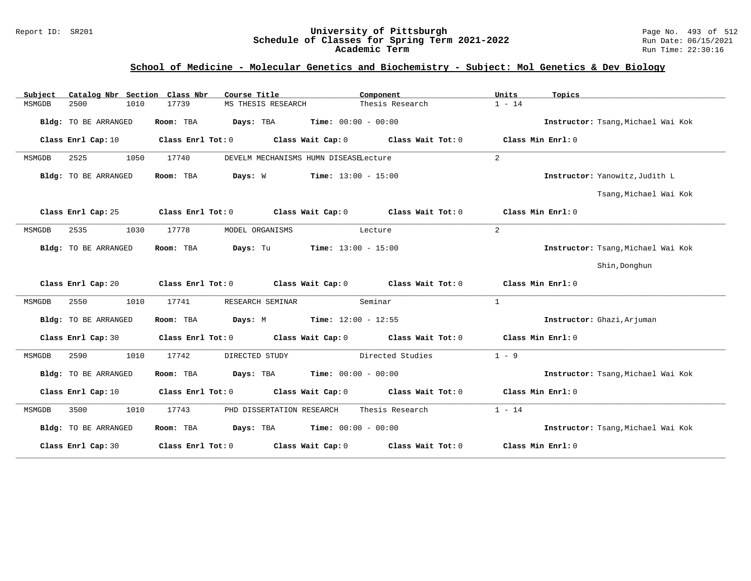#### Report ID: SR201 **University of Pittsburgh** Page No. 493 of 512 **Schedule of Classes for Spring Term 2021-2022** Run Date: 06/15/2021 **Academic Term** Run Time: 22:30:16

### **School of Medicine - Molecular Genetics and Biochemistry - Subject: Mol Genetics & Dev Biology**

| Subject | Catalog Nbr Section Class Nbr |                   | Course Title                                  |                       | Component                                                                       | Units              | Topics                             |
|---------|-------------------------------|-------------------|-----------------------------------------------|-----------------------|---------------------------------------------------------------------------------|--------------------|------------------------------------|
| MSMGDB  | 2500<br>1010                  | 17739             | MS THESIS RESEARCH                            |                       | Thesis Research                                                                 | $1 - 14$           |                                    |
|         | Bldg: TO BE ARRANGED          | Room: TBA         | <b>Days:</b> TBA <b>Time:</b> $00:00 - 00:00$ |                       |                                                                                 |                    | Instructor: Tsang, Michael Wai Kok |
|         | Class Enrl Cap: 10            |                   |                                               |                       | Class Enrl Tot: $0$ Class Wait Cap: $0$ Class Wait Tot: $0$                     | Class Min $Err1:0$ |                                    |
| MSMGDB  | 2525<br>1050                  | 17740             | DEVELM MECHANISMS HUMN DISEASELecture         |                       |                                                                                 | 2                  |                                    |
|         | Bldg: TO BE ARRANGED          | Room: TBA Days: W |                                               | $Time: 13:00 - 15:00$ |                                                                                 |                    | Instructor: Yanowitz, Judith L     |
|         |                               |                   |                                               |                       |                                                                                 |                    | Tsang, Michael Wai Kok             |
|         | Class Enrl Cap: 25            |                   |                                               |                       | Class Enrl Tot: $0$ Class Wait Cap: $0$ Class Wait Tot: $0$ Class Min Enrl: $0$ |                    |                                    |
| MSMGDB  | 2535<br>1030                  | 17778             | MODEL ORGANISMS                               | Lecture               |                                                                                 | 2                  |                                    |
|         | Bldg: TO BE ARRANGED          | Room: TBA         | Days: Tu                                      | $Time: 13:00 - 15:00$ |                                                                                 |                    | Instructor: Tsang, Michael Wai Kok |
|         |                               |                   |                                               |                       |                                                                                 |                    | Shin, Donghun                      |
|         | Class Enrl Cap: 20            |                   |                                               |                       | Class Enrl Tot: $0$ Class Wait Cap: $0$ Class Wait Tot: $0$ Class Min Enrl: $0$ |                    |                                    |
|         |                               |                   |                                               |                       |                                                                                 |                    |                                    |
| MSMGDB  | 1010<br>2550                  | 17741             | RESEARCH SEMINAR                              |                       | Seminar                                                                         | $\overline{1}$     |                                    |
|         | Bldg: TO BE ARRANGED          | Room: TBA         | <b>Days:</b> M <b>Time:</b> $12:00 - 12:55$   |                       |                                                                                 |                    | Instructor: Ghazi, Arjuman         |
|         | Class Enrl Cap: 30            |                   |                                               |                       | Class Enrl Tot: 0 Class Wait Cap: 0 Class Wait Tot: 0                           | Class Min Enrl: 0  |                                    |
| MSMGDB  | 2590<br>1010                  | 17742             | DIRECTED STUDY                                |                       | Directed Studies                                                                | $1 - 9$            |                                    |
|         | Bldg: TO BE ARRANGED          | Room: TBA         | <b>Days:</b> TBA <b>Time:</b> $00:00 - 00:00$ |                       |                                                                                 |                    | Instructor: Tsang, Michael Wai Kok |
|         | Class Enrl Cap: 10            |                   |                                               |                       | Class Enrl Tot: 0 Class Wait Cap: 0 Class Wait Tot: 0                           | Class Min Enrl: 0  |                                    |
| MSMGDB  | 3500<br>1010                  | 17743             | PHD DISSERTATION RESEARCH                     |                       | Thesis Research                                                                 | $1 - 14$           |                                    |
|         | Bldg: TO BE ARRANGED          | Room: TBA         | <b>Days:</b> TBA <b>Time:</b> $00:00 - 00:00$ |                       |                                                                                 |                    | Instructor: Tsang, Michael Wai Kok |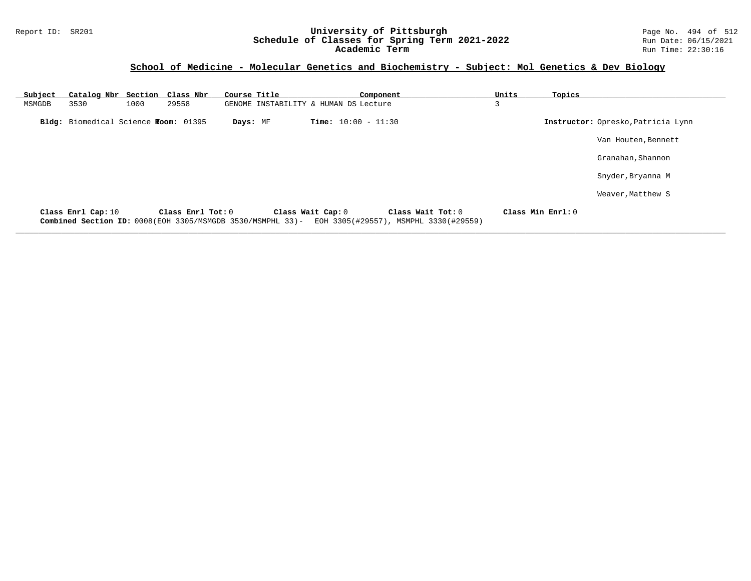### Report ID: SR201 **University of Pittsburgh** Page No. 494 of 512 **Schedule of Classes for Spring Term 2021-2022** Run Date: 06/15/2021 **Academic Term** Run Time: 22:30:16

### **School of Medicine - Molecular Genetics and Biochemistry - Subject: Mol Genetics & Dev Biology**

| Subject | Catalog Nbr Section Class Nbr        |      |                                                                                 | Course Title |                                       |                              | Component |                                                            | Units | Topics            |                                    |
|---------|--------------------------------------|------|---------------------------------------------------------------------------------|--------------|---------------------------------------|------------------------------|-----------|------------------------------------------------------------|-------|-------------------|------------------------------------|
| MSMGDB  | 3530                                 | 1000 | 29558                                                                           |              | GENOME INSTABILITY & HUMAN DS Lecture |                              |           |                                                            | 3     |                   |                                    |
|         | Bldg: Biomedical Science Room: 01395 |      |                                                                                 | Days: MF     |                                       | <b>Time:</b> $10:00 - 11:30$ |           |                                                            |       |                   | Instructor: Opresko, Patricia Lynn |
|         |                                      |      |                                                                                 |              |                                       |                              |           |                                                            |       |                   | Van Houten, Bennett                |
|         |                                      |      |                                                                                 |              |                                       |                              |           |                                                            |       |                   | Granahan, Shannon                  |
|         |                                      |      |                                                                                 |              |                                       |                              |           |                                                            |       |                   | Snyder, Bryanna M                  |
|         |                                      |      |                                                                                 |              |                                       |                              |           |                                                            |       |                   | Weaver, Matthew S                  |
|         | Class Enrl Cap: 10                   |      | Class Enrl Tot: 0<br>Combined Section ID: 0008(EOH 3305/MSMGDB 3530/MSMPHL 33)- |              |                                       | Class Wait Cap: 0            |           | Class Wait Tot: 0<br>EOH 3305(#29557), MSMPHL 3330(#29559) |       | Class Min Enrl: 0 |                                    |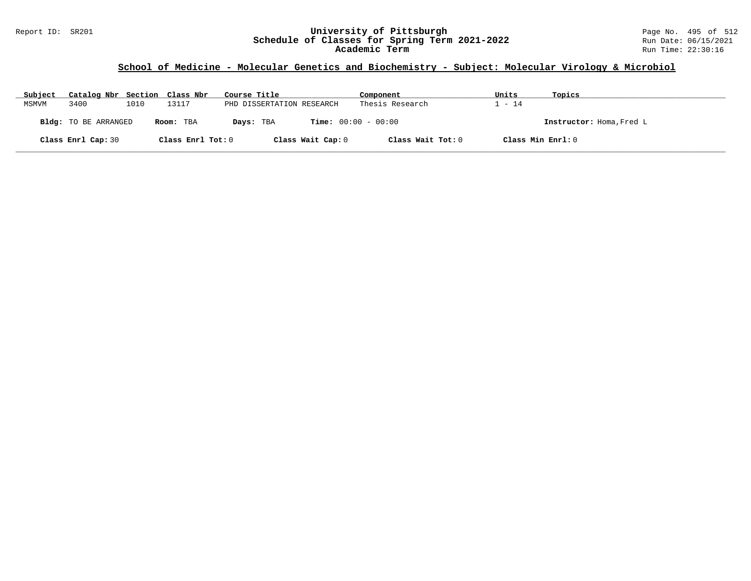### Report ID: SR201 **University of Pittsburgh** Page No. 495 of 512 **Schedule of Classes for Spring Term 2021-2022** Run Date: 06/15/2021 **Academic Term** Run Time: 22:30:16

# **School of Medicine - Molecular Genetics and Biochemistry - Subject: Molecular Virology & Microbiol**

| Subject | Catalog Nbr Section Class Nbr |      |                   | Course Title                              | Component         | Units             | Topics                   |
|---------|-------------------------------|------|-------------------|-------------------------------------------|-------------------|-------------------|--------------------------|
| MSMVM   | 3400                          | 1010 | L3117             | PHD DISSERTATION RESEARCH                 | Thesis Research   | $-14$             |                          |
|         | <b>Bldg:</b> TO BE ARRANGED   |      | Room: TBA         | <b>Time:</b> $00:00 - 00:00$<br>Days: TBA |                   |                   | Instructor: Homa, Fred L |
|         | Class Enrl Cap: 30            |      | Class Enrl Tot: 0 | Class Wait Cap: 0                         | Class Wait Tot: 0 | Class Min Enrl: 0 |                          |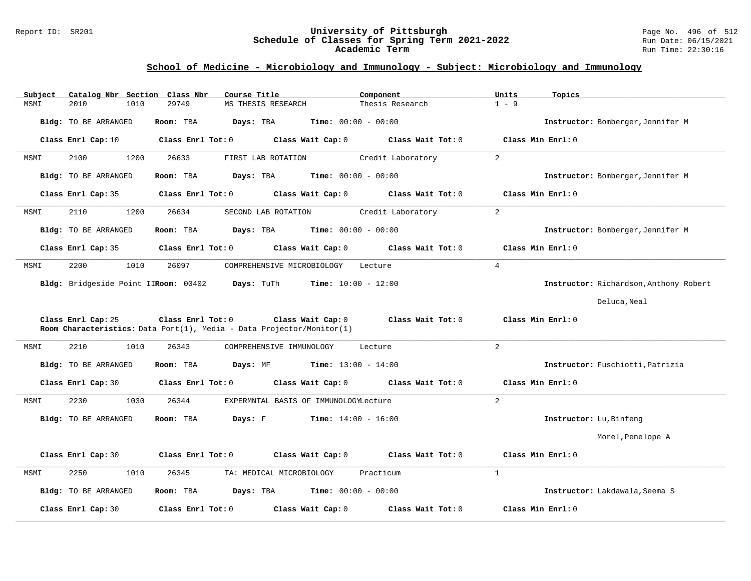#### Report ID: SR201 **University of Pittsburgh** Page No. 496 of 512 **Schedule of Classes for Spring Term 2021-2022** Run Date: 06/15/2021 **Academic Term** Run Time: 22:30:16

# **School of Medicine - Microbiology and Immunology - Subject: Microbiology and Immunology**

| Catalog Nbr Section Class Nbr<br>Subject | Course Title                                                                                                    | Component         | Units<br>Topics                        |
|------------------------------------------|-----------------------------------------------------------------------------------------------------------------|-------------------|----------------------------------------|
| MSMI<br>2010<br>1010                     | 29749<br>MS THESIS RESEARCH                                                                                     | Thesis Research   | $1 - 9$                                |
| Bldg: TO BE ARRANGED                     | Time: $00:00 - 00:00$<br>Room: TBA<br>Days: TBA                                                                 |                   | Instructor: Bomberger, Jennifer M      |
| Class Enrl Cap: 10                       | Class Wait Cap: 0<br>Class Enrl Tot: 0                                                                          | Class Wait Tot: 0 | Class Min Enrl: 0                      |
| 2100<br>1200<br>MSMI                     | 26633<br>FIRST LAB ROTATION                                                                                     | Credit Laboratory | $\overline{2}$                         |
| <b>Bldg:</b> TO BE ARRANGED              | <b>Time:</b> $00:00 - 00:00$<br>Room: TBA<br>Days: TBA                                                          |                   | Instructor: Bomberger, Jennifer M      |
| Class Enrl Cap: 35                       | Class Enrl Tot: 0<br>Class Wait Cap: 0                                                                          | Class Wait Tot: 0 | Class Min Enrl: 0                      |
| 2110<br>1200<br>MSMI                     | 26634<br>SECOND LAB ROTATION                                                                                    | Credit Laboratory | 2                                      |
| Bldg: TO BE ARRANGED                     | Days: TBA<br><b>Time:</b> $00:00 - 00:00$<br>Room: TBA                                                          |                   | Instructor: Bomberger, Jennifer M      |
| Class Enrl Cap: 35                       | Class Enrl Tot: 0<br>Class Wait Cap: 0                                                                          | Class Wait Tot: 0 | Class Min Enrl: 0                      |
| 2200<br>1010<br>MSMI                     | 26097<br>COMPREHENSIVE MICROBIOLOGY                                                                             | Lecture           | $\overline{4}$                         |
| Bldg: Bridgeside Point IIRoom: 00402     | Days: TuTh<br><b>Time:</b> $10:00 - 12:00$                                                                      |                   | Instructor: Richardson, Anthony Robert |
|                                          |                                                                                                                 |                   | Deluca, Neal                           |
| Class Enrl Cap: 25                       | Class Enrl Tot: 0<br>Class Wait Cap: 0<br>Room Characteristics: Data Port(1), Media - Data Projector/Monitor(1) | Class Wait Tot: 0 | Class Min Enrl: 0                      |
| 2210<br>1010<br>MSMI                     | 26343<br>COMPREHENSIVE IMMUNOLOGY                                                                               | Lecture           | 2                                      |
| Bldg: TO BE ARRANGED                     | <b>Time:</b> $13:00 - 14:00$<br>Room: TBA<br>Days: MF                                                           |                   | Instructor: Fuschiotti, Patrizia       |
| Class Enrl Cap: 30                       | Class Enrl Tot: 0<br>Class Wait Cap: 0                                                                          | Class Wait Tot: 0 | Class Min Enrl: 0                      |
| 2230<br>1030<br>MSMI                     | 26344<br>EXPERMNTAL BASIS OF IMMUNOLOGYLecture                                                                  |                   | $\overline{2}$                         |
| Bldg: TO BE ARRANGED                     | Days: F<br><b>Time:</b> $14:00 - 16:00$<br>Room: TBA                                                            |                   | Instructor: Lu, Binfeng                |
|                                          |                                                                                                                 |                   | Morel, Penelope A                      |
| Class Enrl Cap: 30                       | Class Enrl Tot: 0<br>Class Wait Cap: 0                                                                          | Class Wait Tot: 0 | Class Min Enrl: 0                      |
| 2250<br>MSMI<br>1010                     | 26345<br>TA: MEDICAL MICROBIOLOGY                                                                               | Practicum         | $\mathbf{1}$                           |
| Bldg: TO BE ARRANGED                     | <b>Time:</b> $00:00 - 00:00$<br>Room: TBA<br>Days: TBA                                                          |                   | Instructor: Lakdawala, Seema S         |
| Class Enrl Cap: 30                       | Class Wait Cap: 0<br>Class Enrl Tot: 0                                                                          | Class Wait Tot: 0 | Class Min Enrl: 0                      |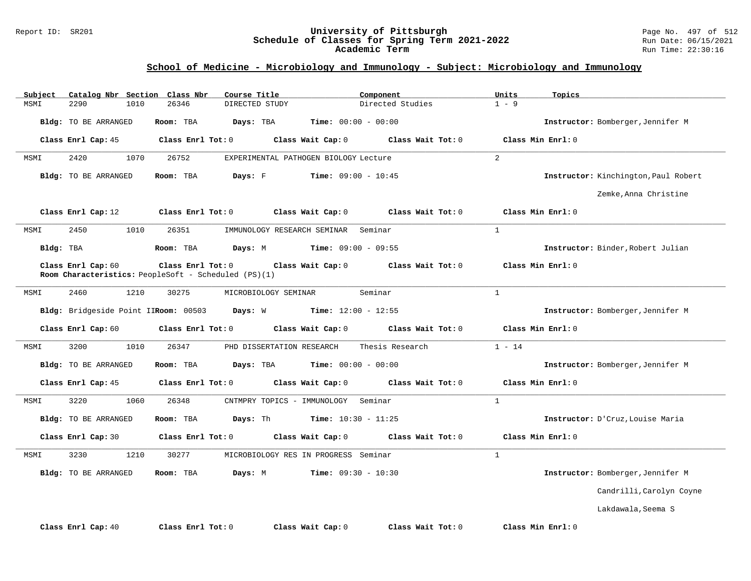#### Report ID: SR201 **University of Pittsburgh** Page No. 497 of 512 **Schedule of Classes for Spring Term 2021-2022** Run Date: 06/15/2021 **Academic Term** Run Time: 22:30:16

# **School of Medicine - Microbiology and Immunology - Subject: Microbiology and Immunology**

| Subject<br>Catalog Nbr Section Class Nbr | Course Title                                                              | Component                              | Units<br>Topics                      |
|------------------------------------------|---------------------------------------------------------------------------|----------------------------------------|--------------------------------------|
| 2290<br>1010<br>MSMI                     | 26346<br>DIRECTED STUDY                                                   | Directed Studies                       | $1 - 9$                              |
| Bldg: TO BE ARRANGED                     | Room: TBA<br>Days: TBA                                                    | <b>Time:</b> $00:00 - 00:00$           | Instructor: Bomberger, Jennifer M    |
| Class Enrl Cap: 45                       | Class Enrl Tot: 0                                                         | Class Wait Cap: 0<br>Class Wait Tot: 0 | Class Min Enrl: 0                    |
| 2420<br>1070<br>MSMI                     | 26752                                                                     | EXPERIMENTAL PATHOGEN BIOLOGY Lecture  | $\overline{2}$                       |
| Bldg: TO BE ARRANGED                     | Room: TBA<br>Days: F                                                      | <b>Time:</b> $09:00 - 10:45$           | Instructor: Kinchington, Paul Robert |
|                                          |                                                                           |                                        | Zemke, Anna Christine                |
| Class Enrl Cap: 12                       | Class Enrl Tot: 0                                                         | Class Wait Cap: 0<br>Class Wait Tot: 0 | Class Min Enrl: 0                    |
| 2450<br>1010<br>MSMI                     | 26351<br>IMMUNOLOGY RESEARCH SEMINAR                                      | Seminar                                | $\mathbf{1}$                         |
| Bldg: TBA                                | Room: TBA<br>Days: M                                                      | <b>Time:</b> $09:00 - 09:55$           | Instructor: Binder, Robert Julian    |
| Class Enrl Cap: 60                       | Class Enrl Tot: 0<br>Room Characteristics: PeopleSoft - Scheduled (PS)(1) | Class Wait Cap: 0<br>Class Wait Tot: 0 | Class Min Enrl: 0                    |
| 2460<br>1210<br>MSMI                     | 30275<br>MICROBIOLOGY SEMINAR                                             | Seminar                                | $\mathbf{1}$                         |
| Bldg: Bridgeside Point IIRoom: 00503     | Days: W                                                                   | <b>Time:</b> $12:00 - 12:55$           | Instructor: Bomberger, Jennifer M    |
| Class Enrl Cap: 60                       | Class Enrl Tot: 0                                                         | Class Wait Cap: 0<br>Class Wait Tot: 0 | Class Min Enrl: 0                    |
| 3200<br>1010<br>MSMI                     | 26347<br>PHD DISSERTATION RESEARCH                                        | Thesis Research                        | $1 - 14$                             |
| Bldg: TO BE ARRANGED                     | Days: TBA<br>Room: TBA                                                    | <b>Time:</b> $00:00 - 00:00$           | Instructor: Bomberger, Jennifer M    |
| Class Enrl Cap: 45                       | Class Enrl Tot: 0                                                         | Class Wait Cap: 0<br>Class Wait Tot: 0 | Class Min Enrl: 0                    |
| 3220<br>1060<br>MSMI                     | 26348<br>CNTMPRY TOPICS - IMMUNOLOGY                                      | Seminar                                | $\mathbf{1}$                         |
| Bldg: TO BE ARRANGED                     | Room: TBA<br>Days: Th                                                     | <b>Time:</b> $10:30 - 11:25$           | Instructor: D'Cruz, Louise Maria     |
| Class Enrl Cap: 30                       | Class Enrl Tot: 0                                                         | Class Wait Cap: 0<br>Class Wait Tot: 0 | Class Min Enrl: 0                    |
| 3230<br>1210<br>MSMI                     | 30277                                                                     | MICROBIOLOGY RES IN PROGRESS Seminar   | $\mathbf{1}$                         |
| Bldg: TO BE ARRANGED                     | Room: TBA<br>Days: M                                                      | <b>Time:</b> $09:30 - 10:30$           | Instructor: Bomberger, Jennifer M    |
|                                          |                                                                           |                                        | Candrilli, Carolyn Coyne             |
|                                          |                                                                           |                                        | Lakdawala, Seema S                   |
| Class Enrl Cap: 40                       | Class Enrl Tot: 0                                                         | Class Wait Cap: 0<br>Class Wait Tot: 0 | Class Min Enrl: 0                    |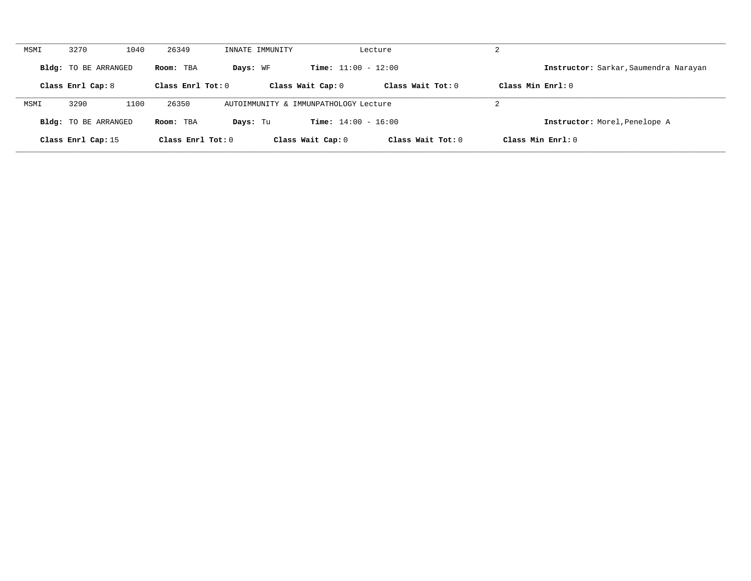| MSMI | 3270<br>1040                | 26349               | INNATE IMMUNITY                       |                              | Lecture           | 2                                     |
|------|-----------------------------|---------------------|---------------------------------------|------------------------------|-------------------|---------------------------------------|
|      | <b>Bldg:</b> TO BE ARRANGED | Room: TBA           | Days: WF                              | <b>Time:</b> $11:00 - 12:00$ |                   | Instructor: Sarkar, Saumendra Narayan |
|      | Class Enrl Cap: 8           | Class Enrl Tot: 0   |                                       | Class Wait Cap: 0            | Class Wait Tot: 0 | Class Min $Err1:0$                    |
| MSMI | 1100<br>3290                | 26350               | AUTOIMMUNITY & IMMUNPATHOLOGY Lecture |                              |                   | 2                                     |
|      | <b>Bldg:</b> TO BE ARRANGED | Room: TBA           | Days: Tu                              | <b>Time:</b> $14:00 - 16:00$ |                   | Instructor: Morel, Penelope A         |
|      | Class Enrl Cap: 15          | Class Enrl Tot: $0$ |                                       | Class Wait Cap: 0            | Class Wait Tot: 0 | Class Min $Enr1: 0$                   |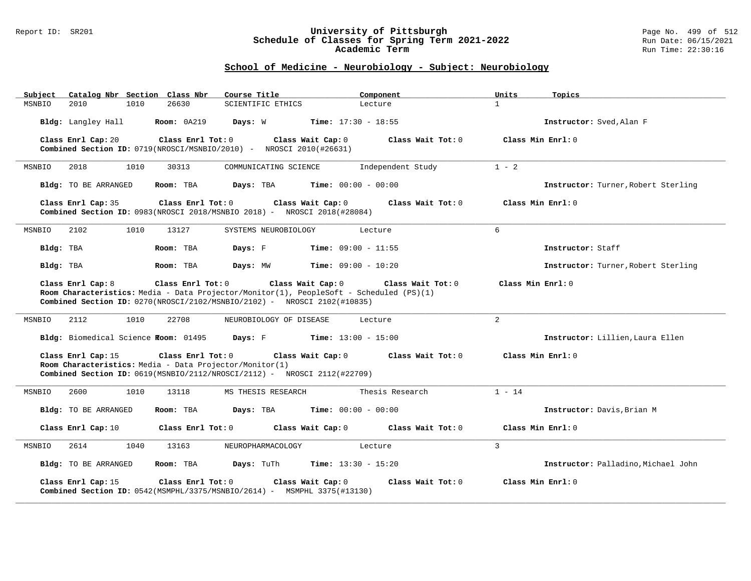#### Report ID: SR201 **University of Pittsburgh** Page No. 499 of 512 **Schedule of Classes for Spring Term 2021-2022** Run Date: 06/15/2021 **Academic Term** Run Time: 22:30:16

# **School of Medicine - Neurobiology - Subject: Neurobiology**

| Subject<br>Catalog Nbr Section Class Nbr                                      | Course Title                                                                                                                                                                                                           | Component<br>Units           | Topics                              |
|-------------------------------------------------------------------------------|------------------------------------------------------------------------------------------------------------------------------------------------------------------------------------------------------------------------|------------------------------|-------------------------------------|
| 2010<br>1010<br>MSNBIO                                                        | 26630<br><b>SCIENTIFIC ETHICS</b>                                                                                                                                                                                      | $\mathbf{1}$<br>Lecture      |                                     |
| Bldg: Langley Hall                                                            | <b>Room: 0A219</b><br>Days: W<br><b>Time:</b> $17:30 - 18:55$                                                                                                                                                          |                              | Instructor: Sved.Alan F             |
| Class Enrl Cap: 20                                                            | Class Enrl Tot: 0<br>Class Wait Cap: 0<br>Combined Section ID: 0719(NROSCI/MSNBIO/2010) - NROSCI 2010(#26631)                                                                                                          | Class Wait $Tot: 0$          | Class Min Enrl: 0                   |
| MSNBIO<br>2018<br>1010                                                        | 30313<br>COMMUNICATING SCIENCE                                                                                                                                                                                         | $1 - 2$<br>Independent Study |                                     |
| Bldg: TO BE ARRANGED                                                          | <b>Time:</b> $00:00 - 00:00$<br>Room: TBA<br>Days: TBA                                                                                                                                                                 |                              | Instructor: Turner, Robert Sterling |
| Class Enrl Cap: 35                                                            | Class Wait Cap: 0<br>$Class$ $Enr1$ $Tot: 0$<br><b>Combined Section ID:</b> $0983(NROSCI 2018/MSNBIO 2018) - NROSCI 2018(#28084)$                                                                                      | Class Wait Tot: 0            | Class Min Enrl: 0                   |
| MSNBIO<br>2102<br>1010                                                        | 13127<br>SYSTEMS NEUROBIOLOGY                                                                                                                                                                                          | 6<br>Lecture                 |                                     |
| Bldg: TBA                                                                     | <b>Time:</b> $09:00 - 11:55$<br>Room: TBA<br>Days: F                                                                                                                                                                   |                              | Instructor: Staff                   |
| Bldg: TBA                                                                     | Days: MW<br>$Time: 09:00 - 10:20$<br>Room: TBA                                                                                                                                                                         |                              | Instructor: Turner, Robert Sterling |
| Class Enrl Cap: 8                                                             | Class Enrl Tot: 0<br>Class Wait Cap: 0<br>Room Characteristics: Media - Data Projector/Monitor(1), PeopleSoft - Scheduled (PS)(1)<br><b>Combined Section ID:</b> $0270(NROSCI/2102/MSNBIO/2102)$ - NROSCI 2102(#10835) | Class Wait Tot: 0            | Class Min Enrl: 0                   |
| 2112<br>1010<br>MSNBIO                                                        | 22708<br>NEUROBIOLOGY OF DISEASE                                                                                                                                                                                       | $\overline{2}$<br>Lecture    |                                     |
| Bldg: Biomedical Science Room: 01495                                          | <b>Davs:</b> F Time: $13:00 - 15:00$                                                                                                                                                                                   |                              | Instructor: Lillien, Laura Ellen    |
| Class Enrl Cap: 15<br>Room Characteristics: Media - Data Projector/Monitor(1) | Class Enrl Tot: 0<br>Class Wait Cap: 0<br>Combined Section ID: $0619(MSNBIO/2112/NROSCI/2112)$ - NROSCI 2112(#22709)                                                                                                   | Class Wait Tot: 0            | Class Min Enrl: 0                   |
| MSNBIO<br>2600<br>1010                                                        | 13118<br>MS THESIS RESEARCH                                                                                                                                                                                            | $1 - 14$<br>Thesis Research  |                                     |
| Bldg: TO BE ARRANGED                                                          | Days: TBA<br><b>Time:</b> $00:00 - 00:00$<br>Room: TBA                                                                                                                                                                 |                              | Instructor: Davis, Brian M          |
| Class Enrl Cap: 10                                                            | Class Enrl Tot: 0<br>Class Wait Cap: 0                                                                                                                                                                                 | Class Wait Tot: 0            | Class Min Enrl: 0                   |
| 2614<br>1040<br>MSNBIO                                                        | 13163<br>NEUROPHARMACOLOGY                                                                                                                                                                                             | 3<br>Lecture                 |                                     |
| Bldg: TO BE ARRANGED                                                          | Room: TBA<br>Days: TuTh<br><b>Time:</b> $13:30 - 15:20$                                                                                                                                                                |                              | Instructor: Palladino, Michael John |
| Class Enrl Cap: 15                                                            | Class Enrl Tot: 0<br>Class Wait Cap: 0<br>Combined Section ID: $0542$ (MSMPHL/3375/MSNBIO/2614) - MSMPHL 3375(#13130)                                                                                                  | Class Wait Tot: 0            | Class Min Enrl: 0                   |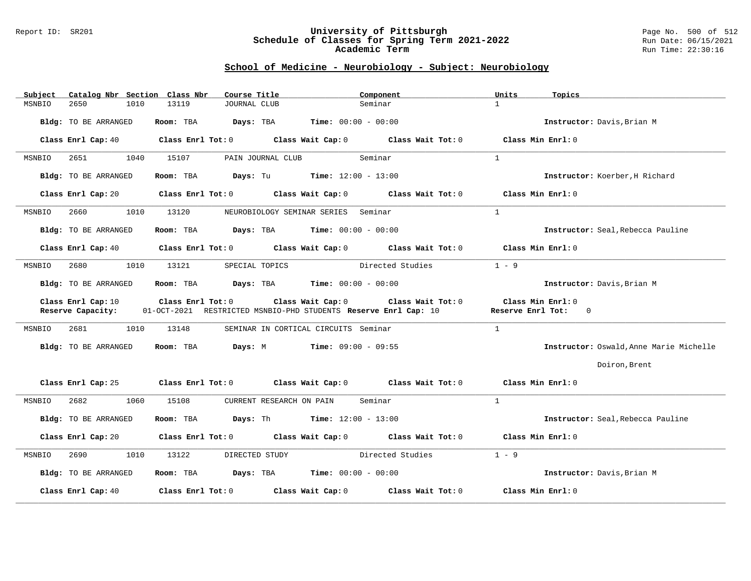#### Report ID: SR201 **University of Pittsburgh** Page No. 500 of 512 **Schedule of Classes for Spring Term 2021-2022** Run Date: 06/15/2021 **Academic Term** Run Time: 22:30:16

# **School of Medicine - Neurobiology - Subject: Neurobiology**

| Subject | Catalog Nbr Section Class Nbr |                   | Course Title                                                    |                                      | Component                                                   | Units          | Topics                                  |
|---------|-------------------------------|-------------------|-----------------------------------------------------------------|--------------------------------------|-------------------------------------------------------------|----------------|-----------------------------------------|
| MSNBIO  | 2650<br>1010                  | 13119             | <b>JOURNAL CLUB</b>                                             |                                      | Seminar                                                     | $\mathbf{1}$   |                                         |
|         | Bldg: TO BE ARRANGED          | Room: TBA         | <b>Days:</b> TBA <b>Time:</b> $00:00 - 00:00$                   |                                      |                                                             |                | Instructor: Davis, Brian M              |
|         | Class Enrl Cap: 40            |                   |                                                                 |                                      | Class Enrl Tot: 0 Class Wait Cap: 0 Class Wait Tot: 0       |                | Class Min Enrl: 0                       |
| MSNBIO  | 2651<br>1040                  | 15107             | PAIN JOURNAL CLUB                                               |                                      | Seminar                                                     | $\mathbf{1}$   |                                         |
|         | Bldg: TO BE ARRANGED          | Room: TBA         | <b>Days:</b> Tu <b>Time:</b> $12:00 - 13:00$                    |                                      |                                                             |                | Instructor: Koerber, H Richard          |
|         | Class Enrl Cap: 20            |                   |                                                                 |                                      | Class Enrl Tot: $0$ Class Wait Cap: $0$ Class Wait Tot: $0$ |                | Class Min Enrl: 0                       |
| MSNBIO  | 2660<br>1010                  | 13120             | NEUROBIOLOGY SEMINAR SERIES Seminar                             |                                      |                                                             | $\mathbf{1}$   |                                         |
|         | Bldg: TO BE ARRANGED          |                   | Room: TBA $Days:$ TBA $Time: 00:00 - 00:00$                     |                                      |                                                             |                | Instructor: Seal, Rebecca Pauline       |
|         | Class Enrl Cap: 40            |                   |                                                                 |                                      | Class Enrl Tot: $0$ Class Wait Cap: $0$ Class Wait Tot: $0$ |                | Class Min Enrl: 0                       |
| MSNBIO  | 2680<br>1010                  | 13121             | SPECIAL TOPICS                                                  |                                      | Directed Studies                                            | $1 - 9$        |                                         |
|         | Bldg: TO BE ARRANGED          | Room: TBA         | <b>Days:</b> TBA <b>Time:</b> $00:00 - 00:00$                   |                                      |                                                             |                | Instructor: Davis, Brian M              |
|         | Class Enrl Cap: 10            | Class Enrl Tot: 0 |                                                                 | Class Wait Cap: 0                    | Class Wait Tot: 0                                           |                | Class Min Enrl: 0                       |
|         | Reserve Capacity:             |                   | 01-OCT-2021 RESTRICTED MSNBIO-PHD STUDENTS Reserve Enrl Cap: 10 |                                      |                                                             |                | Reserve Enrl Tot: 0                     |
| MSNBIO  | 2681<br>1010                  | 13148             |                                                                 | SEMINAR IN CORTICAL CIRCUITS Seminar |                                                             | $\overline{1}$ |                                         |
|         | Bldg: TO BE ARRANGED          | Room: TBA         | Days: M                                                         | $Time: 09:00 - 09:55$                |                                                             |                | Instructor: Oswald, Anne Marie Michelle |
|         |                               |                   |                                                                 |                                      |                                                             |                | Doiron, Brent                           |
|         | Class Enrl Cap: 25            |                   |                                                                 |                                      | Class Enrl Tot: $0$ Class Wait Cap: $0$ Class Wait Tot: $0$ |                | Class Min Enrl: 0                       |
| MSNBIO  | 2682<br>1060                  | 15108             | CURRENT RESEARCH ON PAIN                                        |                                      | Seminar                                                     | $\mathbf{1}$   |                                         |
|         | Bldg: TO BE ARRANGED          | Room: TBA         | <b>Days:</b> Th <b>Time:</b> $12:00 - 13:00$                    |                                      |                                                             |                | Instructor: Seal, Rebecca Pauline       |
|         | Class Enrl Cap: 20            |                   |                                                                 |                                      | Class Enrl Tot: $0$ Class Wait Cap: $0$ Class Wait Tot: $0$ |                | Class Min Enrl: 0                       |
| MSNBIO  | 2690<br>1010                  | 13122             | DIRECTED STUDY                                                  |                                      | Directed Studies                                            | $1 - 9$        |                                         |
|         | Bldg: TO BE ARRANGED          | Room: TBA         | <b>Days:</b> TBA <b>Time:</b> $00:00 - 00:00$                   |                                      |                                                             |                | Instructor: Davis, Brian M              |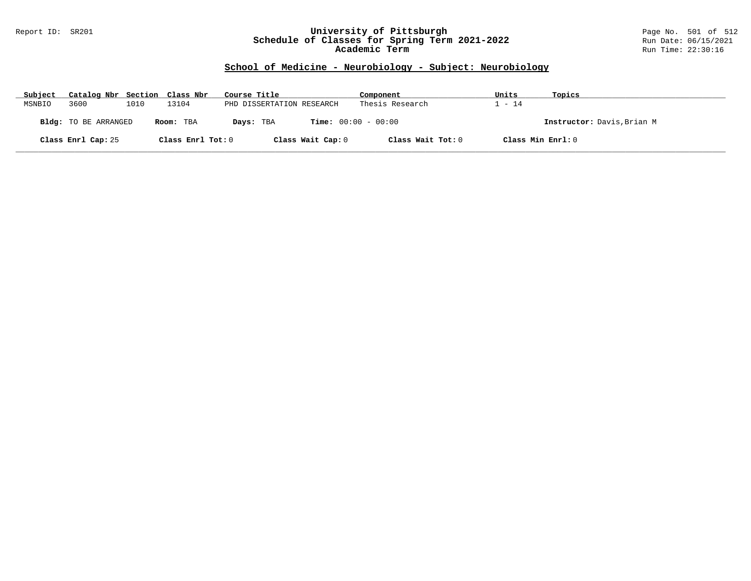#### Report ID: SR201 **University of Pittsburgh** Page No. 501 of 512 **Schedule of Classes for Spring Term 2021-2022** Run Date: 06/15/2021 **Academic Term** Run Time: 22:30:16

# **School of Medicine - Neurobiology - Subject: Neurobiology**

| Subject | Catalog Nbr Section Class Nbr |      |                   | Course Title                              | Component         | Units             | Topics                     |
|---------|-------------------------------|------|-------------------|-------------------------------------------|-------------------|-------------------|----------------------------|
| MSNBIO  | 3600                          | 1010 | 13104             | PHD DISSERTATION RESEARCH                 | Thesis Research   | $-14$             |                            |
|         | Bldg: TO BE ARRANGED          |      | Room: TBA         | <b>Time:</b> $00:00 - 00:00$<br>Days: TBA |                   |                   | Instructor: Davis, Brian M |
|         | Class Enrl Cap: 25            |      | Class Enrl Tot: 0 | Class Wait Cap: 0                         | Class Wait Tot: 0 | Class Min Enrl: 0 |                            |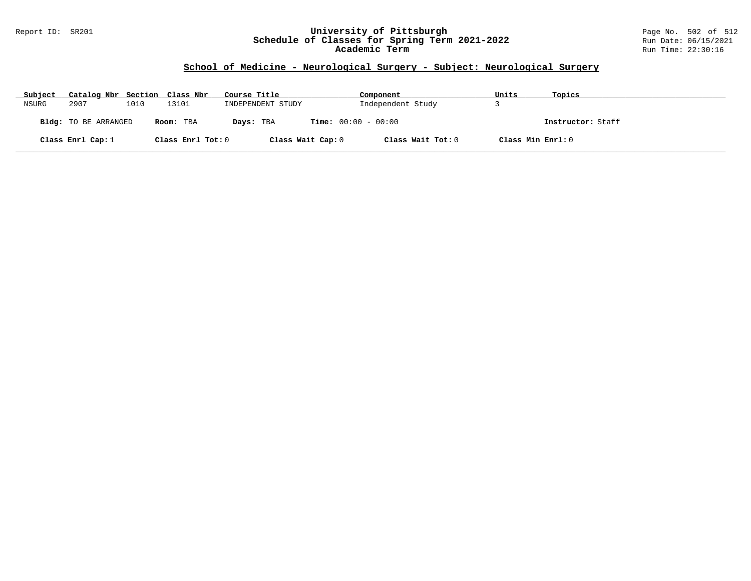### Report ID: SR201 **University of Pittsburgh** Page No. 502 of 512 **Schedule of Classes for Spring Term 2021-2022** Run Date: 06/15/2021 **Academic Term** Run Time: 22:30:16

# **School of Medicine - Neurological Surgery - Subject: Neurological Surgery**

| Subject | Catalog Nbr Section Class Nbr |      |                   | Course Title      | Component                    | Units             | Topics            |
|---------|-------------------------------|------|-------------------|-------------------|------------------------------|-------------------|-------------------|
| NSURG   | 2907                          | 1010 | 13101             | INDEPENDENT STUDY | Independent Study            |                   |                   |
|         | Bldg: TO BE ARRANGED          |      | Room: TBA         | Days: TBA         | <b>Time:</b> $00:00 - 00:00$ |                   | Instructor: Staff |
|         | Class Enrl Cap: $1$           |      | Class Enrl Tot: 0 | Class Wait Cap: 0 | Class Wait Tot: 0            | Class Min Enrl: 0 |                   |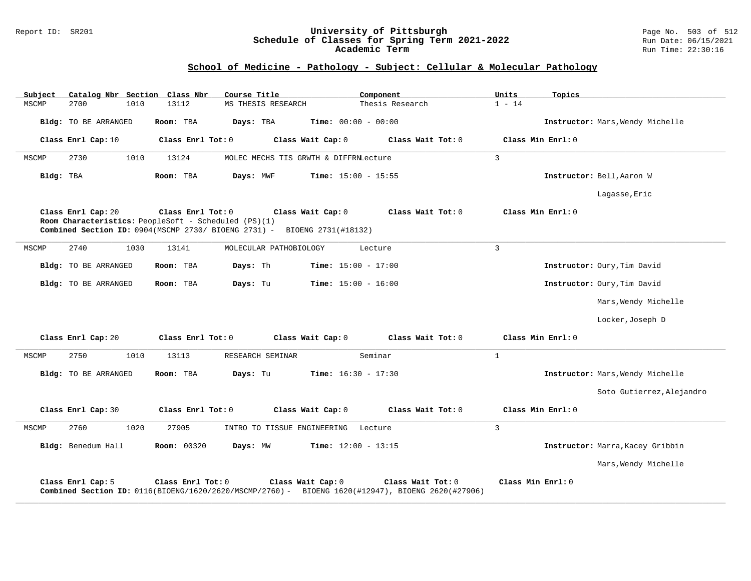#### Report ID: SR201 **University of Pittsburgh** Page No. 503 of 512 **Schedule of Classes for Spring Term 2021-2022** Run Date: 06/15/2021 **Academic Term** Run Time: 22:30:16

# **School of Medicine - Pathology - Subject: Cellular & Molecular Pathology**

| Subject   |                      |      | Catalog Nbr Section Class Nbr                                             | Course Title                                                                                                           | Component                    |                   | Units          | Topics                           |
|-----------|----------------------|------|---------------------------------------------------------------------------|------------------------------------------------------------------------------------------------------------------------|------------------------------|-------------------|----------------|----------------------------------|
| MSCMP     | 2700                 | 1010 | 13112                                                                     | MS THESIS RESEARCH                                                                                                     |                              | Thesis Research   | $1 - 14$       |                                  |
|           | Bldg: TO BE ARRANGED |      | Room: TBA                                                                 | Days: TBA                                                                                                              | <b>Time:</b> $00:00 - 00:00$ |                   |                | Instructor: Mars, Wendy Michelle |
|           | Class Enrl Cap: 10   |      | Class Enrl Tot: 0                                                         | Class Wait Cap: 0                                                                                                      |                              | Class Wait Tot: 0 |                | Class Min Enrl: 0                |
| MSCMP     | 2730                 | 1010 | 13124                                                                     | MOLEC MECHS TIS GRWTH & DIFFRNLecture                                                                                  |                              |                   | $\overline{3}$ |                                  |
| Bldg: TBA |                      |      | Room: TBA                                                                 | Days: MWF                                                                                                              | Time: $15:00 - 15:55$        |                   |                | Instructor: Bell, Aaron W        |
|           |                      |      |                                                                           |                                                                                                                        |                              |                   |                | Lagasse, Eric                    |
|           | Class Enrl Cap: 20   |      | Class Enrl Tot: 0<br>Room Characteristics: PeopleSoft - Scheduled (PS)(1) | Class Wait Cap: 0<br>Combined Section ID: 0904(MSCMP 2730/ BIOENG 2731) - BIOENG 2731(#18132)                          |                              | Class Wait Tot: 0 |                | Class Min Enrl: 0                |
| MSCMP     | 2740                 | 1030 | 13141                                                                     | MOLECULAR PATHOBIOLOGY                                                                                                 | Lecture                      |                   | $\overline{3}$ |                                  |
|           | Bldg: TO BE ARRANGED |      | Room: TBA                                                                 | Days: Th                                                                                                               | <b>Time:</b> $15:00 - 17:00$ |                   |                | Instructor: Oury, Tim David      |
|           | Bldg: TO BE ARRANGED |      | Room: TBA                                                                 | Days: Tu                                                                                                               | <b>Time:</b> $15:00 - 16:00$ |                   |                | Instructor: Oury, Tim David      |
|           |                      |      |                                                                           |                                                                                                                        |                              |                   |                | Mars, Wendy Michelle             |
|           |                      |      |                                                                           |                                                                                                                        |                              |                   |                | Locker, Joseph D                 |
|           | Class Enrl Cap: 20   |      | Class Enrl Tot: 0                                                         | Class Wait Cap: 0                                                                                                      |                              | Class Wait Tot: 0 |                | Class Min Enrl: 0                |
| MSCMP     | 2750                 | 1010 | 13113                                                                     | RESEARCH SEMINAR                                                                                                       | Seminar                      |                   | $\mathbf{1}$   |                                  |
|           | Bldg: TO BE ARRANGED |      | Room: TBA                                                                 | Days: Tu                                                                                                               | <b>Time:</b> $16:30 - 17:30$ |                   |                | Instructor: Mars, Wendy Michelle |
|           |                      |      |                                                                           |                                                                                                                        |                              |                   |                | Soto Gutierrez, Alejandro        |
|           | Class Enrl Cap: 30   |      | Class Enrl Tot: 0                                                         | Class Wait Cap: 0                                                                                                      |                              | Class Wait Tot: 0 |                | Class Min Enrl: 0                |
| MSCMP     | 2760                 | 1020 | 27905                                                                     | INTRO TO TISSUE ENGINEERING                                                                                            | Lecture                      |                   | $\overline{3}$ |                                  |
|           | Bldg: Benedum Hall   |      | <b>Room: 00320</b>                                                        | Days: MW                                                                                                               | <b>Time:</b> $12:00 - 13:15$ |                   |                | Instructor: Marra, Kacey Gribbin |
|           |                      |      |                                                                           |                                                                                                                        |                              |                   |                | Mars, Wendy Michelle             |
|           | Class Enrl Cap: 5    |      | Class Enrl Tot: 0                                                         | Class Wait Cap: 0<br>Combined Section ID: 0116(BIOENG/1620/2620/MSCMP/2760) - BIOENG 1620(#12947), BIOENG 2620(#27906) |                              | Class Wait Tot: 0 |                | Class Min Enrl: 0                |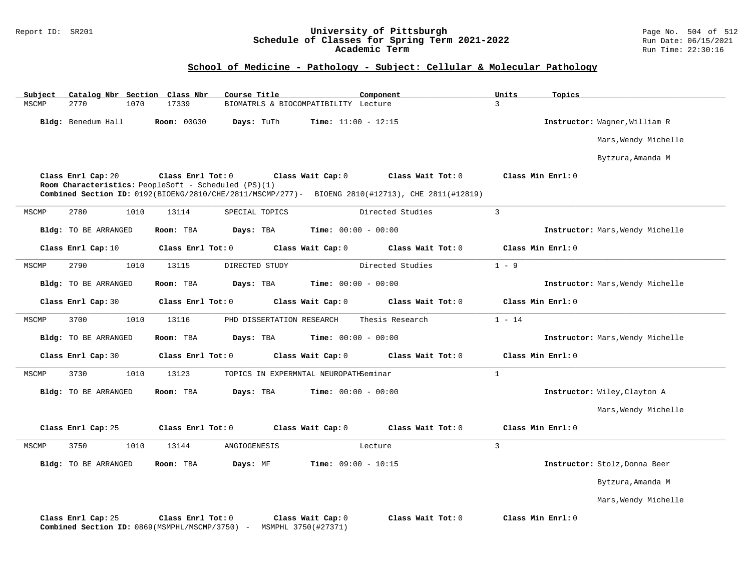### Report ID: SR201 **University of Pittsburgh** Page No. 504 of 512 **Schedule of Classes for Spring Term 2021-2022** Run Date: 06/15/2021 **Academic Term** Run Time: 22:30:16

# **School of Medicine - Pathology - Subject: Cellular & Molecular Pathology**

| Subject | Catalog Nbr Section Class Nbr |                                                                           | Course Title              |                                          | Component                                                                                                             | Units             | Topics                           |
|---------|-------------------------------|---------------------------------------------------------------------------|---------------------------|------------------------------------------|-----------------------------------------------------------------------------------------------------------------------|-------------------|----------------------------------|
| MSCMP   | 2770<br>1070                  | 17339                                                                     |                           | BIOMATRLS & BIOCOMPATIBILITY Lecture     |                                                                                                                       | $\overline{3}$    |                                  |
|         | Bldg: Benedum Hall            | <b>Room: 00G30</b>                                                        | Days: TuTh                | <b>Time:</b> $11:00 - 12:15$             |                                                                                                                       |                   | Instructor: Wagner, William R    |
|         |                               |                                                                           |                           |                                          |                                                                                                                       |                   | Mars, Wendy Michelle             |
|         |                               |                                                                           |                           |                                          |                                                                                                                       |                   | Bytzura, Amanda M                |
|         | Class Enrl Cap: 20            | Class Enrl Tot: 0<br>Room Characteristics: PeopleSoft - Scheduled (PS)(1) |                           | Class Wait Cap: 0                        | Class Wait Tot: 0<br>Combined Section ID: 0192(BIOENG/2810/CHE/2811/MSCMP/277)- BIOENG 2810(#12713), CHE 2811(#12819) | Class Min Enrl: 0 |                                  |
| MSCMP   | 2780<br>1010                  | 13114                                                                     | SPECIAL TOPICS            |                                          | Directed Studies                                                                                                      | $\mathbf{3}$      |                                  |
|         | Bldg: TO BE ARRANGED          | Room: TBA                                                                 | Days: TBA                 | <b>Time:</b> $00:00 - 00:00$             |                                                                                                                       |                   | Instructor: Mars, Wendy Michelle |
|         | Class Enrl Cap: 10            | Class Enrl Tot: 0                                                         |                           | Class Wait Cap: 0                        | Class Wait Tot: 0                                                                                                     | Class Min Enrl: 0 |                                  |
| MSCMP   | 2790<br>1010                  | 13115                                                                     | DIRECTED STUDY            |                                          | Directed Studies                                                                                                      | $1 - 9$           |                                  |
|         | Bldg: TO BE ARRANGED          | Room: TBA                                                                 | Days: TBA                 | <b>Time:</b> $00:00 - 00:00$             |                                                                                                                       |                   | Instructor: Mars, Wendy Michelle |
|         | Class Enrl Cap: 30            | Class Enrl Tot: 0                                                         |                           | Class Wait Cap: 0                        | Class Wait Tot: 0                                                                                                     | Class Min Enrl: 0 |                                  |
| MSCMP   | 3700<br>1010                  | 13116                                                                     | PHD DISSERTATION RESEARCH |                                          | Thesis Research                                                                                                       | $1 - 14$          |                                  |
|         | Bldg: TO BE ARRANGED          | Room: TBA                                                                 | Days: TBA                 | <b>Time:</b> $00:00 - 00:00$             |                                                                                                                       |                   | Instructor: Mars, Wendy Michelle |
|         | Class Enrl Cap: 30            | Class Enrl Tot: 0                                                         |                           | Class Wait Cap: 0                        | Class Wait Tot: 0                                                                                                     | Class Min Enrl: 0 |                                  |
| MSCMP   | 3730<br>1010                  | 13123                                                                     |                           | TOPICS IN EXPERMNTAL NEUROPATHSeminar    |                                                                                                                       | $\mathbf{1}$      |                                  |
|         | Bldg: TO BE ARRANGED          | Room: TBA                                                                 | Days: TBA                 | <b>Time:</b> $00:00 - 00:00$             |                                                                                                                       |                   | Instructor: Wiley, Clayton A     |
|         |                               |                                                                           |                           |                                          |                                                                                                                       |                   | Mars, Wendy Michelle             |
|         | Class Enrl Cap: 25            | Class Enrl Tot: 0                                                         |                           | Class Wait Cap: 0                        | Class Wait Tot: 0                                                                                                     | Class Min Enrl: 0 |                                  |
| MSCMP   | 3750<br>1010                  | 13144                                                                     | ANGIOGENESIS              |                                          | Lecture                                                                                                               | 3                 |                                  |
|         | Bldg: TO BE ARRANGED          | Room: TBA                                                                 | Days: MF                  | <b>Time:</b> $09:00 - 10:15$             |                                                                                                                       |                   | Instructor: Stolz, Donna Beer    |
|         |                               |                                                                           |                           |                                          |                                                                                                                       |                   | Bytzura, Amanda M                |
|         |                               |                                                                           |                           |                                          |                                                                                                                       |                   | Mars, Wendy Michelle             |
|         | Class Enrl Cap: 25            | Class Enrl Tot: 0<br>Combined Section ID: 0869 (MSMPHL/MSCMP/3750) -      |                           | Class Wait Cap: 0<br>MSMPHL 3750(#27371) | Class Wait Tot: 0                                                                                                     | Class Min Enrl: 0 |                                  |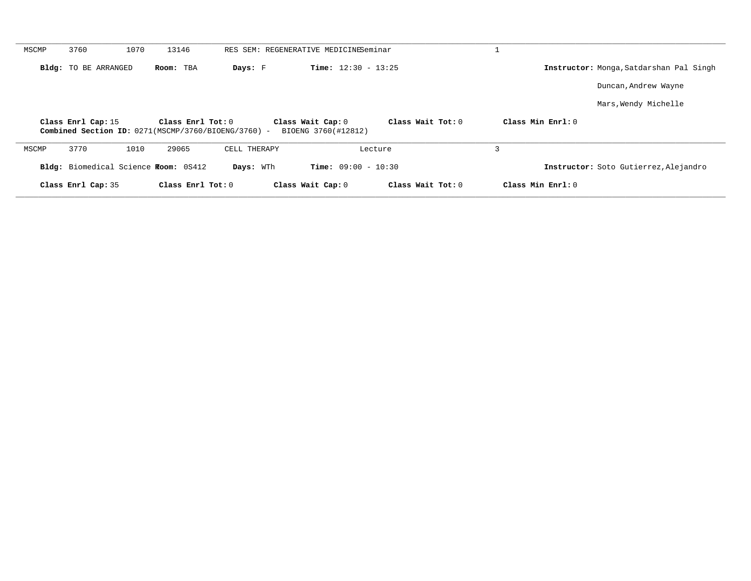| MSCMP | 3760                        | 1070 | 13146                                |                                                     | RES SEM: REGENERATIVE MEDICINESeminar    |                   |                     |                                                |
|-------|-----------------------------|------|--------------------------------------|-----------------------------------------------------|------------------------------------------|-------------------|---------------------|------------------------------------------------|
|       | <b>Bldg:</b> TO BE ARRANGED |      | Room: TBA                            | Days: F                                             | <b>Time:</b> $12:30 - 13:25$             |                   |                     | <b>Instructor:</b> Monga, Satdarshan Pal Singh |
|       |                             |      |                                      |                                                     |                                          |                   |                     | Duncan, Andrew Wayne                           |
|       |                             |      |                                      |                                                     |                                          |                   |                     | Mars, Wendy Michelle                           |
|       | Class Enrl Cap: 15          |      | Class Enrl Tot: 0                    | Combined Section ID: 0271(MSCMP/3760/BIOENG/3760) - | Class Wait Cap: 0<br>BIOENG 3760(#12812) | Class Wait Tot: 0 | Class Min Enrl: 0   |                                                |
| MSCMP | 3770                        | 1010 | 29065                                | CELL THERAPY                                        | Lecture                                  |                   | 3                   |                                                |
|       |                             |      | Bldg: Biomedical Science Room: 0S412 | Days: WTh                                           | <b>Time:</b> $09:00 - 10:30$             |                   |                     | Instructor: Soto Gutierrez, Alejandro          |
|       | Class Enrl Cap: 35          |      | Class Enrl Tot: $0$                  |                                                     | Class Wait Cap: 0                        | Class Wait Tot: 0 | Class Min $Enrl: 0$ |                                                |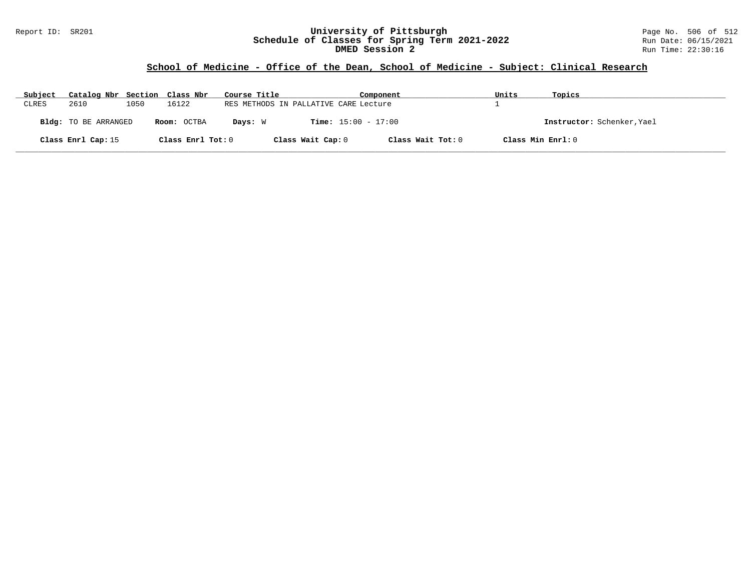### Report ID: SR201 **University of Pittsburgh** Page No. 506 of 512 **Schedule of Classes for Spring Term 2021-2022** Run Date: 06/15/2021 **DMED Session 2 Run Time: 22:30:16 Run Time: 22:30:16**

# **School of Medicine - Office of the Dean, School of Medicine - Subject: Clinical Research**

| Subject | Catalog Nbr Section Class Nbr |      |                   | Course Title |                                       | Component                    |                   | Units             | Topics                     |
|---------|-------------------------------|------|-------------------|--------------|---------------------------------------|------------------------------|-------------------|-------------------|----------------------------|
| CLRES   | 2610                          | 1050 | 16122             |              | RES METHODS IN PALLATIVE CARE Lecture |                              |                   |                   |                            |
|         | Bldg: TO BE ARRANGED          |      | Room: OCTBA       | Days: W      |                                       | <b>Time:</b> $15:00 - 17:00$ |                   |                   | Instructor: Schenker, Yael |
|         | Class Enrl Cap: 15            |      | Class Enrl Tot: 0 |              | Class Wait Cap: 0                     |                              | Class Wait Tot: 0 | Class Min Enrl: 0 |                            |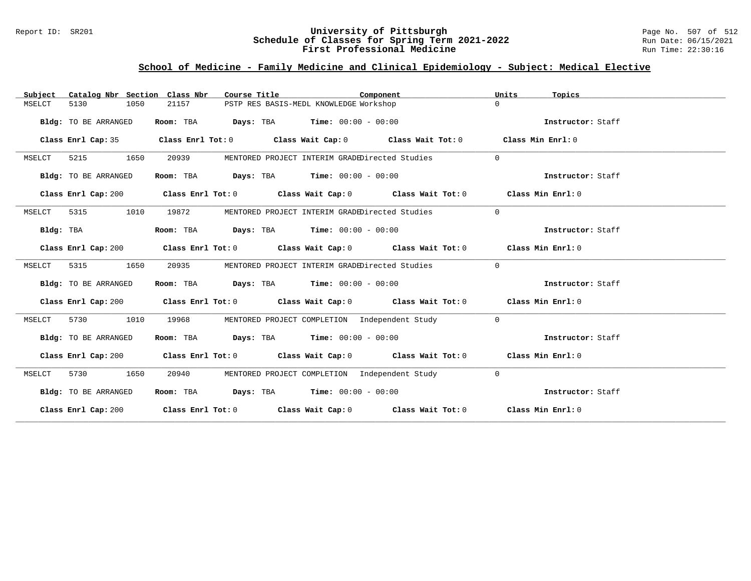### Report ID: SR201 **University of Pittsburgh** Page No. 507 of 512 **Schedule of Classes for Spring Term 2021-2022** Run Date: 06/15/2021 **First Professional Medicine Research Service Constructs** Run Time: 22:30:16

# **School of Medicine - Family Medicine and Clinical Epidemiology - Subject: Medical Elective**

| Catalog Nbr Section Class Nbr<br>Subject | Course Title                                | Component                                                                                   | Units<br>Topics   |
|------------------------------------------|---------------------------------------------|---------------------------------------------------------------------------------------------|-------------------|
| 5130<br>1050<br>MSELCT                   | 21157                                       | PSTP RES BASIS-MEDL KNOWLEDGE Workshop                                                      | $\Omega$          |
| Bldg: TO BE ARRANGED                     | Room: TBA                                   | <b>Days:</b> TBA <b>Time:</b> $00:00 - 00:00$                                               | Instructor: Staff |
| Class Enrl Cap: 35                       |                                             | Class Enrl Tot: $0$ Class Wait Cap: $0$ Class Wait Tot: $0$                                 | Class Min Enrl: 0 |
| 5215<br>1650<br>MSELCT                   | 20939                                       | MENTORED PROJECT INTERIM GRADEDirected Studies                                              | $\Omega$          |
| Bldg: TO BE ARRANGED                     | Room: TBA                                   | <b>Days:</b> TBA <b>Time:</b> $00:00 - 00:00$                                               | Instructor: Staff |
| Class Enrl Cap: 200                      |                                             | Class Enrl Tot: $0$ Class Wait Cap: $0$ Class Wait Tot: $0$                                 | Class Min Enrl: 0 |
| 5315<br>1010<br>MSELCT                   | 19872                                       | MENTORED PROJECT INTERIM GRADEDirected Studies                                              | $\Omega$          |
| Bldg: TBA                                | Room: TBA $Days:$ TBA $Time: 00:00 - 00:00$ |                                                                                             | Instructor: Staff |
| Class Enrl Cap: 200                      |                                             | Class Enrl Tot: 0 Class Wait Cap: 0 Class Wait Tot: 0 Class Min Enrl: 0                     |                   |
| MSELCT<br>5315<br>1650                   | 20935                                       | MENTORED PROJECT INTERIM GRADEDirected Studies                                              | $\overline{0}$    |
| Bldg: TO BE ARRANGED                     | Room: TBA $Days:$ TBA $Time: 00:00 - 00:00$ |                                                                                             | Instructor: Staff |
| Class Enrl Cap: 200                      |                                             | Class Enrl Tot: 0 Class Wait Cap: 0 Class Wait Tot: 0 Class Min Enrl: 0                     |                   |
| MSELCT<br>5730<br>1010                   | 19968                                       | MENTORED PROJECT COMPLETION Independent Study                                               | $\overline{0}$    |
| Bldg: TO BE ARRANGED                     | Room: TBA $Days:$ TBA $Time: 00:00 - 00:00$ |                                                                                             | Instructor: Staff |
| Class Enrl Cap: 200                      |                                             | Class Enrl Tot: 0 Class Wait Cap: 0 Class Wait Tot: 0 Class Min Enrl: 0                     |                   |
| 5730<br>1650<br>MSELCT                   | 20940                                       | MENTORED PROJECT COMPLETION Independent Study                                               | $\overline{0}$    |
| Bldg: TO BE ARRANGED                     | Room: TBA $Days: TBA$ Time: $00:00 - 00:00$ |                                                                                             | Instructor: Staff |
|                                          |                                             | Class Enrl Cap: 200 Class Enrl Tot: 0 Class Wait Cap: 0 Class Wait Tot: 0 Class Min Enrl: 0 |                   |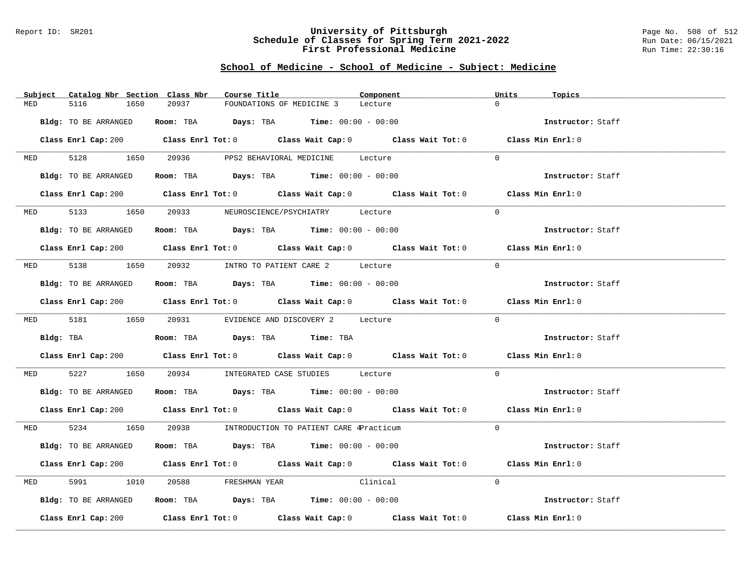#### Report ID: SR201 **University of Pittsburgh** Page No. 508 of 512 **Schedule of Classes for Spring Term 2021-2022** Run Date: 06/15/2021 **First Professional Medicine Research Service Constructs** Run Time: 22:30:16

# **School of Medicine - School of Medicine - Subject: Medicine**

| Catalog Nbr Section Class Nbr<br>Subject | Course Title                                                                                | Component | Units<br>Topics   |
|------------------------------------------|---------------------------------------------------------------------------------------------|-----------|-------------------|
| 5116<br>MED<br>1650                      | 20937<br>FOUNDATIONS OF MEDICINE 3                                                          | Lecture   | $\Omega$          |
|                                          |                                                                                             |           |                   |
| Bldg: TO BE ARRANGED                     | Room: TBA $Days: TBA$ Time: $00:00 - 00:00$                                                 |           | Instructor: Staff |
|                                          | Class Enrl Cap: 200 Class Enrl Tot: 0 Class Wait Cap: 0 Class Wait Tot: 0 Class Min Enrl: 0 |           |                   |
| MED 5128 1650                            | 20936<br>PPS2 BEHAVIORAL MEDICINE Lecture                                                   |           | $\Omega$          |
| Bldg: TO BE ARRANGED                     | Room: TBA $\rule{1em}{0.15mm}$ Days: TBA $\rule{1.5mm}{0.15mm}$ Time: $00:00 - 00:00$       |           | Instructor: Staff |
|                                          | Class Enrl Cap: 200 Class Enrl Tot: 0 Class Wait Cap: 0 Class Wait Tot: 0 Class Min Enrl: 0 |           |                   |
| 5133<br>1650<br><b>MED</b>               | 20933 NEUROSCIENCE/PSYCHIATRY Lecture                                                       |           | $\Omega$          |
| Bldg: TO BE ARRANGED                     | Room: TBA $Days:$ TBA $Time: 00:00 - 00:00$                                                 |           | Instructor: Staff |
|                                          | Class Enrl Cap: 200 Class Enrl Tot: 0 Class Wait Cap: 0 Class Wait Tot: 0 Class Min Enrl: 0 |           |                   |
|                                          | MED 5138 1650 20932 INTRO TO PATIENT CARE 2 Lecture                                         |           | $\Omega$          |
| Bldg: TO BE ARRANGED                     | Room: TBA $Days:$ TBA $Time: 00:00 - 00:00$                                                 |           | Instructor: Staff |
|                                          | Class Enrl Cap: 200 Class Enrl Tot: 0 Class Wait Cap: 0 Class Wait Tot: 0 Class Min Enrl: 0 |           |                   |
|                                          | MED 5181 1650 20931 EVIDENCE AND DISCOVERY 2 Lecture                                        |           | $\Omega$          |
| Bldg: TBA                                | Room: TBA Days: TBA Time: TBA                                                               |           | Instructor: Staff |
|                                          | Class Enrl Cap: 200 Class Enrl Tot: 0 Class Wait Cap: 0 Class Wait Tot: 0 Class Min Enrl: 0 |           |                   |
| 5227<br>1650<br>MED                      | 20934 INTEGRATED CASE STUDIES Lecture                                                       |           | $\Omega$          |
| Bldg: TO BE ARRANGED                     | Room: TBA Days: TBA Time: $00:00 - 00:00$                                                   |           | Instructor: Staff |
|                                          | Class Enrl Cap: 200 Class Enrl Tot: 0 Class Wait Cap: 0 Class Wait Tot: 0 Class Min Enrl: 0 |           |                   |
| MED 5234 1650                            | 20938 INTRODUCTION TO PATIENT CARE 4Practicum                                               |           | $\Omega$          |
| Bldg: TO BE ARRANGED                     | Room: TBA $\rule{1em}{0.15mm}$ Days: TBA Time: $00:00 - 00:00$                              |           | Instructor: Staff |
|                                          | Class Enrl Cap: 200 Class Enrl Tot: 0 Class Wait Cap: 0 Class Wait Tot: 0 Class Min Enrl: 0 |           |                   |
| 5991<br>1010<br>MED                      | FRESHMAN YEAR Clinical                                                                      |           | $\Omega$          |
| Bldg: TO BE ARRANGED                     | Room: TBA $Days:$ TBA $Time: 00:00 - 00:00$                                                 |           | Instructor: Staff |
|                                          | Class Enrl Cap: 200 Class Enrl Tot: 0 Class Wait Cap: 0 Class Wait Tot: 0 Class Min Enrl: 0 |           |                   |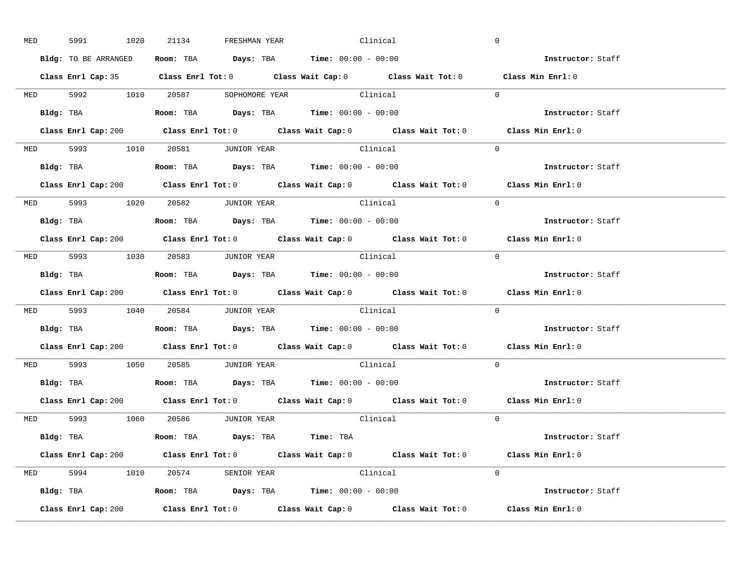| <b>MED</b> | 5991                 | 1020 | 21134                           | FRESHMAN YEAR | Clinical                                                                                                                                                                                                                                                                                                       |  | $\overline{0}$                                                                                         |
|------------|----------------------|------|---------------------------------|---------------|----------------------------------------------------------------------------------------------------------------------------------------------------------------------------------------------------------------------------------------------------------------------------------------------------------------|--|--------------------------------------------------------------------------------------------------------|
|            | Bldg: TO BE ARRANGED |      |                                 |               | Room: TBA $\rule{1em}{0.15mm}$ Days: TBA Time: $00:00 - 00:00$                                                                                                                                                                                                                                                 |  | <b>Example 21 Instructor:</b> Staff                                                                    |
|            |                      |      |                                 |               |                                                                                                                                                                                                                                                                                                                |  | Class Enrl Cap: 35 Class Enrl Tot: 0 Class Wait Cap: 0 Class Wait Tot: 0 Class Min Enrl: 0             |
|            |                      |      |                                 |               | MED 5992 1010 20587 SOPHOMORE YEAR Clinical                                                                                                                                                                                                                                                                    |  | $\Omega$                                                                                               |
|            | Bldg: TBA            |      |                                 |               | <b>Room:</b> TBA $\rule{1em}{0.15mm}$ $\rule{1.5em}{0.15mm}$ $\rule{1.5em}{0.15mm}$ $\rule{1.5em}{0.15mm}$ $\rule{1.5em}{0.15mm}$ $\rule{1.5em}{0.15mm}$ $\rule{1.5em}{0.15mm}$ $\rule{1.5em}{0.15mm}$ $\rule{1.5em}{0.15mm}$ $\rule{1.5em}{0.15mm}$ $\rule{1.5em}{0.15mm}$ $\rule{1.5em}{0.15mm}$ $\rule{1.5$ |  | Instructor: Staff                                                                                      |
|            |                      |      |                                 |               |                                                                                                                                                                                                                                                                                                                |  | Class Enrl Cap: 200 Class Enrl Tot: 0 Class Wait Cap: 0 Class Wait Tot: 0 Class Min Enrl: 0            |
|            |                      |      | MED 5993 1010 20581 JUNIOR YEAR |               | Clinical                                                                                                                                                                                                                                                                                                       |  | $\Omega$                                                                                               |
|            |                      |      |                                 |               | Bldg: TBA                    Room: TBA         Days: TBA        Time: $00:00 - 00:00$                                                                                                                                                                                                                          |  | Instructor: Staff                                                                                      |
|            |                      |      |                                 |               |                                                                                                                                                                                                                                                                                                                |  | Class Enrl Cap: 200 Class Enrl Tot: 0 Class Wait Cap: 0 Class Wait Tot: 0 Class Min Enrl: 0            |
|            |                      |      | MED 5993 1020 20582 JUNIOR YEAR |               | Clinical                                                                                                                                                                                                                                                                                                       |  | $\Omega$                                                                                               |
|            |                      |      |                                 |               | Bldg: TBA<br>Room: TBA<br>Days: TBA<br>Time: $00:00 - 00:00$                                                                                                                                                                                                                                                   |  | Instructor: Staff                                                                                      |
|            |                      |      |                                 |               |                                                                                                                                                                                                                                                                                                                |  | $\verb Class Enrl Cap:200  class Enrl Tot:0  class Wait Cap:0  class Wait Tot:0  class Min Enrl:0  \\$ |
|            |                      |      | MED 5993 1030 20583 JUNIOR YEAR |               | Clinical                                                                                                                                                                                                                                                                                                       |  | $\bigcirc$                                                                                             |
|            |                      |      |                                 |               | Bldg: TBA                   Room: TBA         Days: TBA         Time: $00:00 - 00:00$                                                                                                                                                                                                                          |  | Instructor: Staff                                                                                      |
|            |                      |      |                                 |               |                                                                                                                                                                                                                                                                                                                |  | Class Enrl Cap: 200 Class Enrl Tot: 0 Class Wait Cap: 0 Class Wait Tot: 0 Class Min Enrl: 0            |
|            |                      |      |                                 |               | MED 5993 1040 20584 JUNIOR YEAR Clinical                                                                                                                                                                                                                                                                       |  | $\overline{0}$                                                                                         |
|            |                      |      |                                 |               | Bldg: TBA                   Room: TBA         Days: TBA         Time: $00:00 - 00:00$                                                                                                                                                                                                                          |  | Instructor: Staff                                                                                      |
|            |                      |      |                                 |               |                                                                                                                                                                                                                                                                                                                |  | Class Enrl Cap: 200 Class Enrl Tot: 0 Class Wait Cap: 0 Class Wait Tot: 0 Class Min Enrl: 0            |
|            |                      |      | MED 5993 1050 20585 JUNIOR YEAR |               | clinical                                                                                                                                                                                                                                                                                                       |  | $\Omega$                                                                                               |
|            |                      |      |                                 |               | Bldg: TBA                   Room: TBA         Days: TBA         Time: $00:00 - 00:00$                                                                                                                                                                                                                          |  | Instructor: Staff                                                                                      |
|            |                      |      |                                 |               |                                                                                                                                                                                                                                                                                                                |  | Class Enrl Cap: 200 Class Enrl Tot: 0 Class Wait Cap: 0 Class Wait Tot: 0 Class Min Enrl: 0            |
|            |                      |      | MED 5993 1060 20586 JUNIOR YEAR |               | Clinical                                                                                                                                                                                                                                                                                                       |  | $\Omega$                                                                                               |
|            |                      |      |                                 |               | Bldg: TBA                         Room: TBA          Days: TBA          Time: TBA                                                                                                                                                                                                                              |  | Instructor: Staff                                                                                      |
|            |                      |      |                                 |               |                                                                                                                                                                                                                                                                                                                |  | Class Enrl Cap: 200 Class Enrl Tot: 0 Class Wait Cap: 0 Class Wait Tot: 0 Class Min Enrl: 0            |
|            |                      |      | MED 5994 1010 20574 SENIOR YEAR |               | Clinical                                                                                                                                                                                                                                                                                                       |  | $\Omega$                                                                                               |
|            |                      |      |                                 |               | <b>Bldg:</b> TBA <b>ROOM:</b> TBA <b>Days:</b> TBA <b>Time:</b> $00:00 - 00:00$                                                                                                                                                                                                                                |  | Instructor: Staff                                                                                      |
|            |                      |      |                                 |               | Class Enrl Cap: 200 Class Enrl Tot: 0 Class Wait Cap: 0 Class Wait Tot: 0                                                                                                                                                                                                                                      |  | Class Min Enrl: 0                                                                                      |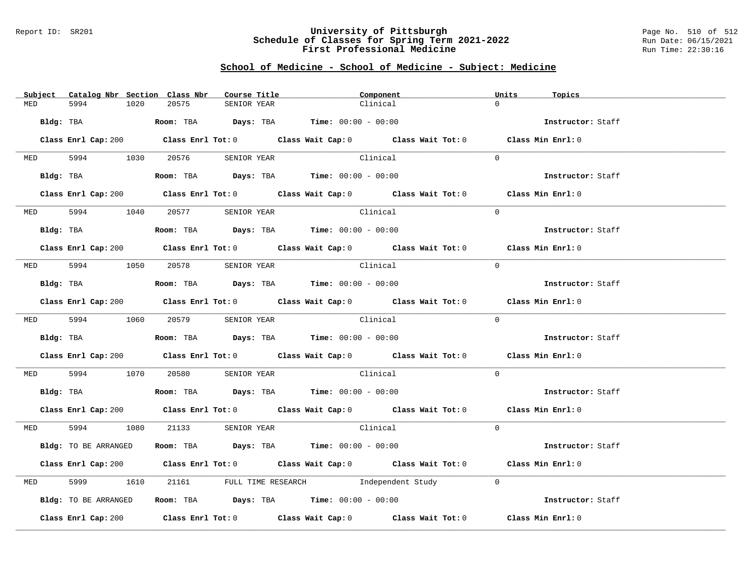#### Report ID: SR201 **University of Pittsburgh** Page No. 510 of 512 **Schedule of Classes for Spring Term 2021-2022** Run Date: 06/15/2021 **First Professional Medicine Research Service Constructs** Run Time: 22:30:16

# **School of Medicine - School of Medicine - Subject: Medicine**

|     | Subject Catalog Nbr Section Class Nbr | Course Title                                                                           | Component                                                                                   | Units<br>Topics                                                                             |
|-----|---------------------------------------|----------------------------------------------------------------------------------------|---------------------------------------------------------------------------------------------|---------------------------------------------------------------------------------------------|
| MED | 5994<br>1020                          | 20575<br>SENIOR YEAR                                                                   | Clinical                                                                                    | $\Omega$                                                                                    |
|     |                                       |                                                                                        |                                                                                             |                                                                                             |
|     | Bldg: TBA                             | <b>Room:</b> TBA $\qquad \qquad$ Days: TBA $\qquad \qquad$ Time: $00:00 - 00:00$       |                                                                                             | Instructor: Staff                                                                           |
|     |                                       |                                                                                        | Class Enrl Cap: 200 Class Enrl Tot: 0 Class Wait Cap: 0 Class Wait Tot: 0 Class Min Enrl: 0 |                                                                                             |
|     | MED 5994 1030 20576                   |                                                                                        |                                                                                             | $\Omega$                                                                                    |
|     |                                       | SENIOR YEAR                                                                            | Clinical                                                                                    |                                                                                             |
|     | Bldg: TBA                             | Room: TBA $\rule{1em}{0.15mm}$ Days: TBA Time: $00:00 - 00:00$                         |                                                                                             | Instructor: Staff                                                                           |
|     |                                       |                                                                                        |                                                                                             | Class Enrl Cap: 200 Class Enrl Tot: 0 Class Wait Cap: 0 Class Wait Tot: 0 Class Min Enrl: 0 |
|     |                                       |                                                                                        | Clinical                                                                                    | $\Omega$                                                                                    |
|     |                                       | MED 5994 1040 20577 SENIOR YEAR                                                        |                                                                                             |                                                                                             |
|     | Bldg: TBA                             | Room: TBA $\rule{1em}{0.15mm}$ Days: TBA Time: $00:00 - 00:00$                         |                                                                                             | Instructor: Staff                                                                           |
|     |                                       |                                                                                        |                                                                                             | Class Enrl Cap: 200 Class Enrl Tot: 0 Class Wait Cap: 0 Class Wait Tot: 0 Class Min Enrl: 0 |
|     |                                       |                                                                                        |                                                                                             |                                                                                             |
|     |                                       | MED 5994 1050 20578 SENIOR YEAR                                                        | Clinical                                                                                    | $\Omega$                                                                                    |
|     | Bldg: TBA                             | Room: TBA $Days: TBA$ Time: $00:00 - 00:00$                                            |                                                                                             | Instructor: Staff                                                                           |
|     |                                       |                                                                                        |                                                                                             | Class Enrl Cap: 200 Class Enrl Tot: 0 Class Wait Cap: 0 Class Wait Tot: 0 Class Min Enrl: 0 |
|     |                                       | MED 5994 1060 20579 SENIOR YEAR                                                        | Clinical                                                                                    | $\Omega$                                                                                    |
|     | Bldg: TBA                             | Room: TBA $\rule{1em}{0.15mm}$ Days: TBA Time: $00:00 - 00:00$                         |                                                                                             | Instructor: Staff                                                                           |
|     |                                       |                                                                                        |                                                                                             |                                                                                             |
|     |                                       |                                                                                        | Class Enrl Cap: 200 Class Enrl Tot: 0 Class Wait Cap: 0 Class Wait Tot: 0 Class Min Enrl: 0 |                                                                                             |
|     |                                       |                                                                                        | MED 5994 1070 20580 SENIOR YEAR Clinical                                                    | $\Omega$                                                                                    |
|     |                                       | Bldg: TBA                    Room: TBA         Days: TBA         Time: $00:00 - 00:00$ |                                                                                             | Instructor: Staff                                                                           |
|     |                                       |                                                                                        |                                                                                             | Class Enrl Cap: 200 Class Enrl Tot: 0 Class Wait Cap: 0 Class Wait Tot: 0 Class Min Enrl: 0 |
|     |                                       | MED 5994 1080 21133 SENIOR YEAR                                                        | Clinical                                                                                    | $\Omega$                                                                                    |
|     |                                       |                                                                                        |                                                                                             |                                                                                             |
|     | Bldg: TO BE ARRANGED                  |                                                                                        | Room: TBA $\rule{1em}{0.15mm}$ Days: TBA Time: $00:00 - 00:00$                              | Instructor: Staff                                                                           |
|     |                                       |                                                                                        |                                                                                             | Class Enrl Cap: 200 Class Enrl Tot: 0 Class Wait Cap: 0 Class Wait Tot: 0 Class Min Enrl: 0 |
| MED | 5999<br>1610                          |                                                                                        | 21161 FULL TIME RESEARCH Modependent Study                                                  | $\Omega$                                                                                    |
|     | Bldg: TO BE ARRANGED                  |                                                                                        | Room: TBA $\rule{1em}{0.15mm}$ Days: TBA $\rule{1.5mm}{0.15mm}$ Time: $00:00 - 00:00$       | Instructor: Staff                                                                           |
|     | Class Enrl Cap: 200                   |                                                                                        | Class Enrl Tot: $0$ Class Wait Cap: $0$ Class Wait Tot: $0$ Class Min Enrl: $0$             |                                                                                             |
|     |                                       |                                                                                        |                                                                                             |                                                                                             |